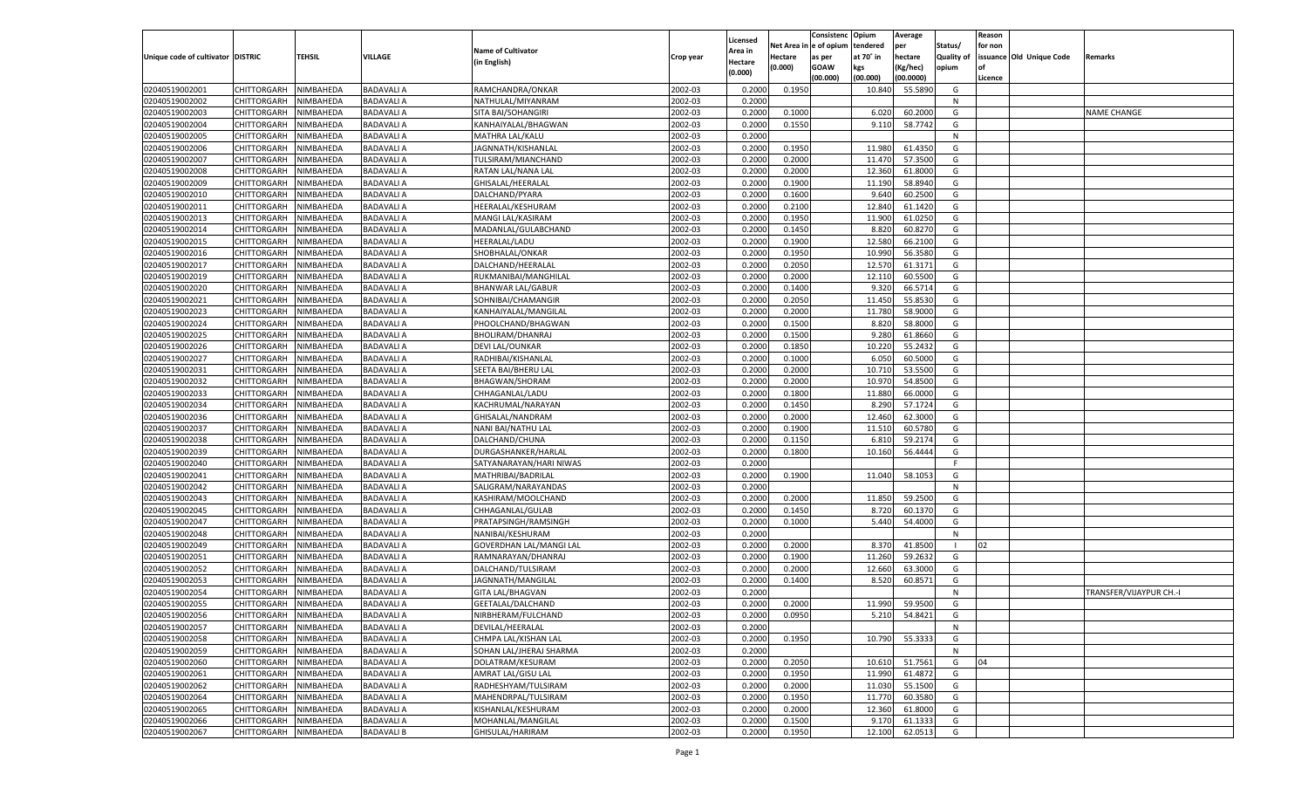|                                   |                       |                        |                   |                                |           |                    |                  | Consistenc  | Opium     | Average   |                   | Reason  |                          |                         |
|-----------------------------------|-----------------------|------------------------|-------------------|--------------------------------|-----------|--------------------|------------------|-------------|-----------|-----------|-------------------|---------|--------------------------|-------------------------|
|                                   |                       |                        |                   | <b>Name of Cultivator</b>      |           | Licensed           | Net Area         | e of opium  | tendered  | per       | Status/           | for non |                          |                         |
| Unique code of cultivator DISTRIC |                       | <b>TEHSIL</b>          | VILLAGE           | (in English)                   | Crop year | \rea in<br>Hectare | Hectare          | as per      | at 70° in | hectare   | <b>Quality of</b> |         | issuance Old Unique Code | Remarks                 |
|                                   |                       |                        |                   |                                |           | (0.000)            | (0.000)          | <b>GOAW</b> | kgs       | (Kg/hec)  | opium             |         |                          |                         |
|                                   |                       |                        |                   |                                |           |                    |                  | (00.000)    | (00.000)  | (00.0000) |                   | Licence |                          |                         |
| 02040519002001                    | CHITTORGARH           | NIMBAHEDA              | <b>BADAVALI A</b> | RAMCHANDRA/ONKAR               | 2002-03   | 0.2000             | 0.1950           |             | 10.840    | 55.5890   | G                 |         |                          |                         |
| 02040519002002                    | CHITTORGARH           | NIMBAHEDA              | <b>BADAVALI A</b> | NATHULAL/MIYANRAM              | 2002-03   | 0.2000             |                  |             |           |           | N                 |         |                          |                         |
| 02040519002003                    | CHITTORGARH           | NIMBAHEDA              | <b>BADAVALI A</b> | SITA BAI/SOHANGIRI             | 2002-03   | 0.2000             | 0.1000           |             | 6.020     | 60.2000   | G                 |         |                          | <b>NAME CHANGE</b>      |
| 02040519002004                    | CHITTORGARH           | NIMBAHEDA              | <b>BADAVALI A</b> | KANHAIYALAL/BHAGWAN            | 2002-03   | 0.2000             | 0.1550           |             | 9.110     | 58.7742   | G                 |         |                          |                         |
| 02040519002005                    | CHITTORGARH           | NIMBAHEDA              | <b>BADAVALI A</b> | MATHRA LAL/KALU                | 2002-03   | 0.2000             |                  |             |           |           | N                 |         |                          |                         |
| 02040519002006                    | CHITTORGARH           | NIMBAHEDA              | <b>BADAVALI A</b> | JAGNNATH/KISHANLAL             | 2002-03   | 0.2000             | 0.1950           |             | 11.980    | 61.4350   | G                 |         |                          |                         |
| 02040519002007                    | CHITTORGARH           | NIMBAHEDA              | <b>BADAVALI A</b> | TULSIRAM/MIANCHAND             | 2002-03   | 0.2000             | 0.2000           |             | 11.470    | 57.3500   | G                 |         |                          |                         |
| 02040519002008                    | CHITTORGARH           | NIMBAHEDA              | <b>BADAVALI A</b> | RATAN LAL/NANA LAL             | 2002-03   | 0.2000             | 0.2000           |             | 12.360    | 61.8000   | G                 |         |                          |                         |
| 02040519002009                    | CHITTORGARH           | NIMBAHEDA              | <b>BADAVALI A</b> | GHISALAL/HEERALAI              | 2002-03   | 0.2000             | 0.1900           |             | 11.190    | 58.8940   | G                 |         |                          |                         |
| 02040519002010                    | CHITTORGARH           | NIMBAHEDA              | <b>BADAVALI A</b> | DALCHAND/PYARA                 | 2002-03   | 0.2000             | 0.1600           |             | 9.64      | 60.2500   | G                 |         |                          |                         |
| 02040519002011                    | CHITTORGARH           | NIMBAHEDA              | <b>BADAVALI A</b> | HEERALAL/KESHURAM              | 2002-03   | 0.2000             | 0.2100           |             | 12.840    | 61.1420   | G                 |         |                          |                         |
| 02040519002013                    | CHITTORGARH           | NIMBAHEDA              | <b>BADAVALI A</b> | MANGI LAL/KASIRAM              | 2002-03   | 0.2000             | 0.1950           |             | 11.900    | 61.0250   | G                 |         |                          |                         |
| 02040519002014                    | CHITTORGARH           | NIMBAHEDA              | <b>BADAVALI A</b> | MADANLAL/GULABCHAND            | 2002-03   | 0.2000             | 0.1450           |             | 8.820     | 60.8270   | G                 |         |                          |                         |
| 02040519002015                    | CHITTORGARH           | NIMBAHEDA              | <b>BADAVALI A</b> | HEERALAL/LADU                  | 2002-03   | 0.2000             | 0.1900           |             | 12.580    | 66.2100   | G                 |         |                          |                         |
| 02040519002016                    | CHITTORGARH           | NIMBAHEDA              | <b>BADAVALI A</b> | SHOBHALAL/ONKAR                | 2002-03   | 0.2000             | 0.1950           |             | 10.990    | 56.3580   | G                 |         |                          |                         |
| 02040519002017                    | CHITTORGARH           | NIMBAHEDA              | <b>BADAVALI A</b> | DALCHAND/HEERALAL              | 2002-03   | 0.2000             | 0.2050           |             | 12.570    | 61.3171   | G                 |         |                          |                         |
| 02040519002019                    | CHITTORGARH           | NIMBAHEDA              | <b>BADAVALI A</b> | RUKMANIBAI/MANGHILAL           | 2002-03   | 0.2000             | 0.2000           |             | 12.11     | 60.5500   | G                 |         |                          |                         |
| 02040519002020                    | CHITTORGARH           | NIMBAHEDA              | <b>BADAVALI A</b> | <b>BHANWAR LAL/GABUR</b>       | 2002-03   | 0.2000             | 0.1400           |             | 9.320     | 66.5714   | G                 |         |                          |                         |
| 02040519002021                    | CHITTORGARH           | NIMBAHEDA              | <b>BADAVALI A</b> | SOHNIBAI/CHAMANGIR             | 2002-03   | 0.2000             | 0.2050           |             | 11.450    | 55.8530   | G                 |         |                          |                         |
| 02040519002023                    | CHITTORGARH           | NIMBAHEDA              | <b>BADAVALI A</b> | KANHAIYALAL/MANGILAL           | 2002-03   | 0.2000             | 0.2000           |             | 11.780    | 58.9000   | G                 |         |                          |                         |
| 02040519002024                    | CHITTORGARH           | NIMBAHEDA              | <b>BADAVALI A</b> | PHOOLCHAND/BHAGWAN             | 2002-03   | 0.2000             | 0.1500           |             | 8.820     | 58.8000   | G                 |         |                          |                         |
| 02040519002025                    | CHITTORGARH           | NIMBAHEDA              | <b>BADAVALI A</b> | BHOLIRAM/DHANRAJ               | 2002-03   | 0.2000             | 0.1500           |             | 9.280     | 61.8660   | G                 |         |                          |                         |
| 02040519002026                    | CHITTORGARH           | NIMBAHEDA              | <b>BADAVALI A</b> | DEVI LAL/OUNKAR                | 2002-03   | 0.2000             | 0.1850           |             | 10.220    | 55.2432   | G                 |         |                          |                         |
| 02040519002027                    | CHITTORGARH           | NIMBAHEDA              | <b>BADAVALI A</b> | RADHIBAI/KISHANLAI             | 2002-03   | 0.2000             | 0.1000           |             | 6.050     | 60.5000   | G                 |         |                          |                         |
| 02040519002031                    | CHITTORGARH           | NIMBAHEDA              | <b>BADAVALI A</b> | SEETA BAI/BHERU LAI            | 2002-03   | 0.2000             | 0.2000           |             | 10.710    | 53.5500   | G                 |         |                          |                         |
| 02040519002032                    | CHITTORGARH           | NIMBAHEDA              | <b>BADAVALI A</b> | <b>BHAGWAN/SHORAM</b>          | 2002-03   | 0.2000             | 0.2000           |             | 10.97     | 54.8500   | G                 |         |                          |                         |
| 02040519002033                    | CHITTORGARH           | NIMBAHEDA              | <b>BADAVALI A</b> | CHHAGANLAL/LADU                | 2002-03   | 0.2000             | 0.1800           |             | 11.880    | 66.0000   | G                 |         |                          |                         |
| 02040519002034                    | CHITTORGARH           | NIMBAHEDA              | <b>BADAVALI A</b> | KACHRUMAL/NARAYAN              | 2002-03   | 0.2000             | 0.1450           |             | 8.290     | 57.1724   | G                 |         |                          |                         |
| 02040519002036                    | CHITTORGARH           | NIMBAHEDA              | <b>BADAVALI A</b> | GHISALAL/NANDRAM               | 2002-03   | 0.2000             | 0.2000           |             | 12.460    | 62.3000   | G                 |         |                          |                         |
| 02040519002037                    | CHITTORGARH           | NIMBAHEDA              | <b>BADAVALI A</b> | NANI BAI/NATHU LAL             | 2002-03   | 0.2000             | 0.1900           |             | 11.51     | 60.5780   | G                 |         |                          |                         |
| 02040519002038                    | CHITTORGARH           | NIMBAHEDA              | <b>BADAVALI A</b> | DALCHAND/CHUNA                 | 2002-03   | 0.2000             | 0.1150           |             | 6.81      | 59.217    | G                 |         |                          |                         |
| 02040519002039                    | CHITTORGARH           | NIMBAHEDA              | <b>BADAVALI A</b> | DURGASHANKER/HARLAL            | 2002-03   | 0.2000             | 0.1800           |             | 10.160    | 56.4444   | G                 |         |                          |                         |
| 02040519002040                    | CHITTORGARH           | NIMBAHEDA              | <b>BADAVALI A</b> | SATYANARAYAN/HARI NIWAS        | 2002-03   | 0.2000             |                  |             |           |           | F.                |         |                          |                         |
| 02040519002041                    | CHITTORGARH           | NIMBAHEDA              | <b>BADAVALI A</b> | MATHRIBAI/BADRILAL             | 2002-03   | 0.2000             | 0.1900           |             | 11.040    | 58.105    | G                 |         |                          |                         |
| 02040519002042                    | CHITTORGARH           | NIMBAHEDA              | <b>BADAVALI A</b> | SALIGRAM/NARAYANDAS            | 2002-03   | 0.2000             |                  |             |           |           | N                 |         |                          |                         |
| 02040519002043                    | CHITTORGARH           | NIMBAHEDA              | <b>BADAVALI A</b> | KASHIRAM/MOOLCHAND             | 2002-03   | 0.2000             | 0.2000           |             | 11.850    | 59.2500   | G                 |         |                          |                         |
| 02040519002045                    | CHITTORGARH           | NIMBAHEDA              | <b>BADAVALI A</b> | CHHAGANLAL/GULAB               | 2002-03   | 0.2000             | 0.1450           |             | 8.720     | 60.1370   | G                 |         |                          |                         |
| 02040519002047                    | CHITTORGARH           | NIMBAHEDA              | <b>BADAVALI A</b> | PRATAPSINGH/RAMSINGH           | 2002-03   | 0.2000             | 0.1000           |             | 5.44      | 54.4000   | G                 |         |                          |                         |
| 02040519002048                    | CHITTORGARH           | NIMBAHEDA              | <b>BADAVALI A</b> | NANIBAI/KESHURAM               | 2002-03   | 0.2000             |                  |             |           |           | N                 |         |                          |                         |
| 02040519002049                    | CHITTORGARH           | NIMBAHEDA              | <b>BADAVALI A</b> | <b>GOVERDHAN LAL/MANGI LAL</b> | 2002-03   | 0.2000             | 0.2000           |             | 8.370     | 41.8500   |                   | 02      |                          |                         |
| 02040519002051                    | <b>CHITTORGARH</b>    | NIMBAHEDA              | <b>BADAVALI A</b> | RAMNARAYAN/DHANRAJ             | 2002-03   | 0.2000             | 0.1900           |             | 11.260    | 59.263    | G                 |         |                          |                         |
| 02040519002052                    |                       |                        | <b>BADAVALI A</b> |                                | 2002-03   |                    |                  |             | 12.660    | 63.3000   | G                 |         |                          |                         |
|                                   | CHITTORGARH           | NIMBAHEDA<br>NIMBAHEDA | <b>BADAVALI A</b> | DALCHAND/TULSIRAM              | 2002-03   | 0.2000<br>0.2000   | 0.2000<br>0.1400 |             |           | 60.8571   |                   |         |                          |                         |
| 02040519002053                    | CHITTORGARH           |                        |                   | JAGNNATH/MANGILAL              |           |                    |                  |             | 8.520     |           | G                 |         |                          |                         |
| 02040519002054                    | CHITTORGARH           | NIMBAHEDA              | <b>BADAVALI A</b> | GITA LAL/BHAGVAN               | 2002-03   | 0.2000             |                  |             |           |           | N                 |         |                          | TRANSFER/VIJAYPUR CH.-I |
| 02040519002055                    | CHITTORGARH           | NIMBAHEDA              | <b>BADAVALI A</b> | GEETALAL/DALCHAND              | 2002-03   | 0.2000             | 0.2000           |             | 11.990    | 59.9500   | G                 |         |                          |                         |
| 02040519002056                    | CHITTORGARH NIMBAHEDA |                        | <b>BADAVALI A</b> | NIRBHERAM/FULCHAND             | 2002-03   | 0.2000             | 0.0950           |             | 5.210     | 54.8421   | G                 |         |                          |                         |
| 02040519002057                    | <b>CHITTORGARH</b>    | NIMBAHEDA              | <b>BADAVALI A</b> | DEVILAL/HEERALAL               | 2002-03   | 0.2000             |                  |             |           |           | N                 |         |                          |                         |
| 02040519002058                    | CHITTORGARH           | NIMBAHEDA              | <b>BADAVALI A</b> | CHMPA LAL/KISHAN LAL           | 2002-03   | 0.2000             | 0.1950           |             | 10.790    | 55.3333   | G                 |         |                          |                         |
| 02040519002059                    | <b>CHITTORGARH</b>    | NIMBAHEDA              | <b>BADAVALI A</b> | SOHAN LAL/JHERAJ SHARMA        | 2002-03   | 0.2000             |                  |             |           |           | N                 |         |                          |                         |
| 02040519002060                    | <b>CHITTORGARH</b>    | NIMBAHEDA              | <b>BADAVALI A</b> | DOLATRAM/KESURAM               | 2002-03   | 0.2000             | 0.2050           |             | 10.610    | 51.7561   | G                 | 04      |                          |                         |
| 02040519002061                    | <b>CHITTORGARH</b>    | NIMBAHEDA              | <b>BADAVALI A</b> | AMRAT LAL/GISU LAL             | 2002-03   | 0.2000             | 0.1950           |             | 11.990    | 61.4872   | G                 |         |                          |                         |
| 02040519002062                    | <b>CHITTORGARH</b>    | NIMBAHEDA              | <b>BADAVALI A</b> | RADHESHYAM/TULSIRAM            | 2002-03   | 0.2000             | 0.2000           |             | 11.030    | 55.1500   | G                 |         |                          |                         |
| 02040519002064                    | <b>CHITTORGARH</b>    | NIMBAHEDA              | <b>BADAVALI A</b> | MAHENDRPAL/TULSIRAM            | 2002-03   | 0.2000             | 0.1950           |             | 11.770    | 60.3580   | G                 |         |                          |                         |
| 02040519002065                    | <b>CHITTORGARH</b>    | NIMBAHEDA              | <b>BADAVALI A</b> | KISHANLAL/KESHURAM             | 2002-03   | 0.2000             | 0.2000           |             | 12.360    | 61.8000   | G                 |         |                          |                         |
| 02040519002066                    | <b>CHITTORGARH</b>    | NIMBAHEDA              | <b>BADAVALI A</b> | MOHANLAL/MANGILAL              | 2002-03   | 0.2000             | 0.1500           |             | 9.170     | 61.1333   | G                 |         |                          |                         |
| 02040519002067                    | CHITTORGARH           | NIMBAHEDA              | <b>BADAVALI B</b> | GHISULAL/HARIRAM               | 2002-03   | 0.2000             | 0.1950           |             | 12.100    | 62.0513   | G                 |         |                          |                         |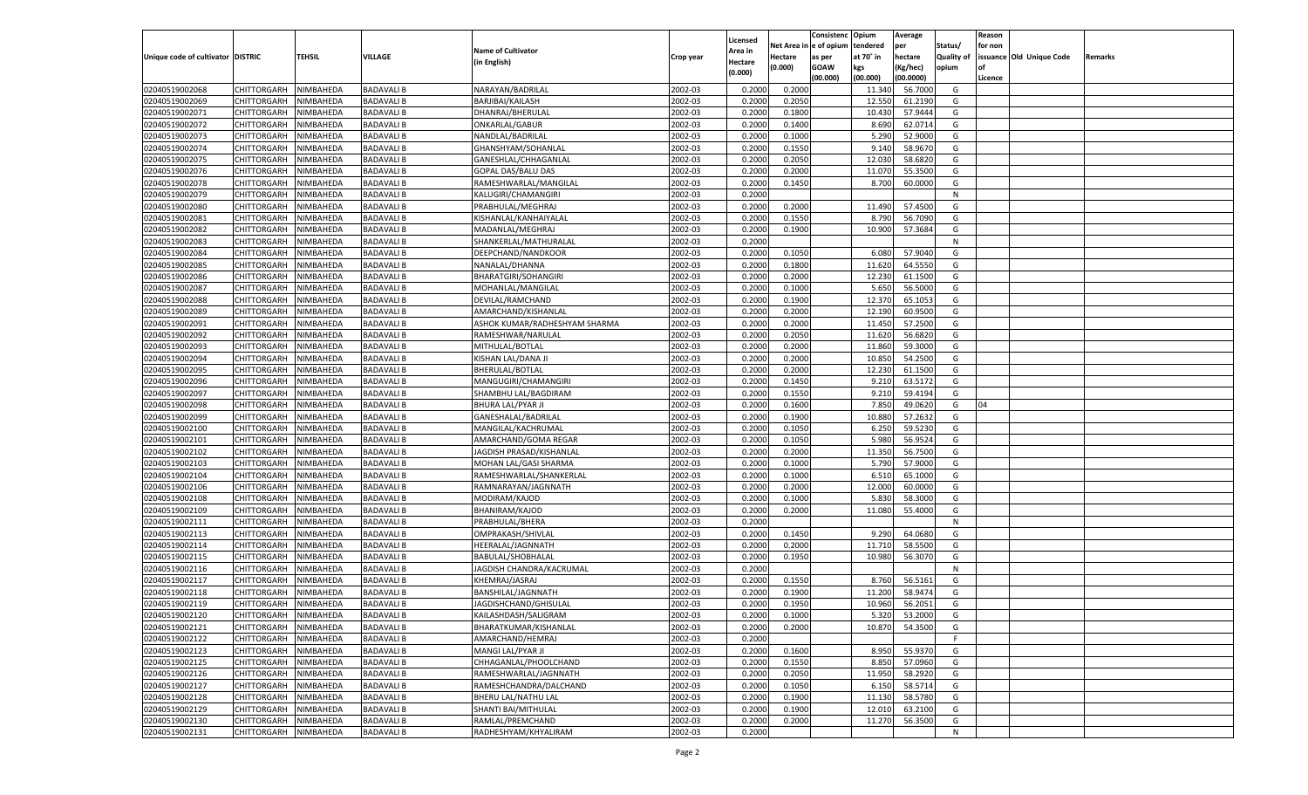|                                   |                       |               |                   |                               |           |                           |          | Consistenc  | Opium     | Average            |                   | Reason  |                          |         |
|-----------------------------------|-----------------------|---------------|-------------------|-------------------------------|-----------|---------------------------|----------|-------------|-----------|--------------------|-------------------|---------|--------------------------|---------|
|                                   |                       |               |                   | <b>Name of Cultivator</b>     |           | Licensed                  | Net Area | le of opium | tendered  | per                | Status/           | for non |                          |         |
| Unique code of cultivator DISTRIC |                       | <b>TEHSIL</b> | VILLAGE           | (in English)                  | Crop year | <b>Area in</b><br>Hectare | Hectare  | as per      | at 70° in | hectare            | <b>Quality of</b> |         | issuance Old Unique Code | Remarks |
|                                   |                       |               |                   |                               |           | (0.000)                   | (0.000)  | <b>GOAW</b> | kgs       | (Kg/hec)           | opium             |         |                          |         |
|                                   |                       |               |                   |                               |           |                           |          | (00.000)    | (00.000)  | (00.0000)          |                   | Licence |                          |         |
| 02040519002068                    | CHITTORGARH           | NIMBAHEDA     | <b>BADAVALI B</b> | NARAYAN/BADRILAL              | 2002-03   | 0.2000                    | 0.2000   |             | 11.340    | 56.7000            | G                 |         |                          |         |
| 02040519002069                    | CHITTORGARH           | NIMBAHEDA     | <b>BADAVALI B</b> | BARJIBAI/KAILASH              | 2002-03   | 0.2000                    | 0.2050   |             | 12.550    | 61.2190            | G                 |         |                          |         |
| 02040519002071                    | CHITTORGARH           | NIMBAHEDA     | <b>BADAVALI B</b> | DHANRAJ/BHERULAI              | 2002-03   | 0.2000                    | 0.1800   |             | 10.430    | 57.9444            | G                 |         |                          |         |
| 02040519002072                    | CHITTORGARH           | NIMBAHEDA     | <b>BADAVALI B</b> | ONKARLAL/GABUR                | 2002-03   | 0.2000                    | 0.1400   |             | 8.690     | 62.071             | G                 |         |                          |         |
| 02040519002073                    | CHITTORGARH           | NIMBAHEDA     | <b>BADAVALI B</b> | NANDLAL/BADRILAL              | 2002-03   | 0.2000                    | 0.1000   |             | 5.290     | 52.9000            | G                 |         |                          |         |
| 02040519002074                    | CHITTORGARH           | NIMBAHEDA     | <b>BADAVALI B</b> | GHANSHYAM/SOHANLAL            | 2002-03   | 0.2000                    | 0.1550   |             | 9.14      | 58.9670            | G                 |         |                          |         |
| 02040519002075                    | CHITTORGARH           | NIMBAHEDA     | <b>BADAVALI B</b> | GANESHLAL/CHHAGANLAL          | 2002-03   | 0.2000                    | 0.2050   |             | 12.030    | 58.6820            | G                 |         |                          |         |
| 02040519002076                    | CHITTORGARH           | NIMBAHEDA     | <b>BADAVALI B</b> | GOPAL DAS/BALU DAS            | 2002-03   | 0.2000                    | 0.2000   |             | 11.070    | 55.3500            | G                 |         |                          |         |
| 02040519002078                    | CHITTORGARH           | NIMBAHEDA     | <b>BADAVALI B</b> | RAMESHWARLAL/MANGILAL         | 2002-03   | 0.2000                    | 0.1450   |             | 8.700     | 60.0000            | G                 |         |                          |         |
| 02040519002079                    | CHITTORGARH           | NIMBAHEDA     | <b>BADAVALI B</b> | KALUGIRI/CHAMANGIRI           | 2002-03   | 0.2000                    |          |             |           |                    | N                 |         |                          |         |
| 02040519002080                    | CHITTORGARH           | NIMBAHEDA     | <b>BADAVALI B</b> | PRABHULAL/MEGHRAJ             | 2002-03   | 0.2000                    | 0.2000   |             | 11.490    | 57.4500            | G                 |         |                          |         |
| 02040519002081                    | CHITTORGARH           | NIMBAHEDA     | <b>BADAVALI B</b> | KISHANLAL/KANHAIYALAL         | 2002-03   | 0.2000                    | 0.1550   |             | 8.790     | 56.7090            | G                 |         |                          |         |
| 02040519002082                    | CHITTORGARH           | NIMBAHEDA     | <b>BADAVALI B</b> | MADANLAL/MEGHRAJ              | 2002-03   | 0.2000                    | 0.1900   |             | 10.900    | 57.3684            | G                 |         |                          |         |
| 02040519002083                    | CHITTORGARH           | NIMBAHEDA     | <b>BADAVALI B</b> | SHANKERLAL/MATHURALAL         | 2002-03   | 0.2000                    |          |             |           |                    | N                 |         |                          |         |
| 02040519002084                    | CHITTORGARH           | NIMBAHEDA     | <b>BADAVALI B</b> | DEEPCHAND/NANDKOOR            | 2002-03   | 0.2000                    | 0.1050   |             | 6.080     | 57.9040            | G                 |         |                          |         |
| 02040519002085                    | CHITTORGARH           | NIMBAHEDA     | <b>BADAVALI B</b> | NANALAL/DHANNA                | 2002-03   | 0.2000                    | 0.1800   |             | 11.620    | 64.5550            | G                 |         |                          |         |
| 02040519002086                    | CHITTORGARH           | NIMBAHEDA     | <b>BADAVALI B</b> | <b>BHARATGIRI/SOHANGIRI</b>   | 2002-03   | 0.2000                    | 0.2000   |             | 12.230    | 61.1500            | G                 |         |                          |         |
| 02040519002087                    | CHITTORGARH           | NIMBAHEDA     | <b>BADAVALI B</b> | MOHANLAL/MANGILAL             | 2002-03   | 0.2000                    | 0.1000   |             | 5.650     | 56.5000            | G                 |         |                          |         |
| 02040519002088                    | CHITTORGARH           | NIMBAHEDA     | <b>BADAVALI B</b> | DEVILAL/RAMCHAND              | 2002-03   | 0.2000                    | 0.1900   |             | 12.370    | 65.105             | G                 |         |                          |         |
| 02040519002089                    | CHITTORGARH           | NIMBAHEDA     | <b>BADAVALI B</b> | AMARCHAND/KISHANLAI           | 2002-03   | 0.2000                    | 0.2000   |             | 12.190    | 60.9500            | G                 |         |                          |         |
| 02040519002091                    | CHITTORGARH           | NIMBAHEDA     | <b>BADAVALI B</b> | ASHOK KUMAR/RADHESHYAM SHARMA | 2002-03   | 0.2000                    | 0.2000   |             | 11.450    | 57.2500            | G                 |         |                          |         |
| 02040519002092                    | CHITTORGARH           | NIMBAHEDA     | <b>BADAVALI B</b> | RAMESHWAR/NARULAL             | 2002-03   | 0.2000                    | 0.2050   |             | 11.620    | 56.6820            | G                 |         |                          |         |
| 02040519002093                    | CHITTORGARH           | NIMBAHEDA     | <b>BADAVALI B</b> | MITHULAL/BOTLAL               | 2002-03   | 0.2000                    | 0.2000   |             | 11.860    | 59.3000            | G                 |         |                          |         |
| 02040519002094                    | CHITTORGARH           | NIMBAHEDA     | <b>BADAVALI B</b> | KISHAN LAL/DANA JI            | 2002-03   | 0.2000                    | 0.2000   |             | 10.850    | 54.2500            | G                 |         |                          |         |
| 02040519002095                    | CHITTORGARH           | NIMBAHEDA     | <b>BADAVALI B</b> | BHERULAL/BOTLAL               | 2002-03   | 0.2000                    | 0.2000   |             | 12.230    | 61.1500            | G                 |         |                          |         |
| 02040519002096                    | CHITTORGARH           | NIMBAHEDA     | <b>BADAVALI B</b> | MANGUGIRI/CHAMANGIRI          | 2002-03   | 0.2000                    | 0.1450   |             | 9.21      | 63.5172            | G                 |         |                          |         |
| 02040519002097                    | CHITTORGARH           | NIMBAHEDA     | <b>BADAVALI B</b> | SHAMBHU LAL/BAGDIRAM          | 2002-03   | 0.2000                    | 0.1550   |             | 9.210     | 59.4194            | G                 |         |                          |         |
| 02040519002098                    | CHITTORGARH           | NIMBAHEDA     | <b>BADAVALI B</b> | <b>BHURA LAL/PYAR JI</b>      | 2002-03   | 0.2000                    | 0.1600   |             | 7.850     | 49.0620            | G                 | 04      |                          |         |
| 02040519002099                    | CHITTORGARH           | NIMBAHEDA     | <b>BADAVALI B</b> | GANESHALAL/BADRILAL           | 2002-03   | 0.2000                    | 0.1900   |             | 10.880    | 57.2632            | G                 |         |                          |         |
| 02040519002100                    | CHITTORGARH           | NIMBAHEDA     | <b>BADAVALI B</b> | MANGILAL/KACHRUMAL            | 2002-03   | 0.2000                    | 0.1050   |             | 6.250     | 59.5230            | G                 |         |                          |         |
| 02040519002101                    | CHITTORGARH           | NIMBAHEDA     | <b>BADAVALI B</b> | AMARCHAND/GOMA REGAR          | 2002-03   | 0.2000                    | 0.1050   |             | 5.980     | 56.952             | G                 |         |                          |         |
| 02040519002102                    | CHITTORGARH           | NIMBAHEDA     | <b>BADAVALI B</b> | JAGDISH PRASAD/KISHANLAL      | 2002-03   | 0.2000                    | 0.2000   |             | 11.350    | 56.7500            | G                 |         |                          |         |
| 02040519002103                    | CHITTORGARH           | NIMBAHEDA     | <b>BADAVALI B</b> | MOHAN LAL/GASI SHARMA         | 2002-03   | 0.2000                    | 0.1000   |             | 5.790     | 57.9000            | G                 |         |                          |         |
| 02040519002104                    | CHITTORGARH           | NIMBAHEDA     | <b>BADAVALI B</b> | RAMESHWARLAL/SHANKERLAL       | 2002-03   | 0.2000                    | 0.1000   |             | 6.51      | 65.1000            | G                 |         |                          |         |
| 02040519002106                    | CHITTORGARH           | NIMBAHEDA     | <b>BADAVALI B</b> | RAMNARAYAN/JAGNNATH           | 2002-03   | 0.2000                    | 0.2000   |             | 12.000    | 60.0000            | G                 |         |                          |         |
| 02040519002108                    | CHITTORGARH           | NIMBAHEDA     | <b>BADAVALI B</b> | MODIRAM/KAJOD                 | 2002-03   | 0.2000                    | 0.1000   |             | 5.830     | 58.3000            | G                 |         |                          |         |
| 02040519002109                    | CHITTORGARH           | NIMBAHEDA     | <b>BADAVALI B</b> | BHANIRAM/KAJOD                | 2002-03   | 0.2000                    | 0.2000   |             | 11.080    | 55.4000            | G                 |         |                          |         |
| 02040519002111                    | CHITTORGARH           | NIMBAHEDA     | <b>BADAVALI B</b> | PRABHULAL/BHERA               | 2002-03   | 0.2000                    |          |             |           |                    | N                 |         |                          |         |
| 02040519002113                    | CHITTORGARH           | NIMBAHEDA     | <b>BADAVALI B</b> | OMPRAKASH/SHIVLAL             | 2002-03   | 0.2000                    | 0.1450   |             | 9.290     | 64.0680            | G                 |         |                          |         |
| 02040519002114                    | CHITTORGARH           | NIMBAHEDA     | <b>BADAVALI B</b> | HEERALAL/JAGNNATH             | 2002-03   | 0.2000                    | 0.2000   |             | 11.710    | 58.5500            | G                 |         |                          |         |
| 02040519002115                    | CHITTORGARH           | NIMBAHEDA     | <b>BADAVALI B</b> | BABULAL/SHOBHALAL             | 2002-03   | 0.2000                    | 0.1950   |             | 10.980    | 56.3070            | G                 |         |                          |         |
| 02040519002116                    | CHITTORGARH           | NIMBAHEDA     | <b>BADAVALI B</b> | JAGDISH CHANDRA/KACRUMAL      | 2002-03   | 0.2000                    |          |             |           |                    | N                 |         |                          |         |
| 02040519002117                    | CHITTORGARH           | NIMBAHEDA     | <b>BADAVALI B</b> | KHEMRAJ/JASRAJ                | 2002-03   | 0.2000                    | 0.1550   |             | 8.760     | 56.5161            | G                 |         |                          |         |
| 02040519002118                    | CHITTORGARH           | NIMBAHEDA     | <b>BADAVALI B</b> | BANSHILAL/JAGNNATH            | 2002-03   | 0.2000                    | 0.1900   |             | 11.200    | 58.9474            | G                 |         |                          |         |
| 02040519002119                    |                       | NIMBAHEDA     | <b>BADAVALI B</b> | JAGDISHCHAND/GHISULAL         | 2002-03   | 0.2000                    | 0.1950   |             | 10.960    | 56.2051            | G                 |         |                          |         |
|                                   | CHITTORGARH           |               |                   |                               |           |                           |          |             |           |                    |                   |         |                          |         |
| 02040519002120                    | CHITTORGARH NIMBAHEDA |               | <b>BADAVALI B</b> | KAILASHDASH/SALIGRAM          | 2002-03   | 0.2000                    | 0.1000   |             | 5.320     | 53.2000<br>54.3500 | G                 |         |                          |         |
| 02040519002121                    | <b>CHITTORGARH</b>    | NIMBAHEDA     | <b>BADAVALI B</b> | BHARATKUMAR/KISHANLAL         | 2002-03   | 0.2000                    | 0.2000   |             | 10.870    |                    | G<br>F.           |         |                          |         |
| 02040519002122                    | CHITTORGARH           | NIMBAHEDA     | <b>BADAVALI B</b> | AMARCHAND/HEMRAJ              | 2002-03   | 0.2000                    |          |             |           |                    |                   |         |                          |         |
| 02040519002123                    | <b>CHITTORGARH</b>    | NIMBAHEDA     | <b>BADAVALI B</b> | MANGI LAL/PYAR JI             | 2002-03   | 0.2000                    | 0.1600   |             | 8.950     | 55.9370            | G                 |         |                          |         |
| 02040519002125                    | <b>CHITTORGARH</b>    | NIMBAHEDA     | <b>BADAVALI B</b> | CHHAGANLAL/PHOOLCHAND         | 2002-03   | 0.2000                    | 0.1550   |             | 8.850     | 57.0960            | G                 |         |                          |         |
| 02040519002126                    | <b>CHITTORGARH</b>    | NIMBAHEDA     | <b>BADAVALI B</b> | RAMESHWARLAL/JAGNNATH         | 2002-03   | 0.2000                    | 0.2050   |             | 11.950    | 58.2920            | G                 |         |                          |         |
| 02040519002127                    | <b>CHITTORGARH</b>    | NIMBAHEDA     | <b>BADAVALI B</b> | RAMESHCHANDRA/DALCHAND        | 2002-03   | 0.2000                    | 0.1050   |             | 6.150     | 58.5714            | G                 |         |                          |         |
| 02040519002128                    | <b>CHITTORGARH</b>    | NIMBAHEDA     | <b>BADAVALI B</b> | BHERU LAL/NATHU LAL           | 2002-03   | 0.2000                    | 0.1900   |             | 11.130    | 58.5780            | G                 |         |                          |         |
| 02040519002129                    | <b>CHITTORGARH</b>    | NIMBAHEDA     | <b>BADAVALI B</b> | SHANTI BAI/MITHULAL           | 2002-03   | 0.2000                    | 0.1900   |             | 12.010    | 63.2100            | G                 |         |                          |         |
| 02040519002130                    | <b>CHITTORGARH</b>    | NIMBAHEDA     | <b>BADAVALI B</b> | RAMLAL/PREMCHAND              | 2002-03   | 0.2000                    | 0.2000   |             | 11.270    | 56.3500            | G                 |         |                          |         |
| 02040519002131                    | <b>CHITTORGARH</b>    | NIMBAHEDA     | <b>BADAVALI B</b> | RADHESHYAM/KHYALIRAM          | 2002-03   | 0.2000                    |          |             |           |                    | N                 |         |                          |         |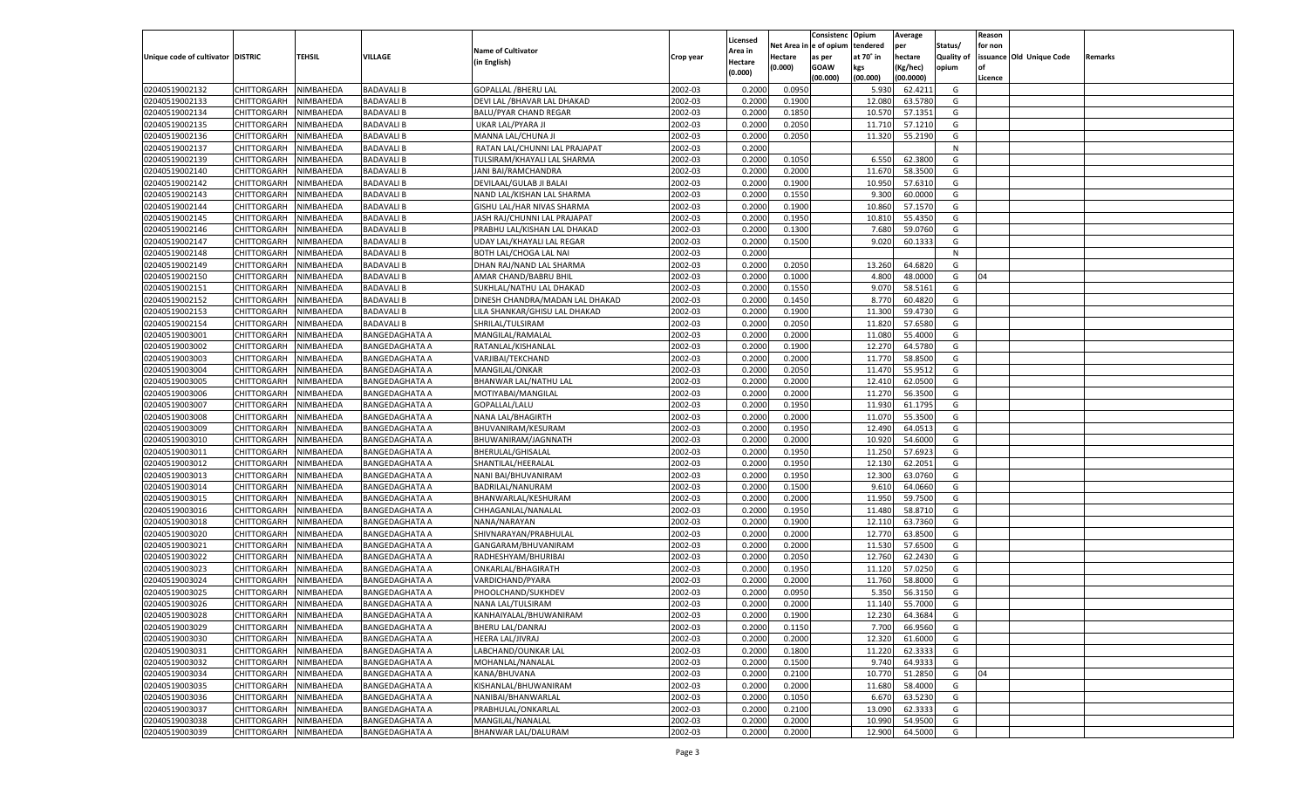|                                   |                       |               |                       |                                 |           |                |          | Consistenc  | Opium     | Average   |                   | Reason  |                          |         |
|-----------------------------------|-----------------------|---------------|-----------------------|---------------------------------|-----------|----------------|----------|-------------|-----------|-----------|-------------------|---------|--------------------------|---------|
|                                   |                       |               |                       |                                 |           | Licensed       | Net Area | le of opium | tendered  | per       | Status/           | for non |                          |         |
| Unique code of cultivator DISTRIC |                       | <b>TEHSIL</b> | VILLAGE               | <b>Name of Cultivator</b>       | Crop year | <b>Area in</b> | Hectare  | as per      | at 70° in | hectare   | <b>Quality of</b> |         | issuance Old Unique Code | Remarks |
|                                   |                       |               |                       | (in English)                    |           | Hectare        | (0.000)  | <b>GOAW</b> | kgs       | (Kg/hec)  | opium             |         |                          |         |
|                                   |                       |               |                       |                                 |           | (0.000)        |          | (00.000)    | (00.000)  | (00.0000) |                   | Licence |                          |         |
| 02040519002132                    | CHITTORGARH           | NIMBAHEDA     | <b>BADAVALI B</b>     | <b>GOPALLAL /BHERU LAL</b>      | 2002-03   | 0.2000         | 0.0950   |             | 5.930     | 62.4211   | G                 |         |                          |         |
| 02040519002133                    | CHITTORGARH           | NIMBAHEDA     | <b>BADAVALI B</b>     | DEVI LAL / BHAVAR LAL DHAKAD    | 2002-03   | 0.2000         | 0.1900   |             | 12.080    | 63.5780   | G                 |         |                          |         |
| 02040519002134                    | CHITTORGARH           | NIMBAHEDA     | <b>BADAVALI B</b>     | <b>BALU/PYAR CHAND REGAR</b>    | 2002-03   | 0.2000         | 0.1850   |             | 10.570    | 57.1351   | G                 |         |                          |         |
| 02040519002135                    | CHITTORGARH           | NIMBAHEDA     | <b>BADAVALI B</b>     | UKAR LAL/PYARA JI               | 2002-03   | 0.2000         | 0.2050   |             | 11.710    | 57.1210   | G                 |         |                          |         |
| 02040519002136                    | CHITTORGARH           | NIMBAHEDA     | <b>BADAVALI B</b>     | MANNA LAL/CHUNA JI              | 2002-03   | 0.2000         | 0.2050   |             | 11.320    | 55.2190   | G                 |         |                          |         |
| 02040519002137                    | CHITTORGARH           | NIMBAHEDA     | <b>BADAVALI B</b>     | RATAN LAL/CHUNNI LAL PRAJAPAT   | 2002-03   | 0.2000         |          |             |           |           | N                 |         |                          |         |
| 02040519002139                    | CHITTORGARH           | NIMBAHEDA     | <b>BADAVALI B</b>     | TULSIRAM/KHAYALI LAL SHARMA     | 2002-03   | 0.2000         | 0.1050   |             | 6.550     | 62.3800   | G                 |         |                          |         |
| 02040519002140                    | CHITTORGARH           | NIMBAHEDA     | <b>BADAVALI B</b>     | JANI BAI/RAMCHANDRA             | 2002-03   | 0.2000         | 0.2000   |             | 11.670    | 58.3500   | G                 |         |                          |         |
| 02040519002142                    |                       | NIMBAHEDA     | <b>BADAVALI B</b>     | DEVILAAL/GULAB JI BALAI         | 2002-03   | 0.2000         | 0.1900   |             | 10.950    | 57.6310   | G                 |         |                          |         |
| 02040519002143                    | CHITTORGARH           |               |                       |                                 |           |                |          |             |           |           |                   |         |                          |         |
|                                   | CHITTORGARH           | NIMBAHEDA     | <b>BADAVALI B</b>     | NAND LAL/KISHAN LAL SHARMA      | 2002-03   | 0.2000         | 0.1550   |             | 9.300     | 60.0000   | G                 |         |                          |         |
| 02040519002144                    | CHITTORGARH           | NIMBAHEDA     | <b>BADAVALI B</b>     | GISHU LAL/HAR NIVAS SHARMA      | 2002-03   | 0.2000         | 0.1900   |             | 10.860    | 57.1570   | G                 |         |                          |         |
| 02040519002145                    | CHITTORGARH           | NIMBAHEDA     | <b>BADAVALI B</b>     | JASH RAJ/CHUNNI LAL PRAJAPAT    | 2002-03   | 0.2000         | 0.1950   |             | 10.81     | 55.4350   | G                 |         |                          |         |
| 02040519002146                    | CHITTORGARH           | NIMBAHEDA     | <b>BADAVALI B</b>     | PRABHU LAL/KISHAN LAL DHAKAD    | 2002-03   | 0.2000         | 0.1300   |             | 7.680     | 59.0760   | G                 |         |                          |         |
| 02040519002147                    | CHITTORGARH           | NIMBAHEDA     | <b>BADAVALI B</b>     | UDAY LAL/KHAYALI LAL REGAR      | 2002-03   | 0.2000         | 0.1500   |             | 9.020     | 60.133    | G                 |         |                          |         |
| 02040519002148                    | CHITTORGARH           | NIMBAHEDA     | <b>BADAVALI B</b>     | BOTH LAL/CHOGA LAL NAI          | 2002-03   | 0.2000         |          |             |           |           | N                 |         |                          |         |
| 02040519002149                    | CHITTORGARH           | NIMBAHEDA     | <b>BADAVALI B</b>     | DHAN RAJ/NAND LAL SHARMA        | 2002-03   | 0.2000         | 0.2050   |             | 13.260    | 64.682    | G                 |         |                          |         |
| 02040519002150                    | CHITTORGARH           | NIMBAHEDA     | <b>BADAVALI B</b>     | AMAR CHAND/BABRU BHIL           | 2002-03   | 0.2000         | 0.1000   |             | 4.800     | 48.0000   | G                 | 04      |                          |         |
| 02040519002151                    | CHITTORGARH           | NIMBAHEDA     | <b>BADAVALI B</b>     | SUKHLAL/NATHU LAL DHAKAD        | 2002-03   | 0.2000         | 0.1550   |             | 9.07      | 58.5161   | G                 |         |                          |         |
| 02040519002152                    | CHITTORGARH           | NIMBAHEDA     | <b>BADAVALI B</b>     | DINESH CHANDRA/MADAN LAL DHAKAD | 2002-03   | 0.2000         | 0.1450   |             | 8.770     | 60.4820   | G                 |         |                          |         |
| 02040519002153                    | CHITTORGARH           | NIMBAHEDA     | <b>BADAVALI B</b>     | LILA SHANKAR/GHISU LAL DHAKAD   | 2002-03   | 0.2000         | 0.1900   |             | 11.300    | 59.4730   | G                 |         |                          |         |
| 02040519002154                    | CHITTORGARH           | NIMBAHEDA     | <b>BADAVALI B</b>     | SHRILAL/TULSIRAM                | 2002-03   | 0.2000         | 0.2050   |             | 11.820    | 57.6580   | G                 |         |                          |         |
| 02040519003001                    | CHITTORGARH           | NIMBAHEDA     | <b>BANGEDAGHATA A</b> | MANGILAL/RAMALAL                | 2002-03   | 0.2000         | 0.2000   |             | 11.080    | 55.4000   | G                 |         |                          |         |
| 02040519003002                    | CHITTORGARH           | NIMBAHEDA     | <b>BANGEDAGHATA A</b> | RATANLAL/KISHANLAL              | 2002-03   | 0.2000         | 0.1900   |             | 12.270    | 64.5780   | G                 |         |                          |         |
| 02040519003003                    | CHITTORGARH           | NIMBAHEDA     | BANGEDAGHATA A        | VARJIBAI/TEKCHAND               | 2002-03   | 0.2000         | 0.2000   |             | 11.770    | 58.8500   | G                 |         |                          |         |
| 02040519003004                    | CHITTORGARH           | NIMBAHEDA     | <b>BANGEDAGHATA A</b> | MANGILAL/ONKAR                  | 2002-03   | 0.2000         | 0.2050   |             | 11.470    | 55.9512   | G                 |         |                          |         |
| 02040519003005                    | CHITTORGARH           | NIMBAHEDA     | BANGEDAGHATA A        | BHANWAR LAL/NATHU LAL           | 2002-03   | 0.2000         | 0.2000   |             | 12.410    | 62.0500   | G                 |         |                          |         |
| 02040519003006                    | CHITTORGARH           | NIMBAHEDA     | <b>BANGEDAGHATA A</b> | MOTIYABAI/MANGILAL              | 2002-03   | 0.2000         | 0.2000   |             | 11.270    | 56.3500   | G                 |         |                          |         |
| 02040519003007                    | CHITTORGARH           | NIMBAHEDA     | BANGEDAGHATA A        | GOPALLAL/LALU                   | 2002-03   | 0.2000         | 0.1950   |             | 11.930    | 61.1795   | G                 |         |                          |         |
| 02040519003008                    | CHITTORGARH           | NIMBAHEDA     | <b>BANGEDAGHATA A</b> | NANA LAL/BHAGIRTH               | 2002-03   | 0.2000         | 0.2000   |             | 11.070    | 55.3500   | G                 |         |                          |         |
| 02040519003009                    | CHITTORGARH           | NIMBAHEDA     | <b>BANGEDAGHATA A</b> | BHUVANIRAM/KESURAM              | 2002-03   | 0.2000         | 0.1950   |             | 12.490    | 64.0513   | G                 |         |                          |         |
| 02040519003010                    | CHITTORGARH           | NIMBAHEDA     | <b>BANGEDAGHATA A</b> | BHUWANIRAM/JAGNNATH             | 2002-03   | 0.2000         | 0.2000   |             | 10.920    | 54.6000   | G                 |         |                          |         |
| 02040519003011                    | CHITTORGARH           | NIMBAHEDA     | BANGEDAGHATA A        | BHERULAL/GHISALAL               | 2002-03   | 0.2000         | 0.1950   |             | 11.250    | 57.692    | G                 |         |                          |         |
|                                   |                       |               |                       |                                 |           |                |          |             |           |           |                   |         |                          |         |
| 02040519003012                    | CHITTORGARH           | NIMBAHEDA     | <b>BANGEDAGHATA A</b> | SHANTILAL/HEERALAL              | 2002-03   | 0.2000         | 0.1950   |             | 12.130    | 62.2051   | G                 |         |                          |         |
| 02040519003013                    | CHITTORGARH           | NIMBAHEDA     | <b>BANGEDAGHATA A</b> | NANI BAI/BHUVANIRAM             | 2002-03   | 0.2000         | 0.1950   |             | 12.300    | 63.0760   | G                 |         |                          |         |
| 02040519003014                    | CHITTORGARH           | NIMBAHEDA     | <b>BANGEDAGHATA A</b> | BADRILAL/NANURAM                | 2002-03   | 0.2000         | 0.1500   |             | 9.61      | 64.0660   | G                 |         |                          |         |
| 02040519003015                    | CHITTORGARH           | NIMBAHEDA     | BANGEDAGHATA A        | BHANWARLAL/KESHURAM             | 2002-03   | 0.2000         | 0.2000   |             | 11.95     | 59.7500   | G                 |         |                          |         |
| 02040519003016                    | <b>CHITTORGARH</b>    | NIMBAHEDA     | <b>BANGEDAGHATA A</b> | CHHAGANLAL/NANALAL              | 2002-03   | 0.2000         | 0.1950   |             | 11.480    | 58.8710   | G                 |         |                          |         |
| 02040519003018                    | CHITTORGARH           | NIMBAHEDA     | <b>BANGEDAGHATA A</b> | NANA/NARAYAN                    | 2002-03   | 0.2000         | 0.1900   |             | 12.11     | 63.7360   | G                 |         |                          |         |
| 02040519003020                    | CHITTORGARH           | NIMBAHEDA     | <b>BANGEDAGHATA A</b> | SHIVNARAYAN/PRABHULAL           | 2002-03   | 0.2000         | 0.2000   |             | 12.770    | 63.8500   | G                 |         |                          |         |
| 02040519003021                    | CHITTORGARH           | NIMBAHEDA     | BANGEDAGHATA A        | GANGARAM/BHUVANIRAM             | 2002-03   | 0.2000         | 0.2000   |             | 11.530    | 57.6500   | G                 |         |                          |         |
| 02040519003022                    | CHITTORGARH           | NIMBAHEDA     | <b>BANGEDAGHATA A</b> | RADHESHYAM/BHURIBAI             | 2002-03   | 0.2000         | 0.2050   |             | 12.760    | 62.2430   | G                 |         |                          |         |
| 02040519003023                    | CHITTORGARH           | NIMBAHEDA     | BANGEDAGHATA A        | ONKARLAL/BHAGIRATH              | 2002-03   | 0.2000         | 0.1950   |             | 11.120    | 57.0250   | G                 |         |                          |         |
| 02040519003024                    | CHITTORGARH           | NIMBAHEDA     | <b>BANGEDAGHATA A</b> | VARDICHAND/PYARA                | 2002-03   | 0.2000         | 0.2000   |             | 11.760    | 58.8000   | G                 |         |                          |         |
| 02040519003025                    | CHITTORGARH           | NIMBAHEDA     | <b>BANGEDAGHATA A</b> | PHOOLCHAND/SUKHDEV              | 2002-03   | 0.2000         | 0.0950   |             | 5.350     | 56.3150   | G                 |         |                          |         |
| 02040519003026                    | CHITTORGARH           | NIMBAHEDA     | <b>BANGEDAGHATA A</b> | NANA LAL/TULSIRAM               | 2002-03   | 0.2000         | 0.2000   |             | 11.140    | 55.7000   | G                 |         |                          |         |
| 02040519003028                    | CHITTORGARH NIMBAHEDA |               | <b>BANGEDAGHATA A</b> | KANHAIYALAL/BHUWANIRAM          | 2002-03   | 0.2000         | 0.1900   |             | 12.230    | 64.3684   | G                 |         |                          |         |
| 02040519003029                    | <b>CHITTORGARH</b>    | NIMBAHEDA     | <b>BANGEDAGHATA A</b> | BHERU LAL/DANRAJ                | 2002-03   | 0.2000         | 0.1150   |             | 7.700     | 66.9560   | G                 |         |                          |         |
| 02040519003030                    | <b>CHITTORGARH</b>    | NIMBAHEDA     | <b>BANGEDAGHATA A</b> | HEERA LAL/JIVRAJ                | 2002-03   | 0.2000         | 0.2000   |             | 12.320    | 61.6000   | G                 |         |                          |         |
| 02040519003031                    | <b>CHITTORGARH</b>    | NIMBAHEDA     | <b>BANGEDAGHATA A</b> | LABCHAND/OUNKAR LAL             | 2002-03   | 0.2000         | 0.1800   |             | 11.220    | 62.3333   | G                 |         |                          |         |
| 02040519003032                    | <b>CHITTORGARH</b>    | NIMBAHEDA     | <b>BANGEDAGHATA A</b> | MOHANLAL/NANALAL                | 2002-03   | 0.2000         | 0.1500   |             | 9.740     | 64.9333   | G                 |         |                          |         |
| 02040519003034                    | <b>CHITTORGARH</b>    | NIMBAHEDA     | <b>BANGEDAGHATA A</b> | KANA/BHUVANA                    | 2002-03   | 0.2000         | 0.2100   |             | 10.770    | 51.2850   | G                 | 04      |                          |         |
| 02040519003035                    | <b>CHITTORGARH</b>    | NIMBAHEDA     | <b>BANGEDAGHATA A</b> | KISHANLAL/BHUWANIRAM            | 2002-03   | 0.2000         | 0.2000   |             | 11.680    | 58.4000   | G                 |         |                          |         |
| 02040519003036                    | <b>CHITTORGARH</b>    | NIMBAHEDA     | <b>BANGEDAGHATA A</b> | NANIBAI/BHANWARLAL              | 2002-03   | 0.2000         | 0.1050   |             | 6.670     | 63.5230   | G                 |         |                          |         |
| 02040519003037                    | <b>CHITTORGARH</b>    | NIMBAHEDA     | <b>BANGEDAGHATA A</b> | PRABHULAL/ONKARLAL              | 2002-03   | 0.2000         | 0.2100   |             | 13.090    | 62.3333   | G                 |         |                          |         |
| 02040519003038                    | <b>CHITTORGARH</b>    | NIMBAHEDA     | <b>BANGEDAGHATA A</b> | MANGILAL/NANALAL                | 2002-03   | 0.2000         | 0.2000   |             | 10.990    | 54.9500   | G                 |         |                          |         |
|                                   |                       |               | <b>BANGEDAGHATA A</b> | BHANWAR LAL/DALURAM             |           |                |          |             |           |           |                   |         |                          |         |
| 02040519003039                    | CHITTORGARH           | NIMBAHEDA     |                       |                                 | 2002-03   | 0.2000         | 0.2000   |             | 12.900    | 64.5000   | G                 |         |                          |         |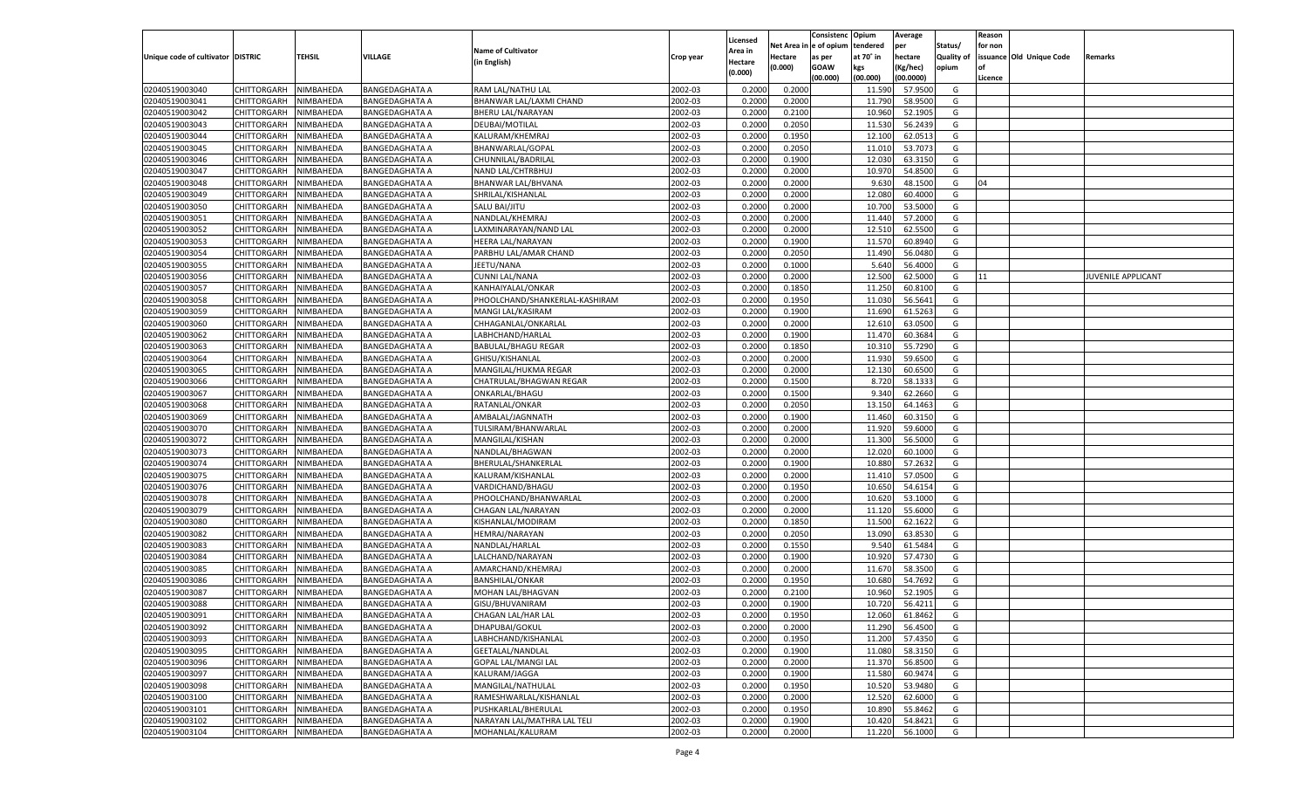|                                   |                       |               |                       |                                |           |                           |          | Consistenc  | Opium     | Average   |                   | Reason  |                          |                           |
|-----------------------------------|-----------------------|---------------|-----------------------|--------------------------------|-----------|---------------------------|----------|-------------|-----------|-----------|-------------------|---------|--------------------------|---------------------------|
|                                   |                       |               |                       | <b>Name of Cultivator</b>      |           | Licensed                  | Net Area | e of opium  | tendered  | per       | Status/           | for non |                          |                           |
| Unique code of cultivator DISTRIC |                       | <b>TEHSIL</b> | VILLAGE               | (in English)                   | Crop year | <b>Area in</b><br>Hectare | Hectare  | as per      | at 70° in | hectare   | <b>Quality of</b> |         | issuance Old Unique Code | Remarks                   |
|                                   |                       |               |                       |                                |           | (0.000)                   | (0.000)  | <b>GOAW</b> | kgs       | (Kg/hec)  | opium             |         |                          |                           |
|                                   |                       |               |                       |                                |           |                           |          | (00.000)    | (00.000)  | (00.0000) |                   | Licence |                          |                           |
| 02040519003040                    | CHITTORGARH           | NIMBAHEDA     | <b>BANGEDAGHATA A</b> | RAM LAL/NATHU LAL              | 2002-03   | 0.2000                    | 0.2000   |             | 11.590    | 57.9500   | G                 |         |                          |                           |
| 02040519003041                    | CHITTORGARH           | NIMBAHEDA     | BANGEDAGHATA A        | BHANWAR LAL/LAXMI CHAND        | 2002-03   | 0.2000                    | 0.2000   |             | 11.790    | 58.9500   | G                 |         |                          |                           |
| 02040519003042                    | CHITTORGARH           | NIMBAHEDA     | <b>BANGEDAGHATA A</b> | BHERU LAL/NARAYAN              | 2002-03   | 0.2000                    | 0.2100   |             | 10.960    | 52.1905   | G                 |         |                          |                           |
| 02040519003043                    | CHITTORGARH           | NIMBAHEDA     | <b>BANGEDAGHATA A</b> | DEUBAI/MOTILAL                 | 2002-03   | 0.2000                    | 0.2050   |             | 11.530    | 56.2439   | G                 |         |                          |                           |
| 02040519003044                    | CHITTORGARH           | NIMBAHEDA     | <b>BANGEDAGHATA A</b> | KALURAM/KHEMRAJ                | 2002-03   | 0.2000                    | 0.1950   |             | 12.100    | 62.0513   | G                 |         |                          |                           |
| 02040519003045                    | CHITTORGARH           | NIMBAHEDA     | BANGEDAGHATA A        | BHANWARLAL/GOPAL               | 2002-03   | 0.2000                    | 0.2050   |             | 11.010    | 53.7073   | G                 |         |                          |                           |
| 02040519003046                    | CHITTORGARH           | NIMBAHEDA     | <b>BANGEDAGHATA A</b> | CHUNNILAL/BADRILAL             | 2002-03   | 0.2000                    | 0.1900   |             | 12.030    | 63.3150   | G                 |         |                          |                           |
| 02040519003047                    | CHITTORGARH           | NIMBAHEDA     | BANGEDAGHATA A        | NAND LAL/CHTRBHUJ              | 2002-03   | 0.2000                    | 0.2000   |             | 10.97     | 54.8500   | G                 |         |                          |                           |
| 02040519003048                    | CHITTORGARH           | NIMBAHEDA     | <b>BANGEDAGHATA A</b> | BHANWAR LAL/BHVANA             | 2002-03   | 0.2000                    | 0.2000   |             | 9.630     | 48.1500   | G                 | 04      |                          |                           |
| 02040519003049                    | CHITTORGARH           | NIMBAHEDA     | BANGEDAGHATA A        | SHRILAL/KISHANLAL              | 2002-03   | 0.2000                    | 0.2000   |             | 12.080    | 60.4000   | G                 |         |                          |                           |
| 02040519003050                    | CHITTORGARH           | NIMBAHEDA     | <b>BANGEDAGHATA A</b> | SALU BAI/JITU                  | 2002-03   | 0.2000                    | 0.2000   |             | 10.700    | 53.5000   | G                 |         |                          |                           |
| 02040519003051                    | CHITTORGARH           | NIMBAHEDA     | BANGEDAGHATA A        | NANDLAL/KHEMRAJ                | 2002-03   | 0.2000                    | 0.2000   |             | 11.440    | 57.2000   | G                 |         |                          |                           |
| 02040519003052                    | CHITTORGARH           | NIMBAHEDA     | <b>BANGEDAGHATA A</b> | LAXMINARAYAN/NAND LAL          | 2002-03   | 0.2000                    | 0.2000   |             | 12.51     | 62.5500   | G                 |         |                          |                           |
| 02040519003053                    | CHITTORGARH           | NIMBAHEDA     | BANGEDAGHATA A        | HEERA LAL/NARAYAN              | 2002-03   | 0.2000                    | 0.1900   |             | 11.570    | 60.8940   | G                 |         |                          |                           |
| 02040519003054                    | CHITTORGARH           | NIMBAHEDA     | <b>BANGEDAGHATA A</b> | PARBHU LAL/AMAR CHAND          | 2002-03   | 0.2000                    | 0.2050   |             | 11.490    | 56.0480   | G                 |         |                          |                           |
| 02040519003055                    | CHITTORGARH           | NIMBAHEDA     | BANGEDAGHATA A        | JEETU/NANA                     | 2002-03   | 0.2000                    | 0.1000   |             | 5.640     | 56.4000   | G                 |         |                          |                           |
| 02040519003056                    | CHITTORGARH           | NIMBAHEDA     | <b>BANGEDAGHATA A</b> | <b>CUNNI LAL/NANA</b>          | 2002-03   | 0.2000                    | 0.2000   |             | 12.500    | 62.5000   | G                 | 11      |                          | <b>JUVENILE APPLICANT</b> |
| 02040519003057                    | CHITTORGARH           | NIMBAHEDA     | BANGEDAGHATA A        | KANHAIYALAL/ONKAR              | 2002-03   | 0.2000                    | 0.1850   |             | 11.250    | 60.8100   | G                 |         |                          |                           |
| 02040519003058                    | CHITTORGARH           | NIMBAHEDA     | <b>BANGEDAGHATA A</b> | PHOOLCHAND/SHANKERLAL-KASHIRAM | 2002-03   | 0.2000                    | 0.1950   |             | 11.030    | 56.5641   | G                 |         |                          |                           |
| 02040519003059                    | CHITTORGARH           | NIMBAHEDA     | BANGEDAGHATA A        | MANGI LAL/KASIRAM              | 2002-03   | 0.2000                    | 0.1900   |             | 11.690    | 61.5263   | G                 |         |                          |                           |
| 02040519003060                    | CHITTORGARH           | NIMBAHEDA     | <b>BANGEDAGHATA A</b> | CHHAGANLAL/ONKARLAL            | 2002-03   | 0.2000                    | 0.2000   |             | 12.610    | 63.0500   | G                 |         |                          |                           |
| 02040519003062                    | CHITTORGARH           | NIMBAHEDA     | BANGEDAGHATA A        | LABHCHAND/HARLAL               | 2002-03   | 0.2000                    | 0.1900   |             | 11.470    | 60.3684   | G                 |         |                          |                           |
| 02040519003063                    | CHITTORGARH           | NIMBAHEDA     | <b>BANGEDAGHATA A</b> | <b>BABULAL/BHAGU REGAR</b>     | 2002-03   | 0.2000                    | 0.1850   |             | 10.31     | 55.7290   | G                 |         |                          |                           |
| 02040519003064                    | CHITTORGARH           | NIMBAHEDA     | <b>BANGEDAGHATA A</b> | GHISU/KISHANLAL                | 2002-03   | 0.2000                    | 0.2000   |             | 11.930    | 59.6500   | G                 |         |                          |                           |
| 02040519003065                    | CHITTORGARH           | NIMBAHEDA     | <b>BANGEDAGHATA A</b> | MANGILAL/HUKMA REGAR           | 2002-03   | 0.2000                    | 0.2000   |             | 12.130    | 60.6500   | G                 |         |                          |                           |
| 02040519003066                    | CHITTORGARH           | NIMBAHEDA     | BANGEDAGHATA A        | CHATRULAL/BHAGWAN REGAR        | 2002-03   | 0.2000                    | 0.1500   |             | 8.720     | 58.133    | G                 |         |                          |                           |
| 02040519003067                    | CHITTORGARH           | NIMBAHEDA     | <b>BANGEDAGHATA A</b> | ONKARLAL/BHAGU                 | 2002-03   | 0.2000                    | 0.1500   |             | 9.340     | 62.2660   | G                 |         |                          |                           |
| 02040519003068                    | CHITTORGARH           | NIMBAHEDA     | BANGEDAGHATA A        | RATANLAL/ONKAR                 | 2002-03   | 0.2000                    | 0.2050   |             | 13.150    | 64.1463   | G                 |         |                          |                           |
| 02040519003069                    | CHITTORGARH           | NIMBAHEDA     | <b>BANGEDAGHATA A</b> | AMBALAL/JAGNNATH               | 2002-03   | 0.2000                    | 0.1900   |             | 11.460    | 60.3150   | G                 |         |                          |                           |
| 02040519003070                    | CHITTORGARH           | NIMBAHEDA     | <b>BANGEDAGHATA A</b> | TULSIRAM/BHANWARLAL            | 2002-03   | 0.2000                    | 0.2000   |             | 11.920    | 59.6000   | G                 |         |                          |                           |
| 02040519003072                    | CHITTORGARH           | NIMBAHEDA     | <b>BANGEDAGHATA A</b> | MANGILAL/KISHAN                | 2002-03   | 0.2000                    | 0.2000   |             | 11.300    | 56.5000   | G                 |         |                          |                           |
| 02040519003073                    | CHITTORGARH           | NIMBAHEDA     | BANGEDAGHATA A        | NANDLAL/BHAGWAN                | 2002-03   | 0.2000                    | 0.2000   |             | 12.020    | 60.1000   | G                 |         |                          |                           |
| 02040519003074                    | CHITTORGARH           | NIMBAHEDA     | <b>BANGEDAGHATA A</b> | BHERULAL/SHANKERLAL            | 2002-03   | 0.2000                    | 0.1900   |             | 10.880    | 57.263    | G                 |         |                          |                           |
| 02040519003075                    | CHITTORGARH           | NIMBAHEDA     | <b>BANGEDAGHATA A</b> | KALURAM/KISHANLAL              | 2002-03   | 0.2000                    | 0.2000   |             | 11.41     | 57.0500   | G                 |         |                          |                           |
| 02040519003076                    |                       | NIMBAHEDA     |                       |                                | 2002-03   | 0.2000                    | 0.1950   |             | 10.650    | 54.615    | G                 |         |                          |                           |
| 02040519003078                    | CHITTORGARH           |               | <b>BANGEDAGHATA A</b> | VARDICHAND/BHAGU               | 2002-03   |                           |          |             | 10.620    | 53.1000   | G                 |         |                          |                           |
|                                   | CHITTORGARH           | NIMBAHEDA     | BANGEDAGHATA A        | PHOOLCHAND/BHANWARLAL          |           | 0.2000                    | 0.2000   |             |           |           |                   |         |                          |                           |
| 02040519003079                    | CHITTORGARH           | NIMBAHEDA     | <b>BANGEDAGHATA A</b> | CHAGAN LAL/NARAYAN             | 2002-03   | 0.2000                    | 0.2000   |             | 11.120    | 55.6000   | G                 |         |                          |                           |
| 02040519003080                    | CHITTORGARH           | NIMBAHEDA     | <b>BANGEDAGHATA A</b> | KISHANLAL/MODIRAM              | 2002-03   | 0.2000                    | 0.1850   |             | 11.500    | 62.162    | G                 |         |                          |                           |
| 02040519003082                    | CHITTORGARH           | NIMBAHEDA     | <b>BANGEDAGHATA A</b> | HEMRAJ/NARAYAN                 | 2002-03   | 0.2000                    | 0.2050   |             | 13.090    | 63.8530   | G                 |         |                          |                           |
| 02040519003083                    | CHITTORGARH           | NIMBAHEDA     | <b>BANGEDAGHATA A</b> | NANDLAL/HARLAL                 | 2002-03   | 0.2000                    | 0.1550   |             | 9.54      | 61.5484   | G                 |         |                          |                           |
| 02040519003084                    | CHITTORGARH           | NIMBAHEDA     | <b>BANGEDAGHATA A</b> | LALCHAND/NARAYAN               | 2002-03   | 0.2000                    | 0.1900   |             | 10.920    | 57.4730   | G                 |         |                          |                           |
| 02040519003085                    | CHITTORGARH           | NIMBAHEDA     | <b>BANGEDAGHATA A</b> | AMARCHAND/KHEMRAJ              | 2002-03   | 0.2000                    | 0.2000   |             | 11.670    | 58.3500   | G                 |         |                          |                           |
| 02040519003086                    | CHITTORGARH           | NIMBAHEDA     | <b>BANGEDAGHATA A</b> | <b>BANSHILAL/ONKAR</b>         | 2002-03   | 0.2000                    | 0.1950   |             | 10.680    | 54.7692   | G                 |         |                          |                           |
| 02040519003087                    | CHITTORGARH           | NIMBAHEDA     | BANGEDAGHATA A        | MOHAN LAL/BHAGVAN              | 2002-03   | 0.2000                    | 0.2100   |             | 10.960    | 52.1905   | G                 |         |                          |                           |
| 02040519003088                    | CHITTORGARH           | NIMBAHEDA     | <b>BANGEDAGHATA A</b> | GISU/BHUVANIRAM                | 2002-03   | 0.2000                    | 0.1900   |             | 10.720    | 56.4211   | G                 |         |                          |                           |
| 02040519003091                    | CHITTORGARH NIMBAHEDA |               | <b>BANGEDAGHATA A</b> | CHAGAN LAL/HAR LAL             | 2002-03   | 0.2000                    | 0.1950   |             | 12.060    | 61.8462   | G                 |         |                          |                           |
| 02040519003092                    | <b>CHITTORGARH</b>    | NIMBAHEDA     | <b>BANGEDAGHATA A</b> | DHAPUBAI/GOKUL                 | 2002-03   | 0.2000                    | 0.2000   |             | 11.290    | 56.4500   | G                 |         |                          |                           |
| 02040519003093                    | CHITTORGARH           | NIMBAHEDA     | <b>BANGEDAGHATA A</b> | LABHCHAND/KISHANLAL            | 2002-03   | 0.2000                    | 0.1950   |             | 11.200    | 57.4350   | G                 |         |                          |                           |
| 02040519003095                    | <b>CHITTORGARH</b>    | NIMBAHEDA     | <b>BANGEDAGHATA A</b> | GEETALAL/NANDLAL               | 2002-03   | 0.2000                    | 0.1900   |             | 11.080    | 58.3150   | G                 |         |                          |                           |
| 02040519003096                    | <b>CHITTORGARH</b>    | NIMBAHEDA     | <b>BANGEDAGHATA A</b> | <b>GOPAL LAL/MANGI LAL</b>     | 2002-03   | 0.2000                    | 0.2000   |             | 11.370    | 56.8500   | G                 |         |                          |                           |
| 02040519003097                    | <b>CHITTORGARH</b>    | NIMBAHEDA     | <b>BANGEDAGHATA A</b> | KALURAM/JAGGA                  | 2002-03   | 0.2000                    | 0.1900   |             | 11.580    | 60.9474   | G                 |         |                          |                           |
| 02040519003098                    | <b>CHITTORGARH</b>    | NIMBAHEDA     | <b>BANGEDAGHATA A</b> | MANGILAL/NATHULAL              | 2002-03   | 0.2000                    | 0.1950   |             | 10.520    | 53.9480   | G                 |         |                          |                           |
| 02040519003100                    | <b>CHITTORGARH</b>    | NIMBAHEDA     | <b>BANGEDAGHATA A</b> | RAMESHWARLAL/KISHANLAL         | 2002-03   | 0.2000                    | 0.2000   |             | 12.520    | 62.6000   | G                 |         |                          |                           |
| 02040519003101                    | <b>CHITTORGARH</b>    | NIMBAHEDA     | <b>BANGEDAGHATA A</b> | PUSHKARLAL/BHERULAL            | 2002-03   | 0.2000                    | 0.1950   |             | 10.890    | 55.8462   | G                 |         |                          |                           |
| 02040519003102                    | <b>CHITTORGARH</b>    | NIMBAHEDA     | <b>BANGEDAGHATA A</b> | NARAYAN LAL/MATHRA LAL TELI    | 2002-03   | 0.2000                    | 0.1900   |             | 10.420    | 54.8421   | G                 |         |                          |                           |
| 02040519003104                    | <b>CHITTORGARH</b>    | NIMBAHEDA     | <b>BANGEDAGHATA A</b> | MOHANLAL/KALURAM               | 2002-03   | 0.2000                    | 0.2000   |             | 11.220    | 56.1000   | G                 |         |                          |                           |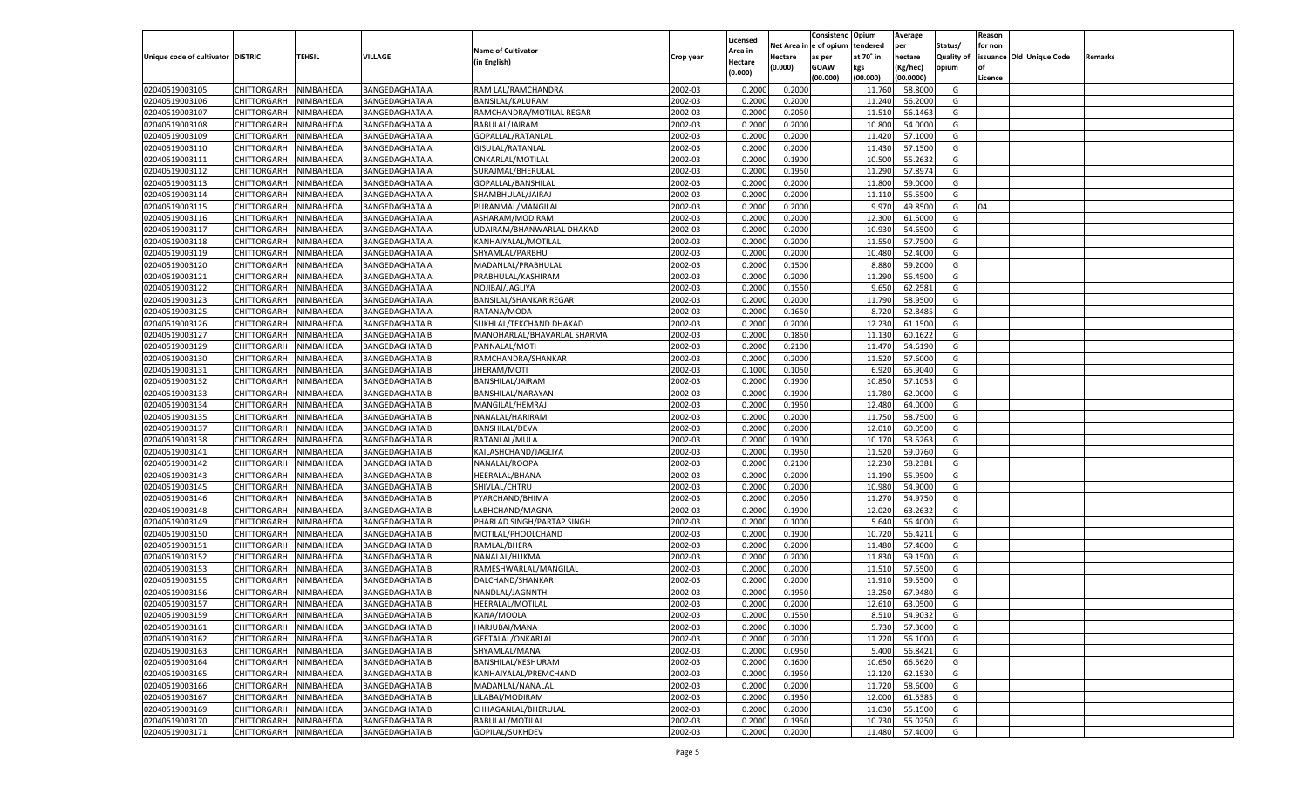|                                   |                                   |           |                       |                               |           |          |          | Consistenc Opium |           | Average   |                   | Reason    |                          |         |
|-----------------------------------|-----------------------------------|-----------|-----------------------|-------------------------------|-----------|----------|----------|------------------|-----------|-----------|-------------------|-----------|--------------------------|---------|
|                                   |                                   |           |                       |                               |           | Licensed | Net Area | e of opium       | tendered  | per       | Status/           | for non   |                          |         |
| Unique code of cultivator DISTRIC |                                   | TEHSIL    | VILLAGE               | <b>Name of Cultivator</b>     | Crop year | Area in  | Hectare  | as per           | at 70° in | hectare   | <b>Quality of</b> |           | issuance Old Unique Code | Remarks |
|                                   |                                   |           |                       | (in English)                  |           | Hectare  | (0.000)  | <b>GOAW</b>      | kgs       | (Kg/hec)  | opium             | <b>of</b> |                          |         |
|                                   |                                   |           |                       |                               |           | (0.000)  |          | (00.000)         | (00.000)  | (00.0000) |                   | Licence   |                          |         |
| 02040519003105                    | CHITTORGARH                       | NIMBAHEDA | <b>BANGEDAGHATA A</b> | RAM LAL/RAMCHANDRA            | 2002-03   | 0.2000   | 0.2000   |                  | 11.760    | 58.8000   | G                 |           |                          |         |
| 02040519003106                    | CHITTORGARH                       | NIMBAHEDA | <b>BANGEDAGHATA A</b> | BANSILAL/KALURAM              | 2002-03   | 0.2000   | 0.2000   |                  | 11.24     | 56.2000   | G                 |           |                          |         |
| 02040519003107                    | <b>CHITTORGARH</b>                | NIMBAHEDA | <b>BANGEDAGHATA A</b> | RAMCHANDRA/MOTILAL REGAR      | 2002-03   | 0.2000   | 0.2050   |                  | 11.51     | 56.1463   | G                 |           |                          |         |
| 02040519003108                    | CHITTORGARH                       | NIMBAHEDA | <b>BANGEDAGHATA A</b> | BABULAL/JAIRAM                | 2002-03   | 0.2000   | 0.2000   |                  | 10.800    | 54.0000   | G                 |           |                          |         |
| 02040519003109                    | <b>CHITTORGARH</b>                | NIMBAHEDA | <b>BANGEDAGHATA A</b> | GOPALLAL/RATANLAL             | 2002-03   | 0.2000   | 0.2000   |                  | 11.420    | 57.1000   | G                 |           |                          |         |
| 02040519003110                    | CHITTORGARH                       | NIMBAHEDA | <b>BANGEDAGHATA A</b> | GISULAL/RATANLAL              | 2002-03   | 0.2000   | 0.2000   |                  | 11.430    | 57.1500   | G                 |           |                          |         |
| 02040519003111                    | <b>CHITTORGARH</b>                | NIMBAHEDA | <b>BANGEDAGHATA A</b> | ONKARLAL/MOTILAL              | 2002-03   | 0.2000   | 0.1900   |                  | 10.500    | 55.2632   | G                 |           |                          |         |
| 02040519003112                    | CHITTORGARH                       | NIMBAHEDA | <b>BANGEDAGHATA A</b> | SURAJMAL/BHERULAL             | 2002-03   | 0.2000   | 0.1950   |                  | 11.290    | 57.8974   | G                 |           |                          |         |
| 02040519003113                    | <b>CHITTORGARH</b>                | NIMBAHEDA | <b>BANGEDAGHATA A</b> | GOPALLAL/BANSHILAL            | 2002-03   | 0.2000   | 0.2000   |                  | 11.800    | 59.0000   | G                 |           |                          |         |
| 02040519003114                    | CHITTORGARH                       | NIMBAHEDA | <b>BANGEDAGHATA A</b> | SHAMBHULAL/JAIRAJ             | 2002-03   | 0.2000   | 0.2000   |                  | 11.11     | 55.5500   | G                 |           |                          |         |
| 02040519003115                    | <b>CHITTORGARH</b>                | NIMBAHEDA | <b>BANGEDAGHATA A</b> | PURANMAL/MANGILAL             | 2002-03   | 0.2000   | 0.2000   |                  | 9.97      | 49.8500   | G                 | 04        |                          |         |
| 02040519003116                    | CHITTORGARH                       | NIMBAHEDA | <b>BANGEDAGHATA A</b> | ASHARAM/MODIRAM               | 2002-03   | 0.2000   | 0.2000   |                  | 12.300    | 61.5000   | G                 |           |                          |         |
| 02040519003117                    | <b>CHITTORGARH</b>                | NIMBAHEDA | <b>BANGEDAGHATA A</b> | UDAIRAM/BHANWARLAL DHAKAD     | 2002-03   | 0.2000   | 0.2000   |                  | 10.930    | 54.6500   | G                 |           |                          |         |
| 02040519003118                    | CHITTORGARH                       | NIMBAHEDA | <b>BANGEDAGHATA A</b> | KANHAIYALAL/MOTILAL           | 2002-03   | 0.2000   | 0.2000   |                  | 11.550    | 57.7500   | G                 |           |                          |         |
| 02040519003119                    | <b>CHITTORGARH</b>                | NIMBAHEDA | <b>BANGEDAGHATA A</b> | SHYAMLAL/PARBHU               | 2002-03   | 0.2000   | 0.2000   |                  | 10.480    | 52.4000   | G                 |           |                          |         |
| 02040519003120                    |                                   | NIMBAHEDA |                       |                               | 2002-03   | 0.2000   | 0.1500   |                  | 8.880     | 59.2000   | G                 |           |                          |         |
|                                   | CHITTORGARH<br><b>CHITTORGARH</b> | NIMBAHEDA | BANGEDAGHATA A        | MADANLAL/PRABHULAL            | 2002-03   | 0.2000   | 0.2000   |                  |           |           | G                 |           |                          |         |
| 02040519003121                    |                                   |           | <b>BANGEDAGHATA A</b> | PRABHULAL/KASHIRAM            |           |          |          |                  | 11.290    | 56.4500   |                   |           |                          |         |
| 02040519003122                    | CHITTORGARH                       | NIMBAHEDA | <b>BANGEDAGHATA A</b> | NOJIBAI/JAGLIYA               | 2002-03   | 0.2000   | 0.1550   |                  | 9.650     | 62.2581   | G                 |           |                          |         |
| 02040519003123                    | <b>CHITTORGARH</b>                | NIMBAHEDA | <b>BANGEDAGHATA A</b> | <b>BANSILAL/SHANKAR REGAR</b> | 2002-03   | 0.2000   | 0.2000   |                  | 11.790    | 58.9500   | G                 |           |                          |         |
| 02040519003125                    | CHITTORGARH                       | NIMBAHEDA | <b>BANGEDAGHATA A</b> | RATANA/MODA                   | 2002-03   | 0.2000   | 0.1650   |                  | 8.720     | 52.8485   | G                 |           |                          |         |
| 02040519003126                    | <b>CHITTORGARH</b>                | NIMBAHEDA | <b>BANGEDAGHATA B</b> | SUKHLAL/TEKCHAND DHAKAD       | 2002-03   | 0.2000   | 0.2000   |                  | 12.230    | 61.1500   | G                 |           |                          |         |
| 02040519003127                    | CHITTORGARH                       | NIMBAHEDA | <b>BANGEDAGHATA B</b> | MANOHARLAL/BHAVARLAL SHARMA   | 2002-03   | 0.2000   | 0.1850   |                  | 11.130    | 60.1622   | G                 |           |                          |         |
| 02040519003129                    | <b>CHITTORGARH</b>                | NIMBAHEDA | <b>BANGEDAGHATA B</b> | PANNALAL/MOTI                 | 2002-03   | 0.2000   | 0.2100   |                  | 11.470    | 54.6190   | G                 |           |                          |         |
| 02040519003130                    | CHITTORGARH                       | NIMBAHEDA | <b>BANGEDAGHATA B</b> | RAMCHANDRA/SHANKAR            | 2002-03   | 0.2000   | 0.2000   |                  | 11.520    | 57.6000   | G                 |           |                          |         |
| 02040519003131                    | <b>CHITTORGARH</b>                | NIMBAHEDA | <b>BANGEDAGHATA B</b> | JHERAM/MOTI                   | 2002-03   | 0.1000   | 0.1050   |                  | 6.920     | 65.9040   | G                 |           |                          |         |
| 02040519003132                    | CHITTORGARH                       | NIMBAHEDA | <b>BANGEDAGHATA B</b> | BANSHILAL/JAIRAM              | 2002-03   | 0.2000   | 0.1900   |                  | 10.850    | 57.105    | G                 |           |                          |         |
| 02040519003133                    | <b>CHITTORGARH</b>                | NIMBAHEDA | <b>BANGEDAGHATA B</b> | BANSHILAL/NARAYAN             | 2002-03   | 0.2000   | 0.1900   |                  | 11.780    | 62.0000   | G                 |           |                          |         |
| 02040519003134                    | CHITTORGARH                       | NIMBAHEDA | <b>BANGEDAGHATA B</b> | MANGILAL/HEMRAJ               | 2002-03   | 0.2000   | 0.1950   |                  | 12.480    | 64.0000   | G                 |           |                          |         |
| 02040519003135                    | <b>CHITTORGARH</b>                | NIMBAHEDA | <b>BANGEDAGHATA B</b> | NANALAL/HARIRAM               | 2002-03   | 0.2000   | 0.2000   |                  | 11.750    | 58.7500   | G                 |           |                          |         |
| 02040519003137                    | CHITTORGARH                       | NIMBAHEDA | <b>BANGEDAGHATA B</b> | <b>BANSHILAL/DEVA</b>         | 2002-03   | 0.2000   | 0.2000   |                  | 12.010    | 60.0500   | G                 |           |                          |         |
| 02040519003138                    | CHITTORGARH                       | NIMBAHEDA | <b>BANGEDAGHATA B</b> | RATANLAL/MULA                 | 2002-03   | 0.2000   | 0.1900   |                  | 10.170    | 53.5263   | G                 |           |                          |         |
| 02040519003141                    | CHITTORGARH                       | NIMBAHEDA | <b>BANGEDAGHATA B</b> | KAILASHCHAND/JAGLIYA          | 2002-03   | 0.2000   | 0.1950   |                  | 11.520    | 59.0760   | G                 |           |                          |         |
| 02040519003142                    | CHITTORGARH                       | NIMBAHEDA | <b>BANGEDAGHATA B</b> | NANALAL/ROOPA                 | 2002-03   | 0.2000   | 0.2100   |                  | 12.230    | 58.2381   | G                 |           |                          |         |
| 02040519003143                    | CHITTORGARH                       | NIMBAHEDA | <b>BANGEDAGHATA B</b> | HEERALAL/BHANA                | 2002-03   | 0.2000   | 0.2000   |                  | 11.190    | 55.9500   | G                 |           |                          |         |
| 02040519003145                    | CHITTORGARH                       | NIMBAHEDA | <b>BANGEDAGHATA B</b> | SHIVLAL/CHTRU                 | 2002-03   | 0.2000   | 0.2000   |                  | 10.98     | 54.9000   | G                 |           |                          |         |
| 02040519003146                    | CHITTORGARH                       | NIMBAHEDA | <b>BANGEDAGHATA B</b> | PYARCHAND/BHIMA               | 2002-03   | 0.2000   | 0.2050   |                  | 11.27     | 54.9750   | G                 |           |                          |         |
| 02040519003148                    | CHITTORGARH                       | NIMBAHEDA | <b>BANGEDAGHATA B</b> | LABHCHAND/MAGNA               | 2002-03   | 0.2000   | 0.1900   |                  | 12.020    | 63.2632   | G                 |           |                          |         |
| 02040519003149                    | CHITTORGARH                       | NIMBAHEDA | <b>BANGEDAGHATA B</b> | PHARLAD SINGH/PARTAP SINGH    | 2002-03   | 0.2000   | 0.1000   |                  | 5.640     | 56.4000   | G                 |           |                          |         |
| 02040519003150                    | CHITTORGARH                       | NIMBAHEDA | <b>BANGEDAGHATA B</b> | MOTILAL/PHOOLCHAND            | 2002-03   | 0.2000   | 0.1900   |                  | 10.720    | 56.4211   | G                 |           |                          |         |
| 02040519003151                    | CHITTORGARH                       | NIMBAHEDA | <b>BANGEDAGHATA B</b> | RAMLAL/BHERA                  | 2002-03   | 0.2000   | 0.2000   |                  | 11.480    | 57.4000   | G                 |           |                          |         |
| 02040519003152                    | CHITTORGARH                       | NIMBAHEDA | <b>BANGEDAGHATA B</b> | NANALAL/HUKMA                 | 2002-03   | 0.2000   | 0.2000   |                  | 11.830    | 59.1500   | G                 |           |                          |         |
| 02040519003153                    | CHITTORGARH                       | NIMBAHEDA | <b>BANGEDAGHATA B</b> | RAMESHWARLAL/MANGILAL         | 2002-03   | 0.2000   | 0.2000   |                  | 11.51     | 57.5500   | G                 |           |                          |         |
| 02040519003155                    | CHITTORGARH                       | NIMBAHEDA | <b>BANGEDAGHATA B</b> | DALCHAND/SHANKAR              | 2002-03   | 0.2000   | 0.2000   |                  | 11.91     | 59.5500   | G                 |           |                          |         |
| 02040519003156                    | CHITTORGARH                       | NIMBAHEDA | <b>BANGEDAGHATA B</b> | NANDLAL/JAGNNTH               | 2002-03   | 0.2000   | 0.1950   |                  | 13.250    | 67.9480   | G                 |           |                          |         |
| 02040519003157                    | CHITTORGARH                       | NIMBAHEDA | <b>BANGEDAGHATA B</b> | <b>HEERALAL/MOTILAL</b>       | 2002-03   | 0.2000   | 0.2000   |                  | 12.610    | 63.0500   | G                 |           |                          |         |
| 02040519003159                    | CHITTORGARH                       | NIMBAHEDA | <b>BANGEDAGHATA B</b> | KANA/MOOLA                    | 2002-03   | 0.2000   | 0.1550   |                  | 8.510     | 54.9032   | G                 |           |                          |         |
| 02040519003161                    | <b>CHITTORGARH</b>                | NIMBAHEDA | <b>BANGEDAGHATA B</b> | HARJUBAI/MANA                 | 2002-03   | 0.2000   | 0.1000   |                  | 5.730     | 57.3000   | G                 |           |                          |         |
| 02040519003162                    | CHITTORGARH                       | NIMBAHEDA | <b>BANGEDAGHATA B</b> | <b>GEETALAL/ONKARLAL</b>      | 2002-03   | 0.2000   | 0.2000   |                  | 11.220    | 56.1000   | G                 |           |                          |         |
| 02040519003163                    | <b>CHITTORGARH</b>                | NIMBAHEDA | <b>BANGEDAGHATA B</b> | SHYAMLAL/MANA                 | 2002-03   | 0.2000   | 0.0950   |                  | 5.400     | 56.8421   | G                 |           |                          |         |
| 02040519003164                    | <b>CHITTORGARH</b>                | NIMBAHEDA | <b>BANGEDAGHATA B</b> | BANSHILAL/KESHURAM            | 2002-03   | 0.2000   | 0.1600   |                  | 10.650    | 66.5620   | G                 |           |                          |         |
| 02040519003165                    | <b>CHITTORGARH</b>                | NIMBAHEDA | <b>BANGEDAGHATA B</b> |                               | 2002-03   |          | 0.1950   |                  |           |           | G                 |           |                          |         |
|                                   |                                   |           |                       | KANHAIYALAL/PREMCHAND         |           | 0.2000   |          |                  | 12.120    | 62.1530   |                   |           |                          |         |
| 02040519003166                    | <b>CHITTORGARH</b>                | NIMBAHEDA | <b>BANGEDAGHATA B</b> | MADANLAL/NANALAL              | 2002-03   | 0.2000   | 0.2000   |                  | 11.720    | 58.6000   | G                 |           |                          |         |
| 02040519003167                    | <b>CHITTORGARH</b>                | NIMBAHEDA | <b>BANGEDAGHATA B</b> | LILABAI/MODIRAM               | 2002-03   | 0.2000   | 0.1950   |                  | 12.000    | 61.5385   | G                 |           |                          |         |
| 02040519003169                    | <b>CHITTORGARH</b>                | NIMBAHEDA | <b>BANGEDAGHATA B</b> | CHHAGANLAL/BHERULAL           | 2002-03   | 0.2000   | 0.2000   |                  | 11.030    | 55.1500   | G                 |           |                          |         |
| 02040519003170                    | <b>CHITTORGARH</b>                | NIMBAHEDA | <b>BANGEDAGHATA B</b> | <b>BABULAL/MOTILAL</b>        | 2002-03   | 0.2000   | 0.1950   |                  | 10.730    | 55.0250   | G                 |           |                          |         |
| 02040519003171                    | CHITTORGARH                       | NIMBAHEDA | <b>BANGEDAGHATA B</b> | GOPILAL/SUKHDEV               | 2002-03   | 0.2000   | 0.2000   |                  | 11.480    | 57.4000   | G                 |           |                          |         |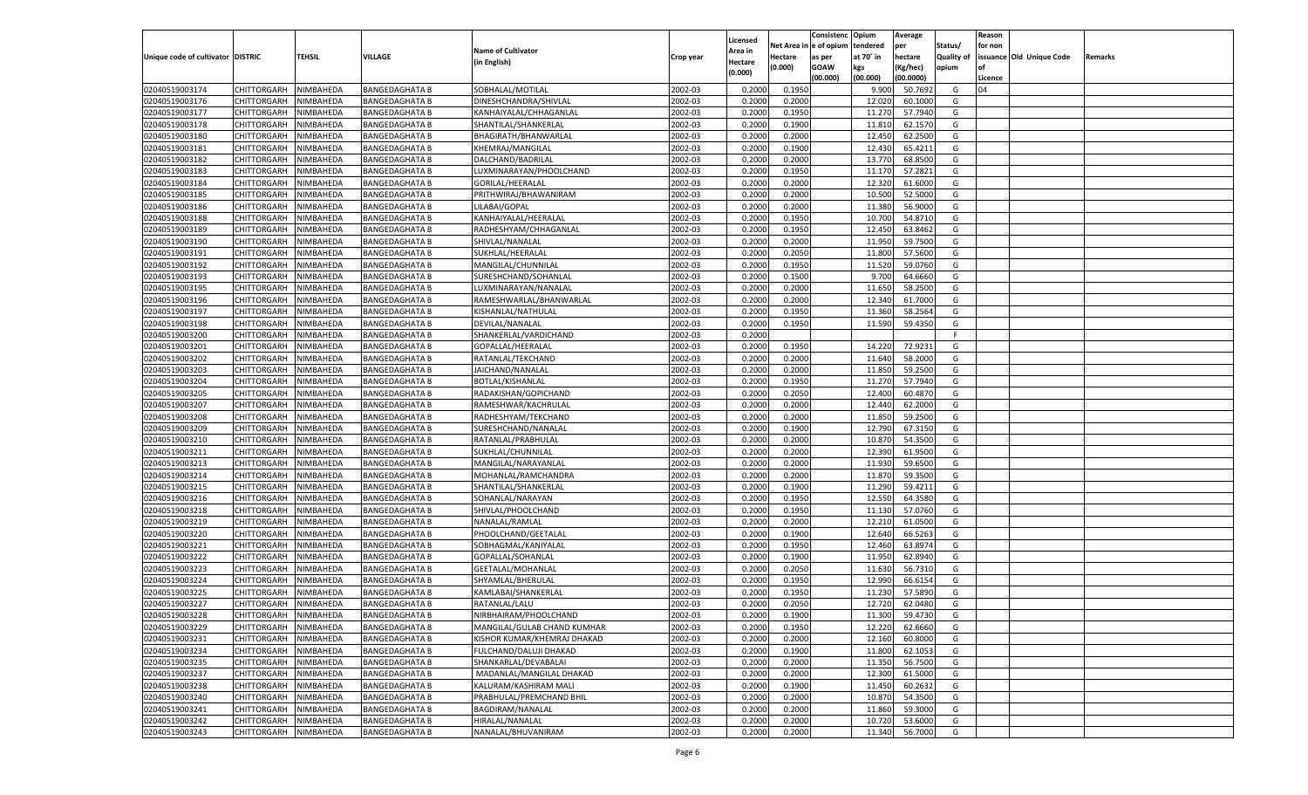|                                   |                       |           |                       |                             |           |          |          | Consistenc Opium |           | Average   |                   | Reason    |                          |         |
|-----------------------------------|-----------------------|-----------|-----------------------|-----------------------------|-----------|----------|----------|------------------|-----------|-----------|-------------------|-----------|--------------------------|---------|
|                                   |                       |           |                       |                             |           | Licensed | Net Area | e of opium       | tendered  | per       | Status/           | for non   |                          |         |
| Unique code of cultivator DISTRIC |                       | TEHSIL    | VILLAGE               | <b>Name of Cultivator</b>   | Crop year | Area in  | Hectare  | as per           | at 70° in | hectare   | <b>Quality of</b> |           | issuance Old Unique Code | Remarks |
|                                   |                       |           |                       | (in English)                |           | Hectare  | (0.000)  | <b>GOAW</b>      | kgs       | (Kg/hec)  | opium             | <b>of</b> |                          |         |
|                                   |                       |           |                       |                             |           | (0.000)  |          | (00.000)         | (00.000)  | (00.0000) |                   | Licence   |                          |         |
|                                   |                       |           |                       |                             |           |          |          |                  |           |           |                   |           |                          |         |
| 02040519003174                    | CHITTORGARH           | NIMBAHEDA | <b>BANGEDAGHATA B</b> | SOBHALAL/MOTILAL            | 2002-03   | 0.2000   | 0.1950   |                  | 9.900     | 50.7692   | G                 | 04        |                          |         |
| 02040519003176                    | <b>CHITTORGARH</b>    | NIMBAHEDA | <b>BANGEDAGHATA B</b> | DINESHCHANDRA/SHIVLAL       | 2002-03   | 0.2000   | 0.2000   |                  | 12.020    | 60.1000   | G                 |           |                          |         |
| 02040519003177                    | <b>CHITTORGARH</b>    | NIMBAHEDA | <b>BANGEDAGHATA B</b> | KANHAIYALAL/CHHAGANLAL      | 2002-03   | 0.2000   | 0.1950   |                  | 11.270    | 57.7940   | G                 |           |                          |         |
| 02040519003178                    | CHITTORGARH           | NIMBAHEDA | <b>BANGEDAGHATA B</b> | SHANTILAL/SHANKERLAL        | 2002-03   | 0.2000   | 0.1900   |                  | 11.81     | 62.1570   | G                 |           |                          |         |
| 02040519003180                    | <b>CHITTORGARH</b>    | NIMBAHEDA | <b>BANGEDAGHATA B</b> | BHAGIRATH/BHANWARLAL        | 2002-03   | 0.2000   | 0.2000   |                  | 12.450    | 62.2500   | G                 |           |                          |         |
| 02040519003181                    | CHITTORGARH           | NIMBAHEDA | <b>BANGEDAGHATA B</b> | KHEMRAJ/MANGILAL            | 2002-03   | 0.2000   | 0.1900   |                  | 12.430    | 65.4211   | G                 |           |                          |         |
| 02040519003182                    | <b>CHITTORGARH</b>    | NIMBAHEDA | <b>BANGEDAGHATA B</b> | DALCHAND/BADRILAL           | 2002-03   | 0.2000   | 0.2000   |                  | 13.770    | 68.8500   | G                 |           |                          |         |
| 02040519003183                    | CHITTORGARH           | NIMBAHEDA | <b>BANGEDAGHATA B</b> | LUXMINARAYAN/PHOOLCHAND     | 2002-03   | 0.2000   | 0.1950   |                  | 11.170    | 57.2821   | G                 |           |                          |         |
| 02040519003184                    | <b>CHITTORGARH</b>    | NIMBAHEDA |                       | <b>GORILAL/HEERALAL</b>     | 2002-03   | 0.2000   | 0.2000   |                  | 12.320    | 61.6000   | G                 |           |                          |         |
|                                   |                       |           | <b>BANGEDAGHATA B</b> |                             |           |          |          |                  |           |           |                   |           |                          |         |
| 02040519003185                    | CHITTORGARH           | NIMBAHEDA | <b>BANGEDAGHATA B</b> | PRITHWIRAJ/BHAWANIRAM       | 2002-03   | 0.2000   | 0.2000   |                  | 10.500    | 52.5000   | G                 |           |                          |         |
| 02040519003186                    | <b>CHITTORGARH</b>    | NIMBAHEDA | <b>BANGEDAGHATA B</b> | LILABAI/GOPAL               | 2002-03   | 0.2000   | 0.2000   |                  | 11.380    | 56.9000   | G                 |           |                          |         |
| 02040519003188                    | CHITTORGARH           | NIMBAHEDA | <b>BANGEDAGHATA B</b> | KANHAIYALAL/HEERALAL        | 2002-03   | 0.2000   | 0.1950   |                  | 10.700    | 54.8710   | G                 |           |                          |         |
| 02040519003189                    | <b>CHITTORGARH</b>    | NIMBAHEDA | <b>BANGEDAGHATA B</b> | RADHESHYAM/CHHAGANLAL       | 2002-03   | 0.2000   | 0.1950   |                  | 12.450    | 63.8462   | G                 |           |                          |         |
| 02040519003190                    | CHITTORGARH           | NIMBAHEDA | <b>BANGEDAGHATA B</b> | SHIVLAL/NANALAL             | 2002-03   | 0.2000   | 0.2000   |                  | 11.95     | 59.7500   | G                 |           |                          |         |
| 02040519003191                    | <b>CHITTORGARH</b>    | NIMBAHEDA | <b>BANGEDAGHATA B</b> | SUKHLAL/HEERALAL            | 2002-03   | 0.2000   | 0.2050   |                  | 11.800    | 57.5600   | G                 |           |                          |         |
| 02040519003192                    | CHITTORGARH           | NIMBAHEDA | <b>BANGEDAGHATA B</b> | MANGILAL/CHUNNILAL          | 2002-03   | 0.2000   | 0.1950   |                  | 11.520    | 59.0760   | G                 |           |                          |         |
| 02040519003193                    | <b>CHITTORGARH</b>    | NIMBAHEDA | <b>BANGEDAGHATA B</b> | SURESHCHAND/SOHANLAL        | 2002-03   | 0.2000   | 0.1500   |                  | 9.700     | 64.6660   | G                 |           |                          |         |
| 02040519003195                    | CHITTORGARH           | NIMBAHEDA | <b>BANGEDAGHATA B</b> | LUXMINARAYAN/NANALAL        | 2002-03   | 0.2000   | 0.2000   |                  | 11.650    | 58.2500   | G                 |           |                          |         |
|                                   | <b>CHITTORGARH</b>    | NIMBAHEDA |                       |                             | 2002-03   |          | 0.2000   |                  |           | 61.7000   | G                 |           |                          |         |
| 02040519003196                    |                       |           | <b>BANGEDAGHATA B</b> | RAMESHWARLAL/BHANWARLAL     |           | 0.2000   |          |                  | 12.34     |           |                   |           |                          |         |
| 02040519003197                    | CHITTORGARH           | NIMBAHEDA | <b>BANGEDAGHATA B</b> | KISHANLAL/NATHULAL          | 2002-03   | 0.2000   | 0.1950   |                  | 11.360    | 58.2564   | G                 |           |                          |         |
| 02040519003198                    | <b>CHITTORGARH</b>    | NIMBAHEDA | <b>BANGEDAGHATA B</b> | DEVILAL/NANALAL             | 2002-03   | 0.2000   | 0.1950   |                  | 11.590    | 59.4350   | G                 |           |                          |         |
| 02040519003200                    | CHITTORGARH           | NIMBAHEDA | <b>BANGEDAGHATA B</b> | SHANKERLAL/VARDICHAND       | 2002-03   | 0.2000   |          |                  |           |           | F                 |           |                          |         |
| 02040519003201                    | <b>CHITTORGARH</b>    | NIMBAHEDA | <b>BANGEDAGHATA B</b> | GOPALLAL/HEERALAI           | 2002-03   | 0.2000   | 0.1950   |                  | 14.220    | 72.9231   | G                 |           |                          |         |
| 02040519003202                    | CHITTORGARH           | NIMBAHEDA | <b>BANGEDAGHATA B</b> | RATANLAL/TEKCHAND           | 2002-03   | 0.2000   | 0.2000   |                  | 11.640    | 58.2000   | G                 |           |                          |         |
| 02040519003203                    | <b>CHITTORGARH</b>    | NIMBAHEDA | <b>BANGEDAGHATA B</b> | JAICHAND/NANALAL            | 2002-03   | 0.2000   | 0.2000   |                  | 11.850    | 59.2500   | G                 |           |                          |         |
| 02040519003204                    | CHITTORGARH           | NIMBAHEDA | <b>BANGEDAGHATA B</b> | <b>BOTLAL/KISHANLAL</b>     | 2002-03   | 0.2000   | 0.1950   |                  | 11.270    | 57.7940   | G                 |           |                          |         |
| 02040519003205                    | <b>CHITTORGARH</b>    | NIMBAHEDA | <b>BANGEDAGHATA B</b> | RADAKISHAN/GOPICHAND        | 2002-03   | 0.2000   | 0.2050   |                  | 12.400    | 60.4870   | G                 |           |                          |         |
| 02040519003207                    | CHITTORGARH           | NIMBAHEDA | <b>BANGEDAGHATA B</b> | RAMESHWAR/KACHRULAL         | 2002-03   | 0.2000   | 0.2000   |                  | 12.440    | 62.2000   | G                 |           |                          |         |
| 02040519003208                    | <b>CHITTORGARH</b>    | NIMBAHEDA | <b>BANGEDAGHATA B</b> | RADHESHYAM/TEKCHAND         | 2002-03   | 0.2000   | 0.2000   |                  | 11.850    | 59.2500   | G                 |           |                          |         |
| 02040519003209                    | CHITTORGARH           | NIMBAHEDA | <b>BANGEDAGHATA B</b> | SURESHCHAND/NANALAL         | 2002-03   | 0.2000   | 0.1900   |                  | 12.790    | 67.3150   | G                 |           |                          |         |
| 02040519003210                    | CHITTORGARH           | NIMBAHEDA | <b>BANGEDAGHATA B</b> | RATANLAL/PRABHULAL          | 2002-03   | 0.2000   | 0.2000   |                  | 10.87     | 54.3500   | G                 |           |                          |         |
|                                   |                       |           |                       |                             |           |          |          |                  |           |           | G                 |           |                          |         |
| 02040519003211                    | CHITTORGARH           | NIMBAHEDA | <b>BANGEDAGHATA B</b> | SUKHLAL/CHUNNILAL           | 2002-03   | 0.2000   | 0.2000   |                  | 12.390    | 61.9500   |                   |           |                          |         |
| 02040519003213                    | CHITTORGARH           | NIMBAHEDA | <b>BANGEDAGHATA B</b> | MANGILAL/NARAYANLAL         | 2002-03   | 0.2000   | 0.2000   |                  | 11.930    | 59.6500   | G                 |           |                          |         |
| 02040519003214                    | CHITTORGARH           | NIMBAHEDA | <b>BANGEDAGHATA B</b> | MOHANLAL/RAMCHANDRA         | 2002-03   | 0.2000   | 0.2000   |                  | 11.87     | 59.3500   | G                 |           |                          |         |
| 02040519003215                    | CHITTORGARH           | NIMBAHEDA | <b>BANGEDAGHATA B</b> | SHANTILAL/SHANKERLAI        | 2002-03   | 0.2000   | 0.1900   |                  | 11.290    | 59.4211   | G                 |           |                          |         |
| 02040519003216                    | CHITTORGARH           | NIMBAHEDA | <b>BANGEDAGHATA B</b> | SOHANLAL/NARAYAN            | 2002-03   | 0.2000   | 0.1950   |                  | 12.550    | 64.3580   | G                 |           |                          |         |
| 02040519003218                    | CHITTORGARH           | NIMBAHEDA | <b>BANGEDAGHATA B</b> | SHIVLAL/PHOOLCHAND          | 2002-03   | 0.2000   | 0.1950   |                  | 11.130    | 57.0760   | G                 |           |                          |         |
| 02040519003219                    | CHITTORGARH           | NIMBAHEDA | <b>BANGEDAGHATA B</b> | NANALAL/RAMLAL              | 2002-03   | 0.2000   | 0.2000   |                  | 12.21     | 61.0500   | G                 |           |                          |         |
| 02040519003220                    | CHITTORGARH           | NIMBAHEDA | <b>BANGEDAGHATA B</b> | PHOOLCHAND/GEETALAL         | 2002-03   | 0.2000   | 0.1900   |                  | 12.640    | 66.5263   | G                 |           |                          |         |
| 02040519003221                    | CHITTORGARH           | NIMBAHEDA | <b>BANGEDAGHATA B</b> | SOBHAGMAL/KANIYALAL         | 2002-03   | 0.2000   | 0.1950   |                  | 12.460    | 63.8974   | G                 |           |                          |         |
| 02040519003222                    | CHITTORGARH           | NIMBAHEDA | <b>BANGEDAGHATA B</b> | GOPALLAL/SOHANLAL           | 2002-03   | 0.2000   | 0.1900   |                  | 11.95     | 62.8940   | G                 |           |                          |         |
| 02040519003223                    | CHITTORGARH           | NIMBAHEDA | <b>BANGEDAGHATA B</b> | <b>GEETALAL/MOHANLAL</b>    | 2002-03   | 0.2000   | 0.2050   |                  | 11.630    | 56.731    | G                 |           |                          |         |
| 02040519003224                    | CHITTORGARH           | NIMBAHEDA | <b>BANGEDAGHATA B</b> | SHYAMLAL/BHERULAL           | 2002-03   | 0.2000   | 0.1950   |                  | 12.990    | 66.615    | G                 |           |                          |         |
| 02040519003225                    | CHITTORGARH           | NIMBAHEDA | <b>BANGEDAGHATA B</b> | KAMLABAI/SHANKERLAL         | 2002-03   | 0.2000   | 0.1950   |                  | 11.23     | 57.589    | G                 |           |                          |         |
|                                   |                       |           |                       |                             |           |          |          |                  |           |           |                   |           |                          |         |
| 02040519003227                    | CHITTORGARH           | NIMBAHEDA | <b>BANGEDAGHATA B</b> | RATANLAL/LALU               | 2002-03   | 0.2000   | 0.2050   |                  | 12.720    | 62.0480   | G                 |           |                          |         |
| 02040519003228                    | CHITTORGARH NIMBAHEDA |           | <b>BANGEDAGHATA B</b> | NIRBHAIRAM/PHOOLCHAND       | 2002-03   | 0.2000   | 0.1900   |                  | 11.300    | 59.4730   | G                 |           |                          |         |
| 02040519003229                    | <b>CHITTORGARH</b>    | NIMBAHEDA | <b>BANGEDAGHATA B</b> | MANGILAL/GULAB CHAND KUMHAR | 2002-03   | 0.2000   | 0.1950   |                  | 12.220    | 62.6660   | G                 |           |                          |         |
| 02040519003231                    | CHITTORGARH           | NIMBAHEDA | <b>BANGEDAGHATA B</b> | KISHOR KUMAR/KHEMRAJ DHAKAD | 2002-03   | 0.2000   | 0.2000   |                  | 12.160    | 60.8000   | G                 |           |                          |         |
| 02040519003234                    | <b>CHITTORGARH</b>    | NIMBAHEDA | <b>BANGEDAGHATA B</b> | FULCHAND/DALUJI DHAKAD      | 2002-03   | 0.2000   | 0.1900   |                  | 11.800    | 62.1053   | G                 |           |                          |         |
| 02040519003235                    | <b>CHITTORGARH</b>    | NIMBAHEDA | <b>BANGEDAGHATA B</b> | SHANKARLAL/DEVABALAI        | 2002-03   | 0.2000   | 0.2000   |                  | 11.350    | 56.7500   | G                 |           |                          |         |
| 02040519003237                    | <b>CHITTORGARH</b>    | NIMBAHEDA | <b>BANGEDAGHATA B</b> | MADANLAL/MANGILAL DHAKAD    | 2002-03   | 0.2000   | 0.2000   |                  | 12.300    | 61.5000   | G                 |           |                          |         |
| 02040519003238                    | <b>CHITTORGARH</b>    | NIMBAHEDA | <b>BANGEDAGHATA B</b> | KALURAM/KASHIRAM MALI       | 2002-03   | 0.2000   | 0.1900   |                  | 11.450    | 60.2632   | G                 |           |                          |         |
| 02040519003240                    | <b>CHITTORGARH</b>    | NIMBAHEDA | <b>BANGEDAGHATA B</b> | PRABHULAL/PREMCHAND BHIL    | 2002-03   | 0.2000   | 0.2000   |                  | 10.870    | 54.3500   | G                 |           |                          |         |
| 02040519003241                    | <b>CHITTORGARH</b>    | NIMBAHEDA | <b>BANGEDAGHATA B</b> | BAGDIRAM/NANALAL            | 2002-03   | 0.2000   | 0.2000   |                  | 11.860    | 59.3000   | G                 |           |                          |         |
| 02040519003242                    | CHITTORGARH           | NIMBAHEDA | <b>BANGEDAGHATA B</b> | HIRALAL/NANALAL             | 2002-03   | 0.2000   | 0.2000   |                  | 10.720    | 53.6000   | G                 |           |                          |         |
|                                   |                       |           | <b>BANGEDAGHATA B</b> |                             |           |          |          |                  |           |           |                   |           |                          |         |
| 02040519003243                    | CHITTORGARH           | NIMBAHEDA |                       | NANALAL/BHUVANIRAM          | 2002-03   | 0.2000   | 0.2000   |                  | 11.340    | 56.7000   | G                 |           |                          |         |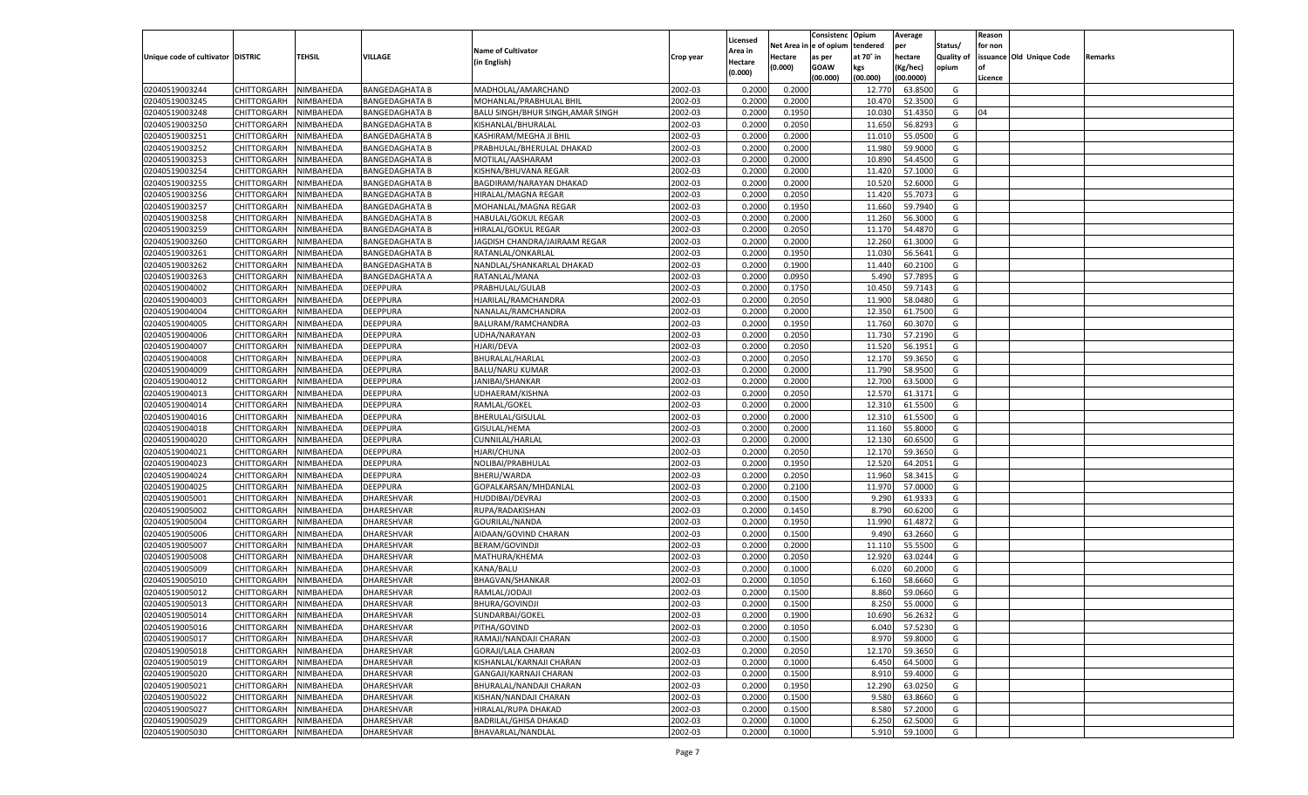|                                   |                    |               |                       |                                   |           |                     |                        | Consistenc Opium |           | Average   |                   | Reason  |                          |         |
|-----------------------------------|--------------------|---------------|-----------------------|-----------------------------------|-----------|---------------------|------------------------|------------------|-----------|-----------|-------------------|---------|--------------------------|---------|
|                                   |                    |               |                       | <b>Name of Cultivator</b>         |           | Licensed<br>Area in | Net Area in e of opium |                  | tendered  | per       | Status/           | for non |                          |         |
| Unique code of cultivator DISTRIC |                    | <b>TEHSIL</b> | VILLAGE               | (in English)                      | Crop year | <b>lectare</b>      | Hectare                | as per           | at 70° in | hectare   | <b>Quality of</b> |         | issuance Old Unique Code | Remarks |
|                                   |                    |               |                       |                                   |           | (0.000)             | (0.000)                | <b>GOAW</b>      | kgs       | (Kg/hec)  | opium             |         |                          |         |
|                                   |                    |               |                       |                                   |           |                     |                        | (00.000)         | (00.000)  | (00.0000) |                   | Licence |                          |         |
| 02040519003244                    | <b>CHITTORGARH</b> | NIMBAHEDA     | <b>BANGEDAGHATA B</b> | MADHOLAL/AMARCHAND                | 2002-03   | 0.2000              | 0.2000                 |                  | 12.770    | 63.850    | G                 |         |                          |         |
| 02040519003245                    | CHITTORGARH        | NIMBAHEDA     | <b>BANGEDAGHATA B</b> | MOHANLAL/PRABHULAL BHIL           | 2002-03   | 0.2000              | 0.2000                 |                  | 10.470    | 52.3500   | G                 |         |                          |         |
| 02040519003248                    | <b>CHITTORGARH</b> | NIMBAHEDA     | <b>BANGEDAGHATA B</b> | BALU SINGH/BHUR SINGH, AMAR SINGH | 2002-03   | 0.2000              | 0.1950                 |                  | 10.030    | 51.4350   | G                 | 04      |                          |         |
| 02040519003250                    | CHITTORGARH        | NIMBAHEDA     | <b>BANGEDAGHATA B</b> | KISHANLAL/BHURALAL                | 2002-03   | 0.2000              | 0.2050                 |                  | 11.650    | 56.8293   | G                 |         |                          |         |
| 02040519003251                    | CHITTORGARH        | NIMBAHEDA     | <b>BANGEDAGHATA B</b> | KASHIRAM/MEGHA JI BHIL            | 2002-03   | 0.2000              | 0.2000                 |                  | 11.010    | 55.050    | G                 |         |                          |         |
| 02040519003252                    | CHITTORGARH        | NIMBAHEDA     | <b>BANGEDAGHATA B</b> | PRABHULAL/BHERULAL DHAKAD         | 2002-03   | 0.2000              | 0.2000                 |                  | 11.980    | 59.9000   | G                 |         |                          |         |
| 02040519003253                    | <b>CHITTORGARH</b> | NIMBAHEDA     | <b>BANGEDAGHATA B</b> | MOTILAL/AASHARAM                  | 2002-03   | 0.2000              | 0.2000                 |                  | 10.890    | 54.4500   | G                 |         |                          |         |
| 02040519003254                    | CHITTORGARH        | NIMBAHEDA     | <b>BANGEDAGHATA B</b> | KISHNA/BHUVANA REGAR              | 2002-03   | 0.2000              | 0.2000                 |                  | 11.420    | 57.1000   | G                 |         |                          |         |
| 02040519003255                    | <b>CHITTORGARH</b> | NIMBAHEDA     | <b>BANGEDAGHATA B</b> | BAGDIRAM/NARAYAN DHAKAD           | 2002-03   | 0.2000              | 0.2000                 |                  | 10.520    | 52.6000   | G                 |         |                          |         |
| 02040519003256                    | CHITTORGARH        | NIMBAHEDA     | <b>BANGEDAGHATA B</b> | HIRALAL/MAGNA REGAR               | 2002-03   | 0.2000              | 0.2050                 |                  | 11.420    | 55.7073   | G                 |         |                          |         |
| 02040519003257                    | <b>CHITTORGARH</b> | NIMBAHEDA     | <b>BANGEDAGHATA B</b> | MOHANLAL/MAGNA REGAR              | 2002-03   | 0.2000              | 0.1950                 |                  | 11.660    | 59.7940   | G                 |         |                          |         |
| 02040519003258                    | CHITTORGARH        | NIMBAHEDA     | <b>BANGEDAGHATA B</b> | HABULAL/GOKUL REGAR               | 2002-03   | 0.2000              | 0.2000                 |                  | 11.260    | 56.3000   | G                 |         |                          |         |
| 02040519003259                    | CHITTORGARH        | NIMBAHEDA     | <b>BANGEDAGHATA B</b> | HIRALAL/GOKUL REGAR               | 2002-03   | 0.2000              | 0.2050                 |                  | 11.170    | 54.4870   | G                 |         |                          |         |
| 02040519003260                    | CHITTORGARH        | NIMBAHEDA     | <b>BANGEDAGHATA B</b> | JAGDISH CHANDRA/JAIRAAM REGAR     | 2002-03   | 0.2000              | 0.2000                 |                  | 12.260    | 61.3000   | G                 |         |                          |         |
| 02040519003261                    | <b>CHITTORGARH</b> | NIMBAHEDA     | <b>BANGEDAGHATA B</b> | RATANLAL/ONKARLAL                 | 2002-03   | 0.2000              | 0.1950                 |                  | 11.030    | 56.564    | G                 |         |                          |         |
| 02040519003262                    | CHITTORGARH        | NIMBAHEDA     | <b>BANGEDAGHATA B</b> | NANDLAL/SHANKARLAL DHAKAD         | 2002-03   | 0.2000              | 0.1900                 |                  | 11.440    | 60.2100   | G                 |         |                          |         |
| 02040519003263                    | CHITTORGARH        | NIMBAHEDA     | <b>BANGEDAGHATA A</b> | RATANLAL/MANA                     | 2002-03   | 0.2000              | 0.0950                 |                  | 5.490     | 57.789    | G                 |         |                          |         |
| 02040519004002                    | CHITTORGARH        | NIMBAHEDA     | <b>DEEPPURA</b>       | PRABHULAL/GULAB                   | 2002-03   | 0.2000              | 0.1750                 |                  | 10.450    | 59.7143   | G                 |         |                          |         |
| 02040519004003                    | <b>CHITTORGARH</b> | NIMBAHEDA     | <b>DEEPPURA</b>       | HJARILAL/RAMCHANDRA               | 2002-03   | 0.2000              | 0.2050                 |                  | 11.900    | 58.0480   | G                 |         |                          |         |
| 02040519004004                    | CHITTORGARH        | NIMBAHEDA     | <b>DEEPPURA</b>       | NANALAL/RAMCHANDRA                | 2002-03   | 0.2000              | 0.2000                 |                  | 12.350    | 61.7500   | G                 |         |                          |         |
| 02040519004005                    | CHITTORGARH        | NIMBAHEDA     | <b>DEEPPURA</b>       | BALURAM/RAMCHANDRA                | 2002-03   | 0.2000              | 0.1950                 |                  | 11.760    | 60.3070   | G                 |         |                          |         |
| 02040519004006                    | CHITTORGARH        | NIMBAHEDA     | <b>DEEPPURA</b>       | JDHA/NARAYAN                      | 2002-03   | 0.2000              | 0.2050                 |                  | 11.730    | 57.2190   | G                 |         |                          |         |
| 02040519004007                    | <b>CHITTORGARH</b> | NIMBAHEDA     | <b>DEEPPURA</b>       | HJARI/DEVA                        | 2002-03   | 0.2000              | 0.2050                 |                  | 11.520    | 56.1951   | G                 |         |                          |         |
| 02040519004008                    | CHITTORGARH        | NIMBAHEDA     | <b>DEEPPURA</b>       | BHURALAL/HARLAL                   | 2002-03   | 0.2000              | 0.2050                 |                  | 12.170    | 59.3650   | G                 |         |                          |         |
| 02040519004009                    | CHITTORGARH        | NIMBAHEDA     | <b>DEEPPURA</b>       | <b>BALU/NARU KUMAR</b>            | 2002-03   | 0.2000              | 0.2000                 |                  | 11.790    | 58.9500   | G                 |         |                          |         |
| 02040519004012                    | CHITTORGARH        | NIMBAHEDA     | <b>DEEPPURA</b>       | JANIBAI/SHANKAR                   | 2002-03   | 0.2000              | 0.2000                 |                  | 12.700    | 63.5000   | G                 |         |                          |         |
| 02040519004013                    | <b>CHITTORGARH</b> | NIMBAHEDA     | <b>DEEPPURA</b>       | JDHAERAM/KISHNA                   | 2002-03   | 0.2000              | 0.2050                 |                  | 12.570    | 61.3171   | G                 |         |                          |         |
| 02040519004014                    | CHITTORGARH        | NIMBAHEDA     | <b>DEEPPURA</b>       | RAMLAL/GOKEL                      | 2002-03   | 0.2000              | 0.2000                 |                  | 12.310    | 61.5500   | G                 |         |                          |         |
| 02040519004016                    | CHITTORGARH        | NIMBAHEDA     | <b>DEEPPURA</b>       | BHERULAL/GISULAL                  | 2002-03   | 0.2000              | 0.2000                 |                  | 12.310    | 61.5500   | G                 |         |                          |         |
| 02040519004018                    | CHITTORGARH        | NIMBAHEDA     | <b>DEEPPURA</b>       | GISULAL/HEMA                      | 2002-03   | 0.2000              | 0.2000                 |                  | 11.160    | 55.8000   | G                 |         |                          |         |
| 02040519004020                    | <b>CHITTORGARH</b> | NIMBAHEDA     | <b>DEEPPURA</b>       | CUNNILAL/HARLAL                   | 2002-03   | 0.2000              | 0.2000                 |                  | 12.130    | 60.650    | G                 |         |                          |         |
| 02040519004021                    | CHITTORGARH        | NIMBAHEDA     | <b>DEEPPURA</b>       | HJARI/CHUNA                       | 2002-03   | 0.2000              | 0.2050                 |                  | 12.170    | 59.3650   | G                 |         |                          |         |
| 02040519004023                    | <b>CHITTORGARH</b> | NIMBAHEDA     | <b>DEEPPURA</b>       | NOLIBAI/PRABHULAL                 | 2002-03   | 0.2000              | 0.1950                 |                  | 12.520    | 64.205    | G                 |         |                          |         |
| 02040519004024                    | CHITTORGARH        | NIMBAHEDA     | <b>DEEPPURA</b>       | BHERU/WARDA                       | 2002-03   | 0.2000              | 0.2050                 |                  | 11.960    | 58.3415   | G                 |         |                          |         |
| 02040519004025                    | CHITTORGARH        | NIMBAHEDA     | <b>DEEPPURA</b>       | GOPALKARSAN/MHDANLAL              | 2002-03   | 0.2000              | 0.2100                 |                  | 11.97     | 57.0000   | G                 |         |                          |         |
| 02040519005001                    | CHITTORGARH        | NIMBAHEDA     | DHARESHVAR            | HUDDIBAI/DEVRAJ                   | 2002-03   | 0.2000              | 0.1500                 |                  | 9.290     | 61.933    | G                 |         |                          |         |
| 02040519005002                    | <b>CHITTORGARH</b> | NIMBAHEDA     | DHARESHVAR            | RUPA/RADAKISHAN                   | 2002-03   | 0.2000              | 0.1450                 |                  | 8.790     | 60.620    | G                 |         |                          |         |
| 02040519005004                    | CHITTORGARH        | NIMBAHEDA     | DHARESHVAR            | GOURILAL/NANDA                    | 2002-03   | 0.2000              | 0.1950                 |                  | 11.990    | 61.487    | G                 |         |                          |         |
| 02040519005006                    | CHITTORGARH        | NIMBAHEDA     | DHARESHVAR            | AIDAAN/GOVIND CHARAN              | 2002-03   | 0.2000              | 0.1500                 |                  | 9.490     | 63.2660   | G                 |         |                          |         |
| 02040519005007                    | CHITTORGARH        | NIMBAHEDA     | DHARESHVAR            | BERAM/GOVINDJI                    | 2002-03   | 0.2000              | 0.2000                 |                  | 11.110    | 55.550    | G                 |         |                          |         |
| 02040519005008                    | <b>CHITTORGARH</b> | NIMBAHEDA     | DHARESHVAR            | MATHURA/KHEMA                     | 2002-03   | 0.2000              | 0.2050                 |                  | 12.920    | 63.024    | G                 |         |                          |         |
| 02040519005009                    | CHITTORGARH        | NIMBAHEDA     | DHARESHVAR            | KANA/BALU                         | 2002-03   | 0.2000              | 0.1000                 |                  | 6.020     | 60.2000   | G                 |         |                          |         |
| 02040519005010                    | <b>CHITTORGARH</b> | NIMBAHEDA     | DHARESHVAR            | BHAGVAN/SHANKAR                   | 2002-03   | 0.2000              | 0.1050                 |                  | 6.160     | 58.666    | G                 |         |                          |         |
| 02040519005012                    | CHITTORGARH        | NIMBAHEDA     | DHARESHVAR            | RAMLAL/JODAJI                     | 2002-03   | 0.2000              | 0.1500                 |                  | 8.860     | 59.0660   | G                 |         |                          |         |
| 02040519005013                    | <b>CHITTORGARH</b> | NIMBAHEDA     | <b>DHARESHVAR</b>     | BHURA/GOVINDJI                    | 2002-03   | 0.2000              | 0.1500                 |                  | 8.250     | 55.0000   | G                 |         |                          |         |
| 02040519005014                    | CHITTORGARH        | NIMBAHEDA     | DHARESHVAR            | SUNDARBAI/GOKEL                   | 2002-03   | 0.2000              | 0.1900                 |                  | 10.690    | 56.2632   | G                 |         |                          |         |
| 02040519005016                    | CHITTORGARH        | NIMBAHEDA     | <b>DHARESHVAR</b>     | PITHA/GOVIND                      | 2002-03   | 0.2000              | 0.1050                 |                  | 6.040     | 57.5230   | G                 |         |                          |         |
| 02040519005017                    | <b>CHITTORGARH</b> | NIMBAHEDA     | DHARESHVAR            | RAMAJI/NANDAJI CHARAN             | 2002-03   | 0.2000              | 0.1500                 |                  | 8.970     | 59.8000   | G                 |         |                          |         |
| 02040519005018                    | <b>CHITTORGARH</b> | NIMBAHEDA     | DHARESHVAR            | <b>GORAJI/LALA CHARAN</b>         | 2002-03   | 0.2000              | 0.2050                 |                  | 12.170    | 59.3650   | G                 |         |                          |         |
| 02040519005019                    | <b>CHITTORGARH</b> | NIMBAHEDA     | DHARESHVAR            | KISHANLAL/KARNAJI CHARAN          | 2002-03   | 0.2000              | 0.1000                 |                  | 6.450     | 64.5000   | G                 |         |                          |         |
| 02040519005020                    | <b>CHITTORGARH</b> | NIMBAHEDA     | DHARESHVAR            | GANGAJI/KARNAJI CHARAN            | 2002-03   | 0.2000              | 0.1500                 |                  | 8.910     | 59.4000   | G                 |         |                          |         |
| 02040519005021                    | <b>CHITTORGARH</b> | NIMBAHEDA     | DHARESHVAR            | BHURALAL/NANDAJI CHARAN           | 2002-03   | 0.2000              | 0.1950                 |                  | 12.290    | 63.0250   | G                 |         |                          |         |
| 02040519005022                    | <b>CHITTORGARH</b> | NIMBAHEDA     | DHARESHVAR            | KISHAN/NANDAJI CHARAN             | 2002-03   | 0.2000              | 0.1500                 |                  | 9.580     | 63.8660   | G                 |         |                          |         |
| 02040519005027                    | <b>CHITTORGARH</b> | NIMBAHEDA     | DHARESHVAR            | HIRALAL/RUPA DHAKAD               | 2002-03   | 0.2000              | 0.1500                 |                  | 8.580     | 57.2000   | G                 |         |                          |         |
| 02040519005029                    | <b>CHITTORGARH</b> | NIMBAHEDA     | DHARESHVAR            | BADRILAL/GHISA DHAKAD             | 2002-03   | 0.2000              | 0.1000                 |                  | 6.250     | 62.5000   | G                 |         |                          |         |
| 02040519005030                    | CHITTORGARH        | NIMBAHEDA     | DHARESHVAR            | BHAVARLAL/NANDLAL                 |           | 0.2000              |                        |                  | 5.910     | 59.1000   | G                 |         |                          |         |
|                                   |                    |               |                       |                                   | 2002-03   |                     | 0.1000                 |                  |           |           |                   |         |                          |         |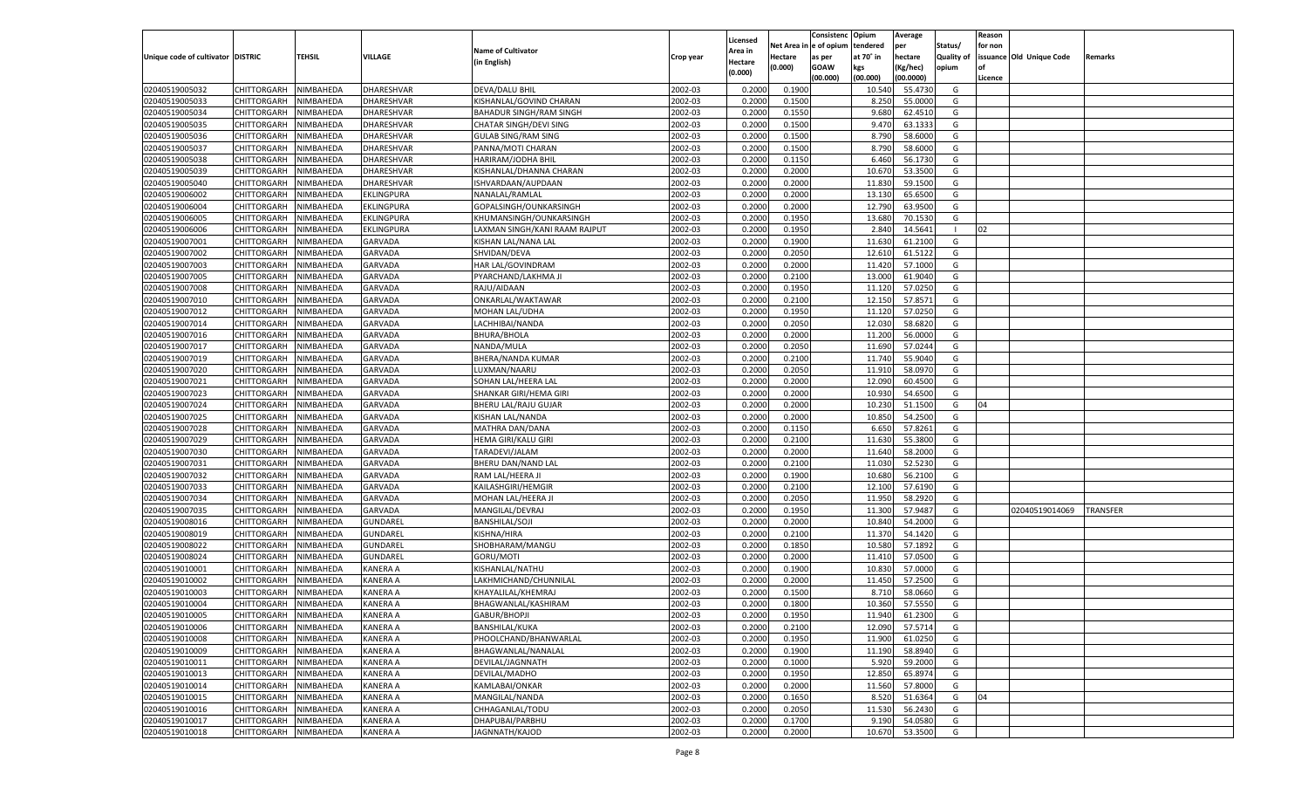|                                   |                       |               |                 |                               |           |                           |          | Consistenc  | Opium     | Average   |                   | Reason  |                          |                 |
|-----------------------------------|-----------------------|---------------|-----------------|-------------------------------|-----------|---------------------------|----------|-------------|-----------|-----------|-------------------|---------|--------------------------|-----------------|
|                                   |                       |               |                 | <b>Name of Cultivator</b>     |           | Licensed                  | Net Area | le of opium | tendered  | per       | Status/           | for non |                          |                 |
| Unique code of cultivator DISTRIC |                       | <b>TEHSIL</b> | VILLAGE         | (in English)                  | Crop year | <b>Area in</b><br>Hectare | Hectare  | as per      | at 70° in | hectare   | <b>Quality of</b> |         | issuance Old Unique Code | Remarks         |
|                                   |                       |               |                 |                               |           | (0.000)                   | (0.000)  | <b>GOAW</b> | kgs       | (Kg/hec)  | opium             |         |                          |                 |
|                                   |                       |               |                 |                               |           |                           |          | (00.000)    | (00.000)  | (00.0000) |                   | Licence |                          |                 |
| 02040519005032                    | CHITTORGARH           | NIMBAHEDA     | DHARESHVAR      | DEVA/DALU BHIL                | 2002-03   | 0.2000                    | 0.1900   |             | 10.540    | 55.4730   | G                 |         |                          |                 |
| 02040519005033                    | CHITTORGARH           | NIMBAHEDA     | DHARESHVAR      | KISHANLAL/GOVIND CHARAN       | 2002-03   | 0.2000                    | 0.1500   |             | 8.250     | 55.0000   | G                 |         |                          |                 |
| 02040519005034                    | CHITTORGARH           | NIMBAHEDA     | DHARESHVAR      | BAHADUR SINGH/RAM SINGH       | 2002-03   | 0.2000                    | 0.1550   |             | 9.680     | 62.4510   | G                 |         |                          |                 |
| 02040519005035                    | CHITTORGARH           | NIMBAHEDA     | DHARESHVAR      | CHATAR SINGH/DEVI SING        | 2002-03   | 0.2000                    | 0.1500   |             | 9.470     | 63.1333   | G                 |         |                          |                 |
| 02040519005036                    | CHITTORGARH           | NIMBAHEDA     | DHARESHVAR      | <b>GULAB SING/RAM SING</b>    | 2002-03   | 0.2000                    | 0.1500   |             | 8.790     | 58.6000   | G                 |         |                          |                 |
| 02040519005037                    | CHITTORGARH           | NIMBAHEDA     | DHARESHVAR      | PANNA/MOTI CHARAN             | 2002-03   | 0.2000                    | 0.1500   |             | 8.790     | 58.6000   | G                 |         |                          |                 |
| 02040519005038                    | CHITTORGARH           | NIMBAHEDA     | DHARESHVAR      | HARIRAM/JODHA BHIL            | 2002-03   | 0.2000                    | 0.1150   |             | 6.460     | 56.1730   | G                 |         |                          |                 |
| 02040519005039                    | CHITTORGARH           | NIMBAHEDA     | DHARESHVAR      | KISHANLAL/DHANNA CHARAN       | 2002-03   | 0.2000                    | 0.2000   |             | 10.670    | 53.3500   | G                 |         |                          |                 |
| 02040519005040                    | CHITTORGARH           | NIMBAHEDA     | DHARESHVAR      | ISHVARDAAN/AUPDAAN            | 2002-03   | 0.2000                    | 0.2000   |             | 11.830    | 59.1500   | G                 |         |                          |                 |
| 02040519006002                    | CHITTORGARH           | NIMBAHEDA     | EKLINGPURA      | NANALAL/RAMLAL                | 2002-03   | 0.2000                    | 0.2000   |             | 13.130    | 65.6500   | G                 |         |                          |                 |
| 02040519006004                    | CHITTORGARH           | NIMBAHEDA     | EKLINGPURA      | GOPALSINGH/OUNKARSINGH        | 2002-03   | 0.2000                    | 0.2000   |             | 12.790    | 63.9500   | G                 |         |                          |                 |
| 02040519006005                    | CHITTORGARH           | NIMBAHEDA     | EKLINGPURA      | KHUMANSINGH/OUNKARSINGH       | 2002-03   | 0.2000                    | 0.1950   |             | 13.680    | 70.1530   | G                 |         |                          |                 |
| 02040519006006                    | CHITTORGARH           | NIMBAHEDA     | EKLINGPURA      | LAXMAN SINGH/KANI RAAM RAJPUT | 2002-03   | 0.2000                    | 0.1950   |             | 2.840     | 14.5641   |                   | 02      |                          |                 |
| 02040519007001                    | CHITTORGARH           | NIMBAHEDA     | <b>GARVADA</b>  | KISHAN LAL/NANA LAL           | 2002-03   | 0.2000                    | 0.1900   |             | 11.630    | 61.2100   | G                 |         |                          |                 |
| 02040519007002                    | CHITTORGARH           | NIMBAHEDA     | GARVADA         | SHVIDAN/DEVA                  | 2002-03   | 0.2000                    | 0.2050   |             | 12.610    | 61.5122   | G                 |         |                          |                 |
| 02040519007003                    | CHITTORGARH           | NIMBAHEDA     | <b>GARVADA</b>  | HAR LAL/GOVINDRAM             | 2002-03   | 0.2000                    | 0.2000   |             | 11.420    | 57.1000   | G                 |         |                          |                 |
| 02040519007005                    | CHITTORGARH           | NIMBAHEDA     | GARVADA         | PYARCHAND/LAKHMA JI           | 2002-03   | 0.2000                    | 0.2100   |             | 13.000    | 61.9040   | G                 |         |                          |                 |
| 02040519007008                    | CHITTORGARH           | NIMBAHEDA     | <b>GARVADA</b>  | RAJU/AIDAAN                   | 2002-03   | 0.2000                    | 0.1950   |             | 11.120    | 57.0250   | G                 |         |                          |                 |
| 02040519007010                    | CHITTORGARH           | NIMBAHEDA     | GARVADA         | ONKARLAL/WAKTAWAR             | 2002-03   | 0.2000                    | 0.2100   |             | 12.150    | 57.8571   | G                 |         |                          |                 |
| 02040519007012                    | CHITTORGARH           | NIMBAHEDA     | <b>GARVADA</b>  | <b>MOHAN LAL/UDHA</b>         | 2002-03   | 0.2000                    | 0.1950   |             | 11.120    | 57.0250   | G                 |         |                          |                 |
| 02040519007014                    | CHITTORGARH           | NIMBAHEDA     | GARVADA         | LACHHIBAI/NANDA               | 2002-03   | 0.2000                    | 0.2050   |             | 12.030    | 58.6820   | G                 |         |                          |                 |
| 02040519007016                    | CHITTORGARH           | NIMBAHEDA     | <b>GARVADA</b>  | <b>BHURA/BHOLA</b>            | 2002-03   | 0.2000                    | 0.2000   |             | 11.200    | 56.0000   | G                 |         |                          |                 |
| 02040519007017                    | CHITTORGARH           | NIMBAHEDA     | GARVADA         | NANDA/MULA                    | 2002-03   | 0.2000                    | 0.2050   |             | 11.690    | 57.0244   | G                 |         |                          |                 |
| 02040519007019                    | CHITTORGARH           | NIMBAHEDA     | <b>GARVADA</b>  | BHERA/NANDA KUMAR             | 2002-03   | 0.2000                    | 0.2100   |             | 11.740    | 55.9040   | G                 |         |                          |                 |
| 02040519007020                    | CHITTORGARH           | NIMBAHEDA     | GARVADA         | LUXMAN/NAARU                  | 2002-03   | 0.2000                    | 0.2050   |             | 11.91     | 58.0970   | G                 |         |                          |                 |
| 02040519007021                    | CHITTORGARH           | NIMBAHEDA     | <b>GARVADA</b>  | SOHAN LAL/HEERA LAL           | 2002-03   | 0.2000                    | 0.2000   |             | 12.090    | 60.4500   | G                 |         |                          |                 |
| 02040519007023                    | CHITTORGARH           | NIMBAHEDA     | GARVADA         | SHANKAR GIRI/HEMA GIRI        | 2002-03   | 0.2000                    | 0.2000   |             | 10.930    | 54.6500   | G                 |         |                          |                 |
| 02040519007024                    | CHITTORGARH           | NIMBAHEDA     | <b>GARVADA</b>  | BHERU LAL/RAJU GUJAR          | 2002-03   | 0.2000                    | 0.2000   |             | 10.230    | 51.1500   | G                 | 04      |                          |                 |
| 02040519007025                    | CHITTORGARH           | NIMBAHEDA     | GARVADA         | KISHAN LAL/NANDA              | 2002-03   | 0.2000                    | 0.2000   |             | 10.850    | 54.2500   | G                 |         |                          |                 |
| 02040519007028                    | CHITTORGARH           | NIMBAHEDA     | GARVADA         | MATHRA DAN/DANA               | 2002-03   | 0.2000                    | 0.1150   |             | 6.650     | 57.8261   | G                 |         |                          |                 |
| 02040519007029                    | CHITTORGARH           | NIMBAHEDA     | GARVADA         | HEMA GIRI/KALU GIRI           | 2002-03   | 0.2000                    | 0.2100   |             | 11.630    | 55.3800   | G                 |         |                          |                 |
| 02040519007030                    | CHITTORGARH           | NIMBAHEDA     | GARVADA         | TARADEVI/JALAM                | 2002-03   | 0.2000                    | 0.2000   |             | 11.640    | 58.2000   | G                 |         |                          |                 |
| 02040519007031                    | CHITTORGARH           | NIMBAHEDA     | GARVADA         | BHERU DAN/NAND LAL            | 2002-03   | 0.2000                    | 0.2100   |             | 11.030    | 52.5230   | G                 |         |                          |                 |
| 02040519007032                    | CHITTORGARH           | NIMBAHEDA     | GARVADA         | RAM LAL/HEERA JI              | 2002-03   | 0.2000                    | 0.1900   |             | 10.680    | 56.2100   | G                 |         |                          |                 |
| 02040519007033                    | CHITTORGARH           | NIMBAHEDA     | GARVADA         | KAILASHGIRI/HEMGIR            | 2002-03   | 0.2000                    | 0.2100   |             | 12.100    | 57.6190   | G                 |         |                          |                 |
| 02040519007034                    | CHITTORGARH           | NIMBAHEDA     | <b>GARVADA</b>  | MOHAN LAL/HEERA J             | 2002-03   | 0.2000                    | 0.2050   |             | 11.95     | 58.2920   | G                 |         |                          |                 |
| 02040519007035                    | CHITTORGARH           | NIMBAHEDA     | GARVADA         | MANGILAL/DEVRAJ               | 2002-03   | 0.2000                    | 0.1950   |             | 11.300    | 57.9487   | G                 |         | 02040519014069           | <b>TRANSFER</b> |
| 02040519008016                    | CHITTORGARH           | NIMBAHEDA     | GUNDAREL        | <b>BANSHILAL/SOJI</b>         | 2002-03   | 0.2000                    | 0.2000   |             | 10.84     | 54.2000   | G                 |         |                          |                 |
| 02040519008019                    | CHITTORGARH           | NIMBAHEDA     | <b>GUNDAREL</b> | KISHNA/HIRA                   | 2002-03   | 0.2000                    | 0.2100   |             | 11.370    | 54.1420   | G                 |         |                          |                 |
| 02040519008022                    | CHITTORGARH           | NIMBAHEDA     | GUNDAREL        | SHOBHARAM/MANGU               | 2002-03   | 0.2000                    | 0.1850   |             | 10.580    | 57.1892   | G                 |         |                          |                 |
| 02040519008024                    | CHITTORGARH           | NIMBAHEDA     | GUNDAREL        | GORU/MOTI                     | 2002-03   | 0.2000                    | 0.2000   |             | 11.410    | 57.0500   | G                 |         |                          |                 |
| 02040519010001                    | CHITTORGARH           | NIMBAHEDA     | KANERA A        | KISHANLAL/NATHU               | 2002-03   | 0.2000                    | 0.1900   |             | 10.830    | 57.0000   | G                 |         |                          |                 |
| 02040519010002                    | CHITTORGARH           | NIMBAHEDA     | KANERA A        | LAKHMICHAND/CHUNNILAL         | 2002-03   | 0.2000                    | 0.2000   |             | 11.45     | 57.2500   | G                 |         |                          |                 |
| 02040519010003                    | CHITTORGARH           | NIMBAHEDA     | KANERA A        | KHAYALILAL/KHEMRAJ            | 2002-03   | 0.2000                    | 0.1500   |             | 8.710     | 58.0660   | G                 |         |                          |                 |
| 02040519010004                    | CHITTORGARH           | NIMBAHEDA     | KANERA A        | BHAGWANLAL/KASHIRAM           | 2002-03   | 0.2000                    | 0.1800   |             | 10.360    | 57.5550   | G                 |         |                          |                 |
| 02040519010005                    | CHITTORGARH NIMBAHEDA |               | <b>KANERA A</b> | GABUR/BHOPJI                  | 2002-03   | 0.2000                    | 0.1950   |             | 11.940    | 61.2300   | G                 |         |                          |                 |
| 02040519010006                    | <b>CHITTORGARH</b>    | NIMBAHEDA     | <b>KANERA A</b> | BANSHILAL/KUKA                | 2002-03   | 0.2000                    | 0.2100   |             | 12.090    | 57.5714   | G                 |         |                          |                 |
| 02040519010008                    | CHITTORGARH           | NIMBAHEDA     | <b>KANERA A</b> | PHOOLCHAND/BHANWARLAL         | 2002-03   | 0.2000                    | 0.1950   |             | 11.900    | 61.0250   | G                 |         |                          |                 |
| 02040519010009                    | <b>CHITTORGARH</b>    | NIMBAHEDA     | <b>KANERA A</b> | BHAGWANLAL/NANALAL            | 2002-03   | 0.2000                    | 0.1900   |             | 11.190    | 58.8940   | G                 |         |                          |                 |
| 02040519010011                    | <b>CHITTORGARH</b>    | NIMBAHEDA     | KANERA A        | DEVILAL/JAGNNATH              | 2002-03   | 0.2000                    | 0.1000   |             | 5.920     | 59.2000   | G                 |         |                          |                 |
| 02040519010013                    | <b>CHITTORGARH</b>    | NIMBAHEDA     | <b>KANERA A</b> | DEVILAL/MADHO                 | 2002-03   | 0.2000                    | 0.1950   |             | 12.850    | 65.8974   | G                 |         |                          |                 |
| 02040519010014                    | <b>CHITTORGARH</b>    | NIMBAHEDA     | <b>KANERA A</b> | KAMLABAI/ONKAR                | 2002-03   | 0.2000                    | 0.2000   |             | 11.560    | 57.8000   | G                 |         |                          |                 |
| 02040519010015                    | <b>CHITTORGARH</b>    | NIMBAHEDA     | <b>KANERA A</b> | MANGILAL/NANDA                | 2002-03   | 0.2000                    | 0.1650   |             | 8.520     | 51.6364   | G                 | 04      |                          |                 |
| 02040519010016                    | <b>CHITTORGARH</b>    | NIMBAHEDA     | KANERA A        | CHHAGANLAL/TODU               | 2002-03   | 0.2000                    | 0.2050   |             | 11.530    | 56.2430   | G                 |         |                          |                 |
| 02040519010017                    | <b>CHITTORGARH</b>    | NIMBAHEDA     | <b>KANERA A</b> | DHAPUBAI/PARBHU               | 2002-03   | 0.2000                    | 0.1700   |             | 9.190     | 54.0580   | G                 |         |                          |                 |
| 02040519010018                    | <b>CHITTORGARH</b>    | NIMBAHEDA     | <b>KANERA A</b> | JAGNNATH/KAJOD                | 2002-03   | 0.2000                    | 0.2000   |             | 10.670    | 53.3500   | G                 |         |                          |                 |
|                                   |                       |               |                 |                               |           |                           |          |             |           |           |                   |         |                          |                 |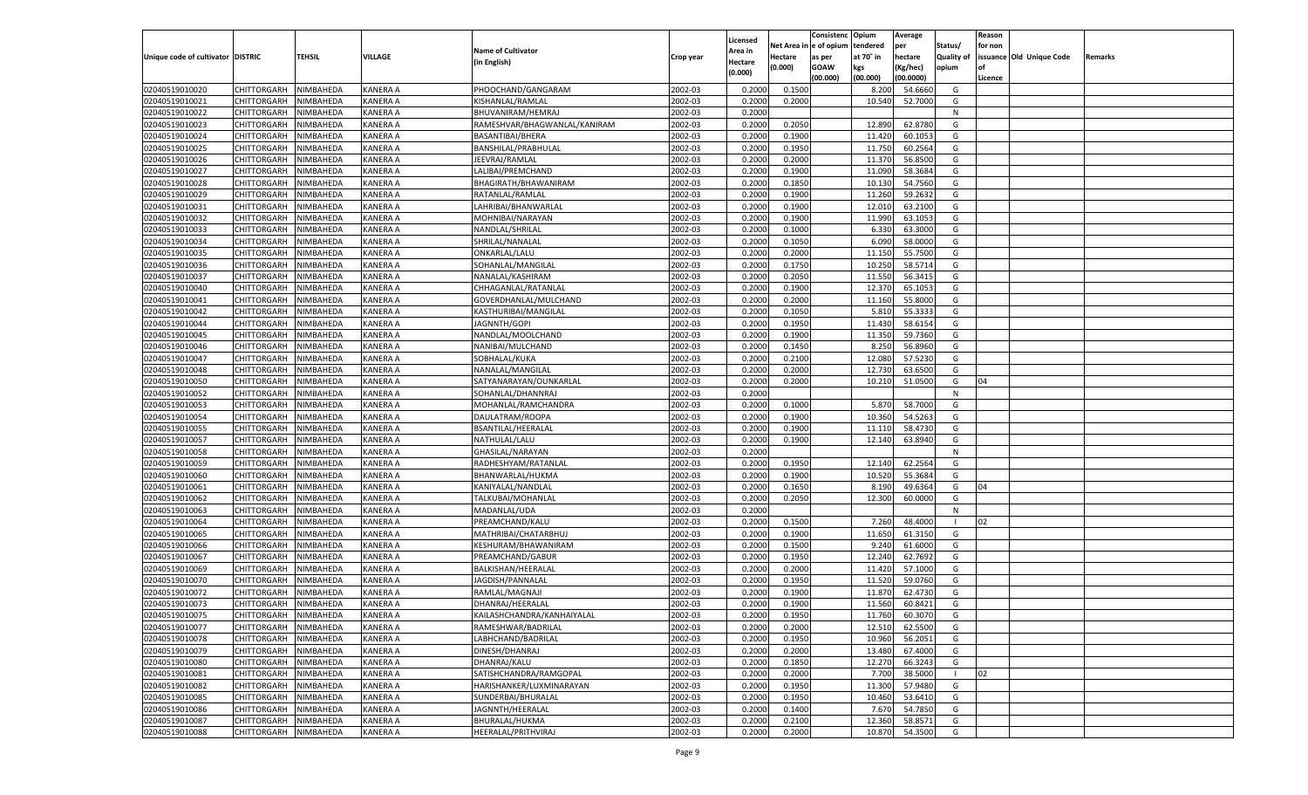|                                   |                       |               |                 |                              |           |                           |          | Consistenc  | Opium     | Average   |                   | Reason  |                          |         |
|-----------------------------------|-----------------------|---------------|-----------------|------------------------------|-----------|---------------------------|----------|-------------|-----------|-----------|-------------------|---------|--------------------------|---------|
|                                   |                       |               |                 | <b>Name of Cultivator</b>    |           | Licensed                  | Net Area | e of opium  | tendered  | per       | Status/           | for non |                          |         |
| Unique code of cultivator DISTRIC |                       | <b>TEHSIL</b> | VILLAGE         | (in English)                 | Crop year | <b>Area in</b><br>Hectare | Hectare  | as per      | at 70° in | hectare   | <b>Quality of</b> |         | issuance Old Unique Code | Remarks |
|                                   |                       |               |                 |                              |           | (0.000)                   | (0.000)  | <b>GOAW</b> | kgs       | (Kg/hec)  | opium             |         |                          |         |
|                                   |                       |               |                 |                              |           |                           |          | (00.000)    | (00.000)  | (00.0000) |                   | Licence |                          |         |
| 02040519010020                    | CHITTORGARH           | NIMBAHEDA     | KANERA A        | PHOOCHAND/GANGARAM           | 2002-03   | 0.2000                    | 0.1500   |             | 8.200     | 54.6660   | G                 |         |                          |         |
| 02040519010021                    | CHITTORGARH           | NIMBAHEDA     | KANERA A        | KISHANLAL/RAMLAL             | 2002-03   | 0.2000                    | 0.2000   |             | 10.540    | 52.7000   | G                 |         |                          |         |
| 02040519010022                    | CHITTORGARH           | NIMBAHEDA     | KANERA A        | BHUVANIRAM/HEMRAJ            | 2002-03   | 0.2000                    |          |             |           |           | N                 |         |                          |         |
| 02040519010023                    | CHITTORGARH           | NIMBAHEDA     | KANERA A        | RAMESHVAR/BHAGWANLAL/KANIRAM | 2002-03   | 0.2000                    | 0.2050   |             | 12.890    | 62.8780   | G                 |         |                          |         |
| 02040519010024                    | CHITTORGARH           | NIMBAHEDA     | KANERA A        | BASANTIBAI/BHERA             | 2002-03   | 0.2000                    | 0.1900   |             | 11.420    | 60.105    | G                 |         |                          |         |
| 02040519010025                    | CHITTORGARH           | NIMBAHEDA     | KANERA A        | BANSHILAL/PRABHULAL          | 2002-03   | 0.2000                    | 0.1950   |             | 11.750    | 60.2564   | G                 |         |                          |         |
| 02040519010026                    | CHITTORGARH           | NIMBAHEDA     | KANERA A        | JEEVRAJ/RAMLAL               | 2002-03   | 0.2000                    | 0.2000   |             | 11.370    | 56.8500   | G                 |         |                          |         |
| 02040519010027                    | CHITTORGARH           | NIMBAHEDA     | KANERA A        | LALIBAI/PREMCHAND            | 2002-03   | 0.2000                    | 0.1900   |             | 11.090    | 58.3684   | G                 |         |                          |         |
| 02040519010028                    | CHITTORGARH           | NIMBAHEDA     | KANERA A        | BHAGIRATH/BHAWANIRAM         | 2002-03   | 0.2000                    | 0.1850   |             | 10.130    | 54.7560   | G                 |         |                          |         |
| 02040519010029                    | CHITTORGARH           | NIMBAHEDA     | KANERA A        | RATANLAL/RAMLAL              | 2002-03   | 0.2000                    | 0.1900   |             | 11.260    | 59.263    | G                 |         |                          |         |
| 02040519010031                    | CHITTORGARH           | NIMBAHEDA     | KANERA A        | LAHRIBAI/BHANWARLAL          | 2002-03   | 0.2000                    | 0.1900   |             | 12.010    | 63.2100   | G                 |         |                          |         |
| 02040519010032                    | CHITTORGARH           | NIMBAHEDA     | KANERA A        | MOHNIBAI/NARAYAN             | 2002-03   | 0.2000                    | 0.1900   |             | 11.990    | 63.105    | G                 |         |                          |         |
| 02040519010033                    | CHITTORGARH           | NIMBAHEDA     | KANERA A        | NANDLAL/SHRILAL              | 2002-03   | 0.2000                    | 0.1000   |             | 6.330     | 63.3000   | G                 |         |                          |         |
| 02040519010034                    | CHITTORGARH           | NIMBAHEDA     | KANERA A        | SHRILAL/NANALAL              | 2002-03   | 0.2000                    | 0.1050   |             | 6.090     | 58.0000   | G                 |         |                          |         |
| 02040519010035                    | CHITTORGARH           | NIMBAHEDA     | KANERA A        | ONKARLAL/LALU                | 2002-03   | 0.2000                    | 0.2000   |             | 11.150    | 55.7500   | G                 |         |                          |         |
| 02040519010036                    | CHITTORGARH           | NIMBAHEDA     | KANERA A        | SOHANLAL/MANGILAL            | 2002-03   | 0.2000                    | 0.1750   |             | 10.250    | 58.5714   | G                 |         |                          |         |
| 02040519010037                    | CHITTORGARH           | NIMBAHEDA     | KANERA A        | NANALAL/KASHIRAM             | 2002-03   | 0.2000                    | 0.2050   |             | 11.550    | 56.3415   | G                 |         |                          |         |
| 02040519010040                    | CHITTORGARH           | NIMBAHEDA     | KANERA A        | CHHAGANLAL/RATANLAL          | 2002-03   | 0.2000                    | 0.1900   |             | 12.370    | 65.105    | G                 |         |                          |         |
| 02040519010041                    | CHITTORGARH           | NIMBAHEDA     | KANERA A        | GOVERDHANLAL/MULCHAND        | 2002-03   | 0.2000                    | 0.2000   |             | 11.160    | 55.8000   | G                 |         |                          |         |
| 02040519010042                    | CHITTORGARH           | NIMBAHEDA     | KANERA A        | KASTHURIBAI/MANGILAL         | 2002-03   | 0.2000                    | 0.1050   |             | 5.810     | 55.3333   | G                 |         |                          |         |
| 02040519010044                    | CHITTORGARH           | NIMBAHEDA     | KANERA A        | JAGNNTH/GOPI                 | 2002-03   | 0.2000                    | 0.1950   |             | 11.430    | 58.615    | G                 |         |                          |         |
| 02040519010045                    | CHITTORGARH           | NIMBAHEDA     | KANERA A        | NANDLAL/MOOLCHAND            | 2002-03   | 0.2000                    | 0.1900   |             | 11.350    | 59.7360   | G                 |         |                          |         |
| 02040519010046                    | CHITTORGARH           | NIMBAHEDA     | KANERA A        | NANIBAI/MULCHAND             | 2002-03   | 0.2000                    | 0.1450   |             | 8.250     | 56.8960   | G                 |         |                          |         |
| 02040519010047                    | CHITTORGARH           | NIMBAHEDA     | KANERA A        | SOBHALAL/KUKA                | 2002-03   | 0.2000                    | 0.2100   |             | 12.080    | 57.5230   | G                 |         |                          |         |
| 02040519010048                    | CHITTORGARH           | NIMBAHEDA     | KANERA A        | NANALAL/MANGILAL             | 2002-03   | 0.2000                    | 0.2000   |             | 12.730    | 63.6500   | G                 |         |                          |         |
| 02040519010050                    | CHITTORGARH           | NIMBAHEDA     | KANERA A        | SATYANARAYAN/OUNKARLAL       | 2002-03   | 0.2000                    | 0.2000   |             | 10.210    | 51.0500   | G                 | 04      |                          |         |
| 02040519010052                    | CHITTORGARH           | NIMBAHEDA     | KANERA A        | SOHANLAL/DHANNRAJ            | 2002-03   | 0.2000                    |          |             |           |           | N                 |         |                          |         |
| 02040519010053                    | CHITTORGARH           | NIMBAHEDA     | KANERA A        | MOHANLAL/RAMCHANDRA          | 2002-03   | 0.2000                    | 0.1000   |             | 5.870     | 58.7000   | G                 |         |                          |         |
| 02040519010054                    | CHITTORGARH           | NIMBAHEDA     | KANERA A        | DAULATRAM/ROOPA              | 2002-03   | 0.2000                    | 0.1900   |             | 10.360    | 54.5263   | G                 |         |                          |         |
| 02040519010055                    | CHITTORGARH           | NIMBAHEDA     | KANERA A        | BSANTILAL/HEERALAL           | 2002-03   | 0.2000                    | 0.1900   |             | 11.11     | 58.4730   | G                 |         |                          |         |
| 02040519010057                    | CHITTORGARH           | NIMBAHEDA     | KANERA A        | NATHULAL/LALU                | 2002-03   | 0.2000                    | 0.1900   |             | 12.140    | 63.8940   | G                 |         |                          |         |
| 02040519010058                    | CHITTORGARH           | NIMBAHEDA     | KANERA A        | GHASILAL/NARAYAN             | 2002-03   | 0.2000                    |          |             |           |           | N                 |         |                          |         |
| 02040519010059                    | CHITTORGARH           | NIMBAHEDA     | KANERA A        | RADHESHYAM/RATANLAI          | 2002-03   | 0.2000                    | 0.1950   |             | 12.14     | 62.2564   | G                 |         |                          |         |
| 02040519010060                    | CHITTORGARH           | NIMBAHEDA     | KANERA A        | BHANWARLAL/HUKMA             | 2002-03   | 0.2000                    | 0.1900   |             | 10.520    | 55.368    | G                 |         |                          |         |
| 02040519010061                    | CHITTORGARH           | NIMBAHEDA     | KANERA A        | KANIYALAL/NANDLAL            | 2002-03   | 0.2000                    | 0.1650   |             | 8.190     | 49.6364   | G                 | 04      |                          |         |
| 02040519010062                    | CHITTORGARH           | NIMBAHEDA     | KANERA A        | TALKUBAI/MOHANLAL            | 2002-03   | 0.2000                    | 0.2050   |             | 12.300    | 60.0000   | G                 |         |                          |         |
| 02040519010063                    | CHITTORGARH           | NIMBAHEDA     | KANERA A        | MADANLAL/UDA                 | 2002-03   | 0.2000                    |          |             |           |           | N                 |         |                          |         |
| 02040519010064                    | CHITTORGARH           | NIMBAHEDA     | KANERA A        | PREAMCHAND/KALU              | 2002-03   | 0.2000                    | 0.1500   |             | 7.260     | 48.4000   |                   | 02      |                          |         |
| 02040519010065                    | CHITTORGARH           | NIMBAHEDA     | KANERA A        | MATHRIBAI/CHATARBHUJ         | 2002-03   | 0.2000                    | 0.1900   |             | 11.650    | 61.3150   | G                 |         |                          |         |
| 02040519010066                    | CHITTORGARH           | NIMBAHEDA     | KANERA A        | KESHURAM/BHAWANIRAM          | 2002-03   | 0.2000                    | 0.1500   |             | 9.240     | 61.6000   | G                 |         |                          |         |
| 02040519010067                    | CHITTORGARH           | NIMBAHEDA     | KANERA A        | PREAMCHAND/GABUR             | 2002-03   | 0.2000                    | 0.1950   |             | 12.240    | 62.7692   | G                 |         |                          |         |
| 02040519010069                    | CHITTORGARH           | NIMBAHEDA     | KANERA A        | BALKISHAN/HEERALAL           | 2002-03   | 0.2000                    | 0.2000   |             | 11.420    | 57.1000   | G                 |         |                          |         |
| 02040519010070                    | CHITTORGARH           | NIMBAHEDA     | KANERA A        | JAGDISH/PANNALAL             | 2002-03   | 0.2000                    | 0.1950   |             | 11.520    | 59.0760   | G                 |         |                          |         |
| 02040519010072                    | CHITTORGARH           | NIMBAHEDA     | KANERA A        | RAMLAL/MAGNAJI               | 2002-03   | 0.2000                    | 0.1900   |             | 11.870    | 62.4730   | G                 |         |                          |         |
| 02040519010073                    | CHITTORGARH           | NIMBAHEDA     | <b>KANERA A</b> | DHANRAJ/HEERALAL             | 2002-03   | 0.2000                    | 0.1900   |             | 11.560    | 60.8421   | G                 |         |                          |         |
| 02040519010075                    | CHITTORGARH NIMBAHEDA |               | <b>KANERA A</b> | KAILASHCHANDRA/KANHAIYALAL   | 2002-03   | 0.2000                    | 0.1950   |             | 11.760    | 60.3070   | G                 |         |                          |         |
| 02040519010077                    | <b>CHITTORGARH</b>    | NIMBAHEDA     | <b>KANERA A</b> | RAMESHWAR/BADRILAL           | 2002-03   | 0.2000                    | 0.2000   |             | 12.510    | 62.5500   | G                 |         |                          |         |
| 02040519010078                    | <b>CHITTORGARH</b>    | NIMBAHEDA     | <b>KANERA A</b> | LABHCHAND/BADRILAL           | 2002-03   | 0.2000                    | 0.1950   |             | 10.960    | 56.2051   | G                 |         |                          |         |
| 02040519010079                    | <b>CHITTORGARH</b>    | NIMBAHEDA     | <b>KANERA A</b> | DINESH/DHANRAJ               | 2002-03   | 0.2000                    | 0.2000   |             | 13.480    | 67.4000   | G                 |         |                          |         |
| 02040519010080                    | <b>CHITTORGARH</b>    | NIMBAHEDA     | <b>KANERA A</b> | DHANRAJ/KALU                 | 2002-03   | 0.2000                    | 0.1850   |             | 12.270    | 66.3243   | G                 |         |                          |         |
| 02040519010081                    | <b>CHITTORGARH</b>    | NIMBAHEDA     | <b>KANERA A</b> | SATISHCHANDRA/RAMGOPAL       | 2002-03   | 0.2000                    | 0.2000   |             | 7.700     | 38.5000   |                   | 02      |                          |         |
| 02040519010082                    | <b>CHITTORGARH</b>    | NIMBAHEDA     | <b>KANERA A</b> | HARISHANKER/LUXMINARAYAN     | 2002-03   | 0.2000                    | 0.1950   |             | 11.300    | 57.9480   | G                 |         |                          |         |
| 02040519010085                    | <b>CHITTORGARH</b>    | NIMBAHEDA     | <b>KANERA A</b> | SUNDERBAI/BHURALAL           | 2002-03   | 0.2000                    | 0.1950   |             | 10.460    | 53.6410   | G                 |         |                          |         |
| 02040519010086                    | <b>CHITTORGARH</b>    | NIMBAHEDA     | <b>KANERA A</b> | JAGNNTH/HEERALAL             | 2002-03   | 0.2000                    | 0.1400   |             | 7.670     | 54.7850   | G                 |         |                          |         |
| 02040519010087                    | <b>CHITTORGARH</b>    | NIMBAHEDA     | <b>KANERA A</b> | BHURALAL/HUKMA               | 2002-03   | 0.2000                    | 0.2100   |             | 12.360    | 58.8571   | G                 |         |                          |         |
|                                   |                       |               |                 | HEERALAL/PRITHVIRAJ          |           |                           |          |             |           |           |                   |         |                          |         |
| 02040519010088                    | <b>CHITTORGARH</b>    | NIMBAHEDA     | <b>KANERA A</b> |                              | 2002-03   | 0.2000                    | 0.2000   |             | 10.870    | 54.3500   | G                 |         |                          |         |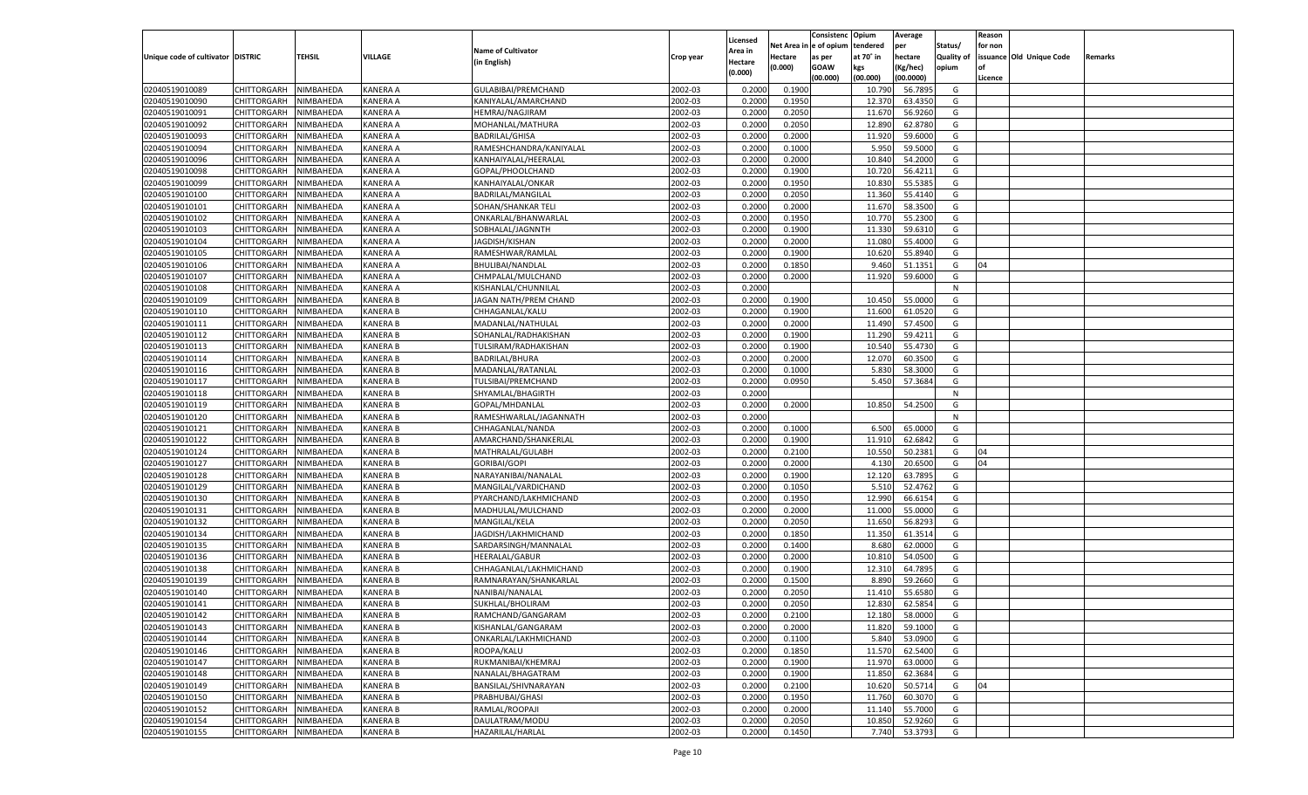|                                   |                                   |                  |                 |                           |           |                     |                  | Consistenc   | Opium           | Average   |                   | Reason  |                          |         |
|-----------------------------------|-----------------------------------|------------------|-----------------|---------------------------|-----------|---------------------|------------------|--------------|-----------------|-----------|-------------------|---------|--------------------------|---------|
|                                   |                                   |                  |                 | <b>Name of Cultivator</b> |           | Licensed<br>Area in | Net Area iı      | n e of opium | tendered        | per       | Status/           | for non |                          |         |
| Unique code of cultivator DISTRIC |                                   | TEHSIL           | VILLAGE         | (in English)              | Crop year | Hectare             | Hectare          | as per       | at 70° in       | hectare   | <b>Quality of</b> |         | issuance Old Unique Code | Remarks |
|                                   |                                   |                  |                 |                           |           | (0.000)             | (0.000)          | <b>GOAW</b>  | kgs             | (Kg/hec)  | opium             |         |                          |         |
|                                   |                                   |                  |                 |                           |           |                     |                  | (00.000)     | (00.000)        | (00.0000) |                   | Licence |                          |         |
| 02040519010089                    | CHITTORGARH                       | NIMBAHEDA        | <b>KANERA A</b> | GULABIBAI/PREMCHAND       | 2002-03   | 0.2000              | 0.1900           |              | 10.790          | 56.7895   | G                 |         |                          |         |
| 02040519010090                    | CHITTORGARH                       | NIMBAHEDA        | KANERA A        | KANIYALAL/AMARCHAND       | 2002-03   | 0.2000              | 0.1950           |              | 12.370          | 63.4350   | G                 |         |                          |         |
| 02040519010091                    | CHITTORGARH                       | NIMBAHEDA        | KANERA A        | HEMRAJ/NAGJIRAM           | 2002-03   | 0.2000              | 0.2050           |              | 11.670          | 56.9260   | G                 |         |                          |         |
| 02040519010092                    | CHITTORGARH                       | NIMBAHEDA        | KANERA A        | MOHANLAL/MATHURA          | 2002-03   | 0.2000              | 0.2050           |              | 12.890          | 62.8780   | G                 |         |                          |         |
| 02040519010093                    | CHITTORGARH                       | NIMBAHEDA        | KANERA A        | <b>BADRILAL/GHISA</b>     | 2002-03   | 0.2000              | 0.2000           |              | 11.920          | 59.6000   | G                 |         |                          |         |
| 02040519010094                    | CHITTORGARH                       | NIMBAHEDA        | KANERA A        | RAMESHCHANDRA/KANIYALAL   | 2002-03   | 0.2000              | 0.1000           |              | 5.950           | 59.5000   | G                 |         |                          |         |
| 02040519010096                    | CHITTORGARH                       | NIMBAHEDA        | KANERA A        | KANHAIYALAL/HEERALAI      | 2002-03   | 0.2000              | 0.2000           |              | 10.840          | 54.2000   | G                 |         |                          |         |
| 02040519010098                    | CHITTORGARH                       | NIMBAHEDA        | KANERA A        | GOPAL/PHOOLCHAND          | 2002-03   | 0.2000              | 0.1900           |              | 10.720          | 56.4211   | G                 |         |                          |         |
| 02040519010099                    | CHITTORGARH                       | NIMBAHEDA        | KANERA A        | KANHAIYALAL/ONKAR         | 2002-03   | 0.2000              | 0.1950           |              | 10.830          | 55.5385   | G                 |         |                          |         |
| 02040519010100                    | CHITTORGARH                       | NIMBAHEDA        | KANERA A        | BADRILAL/MANGILAL         | 2002-03   | 0.2000              | 0.2050           |              | 11.360          | 55.4140   | G                 |         |                          |         |
| 02040519010101                    | CHITTORGARH                       | NIMBAHEDA        | KANERA A        | SOHAN/SHANKAR TELI        | 2002-03   | 0.2000              | 0.2000           |              | 11.670          | 58.3500   | G                 |         |                          |         |
| 02040519010102                    | CHITTORGARH                       | NIMBAHEDA        | KANERA A        | ONKARLAL/BHANWARLAI       | 2002-03   | 0.2000              | 0.1950           |              | 10.770          | 55.2300   | G                 |         |                          |         |
| 02040519010103                    | CHITTORGARH                       | NIMBAHEDA        | KANERA A        | SOBHALAL/JAGNNTH          | 2002-03   | 0.2000              | 0.1900           |              | 11.330          | 59.6310   | G                 |         |                          |         |
| 02040519010104                    | CHITTORGARH                       | NIMBAHEDA        | KANERA A        | JAGDISH/KISHAN            | 2002-03   | 0.2000              | 0.2000           |              | 11.080          | 55.4000   | G                 |         |                          |         |
| 02040519010105                    | CHITTORGARH                       | NIMBAHEDA        | KANERA A        | RAMESHWAR/RAMLAL          | 2002-03   | 0.2000              | 0.1900           |              | 10.620          | 55.8940   | G                 |         |                          |         |
| 02040519010106                    | CHITTORGARH                       | NIMBAHEDA        | KANERA A        | BHULIBAI/NANDLAL          | 2002-03   | 0.2000              | 0.1850           |              | 9.460           | 51.1351   | G                 | 04      |                          |         |
| 02040519010107                    | CHITTORGARH                       | NIMBAHEDA        | KANERA A        | CHMPALAL/MULCHAND         | 2002-03   | 0.2000              | 0.2000           |              | 11.920          | 59.6000   | G                 |         |                          |         |
| 02040519010108                    | CHITTORGARH                       | NIMBAHEDA        | KANERA A        | KISHANLAL/CHUNNILAL       | 2002-03   | 0.2000              |                  |              |                 |           | N                 |         |                          |         |
| 02040519010109                    | CHITTORGARH                       | NIMBAHEDA        | KANERA B        | JAGAN NATH/PREM CHAND     | 2002-03   | 0.2000              | 0.1900           |              | 10.450          | 55.0000   | G                 |         |                          |         |
| 02040519010110                    | CHITTORGARH                       | NIMBAHEDA        | KANERA B        | CHHAGANLAL/KALU           | 2002-03   | 0.2000              | 0.1900           |              | 11.600          | 61.0520   | G                 |         |                          |         |
| 02040519010111                    | CHITTORGARH                       | NIMBAHEDA        | KANERA B        | MADANLAL/NATHULAL         | 2002-03   | 0.2000              | 0.2000           |              | 11.490          | 57.4500   | G                 |         |                          |         |
| 02040519010112                    | CHITTORGARH                       | NIMBAHEDA        | KANERA B        | SOHANLAL/RADHAKISHAN      | 2002-03   | 0.2000              | 0.1900           |              | 11.290          | 59.4211   | G                 |         |                          |         |
| 02040519010113                    | CHITTORGARH                       | NIMBAHEDA        | KANERA B        | TULSIRAM/RADHAKISHAN      | 2002-03   | 0.2000              | 0.1900           |              | 10.540          | 55.4730   | G                 |         |                          |         |
| 02040519010114                    | CHITTORGARH                       | NIMBAHEDA        | KANERA B        | <b>BADRILAL/BHURA</b>     | 2002-03   | 0.2000              | 0.2000           |              | 12.070          | 60.3500   | G                 |         |                          |         |
| 02040519010116                    | CHITTORGARH                       | NIMBAHEDA        | KANERA B        | MADANLAL/RATANLAL         | 2002-03   | 0.2000              | 0.1000           |              | 5.830           | 58.3000   | G                 |         |                          |         |
| 02040519010117                    | CHITTORGARH                       | NIMBAHEDA        | KANERA B        | TULSIBAI/PREMCHAND        | 2002-03   | 0.2000              | 0.0950           |              | 5.450           | 57.3684   | G                 |         |                          |         |
| 02040519010118                    | CHITTORGARH                       | NIMBAHEDA        | KANERA B        | SHYAMLAL/BHAGIRTH         | 2002-03   | 0.2000              |                  |              |                 |           | N                 |         |                          |         |
| 02040519010119                    | CHITTORGARH                       | NIMBAHEDA        | KANERA B        | GOPAL/MHDANLAL            | 2002-03   | 0.2000              | 0.2000           |              | 10.850          | 54.2500   | G                 |         |                          |         |
| 02040519010120                    | CHITTORGARH                       | NIMBAHEDA        | KANERA B        | RAMESHWARLAL/JAGANNATH    | 2002-03   | 0.2000              |                  |              |                 |           | N                 |         |                          |         |
| 02040519010121                    | CHITTORGARH                       | NIMBAHEDA        | <b>KANERA B</b> | CHHAGANLAL/NANDA          | 2002-03   | 0.2000              | 0.1000           |              | 6.500           | 65.0000   | G                 |         |                          |         |
| 02040519010122                    | CHITTORGARH                       | NIMBAHEDA        | <b>KANERA B</b> | AMARCHAND/SHANKERLAL      | 2002-03   | 0.2000              | 0.1900           |              | 11.91           | 62.6842   | G                 |         |                          |         |
| 02040519010124                    | CHITTORGARH                       | NIMBAHEDA        | <b>KANERA B</b> | MATHRALAL/GULABH          | 2002-03   | 0.2000              | 0.2100           |              | 10.550          | 50.2381   | G                 | 04      |                          |         |
| 02040519010127                    | CHITTORGARH                       | NIMBAHEDA        | <b>KANERA B</b> | <b>GORIBAI/GOPI</b>       | 2002-03   | 0.2000              | 0.2000           |              | 4.13            | 20.6500   | G                 | 04      |                          |         |
| 02040519010128                    | CHITTORGARH                       | NIMBAHEDA        | <b>KANERA B</b> | NARAYANIBAI/NANALAL       | 2002-03   | 0.2000              | 0.1900           |              | 12.120          | 63.7895   | G                 |         |                          |         |
| 02040519010129                    | CHITTORGARH                       | NIMBAHEDA        | <b>KANERA B</b> | MANGILAL/VARDICHAND       | 2002-03   | 0.2000              | 0.1050           |              | 5.51            | 52.4762   | G                 |         |                          |         |
| 02040519010130                    | CHITTORGARH                       | NIMBAHEDA        | <b>KANERA B</b> | PYARCHAND/LAKHMICHAND     | 2002-03   | 0.2000              | 0.1950           |              | 12.990          | 66.6154   | G                 |         |                          |         |
| 02040519010131                    | CHITTORGARH                       | NIMBAHEDA        | <b>KANERA B</b> | MADHULAL/MULCHAND         | 2002-03   | 0.2000              | 0.2000           |              | 11.000          | 55.0000   | G                 |         |                          |         |
| 02040519010132                    | CHITTORGARH                       | NIMBAHEDA        | <b>KANERA B</b> | MANGILAL/KELA             | 2002-03   | 0.2000              | 0.2050           |              | 11.650          | 56.8293   | G                 |         |                          |         |
| 02040519010134                    | CHITTORGARH                       | NIMBAHEDA        | <b>KANERA B</b> | JAGDISH/LAKHMICHAND       | 2002-03   | 0.2000              | 0.1850           |              | 11.350          | 61.3514   | G                 |         |                          |         |
| 02040519010135                    | CHITTORGARH                       | NIMBAHEDA        | <b>KANERA B</b> | SARDARSINGH/MANNALAL      | 2002-03   | 0.2000              | 0.1400           |              | 8.680           | 62.0000   | G                 |         |                          |         |
| 02040519010136                    | CHITTORGARH                       | NIMBAHEDA        | <b>KANERA B</b> | <b>HEERALAL/GABUR</b>     | 2002-03   | 0.2000              | 0.2000           |              | 10.81           | 54.0500   | G                 |         |                          |         |
| 02040519010138                    | CHITTORGARH                       | NIMBAHEDA        | <b>KANERA B</b> | CHHAGANLAL/LAKHMICHAND    | 2002-03   | 0.2000              | 0.1900           |              | 12.31           | 64.7895   | G                 |         |                          |         |
| 02040519010139                    | CHITTORGARH                       | NIMBAHEDA        | <b>KANERA B</b> | RAMNARAYAN/SHANKARLAL     | 2002-03   | 0.2000              | 0.1500           |              | 8.890           | 59.2660   | G                 |         |                          |         |
| 02040519010140                    | CHITTORGARH                       | NIMBAHEDA        | KANERA B        | NANIBAI/NANALAL           | 2002-03   | 0.2000              | 0.2050           |              | 11.41           | 55.6580   | G                 |         |                          |         |
| 02040519010141                    | CHITTORGARH                       | NIMBAHEDA        | <b>KANERA B</b> | SUKHLAL/BHOLIRAM          | 2002-03   | 0.2000              | 0.2050           |              | 12.830          | 62.5854   | G                 |         |                          |         |
| 02040519010142                    | CHITTORGARH NIMBAHEDA             |                  | <b>KANERA B</b> | RAMCHAND/GANGARAM         | 2002-03   | 0.2000              | 0.2100           |              | 12.180          | 58.0000   | G                 |         |                          |         |
|                                   |                                   | <b>NIMBAHEDA</b> |                 |                           |           |                     |                  |              |                 |           |                   |         |                          |         |
| 02040519010143                    | <b>CHITTORGARH</b><br>CHITTORGARH |                  | <b>KANERA B</b> | KISHANLAL/GANGARAM        | 2002-03   | 0.2000              | 0.2000           |              | 11.820<br>5.840 | 59.1000   | G                 |         |                          |         |
| 02040519010144<br>02040519010146  |                                   | NIMBAHEDA        | <b>KANERA B</b> | ONKARLAL/LAKHMICHAND      | 2002-03   | 0.2000              | 0.1100<br>0.1850 |              |                 | 53.0900   | G                 |         |                          |         |
|                                   | CHITTORGARH                       | NIMBAHEDA        | <b>KANERA B</b> | ROOPA/KALU                | 2002-03   | 0.2000              |                  |              | 11.570          | 62.5400   | G                 |         |                          |         |
| 02040519010147                    | CHITTORGARH                       | NIMBAHEDA        | <b>KANERA B</b> | RUKMANIBAI/KHEMRAJ        | 2002-03   | 0.2000              | 0.1900           |              | 11.970          | 63.0000   | G                 |         |                          |         |
| 02040519010148                    | CHITTORGARH                       | NIMBAHEDA        | <b>KANERA B</b> | NANALAL/BHAGATRAM         | 2002-03   | 0.2000              | 0.1900           |              | 11.850          | 62.3684   | G                 |         |                          |         |
| 02040519010149                    | <b>CHITTORGARH</b>                | NIMBAHEDA        | <b>KANERA B</b> | BANSILAL/SHIVNARAYAN      | 2002-03   | 0.2000              | 0.2100           |              | 10.620          | 50.5714   | G                 | 04      |                          |         |
| 02040519010150                    | CHITTORGARH                       | NIMBAHEDA        | <b>KANERA B</b> | PRABHUBAI/GHASI           | 2002-03   | 0.2000              | 0.1950           |              | 11.760          | 60.3070   | G                 |         |                          |         |
| 02040519010152                    | <b>CHITTORGARH</b>                | NIMBAHEDA        | <b>KANERA B</b> | RAMLAL/ROOPAJI            | 2002-03   | 0.2000              | 0.2000           |              | 11.140          | 55.7000   | G                 |         |                          |         |
| 02040519010154                    | <b>CHITTORGARH</b>                | NIMBAHEDA        | <b>KANERA B</b> | DAULATRAM/MODU            | 2002-03   | 0.2000              | 0.2050           |              | 10.850          | 52.9260   | G                 |         |                          |         |
| 02040519010155                    | <b>CHITTORGARH</b>                | NIMBAHEDA        | <b>KANERA B</b> | HAZARILAL/HARLAL          | 2002-03   | 0.2000              | 0.1450           |              | 7.740           | 53.3793   | G                 |         |                          |         |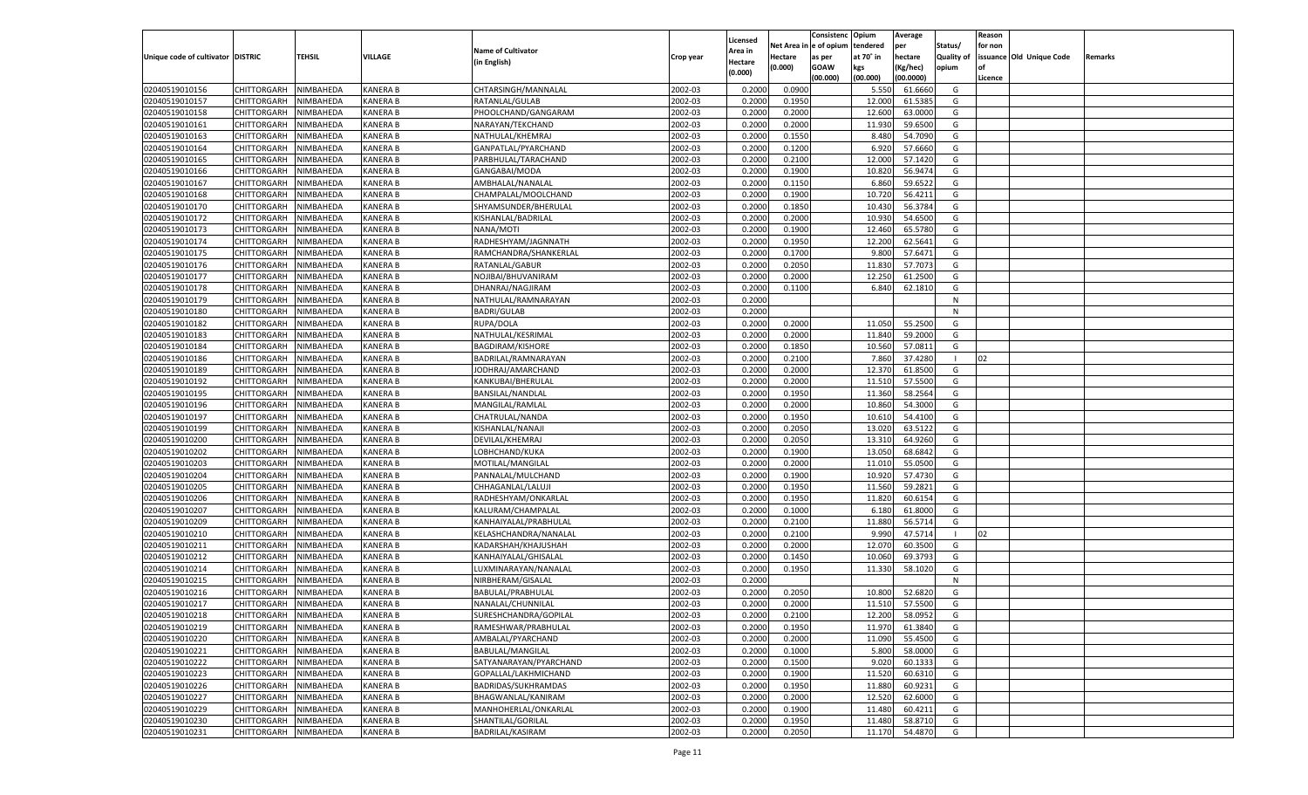|                                   |                    |           |                 |                           |           |          |            | Consistenc Opium |           | Average   |                   | Reason    |                          |         |
|-----------------------------------|--------------------|-----------|-----------------|---------------------------|-----------|----------|------------|------------------|-----------|-----------|-------------------|-----------|--------------------------|---------|
|                                   |                    |           |                 |                           |           | Licensed | Net Area i | e of opium       | tendered  | per       | Status/           | for non   |                          |         |
| Unique code of cultivator DISTRIC |                    | TEHSIL    | VILLAGE         | <b>Name of Cultivator</b> | Crop year | Area in  | Hectare    | as per           | at 70° in | hectare   | <b>Quality of</b> |           | issuance Old Unique Code | Remarks |
|                                   |                    |           |                 | (in English)              |           | Hectare  | (0.000)    | <b>GOAW</b>      | kgs       | (Kg/hec)  | opium             | <b>of</b> |                          |         |
|                                   |                    |           |                 |                           |           | (0.000)  |            | (00.000)         | (00.000)  | (00.0000) |                   | Licence   |                          |         |
| 02040519010156                    | CHITTORGARH        | NIMBAHEDA | <b>KANERA B</b> | CHTARSINGH/MANNALAL       | 2002-03   | 0.2000   | 0.0900     |                  | 5.550     | 61.6660   | G                 |           |                          |         |
| 02040519010157                    | CHITTORGARH        | NIMBAHEDA | <b>KANERA B</b> | RATANLAL/GULAB            | 2002-03   | 0.2000   | 0.1950     |                  | 12.000    | 61.5385   | G                 |           |                          |         |
|                                   |                    |           |                 |                           |           |          |            |                  |           |           |                   |           |                          |         |
| 02040519010158                    | CHITTORGARH        | NIMBAHEDA | <b>KANERA B</b> | PHOOLCHAND/GANGARAM       | 2002-03   | 0.2000   | 0.2000     |                  | 12.600    | 63.0000   | G                 |           |                          |         |
| 02040519010161                    | CHITTORGARH        | NIMBAHEDA | <b>KANERA B</b> | NARAYAN/TEKCHAND          | 2002-03   | 0.2000   | 0.2000     |                  | 11.930    | 59.6500   | G                 |           |                          |         |
| 02040519010163                    | CHITTORGARH        | NIMBAHEDA | <b>KANERA B</b> | NATHULAL/KHEMRAJ          | 2002-03   | 0.2000   | 0.1550     |                  | 8.480     | 54.7090   | G                 |           |                          |         |
| 02040519010164                    | CHITTORGARH        | NIMBAHEDA | <b>KANERA B</b> | GANPATLAL/PYARCHAND       | 2002-03   | 0.2000   | 0.1200     |                  | 6.920     | 57.6660   | G                 |           |                          |         |
| 02040519010165                    | CHITTORGARH        | NIMBAHEDA | <b>KANERA B</b> | PARBHULAL/TARACHAND       | 2002-03   | 0.2000   | 0.2100     |                  | 12.000    | 57.1420   | G                 |           |                          |         |
| 02040519010166                    | CHITTORGARH        | NIMBAHEDA | <b>KANERA B</b> | GANGABAI/MODA             | 2002-03   | 0.2000   | 0.1900     |                  | 10.820    | 56.9474   | G                 |           |                          |         |
| 02040519010167                    | CHITTORGARH        | NIMBAHEDA | <b>KANERA B</b> | AMBHALAL/NANALAL          | 2002-03   | 0.2000   | 0.1150     |                  | 6.860     | 59.6522   | G                 |           |                          |         |
| 02040519010168                    | CHITTORGARH        | NIMBAHEDA | <b>KANERA B</b> | CHAMPALAL/MOOLCHAND       | 2002-03   | 0.2000   | 0.1900     |                  | 10.720    | 56.4211   | G                 |           |                          |         |
| 02040519010170                    | CHITTORGARH        | NIMBAHEDA | <b>KANERA B</b> | SHYAMSUNDER/BHERULAL      | 2002-03   | 0.2000   | 0.1850     |                  | 10.430    | 56.3784   | G                 |           |                          |         |
| 02040519010172                    | CHITTORGARH        | NIMBAHEDA | <b>KANERA B</b> | KISHANLAL/BADRILAL        | 2002-03   | 0.2000   | 0.2000     |                  | 10.930    | 54.6500   | G                 |           |                          |         |
| 02040519010173                    | CHITTORGARH        | NIMBAHEDA | <b>KANERA B</b> | NANA/MOTI                 | 2002-03   | 0.2000   | 0.1900     |                  | 12.460    | 65.5780   | G                 |           |                          |         |
| 02040519010174                    | CHITTORGARH        | NIMBAHEDA | <b>KANERA B</b> | RADHESHYAM/JAGNNATH       | 2002-03   | 0.2000   | 0.1950     |                  | 12.200    | 62.5641   | G                 |           |                          |         |
| 02040519010175                    | CHITTORGARH        | NIMBAHEDA | <b>KANERA B</b> | RAMCHANDRA/SHANKERLAL     | 2002-03   | 0.2000   | 0.1700     |                  | 9.800     | 57.6471   | G                 |           |                          |         |
| 02040519010176                    | CHITTORGARH        | NIMBAHEDA | <b>KANERA B</b> | RATANLAL/GABUR            | 2002-03   | 0.2000   | 0.2050     |                  | 11.830    | 57.7073   | G                 |           |                          |         |
| 02040519010177                    | CHITTORGARH        | NIMBAHEDA | <b>KANERA B</b> | NOJIBAI/BHUVANIRAM        | 2002-03   | 0.2000   | 0.2000     |                  | 12.250    | 61.2500   | G                 |           |                          |         |
|                                   |                    |           |                 |                           |           |          |            |                  |           |           |                   |           |                          |         |
| 02040519010178                    | CHITTORGARH        | NIMBAHEDA | <b>KANERA B</b> | DHANRAJ/NAGJIRAM          | 2002-03   | 0.2000   | 0.1100     |                  | 6.840     | 62.1810   | G                 |           |                          |         |
| 02040519010179                    | CHITTORGARH        | NIMBAHEDA | <b>KANERA B</b> | NATHULAL/RAMNARAYAN       | 2002-03   | 0.2000   |            |                  |           |           | N                 |           |                          |         |
| 02040519010180                    | CHITTORGARH        | NIMBAHEDA | <b>KANERA B</b> | <b>BADRI/GULAB</b>        | 2002-03   | 0.2000   |            |                  |           |           | N                 |           |                          |         |
| 02040519010182                    | CHITTORGARH        | NIMBAHEDA | <b>KANERA B</b> | RUPA/DOLA                 | 2002-03   | 0.2000   | 0.2000     |                  | 11.050    | 55.2500   | G                 |           |                          |         |
| 02040519010183                    | CHITTORGARH        | NIMBAHEDA | <b>KANERA B</b> | NATHULAL/KESRIMAL         | 2002-03   | 0.2000   | 0.2000     |                  | 11.840    | 59.2000   | G                 |           |                          |         |
| 02040519010184                    | CHITTORGARH        | NIMBAHEDA | <b>KANERA B</b> | <b>BAGDIRAM/KISHORE</b>   | 2002-03   | 0.2000   | 0.1850     |                  | 10.560    | 57.0811   | G                 |           |                          |         |
| 02040519010186                    | CHITTORGARH        | NIMBAHEDA | <b>KANERA B</b> | BADRILAL/RAMNARAYAN       | 2002-03   | 0.2000   | 0.2100     |                  | 7.860     | 37.4280   | -1                | 02        |                          |         |
| 02040519010189                    | CHITTORGARH        | NIMBAHEDA | <b>KANERA B</b> | JODHRAJ/AMARCHAND         | 2002-03   | 0.2000   | 0.2000     |                  | 12.370    | 61.8500   | G                 |           |                          |         |
| 02040519010192                    | CHITTORGARH        | NIMBAHEDA | <b>KANERA B</b> | KANKUBAI/BHERULAL         | 2002-03   | 0.2000   | 0.2000     |                  | 11.51     | 57.5500   | G                 |           |                          |         |
| 02040519010195                    | CHITTORGARH        | NIMBAHEDA | <b>KANERA B</b> | BANSILAL/NANDLAL          | 2002-03   | 0.2000   | 0.1950     |                  | 11.360    | 58.2564   | G                 |           |                          |         |
| 02040519010196                    | CHITTORGARH        | NIMBAHEDA | <b>KANERA B</b> | MANGILAL/RAMLAL           | 2002-03   | 0.2000   | 0.2000     |                  | 10.860    | 54.3000   | G                 |           |                          |         |
| 02040519010197                    | CHITTORGARH        | NIMBAHEDA | <b>KANERA B</b> | CHATRULAL/NANDA           | 2002-03   | 0.2000   | 0.1950     |                  | 10.610    | 54.4100   | G                 |           |                          |         |
| 02040519010199                    | CHITTORGARH        | NIMBAHEDA | <b>KANERA B</b> | KISHANLAL/NANAJI          | 2002-03   | 0.2000   | 0.2050     |                  | 13.020    | 63.5122   | G                 |           |                          |         |
| 02040519010200                    | CHITTORGARH        | NIMBAHEDA | <b>KANERA B</b> | DEVILAL/KHEMRAJ           | 2002-03   | 0.2000   | 0.2050     |                  | 13.31     | 64.9260   | G                 |           |                          |         |
| 02040519010202                    | CHITTORGARH        | NIMBAHEDA | <b>KANERA B</b> | LOBHCHAND/KUKA            | 2002-03   | 0.2000   | 0.1900     |                  | 13.050    | 68.6842   | G                 |           |                          |         |
| 02040519010203                    | CHITTORGARH        | NIMBAHEDA | <b>KANERA B</b> | MOTILAL/MANGILAL          | 2002-03   | 0.2000   | 0.2000     |                  | 11.010    | 55.0500   | G                 |           |                          |         |
| 02040519010204                    | CHITTORGARH        | NIMBAHEDA | <b>KANERA B</b> |                           | 2002-03   | 0.2000   | 0.1900     |                  | 10.920    | 57.4730   | G                 |           |                          |         |
|                                   |                    |           |                 | PANNALAL/MULCHAND         |           |          |            |                  |           |           |                   |           |                          |         |
| 02040519010205                    | CHITTORGARH        | NIMBAHEDA | <b>KANERA B</b> | CHHAGANLAL/LALUJI         | 2002-03   | 0.2000   | 0.1950     |                  | 11.560    | 59.2821   | G                 |           |                          |         |
| 02040519010206                    | CHITTORGARH        | NIMBAHEDA | <b>KANERA B</b> | RADHESHYAM/ONKARLAI       | 2002-03   | 0.2000   | 0.1950     |                  | 11.820    | 60.6154   | G                 |           |                          |         |
| 02040519010207                    | CHITTORGARH        | NIMBAHEDA | <b>KANERA B</b> | KALURAM/CHAMPALAL         | 2002-03   | 0.2000   | 0.1000     |                  | 6.180     | 61.8000   | G                 |           |                          |         |
| 02040519010209                    | CHITTORGARH        | NIMBAHEDA | <b>KANERA B</b> | KANHAIYALAL/PRABHULAL     | 2002-03   | 0.2000   | 0.2100     |                  | 11.880    | 56.5714   | G                 |           |                          |         |
| 02040519010210                    | CHITTORGARH        | NIMBAHEDA | <b>KANERA B</b> | KELASHCHANDRA/NANALAI     | 2002-03   | 0.2000   | 0.2100     |                  | 9.990     | 47.5714   |                   | 02        |                          |         |
| 02040519010211                    | CHITTORGARH        | NIMBAHEDA | <b>KANERA B</b> | KADARSHAH/KHAJUSHAH       | 2002-03   | 0.2000   | 0.2000     |                  | 12.070    | 60.3500   | G                 |           |                          |         |
| 02040519010212                    | CHITTORGARH        | NIMBAHEDA | <b>KANERA B</b> | KANHAIYALAL/GHISALAL      | 2002-03   | 0.2000   | 0.1450     |                  | 10.060    | 69.3793   | G                 |           |                          |         |
| 02040519010214                    | CHITTORGARH        | NIMBAHEDA | <b>KANERA B</b> | LUXMINARAYAN/NANALAL      | 2002-03   | 0.2000   | 0.1950     |                  | 11.330    | 58.1020   | G                 |           |                          |         |
| 02040519010215                    | CHITTORGARH        | NIMBAHEDA | <b>KANERA B</b> | NIRBHERAM/GISALAI         | 2002-03   | 0.2000   |            |                  |           |           | N                 |           |                          |         |
| 02040519010216                    | CHITTORGARH        | NIMBAHEDA | <b>KANERA B</b> | BABULAL/PRABHULAL         | 2002-03   | 0.2000   | 0.2050     |                  | 10.800    | 52.682    | G                 |           |                          |         |
| 02040519010217                    | CHITTORGARH        | NIMBAHEDA | <b>KANERA B</b> | NANALAL/CHUNNILAL         | 2002-03   | 0.2000   | 0.2000     |                  | 11.510    | 57.5500   | G                 |           |                          |         |
| 02040519010218                    | <b>CHITTORGARH</b> | NIMBAHEDA | <b>KANERA B</b> | SURESHCHANDRA/GOPILAL     | 2002-03   | 0.2000   | 0.2100     |                  | 12.200    | 58.0952   | G                 |           |                          |         |
| 02040519010219                    | CHITTORGARH        | NIMBAHEDA | <b>KANERA B</b> | RAMESHWAR/PRABHULAL       | 2002-03   | 0.2000   | 0.1950     |                  | 11.970    | 61.3840   | G                 |           |                          |         |
| 02040519010220                    | CHITTORGARH        | NIMBAHEDA | <b>KANERA B</b> | AMBALAL/PYARCHAND         | 2002-03   | 0.2000   | 0.2000     |                  | 11.090    | 55.4500   | G                 |           |                          |         |
| 02040519010221                    | CHITTORGARH        | NIMBAHEDA | <b>KANERA B</b> | BABULAL/MANGILAL          | 2002-03   | 0.2000   | 0.1000     |                  | 5.800     | 58.0000   | G                 |           |                          |         |
| 02040519010222                    | CHITTORGARH        | NIMBAHEDA | <b>KANERA B</b> | SATYANARAYAN/PYARCHAND    | 2002-03   | 0.2000   | 0.1500     |                  | 9.020     | 60.1333   | G                 |           |                          |         |
| 02040519010223                    |                    |           |                 |                           | 2002-03   |          |            |                  |           |           |                   |           |                          |         |
|                                   | CHITTORGARH        | NIMBAHEDA | <b>KANERA B</b> | GOPALLAL/LAKHMICHAND      |           | 0.2000   | 0.1900     |                  | 11.520    | 60.6310   | G                 |           |                          |         |
| 02040519010226                    | CHITTORGARH        | NIMBAHEDA | <b>KANERA B</b> | BADRIDAS/SUKHRAMDAS       | 2002-03   | 0.2000   | 0.1950     |                  | 11.880    | 60.9231   | G                 |           |                          |         |
| 02040519010227                    | <b>CHITTORGARH</b> | NIMBAHEDA | <b>KANERA B</b> | BHAGWANLAL/KANIRAM        | 2002-03   | 0.2000   | 0.2000     |                  | 12.520    | 62.6000   | G                 |           |                          |         |
| 02040519010229                    | CHITTORGARH        | NIMBAHEDA | <b>KANERA B</b> | MANHOHERLAL/ONKARLAL      | 2002-03   | 0.2000   | 0.1900     |                  | 11.480    | 60.4211   | G                 |           |                          |         |
| 02040519010230                    | CHITTORGARH        | NIMBAHEDA | <b>KANERA B</b> | SHANTILAL/GORILAL         | 2002-03   | 0.2000   | 0.1950     |                  | 11.480    | 58.8710   | G                 |           |                          |         |
| 02040519010231                    | CHITTORGARH        | NIMBAHEDA | <b>KANERA B</b> | BADRILAL/KASIRAM          | 2002-03   | 0.2000   | 0.2050     |                  | 11.170    | 54.4870   | G                 |           |                          |         |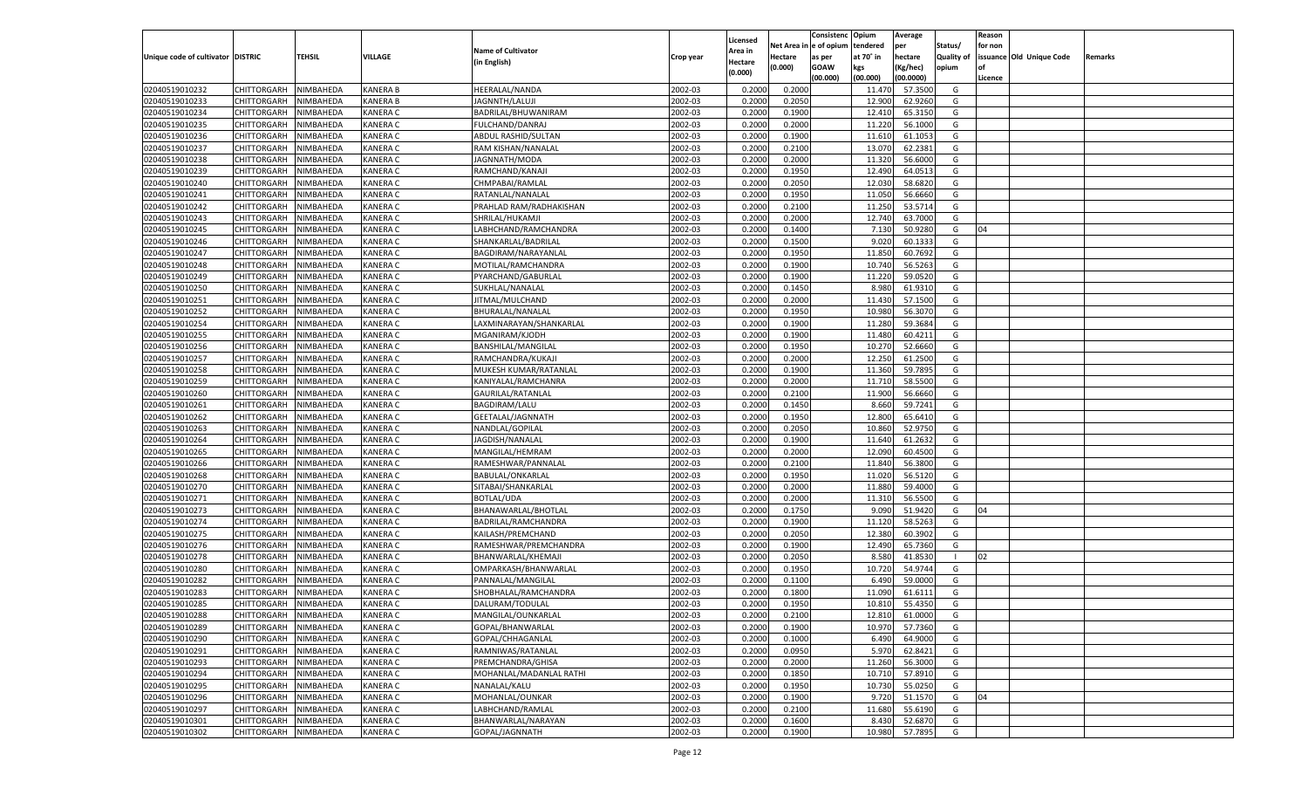|                                   |                       |               |                 |                                        |                    |                           |          | Consistenc  | Opium     | Average   |                   | Reason  |                          |         |
|-----------------------------------|-----------------------|---------------|-----------------|----------------------------------------|--------------------|---------------------------|----------|-------------|-----------|-----------|-------------------|---------|--------------------------|---------|
|                                   |                       |               |                 | <b>Name of Cultivator</b>              |                    | Licensed                  | Net Area | e of opium  | tendered  | per       | Status/           | for non |                          |         |
| Unique code of cultivator DISTRIC |                       | <b>TEHSIL</b> | VILLAGE         | (in English)                           | Crop year          | <b>Area in</b><br>Hectare | Hectare  | as per      | at 70° in | hectare   | <b>Quality of</b> |         | issuance Old Unique Code | Remarks |
|                                   |                       |               |                 |                                        |                    | (0.000)                   | (0.000)  | <b>GOAW</b> | kgs       | (Kg/hec)  | opium             |         |                          |         |
|                                   |                       |               |                 |                                        |                    |                           |          | (00.000)    | (00.000)  | (00.0000) |                   | Licence |                          |         |
| 02040519010232                    | CHITTORGARH           | NIMBAHEDA     | KANERA B        | HEERALAL/NANDA                         | 2002-03            | 0.2000                    | 0.2000   |             | 11.470    | 57.3500   | G                 |         |                          |         |
| 02040519010233                    | CHITTORGARH           | NIMBAHEDA     | KANERA B        | JAGNNTH/LALUJI                         | 2002-03            | 0.2000                    | 0.2050   |             | 12.900    | 62.9260   | G                 |         |                          |         |
| 02040519010234                    | CHITTORGARH           | NIMBAHEDA     | KANERA C        | BADRILAL/BHUWANIRAM                    | 2002-03            | 0.2000                    | 0.1900   |             | 12.410    | 65.3150   | G                 |         |                          |         |
| 02040519010235                    | CHITTORGARH           | NIMBAHEDA     | KANERA C        | FULCHAND/DANRAJ                        | 2002-03            | 0.2000                    | 0.2000   |             | 11.220    | 56.1000   | G                 |         |                          |         |
| 02040519010236                    | CHITTORGARH           | NIMBAHEDA     | KANERA C        | ABDUL RASHID/SULTAN                    | 2002-03            | 0.2000                    | 0.1900   |             | 11.610    | 61.105    | G                 |         |                          |         |
| 02040519010237                    | CHITTORGARH           | NIMBAHEDA     | KANERA C        | RAM KISHAN/NANALAL                     | 2002-03            | 0.2000                    | 0.2100   |             | 13.070    | 62.2381   | G                 |         |                          |         |
| 02040519010238                    | CHITTORGARH           | NIMBAHEDA     | KANERA C        | JAGNNATH/MODA                          | 2002-03            | 0.2000                    | 0.2000   |             | 11.320    | 56.6000   | G                 |         |                          |         |
| 02040519010239                    | CHITTORGARH           | NIMBAHEDA     | KANERA C        | RAMCHAND/KANAJI                        | 2002-03            | 0.2000                    | 0.1950   |             | 12.490    | 64.0513   | G                 |         |                          |         |
| 02040519010240                    | CHITTORGARH           | NIMBAHEDA     | KANERA C        | CHMPABAI/RAMLAL                        | 2002-03            | 0.2000                    | 0.2050   |             | 12.030    | 58.6820   | G                 |         |                          |         |
| 02040519010241                    | CHITTORGARH           | NIMBAHEDA     | KANERA C        | RATANLAL/NANALAL                       | 2002-03            | 0.2000                    | 0.1950   |             | 11.050    | 56.6660   | G                 |         |                          |         |
| 02040519010242                    | CHITTORGARH           | NIMBAHEDA     | KANERA C        | PRAHLAD RAM/RADHAKISHAN                | 2002-03            | 0.2000                    | 0.2100   |             | 11.250    | 53.5714   | G                 |         |                          |         |
| 02040519010243                    | CHITTORGARH           | NIMBAHEDA     | KANERA C        | SHRILAL/HUKAMJI                        | 2002-03            | 0.2000                    | 0.2000   |             | 12.740    | 63.7000   | G                 |         |                          |         |
| 02040519010245                    | CHITTORGARH           | NIMBAHEDA     | KANERA C        | LABHCHAND/RAMCHANDRA                   | 2002-03            | 0.2000                    | 0.1400   |             | 7.130     | 50.9280   | G                 | 04      |                          |         |
| 02040519010246                    | CHITTORGARH           | NIMBAHEDA     | KANERA C        | SHANKARLAL/BADRILAI                    | 2002-03            | 0.2000                    | 0.1500   |             | 9.020     | 60.133    | G                 |         |                          |         |
| 02040519010247                    | CHITTORGARH           | NIMBAHEDA     | KANERA C        | BAGDIRAM/NARAYANLAI                    | 2002-03            | 0.2000                    | 0.1950   |             | 11.850    | 60.7692   | G                 |         |                          |         |
| 02040519010248                    | CHITTORGARH           | NIMBAHEDA     | KANERA C        | MOTILAL/RAMCHANDRA                     | 2002-03            | 0.2000                    | 0.1900   |             | 10.740    | 56.5263   | G                 |         |                          |         |
| 02040519010249                    | CHITTORGARH           | NIMBAHEDA     | KANERA C        | PYARCHAND/GABURLAL                     | 2002-03            | 0.2000                    | 0.1900   |             | 11.220    | 59.0520   | G                 |         |                          |         |
| 02040519010250                    | CHITTORGARH           | NIMBAHEDA     | KANERA C        | SUKHLAL/NANALAL                        | 2002-03            | 0.2000                    | 0.1450   |             | 8.980     | 61.9310   | G                 |         |                          |         |
| 02040519010251                    | CHITTORGARH           | NIMBAHEDA     | KANERA C        | JITMAL/MULCHAND                        | 2002-03            | 0.2000                    | 0.2000   |             | 11.430    | 57.1500   | G                 |         |                          |         |
| 02040519010252                    | CHITTORGARH           | NIMBAHEDA     | KANERA C        | BHURALAL/NANALAL                       | 2002-03            | 0.2000                    | 0.1950   |             | 10.980    | 56.3070   | G                 |         |                          |         |
| 02040519010254                    | CHITTORGARH           | NIMBAHEDA     | KANERA C        | LAXMINARAYAN/SHANKARLAL                | 2002-03            | 0.2000                    | 0.1900   |             | 11.280    | 59.3684   | G                 |         |                          |         |
| 02040519010255                    | CHITTORGARH           | NIMBAHEDA     | KANERA C        | MGANIRAM/KJODH                         | 2002-03            | 0.2000                    | 0.1900   |             | 11.480    | 60.4211   | G                 |         |                          |         |
| 02040519010256                    | CHITTORGARH           | NIMBAHEDA     | KANERA C        | BANSHILAL/MANGILAL                     | 2002-03            | 0.2000                    | 0.1950   |             | 10.270    | 52.6660   | G                 |         |                          |         |
| 02040519010257                    | CHITTORGARH           | NIMBAHEDA     | KANERA C        | RAMCHANDRA/KUKAJI                      | 2002-03            | 0.2000                    | 0.2000   |             | 12.250    | 61.2500   | G                 |         |                          |         |
| 02040519010258                    | CHITTORGARH           | NIMBAHEDA     | KANERA C        | MUKESH KUMAR/RATANLAL                  | 2002-03            | 0.2000                    | 0.1900   |             | 11.360    | 59.7895   | G                 |         |                          |         |
| 02040519010259                    | CHITTORGARH           | NIMBAHEDA     | KANERA C        | KANIYALAL/RAMCHANRA                    | 2002-03            | 0.2000                    | 0.2000   |             | 11.710    | 58.5500   | G                 |         |                          |         |
| 02040519010260                    | CHITTORGARH           | NIMBAHEDA     | KANERA C        | <b>GAURILAL/RATANLAL</b>               | 2002-03            | 0.2000                    | 0.2100   |             | 11.900    | 56.6660   | G                 |         |                          |         |
| 02040519010261                    | CHITTORGARH           | NIMBAHEDA     | KANERA C        | <b>BAGDIRAM/LALU</b>                   | 2002-03            | 0.2000                    | 0.1450   |             | 8.660     | 59.7241   | G                 |         |                          |         |
| 02040519010262                    | CHITTORGARH           | NIMBAHEDA     | KANERA C        | GEETALAL/JAGNNATH                      | 2002-03            | 0.2000                    | 0.1950   |             | 12.800    | 65.6410   | G                 |         |                          |         |
| 02040519010263                    | CHITTORGARH           | NIMBAHEDA     | KANERA C        | NANDLAL/GOPILAL                        | 2002-03            | 0.2000                    | 0.2050   |             | 10.860    | 52.9750   | G                 |         |                          |         |
| 02040519010264                    | CHITTORGARH           | NIMBAHEDA     | KANERA C        | JAGDISH/NANALAL                        | 2002-03            | 0.2000                    | 0.1900   |             | 11.640    | 61.263    | G                 |         |                          |         |
| 02040519010265                    | CHITTORGARH           | NIMBAHEDA     | KANERA C        | MANGILAL/HEMRAM                        | 2002-03            | 0.2000                    | 0.2000   |             | 12.090    | 60.4500   | G                 |         |                          |         |
| 02040519010266                    | CHITTORGARH           | NIMBAHEDA     | KANERA C        | RAMESHWAR/PANNALAL                     | 2002-03            | 0.2000                    | 0.2100   |             | 11.840    | 56.3800   | G                 |         |                          |         |
| 02040519010268                    | CHITTORGARH           | NIMBAHEDA     | KANERA C        | <b>BABULAL/ONKARLAL</b>                | 2002-03            | 0.2000                    | 0.1950   |             | 11.020    | 56.5120   | G                 |         |                          |         |
| 02040519010270                    | CHITTORGARH           | NIMBAHEDA     | KANERA C        | SITABAI/SHANKARLAL                     | 2002-03            | 0.2000                    | 0.2000   |             | 11.880    | 59.4000   | G                 |         |                          |         |
| 02040519010271                    | CHITTORGARH           | NIMBAHEDA     | KANERA C        | <b>BOTLAL/UDA</b>                      | 2002-03            | 0.2000                    | 0.2000   |             | 11.31     | 56.5500   | G                 |         |                          |         |
| 02040519010273                    | CHITTORGARH           | NIMBAHEDA     | KANERA C        | BHANAWARLAL/BHOTLAL                    | 2002-03            | 0.2000                    | 0.1750   |             | 9.09      | 51.9420   | G                 | 04      |                          |         |
| 02040519010274                    | CHITTORGARH           | NIMBAHEDA     | KANERA C        | BADRILAL/RAMCHANDRA                    | 2002-03            | 0.2000                    | 0.1900   |             | 11.120    | 58.5263   | G                 |         |                          |         |
| 02040519010275                    | CHITTORGARH           | NIMBAHEDA     | KANERA C        | KAILASH/PREMCHAND                      | 2002-03            | 0.2000                    | 0.2050   |             | 12.380    | 60.3902   | G                 |         |                          |         |
| 02040519010276                    | CHITTORGARH           | NIMBAHEDA     | KANERA C        | RAMESHWAR/PREMCHANDRA                  | 2002-03            | 0.2000                    | 0.1900   |             | 12.490    | 65.7360   | G                 |         |                          |         |
| 02040519010278                    | CHITTORGARH           | NIMBAHEDA     | KANERA C        | BHANWARLAL/KHEMAJI                     | 2002-03            | 0.2000                    | 0.2050   |             | 8.580     | 41.8530   |                   | 02      |                          |         |
| 02040519010280                    | CHITTORGARH           | NIMBAHEDA     | KANERA C        | OMPARKASH/BHANWARLAL                   | 2002-03            | 0.2000                    | 0.1950   |             | 10.720    | 54.9744   | G                 |         |                          |         |
| 02040519010282                    | CHITTORGARH           | NIMBAHEDA     | KANERA C        | PANNALAL/MANGILAL                      | 2002-03            | 0.2000                    | 0.1100   |             | 6.490     | 59.0000   | G                 |         |                          |         |
| 02040519010283                    | CHITTORGARH           | NIMBAHEDA     | KANERA C        | SHOBHALAL/RAMCHANDRA                   | 2002-03            | 0.2000                    | 0.1800   |             | 11.09     | 61.6111   | G                 |         |                          |         |
| 02040519010285                    |                       | NIMBAHEDA     | KANERA C        |                                        | 2002-03            | 0.2000                    | 0.1950   |             | 10.810    | 55.4350   | G                 |         |                          |         |
|                                   | CHITTORGARH           |               |                 | DALURAM/TODULAL                        |                    |                           |          |             |           |           |                   |         |                          |         |
| 02040519010288                    | CHITTORGARH NIMBAHEDA |               | <b>KANERA C</b> | MANGILAL/OUNKARLAL<br>GOPAL/BHANWARLAL | 2002-03<br>2002-03 | 0.2000                    | 0.2100   |             | 12.810    | 61.0000   | G                 |         |                          |         |
| 02040519010289                    | <b>CHITTORGARH</b>    | NIMBAHEDA     | <b>KANERA C</b> |                                        |                    | 0.2000                    | 0.1900   |             | 10.970    | 57.7360   | G                 |         |                          |         |
| 02040519010290                    | CHITTORGARH           | NIMBAHEDA     | <b>KANERA C</b> | GOPAL/CHHAGANLAL                       | 2002-03            | 0.2000                    | 0.1000   |             | 6.490     | 64.9000   | G                 |         |                          |         |
| 02040519010291                    | <b>CHITTORGARH</b>    | NIMBAHEDA     | <b>KANERA C</b> | RAMNIWAS/RATANLAL                      | 2002-03            | 0.2000                    | 0.0950   |             | 5.970     | 62.8421   | G                 |         |                          |         |
| 02040519010293                    | <b>CHITTORGARH</b>    | NIMBAHEDA     | <b>KANERA C</b> | PREMCHANDRA/GHISA                      | 2002-03            | 0.2000                    | 0.2000   |             | 11.260    | 56.3000   | G                 |         |                          |         |
| 02040519010294                    | <b>CHITTORGARH</b>    | NIMBAHEDA     | <b>KANERA C</b> | MOHANLAL/MADANLAL RATHI                | 2002-03            | 0.2000                    | 0.1850   |             | 10.710    | 57.8910   | G                 |         |                          |         |
| 02040519010295                    | <b>CHITTORGARH</b>    | NIMBAHEDA     | <b>KANERA C</b> | NANALAL/KALU                           | 2002-03            | 0.2000                    | 0.1950   |             | 10.730    | 55.0250   | G                 |         |                          |         |
| 02040519010296                    | <b>CHITTORGARH</b>    | NIMBAHEDA     | <b>KANERA C</b> | MOHANLAL/OUNKAR                        | 2002-03            | 0.2000                    | 0.1900   |             | 9.720     | 51.1570   | G                 | 04      |                          |         |
| 02040519010297                    | <b>CHITTORGARH</b>    | NIMBAHEDA     | <b>KANERA C</b> | LABHCHAND/RAMLAL                       | 2002-03            | 0.2000                    | 0.2100   |             | 11.680    | 55.6190   | G                 |         |                          |         |
| 02040519010301                    | <b>CHITTORGARH</b>    | NIMBAHEDA     | <b>KANERA C</b> | BHANWARLAL/NARAYAN                     | 2002-03            | 0.2000                    | 0.1600   |             | 8.430     | 52.6870   | G                 |         |                          |         |
| 02040519010302                    | <b>CHITTORGARH</b>    | NIMBAHEDA     | <b>KANERA C</b> | GOPAL/JAGNNATH                         | 2002-03            | 0.2000                    | 0.1900   |             | 10.980    | 57.7895   | G                 |         |                          |         |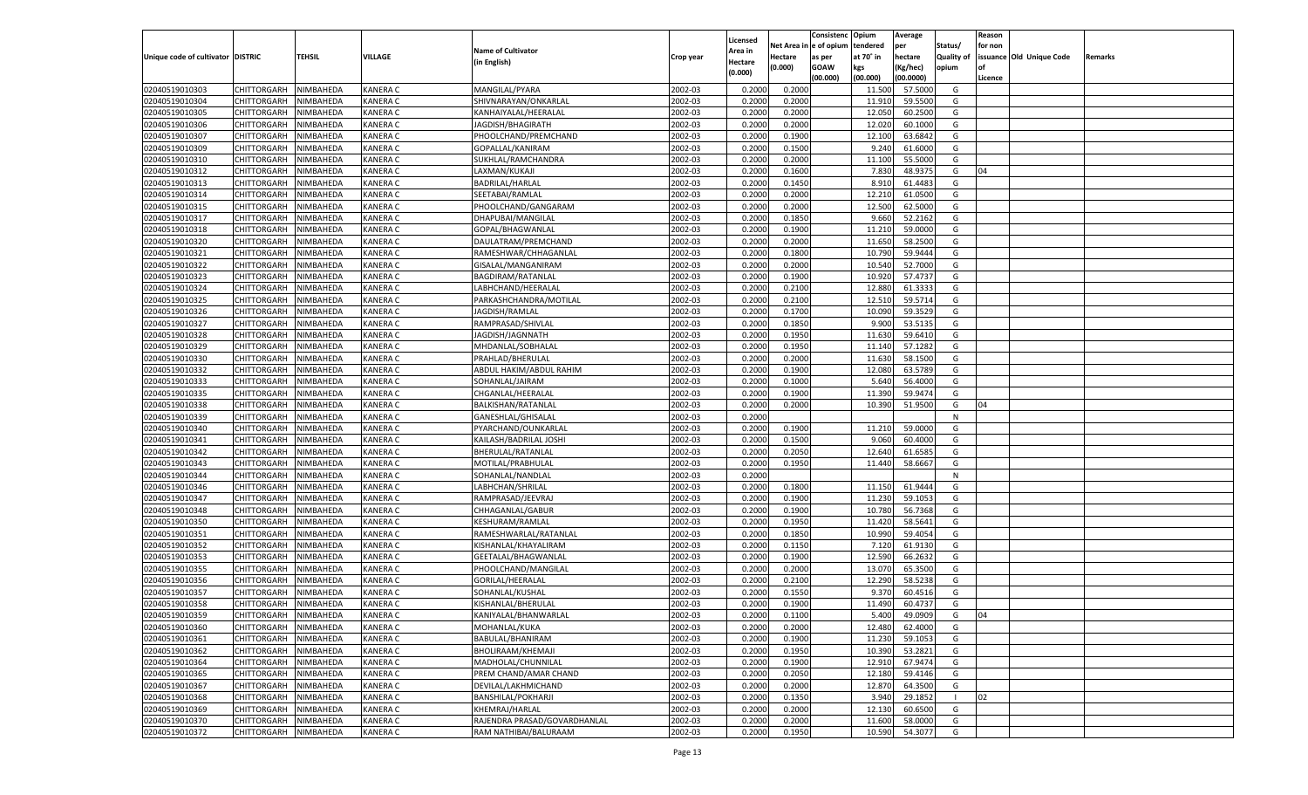|                                   |                       |               |                 |                                       |           |                           |          | Consistenc  | Opium           | Average   |                   | Reason  |                          |         |
|-----------------------------------|-----------------------|---------------|-----------------|---------------------------------------|-----------|---------------------------|----------|-------------|-----------------|-----------|-------------------|---------|--------------------------|---------|
|                                   |                       |               |                 | <b>Name of Cultivator</b>             |           | Licensed                  | Net Area | e of opium  | tendered        | per       | Status/           | for non |                          |         |
| Unique code of cultivator DISTRIC |                       | <b>TEHSIL</b> | VILLAGE         | (in English)                          | Crop year | <b>Area in</b><br>Hectare | Hectare  | as per      | at 70° in       | hectare   | <b>Quality of</b> |         | issuance Old Unique Code | Remarks |
|                                   |                       |               |                 |                                       |           | (0.000)                   | (0.000)  | <b>GOAW</b> | kgs             | (Kg/hec)  | opium             |         |                          |         |
|                                   |                       |               |                 |                                       |           |                           |          | (00.000)    | (00.000)        | (00.0000) |                   | Licence |                          |         |
| 02040519010303                    | CHITTORGARH           | NIMBAHEDA     | KANERA C        | MANGILAL/PYARA                        | 2002-03   | 0.2000                    | 0.2000   |             | 11.500          | 57.5000   | G                 |         |                          |         |
| 02040519010304                    | CHITTORGARH           | NIMBAHEDA     | KANERA C        | SHIVNARAYAN/ONKARLAL                  | 2002-03   | 0.2000                    | 0.2000   |             | 11.91           | 59.5500   | G                 |         |                          |         |
| 02040519010305                    | CHITTORGARH           | NIMBAHEDA     | KANERA C        | KANHAIYALAL/HEERALAL                  | 2002-03   | 0.2000                    | 0.2000   |             | 12.050          | 60.2500   | G                 |         |                          |         |
| 02040519010306                    | CHITTORGARH           | NIMBAHEDA     | KANERA C        | JAGDISH/BHAGIRATH                     | 2002-03   | 0.2000                    | 0.2000   |             | 12.020          | 60.1000   | G                 |         |                          |         |
| 02040519010307                    | CHITTORGARH           | NIMBAHEDA     | KANERA C        | PHOOLCHAND/PREMCHAND                  | 2002-03   | 0.2000                    | 0.1900   |             | 12.100          | 63.6842   | G                 |         |                          |         |
| 02040519010309                    | CHITTORGARH           | NIMBAHEDA     | KANERA C        | GOPALLAL/KANIRAM                      | 2002-03   | 0.2000                    | 0.1500   |             | 9.240           | 61.6000   | G                 |         |                          |         |
| 02040519010310                    | CHITTORGARH           | NIMBAHEDA     | KANERA C        | SUKHLAL/RAMCHANDRA                    | 2002-03   | 0.2000                    | 0.2000   |             | 11.100          | 55.5000   | G                 |         |                          |         |
| 02040519010312                    | CHITTORGARH           | NIMBAHEDA     | KANERA C        | LAXMAN/KUKAJI                         | 2002-03   | 0.2000                    | 0.1600   |             | 7.830           | 48.9375   | G                 | 04      |                          |         |
| 02040519010313                    | CHITTORGARH           | NIMBAHEDA     | KANERA C        | BADRILAL/HARLAL                       | 2002-03   | 0.2000                    | 0.1450   |             | 8.910           | 61.4483   | G                 |         |                          |         |
| 02040519010314                    | CHITTORGARH           | NIMBAHEDA     | KANERA C        | SEETABAI/RAMLAL                       | 2002-03   | 0.2000                    | 0.2000   |             | 12.210          | 61.0500   | G                 |         |                          |         |
| 02040519010315                    | CHITTORGARH           | NIMBAHEDA     | KANERA C        | PHOOLCHAND/GANGARAM                   | 2002-03   | 0.2000                    | 0.2000   |             | 12.500          | 62.5000   | G                 |         |                          |         |
| 02040519010317                    | CHITTORGARH           | NIMBAHEDA     | KANERA C        | DHAPUBAI/MANGILAL                     | 2002-03   | 0.2000                    | 0.1850   |             | 9.660           | 52.2162   | G                 |         |                          |         |
| 02040519010318                    | CHITTORGARH           | NIMBAHEDA     | KANERA C        | GOPAL/BHAGWANLAL                      | 2002-03   | 0.2000                    | 0.1900   |             | 11.210          | 59.0000   | G                 |         |                          |         |
| 02040519010320                    | CHITTORGARH           | NIMBAHEDA     | KANERA C        | DAULATRAM/PREMCHAND                   | 2002-03   | 0.2000                    | 0.2000   |             | 11.650          | 58.2500   | G                 |         |                          |         |
| 02040519010321                    | CHITTORGARH           | NIMBAHEDA     | KANERA C        | RAMESHWAR/CHHAGANLAL                  | 2002-03   | 0.2000                    | 0.1800   |             | 10.790          | 59.9444   | G                 |         |                          |         |
| 02040519010322                    | CHITTORGARH           | NIMBAHEDA     | KANERA C        | GISALAL/MANGANIRAM                    | 2002-03   | 0.2000                    | 0.2000   |             | 10.540          | 52.7000   | G                 |         |                          |         |
| 02040519010323                    | CHITTORGARH           | NIMBAHEDA     | KANERA C        | BAGDIRAM/RATANLAL                     | 2002-03   | 0.2000                    | 0.1900   |             | 10.920          | 57.4737   | G                 |         |                          |         |
| 02040519010324                    | CHITTORGARH           | NIMBAHEDA     | KANERA C        | LABHCHAND/HEERALAI                    | 2002-03   | 0.2000                    | 0.2100   |             | 12.880          | 61.333    | G                 |         |                          |         |
| 02040519010325                    | CHITTORGARH           | NIMBAHEDA     | KANERA C        | PARKASHCHANDRA/MOTILAL                | 2002-03   | 0.2000                    | 0.2100   |             | 12.510          | 59.5714   | G                 |         |                          |         |
| 02040519010326                    | CHITTORGARH           | NIMBAHEDA     | KANERA C        | JAGDISH/RAMLAL                        | 2002-03   | 0.2000                    | 0.1700   |             | 10.090          | 59.3529   | G                 |         |                          |         |
| 02040519010327                    | CHITTORGARH           | NIMBAHEDA     | KANERA C        | RAMPRASAD/SHIVLAL                     | 2002-03   | 0.2000                    | 0.1850   |             | 9.900           | 53.5135   | G                 |         |                          |         |
| 02040519010328                    | CHITTORGARH           | NIMBAHEDA     | KANERA C        | JAGDISH/JAGNNATH                      | 2002-03   | 0.2000                    | 0.1950   |             | 11.630          | 59.6410   | G                 |         |                          |         |
| 02040519010329                    | CHITTORGARH           | NIMBAHEDA     | KANERA C        | MHDANLAL/SOBHALAI                     | 2002-03   | 0.2000                    | 0.1950   |             | 11.140          | 57.1282   | G                 |         |                          |         |
| 02040519010330                    | CHITTORGARH           | NIMBAHEDA     | KANERA C        | PRAHLAD/BHERULAL                      | 2002-03   | 0.2000                    | 0.2000   |             | 11.630          | 58.1500   | G                 |         |                          |         |
| 02040519010332                    | CHITTORGARH           | NIMBAHEDA     | KANERA C        | ABDUL HAKIM/ABDUL RAHIM               | 2002-03   | 0.2000                    | 0.1900   |             | 12.080          | 63.5789   | G                 |         |                          |         |
| 02040519010333                    | CHITTORGARH           | NIMBAHEDA     | KANERA C        | SOHANLAL/JAIRAM                       | 2002-03   | 0.2000                    | 0.1000   |             | 5.640           | 56.4000   | G                 |         |                          |         |
| 02040519010335                    | CHITTORGARH           | NIMBAHEDA     | KANERA C        | CHGANLAL/HEERALAL                     | 2002-03   | 0.2000                    | 0.1900   |             | 11.390          | 59.9474   | G                 |         |                          |         |
| 02040519010338                    | CHITTORGARH           | NIMBAHEDA     | KANERA C        | BALKISHAN/RATANLAL                    | 2002-03   | 0.2000                    | 0.2000   |             | 10.390          | 51.9500   | G                 | 04      |                          |         |
| 02040519010339                    | CHITTORGARH           | NIMBAHEDA     | KANERA C        | GANESHLAL/GHISALAL                    | 2002-03   | 0.2000                    |          |             |                 |           | N                 |         |                          |         |
| 02040519010340                    | CHITTORGARH           | NIMBAHEDA     | KANERA C        | PYARCHAND/OUNKARLAL                   | 2002-03   | 0.2000                    | 0.1900   |             | 11.210          | 59.0000   | G                 |         |                          |         |
| 02040519010341                    | CHITTORGARH           | NIMBAHEDA     | KANERA C        | KAILASH/BADRILAL JOSHI                | 2002-03   | 0.2000                    | 0.1500   |             | 9.060           | 60.4000   | G                 |         |                          |         |
| 02040519010342                    | CHITTORGARH           | NIMBAHEDA     | KANERA C        | BHERULAL/RATANLAL                     | 2002-03   | 0.2000                    | 0.2050   |             | 12.640          | 61.6585   | G                 |         |                          |         |
| 02040519010343                    | CHITTORGARH           | NIMBAHEDA     | KANERA C        | MOTILAL/PRABHULAL                     | 2002-03   | 0.2000                    | 0.1950   |             | 11.440          | 58.666    | G                 |         |                          |         |
| 02040519010344                    | CHITTORGARH           | NIMBAHEDA     | KANERA C        | SOHANLAL/NANDLAL                      | 2002-03   | 0.2000                    |          |             |                 |           | N                 |         |                          |         |
| 02040519010346                    |                       | NIMBAHEDA     | KANERA C        |                                       | 2002-03   | 0.2000                    | 0.1800   |             |                 | 61.9444   | G                 |         |                          |         |
| 02040519010347                    | CHITTORGARH           |               | KANERA C        | LABHCHAN/SHRILAL<br>RAMPRASAD/JEEVRAJ | 2002-03   |                           |          |             | 11.15<br>11.230 | 59.105    | G                 |         |                          |         |
|                                   | CHITTORGARH           | NIMBAHEDA     |                 |                                       |           | 0.2000                    | 0.1900   |             |                 |           |                   |         |                          |         |
| 02040519010348                    | CHITTORGARH           | NIMBAHEDA     | KANERA C        | CHHAGANLAL/GABUR                      | 2002-03   | 0.2000                    | 0.1900   |             | 10.780          | 56.7368   | G                 |         |                          |         |
| 02040519010350                    | CHITTORGARH           | NIMBAHEDA     | KANERA C        | KESHURAM/RAMLAL                       | 2002-03   | 0.2000                    | 0.1950   |             | 11.420          | 58.5641   | G                 |         |                          |         |
| 02040519010351                    | CHITTORGARH           | NIMBAHEDA     | KANERA C        | RAMESHWARLAL/RATANLAL                 | 2002-03   | 0.2000                    | 0.1850   |             | 10.990          | 59.405    | G                 |         |                          |         |
| 02040519010352                    | CHITTORGARH           | NIMBAHEDA     | KANERA C        | KISHANLAL/KHAYALIRAM                  | 2002-03   | 0.2000                    | 0.1150   |             | 7.120           | 61.9130   | G                 |         |                          |         |
| 02040519010353                    | <b>CHITTORGARH</b>    | NIMBAHEDA     | KANERA C        | GEETALAL/BHAGWANLAI                   | 2002-03   | 0.2000                    | 0.1900   |             | 12.590          | 66.263    | G                 |         |                          |         |
| 02040519010355                    | CHITTORGARH           | NIMBAHEDA     | KANERA C        | PHOOLCHAND/MANGILAL                   | 2002-03   | 0.2000                    | 0.2000   |             | 13.070          | 65.3500   | G                 |         |                          |         |
| 02040519010356                    | CHITTORGARH           | NIMBAHEDA     | KANERA C        | GORILAL/HEERALAL                      | 2002-03   | 0.2000                    | 0.2100   |             | 12.290          | 58.5238   | G                 |         |                          |         |
| 02040519010357                    | CHITTORGARH           | NIMBAHEDA     | KANERA C        | SOHANLAL/KUSHAL                       | 2002-03   | 0.2000                    | 0.1550   |             | 9.37            | 60.4516   | G                 |         |                          |         |
| 02040519010358                    | CHITTORGARH           | NIMBAHEDA     | KANERA C        | KISHANLAL/BHERULAL                    | 2002-03   | 0.2000                    | 0.1900   |             | 11.490          | 60.4737   | G                 |         |                          |         |
| 02040519010359                    | CHITTORGARH NIMBAHEDA |               | <b>KANERA C</b> | KANIYALAL/BHANWARLAL                  | 2002-03   | 0.2000                    | 0.1100   |             | 5.400           | 49.0909   | G                 | 04      |                          |         |
| 02040519010360                    | <b>CHITTORGARH</b>    | NIMBAHEDA     | <b>KANERA C</b> | MOHANLAL/KUKA                         | 2002-03   | 0.2000                    | 0.2000   |             | 12.480          | 62.4000   | G                 |         |                          |         |
| 02040519010361                    | <b>CHITTORGARH</b>    | NIMBAHEDA     | <b>KANERA C</b> | BABULAL/BHANIRAM                      | 2002-03   | 0.2000                    | 0.1900   |             | 11.230          | 59.1053   | G                 |         |                          |         |
| 02040519010362                    | <b>CHITTORGARH</b>    | NIMBAHEDA     | <b>KANERA C</b> | BHOLIRAAM/KHEMAJI                     | 2002-03   | 0.2000                    | 0.1950   |             | 10.390          | 53.2821   | G                 |         |                          |         |
| 02040519010364                    | <b>CHITTORGARH</b>    | NIMBAHEDA     | <b>KANERA C</b> | MADHOLAL/CHUNNILAL                    | 2002-03   | 0.2000                    | 0.1900   |             | 12.910          | 67.9474   | G                 |         |                          |         |
| 02040519010365                    | <b>CHITTORGARH</b>    | NIMBAHEDA     | <b>KANERA C</b> | PREM CHAND/AMAR CHAND                 | 2002-03   | 0.2000                    | 0.2050   |             | 12.180          | 59.4146   | G                 |         |                          |         |
| 02040519010367                    | <b>CHITTORGARH</b>    | NIMBAHEDA     | <b>KANERA C</b> | DEVILAL/LAKHMICHAND                   | 2002-03   | 0.2000                    | 0.2000   |             | 12.870          | 64.3500   | G                 |         |                          |         |
| 02040519010368                    | <b>CHITTORGARH</b>    | NIMBAHEDA     | <b>KANERA C</b> | BANSHILAL/POKHARJI                    | 2002-03   | 0.2000                    | 0.1350   |             | 3.940           | 29.1852   |                   | 02      |                          |         |
| 02040519010369                    | <b>CHITTORGARH</b>    | NIMBAHEDA     | <b>KANERA C</b> | KHEMRAJ/HARLAL                        | 2002-03   | 0.2000                    | 0.2000   |             | 12.130          | 60.6500   | G                 |         |                          |         |
| 02040519010370                    | <b>CHITTORGARH</b>    | NIMBAHEDA     | <b>KANERA C</b> | RAJENDRA PRASAD/GOVARDHANLAL          | 2002-03   | 0.2000                    | 0.2000   |             | 11.600          | 58.0000   | G                 |         |                          |         |
| 02040519010372                    | <b>CHITTORGARH</b>    | NIMBAHEDA     | <b>KANERA C</b> | RAM NATHIBAI/BALURAAM                 | 2002-03   | 0.2000                    | 0.1950   |             | 10.590          | 54.3077   | G                 |         |                          |         |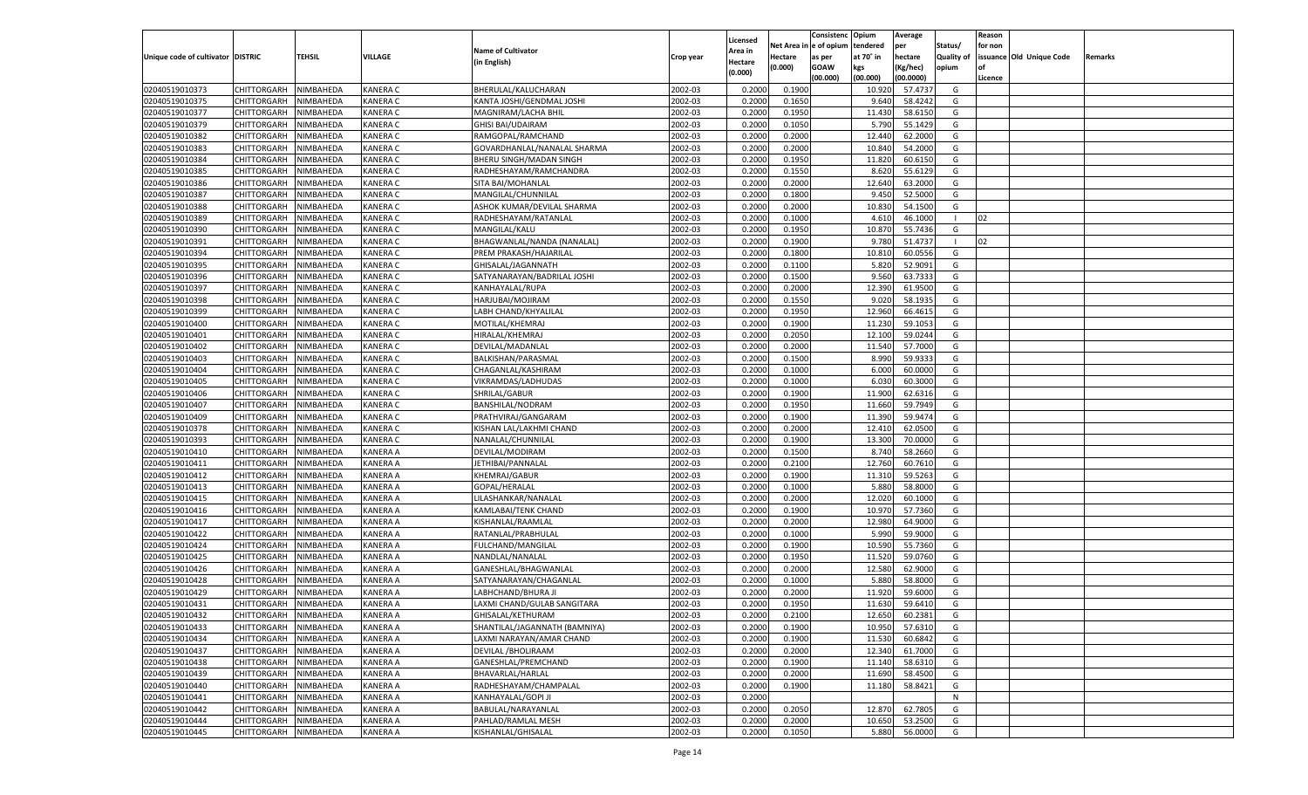|                                   |                       |               |                 |                               |           |                           |          | Consistenc  | Opium     | Average   |                   | Reason  |                          |         |
|-----------------------------------|-----------------------|---------------|-----------------|-------------------------------|-----------|---------------------------|----------|-------------|-----------|-----------|-------------------|---------|--------------------------|---------|
|                                   |                       |               |                 | <b>Name of Cultivator</b>     |           | Licensed                  | Net Area | e of opium  | tendered  | per       | Status/           | for non |                          |         |
| Unique code of cultivator DISTRIC |                       | <b>TEHSIL</b> | VILLAGE         | (in English)                  | Crop year | <b>Area in</b><br>Hectare | Hectare  | as per      | at 70° in | hectare   | <b>Quality of</b> |         | issuance Old Unique Code | Remarks |
|                                   |                       |               |                 |                               |           | (0.000)                   | (0.000)  | <b>GOAW</b> | kgs       | (Kg/hec)  | opium             |         |                          |         |
|                                   |                       |               |                 |                               |           |                           |          | (00.000)    | (00.000)  | (00.0000) |                   | Licence |                          |         |
| 02040519010373                    | CHITTORGARH           | NIMBAHEDA     | KANERA C        | BHERULAL/KALUCHARAN           | 2002-03   | 0.2000                    | 0.1900   |             | 10.920    | 57.473    | G                 |         |                          |         |
| 02040519010375                    | CHITTORGARH           | NIMBAHEDA     | KANERA C        | KANTA JOSHI/GENDMAL JOSHI     | 2002-03   | 0.2000                    | 0.1650   |             | 9.640     | 58.4242   | G                 |         |                          |         |
| 02040519010377                    | CHITTORGARH           | NIMBAHEDA     | KANERA C        | MAGNIRAM/LACHA BHIL           | 2002-03   | 0.2000                    | 0.1950   |             | 11.430    | 58.6150   | G                 |         |                          |         |
| 02040519010379                    | CHITTORGARH           | NIMBAHEDA     | KANERA C        | <b>GHISI BAI/UDAIRAM</b>      | 2002-03   | 0.2000                    | 0.1050   |             | 5.790     | 55.1429   | G                 |         |                          |         |
| 02040519010382                    | CHITTORGARH           | NIMBAHEDA     | KANERA C        | RAMGOPAL/RAMCHAND             | 2002-03   | 0.2000                    | 0.2000   |             | 12.440    | 62.2000   | G                 |         |                          |         |
| 02040519010383                    | CHITTORGARH           | NIMBAHEDA     | KANERA C        | GOVARDHANLAL/NANALAL SHARMA   | 2002-03   | 0.2000                    | 0.2000   |             | 10.840    | 54.2000   | G                 |         |                          |         |
| 02040519010384                    | CHITTORGARH           | NIMBAHEDA     | KANERA C        | BHERU SINGH/MADAN SINGH       | 2002-03   | 0.2000                    | 0.1950   |             | 11.820    | 60.6150   | G                 |         |                          |         |
| 02040519010385                    | CHITTORGARH           | NIMBAHEDA     | KANERA C        | RADHESHAYAM/RAMCHANDRA        | 2002-03   | 0.2000                    | 0.1550   |             | 8.620     | 55.6129   | G                 |         |                          |         |
| 02040519010386                    | CHITTORGARH           | NIMBAHEDA     | KANERA C        | SITA BAI/MOHANLAL             | 2002-03   | 0.2000                    | 0.2000   |             | 12.640    | 63.2000   | G                 |         |                          |         |
| 02040519010387                    | CHITTORGARH           | NIMBAHEDA     | KANERA C        | MANGILAL/CHUNNILAL            | 2002-03   | 0.2000                    | 0.1800   |             | 9.45      | 52.5000   | G                 |         |                          |         |
| 02040519010388                    | CHITTORGARH           | NIMBAHEDA     | KANERA C        | ASHOK KUMAR/DEVILAL SHARMA    | 2002-03   | 0.2000                    | 0.2000   |             | 10.830    | 54.1500   | G                 |         |                          |         |
| 02040519010389                    | CHITTORGARH           | NIMBAHEDA     | KANERA C        | RADHESHAYAM/RATANLAL          | 2002-03   | 0.2000                    | 0.1000   |             | 4.610     | 46.1000   |                   | 02      |                          |         |
| 02040519010390                    | CHITTORGARH           | NIMBAHEDA     | KANERA C        | MANGILAL/KALU                 | 2002-03   | 0.2000                    | 0.1950   |             | 10.870    | 55.7436   | G                 |         |                          |         |
| 02040519010391                    | CHITTORGARH           | NIMBAHEDA     | KANERA C        | BHAGWANLAL/NANDA (NANALAL)    | 2002-03   | 0.2000                    | 0.1900   |             | 9.780     | 51.4737   |                   | 02      |                          |         |
| 02040519010394                    | CHITTORGARH           | NIMBAHEDA     | KANERA C        | PREM PRAKASH/HAJARILAL        | 2002-03   | 0.2000                    | 0.1800   |             | 10.81     | 60.0556   | G                 |         |                          |         |
| 02040519010395                    | CHITTORGARH           | NIMBAHEDA     | KANERA C        | GHISALAL/JAGANNATH            | 2002-03   | 0.2000                    | 0.1100   |             | 5.820     | 52.9091   | G                 |         |                          |         |
| 02040519010396                    | CHITTORGARH           | NIMBAHEDA     | KANERA C        | SATYANARAYAN/BADRILAL JOSHI   | 2002-03   | 0.2000                    | 0.1500   |             | 9.560     | 63.7333   | G                 |         |                          |         |
| 02040519010397                    | CHITTORGARH           | NIMBAHEDA     | KANERA C        | KANHAYALAL/RUPA               | 2002-03   | 0.2000                    | 0.2000   |             | 12.390    | 61.9500   | G                 |         |                          |         |
| 02040519010398                    | CHITTORGARH           | NIMBAHEDA     | KANERA C        | HARJUBAI/MOJIRAM              | 2002-03   | 0.2000                    | 0.1550   |             | 9.020     | 58.1935   | G                 |         |                          |         |
| 02040519010399                    | CHITTORGARH           | NIMBAHEDA     | KANERA C        | LABH CHAND/KHYALILAL          | 2002-03   | 0.2000                    | 0.1950   |             | 12.960    | 66.4615   | G                 |         |                          |         |
| 02040519010400                    | CHITTORGARH           | NIMBAHEDA     | KANERA C        | MOTILAL/KHEMRAJ               | 2002-03   | 0.2000                    | 0.1900   |             | 11.230    | 59.105    | G                 |         |                          |         |
| 02040519010401                    | CHITTORGARH           | NIMBAHEDA     | KANERA C        | HIRALAL/KHEMRAJ               | 2002-03   | 0.2000                    | 0.2050   |             | 12.100    | 59.0244   | G                 |         |                          |         |
| 02040519010402                    | CHITTORGARH           | NIMBAHEDA     | KANERA C        | DEVILAL/MADANLAL              | 2002-03   | 0.2000                    | 0.2000   |             | 11.540    | 57.7000   | G                 |         |                          |         |
| 02040519010403                    | CHITTORGARH           | NIMBAHEDA     | KANERA C        | BALKISHAN/PARASMAL            | 2002-03   | 0.2000                    | 0.1500   |             | 8.990     | 59.933    | G                 |         |                          |         |
| 02040519010404                    | CHITTORGARH           | NIMBAHEDA     | KANERA C        | CHAGANLAL/KASHIRAM            | 2002-03   | 0.2000                    | 0.1000   |             | 6.000     | 60.0000   | G                 |         |                          |         |
| 02040519010405                    | CHITTORGARH           | NIMBAHEDA     | KANERA C        | VIKRAMDAS/LADHUDAS            | 2002-03   | 0.2000                    | 0.1000   |             | 6.03      | 60.3000   | G                 |         |                          |         |
| 02040519010406                    | CHITTORGARH           | NIMBAHEDA     | KANERA C        | SHRILAL/GABUR                 | 2002-03   | 0.2000                    | 0.1900   |             | 11.900    | 62.6316   | G                 |         |                          |         |
| 02040519010407                    | CHITTORGARH           | NIMBAHEDA     | KANERA C        | <b>BANSHILAL/NODRAM</b>       | 2002-03   | 0.2000                    | 0.1950   |             | 11.660    | 59.7949   | G                 |         |                          |         |
| 02040519010409                    | CHITTORGARH           | NIMBAHEDA     | KANERA C        | PRATHVIRAJ/GANGARAM           | 2002-03   | 0.2000                    | 0.1900   |             | 11.390    | 59.9474   | G                 |         |                          |         |
| 02040519010378                    | CHITTORGARH           | NIMBAHEDA     | KANERA C        | KISHAN LAL/LAKHMI CHAND       | 2002-03   | 0.2000                    | 0.2000   |             | 12.410    | 62.0500   | G                 |         |                          |         |
| 02040519010393                    | CHITTORGARH           | NIMBAHEDA     | KANERA C        | NANALAL/CHUNNILAL             | 2002-03   | 0.2000                    | 0.1900   |             | 13.300    | 70.0000   | G                 |         |                          |         |
| 02040519010410                    | CHITTORGARH           | NIMBAHEDA     | KANERA A        | DEVILAL/MODIRAM               | 2002-03   | 0.2000                    | 0.1500   |             | 8.74      | 58.2660   | G                 |         |                          |         |
| 02040519010411                    | CHITTORGARH           | NIMBAHEDA     | KANERA A        | JETHIBAI/PANNALAL             | 2002-03   | 0.2000                    | 0.2100   |             | 12.760    | 60.7610   | G                 |         |                          |         |
| 02040519010412                    | CHITTORGARH           | NIMBAHEDA     | KANERA A        | KHEMRAJ/GABUR                 | 2002-03   | 0.2000                    | 0.1900   |             | 11.31     | 59.5263   | G                 |         |                          |         |
| 02040519010413                    |                       | NIMBAHEDA     | KANERA A        |                               | 2002-03   | 0.2000                    | 0.1000   |             | 5.880     | 58.8000   | G                 |         |                          |         |
| 02040519010415                    | CHITTORGARH           |               | KANERA A        | GOPAL/HERALAL                 | 2002-03   |                           |          |             | 12.020    |           | G                 |         |                          |         |
|                                   | CHITTORGARH           | NIMBAHEDA     |                 | LILASHANKAR/NANALAL           |           | 0.2000                    | 0.2000   |             |           | 60.1000   |                   |         |                          |         |
| 02040519010416                    | CHITTORGARH           | NIMBAHEDA     | KANERA A        | KAMLABAI/TENK CHAND           | 2002-03   | 0.2000                    | 0.1900   |             | 10.97     | 57.7360   | G                 |         |                          |         |
| 02040519010417                    | CHITTORGARH           | NIMBAHEDA     | KANERA A        | KISHANLAL/RAAMLAI             | 2002-03   | 0.2000                    | 0.2000   |             | 12.98     | 64.9000   | G                 |         |                          |         |
| 02040519010422                    | CHITTORGARH           | NIMBAHEDA     | KANERA A        | RATANLAL/PRABHULAL            | 2002-03   | 0.2000                    | 0.1000   |             | 5.990     | 59.9000   | G                 |         |                          |         |
| 02040519010424                    | CHITTORGARH           | NIMBAHEDA     | KANERA A        | FULCHAND/MANGILAL             | 2002-03   | 0.2000                    | 0.1900   |             | 10.590    | 55.7360   | G                 |         |                          |         |
| 02040519010425                    | CHITTORGARH           | NIMBAHEDA     | KANERA A        | NANDLAL/NANALAL               | 2002-03   | 0.2000                    | 0.1950   |             | 11.520    | 59.0760   | G                 |         |                          |         |
| 02040519010426                    | CHITTORGARH           | NIMBAHEDA     | KANERA A        | GANESHLAL/BHAGWANLAL          | 2002-03   | 0.2000                    | 0.2000   |             | 12.580    | 62.9000   | G                 |         |                          |         |
| 02040519010428                    | CHITTORGARH           | NIMBAHEDA     | KANERA A        | SATYANARAYAN/CHAGANLAI        | 2002-03   | 0.2000                    | 0.1000   |             | 5.880     | 58.8000   | G                 |         |                          |         |
| 02040519010429                    | CHITTORGARH           | NIMBAHEDA     | KANERA A        | LABHCHAND/BHURA JI            | 2002-03   | 0.2000                    | 0.2000   |             | 11.920    | 59.600    | G                 |         |                          |         |
| 02040519010431                    | CHITTORGARH           | NIMBAHEDA     | KANERA A        | LAXMI CHAND/GULAB SANGITARA   | 2002-03   | 0.2000                    | 0.1950   |             | 11.630    | 59.6410   | G                 |         |                          |         |
| 02040519010432                    | CHITTORGARH NIMBAHEDA |               | <b>KANERA A</b> | GHISALAL/KETHURAM             | 2002-03   | 0.2000                    | 0.2100   |             | 12.650    | 60.2381   | G                 |         |                          |         |
| 02040519010433                    | <b>CHITTORGARH</b>    | NIMBAHEDA     | <b>KANERA A</b> | SHANTILAL/JAGANNATH (BAMNIYA) | 2002-03   | 0.2000                    | 0.1900   |             | 10.950    | 57.6310   | G                 |         |                          |         |
| 02040519010434                    | <b>CHITTORGARH</b>    | NIMBAHEDA     | <b>KANERA A</b> | LAXMI NARAYAN/AMAR CHAND      | 2002-03   | 0.2000                    | 0.1900   |             | 11.530    | 60.6842   | G                 |         |                          |         |
| 02040519010437                    | <b>CHITTORGARH</b>    | NIMBAHEDA     | <b>KANERA A</b> | DEVILAL / BHOLIRAAM           | 2002-03   | 0.2000                    | 0.2000   |             | 12.340    | 61.7000   | G                 |         |                          |         |
| 02040519010438                    | <b>CHITTORGARH</b>    | NIMBAHEDA     | <b>KANERA A</b> | GANESHLAL/PREMCHAND           | 2002-03   | 0.2000                    | 0.1900   |             | 11.140    | 58.6310   | G                 |         |                          |         |
| 02040519010439                    | <b>CHITTORGARH</b>    | NIMBAHEDA     | <b>KANERA A</b> | BHAVARLAL/HARLAL              | 2002-03   | 0.2000                    | 0.2000   |             | 11.690    | 58.4500   | G                 |         |                          |         |
| 02040519010440                    | <b>CHITTORGARH</b>    | NIMBAHEDA     | <b>KANERA A</b> | RADHESHAYAM/CHAMPALAL         | 2002-03   | 0.2000                    | 0.1900   |             | 11.180    | 58.8421   | G                 |         |                          |         |
| 02040519010441                    | <b>CHITTORGARH</b>    | NIMBAHEDA     | <b>KANERA A</b> | KANHAYALAL/GOPI JI            | 2002-03   | 0.2000                    |          |             |           |           | N                 |         |                          |         |
| 02040519010442                    | <b>CHITTORGARH</b>    | NIMBAHEDA     | <b>KANERA A</b> | BABULAL/NARAYANLAL            | 2002-03   | 0.2000                    | 0.2050   |             | 12.870    | 62.7805   | G                 |         |                          |         |
| 02040519010444                    | <b>CHITTORGARH</b>    | NIMBAHEDA     | <b>KANERA A</b> | PAHLAD/RAMLAL MESH            | 2002-03   | 0.2000                    | 0.2000   |             | 10.650    | 53.2500   | G                 |         |                          |         |
| 02040519010445                    | <b>CHITTORGARH</b>    | NIMBAHEDA     | <b>KANERA A</b> | KISHANLAL/GHISALAL            | 2002-03   | 0.2000                    | 0.1050   |             | 5.880     | 56.0000   | G                 |         |                          |         |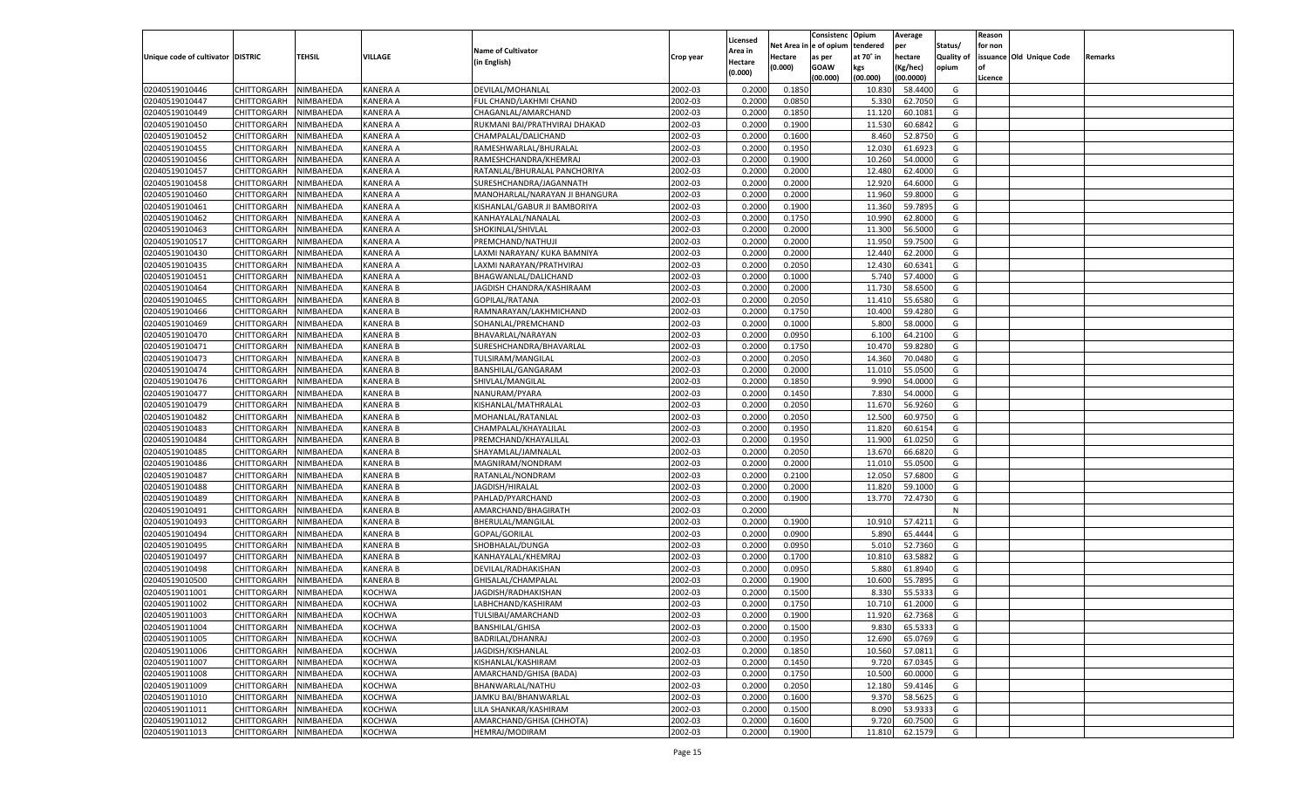|                                   |                    |                        |                                |                                |                    | Licensed         |                  | Consistenc Opium       |                 | Average            |                   | Reason  |                          |                |
|-----------------------------------|--------------------|------------------------|--------------------------------|--------------------------------|--------------------|------------------|------------------|------------------------|-----------------|--------------------|-------------------|---------|--------------------------|----------------|
|                                   |                    |                        |                                | <b>Name of Cultivator</b>      |                    | Area in          |                  | Net Area in e of opium | tendered        | per                | Status/           | for non |                          |                |
| Unique code of cultivator DISTRIC |                    | TEHSIL                 | VILLAGE                        | (in English)                   | Crop year          | Hectare          | Hectare          | as per                 | at 70° in       | hectare            | <b>Quality of</b> |         | issuance Old Unique Code | <b>Remarks</b> |
|                                   |                    |                        |                                |                                |                    | (0.000)          | (0.000)          | <b>GOAW</b>            | kgs             | (Kg/hec)           | opium             |         |                          |                |
|                                   |                    |                        |                                |                                |                    |                  |                  | (00.000)               | (00.000)        | (00.0000)          |                   | Licence |                          |                |
| 02040519010446                    | CHITTORGARH        | NIMBAHEDA              | <b>KANERA A</b>                | DEVILAL/MOHANLAL               | 2002-03            | 0.2000           | 0.1850           |                        | 10.830          | 58.4400            | G                 |         |                          |                |
| 02040519010447                    | CHITTORGARH        | NIMBAHEDA              | <b>KANERA A</b>                | FUL CHAND/LAKHMI CHAND         | 2002-03            | 0.2000           | 0.0850           |                        | 5.330           | 62.7050            | G                 |         |                          |                |
| 02040519010449                    | CHITTORGARH        | NIMBAHEDA              | <b>KANERA A</b>                | CHAGANLAL/AMARCHAND            | 2002-03            | 0.2000           | 0.1850           |                        | 11.120          | 60.1081            | G                 |         |                          |                |
| 02040519010450                    | CHITTORGARH        | NIMBAHEDA              | <b>KANERA A</b>                | RUKMANI BAI/PRATHVIRAJ DHAKAD  | 2002-03            | 0.2000           | 0.1900           |                        | 11.530          | 60.6842            | G                 |         |                          |                |
| 02040519010452                    | CHITTORGARH        | NIMBAHEDA              | <b>KANERA A</b>                | CHAMPALAL/DALICHAND            | 2002-03            | 0.2000           | 0.1600           |                        | 8.460           | 52.8750            | G                 |         |                          |                |
| 02040519010455                    | CHITTORGARH        | NIMBAHEDA              | <b>KANERA A</b>                | RAMESHWARLAL/BHURALAI          | 2002-03            | 0.2000           | 0.1950           |                        | 12.030          | 61.6923            | G                 |         |                          |                |
| 02040519010456                    | CHITTORGARH        | NIMBAHEDA              | <b>KANERA A</b>                | RAMESHCHANDRA/KHEMRAJ          | 2002-03            | 0.2000           | 0.1900           |                        | 10.260          | 54.0000            | G                 |         |                          |                |
| 02040519010457                    | CHITTORGARH        | NIMBAHEDA              | <b>KANERA A</b>                | RATANLAL/BHURALAL PANCHORIYA   | 2002-03            | 0.2000           | 0.2000           |                        | 12.480          | 62.4000            | G                 |         |                          |                |
| 02040519010458                    | CHITTORGARH        | NIMBAHEDA              | <b>KANERA A</b>                | SURESHCHANDRA/JAGANNATH        | 2002-03            | 0.2000           | 0.2000           |                        | 12.920          | 64.6000            | G                 |         |                          |                |
| 02040519010460                    | CHITTORGARH        | NIMBAHEDA              | <b>KANERA A</b>                | MANOHARLAL/NARAYAN JI BHANGURA | 2002-03            | 0.2000           | 0.2000           |                        | 11.960          | 59.8000            | G                 |         |                          |                |
| 02040519010461                    | CHITTORGARH        | NIMBAHEDA              | <b>KANERA A</b>                | KISHANLAL/GABUR JI BAMBORIYA   | 2002-03            | 0.2000           | 0.1900           |                        | 11.360          | 59.7895            | G                 |         |                          |                |
| 02040519010462                    | CHITTORGARH        | NIMBAHEDA              | <b>KANERA A</b>                | KANHAYALAL/NANALAL             | 2002-03            | 0.2000           | 0.1750           |                        | 10.990          | 62.8000            | G                 |         |                          |                |
| 02040519010463                    | CHITTORGARH        | NIMBAHEDA              | <b>KANERA A</b>                | SHOKINLAL/SHIVLAL              | 2002-03            | 0.2000           | 0.2000           |                        | 11.300          | 56.5000            | G                 |         |                          |                |
| 02040519010517                    | CHITTORGARH        | NIMBAHEDA              | <b>KANERA A</b>                | PREMCHAND/NATHUJI              | 2002-03            | 0.2000           | 0.2000           |                        | 11.950          | 59.7500            | G                 |         |                          |                |
| 02040519010430                    | CHITTORGARH        | NIMBAHEDA              | <b>KANERA A</b>                | LAXMI NARAYAN/ KUKA BAMNIYA    | 2002-03            | 0.2000           | 0.2000           |                        | 12.440          | 62.2000            | G                 |         |                          |                |
| 02040519010435                    | CHITTORGARH        | NIMBAHEDA              | <b>KANERA A</b>                | LAXMI NARAYAN/PRATHVIRAJ       | 2002-03            | 0.2000           | 0.2050           |                        | 12.430          | 60.6341            | G                 |         |                          |                |
| 02040519010451                    | CHITTORGARH        | NIMBAHEDA              | <b>KANERA A</b>                | BHAGWANLAL/DALICHAND           | 2002-03            | 0.2000           | 0.1000           |                        | 5.740           | 57.4000            | G                 |         |                          |                |
| 02040519010464                    | CHITTORGARH        | NIMBAHEDA              | <b>KANERA B</b>                | JAGDISH CHANDRA/KASHIRAAM      | 2002-03            | 0.2000           | 0.2000           |                        | 11.730          | 58.6500            | G                 |         |                          |                |
| 02040519010465                    | CHITTORGARH        | NIMBAHEDA              | <b>KANERA B</b>                | GOPILAL/RATANA                 | 2002-03            | 0.2000           | 0.2050           |                        | 11.410          | 55.6580            | G                 |         |                          |                |
| 02040519010466                    | CHITTORGARH        | NIMBAHEDA              | <b>KANERA B</b>                | RAMNARAYAN/LAKHMICHAND         | 2002-03            | 0.2000           | 0.1750           |                        | 10.400          | 59.4280            | G                 |         |                          |                |
| 02040519010469                    | CHITTORGARH        | NIMBAHEDA              | <b>KANERA B</b>                | SOHANLAL/PREMCHAND             | 2002-03            | 0.2000           | 0.1000           |                        | 5.800           | 58.0000            | G                 |         |                          |                |
| 02040519010470                    | CHITTORGARH        | NIMBAHEDA              | <b>KANERA B</b>                | BHAVARLAL/NARAYAN              | 2002-03            | 0.2000           | 0.0950           |                        | 6.100           | 64.2100            | G                 |         |                          |                |
| 02040519010471                    | CHITTORGARH        | NIMBAHEDA              | <b>KANERA B</b>                | SURESHCHANDRA/BHAVARLAL        | 2002-03            | 0.2000           | 0.1750           |                        | 10.470          | 59.8280            | G                 |         |                          |                |
| 02040519010473                    | CHITTORGARH        | NIMBAHEDA              | <b>KANERA B</b>                | TULSIRAM/MANGILAL              | 2002-03            | 0.2000           | 0.2050           |                        | 14.360          | 70.0480            | G                 |         |                          |                |
| 02040519010474                    | CHITTORGARH        | NIMBAHEDA              | <b>KANERA B</b>                | BANSHILAL/GANGARAM             | 2002-03            | 0.2000           | 0.2000           |                        | 11.010          | 55.0500            | G                 |         |                          |                |
| 02040519010476                    | CHITTORGARH        | NIMBAHEDA              | <b>KANERA B</b>                | SHIVLAL/MANGILAL               | 2002-03            | 0.2000           | 0.1850           |                        | 9.990           | 54.0000            | G                 |         |                          |                |
| 02040519010477                    | CHITTORGARH        | NIMBAHEDA              | <b>KANERA B</b>                | NANURAM/PYARA                  | 2002-03            | 0.2000           | 0.1450           |                        | 7.830           | 54.0000            | G                 |         |                          |                |
| 02040519010479                    | CHITTORGARH        | NIMBAHEDA              | <b>KANERA B</b>                | KISHANLAL/MATHRALAL            | 2002-03            | 0.2000           | 0.2050           |                        | 11.670          | 56.9260            | G                 |         |                          |                |
| 02040519010482                    | CHITTORGARH        | NIMBAHEDA              | <b>KANERA B</b>                | MOHANLAL/RATANLAL              | 2002-03            | 0.2000           | 0.2050           |                        | 12.500          | 60.9750            | G                 |         |                          |                |
| 02040519010483                    | CHITTORGARH        | NIMBAHEDA              | <b>KANERA B</b>                | CHAMPALAL/KHAYALILAL           | 2002-03            | 0.2000           | 0.1950           |                        | 11.820          | 60.6154            | G                 |         |                          |                |
| 02040519010484                    | CHITTORGARH        | NIMBAHEDA              | <b>KANERA B</b>                | PREMCHAND/KHAYALILAL           | 2002-03            | 0.2000           | 0.1950           |                        | 11.900          | 61.0250            | G                 |         |                          |                |
| 02040519010485                    | CHITTORGARH        | NIMBAHEDA              | <b>KANERA B</b>                | SHAYAMLAL/JAMNALAL             | 2002-03            | 0.2000           | 0.2050           |                        | 13.670          | 66.6820            | G                 |         |                          |                |
| 02040519010486                    | CHITTORGARH        | NIMBAHEDA              | <b>KANERA B</b>                | MAGNIRAM/NONDRAM               | 2002-03            | 0.2000           | 0.2000           |                        | 11.010          | 55.0500            | G                 |         |                          |                |
| 02040519010487                    | CHITTORGARH        | NIMBAHEDA              | <b>KANERA B</b>                | RATANLAL/NONDRAM               | 2002-03            | 0.2000           | 0.2100           |                        | 12.050          | 57.6800            | G                 |         |                          |                |
| 02040519010488                    | CHITTORGARH        | NIMBAHEDA              | <b>KANERA B</b>                | JAGDISH/HIRALAL                | 2002-03            | 0.2000           | 0.2000           |                        | 11.820          | 59.1000            | G                 |         |                          |                |
| 02040519010489                    | CHITTORGARH        | NIMBAHEDA              | <b>KANERA B</b>                | PAHLAD/PYARCHAND               | 2002-03            | 0.2000           | 0.1900           |                        | 13.770          | 72.4730            | G                 |         |                          |                |
| 02040519010491                    | CHITTORGARH        | NIMBAHEDA              | <b>KANERA B</b>                | AMARCHAND/BHAGIRATH            | 2002-03            | 0.2000           |                  |                        |                 |                    | N                 |         |                          |                |
| 02040519010493                    | CHITTORGARH        | NIMBAHEDA              | <b>KANERA B</b>                | BHERULAL/MANGILAL              | 2002-03            | 0.2000           | 0.1900           |                        | 10.910          | 57.4211            | G                 |         |                          |                |
| 02040519010494                    | CHITTORGARH        | NIMBAHEDA              | <b>KANERA B</b>                | GOPAL/GORILAL                  | 2002-03            | 0.2000           | 0.0900           |                        | 5.890           | 65.4444            | G                 |         |                          |                |
| 02040519010495                    | CHITTORGARH        | NIMBAHEDA              | <b>KANERA B</b>                | SHOBHALAL/DUNGA                | 2002-03            | 0.2000           | 0.0950           |                        | 5.01            | 52.7360            | G                 |         |                          |                |
| 02040519010497                    | CHITTORGARH        | NIMBAHEDA              | <b>KANERA B</b>                | KANHAYALAL/KHEMRAJ             | 2002-03            | 0.2000           | 0.1700           |                        | 10.810          | 63.5882            | G                 |         |                          |                |
| 02040519010498                    | CHITTORGARH        | NIMBAHEDA              | <b>KANERA B</b>                | DEVILAL/RADHAKISHAN            | 2002-03            | 0.2000           | 0.0950           |                        | 5.880           | 61.8940            | G                 |         |                          |                |
| 02040519010500                    | CHITTORGARH        | NIMBAHEDA              | <b>KANERA B</b>                | GHISALAL/CHAMPALAL             | 2002-03            | 0.2000           | 0.1900           |                        | 10.600          | 55.7895            | G                 |         |                          |                |
| 02040519011001                    | CHITTORGARH        | NIMBAHEDA              | KOCHWA                         | JAGDISH/RADHAKISHAN            | 2002-03            | 0.2000           | 0.1500           |                        | 8.330           | 55.533             | G                 |         |                          |                |
| 02040519011002                    | CHITTORGARH        | NIMBAHEDA              | <b>KOCHWA</b>                  | LABHCHAND/KASHIRAM             | 2002-03            | 0.2000           | 0.1750           |                        | 10.710          | 61.2000            | G                 |         |                          |                |
|                                   |                    |                        |                                |                                |                    |                  |                  |                        |                 |                    |                   |         |                          |                |
| 02040519011003<br>02040519011004  | CHITTORGARH        | NIMBAHEDA<br>NIMBAHEDA | <b>KOCHWA</b><br><b>KOCHWA</b> | TULSIBAI/AMARCHAND             | 2002-03<br>2002-03 | 0.2000<br>0.2000 | 0.1900<br>0.1500 |                        | 11.920<br>9.830 | 62.7368<br>65.5333 | G<br>G            |         |                          |                |
| 02040519011005                    | <b>CHITTORGARH</b> |                        |                                | <b>BANSHILAL/GHISA</b>         |                    |                  |                  |                        |                 |                    |                   |         |                          |                |
|                                   | <b>CHITTORGARH</b> | NIMBAHEDA              | <b>KOCHWA</b>                  | BADRILAL/DHANRAJ               | 2002-03            | 0.2000           | 0.1950           |                        | 12.690          | 65.0769            | G                 |         |                          |                |
| 02040519011006                    | <b>CHITTORGARH</b> | NIMBAHEDA              | <b>KOCHWA</b>                  | JAGDISH/KISHANLAL              | 2002-03            | 0.2000           | 0.1850           |                        | 10.560          | 57.0811            | G                 |         |                          |                |
| 02040519011007                    | <b>CHITTORGARH</b> | NIMBAHEDA              | KOCHWA                         | KISHANLAL/KASHIRAM             | 2002-03            | 0.2000           | 0.1450           |                        | 9.720           | 67.0345            | G                 |         |                          |                |
| 02040519011008                    | <b>CHITTORGARH</b> | NIMBAHEDA              | <b>KOCHWA</b>                  | AMARCHAND/GHISA (BADA)         | 2002-03            | 0.2000           | 0.1750           |                        | 10.500          | 60.0000            | G                 |         |                          |                |
| 02040519011009                    | <b>CHITTORGARH</b> | NIMBAHEDA              | KOCHWA                         | BHANWARLAL/NATHU               | 2002-03            | 0.2000           | 0.2050           |                        | 12.180          | 59.4146            | G                 |         |                          |                |
| 02040519011010                    | <b>CHITTORGARH</b> | NIMBAHEDA              | <b>KOCHWA</b>                  | JAMKU BAI/BHANWARLAL           | 2002-03            | 0.2000           | 0.1600           |                        | 9.370           | 58.5625            | G                 |         |                          |                |
| 02040519011011                    | <b>CHITTORGARH</b> | NIMBAHEDA              | KOCHWA                         | LILA SHANKAR/KASHIRAM          | 2002-03            | 0.2000           | 0.1500           |                        | 8.090           | 53.9333            | G                 |         |                          |                |
| 02040519011012                    | <b>CHITTORGARH</b> | NIMBAHEDA              | <b>KOCHWA</b>                  | AMARCHAND/GHISA (CHHOTA)       | 2002-03            | 0.2000           | 0.1600           |                        | 9.720           | 60.7500            | G                 |         |                          |                |
| 02040519011013                    | <b>CHITTORGARH</b> | NIMBAHEDA              | <b>KOCHWA</b>                  | HEMRAJ/MODIRAM                 | 2002-03            | 0.2000           | 0.1900           |                        | 11.810          | 62.1579            | G                 |         |                          |                |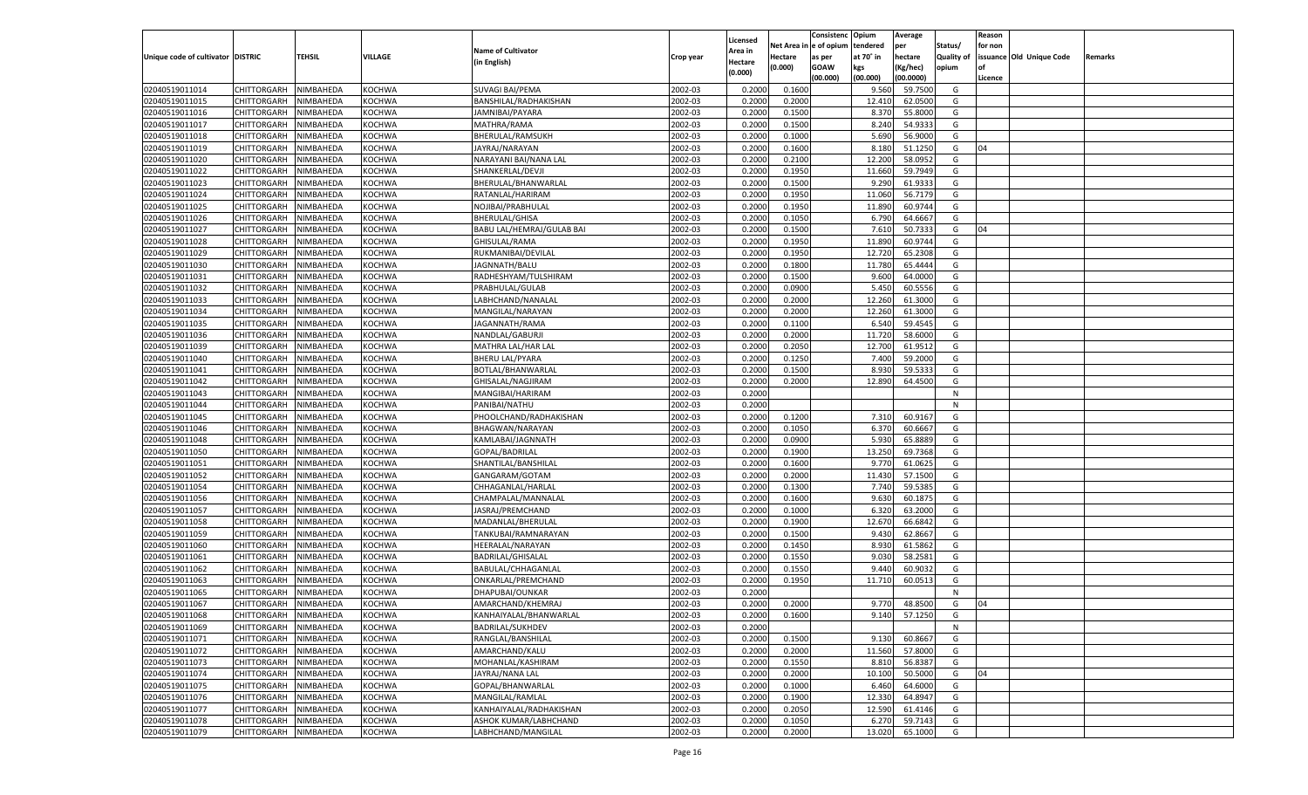| le of opium<br>Net Area<br>tendered<br>Status/<br>for non<br>per<br><b>Name of Cultivator</b><br><b>Area in</b><br><b>TEHSIL</b><br>VILLAGE<br>Unique code of cultivator DISTRIC<br>at 70° in<br>hectare<br><b>Quality of</b><br>issuance Old Unique Code<br>Hectare<br>Crop year<br>as per<br>Remarks<br>(in English)<br>Hectare<br>(0.000)<br><b>GOAW</b><br>kgs<br>(Kg/hec)<br>opium<br>(0.000)<br>(00.000)<br>(00.000)<br>(00.0000)<br>Licence<br>KOCHWA<br><b>SUVAGI BAI/PEMA</b><br>2002-03<br>0.1600<br>9.560<br>59.7500<br>02040519011014<br>CHITTORGARH<br>NIMBAHEDA<br>0.2000<br>G<br>02040519011015<br>2002-03<br>12.410<br>CHITTORGARH<br>NIMBAHEDA<br>KOCHWA<br>BANSHILAL/RADHAKISHAN<br>0.2000<br>0.2000<br>62.0500<br>G<br>02040519011016<br>CHITTORGARH<br>KOCHWA<br>2002-03<br>0.2000<br>0.1500<br>8.370<br>55.8000<br>G<br>NIMBAHEDA<br>JAMNIBAI/PAYARA<br>02040519011017<br>CHITTORGARH<br>2002-03<br>8.240<br>54.933<br>NIMBAHEDA<br>KOCHWA<br>MATHRA/RAMA<br>0.2000<br>0.1500<br>G<br>02040519011018<br>KOCHWA<br>BHERULAL/RAMSUKH<br>2002-03<br>0.2000<br>5.690<br>56.9000<br>G<br>CHITTORGARH<br>NIMBAHEDA<br>0.1000<br>02040519011019<br>2002-03<br>51.1250<br>CHITTORGARH<br>NIMBAHEDA<br>KOCHWA<br>JAYRAJ/NARAYAN<br>0.2000<br>0.1600<br>8.180<br>G<br>04<br>02040519011020<br>CHITTORGARH<br>KOCHWA<br>2002-03<br>0.2000<br>0.2100<br>12.200<br>58.0952<br>NIMBAHEDA<br>NARAYANI BAI/NANA LAL<br>G<br>02040519011022<br>CHITTORGARH<br>2002-03<br>0.1950<br>11.660<br>59.7949<br>NIMBAHEDA<br>KOCHWA<br>SHANKERLAL/DEVJI<br>0.2000<br>G<br>02040519011023<br>KOCHWA<br>2002-03<br>0.2000<br>0.1500<br>9.290<br>61.933<br>G<br>CHITTORGARH<br>NIMBAHEDA<br>BHERULAL/BHANWARLAL<br>02040519011024<br>2002-03<br>11.060<br>56.7179<br>CHITTORGARH<br>NIMBAHEDA<br>KOCHWA<br>RATANLAL/HARIRAM<br>0.2000<br>0.1950<br>G<br>02040519011025<br>CHITTORGARH<br>KOCHWA<br>2002-03<br>0.2000<br>0.1950<br>60.9744<br>G<br>NIMBAHEDA<br>NOJIBAI/PRABHULAI<br>11.890<br>02040519011026<br>CHITTORGARH<br>2002-03<br>6.790<br>64.666<br>G<br>NIMBAHEDA<br>KOCHWA<br><b>BHERULAL/GHISA</b><br>0.2000<br>0.1050<br>02040519011027<br>KOCHWA<br>2002-03<br>0.2000<br>0.1500<br>7.610<br>50.733<br>G<br>CHITTORGARH<br>NIMBAHEDA<br>BABU LAL/HEMRAJ/GULAB BAI<br>04<br>02040519011028<br>2002-03<br>11.890<br>60.9744<br>CHITTORGARH<br>NIMBAHEDA<br>KOCHWA<br>GHISULAL/RAMA<br>0.2000<br>0.1950<br>G<br>02040519011029<br>KOCHWA<br>2002-03<br>0.2000<br>0.1950<br>12.720<br>65.2308<br>CHITTORGARH<br>NIMBAHEDA<br>RUKMANIBAI/DEVILAL<br>G<br>02040519011030<br>CHITTORGARH<br>2002-03<br>11.780<br>NIMBAHEDA<br>KOCHWA<br>JAGNNATH/BALU<br>0.2000<br>0.1800<br>65.4444<br>G<br>02040519011031<br>KOCHWA<br>RADHESHYAM/TULSHIRAM<br>2002-03<br>0.2000<br>0.1500<br>9.600<br>64.0000<br>G<br>CHITTORGARH<br>NIMBAHEDA<br>02040519011032<br>2002-03<br>5.450<br>60.5556<br>CHITTORGARH<br>NIMBAHEDA<br>KOCHWA<br>PRABHULAL/GULAB<br>0.2000<br>0.0900<br>G<br>02040519011033<br>KOCHWA<br>2002-03<br>0.2000<br>0.2000<br>12.260<br>61.3000<br>CHITTORGARH<br>NIMBAHEDA<br>LABHCHAND/NANALAI<br>G<br>02040519011034<br>CHITTORGARH<br>2002-03<br>12.260<br>61.3000<br>NIMBAHEDA<br>KOCHWA<br>MANGILAL/NARAYAN<br>0.2000<br>0.2000<br>G<br>02040519011035<br>KOCHWA<br>2002-03<br>0.2000<br>0.1100<br>6.540<br>59.4545<br>G<br>CHITTORGARH<br>NIMBAHEDA<br>JAGANNATH/RAMA<br>02040519011036<br>2002-03<br>11.720<br>58.6000<br>CHITTORGARH<br>NIMBAHEDA<br>KOCHWA<br>NANDLAL/GABURJI<br>0.2000<br>0.2000<br>G<br>02040519011039<br>KOCHWA<br>2002-03<br>0.2000<br>0.2050<br>61.9512<br>CHITTORGARH<br>NIMBAHEDA<br>MATHRA LAL/HAR LAL<br>12.700<br>G<br>02040519011040<br>CHITTORGARH<br>2002-03<br>7.400<br>59.2000<br>NIMBAHEDA<br>KOCHWA<br><b>BHERU LAL/PYARA</b><br>0.2000<br>0.1250<br>G<br>02040519011041<br>KOCHWA<br>2002-03<br>0.2000<br>0.1500<br>8.930<br>59.533<br>G<br>CHITTORGARH<br>NIMBAHEDA<br>BOTLAL/BHANWARLAL<br>02040519011042<br>2002-03<br>12.890<br>CHITTORGARH<br>NIMBAHEDA<br>KOCHWA<br>GHISALAL/NAGJIRAM<br>0.2000<br>0.2000<br>64.4500<br>G<br>02040519011043<br>KOCHWA<br>2002-03<br>0.2000<br>CHITTORGARH<br>NIMBAHEDA<br>MANGIBAI/HARIRAM<br>N<br>02040519011044<br>2002-03<br>CHITTORGARH<br>NIMBAHEDA<br>KOCHWA<br>PANIBAI/NATHU<br>0.2000<br>N<br>02040519011045<br>KOCHWA<br>2002-03<br>0.2000<br>0.1200<br>7.310<br>60.9167<br>G<br>CHITTORGARH<br>NIMBAHEDA<br>PHOOLCHAND/RADHAKISHAN<br>02040519011046<br>2002-03<br>CHITTORGARH<br>NIMBAHEDA<br>KOCHWA<br>BHAGWAN/NARAYAN<br>0.2000<br>0.1050<br>6.370<br>60.6667<br>G<br>02040519011048<br>KOCHWA<br>2002-03<br>0.2000<br>0.0900<br>5.930<br>65.888<br>CHITTORGARH<br>NIMBAHEDA<br>KAMLABAI/JAGNNATH<br>G<br>02040519011050<br>2002-03<br>13.250<br>69.7368<br>CHITTORGARH<br>NIMBAHEDA<br>KOCHWA<br>GOPAL/BADRILAL<br>0.2000<br>0.1900<br>G<br>02040519011051<br>NIMBAHEDA<br>KOCHWA<br>2002-03<br>0.2000<br>0.1600<br>9.770<br>CHITTORGARH<br>SHANTILAL/BANSHILAL<br>61.0625<br>G<br>02040519011052<br>2002-03<br>11.430<br>57.1500<br>CHITTORGARH<br>NIMBAHEDA<br>KOCHWA<br>GANGARAM/GOTAM<br>0.2000<br>0.2000<br>G<br>02040519011054<br>KOCHWA<br>2002-03<br>0.2000<br>0.1300<br>59.5385<br>CHITTORGARH<br>NIMBAHEDA<br>CHHAGANLAL/HARLAL<br>7.74<br>G<br>02040519011056<br>2002-03<br>9.630<br>60.1875<br>CHITTORGARH<br>NIMBAHEDA<br>KOCHWA<br>CHAMPALAL/MANNALAL<br>0.2000<br>0.1600<br>G<br>02040519011057<br>NIMBAHEDA<br>KOCHWA<br>2002-03<br>0.2000<br>6.320<br>63.2000<br>CHITTORGARH<br>JASRAJ/PREMCHAND<br>0.1000<br>G<br>02040519011058<br>2002-03<br>12.670<br>66.684<br>CHITTORGARH<br>NIMBAHEDA<br>KOCHWA<br>MADANLAL/BHERULAL<br>0.2000<br>0.1900<br>G<br>02040519011059<br>KOCHWA<br>2002-03<br>0.2000<br>0.1500<br>9.43<br>62.866<br>CHITTORGARH<br>NIMBAHEDA<br>TANKUBAI/RAMNARAYAN<br>G<br>02040519011060<br>2002-03<br>8.930<br>61.5862<br>CHITTORGARH<br>NIMBAHEDA<br>KOCHWA<br>HEERALAL/NARAYAN<br>0.2000<br>0.1450<br>G<br>02040519011061<br>NIMBAHEDA<br>KOCHWA<br>2002-03<br>0.2000<br>0.1550<br>58.2581<br>CHITTORGARH<br>BADRILAL/GHISALAL<br>9.030<br>G<br>02040519011062<br>2002-03<br>9.44<br>CHITTORGARH<br>NIMBAHEDA<br>KOCHWA<br>BABULAL/CHHAGANLAL<br>0.2000<br>0.1550<br>60.903<br>G<br>02040519011063<br>2002-03<br>0.1950<br>CHITTORGARH<br>NIMBAHEDA<br>KOCHWA<br>ONKARLAL/PREMCHAND<br>0.2000<br>11.710<br>60.051<br>G<br>02040519011065<br>2002-03<br>CHITTORGARH<br>NIMBAHEDA<br>KOCHWA<br>DHAPUBAI/OUNKAR<br>0.2000<br>N<br>02040519011067<br>NIMBAHEDA<br>KOCHWA<br>2002-03<br>0.2000<br>0.2000<br>48.8500<br>CHITTORGARH<br>AMARCHAND/KHEMRAJ<br>9.770<br>G<br>04<br>02040519011068<br>CHITTORGARH NIMBAHEDA<br><b>KOCHWA</b><br>KANHAIYALAL/BHANWARLAL<br>2002-03<br>0.2000<br>0.1600<br>9.140<br>57.1250<br>G<br>02040519011069<br><b>KOCHWA</b><br><b>BADRILAL/SUKHDEV</b><br>2002-03<br>0.2000<br><b>CHITTORGARH</b><br>NIMBAHEDA<br>N<br>02040519011071<br>NIMBAHEDA<br>RANGLAL/BANSHILAL<br>2002-03<br>0.2000<br>0.1500<br>9.130<br>60.8667<br><b>CHITTORGARH</b><br>KOCHWA<br>G |                |                    |           |               |                |         |          |        | Consistenc | Opium  | Average |   | Reason |  |
|----------------------------------------------------------------------------------------------------------------------------------------------------------------------------------------------------------------------------------------------------------------------------------------------------------------------------------------------------------------------------------------------------------------------------------------------------------------------------------------------------------------------------------------------------------------------------------------------------------------------------------------------------------------------------------------------------------------------------------------------------------------------------------------------------------------------------------------------------------------------------------------------------------------------------------------------------------------------------------------------------------------------------------------------------------------------------------------------------------------------------------------------------------------------------------------------------------------------------------------------------------------------------------------------------------------------------------------------------------------------------------------------------------------------------------------------------------------------------------------------------------------------------------------------------------------------------------------------------------------------------------------------------------------------------------------------------------------------------------------------------------------------------------------------------------------------------------------------------------------------------------------------------------------------------------------------------------------------------------------------------------------------------------------------------------------------------------------------------------------------------------------------------------------------------------------------------------------------------------------------------------------------------------------------------------------------------------------------------------------------------------------------------------------------------------------------------------------------------------------------------------------------------------------------------------------------------------------------------------------------------------------------------------------------------------------------------------------------------------------------------------------------------------------------------------------------------------------------------------------------------------------------------------------------------------------------------------------------------------------------------------------------------------------------------------------------------------------------------------------------------------------------------------------------------------------------------------------------------------------------------------------------------------------------------------------------------------------------------------------------------------------------------------------------------------------------------------------------------------------------------------------------------------------------------------------------------------------------------------------------------------------------------------------------------------------------------------------------------------------------------------------------------------------------------------------------------------------------------------------------------------------------------------------------------------------------------------------------------------------------------------------------------------------------------------------------------------------------------------------------------------------------------------------------------------------------------------------------------------------------------------------------------------------------------------------------------------------------------------------------------------------------------------------------------------------------------------------------------------------------------------------------------------------------------------------------------------------------------------------------------------------------------------------------------------------------------------------------------------------------------------------------------------------------------------------------------------------------------------------------------------------------------------------------------------------------------------------------------------------------------------------------------------------------------------------------------------------------------------------------------------------------------------------------------------------------------------------------------------------------------------------------------------------------------------------------------------------------------------------------------------------------------------------------------------------------------------------------------------------------------------------------------------------------------------------------------------------------------------------------------------------------------------------------------------------------------------------------------------------------------------------------------------------------------------------------------------------------------------------------------------------------------------------------------------------------------------------------------------------------------------------------------------------------------------------------------------------------------------------------------------------------------------------------------------------------------------------------------------------------------------------------------------------------------------------------------------------------------------------------------------------------------------------------------------------------------------------------------------------------------------------------------------------------------------------------------------------------------------------------------------------------------------------------------------------------------------------------------------------------------------------------------------------------------------------------------------------------------------------------------------------------------------------------------------------------------------------------------------------------------------------------------------------|----------------|--------------------|-----------|---------------|----------------|---------|----------|--------|------------|--------|---------|---|--------|--|
|                                                                                                                                                                                                                                                                                                                                                                                                                                                                                                                                                                                                                                                                                                                                                                                                                                                                                                                                                                                                                                                                                                                                                                                                                                                                                                                                                                                                                                                                                                                                                                                                                                                                                                                                                                                                                                                                                                                                                                                                                                                                                                                                                                                                                                                                                                                                                                                                                                                                                                                                                                                                                                                                                                                                                                                                                                                                                                                                                                                                                                                                                                                                                                                                                                                                                                                                                                                                                                                                                                                                                                                                                                                                                                                                                                                                                                                                                                                                                                                                                                                                                                                                                                                                                                                                                                                                                                                                                                                                                                                                                                                                                                                                                                                                                                                                                                                                                                                                                                                                                                                                                                                                                                                                                                                                                                                                                                                                                                                                                                                                                                                                                                                                                                                                                                                                                                                                                                                                                                                                                                                                                                                                                                                                                                                                                                                                                                                                                                                                                                                                                                                                                                                                                                                                                                                                                                                                                                                                                                                                                                        |                |                    |           |               |                |         | Licensed |        |            |        |         |   |        |  |
|                                                                                                                                                                                                                                                                                                                                                                                                                                                                                                                                                                                                                                                                                                                                                                                                                                                                                                                                                                                                                                                                                                                                                                                                                                                                                                                                                                                                                                                                                                                                                                                                                                                                                                                                                                                                                                                                                                                                                                                                                                                                                                                                                                                                                                                                                                                                                                                                                                                                                                                                                                                                                                                                                                                                                                                                                                                                                                                                                                                                                                                                                                                                                                                                                                                                                                                                                                                                                                                                                                                                                                                                                                                                                                                                                                                                                                                                                                                                                                                                                                                                                                                                                                                                                                                                                                                                                                                                                                                                                                                                                                                                                                                                                                                                                                                                                                                                                                                                                                                                                                                                                                                                                                                                                                                                                                                                                                                                                                                                                                                                                                                                                                                                                                                                                                                                                                                                                                                                                                                                                                                                                                                                                                                                                                                                                                                                                                                                                                                                                                                                                                                                                                                                                                                                                                                                                                                                                                                                                                                                                                        |                |                    |           |               |                |         |          |        |            |        |         |   |        |  |
|                                                                                                                                                                                                                                                                                                                                                                                                                                                                                                                                                                                                                                                                                                                                                                                                                                                                                                                                                                                                                                                                                                                                                                                                                                                                                                                                                                                                                                                                                                                                                                                                                                                                                                                                                                                                                                                                                                                                                                                                                                                                                                                                                                                                                                                                                                                                                                                                                                                                                                                                                                                                                                                                                                                                                                                                                                                                                                                                                                                                                                                                                                                                                                                                                                                                                                                                                                                                                                                                                                                                                                                                                                                                                                                                                                                                                                                                                                                                                                                                                                                                                                                                                                                                                                                                                                                                                                                                                                                                                                                                                                                                                                                                                                                                                                                                                                                                                                                                                                                                                                                                                                                                                                                                                                                                                                                                                                                                                                                                                                                                                                                                                                                                                                                                                                                                                                                                                                                                                                                                                                                                                                                                                                                                                                                                                                                                                                                                                                                                                                                                                                                                                                                                                                                                                                                                                                                                                                                                                                                                                                        |                |                    |           |               |                |         |          |        |            |        |         |   |        |  |
|                                                                                                                                                                                                                                                                                                                                                                                                                                                                                                                                                                                                                                                                                                                                                                                                                                                                                                                                                                                                                                                                                                                                                                                                                                                                                                                                                                                                                                                                                                                                                                                                                                                                                                                                                                                                                                                                                                                                                                                                                                                                                                                                                                                                                                                                                                                                                                                                                                                                                                                                                                                                                                                                                                                                                                                                                                                                                                                                                                                                                                                                                                                                                                                                                                                                                                                                                                                                                                                                                                                                                                                                                                                                                                                                                                                                                                                                                                                                                                                                                                                                                                                                                                                                                                                                                                                                                                                                                                                                                                                                                                                                                                                                                                                                                                                                                                                                                                                                                                                                                                                                                                                                                                                                                                                                                                                                                                                                                                                                                                                                                                                                                                                                                                                                                                                                                                                                                                                                                                                                                                                                                                                                                                                                                                                                                                                                                                                                                                                                                                                                                                                                                                                                                                                                                                                                                                                                                                                                                                                                                                        |                |                    |           |               |                |         |          |        |            |        |         |   |        |  |
|                                                                                                                                                                                                                                                                                                                                                                                                                                                                                                                                                                                                                                                                                                                                                                                                                                                                                                                                                                                                                                                                                                                                                                                                                                                                                                                                                                                                                                                                                                                                                                                                                                                                                                                                                                                                                                                                                                                                                                                                                                                                                                                                                                                                                                                                                                                                                                                                                                                                                                                                                                                                                                                                                                                                                                                                                                                                                                                                                                                                                                                                                                                                                                                                                                                                                                                                                                                                                                                                                                                                                                                                                                                                                                                                                                                                                                                                                                                                                                                                                                                                                                                                                                                                                                                                                                                                                                                                                                                                                                                                                                                                                                                                                                                                                                                                                                                                                                                                                                                                                                                                                                                                                                                                                                                                                                                                                                                                                                                                                                                                                                                                                                                                                                                                                                                                                                                                                                                                                                                                                                                                                                                                                                                                                                                                                                                                                                                                                                                                                                                                                                                                                                                                                                                                                                                                                                                                                                                                                                                                                                        |                |                    |           |               |                |         |          |        |            |        |         |   |        |  |
|                                                                                                                                                                                                                                                                                                                                                                                                                                                                                                                                                                                                                                                                                                                                                                                                                                                                                                                                                                                                                                                                                                                                                                                                                                                                                                                                                                                                                                                                                                                                                                                                                                                                                                                                                                                                                                                                                                                                                                                                                                                                                                                                                                                                                                                                                                                                                                                                                                                                                                                                                                                                                                                                                                                                                                                                                                                                                                                                                                                                                                                                                                                                                                                                                                                                                                                                                                                                                                                                                                                                                                                                                                                                                                                                                                                                                                                                                                                                                                                                                                                                                                                                                                                                                                                                                                                                                                                                                                                                                                                                                                                                                                                                                                                                                                                                                                                                                                                                                                                                                                                                                                                                                                                                                                                                                                                                                                                                                                                                                                                                                                                                                                                                                                                                                                                                                                                                                                                                                                                                                                                                                                                                                                                                                                                                                                                                                                                                                                                                                                                                                                                                                                                                                                                                                                                                                                                                                                                                                                                                                                        |                |                    |           |               |                |         |          |        |            |        |         |   |        |  |
|                                                                                                                                                                                                                                                                                                                                                                                                                                                                                                                                                                                                                                                                                                                                                                                                                                                                                                                                                                                                                                                                                                                                                                                                                                                                                                                                                                                                                                                                                                                                                                                                                                                                                                                                                                                                                                                                                                                                                                                                                                                                                                                                                                                                                                                                                                                                                                                                                                                                                                                                                                                                                                                                                                                                                                                                                                                                                                                                                                                                                                                                                                                                                                                                                                                                                                                                                                                                                                                                                                                                                                                                                                                                                                                                                                                                                                                                                                                                                                                                                                                                                                                                                                                                                                                                                                                                                                                                                                                                                                                                                                                                                                                                                                                                                                                                                                                                                                                                                                                                                                                                                                                                                                                                                                                                                                                                                                                                                                                                                                                                                                                                                                                                                                                                                                                                                                                                                                                                                                                                                                                                                                                                                                                                                                                                                                                                                                                                                                                                                                                                                                                                                                                                                                                                                                                                                                                                                                                                                                                                                                        |                |                    |           |               |                |         |          |        |            |        |         |   |        |  |
|                                                                                                                                                                                                                                                                                                                                                                                                                                                                                                                                                                                                                                                                                                                                                                                                                                                                                                                                                                                                                                                                                                                                                                                                                                                                                                                                                                                                                                                                                                                                                                                                                                                                                                                                                                                                                                                                                                                                                                                                                                                                                                                                                                                                                                                                                                                                                                                                                                                                                                                                                                                                                                                                                                                                                                                                                                                                                                                                                                                                                                                                                                                                                                                                                                                                                                                                                                                                                                                                                                                                                                                                                                                                                                                                                                                                                                                                                                                                                                                                                                                                                                                                                                                                                                                                                                                                                                                                                                                                                                                                                                                                                                                                                                                                                                                                                                                                                                                                                                                                                                                                                                                                                                                                                                                                                                                                                                                                                                                                                                                                                                                                                                                                                                                                                                                                                                                                                                                                                                                                                                                                                                                                                                                                                                                                                                                                                                                                                                                                                                                                                                                                                                                                                                                                                                                                                                                                                                                                                                                                                                        |                |                    |           |               |                |         |          |        |            |        |         |   |        |  |
|                                                                                                                                                                                                                                                                                                                                                                                                                                                                                                                                                                                                                                                                                                                                                                                                                                                                                                                                                                                                                                                                                                                                                                                                                                                                                                                                                                                                                                                                                                                                                                                                                                                                                                                                                                                                                                                                                                                                                                                                                                                                                                                                                                                                                                                                                                                                                                                                                                                                                                                                                                                                                                                                                                                                                                                                                                                                                                                                                                                                                                                                                                                                                                                                                                                                                                                                                                                                                                                                                                                                                                                                                                                                                                                                                                                                                                                                                                                                                                                                                                                                                                                                                                                                                                                                                                                                                                                                                                                                                                                                                                                                                                                                                                                                                                                                                                                                                                                                                                                                                                                                                                                                                                                                                                                                                                                                                                                                                                                                                                                                                                                                                                                                                                                                                                                                                                                                                                                                                                                                                                                                                                                                                                                                                                                                                                                                                                                                                                                                                                                                                                                                                                                                                                                                                                                                                                                                                                                                                                                                                                        |                |                    |           |               |                |         |          |        |            |        |         |   |        |  |
|                                                                                                                                                                                                                                                                                                                                                                                                                                                                                                                                                                                                                                                                                                                                                                                                                                                                                                                                                                                                                                                                                                                                                                                                                                                                                                                                                                                                                                                                                                                                                                                                                                                                                                                                                                                                                                                                                                                                                                                                                                                                                                                                                                                                                                                                                                                                                                                                                                                                                                                                                                                                                                                                                                                                                                                                                                                                                                                                                                                                                                                                                                                                                                                                                                                                                                                                                                                                                                                                                                                                                                                                                                                                                                                                                                                                                                                                                                                                                                                                                                                                                                                                                                                                                                                                                                                                                                                                                                                                                                                                                                                                                                                                                                                                                                                                                                                                                                                                                                                                                                                                                                                                                                                                                                                                                                                                                                                                                                                                                                                                                                                                                                                                                                                                                                                                                                                                                                                                                                                                                                                                                                                                                                                                                                                                                                                                                                                                                                                                                                                                                                                                                                                                                                                                                                                                                                                                                                                                                                                                                                        |                |                    |           |               |                |         |          |        |            |        |         |   |        |  |
|                                                                                                                                                                                                                                                                                                                                                                                                                                                                                                                                                                                                                                                                                                                                                                                                                                                                                                                                                                                                                                                                                                                                                                                                                                                                                                                                                                                                                                                                                                                                                                                                                                                                                                                                                                                                                                                                                                                                                                                                                                                                                                                                                                                                                                                                                                                                                                                                                                                                                                                                                                                                                                                                                                                                                                                                                                                                                                                                                                                                                                                                                                                                                                                                                                                                                                                                                                                                                                                                                                                                                                                                                                                                                                                                                                                                                                                                                                                                                                                                                                                                                                                                                                                                                                                                                                                                                                                                                                                                                                                                                                                                                                                                                                                                                                                                                                                                                                                                                                                                                                                                                                                                                                                                                                                                                                                                                                                                                                                                                                                                                                                                                                                                                                                                                                                                                                                                                                                                                                                                                                                                                                                                                                                                                                                                                                                                                                                                                                                                                                                                                                                                                                                                                                                                                                                                                                                                                                                                                                                                                                        |                |                    |           |               |                |         |          |        |            |        |         |   |        |  |
|                                                                                                                                                                                                                                                                                                                                                                                                                                                                                                                                                                                                                                                                                                                                                                                                                                                                                                                                                                                                                                                                                                                                                                                                                                                                                                                                                                                                                                                                                                                                                                                                                                                                                                                                                                                                                                                                                                                                                                                                                                                                                                                                                                                                                                                                                                                                                                                                                                                                                                                                                                                                                                                                                                                                                                                                                                                                                                                                                                                                                                                                                                                                                                                                                                                                                                                                                                                                                                                                                                                                                                                                                                                                                                                                                                                                                                                                                                                                                                                                                                                                                                                                                                                                                                                                                                                                                                                                                                                                                                                                                                                                                                                                                                                                                                                                                                                                                                                                                                                                                                                                                                                                                                                                                                                                                                                                                                                                                                                                                                                                                                                                                                                                                                                                                                                                                                                                                                                                                                                                                                                                                                                                                                                                                                                                                                                                                                                                                                                                                                                                                                                                                                                                                                                                                                                                                                                                                                                                                                                                                                        |                |                    |           |               |                |         |          |        |            |        |         |   |        |  |
|                                                                                                                                                                                                                                                                                                                                                                                                                                                                                                                                                                                                                                                                                                                                                                                                                                                                                                                                                                                                                                                                                                                                                                                                                                                                                                                                                                                                                                                                                                                                                                                                                                                                                                                                                                                                                                                                                                                                                                                                                                                                                                                                                                                                                                                                                                                                                                                                                                                                                                                                                                                                                                                                                                                                                                                                                                                                                                                                                                                                                                                                                                                                                                                                                                                                                                                                                                                                                                                                                                                                                                                                                                                                                                                                                                                                                                                                                                                                                                                                                                                                                                                                                                                                                                                                                                                                                                                                                                                                                                                                                                                                                                                                                                                                                                                                                                                                                                                                                                                                                                                                                                                                                                                                                                                                                                                                                                                                                                                                                                                                                                                                                                                                                                                                                                                                                                                                                                                                                                                                                                                                                                                                                                                                                                                                                                                                                                                                                                                                                                                                                                                                                                                                                                                                                                                                                                                                                                                                                                                                                                        |                |                    |           |               |                |         |          |        |            |        |         |   |        |  |
|                                                                                                                                                                                                                                                                                                                                                                                                                                                                                                                                                                                                                                                                                                                                                                                                                                                                                                                                                                                                                                                                                                                                                                                                                                                                                                                                                                                                                                                                                                                                                                                                                                                                                                                                                                                                                                                                                                                                                                                                                                                                                                                                                                                                                                                                                                                                                                                                                                                                                                                                                                                                                                                                                                                                                                                                                                                                                                                                                                                                                                                                                                                                                                                                                                                                                                                                                                                                                                                                                                                                                                                                                                                                                                                                                                                                                                                                                                                                                                                                                                                                                                                                                                                                                                                                                                                                                                                                                                                                                                                                                                                                                                                                                                                                                                                                                                                                                                                                                                                                                                                                                                                                                                                                                                                                                                                                                                                                                                                                                                                                                                                                                                                                                                                                                                                                                                                                                                                                                                                                                                                                                                                                                                                                                                                                                                                                                                                                                                                                                                                                                                                                                                                                                                                                                                                                                                                                                                                                                                                                                                        |                |                    |           |               |                |         |          |        |            |        |         |   |        |  |
|                                                                                                                                                                                                                                                                                                                                                                                                                                                                                                                                                                                                                                                                                                                                                                                                                                                                                                                                                                                                                                                                                                                                                                                                                                                                                                                                                                                                                                                                                                                                                                                                                                                                                                                                                                                                                                                                                                                                                                                                                                                                                                                                                                                                                                                                                                                                                                                                                                                                                                                                                                                                                                                                                                                                                                                                                                                                                                                                                                                                                                                                                                                                                                                                                                                                                                                                                                                                                                                                                                                                                                                                                                                                                                                                                                                                                                                                                                                                                                                                                                                                                                                                                                                                                                                                                                                                                                                                                                                                                                                                                                                                                                                                                                                                                                                                                                                                                                                                                                                                                                                                                                                                                                                                                                                                                                                                                                                                                                                                                                                                                                                                                                                                                                                                                                                                                                                                                                                                                                                                                                                                                                                                                                                                                                                                                                                                                                                                                                                                                                                                                                                                                                                                                                                                                                                                                                                                                                                                                                                                                                        |                |                    |           |               |                |         |          |        |            |        |         |   |        |  |
|                                                                                                                                                                                                                                                                                                                                                                                                                                                                                                                                                                                                                                                                                                                                                                                                                                                                                                                                                                                                                                                                                                                                                                                                                                                                                                                                                                                                                                                                                                                                                                                                                                                                                                                                                                                                                                                                                                                                                                                                                                                                                                                                                                                                                                                                                                                                                                                                                                                                                                                                                                                                                                                                                                                                                                                                                                                                                                                                                                                                                                                                                                                                                                                                                                                                                                                                                                                                                                                                                                                                                                                                                                                                                                                                                                                                                                                                                                                                                                                                                                                                                                                                                                                                                                                                                                                                                                                                                                                                                                                                                                                                                                                                                                                                                                                                                                                                                                                                                                                                                                                                                                                                                                                                                                                                                                                                                                                                                                                                                                                                                                                                                                                                                                                                                                                                                                                                                                                                                                                                                                                                                                                                                                                                                                                                                                                                                                                                                                                                                                                                                                                                                                                                                                                                                                                                                                                                                                                                                                                                                                        |                |                    |           |               |                |         |          |        |            |        |         |   |        |  |
|                                                                                                                                                                                                                                                                                                                                                                                                                                                                                                                                                                                                                                                                                                                                                                                                                                                                                                                                                                                                                                                                                                                                                                                                                                                                                                                                                                                                                                                                                                                                                                                                                                                                                                                                                                                                                                                                                                                                                                                                                                                                                                                                                                                                                                                                                                                                                                                                                                                                                                                                                                                                                                                                                                                                                                                                                                                                                                                                                                                                                                                                                                                                                                                                                                                                                                                                                                                                                                                                                                                                                                                                                                                                                                                                                                                                                                                                                                                                                                                                                                                                                                                                                                                                                                                                                                                                                                                                                                                                                                                                                                                                                                                                                                                                                                                                                                                                                                                                                                                                                                                                                                                                                                                                                                                                                                                                                                                                                                                                                                                                                                                                                                                                                                                                                                                                                                                                                                                                                                                                                                                                                                                                                                                                                                                                                                                                                                                                                                                                                                                                                                                                                                                                                                                                                                                                                                                                                                                                                                                                                                        |                |                    |           |               |                |         |          |        |            |        |         |   |        |  |
|                                                                                                                                                                                                                                                                                                                                                                                                                                                                                                                                                                                                                                                                                                                                                                                                                                                                                                                                                                                                                                                                                                                                                                                                                                                                                                                                                                                                                                                                                                                                                                                                                                                                                                                                                                                                                                                                                                                                                                                                                                                                                                                                                                                                                                                                                                                                                                                                                                                                                                                                                                                                                                                                                                                                                                                                                                                                                                                                                                                                                                                                                                                                                                                                                                                                                                                                                                                                                                                                                                                                                                                                                                                                                                                                                                                                                                                                                                                                                                                                                                                                                                                                                                                                                                                                                                                                                                                                                                                                                                                                                                                                                                                                                                                                                                                                                                                                                                                                                                                                                                                                                                                                                                                                                                                                                                                                                                                                                                                                                                                                                                                                                                                                                                                                                                                                                                                                                                                                                                                                                                                                                                                                                                                                                                                                                                                                                                                                                                                                                                                                                                                                                                                                                                                                                                                                                                                                                                                                                                                                                                        |                |                    |           |               |                |         |          |        |            |        |         |   |        |  |
|                                                                                                                                                                                                                                                                                                                                                                                                                                                                                                                                                                                                                                                                                                                                                                                                                                                                                                                                                                                                                                                                                                                                                                                                                                                                                                                                                                                                                                                                                                                                                                                                                                                                                                                                                                                                                                                                                                                                                                                                                                                                                                                                                                                                                                                                                                                                                                                                                                                                                                                                                                                                                                                                                                                                                                                                                                                                                                                                                                                                                                                                                                                                                                                                                                                                                                                                                                                                                                                                                                                                                                                                                                                                                                                                                                                                                                                                                                                                                                                                                                                                                                                                                                                                                                                                                                                                                                                                                                                                                                                                                                                                                                                                                                                                                                                                                                                                                                                                                                                                                                                                                                                                                                                                                                                                                                                                                                                                                                                                                                                                                                                                                                                                                                                                                                                                                                                                                                                                                                                                                                                                                                                                                                                                                                                                                                                                                                                                                                                                                                                                                                                                                                                                                                                                                                                                                                                                                                                                                                                                                                        |                |                    |           |               |                |         |          |        |            |        |         |   |        |  |
|                                                                                                                                                                                                                                                                                                                                                                                                                                                                                                                                                                                                                                                                                                                                                                                                                                                                                                                                                                                                                                                                                                                                                                                                                                                                                                                                                                                                                                                                                                                                                                                                                                                                                                                                                                                                                                                                                                                                                                                                                                                                                                                                                                                                                                                                                                                                                                                                                                                                                                                                                                                                                                                                                                                                                                                                                                                                                                                                                                                                                                                                                                                                                                                                                                                                                                                                                                                                                                                                                                                                                                                                                                                                                                                                                                                                                                                                                                                                                                                                                                                                                                                                                                                                                                                                                                                                                                                                                                                                                                                                                                                                                                                                                                                                                                                                                                                                                                                                                                                                                                                                                                                                                                                                                                                                                                                                                                                                                                                                                                                                                                                                                                                                                                                                                                                                                                                                                                                                                                                                                                                                                                                                                                                                                                                                                                                                                                                                                                                                                                                                                                                                                                                                                                                                                                                                                                                                                                                                                                                                                                        |                |                    |           |               |                |         |          |        |            |        |         |   |        |  |
|                                                                                                                                                                                                                                                                                                                                                                                                                                                                                                                                                                                                                                                                                                                                                                                                                                                                                                                                                                                                                                                                                                                                                                                                                                                                                                                                                                                                                                                                                                                                                                                                                                                                                                                                                                                                                                                                                                                                                                                                                                                                                                                                                                                                                                                                                                                                                                                                                                                                                                                                                                                                                                                                                                                                                                                                                                                                                                                                                                                                                                                                                                                                                                                                                                                                                                                                                                                                                                                                                                                                                                                                                                                                                                                                                                                                                                                                                                                                                                                                                                                                                                                                                                                                                                                                                                                                                                                                                                                                                                                                                                                                                                                                                                                                                                                                                                                                                                                                                                                                                                                                                                                                                                                                                                                                                                                                                                                                                                                                                                                                                                                                                                                                                                                                                                                                                                                                                                                                                                                                                                                                                                                                                                                                                                                                                                                                                                                                                                                                                                                                                                                                                                                                                                                                                                                                                                                                                                                                                                                                                                        |                |                    |           |               |                |         |          |        |            |        |         |   |        |  |
|                                                                                                                                                                                                                                                                                                                                                                                                                                                                                                                                                                                                                                                                                                                                                                                                                                                                                                                                                                                                                                                                                                                                                                                                                                                                                                                                                                                                                                                                                                                                                                                                                                                                                                                                                                                                                                                                                                                                                                                                                                                                                                                                                                                                                                                                                                                                                                                                                                                                                                                                                                                                                                                                                                                                                                                                                                                                                                                                                                                                                                                                                                                                                                                                                                                                                                                                                                                                                                                                                                                                                                                                                                                                                                                                                                                                                                                                                                                                                                                                                                                                                                                                                                                                                                                                                                                                                                                                                                                                                                                                                                                                                                                                                                                                                                                                                                                                                                                                                                                                                                                                                                                                                                                                                                                                                                                                                                                                                                                                                                                                                                                                                                                                                                                                                                                                                                                                                                                                                                                                                                                                                                                                                                                                                                                                                                                                                                                                                                                                                                                                                                                                                                                                                                                                                                                                                                                                                                                                                                                                                                        |                |                    |           |               |                |         |          |        |            |        |         |   |        |  |
|                                                                                                                                                                                                                                                                                                                                                                                                                                                                                                                                                                                                                                                                                                                                                                                                                                                                                                                                                                                                                                                                                                                                                                                                                                                                                                                                                                                                                                                                                                                                                                                                                                                                                                                                                                                                                                                                                                                                                                                                                                                                                                                                                                                                                                                                                                                                                                                                                                                                                                                                                                                                                                                                                                                                                                                                                                                                                                                                                                                                                                                                                                                                                                                                                                                                                                                                                                                                                                                                                                                                                                                                                                                                                                                                                                                                                                                                                                                                                                                                                                                                                                                                                                                                                                                                                                                                                                                                                                                                                                                                                                                                                                                                                                                                                                                                                                                                                                                                                                                                                                                                                                                                                                                                                                                                                                                                                                                                                                                                                                                                                                                                                                                                                                                                                                                                                                                                                                                                                                                                                                                                                                                                                                                                                                                                                                                                                                                                                                                                                                                                                                                                                                                                                                                                                                                                                                                                                                                                                                                                                                        |                |                    |           |               |                |         |          |        |            |        |         |   |        |  |
|                                                                                                                                                                                                                                                                                                                                                                                                                                                                                                                                                                                                                                                                                                                                                                                                                                                                                                                                                                                                                                                                                                                                                                                                                                                                                                                                                                                                                                                                                                                                                                                                                                                                                                                                                                                                                                                                                                                                                                                                                                                                                                                                                                                                                                                                                                                                                                                                                                                                                                                                                                                                                                                                                                                                                                                                                                                                                                                                                                                                                                                                                                                                                                                                                                                                                                                                                                                                                                                                                                                                                                                                                                                                                                                                                                                                                                                                                                                                                                                                                                                                                                                                                                                                                                                                                                                                                                                                                                                                                                                                                                                                                                                                                                                                                                                                                                                                                                                                                                                                                                                                                                                                                                                                                                                                                                                                                                                                                                                                                                                                                                                                                                                                                                                                                                                                                                                                                                                                                                                                                                                                                                                                                                                                                                                                                                                                                                                                                                                                                                                                                                                                                                                                                                                                                                                                                                                                                                                                                                                                                                        |                |                    |           |               |                |         |          |        |            |        |         |   |        |  |
|                                                                                                                                                                                                                                                                                                                                                                                                                                                                                                                                                                                                                                                                                                                                                                                                                                                                                                                                                                                                                                                                                                                                                                                                                                                                                                                                                                                                                                                                                                                                                                                                                                                                                                                                                                                                                                                                                                                                                                                                                                                                                                                                                                                                                                                                                                                                                                                                                                                                                                                                                                                                                                                                                                                                                                                                                                                                                                                                                                                                                                                                                                                                                                                                                                                                                                                                                                                                                                                                                                                                                                                                                                                                                                                                                                                                                                                                                                                                                                                                                                                                                                                                                                                                                                                                                                                                                                                                                                                                                                                                                                                                                                                                                                                                                                                                                                                                                                                                                                                                                                                                                                                                                                                                                                                                                                                                                                                                                                                                                                                                                                                                                                                                                                                                                                                                                                                                                                                                                                                                                                                                                                                                                                                                                                                                                                                                                                                                                                                                                                                                                                                                                                                                                                                                                                                                                                                                                                                                                                                                                                        |                |                    |           |               |                |         |          |        |            |        |         |   |        |  |
|                                                                                                                                                                                                                                                                                                                                                                                                                                                                                                                                                                                                                                                                                                                                                                                                                                                                                                                                                                                                                                                                                                                                                                                                                                                                                                                                                                                                                                                                                                                                                                                                                                                                                                                                                                                                                                                                                                                                                                                                                                                                                                                                                                                                                                                                                                                                                                                                                                                                                                                                                                                                                                                                                                                                                                                                                                                                                                                                                                                                                                                                                                                                                                                                                                                                                                                                                                                                                                                                                                                                                                                                                                                                                                                                                                                                                                                                                                                                                                                                                                                                                                                                                                                                                                                                                                                                                                                                                                                                                                                                                                                                                                                                                                                                                                                                                                                                                                                                                                                                                                                                                                                                                                                                                                                                                                                                                                                                                                                                                                                                                                                                                                                                                                                                                                                                                                                                                                                                                                                                                                                                                                                                                                                                                                                                                                                                                                                                                                                                                                                                                                                                                                                                                                                                                                                                                                                                                                                                                                                                                                        |                |                    |           |               |                |         |          |        |            |        |         |   |        |  |
|                                                                                                                                                                                                                                                                                                                                                                                                                                                                                                                                                                                                                                                                                                                                                                                                                                                                                                                                                                                                                                                                                                                                                                                                                                                                                                                                                                                                                                                                                                                                                                                                                                                                                                                                                                                                                                                                                                                                                                                                                                                                                                                                                                                                                                                                                                                                                                                                                                                                                                                                                                                                                                                                                                                                                                                                                                                                                                                                                                                                                                                                                                                                                                                                                                                                                                                                                                                                                                                                                                                                                                                                                                                                                                                                                                                                                                                                                                                                                                                                                                                                                                                                                                                                                                                                                                                                                                                                                                                                                                                                                                                                                                                                                                                                                                                                                                                                                                                                                                                                                                                                                                                                                                                                                                                                                                                                                                                                                                                                                                                                                                                                                                                                                                                                                                                                                                                                                                                                                                                                                                                                                                                                                                                                                                                                                                                                                                                                                                                                                                                                                                                                                                                                                                                                                                                                                                                                                                                                                                                                                                        |                |                    |           |               |                |         |          |        |            |        |         |   |        |  |
|                                                                                                                                                                                                                                                                                                                                                                                                                                                                                                                                                                                                                                                                                                                                                                                                                                                                                                                                                                                                                                                                                                                                                                                                                                                                                                                                                                                                                                                                                                                                                                                                                                                                                                                                                                                                                                                                                                                                                                                                                                                                                                                                                                                                                                                                                                                                                                                                                                                                                                                                                                                                                                                                                                                                                                                                                                                                                                                                                                                                                                                                                                                                                                                                                                                                                                                                                                                                                                                                                                                                                                                                                                                                                                                                                                                                                                                                                                                                                                                                                                                                                                                                                                                                                                                                                                                                                                                                                                                                                                                                                                                                                                                                                                                                                                                                                                                                                                                                                                                                                                                                                                                                                                                                                                                                                                                                                                                                                                                                                                                                                                                                                                                                                                                                                                                                                                                                                                                                                                                                                                                                                                                                                                                                                                                                                                                                                                                                                                                                                                                                                                                                                                                                                                                                                                                                                                                                                                                                                                                                                                        |                |                    |           |               |                |         |          |        |            |        |         |   |        |  |
|                                                                                                                                                                                                                                                                                                                                                                                                                                                                                                                                                                                                                                                                                                                                                                                                                                                                                                                                                                                                                                                                                                                                                                                                                                                                                                                                                                                                                                                                                                                                                                                                                                                                                                                                                                                                                                                                                                                                                                                                                                                                                                                                                                                                                                                                                                                                                                                                                                                                                                                                                                                                                                                                                                                                                                                                                                                                                                                                                                                                                                                                                                                                                                                                                                                                                                                                                                                                                                                                                                                                                                                                                                                                                                                                                                                                                                                                                                                                                                                                                                                                                                                                                                                                                                                                                                                                                                                                                                                                                                                                                                                                                                                                                                                                                                                                                                                                                                                                                                                                                                                                                                                                                                                                                                                                                                                                                                                                                                                                                                                                                                                                                                                                                                                                                                                                                                                                                                                                                                                                                                                                                                                                                                                                                                                                                                                                                                                                                                                                                                                                                                                                                                                                                                                                                                                                                                                                                                                                                                                                                                        |                |                    |           |               |                |         |          |        |            |        |         |   |        |  |
|                                                                                                                                                                                                                                                                                                                                                                                                                                                                                                                                                                                                                                                                                                                                                                                                                                                                                                                                                                                                                                                                                                                                                                                                                                                                                                                                                                                                                                                                                                                                                                                                                                                                                                                                                                                                                                                                                                                                                                                                                                                                                                                                                                                                                                                                                                                                                                                                                                                                                                                                                                                                                                                                                                                                                                                                                                                                                                                                                                                                                                                                                                                                                                                                                                                                                                                                                                                                                                                                                                                                                                                                                                                                                                                                                                                                                                                                                                                                                                                                                                                                                                                                                                                                                                                                                                                                                                                                                                                                                                                                                                                                                                                                                                                                                                                                                                                                                                                                                                                                                                                                                                                                                                                                                                                                                                                                                                                                                                                                                                                                                                                                                                                                                                                                                                                                                                                                                                                                                                                                                                                                                                                                                                                                                                                                                                                                                                                                                                                                                                                                                                                                                                                                                                                                                                                                                                                                                                                                                                                                                                        |                |                    |           |               |                |         |          |        |            |        |         |   |        |  |
|                                                                                                                                                                                                                                                                                                                                                                                                                                                                                                                                                                                                                                                                                                                                                                                                                                                                                                                                                                                                                                                                                                                                                                                                                                                                                                                                                                                                                                                                                                                                                                                                                                                                                                                                                                                                                                                                                                                                                                                                                                                                                                                                                                                                                                                                                                                                                                                                                                                                                                                                                                                                                                                                                                                                                                                                                                                                                                                                                                                                                                                                                                                                                                                                                                                                                                                                                                                                                                                                                                                                                                                                                                                                                                                                                                                                                                                                                                                                                                                                                                                                                                                                                                                                                                                                                                                                                                                                                                                                                                                                                                                                                                                                                                                                                                                                                                                                                                                                                                                                                                                                                                                                                                                                                                                                                                                                                                                                                                                                                                                                                                                                                                                                                                                                                                                                                                                                                                                                                                                                                                                                                                                                                                                                                                                                                                                                                                                                                                                                                                                                                                                                                                                                                                                                                                                                                                                                                                                                                                                                                                        |                |                    |           |               |                |         |          |        |            |        |         |   |        |  |
|                                                                                                                                                                                                                                                                                                                                                                                                                                                                                                                                                                                                                                                                                                                                                                                                                                                                                                                                                                                                                                                                                                                                                                                                                                                                                                                                                                                                                                                                                                                                                                                                                                                                                                                                                                                                                                                                                                                                                                                                                                                                                                                                                                                                                                                                                                                                                                                                                                                                                                                                                                                                                                                                                                                                                                                                                                                                                                                                                                                                                                                                                                                                                                                                                                                                                                                                                                                                                                                                                                                                                                                                                                                                                                                                                                                                                                                                                                                                                                                                                                                                                                                                                                                                                                                                                                                                                                                                                                                                                                                                                                                                                                                                                                                                                                                                                                                                                                                                                                                                                                                                                                                                                                                                                                                                                                                                                                                                                                                                                                                                                                                                                                                                                                                                                                                                                                                                                                                                                                                                                                                                                                                                                                                                                                                                                                                                                                                                                                                                                                                                                                                                                                                                                                                                                                                                                                                                                                                                                                                                                                        |                |                    |           |               |                |         |          |        |            |        |         |   |        |  |
|                                                                                                                                                                                                                                                                                                                                                                                                                                                                                                                                                                                                                                                                                                                                                                                                                                                                                                                                                                                                                                                                                                                                                                                                                                                                                                                                                                                                                                                                                                                                                                                                                                                                                                                                                                                                                                                                                                                                                                                                                                                                                                                                                                                                                                                                                                                                                                                                                                                                                                                                                                                                                                                                                                                                                                                                                                                                                                                                                                                                                                                                                                                                                                                                                                                                                                                                                                                                                                                                                                                                                                                                                                                                                                                                                                                                                                                                                                                                                                                                                                                                                                                                                                                                                                                                                                                                                                                                                                                                                                                                                                                                                                                                                                                                                                                                                                                                                                                                                                                                                                                                                                                                                                                                                                                                                                                                                                                                                                                                                                                                                                                                                                                                                                                                                                                                                                                                                                                                                                                                                                                                                                                                                                                                                                                                                                                                                                                                                                                                                                                                                                                                                                                                                                                                                                                                                                                                                                                                                                                                                                        |                |                    |           |               |                |         |          |        |            |        |         |   |        |  |
|                                                                                                                                                                                                                                                                                                                                                                                                                                                                                                                                                                                                                                                                                                                                                                                                                                                                                                                                                                                                                                                                                                                                                                                                                                                                                                                                                                                                                                                                                                                                                                                                                                                                                                                                                                                                                                                                                                                                                                                                                                                                                                                                                                                                                                                                                                                                                                                                                                                                                                                                                                                                                                                                                                                                                                                                                                                                                                                                                                                                                                                                                                                                                                                                                                                                                                                                                                                                                                                                                                                                                                                                                                                                                                                                                                                                                                                                                                                                                                                                                                                                                                                                                                                                                                                                                                                                                                                                                                                                                                                                                                                                                                                                                                                                                                                                                                                                                                                                                                                                                                                                                                                                                                                                                                                                                                                                                                                                                                                                                                                                                                                                                                                                                                                                                                                                                                                                                                                                                                                                                                                                                                                                                                                                                                                                                                                                                                                                                                                                                                                                                                                                                                                                                                                                                                                                                                                                                                                                                                                                                                        |                |                    |           |               |                |         |          |        |            |        |         |   |        |  |
|                                                                                                                                                                                                                                                                                                                                                                                                                                                                                                                                                                                                                                                                                                                                                                                                                                                                                                                                                                                                                                                                                                                                                                                                                                                                                                                                                                                                                                                                                                                                                                                                                                                                                                                                                                                                                                                                                                                                                                                                                                                                                                                                                                                                                                                                                                                                                                                                                                                                                                                                                                                                                                                                                                                                                                                                                                                                                                                                                                                                                                                                                                                                                                                                                                                                                                                                                                                                                                                                                                                                                                                                                                                                                                                                                                                                                                                                                                                                                                                                                                                                                                                                                                                                                                                                                                                                                                                                                                                                                                                                                                                                                                                                                                                                                                                                                                                                                                                                                                                                                                                                                                                                                                                                                                                                                                                                                                                                                                                                                                                                                                                                                                                                                                                                                                                                                                                                                                                                                                                                                                                                                                                                                                                                                                                                                                                                                                                                                                                                                                                                                                                                                                                                                                                                                                                                                                                                                                                                                                                                                                        |                |                    |           |               |                |         |          |        |            |        |         |   |        |  |
|                                                                                                                                                                                                                                                                                                                                                                                                                                                                                                                                                                                                                                                                                                                                                                                                                                                                                                                                                                                                                                                                                                                                                                                                                                                                                                                                                                                                                                                                                                                                                                                                                                                                                                                                                                                                                                                                                                                                                                                                                                                                                                                                                                                                                                                                                                                                                                                                                                                                                                                                                                                                                                                                                                                                                                                                                                                                                                                                                                                                                                                                                                                                                                                                                                                                                                                                                                                                                                                                                                                                                                                                                                                                                                                                                                                                                                                                                                                                                                                                                                                                                                                                                                                                                                                                                                                                                                                                                                                                                                                                                                                                                                                                                                                                                                                                                                                                                                                                                                                                                                                                                                                                                                                                                                                                                                                                                                                                                                                                                                                                                                                                                                                                                                                                                                                                                                                                                                                                                                                                                                                                                                                                                                                                                                                                                                                                                                                                                                                                                                                                                                                                                                                                                                                                                                                                                                                                                                                                                                                                                                        |                |                    |           |               |                |         |          |        |            |        |         |   |        |  |
|                                                                                                                                                                                                                                                                                                                                                                                                                                                                                                                                                                                                                                                                                                                                                                                                                                                                                                                                                                                                                                                                                                                                                                                                                                                                                                                                                                                                                                                                                                                                                                                                                                                                                                                                                                                                                                                                                                                                                                                                                                                                                                                                                                                                                                                                                                                                                                                                                                                                                                                                                                                                                                                                                                                                                                                                                                                                                                                                                                                                                                                                                                                                                                                                                                                                                                                                                                                                                                                                                                                                                                                                                                                                                                                                                                                                                                                                                                                                                                                                                                                                                                                                                                                                                                                                                                                                                                                                                                                                                                                                                                                                                                                                                                                                                                                                                                                                                                                                                                                                                                                                                                                                                                                                                                                                                                                                                                                                                                                                                                                                                                                                                                                                                                                                                                                                                                                                                                                                                                                                                                                                                                                                                                                                                                                                                                                                                                                                                                                                                                                                                                                                                                                                                                                                                                                                                                                                                                                                                                                                                                        |                |                    |           |               |                |         |          |        |            |        |         |   |        |  |
|                                                                                                                                                                                                                                                                                                                                                                                                                                                                                                                                                                                                                                                                                                                                                                                                                                                                                                                                                                                                                                                                                                                                                                                                                                                                                                                                                                                                                                                                                                                                                                                                                                                                                                                                                                                                                                                                                                                                                                                                                                                                                                                                                                                                                                                                                                                                                                                                                                                                                                                                                                                                                                                                                                                                                                                                                                                                                                                                                                                                                                                                                                                                                                                                                                                                                                                                                                                                                                                                                                                                                                                                                                                                                                                                                                                                                                                                                                                                                                                                                                                                                                                                                                                                                                                                                                                                                                                                                                                                                                                                                                                                                                                                                                                                                                                                                                                                                                                                                                                                                                                                                                                                                                                                                                                                                                                                                                                                                                                                                                                                                                                                                                                                                                                                                                                                                                                                                                                                                                                                                                                                                                                                                                                                                                                                                                                                                                                                                                                                                                                                                                                                                                                                                                                                                                                                                                                                                                                                                                                                                                        |                |                    |           |               |                |         |          |        |            |        |         |   |        |  |
|                                                                                                                                                                                                                                                                                                                                                                                                                                                                                                                                                                                                                                                                                                                                                                                                                                                                                                                                                                                                                                                                                                                                                                                                                                                                                                                                                                                                                                                                                                                                                                                                                                                                                                                                                                                                                                                                                                                                                                                                                                                                                                                                                                                                                                                                                                                                                                                                                                                                                                                                                                                                                                                                                                                                                                                                                                                                                                                                                                                                                                                                                                                                                                                                                                                                                                                                                                                                                                                                                                                                                                                                                                                                                                                                                                                                                                                                                                                                                                                                                                                                                                                                                                                                                                                                                                                                                                                                                                                                                                                                                                                                                                                                                                                                                                                                                                                                                                                                                                                                                                                                                                                                                                                                                                                                                                                                                                                                                                                                                                                                                                                                                                                                                                                                                                                                                                                                                                                                                                                                                                                                                                                                                                                                                                                                                                                                                                                                                                                                                                                                                                                                                                                                                                                                                                                                                                                                                                                                                                                                                                        |                |                    |           |               |                |         |          |        |            |        |         |   |        |  |
|                                                                                                                                                                                                                                                                                                                                                                                                                                                                                                                                                                                                                                                                                                                                                                                                                                                                                                                                                                                                                                                                                                                                                                                                                                                                                                                                                                                                                                                                                                                                                                                                                                                                                                                                                                                                                                                                                                                                                                                                                                                                                                                                                                                                                                                                                                                                                                                                                                                                                                                                                                                                                                                                                                                                                                                                                                                                                                                                                                                                                                                                                                                                                                                                                                                                                                                                                                                                                                                                                                                                                                                                                                                                                                                                                                                                                                                                                                                                                                                                                                                                                                                                                                                                                                                                                                                                                                                                                                                                                                                                                                                                                                                                                                                                                                                                                                                                                                                                                                                                                                                                                                                                                                                                                                                                                                                                                                                                                                                                                                                                                                                                                                                                                                                                                                                                                                                                                                                                                                                                                                                                                                                                                                                                                                                                                                                                                                                                                                                                                                                                                                                                                                                                                                                                                                                                                                                                                                                                                                                                                                        |                |                    |           |               |                |         |          |        |            |        |         |   |        |  |
|                                                                                                                                                                                                                                                                                                                                                                                                                                                                                                                                                                                                                                                                                                                                                                                                                                                                                                                                                                                                                                                                                                                                                                                                                                                                                                                                                                                                                                                                                                                                                                                                                                                                                                                                                                                                                                                                                                                                                                                                                                                                                                                                                                                                                                                                                                                                                                                                                                                                                                                                                                                                                                                                                                                                                                                                                                                                                                                                                                                                                                                                                                                                                                                                                                                                                                                                                                                                                                                                                                                                                                                                                                                                                                                                                                                                                                                                                                                                                                                                                                                                                                                                                                                                                                                                                                                                                                                                                                                                                                                                                                                                                                                                                                                                                                                                                                                                                                                                                                                                                                                                                                                                                                                                                                                                                                                                                                                                                                                                                                                                                                                                                                                                                                                                                                                                                                                                                                                                                                                                                                                                                                                                                                                                                                                                                                                                                                                                                                                                                                                                                                                                                                                                                                                                                                                                                                                                                                                                                                                                                                        |                |                    |           |               |                |         |          |        |            |        |         |   |        |  |
|                                                                                                                                                                                                                                                                                                                                                                                                                                                                                                                                                                                                                                                                                                                                                                                                                                                                                                                                                                                                                                                                                                                                                                                                                                                                                                                                                                                                                                                                                                                                                                                                                                                                                                                                                                                                                                                                                                                                                                                                                                                                                                                                                                                                                                                                                                                                                                                                                                                                                                                                                                                                                                                                                                                                                                                                                                                                                                                                                                                                                                                                                                                                                                                                                                                                                                                                                                                                                                                                                                                                                                                                                                                                                                                                                                                                                                                                                                                                                                                                                                                                                                                                                                                                                                                                                                                                                                                                                                                                                                                                                                                                                                                                                                                                                                                                                                                                                                                                                                                                                                                                                                                                                                                                                                                                                                                                                                                                                                                                                                                                                                                                                                                                                                                                                                                                                                                                                                                                                                                                                                                                                                                                                                                                                                                                                                                                                                                                                                                                                                                                                                                                                                                                                                                                                                                                                                                                                                                                                                                                                                        |                |                    |           |               |                |         |          |        |            |        |         |   |        |  |
|                                                                                                                                                                                                                                                                                                                                                                                                                                                                                                                                                                                                                                                                                                                                                                                                                                                                                                                                                                                                                                                                                                                                                                                                                                                                                                                                                                                                                                                                                                                                                                                                                                                                                                                                                                                                                                                                                                                                                                                                                                                                                                                                                                                                                                                                                                                                                                                                                                                                                                                                                                                                                                                                                                                                                                                                                                                                                                                                                                                                                                                                                                                                                                                                                                                                                                                                                                                                                                                                                                                                                                                                                                                                                                                                                                                                                                                                                                                                                                                                                                                                                                                                                                                                                                                                                                                                                                                                                                                                                                                                                                                                                                                                                                                                                                                                                                                                                                                                                                                                                                                                                                                                                                                                                                                                                                                                                                                                                                                                                                                                                                                                                                                                                                                                                                                                                                                                                                                                                                                                                                                                                                                                                                                                                                                                                                                                                                                                                                                                                                                                                                                                                                                                                                                                                                                                                                                                                                                                                                                                                                        |                |                    |           |               |                |         |          |        |            |        |         |   |        |  |
|                                                                                                                                                                                                                                                                                                                                                                                                                                                                                                                                                                                                                                                                                                                                                                                                                                                                                                                                                                                                                                                                                                                                                                                                                                                                                                                                                                                                                                                                                                                                                                                                                                                                                                                                                                                                                                                                                                                                                                                                                                                                                                                                                                                                                                                                                                                                                                                                                                                                                                                                                                                                                                                                                                                                                                                                                                                                                                                                                                                                                                                                                                                                                                                                                                                                                                                                                                                                                                                                                                                                                                                                                                                                                                                                                                                                                                                                                                                                                                                                                                                                                                                                                                                                                                                                                                                                                                                                                                                                                                                                                                                                                                                                                                                                                                                                                                                                                                                                                                                                                                                                                                                                                                                                                                                                                                                                                                                                                                                                                                                                                                                                                                                                                                                                                                                                                                                                                                                                                                                                                                                                                                                                                                                                                                                                                                                                                                                                                                                                                                                                                                                                                                                                                                                                                                                                                                                                                                                                                                                                                                        |                |                    |           |               |                |         |          |        |            |        |         |   |        |  |
|                                                                                                                                                                                                                                                                                                                                                                                                                                                                                                                                                                                                                                                                                                                                                                                                                                                                                                                                                                                                                                                                                                                                                                                                                                                                                                                                                                                                                                                                                                                                                                                                                                                                                                                                                                                                                                                                                                                                                                                                                                                                                                                                                                                                                                                                                                                                                                                                                                                                                                                                                                                                                                                                                                                                                                                                                                                                                                                                                                                                                                                                                                                                                                                                                                                                                                                                                                                                                                                                                                                                                                                                                                                                                                                                                                                                                                                                                                                                                                                                                                                                                                                                                                                                                                                                                                                                                                                                                                                                                                                                                                                                                                                                                                                                                                                                                                                                                                                                                                                                                                                                                                                                                                                                                                                                                                                                                                                                                                                                                                                                                                                                                                                                                                                                                                                                                                                                                                                                                                                                                                                                                                                                                                                                                                                                                                                                                                                                                                                                                                                                                                                                                                                                                                                                                                                                                                                                                                                                                                                                                                        |                |                    |           |               |                |         |          |        |            |        |         |   |        |  |
|                                                                                                                                                                                                                                                                                                                                                                                                                                                                                                                                                                                                                                                                                                                                                                                                                                                                                                                                                                                                                                                                                                                                                                                                                                                                                                                                                                                                                                                                                                                                                                                                                                                                                                                                                                                                                                                                                                                                                                                                                                                                                                                                                                                                                                                                                                                                                                                                                                                                                                                                                                                                                                                                                                                                                                                                                                                                                                                                                                                                                                                                                                                                                                                                                                                                                                                                                                                                                                                                                                                                                                                                                                                                                                                                                                                                                                                                                                                                                                                                                                                                                                                                                                                                                                                                                                                                                                                                                                                                                                                                                                                                                                                                                                                                                                                                                                                                                                                                                                                                                                                                                                                                                                                                                                                                                                                                                                                                                                                                                                                                                                                                                                                                                                                                                                                                                                                                                                                                                                                                                                                                                                                                                                                                                                                                                                                                                                                                                                                                                                                                                                                                                                                                                                                                                                                                                                                                                                                                                                                                                                        |                |                    |           |               |                |         |          |        |            |        |         |   |        |  |
|                                                                                                                                                                                                                                                                                                                                                                                                                                                                                                                                                                                                                                                                                                                                                                                                                                                                                                                                                                                                                                                                                                                                                                                                                                                                                                                                                                                                                                                                                                                                                                                                                                                                                                                                                                                                                                                                                                                                                                                                                                                                                                                                                                                                                                                                                                                                                                                                                                                                                                                                                                                                                                                                                                                                                                                                                                                                                                                                                                                                                                                                                                                                                                                                                                                                                                                                                                                                                                                                                                                                                                                                                                                                                                                                                                                                                                                                                                                                                                                                                                                                                                                                                                                                                                                                                                                                                                                                                                                                                                                                                                                                                                                                                                                                                                                                                                                                                                                                                                                                                                                                                                                                                                                                                                                                                                                                                                                                                                                                                                                                                                                                                                                                                                                                                                                                                                                                                                                                                                                                                                                                                                                                                                                                                                                                                                                                                                                                                                                                                                                                                                                                                                                                                                                                                                                                                                                                                                                                                                                                                                        |                |                    |           |               |                |         |          |        |            |        |         |   |        |  |
|                                                                                                                                                                                                                                                                                                                                                                                                                                                                                                                                                                                                                                                                                                                                                                                                                                                                                                                                                                                                                                                                                                                                                                                                                                                                                                                                                                                                                                                                                                                                                                                                                                                                                                                                                                                                                                                                                                                                                                                                                                                                                                                                                                                                                                                                                                                                                                                                                                                                                                                                                                                                                                                                                                                                                                                                                                                                                                                                                                                                                                                                                                                                                                                                                                                                                                                                                                                                                                                                                                                                                                                                                                                                                                                                                                                                                                                                                                                                                                                                                                                                                                                                                                                                                                                                                                                                                                                                                                                                                                                                                                                                                                                                                                                                                                                                                                                                                                                                                                                                                                                                                                                                                                                                                                                                                                                                                                                                                                                                                                                                                                                                                                                                                                                                                                                                                                                                                                                                                                                                                                                                                                                                                                                                                                                                                                                                                                                                                                                                                                                                                                                                                                                                                                                                                                                                                                                                                                                                                                                                                                        |                |                    |           |               |                |         |          |        |            |        |         |   |        |  |
|                                                                                                                                                                                                                                                                                                                                                                                                                                                                                                                                                                                                                                                                                                                                                                                                                                                                                                                                                                                                                                                                                                                                                                                                                                                                                                                                                                                                                                                                                                                                                                                                                                                                                                                                                                                                                                                                                                                                                                                                                                                                                                                                                                                                                                                                                                                                                                                                                                                                                                                                                                                                                                                                                                                                                                                                                                                                                                                                                                                                                                                                                                                                                                                                                                                                                                                                                                                                                                                                                                                                                                                                                                                                                                                                                                                                                                                                                                                                                                                                                                                                                                                                                                                                                                                                                                                                                                                                                                                                                                                                                                                                                                                                                                                                                                                                                                                                                                                                                                                                                                                                                                                                                                                                                                                                                                                                                                                                                                                                                                                                                                                                                                                                                                                                                                                                                                                                                                                                                                                                                                                                                                                                                                                                                                                                                                                                                                                                                                                                                                                                                                                                                                                                                                                                                                                                                                                                                                                                                                                                                                        |                |                    |           |               |                |         |          |        |            |        |         |   |        |  |
|                                                                                                                                                                                                                                                                                                                                                                                                                                                                                                                                                                                                                                                                                                                                                                                                                                                                                                                                                                                                                                                                                                                                                                                                                                                                                                                                                                                                                                                                                                                                                                                                                                                                                                                                                                                                                                                                                                                                                                                                                                                                                                                                                                                                                                                                                                                                                                                                                                                                                                                                                                                                                                                                                                                                                                                                                                                                                                                                                                                                                                                                                                                                                                                                                                                                                                                                                                                                                                                                                                                                                                                                                                                                                                                                                                                                                                                                                                                                                                                                                                                                                                                                                                                                                                                                                                                                                                                                                                                                                                                                                                                                                                                                                                                                                                                                                                                                                                                                                                                                                                                                                                                                                                                                                                                                                                                                                                                                                                                                                                                                                                                                                                                                                                                                                                                                                                                                                                                                                                                                                                                                                                                                                                                                                                                                                                                                                                                                                                                                                                                                                                                                                                                                                                                                                                                                                                                                                                                                                                                                                                        |                |                    |           |               |                |         |          |        |            |        |         |   |        |  |
|                                                                                                                                                                                                                                                                                                                                                                                                                                                                                                                                                                                                                                                                                                                                                                                                                                                                                                                                                                                                                                                                                                                                                                                                                                                                                                                                                                                                                                                                                                                                                                                                                                                                                                                                                                                                                                                                                                                                                                                                                                                                                                                                                                                                                                                                                                                                                                                                                                                                                                                                                                                                                                                                                                                                                                                                                                                                                                                                                                                                                                                                                                                                                                                                                                                                                                                                                                                                                                                                                                                                                                                                                                                                                                                                                                                                                                                                                                                                                                                                                                                                                                                                                                                                                                                                                                                                                                                                                                                                                                                                                                                                                                                                                                                                                                                                                                                                                                                                                                                                                                                                                                                                                                                                                                                                                                                                                                                                                                                                                                                                                                                                                                                                                                                                                                                                                                                                                                                                                                                                                                                                                                                                                                                                                                                                                                                                                                                                                                                                                                                                                                                                                                                                                                                                                                                                                                                                                                                                                                                                                                        |                |                    |           |               |                |         |          |        |            |        |         |   |        |  |
|                                                                                                                                                                                                                                                                                                                                                                                                                                                                                                                                                                                                                                                                                                                                                                                                                                                                                                                                                                                                                                                                                                                                                                                                                                                                                                                                                                                                                                                                                                                                                                                                                                                                                                                                                                                                                                                                                                                                                                                                                                                                                                                                                                                                                                                                                                                                                                                                                                                                                                                                                                                                                                                                                                                                                                                                                                                                                                                                                                                                                                                                                                                                                                                                                                                                                                                                                                                                                                                                                                                                                                                                                                                                                                                                                                                                                                                                                                                                                                                                                                                                                                                                                                                                                                                                                                                                                                                                                                                                                                                                                                                                                                                                                                                                                                                                                                                                                                                                                                                                                                                                                                                                                                                                                                                                                                                                                                                                                                                                                                                                                                                                                                                                                                                                                                                                                                                                                                                                                                                                                                                                                                                                                                                                                                                                                                                                                                                                                                                                                                                                                                                                                                                                                                                                                                                                                                                                                                                                                                                                                                        |                |                    |           |               |                |         |          |        |            |        |         |   |        |  |
|                                                                                                                                                                                                                                                                                                                                                                                                                                                                                                                                                                                                                                                                                                                                                                                                                                                                                                                                                                                                                                                                                                                                                                                                                                                                                                                                                                                                                                                                                                                                                                                                                                                                                                                                                                                                                                                                                                                                                                                                                                                                                                                                                                                                                                                                                                                                                                                                                                                                                                                                                                                                                                                                                                                                                                                                                                                                                                                                                                                                                                                                                                                                                                                                                                                                                                                                                                                                                                                                                                                                                                                                                                                                                                                                                                                                                                                                                                                                                                                                                                                                                                                                                                                                                                                                                                                                                                                                                                                                                                                                                                                                                                                                                                                                                                                                                                                                                                                                                                                                                                                                                                                                                                                                                                                                                                                                                                                                                                                                                                                                                                                                                                                                                                                                                                                                                                                                                                                                                                                                                                                                                                                                                                                                                                                                                                                                                                                                                                                                                                                                                                                                                                                                                                                                                                                                                                                                                                                                                                                                                                        |                |                    |           |               |                |         |          |        |            |        |         |   |        |  |
|                                                                                                                                                                                                                                                                                                                                                                                                                                                                                                                                                                                                                                                                                                                                                                                                                                                                                                                                                                                                                                                                                                                                                                                                                                                                                                                                                                                                                                                                                                                                                                                                                                                                                                                                                                                                                                                                                                                                                                                                                                                                                                                                                                                                                                                                                                                                                                                                                                                                                                                                                                                                                                                                                                                                                                                                                                                                                                                                                                                                                                                                                                                                                                                                                                                                                                                                                                                                                                                                                                                                                                                                                                                                                                                                                                                                                                                                                                                                                                                                                                                                                                                                                                                                                                                                                                                                                                                                                                                                                                                                                                                                                                                                                                                                                                                                                                                                                                                                                                                                                                                                                                                                                                                                                                                                                                                                                                                                                                                                                                                                                                                                                                                                                                                                                                                                                                                                                                                                                                                                                                                                                                                                                                                                                                                                                                                                                                                                                                                                                                                                                                                                                                                                                                                                                                                                                                                                                                                                                                                                                                        | 02040519011072 | <b>CHITTORGARH</b> | NIMBAHEDA | <b>KOCHWA</b> | AMARCHAND/KALU | 2002-03 | 0.2000   | 0.2000 |            | 11.560 | 57.8000 | G |        |  |
| 02040519011073<br>NIMBAHEDA<br>MOHANLAL/KASHIRAM<br>2002-03<br>0.1550<br>8.810<br>56.8387<br><b>CHITTORGARH</b><br>KOCHWA<br>0.2000<br>G                                                                                                                                                                                                                                                                                                                                                                                                                                                                                                                                                                                                                                                                                                                                                                                                                                                                                                                                                                                                                                                                                                                                                                                                                                                                                                                                                                                                                                                                                                                                                                                                                                                                                                                                                                                                                                                                                                                                                                                                                                                                                                                                                                                                                                                                                                                                                                                                                                                                                                                                                                                                                                                                                                                                                                                                                                                                                                                                                                                                                                                                                                                                                                                                                                                                                                                                                                                                                                                                                                                                                                                                                                                                                                                                                                                                                                                                                                                                                                                                                                                                                                                                                                                                                                                                                                                                                                                                                                                                                                                                                                                                                                                                                                                                                                                                                                                                                                                                                                                                                                                                                                                                                                                                                                                                                                                                                                                                                                                                                                                                                                                                                                                                                                                                                                                                                                                                                                                                                                                                                                                                                                                                                                                                                                                                                                                                                                                                                                                                                                                                                                                                                                                                                                                                                                                                                                                                                               |                |                    |           |               |                |         |          |        |            |        |         |   |        |  |
| 02040519011074<br>NIMBAHEDA<br><b>KOCHWA</b><br>JAYRAJ/NANA LAL<br>2002-03<br>0.2000<br>0.2000<br>50.5000<br>G<br><b>CHITTORGARH</b><br>10.100<br>04                                                                                                                                                                                                                                                                                                                                                                                                                                                                                                                                                                                                                                                                                                                                                                                                                                                                                                                                                                                                                                                                                                                                                                                                                                                                                                                                                                                                                                                                                                                                                                                                                                                                                                                                                                                                                                                                                                                                                                                                                                                                                                                                                                                                                                                                                                                                                                                                                                                                                                                                                                                                                                                                                                                                                                                                                                                                                                                                                                                                                                                                                                                                                                                                                                                                                                                                                                                                                                                                                                                                                                                                                                                                                                                                                                                                                                                                                                                                                                                                                                                                                                                                                                                                                                                                                                                                                                                                                                                                                                                                                                                                                                                                                                                                                                                                                                                                                                                                                                                                                                                                                                                                                                                                                                                                                                                                                                                                                                                                                                                                                                                                                                                                                                                                                                                                                                                                                                                                                                                                                                                                                                                                                                                                                                                                                                                                                                                                                                                                                                                                                                                                                                                                                                                                                                                                                                                                                   |                |                    |           |               |                |         |          |        |            |        |         |   |        |  |
| 02040519011075<br>NIMBAHEDA<br>GOPAL/BHANWARLAL<br>2002-03<br>0.1000<br>6.460<br>64.6000<br><b>CHITTORGARH</b><br><b>KOCHWA</b><br>0.2000<br>G                                                                                                                                                                                                                                                                                                                                                                                                                                                                                                                                                                                                                                                                                                                                                                                                                                                                                                                                                                                                                                                                                                                                                                                                                                                                                                                                                                                                                                                                                                                                                                                                                                                                                                                                                                                                                                                                                                                                                                                                                                                                                                                                                                                                                                                                                                                                                                                                                                                                                                                                                                                                                                                                                                                                                                                                                                                                                                                                                                                                                                                                                                                                                                                                                                                                                                                                                                                                                                                                                                                                                                                                                                                                                                                                                                                                                                                                                                                                                                                                                                                                                                                                                                                                                                                                                                                                                                                                                                                                                                                                                                                                                                                                                                                                                                                                                                                                                                                                                                                                                                                                                                                                                                                                                                                                                                                                                                                                                                                                                                                                                                                                                                                                                                                                                                                                                                                                                                                                                                                                                                                                                                                                                                                                                                                                                                                                                                                                                                                                                                                                                                                                                                                                                                                                                                                                                                                                                         |                |                    |           |               |                |         |          |        |            |        |         |   |        |  |
| 2002-03<br>02040519011076<br><b>CHITTORGARH</b><br>NIMBAHEDA<br><b>KOCHWA</b><br>MANGILAL/RAMLAL<br>0.2000<br>0.1900<br>12.330<br>64.8947<br>G                                                                                                                                                                                                                                                                                                                                                                                                                                                                                                                                                                                                                                                                                                                                                                                                                                                                                                                                                                                                                                                                                                                                                                                                                                                                                                                                                                                                                                                                                                                                                                                                                                                                                                                                                                                                                                                                                                                                                                                                                                                                                                                                                                                                                                                                                                                                                                                                                                                                                                                                                                                                                                                                                                                                                                                                                                                                                                                                                                                                                                                                                                                                                                                                                                                                                                                                                                                                                                                                                                                                                                                                                                                                                                                                                                                                                                                                                                                                                                                                                                                                                                                                                                                                                                                                                                                                                                                                                                                                                                                                                                                                                                                                                                                                                                                                                                                                                                                                                                                                                                                                                                                                                                                                                                                                                                                                                                                                                                                                                                                                                                                                                                                                                                                                                                                                                                                                                                                                                                                                                                                                                                                                                                                                                                                                                                                                                                                                                                                                                                                                                                                                                                                                                                                                                                                                                                                                                         |                |                    |           |               |                |         |          |        |            |        |         |   |        |  |
| 02040519011077<br>NIMBAHEDA<br>KANHAIYALAL/RADHAKISHAN<br>2002-03<br>0.2050<br>12.590<br>61.4146<br><b>CHITTORGARH</b><br>KOCHWA<br>0.2000<br>G                                                                                                                                                                                                                                                                                                                                                                                                                                                                                                                                                                                                                                                                                                                                                                                                                                                                                                                                                                                                                                                                                                                                                                                                                                                                                                                                                                                                                                                                                                                                                                                                                                                                                                                                                                                                                                                                                                                                                                                                                                                                                                                                                                                                                                                                                                                                                                                                                                                                                                                                                                                                                                                                                                                                                                                                                                                                                                                                                                                                                                                                                                                                                                                                                                                                                                                                                                                                                                                                                                                                                                                                                                                                                                                                                                                                                                                                                                                                                                                                                                                                                                                                                                                                                                                                                                                                                                                                                                                                                                                                                                                                                                                                                                                                                                                                                                                                                                                                                                                                                                                                                                                                                                                                                                                                                                                                                                                                                                                                                                                                                                                                                                                                                                                                                                                                                                                                                                                                                                                                                                                                                                                                                                                                                                                                                                                                                                                                                                                                                                                                                                                                                                                                                                                                                                                                                                                                                        |                |                    |           |               |                |         |          |        |            |        |         |   |        |  |
| 02040519011078<br>NIMBAHEDA<br><b>KOCHWA</b><br>ASHOK KUMAR/LABHCHAND<br>2002-03<br>0.2000<br>0.1050<br>59.7143<br>G<br><b>CHITTORGARH</b><br>6.270                                                                                                                                                                                                                                                                                                                                                                                                                                                                                                                                                                                                                                                                                                                                                                                                                                                                                                                                                                                                                                                                                                                                                                                                                                                                                                                                                                                                                                                                                                                                                                                                                                                                                                                                                                                                                                                                                                                                                                                                                                                                                                                                                                                                                                                                                                                                                                                                                                                                                                                                                                                                                                                                                                                                                                                                                                                                                                                                                                                                                                                                                                                                                                                                                                                                                                                                                                                                                                                                                                                                                                                                                                                                                                                                                                                                                                                                                                                                                                                                                                                                                                                                                                                                                                                                                                                                                                                                                                                                                                                                                                                                                                                                                                                                                                                                                                                                                                                                                                                                                                                                                                                                                                                                                                                                                                                                                                                                                                                                                                                                                                                                                                                                                                                                                                                                                                                                                                                                                                                                                                                                                                                                                                                                                                                                                                                                                                                                                                                                                                                                                                                                                                                                                                                                                                                                                                                                                    |                |                    |           |               |                |         |          |        |            |        |         |   |        |  |
| 02040519011079<br>LABHCHAND/MANGILAL<br>2002-03<br>0.2000<br>13.020<br>65.1000<br>G<br>CHITTORGARH<br>NIMBAHEDA<br>KOCHWA<br>0.2000                                                                                                                                                                                                                                                                                                                                                                                                                                                                                                                                                                                                                                                                                                                                                                                                                                                                                                                                                                                                                                                                                                                                                                                                                                                                                                                                                                                                                                                                                                                                                                                                                                                                                                                                                                                                                                                                                                                                                                                                                                                                                                                                                                                                                                                                                                                                                                                                                                                                                                                                                                                                                                                                                                                                                                                                                                                                                                                                                                                                                                                                                                                                                                                                                                                                                                                                                                                                                                                                                                                                                                                                                                                                                                                                                                                                                                                                                                                                                                                                                                                                                                                                                                                                                                                                                                                                                                                                                                                                                                                                                                                                                                                                                                                                                                                                                                                                                                                                                                                                                                                                                                                                                                                                                                                                                                                                                                                                                                                                                                                                                                                                                                                                                                                                                                                                                                                                                                                                                                                                                                                                                                                                                                                                                                                                                                                                                                                                                                                                                                                                                                                                                                                                                                                                                                                                                                                                                                    |                |                    |           |               |                |         |          |        |            |        |         |   |        |  |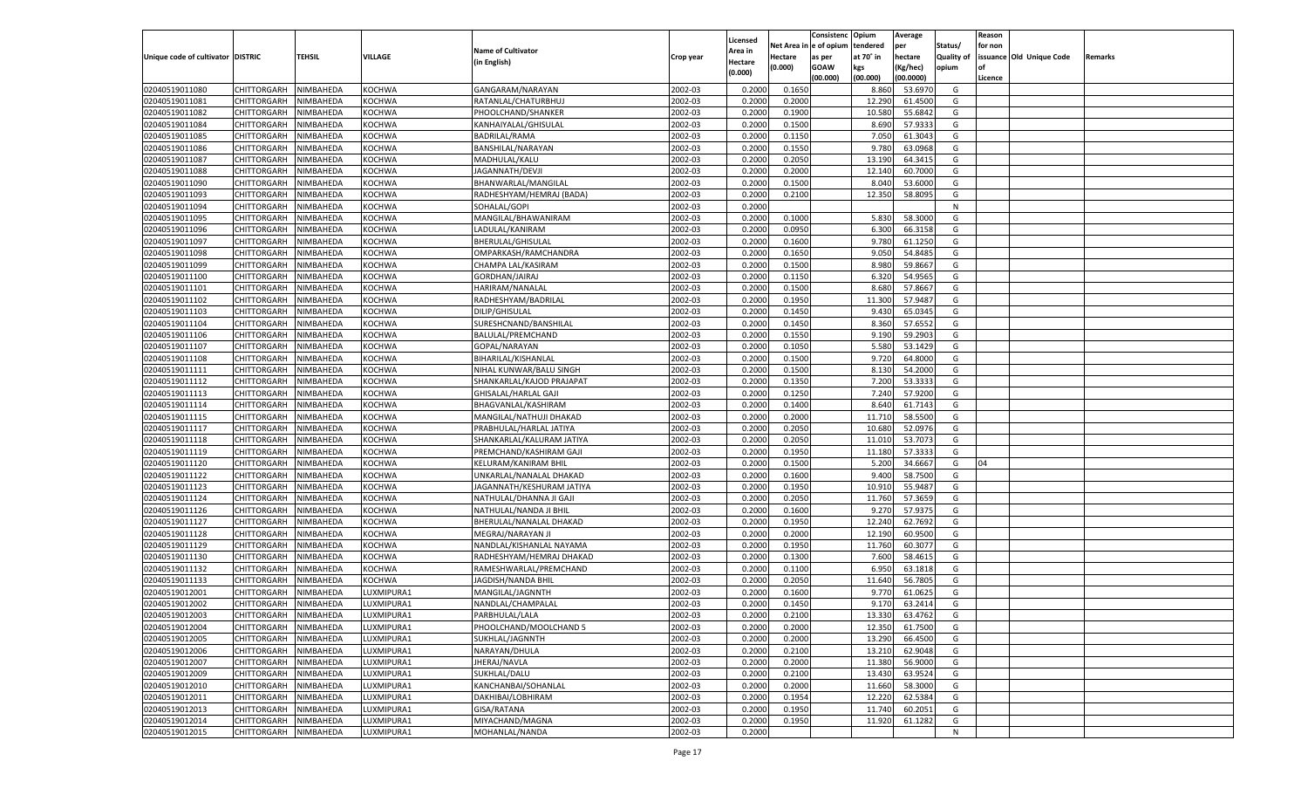|                                   |                       |           |               |                           |           |                     |            | Consistenc   | Opium     | Average   |                   | Reason  |                          |         |
|-----------------------------------|-----------------------|-----------|---------------|---------------------------|-----------|---------------------|------------|--------------|-----------|-----------|-------------------|---------|--------------------------|---------|
|                                   |                       |           |               | <b>Name of Cultivator</b> |           | Licensed<br>Area in | Net Area i | n e of opium | tendered  | per       | Status/           | for non |                          |         |
| Unique code of cultivator DISTRIC |                       | TEHSIL    | VILLAGE       | (in English)              | Crop year | Hectare             | Hectare    | as per       | at 70° in | hectare   | <b>Quality of</b> |         | issuance Old Unique Code | Remarks |
|                                   |                       |           |               |                           |           | (0.000)             | (0.000)    | <b>GOAW</b>  | kgs       | (Kg/hec)  | opium             |         |                          |         |
|                                   |                       |           |               |                           |           |                     |            | (00.000)     | (00.000)  | (00.0000) |                   | Licence |                          |         |
| 02040519011080                    | CHITTORGARH           | NIMBAHEDA | <b>KOCHWA</b> | GANGARAM/NARAYAN          | 2002-03   | 0.2000              | 0.1650     |              | 8.860     | 53.6970   | G                 |         |                          |         |
| 02040519011081                    | CHITTORGARH           | NIMBAHEDA | KOCHWA        | RATANLAL/CHATURBHUJ       | 2002-03   | 0.2000              | 0.2000     |              | 12.290    | 61.4500   | G                 |         |                          |         |
| 02040519011082                    | CHITTORGARH           | NIMBAHEDA | KOCHWA        | PHOOLCHAND/SHANKER        | 2002-03   | 0.2000              | 0.1900     |              | 10.580    | 55.6842   | G                 |         |                          |         |
| 02040519011084                    | CHITTORGARH           | NIMBAHEDA | KOCHWA        | KANHAIYALAL/GHISULAL      | 2002-03   | 0.2000              | 0.1500     |              | 8.690     | 57.9333   | G                 |         |                          |         |
| 02040519011085                    | CHITTORGARH           | NIMBAHEDA | KOCHWA        | BADRILAL/RAMA             | 2002-03   | 0.2000              | 0.1150     |              | 7.050     | 61.3043   | G                 |         |                          |         |
| 02040519011086                    | CHITTORGARH           | NIMBAHEDA | KOCHWA        | BANSHILAL/NARAYAN         | 2002-03   | 0.2000              | 0.1550     |              | 9.780     | 63.0968   | G                 |         |                          |         |
| 02040519011087                    | CHITTORGARH           | NIMBAHEDA | KOCHWA        | MADHULAL/KALU             | 2002-03   | 0.2000              | 0.2050     |              | 13.190    | 64.3415   | G                 |         |                          |         |
| 02040519011088                    | CHITTORGARH           | NIMBAHEDA | KOCHWA        | JAGANNATH/DEVJI           | 2002-03   | 0.2000              | 0.2000     |              | 12.14     | 60.7000   | G                 |         |                          |         |
| 02040519011090                    | CHITTORGARH           | NIMBAHEDA | KOCHWA        | BHANWARLAL/MANGILAL       | 2002-03   | 0.2000              | 0.1500     |              | 8.040     | 53.6000   | G                 |         |                          |         |
| 02040519011093                    | CHITTORGARH           | NIMBAHEDA | KOCHWA        | RADHESHYAM/HEMRAJ (BADA)  | 2002-03   | 0.2000              | 0.2100     |              | 12.350    | 58.8095   | G                 |         |                          |         |
| 02040519011094                    | CHITTORGARH           | NIMBAHEDA | KOCHWA        | SOHALAL/GOPI              | 2002-03   | 0.2000              |            |              |           |           | N                 |         |                          |         |
| 02040519011095                    | CHITTORGARH           | NIMBAHEDA | KOCHWA        | MANGILAL/BHAWANIRAM       | 2002-03   | 0.2000              | 0.1000     |              | 5.830     | 58.3000   | G                 |         |                          |         |
| 02040519011096                    | CHITTORGARH           | NIMBAHEDA | KOCHWA        | LADULAL/KANIRAM           | 2002-03   | 0.2000              | 0.0950     |              | 6.300     | 66.3158   | G                 |         |                          |         |
| 02040519011097                    | CHITTORGARH           | NIMBAHEDA | KOCHWA        | BHERULAL/GHISULAL         | 2002-03   | 0.2000              | 0.1600     |              | 9.780     | 61.1250   | G                 |         |                          |         |
| 02040519011098                    | CHITTORGARH           | NIMBAHEDA | KOCHWA        | OMPARKASH/RAMCHANDRA      | 2002-03   | 0.2000              | 0.1650     |              | 9.050     | 54.8485   | G                 |         |                          |         |
| 02040519011099                    | CHITTORGARH           | NIMBAHEDA | KOCHWA        | CHAMPA LAL/KASIRAM        | 2002-03   | 0.2000              | 0.1500     |              | 8.980     | 59.8667   | G                 |         |                          |         |
| 02040519011100                    | CHITTORGARH           | NIMBAHEDA | KOCHWA        | GORDHAN/JAIRAJ            | 2002-03   | 0.2000              | 0.1150     |              | 6.320     | 54.9565   | G                 |         |                          |         |
| 02040519011101                    | CHITTORGARH           | NIMBAHEDA | KOCHWA        | HARIRAM/NANALAL           | 2002-03   | 0.2000              | 0.1500     |              | 8.680     | 57.8667   | G                 |         |                          |         |
| 02040519011102                    | CHITTORGARH           | NIMBAHEDA | KOCHWA        | RADHESHYAM/BADRILAI       | 2002-03   | 0.2000              | 0.1950     |              | 11.300    | 57.9487   | G                 |         |                          |         |
| 02040519011103                    | CHITTORGARH           | NIMBAHEDA | KOCHWA        | DILIP/GHISULAL            | 2002-03   | 0.2000              | 0.1450     |              | 9.430     | 65.0345   | G                 |         |                          |         |
| 02040519011104                    | CHITTORGARH           | NIMBAHEDA | KOCHWA        | SURESHCNAND/BANSHILAL     | 2002-03   | 0.2000              | 0.1450     |              | 8.360     | 57.6552   | G                 |         |                          |         |
| 02040519011106                    | CHITTORGARH           | NIMBAHEDA | KOCHWA        | BALULAL/PREMCHAND         | 2002-03   | 0.2000              | 0.1550     |              | 9.190     | 59.2903   | G                 |         |                          |         |
| 02040519011107                    | CHITTORGARH           | NIMBAHEDA | KOCHWA        | GOPAL/NARAYAN             | 2002-03   | 0.2000              | 0.1050     |              | 5.580     | 53.1429   | G                 |         |                          |         |
| 02040519011108                    | CHITTORGARH           | NIMBAHEDA | KOCHWA        | BIHARILAL/KISHANLAL       | 2002-03   | 0.2000              | 0.1500     |              | 9.720     | 64.8000   | G                 |         |                          |         |
| 02040519011111                    | CHITTORGARH           | NIMBAHEDA | KOCHWA        | NIHAL KUNWAR/BALU SINGH   | 2002-03   | 0.2000              | 0.1500     |              | 8.130     | 54.2000   | G                 |         |                          |         |
| 02040519011112                    | CHITTORGARH           | NIMBAHEDA | KOCHWA        | SHANKARLAL/KAJOD PRAJAPAT | 2002-03   | 0.2000              | 0.1350     |              | 7.200     | 53.3333   | G                 |         |                          |         |
| 02040519011113                    | CHITTORGARH           | NIMBAHEDA | KOCHWA        | GHISALAL/HARLAL GAJI      | 2002-03   | 0.2000              | 0.1250     |              | 7.240     | 57.9200   | G                 |         |                          |         |
| 02040519011114                    | CHITTORGARH           | NIMBAHEDA | KOCHWA        | BHAGVANLAL/KASHIRAM       | 2002-03   | 0.2000              | 0.1400     |              | 8.640     | 61.7143   | G                 |         |                          |         |
| 02040519011115                    | CHITTORGARH           | NIMBAHEDA | KOCHWA        | MANGILAL/NATHUJI DHAKAD   | 2002-03   | 0.2000              | 0.2000     |              | 11.710    | 58.5500   | G                 |         |                          |         |
| 02040519011117                    | CHITTORGARH           | NIMBAHEDA | <b>KOCHWA</b> | PRABHULAL/HARLAL JATIYA   | 2002-03   | 0.2000              | 0.2050     |              | 10.680    | 52.0976   | G                 |         |                          |         |
| 02040519011118                    | CHITTORGARH           | NIMBAHEDA | <b>KOCHWA</b> | SHANKARLAL/KALURAM JATIYA | 2002-03   | 0.2000              | 0.2050     |              | 11.010    | 53.7073   | G                 |         |                          |         |
| 02040519011119                    | CHITTORGARH           | NIMBAHEDA | <b>KOCHWA</b> | PREMCHAND/KASHIRAM GAJI   | 2002-03   | 0.2000              | 0.1950     |              | 11.180    | 57.333    | G                 |         |                          |         |
| 02040519011120                    | CHITTORGARH           | NIMBAHEDA | <b>KOCHWA</b> | KELURAM/KANIRAM BHIL      | 2002-03   | 0.2000              | 0.1500     |              | 5.200     | 34.6667   | G                 | 04      |                          |         |
| 02040519011122                    | CHITTORGARH           | NIMBAHEDA | <b>KOCHWA</b> | UNKARLAL/NANALAL DHAKAD   | 2002-03   | 0.2000              | 0.1600     |              | 9.400     | 58.7500   | G                 |         |                          |         |
| 02040519011123                    | CHITTORGARH           | NIMBAHEDA | <b>KOCHWA</b> | JAGANNATH/KESHURAM JATIYA | 2002-03   | 0.2000              | 0.1950     |              | 10.91     | 55.9487   | G                 |         |                          |         |
| 02040519011124                    | CHITTORGARH           | NIMBAHEDA | <b>KOCHWA</b> | NATHULAL/DHANNA JI GAJI   | 2002-03   | 0.2000              | 0.2050     |              | 11.760    | 57.3659   | G                 |         |                          |         |
| 02040519011126                    | CHITTORGARH           | NIMBAHEDA | <b>KOCHWA</b> | NATHULAL/NANDA JI BHIL    | 2002-03   | 0.2000              | 0.1600     |              | 9.27      | 57.9375   | G                 |         |                          |         |
| 02040519011127                    | CHITTORGARH           | NIMBAHEDA | <b>KOCHWA</b> | BHERULAL/NANALAL DHAKAD   | 2002-03   | 0.2000              | 0.1950     |              | 12.240    | 62.7692   | G                 |         |                          |         |
| 02040519011128                    | CHITTORGARH           | NIMBAHEDA | <b>KOCHWA</b> | MEGRAJ/NARAYAN JI         | 2002-03   | 0.2000              | 0.2000     |              | 12.190    | 60.9500   | G                 |         |                          |         |
| 02040519011129                    | CHITTORGARH           | NIMBAHEDA | <b>KOCHWA</b> | NANDLAL/KISHANLAL NAYAMA  | 2002-03   | 0.2000              | 0.1950     |              | 11.760    | 60.3077   | G                 |         |                          |         |
| 02040519011130                    | CHITTORGARH           | NIMBAHEDA | <b>KOCHWA</b> | RADHESHYAM/HEMRAJ DHAKAD  | 2002-03   | 0.2000              | 0.1300     |              | 7.600     | 58.4615   | G                 |         |                          |         |
| 02040519011132                    | CHITTORGARH           | NIMBAHEDA | <b>KOCHWA</b> | RAMESHWARLAL/PREMCHAND    | 2002-03   | 0.2000              | 0.1100     |              | 6.95      | 63.1818   | G                 |         |                          |         |
| 02040519011133                    | CHITTORGARH           | NIMBAHEDA | <b>KOCHWA</b> | JAGDISH/NANDA BHIL        | 2002-03   | 0.2000              | 0.2050     |              | 11.640    | 56.7805   | G                 |         |                          |         |
| 02040519012001                    |                       |           |               | MANGILAL/JAGNNTH          | 2002-03   | 0.2000              | 0.1600     |              | 9.77      | 61.0625   | G                 |         |                          |         |
|                                   | CHITTORGARH           | NIMBAHEDA | LUXMIPURA1    |                           | 2002-03   |                     | 0.1450     |              |           | 63.2414   |                   |         |                          |         |
| 02040519012002                    | CHITTORGARH           | NIMBAHEDA | LUXMIPURA1    | NANDLAL/CHAMPALAI         |           | 0.2000              |            |              | 9.170     |           | G                 |         |                          |         |
| 02040519012003                    | CHITTORGARH NIMBAHEDA |           | LUXMIPURA1    | PARBHULAL/LALA            | 2002-03   | 0.2000              | 0.2100     |              | 13.330    | 63.4762   | G                 |         |                          |         |
| 02040519012004                    | <b>CHITTORGARH</b>    | NIMBAHEDA | LUXMIPURA1    | PHOOLCHAND/MOOLCHAND 5    | 2002-03   | 0.2000              | 0.2000     |              | 12.350    | 61.7500   | G                 |         |                          |         |
| 02040519012005                    | CHITTORGARH           | NIMBAHEDA | LUXMIPURA1    | SUKHLAL/JAGNNTH           | 2002-03   | 0.2000              | 0.2000     |              | 13.290    | 66.4500   | G                 |         |                          |         |
| 02040519012006                    | CHITTORGARH           | NIMBAHEDA | LUXMIPURA1    | NARAYAN/DHULA             | 2002-03   | 0.2000              | 0.2100     |              | 13.210    | 62.9048   | G                 |         |                          |         |
| 02040519012007                    | CHITTORGARH           | NIMBAHEDA | LUXMIPURA1    | JHERAJ/NAVLA              | 2002-03   | 0.2000              | 0.2000     |              | 11.380    | 56.9000   | G                 |         |                          |         |
| 02040519012009                    | CHITTORGARH           | NIMBAHEDA | LUXMIPURA1    | SUKHLAL/DALU              | 2002-03   | 0.2000              | 0.2100     |              | 13.430    | 63.9524   | G                 |         |                          |         |
| 02040519012010                    | <b>CHITTORGARH</b>    | NIMBAHEDA | LUXMIPURA1    | KANCHANBAI/SOHANLAL       | 2002-03   | 0.2000              | 0.2000     |              | 11.660    | 58.3000   | G                 |         |                          |         |
| 02040519012011                    | CHITTORGARH           | NIMBAHEDA | LUXMIPURA1    | DAKHIBAI/LOBHIRAM         | 2002-03   | 0.2000              | 0.1954     |              | 12.220    | 62.5384   | G                 |         |                          |         |
| 02040519012013                    | CHITTORGARH           | NIMBAHEDA | LUXMIPURA1    | GISA/RATANA               | 2002-03   | 0.2000              | 0.1950     |              | 11.740    | 60.2051   | G                 |         |                          |         |
| 02040519012014                    | <b>CHITTORGARH</b>    | NIMBAHEDA | LUXMIPURA1    | MIYACHAND/MAGNA           | 2002-03   | 0.2000              | 0.1950     |              | 11.920    | 61.1282   | G                 |         |                          |         |
| 02040519012015                    | CHITTORGARH           | NIMBAHEDA | LUXMIPURA1    | MOHANLAL/NANDA            | 2002-03   | 0.2000              |            |              |           |           | N                 |         |                          |         |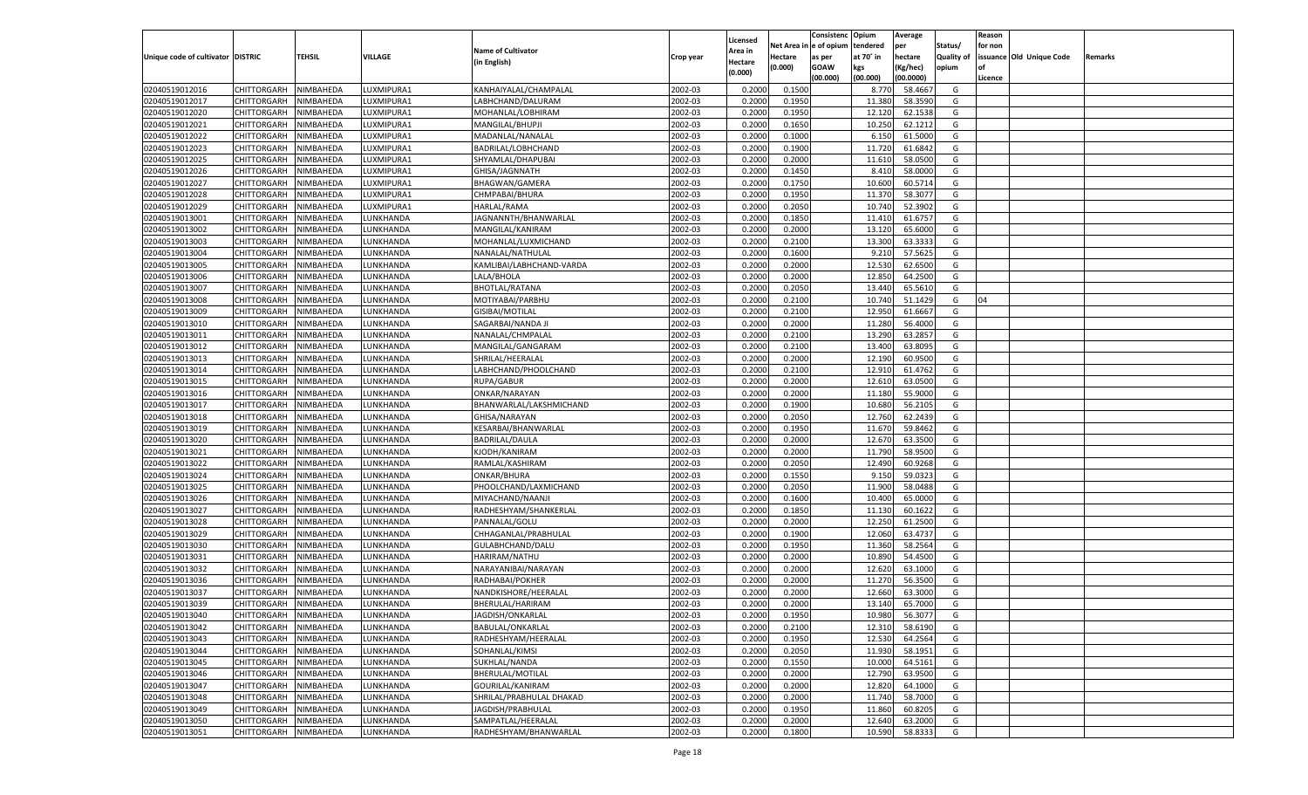|                                   |                       |               |                 |                                      |           |                           |          | Consistenc  | Opium     | Average   |                   | Reason  |                          |         |
|-----------------------------------|-----------------------|---------------|-----------------|--------------------------------------|-----------|---------------------------|----------|-------------|-----------|-----------|-------------------|---------|--------------------------|---------|
|                                   |                       |               |                 | <b>Name of Cultivator</b>            |           | Licensed                  | Net Area | e of opium  | tendered  | per       | Status/           | for non |                          |         |
| Unique code of cultivator DISTRIC |                       | <b>TEHSIL</b> | VILLAGE         | (in English)                         | Crop year | <b>Area in</b><br>Hectare | Hectare  | as per      | at 70° in | hectare   | <b>Quality of</b> |         | issuance Old Unique Code | Remarks |
|                                   |                       |               |                 |                                      |           | (0.000)                   | (0.000)  | <b>GOAW</b> | kgs       | (Kg/hec)  | opium             |         |                          |         |
|                                   |                       |               |                 |                                      |           |                           |          | (00.000)    | (00.000)  | (00.0000) |                   | Licence |                          |         |
| 02040519012016                    | CHITTORGARH           | NIMBAHEDA     | LUXMIPURA1      | KANHAIYALAL/CHAMPALAL                | 2002-03   | 0.2000                    | 0.1500   |             | 8.770     | 58.4667   | G                 |         |                          |         |
| 02040519012017                    | CHITTORGARH           | NIMBAHEDA     | UXMIPURA1       | LABHCHAND/DALURAM                    | 2002-03   | 0.2000                    | 0.1950   |             | 11.380    | 58.3590   | G                 |         |                          |         |
| 02040519012020                    | CHITTORGARH           | NIMBAHEDA     | UXMIPURA1       | MOHANLAL/LOBHIRAM                    | 2002-03   | 0.2000                    | 0.1950   |             | 12.120    | 62.1538   | G                 |         |                          |         |
| 02040519012021                    | CHITTORGARH           | NIMBAHEDA     | UXMIPURA1       | MANGILAL/BHUPJI                      | 2002-03   | 0.2000                    | 0.1650   |             | 10.250    | 62.1212   | G                 |         |                          |         |
| 02040519012022                    | CHITTORGARH           | NIMBAHEDA     | UXMIPURA1       | MADANLAL/NANALAL                     | 2002-03   | 0.2000                    | 0.1000   |             | 6.150     | 61.5000   | G                 |         |                          |         |
| 02040519012023                    | CHITTORGARH           | NIMBAHEDA     | UXMIPURA1       | BADRILAL/LOBHCHAND                   | 2002-03   | 0.2000                    | 0.1900   |             | 11.720    | 61.6842   | G                 |         |                          |         |
| 02040519012025                    | CHITTORGARH           | NIMBAHEDA     | UXMIPURA1       | SHYAMLAL/DHAPUBAI                    | 2002-03   | 0.2000                    | 0.2000   |             | 11.610    | 58.0500   | G                 |         |                          |         |
| 02040519012026                    | CHITTORGARH           | NIMBAHEDA     | UXMIPURA1       | GHISA/JAGNNATH                       | 2002-03   | 0.2000                    | 0.1450   |             | 8.410     | 58.0000   | G                 |         |                          |         |
| 02040519012027                    | CHITTORGARH           | NIMBAHEDA     | UXMIPURA1       | <b>BHAGWAN/GAMERA</b>                | 2002-03   | 0.2000                    | 0.1750   |             | 10.600    | 60.5714   | G                 |         |                          |         |
| 02040519012028                    | CHITTORGARH           | NIMBAHEDA     | UXMIPURA1       | CHMPABAI/BHURA                       | 2002-03   | 0.2000                    | 0.1950   |             | 11.370    | 58.3077   | G                 |         |                          |         |
| 02040519012029                    | CHITTORGARH           | NIMBAHEDA     | UXMIPURA1       | HARLAL/RAMA                          | 2002-03   | 0.2000                    | 0.2050   |             | 10.740    | 52.3902   | G                 |         |                          |         |
| 02040519013001                    | CHITTORGARH           | NIMBAHEDA     | <b>UNKHANDA</b> | JAGNANNTH/BHANWARLAL                 | 2002-03   | 0.2000                    | 0.1850   |             | 11.41     | 61.675    | G                 |         |                          |         |
| 02040519013002                    | CHITTORGARH           | NIMBAHEDA     | <b>UNKHANDA</b> | MANGILAL/KANIRAM                     | 2002-03   | 0.2000                    | 0.2000   |             | 13.120    | 65.6000   | G                 |         |                          |         |
| 02040519013003                    | CHITTORGARH           | NIMBAHEDA     | <b>UNKHANDA</b> | MOHANLAL/LUXMICHAND                  | 2002-03   | 0.2000                    | 0.2100   |             | 13.300    | 63.333    | G                 |         |                          |         |
| 02040519013004                    | CHITTORGARH           | NIMBAHEDA     | <b>UNKHANDA</b> | NANALAL/NATHULAL                     | 2002-03   | 0.2000                    | 0.1600   |             | 9.21      | 57.5625   | G                 |         |                          |         |
| 02040519013005                    | CHITTORGARH           | NIMBAHEDA     | <b>UNKHANDA</b> | KAMLIBAI/LABHCHAND-VARDA             | 2002-03   | 0.2000                    | 0.2000   |             | 12.530    | 62.6500   | G                 |         |                          |         |
| 02040519013006                    | CHITTORGARH           | NIMBAHEDA     | <b>UNKHANDA</b> | LALA/BHOLA                           | 2002-03   | 0.2000                    | 0.2000   |             | 12.850    | 64.2500   | G                 |         |                          |         |
| 02040519013007                    | CHITTORGARH           | NIMBAHEDA     | <b>UNKHANDA</b> | <b>BHOTLAL/RATANA</b>                | 2002-03   | 0.2000                    | 0.2050   |             | 13.440    | 65.5610   | G                 |         |                          |         |
| 02040519013008                    | CHITTORGARH           | NIMBAHEDA     | <b>UNKHANDA</b> | MOTIYABAI/PARBHU                     | 2002-03   | 0.2000                    | 0.2100   |             | 10.740    | 51.1429   | G                 | 04      |                          |         |
| 02040519013009                    | CHITTORGARH           | NIMBAHEDA     | UNKHANDA        | GISIBAI/MOTILAL                      | 2002-03   | 0.2000                    | 0.2100   |             | 12.950    | 61.6667   | G                 |         |                          |         |
| 02040519013010                    | CHITTORGARH           | NIMBAHEDA     | <b>UNKHANDA</b> | SAGARBAI/NANDA JI                    | 2002-03   | 0.2000                    | 0.2000   |             | 11.280    | 56.4000   | G                 |         |                          |         |
| 02040519013011                    | CHITTORGARH           | NIMBAHEDA     | <b>UNKHANDA</b> | NANALAL/CHMPALAI                     | 2002-03   | 0.2000                    | 0.2100   |             | 13.290    | 63.285    | G                 |         |                          |         |
| 02040519013012                    | CHITTORGARH           | NIMBAHEDA     | <b>UNKHANDA</b> | MANGILAL/GANGARAM                    | 2002-03   | 0.2000                    | 0.2100   |             | 13.400    | 63.8095   | G                 |         |                          |         |
| 02040519013013                    | CHITTORGARH           | NIMBAHEDA     | UNKHANDA        | SHRILAL/HEERALAL                     | 2002-03   | 0.2000                    | 0.2000   |             | 12.190    | 60.9500   | G                 |         |                          |         |
| 02040519013014                    | CHITTORGARH           | NIMBAHEDA     | <b>UNKHANDA</b> | LABHCHAND/PHOOLCHAND                 | 2002-03   | 0.2000                    | 0.2100   |             | 12.910    | 61.4762   | G                 |         |                          |         |
| 02040519013015                    | CHITTORGARH           | NIMBAHEDA     | <b>UNKHANDA</b> | RUPA/GABUR                           | 2002-03   | 0.2000                    | 0.2000   |             | 12.610    | 63.0500   | G                 |         |                          |         |
| 02040519013016                    | CHITTORGARH           | NIMBAHEDA     | <b>UNKHANDA</b> | ONKAR/NARAYAN                        | 2002-03   | 0.2000                    | 0.2000   |             | 11.180    | 55.9000   | G                 |         |                          |         |
| 02040519013017                    | CHITTORGARH           | NIMBAHEDA     | <b>UNKHANDA</b> | BHANWARLAL/LAKSHMICHAND              | 2002-03   | 0.2000                    | 0.1900   |             | 10.680    | 56.2105   | G                 |         |                          |         |
| 02040519013018                    | CHITTORGARH           | NIMBAHEDA     | <b>UNKHANDA</b> | GHISA/NARAYAN                        | 2002-03   | 0.2000                    | 0.2050   |             | 12.760    | 62.2439   | G                 |         |                          |         |
| 02040519013019                    | CHITTORGARH           | NIMBAHEDA     | LUNKHANDA       | KESARBAI/BHANWARLAL                  | 2002-03   | 0.2000                    | 0.1950   |             | 11.670    | 59.8462   | G                 |         |                          |         |
| 02040519013020                    | CHITTORGARH           | NIMBAHEDA     | LUNKHANDA       | <b>BADRILAL/DAULA</b>                | 2002-03   | 0.2000                    | 0.2000   |             | 12.670    | 63.3500   | G                 |         |                          |         |
| 02040519013021                    | CHITTORGARH           | NIMBAHEDA     | LUNKHANDA       | KJODH/KANIRAM                        | 2002-03   | 0.2000                    | 0.2000   |             | 11.790    | 58.9500   | G                 |         |                          |         |
| 02040519013022                    | CHITTORGARH           | NIMBAHEDA     | LUNKHANDA       | RAMLAL/KASHIRAM                      | 2002-03   | 0.2000                    | 0.2050   |             | 12.490    | 60.9268   | G                 |         |                          |         |
| 02040519013024                    | CHITTORGARH           | NIMBAHEDA     | LUNKHANDA       | ONKAR/BHURA                          | 2002-03   | 0.2000                    | 0.1550   |             | 9.15      | 59.032    | G                 |         |                          |         |
| 02040519013025                    | CHITTORGARH           | NIMBAHEDA     | LUNKHANDA       | PHOOLCHAND/LAXMICHAND                | 2002-03   | 0.2000                    | 0.2050   |             | 11.900    | 58.0488   | G                 |         |                          |         |
| 02040519013026                    | CHITTORGARH           | NIMBAHEDA     | LUNKHANDA       | MIYACHAND/NAANJI                     | 2002-03   | 0.2000                    | 0.1600   |             | 10.400    | 65.0000   | G                 |         |                          |         |
| 02040519013027                    | CHITTORGARH           | NIMBAHEDA     | LUNKHANDA       | RADHESHYAM/SHANKERLAL                | 2002-03   | 0.2000                    | 0.1850   |             | 11.130    | 60.162    | G                 |         |                          |         |
| 02040519013028                    | CHITTORGARH           | NIMBAHEDA     | LUNKHANDA       | PANNALAL/GOLU                        | 2002-03   | 0.2000                    | 0.2000   |             | 12.250    | 61.2500   | G                 |         |                          |         |
| 02040519013029                    | CHITTORGARH           | NIMBAHEDA     | LUNKHANDA       | CHHAGANLAL/PRABHULAL                 | 2002-03   | 0.2000                    | 0.1900   |             | 12.060    | 63.473    | G                 |         |                          |         |
| 02040519013030                    | CHITTORGARH           | NIMBAHEDA     | LUNKHANDA       | GULABHCHAND/DALU                     | 2002-03   | 0.2000                    | 0.1950   |             | 11.360    | 58.2564   | G                 |         |                          |         |
| 02040519013031                    | CHITTORGARH           | NIMBAHEDA     | LUNKHANDA       | HARIRAM/NATHU                        | 2002-03   | 0.2000                    | 0.2000   |             | 10.890    | 54.4500   | G                 |         |                          |         |
| 02040519013032                    | CHITTORGARH           | NIMBAHEDA     | LUNKHANDA       | NARAYANIBAI/NARAYAN                  | 2002-03   | 0.2000                    | 0.2000   |             | 12.620    | 63.1000   | G                 |         |                          |         |
| 02040519013036                    | CHITTORGARH           | NIMBAHEDA     | LUNKHANDA       | RADHABAI/POKHER                      | 2002-03   | 0.2000                    | 0.2000   |             | 11.270    | 56.3500   | G                 |         |                          |         |
| 02040519013037                    | CHITTORGARH           | NIMBAHEDA     | LUNKHANDA       | NANDKISHORE/HEERALAL                 | 2002-03   | 0.2000                    | 0.2000   |             | 12.660    | 63.3000   | G                 |         |                          |         |
| 02040519013039                    |                       | NIMBAHEDA     | LUNKHANDA       | BHERULAL/HARIRAM                     | 2002-03   | 0.2000                    | 0.2000   |             | 13.140    | 65.7000   | G                 |         |                          |         |
|                                   | CHITTORGARH           |               |                 |                                      |           |                           |          |             |           |           |                   |         |                          |         |
| 02040519013040<br>02040519013042  | CHITTORGARH NIMBAHEDA |               | LUNKHANDA       | JAGDISH/ONKARLAL<br>BABULAL/ONKARLAL | 2002-03   | 0.2000                    | 0.1950   |             | 10.980    | 56.3077   | G                 |         |                          |         |
|                                   | <b>CHITTORGARH</b>    | NIMBAHEDA     | LUNKHANDA       |                                      | 2002-03   | 0.2000                    | 0.2100   |             | 12.310    | 58.6190   | G                 |         |                          |         |
| 02040519013043                    | CHITTORGARH           | NIMBAHEDA     | LUNKHANDA       | RADHESHYAM/HEERALAL                  | 2002-03   | 0.2000                    | 0.1950   |             | 12.530    | 64.2564   | G                 |         |                          |         |
| 02040519013044                    | <b>CHITTORGARH</b>    | NIMBAHEDA     | LUNKHANDA       | SOHANLAL/KIMSI                       | 2002-03   | 0.2000                    | 0.2050   |             | 11.930    | 58.1951   | G                 |         |                          |         |
| 02040519013045                    | <b>CHITTORGARH</b>    | NIMBAHEDA     | LUNKHANDA       | SUKHLAL/NANDA                        | 2002-03   | 0.2000                    | 0.1550   |             | 10.000    | 64.5161   | G                 |         |                          |         |
| 02040519013046                    | <b>CHITTORGARH</b>    | NIMBAHEDA     | LUNKHANDA       | BHERULAL/MOTILAL                     | 2002-03   | 0.2000                    | 0.2000   |             | 12.790    | 63.9500   | G                 |         |                          |         |
| 02040519013047                    | <b>CHITTORGARH</b>    | NIMBAHEDA     | LUNKHANDA       | GOURILAL/KANIRAM                     | 2002-03   | 0.2000                    | 0.2000   |             | 12.820    | 64.1000   | G                 |         |                          |         |
| 02040519013048                    | <b>CHITTORGARH</b>    | NIMBAHEDA     | LUNKHANDA       | SHRILAL/PRABHULAL DHAKAD             | 2002-03   | 0.2000                    | 0.2000   |             | 11.740    | 58.7000   | G                 |         |                          |         |
| 02040519013049                    | <b>CHITTORGARH</b>    | NIMBAHEDA     | LUNKHANDA       | JAGDISH/PRABHULAL                    | 2002-03   | 0.2000                    | 0.1950   |             | 11.860    | 60.8205   | G                 |         |                          |         |
| 02040519013050                    | <b>CHITTORGARH</b>    | NIMBAHEDA     | LUNKHANDA       | SAMPATLAL/HEERALAL                   | 2002-03   | 0.2000                    | 0.2000   |             | 12.640    | 63.2000   | G                 |         |                          |         |
| 02040519013051                    | <b>CHITTORGARH</b>    | NIMBAHEDA     | LUNKHANDA       | RADHESHYAM/BHANWARLAL                | 2002-03   | 0.2000                    | 0.1800   |             | 10.590    | 58.8333   | G                 |         |                          |         |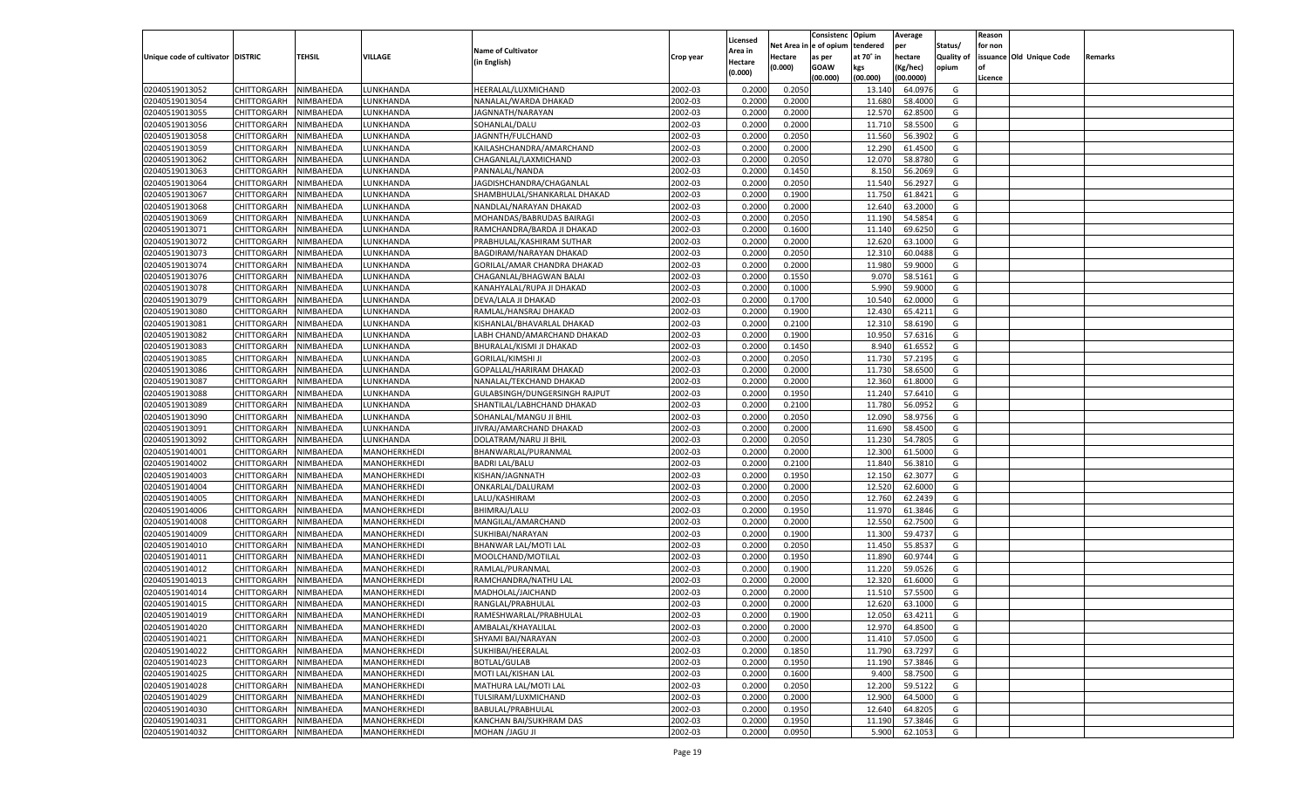|                                   |                       |               |                 |                               |           |                           |          | Consistenc  | Opium     | Average   |                   | Reason  |                          |         |
|-----------------------------------|-----------------------|---------------|-----------------|-------------------------------|-----------|---------------------------|----------|-------------|-----------|-----------|-------------------|---------|--------------------------|---------|
|                                   |                       |               |                 | <b>Name of Cultivator</b>     |           | Licensed                  | Net Area | e of opium  | tendered  | per       | Status/           | for non |                          |         |
| Unique code of cultivator DISTRIC |                       | <b>TEHSIL</b> | VILLAGE         | (in English)                  | Crop year | <b>Area in</b><br>Hectare | Hectare  | as per      | at 70° in | hectare   | <b>Quality of</b> |         | issuance Old Unique Code | Remarks |
|                                   |                       |               |                 |                               |           | (0.000)                   | (0.000)  | <b>GOAW</b> | kgs       | (Kg/hec)  | opium             |         |                          |         |
|                                   |                       |               |                 |                               |           |                           |          | (00.000)    | (00.000)  | (00.0000) |                   | Licence |                          |         |
| 02040519013052                    | CHITTORGARH           | NIMBAHEDA     | <b>UNKHANDA</b> | HEERALAL/LUXMICHAND           | 2002-03   | 0.2000                    | 0.2050   |             | 13.140    | 64.0976   | G                 |         |                          |         |
| 02040519013054                    | CHITTORGARH           | NIMBAHEDA     | UNKHANDA.       | NANALAL/WARDA DHAKAD          | 2002-03   | 0.2000                    | 0.2000   |             | 11.680    | 58.4000   | G                 |         |                          |         |
| 02040519013055                    | CHITTORGARH           | NIMBAHEDA     | <b>UNKHANDA</b> | JAGNNATH/NARAYAN              | 2002-03   | 0.2000                    | 0.2000   |             | 12.570    | 62.8500   | G                 |         |                          |         |
| 02040519013056                    | CHITTORGARH           | NIMBAHEDA     | <b>UNKHANDA</b> | SOHANLAL/DALU                 | 2002-03   | 0.2000                    | 0.2000   |             | 11.710    | 58.5500   | G                 |         |                          |         |
| 02040519013058                    | CHITTORGARH           | NIMBAHEDA     | <b>UNKHANDA</b> | JAGNNTH/FULCHAND              | 2002-03   | 0.2000                    | 0.2050   |             | 11.560    | 56.3902   | G                 |         |                          |         |
| 02040519013059                    | CHITTORGARH           | NIMBAHEDA     | <b>UNKHANDA</b> | KAILASHCHANDRA/AMARCHAND      | 2002-03   | 0.2000                    | 0.2000   |             | 12.290    | 61.4500   | G                 |         |                          |         |
| 02040519013062                    | CHITTORGARH           | NIMBAHEDA     | <b>UNKHANDA</b> | CHAGANLAL/LAXMICHAND          | 2002-03   | 0.2000                    | 0.2050   |             | 12.070    | 58.8780   | G                 |         |                          |         |
| 02040519013063                    | CHITTORGARH           | NIMBAHEDA     | <b>UNKHANDA</b> | PANNALAL/NANDA                | 2002-03   | 0.2000                    | 0.1450   |             | 8.150     | 56.2069   | G                 |         |                          |         |
| 02040519013064                    | CHITTORGARH           | NIMBAHEDA     | <b>UNKHANDA</b> | JAGDISHCHANDRA/CHAGANLAL      | 2002-03   | 0.2000                    | 0.2050   |             | 11.540    | 56.292    | G                 |         |                          |         |
| 02040519013067                    | CHITTORGARH           | NIMBAHEDA     | <b>UNKHANDA</b> | SHAMBHULAL/SHANKARLAL DHAKAD  | 2002-03   | 0.2000                    | 0.1900   |             | 11.750    | 61.8421   | G                 |         |                          |         |
| 02040519013068                    | CHITTORGARH           | NIMBAHEDA     | <b>UNKHANDA</b> | NANDLAL/NARAYAN DHAKAD        | 2002-03   | 0.2000                    | 0.2000   |             | 12.640    | 63.2000   | G                 |         |                          |         |
| 02040519013069                    | CHITTORGARH           | NIMBAHEDA     | <b>UNKHANDA</b> | MOHANDAS/BABRUDAS BAIRAGI     | 2002-03   | 0.2000                    | 0.2050   |             | 11.190    | 54.5854   | G                 |         |                          |         |
| 02040519013071                    | CHITTORGARH           | NIMBAHEDA     | <b>UNKHANDA</b> | RAMCHANDRA/BARDA JI DHAKAD    | 2002-03   | 0.2000                    | 0.1600   |             | 11.140    | 69.6250   | G                 |         |                          |         |
| 02040519013072                    | CHITTORGARH           | NIMBAHEDA     | <b>UNKHANDA</b> | PRABHULAL/KASHIRAM SUTHAR     | 2002-03   | 0.2000                    | 0.2000   |             | 12.620    | 63.1000   | G                 |         |                          |         |
| 02040519013073                    | CHITTORGARH           | NIMBAHEDA     | <b>UNKHANDA</b> | BAGDIRAM/NARAYAN DHAKAD       | 2002-03   | 0.2000                    | 0.2050   |             | 12.310    | 60.0488   | G                 |         |                          |         |
| 02040519013074                    | CHITTORGARH           | NIMBAHEDA     | UNKHANDA        | GORILAL/AMAR CHANDRA DHAKAD   | 2002-03   | 0.2000                    | 0.2000   |             | 11.980    | 59.9000   | G                 |         |                          |         |
| 02040519013076                    | CHITTORGARH           | NIMBAHEDA     | <b>UNKHANDA</b> | CHAGANLAL/BHAGWAN BALAI       | 2002-03   | 0.2000                    | 0.1550   |             | 9.070     | 58.5161   | G                 |         |                          |         |
| 02040519013078                    | CHITTORGARH           | NIMBAHEDA     | <b>UNKHANDA</b> | KANAHYALAL/RUPA JI DHAKAD     | 2002-03   | 0.2000                    | 0.1000   |             | 5.990     | 59.9000   | G                 |         |                          |         |
| 02040519013079                    | CHITTORGARH           | NIMBAHEDA     | <b>UNKHANDA</b> | DEVA/LALA JI DHAKAD           | 2002-03   | 0.2000                    | 0.1700   |             | 10.540    | 62.0000   | G                 |         |                          |         |
| 02040519013080                    | CHITTORGARH           |               |                 | RAMLAL/HANSRAJ DHAKAD         | 2002-03   |                           | 0.1900   |             | 12.430    | 65.4211   | G                 |         |                          |         |
|                                   |                       | NIMBAHEDA     | <b>UNKHANDA</b> |                               |           | 0.2000                    |          |             |           |           |                   |         |                          |         |
| 02040519013081                    | CHITTORGARH           | NIMBAHEDA     | <b>UNKHANDA</b> | KISHANLAL/BHAVARLAL DHAKAD    | 2002-03   | 0.2000                    | 0.2100   |             | 12.31     | 58.6190   | G                 |         |                          |         |
| 02040519013082                    | CHITTORGARH           | NIMBAHEDA     | <b>UNKHANDA</b> | LABH CHAND/AMARCHAND DHAKAD   | 2002-03   | 0.2000                    | 0.1900   |             | 10.95     | 57.6316   | G                 |         |                          |         |
| 02040519013083                    | CHITTORGARH           | NIMBAHEDA     | <b>UNKHANDA</b> | BHURALAL/KISMI JI DHAKAD      | 2002-03   | 0.2000                    | 0.1450   |             | 8.940     | 61.6552   | G                 |         |                          |         |
| 02040519013085                    | CHITTORGARH           | NIMBAHEDA     | <b>UNKHANDA</b> | <b>GORILAL/KIMSHI JI</b>      | 2002-03   | 0.2000                    | 0.2050   |             | 11.730    | 57.2195   | G                 |         |                          |         |
| 02040519013086                    | CHITTORGARH           | NIMBAHEDA     | <b>UNKHANDA</b> | GOPALLAL/HARIRAM DHAKAD       | 2002-03   | 0.2000                    | 0.2000   |             | 11.730    | 58.6500   | G                 |         |                          |         |
| 02040519013087                    | CHITTORGARH           | NIMBAHEDA     | LUNKHANDA       | NANALAL/TEKCHAND DHAKAD       | 2002-03   | 0.2000                    | 0.2000   |             | 12.360    | 61.8000   | G                 |         |                          |         |
| 02040519013088                    | CHITTORGARH           | NIMBAHEDA     | <b>UNKHANDA</b> | GULABSINGH/DUNGERSINGH RAJPUT | 2002-03   | 0.2000                    | 0.1950   |             | 11.240    | 57.6410   | G                 |         |                          |         |
| 02040519013089                    | CHITTORGARH           | NIMBAHEDA     | <b>UNKHANDA</b> | SHANTILAL/LABHCHAND DHAKAD    | 2002-03   | 0.2000                    | 0.2100   |             | 11.780    | 56.0952   | G                 |         |                          |         |
| 02040519013090                    | CHITTORGARH           | NIMBAHEDA     | <b>UNKHANDA</b> | SOHANLAL/MANGU JI BHIL        | 2002-03   | 0.2000                    | 0.2050   |             | 12.090    | 58.9756   | G                 |         |                          |         |
| 02040519013091                    | CHITTORGARH           | NIMBAHEDA     | LUNKHANDA       | JIVRAJ/AMARCHAND DHAKAD       | 2002-03   | 0.2000                    | 0.2000   |             | 11.690    | 58.4500   | G                 |         |                          |         |
| 02040519013092                    | CHITTORGARH           | NIMBAHEDA     | LUNKHANDA       | DOLATRAM/NARU JI BHIL         | 2002-03   | 0.2000                    | 0.2050   |             | 11.230    | 54.7805   | G                 |         |                          |         |
| 02040519014001                    | CHITTORGARH           | NIMBAHEDA     | MANOHERKHEDI    | BHANWARLAL/PURANMAL           | 2002-03   | 0.2000                    | 0.2000   |             | 12.300    | 61.5000   | G                 |         |                          |         |
| 02040519014002                    | CHITTORGARH           | NIMBAHEDA     | MANOHERKHEDI    | <b>BADRI LAL/BALU</b>         | 2002-03   | 0.2000                    | 0.2100   |             | 11.840    | 56.3810   | G                 |         |                          |         |
| 02040519014003                    | CHITTORGARH           | NIMBAHEDA     | MANOHERKHEDI    | KISHAN/JAGNNATH               | 2002-03   | 0.2000                    | 0.1950   |             | 12.15     | 62.3077   | G                 |         |                          |         |
| 02040519014004                    | CHITTORGARH           | NIMBAHEDA     | MANOHERKHEDI    | ONKARLAL/DALURAM              | 2002-03   | 0.2000                    | 0.2000   |             | 12.520    | 62.6000   | G                 |         |                          |         |
| 02040519014005                    | CHITTORGARH           | NIMBAHEDA     | MANOHERKHEDI    | LALU/KASHIRAM                 | 2002-03   | 0.2000                    | 0.2050   |             | 12.760    | 62.2439   | G                 |         |                          |         |
| 02040519014006                    | CHITTORGARH           | NIMBAHEDA     | MANOHERKHEDI    | <b>BHIMRAJ/LALU</b>           | 2002-03   | 0.2000                    | 0.1950   |             | 11.970    | 61.3846   | G                 |         |                          |         |
| 02040519014008                    | CHITTORGARH           | NIMBAHEDA     | MANOHERKHEDI    | MANGILAL/AMARCHAND            | 2002-03   | 0.2000                    | 0.2000   |             | 12.550    | 62.7500   | G                 |         |                          |         |
| 02040519014009                    | CHITTORGARH           | NIMBAHEDA     | MANOHERKHEDI    | SUKHIBAI/NARAYAN              | 2002-03   | 0.2000                    | 0.1900   |             | 11.300    | 59.473    | G                 |         |                          |         |
| 02040519014010                    | CHITTORGARH           | NIMBAHEDA     | MANOHERKHEDI    | BHANWAR LAL/MOTI LAL          | 2002-03   | 0.2000                    | 0.2050   |             | 11.45     | 55.853    | G                 |         |                          |         |
| 02040519014011                    | CHITTORGARH           | NIMBAHEDA     | MANOHERKHEDI    | MOOLCHAND/MOTILAL             | 2002-03   | 0.2000                    | 0.1950   |             | 11.890    | 60.9744   | G                 |         |                          |         |
| 02040519014012                    | CHITTORGARH           | NIMBAHEDA     | MANOHERKHEDI    | RAMLAL/PURANMAI               | 2002-03   | 0.2000                    | 0.1900   |             | 11.220    | 59.0526   | G                 |         |                          |         |
| 02040519014013                    | CHITTORGARH           | NIMBAHEDA     | MANOHERKHEDI    | RAMCHANDRA/NATHU LAL          | 2002-03   | 0.2000                    | 0.2000   |             | 12.320    | 61.6000   | G                 |         |                          |         |
| 02040519014014                    | CHITTORGARH           | NIMBAHEDA     | MANOHERKHEDI    | MADHOLAL/JAICHAND             | 2002-03   | 0.2000                    | 0.2000   |             | 11.51     | 57.5500   | G                 |         |                          |         |
| 02040519014015                    | CHITTORGARH           | NIMBAHEDA     | MANOHERKHEDI    | RANGLAL/PRABHULAL             | 2002-03   | 0.2000                    | 0.2000   |             | 12.620    | 63.1000   | G                 |         |                          |         |
| 02040519014019                    | CHITTORGARH NIMBAHEDA |               | MANOHERKHEDI    | RAMESHWARLAL/PRABHULAL        | 2002-03   | 0.2000                    | 0.1900   |             | 12.050    | 63.4211   | G                 |         |                          |         |
| 02040519014020                    | <b>CHITTORGARH</b>    | NIMBAHEDA     | MANOHERKHEDI    | AMBALAL/KHAYALILAL            | 2002-03   | 0.2000                    | 0.2000   |             | 12.970    | 64.8500   | G                 |         |                          |         |
| 02040519014021                    | <b>CHITTORGARH</b>    | NIMBAHEDA     | MANOHERKHEDI    | SHYAMI BAI/NARAYAN            | 2002-03   | 0.2000                    | 0.2000   |             | 11.410    | 57.0500   | G                 |         |                          |         |
| 02040519014022                    | <b>CHITTORGARH</b>    | NIMBAHEDA     | MANOHERKHEDI    | SUKHIBAI/HEERALAL             | 2002-03   | 0.2000                    | 0.1850   |             | 11.790    | 63.7297   | G                 |         |                          |         |
| 02040519014023                    | <b>CHITTORGARH</b>    | NIMBAHEDA     | MANOHERKHEDI    | <b>BOTLAL/GULAB</b>           | 2002-03   | 0.2000                    | 0.1950   |             | 11.190    | 57.3846   | G                 |         |                          |         |
| 02040519014025                    | <b>CHITTORGARH</b>    | NIMBAHEDA     | MANOHERKHEDI    | MOTI LAL/KISHAN LAL           | 2002-03   | 0.2000                    | 0.1600   |             | 9.400     | 58.7500   | G                 |         |                          |         |
| 02040519014028                    | <b>CHITTORGARH</b>    | NIMBAHEDA     | MANOHERKHEDI    | MATHURA LAL/MOTI LAL          | 2002-03   | 0.2000                    | 0.2050   |             | 12.200    | 59.5122   | G                 |         |                          |         |
| 02040519014029                    | <b>CHITTORGARH</b>    | NIMBAHEDA     | MANOHERKHEDI    | TULSIRAM/LUXMICHAND           | 2002-03   | 0.2000                    | 0.2000   |             | 12.900    | 64.5000   | G                 |         |                          |         |
| 02040519014030                    | <b>CHITTORGARH</b>    | NIMBAHEDA     | MANOHERKHEDI    | BABULAL/PRABHULAL             | 2002-03   | 0.2000                    | 0.1950   |             | 12.640    | 64.8205   | G                 |         |                          |         |
|                                   |                       | NIMBAHEDA     |                 |                               |           |                           | 0.1950   |             |           |           |                   |         |                          |         |
| 02040519014031                    | <b>CHITTORGARH</b>    |               | MANOHERKHEDI    | KANCHAN BAI/SUKHRAM DAS       | 2002-03   | 0.2000                    |          |             | 11.190    | 57.3846   | G                 |         |                          |         |
| 02040519014032                    | <b>CHITTORGARH</b>    | NIMBAHEDA     | MANOHERKHEDI    | <b>MOHAN /JAGU JI</b>         | 2002-03   | 0.2000                    | 0.0950   |             | 5.900     | 62.1053   | G                 |         |                          |         |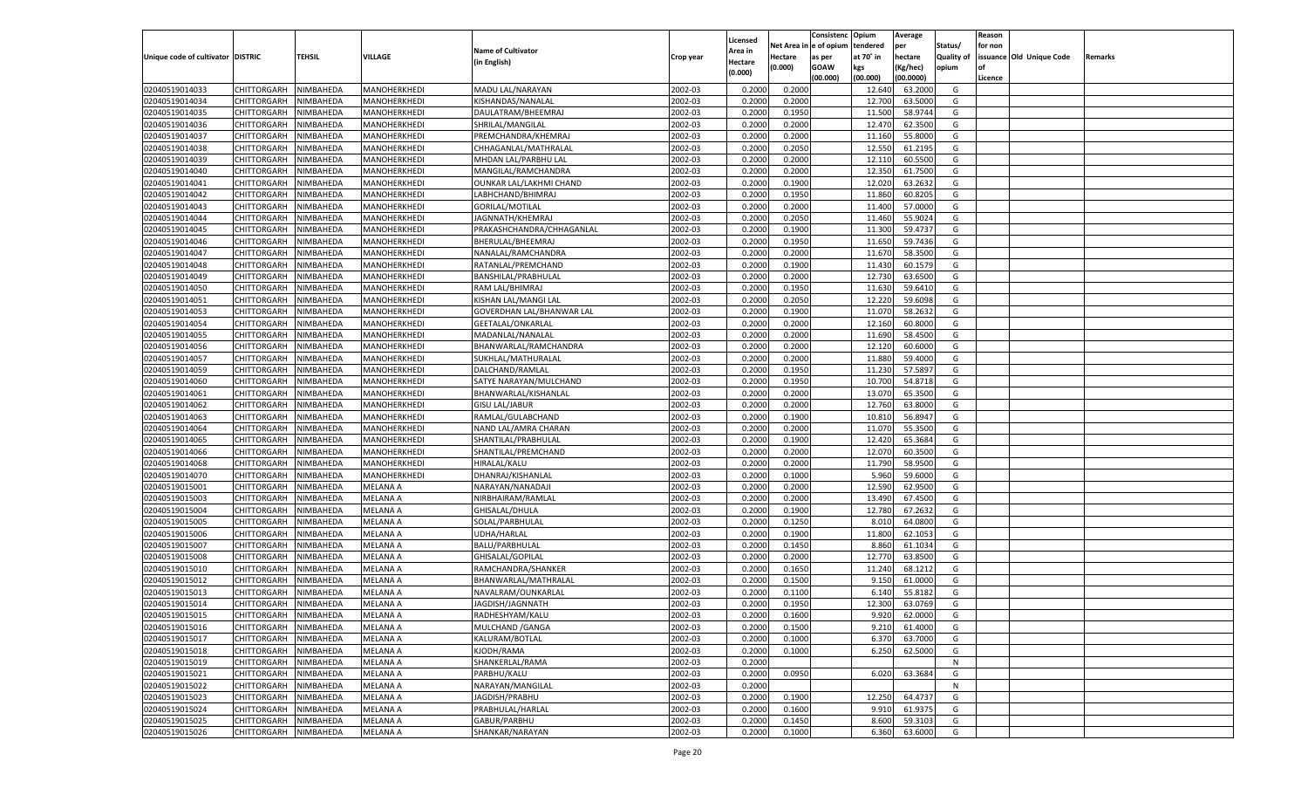|                                   |                       |           |                 |                           |           |                    |             | Consistenc   | Opium     | Average   |                   | Reason  |                          |         |
|-----------------------------------|-----------------------|-----------|-----------------|---------------------------|-----------|--------------------|-------------|--------------|-----------|-----------|-------------------|---------|--------------------------|---------|
|                                   |                       |           |                 |                           |           | Licensed           | Net Area iı | n e of opium | tendered  | per       | Status/           | for non |                          |         |
| Unique code of cultivator DISTRIC |                       | TEHSIL    | VILLAGE         | <b>Name of Cultivator</b> | Crop year | Area in            | Hectare     | as per       | at 70° in | hectare   | <b>Quality of</b> |         | issuance Old Unique Code | Remarks |
|                                   |                       |           |                 | (in English)              |           | Hectare<br>(0.000) | (0.000)     | <b>GOAW</b>  | kgs       | (Kg/hec)  | opium             |         |                          |         |
|                                   |                       |           |                 |                           |           |                    |             | (00.000)     | (00.000)  | (00.0000) |                   | Licence |                          |         |
| 02040519014033                    | CHITTORGARH           | NIMBAHEDA | MANOHERKHEDI    | MADU LAL/NARAYAN          | 2002-03   | 0.2000             | 0.2000      |              | 12.640    | 63.2000   | G                 |         |                          |         |
| 02040519014034                    | CHITTORGARH           | NIMBAHEDA | MANOHERKHEDI    | KISHANDAS/NANALAL         | 2002-03   | 0.2000             | 0.2000      |              | 12.700    | 63.5000   | G                 |         |                          |         |
| 02040519014035                    | CHITTORGARH           | NIMBAHEDA | MANOHERKHEDI    | DAULATRAM/BHEEMRAJ        | 2002-03   | 0.2000             | 0.1950      |              | 11.500    | 58.9744   | G                 |         |                          |         |
| 02040519014036                    | CHITTORGARH           | NIMBAHEDA | MANOHERKHEDI    | SHRILAL/MANGILAL          | 2002-03   | 0.2000             | 0.2000      |              | 12.470    | 62.3500   | G                 |         |                          |         |
| 02040519014037                    | CHITTORGARH           | NIMBAHEDA | MANOHERKHEDI    | PREMCHANDRA/KHEMRAJ       | 2002-03   | 0.2000             | 0.2000      |              | 11.160    | 55.8000   | G                 |         |                          |         |
| 02040519014038                    | CHITTORGARH           | NIMBAHEDA | MANOHERKHEDI    | CHHAGANLAL/MATHRALAL      | 2002-03   | 0.2000             | 0.2050      |              | 12.550    | 61.2195   | G                 |         |                          |         |
| 02040519014039                    | CHITTORGARH           | NIMBAHEDA | MANOHERKHEDI    | MHDAN LAL/PARBHU LAL      | 2002-03   | 0.2000             | 0.2000      |              | 12.11     | 60.5500   | G                 |         |                          |         |
| 02040519014040                    | CHITTORGARH           | NIMBAHEDA | MANOHERKHEDI    | MANGILAL/RAMCHANDRA       | 2002-03   | 0.2000             | 0.2000      |              | 12.350    | 61.7500   | G                 |         |                          |         |
| 02040519014041                    | CHITTORGARH           | NIMBAHEDA | MANOHERKHEDI    | OUNKAR LAL/LAKHMI CHAND   | 2002-03   | 0.2000             | 0.1900      |              | 12.020    | 63.2632   | G                 |         |                          |         |
| 02040519014042                    | CHITTORGARH           | NIMBAHEDA | MANOHERKHEDI    | LABHCHAND/BHIMRAJ         | 2002-03   | 0.2000             | 0.1950      |              | 11.860    | 60.8205   | G                 |         |                          |         |
| 02040519014043                    | CHITTORGARH           | NIMBAHEDA | MANOHERKHEDI    | <b>GORILAL/MOTILAL</b>    | 2002-03   | 0.2000             | 0.2000      |              | 11.400    | 57.0000   | G                 |         |                          |         |
| 02040519014044                    | CHITTORGARH           | NIMBAHEDA | MANOHERKHEDI    | JAGNNATH/KHEMRAJ          | 2002-03   | 0.2000             | 0.2050      |              | 11.460    | 55.9024   | G                 |         |                          |         |
| 02040519014045                    | CHITTORGARH           | NIMBAHEDA | MANOHERKHEDI    | PRAKASHCHANDRA/CHHAGANLAL | 2002-03   | 0.2000             | 0.1900      |              | 11.300    | 59.4737   | G                 |         |                          |         |
| 02040519014046                    | CHITTORGARH           | NIMBAHEDA | MANOHERKHEDI    | BHERULAL/BHEEMRAJ         | 2002-03   | 0.2000             | 0.1950      |              | 11.650    | 59.7436   | G                 |         |                          |         |
| 02040519014047                    | CHITTORGARH           | NIMBAHEDA | MANOHERKHEDI    | NANALAL/RAMCHANDRA        | 2002-03   | 0.2000             | 0.2000      |              | 11.670    | 58.3500   | G                 |         |                          |         |
| 02040519014048                    | CHITTORGARH           | NIMBAHEDA | MANOHERKHEDI    | RATANLAL/PREMCHAND        | 2002-03   | 0.2000             | 0.1900      |              | 11.430    | 60.1579   | G                 |         |                          |         |
| 02040519014049                    | CHITTORGARH           | NIMBAHEDA | MANOHERKHEDI    | BANSHILAL/PRABHULAL       | 2002-03   | 0.2000             | 0.2000      |              | 12.730    | 63.6500   | G                 |         |                          |         |
| 02040519014050                    | CHITTORGARH           | NIMBAHEDA | MANOHERKHEDI    | RAM LAL/BHIMRAJ           | 2002-03   | 0.2000             | 0.1950      |              | 11.630    | 59.6410   | G                 |         |                          |         |
| 02040519014051                    | CHITTORGARH           | NIMBAHEDA | MANOHERKHEDI    | KISHAN LAL/MANGI LAL      | 2002-03   | 0.2000             | 0.2050      |              | 12.220    | 59.6098   | G                 |         |                          |         |
| 02040519014053                    | CHITTORGARH           | NIMBAHEDA | MANOHERKHEDI    | GOVERDHAN LAL/BHANWAR LAL | 2002-03   | 0.2000             | 0.1900      |              | 11.070    | 58.2632   | G                 |         |                          |         |
| 02040519014054                    | CHITTORGARH           | NIMBAHEDA | MANOHERKHEDI    | GEETALAL/ONKARLAL         | 2002-03   | 0.2000             | 0.2000      |              | 12.160    | 60.8000   | G                 |         |                          |         |
| 02040519014055                    | CHITTORGARH           | NIMBAHEDA | MANOHERKHEDI    | MADANLAL/NANALAL          | 2002-03   | 0.2000             | 0.2000      |              | 11.690    | 58.4500   | G                 |         |                          |         |
| 02040519014056                    | CHITTORGARH           | NIMBAHEDA | MANOHERKHEDI    | BHANWARLAL/RAMCHANDRA     | 2002-03   | 0.2000             | 0.2000      |              | 12.120    | 60.6000   | G                 |         |                          |         |
| 02040519014057                    | CHITTORGARH           | NIMBAHEDA | MANOHERKHEDI    | SUKHLAL/MATHURALAL        | 2002-03   | 0.2000             | 0.2000      |              | 11.880    | 59.4000   | G                 |         |                          |         |
| 02040519014059                    | CHITTORGARH           | NIMBAHEDA | MANOHERKHEDI    | DALCHAND/RAMLAL           | 2002-03   | 0.2000             | 0.1950      |              | 11.230    | 57.5897   | G                 |         |                          |         |
| 02040519014060                    | CHITTORGARH           | NIMBAHEDA | MANOHERKHEDI    | SATYE NARAYAN/MULCHAND    | 2002-03   | 0.2000             | 0.1950      |              | 10.700    | 54.8718   | G                 |         |                          |         |
| 02040519014061                    | CHITTORGARH           | NIMBAHEDA | MANOHERKHEDI    | BHANWARLAL/KISHANLAL      | 2002-03   | 0.2000             | 0.2000      |              | 13.070    | 65.3500   | G                 |         |                          |         |
| 02040519014062                    | CHITTORGARH           | NIMBAHEDA | MANOHERKHEDI    | <b>GISU LAL/JABUR</b>     | 2002-03   | 0.2000             | 0.2000      |              | 12.760    | 63.8000   | G                 |         |                          |         |
| 02040519014063                    | CHITTORGARH           | NIMBAHEDA | MANOHERKHEDI    | RAMLAL/GULABCHAND         | 2002-03   | 0.2000             | 0.1900      |              | 10.81     | 56.8947   | G                 |         |                          |         |
| 02040519014064                    | CHITTORGARH           | NIMBAHEDA | MANOHERKHEDI    | NAND LAL/AMRA CHARAN      | 2002-03   | 0.2000             | 0.2000      |              | 11.070    | 55.3500   | G                 |         |                          |         |
| 02040519014065                    |                       | NIMBAHEDA |                 |                           | 2002-03   | 0.2000             | 0.1900      |              | 12.420    | 65.3684   | G                 |         |                          |         |
| 02040519014066                    | CHITTORGARH           |           | MANOHERKHEDI    | SHANTILAL/PRABHULAL       | 2002-03   |                    | 0.2000      |              | 12.070    | 60.3500   | G                 |         |                          |         |
|                                   | CHITTORGARH           | NIMBAHEDA | MANOHERKHEDI    | SHANTILAL/PREMCHAND       |           | 0.2000             | 0.2000      |              |           |           |                   |         |                          |         |
| 02040519014068                    | CHITTORGARH           | NIMBAHEDA | MANOHERKHEDI    | HIRALAL/KALU              | 2002-03   | 0.2000             |             |              | 11.790    | 58.9500   | G                 |         |                          |         |
| 02040519014070                    | CHITTORGARH           | NIMBAHEDA | MANOHERKHEDI    | DHANRAJ/KISHANLAL         | 2002-03   | 0.2000             | 0.1000      |              | 5.960     | 59.6000   | G                 |         |                          |         |
| 02040519015001                    | CHITTORGARH           | NIMBAHEDA | MELANA A        | NARAYAN/NANADAJI          | 2002-03   | 0.2000             | 0.2000      |              | 12.590    | 62.9500   | G                 |         |                          |         |
| 02040519015003                    | CHITTORGARH           | NIMBAHEDA | MELANA A        | NIRBHAIRAM/RAMLAL         | 2002-03   | 0.2000             | 0.2000      |              | 13.490    | 67.4500   | G                 |         |                          |         |
| 02040519015004                    | CHITTORGARH           | NIMBAHEDA | MELANA A        | GHISALAL/DHULA            | 2002-03   | 0.2000             | 0.1900      |              | 12.780    | 67.2632   | G                 |         |                          |         |
| 02040519015005                    | CHITTORGARH           | NIMBAHEDA | MELANA A        | SOLAL/PARBHULAL           | 2002-03   | 0.2000             | 0.1250      |              | 8.010     | 64.0800   | G                 |         |                          |         |
| 02040519015006                    | CHITTORGARH           | NIMBAHEDA | <b>MELANA A</b> | UDHA/HARLAL               | 2002-03   | 0.2000             | 0.1900      |              | 11.800    | 62.105    | G                 |         |                          |         |
| 02040519015007                    | CHITTORGARH           | NIMBAHEDA | MELANA A        | <b>BALU/PARBHULAL</b>     | 2002-03   | 0.2000             | 0.1450      |              | 8.860     | 61.1034   | G                 |         |                          |         |
| 02040519015008                    | CHITTORGARH           | NIMBAHEDA | MELANA A        | GHISALAL/GOPILAL          | 2002-03   | 0.2000             | 0.2000      |              | 12.770    | 63.8500   | G                 |         |                          |         |
| 02040519015010                    | CHITTORGARH           | NIMBAHEDA | MELANA A        | RAMCHANDRA/SHANKER        | 2002-03   | 0.2000             | 0.1650      |              | 11.24     | 68.1212   | G                 |         |                          |         |
| 02040519015012                    | CHITTORGARH           | NIMBAHEDA | <b>MELANA A</b> | BHANWARLAL/MATHRALAL      | 2002-03   | 0.2000             | 0.1500      |              | 9.15      | 61.0000   | G                 |         |                          |         |
| 02040519015013                    | CHITTORGARH           | NIMBAHEDA | MELANA A        | NAVALRAM/OUNKARLAL        | 2002-03   | 0.2000             | 0.1100      |              | 6.140     | 55.8182   | G                 |         |                          |         |
| 02040519015014                    | CHITTORGARH           | NIMBAHEDA | MELANA A        | JAGDISH/JAGNNATH          | 2002-03   | 0.2000             | 0.1950      |              | 12.300    | 63.0769   | G                 |         |                          |         |
| 02040519015015                    | CHITTORGARH NIMBAHEDA |           | <b>MELANA A</b> | RADHESHYAM/KALU           | 2002-03   | 0.2000             | 0.1600      |              | 9.920     | 62.0000   | G                 |         |                          |         |
| 02040519015016                    | <b>CHITTORGARH</b>    | NIMBAHEDA | <b>MELANA A</b> | MULCHAND / GANGA          | 2002-03   | 0.2000             | 0.1500      |              | 9.210     | 61.4000   | G                 |         |                          |         |
| 02040519015017                    | CHITTORGARH           | NIMBAHEDA | <b>MELANA A</b> | KALURAM/BOTLAL            | 2002-03   | 0.2000             | 0.1000      |              | 6.370     | 63.7000   | G                 |         |                          |         |
| 02040519015018                    | CHITTORGARH           | NIMBAHEDA | <b>MELANA A</b> | KJODH/RAMA                | 2002-03   | 0.2000             | 0.1000      |              | 6.250     | 62.5000   | G                 |         |                          |         |
| 02040519015019                    | <b>CHITTORGARH</b>    | NIMBAHEDA | <b>MELANA A</b> | SHANKERLAL/RAMA           | 2002-03   | 0.2000             |             |              |           |           | N                 |         |                          |         |
| 02040519015021                    | CHITTORGARH           | NIMBAHEDA | <b>MELANA A</b> | PARBHU/KALU               | 2002-03   | 0.2000             | 0.0950      |              | 6.020     | 63.3684   | G                 |         |                          |         |
| 02040519015022                    | <b>CHITTORGARH</b>    | NIMBAHEDA | <b>MELANA A</b> | NARAYAN/MANGILAL          | 2002-03   | 0.2000             |             |              |           |           | N                 |         |                          |         |
| 02040519015023                    | CHITTORGARH           | NIMBAHEDA | <b>MELANA A</b> | JAGDISH/PRABHU            | 2002-03   | 0.2000             | 0.1900      |              | 12.250    | 64.4737   | G                 |         |                          |         |
| 02040519015024                    | <b>CHITTORGARH</b>    | NIMBAHEDA | <b>MELANA A</b> | PRABHULAL/HARLAL          | 2002-03   | 0.2000             | 0.1600      |              | 9.910     | 61.9375   | G                 |         |                          |         |
| 02040519015025                    | CHITTORGARH           | NIMBAHEDA | MELANA A        | GABUR/PARBHU              | 2002-03   | 0.2000             | 0.1450      |              | 8.600     | 59.3103   | G                 |         |                          |         |
| 02040519015026                    | <b>CHITTORGARH</b>    | NIMBAHEDA | MELANA A        | SHANKAR/NARAYAN           | 2002-03   | 0.2000             | 0.1000      |              | 6.360     | 63.6000   | G                 |         |                          |         |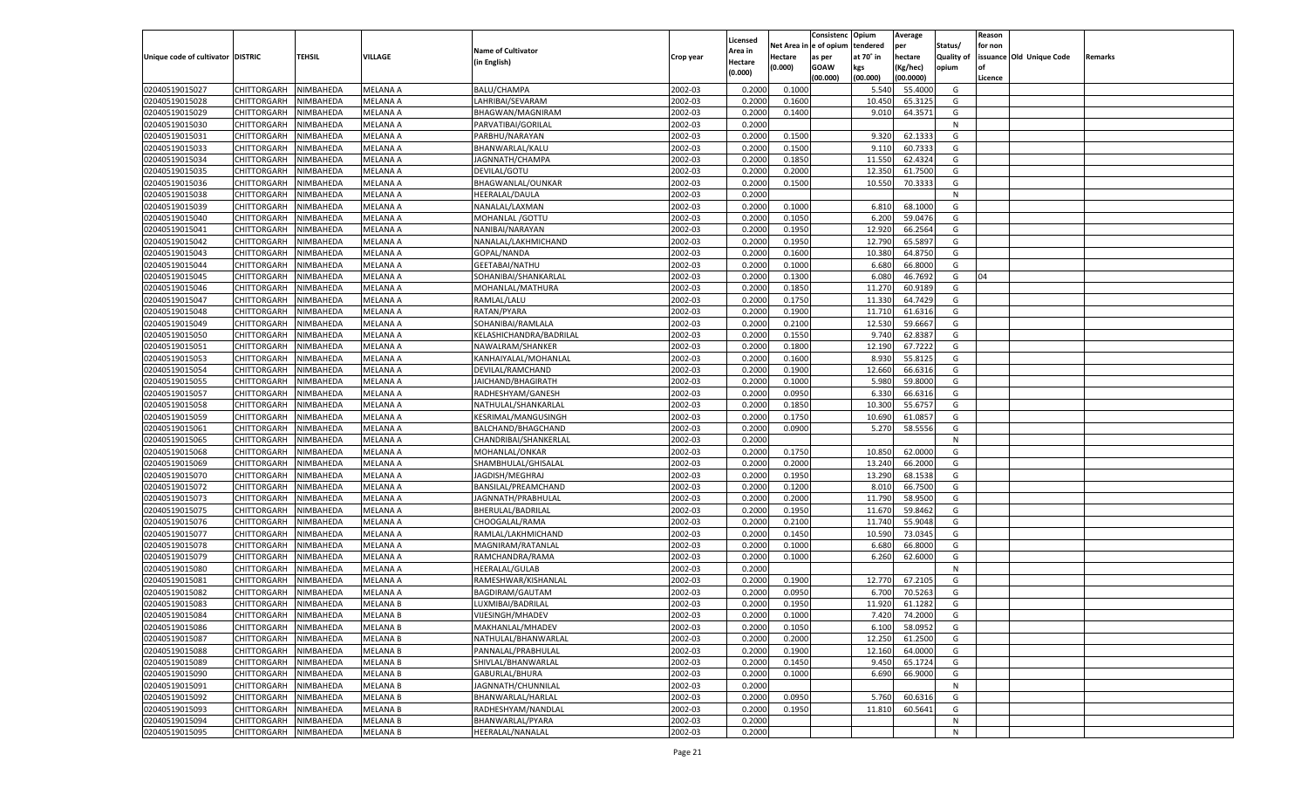|                                   |                            |               |                      |                           |           |                           |                  | Consistenc  | Opium     | Average          |                   | Reason  |                          |         |
|-----------------------------------|----------------------------|---------------|----------------------|---------------------------|-----------|---------------------------|------------------|-------------|-----------|------------------|-------------------|---------|--------------------------|---------|
|                                   |                            |               |                      | <b>Name of Cultivator</b> |           | Licensed                  | Net Area         | e of opium  | tendered  | per              | Status/           | for non |                          |         |
| Unique code of cultivator DISTRIC |                            | <b>TEHSIL</b> | VILLAGE              | (in English)              | Crop year | <b>Area in</b><br>Hectare | Hectare          | as per      | at 70° in | hectare          | <b>Quality of</b> |         | issuance Old Unique Code | Remarks |
|                                   |                            |               |                      |                           |           | (0.000)                   | (0.000)          | <b>GOAW</b> | kgs       | (Kg/hec)         | opium             |         |                          |         |
|                                   |                            |               |                      |                           |           |                           |                  | (00.000)    | (00.000)  | (00.0000)        |                   | Licence |                          |         |
| 02040519015027                    | CHITTORGARH                | NIMBAHEDA     | <b>MELANA A</b>      | BALU/CHAMPA               | 2002-03   | 0.2000                    | 0.1000           |             | 5.540     | 55.4000          | G                 |         |                          |         |
| 02040519015028                    | CHITTORGARH                | NIMBAHEDA     | MELANA A             | LAHRIBAI/SEVARAM          | 2002-03   | 0.2000                    | 0.1600           |             | 10.45     | 65.3125          | G                 |         |                          |         |
| 02040519015029                    | CHITTORGARH                | NIMBAHEDA     | MELANA A             | BHAGWAN/MAGNIRAM          | 2002-03   | 0.2000                    | 0.1400           |             | 9.010     | 64.3571          | G                 |         |                          |         |
| 02040519015030                    | CHITTORGARH                | NIMBAHEDA     | MELANA A             | PARVATIBAI/GORILAL        | 2002-03   | 0.2000                    |                  |             |           |                  | N                 |         |                          |         |
| 02040519015031                    | CHITTORGARH                | NIMBAHEDA     | <b>MELANA A</b>      | PARBHU/NARAYAN            | 2002-03   | 0.2000                    | 0.1500           |             | 9.320     | 62.133           | G                 |         |                          |         |
| 02040519015033                    | CHITTORGARH                | NIMBAHEDA     | MELANA A             | BHANWARLAL/KALU           | 2002-03   | 0.2000                    | 0.1500           |             | 9.11(     | 60.733           | G                 |         |                          |         |
| 02040519015034                    | CHITTORGARH                | NIMBAHEDA     | MELANA A             | JAGNNATH/CHAMPA           | 2002-03   | 0.2000                    | 0.1850           |             | 11.550    | 62.4324          | G                 |         |                          |         |
| 02040519015035                    | CHITTORGARH                | NIMBAHEDA     | MELANA A             | DEVILAL/GOTU              | 2002-03   | 0.2000                    | 0.2000           |             | 12.350    | 61.7500          | G                 |         |                          |         |
| 02040519015036                    | CHITTORGARH                | NIMBAHEDA     | <b>MELANA A</b>      | BHAGWANLAL/OUNKAR         | 2002-03   | 0.2000                    | 0.1500           |             | 10.550    | 70.333           | G                 |         |                          |         |
| 02040519015038                    | CHITTORGARH                | NIMBAHEDA     | MELANA A             | HEERALAL/DAULA            | 2002-03   | 0.2000                    |                  |             |           |                  | N                 |         |                          |         |
| 02040519015039                    | CHITTORGARH                | NIMBAHEDA     | MELANA A             | NANALAL/LAXMAN            | 2002-03   | 0.2000                    | 0.1000           |             | 6.810     | 68.1000          | G                 |         |                          |         |
| 02040519015040                    | CHITTORGARH                | NIMBAHEDA     | MELANA A             | MOHANLAL / GOTTU          | 2002-03   | 0.2000                    | 0.1050           |             | 6.200     | 59.0476          | G                 |         |                          |         |
| 02040519015041                    | CHITTORGARH                | NIMBAHEDA     | <b>MELANA A</b>      | NANIBAI/NARAYAN           | 2002-03   | 0.2000                    | 0.1950           |             | 12.920    | 66.2564          | G                 |         |                          |         |
| 02040519015042                    | CHITTORGARH                | NIMBAHEDA     | MELANA A             | NANALAL/LAKHMICHAND       | 2002-03   | 0.2000                    | 0.1950           |             | 12.790    | 65.589           | G                 |         |                          |         |
| 02040519015043                    | CHITTORGARH                | NIMBAHEDA     | MELANA A             | GOPAL/NANDA               | 2002-03   | 0.2000                    | 0.1600           |             | 10.380    | 64.8750          | G                 |         |                          |         |
| 02040519015044                    | CHITTORGARH                | NIMBAHEDA     | MELANA A             | GEETABAI/NATHU            | 2002-03   | 0.2000                    | 0.1000           |             | 6.680     | 66.8000          | G                 |         |                          |         |
| 02040519015045                    | CHITTORGARH                | NIMBAHEDA     | <b>MELANA A</b>      | SOHANIBAI/SHANKARLAL      | 2002-03   | 0.2000                    | 0.1300           |             | 6.080     | 46.7692          | G                 | 04      |                          |         |
| 02040519015046                    | CHITTORGARH                | NIMBAHEDA     | MELANA A             | MOHANLAL/MATHURA          | 2002-03   | 0.2000                    | 0.1850           |             | 11.270    | 60.9189          | G                 |         |                          |         |
| 02040519015047                    | CHITTORGARH                | NIMBAHEDA     | MELANA A             | RAMLAL/LALU               | 2002-03   | 0.2000                    | 0.1750           |             | 11.330    | 64.7429          | G                 |         |                          |         |
| 02040519015048                    | CHITTORGARH                | NIMBAHEDA     | MELANA A             | RATAN/PYARA               | 2002-03   | 0.2000                    | 0.1900           |             | 11.710    | 61.6316          | G                 |         |                          |         |
| 02040519015049                    | CHITTORGARH                | NIMBAHEDA     | <b>MELANA A</b>      | SOHANIBAI/RAMLALA         | 2002-03   | 0.2000                    | 0.2100           |             | 12.530    | 59.6667          | G                 |         |                          |         |
| 02040519015050                    | CHITTORGARH                | NIMBAHEDA     | MELANA A             | KELASHICHANDRA/BADRILAL   | 2002-03   | 0.2000                    | 0.1550           |             | 9.74      | 62.8387          | G                 |         |                          |         |
| 02040519015051                    | CHITTORGARH                | NIMBAHEDA     | MELANA A             | NAWALRAM/SHANKER          | 2002-03   | 0.2000                    | 0.1800           |             | 12.190    | 67.7222          | G                 |         |                          |         |
| 02040519015053                    | CHITTORGARH                | NIMBAHEDA     | MELANA A             | KANHAIYALAL/MOHANLAL      | 2002-03   | 0.2000                    | 0.1600           |             | 8.930     | 55.8125          | G                 |         |                          |         |
| 02040519015054                    | CHITTORGARH                | NIMBAHEDA     | <b>MELANA A</b>      | DEVILAL/RAMCHAND          | 2002-03   | 0.2000                    | 0.1900           |             | 12.660    | 66.6316          | G                 |         |                          |         |
| 02040519015055                    |                            |               |                      |                           | 2002-03   |                           |                  |             | 5.980     | 59.8000          | G                 |         |                          |         |
| 02040519015057                    | CHITTORGARH                | NIMBAHEDA     | MELANA A<br>MELANA A | JAICHAND/BHAGIRATH        | 2002-03   | 0.2000<br>0.2000          | 0.1000<br>0.0950 |             | 6.330     | 66.6316          | G                 |         |                          |         |
|                                   | CHITTORGARH<br>CHITTORGARH | NIMBAHEDA     |                      | RADHESHYAM/GANESH         |           |                           |                  |             |           |                  |                   |         |                          |         |
| 02040519015058                    | CHITTORGARH                | NIMBAHEDA     | MELANA A             | NATHULAL/SHANKARLAL       | 2002-03   | 0.2000                    | 0.1850<br>0.1750 |             | 10.300    | 55.675<br>61.085 | G<br>G            |         |                          |         |
| 02040519015059                    |                            | NIMBAHEDA     | MELANA A             | KESRIMAL/MANGUSINGH       | 2002-03   | 0.2000                    |                  |             | 10.690    |                  |                   |         |                          |         |
| 02040519015061                    | CHITTORGARH                | NIMBAHEDA     | MELANA A             | BALCHAND/BHAGCHAND        | 2002-03   | 0.2000                    | 0.0900           |             | 5.270     | 58.5556          | G                 |         |                          |         |
| 02040519015065                    | CHITTORGARH                | NIMBAHEDA     | <b>MELANA A</b>      | CHANDRIBAI/SHANKERLAL     | 2002-03   | 0.2000                    |                  |             |           |                  | N                 |         |                          |         |
| 02040519015068                    | CHITTORGARH                | NIMBAHEDA     | MELANA A             | MOHANLAL/ONKAR            | 2002-03   | 0.2000                    | 0.1750           |             | 10.850    | 62.0000          | G                 |         |                          |         |
| 02040519015069                    | CHITTORGARH                | NIMBAHEDA     | <b>MELANA A</b>      | SHAMBHULAL/GHISALAL       | 2002-03   | 0.2000                    | 0.2000           |             | 13.240    | 66.2000          | G                 |         |                          |         |
| 02040519015070                    | CHITTORGARH                | NIMBAHEDA     | MELANA A             | JAGDISH/MEGHRAJ           | 2002-03   | 0.2000                    | 0.1950           |             | 13.290    | 68.1538          | G                 |         |                          |         |
| 02040519015072                    | CHITTORGARH                | NIMBAHEDA     | <b>MELANA A</b>      | BANSILAL/PREAMCHAND       | 2002-03   | 0.2000                    | 0.1200           |             | 8.010     | 66.7500          | G                 |         |                          |         |
| 02040519015073                    | CHITTORGARH                | NIMBAHEDA     | MELANA A             | JAGNNATH/PRABHULAL        | 2002-03   | 0.2000                    | 0.2000           |             | 11.790    | 58.9500          | G                 |         |                          |         |
| 02040519015075                    | CHITTORGARH                | NIMBAHEDA     | <b>MELANA A</b>      | BHERULAL/BADRILAI         | 2002-03   | 0.2000                    | 0.1950           |             | 11.670    | 59.8462          | G                 |         |                          |         |
| 02040519015076                    | CHITTORGARH                | NIMBAHEDA     | MELANA A             | CHOOGALAL/RAMA            | 2002-03   | 0.2000                    | 0.2100           |             | 11.74     | 55.9048          | G                 |         |                          |         |
| 02040519015077                    | CHITTORGARH                | NIMBAHEDA     | <b>MELANA A</b>      | RAMLAL/LAKHMICHAND        | 2002-03   | 0.2000                    | 0.1450           |             | 10.590    | 73.0345          | G                 |         |                          |         |
| 02040519015078                    | CHITTORGARH                | NIMBAHEDA     | MELANA A             | MAGNIRAM/RATANLAL         | 2002-03   | 0.2000                    | 0.1000           |             | 6.680     | 66.8000          | G                 |         |                          |         |
| 02040519015079                    | CHITTORGARH                | NIMBAHEDA     | <b>MELANA A</b>      | RAMCHANDRA/RAMA           | 2002-03   | 0.2000                    | 0.1000           |             | 6.260     | 62.6000          | G                 |         |                          |         |
| 02040519015080                    | CHITTORGARH                | NIMBAHEDA     | MELANA A             | HEERALAL/GULAB            | 2002-03   | 0.2000                    |                  |             |           |                  | N                 |         |                          |         |
| 02040519015081                    | CHITTORGARH                | NIMBAHEDA     | <b>MELANA A</b>      | RAMESHWAR/KISHANLAL       | 2002-03   | 0.2000                    | 0.1900           |             | 12.770    | 67.2105          | G                 |         |                          |         |
| 02040519015082                    | CHITTORGARH                | NIMBAHEDA     | MELANA A             | BAGDIRAM/GAUTAM           | 2002-03   | 0.2000                    | 0.0950           |             | 6.700     | 70.5263          | G                 |         |                          |         |
| 02040519015083                    | CHITTORGARH                | NIMBAHEDA     | <b>MELANA B</b>      | LUXMIBAI/BADRILAL         | 2002-03   | 0.2000                    | 0.1950           |             | 11.920    | 61.1282          | G                 |         |                          |         |
| 02040519015084                    | CHITTORGARH NIMBAHEDA      |               | <b>MELANA B</b>      | VIJESINGH/MHADEV          | 2002-03   | 0.2000                    | 0.1000           |             | 7.420     | 74.2000          | G                 |         |                          |         |
| 02040519015086                    | <b>CHITTORGARH</b>         | NIMBAHEDA     | <b>MELANA B</b>      | MAKHANLAL/MHADEV          | 2002-03   | 0.2000                    | 0.1050           |             | 6.100     | 58.0952          | G                 |         |                          |         |
| 02040519015087                    | CHITTORGARH                | NIMBAHEDA     | <b>MELANA B</b>      | NATHULAL/BHANWARLAL       | 2002-03   | 0.2000                    | 0.2000           |             | 12.250    | 61.2500          | G                 |         |                          |         |
| 02040519015088                    | <b>CHITTORGARH</b>         | NIMBAHEDA     | <b>MELANA B</b>      | PANNALAL/PRABHULAL        | 2002-03   | 0.2000                    | 0.1900           |             | 12.160    | 64.0000          | G                 |         |                          |         |
| 02040519015089                    | <b>CHITTORGARH</b>         | NIMBAHEDA     | <b>MELANA B</b>      | SHIVLAL/BHANWARLAL        | 2002-03   | 0.2000                    | 0.1450           |             | 9.450     | 65.1724          | G                 |         |                          |         |
| 02040519015090                    | <b>CHITTORGARH</b>         | NIMBAHEDA     | <b>MELANA B</b>      | GABURLAL/BHURA            | 2002-03   | 0.2000                    | 0.1000           |             | 6.690     | 66.9000          | G                 |         |                          |         |
| 02040519015091                    | <b>CHITTORGARH</b>         | NIMBAHEDA     | <b>MELANA B</b>      | JAGNNATH/CHUNNILAL        | 2002-03   | 0.2000                    |                  |             |           |                  | N                 |         |                          |         |
| 02040519015092                    | <b>CHITTORGARH</b>         | NIMBAHEDA     | <b>MELANA B</b>      | BHANWARLAL/HARLAL         | 2002-03   | 0.2000                    | 0.0950           |             | 5.760     | 60.6316          | G                 |         |                          |         |
| 02040519015093                    | <b>CHITTORGARH</b>         | NIMBAHEDA     | <b>MELANA B</b>      | RADHESHYAM/NANDLAL        | 2002-03   | 0.2000                    | 0.1950           |             | 11.810    | 60.5641          | G                 |         |                          |         |
| 02040519015094                    | <b>CHITTORGARH</b>         | NIMBAHEDA     | <b>MELANA B</b>      | BHANWARLAL/PYARA          | 2002-03   | 0.2000                    |                  |             |           |                  | N                 |         |                          |         |
| 02040519015095                    | CHITTORGARH                | NIMBAHEDA     | <b>MELANA B</b>      | HEERALAL/NANALAL          | 2002-03   | 0.2000                    |                  |             |           |                  | N                 |         |                          |         |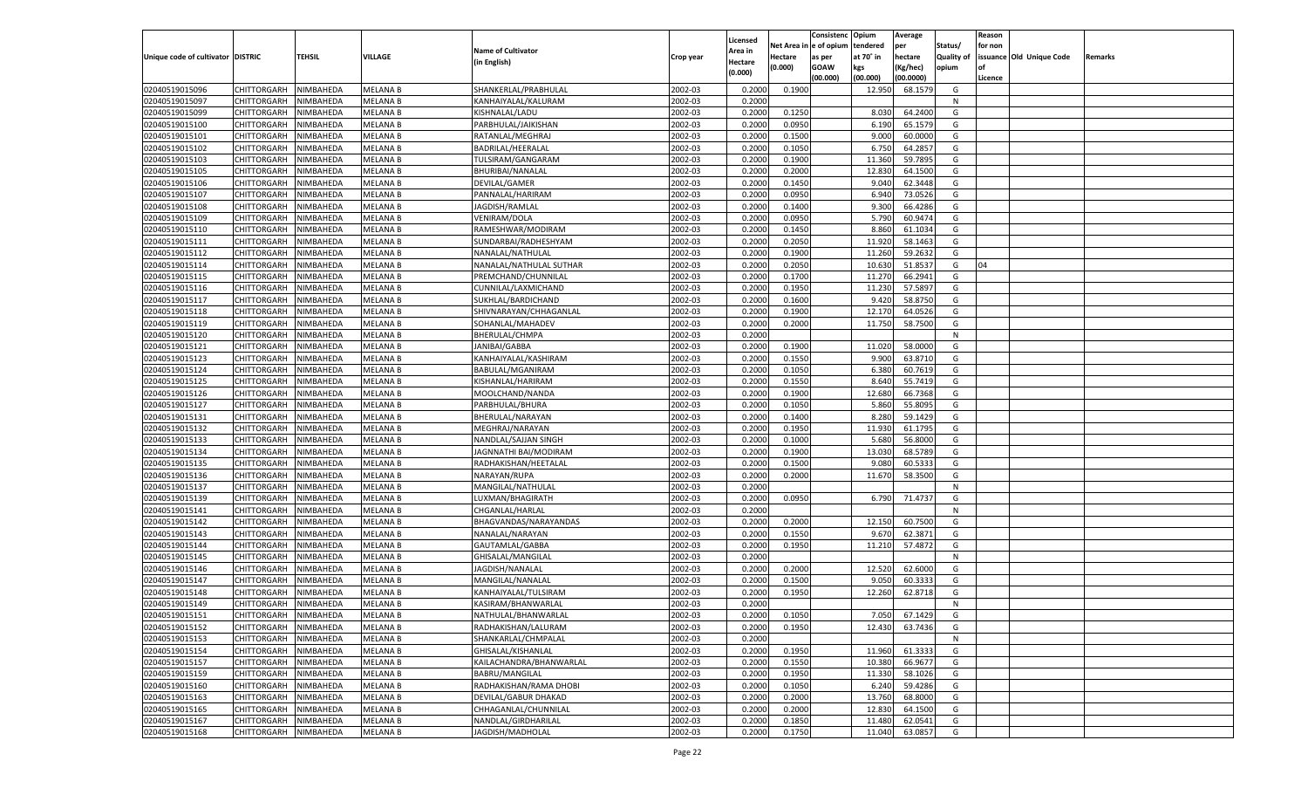|                                   |                       |                        |                                    |                           |           |                    |             | Consistenc   | Opium     | Average   |                   | Reason  |                          |         |
|-----------------------------------|-----------------------|------------------------|------------------------------------|---------------------------|-----------|--------------------|-------------|--------------|-----------|-----------|-------------------|---------|--------------------------|---------|
|                                   |                       |                        |                                    |                           |           | Licensed           | Net Area iı | n e of opium | tendered  | per       | Status/           | for non |                          |         |
| Unique code of cultivator DISTRIC |                       | TEHSIL                 | VILLAGE                            | <b>Name of Cultivator</b> | Crop year | Area in            | Hectare     | as per       | at 70° in | hectare   | <b>Quality of</b> |         | issuance Old Unique Code | Remarks |
|                                   |                       |                        |                                    | (in English)              |           | Hectare<br>(0.000) | (0.000)     | <b>GOAW</b>  | kgs       | (Kg/hec)  | opium             |         |                          |         |
|                                   |                       |                        |                                    |                           |           |                    |             | (00.000)     | (00.000)  | (00.0000) |                   | Licence |                          |         |
| 02040519015096                    | CHITTORGARH           | NIMBAHEDA              | <b>MELANA B</b>                    | SHANKERLAL/PRABHULAL      | 2002-03   | 0.2000             | 0.1900      |              | 12.950    | 68.1579   | G                 |         |                          |         |
| 02040519015097                    | CHITTORGARH           | NIMBAHEDA              | <b>MELANA B</b>                    | KANHAIYALAL/KALURAM       | 2002-03   | 0.2000             |             |              |           |           | N                 |         |                          |         |
| 02040519015099                    | CHITTORGARH           | NIMBAHEDA              | <b>MELANA B</b>                    | KISHNALAL/LADU            | 2002-03   | 0.2000             | 0.1250      |              | 8.030     | 64.2400   | G                 |         |                          |         |
| 02040519015100                    | CHITTORGARH           | NIMBAHEDA              | <b>MELANA B</b>                    | PARBHULAL/JAIKISHAN       | 2002-03   | 0.2000             | 0.0950      |              | 6.190     | 65.1579   | G                 |         |                          |         |
| 02040519015101                    | CHITTORGARH           | NIMBAHEDA              | <b>MELANA B</b>                    | RATANLAL/MEGHRAJ          | 2002-03   | 0.2000             | 0.1500      |              | 9.000     | 60.0000   | G                 |         |                          |         |
| 02040519015102                    | CHITTORGARH           | NIMBAHEDA              | <b>MELANA B</b>                    | BADRILAL/HEERALAL         | 2002-03   | 0.2000             | 0.1050      |              | 6.750     | 64.2857   | G                 |         |                          |         |
| 02040519015103                    | CHITTORGARH           | NIMBAHEDA              | <b>MELANA B</b>                    | TULSIRAM/GANGARAM         | 2002-03   | 0.2000             | 0.1900      |              | 11.360    | 59.7895   | G                 |         |                          |         |
| 02040519015105                    | CHITTORGARH           | NIMBAHEDA              | <b>MELANA B</b>                    | BHURIBAI/NANALAL          | 2002-03   | 0.2000             | 0.2000      |              | 12.830    | 64.1500   | G                 |         |                          |         |
| 02040519015106                    | CHITTORGARH           | NIMBAHEDA              | <b>MELANA B</b>                    | DEVILAL/GAMER             | 2002-03   | 0.2000             | 0.1450      |              | 9.04      | 62.3448   | G                 |         |                          |         |
| 02040519015107                    | CHITTORGARH           | NIMBAHEDA              | <b>MELANA B</b>                    | PANNALAL/HARIRAM          | 2002-03   | 0.2000             | 0.0950      |              | 6.94      | 73.0526   | G                 |         |                          |         |
| 02040519015108                    | CHITTORGARH           | NIMBAHEDA              | <b>MELANA B</b>                    | JAGDISH/RAMLAL            | 2002-03   | 0.2000             | 0.1400      |              | 9.300     | 66.4286   | G                 |         |                          |         |
| 02040519015109                    | CHITTORGARH           | NIMBAHEDA              | <b>MELANA B</b>                    | VENIRAM/DOLA              | 2002-03   | 0.2000             | 0.0950      |              | 5.790     | 60.9474   | G                 |         |                          |         |
| 02040519015110                    | CHITTORGARH           | NIMBAHEDA              | <b>MELANA B</b>                    | RAMESHWAR/MODIRAM         | 2002-03   | 0.2000             | 0.1450      |              | 8.860     | 61.1034   | G                 |         |                          |         |
| 02040519015111                    | CHITTORGARH           | NIMBAHEDA              | <b>MELANA B</b>                    | SUNDARBAI/RADHESHYAM      | 2002-03   | 0.2000             | 0.2050      |              | 11.920    | 58.1463   | G                 |         |                          |         |
| 02040519015112                    | CHITTORGARH           | NIMBAHEDA              | <b>MELANA B</b>                    | NANALAL/NATHULAL          | 2002-03   | 0.2000             | 0.1900      |              | 11.260    | 59.2632   | G                 |         |                          |         |
| 02040519015114                    | CHITTORGARH           | NIMBAHEDA              | <b>MELANA B</b>                    | NANALAL/NATHULAL SUTHAR   | 2002-03   | 0.2000             | 0.2050      |              | 10.630    | 51.8537   | G                 | 04      |                          |         |
| 02040519015115                    | CHITTORGARH           | NIMBAHEDA              | <b>MELANA B</b>                    | PREMCHAND/CHUNNILAL       | 2002-03   | 0.2000             | 0.1700      |              | 11.270    | 66.2941   | G                 |         |                          |         |
| 02040519015116                    | CHITTORGARH           | NIMBAHEDA              | <b>MELANA B</b>                    | CUNNILAL/LAXMICHAND       | 2002-03   | 0.2000             | 0.1950      |              | 11.230    | 57.5897   | G                 |         |                          |         |
| 02040519015117                    | CHITTORGARH           | NIMBAHEDA              | <b>MELANA B</b>                    | SUKHLAL/BARDICHAND        | 2002-03   | 0.2000             | 0.1600      |              | 9.420     | 58.8750   | G                 |         |                          |         |
| 02040519015118                    | CHITTORGARH           | NIMBAHEDA              | <b>MELANA B</b>                    | SHIVNARAYAN/CHHAGANLAL    | 2002-03   | 0.2000             | 0.1900      |              | 12.170    | 64.0526   | G                 |         |                          |         |
| 02040519015119                    | CHITTORGARH           | NIMBAHEDA              | <b>MELANA B</b>                    | SOHANLAL/MAHADEV          | 2002-03   | 0.2000             | 0.2000      |              | 11.750    | 58.7500   | G                 |         |                          |         |
| 02040519015120                    | CHITTORGARH           | NIMBAHEDA              | <b>MELANA B</b>                    | BHERULAL/CHMPA            | 2002-03   | 0.2000             |             |              |           |           | N                 |         |                          |         |
| 02040519015121                    | CHITTORGARH           | NIMBAHEDA              | <b>MELANA B</b>                    | JANIBAI/GABBA             | 2002-03   | 0.2000             | 0.1900      |              | 11.020    | 58.0000   | G                 |         |                          |         |
| 02040519015123                    | CHITTORGARH           | NIMBAHEDA              | <b>MELANA B</b>                    | KANHAIYALAL/KASHIRAM      | 2002-03   | 0.2000             | 0.1550      |              | 9.900     | 63.8710   | G                 |         |                          |         |
| 02040519015124                    | CHITTORGARH           | NIMBAHEDA              | <b>MELANA B</b>                    | BABULAL/MGANIRAM          | 2002-03   | 0.2000             | 0.1050      |              | 6.380     | 60.7619   | G                 |         |                          |         |
| 02040519015125                    | CHITTORGARH           | NIMBAHEDA              | <b>MELANA B</b>                    | KISHANLAL/HARIRAM         | 2002-03   | 0.2000             | 0.1550      |              | 8.640     | 55.7419   | G                 |         |                          |         |
| 02040519015126                    | CHITTORGARH           | NIMBAHEDA              | <b>MELANA B</b>                    | MOOLCHAND/NANDA           | 2002-03   | 0.2000             | 0.1900      |              | 12.680    | 66.7368   | G                 |         |                          |         |
| 02040519015127                    | CHITTORGARH           | NIMBAHEDA              | <b>MELANA B</b>                    | PARBHULAL/BHURA           | 2002-03   | 0.2000             | 0.1050      |              | 5.860     | 55.8095   | G                 |         |                          |         |
| 02040519015131                    | CHITTORGARH           | NIMBAHEDA              | <b>MELANA B</b>                    | BHERULAL/NARAYAN          | 2002-03   | 0.2000             | 0.1400      |              | 8.280     | 59.1429   | G                 |         |                          |         |
| 02040519015132                    | CHITTORGARH           | NIMBAHEDA              | <b>MELANA B</b>                    | MEGHRAJ/NARAYAN           | 2002-03   | 0.2000             | 0.1950      |              | 11.930    | 61.1795   | G                 |         |                          |         |
| 02040519015133                    | CHITTORGARH           | NIMBAHEDA              | <b>MELANA B</b>                    | NANDLAL/SAJJAN SINGH      | 2002-03   | 0.2000             | 0.1000      |              | 5.680     | 56.8000   | G                 |         |                          |         |
| 02040519015134                    | CHITTORGARH           | NIMBAHEDA              | <b>MELANA B</b>                    | JAGNNATHI BAI/MODIRAM     | 2002-03   | 0.2000             | 0.1900      |              | 13.030    | 68.5789   | G                 |         |                          |         |
| 02040519015135                    | CHITTORGARH           | NIMBAHEDA              | <b>MELANA B</b>                    | RADHAKISHAN/HEETALAL      | 2002-03   | 0.2000             | 0.1500      |              | 9.080     | 60.533    | G                 |         |                          |         |
| 02040519015136                    | CHITTORGARH           | NIMBAHEDA              | <b>MELANA B</b>                    | NARAYAN/RUPA              | 2002-03   | 0.2000             | 0.2000      |              | 11.670    | 58.3500   | G                 |         |                          |         |
| 02040519015137                    | CHITTORGARH           | NIMBAHEDA              | <b>MELANA B</b>                    | MANGILAL/NATHULAL         | 2002-03   | 0.2000             |             |              |           |           | N                 |         |                          |         |
| 02040519015139                    | CHITTORGARH           | NIMBAHEDA              | <b>MELANA B</b>                    | LUXMAN/BHAGIRATH          | 2002-03   | 0.2000             | 0.0950      |              | 6.790     | 71.4737   | G                 |         |                          |         |
| 02040519015141                    | CHITTORGARH           | NIMBAHEDA              | <b>MELANA B</b>                    | CHGANLAL/HARLAI           | 2002-03   | 0.2000             |             |              |           |           | N                 |         |                          |         |
| 02040519015142                    | CHITTORGARH           | NIMBAHEDA              | <b>MELANA B</b>                    | BHAGVANDAS/NARAYANDAS     | 2002-03   | 0.2000             | 0.2000      |              | 12.150    | 60.7500   | G                 |         |                          |         |
| 02040519015143                    | CHITTORGARH           | NIMBAHEDA              | <b>MELANA B</b>                    | NANALAL/NARAYAN           | 2002-03   | 0.2000             | 0.1550      |              | 9.670     | 62.3871   | G                 |         |                          |         |
| 02040519015144                    | CHITTORGARH           | NIMBAHEDA              | <b>MELANA B</b>                    | GAUTAMLAL/GABBA           | 2002-03   | 0.2000             | 0.1950      |              | 11.210    | 57.4872   | G                 |         |                          |         |
| 02040519015145                    | CHITTORGARH           | NIMBAHEDA              | <b>MELANA B</b>                    | GHISALAL/MANGILAL         | 2002-03   | 0.2000             |             |              |           |           | N                 |         |                          |         |
| 02040519015146                    | CHITTORGARH           | NIMBAHEDA              | <b>MELANA B</b>                    | JAGDISH/NANALAL           | 2002-03   | 0.2000             | 0.2000      |              | 12.520    | 62.6000   | G                 |         |                          |         |
| 02040519015147                    | CHITTORGARH           | NIMBAHEDA              | <b>MELANA B</b>                    | MANGILAL/NANALAL          | 2002-03   | 0.2000             | 0.1500      |              | 9.050     | 60.333    | G                 |         |                          |         |
| 02040519015148                    | CHITTORGARH           | NIMBAHEDA              | <b>MELANA B</b>                    | KANHAIYALAL/TULSIRAM      | 2002-03   | 0.2000             | 0.1950      |              | 12.260    | 62.8718   | G                 |         |                          |         |
| 02040519015149                    | CHITTORGARH           | NIMBAHEDA              | <b>MELANA B</b>                    | KASIRAM/BHANWARLAI        | 2002-03   | 0.2000             |             |              |           |           | N                 |         |                          |         |
| 02040519015151                    | CHITTORGARH NIMBAHEDA |                        | <b>MELANA B</b>                    | NATHULAL/BHANWARLAL       | 2002-03   | 0.2000             | 0.1050      |              | 7.050     | 67.1429   | G                 |         |                          |         |
| 02040519015152                    | <b>CHITTORGARH</b>    | NIMBAHEDA              | <b>MELANA B</b>                    | RADHAKISHAN/LALURAM       | 2002-03   | 0.2000             | 0.1950      |              | 12.430    | 63.7436   | G                 |         |                          |         |
| 02040519015153                    | CHITTORGARH           | NIMBAHEDA              | <b>MELANA B</b>                    | SHANKARLAL/CHMPALAL       | 2002-03   | 0.2000             |             |              |           |           | N                 |         |                          |         |
| 02040519015154                    | CHITTORGARH           | NIMBAHEDA              | <b>MELANA B</b>                    | GHISALAL/KISHANLAL        | 2002-03   | 0.2000             | 0.1950      |              | 11.960    | 61.3333   | G                 |         |                          |         |
| 02040519015157                    | <b>CHITTORGARH</b>    | NIMBAHEDA              | <b>MELANA B</b>                    | KAILACHANDRA/BHANWARLAL   | 2002-03   | 0.2000             | 0.1550      |              | 10.380    | 66.9677   | G                 |         |                          |         |
| 02040519015159                    | CHITTORGARH           | NIMBAHEDA              | <b>MELANA B</b>                    | BABRU/MANGILAL            | 2002-03   | 0.2000             | 0.1950      |              | 11.330    | 58.1026   | G                 |         |                          |         |
| 02040519015160                    | <b>CHITTORGARH</b>    | NIMBAHEDA              |                                    | RADHAKISHAN/RAMA DHOBI    | 2002-03   |                    | 0.1050      |              | 6.240     | 59.4286   | G                 |         |                          |         |
| 02040519015163                    | CHITTORGARH           | NIMBAHEDA              | <b>MELANA B</b><br><b>MELANA B</b> | DEVILAL/GABUR DHAKAD      | 2002-03   | 0.2000<br>0.2000   | 0.2000      |              | 13.760    | 68.8000   | G                 |         |                          |         |
| 02040519015165                    | CHITTORGARH           |                        |                                    | CHHAGANLAL/CHUNNILAL      |           |                    |             |              |           |           |                   |         |                          |         |
|                                   | CHITTORGARH           | NIMBAHEDA<br>NIMBAHEDA | <b>MELANA B</b>                    |                           | 2002-03   | 0.2000<br>0.2000   | 0.2000      |              | 12.830    | 64.1500   | G                 |         |                          |         |
| 02040519015167                    |                       |                        | <b>MELANA B</b>                    | NANDLAL/GIRDHARILAL       | 2002-03   |                    | 0.1850      |              | 11.480    | 62.0541   | G                 |         |                          |         |
| 02040519015168                    | <b>CHITTORGARH</b>    | NIMBAHEDA              | <b>MELANA B</b>                    | JAGDISH/MADHOLAL          | 2002-03   | 0.2000             | 0.1750      |              | 11.040    | 63.0857   | G                 |         |                          |         |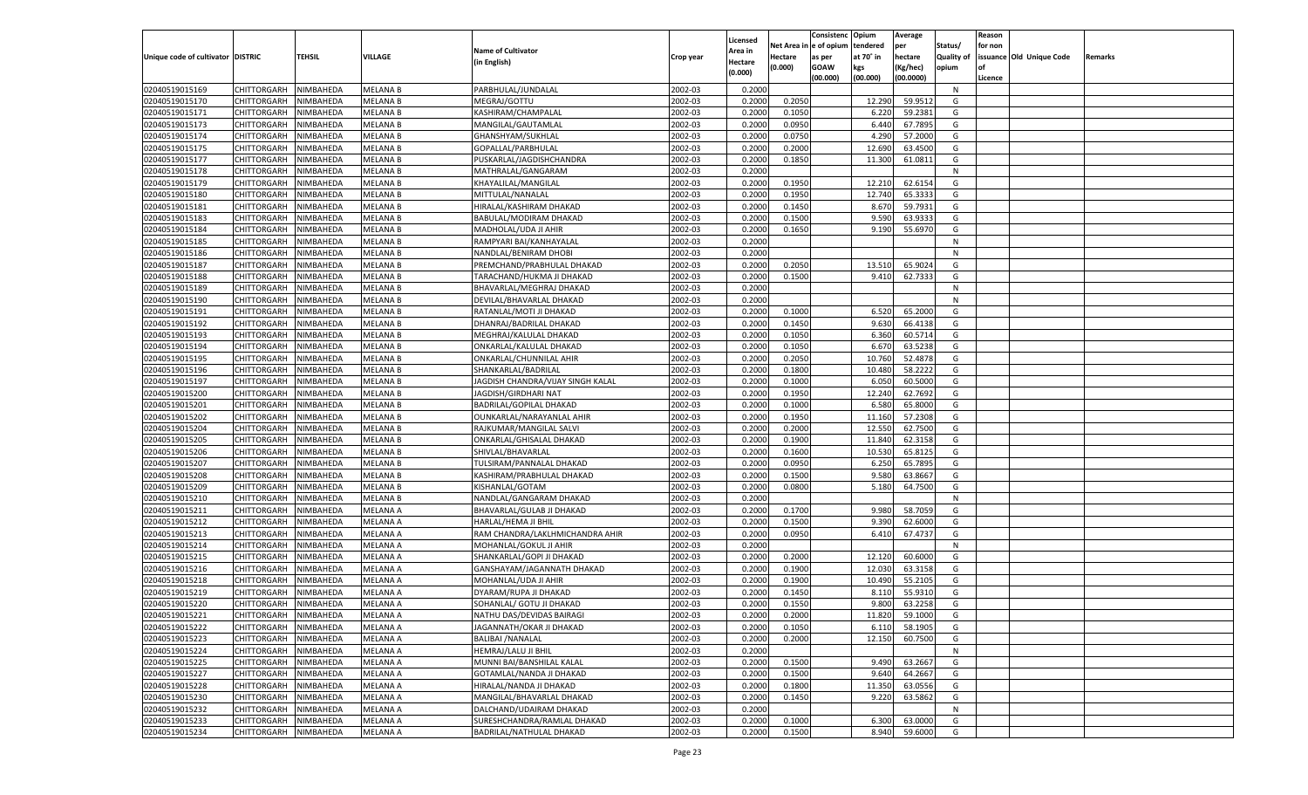|                                   |                            |                  |                                    |                                                           |                    |                    |                  | Consistenc Opium |           | Average        |            | Reason  |                          |         |
|-----------------------------------|----------------------------|------------------|------------------------------------|-----------------------------------------------------------|--------------------|--------------------|------------------|------------------|-----------|----------------|------------|---------|--------------------------|---------|
|                                   |                            |                  |                                    | <b>Name of Cultivator</b>                                 |                    | Licensed           | Net Area i       | n  e of opium    | tendered  | per            | Status/    | for non |                          |         |
| Unique code of cultivator DISTRIC |                            | TEHSIL           | VILLAGE                            |                                                           | Crop year          | Area in            | Hectare          | as per           | at 70° in | hectare        | Quality of |         | issuance Old Unique Code | Remarks |
|                                   |                            |                  |                                    | (in English)                                              |                    | Hectare<br>(0.000) | (0.000)          | <b>GOAW</b>      | kgs       | (Kg/hec)       | opium      |         |                          |         |
|                                   |                            |                  |                                    |                                                           |                    |                    |                  | (00.000)         | (00.000)  | (00.0000)      |            | Licence |                          |         |
| 02040519015169                    | CHITTORGARH                | NIMBAHEDA        | <b>MELANA B</b>                    | PARBHULAL/JUNDALAL                                        | 2002-03            | 0.2000             |                  |                  |           |                | N          |         |                          |         |
| 02040519015170                    | CHITTORGARH                | NIMBAHEDA        | <b>MELANA B</b>                    | MEGRAJ/GOTTU                                              | 2002-03            | 0.2000             | 0.2050           |                  | 12.290    | 59.9512        | G          |         |                          |         |
| 02040519015171                    | CHITTORGARH                | NIMBAHEDA        | <b>MELANA B</b>                    | KASHIRAM/CHAMPALAL                                        | 2002-03            | 0.2000             | 0.1050           |                  | 6.220     | 59.2381        | G          |         |                          |         |
| 02040519015173                    | CHITTORGARH                | NIMBAHEDA        | <b>MELANA B</b>                    | MANGILAL/GAUTAMLAI                                        | 2002-03            | 0.2000             | 0.0950           |                  | 6.440     | 67.7895        | G          |         |                          |         |
| 02040519015174                    | CHITTORGARH                | NIMBAHEDA        | <b>MELANA B</b>                    | GHANSHYAM/SUKHLAL                                         | 2002-03            | 0.2000             | 0.0750           |                  | 4.290     | 57.2000        | G          |         |                          |         |
| 02040519015175                    | CHITTORGARH                | NIMBAHEDA        | <b>MELANA B</b>                    | GOPALLAL/PARBHULAL                                        | 2002-03            | 0.2000             | 0.2000           |                  | 12.690    | 63.4500        | G          |         |                          |         |
| 02040519015177                    | CHITTORGARH                | NIMBAHEDA        | <b>MELANA B</b>                    | PUSKARLAL/JAGDISHCHANDRA                                  | 2002-03            | 0.2000             | 0.1850           |                  | 11.300    | 61.0811        | G          |         |                          |         |
| 02040519015178                    | CHITTORGARH                | NIMBAHEDA        | <b>MELANA B</b>                    | MATHRALAL/GANGARAM                                        | 2002-03            | 0.2000             |                  |                  |           |                | N          |         |                          |         |
| 02040519015179                    | CHITTORGARH                | NIMBAHEDA        | <b>MELANA B</b>                    | KHAYALILAL/MANGILAL                                       | 2002-03            | 0.2000             | 0.1950           |                  | 12.210    | 62.6154        | G          |         |                          |         |
| 02040519015180                    | CHITTORGARH                | NIMBAHEDA        | <b>MELANA B</b>                    | MITTULAL/NANALAL                                          | 2002-03            | 0.2000             | 0.1950           |                  | 12.740    | 65.3333        | G          |         |                          |         |
| 02040519015181                    | CHITTORGARH                | NIMBAHEDA        | <b>MELANA B</b>                    | HIRALAL/KASHIRAM DHAKAD                                   | 2002-03            | 0.2000             | 0.1450           |                  | 8.670     | 59.7931        | G          |         |                          |         |
| 02040519015183                    | CHITTORGARH                | NIMBAHEDA        | <b>MELANA B</b>                    | BABULAL/MODIRAM DHAKAD                                    | 2002-03            | 0.2000             | 0.1500           |                  | 9.590     | 63.9333        | G          |         |                          |         |
| 02040519015184                    | CHITTORGARH                | NIMBAHEDA        | <b>MELANA B</b>                    | MADHOLAL/UDA JI AHIR                                      | 2002-03            | 0.2000             | 0.1650           |                  | 9.190     | 55.6970        | G          |         |                          |         |
| 02040519015185                    | CHITTORGARH                | NIMBAHEDA        | <b>MELANA B</b>                    | RAMPYARI BAI/KANHAYALAL                                   | 2002-03            | 0.2000             |                  |                  |           |                | N          |         |                          |         |
| 02040519015186                    | CHITTORGARH                | NIMBAHEDA        | <b>MELANA B</b>                    | NANDLAL/BENIRAM DHOBI                                     | 2002-03            | 0.2000             |                  |                  |           |                | N          |         |                          |         |
| 02040519015187                    | CHITTORGARH                | NIMBAHEDA        | <b>MELANA B</b>                    | PREMCHAND/PRABHULAL DHAKAD                                | 2002-03            | 0.2000             | 0.2050           |                  | 13.510    | 65.9024        | G          |         |                          |         |
| 02040519015188                    | CHITTORGARH                | NIMBAHEDA        | <b>MELANA B</b>                    | TARACHAND/HUKMA JI DHAKAD                                 | 2002-03            | 0.2000             | 0.1500           |                  | 9.410     | 62.7333        | G          |         |                          |         |
| 02040519015189                    | CHITTORGARH                | NIMBAHEDA        | <b>MELANA B</b>                    | BHAVARLAL/MEGHRAJ DHAKAD                                  | 2002-03            | 0.2000             |                  |                  |           |                | N          |         |                          |         |
| 02040519015190                    | CHITTORGARH                | NIMBAHEDA        | <b>MELANA B</b>                    | DEVILAL/BHAVARLAL DHAKAD                                  | 2002-03            | 0.2000             |                  |                  |           |                | N          |         |                          |         |
| 02040519015191                    | CHITTORGARH                | NIMBAHEDA        | <b>MELANA B</b>                    | RATANLAL/MOTI JI DHAKAD                                   | 2002-03            | 0.2000             | 0.1000           |                  | 6.520     | 65.2000        | G          |         |                          |         |
| 02040519015192                    | CHITTORGARH                | NIMBAHEDA        | <b>MELANA B</b>                    | DHANRAJ/BADRILAL DHAKAD                                   | 2002-03            | 0.2000             | 0.1450           |                  | 9.630     | 66.4138        | G          |         |                          |         |
| 02040519015193                    | CHITTORGARH                | NIMBAHEDA        | <b>MELANA B</b>                    | MEGHRAJ/KALULAL DHAKAD                                    | 2002-03            | 0.2000             | 0.1050           |                  | 6.360     | 60.5714        | G          |         |                          |         |
| 02040519015194                    | CHITTORGARH                | NIMBAHEDA        | <b>MELANA B</b>                    | ONKARLAL/KALULAL DHAKAD                                   | 2002-03            | 0.2000             | 0.1050           |                  | 6.670     | 63.5238        | G          |         |                          |         |
| 02040519015195                    | CHITTORGARH                | NIMBAHEDA        | <b>MELANA B</b>                    | ONKARLAL/CHUNNILAL AHIR                                   | 2002-03            | 0.2000             | 0.2050           |                  | 10.760    | 52.4878        | G          |         |                          |         |
| 02040519015196                    | CHITTORGARH                | NIMBAHEDA        | <b>MELANA B</b>                    | SHANKARLAL/BADRILAL                                       | 2002-03            | 0.2000             | 0.1800           |                  | 10.480    | 58.2222        | G          |         |                          |         |
| 02040519015197                    |                            |                  |                                    |                                                           | 2002-03            |                    |                  |                  | 6.05      | 60.5000        | G          |         |                          |         |
| 02040519015200                    | CHITTORGARH                | NIMBAHEDA        | <b>MELANA B</b><br><b>MELANA B</b> | JAGDISH CHANDRA/VIJAY SINGH KALAL<br>JAGDISH/GIRDHARI NAT | 2002-03            | 0.2000<br>0.2000   | 0.1000<br>0.1950 |                  | 12.240    | 62.7692        | G          |         |                          |         |
|                                   | CHITTORGARH<br>CHITTORGARH | NIMBAHEDA        |                                    |                                                           |                    |                    |                  |                  | 6.580     | 65.8000        |            |         |                          |         |
| 02040519015201                    | CHITTORGARH                | NIMBAHEDA        | <b>MELANA B</b>                    | <b>BADRILAL/GOPILAL DHAKAD</b>                            | 2002-03<br>2002-03 | 0.2000             | 0.1000<br>0.1950 |                  |           | 57.2308        | G<br>G     |         |                          |         |
| 02040519015202                    |                            | NIMBAHEDA        | <b>MELANA B</b>                    | OUNKARLAL/NARAYANLAL AHIR                                 |                    | 0.2000             |                  |                  | 11.160    |                |            |         |                          |         |
| 02040519015204                    | CHITTORGARH                | NIMBAHEDA        | <b>MELANA B</b>                    | RAJKUMAR/MANGILAL SALVI                                   | 2002-03            | 0.2000             | 0.2000           |                  | 12.550    | 62.7500        | G          |         |                          |         |
| 02040519015205                    | CHITTORGARH                | NIMBAHEDA        | <b>MELANA B</b>                    | ONKARLAL/GHISALAL DHAKAD                                  | 2002-03            | 0.2000             | 0.1900           |                  | 11.840    | 62.3158        | G          |         |                          |         |
| 02040519015206                    | CHITTORGARH                | NIMBAHEDA        | <b>MELANA B</b>                    | SHIVLAL/BHAVARLAL                                         | 2002-03            | 0.2000             | 0.1600           |                  | 10.530    | 65.8125        | G          |         |                          |         |
| 02040519015207                    | CHITTORGARH                | NIMBAHEDA        | <b>MELANA B</b>                    | TULSIRAM/PANNALAL DHAKAD                                  | 2002-03            | 0.2000             | 0.0950           |                  | 6.250     | 65.7895        | G          |         |                          |         |
| 02040519015208                    | CHITTORGARH                | NIMBAHEDA        | <b>MELANA B</b>                    | KASHIRAM/PRABHULAL DHAKAD                                 | 2002-03            | 0.2000             | 0.1500           |                  | 9.580     | 63.8667        | G          |         |                          |         |
| 02040519015209                    | CHITTORGARH                | NIMBAHEDA        | <b>MELANA B</b>                    | KISHANLAL/GOTAM                                           | 2002-03            | 0.2000             | 0.0800           |                  | 5.180     | 64.7500        | G          |         |                          |         |
| 02040519015210                    | CHITTORGARH                | NIMBAHEDA        | <b>MELANA B</b>                    | NANDLAL/GANGARAM DHAKAD                                   | 2002-03            | 0.2000             |                  |                  |           |                | N          |         |                          |         |
| 02040519015211                    | CHITTORGARH                | NIMBAHEDA        | <b>MELANA A</b>                    | BHAVARLAL/GULAB JI DHAKAD                                 | 2002-03            | 0.2000             | 0.1700           |                  | 9.980     | 58.7059        | G          |         |                          |         |
| 02040519015212                    | CHITTORGARH                | NIMBAHEDA        | MELANA A                           | <b>HARLAL/HEMA JI BHIL</b>                                | 2002-03            | 0.2000             | 0.1500           |                  | 9.390     | 62.6000        | G          |         |                          |         |
| 02040519015213                    | CHITTORGARH                | NIMBAHEDA        | <b>MELANA A</b>                    | RAM CHANDRA/LAKLHMICHANDRA AHIR                           | 2002-03            | 0.2000             | 0.0950           |                  | 6.410     | 67.4737        | G          |         |                          |         |
| 02040519015214                    | CHITTORGARH                | NIMBAHEDA        | MELANA A                           | MOHANLAL/GOKUL JI AHIR                                    | 2002-03            | 0.2000             |                  |                  |           |                | N          |         |                          |         |
| 02040519015215                    | CHITTORGARH                | NIMBAHEDA        | <b>MELANA A</b>                    | SHANKARLAL/GOPI JI DHAKAD                                 | 2002-03            | 0.2000             | 0.2000           |                  | 12.120    | 60.6000        | G          |         |                          |         |
| 02040519015216                    | CHITTORGARH                | NIMBAHEDA        | MELANA A                           | GANSHAYAM/JAGANNATH DHAKAD                                | 2002-03            | 0.2000             | 0.1900           |                  | 12.030    | 63.3158        | G          |         |                          |         |
| 02040519015218                    | CHITTORGARH                | NIMBAHEDA        | <b>MELANA A</b>                    | MOHANLAL/UDA JI AHIR                                      | 2002-03            | 0.2000             | 0.1900           |                  | 10.490    | 55.2105        | G          |         |                          |         |
| 02040519015219                    | CHITTORGARH                | NIMBAHEDA        | MELANA A                           | DYARAM/RUPA JI DHAKAD                                     | 2002-03            | 0.2000             | 0.1450           |                  | 8.110     | 55.9310        | G          |         |                          |         |
| 02040519015220                    | CHITTORGARH                | NIMBAHEDA        | MELANA A                           | SOHANLAL/ GOTU JI DHAKAD                                  | 2002-03            | 0.2000             | 0.1550           |                  | 9.800     | 63.2258        | G          |         |                          |         |
| 02040519015221                    | CHITTORGARH NIMBAHEDA      |                  | <b>MELANA A</b>                    | NATHU DAS/DEVIDAS BAIRAGI                                 | 2002-03            | 0.2000             | 0.2000           |                  |           | 11.820 59.1000 | G          |         |                          |         |
| 02040519015222                    | <b>CHITTORGARH</b>         | <b>NIMBAHEDA</b> | <b>MELANA A</b>                    | JAGANNATH/OKAR JI DHAKAD                                  | 2002-03            | 0.2000             | 0.1050           |                  | 6.110     | 58.1905        | G          |         |                          |         |
| 02040519015223                    | CHITTORGARH                | NIMBAHEDA        | <b>MELANA A</b>                    | <b>BALIBAI /NANALAL</b>                                   | 2002-03            | 0.2000             | 0.2000           |                  | 12.150    | 60.7500        | G          |         |                          |         |
| 02040519015224                    | CHITTORGARH                | NIMBAHEDA        | <b>MELANA A</b>                    | HEMRAJ/LALU JI BHIL                                       | 2002-03            | 0.2000             |                  |                  |           |                | N          |         |                          |         |
| 02040519015225                    | <b>CHITTORGARH</b>         | NIMBAHEDA        | <b>MELANA A</b>                    | MUNNI BAI/BANSHILAL KALAL                                 | 2002-03            | 0.2000             | 0.1500           |                  | 9.490     | 63.2667        | G          |         |                          |         |
| 02040519015227                    | CHITTORGARH                | NIMBAHEDA        | <b>MELANA A</b>                    | GOTAMLAL/NANDA JI DHAKAD                                  | 2002-03            | 0.2000             | 0.1500           |                  | 9.640     | 64.2667        | G          |         |                          |         |
| 02040519015228                    | CHITTORGARH                | NIMBAHEDA        | <b>MELANA A</b>                    | HIRALAL/NANDA JI DHAKAD                                   | 2002-03            | 0.2000             | 0.1800           |                  | 11.350    | 63.0556        | G          |         |                          |         |
| 02040519015230                    | CHITTORGARH                | NIMBAHEDA        | <b>MELANA A</b>                    | MANGILAL/BHAVARLAL DHAKAD                                 | 2002-03            | 0.2000             | 0.1450           |                  | 9.220     | 63.5862        | G          |         |                          |         |
| 02040519015232                    | <b>CHITTORGARH</b>         | NIMBAHEDA        | <b>MELANA A</b>                    | DALCHAND/UDAIRAM DHAKAD                                   | 2002-03            | 0.2000             |                  |                  |           |                | N          |         |                          |         |
| 02040519015233                    | <b>CHITTORGARH</b>         | NIMBAHEDA        | <b>MELANA A</b>                    | SURESHCHANDRA/RAMLAL DHAKAD                               | 2002-03            | 0.2000             | 0.1000           |                  | 6.300     | 63.0000        | G          |         |                          |         |
| 02040519015234                    | <b>CHITTORGARH</b>         | NIMBAHEDA        | <b>MELANA A</b>                    | BADRILAL/NATHULAL DHAKAD                                  | 2002-03            | 0.2000             | 0.1500           |                  | 8.940     | 59.6000        | G          |         |                          |         |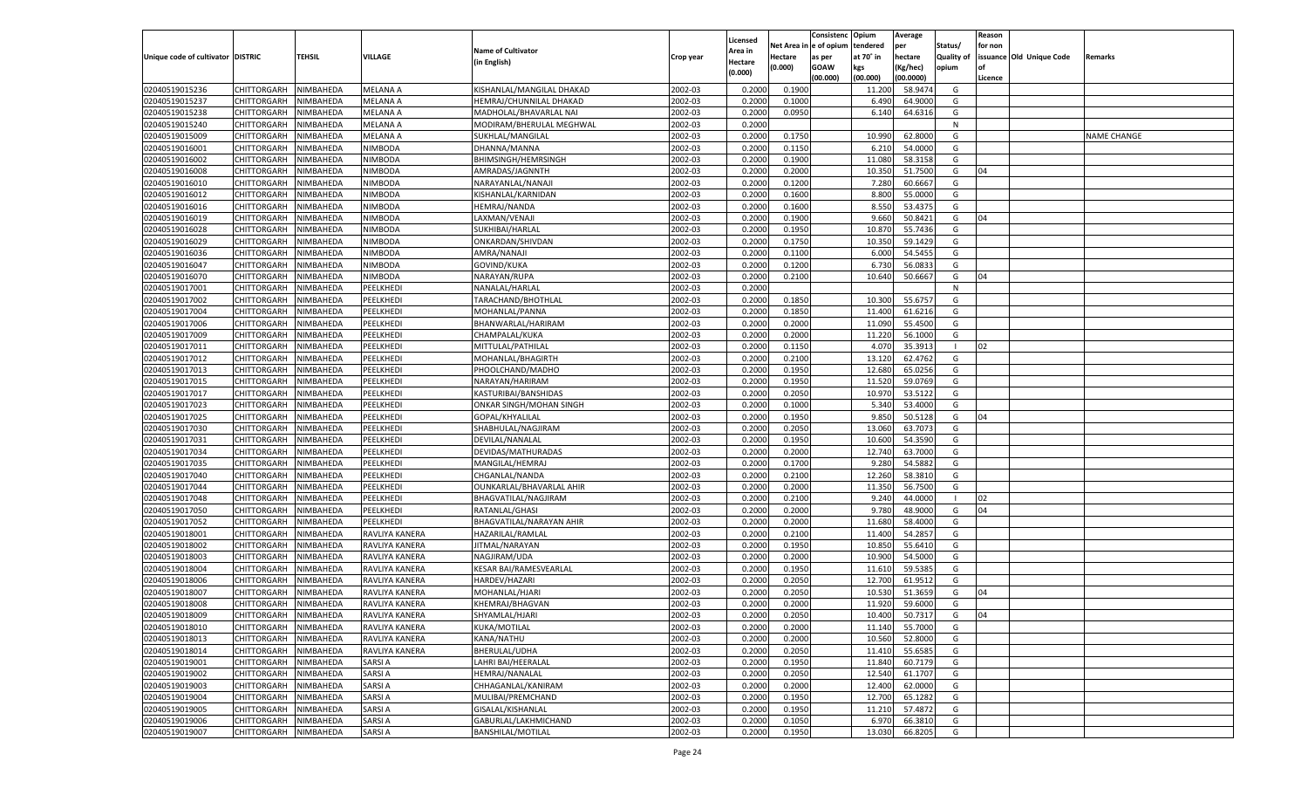|                                   |                       |                        |                 |                                               |           |                           |                  | Consistenc  | Opium            | Average   |                   | Reason  |                          |                    |
|-----------------------------------|-----------------------|------------------------|-----------------|-----------------------------------------------|-----------|---------------------------|------------------|-------------|------------------|-----------|-------------------|---------|--------------------------|--------------------|
|                                   |                       |                        |                 | <b>Name of Cultivator</b>                     |           | Licensed                  | Net Area         | le of opium | tendered         | per       | Status/           | for non |                          |                    |
| Unique code of cultivator DISTRIC |                       | <b>TEHSIL</b>          | VILLAGE         | (in English)                                  | Crop year | <b>Area in</b><br>Hectare | Hectare          | as per      | at 70° in        | hectare   | <b>Quality of</b> |         | issuance Old Unique Code | Remarks            |
|                                   |                       |                        |                 |                                               |           | (0.000)                   | (0.000)          | <b>GOAW</b> | kgs              | (Kg/hec)  | opium             |         |                          |                    |
|                                   |                       |                        |                 |                                               |           |                           |                  | (00.000)    | (00.000)         | (00.0000) |                   | Licence |                          |                    |
| 02040519015236                    | CHITTORGARH           | NIMBAHEDA              | <b>MELANA A</b> | KISHANLAL/MANGILAL DHAKAD                     | 2002-03   | 0.2000                    | 0.1900           |             | 11.200           | 58.9474   | G                 |         |                          |                    |
| 02040519015237                    | CHITTORGARH           | NIMBAHEDA              | MELANA A        | HEMRAJ/CHUNNILAL DHAKAD                       | 2002-03   | 0.2000                    | 0.1000           |             | 6.490            | 64.9000   | G                 |         |                          |                    |
| 02040519015238                    | CHITTORGARH           | NIMBAHEDA              | MELANA A        | MADHOLAL/BHAVARLAL NAI                        | 2002-03   | 0.2000                    | 0.0950           |             | 6.140            | 64.6316   | G                 |         |                          |                    |
| 02040519015240                    | CHITTORGARH           | NIMBAHEDA              | MELANA A        | MODIRAM/BHERULAL MEGHWAL                      | 2002-03   | 0.2000                    |                  |             |                  |           | N                 |         |                          |                    |
| 02040519015009                    | CHITTORGARH           | NIMBAHEDA              | <b>MELANA A</b> | SUKHLAL/MANGILAL                              | 2002-03   | 0.2000                    | 0.1750           |             | 10.990           | 62.8000   | G                 |         |                          | <b>NAME CHANGE</b> |
| 02040519016001                    | CHITTORGARH           | NIMBAHEDA              | NIMBODA         | DHANNA/MANNA                                  | 2002-03   | 0.2000                    | 0.1150           |             | 6.21             | 54.0000   | G                 |         |                          |                    |
| 02040519016002                    | CHITTORGARH           | NIMBAHEDA              | NIMBODA         | <b>BHIMSINGH/HEMRSINGH</b>                    | 2002-03   | 0.2000                    | 0.1900           |             | 11.080           | 58.3158   | G                 |         |                          |                    |
| 02040519016008                    | CHITTORGARH           | NIMBAHEDA              | NIMBODA         | AMRADAS/JAGNNTH                               | 2002-03   | 0.2000                    | 0.2000           |             | 10.350           | 51.7500   | G                 | 04      |                          |                    |
| 02040519016010                    | CHITTORGARH           | NIMBAHEDA              | NIMBODA         | NARAYANLAL/NANAJI                             | 2002-03   | 0.2000                    | 0.1200           |             | 7.280            | 60.6667   | G                 |         |                          |                    |
| 02040519016012                    | CHITTORGARH           | NIMBAHEDA              | NIMBODA         | KISHANLAL/KARNIDAN                            | 2002-03   | 0.2000                    | 0.1600           |             | 8.800            | 55.0000   | G                 |         |                          |                    |
| 02040519016016                    | CHITTORGARH           | NIMBAHEDA              | NIMBODA         | HEMRAJ/NANDA                                  | 2002-03   | 0.2000                    | 0.1600           |             | 8.550            | 53.4375   | G                 |         |                          |                    |
| 02040519016019                    | CHITTORGARH           | NIMBAHEDA              | NIMBODA         | LAXMAN/VENAJI                                 | 2002-03   | 0.2000                    | 0.1900           |             | 9.660            | 50.8421   | G                 | 04      |                          |                    |
| 02040519016028                    | CHITTORGARH           | NIMBAHEDA              | NIMBODA         | SUKHIBAI/HARLAL                               | 2002-03   | 0.2000                    | 0.1950           |             | 10.870           | 55.7436   | G                 |         |                          |                    |
| 02040519016029                    | CHITTORGARH           | NIMBAHEDA              | NIMBODA         | ONKARDAN/SHIVDAN                              | 2002-03   | 0.2000                    | 0.1750           |             | 10.35            | 59.1429   | G                 |         |                          |                    |
| 02040519016036                    | CHITTORGARH           | NIMBAHEDA              | NIMBODA         | AMRA/NANAJI                                   | 2002-03   | 0.2000                    | 0.1100           |             | 6.000            | 54.5455   | G                 |         |                          |                    |
| 02040519016047                    | CHITTORGARH           | NIMBAHEDA              | NIMBODA         | GOVIND/KUKA                                   | 2002-03   | 0.2000                    | 0.1200           |             | 6.730            | 56.083    | G                 |         |                          |                    |
| 02040519016070                    | CHITTORGARH           | NIMBAHEDA              | NIMBODA         | NARAYAN/RUPA                                  | 2002-03   | 0.2000                    | 0.2100           |             | 10.640           | 50.6667   | G                 | 04      |                          |                    |
| 02040519017001                    | CHITTORGARH           | NIMBAHEDA              | PEELKHEDI       | NANALAL/HARLAL                                | 2002-03   | 0.2000                    |                  |             |                  |           | N                 |         |                          |                    |
| 02040519017002                    | CHITTORGARH           | NIMBAHEDA              | PEELKHEDI       | TARACHAND/BHOTHLAL                            | 2002-03   | 0.2000                    | 0.1850           |             | 10.300           | 55.675    | G                 |         |                          |                    |
| 02040519017004                    | CHITTORGARH           | NIMBAHEDA              | PEELKHEDI       | MOHANLAL/PANNA                                | 2002-03   | 0.2000                    | 0.1850           |             | 11.400           | 61.6216   | G                 |         |                          |                    |
| 02040519017006                    | CHITTORGARH           | NIMBAHEDA              | PEELKHEDI       | BHANWARLAL/HARIRAM                            | 2002-03   | 0.2000                    | 0.2000           |             | 11.090           | 55.4500   | G                 |         |                          |                    |
| 02040519017009                    | CHITTORGARH           | NIMBAHEDA              | PEELKHEDI       | CHAMPALAL/KUKA                                | 2002-03   | 0.2000                    | 0.2000           |             | 11.220           | 56.1000   | G                 |         |                          |                    |
| 02040519017011                    | CHITTORGARH           | NIMBAHEDA              | PEELKHEDI       | MITTULAL/PATHILAL                             | 2002-03   | 0.2000                    | 0.1150           |             | 4.070            | 35.3913   |                   | 02      |                          |                    |
| 02040519017012                    | CHITTORGARH           | NIMBAHEDA              | PEELKHEDI       | MOHANLAL/BHAGIRTH                             | 2002-03   | 0.2000                    | 0.2100           |             | 13.120           | 62.4762   | G                 |         |                          |                    |
| 02040519017013                    | CHITTORGARH           | NIMBAHEDA              | PEELKHEDI       | PHOOLCHAND/MADHO                              | 2002-03   | 0.2000                    | 0.1950           |             | 12.680           | 65.0256   | G                 |         |                          |                    |
| 02040519017015                    | CHITTORGARH           | NIMBAHEDA              | PEELKHEDI       | NARAYAN/HARIRAM                               | 2002-03   | 0.2000                    | 0.1950           |             | 11.520           | 59.0769   | G                 |         |                          |                    |
| 02040519017017                    | CHITTORGARH           | NIMBAHEDA              | PEELKHEDI       | KASTURIBAI/BANSHIDAS                          | 2002-03   | 0.2000                    | 0.2050           |             | 10.970           | 53.5122   | G                 |         |                          |                    |
| 02040519017023                    | CHITTORGARH           | NIMBAHEDA              | PEELKHEDI       | ONKAR SINGH/MOHAN SINGH                       | 2002-03   | 0.2000                    | 0.1000           |             | 5.340            | 53.4000   | G                 |         |                          |                    |
| 02040519017025                    | CHITTORGARH           | NIMBAHEDA              | PEELKHEDI       | GOPAL/KHYALILAL                               | 2002-03   | 0.2000                    | 0.1950           |             | 9.85             | 50.5128   | G                 | 04      |                          |                    |
| 02040519017030                    | CHITTORGARH           | NIMBAHEDA              | PEELKHEDI       | SHABHULAL/NAGJIRAM                            | 2002-03   | 0.2000                    | 0.2050           |             | 13.060           | 63.7073   | G                 |         |                          |                    |
| 02040519017031                    | CHITTORGARH           | NIMBAHEDA              | PEELKHEDI       | DEVILAL/NANALAL                               | 2002-03   | 0.2000                    | 0.1950           |             | 10.600           | 54.3590   | G                 |         |                          |                    |
| 02040519017034                    | CHITTORGARH           | NIMBAHEDA              | PEELKHEDI       | DEVIDAS/MATHURADAS                            | 2002-03   | 0.2000                    | 0.2000           |             | 12.740           | 63.7000   | G                 |         |                          |                    |
| 02040519017035                    | CHITTORGARH           | NIMBAHEDA              | PEELKHEDI       | MANGILAL/HEMRAJ                               | 2002-03   | 0.2000                    | 0.1700           |             | 9.28             | 54.588    | G                 |         |                          |                    |
| 02040519017040                    | CHITTORGARH           | NIMBAHEDA              | PEELKHEDI       | CHGANLAL/NANDA                                | 2002-03   | 0.2000                    | 0.2100           |             | 12.260           | 58.381    | G                 |         |                          |                    |
| 02040519017044                    | CHITTORGARH           | NIMBAHEDA              | PEELKHEDI       | OUNKARLAL/BHAVARLAL AHIR                      | 2002-03   | 0.2000                    | 0.2000           |             | 11.350           | 56.7500   | G                 |         |                          |                    |
| 02040519017048                    | CHITTORGARH           | NIMBAHEDA              | PEELKHEDI       | BHAGVATILAL/NAGJIRAM                          | 2002-03   | 0.2000                    | 0.2100           |             | 9.240            | 44.0000   |                   | 02      |                          |                    |
| 02040519017050                    | CHITTORGARH           | NIMBAHEDA              | PEELKHEDI       | RATANLAL/GHASI                                | 2002-03   | 0.2000                    | 0.2000           |             | 9.78             | 48.9000   | G                 | 04      |                          |                    |
| 02040519017052                    | CHITTORGARH           | NIMBAHEDA              | PEELKHEDI       | BHAGVATILAL/NARAYAN AHIR                      | 2002-03   | 0.2000                    | 0.2000           |             | 11.680           | 58.4000   | G                 |         |                          |                    |
| 02040519018001                    | CHITTORGARH           | NIMBAHEDA              | RAVLIYA KANERA  | HAZARILAL/RAMLAL                              | 2002-03   | 0.2000                    | 0.2100           |             | 11.400           | 54.285    | G                 |         |                          |                    |
| 02040519018002                    |                       |                        |                 | JITMAL/NARAYAN                                | 2002-03   |                           |                  |             | 10.850           | 55.6410   | G                 |         |                          |                    |
| 02040519018003                    | CHITTORGARH           | NIMBAHEDA<br>NIMBAHEDA | RAVLIYA KANERA  |                                               | 2002-03   | 0.2000<br>0.2000          | 0.1950<br>0.2000 |             |                  | 54.5000   | G                 |         |                          |                    |
| 02040519018004                    | CHITTORGARH           |                        | RAVLIYA KANERA  | NAGJIRAM/UDA<br><b>KESAR BAI/RAMESVEARLAL</b> | 2002-03   |                           |                  |             | 10.900<br>11.610 | 59.538    | G                 |         |                          |                    |
| 02040519018006                    | CHITTORGARH           | NIMBAHEDA              | RAVLIYA KANERA  |                                               |           | 0.2000                    | 0.1950<br>0.2050 |             |                  | 61.9512   |                   |         |                          |                    |
|                                   | CHITTORGARH           | NIMBAHEDA              | RAVLIYA KANERA  | HARDEV/HAZARI                                 | 2002-03   | 0.2000                    |                  |             | 12.700           |           | G                 |         |                          |                    |
| 02040519018007                    | CHITTORGARH           | NIMBAHEDA              | RAVLIYA KANERA  | MOHANLAL/HJARI                                | 2002-03   | 0.2000                    | 0.2050           |             | 10.530           | 51.365    | G                 | 04      |                          |                    |
| 02040519018008                    | CHITTORGARH           | NIMBAHEDA              | RAVLIYA KANERA  | KHEMRAJ/BHAGVAN                               | 2002-03   | 0.2000                    | 0.2000           |             | 11.920           | 59.6000   | G                 |         |                          |                    |
| 02040519018009                    | CHITTORGARH NIMBAHEDA |                        | RAVLIYA KANERA  | SHYAMLAL/HJARI                                | 2002-03   | 0.2000                    | 0.2050           |             | 10.400           | 50.7317   | G                 | 04      |                          |                    |
| 02040519018010                    | <b>CHITTORGARH</b>    | <b>NIMBAHEDA</b>       | RAVLIYA KANERA  | <b>KUKA/MOTILAL</b>                           | 2002-03   | 0.2000                    | 0.2000           |             | 11.140           | 55.7000   | G                 |         |                          |                    |
| 02040519018013                    | <b>CHITTORGARH</b>    | NIMBAHEDA              | RAVLIYA KANERA  | KANA/NATHU                                    | 2002-03   | 0.2000                    | 0.2000           |             | 10.560           | 52.8000   | G                 |         |                          |                    |
| 02040519018014                    | <b>CHITTORGARH</b>    | NIMBAHEDA              | RAVLIYA KANERA  | BHERULAL/UDHA                                 | 2002-03   | 0.2000                    | 0.2050           |             | 11.410           | 55.6585   | G                 |         |                          |                    |
| 02040519019001                    | <b>CHITTORGARH</b>    | NIMBAHEDA              | <b>SARSIA</b>   | LAHRI BAI/HEERALAL                            | 2002-03   | 0.2000                    | 0.1950           |             | 11.840           | 60.7179   | G                 |         |                          |                    |
| 02040519019002                    | <b>CHITTORGARH</b>    | NIMBAHEDA              | <b>SARSIA</b>   | <b>HEMRAJ/NANALAL</b>                         | 2002-03   | 0.2000                    | 0.2050           |             | 12.540           | 61.1707   | G                 |         |                          |                    |
| 02040519019003                    | <b>CHITTORGARH</b>    | NIMBAHEDA              | <b>SARSIA</b>   | CHHAGANLAL/KANIRAM                            | 2002-03   | 0.2000                    | 0.2000           |             | 12.400           | 62.0000   | G                 |         |                          |                    |
| 02040519019004                    | <b>CHITTORGARH</b>    | NIMBAHEDA              | <b>SARSIA</b>   | MULIBAI/PREMCHAND                             | 2002-03   | 0.2000                    | 0.1950           |             | 12.700           | 65.1282   | G                 |         |                          |                    |
| 02040519019005                    | <b>CHITTORGARH</b>    | NIMBAHEDA              | SARSI A         | GISALAL/KISHANLAL                             | 2002-03   | 0.2000                    | 0.1950           |             | 11.210           | 57.4872   | G                 |         |                          |                    |
| 02040519019006                    | <b>CHITTORGARH</b>    | NIMBAHEDA              | <b>SARSIA</b>   | GABURLAL/LAKHMICHAND                          | 2002-03   | 0.2000                    | 0.1050           |             | 6.970            | 66.3810   | G                 |         |                          |                    |
| 02040519019007                    | <b>CHITTORGARH</b>    | NIMBAHEDA              | <b>SARSIA</b>   | <b>BANSHILAL/MOTILAL</b>                      | 2002-03   | 0.2000                    | 0.1950           |             | 13.030           | 66.8205   | G                 |         |                          |                    |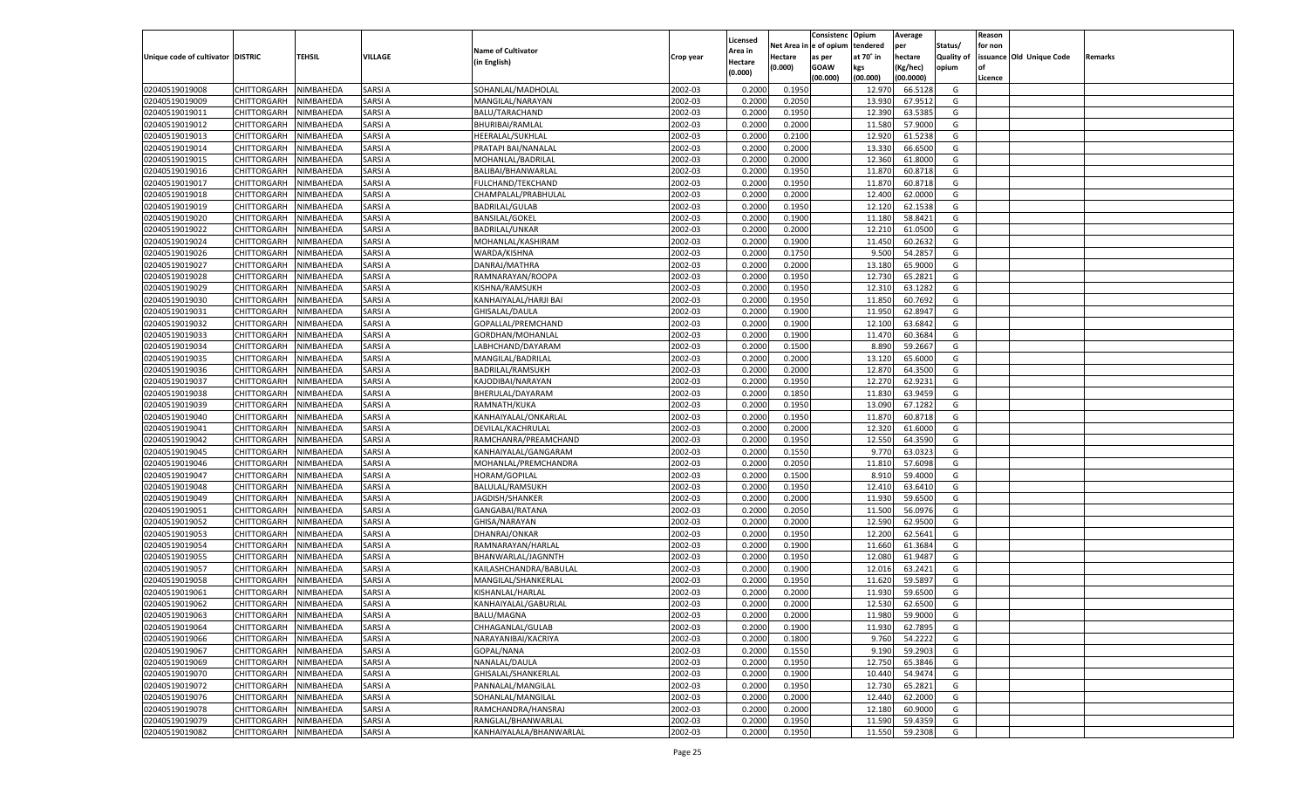|                                   |                       |                        |               |                                         |           |                           |                  | Consistenc  | Opium     | Average            |                   | Reason  |                          |         |
|-----------------------------------|-----------------------|------------------------|---------------|-----------------------------------------|-----------|---------------------------|------------------|-------------|-----------|--------------------|-------------------|---------|--------------------------|---------|
|                                   |                       |                        |               | <b>Name of Cultivator</b>               |           | Licensed                  | Net Area         | e of opium  | tendered  | per                | Status/           | for non |                          |         |
| Unique code of cultivator DISTRIC |                       | <b>TEHSIL</b>          | VILLAGE       | (in English)                            | Crop year | <b>Area in</b><br>Hectare | Hectare          | as per      | at 70° in | hectare            | <b>Quality of</b> |         | issuance Old Unique Code | Remarks |
|                                   |                       |                        |               |                                         |           | (0.000)                   | (0.000)          | <b>GOAW</b> | kgs       | (Kg/hec)           | opium             |         |                          |         |
|                                   |                       |                        |               |                                         |           |                           |                  | (00.000)    | (00.000)  | (00.0000)          |                   | Licence |                          |         |
| 02040519019008                    | CHITTORGARH           | NIMBAHEDA              | SARSI A       | SOHANLAL/MADHOLAL                       | 2002-03   | 0.2000                    | 0.1950           |             | 12.970    | 66.5128            | G                 |         |                          |         |
| 02040519019009                    | CHITTORGARH           | NIMBAHEDA              | SARSI A       | MANGILAL/NARAYAN                        | 2002-03   | 0.2000                    | 0.2050           |             | 13.930    | 67.9512            | G                 |         |                          |         |
| 02040519019011                    | CHITTORGARH           | NIMBAHEDA              | SARSI A       | BALU/TARACHAND                          | 2002-03   | 0.2000                    | 0.1950           |             | 12.390    | 63.5385            | G                 |         |                          |         |
| 02040519019012                    | CHITTORGARH           | NIMBAHEDA              | SARSI A       | <b>BHURIBAI/RAMLAL</b>                  | 2002-03   | 0.2000                    | 0.2000           |             | 11.580    | 57.9000            | G                 |         |                          |         |
| 02040519019013                    | CHITTORGARH           | NIMBAHEDA              | SARSI A       | HEERALAL/SUKHLAL                        | 2002-03   | 0.2000                    | 0.2100           |             | 12.920    | 61.5238            | G                 |         |                          |         |
| 02040519019014                    | CHITTORGARH           | NIMBAHEDA              | SARSI A       | PRATAPI BAI/NANALAL                     | 2002-03   | 0.2000                    | 0.2000           |             | 13.330    | 66.6500            | G                 |         |                          |         |
| 02040519019015                    | CHITTORGARH           | NIMBAHEDA              | SARSI A       | MOHANLAL/BADRILAL                       | 2002-03   | 0.2000                    | 0.2000           |             | 12.360    | 61.8000            | G                 |         |                          |         |
| 02040519019016                    | CHITTORGARH           | NIMBAHEDA              | SARSI A       | BALIBAI/BHANWARLAL                      | 2002-03   | 0.2000                    | 0.1950           |             | 11.870    | 60.8718            | G                 |         |                          |         |
| 02040519019017                    | CHITTORGARH           | NIMBAHEDA              | SARSI A       | FULCHAND/TEKCHAND                       | 2002-03   | 0.2000                    | 0.1950           |             | 11.870    | 60.8718            | G                 |         |                          |         |
| 02040519019018                    | CHITTORGARH           | NIMBAHEDA              | SARSI A       | CHAMPALAL/PRABHULAL                     | 2002-03   | 0.2000                    | 0.2000           |             | 12.400    | 62.0000            | G                 |         |                          |         |
| 02040519019019                    | CHITTORGARH           | NIMBAHEDA              | SARSI A       | <b>BADRILAL/GULAB</b>                   | 2002-03   | 0.2000                    | 0.1950           |             | 12.120    | 62.1538            | G                 |         |                          |         |
| 02040519019020                    | CHITTORGARH           | NIMBAHEDA              | SARSI A       | <b>BANSILAL/GOKEL</b>                   | 2002-03   | 0.2000                    | 0.1900           |             | 11.180    | 58.8421            | G                 |         |                          |         |
| 02040519019022                    | CHITTORGARH           | NIMBAHEDA              | SARSI A       | <b>BADRILAL/UNKAR</b>                   | 2002-03   | 0.2000                    | 0.2000           |             | 12.210    | 61.0500            | G                 |         |                          |         |
| 02040519019024                    | CHITTORGARH           | NIMBAHEDA              | SARSI A       | MOHANLAL/KASHIRAM                       | 2002-03   | 0.2000                    | 0.1900           |             | 11.450    | 60.263             | G                 |         |                          |         |
| 02040519019026                    | CHITTORGARH           | NIMBAHEDA              | SARSI A       | WARDA/KISHNA                            | 2002-03   | 0.2000                    | 0.1750           |             | 9.500     | 54.285             | G                 |         |                          |         |
| 02040519019027                    | CHITTORGARH           | NIMBAHEDA              | SARSI A       | DANRAJ/MATHRA                           | 2002-03   | 0.2000                    | 0.2000           |             | 13.180    | 65.9000            | G                 |         |                          |         |
| 02040519019028                    | CHITTORGARH           | NIMBAHEDA              | SARSI A       | RAMNARAYAN/ROOPA                        | 2002-03   | 0.2000                    | 0.1950           |             | 12.730    | 65.2821            | G                 |         |                          |         |
| 02040519019029                    | CHITTORGARH           | NIMBAHEDA              | SARSI A       | KISHNA/RAMSUKH                          | 2002-03   | 0.2000                    | 0.1950           |             | 12.31     | 63.1282            | G                 |         |                          |         |
| 02040519019030                    | CHITTORGARH           | NIMBAHEDA              | SARSI A       | KANHAIYALAL/HARJI BAI                   | 2002-03   | 0.2000                    | 0.1950           |             | 11.850    | 60.7692            | G                 |         |                          |         |
| 02040519019031                    | CHITTORGARH           | NIMBAHEDA              | SARSI A       | GHISALAL/DAULA                          | 2002-03   | 0.2000                    | 0.1900           |             | 11.950    | 62.8947            | G                 |         |                          |         |
| 02040519019032                    | CHITTORGARH           | NIMBAHEDA              | SARSI A       | GOPALLAL/PREMCHAND                      | 2002-03   | 0.2000                    | 0.1900           |             | 12.100    | 63.6842            | G                 |         |                          |         |
| 02040519019033                    | CHITTORGARH           | NIMBAHEDA              | SARSI A       | GORDHAN/MOHANLAL                        | 2002-03   | 0.2000                    | 0.1900           |             | 11.470    | 60.368             | G                 |         |                          |         |
| 02040519019034                    | CHITTORGARH           | NIMBAHEDA              | SARSI A       | LABHCHAND/DAYARAM                       | 2002-03   | 0.2000                    | 0.1500           |             | 8.890     | 59.2667            | G                 |         |                          |         |
| 02040519019035                    | CHITTORGARH           | NIMBAHEDA              | SARSI A       | MANGILAL/BADRILAL                       | 2002-03   | 0.2000                    | 0.2000           |             | 13.120    | 65.6000            | G                 |         |                          |         |
| 02040519019036                    | CHITTORGARH           | NIMBAHEDA              | SARSI A       | <b>BADRILAL/RAMSUKH</b>                 | 2002-03   | 0.2000                    | 0.2000           |             | 12.870    | 64.3500            | G                 |         |                          |         |
| 02040519019037                    | CHITTORGARH           | NIMBAHEDA              | SARSI A       | KAJODIBAI/NARAYAN                       | 2002-03   | 0.2000                    | 0.1950           |             | 12.270    | 62.9231            | G                 |         |                          |         |
| 02040519019038                    | CHITTORGARH           | NIMBAHEDA              | SARSI A       | BHERULAL/DAYARAM                        | 2002-03   | 0.2000                    | 0.1850           |             | 11.830    | 63.9459            | G                 |         |                          |         |
| 02040519019039                    | CHITTORGARH           | NIMBAHEDA              | SARSI A       | RAMNATH/KUKA                            | 2002-03   | 0.2000                    | 0.1950           |             | 13.090    | 67.1282            | G                 |         |                          |         |
| 02040519019040                    | CHITTORGARH           | NIMBAHEDA              | SARSI A       | KANHAIYALAL/ONKARLAL                    | 2002-03   | 0.2000                    | 0.1950           |             | 11.870    | 60.8718            | G                 |         |                          |         |
| 02040519019041                    | CHITTORGARH           | NIMBAHEDA              | SARSI A       | DEVILAL/KACHRULAL                       | 2002-03   | 0.2000                    | 0.2000           |             | 12.320    | 61.6000            | G                 |         |                          |         |
| 02040519019042                    | CHITTORGARH           | NIMBAHEDA              | SARSI A       | RAMCHANRA/PREAMCHAND                    | 2002-03   | 0.2000                    | 0.1950           |             | 12.550    | 64.359             | G                 |         |                          |         |
| 02040519019045                    | CHITTORGARH           | NIMBAHEDA              | SARSI A       | KANHAIYALAL/GANGARAM                    | 2002-03   | 0.2000                    | 0.1550           |             | 9.770     | 63.0323            | G                 |         |                          |         |
| 02040519019046                    | CHITTORGARH           | NIMBAHEDA              | SARSI A       | MOHANLAL/PREMCHANDRA                    | 2002-03   | 0.2000                    | 0.2050           |             | 11.81     | 57.6098            | G                 |         |                          |         |
| 02040519019047                    | CHITTORGARH           | NIMBAHEDA              | SARSI A       | HORAM/GOPILAL                           | 2002-03   | 0.2000                    | 0.1500           |             | 8.910     | 59.4000            | G                 |         |                          |         |
| 02040519019048                    | CHITTORGARH           | NIMBAHEDA              | SARSI A       | BALULAL/RAMSUKH                         | 2002-03   | 0.2000                    | 0.1950           |             | 12.410    | 63.6410            | G                 |         |                          |         |
| 02040519019049                    | CHITTORGARH           | NIMBAHEDA              | SARSI A       | JAGDISH/SHANKER                         | 2002-03   | 0.2000                    | 0.2000           |             | 11.930    | 59.6500            | G                 |         |                          |         |
| 02040519019051                    | CHITTORGARH           | NIMBAHEDA              | SARSI A       | GANGABAI/RATANA                         | 2002-03   | 0.2000                    | 0.2050           |             | 11.500    | 56.0976            | G                 |         |                          |         |
| 02040519019052                    | CHITTORGARH           | NIMBAHEDA              | SARSI A       | GHISA/NARAYAN                           | 2002-03   | 0.2000                    | 0.2000           |             | 12.590    | 62.9500            | G                 |         |                          |         |
| 02040519019053                    | CHITTORGARH           | NIMBAHEDA              | SARSI A       | DHANRAJ/ONKAR                           | 2002-03   | 0.2000                    | 0.1950           |             | 12.200    | 62.5641            | G                 |         |                          |         |
| 02040519019054                    |                       |                        | SARSI A       |                                         | 2002-03   |                           |                  |             | 11.660    |                    | G                 |         |                          |         |
| 02040519019055                    | CHITTORGARH           | NIMBAHEDA<br>NIMBAHEDA | SARSI A       | RAMNARAYAN/HARLAL<br>BHANWARLAL/JAGNNTH | 2002-03   | 0.2000<br>0.2000          | 0.1900<br>0.1950 |             | 12.080    | 61.3684<br>61.9487 | G                 |         |                          |         |
| 02040519019057                    | CHITTORGARH           |                        | SARSI A       |                                         | 2002-03   |                           |                  |             | 12.016    | 63.2421            | G                 |         |                          |         |
|                                   | CHITTORGARH           | NIMBAHEDA              | SARSI A       | KAILASHCHANDRA/BABULAL                  |           | 0.2000                    | 0.1900<br>0.1950 |             |           |                    |                   |         |                          |         |
| 02040519019058                    | CHITTORGARH           | NIMBAHEDA              |               | MANGILAL/SHANKERLAL                     | 2002-03   | 0.2000                    |                  |             | 11.620    | 59.589             | G                 |         |                          |         |
| 02040519019061                    | CHITTORGARH           | NIMBAHEDA              | SARSI A       | KISHANLAL/HARLAL                        | 2002-03   | 0.2000                    | 0.2000           |             | 11.93     | 59.6500            | G                 |         |                          |         |
| 02040519019062                    | CHITTORGARH           | NIMBAHEDA              | SARSI A       | KANHAIYALAL/GABURLAL                    | 2002-03   | 0.2000                    | 0.2000           |             | 12.530    | 62.6500            | G                 |         |                          |         |
| 02040519019063                    | CHITTORGARH NIMBAHEDA |                        | <b>SARSIA</b> | <b>BALU/MAGNA</b>                       | 2002-03   | 0.2000                    | 0.2000           |             | 11.980    | 59.9000            | G                 |         |                          |         |
| 02040519019064                    | <b>CHITTORGARH</b>    | NIMBAHEDA              | <b>SARSIA</b> | CHHAGANLAL/GULAB                        | 2002-03   | 0.2000                    | 0.1900           |             | 11.930    | 62.7895            | G                 |         |                          |         |
| 02040519019066                    | <b>CHITTORGARH</b>    | NIMBAHEDA              | <b>SARSIA</b> | NARAYANIBAI/KACRIYA                     | 2002-03   | 0.2000                    | 0.1800           |             | 9.760     | 54.2222            | G                 |         |                          |         |
| 02040519019067                    | <b>CHITTORGARH</b>    | NIMBAHEDA              | <b>SARSIA</b> | GOPAL/NANA                              | 2002-03   | 0.2000                    | 0.1550           |             | 9.190     | 59.2903            | G                 |         |                          |         |
| 02040519019069                    | <b>CHITTORGARH</b>    | NIMBAHEDA              | SARSI A       | NANALAL/DAULA                           | 2002-03   | 0.2000                    | 0.1950           |             | 12.750    | 65.3846            | G                 |         |                          |         |
| 02040519019070                    | <b>CHITTORGARH</b>    | NIMBAHEDA              | <b>SARSIA</b> | GHISALAL/SHANKERLAL                     | 2002-03   | 0.2000                    | 0.1900           |             | 10.440    | 54.9474            | G                 |         |                          |         |
| 02040519019072                    | <b>CHITTORGARH</b>    | NIMBAHEDA              | <b>SARSIA</b> | PANNALAL/MANGILAL                       | 2002-03   | 0.2000                    | 0.1950           |             | 12.730    | 65.2821            | G                 |         |                          |         |
| 02040519019076                    | <b>CHITTORGARH</b>    | NIMBAHEDA              | <b>SARSIA</b> | SOHANLAL/MANGILAL                       | 2002-03   | 0.2000                    | 0.2000           |             | 12.440    | 62.2000            | G                 |         |                          |         |
| 02040519019078                    | <b>CHITTORGARH</b>    | NIMBAHEDA              | SARSI A       | RAMCHANDRA/HANSRAJ                      | 2002-03   | 0.2000                    | 0.2000           |             | 12.180    | 60.9000            | G                 |         |                          |         |
| 02040519019079                    | <b>CHITTORGARH</b>    | NIMBAHEDA              | <b>SARSIA</b> | RANGLAL/BHANWARLAL                      | 2002-03   | 0.2000                    | 0.1950           |             | 11.590    | 59.4359            | G                 |         |                          |         |
| 02040519019082                    | <b>CHITTORGARH</b>    | NIMBAHEDA              | <b>SARSIA</b> | KANHAIYALALA/BHANWARLAL                 | 2002-03   | 0.2000                    | 0.1950           |             | 11.550    | 59.2308            | G                 |         |                          |         |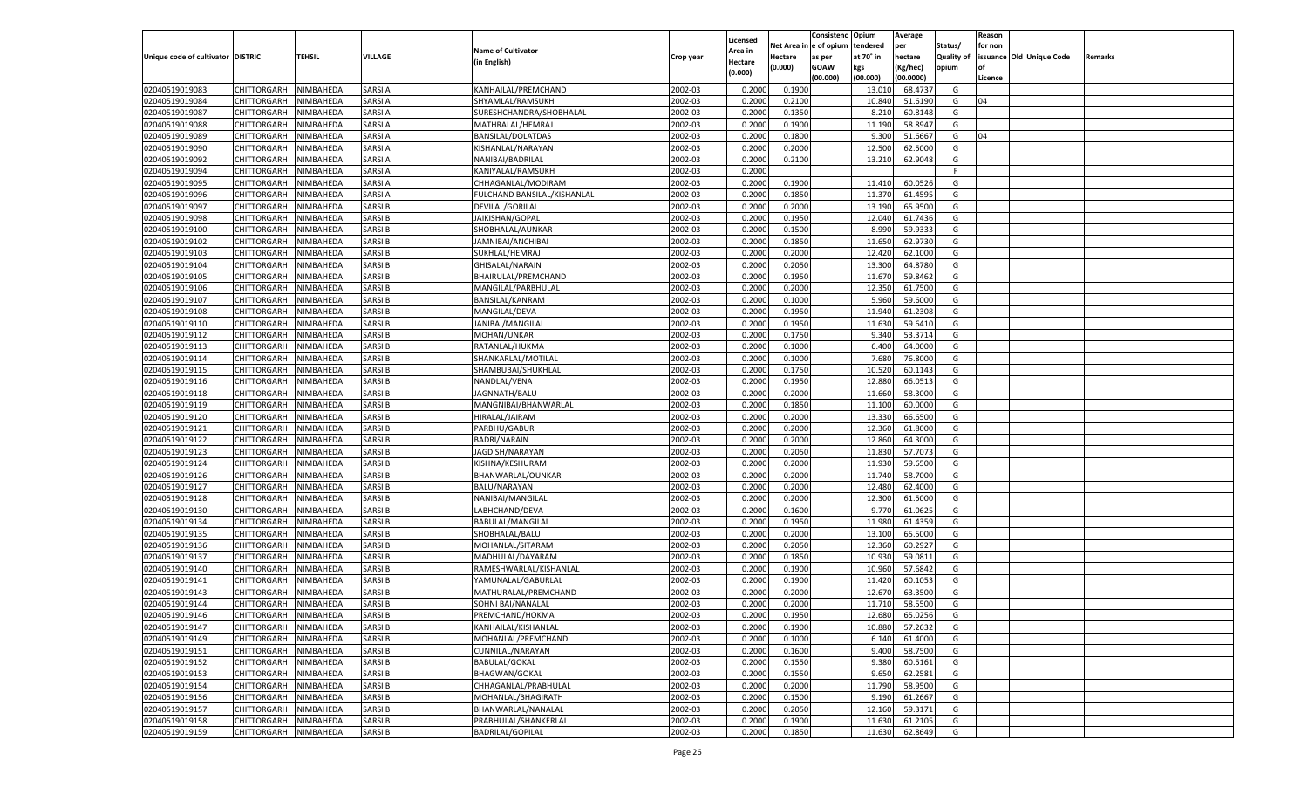|                                   |                            |                        |               |                               |                    |                  |            | Consistenc   | Opium     | Average   |            | Reason  |                          |         |
|-----------------------------------|----------------------------|------------------------|---------------|-------------------------------|--------------------|------------------|------------|--------------|-----------|-----------|------------|---------|--------------------------|---------|
|                                   |                            |                        |               |                               |                    | Licensed         | Net Area i | n e of opium | tendered  | per       | Status/    | for non |                          |         |
| Unique code of cultivator DISTRIC |                            | TEHSIL                 | VILLAGE       | <b>Name of Cultivator</b>     | Crop year          | Area in          | Hectare    | as per       | at 70° in | hectare   | Quality of |         | issuance Old Unique Code | Remarks |
|                                   |                            |                        |               | (in English)                  |                    | Hectare          | (0.000)    | <b>GOAW</b>  | kgs       | (Kg/hec)  | opium      |         |                          |         |
|                                   |                            |                        |               |                               |                    | (0.000)          |            | (00.000)     | (00.000)  | (00.0000) |            | Licence |                          |         |
| 02040519019083                    | CHITTORGARH                | NIMBAHEDA              | <b>SARSIA</b> | KANHAILAL/PREMCHAND           | 2002-03            | 0.2000           | 0.1900     |              | 13.010    | 68.4737   | G          |         |                          |         |
| 02040519019084                    | CHITTORGARH                | NIMBAHEDA              | <b>SARSIA</b> | SHYAMLAL/RAMSUKH              | 2002-03            | 0.2000           | 0.2100     |              | 10.840    | 51.6190   | G          | 04      |                          |         |
| 02040519019087                    | CHITTORGARH                | NIMBAHEDA              | <b>SARSIA</b> | SURESHCHANDRA/SHOBHALAL       | 2002-03            | 0.2000           | 0.1350     |              | 8.210     | 60.8148   | G          |         |                          |         |
| 02040519019088                    | CHITTORGARH                | NIMBAHEDA              | <b>SARSIA</b> | MATHRALAL/HEMRAJ              | 2002-03            | 0.2000           | 0.1900     |              | 11.190    | 58.8947   | G          |         |                          |         |
| 02040519019089                    | CHITTORGARH                | NIMBAHEDA              | <b>SARSIA</b> | <b>BANSILAL/DOLATDAS</b>      | 2002-03            | 0.2000           | 0.1800     |              | 9.300     | 51.6667   | G          | 04      |                          |         |
| 02040519019090                    | CHITTORGARH                | NIMBAHEDA              | <b>SARSIA</b> | KISHANLAL/NARAYAN             | 2002-03            | 0.2000           | 0.2000     |              | 12.500    | 62.5000   | G          |         |                          |         |
| 02040519019092                    | CHITTORGARH                | NIMBAHEDA              | <b>SARSIA</b> | NANIBAI/BADRILAL              | 2002-03            | 0.2000           | 0.2100     |              | 13.210    | 62.9048   | G          |         |                          |         |
| 02040519019094                    | CHITTORGARH                | NIMBAHEDA              | <b>SARSIA</b> | KANIYALAL/RAMSUKH             | 2002-03            | 0.2000           |            |              |           |           | F.         |         |                          |         |
| 02040519019095                    | CHITTORGARH                | NIMBAHEDA              | <b>SARSIA</b> | CHHAGANLAL/MODIRAM            | 2002-03            | 0.2000           | 0.1900     |              | 11.41     | 60.0526   | G          |         |                          |         |
| 02040519019096                    | CHITTORGARH                | NIMBAHEDA              | <b>SARSIA</b> | FULCHAND BANSILAL/KISHANLAL   | 2002-03            | 0.2000           | 0.1850     |              | 11.370    | 61.4595   | G          |         |                          |         |
| 02040519019097                    | CHITTORGARH                | NIMBAHEDA              | <b>SARSIB</b> | DEVILAL/GORILAL               | 2002-03            | 0.2000           | 0.2000     |              | 13.190    | 65.9500   | G          |         |                          |         |
| 02040519019098                    | CHITTORGARH                | NIMBAHEDA              | <b>SARSIB</b> | JAIKISHAN/GOPAL               | 2002-03            | 0.2000           | 0.1950     |              | 12.040    | 61.7436   | G          |         |                          |         |
| 02040519019100                    | CHITTORGARH                | NIMBAHEDA              | <b>SARSIB</b> | SHOBHALAL/AUNKAR              | 2002-03            | 0.2000           | 0.1500     |              | 8.990     | 59.9333   | G          |         |                          |         |
| 02040519019102                    | CHITTORGARH                | NIMBAHEDA              | <b>SARSIB</b> | JAMNIBAI/ANCHIBAI             | 2002-03            | 0.2000           | 0.1850     |              | 11.650    | 62.9730   | G          |         |                          |         |
| 02040519019103                    | CHITTORGARH                | NIMBAHEDA              | <b>SARSIB</b> | SUKHLAL/HEMRAJ                | 2002-03            | 0.2000           | 0.2000     |              | 12.420    | 62.1000   | G          |         |                          |         |
| 02040519019104                    | CHITTORGARH                | NIMBAHEDA              | <b>SARSIB</b> | GHISALAL/NARAIN               | 2002-03            | 0.2000           | 0.2050     |              | 13.300    | 64.8780   | G          |         |                          |         |
| 02040519019105                    | CHITTORGARH                | NIMBAHEDA              | <b>SARSIB</b> | BHAIRULAL/PREMCHAND           | 2002-03            | 0.2000           | 0.1950     |              | 11.670    | 59.8462   | G          |         |                          |         |
| 02040519019106                    | CHITTORGARH                | NIMBAHEDA              | <b>SARSIB</b> | MANGILAL/PARBHULAL            | 2002-03            | 0.2000           | 0.2000     |              | 12.350    | 61.7500   | G          |         |                          |         |
| 02040519019107                    | CHITTORGARH                | NIMBAHEDA              | <b>SARSIB</b> | <b>BANSILAL/KANRAM</b>        | 2002-03            | 0.2000           | 0.1000     |              | 5.960     | 59.6000   | G          |         |                          |         |
| 02040519019108                    | CHITTORGARH                | NIMBAHEDA              | <b>SARSIB</b> | MANGILAL/DEVA                 | 2002-03            | 0.2000           | 0.1950     |              | 11.940    | 61.2308   | G          |         |                          |         |
| 02040519019110                    | CHITTORGARH                | NIMBAHEDA              | <b>SARSIB</b> | JANIBAI/MANGILAL              | 2002-03            | 0.2000           | 0.1950     |              | 11.630    | 59.6410   | G          |         |                          |         |
| 02040519019112                    | CHITTORGARH                | NIMBAHEDA              | <b>SARSIB</b> | MOHAN/UNKAR                   | 2002-03            | 0.2000           | 0.1750     |              | 9.340     | 53.3714   | G          |         |                          |         |
| 02040519019113                    | CHITTORGARH                | NIMBAHEDA              | <b>SARSIB</b> | RATANLAL/HUKMA                | 2002-03            | 0.2000           | 0.1000     |              | 6.400     | 64.0000   | G          |         |                          |         |
| 02040519019114                    | CHITTORGARH                | NIMBAHEDA              | <b>SARSIB</b> | SHANKARLAL/MOTILAL            | 2002-03            | 0.2000           | 0.1000     |              | 7.680     | 76.8000   | G          |         |                          |         |
| 02040519019115                    | CHITTORGARH                | NIMBAHEDA              | <b>SARSIB</b> | SHAMBUBAI/SHUKHLAL            | 2002-03            | 0.2000           | 0.1750     |              | 10.520    | 60.1143   | G          |         |                          |         |
| 02040519019116                    |                            |                        | <b>SARSIB</b> |                               | 2002-03            |                  | 0.1950     |              | 12.880    | 66.0513   | G          |         |                          |         |
| 02040519019118                    | CHITTORGARH<br>CHITTORGARH | NIMBAHEDA<br>NIMBAHEDA | <b>SARSIB</b> | NANDLAL/VENA<br>JAGNNATH/BALU | 2002-03            | 0.2000<br>0.2000 | 0.2000     |              | 11.660    | 58.3000   | G          |         |                          |         |
|                                   | CHITTORGARH                |                        | <b>SARSIB</b> |                               |                    |                  | 0.1850     |              |           | 60.0000   |            |         |                          |         |
| 02040519019119                    | CHITTORGARH                | NIMBAHEDA              | <b>SARSIB</b> | MANGNIBAI/BHANWARLAL          | 2002-03<br>2002-03 | 0.2000           | 0.2000     |              | 11.100    | 66.6500   | G<br>G     |         |                          |         |
| 02040519019120                    |                            | NIMBAHEDA              |               | HIRALAL/JAIRAM                |                    | 0.2000           |            |              | 13.330    |           |            |         |                          |         |
| 02040519019121                    | CHITTORGARH                | NIMBAHEDA              | <b>SARSIB</b> | PARBHU/GABUR                  | 2002-03            | 0.2000           | 0.2000     |              | 12.360    | 61.8000   | G          |         |                          |         |
| 02040519019122                    | CHITTORGARH                | NIMBAHEDA              | <b>SARSIB</b> | BADRI/NARAIN                  | 2002-03            | 0.2000           | 0.2000     |              | 12.860    | 64.3000   | G          |         |                          |         |
| 02040519019123                    | CHITTORGARH                | NIMBAHEDA              | <b>SARSIB</b> | JAGDISH/NARAYAN               | 2002-03            | 0.2000           | 0.2050     |              | 11.830    | 57.7073   | G          |         |                          |         |
| 02040519019124                    | CHITTORGARH                | NIMBAHEDA              | <b>SARSIB</b> | KISHNA/KESHURAM               | 2002-03            | 0.2000           | 0.2000     |              | 11.930    | 59.6500   | G          |         |                          |         |
| 02040519019126                    | CHITTORGARH                | NIMBAHEDA              | <b>SARSIB</b> | BHANWARLAL/OUNKAR             | 2002-03            | 0.2000           | 0.2000     |              | 11.740    | 58.7000   | G          |         |                          |         |
| 02040519019127                    | CHITTORGARH                | NIMBAHEDA              | <b>SARSIB</b> | BALU/NARAYAN                  | 2002-03            | 0.2000           | 0.2000     |              | 12.480    | 62.4000   | G          |         |                          |         |
| 02040519019128                    | CHITTORGARH                | NIMBAHEDA              | <b>SARSIB</b> | NANIBAI/MANGILAL              | 2002-03            | 0.2000           | 0.2000     |              | 12.300    | 61.5000   | G          |         |                          |         |
| 02040519019130                    | CHITTORGARH                | NIMBAHEDA              | <b>SARSIB</b> | LABHCHAND/DEVA                | 2002-03            | 0.2000           | 0.1600     |              | 9.77      | 61.0625   | G          |         |                          |         |
| 02040519019134                    | CHITTORGARH                | NIMBAHEDA              | <b>SARSIB</b> | BABULAL/MANGILAL              | 2002-03            | 0.2000           | 0.1950     |              | 11.980    | 61.4359   | G          |         |                          |         |
| 02040519019135                    | CHITTORGARH                | NIMBAHEDA              | <b>SARSIB</b> | SHOBHALAL/BALU                | 2002-03            | 0.2000           | 0.2000     |              | 13.100    | 65.5000   | G          |         |                          |         |
| 02040519019136                    | CHITTORGARH                | NIMBAHEDA              | <b>SARSIB</b> | MOHANLAL/SITARAM              | 2002-03            | 0.2000           | 0.2050     |              | 12.360    | 60.2927   | G          |         |                          |         |
| 02040519019137                    | CHITTORGARH                | NIMBAHEDA              | <b>SARSIB</b> | MADHULAL/DAYARAM              | 2002-03            | 0.2000           | 0.1850     |              | 10.930    | 59.0811   | G          |         |                          |         |
| 02040519019140                    | CHITTORGARH                | NIMBAHEDA              | SARSI B       | RAMESHWARLAL/KISHANLAL        | 2002-03            | 0.2000           | 0.1900     |              | 10.960    | 57.6842   | G          |         |                          |         |
| 02040519019141                    | CHITTORGARH                | NIMBAHEDA              | <b>SARSIB</b> | YAMUNALAL/GABURLAL            | 2002-03            | 0.2000           | 0.1900     |              | 11.420    | 60.105    | G          |         |                          |         |
| 02040519019143                    | CHITTORGARH                | NIMBAHEDA              | <b>SARSIB</b> | MATHURALAL/PREMCHAND          | 2002-03            | 0.2000           | 0.2000     |              | 12.670    | 63.3500   | G          |         |                          |         |
| 02040519019144                    | CHITTORGARH                | NIMBAHEDA              | <b>SARSIB</b> | SOHNI BAI/NANALAL             | 2002-03            | 0.2000           | 0.2000     |              | 11.710    | 58.5500   | G          |         |                          |         |
| 02040519019146                    | CHITTORGARH NIMBAHEDA      |                        | <b>SARSIB</b> | PREMCHAND/HOKMA               | 2002-03            | 0.2000           | 0.1950     |              | 12.680    | 65.0256   | G          |         |                          |         |
| 02040519019147                    | <b>CHITTORGARH</b>         | NIMBAHEDA              | <b>SARSIB</b> | KANHAILAL/KISHANLAL           | 2002-03            | 0.2000           | 0.1900     |              | 10.880    | 57.2632   | G          |         |                          |         |
| 02040519019149                    | <b>CHITTORGARH</b>         | NIMBAHEDA              | <b>SARSIB</b> | MOHANLAL/PREMCHAND            | 2002-03            | 0.2000           | 0.1000     |              | 6.140     | 61.4000   | G          |         |                          |         |
| 02040519019151                    | CHITTORGARH                | NIMBAHEDA              | <b>SARSIB</b> | CUNNILAL/NARAYAN              | 2002-03            | 0.2000           | 0.1600     |              | 9.400     | 58.7500   | G          |         |                          |         |
| 02040519019152                    | <b>CHITTORGARH</b>         | NIMBAHEDA              | <b>SARSIB</b> | <b>BABULAL/GOKAL</b>          | 2002-03            | 0.2000           | 0.1550     |              | 9.380     | 60.5161   | G          |         |                          |         |
| 02040519019153                    | CHITTORGARH                | NIMBAHEDA              | <b>SARSIB</b> | <b>BHAGWAN/GOKAL</b>          | 2002-03            | 0.2000           | 0.1550     |              | 9.650     | 62.2581   | G          |         |                          |         |
| 02040519019154                    | <b>CHITTORGARH</b>         | NIMBAHEDA              | <b>SARSIB</b> | CHHAGANLAL/PRABHULAL          | 2002-03            | 0.2000           | 0.2000     |              | 11.790    | 58.9500   | G          |         |                          |         |
| 02040519019156                    | CHITTORGARH                | NIMBAHEDA              | <b>SARSIB</b> | MOHANLAL/BHAGIRATH            | 2002-03            | 0.2000           | 0.1500     |              | 9.190     | 61.2667   | G          |         |                          |         |
| 02040519019157                    | CHITTORGARH                | NIMBAHEDA              | <b>SARSIB</b> | BHANWARLAL/NANALAL            | 2002-03            | 0.2000           | 0.2050     |              | 12.160    | 59.3171   | G          |         |                          |         |
| 02040519019158                    | <b>CHITTORGARH</b>         | NIMBAHEDA              | <b>SARSIB</b> | PRABHULAL/SHANKERLAL          | 2002-03            | 0.2000           | 0.1900     |              | 11.630    | 61.2105   | G          |         |                          |         |
| 02040519019159                    | <b>CHITTORGARH</b>         | NIMBAHEDA              | <b>SARSIB</b> | <b>BADRILAL/GOPILAL</b>       | 2002-03            | 0.2000           | 0.1850     |              | 11.630    | 62.8649   | G          |         |                          |         |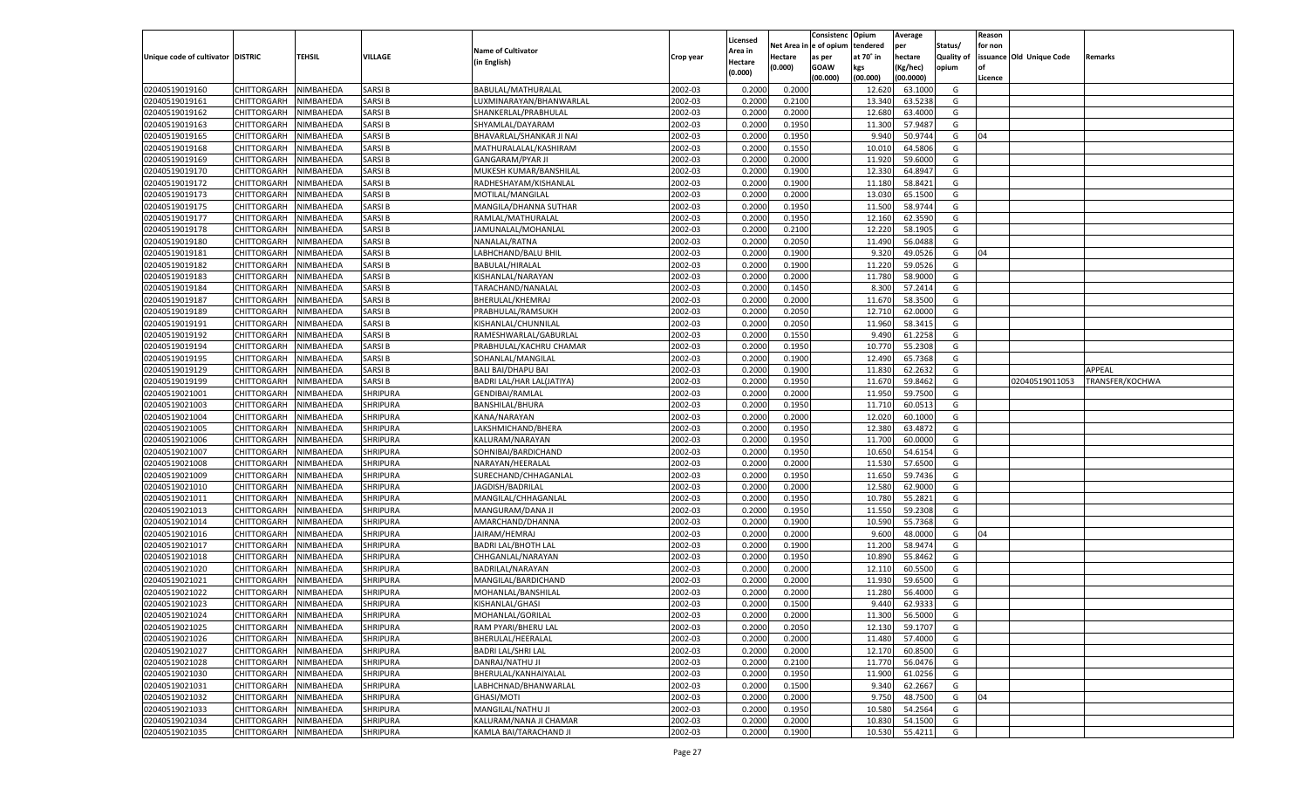|                                   |                       |           |                 |                            |           |                    |            | Consistenc    | Opium     | Average   |            | Reason  |                          |                 |
|-----------------------------------|-----------------------|-----------|-----------------|----------------------------|-----------|--------------------|------------|---------------|-----------|-----------|------------|---------|--------------------------|-----------------|
|                                   |                       |           |                 |                            |           | Licensed           | Net Area i | n  e of opium | tendered  | per       | Status/    | for non |                          |                 |
| Unique code of cultivator DISTRIC |                       | TEHSIL    | VILLAGE         | <b>Name of Cultivator</b>  | Crop year | Area in            | Hectare    | as per        | at 70° in | hectare   | Quality of |         | issuance Old Unique Code | Remarks         |
|                                   |                       |           |                 | (in English)               |           | Hectare<br>(0.000) | (0.000)    | <b>GOAW</b>   | kgs       | (Kg/hec)  | opium      |         |                          |                 |
|                                   |                       |           |                 |                            |           |                    |            | (00.000)      | (00.000)  | (00.0000) |            | Licence |                          |                 |
| 02040519019160                    | CHITTORGARH           | NIMBAHEDA | <b>SARSIB</b>   | BABULAL/MATHURALAL         | 2002-03   | 0.2000             | 0.2000     |               | 12.620    | 63.1000   | G          |         |                          |                 |
| 02040519019161                    | CHITTORGARH           | NIMBAHEDA | <b>SARSIB</b>   | LUXMINARAYAN/BHANWARLAL    | 2002-03   | 0.2000             | 0.2100     |               | 13.340    | 63.5238   | G          |         |                          |                 |
| 02040519019162                    | CHITTORGARH           | NIMBAHEDA | <b>SARSIB</b>   | SHANKERLAL/PRABHULAL       | 2002-03   | 0.2000             | 0.2000     |               | 12.680    | 63.4000   | G          |         |                          |                 |
| 02040519019163                    | CHITTORGARH           | NIMBAHEDA | <b>SARSIB</b>   | SHYAMLAL/DAYARAM           | 2002-03   | 0.2000             | 0.1950     |               | 11.300    | 57.9487   | G          |         |                          |                 |
| 02040519019165                    | CHITTORGARH           | NIMBAHEDA | <b>SARSIB</b>   | BHAVARLAL/SHANKAR JI NAI   | 2002-03   | 0.2000             | 0.1950     |               | 9.94      | 50.9744   | G          | 04      |                          |                 |
| 02040519019168                    | CHITTORGARH           | NIMBAHEDA | <b>SARSIB</b>   | MATHURALALAL/KASHIRAM      | 2002-03   | 0.2000             | 0.1550     |               | 10.010    | 64.5806   | G          |         |                          |                 |
| 02040519019169                    | CHITTORGARH           | NIMBAHEDA | <b>SARSIB</b>   | <b>GANGARAM/PYAR JI</b>    | 2002-03   | 0.2000             | 0.2000     |               | 11.920    | 59.6000   | G          |         |                          |                 |
| 02040519019170                    | CHITTORGARH           | NIMBAHEDA | <b>SARSIB</b>   | MUKESH KUMAR/BANSHILAI     | 2002-03   | 0.2000             | 0.1900     |               | 12.330    | 64.8947   | G          |         |                          |                 |
| 02040519019172                    | CHITTORGARH           | NIMBAHEDA | <b>SARSIB</b>   | RADHESHAYAM/KISHANLAL      | 2002-03   | 0.2000             | 0.1900     |               | 11.180    | 58.8421   | G          |         |                          |                 |
| 02040519019173                    | CHITTORGARH           | NIMBAHEDA | <b>SARSIB</b>   | MOTILAL/MANGILAL           | 2002-03   | 0.2000             | 0.2000     |               | 13.030    | 65.1500   | G          |         |                          |                 |
| 02040519019175                    | CHITTORGARH           | NIMBAHEDA | <b>SARSIB</b>   | MANGILA/DHANNA SUTHAR      | 2002-03   | 0.2000             | 0.1950     |               | 11.500    | 58.9744   | G          |         |                          |                 |
| 02040519019177                    | CHITTORGARH           | NIMBAHEDA | <b>SARSIB</b>   | RAMLAL/MATHURALAL          | 2002-03   | 0.2000             | 0.1950     |               | 12.160    | 62.3590   | G          |         |                          |                 |
| 02040519019178                    | CHITTORGARH           | NIMBAHEDA | <b>SARSIB</b>   | JAMUNALAL/MOHANLAI         | 2002-03   | 0.2000             | 0.2100     |               | 12.220    | 58.1905   | G          |         |                          |                 |
| 02040519019180                    | CHITTORGARH           | NIMBAHEDA | <b>SARSIB</b>   | NANALAL/RATNA              | 2002-03   | 0.2000             | 0.2050     |               | 11.490    | 56.0488   | G          |         |                          |                 |
| 02040519019181                    | CHITTORGARH           | NIMBAHEDA | <b>SARSIB</b>   | LABHCHAND/BALU BHIL        | 2002-03   | 0.2000             | 0.1900     |               | 9.320     | 49.0526   | G          | 04      |                          |                 |
| 02040519019182                    | CHITTORGARH           | NIMBAHEDA | <b>SARSIB</b>   | BABULAL/HIRALAL            | 2002-03   | 0.2000             | 0.1900     |               | 11.220    | 59.0526   | G          |         |                          |                 |
| 02040519019183                    | CHITTORGARH           | NIMBAHEDA | <b>SARSIB</b>   | KISHANLAL/NARAYAN          | 2002-03   | 0.2000             | 0.2000     |               | 11.780    | 58.9000   | G          |         |                          |                 |
| 02040519019184                    | CHITTORGARH           | NIMBAHEDA | <b>SARSIB</b>   | TARACHAND/NANALAL          | 2002-03   | 0.2000             | 0.1450     |               | 8.300     | 57.2414   | G          |         |                          |                 |
| 02040519019187                    | CHITTORGARH           | NIMBAHEDA | <b>SARSIB</b>   | BHERULAL/KHEMRAJ           | 2002-03   | 0.2000             | 0.2000     |               | 11.670    | 58.3500   | G          |         |                          |                 |
| 02040519019189                    | CHITTORGARH           | NIMBAHEDA | <b>SARSIB</b>   | PRABHULAL/RAMSUKH          | 2002-03   | 0.2000             | 0.2050     |               | 12.710    | 62.0000   | G          |         |                          |                 |
| 02040519019191                    | CHITTORGARH           | NIMBAHEDA | <b>SARSIB</b>   | KISHANLAL/CHUNNILAL        | 2002-03   | 0.2000             | 0.2050     |               | 11.960    | 58.3415   | G          |         |                          |                 |
| 02040519019192                    | CHITTORGARH           | NIMBAHEDA | <b>SARSIB</b>   | RAMESHWARLAL/GABURLAI      | 2002-03   | 0.2000             | 0.1550     |               | 9.490     | 61.2258   | G          |         |                          |                 |
| 02040519019194                    | CHITTORGARH           | NIMBAHEDA | <b>SARSIB</b>   | PRABHULAL/KACHRU CHAMAR    | 2002-03   | 0.2000             | 0.1950     |               | 10.770    | 55.2308   | G          |         |                          |                 |
| 02040519019195                    | CHITTORGARH           | NIMBAHEDA | <b>SARSIB</b>   | SOHANLAL/MANGILAL          | 2002-03   | 0.2000             | 0.1900     |               | 12.490    | 65.7368   | G          |         |                          |                 |
| 02040519019129                    | CHITTORGARH           | NIMBAHEDA | <b>SARSIB</b>   | <b>BALI BAI/DHAPU BAI</b>  | 2002-03   | 0.2000             | 0.1900     |               | 11.830    | 62.2632   | G          |         |                          | APPEAL          |
| 02040519019199                    | CHITTORGARH           | NIMBAHEDA | <b>SARSIB</b>   | BADRI LAL/HAR LAL(JATIYA)  | 2002-03   | 0.2000             | 0.1950     |               | 11.670    | 59.8462   | G          |         | 02040519011053           | TRANSFER/KOCHWA |
| 02040519021001                    | CHITTORGARH           | NIMBAHEDA | <b>SHRIPURA</b> | <b>GENDIBAI/RAMLAL</b>     | 2002-03   | 0.2000             | 0.2000     |               | 11.950    | 59.7500   | G          |         |                          |                 |
| 02040519021003                    | CHITTORGARH           | NIMBAHEDA | SHRIPURA        | <b>BANSHILAL/BHURA</b>     | 2002-03   | 0.2000             | 0.1950     |               | 11.710    | 60.0513   | G          |         |                          |                 |
| 02040519021004                    | CHITTORGARH           | NIMBAHEDA | <b>SHRIPURA</b> | KANA/NARAYAN               | 2002-03   | 0.2000             | 0.2000     |               | 12.020    | 60.1000   | G          |         |                          |                 |
| 02040519021005                    | CHITTORGARH           | NIMBAHEDA | <b>SHRIPURA</b> | LAKSHMICHAND/BHERA         | 2002-03   | 0.2000             | 0.1950     |               | 12.380    | 63.4872   | G          |         |                          |                 |
| 02040519021006                    |                       | NIMBAHEDA | <b>SHRIPURA</b> |                            | 2002-03   | 0.2000             | 0.1950     |               | 11.700    | 60.0000   | G          |         |                          |                 |
| 02040519021007                    | CHITTORGARH           |           | SHRIPURA        | KALURAM/NARAYAN            | 2002-03   |                    | 0.1950     |               | 10.650    | 54.6154   | G          |         |                          |                 |
|                                   | CHITTORGARH           | NIMBAHEDA | <b>SHRIPURA</b> | SOHNIBAI/BARDICHAND        |           | 0.2000             | 0.2000     |               |           | 57.6500   |            |         |                          |                 |
| 02040519021008                    | CHITTORGARH           | NIMBAHEDA |                 | NARAYAN/HEERALAL           | 2002-03   | 0.2000             |            |               | 11.530    |           | G          |         |                          |                 |
| 02040519021009                    | CHITTORGARH           | NIMBAHEDA | <b>SHRIPURA</b> | SURECHAND/CHHAGANLAL       | 2002-03   | 0.2000             | 0.1950     |               | 11.650    | 59.7436   | G          |         |                          |                 |
| 02040519021010                    | CHITTORGARH           | NIMBAHEDA | <b>SHRIPURA</b> | JAGDISH/BADRILAL           | 2002-03   | 0.2000             | 0.2000     |               | 12.580    | 62.9000   | G          |         |                          |                 |
| 02040519021011                    | CHITTORGARH           | NIMBAHEDA | SHRIPURA        | MANGILAL/CHHAGANLAI        | 2002-03   | 0.2000             | 0.1950     |               | 10.780    | 55.2821   | G          |         |                          |                 |
| 02040519021013                    | CHITTORGARH           | NIMBAHEDA | <b>SHRIPURA</b> | MANGURAM/DANA JI           | 2002-03   | 0.2000             | 0.1950     |               | 11.550    | 59.2308   | G          |         |                          |                 |
| 02040519021014                    | CHITTORGARH           | NIMBAHEDA | <b>SHRIPURA</b> | AMARCHAND/DHANNA           | 2002-03   | 0.2000             | 0.1900     |               | 10.590    | 55.7368   | G          |         |                          |                 |
| 02040519021016                    | CHITTORGARH           | NIMBAHEDA | <b>SHRIPURA</b> | JAIRAM/HEMRAJ              | 2002-03   | 0.2000             | 0.2000     |               | 9.600     | 48.0000   | G          | 04      |                          |                 |
| 02040519021017                    | CHITTORGARH           | NIMBAHEDA | SHRIPURA        | <b>BADRI LAL/BHOTH LAL</b> | 2002-03   | 0.2000             | 0.1900     |               | 11.200    | 58.9474   | G          |         |                          |                 |
| 02040519021018                    | CHITTORGARH           | NIMBAHEDA | <b>SHRIPURA</b> | CHHGANLAL/NARAYAN          | 2002-03   | 0.2000             | 0.1950     |               | 10.890    | 55.8462   | G          |         |                          |                 |
| 02040519021020                    | CHITTORGARH           | NIMBAHEDA | SHRIPURA        | BADRILAL/NARAYAN           | 2002-03   | 0.2000             | 0.2000     |               | 12.11     | 60.5500   | G          |         |                          |                 |
| 02040519021021                    | CHITTORGARH           | NIMBAHEDA | <b>SHRIPURA</b> | MANGILAL/BARDICHAND        | 2002-03   | 0.2000             | 0.2000     |               | 11.930    | 59.6500   | G          |         |                          |                 |
| 02040519021022                    | CHITTORGARH           | NIMBAHEDA | SHRIPURA        | MOHANLAL/BANSHILAL         | 2002-03   | 0.2000             | 0.2000     |               | 11.280    | 56.4000   | G          |         |                          |                 |
| 02040519021023                    | CHITTORGARH           | NIMBAHEDA | <b>SHRIPURA</b> | KISHANLAL/GHASI            | 2002-03   | 0.2000             | 0.1500     |               | 9.440     | 62.9333   | G          |         |                          |                 |
| 02040519021024                    | CHITTORGARH NIMBAHEDA |           | <b>SHRIPURA</b> | MOHANLAL/GORILAL           | 2002-03   | 0.2000             | 0.2000     |               | 11.300    | 56.5000   | G          |         |                          |                 |
| 02040519021025                    | <b>CHITTORGARH</b>    | NIMBAHEDA | <b>SHRIPURA</b> | RAM PYARI/BHERU LAL        | 2002-03   | 0.2000             | 0.2050     |               | 12.130    | 59.1707   | G          |         |                          |                 |
| 02040519021026                    | CHITTORGARH           | NIMBAHEDA | <b>SHRIPURA</b> | BHERULAL/HEERALAL          | 2002-03   | 0.2000             | 0.2000     |               | 11.480    | 57.4000   | G          |         |                          |                 |
| 02040519021027                    | CHITTORGARH           | NIMBAHEDA | <b>SHRIPURA</b> | <b>BADRI LAL/SHRI LAL</b>  | 2002-03   | 0.2000             | 0.2000     |               | 12.170    | 60.8500   | G          |         |                          |                 |
| 02040519021028                    | <b>CHITTORGARH</b>    | NIMBAHEDA | <b>SHRIPURA</b> | DANRAJ/NATHU JI            | 2002-03   | 0.2000             | 0.2100     |               | 11.770    | 56.0476   | G          |         |                          |                 |
| 02040519021030                    | CHITTORGARH           | NIMBAHEDA | <b>SHRIPURA</b> | BHERULAL/KANHAIYALAL       | 2002-03   | 0.2000             | 0.1950     |               | 11.900    | 61.0256   | G          |         |                          |                 |
| 02040519021031                    | <b>CHITTORGARH</b>    | NIMBAHEDA | <b>SHRIPURA</b> | LABHCHNAD/BHANWARLAL       | 2002-03   | 0.2000             | 0.1500     |               | 9.340     | 62.2667   | G          |         |                          |                 |
| 02040519021032                    | CHITTORGARH           | NIMBAHEDA | <b>SHRIPURA</b> | GHASI/MOTI                 | 2002-03   | 0.2000             | 0.2000     |               | 9.750     | 48.7500   | G          | 04      |                          |                 |
| 02040519021033                    | CHITTORGARH           | NIMBAHEDA | <b>SHRIPURA</b> | MANGILAL/NATHU JI          | 2002-03   | 0.2000             | 0.1950     |               | 10.580    | 54.2564   | G          |         |                          |                 |
| 02040519021034                    | <b>CHITTORGARH</b>    | NIMBAHEDA | <b>SHRIPURA</b> | KALURAM/NANA JI CHAMAR     | 2002-03   | 0.2000             | 0.2000     |               | 10.830    | 54.1500   | G          |         |                          |                 |
| 02040519021035                    | <b>CHITTORGARH</b>    | NIMBAHEDA | <b>SHRIPURA</b> | KAMLA BAI/TARACHAND JI     | 2002-03   | 0.2000             | 0.1900     |               | 10.530    | 55.4211   | G          |         |                          |                 |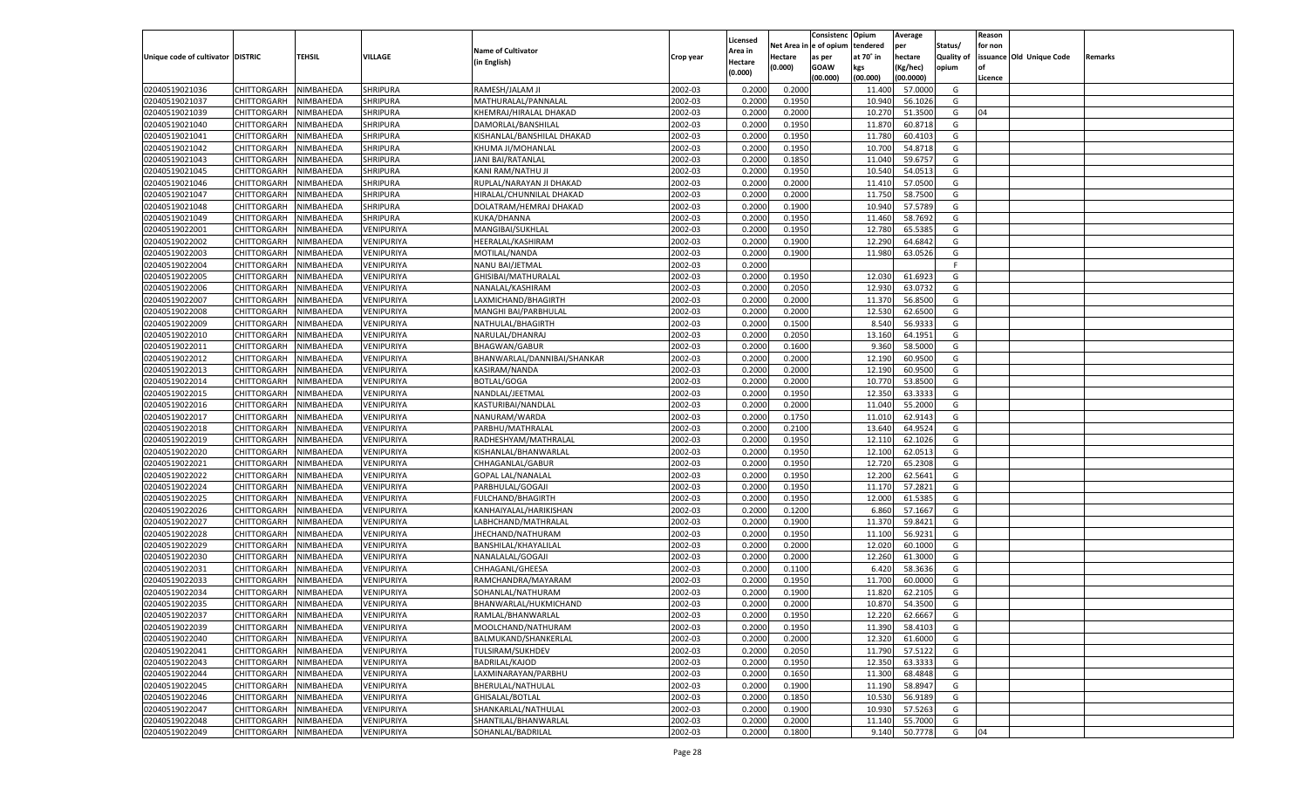|                                   |                       |               |                 |                             |           |                           |          | Consistenc  | Opium     | Average   |                   | Reason  |                          |         |
|-----------------------------------|-----------------------|---------------|-----------------|-----------------------------|-----------|---------------------------|----------|-------------|-----------|-----------|-------------------|---------|--------------------------|---------|
|                                   |                       |               |                 | <b>Name of Cultivator</b>   |           | Licensed                  | Net Area | le of opium | tendered  | per       | Status/           | for non |                          |         |
| Unique code of cultivator DISTRIC |                       | <b>TEHSIL</b> | VILLAGE         | (in English)                | Crop year | <b>Area in</b><br>Hectare | Hectare  | as per      | at 70° in | hectare   | <b>Quality of</b> |         | issuance Old Unique Code | Remarks |
|                                   |                       |               |                 |                             |           | (0.000)                   | (0.000)  | <b>GOAW</b> | kgs       | (Kg/hec)  | opium             |         |                          |         |
|                                   |                       |               |                 |                             |           |                           |          | (00.000)    | (00.000)  | (00.0000) |                   | Licence |                          |         |
| 02040519021036                    | CHITTORGARH           | NIMBAHEDA     | <b>SHRIPURA</b> | RAMESH/JALAM JI             | 2002-03   | 0.2000                    | 0.2000   |             | 11.400    | 57.0000   | G                 |         |                          |         |
| 02040519021037                    | CHITTORGARH           | NIMBAHEDA     | SHRIPURA        | MATHURALAL/PANNALAL         | 2002-03   | 0.2000                    | 0.1950   |             | 10.940    | 56.1026   | G                 |         |                          |         |
| 02040519021039                    | CHITTORGARH           | NIMBAHEDA     | <b>SHRIPURA</b> | KHEMRAJ/HIRALAL DHAKAD      | 2002-03   | 0.2000                    | 0.2000   |             | 10.270    | 51.3500   | G                 | 04      |                          |         |
| 02040519021040                    | CHITTORGARH           | NIMBAHEDA     | <b>SHRIPURA</b> | DAMORLAL/BANSHILAL          | 2002-03   | 0.2000                    | 0.1950   |             | 11.870    | 60.8718   | G                 |         |                          |         |
| 02040519021041                    | CHITTORGARH           | NIMBAHEDA     | <b>SHRIPURA</b> | KISHANLAL/BANSHILAL DHAKAD  | 2002-03   | 0.2000                    | 0.1950   |             | 11.780    | 60.4103   | G                 |         |                          |         |
| 02040519021042                    | CHITTORGARH           | NIMBAHEDA     | <b>SHRIPURA</b> | KHUMA JI/MOHANLAL           | 2002-03   | 0.2000                    | 0.1950   |             | 10.700    | 54.8718   | G                 |         |                          |         |
| 02040519021043                    | CHITTORGARH           | NIMBAHEDA     | <b>SHRIPURA</b> | <b>JANI BAI/RATANLAL</b>    | 2002-03   | 0.2000                    | 0.1850   |             | 11.040    | 59.675    | G                 |         |                          |         |
| 02040519021045                    | CHITTORGARH           | NIMBAHEDA     | <b>SHRIPURA</b> | KANI RAM/NATHU JI           | 2002-03   | 0.2000                    | 0.1950   |             | 10.540    | 54.0513   | G                 |         |                          |         |
| 02040519021046                    | CHITTORGARH           | NIMBAHEDA     | <b>SHRIPURA</b> | RUPLAL/NARAYAN JI DHAKAD    | 2002-03   | 0.2000                    | 0.2000   |             | 11.41     | 57.0500   | G                 |         |                          |         |
| 02040519021047                    | CHITTORGARH           | NIMBAHEDA     | SHRIPURA        | HIRALAL/CHUNNILAL DHAKAD    | 2002-03   | 0.2000                    | 0.2000   |             | 11.750    | 58.7500   | G                 |         |                          |         |
| 02040519021048                    | CHITTORGARH           | NIMBAHEDA     | <b>SHRIPURA</b> | DOLATRAM/HEMRAJ DHAKAD      | 2002-03   | 0.2000                    | 0.1900   |             | 10.940    | 57.5789   | G                 |         |                          |         |
| 02040519021049                    | CHITTORGARH           | NIMBAHEDA     | SHRIPURA        | KUKA/DHANNA                 | 2002-03   | 0.2000                    | 0.1950   |             | 11.460    | 58.7692   | G                 |         |                          |         |
| 02040519022001                    | CHITTORGARH           | NIMBAHEDA     | VENIPURIYA      | MANGIBAI/SUKHLAL            | 2002-03   | 0.2000                    | 0.1950   |             | 12.780    | 65.5385   | G                 |         |                          |         |
| 02040519022002                    | CHITTORGARH           | NIMBAHEDA     | VENIPURIYA      | HEERALAL/KASHIRAM           | 2002-03   | 0.2000                    | 0.1900   |             | 12.290    | 64.6842   | G                 |         |                          |         |
| 02040519022003                    | CHITTORGARH           | NIMBAHEDA     | VENIPURIYA      | MOTILAL/NANDA               | 2002-03   | 0.2000                    | 0.1900   |             | 11.980    | 63.0526   | G                 |         |                          |         |
| 02040519022004                    | CHITTORGARH           | NIMBAHEDA     | VENIPURIYA      | NANU BAI/JETMAL             | 2002-03   | 0.2000                    |          |             |           |           | F.                |         |                          |         |
| 02040519022005                    | CHITTORGARH           | NIMBAHEDA     | VENIPURIYA      | GHISIBAI/MATHURALAL         | 2002-03   | 0.2000                    | 0.1950   |             | 12.030    | 61.692    | G                 |         |                          |         |
| 02040519022006                    | CHITTORGARH           | NIMBAHEDA     | VENIPURIYA      | NANALAL/KASHIRAM            | 2002-03   | 0.2000                    | 0.2050   |             | 12.930    | 63.073.   | G                 |         |                          |         |
| 02040519022007                    | CHITTORGARH           | NIMBAHEDA     | VENIPURIYA      | LAXMICHAND/BHAGIRTH         | 2002-03   | 0.2000                    | 0.2000   |             | 11.370    | 56.8500   | G                 |         |                          |         |
| 02040519022008                    | CHITTORGARH           | NIMBAHEDA     | VENIPURIYA      | MANGHI BAI/PARBHULAL        | 2002-03   | 0.2000                    | 0.2000   |             | 12.530    | 62.6500   | G                 |         |                          |         |
| 02040519022009                    | CHITTORGARH           | NIMBAHEDA     | VENIPURIYA      | NATHULAL/BHAGIRTH           | 2002-03   | 0.2000                    | 0.1500   |             | 8.540     | 56.933    | G                 |         |                          |         |
| 02040519022010                    | CHITTORGARH           | NIMBAHEDA     | VENIPURIYA      | NARULAL/DHANRAJ             | 2002-03   | 0.2000                    | 0.2050   |             | 13.160    | 64.1951   | G                 |         |                          |         |
| 02040519022011                    | CHITTORGARH           | NIMBAHEDA     | VENIPURIYA      | <b>BHAGWAN/GABUR</b>        | 2002-03   | 0.2000                    | 0.1600   |             | 9.360     | 58.5000   | G                 |         |                          |         |
| 02040519022012                    | CHITTORGARH           | NIMBAHEDA     | VENIPURIYA      | BHANWARLAL/DANNIBAI/SHANKAR | 2002-03   | 0.2000                    | 0.2000   |             | 12.190    | 60.9500   | G                 |         |                          |         |
| 02040519022013                    | CHITTORGARH           | NIMBAHEDA     | VENIPURIYA      | KASIRAM/NANDA               | 2002-03   | 0.2000                    | 0.2000   |             | 12.190    | 60.9500   | G                 |         |                          |         |
| 02040519022014                    | CHITTORGARH           | NIMBAHEDA     | VENIPURIYA      | <b>BOTLAL/GOGA</b>          | 2002-03   | 0.2000                    | 0.2000   |             | 10.770    | 53.8500   | G                 |         |                          |         |
| 02040519022015                    | CHITTORGARH           | NIMBAHEDA     | VENIPURIYA      | NANDLAL/JEETMAL             | 2002-03   | 0.2000                    | 0.1950   |             | 12.350    | 63.333    | G                 |         |                          |         |
| 02040519022016                    | CHITTORGARH           | NIMBAHEDA     | VENIPURIYA      | KASTURIBAI/NANDLAL          | 2002-03   | 0.2000                    | 0.2000   |             | 11.040    | 55.2000   | G                 |         |                          |         |
| 02040519022017                    | CHITTORGARH           | NIMBAHEDA     | VENIPURIYA      | NANURAM/WARDA               | 2002-03   | 0.2000                    | 0.1750   |             | 11.010    | 62.9143   | G                 |         |                          |         |
| 02040519022018                    | CHITTORGARH           | NIMBAHEDA     | VENIPURIYA      | PARBHU/MATHRALAL            | 2002-03   | 0.2000                    | 0.2100   |             | 13.640    | 64.9524   | G                 |         |                          |         |
| 02040519022019                    | CHITTORGARH           | NIMBAHEDA     | VENIPURIYA      | RADHESHYAM/MATHRALAL        | 2002-03   | 0.2000                    | 0.1950   |             | 12.11     | 62.1026   | G                 |         |                          |         |
| 02040519022020                    | CHITTORGARH           | NIMBAHEDA     | VENIPURIYA      | KISHANLAL/BHANWARLAL        | 2002-03   | 0.2000                    | 0.1950   |             | 12.100    | 62.0513   | G                 |         |                          |         |
| 02040519022021                    | CHITTORGARH           | NIMBAHEDA     | VENIPURIYA      | CHHAGANLAL/GABUR            | 2002-03   | 0.2000                    | 0.1950   |             | 12.720    | 65.2308   | G                 |         |                          |         |
| 02040519022022                    | CHITTORGARH           | NIMBAHEDA     | VENIPURIYA      | <b>GOPAL LAL/NANALAL</b>    | 2002-03   | 0.2000                    | 0.1950   |             | 12.200    | 62.5641   | G                 |         |                          |         |
| 02040519022024                    | CHITTORGARH           | NIMBAHEDA     | VENIPURIYA      | PARBHULAL/GOGAJI            | 2002-03   | 0.2000                    | 0.1950   |             | 11.170    | 57.2821   | G                 |         |                          |         |
| 02040519022025                    | CHITTORGARH           | NIMBAHEDA     | VENIPURIYA      | <b>FULCHAND/BHAGIRTH</b>    | 2002-03   | 0.2000                    | 0.1950   |             | 12.000    | 61.5385   | G                 |         |                          |         |
| 02040519022026                    | CHITTORGARH           | NIMBAHEDA     | VENIPURIYA      | KANHAIYALAL/HARIKISHAN      | 2002-03   | 0.2000                    | 0.1200   |             | 6.860     | 57.166    | G                 |         |                          |         |
| 02040519022027                    | CHITTORGARH           | NIMBAHEDA     | VENIPURIYA      | LABHCHAND/MATHRALAL         | 2002-03   | 0.2000                    | 0.1900   |             | 11.370    | 59.8421   | G                 |         |                          |         |
| 02040519022028                    | CHITTORGARH           | NIMBAHEDA     | VENIPURIYA      | JHECHAND/NATHURAM           | 2002-03   | 0.2000                    | 0.1950   |             | 11.100    | 56.9231   | G                 |         |                          |         |
| 02040519022029                    | CHITTORGARH           | NIMBAHEDA     | VENIPURIYA      | BANSHILAL/KHAYALILAL        | 2002-03   | 0.2000                    | 0.2000   |             | 12.020    | 60.1000   | G                 |         |                          |         |
| 02040519022030                    | CHITTORGARH           | NIMBAHEDA     | VENIPURIYA      | NANALALAL/GOGAJI            | 2002-03   | 0.2000                    | 0.2000   |             | 12.260    | 61.3000   | G                 |         |                          |         |
| 02040519022031                    | CHITTORGARH           | NIMBAHEDA     | VENIPURIYA      | CHHAGANL/GHEESA             | 2002-03   | 0.2000                    | 0.1100   |             | 6.420     | 58.3636   | G                 |         |                          |         |
| 02040519022033                    | CHITTORGARH           | NIMBAHEDA     | VENIPURIYA      | RAMCHANDRA/MAYARAM          | 2002-03   | 0.2000                    | 0.1950   |             | 11.700    | 60.0000   | G                 |         |                          |         |
| 02040519022034                    | CHITTORGARH           | NIMBAHEDA     | VENIPURIYA      | SOHANLAL/NATHURAM           | 2002-03   | 0.2000                    | 0.1900   |             | 11.820    | 62.2105   | G                 |         |                          |         |
| 02040519022035                    | CHITTORGARH           | NIMBAHEDA     | VENIPURIYA      | BHANWARLAL/HUKMICHAND       | 2002-03   | 0.2000                    | 0.2000   |             | 10.870    | 54.3500   | G                 |         |                          |         |
| 02040519022037                    | CHITTORGARH NIMBAHEDA |               | VENIPURIYA      | RAMLAL/BHANWARLAL           | 2002-03   | 0.2000                    | 0.1950   |             | 12.220    | 62.6667   | G                 |         |                          |         |
| 02040519022039                    | <b>CHITTORGARH</b>    | NIMBAHEDA     | VENIPURIYA      | MOOLCHAND/NATHURAM          | 2002-03   | 0.2000                    | 0.1950   |             | 11.390    | 58.4103   | G                 |         |                          |         |
| 02040519022040                    | CHITTORGARH           | NIMBAHEDA     | VENIPURIYA      | BALMUKAND/SHANKERLAL        | 2002-03   | 0.2000                    | 0.2000   |             | 12.320    | 61.6000   | G                 |         |                          |         |
| 02040519022041                    | <b>CHITTORGARH</b>    | NIMBAHEDA     | VENIPURIYA      | TULSIRAM/SUKHDEV            | 2002-03   | 0.2000                    | 0.2050   |             | 11.790    | 57.5122   | G                 |         |                          |         |
| 02040519022043                    | <b>CHITTORGARH</b>    | NIMBAHEDA     | VENIPURIYA      | BADRILAL/KAJOD              | 2002-03   | 0.2000                    | 0.1950   |             | 12.350    | 63.3333   | G                 |         |                          |         |
| 02040519022044                    | <b>CHITTORGARH</b>    | NIMBAHEDA     | VENIPURIYA      | LAXMINARAYAN/PARBHU         | 2002-03   | 0.2000                    | 0.1650   |             | 11.300    | 68.4848   | G                 |         |                          |         |
| 02040519022045                    | <b>CHITTORGARH</b>    | NIMBAHEDA     | VENIPURIYA      | BHERULAL/NATHULAL           | 2002-03   | 0.2000                    | 0.1900   |             | 11.190    | 58.8947   | G                 |         |                          |         |
| 02040519022046                    | <b>CHITTORGARH</b>    | NIMBAHEDA     | VENIPURIYA      | GHISALAL/BOTLAL             | 2002-03   | 0.2000                    | 0.1850   |             | 10.530    | 56.9189   | G                 |         |                          |         |
| 02040519022047                    | <b>CHITTORGARH</b>    | NIMBAHEDA     | VENIPURIYA      | SHANKARLAL/NATHULAL         | 2002-03   | 0.2000                    | 0.1900   |             | 10.930    | 57.5263   | G                 |         |                          |         |
| 02040519022048                    | <b>CHITTORGARH</b>    | NIMBAHEDA     | VENIPURIYA      | SHANTILAL/BHANWARLAL        | 2002-03   | 0.2000                    | 0.2000   |             | 11.140    | 55.7000   | G                 |         |                          |         |
|                                   | CHITTORGARH           |               |                 |                             |           |                           |          |             |           |           |                   |         |                          |         |
| 02040519022049                    |                       | NIMBAHEDA     | VENIPURIYA      | SOHANLAL/BADRILAL           | 2002-03   | 0.2000                    | 0.1800   |             | 9.140     | 50.7778   | G                 | 04      |                          |         |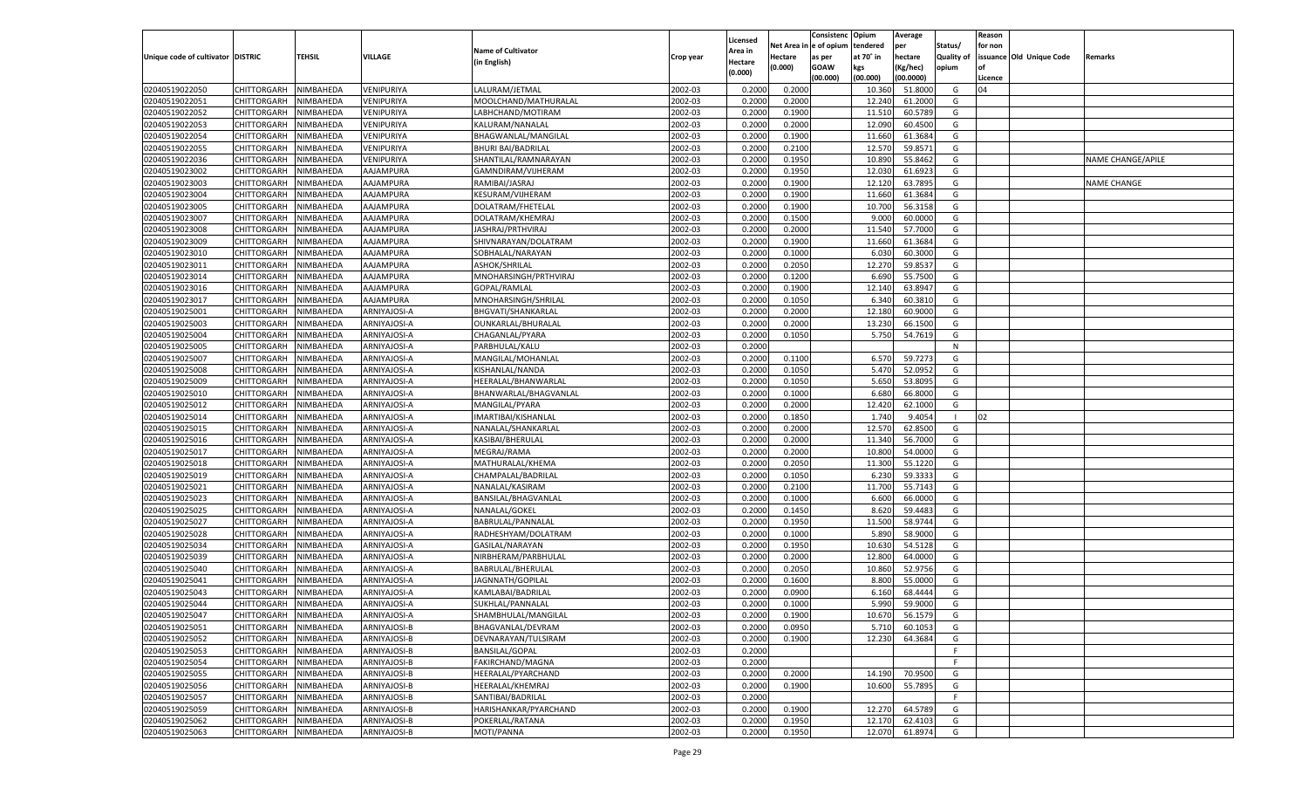| n e of opium<br>Net Area iı<br>tendered<br>per<br>Status/<br>for non<br><b>Name of Cultivator</b><br>Area in<br>Unique code of cultivator DISTRIC<br>TEHSIL<br>VILLAGE<br>at 70° in<br>hectare<br>Quality of<br>issuance Old Unique Code<br>Hectare<br>as per<br>Crop year<br>Remarks<br>(in English)<br>Hectare<br>(0.000)<br><b>GOAW</b><br>kgs<br>(Kg/hec)<br>opium<br>(0.000)<br>(00.000)<br>(00.000)<br>(00.0000)<br>Licence<br>02040519022050<br>CHITTORGARH<br>NIMBAHEDA<br>VENIPURIYA<br>2002-03<br>0.2000<br>0.2000<br>10.360<br>51.8000<br>LALURAM/JETMAL<br>G<br>04<br>02040519022051<br>CHITTORGARH<br>2002-03<br>0.2000<br>0.2000<br>12.240<br>NIMBAHEDA<br>VENIPURIYA<br>MOOLCHAND/MATHURALAL<br>61.2000<br>G<br>02040519022052<br>CHITTORGARH<br>VENIPURIYA<br>2002-03<br>0.2000<br>0.1900<br>60.5789<br>G<br>NIMBAHEDA<br>LABHCHAND/MOTIRAM<br>11.510<br>02040519022053<br>CHITTORGARH<br>VENIPURIYA<br>2002-03<br>12.090<br>60.4500<br>G<br>NIMBAHEDA<br>KALURAM/NANALAL<br>0.2000<br>0.2000<br>02040519022054<br>CHITTORGARH<br>NIMBAHEDA<br>VENIPURIYA<br>BHAGWANLAL/MANGILAL<br>2002-03<br>0.2000<br>0.1900<br>11.660<br>61.3684<br>G<br>02040519022055<br>CHITTORGARH<br>2002-03<br>0.2000<br>12.570<br>59.8571<br>NIMBAHEDA<br>VENIPURIYA<br><b>BHURI BAI/BADRILAL</b><br>0.2100<br>G<br>02040519022036<br>CHITTORGARH<br>VENIPURIYA<br>2002-03<br>0.2000<br>0.1950<br>10.890<br>55.8462<br>G<br>NIMBAHEDA<br>SHANTILAL/RAMNARAYAN<br>NAME CHANGE/APILE<br>02040519023002<br>CHITTORGARH<br>AAJAMPURA<br>2002-03<br>0.1950<br>12.030<br>61.6923<br>G<br>NIMBAHEDA<br>GAMNDIRAM/VIJHERAM<br>0.2000<br>02040519023003<br>CHITTORGARH<br>NIMBAHEDA<br>AAJAMPURA<br>RAMIBAI/JASRAJ<br>2002-03<br>0.2000<br>0.1900<br>12.120<br>63.7895<br>G<br><b>NAME CHANGE</b><br>02040519023004<br>CHITTORGARH<br>AAJAMPURA<br>2002-03<br>0.2000<br>11.660<br>61.3684<br>NIMBAHEDA<br><b>KESURAM/VIJHERAM</b><br>0.1900<br>G<br>02040519023005<br>CHITTORGARH<br>AAJAMPURA<br>2002-03<br>0.2000<br>0.1900<br>10.700<br>56.3158<br>NIMBAHEDA<br>DOLATRAM/FHETELAL<br>G<br>02040519023007<br>CHITTORGARH<br>AAJAMPURA<br>2002-03<br>0.2000<br>0.1500<br>9.000<br>60.0000<br>G<br>NIMBAHEDA<br>DOLATRAM/KHEMRAJ<br>02040519023008<br>CHITTORGARH<br>NIMBAHEDA<br>AAJAMPURA<br>JASHRAJ/PRTHVIRAJ<br>2002-03<br>0.2000<br>0.2000<br>11.54<br>57.7000<br>G<br>02040519023009<br>CHITTORGARH<br>AAJAMPURA<br>2002-03<br>0.2000<br>0.1900<br>11.660<br>61.3684<br>NIMBAHEDA<br>SHIVNARAYAN/DOLATRAM<br>G<br>02040519023010<br>CHITTORGARH<br>AAJAMPURA<br>2002-03<br>0.2000<br>0.1000<br>60.3000<br>NIMBAHEDA<br>SOBHALAL/NARAYAN<br>6.030<br>G<br>02040519023011<br>CHITTORGARH<br>AAJAMPURA<br>ASHOK/SHRILAL<br>2002-03<br>0.2000<br>0.2050<br>12.270<br>59.8537<br>NIMBAHEDA<br>G<br>02040519023014<br>CHITTORGARH<br>NIMBAHEDA<br>AAJAMPURA<br>MNOHARSINGH/PRTHVIRAJ<br>2002-03<br>0.2000<br>0.1200<br>55.7500<br>G<br>6.690<br>02040519023016<br>AAJAMPURA<br>2002-03<br>0.1900<br>12.14<br>63.8947<br>CHITTORGARH<br>NIMBAHEDA<br><b>GOPAL/RAMLAL</b><br>0.2000<br>G<br>02040519023017<br>CHITTORGARH<br>AAJAMPURA<br>2002-03<br>0.2000<br>0.1050<br>6.340<br>60.3810<br>NIMBAHEDA<br>MNOHARSINGH/SHRILAI<br>G<br>02040519025001<br>CHITTORGARH<br>2002-03<br>0.2000<br>0.2000<br>12.18<br>60.9000<br>NIMBAHEDA<br>ARNIYAJOSI-A<br><b>BHGVATI/SHANKARLAL</b><br>G<br>02040519025003<br>CHITTORGARH<br>NIMBAHEDA<br>ARNIYAJOSI-A<br>OUNKARLAL/BHURALAL<br>2002-03<br>0.2000<br>0.2000<br>13.230<br>66.1500<br>G<br>02040519025004<br>2002-03<br>5.750<br>54.7619<br>CHITTORGARH<br>NIMBAHEDA<br>ARNIYAJOSI-A<br>CHAGANLAL/PYARA<br>0.2000<br>0.1050<br>G<br>02040519025005<br>CHITTORGARH<br>ARNIYAJOSI-A<br>2002-03<br>0.2000<br>NIMBAHEDA<br>PARBHULAL/KALU<br>N<br>02040519025007<br>CHITTORGARH<br>2002-03<br>0.2000<br>6.570<br>59.7273<br>NIMBAHEDA<br>ARNIYAJOSI-A<br>MANGILAL/MOHANLAL<br>0.1100<br>G<br>02040519025008<br>CHITTORGARH<br>NIMBAHEDA<br>ARNIYAJOSI-A<br>KISHANLAL/NANDA<br>2002-03<br>0.2000<br>0.1050<br>5.470<br>52.0952<br>G<br>02040519025009<br>2002-03<br>5.650<br>53.8095<br>CHITTORGARH<br>NIMBAHEDA<br>ARNIYAJOSI-A<br>HEERALAL/BHANWARLAL<br>0.2000<br>0.1050<br>G<br>02040519025010<br>CHITTORGARH<br>ARNIYAJOSI-A<br>2002-03<br>0.2000<br>0.1000<br>6.680<br>66.8000<br>NIMBAHEDA<br>BHANWARLAL/BHAGVANLAL<br>G<br>02040519025012<br>CHITTORGARH<br>2002-03<br>0.2000<br>0.2000<br>12.420<br>NIMBAHEDA<br>ARNIYAJOSI-A<br>MANGILAL/PYARA<br>62.1000<br>G<br>02040519025014<br>CHITTORGARH<br>NIMBAHEDA<br>ARNIYAJOSI-A<br>2002-03<br>0.2000<br>0.1850<br>1.740<br>9.4054<br>02<br>IMARTIBAI/KISHANLAL<br>02040519025015<br>2002-03<br>12.570<br>62.8500<br>CHITTORGARH<br>NIMBAHEDA<br>ARNIYAJOSI-A<br>NANALAL/SHANKARLAL<br>0.2000<br>0.2000<br>G<br>02040519025016<br>NIMBAHEDA<br>ARNIYAJOSI-A<br>2002-03<br>0.2000<br>0.2000<br>11.34<br>56.7000<br>CHITTORGARH<br>KASIBAI/BHERULAL<br>G<br>02040519025017<br>2002-03<br>0.2000<br>10.800<br>54.0000<br>CHITTORGARH<br>NIMBAHEDA<br>ARNIYAJOSI-A<br>MEGRAJ/RAMA<br>0.2000<br>G<br>02040519025018<br>NIMBAHEDA<br>ARNIYAJOSI-A<br>2002-03<br>0.2000<br>0.2050<br>55.1220<br>CHITTORGARH<br>MATHURALAL/KHEMA<br>11.300<br>G<br>02040519025019<br>2002-03<br>0.2000<br>6.23<br>59.3333<br>CHITTORGARH<br>NIMBAHEDA<br>ARNIYAJOSI-A<br>CHAMPALAL/BADRILAL<br>0.1050<br>G<br>02040519025021<br>NIMBAHEDA<br>ARNIYAJOSI-A<br>NANALAL/KASIRAM<br>2002-03<br>0.2000<br>0.2100<br>11.700<br>55.7143<br>CHITTORGARH<br>G<br>02040519025023<br>2002-03<br>0.1000<br>6.600<br>66.0000<br>CHITTORGARH<br>NIMBAHEDA<br>ARNIYAJOSI-A<br>BANSILAL/BHAGVANLAL<br>0.2000<br>G<br>02040519025025<br>NIMBAHEDA<br>ARNIYAJOSI-A<br>NANALAL/GOKEL<br>2002-03<br>0.2000<br>0.1450<br>8.620<br>59.4483<br>CHITTORGARH<br>G<br>02040519025027<br>2002-03<br>0.2000<br>0.1950<br>11.500<br>58.9744<br>CHITTORGARH<br>NIMBAHEDA<br>ARNIYAJOSI-A<br>BABRULAL/PANNALAL<br>G<br>02040519025028<br>NIMBAHEDA<br>ARNIYAJOSI-A<br>2002-03<br>0.2000<br>0.1000<br>5.890<br>58.9000<br>CHITTORGARH<br>RADHESHYAM/DOLATRAM<br>G<br>02040519025034<br>2002-03<br>0.1950<br>10.630<br>54.5128<br>CHITTORGARH<br>NIMBAHEDA<br>ARNIYAJOSI-A<br>GASILAL/NARAYAN<br>0.2000<br>G<br>02040519025039<br>NIMBAHEDA<br>ARNIYAJOSI-A<br>2002-03<br>0.2000<br>0.2000<br>64.0000<br>CHITTORGARH<br>NIRBHERAM/PARBHULAL<br>12.800<br>G<br>02040519025040<br>2002-03<br>10.860<br>52.9756<br>CHITTORGARH<br>NIMBAHEDA<br>ARNIYAJOSI-A<br>BABRULAL/BHERULAL<br>0.2000<br>0.2050<br>G<br>02040519025041<br>2002-03<br>0.2000<br>0.1600<br>CHITTORGARH<br>NIMBAHEDA<br>ARNIYAJOSI-A<br>JAGNNATH/GOPILAL<br>8.800<br>55.0000<br>G<br>02040519025043<br>2002-03<br>CHITTORGARH<br>NIMBAHEDA<br>ARNIYAJOSI-A<br>KAMLABAI/BADRILAL<br>0.2000<br>0.0900<br>6.160<br>68.4444<br>G<br>02040519025044<br>NIMBAHEDA<br>2002-03<br>0.2000<br>0.1000<br>5.990<br>59.9000<br>CHITTORGARH<br>ARNIYAJOSI-A<br>SUKHLAL/PANNALAI<br>G<br>CHITTORGARH<br>NIMBAHEDA<br>ARNIYAJOSI-A<br>SHAMBHULAL/MANGILAL<br>2002-03<br>0.2000<br>0.1900<br>10.670 56.1579<br>G<br>2002-03<br>NIMBAHEDA<br>ARNIYAJOSI-B<br>BHAGVANLAL/DEVRAM<br>0.2000<br>0.0950<br>5.710<br><b>CHITTORGARH</b><br>60.1053<br>G<br>CHITTORGARH<br>NIMBAHEDA<br>ARNIYAJOSI-B<br>DEVNARAYAN/TULSIRAM<br>2002-03<br>0.2000<br>0.1900<br>12.230<br>64.3684<br>G<br>2002-03<br>CHITTORGARH<br>NIMBAHEDA<br>ARNIYAJOSI-B<br><b>BANSILAL/GOPAL</b><br>0.2000<br>F.<br>CHITTORGARH<br>NIMBAHEDA<br>ARNIYAJOSI-B<br>FAKIRCHAND/MAGNA<br>2002-03<br>0.2000<br>F.<br>02040519025055<br>CHITTORGARH<br>NIMBAHEDA<br>ARNIYAJOSI-B<br>HEERALAL/PYARCHAND<br>2002-03<br>0.2000<br>0.2000<br>70.9500<br>14.190<br>G<br>CHITTORGARH<br>NIMBAHEDA<br>ARNIYAJOSI-B<br>HEERALAL/KHEMRAJ<br>2002-03<br>0.2000<br>0.1900<br>55.7895<br>10.600<br>G<br>2002-03<br>02040519025057<br>CHITTORGARH<br>NIMBAHEDA<br>ARNIYAJOSI-B<br>SANTIBAI/BADRILAL<br>0.2000<br>F.<br>CHITTORGARH<br>NIMBAHEDA<br>ARNIYAJOSI-B<br>HARISHANKAR/PYARCHAND<br>2002-03<br>0.2000<br>0.1900<br>12.270<br>64.5789<br>G<br>02040519025062<br>CHITTORGARH<br>NIMBAHEDA<br>ARNIYAJOSI-B<br>POKERLAL/RATANA<br>2002-03<br>0.2000<br>0.1950<br>12.170<br>62.4103<br>G |                |                    |           |              |            |         |          |        | Consistenc | Opium  | Average |   | Reason |  |
|------------------------------------------------------------------------------------------------------------------------------------------------------------------------------------------------------------------------------------------------------------------------------------------------------------------------------------------------------------------------------------------------------------------------------------------------------------------------------------------------------------------------------------------------------------------------------------------------------------------------------------------------------------------------------------------------------------------------------------------------------------------------------------------------------------------------------------------------------------------------------------------------------------------------------------------------------------------------------------------------------------------------------------------------------------------------------------------------------------------------------------------------------------------------------------------------------------------------------------------------------------------------------------------------------------------------------------------------------------------------------------------------------------------------------------------------------------------------------------------------------------------------------------------------------------------------------------------------------------------------------------------------------------------------------------------------------------------------------------------------------------------------------------------------------------------------------------------------------------------------------------------------------------------------------------------------------------------------------------------------------------------------------------------------------------------------------------------------------------------------------------------------------------------------------------------------------------------------------------------------------------------------------------------------------------------------------------------------------------------------------------------------------------------------------------------------------------------------------------------------------------------------------------------------------------------------------------------------------------------------------------------------------------------------------------------------------------------------------------------------------------------------------------------------------------------------------------------------------------------------------------------------------------------------------------------------------------------------------------------------------------------------------------------------------------------------------------------------------------------------------------------------------------------------------------------------------------------------------------------------------------------------------------------------------------------------------------------------------------------------------------------------------------------------------------------------------------------------------------------------------------------------------------------------------------------------------------------------------------------------------------------------------------------------------------------------------------------------------------------------------------------------------------------------------------------------------------------------------------------------------------------------------------------------------------------------------------------------------------------------------------------------------------------------------------------------------------------------------------------------------------------------------------------------------------------------------------------------------------------------------------------------------------------------------------------------------------------------------------------------------------------------------------------------------------------------------------------------------------------------------------------------------------------------------------------------------------------------------------------------------------------------------------------------------------------------------------------------------------------------------------------------------------------------------------------------------------------------------------------------------------------------------------------------------------------------------------------------------------------------------------------------------------------------------------------------------------------------------------------------------------------------------------------------------------------------------------------------------------------------------------------------------------------------------------------------------------------------------------------------------------------------------------------------------------------------------------------------------------------------------------------------------------------------------------------------------------------------------------------------------------------------------------------------------------------------------------------------------------------------------------------------------------------------------------------------------------------------------------------------------------------------------------------------------------------------------------------------------------------------------------------------------------------------------------------------------------------------------------------------------------------------------------------------------------------------------------------------------------------------------------------------------------------------------------------------------------------------------------------------------------------------------------------------------------------------------------------------------------------------------------------------------------------------------------------------------------------------------------------------------------------------------------------------------------------------------------------------------------------------------------------------------------------------------------------------------------------------------------------------------------------------------------------------------------------------------------------------------------------------------------------------------------------------------------------------------------------------------------------------------------------------------------------------------------------------------------------------------------------------------------------------------------------------------------------------------------------------------------------------------------------------------------------------------------------------------------------------------------------------------------------------------------------------------------------------------------------------------------------------------------------------------------------------------------------------------------------------------------------------------------------------------------------------------------------------------------------------------------------------------------------------------------------------------------------------------------------------------------------------------------------------------------------------------------------------------------------------------------------------------------------------------------------------------------------------------|----------------|--------------------|-----------|--------------|------------|---------|----------|--------|------------|--------|---------|---|--------|--|
|                                                                                                                                                                                                                                                                                                                                                                                                                                                                                                                                                                                                                                                                                                                                                                                                                                                                                                                                                                                                                                                                                                                                                                                                                                                                                                                                                                                                                                                                                                                                                                                                                                                                                                                                                                                                                                                                                                                                                                                                                                                                                                                                                                                                                                                                                                                                                                                                                                                                                                                                                                                                                                                                                                                                                                                                                                                                                                                                                                                                                                                                                                                                                                                                                                                                                                                                                                                                                                                                                                                                                                                                                                                                                                                                                                                                                                                                                                                                                                                                                                                                                                                                                                                                                                                                                                                                                                                                                                                                                                                                                                                                                                                                                                                                                                                                                                                                                                                                                                                                                                                                                                                                                                                                                                                                                                                                                                                                                                                                                                                                                                                                                                                                                                                                                                                                                                                                                                                                                                                                                                                                                                                                                                                                                                                                                                                                                                                                                                                                                                                                                                                                                                                                                                                                                                                                                                                                                                                                                                                                                                                                                                                                                                                                                                                                                                                                                                                                                                                                                                                                                                                                                                                                                                                                                                                                                                                                                                                                                                                                                                                                                                                                                                                                      |                |                    |           |              |            |         | Licensed |        |            |        |         |   |        |  |
|                                                                                                                                                                                                                                                                                                                                                                                                                                                                                                                                                                                                                                                                                                                                                                                                                                                                                                                                                                                                                                                                                                                                                                                                                                                                                                                                                                                                                                                                                                                                                                                                                                                                                                                                                                                                                                                                                                                                                                                                                                                                                                                                                                                                                                                                                                                                                                                                                                                                                                                                                                                                                                                                                                                                                                                                                                                                                                                                                                                                                                                                                                                                                                                                                                                                                                                                                                                                                                                                                                                                                                                                                                                                                                                                                                                                                                                                                                                                                                                                                                                                                                                                                                                                                                                                                                                                                                                                                                                                                                                                                                                                                                                                                                                                                                                                                                                                                                                                                                                                                                                                                                                                                                                                                                                                                                                                                                                                                                                                                                                                                                                                                                                                                                                                                                                                                                                                                                                                                                                                                                                                                                                                                                                                                                                                                                                                                                                                                                                                                                                                                                                                                                                                                                                                                                                                                                                                                                                                                                                                                                                                                                                                                                                                                                                                                                                                                                                                                                                                                                                                                                                                                                                                                                                                                                                                                                                                                                                                                                                                                                                                                                                                                                                                      |                |                    |           |              |            |         |          |        |            |        |         |   |        |  |
|                                                                                                                                                                                                                                                                                                                                                                                                                                                                                                                                                                                                                                                                                                                                                                                                                                                                                                                                                                                                                                                                                                                                                                                                                                                                                                                                                                                                                                                                                                                                                                                                                                                                                                                                                                                                                                                                                                                                                                                                                                                                                                                                                                                                                                                                                                                                                                                                                                                                                                                                                                                                                                                                                                                                                                                                                                                                                                                                                                                                                                                                                                                                                                                                                                                                                                                                                                                                                                                                                                                                                                                                                                                                                                                                                                                                                                                                                                                                                                                                                                                                                                                                                                                                                                                                                                                                                                                                                                                                                                                                                                                                                                                                                                                                                                                                                                                                                                                                                                                                                                                                                                                                                                                                                                                                                                                                                                                                                                                                                                                                                                                                                                                                                                                                                                                                                                                                                                                                                                                                                                                                                                                                                                                                                                                                                                                                                                                                                                                                                                                                                                                                                                                                                                                                                                                                                                                                                                                                                                                                                                                                                                                                                                                                                                                                                                                                                                                                                                                                                                                                                                                                                                                                                                                                                                                                                                                                                                                                                                                                                                                                                                                                                                                                      |                |                    |           |              |            |         |          |        |            |        |         |   |        |  |
|                                                                                                                                                                                                                                                                                                                                                                                                                                                                                                                                                                                                                                                                                                                                                                                                                                                                                                                                                                                                                                                                                                                                                                                                                                                                                                                                                                                                                                                                                                                                                                                                                                                                                                                                                                                                                                                                                                                                                                                                                                                                                                                                                                                                                                                                                                                                                                                                                                                                                                                                                                                                                                                                                                                                                                                                                                                                                                                                                                                                                                                                                                                                                                                                                                                                                                                                                                                                                                                                                                                                                                                                                                                                                                                                                                                                                                                                                                                                                                                                                                                                                                                                                                                                                                                                                                                                                                                                                                                                                                                                                                                                                                                                                                                                                                                                                                                                                                                                                                                                                                                                                                                                                                                                                                                                                                                                                                                                                                                                                                                                                                                                                                                                                                                                                                                                                                                                                                                                                                                                                                                                                                                                                                                                                                                                                                                                                                                                                                                                                                                                                                                                                                                                                                                                                                                                                                                                                                                                                                                                                                                                                                                                                                                                                                                                                                                                                                                                                                                                                                                                                                                                                                                                                                                                                                                                                                                                                                                                                                                                                                                                                                                                                                                                      |                |                    |           |              |            |         |          |        |            |        |         |   |        |  |
|                                                                                                                                                                                                                                                                                                                                                                                                                                                                                                                                                                                                                                                                                                                                                                                                                                                                                                                                                                                                                                                                                                                                                                                                                                                                                                                                                                                                                                                                                                                                                                                                                                                                                                                                                                                                                                                                                                                                                                                                                                                                                                                                                                                                                                                                                                                                                                                                                                                                                                                                                                                                                                                                                                                                                                                                                                                                                                                                                                                                                                                                                                                                                                                                                                                                                                                                                                                                                                                                                                                                                                                                                                                                                                                                                                                                                                                                                                                                                                                                                                                                                                                                                                                                                                                                                                                                                                                                                                                                                                                                                                                                                                                                                                                                                                                                                                                                                                                                                                                                                                                                                                                                                                                                                                                                                                                                                                                                                                                                                                                                                                                                                                                                                                                                                                                                                                                                                                                                                                                                                                                                                                                                                                                                                                                                                                                                                                                                                                                                                                                                                                                                                                                                                                                                                                                                                                                                                                                                                                                                                                                                                                                                                                                                                                                                                                                                                                                                                                                                                                                                                                                                                                                                                                                                                                                                                                                                                                                                                                                                                                                                                                                                                                                                      |                |                    |           |              |            |         |          |        |            |        |         |   |        |  |
|                                                                                                                                                                                                                                                                                                                                                                                                                                                                                                                                                                                                                                                                                                                                                                                                                                                                                                                                                                                                                                                                                                                                                                                                                                                                                                                                                                                                                                                                                                                                                                                                                                                                                                                                                                                                                                                                                                                                                                                                                                                                                                                                                                                                                                                                                                                                                                                                                                                                                                                                                                                                                                                                                                                                                                                                                                                                                                                                                                                                                                                                                                                                                                                                                                                                                                                                                                                                                                                                                                                                                                                                                                                                                                                                                                                                                                                                                                                                                                                                                                                                                                                                                                                                                                                                                                                                                                                                                                                                                                                                                                                                                                                                                                                                                                                                                                                                                                                                                                                                                                                                                                                                                                                                                                                                                                                                                                                                                                                                                                                                                                                                                                                                                                                                                                                                                                                                                                                                                                                                                                                                                                                                                                                                                                                                                                                                                                                                                                                                                                                                                                                                                                                                                                                                                                                                                                                                                                                                                                                                                                                                                                                                                                                                                                                                                                                                                                                                                                                                                                                                                                                                                                                                                                                                                                                                                                                                                                                                                                                                                                                                                                                                                                                                      |                |                    |           |              |            |         |          |        |            |        |         |   |        |  |
|                                                                                                                                                                                                                                                                                                                                                                                                                                                                                                                                                                                                                                                                                                                                                                                                                                                                                                                                                                                                                                                                                                                                                                                                                                                                                                                                                                                                                                                                                                                                                                                                                                                                                                                                                                                                                                                                                                                                                                                                                                                                                                                                                                                                                                                                                                                                                                                                                                                                                                                                                                                                                                                                                                                                                                                                                                                                                                                                                                                                                                                                                                                                                                                                                                                                                                                                                                                                                                                                                                                                                                                                                                                                                                                                                                                                                                                                                                                                                                                                                                                                                                                                                                                                                                                                                                                                                                                                                                                                                                                                                                                                                                                                                                                                                                                                                                                                                                                                                                                                                                                                                                                                                                                                                                                                                                                                                                                                                                                                                                                                                                                                                                                                                                                                                                                                                                                                                                                                                                                                                                                                                                                                                                                                                                                                                                                                                                                                                                                                                                                                                                                                                                                                                                                                                                                                                                                                                                                                                                                                                                                                                                                                                                                                                                                                                                                                                                                                                                                                                                                                                                                                                                                                                                                                                                                                                                                                                                                                                                                                                                                                                                                                                                                                      |                |                    |           |              |            |         |          |        |            |        |         |   |        |  |
|                                                                                                                                                                                                                                                                                                                                                                                                                                                                                                                                                                                                                                                                                                                                                                                                                                                                                                                                                                                                                                                                                                                                                                                                                                                                                                                                                                                                                                                                                                                                                                                                                                                                                                                                                                                                                                                                                                                                                                                                                                                                                                                                                                                                                                                                                                                                                                                                                                                                                                                                                                                                                                                                                                                                                                                                                                                                                                                                                                                                                                                                                                                                                                                                                                                                                                                                                                                                                                                                                                                                                                                                                                                                                                                                                                                                                                                                                                                                                                                                                                                                                                                                                                                                                                                                                                                                                                                                                                                                                                                                                                                                                                                                                                                                                                                                                                                                                                                                                                                                                                                                                                                                                                                                                                                                                                                                                                                                                                                                                                                                                                                                                                                                                                                                                                                                                                                                                                                                                                                                                                                                                                                                                                                                                                                                                                                                                                                                                                                                                                                                                                                                                                                                                                                                                                                                                                                                                                                                                                                                                                                                                                                                                                                                                                                                                                                                                                                                                                                                                                                                                                                                                                                                                                                                                                                                                                                                                                                                                                                                                                                                                                                                                                                                      |                |                    |           |              |            |         |          |        |            |        |         |   |        |  |
|                                                                                                                                                                                                                                                                                                                                                                                                                                                                                                                                                                                                                                                                                                                                                                                                                                                                                                                                                                                                                                                                                                                                                                                                                                                                                                                                                                                                                                                                                                                                                                                                                                                                                                                                                                                                                                                                                                                                                                                                                                                                                                                                                                                                                                                                                                                                                                                                                                                                                                                                                                                                                                                                                                                                                                                                                                                                                                                                                                                                                                                                                                                                                                                                                                                                                                                                                                                                                                                                                                                                                                                                                                                                                                                                                                                                                                                                                                                                                                                                                                                                                                                                                                                                                                                                                                                                                                                                                                                                                                                                                                                                                                                                                                                                                                                                                                                                                                                                                                                                                                                                                                                                                                                                                                                                                                                                                                                                                                                                                                                                                                                                                                                                                                                                                                                                                                                                                                                                                                                                                                                                                                                                                                                                                                                                                                                                                                                                                                                                                                                                                                                                                                                                                                                                                                                                                                                                                                                                                                                                                                                                                                                                                                                                                                                                                                                                                                                                                                                                                                                                                                                                                                                                                                                                                                                                                                                                                                                                                                                                                                                                                                                                                                                                      |                |                    |           |              |            |         |          |        |            |        |         |   |        |  |
|                                                                                                                                                                                                                                                                                                                                                                                                                                                                                                                                                                                                                                                                                                                                                                                                                                                                                                                                                                                                                                                                                                                                                                                                                                                                                                                                                                                                                                                                                                                                                                                                                                                                                                                                                                                                                                                                                                                                                                                                                                                                                                                                                                                                                                                                                                                                                                                                                                                                                                                                                                                                                                                                                                                                                                                                                                                                                                                                                                                                                                                                                                                                                                                                                                                                                                                                                                                                                                                                                                                                                                                                                                                                                                                                                                                                                                                                                                                                                                                                                                                                                                                                                                                                                                                                                                                                                                                                                                                                                                                                                                                                                                                                                                                                                                                                                                                                                                                                                                                                                                                                                                                                                                                                                                                                                                                                                                                                                                                                                                                                                                                                                                                                                                                                                                                                                                                                                                                                                                                                                                                                                                                                                                                                                                                                                                                                                                                                                                                                                                                                                                                                                                                                                                                                                                                                                                                                                                                                                                                                                                                                                                                                                                                                                                                                                                                                                                                                                                                                                                                                                                                                                                                                                                                                                                                                                                                                                                                                                                                                                                                                                                                                                                                                      |                |                    |           |              |            |         |          |        |            |        |         |   |        |  |
|                                                                                                                                                                                                                                                                                                                                                                                                                                                                                                                                                                                                                                                                                                                                                                                                                                                                                                                                                                                                                                                                                                                                                                                                                                                                                                                                                                                                                                                                                                                                                                                                                                                                                                                                                                                                                                                                                                                                                                                                                                                                                                                                                                                                                                                                                                                                                                                                                                                                                                                                                                                                                                                                                                                                                                                                                                                                                                                                                                                                                                                                                                                                                                                                                                                                                                                                                                                                                                                                                                                                                                                                                                                                                                                                                                                                                                                                                                                                                                                                                                                                                                                                                                                                                                                                                                                                                                                                                                                                                                                                                                                                                                                                                                                                                                                                                                                                                                                                                                                                                                                                                                                                                                                                                                                                                                                                                                                                                                                                                                                                                                                                                                                                                                                                                                                                                                                                                                                                                                                                                                                                                                                                                                                                                                                                                                                                                                                                                                                                                                                                                                                                                                                                                                                                                                                                                                                                                                                                                                                                                                                                                                                                                                                                                                                                                                                                                                                                                                                                                                                                                                                                                                                                                                                                                                                                                                                                                                                                                                                                                                                                                                                                                                                                      |                |                    |           |              |            |         |          |        |            |        |         |   |        |  |
|                                                                                                                                                                                                                                                                                                                                                                                                                                                                                                                                                                                                                                                                                                                                                                                                                                                                                                                                                                                                                                                                                                                                                                                                                                                                                                                                                                                                                                                                                                                                                                                                                                                                                                                                                                                                                                                                                                                                                                                                                                                                                                                                                                                                                                                                                                                                                                                                                                                                                                                                                                                                                                                                                                                                                                                                                                                                                                                                                                                                                                                                                                                                                                                                                                                                                                                                                                                                                                                                                                                                                                                                                                                                                                                                                                                                                                                                                                                                                                                                                                                                                                                                                                                                                                                                                                                                                                                                                                                                                                                                                                                                                                                                                                                                                                                                                                                                                                                                                                                                                                                                                                                                                                                                                                                                                                                                                                                                                                                                                                                                                                                                                                                                                                                                                                                                                                                                                                                                                                                                                                                                                                                                                                                                                                                                                                                                                                                                                                                                                                                                                                                                                                                                                                                                                                                                                                                                                                                                                                                                                                                                                                                                                                                                                                                                                                                                                                                                                                                                                                                                                                                                                                                                                                                                                                                                                                                                                                                                                                                                                                                                                                                                                                                                      |                |                    |           |              |            |         |          |        |            |        |         |   |        |  |
|                                                                                                                                                                                                                                                                                                                                                                                                                                                                                                                                                                                                                                                                                                                                                                                                                                                                                                                                                                                                                                                                                                                                                                                                                                                                                                                                                                                                                                                                                                                                                                                                                                                                                                                                                                                                                                                                                                                                                                                                                                                                                                                                                                                                                                                                                                                                                                                                                                                                                                                                                                                                                                                                                                                                                                                                                                                                                                                                                                                                                                                                                                                                                                                                                                                                                                                                                                                                                                                                                                                                                                                                                                                                                                                                                                                                                                                                                                                                                                                                                                                                                                                                                                                                                                                                                                                                                                                                                                                                                                                                                                                                                                                                                                                                                                                                                                                                                                                                                                                                                                                                                                                                                                                                                                                                                                                                                                                                                                                                                                                                                                                                                                                                                                                                                                                                                                                                                                                                                                                                                                                                                                                                                                                                                                                                                                                                                                                                                                                                                                                                                                                                                                                                                                                                                                                                                                                                                                                                                                                                                                                                                                                                                                                                                                                                                                                                                                                                                                                                                                                                                                                                                                                                                                                                                                                                                                                                                                                                                                                                                                                                                                                                                                                                      |                |                    |           |              |            |         |          |        |            |        |         |   |        |  |
|                                                                                                                                                                                                                                                                                                                                                                                                                                                                                                                                                                                                                                                                                                                                                                                                                                                                                                                                                                                                                                                                                                                                                                                                                                                                                                                                                                                                                                                                                                                                                                                                                                                                                                                                                                                                                                                                                                                                                                                                                                                                                                                                                                                                                                                                                                                                                                                                                                                                                                                                                                                                                                                                                                                                                                                                                                                                                                                                                                                                                                                                                                                                                                                                                                                                                                                                                                                                                                                                                                                                                                                                                                                                                                                                                                                                                                                                                                                                                                                                                                                                                                                                                                                                                                                                                                                                                                                                                                                                                                                                                                                                                                                                                                                                                                                                                                                                                                                                                                                                                                                                                                                                                                                                                                                                                                                                                                                                                                                                                                                                                                                                                                                                                                                                                                                                                                                                                                                                                                                                                                                                                                                                                                                                                                                                                                                                                                                                                                                                                                                                                                                                                                                                                                                                                                                                                                                                                                                                                                                                                                                                                                                                                                                                                                                                                                                                                                                                                                                                                                                                                                                                                                                                                                                                                                                                                                                                                                                                                                                                                                                                                                                                                                                                      |                |                    |           |              |            |         |          |        |            |        |         |   |        |  |
|                                                                                                                                                                                                                                                                                                                                                                                                                                                                                                                                                                                                                                                                                                                                                                                                                                                                                                                                                                                                                                                                                                                                                                                                                                                                                                                                                                                                                                                                                                                                                                                                                                                                                                                                                                                                                                                                                                                                                                                                                                                                                                                                                                                                                                                                                                                                                                                                                                                                                                                                                                                                                                                                                                                                                                                                                                                                                                                                                                                                                                                                                                                                                                                                                                                                                                                                                                                                                                                                                                                                                                                                                                                                                                                                                                                                                                                                                                                                                                                                                                                                                                                                                                                                                                                                                                                                                                                                                                                                                                                                                                                                                                                                                                                                                                                                                                                                                                                                                                                                                                                                                                                                                                                                                                                                                                                                                                                                                                                                                                                                                                                                                                                                                                                                                                                                                                                                                                                                                                                                                                                                                                                                                                                                                                                                                                                                                                                                                                                                                                                                                                                                                                                                                                                                                                                                                                                                                                                                                                                                                                                                                                                                                                                                                                                                                                                                                                                                                                                                                                                                                                                                                                                                                                                                                                                                                                                                                                                                                                                                                                                                                                                                                                                                      |                |                    |           |              |            |         |          |        |            |        |         |   |        |  |
|                                                                                                                                                                                                                                                                                                                                                                                                                                                                                                                                                                                                                                                                                                                                                                                                                                                                                                                                                                                                                                                                                                                                                                                                                                                                                                                                                                                                                                                                                                                                                                                                                                                                                                                                                                                                                                                                                                                                                                                                                                                                                                                                                                                                                                                                                                                                                                                                                                                                                                                                                                                                                                                                                                                                                                                                                                                                                                                                                                                                                                                                                                                                                                                                                                                                                                                                                                                                                                                                                                                                                                                                                                                                                                                                                                                                                                                                                                                                                                                                                                                                                                                                                                                                                                                                                                                                                                                                                                                                                                                                                                                                                                                                                                                                                                                                                                                                                                                                                                                                                                                                                                                                                                                                                                                                                                                                                                                                                                                                                                                                                                                                                                                                                                                                                                                                                                                                                                                                                                                                                                                                                                                                                                                                                                                                                                                                                                                                                                                                                                                                                                                                                                                                                                                                                                                                                                                                                                                                                                                                                                                                                                                                                                                                                                                                                                                                                                                                                                                                                                                                                                                                                                                                                                                                                                                                                                                                                                                                                                                                                                                                                                                                                                                                      |                |                    |           |              |            |         |          |        |            |        |         |   |        |  |
|                                                                                                                                                                                                                                                                                                                                                                                                                                                                                                                                                                                                                                                                                                                                                                                                                                                                                                                                                                                                                                                                                                                                                                                                                                                                                                                                                                                                                                                                                                                                                                                                                                                                                                                                                                                                                                                                                                                                                                                                                                                                                                                                                                                                                                                                                                                                                                                                                                                                                                                                                                                                                                                                                                                                                                                                                                                                                                                                                                                                                                                                                                                                                                                                                                                                                                                                                                                                                                                                                                                                                                                                                                                                                                                                                                                                                                                                                                                                                                                                                                                                                                                                                                                                                                                                                                                                                                                                                                                                                                                                                                                                                                                                                                                                                                                                                                                                                                                                                                                                                                                                                                                                                                                                                                                                                                                                                                                                                                                                                                                                                                                                                                                                                                                                                                                                                                                                                                                                                                                                                                                                                                                                                                                                                                                                                                                                                                                                                                                                                                                                                                                                                                                                                                                                                                                                                                                                                                                                                                                                                                                                                                                                                                                                                                                                                                                                                                                                                                                                                                                                                                                                                                                                                                                                                                                                                                                                                                                                                                                                                                                                                                                                                                                                      |                |                    |           |              |            |         |          |        |            |        |         |   |        |  |
|                                                                                                                                                                                                                                                                                                                                                                                                                                                                                                                                                                                                                                                                                                                                                                                                                                                                                                                                                                                                                                                                                                                                                                                                                                                                                                                                                                                                                                                                                                                                                                                                                                                                                                                                                                                                                                                                                                                                                                                                                                                                                                                                                                                                                                                                                                                                                                                                                                                                                                                                                                                                                                                                                                                                                                                                                                                                                                                                                                                                                                                                                                                                                                                                                                                                                                                                                                                                                                                                                                                                                                                                                                                                                                                                                                                                                                                                                                                                                                                                                                                                                                                                                                                                                                                                                                                                                                                                                                                                                                                                                                                                                                                                                                                                                                                                                                                                                                                                                                                                                                                                                                                                                                                                                                                                                                                                                                                                                                                                                                                                                                                                                                                                                                                                                                                                                                                                                                                                                                                                                                                                                                                                                                                                                                                                                                                                                                                                                                                                                                                                                                                                                                                                                                                                                                                                                                                                                                                                                                                                                                                                                                                                                                                                                                                                                                                                                                                                                                                                                                                                                                                                                                                                                                                                                                                                                                                                                                                                                                                                                                                                                                                                                                                                      |                |                    |           |              |            |         |          |        |            |        |         |   |        |  |
|                                                                                                                                                                                                                                                                                                                                                                                                                                                                                                                                                                                                                                                                                                                                                                                                                                                                                                                                                                                                                                                                                                                                                                                                                                                                                                                                                                                                                                                                                                                                                                                                                                                                                                                                                                                                                                                                                                                                                                                                                                                                                                                                                                                                                                                                                                                                                                                                                                                                                                                                                                                                                                                                                                                                                                                                                                                                                                                                                                                                                                                                                                                                                                                                                                                                                                                                                                                                                                                                                                                                                                                                                                                                                                                                                                                                                                                                                                                                                                                                                                                                                                                                                                                                                                                                                                                                                                                                                                                                                                                                                                                                                                                                                                                                                                                                                                                                                                                                                                                                                                                                                                                                                                                                                                                                                                                                                                                                                                                                                                                                                                                                                                                                                                                                                                                                                                                                                                                                                                                                                                                                                                                                                                                                                                                                                                                                                                                                                                                                                                                                                                                                                                                                                                                                                                                                                                                                                                                                                                                                                                                                                                                                                                                                                                                                                                                                                                                                                                                                                                                                                                                                                                                                                                                                                                                                                                                                                                                                                                                                                                                                                                                                                                                                      |                |                    |           |              |            |         |          |        |            |        |         |   |        |  |
|                                                                                                                                                                                                                                                                                                                                                                                                                                                                                                                                                                                                                                                                                                                                                                                                                                                                                                                                                                                                                                                                                                                                                                                                                                                                                                                                                                                                                                                                                                                                                                                                                                                                                                                                                                                                                                                                                                                                                                                                                                                                                                                                                                                                                                                                                                                                                                                                                                                                                                                                                                                                                                                                                                                                                                                                                                                                                                                                                                                                                                                                                                                                                                                                                                                                                                                                                                                                                                                                                                                                                                                                                                                                                                                                                                                                                                                                                                                                                                                                                                                                                                                                                                                                                                                                                                                                                                                                                                                                                                                                                                                                                                                                                                                                                                                                                                                                                                                                                                                                                                                                                                                                                                                                                                                                                                                                                                                                                                                                                                                                                                                                                                                                                                                                                                                                                                                                                                                                                                                                                                                                                                                                                                                                                                                                                                                                                                                                                                                                                                                                                                                                                                                                                                                                                                                                                                                                                                                                                                                                                                                                                                                                                                                                                                                                                                                                                                                                                                                                                                                                                                                                                                                                                                                                                                                                                                                                                                                                                                                                                                                                                                                                                                                                      |                |                    |           |              |            |         |          |        |            |        |         |   |        |  |
|                                                                                                                                                                                                                                                                                                                                                                                                                                                                                                                                                                                                                                                                                                                                                                                                                                                                                                                                                                                                                                                                                                                                                                                                                                                                                                                                                                                                                                                                                                                                                                                                                                                                                                                                                                                                                                                                                                                                                                                                                                                                                                                                                                                                                                                                                                                                                                                                                                                                                                                                                                                                                                                                                                                                                                                                                                                                                                                                                                                                                                                                                                                                                                                                                                                                                                                                                                                                                                                                                                                                                                                                                                                                                                                                                                                                                                                                                                                                                                                                                                                                                                                                                                                                                                                                                                                                                                                                                                                                                                                                                                                                                                                                                                                                                                                                                                                                                                                                                                                                                                                                                                                                                                                                                                                                                                                                                                                                                                                                                                                                                                                                                                                                                                                                                                                                                                                                                                                                                                                                                                                                                                                                                                                                                                                                                                                                                                                                                                                                                                                                                                                                                                                                                                                                                                                                                                                                                                                                                                                                                                                                                                                                                                                                                                                                                                                                                                                                                                                                                                                                                                                                                                                                                                                                                                                                                                                                                                                                                                                                                                                                                                                                                                                                      |                |                    |           |              |            |         |          |        |            |        |         |   |        |  |
|                                                                                                                                                                                                                                                                                                                                                                                                                                                                                                                                                                                                                                                                                                                                                                                                                                                                                                                                                                                                                                                                                                                                                                                                                                                                                                                                                                                                                                                                                                                                                                                                                                                                                                                                                                                                                                                                                                                                                                                                                                                                                                                                                                                                                                                                                                                                                                                                                                                                                                                                                                                                                                                                                                                                                                                                                                                                                                                                                                                                                                                                                                                                                                                                                                                                                                                                                                                                                                                                                                                                                                                                                                                                                                                                                                                                                                                                                                                                                                                                                                                                                                                                                                                                                                                                                                                                                                                                                                                                                                                                                                                                                                                                                                                                                                                                                                                                                                                                                                                                                                                                                                                                                                                                                                                                                                                                                                                                                                                                                                                                                                                                                                                                                                                                                                                                                                                                                                                                                                                                                                                                                                                                                                                                                                                                                                                                                                                                                                                                                                                                                                                                                                                                                                                                                                                                                                                                                                                                                                                                                                                                                                                                                                                                                                                                                                                                                                                                                                                                                                                                                                                                                                                                                                                                                                                                                                                                                                                                                                                                                                                                                                                                                                                                      |                |                    |           |              |            |         |          |        |            |        |         |   |        |  |
|                                                                                                                                                                                                                                                                                                                                                                                                                                                                                                                                                                                                                                                                                                                                                                                                                                                                                                                                                                                                                                                                                                                                                                                                                                                                                                                                                                                                                                                                                                                                                                                                                                                                                                                                                                                                                                                                                                                                                                                                                                                                                                                                                                                                                                                                                                                                                                                                                                                                                                                                                                                                                                                                                                                                                                                                                                                                                                                                                                                                                                                                                                                                                                                                                                                                                                                                                                                                                                                                                                                                                                                                                                                                                                                                                                                                                                                                                                                                                                                                                                                                                                                                                                                                                                                                                                                                                                                                                                                                                                                                                                                                                                                                                                                                                                                                                                                                                                                                                                                                                                                                                                                                                                                                                                                                                                                                                                                                                                                                                                                                                                                                                                                                                                                                                                                                                                                                                                                                                                                                                                                                                                                                                                                                                                                                                                                                                                                                                                                                                                                                                                                                                                                                                                                                                                                                                                                                                                                                                                                                                                                                                                                                                                                                                                                                                                                                                                                                                                                                                                                                                                                                                                                                                                                                                                                                                                                                                                                                                                                                                                                                                                                                                                                                      |                |                    |           |              |            |         |          |        |            |        |         |   |        |  |
|                                                                                                                                                                                                                                                                                                                                                                                                                                                                                                                                                                                                                                                                                                                                                                                                                                                                                                                                                                                                                                                                                                                                                                                                                                                                                                                                                                                                                                                                                                                                                                                                                                                                                                                                                                                                                                                                                                                                                                                                                                                                                                                                                                                                                                                                                                                                                                                                                                                                                                                                                                                                                                                                                                                                                                                                                                                                                                                                                                                                                                                                                                                                                                                                                                                                                                                                                                                                                                                                                                                                                                                                                                                                                                                                                                                                                                                                                                                                                                                                                                                                                                                                                                                                                                                                                                                                                                                                                                                                                                                                                                                                                                                                                                                                                                                                                                                                                                                                                                                                                                                                                                                                                                                                                                                                                                                                                                                                                                                                                                                                                                                                                                                                                                                                                                                                                                                                                                                                                                                                                                                                                                                                                                                                                                                                                                                                                                                                                                                                                                                                                                                                                                                                                                                                                                                                                                                                                                                                                                                                                                                                                                                                                                                                                                                                                                                                                                                                                                                                                                                                                                                                                                                                                                                                                                                                                                                                                                                                                                                                                                                                                                                                                                                                      |                |                    |           |              |            |         |          |        |            |        |         |   |        |  |
|                                                                                                                                                                                                                                                                                                                                                                                                                                                                                                                                                                                                                                                                                                                                                                                                                                                                                                                                                                                                                                                                                                                                                                                                                                                                                                                                                                                                                                                                                                                                                                                                                                                                                                                                                                                                                                                                                                                                                                                                                                                                                                                                                                                                                                                                                                                                                                                                                                                                                                                                                                                                                                                                                                                                                                                                                                                                                                                                                                                                                                                                                                                                                                                                                                                                                                                                                                                                                                                                                                                                                                                                                                                                                                                                                                                                                                                                                                                                                                                                                                                                                                                                                                                                                                                                                                                                                                                                                                                                                                                                                                                                                                                                                                                                                                                                                                                                                                                                                                                                                                                                                                                                                                                                                                                                                                                                                                                                                                                                                                                                                                                                                                                                                                                                                                                                                                                                                                                                                                                                                                                                                                                                                                                                                                                                                                                                                                                                                                                                                                                                                                                                                                                                                                                                                                                                                                                                                                                                                                                                                                                                                                                                                                                                                                                                                                                                                                                                                                                                                                                                                                                                                                                                                                                                                                                                                                                                                                                                                                                                                                                                                                                                                                                                      |                |                    |           |              |            |         |          |        |            |        |         |   |        |  |
|                                                                                                                                                                                                                                                                                                                                                                                                                                                                                                                                                                                                                                                                                                                                                                                                                                                                                                                                                                                                                                                                                                                                                                                                                                                                                                                                                                                                                                                                                                                                                                                                                                                                                                                                                                                                                                                                                                                                                                                                                                                                                                                                                                                                                                                                                                                                                                                                                                                                                                                                                                                                                                                                                                                                                                                                                                                                                                                                                                                                                                                                                                                                                                                                                                                                                                                                                                                                                                                                                                                                                                                                                                                                                                                                                                                                                                                                                                                                                                                                                                                                                                                                                                                                                                                                                                                                                                                                                                                                                                                                                                                                                                                                                                                                                                                                                                                                                                                                                                                                                                                                                                                                                                                                                                                                                                                                                                                                                                                                                                                                                                                                                                                                                                                                                                                                                                                                                                                                                                                                                                                                                                                                                                                                                                                                                                                                                                                                                                                                                                                                                                                                                                                                                                                                                                                                                                                                                                                                                                                                                                                                                                                                                                                                                                                                                                                                                                                                                                                                                                                                                                                                                                                                                                                                                                                                                                                                                                                                                                                                                                                                                                                                                                                                      |                |                    |           |              |            |         |          |        |            |        |         |   |        |  |
|                                                                                                                                                                                                                                                                                                                                                                                                                                                                                                                                                                                                                                                                                                                                                                                                                                                                                                                                                                                                                                                                                                                                                                                                                                                                                                                                                                                                                                                                                                                                                                                                                                                                                                                                                                                                                                                                                                                                                                                                                                                                                                                                                                                                                                                                                                                                                                                                                                                                                                                                                                                                                                                                                                                                                                                                                                                                                                                                                                                                                                                                                                                                                                                                                                                                                                                                                                                                                                                                                                                                                                                                                                                                                                                                                                                                                                                                                                                                                                                                                                                                                                                                                                                                                                                                                                                                                                                                                                                                                                                                                                                                                                                                                                                                                                                                                                                                                                                                                                                                                                                                                                                                                                                                                                                                                                                                                                                                                                                                                                                                                                                                                                                                                                                                                                                                                                                                                                                                                                                                                                                                                                                                                                                                                                                                                                                                                                                                                                                                                                                                                                                                                                                                                                                                                                                                                                                                                                                                                                                                                                                                                                                                                                                                                                                                                                                                                                                                                                                                                                                                                                                                                                                                                                                                                                                                                                                                                                                                                                                                                                                                                                                                                                                                      |                |                    |           |              |            |         |          |        |            |        |         |   |        |  |
|                                                                                                                                                                                                                                                                                                                                                                                                                                                                                                                                                                                                                                                                                                                                                                                                                                                                                                                                                                                                                                                                                                                                                                                                                                                                                                                                                                                                                                                                                                                                                                                                                                                                                                                                                                                                                                                                                                                                                                                                                                                                                                                                                                                                                                                                                                                                                                                                                                                                                                                                                                                                                                                                                                                                                                                                                                                                                                                                                                                                                                                                                                                                                                                                                                                                                                                                                                                                                                                                                                                                                                                                                                                                                                                                                                                                                                                                                                                                                                                                                                                                                                                                                                                                                                                                                                                                                                                                                                                                                                                                                                                                                                                                                                                                                                                                                                                                                                                                                                                                                                                                                                                                                                                                                                                                                                                                                                                                                                                                                                                                                                                                                                                                                                                                                                                                                                                                                                                                                                                                                                                                                                                                                                                                                                                                                                                                                                                                                                                                                                                                                                                                                                                                                                                                                                                                                                                                                                                                                                                                                                                                                                                                                                                                                                                                                                                                                                                                                                                                                                                                                                                                                                                                                                                                                                                                                                                                                                                                                                                                                                                                                                                                                                                                      |                |                    |           |              |            |         |          |        |            |        |         |   |        |  |
|                                                                                                                                                                                                                                                                                                                                                                                                                                                                                                                                                                                                                                                                                                                                                                                                                                                                                                                                                                                                                                                                                                                                                                                                                                                                                                                                                                                                                                                                                                                                                                                                                                                                                                                                                                                                                                                                                                                                                                                                                                                                                                                                                                                                                                                                                                                                                                                                                                                                                                                                                                                                                                                                                                                                                                                                                                                                                                                                                                                                                                                                                                                                                                                                                                                                                                                                                                                                                                                                                                                                                                                                                                                                                                                                                                                                                                                                                                                                                                                                                                                                                                                                                                                                                                                                                                                                                                                                                                                                                                                                                                                                                                                                                                                                                                                                                                                                                                                                                                                                                                                                                                                                                                                                                                                                                                                                                                                                                                                                                                                                                                                                                                                                                                                                                                                                                                                                                                                                                                                                                                                                                                                                                                                                                                                                                                                                                                                                                                                                                                                                                                                                                                                                                                                                                                                                                                                                                                                                                                                                                                                                                                                                                                                                                                                                                                                                                                                                                                                                                                                                                                                                                                                                                                                                                                                                                                                                                                                                                                                                                                                                                                                                                                                                      |                |                    |           |              |            |         |          |        |            |        |         |   |        |  |
|                                                                                                                                                                                                                                                                                                                                                                                                                                                                                                                                                                                                                                                                                                                                                                                                                                                                                                                                                                                                                                                                                                                                                                                                                                                                                                                                                                                                                                                                                                                                                                                                                                                                                                                                                                                                                                                                                                                                                                                                                                                                                                                                                                                                                                                                                                                                                                                                                                                                                                                                                                                                                                                                                                                                                                                                                                                                                                                                                                                                                                                                                                                                                                                                                                                                                                                                                                                                                                                                                                                                                                                                                                                                                                                                                                                                                                                                                                                                                                                                                                                                                                                                                                                                                                                                                                                                                                                                                                                                                                                                                                                                                                                                                                                                                                                                                                                                                                                                                                                                                                                                                                                                                                                                                                                                                                                                                                                                                                                                                                                                                                                                                                                                                                                                                                                                                                                                                                                                                                                                                                                                                                                                                                                                                                                                                                                                                                                                                                                                                                                                                                                                                                                                                                                                                                                                                                                                                                                                                                                                                                                                                                                                                                                                                                                                                                                                                                                                                                                                                                                                                                                                                                                                                                                                                                                                                                                                                                                                                                                                                                                                                                                                                                                                      |                |                    |           |              |            |         |          |        |            |        |         |   |        |  |
|                                                                                                                                                                                                                                                                                                                                                                                                                                                                                                                                                                                                                                                                                                                                                                                                                                                                                                                                                                                                                                                                                                                                                                                                                                                                                                                                                                                                                                                                                                                                                                                                                                                                                                                                                                                                                                                                                                                                                                                                                                                                                                                                                                                                                                                                                                                                                                                                                                                                                                                                                                                                                                                                                                                                                                                                                                                                                                                                                                                                                                                                                                                                                                                                                                                                                                                                                                                                                                                                                                                                                                                                                                                                                                                                                                                                                                                                                                                                                                                                                                                                                                                                                                                                                                                                                                                                                                                                                                                                                                                                                                                                                                                                                                                                                                                                                                                                                                                                                                                                                                                                                                                                                                                                                                                                                                                                                                                                                                                                                                                                                                                                                                                                                                                                                                                                                                                                                                                                                                                                                                                                                                                                                                                                                                                                                                                                                                                                                                                                                                                                                                                                                                                                                                                                                                                                                                                                                                                                                                                                                                                                                                                                                                                                                                                                                                                                                                                                                                                                                                                                                                                                                                                                                                                                                                                                                                                                                                                                                                                                                                                                                                                                                                                                      |                |                    |           |              |            |         |          |        |            |        |         |   |        |  |
|                                                                                                                                                                                                                                                                                                                                                                                                                                                                                                                                                                                                                                                                                                                                                                                                                                                                                                                                                                                                                                                                                                                                                                                                                                                                                                                                                                                                                                                                                                                                                                                                                                                                                                                                                                                                                                                                                                                                                                                                                                                                                                                                                                                                                                                                                                                                                                                                                                                                                                                                                                                                                                                                                                                                                                                                                                                                                                                                                                                                                                                                                                                                                                                                                                                                                                                                                                                                                                                                                                                                                                                                                                                                                                                                                                                                                                                                                                                                                                                                                                                                                                                                                                                                                                                                                                                                                                                                                                                                                                                                                                                                                                                                                                                                                                                                                                                                                                                                                                                                                                                                                                                                                                                                                                                                                                                                                                                                                                                                                                                                                                                                                                                                                                                                                                                                                                                                                                                                                                                                                                                                                                                                                                                                                                                                                                                                                                                                                                                                                                                                                                                                                                                                                                                                                                                                                                                                                                                                                                                                                                                                                                                                                                                                                                                                                                                                                                                                                                                                                                                                                                                                                                                                                                                                                                                                                                                                                                                                                                                                                                                                                                                                                                                                      |                |                    |           |              |            |         |          |        |            |        |         |   |        |  |
|                                                                                                                                                                                                                                                                                                                                                                                                                                                                                                                                                                                                                                                                                                                                                                                                                                                                                                                                                                                                                                                                                                                                                                                                                                                                                                                                                                                                                                                                                                                                                                                                                                                                                                                                                                                                                                                                                                                                                                                                                                                                                                                                                                                                                                                                                                                                                                                                                                                                                                                                                                                                                                                                                                                                                                                                                                                                                                                                                                                                                                                                                                                                                                                                                                                                                                                                                                                                                                                                                                                                                                                                                                                                                                                                                                                                                                                                                                                                                                                                                                                                                                                                                                                                                                                                                                                                                                                                                                                                                                                                                                                                                                                                                                                                                                                                                                                                                                                                                                                                                                                                                                                                                                                                                                                                                                                                                                                                                                                                                                                                                                                                                                                                                                                                                                                                                                                                                                                                                                                                                                                                                                                                                                                                                                                                                                                                                                                                                                                                                                                                                                                                                                                                                                                                                                                                                                                                                                                                                                                                                                                                                                                                                                                                                                                                                                                                                                                                                                                                                                                                                                                                                                                                                                                                                                                                                                                                                                                                                                                                                                                                                                                                                                                                      |                |                    |           |              |            |         |          |        |            |        |         |   |        |  |
|                                                                                                                                                                                                                                                                                                                                                                                                                                                                                                                                                                                                                                                                                                                                                                                                                                                                                                                                                                                                                                                                                                                                                                                                                                                                                                                                                                                                                                                                                                                                                                                                                                                                                                                                                                                                                                                                                                                                                                                                                                                                                                                                                                                                                                                                                                                                                                                                                                                                                                                                                                                                                                                                                                                                                                                                                                                                                                                                                                                                                                                                                                                                                                                                                                                                                                                                                                                                                                                                                                                                                                                                                                                                                                                                                                                                                                                                                                                                                                                                                                                                                                                                                                                                                                                                                                                                                                                                                                                                                                                                                                                                                                                                                                                                                                                                                                                                                                                                                                                                                                                                                                                                                                                                                                                                                                                                                                                                                                                                                                                                                                                                                                                                                                                                                                                                                                                                                                                                                                                                                                                                                                                                                                                                                                                                                                                                                                                                                                                                                                                                                                                                                                                                                                                                                                                                                                                                                                                                                                                                                                                                                                                                                                                                                                                                                                                                                                                                                                                                                                                                                                                                                                                                                                                                                                                                                                                                                                                                                                                                                                                                                                                                                                                                      |                |                    |           |              |            |         |          |        |            |        |         |   |        |  |
|                                                                                                                                                                                                                                                                                                                                                                                                                                                                                                                                                                                                                                                                                                                                                                                                                                                                                                                                                                                                                                                                                                                                                                                                                                                                                                                                                                                                                                                                                                                                                                                                                                                                                                                                                                                                                                                                                                                                                                                                                                                                                                                                                                                                                                                                                                                                                                                                                                                                                                                                                                                                                                                                                                                                                                                                                                                                                                                                                                                                                                                                                                                                                                                                                                                                                                                                                                                                                                                                                                                                                                                                                                                                                                                                                                                                                                                                                                                                                                                                                                                                                                                                                                                                                                                                                                                                                                                                                                                                                                                                                                                                                                                                                                                                                                                                                                                                                                                                                                                                                                                                                                                                                                                                                                                                                                                                                                                                                                                                                                                                                                                                                                                                                                                                                                                                                                                                                                                                                                                                                                                                                                                                                                                                                                                                                                                                                                                                                                                                                                                                                                                                                                                                                                                                                                                                                                                                                                                                                                                                                                                                                                                                                                                                                                                                                                                                                                                                                                                                                                                                                                                                                                                                                                                                                                                                                                                                                                                                                                                                                                                                                                                                                                                                      |                |                    |           |              |            |         |          |        |            |        |         |   |        |  |
|                                                                                                                                                                                                                                                                                                                                                                                                                                                                                                                                                                                                                                                                                                                                                                                                                                                                                                                                                                                                                                                                                                                                                                                                                                                                                                                                                                                                                                                                                                                                                                                                                                                                                                                                                                                                                                                                                                                                                                                                                                                                                                                                                                                                                                                                                                                                                                                                                                                                                                                                                                                                                                                                                                                                                                                                                                                                                                                                                                                                                                                                                                                                                                                                                                                                                                                                                                                                                                                                                                                                                                                                                                                                                                                                                                                                                                                                                                                                                                                                                                                                                                                                                                                                                                                                                                                                                                                                                                                                                                                                                                                                                                                                                                                                                                                                                                                                                                                                                                                                                                                                                                                                                                                                                                                                                                                                                                                                                                                                                                                                                                                                                                                                                                                                                                                                                                                                                                                                                                                                                                                                                                                                                                                                                                                                                                                                                                                                                                                                                                                                                                                                                                                                                                                                                                                                                                                                                                                                                                                                                                                                                                                                                                                                                                                                                                                                                                                                                                                                                                                                                                                                                                                                                                                                                                                                                                                                                                                                                                                                                                                                                                                                                                                                      |                |                    |           |              |            |         |          |        |            |        |         |   |        |  |
|                                                                                                                                                                                                                                                                                                                                                                                                                                                                                                                                                                                                                                                                                                                                                                                                                                                                                                                                                                                                                                                                                                                                                                                                                                                                                                                                                                                                                                                                                                                                                                                                                                                                                                                                                                                                                                                                                                                                                                                                                                                                                                                                                                                                                                                                                                                                                                                                                                                                                                                                                                                                                                                                                                                                                                                                                                                                                                                                                                                                                                                                                                                                                                                                                                                                                                                                                                                                                                                                                                                                                                                                                                                                                                                                                                                                                                                                                                                                                                                                                                                                                                                                                                                                                                                                                                                                                                                                                                                                                                                                                                                                                                                                                                                                                                                                                                                                                                                                                                                                                                                                                                                                                                                                                                                                                                                                                                                                                                                                                                                                                                                                                                                                                                                                                                                                                                                                                                                                                                                                                                                                                                                                                                                                                                                                                                                                                                                                                                                                                                                                                                                                                                                                                                                                                                                                                                                                                                                                                                                                                                                                                                                                                                                                                                                                                                                                                                                                                                                                                                                                                                                                                                                                                                                                                                                                                                                                                                                                                                                                                                                                                                                                                                                                      |                |                    |           |              |            |         |          |        |            |        |         |   |        |  |
|                                                                                                                                                                                                                                                                                                                                                                                                                                                                                                                                                                                                                                                                                                                                                                                                                                                                                                                                                                                                                                                                                                                                                                                                                                                                                                                                                                                                                                                                                                                                                                                                                                                                                                                                                                                                                                                                                                                                                                                                                                                                                                                                                                                                                                                                                                                                                                                                                                                                                                                                                                                                                                                                                                                                                                                                                                                                                                                                                                                                                                                                                                                                                                                                                                                                                                                                                                                                                                                                                                                                                                                                                                                                                                                                                                                                                                                                                                                                                                                                                                                                                                                                                                                                                                                                                                                                                                                                                                                                                                                                                                                                                                                                                                                                                                                                                                                                                                                                                                                                                                                                                                                                                                                                                                                                                                                                                                                                                                                                                                                                                                                                                                                                                                                                                                                                                                                                                                                                                                                                                                                                                                                                                                                                                                                                                                                                                                                                                                                                                                                                                                                                                                                                                                                                                                                                                                                                                                                                                                                                                                                                                                                                                                                                                                                                                                                                                                                                                                                                                                                                                                                                                                                                                                                                                                                                                                                                                                                                                                                                                                                                                                                                                                                                      |                |                    |           |              |            |         |          |        |            |        |         |   |        |  |
|                                                                                                                                                                                                                                                                                                                                                                                                                                                                                                                                                                                                                                                                                                                                                                                                                                                                                                                                                                                                                                                                                                                                                                                                                                                                                                                                                                                                                                                                                                                                                                                                                                                                                                                                                                                                                                                                                                                                                                                                                                                                                                                                                                                                                                                                                                                                                                                                                                                                                                                                                                                                                                                                                                                                                                                                                                                                                                                                                                                                                                                                                                                                                                                                                                                                                                                                                                                                                                                                                                                                                                                                                                                                                                                                                                                                                                                                                                                                                                                                                                                                                                                                                                                                                                                                                                                                                                                                                                                                                                                                                                                                                                                                                                                                                                                                                                                                                                                                                                                                                                                                                                                                                                                                                                                                                                                                                                                                                                                                                                                                                                                                                                                                                                                                                                                                                                                                                                                                                                                                                                                                                                                                                                                                                                                                                                                                                                                                                                                                                                                                                                                                                                                                                                                                                                                                                                                                                                                                                                                                                                                                                                                                                                                                                                                                                                                                                                                                                                                                                                                                                                                                                                                                                                                                                                                                                                                                                                                                                                                                                                                                                                                                                                                                      |                |                    |           |              |            |         |          |        |            |        |         |   |        |  |
|                                                                                                                                                                                                                                                                                                                                                                                                                                                                                                                                                                                                                                                                                                                                                                                                                                                                                                                                                                                                                                                                                                                                                                                                                                                                                                                                                                                                                                                                                                                                                                                                                                                                                                                                                                                                                                                                                                                                                                                                                                                                                                                                                                                                                                                                                                                                                                                                                                                                                                                                                                                                                                                                                                                                                                                                                                                                                                                                                                                                                                                                                                                                                                                                                                                                                                                                                                                                                                                                                                                                                                                                                                                                                                                                                                                                                                                                                                                                                                                                                                                                                                                                                                                                                                                                                                                                                                                                                                                                                                                                                                                                                                                                                                                                                                                                                                                                                                                                                                                                                                                                                                                                                                                                                                                                                                                                                                                                                                                                                                                                                                                                                                                                                                                                                                                                                                                                                                                                                                                                                                                                                                                                                                                                                                                                                                                                                                                                                                                                                                                                                                                                                                                                                                                                                                                                                                                                                                                                                                                                                                                                                                                                                                                                                                                                                                                                                                                                                                                                                                                                                                                                                                                                                                                                                                                                                                                                                                                                                                                                                                                                                                                                                                                                      |                |                    |           |              |            |         |          |        |            |        |         |   |        |  |
|                                                                                                                                                                                                                                                                                                                                                                                                                                                                                                                                                                                                                                                                                                                                                                                                                                                                                                                                                                                                                                                                                                                                                                                                                                                                                                                                                                                                                                                                                                                                                                                                                                                                                                                                                                                                                                                                                                                                                                                                                                                                                                                                                                                                                                                                                                                                                                                                                                                                                                                                                                                                                                                                                                                                                                                                                                                                                                                                                                                                                                                                                                                                                                                                                                                                                                                                                                                                                                                                                                                                                                                                                                                                                                                                                                                                                                                                                                                                                                                                                                                                                                                                                                                                                                                                                                                                                                                                                                                                                                                                                                                                                                                                                                                                                                                                                                                                                                                                                                                                                                                                                                                                                                                                                                                                                                                                                                                                                                                                                                                                                                                                                                                                                                                                                                                                                                                                                                                                                                                                                                                                                                                                                                                                                                                                                                                                                                                                                                                                                                                                                                                                                                                                                                                                                                                                                                                                                                                                                                                                                                                                                                                                                                                                                                                                                                                                                                                                                                                                                                                                                                                                                                                                                                                                                                                                                                                                                                                                                                                                                                                                                                                                                                                                      |                |                    |           |              |            |         |          |        |            |        |         |   |        |  |
|                                                                                                                                                                                                                                                                                                                                                                                                                                                                                                                                                                                                                                                                                                                                                                                                                                                                                                                                                                                                                                                                                                                                                                                                                                                                                                                                                                                                                                                                                                                                                                                                                                                                                                                                                                                                                                                                                                                                                                                                                                                                                                                                                                                                                                                                                                                                                                                                                                                                                                                                                                                                                                                                                                                                                                                                                                                                                                                                                                                                                                                                                                                                                                                                                                                                                                                                                                                                                                                                                                                                                                                                                                                                                                                                                                                                                                                                                                                                                                                                                                                                                                                                                                                                                                                                                                                                                                                                                                                                                                                                                                                                                                                                                                                                                                                                                                                                                                                                                                                                                                                                                                                                                                                                                                                                                                                                                                                                                                                                                                                                                                                                                                                                                                                                                                                                                                                                                                                                                                                                                                                                                                                                                                                                                                                                                                                                                                                                                                                                                                                                                                                                                                                                                                                                                                                                                                                                                                                                                                                                                                                                                                                                                                                                                                                                                                                                                                                                                                                                                                                                                                                                                                                                                                                                                                                                                                                                                                                                                                                                                                                                                                                                                                                                      |                |                    |           |              |            |         |          |        |            |        |         |   |        |  |
|                                                                                                                                                                                                                                                                                                                                                                                                                                                                                                                                                                                                                                                                                                                                                                                                                                                                                                                                                                                                                                                                                                                                                                                                                                                                                                                                                                                                                                                                                                                                                                                                                                                                                                                                                                                                                                                                                                                                                                                                                                                                                                                                                                                                                                                                                                                                                                                                                                                                                                                                                                                                                                                                                                                                                                                                                                                                                                                                                                                                                                                                                                                                                                                                                                                                                                                                                                                                                                                                                                                                                                                                                                                                                                                                                                                                                                                                                                                                                                                                                                                                                                                                                                                                                                                                                                                                                                                                                                                                                                                                                                                                                                                                                                                                                                                                                                                                                                                                                                                                                                                                                                                                                                                                                                                                                                                                                                                                                                                                                                                                                                                                                                                                                                                                                                                                                                                                                                                                                                                                                                                                                                                                                                                                                                                                                                                                                                                                                                                                                                                                                                                                                                                                                                                                                                                                                                                                                                                                                                                                                                                                                                                                                                                                                                                                                                                                                                                                                                                                                                                                                                                                                                                                                                                                                                                                                                                                                                                                                                                                                                                                                                                                                                                                      |                |                    |           |              |            |         |          |        |            |        |         |   |        |  |
|                                                                                                                                                                                                                                                                                                                                                                                                                                                                                                                                                                                                                                                                                                                                                                                                                                                                                                                                                                                                                                                                                                                                                                                                                                                                                                                                                                                                                                                                                                                                                                                                                                                                                                                                                                                                                                                                                                                                                                                                                                                                                                                                                                                                                                                                                                                                                                                                                                                                                                                                                                                                                                                                                                                                                                                                                                                                                                                                                                                                                                                                                                                                                                                                                                                                                                                                                                                                                                                                                                                                                                                                                                                                                                                                                                                                                                                                                                                                                                                                                                                                                                                                                                                                                                                                                                                                                                                                                                                                                                                                                                                                                                                                                                                                                                                                                                                                                                                                                                                                                                                                                                                                                                                                                                                                                                                                                                                                                                                                                                                                                                                                                                                                                                                                                                                                                                                                                                                                                                                                                                                                                                                                                                                                                                                                                                                                                                                                                                                                                                                                                                                                                                                                                                                                                                                                                                                                                                                                                                                                                                                                                                                                                                                                                                                                                                                                                                                                                                                                                                                                                                                                                                                                                                                                                                                                                                                                                                                                                                                                                                                                                                                                                                                                      |                |                    |           |              |            |         |          |        |            |        |         |   |        |  |
|                                                                                                                                                                                                                                                                                                                                                                                                                                                                                                                                                                                                                                                                                                                                                                                                                                                                                                                                                                                                                                                                                                                                                                                                                                                                                                                                                                                                                                                                                                                                                                                                                                                                                                                                                                                                                                                                                                                                                                                                                                                                                                                                                                                                                                                                                                                                                                                                                                                                                                                                                                                                                                                                                                                                                                                                                                                                                                                                                                                                                                                                                                                                                                                                                                                                                                                                                                                                                                                                                                                                                                                                                                                                                                                                                                                                                                                                                                                                                                                                                                                                                                                                                                                                                                                                                                                                                                                                                                                                                                                                                                                                                                                                                                                                                                                                                                                                                                                                                                                                                                                                                                                                                                                                                                                                                                                                                                                                                                                                                                                                                                                                                                                                                                                                                                                                                                                                                                                                                                                                                                                                                                                                                                                                                                                                                                                                                                                                                                                                                                                                                                                                                                                                                                                                                                                                                                                                                                                                                                                                                                                                                                                                                                                                                                                                                                                                                                                                                                                                                                                                                                                                                                                                                                                                                                                                                                                                                                                                                                                                                                                                                                                                                                                                      |                |                    |           |              |            |         |          |        |            |        |         |   |        |  |
|                                                                                                                                                                                                                                                                                                                                                                                                                                                                                                                                                                                                                                                                                                                                                                                                                                                                                                                                                                                                                                                                                                                                                                                                                                                                                                                                                                                                                                                                                                                                                                                                                                                                                                                                                                                                                                                                                                                                                                                                                                                                                                                                                                                                                                                                                                                                                                                                                                                                                                                                                                                                                                                                                                                                                                                                                                                                                                                                                                                                                                                                                                                                                                                                                                                                                                                                                                                                                                                                                                                                                                                                                                                                                                                                                                                                                                                                                                                                                                                                                                                                                                                                                                                                                                                                                                                                                                                                                                                                                                                                                                                                                                                                                                                                                                                                                                                                                                                                                                                                                                                                                                                                                                                                                                                                                                                                                                                                                                                                                                                                                                                                                                                                                                                                                                                                                                                                                                                                                                                                                                                                                                                                                                                                                                                                                                                                                                                                                                                                                                                                                                                                                                                                                                                                                                                                                                                                                                                                                                                                                                                                                                                                                                                                                                                                                                                                                                                                                                                                                                                                                                                                                                                                                                                                                                                                                                                                                                                                                                                                                                                                                                                                                                                                      |                |                    |           |              |            |         |          |        |            |        |         |   |        |  |
|                                                                                                                                                                                                                                                                                                                                                                                                                                                                                                                                                                                                                                                                                                                                                                                                                                                                                                                                                                                                                                                                                                                                                                                                                                                                                                                                                                                                                                                                                                                                                                                                                                                                                                                                                                                                                                                                                                                                                                                                                                                                                                                                                                                                                                                                                                                                                                                                                                                                                                                                                                                                                                                                                                                                                                                                                                                                                                                                                                                                                                                                                                                                                                                                                                                                                                                                                                                                                                                                                                                                                                                                                                                                                                                                                                                                                                                                                                                                                                                                                                                                                                                                                                                                                                                                                                                                                                                                                                                                                                                                                                                                                                                                                                                                                                                                                                                                                                                                                                                                                                                                                                                                                                                                                                                                                                                                                                                                                                                                                                                                                                                                                                                                                                                                                                                                                                                                                                                                                                                                                                                                                                                                                                                                                                                                                                                                                                                                                                                                                                                                                                                                                                                                                                                                                                                                                                                                                                                                                                                                                                                                                                                                                                                                                                                                                                                                                                                                                                                                                                                                                                                                                                                                                                                                                                                                                                                                                                                                                                                                                                                                                                                                                                                                      |                |                    |           |              |            |         |          |        |            |        |         |   |        |  |
|                                                                                                                                                                                                                                                                                                                                                                                                                                                                                                                                                                                                                                                                                                                                                                                                                                                                                                                                                                                                                                                                                                                                                                                                                                                                                                                                                                                                                                                                                                                                                                                                                                                                                                                                                                                                                                                                                                                                                                                                                                                                                                                                                                                                                                                                                                                                                                                                                                                                                                                                                                                                                                                                                                                                                                                                                                                                                                                                                                                                                                                                                                                                                                                                                                                                                                                                                                                                                                                                                                                                                                                                                                                                                                                                                                                                                                                                                                                                                                                                                                                                                                                                                                                                                                                                                                                                                                                                                                                                                                                                                                                                                                                                                                                                                                                                                                                                                                                                                                                                                                                                                                                                                                                                                                                                                                                                                                                                                                                                                                                                                                                                                                                                                                                                                                                                                                                                                                                                                                                                                                                                                                                                                                                                                                                                                                                                                                                                                                                                                                                                                                                                                                                                                                                                                                                                                                                                                                                                                                                                                                                                                                                                                                                                                                                                                                                                                                                                                                                                                                                                                                                                                                                                                                                                                                                                                                                                                                                                                                                                                                                                                                                                                                                                      |                |                    |           |              |            |         |          |        |            |        |         |   |        |  |
|                                                                                                                                                                                                                                                                                                                                                                                                                                                                                                                                                                                                                                                                                                                                                                                                                                                                                                                                                                                                                                                                                                                                                                                                                                                                                                                                                                                                                                                                                                                                                                                                                                                                                                                                                                                                                                                                                                                                                                                                                                                                                                                                                                                                                                                                                                                                                                                                                                                                                                                                                                                                                                                                                                                                                                                                                                                                                                                                                                                                                                                                                                                                                                                                                                                                                                                                                                                                                                                                                                                                                                                                                                                                                                                                                                                                                                                                                                                                                                                                                                                                                                                                                                                                                                                                                                                                                                                                                                                                                                                                                                                                                                                                                                                                                                                                                                                                                                                                                                                                                                                                                                                                                                                                                                                                                                                                                                                                                                                                                                                                                                                                                                                                                                                                                                                                                                                                                                                                                                                                                                                                                                                                                                                                                                                                                                                                                                                                                                                                                                                                                                                                                                                                                                                                                                                                                                                                                                                                                                                                                                                                                                                                                                                                                                                                                                                                                                                                                                                                                                                                                                                                                                                                                                                                                                                                                                                                                                                                                                                                                                                                                                                                                                                                      |                |                    |           |              |            |         |          |        |            |        |         |   |        |  |
|                                                                                                                                                                                                                                                                                                                                                                                                                                                                                                                                                                                                                                                                                                                                                                                                                                                                                                                                                                                                                                                                                                                                                                                                                                                                                                                                                                                                                                                                                                                                                                                                                                                                                                                                                                                                                                                                                                                                                                                                                                                                                                                                                                                                                                                                                                                                                                                                                                                                                                                                                                                                                                                                                                                                                                                                                                                                                                                                                                                                                                                                                                                                                                                                                                                                                                                                                                                                                                                                                                                                                                                                                                                                                                                                                                                                                                                                                                                                                                                                                                                                                                                                                                                                                                                                                                                                                                                                                                                                                                                                                                                                                                                                                                                                                                                                                                                                                                                                                                                                                                                                                                                                                                                                                                                                                                                                                                                                                                                                                                                                                                                                                                                                                                                                                                                                                                                                                                                                                                                                                                                                                                                                                                                                                                                                                                                                                                                                                                                                                                                                                                                                                                                                                                                                                                                                                                                                                                                                                                                                                                                                                                                                                                                                                                                                                                                                                                                                                                                                                                                                                                                                                                                                                                                                                                                                                                                                                                                                                                                                                                                                                                                                                                                                      |                |                    |           |              |            |         |          |        |            |        |         |   |        |  |
|                                                                                                                                                                                                                                                                                                                                                                                                                                                                                                                                                                                                                                                                                                                                                                                                                                                                                                                                                                                                                                                                                                                                                                                                                                                                                                                                                                                                                                                                                                                                                                                                                                                                                                                                                                                                                                                                                                                                                                                                                                                                                                                                                                                                                                                                                                                                                                                                                                                                                                                                                                                                                                                                                                                                                                                                                                                                                                                                                                                                                                                                                                                                                                                                                                                                                                                                                                                                                                                                                                                                                                                                                                                                                                                                                                                                                                                                                                                                                                                                                                                                                                                                                                                                                                                                                                                                                                                                                                                                                                                                                                                                                                                                                                                                                                                                                                                                                                                                                                                                                                                                                                                                                                                                                                                                                                                                                                                                                                                                                                                                                                                                                                                                                                                                                                                                                                                                                                                                                                                                                                                                                                                                                                                                                                                                                                                                                                                                                                                                                                                                                                                                                                                                                                                                                                                                                                                                                                                                                                                                                                                                                                                                                                                                                                                                                                                                                                                                                                                                                                                                                                                                                                                                                                                                                                                                                                                                                                                                                                                                                                                                                                                                                                                                      | 02040519025047 |                    |           |              |            |         |          |        |            |        |         |   |        |  |
|                                                                                                                                                                                                                                                                                                                                                                                                                                                                                                                                                                                                                                                                                                                                                                                                                                                                                                                                                                                                                                                                                                                                                                                                                                                                                                                                                                                                                                                                                                                                                                                                                                                                                                                                                                                                                                                                                                                                                                                                                                                                                                                                                                                                                                                                                                                                                                                                                                                                                                                                                                                                                                                                                                                                                                                                                                                                                                                                                                                                                                                                                                                                                                                                                                                                                                                                                                                                                                                                                                                                                                                                                                                                                                                                                                                                                                                                                                                                                                                                                                                                                                                                                                                                                                                                                                                                                                                                                                                                                                                                                                                                                                                                                                                                                                                                                                                                                                                                                                                                                                                                                                                                                                                                                                                                                                                                                                                                                                                                                                                                                                                                                                                                                                                                                                                                                                                                                                                                                                                                                                                                                                                                                                                                                                                                                                                                                                                                                                                                                                                                                                                                                                                                                                                                                                                                                                                                                                                                                                                                                                                                                                                                                                                                                                                                                                                                                                                                                                                                                                                                                                                                                                                                                                                                                                                                                                                                                                                                                                                                                                                                                                                                                                                                      | 02040519025051 |                    |           |              |            |         |          |        |            |        |         |   |        |  |
|                                                                                                                                                                                                                                                                                                                                                                                                                                                                                                                                                                                                                                                                                                                                                                                                                                                                                                                                                                                                                                                                                                                                                                                                                                                                                                                                                                                                                                                                                                                                                                                                                                                                                                                                                                                                                                                                                                                                                                                                                                                                                                                                                                                                                                                                                                                                                                                                                                                                                                                                                                                                                                                                                                                                                                                                                                                                                                                                                                                                                                                                                                                                                                                                                                                                                                                                                                                                                                                                                                                                                                                                                                                                                                                                                                                                                                                                                                                                                                                                                                                                                                                                                                                                                                                                                                                                                                                                                                                                                                                                                                                                                                                                                                                                                                                                                                                                                                                                                                                                                                                                                                                                                                                                                                                                                                                                                                                                                                                                                                                                                                                                                                                                                                                                                                                                                                                                                                                                                                                                                                                                                                                                                                                                                                                                                                                                                                                                                                                                                                                                                                                                                                                                                                                                                                                                                                                                                                                                                                                                                                                                                                                                                                                                                                                                                                                                                                                                                                                                                                                                                                                                                                                                                                                                                                                                                                                                                                                                                                                                                                                                                                                                                                                                      | 02040519025052 |                    |           |              |            |         |          |        |            |        |         |   |        |  |
|                                                                                                                                                                                                                                                                                                                                                                                                                                                                                                                                                                                                                                                                                                                                                                                                                                                                                                                                                                                                                                                                                                                                                                                                                                                                                                                                                                                                                                                                                                                                                                                                                                                                                                                                                                                                                                                                                                                                                                                                                                                                                                                                                                                                                                                                                                                                                                                                                                                                                                                                                                                                                                                                                                                                                                                                                                                                                                                                                                                                                                                                                                                                                                                                                                                                                                                                                                                                                                                                                                                                                                                                                                                                                                                                                                                                                                                                                                                                                                                                                                                                                                                                                                                                                                                                                                                                                                                                                                                                                                                                                                                                                                                                                                                                                                                                                                                                                                                                                                                                                                                                                                                                                                                                                                                                                                                                                                                                                                                                                                                                                                                                                                                                                                                                                                                                                                                                                                                                                                                                                                                                                                                                                                                                                                                                                                                                                                                                                                                                                                                                                                                                                                                                                                                                                                                                                                                                                                                                                                                                                                                                                                                                                                                                                                                                                                                                                                                                                                                                                                                                                                                                                                                                                                                                                                                                                                                                                                                                                                                                                                                                                                                                                                                                      | 02040519025053 |                    |           |              |            |         |          |        |            |        |         |   |        |  |
|                                                                                                                                                                                                                                                                                                                                                                                                                                                                                                                                                                                                                                                                                                                                                                                                                                                                                                                                                                                                                                                                                                                                                                                                                                                                                                                                                                                                                                                                                                                                                                                                                                                                                                                                                                                                                                                                                                                                                                                                                                                                                                                                                                                                                                                                                                                                                                                                                                                                                                                                                                                                                                                                                                                                                                                                                                                                                                                                                                                                                                                                                                                                                                                                                                                                                                                                                                                                                                                                                                                                                                                                                                                                                                                                                                                                                                                                                                                                                                                                                                                                                                                                                                                                                                                                                                                                                                                                                                                                                                                                                                                                                                                                                                                                                                                                                                                                                                                                                                                                                                                                                                                                                                                                                                                                                                                                                                                                                                                                                                                                                                                                                                                                                                                                                                                                                                                                                                                                                                                                                                                                                                                                                                                                                                                                                                                                                                                                                                                                                                                                                                                                                                                                                                                                                                                                                                                                                                                                                                                                                                                                                                                                                                                                                                                                                                                                                                                                                                                                                                                                                                                                                                                                                                                                                                                                                                                                                                                                                                                                                                                                                                                                                                                                      | 02040519025054 |                    |           |              |            |         |          |        |            |        |         |   |        |  |
|                                                                                                                                                                                                                                                                                                                                                                                                                                                                                                                                                                                                                                                                                                                                                                                                                                                                                                                                                                                                                                                                                                                                                                                                                                                                                                                                                                                                                                                                                                                                                                                                                                                                                                                                                                                                                                                                                                                                                                                                                                                                                                                                                                                                                                                                                                                                                                                                                                                                                                                                                                                                                                                                                                                                                                                                                                                                                                                                                                                                                                                                                                                                                                                                                                                                                                                                                                                                                                                                                                                                                                                                                                                                                                                                                                                                                                                                                                                                                                                                                                                                                                                                                                                                                                                                                                                                                                                                                                                                                                                                                                                                                                                                                                                                                                                                                                                                                                                                                                                                                                                                                                                                                                                                                                                                                                                                                                                                                                                                                                                                                                                                                                                                                                                                                                                                                                                                                                                                                                                                                                                                                                                                                                                                                                                                                                                                                                                                                                                                                                                                                                                                                                                                                                                                                                                                                                                                                                                                                                                                                                                                                                                                                                                                                                                                                                                                                                                                                                                                                                                                                                                                                                                                                                                                                                                                                                                                                                                                                                                                                                                                                                                                                                                                      |                |                    |           |              |            |         |          |        |            |        |         |   |        |  |
|                                                                                                                                                                                                                                                                                                                                                                                                                                                                                                                                                                                                                                                                                                                                                                                                                                                                                                                                                                                                                                                                                                                                                                                                                                                                                                                                                                                                                                                                                                                                                                                                                                                                                                                                                                                                                                                                                                                                                                                                                                                                                                                                                                                                                                                                                                                                                                                                                                                                                                                                                                                                                                                                                                                                                                                                                                                                                                                                                                                                                                                                                                                                                                                                                                                                                                                                                                                                                                                                                                                                                                                                                                                                                                                                                                                                                                                                                                                                                                                                                                                                                                                                                                                                                                                                                                                                                                                                                                                                                                                                                                                                                                                                                                                                                                                                                                                                                                                                                                                                                                                                                                                                                                                                                                                                                                                                                                                                                                                                                                                                                                                                                                                                                                                                                                                                                                                                                                                                                                                                                                                                                                                                                                                                                                                                                                                                                                                                                                                                                                                                                                                                                                                                                                                                                                                                                                                                                                                                                                                                                                                                                                                                                                                                                                                                                                                                                                                                                                                                                                                                                                                                                                                                                                                                                                                                                                                                                                                                                                                                                                                                                                                                                                                                      | 02040519025056 |                    |           |              |            |         |          |        |            |        |         |   |        |  |
|                                                                                                                                                                                                                                                                                                                                                                                                                                                                                                                                                                                                                                                                                                                                                                                                                                                                                                                                                                                                                                                                                                                                                                                                                                                                                                                                                                                                                                                                                                                                                                                                                                                                                                                                                                                                                                                                                                                                                                                                                                                                                                                                                                                                                                                                                                                                                                                                                                                                                                                                                                                                                                                                                                                                                                                                                                                                                                                                                                                                                                                                                                                                                                                                                                                                                                                                                                                                                                                                                                                                                                                                                                                                                                                                                                                                                                                                                                                                                                                                                                                                                                                                                                                                                                                                                                                                                                                                                                                                                                                                                                                                                                                                                                                                                                                                                                                                                                                                                                                                                                                                                                                                                                                                                                                                                                                                                                                                                                                                                                                                                                                                                                                                                                                                                                                                                                                                                                                                                                                                                                                                                                                                                                                                                                                                                                                                                                                                                                                                                                                                                                                                                                                                                                                                                                                                                                                                                                                                                                                                                                                                                                                                                                                                                                                                                                                                                                                                                                                                                                                                                                                                                                                                                                                                                                                                                                                                                                                                                                                                                                                                                                                                                                                                      |                |                    |           |              |            |         |          |        |            |        |         |   |        |  |
|                                                                                                                                                                                                                                                                                                                                                                                                                                                                                                                                                                                                                                                                                                                                                                                                                                                                                                                                                                                                                                                                                                                                                                                                                                                                                                                                                                                                                                                                                                                                                                                                                                                                                                                                                                                                                                                                                                                                                                                                                                                                                                                                                                                                                                                                                                                                                                                                                                                                                                                                                                                                                                                                                                                                                                                                                                                                                                                                                                                                                                                                                                                                                                                                                                                                                                                                                                                                                                                                                                                                                                                                                                                                                                                                                                                                                                                                                                                                                                                                                                                                                                                                                                                                                                                                                                                                                                                                                                                                                                                                                                                                                                                                                                                                                                                                                                                                                                                                                                                                                                                                                                                                                                                                                                                                                                                                                                                                                                                                                                                                                                                                                                                                                                                                                                                                                                                                                                                                                                                                                                                                                                                                                                                                                                                                                                                                                                                                                                                                                                                                                                                                                                                                                                                                                                                                                                                                                                                                                                                                                                                                                                                                                                                                                                                                                                                                                                                                                                                                                                                                                                                                                                                                                                                                                                                                                                                                                                                                                                                                                                                                                                                                                                                                      | 02040519025059 |                    |           |              |            |         |          |        |            |        |         |   |        |  |
|                                                                                                                                                                                                                                                                                                                                                                                                                                                                                                                                                                                                                                                                                                                                                                                                                                                                                                                                                                                                                                                                                                                                                                                                                                                                                                                                                                                                                                                                                                                                                                                                                                                                                                                                                                                                                                                                                                                                                                                                                                                                                                                                                                                                                                                                                                                                                                                                                                                                                                                                                                                                                                                                                                                                                                                                                                                                                                                                                                                                                                                                                                                                                                                                                                                                                                                                                                                                                                                                                                                                                                                                                                                                                                                                                                                                                                                                                                                                                                                                                                                                                                                                                                                                                                                                                                                                                                                                                                                                                                                                                                                                                                                                                                                                                                                                                                                                                                                                                                                                                                                                                                                                                                                                                                                                                                                                                                                                                                                                                                                                                                                                                                                                                                                                                                                                                                                                                                                                                                                                                                                                                                                                                                                                                                                                                                                                                                                                                                                                                                                                                                                                                                                                                                                                                                                                                                                                                                                                                                                                                                                                                                                                                                                                                                                                                                                                                                                                                                                                                                                                                                                                                                                                                                                                                                                                                                                                                                                                                                                                                                                                                                                                                                                                      |                |                    |           |              |            |         |          |        |            |        |         |   |        |  |
|                                                                                                                                                                                                                                                                                                                                                                                                                                                                                                                                                                                                                                                                                                                                                                                                                                                                                                                                                                                                                                                                                                                                                                                                                                                                                                                                                                                                                                                                                                                                                                                                                                                                                                                                                                                                                                                                                                                                                                                                                                                                                                                                                                                                                                                                                                                                                                                                                                                                                                                                                                                                                                                                                                                                                                                                                                                                                                                                                                                                                                                                                                                                                                                                                                                                                                                                                                                                                                                                                                                                                                                                                                                                                                                                                                                                                                                                                                                                                                                                                                                                                                                                                                                                                                                                                                                                                                                                                                                                                                                                                                                                                                                                                                                                                                                                                                                                                                                                                                                                                                                                                                                                                                                                                                                                                                                                                                                                                                                                                                                                                                                                                                                                                                                                                                                                                                                                                                                                                                                                                                                                                                                                                                                                                                                                                                                                                                                                                                                                                                                                                                                                                                                                                                                                                                                                                                                                                                                                                                                                                                                                                                                                                                                                                                                                                                                                                                                                                                                                                                                                                                                                                                                                                                                                                                                                                                                                                                                                                                                                                                                                                                                                                                                                      | 02040519025063 | <b>CHITTORGARH</b> | NIMBAHEDA | ARNIYAJOSI-B | MOTI/PANNA | 2002-03 | 0.2000   | 0.1950 |            | 12.070 | 61.8974 | G |        |  |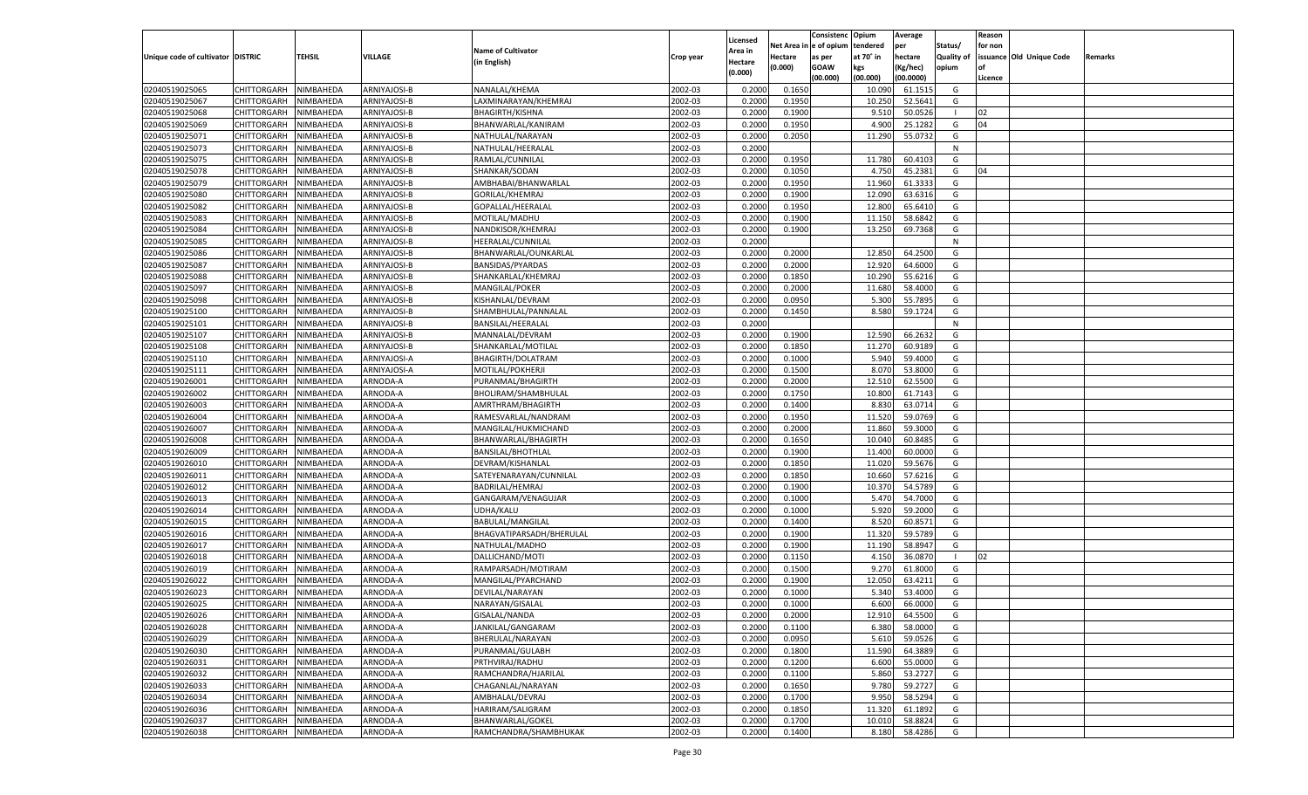|                                   |                       |           |              |                           |           |                     |             | Consistenc   | Opium     | Average   |            | Reason  |                          |         |
|-----------------------------------|-----------------------|-----------|--------------|---------------------------|-----------|---------------------|-------------|--------------|-----------|-----------|------------|---------|--------------------------|---------|
|                                   |                       |           |              | <b>Name of Cultivator</b> |           | Licensed<br>Area in | Net Area iı | n e of opium | tendered  | per       | Status/    | for non |                          |         |
| Unique code of cultivator DISTRIC |                       | TEHSIL    | VILLAGE      | (in English)              | Crop year | Hectare             | Hectare     | as per       | at 70° in | hectare   | Quality of |         | issuance Old Unique Code | Remarks |
|                                   |                       |           |              |                           |           | (0.000)             | (0.000)     | <b>GOAW</b>  | kgs       | (Kg/hec)  | opium      |         |                          |         |
|                                   |                       |           |              |                           |           |                     |             | (00.000)     | (00.000)  | (00.0000) |            | Licence |                          |         |
| 02040519025065                    | CHITTORGARH           | NIMBAHEDA | ARNIYAJOSI-B | NANALAL/KHEMA             | 2002-03   | 0.2000              | 0.1650      |              | 10.090    | 61.1515   | G          |         |                          |         |
| 02040519025067                    | CHITTORGARH           | NIMBAHEDA | ARNIYAJOSI-B | LAXMINARAYAN/KHEMRAJ      | 2002-03   | 0.2000              | 0.1950      |              | 10.250    | 52.5641   | G          |         |                          |         |
| 02040519025068                    | CHITTORGARH           | NIMBAHEDA | ARNIYAJOSI-B | <b>BHAGIRTH/KISHNA</b>    | 2002-03   | 0.2000              | 0.1900      |              | 9.510     | 50.0526   |            | 02      |                          |         |
| 02040519025069                    | CHITTORGARH           | NIMBAHEDA | ARNIYAJOSI-B | BHANWARLAL/KANIRAM        | 2002-03   | 0.2000              | 0.1950      |              | 4.900     | 25.1282   | G          | 04      |                          |         |
| 02040519025071                    | CHITTORGARH           | NIMBAHEDA | ARNIYAJOSI-B | NATHULAL/NARAYAN          | 2002-03   | 0.2000              | 0.2050      |              | 11.290    | 55.0732   | G          |         |                          |         |
| 02040519025073                    | CHITTORGARH           | NIMBAHEDA | ARNIYAJOSI-B | NATHULAL/HEERALAL         | 2002-03   | 0.2000              |             |              |           |           | N          |         |                          |         |
| 02040519025075                    | CHITTORGARH           | NIMBAHEDA | ARNIYAJOSI-B | RAMLAL/CUNNILAL           | 2002-03   | 0.2000              | 0.1950      |              | 11.780    | 60.4103   | G          |         |                          |         |
| 02040519025078                    | CHITTORGARH           | NIMBAHEDA | ARNIYAJOSI-B | SHANKAR/SODAN             | 2002-03   | 0.2000              | 0.1050      |              | 4.750     | 45.2381   | G          | 04      |                          |         |
| 02040519025079                    | CHITTORGARH           | NIMBAHEDA | ARNIYAJOSI-B | AMBHABAI/BHANWARLAL       | 2002-03   | 0.2000              | 0.1950      |              | 11.960    | 61.3333   | G          |         |                          |         |
| 02040519025080                    | CHITTORGARH           | NIMBAHEDA | ARNIYAJOSI-B | GORILAL/KHEMRAJ           | 2002-03   | 0.2000              | 0.1900      |              | 12.090    | 63.6316   | G          |         |                          |         |
| 02040519025082                    | CHITTORGARH           | NIMBAHEDA | ARNIYAJOSI-B | GOPALLAL/HEERALAI         | 2002-03   | 0.2000              | 0.1950      |              | 12.800    | 65.6410   | G          |         |                          |         |
| 02040519025083                    | CHITTORGARH           | NIMBAHEDA | ARNIYAJOSI-B | MOTILAL/MADHU             | 2002-03   | 0.2000              | 0.1900      |              | 11.150    | 58.6842   | G          |         |                          |         |
| 02040519025084                    | CHITTORGARH           | NIMBAHEDA | ARNIYAJOSI-B | NANDKISOR/KHEMRAJ         | 2002-03   | 0.2000              | 0.1900      |              | 13.250    | 69.7368   | G          |         |                          |         |
| 02040519025085                    | CHITTORGARH           | NIMBAHEDA | ARNIYAJOSI-B | HEERALAL/CUNNILAL         | 2002-03   | 0.2000              |             |              |           |           | N          |         |                          |         |
| 02040519025086                    | CHITTORGARH           | NIMBAHEDA | ARNIYAJOSI-B | BHANWARLAL/OUNKARLAL      | 2002-03   | 0.2000              | 0.2000      |              | 12.850    | 64.2500   | G          |         |                          |         |
| 02040519025087                    | CHITTORGARH           | NIMBAHEDA | ARNIYAJOSI-B | <b>BANSIDAS/PYARDAS</b>   | 2002-03   | 0.2000              | 0.2000      |              | 12.920    | 64.6000   | G          |         |                          |         |
| 02040519025088                    | CHITTORGARH           | NIMBAHEDA | ARNIYAJOSI-B | SHANKARLAL/KHEMRAJ        | 2002-03   | 0.2000              | 0.1850      |              | 10.290    | 55.6216   | G          |         |                          |         |
| 02040519025097                    | CHITTORGARH           | NIMBAHEDA | ARNIYAJOSI-B | MANGILAL/POKER            | 2002-03   | 0.2000              | 0.2000      |              | 11.680    | 58.4000   | G          |         |                          |         |
| 02040519025098                    | CHITTORGARH           | NIMBAHEDA | ARNIYAJOSI-B | KISHANLAL/DEVRAM          | 2002-03   | 0.2000              | 0.0950      |              | 5.300     | 55.7895   | G          |         |                          |         |
| 02040519025100                    | CHITTORGARH           | NIMBAHEDA | ARNIYAJOSI-B | SHAMBHULAL/PANNALAL       | 2002-03   | 0.2000              | 0.1450      |              | 8.580     | 59.1724   | G          |         |                          |         |
| 02040519025101                    | CHITTORGARH           | NIMBAHEDA | ARNIYAJOSI-B | BANSILAL/HEERALAI         | 2002-03   | 0.2000              |             |              |           |           | N          |         |                          |         |
| 02040519025107                    | CHITTORGARH           | NIMBAHEDA | ARNIYAJOSI-B | MANNALAL/DEVRAM           | 2002-03   | 0.2000              | 0.1900      |              | 12.590    | 66.2632   | G          |         |                          |         |
| 02040519025108                    | CHITTORGARH           | NIMBAHEDA | ARNIYAJOSI-B | SHANKARLAL/MOTILAL        | 2002-03   | 0.2000              | 0.1850      |              | 11.270    | 60.9189   | G          |         |                          |         |
| 02040519025110                    | CHITTORGARH           | NIMBAHEDA | ARNIYAJOSI-A | BHAGIRTH/DOLATRAM         | 2002-03   | 0.2000              | 0.1000      |              | 5.940     | 59.4000   | G          |         |                          |         |
| 02040519025111                    | CHITTORGARH           | NIMBAHEDA | ARNIYAJOSI-A | MOTILAL/POKHERJI          | 2002-03   | 0.2000              | 0.1500      |              | 8.070     | 53.8000   | G          |         |                          |         |
| 02040519026001                    | CHITTORGARH           | NIMBAHEDA | ARNODA-A     | PURANMAL/BHAGIRTH         | 2002-03   | 0.2000              | 0.2000      |              | 12.51     | 62.5500   | G          |         |                          |         |
| 02040519026002                    | CHITTORGARH           | NIMBAHEDA | ARNODA-A     | BHOLIRAM/SHAMBHULAL       | 2002-03   | 0.2000              | 0.1750      |              | 10.800    | 61.7143   | G          |         |                          |         |
| 02040519026003                    | CHITTORGARH           | NIMBAHEDA | ARNODA-A     | AMRTHRAM/BHAGIRTH         | 2002-03   | 0.2000              | 0.1400      |              | 8.830     | 63.0714   | G          |         |                          |         |
| 02040519026004                    | CHITTORGARH           | NIMBAHEDA | ARNODA-A     | RAMESVARLAL/NANDRAM       | 2002-03   | 0.2000              | 0.1950      |              | 11.520    | 59.0769   | G          |         |                          |         |
| 02040519026007                    | CHITTORGARH           | NIMBAHEDA | ARNODA-A     | MANGILAL/HUKMICHAND       | 2002-03   | 0.2000              | 0.2000      |              | 11.860    | 59.3000   | G          |         |                          |         |
| 02040519026008                    | CHITTORGARH           | NIMBAHEDA | ARNODA-A     | BHANWARLAL/BHAGIRTH       | 2002-03   | 0.2000              | 0.1650      |              | 10.04     | 60.8485   | G          |         |                          |         |
| 02040519026009                    | CHITTORGARH           | NIMBAHEDA | ARNODA-A     | <b>BANSILAL/BHOTHLAL</b>  | 2002-03   | 0.2000              | 0.1900      |              | 11.400    | 60.0000   | G          |         |                          |         |
| 02040519026010                    | CHITTORGARH           | NIMBAHEDA | ARNODA-A     | DEVRAM/KISHANLAL          | 2002-03   | 0.2000              | 0.1850      |              | 11.020    | 59.5676   | G          |         |                          |         |
| 02040519026011                    | CHITTORGARH           | NIMBAHEDA | ARNODA-A     | SATEYENARAYAN/CUNNILAL    | 2002-03   | 0.2000              | 0.1850      |              | 10.660    | 57.6216   | G          |         |                          |         |
| 02040519026012                    | CHITTORGARH           | NIMBAHEDA | ARNODA-A     | BADRILAL/HEMRAJ           | 2002-03   | 0.2000              | 0.1900      |              | 10.370    | 54.5789   | G          |         |                          |         |
| 02040519026013                    | CHITTORGARH           | NIMBAHEDA | ARNODA-A     | GANGARAM/VENAGUJAR        | 2002-03   | 0.2000              | 0.1000      |              | 5.470     | 54.7000   | G          |         |                          |         |
| 02040519026014                    | CHITTORGARH           | NIMBAHEDA | ARNODA-A     | UDHA/KALU                 | 2002-03   | 0.2000              | 0.1000      |              | 5.920     | 59.2000   | G          |         |                          |         |
| 02040519026015                    | CHITTORGARH           | NIMBAHEDA | ARNODA-A     | BABULAL/MANGILAL          | 2002-03   | 0.2000              | 0.1400      |              | 8.520     | 60.8571   | G          |         |                          |         |
| 02040519026016                    | CHITTORGARH           | NIMBAHEDA | ARNODA-A     | BHAGVATIPARSADH/BHERULAL  | 2002-03   | 0.2000              | 0.1900      |              | 11.320    | 59.5789   | G          |         |                          |         |
| 02040519026017                    | CHITTORGARH           | NIMBAHEDA | ARNODA-A     | NATHULAL/MADHO            | 2002-03   | 0.2000              | 0.1900      |              | 11.190    | 58.894    | G          |         |                          |         |
| 02040519026018                    | CHITTORGARH           | NIMBAHEDA | ARNODA-A     | DALLICHAND/MOTI           | 2002-03   | 0.2000              | 0.1150      |              | 4.150     | 36.0870   |            | 02      |                          |         |
| 02040519026019                    | CHITTORGARH           | NIMBAHEDA | ARNODA-A     | RAMPARSADH/MOTIRAM        | 2002-03   | 0.2000              | 0.1500      |              | 9.27      | 61.8000   | G          |         |                          |         |
| 02040519026022                    | CHITTORGARH           | NIMBAHEDA | ARNODA-A     | MANGILAL/PYARCHAND        | 2002-03   | 0.2000              | 0.1900      |              | 12.050    | 63.4211   | G          |         |                          |         |
| 02040519026023                    |                       |           |              |                           | 2002-03   | 0.2000              | 0.1000      |              | 5.34      | 53.4000   | G          |         |                          |         |
|                                   | CHITTORGARH           | NIMBAHEDA | ARNODA-A     | DEVILAL/NARAYAN           | 2002-03   |                     | 0.1000      |              | 6.600     | 66.0000   |            |         |                          |         |
| 02040519026025                    | CHITTORGARH           | NIMBAHEDA | ARNODA-A     | NARAYAN/GISALAL           |           | 0.2000              |             |              |           |           | G          |         |                          |         |
| 02040519026026                    | CHITTORGARH NIMBAHEDA |           | ARNODA-A     | GISALAL/NANDA             | 2002-03   | 0.2000              | 0.2000      |              | 12.910    | 64.5500   | G          |         |                          |         |
| 02040519026028                    | <b>CHITTORGARH</b>    | NIMBAHEDA | ARNODA-A     | JANKILAL/GANGARAM         | 2002-03   | 0.2000              | 0.1100      |              | 6.380     | 58.0000   | G          |         |                          |         |
| 02040519026029                    | CHITTORGARH           | NIMBAHEDA | ARNODA-A     | BHERULAL/NARAYAN          | 2002-03   | 0.2000              | 0.0950      |              | 5.610     | 59.0526   | G          |         |                          |         |
| 02040519026030                    | CHITTORGARH           | NIMBAHEDA | ARNODA-A     | PURANMAL/GULABH           | 2002-03   | 0.2000              | 0.1800      |              | 11.590    | 64.3889   | G          |         |                          |         |
| 02040519026031                    | <b>CHITTORGARH</b>    | NIMBAHEDA | ARNODA-A     | PRTHVIRAJ/RADHU           | 2002-03   | 0.2000              | 0.1200      |              | 6.600     | 55.0000   | G          |         |                          |         |
| 02040519026032                    | CHITTORGARH           | NIMBAHEDA | ARNODA-A     | RAMCHANDRA/HJARILAL       | 2002-03   | 0.2000              | 0.1100      |              | 5.860     | 53.2727   | G          |         |                          |         |
| 02040519026033                    | <b>CHITTORGARH</b>    | NIMBAHEDA | ARNODA-A     | CHAGANLAL/NARAYAN         | 2002-03   | 0.2000              | 0.1650      |              | 9.780     | 59.2727   | G          |         |                          |         |
| 02040519026034                    | CHITTORGARH           | NIMBAHEDA | ARNODA-A     | AMBHALAL/DEVRAJ           | 2002-03   | 0.2000              | 0.1700      |              | 9.950     | 58.5294   | G          |         |                          |         |
| 02040519026036                    | CHITTORGARH           | NIMBAHEDA | ARNODA-A     | HARIRAM/SALIGRAM          | 2002-03   | 0.2000              | 0.1850      |              | 11.320    | 61.1892   | G          |         |                          |         |
| 02040519026037                    | <b>CHITTORGARH</b>    | NIMBAHEDA | ARNODA-A     | BHANWARLAL/GOKEL          | 2002-03   | 0.2000              | 0.1700      |              | 10.010    | 58.8824   | G          |         |                          |         |
| 02040519026038                    | <b>CHITTORGARH</b>    | NIMBAHEDA | ARNODA-A     | RAMCHANDRA/SHAMBHUKAK     | 2002-03   | 0.2000              | 0.1400      |              | 8.180     | 58.4286   | G          |         |                          |         |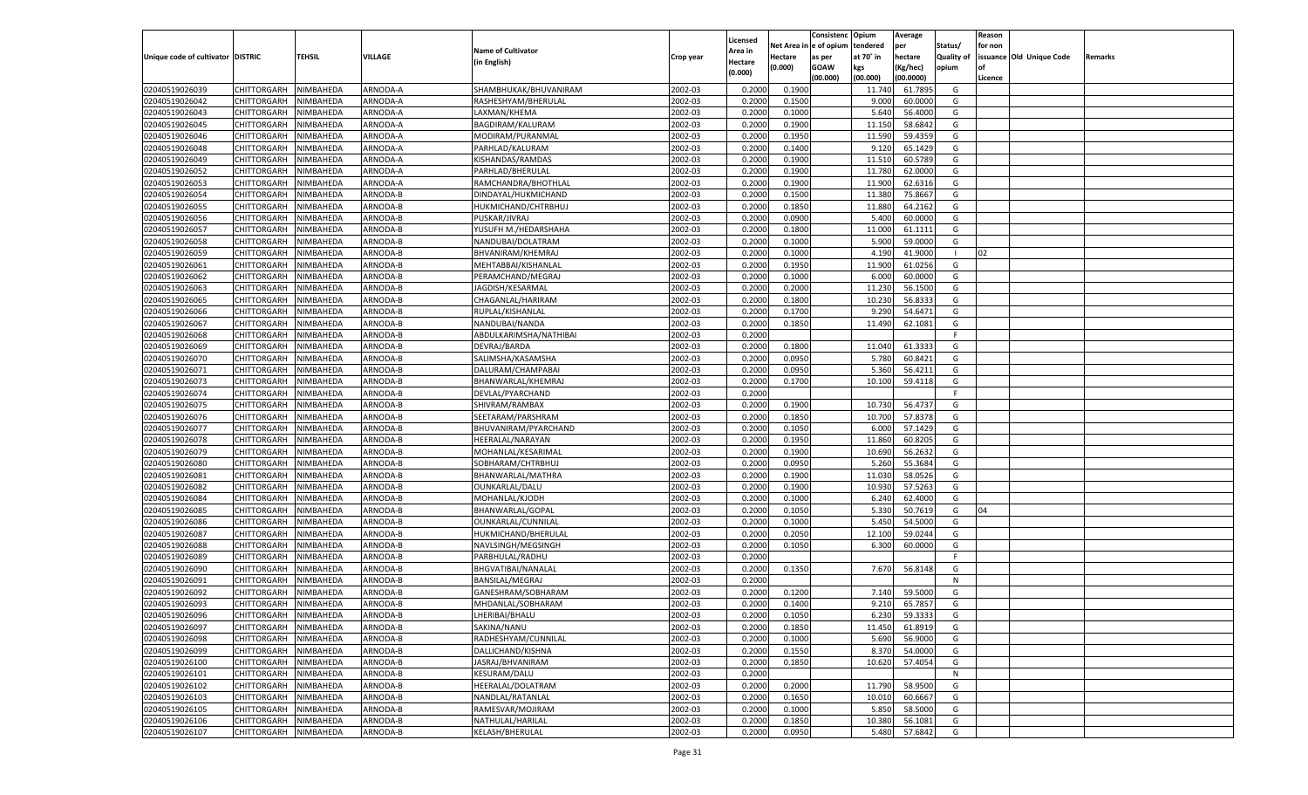|                                   |                       |                        |          |                           |           |                           |          | Consistenc  | Opium     | Average   |                   | Reason  |                          |         |
|-----------------------------------|-----------------------|------------------------|----------|---------------------------|-----------|---------------------------|----------|-------------|-----------|-----------|-------------------|---------|--------------------------|---------|
|                                   |                       |                        |          | <b>Name of Cultivator</b> |           | Licensed                  | Net Area | e of opium  | tendered  | per       | Status/           | for non |                          |         |
| Unique code of cultivator DISTRIC |                       | <b>TEHSIL</b>          | VILLAGE  | (in English)              | Crop year | <b>Area in</b><br>Hectare | Hectare  | as per      | at 70° in | hectare   | <b>Quality of</b> |         | issuance Old Unique Code | Remarks |
|                                   |                       |                        |          |                           |           | (0.000)                   | (0.000)  | <b>GOAW</b> | kgs       | (Kg/hec)  | opium             |         |                          |         |
|                                   |                       |                        |          |                           |           |                           |          | (00.000)    | (00.000)  | (00.0000) |                   | Licence |                          |         |
| 02040519026039                    | CHITTORGARH           | NIMBAHEDA              | ARNODA-A | SHAMBHUKAK/BHUVANIRAM     | 2002-03   | 0.2000                    | 0.1900   |             | 11.740    | 61.7895   | G                 |         |                          |         |
| 02040519026042                    | CHITTORGARH           | NIMBAHEDA              | ARNODA-A | RASHESHYAM/BHERULAL       | 2002-03   | 0.2000                    | 0.1500   |             | 9.000     | 60.0000   | G                 |         |                          |         |
| 02040519026043                    | CHITTORGARH           | NIMBAHEDA              | ARNODA-A | LAXMAN/KHEMA              | 2002-03   | 0.2000                    | 0.1000   |             | 5.640     | 56.4000   | G                 |         |                          |         |
| 02040519026045                    | CHITTORGARH           | NIMBAHEDA              | ARNODA-A | BAGDIRAM/KALURAM          | 2002-03   | 0.2000                    | 0.1900   |             | 11.15     | 58.684    | G                 |         |                          |         |
| 02040519026046                    | CHITTORGARH           | NIMBAHEDA              | ARNODA-A | MODIRAM/PURANMAL          | 2002-03   | 0.2000                    | 0.1950   |             | 11.590    | 59.4359   | G                 |         |                          |         |
| 02040519026048                    | CHITTORGARH           | NIMBAHEDA              | ARNODA-A | PARHLAD/KALURAM           | 2002-03   | 0.2000                    | 0.1400   |             | 9.120     | 65.1429   | G                 |         |                          |         |
| 02040519026049                    | CHITTORGARH           | NIMBAHEDA              | ARNODA-A | KISHANDAS/RAMDAS          | 2002-03   | 0.2000                    | 0.1900   |             | 11.510    | 60.5789   | G                 |         |                          |         |
| 02040519026052                    | CHITTORGARH           | NIMBAHEDA              | ARNODA-A | PARHLAD/BHERULAL          | 2002-03   | 0.2000                    | 0.1900   |             | 11.780    | 62.0000   | G                 |         |                          |         |
| 02040519026053                    | CHITTORGARH           | NIMBAHEDA              | ARNODA-A | RAMCHANDRA/BHOTHLAL       | 2002-03   | 0.2000                    | 0.1900   |             | 11.900    | 62.6316   | G                 |         |                          |         |
| 02040519026054                    | CHITTORGARH           | NIMBAHEDA              | ARNODA-B | DINDAYAL/HUKMICHAND       | 2002-03   | 0.2000                    | 0.1500   |             | 11.380    | 75.8667   | G                 |         |                          |         |
| 02040519026055                    | CHITTORGARH           | NIMBAHEDA              | ARNODA-B | HUKMICHAND/CHTRBHUJ       | 2002-03   | 0.2000                    | 0.1850   |             | 11.880    | 64.2162   | G                 |         |                          |         |
| 02040519026056                    | CHITTORGARH           | NIMBAHEDA              | ARNODA-B | PUSKAR/JIVRAJ             | 2002-03   | 0.2000                    | 0.0900   |             | 5.400     | 60.0000   | G                 |         |                          |         |
| 02040519026057                    | CHITTORGARH           | NIMBAHEDA              | ARNODA-B | YUSUFH M./HEDARSHAHA      | 2002-03   | 0.2000                    | 0.1800   |             | 11.000    | 61.1111   | G                 |         |                          |         |
| 02040519026058                    | CHITTORGARH           | NIMBAHEDA              | ARNODA-B | NANDUBAI/DOLATRAM         | 2002-03   | 0.2000                    | 0.1000   |             | 5.900     | 59.0000   | G                 |         |                          |         |
| 02040519026059                    | CHITTORGARH           | NIMBAHEDA              | ARNODA-B | BHVANIRAM/KHEMRAJ         | 2002-03   | 0.2000                    | 0.1000   |             | 4.190     | 41.9000   |                   | 02      |                          |         |
| 02040519026061                    | CHITTORGARH           | NIMBAHEDA              | ARNODA-B | MEHTABBAI/KISHANLAL       | 2002-03   | 0.2000                    | 0.1950   |             | 11.900    | 61.0256   | G                 |         |                          |         |
| 02040519026062                    | CHITTORGARH           | NIMBAHEDA              | ARNODA-B | PERAMCHAND/MEGRAJ         | 2002-03   | 0.2000                    | 0.1000   |             | 6.000     | 60.0000   | G                 |         |                          |         |
| 02040519026063                    | CHITTORGARH           | NIMBAHEDA              | ARNODA-B | JAGDISH/KESARMAL          | 2002-03   | 0.2000                    | 0.2000   |             | 11.230    | 56.1500   | G                 |         |                          |         |
| 02040519026065                    | CHITTORGARH           | NIMBAHEDA              | ARNODA-B | CHAGANLAL/HARIRAM         | 2002-03   | 0.2000                    | 0.1800   |             | 10.230    | 56.833    | G                 |         |                          |         |
| 02040519026066                    | CHITTORGARH           | NIMBAHEDA              | ARNODA-B | RUPLAL/KISHANLAL          | 2002-03   | 0.2000                    | 0.1700   |             | 9.29      | 54.6471   | G                 |         |                          |         |
| 02040519026067                    | CHITTORGARH           | NIMBAHEDA              | ARNODA-B | NANDUBAI/NANDA            | 2002-03   | 0.2000                    | 0.1850   |             | 11.490    | 62.1081   | G                 |         |                          |         |
| 02040519026068                    | CHITTORGARH           | NIMBAHEDA              | ARNODA-B | ABDULKARIMSHA/NATHIBAI    | 2002-03   | 0.2000                    |          |             |           |           | F.                |         |                          |         |
| 02040519026069                    | CHITTORGARH           | NIMBAHEDA              | ARNODA-B | DEVRAJ/BARDA              | 2002-03   | 0.2000                    | 0.1800   |             | 11.040    | 61.333    | G                 |         |                          |         |
| 02040519026070                    | CHITTORGARH           | NIMBAHEDA              | ARNODA-B | SALIMSHA/KASAMSHA         | 2002-03   | 0.2000                    | 0.0950   |             | 5.780     | 60.8421   | G                 |         |                          |         |
| 02040519026071                    | CHITTORGARH           | NIMBAHEDA              | ARNODA-B | DALURAM/CHAMPABAI         | 2002-03   | 0.2000                    | 0.0950   |             | 5.360     | 56.4211   | G                 |         |                          |         |
| 02040519026073                    | CHITTORGARH           | NIMBAHEDA              | ARNODA-B | BHANWARLAL/KHEMRAJ        | 2002-03   | 0.2000                    | 0.1700   |             | 10.100    | 59.4118   | G                 |         |                          |         |
| 02040519026074                    | CHITTORGARH           | NIMBAHEDA              | ARNODA-B | DEVLAL/PYARCHAND          | 2002-03   | 0.2000                    |          |             |           |           | F.                |         |                          |         |
| 02040519026075                    | CHITTORGARH           | NIMBAHEDA              | ARNODA-B | SHIVRAM/RAMBAX            | 2002-03   | 0.2000                    | 0.1900   |             | 10.730    | 56.473    | G                 |         |                          |         |
| 02040519026076                    | CHITTORGARH           | NIMBAHEDA              | ARNODA-B | SEETARAM/PARSHRAM         | 2002-03   | 0.2000                    | 0.1850   |             | 10.700    | 57.8378   | G                 |         |                          |         |
| 02040519026077                    | CHITTORGARH           | NIMBAHEDA              | ARNODA-B | BHUVANIRAM/PYARCHAND      | 2002-03   | 0.2000                    | 0.1050   |             | 6.000     | 57.1429   | G                 |         |                          |         |
| 02040519026078                    | CHITTORGARH           | NIMBAHEDA              | ARNODA-B | HEERALAL/NARAYAN          | 2002-03   | 0.2000                    | 0.1950   |             | 11.860    | 60.8205   | G                 |         |                          |         |
| 02040519026079                    | CHITTORGARH           | NIMBAHEDA              | ARNODA-B | MOHANLAL/KESARIMAL        | 2002-03   | 0.2000                    | 0.1900   |             | 10.690    | 56.263    | G                 |         |                          |         |
| 02040519026080                    | CHITTORGARH           | NIMBAHEDA              | ARNODA-B | SOBHARAM/CHTRBHUJ         | 2002-03   | 0.2000                    | 0.0950   |             | 5.260     | 55.3684   | G                 |         |                          |         |
| 02040519026081                    | CHITTORGARH           | NIMBAHEDA              | ARNODA-B | BHANWARLAL/MATHRA         | 2002-03   | 0.2000                    | 0.1900   |             | 11.030    | 58.0526   | G                 |         |                          |         |
| 02040519026082                    | CHITTORGARH           | NIMBAHEDA              | ARNODA-B | OUNKARLAL/DALU            | 2002-03   | 0.2000                    | 0.1900   |             | 10.930    | 57.5263   | G                 |         |                          |         |
| 02040519026084                    | CHITTORGARH           | NIMBAHEDA              | ARNODA-B | MOHANLAL/KJODH            | 2002-03   | 0.2000                    | 0.1000   |             | 6.24      | 62.4000   | G                 |         |                          |         |
| 02040519026085                    | CHITTORGARH           | NIMBAHEDA              | ARNODA-B | BHANWARLAL/GOPAL          | 2002-03   | 0.2000                    | 0.1050   |             | 5.330     | 50.7619   | G                 | 04      |                          |         |
| 02040519026086                    | CHITTORGARH           | NIMBAHEDA              | ARNODA-B | OUNKARLAL/CUNNILAL        | 2002-03   | 0.2000                    | 0.1000   |             | 5.45      | 54.5000   | G                 |         |                          |         |
| 02040519026087                    | CHITTORGARH           | NIMBAHEDA              | ARNODA-B | HUKMICHAND/BHERULAL       | 2002-03   | 0.2000                    | 0.2050   |             | 12.100    | 59.0244   | G                 |         |                          |         |
| 02040519026088                    | CHITTORGARH           | NIMBAHEDA              | ARNODA-B | NAVLSINGH/MEGSINGH        | 2002-03   | 0.2000                    | 0.1050   |             | 6.300     | 60.0000   | G                 |         |                          |         |
| 02040519026089                    | CHITTORGARH           | NIMBAHEDA              | ARNODA-B | PARBHULAL/RADHU           | 2002-03   | 0.2000                    |          |             |           |           | F.                |         |                          |         |
| 02040519026090                    | CHITTORGARH           | NIMBAHEDA              | ARNODA-B | BHGVATIBAI/NANALAL        | 2002-03   | 0.2000                    | 0.1350   |             | 7.670     | 56.8148   | G                 |         |                          |         |
| 02040519026091                    | CHITTORGARH           | NIMBAHEDA              | ARNODA-B | BANSILAL/MEGRAJ           | 2002-03   | 0.2000                    |          |             |           |           | N                 |         |                          |         |
| 02040519026092                    |                       |                        | ARNODA-B | GANESHRAM/SOBHARAM        | 2002-03   | 0.2000                    | 0.1200   |             | 7.140     | 59.5000   | G                 |         |                          |         |
|                                   | CHITTORGARH           | NIMBAHEDA<br>NIMBAHEDA |          | MHDANLAL/SOBHARAM         |           |                           | 0.1400   |             |           |           |                   |         |                          |         |
| 02040519026093                    | CHITTORGARH           |                        | ARNODA-B |                           | 2002-03   | 0.2000                    |          |             | 9.210     | 65.785    | G                 |         |                          |         |
| 02040519026096                    | CHITTORGARH NIMBAHEDA |                        | ARNODA-B | LHERIBAI/BHALU            | 2002-03   | 0.2000                    | 0.1050   |             | 6.230     | 59.3333   | G                 |         |                          |         |
| 02040519026097                    | <b>CHITTORGARH</b>    | <b>NIMBAHEDA</b>       | ARNODA-B | SAKINA/NANU               | 2002-03   | 0.2000                    | 0.1850   |             | 11.450    | 61.8919   | G                 |         |                          |         |
| 02040519026098                    | <b>CHITTORGARH</b>    | NIMBAHEDA              | ARNODA-B | RADHESHYAM/CUNNILAL       | 2002-03   | 0.2000                    | 0.1000   |             | 5.690     | 56.9000   | G                 |         |                          |         |
| 02040519026099                    | <b>CHITTORGARH</b>    | NIMBAHEDA              | ARNODA-B | DALLICHAND/KISHNA         | 2002-03   | 0.2000                    | 0.1550   |             | 8.370     | 54.0000   | G                 |         |                          |         |
| 02040519026100                    | <b>CHITTORGARH</b>    | NIMBAHEDA              | ARNODA-B | JASRAJ/BHVANIRAM          | 2002-03   | 0.2000                    | 0.1850   |             | 10.620    | 57.4054   | G                 |         |                          |         |
| 02040519026101                    | <b>CHITTORGARH</b>    | NIMBAHEDA              | ARNODA-B | KESURAM/DALU              | 2002-03   | 0.2000                    |          |             |           |           | N                 |         |                          |         |
| 02040519026102                    | <b>CHITTORGARH</b>    | NIMBAHEDA              | ARNODA-B | HEERALAL/DOLATRAM         | 2002-03   | 0.2000                    | 0.2000   |             | 11.790    | 58.9500   | G                 |         |                          |         |
| 02040519026103                    | <b>CHITTORGARH</b>    | NIMBAHEDA              | ARNODA-B | NANDLAL/RATANLAL          | 2002-03   | 0.2000                    | 0.1650   |             | 10.010    | 60.6667   | G                 |         |                          |         |
| 02040519026105                    | <b>CHITTORGARH</b>    | NIMBAHEDA              | ARNODA-B | RAMESVAR/MOJIRAM          | 2002-03   | 0.2000                    | 0.1000   |             | 5.850     | 58.5000   | G                 |         |                          |         |
| 02040519026106                    | <b>CHITTORGARH</b>    | NIMBAHEDA              | ARNODA-B | NATHULAL/HARILAL          | 2002-03   | 0.2000                    | 0.1850   |             | 10.380    | 56.1081   | G                 |         |                          |         |
| 02040519026107                    | <b>CHITTORGARH</b>    | NIMBAHEDA              | ARNODA-B | KELASH/BHERULAL           | 2002-03   | 0.2000                    | 0.0950   |             | 5.480     | 57.6842   | G                 |         |                          |         |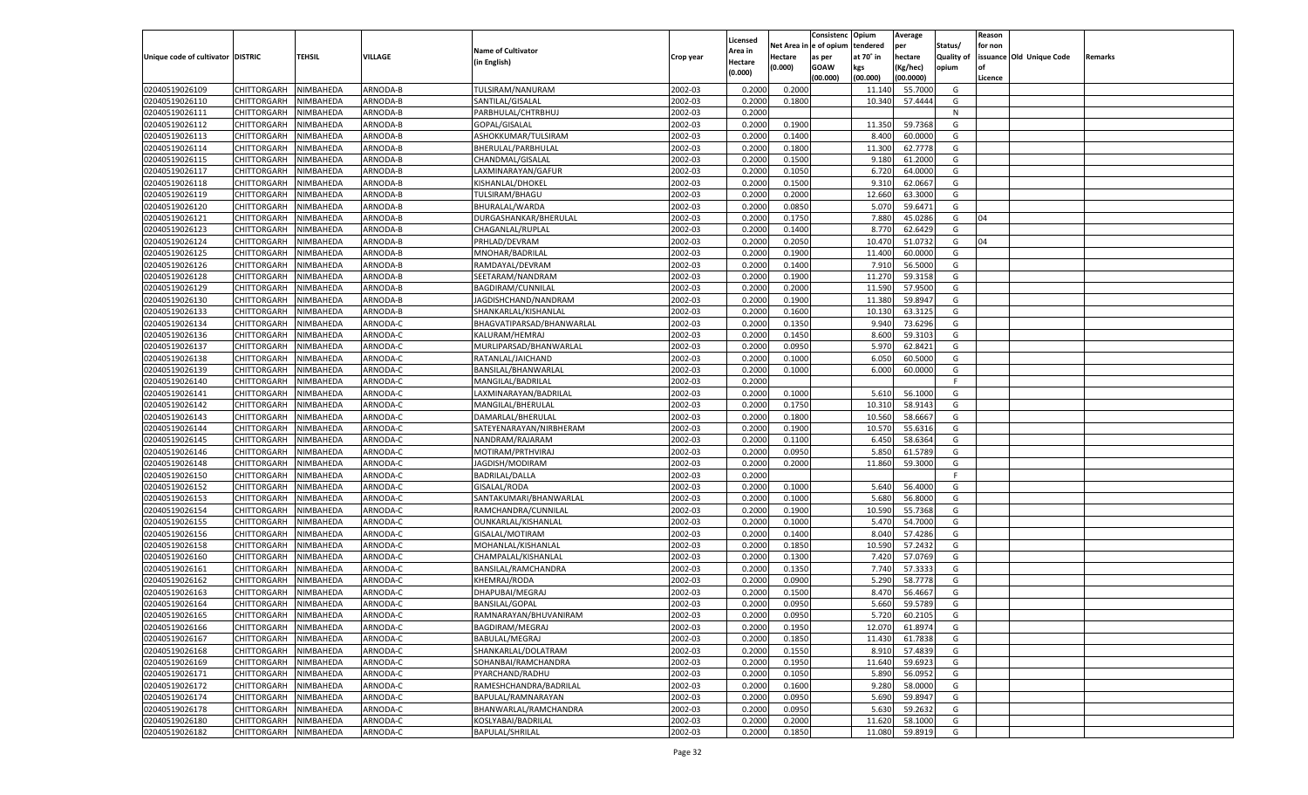|                                   |                       |               |          |                           |           |                           |          | Consistenc  | Opium     | Average   |                   | Reason  |                          |         |
|-----------------------------------|-----------------------|---------------|----------|---------------------------|-----------|---------------------------|----------|-------------|-----------|-----------|-------------------|---------|--------------------------|---------|
|                                   |                       |               |          | <b>Name of Cultivator</b> |           | Licensed                  | Net Area | e of opium  | tendered  | per       | Status/           | for non |                          |         |
| Unique code of cultivator DISTRIC |                       | <b>TEHSIL</b> | VILLAGE  | (in English)              | Crop year | <b>Area in</b><br>Hectare | Hectare  | as per      | at 70° in | hectare   | <b>Quality of</b> |         | issuance Old Unique Code | Remarks |
|                                   |                       |               |          |                           |           | (0.000)                   | (0.000)  | <b>GOAW</b> | kgs       | (Kg/hec)  | opium             |         |                          |         |
|                                   |                       |               |          |                           |           |                           |          | (00.000)    | (00.000)  | (00.0000) |                   | Licence |                          |         |
| 02040519026109                    | CHITTORGARH           | NIMBAHEDA     | ARNODA-B | TULSIRAM/NANURAM          | 2002-03   | 0.2000                    | 0.2000   |             | 11.140    | 55.7000   | G                 |         |                          |         |
| 02040519026110                    | CHITTORGARH           | NIMBAHEDA     | ARNODA-B | SANTILAL/GISALAL          | 2002-03   | 0.2000                    | 0.1800   |             | 10.340    | 57.4444   | G                 |         |                          |         |
| 02040519026111                    | CHITTORGARH           | NIMBAHEDA     | ARNODA-B | PARBHULAL/CHTRBHUJ        | 2002-03   | 0.2000                    |          |             |           |           | N                 |         |                          |         |
| 02040519026112                    | CHITTORGARH           | NIMBAHEDA     | ARNODA-B | GOPAL/GISALAL             | 2002-03   | 0.2000                    | 0.1900   |             | 11.350    | 59.7368   | G                 |         |                          |         |
| 02040519026113                    | CHITTORGARH           | NIMBAHEDA     | ARNODA-B | ASHOKKUMAR/TULSIRAM       | 2002-03   | 0.2000                    | 0.1400   |             | 8.400     | 60.0000   | G                 |         |                          |         |
| 02040519026114                    | CHITTORGARH           | NIMBAHEDA     | ARNODA-B | BHERULAL/PARBHULAL        | 2002-03   | 0.2000                    | 0.1800   |             | 11.300    | 62.7778   | G                 |         |                          |         |
| 02040519026115                    | CHITTORGARH           | NIMBAHEDA     | ARNODA-B | CHANDMAL/GISALAL          | 2002-03   | 0.2000                    | 0.1500   |             | 9.180     | 61.2000   | G                 |         |                          |         |
| 02040519026117                    | CHITTORGARH           | NIMBAHEDA     | ARNODA-B | LAXMINARAYAN/GAFUR        | 2002-03   | 0.2000                    | 0.1050   |             | 6.720     | 64.0000   | G                 |         |                          |         |
| 02040519026118                    | CHITTORGARH           | NIMBAHEDA     | ARNODA-B | KISHANLAL/DHOKEL          | 2002-03   | 0.2000                    | 0.1500   |             | 9.310     | 62.0667   | G                 |         |                          |         |
| 02040519026119                    | CHITTORGARH           | NIMBAHEDA     | ARNODA-B | TULSIRAM/BHAGU            | 2002-03   | 0.2000                    | 0.2000   |             | 12.660    | 63.3000   | G                 |         |                          |         |
| 02040519026120                    | CHITTORGARH           | NIMBAHEDA     | ARNODA-B | BHURALAL/WARDA            | 2002-03   | 0.2000                    | 0.0850   |             | 5.070     | 59.6471   | G                 |         |                          |         |
| 02040519026121                    | CHITTORGARH           | NIMBAHEDA     | ARNODA-B | DURGASHANKAR/BHERULAL     | 2002-03   | 0.2000                    | 0.1750   |             | 7.880     | 45.0286   | G                 | 04      |                          |         |
| 02040519026123                    | CHITTORGARH           | NIMBAHEDA     | ARNODA-B | CHAGANLAL/RUPLAL          | 2002-03   | 0.2000                    | 0.1400   |             | 8.770     | 62.6429   | G                 |         |                          |         |
| 02040519026124                    | CHITTORGARH           | NIMBAHEDA     | ARNODA-B | PRHLAD/DEVRAM             | 2002-03   | 0.2000                    | 0.2050   |             | 10.470    | 51.073    | G                 | 04      |                          |         |
| 02040519026125                    | CHITTORGARH           | NIMBAHEDA     | ARNODA-B | MNOHAR/BADRILAL           | 2002-03   | 0.2000                    | 0.1900   |             | 11.400    | 60.0000   | G                 |         |                          |         |
| 02040519026126                    | CHITTORGARH           | NIMBAHEDA     | ARNODA-B | RAMDAYAL/DEVRAM           | 2002-03   | 0.2000                    | 0.1400   |             | 7.91      | 56.5000   | G                 |         |                          |         |
| 02040519026128                    | CHITTORGARH           | NIMBAHEDA     | ARNODA-B | SEETARAM/NANDRAM          | 2002-03   | 0.2000                    | 0.1900   |             | 11.270    | 59.3158   | G                 |         |                          |         |
| 02040519026129                    | CHITTORGARH           | NIMBAHEDA     | ARNODA-B | BAGDIRAM/CUNNILAL         | 2002-03   | 0.2000                    | 0.2000   |             | 11.590    | 57.9500   | G                 |         |                          |         |
| 02040519026130                    | CHITTORGARH           | NIMBAHEDA     | ARNODA-B | JAGDISHCHAND/NANDRAM      | 2002-03   | 0.2000                    | 0.1900   |             | 11.380    | 59.8947   | G                 |         |                          |         |
| 02040519026133                    | CHITTORGARH           | NIMBAHEDA     | ARNODA-B | SHANKARLAL/KISHANLAL      | 2002-03   | 0.2000                    | 0.1600   |             | 10.130    | 63.3125   | G                 |         |                          |         |
| 02040519026134                    | CHITTORGARH           | NIMBAHEDA     | ARNODA-C | BHAGVATIPARSAD/BHANWARLAL | 2002-03   | 0.2000                    | 0.1350   |             | 9.940     | 73.6296   | G                 |         |                          |         |
| 02040519026136                    | CHITTORGARH           | NIMBAHEDA     | ARNODA-C | KALURAM/HEMRAJ            | 2002-03   | 0.2000                    | 0.1450   |             | 8.600     | 59.3103   | G                 |         |                          |         |
| 02040519026137                    | CHITTORGARH           | NIMBAHEDA     | ARNODA-C | MURLIPARSAD/BHANWARLAL    | 2002-03   | 0.2000                    | 0.0950   |             | 5.970     | 62.8421   | G                 |         |                          |         |
| 02040519026138                    | CHITTORGARH           | NIMBAHEDA     | ARNODA-C | RATANLAL/JAICHAND         | 2002-03   | 0.2000                    | 0.1000   |             | 6.050     | 60.5000   | G                 |         |                          |         |
| 02040519026139                    | CHITTORGARH           | NIMBAHEDA     | ARNODA-C | BANSILAL/BHANWARLAL       | 2002-03   | 0.2000                    | 0.1000   |             | 6.000     | 60.0000   | G                 |         |                          |         |
| 02040519026140                    | CHITTORGARH           | NIMBAHEDA     | ARNODA-C | MANGILAL/BADRILAL         | 2002-03   | 0.2000                    |          |             |           |           | F.                |         |                          |         |
| 02040519026141                    | CHITTORGARH           | NIMBAHEDA     | ARNODA-C | LAXMINARAYAN/BADRILAL     | 2002-03   | 0.2000                    | 0.1000   |             | 5.610     | 56.1000   | G                 |         |                          |         |
| 02040519026142                    | CHITTORGARH           | NIMBAHEDA     | ARNODA-C | MANGILAL/BHERULAL         | 2002-03   | 0.2000                    | 0.1750   |             | 10.31     | 58.9143   | G                 |         |                          |         |
| 02040519026143                    | CHITTORGARH           | NIMBAHEDA     | ARNODA-C | DAMARLAL/BHERULAL         | 2002-03   | 0.2000                    | 0.1800   |             | 10.560    | 58.6667   | G                 |         |                          |         |
| 02040519026144                    | CHITTORGARH           | NIMBAHEDA     | ARNODA-C | SATEYENARAYAN/NIRBHERAM   | 2002-03   | 0.2000                    | 0.1900   |             | 10.570    | 55.6316   | G                 |         |                          |         |
| 02040519026145                    | CHITTORGARH           | NIMBAHEDA     | ARNODA-C | NANDRAM/RAJARAM           | 2002-03   | 0.2000                    | 0.1100   |             | 6.450     | 58.6364   | G                 |         |                          |         |
| 02040519026146                    | CHITTORGARH           | NIMBAHEDA     | ARNODA-C | MOTIRAM/PRTHVIRAJ         | 2002-03   | 0.2000                    | 0.0950   |             | 5.850     | 61.5789   | G                 |         |                          |         |
| 02040519026148                    | CHITTORGARH           | NIMBAHEDA     | ARNODA-C | JAGDISH/MODIRAM           | 2002-03   | 0.2000                    | 0.2000   |             | 11.860    | 59.3000   | G                 |         |                          |         |
| 02040519026150                    |                       |               | ARNODA-C |                           | 2002-03   |                           |          |             |           |           | F.                |         |                          |         |
|                                   | CHITTORGARH           | NIMBAHEDA     | ARNODA-C | <b>BADRILAL/DALLA</b>     |           | 0.2000                    |          |             |           |           |                   |         |                          |         |
| 02040519026152                    | CHITTORGARH           | NIMBAHEDA     |          | GISALAL/RODA              | 2002-03   | 0.2000                    | 0.1000   |             | 5.640     | 56.4000   | G                 |         |                          |         |
| 02040519026153                    | CHITTORGARH           | NIMBAHEDA     | ARNODA-C | SANTAKUMARI/BHANWARLAL    | 2002-03   | 0.2000                    | 0.1000   |             | 5.680     | 56.8000   | G                 |         |                          |         |
| 02040519026154                    | CHITTORGARH           | NIMBAHEDA     | ARNODA-C | RAMCHANDRA/CUNNILAL       | 2002-03   | 0.2000                    | 0.1900   |             | 10.590    | 55.7368   | G                 |         |                          |         |
| 02040519026155                    | CHITTORGARH           | NIMBAHEDA     | ARNODA-C | OUNKARLAL/KISHANLAL       | 2002-03   | 0.2000                    | 0.1000   |             | 5.47      | 54.7000   | G                 |         |                          |         |
| 02040519026156                    | CHITTORGARH           | NIMBAHEDA     | ARNODA-C | GISALAL/MOTIRAM           | 2002-03   | 0.2000                    | 0.1400   |             | 8.04      | 57.4286   | G                 |         |                          |         |
| 02040519026158                    | CHITTORGARH           | NIMBAHEDA     | ARNODA-C | MOHANLAL/KISHANLAL        | 2002-03   | 0.2000                    | 0.1850   |             | 10.590    | 57.2432   | G                 |         |                          |         |
| 02040519026160                    | CHITTORGARH           | NIMBAHEDA     | ARNODA-C | CHAMPALAL/KISHANLAL       | 2002-03   | 0.2000                    | 0.1300   |             | 7.420     | 57.0769   | G                 |         |                          |         |
| 02040519026161                    | CHITTORGARH           | NIMBAHEDA     | ARNODA-C | BANSILAL/RAMCHANDRA       | 2002-03   | 0.2000                    | 0.1350   |             | 7.74      | 57.333    | G                 |         |                          |         |
| 02040519026162                    | CHITTORGARH           | NIMBAHEDA     | ARNODA-C | KHEMRAJ/RODA              | 2002-03   | 0.2000                    | 0.0900   |             | 5.290     | 58.7778   | G                 |         |                          |         |
| 02040519026163                    | CHITTORGARH           | NIMBAHEDA     | ARNODA-C | DHAPUBAI/MEGRAJ           | 2002-03   | 0.2000                    | 0.1500   |             | 8.470     | 56.466    | G                 |         |                          |         |
| 02040519026164                    | CHITTORGARH           | NIMBAHEDA     | ARNODA-C | <b>BANSILAL/GOPAL</b>     | 2002-03   | 0.2000                    | 0.0950   |             | 5.660     | 59.5789   | G                 |         |                          |         |
| 02040519026165                    | CHITTORGARH NIMBAHEDA |               | ARNODA-C | RAMNARAYAN/BHUVANIRAM     | 2002-03   | 0.2000                    | 0.0950   |             | 5.720     | 60.2105   | G                 |         |                          |         |
| 02040519026166                    | <b>CHITTORGARH</b>    | NIMBAHEDA     | ARNODA-C | BAGDIRAM/MEGRAJ           | 2002-03   | 0.2000                    | 0.1950   |             | 12.070    | 61.8974   | G                 |         |                          |         |
| 02040519026167                    | CHITTORGARH           | NIMBAHEDA     | ARNODA-C | <b>BABULAL/MEGRAJ</b>     | 2002-03   | 0.2000                    | 0.1850   |             | 11.430    | 61.7838   | G                 |         |                          |         |
| 02040519026168                    | <b>CHITTORGARH</b>    | NIMBAHEDA     | ARNODA-C | SHANKARLAL/DOLATRAM       | 2002-03   | 0.2000                    | 0.1550   |             | 8.910     | 57.4839   | G                 |         |                          |         |
| 02040519026169                    | <b>CHITTORGARH</b>    | NIMBAHEDA     | ARNODA-C | SOHANBAI/RAMCHANDRA       | 2002-03   | 0.2000                    | 0.1950   |             | 11.640    | 59.6923   | G                 |         |                          |         |
| 02040519026171                    | <b>CHITTORGARH</b>    | NIMBAHEDA     | ARNODA-C | PYARCHAND/RADHU           | 2002-03   | 0.2000                    | 0.1050   |             | 5.890     | 56.0952   | G                 |         |                          |         |
| 02040519026172                    | <b>CHITTORGARH</b>    | NIMBAHEDA     | ARNODA-C | RAMESHCHANDRA/BADRILAL    | 2002-03   | 0.2000                    | 0.1600   |             | 9.280     | 58.0000   | G                 |         |                          |         |
| 02040519026174                    | <b>CHITTORGARH</b>    | NIMBAHEDA     | ARNODA-C | BAPULAL/RAMNARAYAN        | 2002-03   | 0.2000                    | 0.0950   |             | 5.690     | 59.8947   | G                 |         |                          |         |
| 02040519026178                    | <b>CHITTORGARH</b>    | NIMBAHEDA     | ARNODA-C | BHANWARLAL/RAMCHANDRA     | 2002-03   | 0.2000                    | 0.0950   |             | 5.630     | 59.2632   | G                 |         |                          |         |
| 02040519026180                    | <b>CHITTORGARH</b>    | NIMBAHEDA     | ARNODA-C | KOSLYABAI/BADRILAL        | 2002-03   | 0.2000                    | 0.2000   |             | 11.620    | 58.1000   | G                 |         |                          |         |
| 02040519026182                    | <b>CHITTORGARH</b>    | NIMBAHEDA     | ARNODA-C | <b>BAPULAL/SHRILAL</b>    | 2002-03   | 0.2000                    | 0.1850   |             | 11.080    | 59.8919   | G                 |         |                          |         |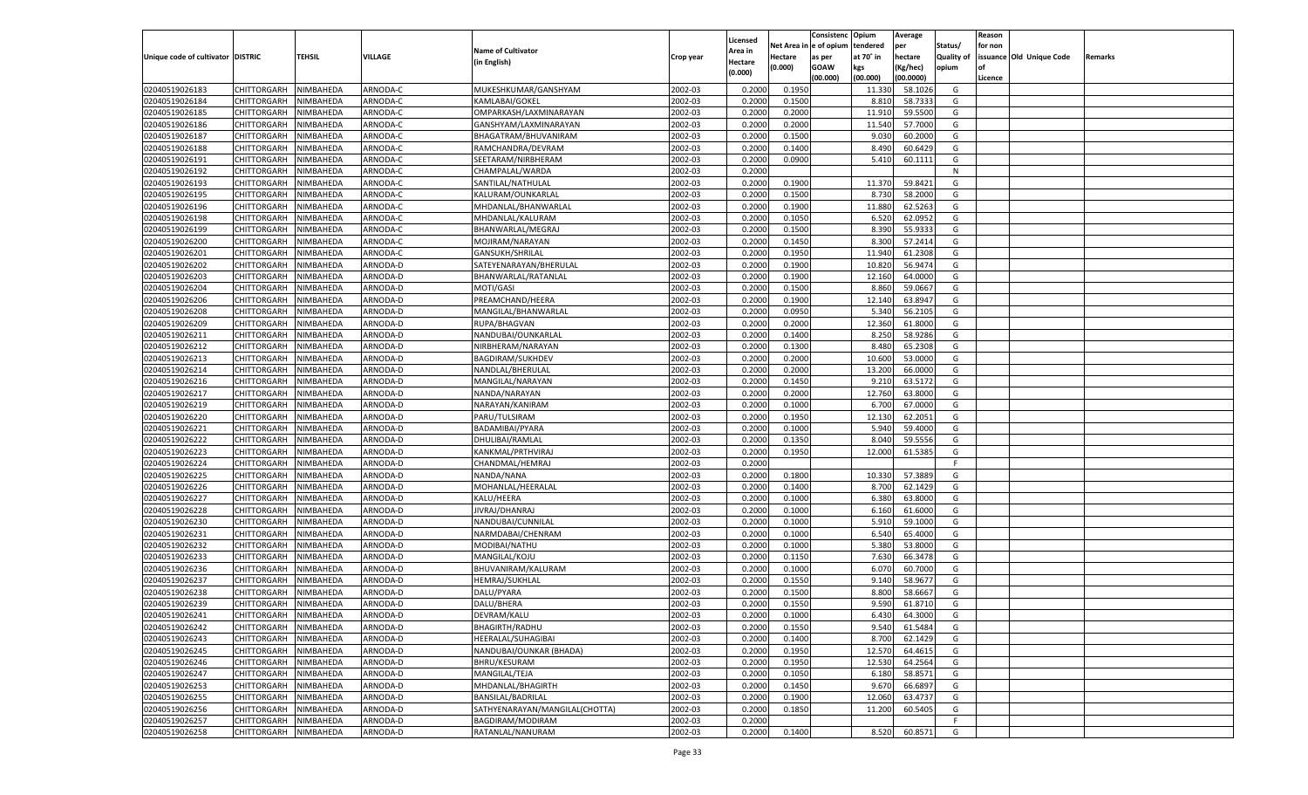| e of opium<br>Net Area<br>tendered<br>Status/<br>for non<br>per<br><b>Name of Cultivator</b><br><b>Area in</b><br><b>TEHSIL</b><br>VILLAGE<br>Unique code of cultivator DISTRIC<br>at 70° in<br>hectare<br><b>Quality of</b><br>issuance Old Unique Code<br>Hectare<br>Crop year<br>as per<br>Remarks<br>(in English)<br>Hectare<br>(0.000)<br><b>GOAW</b><br>kgs<br>(Kg/hec)<br>opium<br>(0.000)<br>(00.000)<br>(00.000)<br>(00.0000)<br>Licence<br>NIMBAHEDA<br>ARNODA-C<br>MUKESHKUMAR/GANSHYAM<br>2002-03<br>0.2000<br>0.1950<br>58.1026<br>02040519026183<br>CHITTORGARH<br>11.330<br>G<br>02040519026184<br>ARNODA-C<br>2002-03<br>8.810<br>58.733<br>CHITTORGARH<br>NIMBAHEDA<br>KAMLABAI/GOKEL<br>0.2000<br>0.1500<br>G<br>02040519026185<br>CHITTORGARH<br>NIMBAHEDA<br>ARNODA-C<br>2002-03<br>0.2000<br>0.2000<br>11.91<br>59.5500<br>G<br>OMPARKASH/LAXMINARAYAN<br>02040519026186<br>CHITTORGARH<br>ARNODA-C<br>2002-03<br>11.540<br>57.7000<br>G<br>NIMBAHEDA<br>GANSHYAM/LAXMINARAYAN<br>0.2000<br>0.2000<br>02040519026187<br>NIMBAHEDA<br>ARNODA-C<br>BHAGATRAM/BHUVANIRAM<br>2002-03<br>0.2000<br>0.1500<br>9.03<br>60.2000<br>G<br>CHITTORGARH<br>02040519026188<br>ARNODA-C<br>2002-03<br>8.490<br>CHITTORGARH<br>NIMBAHEDA<br>RAMCHANDRA/DEVRAM<br>0.2000<br>0.1400<br>60.6429<br>G<br>02040519026191<br>CHITTORGARH<br>ARNODA-C<br>2002-03<br>0.2000<br>0.0900<br>G<br>NIMBAHEDA<br>SEETARAM/NIRBHERAM<br>5.410<br>60.1111<br>02040519026192<br>CHITTORGARH<br>ARNODA-C<br>CHAMPALAL/WARDA<br>2002-03<br>NIMBAHEDA<br>0.2000<br>N<br>02040519026193<br>NIMBAHEDA<br>ARNODA-C<br>2002-03<br>0.2000<br>0.1900<br>11.370<br>59.8421<br>G<br>CHITTORGARH<br>SANTILAL/NATHULAL<br>02040519026195<br>ARNODA-C<br>2002-03<br>8.730<br>58.2000<br>CHITTORGARH<br>NIMBAHEDA<br>KALURAM/OUNKARLAL<br>0.2000<br>0.1500<br>G<br>02040519026196<br>CHITTORGARH<br>ARNODA-C<br>2002-03<br>0.2000<br>0.1900<br>62.5263<br>NIMBAHEDA<br>MHDANLAL/BHANWARLAL<br>11.880<br>G<br>02040519026198<br>CHITTORGARH<br>ARNODA-C<br>2002-03<br>6.520<br>62.0952<br>G<br>NIMBAHEDA<br>MHDANLAL/KALURAM<br>0.2000<br>0.1050<br>02040519026199<br>NIMBAHEDA<br>ARNODA-C<br>2002-03<br>0.2000<br>0.1500<br>8.390<br>55.933<br>G<br>CHITTORGARH<br>BHANWARLAL/MEGRAJ<br>02040519026200<br>ARNODA-C<br>2002-03<br>8.300<br>57.2414<br>CHITTORGARH<br>NIMBAHEDA<br>MOJIRAM/NARAYAN<br>0.2000<br>0.1450<br>G<br>02040519026201<br>ARNODA-C<br>2002-03<br>0.2000<br>0.1950<br>11.940<br>61.2308<br>CHITTORGARH<br>NIMBAHEDA<br>GANSUKH/SHRILAL<br>G<br>02040519026202<br>CHITTORGARH<br>ARNODA-D<br>2002-03<br>0.1900<br>10.820<br>56.9474<br>NIMBAHEDA<br>SATEYENARAYAN/BHERULAL<br>0.2000<br>G<br>02040519026203<br>NIMBAHEDA<br>ARNODA-D<br>BHANWARLAL/RATANLAL<br>2002-03<br>0.2000<br>0.1900<br>12.160<br>64.0000<br>G<br>CHITTORGARH<br>02040519026204<br>ARNODA-D<br>2002-03<br>8.860<br>59.0667<br>CHITTORGARH<br>NIMBAHEDA<br>MOTI/GASI<br>0.2000<br>0.1500<br>G<br>02040519026206<br>ARNODA-D<br>2002-03<br>0.2000<br>0.1900<br>12.140<br>63.8947<br>CHITTORGARH<br>NIMBAHEDA<br>PREAMCHAND/HEERA<br>G<br>02040519026208<br>CHITTORGARH<br>ARNODA-D<br>MANGILAL/BHANWARLAL<br>2002-03<br>0.0950<br>5.340<br>NIMBAHEDA<br>0.2000<br>56.2105<br>G<br>02040519026209<br>CHITTORGARH<br>NIMBAHEDA<br>ARNODA-D<br>RUPA/BHAGVAN<br>2002-03<br>0.2000<br>0.2000<br>12.360<br>61.8000<br>G<br>02040519026211<br>ARNODA-D<br>2002-03<br>8.250<br>58.9286<br>CHITTORGARH<br>NIMBAHEDA<br>NANDUBAI/OUNKARLAL<br>0.2000<br>0.1400<br>G<br>02040519026212<br>ARNODA-D<br>2002-03<br>0.2000<br>0.1300<br>8.480<br>65.2308<br>CHITTORGARH<br>NIMBAHEDA<br>NIRBHERAM/NARAYAN<br>G<br>02040519026213<br>CHITTORGARH<br>ARNODA-D<br>2002-03<br>10.600<br>53.0000<br>NIMBAHEDA<br>BAGDIRAM/SUKHDEV<br>0.2000<br>0.2000<br>G<br>02040519026214<br>CHITTORGARH<br>NIMBAHEDA<br>ARNODA-D<br>NANDLAL/BHERULAL<br>2002-03<br>0.2000<br>0.2000<br>13.200<br>66.0000<br>G<br>02040519026216<br>ARNODA-D<br>2002-03<br>9.21<br>63.5172<br>CHITTORGARH<br>NIMBAHEDA<br>MANGILAL/NARAYAN<br>0.2000<br>0.1450<br>G<br>02040519026217<br>ARNODA-D<br>NANDA/NARAYAN<br>2002-03<br>0.2000<br>0.2000<br>12.760<br>63.8000<br>CHITTORGARH<br>NIMBAHEDA<br>G<br>02040519026219<br>CHITTORGARH<br>ARNODA-D<br>2002-03<br>6.700<br>67.0000<br>NIMBAHEDA<br>NARAYAN/KANIRAM<br>0.2000<br>0.1000<br>G<br>02040519026220<br>CHITTORGARH<br>NIMBAHEDA<br>ARNODA-D<br>PARU/TULSIRAM<br>2002-03<br>0.2000<br>0.1950<br>12.130<br>62.2051<br>G<br>02040519026221<br>ARNODA-D<br>2002-03<br>5.940<br>59.4000<br>CHITTORGARH<br>NIMBAHEDA<br>BADAMIBAI/PYARA<br>0.2000<br>0.1000<br>G<br>02040519026222<br>NIMBAHEDA<br>ARNODA-D<br>2002-03<br>0.2000<br>0.1350<br>8.04<br>59.555<br>CHITTORGARH<br>DHULIBAI/RAMLAL<br>G<br>02040519026223<br>ARNODA-D<br>2002-03<br>12.000<br>61.5385<br>CHITTORGARH<br>NIMBAHEDA<br>KANKMAL/PRTHVIRAJ<br>0.2000<br>0.1950<br>G<br>02040519026224<br>NIMBAHEDA<br>ARNODA-D<br>2002-03<br>0.2000<br>CHITTORGARH<br>CHANDMAL/HEMRAJ<br>F.<br>02040519026225<br>ARNODA-D<br>2002-03<br>0.2000<br>10.330<br>57.388<br>CHITTORGARH<br>NIMBAHEDA<br>NANDA/NANA<br>0.1800<br>G<br>02040519026226<br>NIMBAHEDA<br>ARNODA-D<br>2002-03<br>0.2000<br>0.1400<br>62.1429<br>CHITTORGARH<br>MOHANLAL/HEERALAL<br>8.700<br>G<br>02040519026227<br>ARNODA-D<br>2002-03<br>6.380<br>63.8000<br>CHITTORGARH<br>NIMBAHEDA<br>KALU/HEERA<br>0.2000<br>0.1000<br>G<br>02040519026228<br>NIMBAHEDA<br>ARNODA-D<br>JIVRAJ/DHANRAJ<br>2002-03<br>0.2000<br>0.1000<br>61.6000<br>CHITTORGARH<br>6.160<br>G<br>02040519026230<br>ARNODA-D<br>2002-03<br>5.91<br>59.1000<br>CHITTORGARH<br>NIMBAHEDA<br>NANDUBAI/CUNNILAL<br>0.2000<br>0.1000<br>G<br>02040519026231<br>NIMBAHEDA<br>ARNODA-D<br>2002-03<br>0.2000<br>0.1000<br>6.54<br>65.4000<br>CHITTORGARH<br>NARMDABAI/CHENRAM<br>G<br>02040519026232<br>ARNODA-D<br>2002-03<br>5.380<br>53.8000<br>CHITTORGARH<br>NIMBAHEDA<br>MODIBAI/NATHU<br>0.2000<br>0.1000<br>G<br>02040519026233<br>NIMBAHEDA<br>ARNODA-D<br>2002-03<br>0.2000<br>7.630<br>66.3478<br>CHITTORGARH<br>MANGILAL/KOJU<br>0.1150<br>G<br>02040519026236<br>ARNODA-D<br>2002-03<br>6.07<br>CHITTORGARH<br>NIMBAHEDA<br>BHUVANIRAM/KALURAM<br>0.2000<br>0.1000<br>60.7000<br>G<br>02040519026237<br>ARNODA-D<br>HEMRAJ/SUKHLAL<br>2002-03<br>0.1550<br>58.9677<br>CHITTORGARH<br>NIMBAHEDA<br>0.2000<br>9.14<br>G<br>02040519026238<br>ARNODA-D<br>2002-03<br>CHITTORGARH<br>NIMBAHEDA<br>DALU/PYARA<br>0.2000<br>0.1500<br>8.800<br>58.666<br>G<br>02040519026239<br>NIMBAHEDA<br>ARNODA-D<br>2002-03<br>0.1550<br>9.590<br>61.8710<br>CHITTORGARH<br>DALU/BHERA<br>0.2000<br>G<br>CHITTORGARH NIMBAHEDA<br>ARNODA-D<br>DEVRAM/KALU<br>2002-03<br>0.2000<br>0.1000<br>6.430<br>64.3000<br>G<br>2002-03<br>02040519026242<br>ARNODA-D<br><b>BHAGIRTH/RADHU</b><br>0.2000<br>0.1550<br>9.540<br>61.5484<br><b>CHITTORGARH</b><br>NIMBAHEDA<br>G<br>NIMBAHEDA<br>ARNODA-D<br>HEERALAL/SUHAGIBAI<br>2002-03<br>0.2000<br>0.1400<br>8.700<br>62.1429<br>CHITTORGARH<br>G<br>2002-03<br>02040519026245<br><b>CHITTORGARH</b><br>NIMBAHEDA<br>ARNODA-D<br>NANDUBAI/OUNKAR (BHADA)<br>0.2000<br>0.1950<br>12.570<br>64.4615<br>G<br>02040519026246<br><b>CHITTORGARH</b><br>NIMBAHEDA<br>ARNODA-D<br>BHRU/KESURAM<br>2002-03<br>0.1950<br>12.530<br>64.2564<br>0.2000<br>G<br>02040519026247<br><b>CHITTORGARH</b><br>NIMBAHEDA<br>ARNODA-D<br>MANGILAL/TEJA<br>2002-03<br>0.2000<br>0.1050<br>58.8571<br>G<br>6.180<br><b>CHITTORGARH</b><br>NIMBAHEDA<br>ARNODA-D<br>MHDANLAL/BHAGIRTH<br>2002-03<br>9.670<br>66.689<br>0.2000<br>0.1450<br>G<br>2002-03<br>02040519026255<br><b>CHITTORGARH</b><br>NIMBAHEDA<br>ARNODA-D<br>BANSILAL/BADRILAL<br>0.2000<br>0.1900<br>12.060<br>63.4737<br>G<br>02040519026256<br>NIMBAHEDA<br>ARNODA-D<br>SATHYENARAYAN/MANGILAL(CHOTTA)<br>2002-03<br>0.1850<br>60.5405<br><b>CHITTORGARH</b><br>0.2000<br>11.200<br>G<br>02040519026257<br>NIMBAHEDA<br>ARNODA-D<br>BAGDIRAM/MODIRAM<br>2002-03<br>0.2000<br><b>CHITTORGARH</b><br>F.<br>02040519026258<br>NIMBAHEDA<br>ARNODA-D<br>RATANLAL/NANURAM<br>2002-03<br>0.1400<br>8.520<br>60.8571<br>G<br><b>CHITTORGARH</b><br>0.2000 |                |  |  |          | Consistenc | Opium | Average | Reason |  |
|----------------------------------------------------------------------------------------------------------------------------------------------------------------------------------------------------------------------------------------------------------------------------------------------------------------------------------------------------------------------------------------------------------------------------------------------------------------------------------------------------------------------------------------------------------------------------------------------------------------------------------------------------------------------------------------------------------------------------------------------------------------------------------------------------------------------------------------------------------------------------------------------------------------------------------------------------------------------------------------------------------------------------------------------------------------------------------------------------------------------------------------------------------------------------------------------------------------------------------------------------------------------------------------------------------------------------------------------------------------------------------------------------------------------------------------------------------------------------------------------------------------------------------------------------------------------------------------------------------------------------------------------------------------------------------------------------------------------------------------------------------------------------------------------------------------------------------------------------------------------------------------------------------------------------------------------------------------------------------------------------------------------------------------------------------------------------------------------------------------------------------------------------------------------------------------------------------------------------------------------------------------------------------------------------------------------------------------------------------------------------------------------------------------------------------------------------------------------------------------------------------------------------------------------------------------------------------------------------------------------------------------------------------------------------------------------------------------------------------------------------------------------------------------------------------------------------------------------------------------------------------------------------------------------------------------------------------------------------------------------------------------------------------------------------------------------------------------------------------------------------------------------------------------------------------------------------------------------------------------------------------------------------------------------------------------------------------------------------------------------------------------------------------------------------------------------------------------------------------------------------------------------------------------------------------------------------------------------------------------------------------------------------------------------------------------------------------------------------------------------------------------------------------------------------------------------------------------------------------------------------------------------------------------------------------------------------------------------------------------------------------------------------------------------------------------------------------------------------------------------------------------------------------------------------------------------------------------------------------------------------------------------------------------------------------------------------------------------------------------------------------------------------------------------------------------------------------------------------------------------------------------------------------------------------------------------------------------------------------------------------------------------------------------------------------------------------------------------------------------------------------------------------------------------------------------------------------------------------------------------------------------------------------------------------------------------------------------------------------------------------------------------------------------------------------------------------------------------------------------------------------------------------------------------------------------------------------------------------------------------------------------------------------------------------------------------------------------------------------------------------------------------------------------------------------------------------------------------------------------------------------------------------------------------------------------------------------------------------------------------------------------------------------------------------------------------------------------------------------------------------------------------------------------------------------------------------------------------------------------------------------------------------------------------------------------------------------------------------------------------------------------------------------------------------------------------------------------------------------------------------------------------------------------------------------------------------------------------------------------------------------------------------------------------------------------------------------------------------------------------------------------------------------------------------------------------------------------------------------------------------------------------------------------------------------------------------------------------------------------------------------------------------------------------------------------------------------------------------------------------------------------------------------------------------------------------------------------------------------------------------------------------------------------------------------------------------------------------------------------------------------------------------------------------------------------------------------------------------------------------------------------------------------------------------------------------------------------------------------------------------------------------------------------------------------------------------------------------------------------------------------------------------------------------------------------------------------------------------------------------------------------------------------------------------------------------------------------------------------------------------------------------------------------------------------------------------------------------------------------------------------------------------------------------------------------------------------------------------------------------------------------------------------------------------------------------------------------------------------------------------------------------------------------------------------------------------------------------------------------------------------------------------------------------------------------------|----------------|--|--|----------|------------|-------|---------|--------|--|
|                                                                                                                                                                                                                                                                                                                                                                                                                                                                                                                                                                                                                                                                                                                                                                                                                                                                                                                                                                                                                                                                                                                                                                                                                                                                                                                                                                                                                                                                                                                                                                                                                                                                                                                                                                                                                                                                                                                                                                                                                                                                                                                                                                                                                                                                                                                                                                                                                                                                                                                                                                                                                                                                                                                                                                                                                                                                                                                                                                                                                                                                                                                                                                                                                                                                                                                                                                                                                                                                                                                                                                                                                                                                                                                                                                                                                                                                                                                                                                                                                                                                                                                                                                                                                                                                                                                                                                                                                                                                                                                                                                                                                                                                                                                                                                                                                                                                                                                                                                                                                                                                                                                                                                                                                                                                                                                                                                                                                                                                                                                                                                                                                                                                                                                                                                                                                                                                                                                                                                                                                                                                                                                                                                                                                                                                                                                                                                                                                                                                                                                                                                                                                                                                                                                                                                                                                                                                                                                                                                                                                                                                                                                                                                                                                                                                                                                                                                                                                                                                                                                                                                                                                                                                                                                                                                                                                                                                                                                                                                                                                                                                                                                                                                                              |                |  |  | Licensed |            |       |         |        |  |
|                                                                                                                                                                                                                                                                                                                                                                                                                                                                                                                                                                                                                                                                                                                                                                                                                                                                                                                                                                                                                                                                                                                                                                                                                                                                                                                                                                                                                                                                                                                                                                                                                                                                                                                                                                                                                                                                                                                                                                                                                                                                                                                                                                                                                                                                                                                                                                                                                                                                                                                                                                                                                                                                                                                                                                                                                                                                                                                                                                                                                                                                                                                                                                                                                                                                                                                                                                                                                                                                                                                                                                                                                                                                                                                                                                                                                                                                                                                                                                                                                                                                                                                                                                                                                                                                                                                                                                                                                                                                                                                                                                                                                                                                                                                                                                                                                                                                                                                                                                                                                                                                                                                                                                                                                                                                                                                                                                                                                                                                                                                                                                                                                                                                                                                                                                                                                                                                                                                                                                                                                                                                                                                                                                                                                                                                                                                                                                                                                                                                                                                                                                                                                                                                                                                                                                                                                                                                                                                                                                                                                                                                                                                                                                                                                                                                                                                                                                                                                                                                                                                                                                                                                                                                                                                                                                                                                                                                                                                                                                                                                                                                                                                                                                                              |                |  |  |          |            |       |         |        |  |
|                                                                                                                                                                                                                                                                                                                                                                                                                                                                                                                                                                                                                                                                                                                                                                                                                                                                                                                                                                                                                                                                                                                                                                                                                                                                                                                                                                                                                                                                                                                                                                                                                                                                                                                                                                                                                                                                                                                                                                                                                                                                                                                                                                                                                                                                                                                                                                                                                                                                                                                                                                                                                                                                                                                                                                                                                                                                                                                                                                                                                                                                                                                                                                                                                                                                                                                                                                                                                                                                                                                                                                                                                                                                                                                                                                                                                                                                                                                                                                                                                                                                                                                                                                                                                                                                                                                                                                                                                                                                                                                                                                                                                                                                                                                                                                                                                                                                                                                                                                                                                                                                                                                                                                                                                                                                                                                                                                                                                                                                                                                                                                                                                                                                                                                                                                                                                                                                                                                                                                                                                                                                                                                                                                                                                                                                                                                                                                                                                                                                                                                                                                                                                                                                                                                                                                                                                                                                                                                                                                                                                                                                                                                                                                                                                                                                                                                                                                                                                                                                                                                                                                                                                                                                                                                                                                                                                                                                                                                                                                                                                                                                                                                                                                                              |                |  |  |          |            |       |         |        |  |
|                                                                                                                                                                                                                                                                                                                                                                                                                                                                                                                                                                                                                                                                                                                                                                                                                                                                                                                                                                                                                                                                                                                                                                                                                                                                                                                                                                                                                                                                                                                                                                                                                                                                                                                                                                                                                                                                                                                                                                                                                                                                                                                                                                                                                                                                                                                                                                                                                                                                                                                                                                                                                                                                                                                                                                                                                                                                                                                                                                                                                                                                                                                                                                                                                                                                                                                                                                                                                                                                                                                                                                                                                                                                                                                                                                                                                                                                                                                                                                                                                                                                                                                                                                                                                                                                                                                                                                                                                                                                                                                                                                                                                                                                                                                                                                                                                                                                                                                                                                                                                                                                                                                                                                                                                                                                                                                                                                                                                                                                                                                                                                                                                                                                                                                                                                                                                                                                                                                                                                                                                                                                                                                                                                                                                                                                                                                                                                                                                                                                                                                                                                                                                                                                                                                                                                                                                                                                                                                                                                                                                                                                                                                                                                                                                                                                                                                                                                                                                                                                                                                                                                                                                                                                                                                                                                                                                                                                                                                                                                                                                                                                                                                                                                                              |                |  |  |          |            |       |         |        |  |
|                                                                                                                                                                                                                                                                                                                                                                                                                                                                                                                                                                                                                                                                                                                                                                                                                                                                                                                                                                                                                                                                                                                                                                                                                                                                                                                                                                                                                                                                                                                                                                                                                                                                                                                                                                                                                                                                                                                                                                                                                                                                                                                                                                                                                                                                                                                                                                                                                                                                                                                                                                                                                                                                                                                                                                                                                                                                                                                                                                                                                                                                                                                                                                                                                                                                                                                                                                                                                                                                                                                                                                                                                                                                                                                                                                                                                                                                                                                                                                                                                                                                                                                                                                                                                                                                                                                                                                                                                                                                                                                                                                                                                                                                                                                                                                                                                                                                                                                                                                                                                                                                                                                                                                                                                                                                                                                                                                                                                                                                                                                                                                                                                                                                                                                                                                                                                                                                                                                                                                                                                                                                                                                                                                                                                                                                                                                                                                                                                                                                                                                                                                                                                                                                                                                                                                                                                                                                                                                                                                                                                                                                                                                                                                                                                                                                                                                                                                                                                                                                                                                                                                                                                                                                                                                                                                                                                                                                                                                                                                                                                                                                                                                                                                                              |                |  |  |          |            |       |         |        |  |
|                                                                                                                                                                                                                                                                                                                                                                                                                                                                                                                                                                                                                                                                                                                                                                                                                                                                                                                                                                                                                                                                                                                                                                                                                                                                                                                                                                                                                                                                                                                                                                                                                                                                                                                                                                                                                                                                                                                                                                                                                                                                                                                                                                                                                                                                                                                                                                                                                                                                                                                                                                                                                                                                                                                                                                                                                                                                                                                                                                                                                                                                                                                                                                                                                                                                                                                                                                                                                                                                                                                                                                                                                                                                                                                                                                                                                                                                                                                                                                                                                                                                                                                                                                                                                                                                                                                                                                                                                                                                                                                                                                                                                                                                                                                                                                                                                                                                                                                                                                                                                                                                                                                                                                                                                                                                                                                                                                                                                                                                                                                                                                                                                                                                                                                                                                                                                                                                                                                                                                                                                                                                                                                                                                                                                                                                                                                                                                                                                                                                                                                                                                                                                                                                                                                                                                                                                                                                                                                                                                                                                                                                                                                                                                                                                                                                                                                                                                                                                                                                                                                                                                                                                                                                                                                                                                                                                                                                                                                                                                                                                                                                                                                                                                                              |                |  |  |          |            |       |         |        |  |
|                                                                                                                                                                                                                                                                                                                                                                                                                                                                                                                                                                                                                                                                                                                                                                                                                                                                                                                                                                                                                                                                                                                                                                                                                                                                                                                                                                                                                                                                                                                                                                                                                                                                                                                                                                                                                                                                                                                                                                                                                                                                                                                                                                                                                                                                                                                                                                                                                                                                                                                                                                                                                                                                                                                                                                                                                                                                                                                                                                                                                                                                                                                                                                                                                                                                                                                                                                                                                                                                                                                                                                                                                                                                                                                                                                                                                                                                                                                                                                                                                                                                                                                                                                                                                                                                                                                                                                                                                                                                                                                                                                                                                                                                                                                                                                                                                                                                                                                                                                                                                                                                                                                                                                                                                                                                                                                                                                                                                                                                                                                                                                                                                                                                                                                                                                                                                                                                                                                                                                                                                                                                                                                                                                                                                                                                                                                                                                                                                                                                                                                                                                                                                                                                                                                                                                                                                                                                                                                                                                                                                                                                                                                                                                                                                                                                                                                                                                                                                                                                                                                                                                                                                                                                                                                                                                                                                                                                                                                                                                                                                                                                                                                                                                                              |                |  |  |          |            |       |         |        |  |
|                                                                                                                                                                                                                                                                                                                                                                                                                                                                                                                                                                                                                                                                                                                                                                                                                                                                                                                                                                                                                                                                                                                                                                                                                                                                                                                                                                                                                                                                                                                                                                                                                                                                                                                                                                                                                                                                                                                                                                                                                                                                                                                                                                                                                                                                                                                                                                                                                                                                                                                                                                                                                                                                                                                                                                                                                                                                                                                                                                                                                                                                                                                                                                                                                                                                                                                                                                                                                                                                                                                                                                                                                                                                                                                                                                                                                                                                                                                                                                                                                                                                                                                                                                                                                                                                                                                                                                                                                                                                                                                                                                                                                                                                                                                                                                                                                                                                                                                                                                                                                                                                                                                                                                                                                                                                                                                                                                                                                                                                                                                                                                                                                                                                                                                                                                                                                                                                                                                                                                                                                                                                                                                                                                                                                                                                                                                                                                                                                                                                                                                                                                                                                                                                                                                                                                                                                                                                                                                                                                                                                                                                                                                                                                                                                                                                                                                                                                                                                                                                                                                                                                                                                                                                                                                                                                                                                                                                                                                                                                                                                                                                                                                                                                                              |                |  |  |          |            |       |         |        |  |
|                                                                                                                                                                                                                                                                                                                                                                                                                                                                                                                                                                                                                                                                                                                                                                                                                                                                                                                                                                                                                                                                                                                                                                                                                                                                                                                                                                                                                                                                                                                                                                                                                                                                                                                                                                                                                                                                                                                                                                                                                                                                                                                                                                                                                                                                                                                                                                                                                                                                                                                                                                                                                                                                                                                                                                                                                                                                                                                                                                                                                                                                                                                                                                                                                                                                                                                                                                                                                                                                                                                                                                                                                                                                                                                                                                                                                                                                                                                                                                                                                                                                                                                                                                                                                                                                                                                                                                                                                                                                                                                                                                                                                                                                                                                                                                                                                                                                                                                                                                                                                                                                                                                                                                                                                                                                                                                                                                                                                                                                                                                                                                                                                                                                                                                                                                                                                                                                                                                                                                                                                                                                                                                                                                                                                                                                                                                                                                                                                                                                                                                                                                                                                                                                                                                                                                                                                                                                                                                                                                                                                                                                                                                                                                                                                                                                                                                                                                                                                                                                                                                                                                                                                                                                                                                                                                                                                                                                                                                                                                                                                                                                                                                                                                                              |                |  |  |          |            |       |         |        |  |
|                                                                                                                                                                                                                                                                                                                                                                                                                                                                                                                                                                                                                                                                                                                                                                                                                                                                                                                                                                                                                                                                                                                                                                                                                                                                                                                                                                                                                                                                                                                                                                                                                                                                                                                                                                                                                                                                                                                                                                                                                                                                                                                                                                                                                                                                                                                                                                                                                                                                                                                                                                                                                                                                                                                                                                                                                                                                                                                                                                                                                                                                                                                                                                                                                                                                                                                                                                                                                                                                                                                                                                                                                                                                                                                                                                                                                                                                                                                                                                                                                                                                                                                                                                                                                                                                                                                                                                                                                                                                                                                                                                                                                                                                                                                                                                                                                                                                                                                                                                                                                                                                                                                                                                                                                                                                                                                                                                                                                                                                                                                                                                                                                                                                                                                                                                                                                                                                                                                                                                                                                                                                                                                                                                                                                                                                                                                                                                                                                                                                                                                                                                                                                                                                                                                                                                                                                                                                                                                                                                                                                                                                                                                                                                                                                                                                                                                                                                                                                                                                                                                                                                                                                                                                                                                                                                                                                                                                                                                                                                                                                                                                                                                                                                                              |                |  |  |          |            |       |         |        |  |
|                                                                                                                                                                                                                                                                                                                                                                                                                                                                                                                                                                                                                                                                                                                                                                                                                                                                                                                                                                                                                                                                                                                                                                                                                                                                                                                                                                                                                                                                                                                                                                                                                                                                                                                                                                                                                                                                                                                                                                                                                                                                                                                                                                                                                                                                                                                                                                                                                                                                                                                                                                                                                                                                                                                                                                                                                                                                                                                                                                                                                                                                                                                                                                                                                                                                                                                                                                                                                                                                                                                                                                                                                                                                                                                                                                                                                                                                                                                                                                                                                                                                                                                                                                                                                                                                                                                                                                                                                                                                                                                                                                                                                                                                                                                                                                                                                                                                                                                                                                                                                                                                                                                                                                                                                                                                                                                                                                                                                                                                                                                                                                                                                                                                                                                                                                                                                                                                                                                                                                                                                                                                                                                                                                                                                                                                                                                                                                                                                                                                                                                                                                                                                                                                                                                                                                                                                                                                                                                                                                                                                                                                                                                                                                                                                                                                                                                                                                                                                                                                                                                                                                                                                                                                                                                                                                                                                                                                                                                                                                                                                                                                                                                                                                                              |                |  |  |          |            |       |         |        |  |
|                                                                                                                                                                                                                                                                                                                                                                                                                                                                                                                                                                                                                                                                                                                                                                                                                                                                                                                                                                                                                                                                                                                                                                                                                                                                                                                                                                                                                                                                                                                                                                                                                                                                                                                                                                                                                                                                                                                                                                                                                                                                                                                                                                                                                                                                                                                                                                                                                                                                                                                                                                                                                                                                                                                                                                                                                                                                                                                                                                                                                                                                                                                                                                                                                                                                                                                                                                                                                                                                                                                                                                                                                                                                                                                                                                                                                                                                                                                                                                                                                                                                                                                                                                                                                                                                                                                                                                                                                                                                                                                                                                                                                                                                                                                                                                                                                                                                                                                                                                                                                                                                                                                                                                                                                                                                                                                                                                                                                                                                                                                                                                                                                                                                                                                                                                                                                                                                                                                                                                                                                                                                                                                                                                                                                                                                                                                                                                                                                                                                                                                                                                                                                                                                                                                                                                                                                                                                                                                                                                                                                                                                                                                                                                                                                                                                                                                                                                                                                                                                                                                                                                                                                                                                                                                                                                                                                                                                                                                                                                                                                                                                                                                                                                                              |                |  |  |          |            |       |         |        |  |
|                                                                                                                                                                                                                                                                                                                                                                                                                                                                                                                                                                                                                                                                                                                                                                                                                                                                                                                                                                                                                                                                                                                                                                                                                                                                                                                                                                                                                                                                                                                                                                                                                                                                                                                                                                                                                                                                                                                                                                                                                                                                                                                                                                                                                                                                                                                                                                                                                                                                                                                                                                                                                                                                                                                                                                                                                                                                                                                                                                                                                                                                                                                                                                                                                                                                                                                                                                                                                                                                                                                                                                                                                                                                                                                                                                                                                                                                                                                                                                                                                                                                                                                                                                                                                                                                                                                                                                                                                                                                                                                                                                                                                                                                                                                                                                                                                                                                                                                                                                                                                                                                                                                                                                                                                                                                                                                                                                                                                                                                                                                                                                                                                                                                                                                                                                                                                                                                                                                                                                                                                                                                                                                                                                                                                                                                                                                                                                                                                                                                                                                                                                                                                                                                                                                                                                                                                                                                                                                                                                                                                                                                                                                                                                                                                                                                                                                                                                                                                                                                                                                                                                                                                                                                                                                                                                                                                                                                                                                                                                                                                                                                                                                                                                                              |                |  |  |          |            |       |         |        |  |
|                                                                                                                                                                                                                                                                                                                                                                                                                                                                                                                                                                                                                                                                                                                                                                                                                                                                                                                                                                                                                                                                                                                                                                                                                                                                                                                                                                                                                                                                                                                                                                                                                                                                                                                                                                                                                                                                                                                                                                                                                                                                                                                                                                                                                                                                                                                                                                                                                                                                                                                                                                                                                                                                                                                                                                                                                                                                                                                                                                                                                                                                                                                                                                                                                                                                                                                                                                                                                                                                                                                                                                                                                                                                                                                                                                                                                                                                                                                                                                                                                                                                                                                                                                                                                                                                                                                                                                                                                                                                                                                                                                                                                                                                                                                                                                                                                                                                                                                                                                                                                                                                                                                                                                                                                                                                                                                                                                                                                                                                                                                                                                                                                                                                                                                                                                                                                                                                                                                                                                                                                                                                                                                                                                                                                                                                                                                                                                                                                                                                                                                                                                                                                                                                                                                                                                                                                                                                                                                                                                                                                                                                                                                                                                                                                                                                                                                                                                                                                                                                                                                                                                                                                                                                                                                                                                                                                                                                                                                                                                                                                                                                                                                                                                                              |                |  |  |          |            |       |         |        |  |
|                                                                                                                                                                                                                                                                                                                                                                                                                                                                                                                                                                                                                                                                                                                                                                                                                                                                                                                                                                                                                                                                                                                                                                                                                                                                                                                                                                                                                                                                                                                                                                                                                                                                                                                                                                                                                                                                                                                                                                                                                                                                                                                                                                                                                                                                                                                                                                                                                                                                                                                                                                                                                                                                                                                                                                                                                                                                                                                                                                                                                                                                                                                                                                                                                                                                                                                                                                                                                                                                                                                                                                                                                                                                                                                                                                                                                                                                                                                                                                                                                                                                                                                                                                                                                                                                                                                                                                                                                                                                                                                                                                                                                                                                                                                                                                                                                                                                                                                                                                                                                                                                                                                                                                                                                                                                                                                                                                                                                                                                                                                                                                                                                                                                                                                                                                                                                                                                                                                                                                                                                                                                                                                                                                                                                                                                                                                                                                                                                                                                                                                                                                                                                                                                                                                                                                                                                                                                                                                                                                                                                                                                                                                                                                                                                                                                                                                                                                                                                                                                                                                                                                                                                                                                                                                                                                                                                                                                                                                                                                                                                                                                                                                                                                                              |                |  |  |          |            |       |         |        |  |
|                                                                                                                                                                                                                                                                                                                                                                                                                                                                                                                                                                                                                                                                                                                                                                                                                                                                                                                                                                                                                                                                                                                                                                                                                                                                                                                                                                                                                                                                                                                                                                                                                                                                                                                                                                                                                                                                                                                                                                                                                                                                                                                                                                                                                                                                                                                                                                                                                                                                                                                                                                                                                                                                                                                                                                                                                                                                                                                                                                                                                                                                                                                                                                                                                                                                                                                                                                                                                                                                                                                                                                                                                                                                                                                                                                                                                                                                                                                                                                                                                                                                                                                                                                                                                                                                                                                                                                                                                                                                                                                                                                                                                                                                                                                                                                                                                                                                                                                                                                                                                                                                                                                                                                                                                                                                                                                                                                                                                                                                                                                                                                                                                                                                                                                                                                                                                                                                                                                                                                                                                                                                                                                                                                                                                                                                                                                                                                                                                                                                                                                                                                                                                                                                                                                                                                                                                                                                                                                                                                                                                                                                                                                                                                                                                                                                                                                                                                                                                                                                                                                                                                                                                                                                                                                                                                                                                                                                                                                                                                                                                                                                                                                                                                                              |                |  |  |          |            |       |         |        |  |
|                                                                                                                                                                                                                                                                                                                                                                                                                                                                                                                                                                                                                                                                                                                                                                                                                                                                                                                                                                                                                                                                                                                                                                                                                                                                                                                                                                                                                                                                                                                                                                                                                                                                                                                                                                                                                                                                                                                                                                                                                                                                                                                                                                                                                                                                                                                                                                                                                                                                                                                                                                                                                                                                                                                                                                                                                                                                                                                                                                                                                                                                                                                                                                                                                                                                                                                                                                                                                                                                                                                                                                                                                                                                                                                                                                                                                                                                                                                                                                                                                                                                                                                                                                                                                                                                                                                                                                                                                                                                                                                                                                                                                                                                                                                                                                                                                                                                                                                                                                                                                                                                                                                                                                                                                                                                                                                                                                                                                                                                                                                                                                                                                                                                                                                                                                                                                                                                                                                                                                                                                                                                                                                                                                                                                                                                                                                                                                                                                                                                                                                                                                                                                                                                                                                                                                                                                                                                                                                                                                                                                                                                                                                                                                                                                                                                                                                                                                                                                                                                                                                                                                                                                                                                                                                                                                                                                                                                                                                                                                                                                                                                                                                                                                                              |                |  |  |          |            |       |         |        |  |
|                                                                                                                                                                                                                                                                                                                                                                                                                                                                                                                                                                                                                                                                                                                                                                                                                                                                                                                                                                                                                                                                                                                                                                                                                                                                                                                                                                                                                                                                                                                                                                                                                                                                                                                                                                                                                                                                                                                                                                                                                                                                                                                                                                                                                                                                                                                                                                                                                                                                                                                                                                                                                                                                                                                                                                                                                                                                                                                                                                                                                                                                                                                                                                                                                                                                                                                                                                                                                                                                                                                                                                                                                                                                                                                                                                                                                                                                                                                                                                                                                                                                                                                                                                                                                                                                                                                                                                                                                                                                                                                                                                                                                                                                                                                                                                                                                                                                                                                                                                                                                                                                                                                                                                                                                                                                                                                                                                                                                                                                                                                                                                                                                                                                                                                                                                                                                                                                                                                                                                                                                                                                                                                                                                                                                                                                                                                                                                                                                                                                                                                                                                                                                                                                                                                                                                                                                                                                                                                                                                                                                                                                                                                                                                                                                                                                                                                                                                                                                                                                                                                                                                                                                                                                                                                                                                                                                                                                                                                                                                                                                                                                                                                                                                                              |                |  |  |          |            |       |         |        |  |
|                                                                                                                                                                                                                                                                                                                                                                                                                                                                                                                                                                                                                                                                                                                                                                                                                                                                                                                                                                                                                                                                                                                                                                                                                                                                                                                                                                                                                                                                                                                                                                                                                                                                                                                                                                                                                                                                                                                                                                                                                                                                                                                                                                                                                                                                                                                                                                                                                                                                                                                                                                                                                                                                                                                                                                                                                                                                                                                                                                                                                                                                                                                                                                                                                                                                                                                                                                                                                                                                                                                                                                                                                                                                                                                                                                                                                                                                                                                                                                                                                                                                                                                                                                                                                                                                                                                                                                                                                                                                                                                                                                                                                                                                                                                                                                                                                                                                                                                                                                                                                                                                                                                                                                                                                                                                                                                                                                                                                                                                                                                                                                                                                                                                                                                                                                                                                                                                                                                                                                                                                                                                                                                                                                                                                                                                                                                                                                                                                                                                                                                                                                                                                                                                                                                                                                                                                                                                                                                                                                                                                                                                                                                                                                                                                                                                                                                                                                                                                                                                                                                                                                                                                                                                                                                                                                                                                                                                                                                                                                                                                                                                                                                                                                                              |                |  |  |          |            |       |         |        |  |
|                                                                                                                                                                                                                                                                                                                                                                                                                                                                                                                                                                                                                                                                                                                                                                                                                                                                                                                                                                                                                                                                                                                                                                                                                                                                                                                                                                                                                                                                                                                                                                                                                                                                                                                                                                                                                                                                                                                                                                                                                                                                                                                                                                                                                                                                                                                                                                                                                                                                                                                                                                                                                                                                                                                                                                                                                                                                                                                                                                                                                                                                                                                                                                                                                                                                                                                                                                                                                                                                                                                                                                                                                                                                                                                                                                                                                                                                                                                                                                                                                                                                                                                                                                                                                                                                                                                                                                                                                                                                                                                                                                                                                                                                                                                                                                                                                                                                                                                                                                                                                                                                                                                                                                                                                                                                                                                                                                                                                                                                                                                                                                                                                                                                                                                                                                                                                                                                                                                                                                                                                                                                                                                                                                                                                                                                                                                                                                                                                                                                                                                                                                                                                                                                                                                                                                                                                                                                                                                                                                                                                                                                                                                                                                                                                                                                                                                                                                                                                                                                                                                                                                                                                                                                                                                                                                                                                                                                                                                                                                                                                                                                                                                                                                                              |                |  |  |          |            |       |         |        |  |
|                                                                                                                                                                                                                                                                                                                                                                                                                                                                                                                                                                                                                                                                                                                                                                                                                                                                                                                                                                                                                                                                                                                                                                                                                                                                                                                                                                                                                                                                                                                                                                                                                                                                                                                                                                                                                                                                                                                                                                                                                                                                                                                                                                                                                                                                                                                                                                                                                                                                                                                                                                                                                                                                                                                                                                                                                                                                                                                                                                                                                                                                                                                                                                                                                                                                                                                                                                                                                                                                                                                                                                                                                                                                                                                                                                                                                                                                                                                                                                                                                                                                                                                                                                                                                                                                                                                                                                                                                                                                                                                                                                                                                                                                                                                                                                                                                                                                                                                                                                                                                                                                                                                                                                                                                                                                                                                                                                                                                                                                                                                                                                                                                                                                                                                                                                                                                                                                                                                                                                                                                                                                                                                                                                                                                                                                                                                                                                                                                                                                                                                                                                                                                                                                                                                                                                                                                                                                                                                                                                                                                                                                                                                                                                                                                                                                                                                                                                                                                                                                                                                                                                                                                                                                                                                                                                                                                                                                                                                                                                                                                                                                                                                                                                                              |                |  |  |          |            |       |         |        |  |
|                                                                                                                                                                                                                                                                                                                                                                                                                                                                                                                                                                                                                                                                                                                                                                                                                                                                                                                                                                                                                                                                                                                                                                                                                                                                                                                                                                                                                                                                                                                                                                                                                                                                                                                                                                                                                                                                                                                                                                                                                                                                                                                                                                                                                                                                                                                                                                                                                                                                                                                                                                                                                                                                                                                                                                                                                                                                                                                                                                                                                                                                                                                                                                                                                                                                                                                                                                                                                                                                                                                                                                                                                                                                                                                                                                                                                                                                                                                                                                                                                                                                                                                                                                                                                                                                                                                                                                                                                                                                                                                                                                                                                                                                                                                                                                                                                                                                                                                                                                                                                                                                                                                                                                                                                                                                                                                                                                                                                                                                                                                                                                                                                                                                                                                                                                                                                                                                                                                                                                                                                                                                                                                                                                                                                                                                                                                                                                                                                                                                                                                                                                                                                                                                                                                                                                                                                                                                                                                                                                                                                                                                                                                                                                                                                                                                                                                                                                                                                                                                                                                                                                                                                                                                                                                                                                                                                                                                                                                                                                                                                                                                                                                                                                                              |                |  |  |          |            |       |         |        |  |
|                                                                                                                                                                                                                                                                                                                                                                                                                                                                                                                                                                                                                                                                                                                                                                                                                                                                                                                                                                                                                                                                                                                                                                                                                                                                                                                                                                                                                                                                                                                                                                                                                                                                                                                                                                                                                                                                                                                                                                                                                                                                                                                                                                                                                                                                                                                                                                                                                                                                                                                                                                                                                                                                                                                                                                                                                                                                                                                                                                                                                                                                                                                                                                                                                                                                                                                                                                                                                                                                                                                                                                                                                                                                                                                                                                                                                                                                                                                                                                                                                                                                                                                                                                                                                                                                                                                                                                                                                                                                                                                                                                                                                                                                                                                                                                                                                                                                                                                                                                                                                                                                                                                                                                                                                                                                                                                                                                                                                                                                                                                                                                                                                                                                                                                                                                                                                                                                                                                                                                                                                                                                                                                                                                                                                                                                                                                                                                                                                                                                                                                                                                                                                                                                                                                                                                                                                                                                                                                                                                                                                                                                                                                                                                                                                                                                                                                                                                                                                                                                                                                                                                                                                                                                                                                                                                                                                                                                                                                                                                                                                                                                                                                                                                                              |                |  |  |          |            |       |         |        |  |
|                                                                                                                                                                                                                                                                                                                                                                                                                                                                                                                                                                                                                                                                                                                                                                                                                                                                                                                                                                                                                                                                                                                                                                                                                                                                                                                                                                                                                                                                                                                                                                                                                                                                                                                                                                                                                                                                                                                                                                                                                                                                                                                                                                                                                                                                                                                                                                                                                                                                                                                                                                                                                                                                                                                                                                                                                                                                                                                                                                                                                                                                                                                                                                                                                                                                                                                                                                                                                                                                                                                                                                                                                                                                                                                                                                                                                                                                                                                                                                                                                                                                                                                                                                                                                                                                                                                                                                                                                                                                                                                                                                                                                                                                                                                                                                                                                                                                                                                                                                                                                                                                                                                                                                                                                                                                                                                                                                                                                                                                                                                                                                                                                                                                                                                                                                                                                                                                                                                                                                                                                                                                                                                                                                                                                                                                                                                                                                                                                                                                                                                                                                                                                                                                                                                                                                                                                                                                                                                                                                                                                                                                                                                                                                                                                                                                                                                                                                                                                                                                                                                                                                                                                                                                                                                                                                                                                                                                                                                                                                                                                                                                                                                                                                                              |                |  |  |          |            |       |         |        |  |
|                                                                                                                                                                                                                                                                                                                                                                                                                                                                                                                                                                                                                                                                                                                                                                                                                                                                                                                                                                                                                                                                                                                                                                                                                                                                                                                                                                                                                                                                                                                                                                                                                                                                                                                                                                                                                                                                                                                                                                                                                                                                                                                                                                                                                                                                                                                                                                                                                                                                                                                                                                                                                                                                                                                                                                                                                                                                                                                                                                                                                                                                                                                                                                                                                                                                                                                                                                                                                                                                                                                                                                                                                                                                                                                                                                                                                                                                                                                                                                                                                                                                                                                                                                                                                                                                                                                                                                                                                                                                                                                                                                                                                                                                                                                                                                                                                                                                                                                                                                                                                                                                                                                                                                                                                                                                                                                                                                                                                                                                                                                                                                                                                                                                                                                                                                                                                                                                                                                                                                                                                                                                                                                                                                                                                                                                                                                                                                                                                                                                                                                                                                                                                                                                                                                                                                                                                                                                                                                                                                                                                                                                                                                                                                                                                                                                                                                                                                                                                                                                                                                                                                                                                                                                                                                                                                                                                                                                                                                                                                                                                                                                                                                                                                                              |                |  |  |          |            |       |         |        |  |
|                                                                                                                                                                                                                                                                                                                                                                                                                                                                                                                                                                                                                                                                                                                                                                                                                                                                                                                                                                                                                                                                                                                                                                                                                                                                                                                                                                                                                                                                                                                                                                                                                                                                                                                                                                                                                                                                                                                                                                                                                                                                                                                                                                                                                                                                                                                                                                                                                                                                                                                                                                                                                                                                                                                                                                                                                                                                                                                                                                                                                                                                                                                                                                                                                                                                                                                                                                                                                                                                                                                                                                                                                                                                                                                                                                                                                                                                                                                                                                                                                                                                                                                                                                                                                                                                                                                                                                                                                                                                                                                                                                                                                                                                                                                                                                                                                                                                                                                                                                                                                                                                                                                                                                                                                                                                                                                                                                                                                                                                                                                                                                                                                                                                                                                                                                                                                                                                                                                                                                                                                                                                                                                                                                                                                                                                                                                                                                                                                                                                                                                                                                                                                                                                                                                                                                                                                                                                                                                                                                                                                                                                                                                                                                                                                                                                                                                                                                                                                                                                                                                                                                                                                                                                                                                                                                                                                                                                                                                                                                                                                                                                                                                                                                                              |                |  |  |          |            |       |         |        |  |
|                                                                                                                                                                                                                                                                                                                                                                                                                                                                                                                                                                                                                                                                                                                                                                                                                                                                                                                                                                                                                                                                                                                                                                                                                                                                                                                                                                                                                                                                                                                                                                                                                                                                                                                                                                                                                                                                                                                                                                                                                                                                                                                                                                                                                                                                                                                                                                                                                                                                                                                                                                                                                                                                                                                                                                                                                                                                                                                                                                                                                                                                                                                                                                                                                                                                                                                                                                                                                                                                                                                                                                                                                                                                                                                                                                                                                                                                                                                                                                                                                                                                                                                                                                                                                                                                                                                                                                                                                                                                                                                                                                                                                                                                                                                                                                                                                                                                                                                                                                                                                                                                                                                                                                                                                                                                                                                                                                                                                                                                                                                                                                                                                                                                                                                                                                                                                                                                                                                                                                                                                                                                                                                                                                                                                                                                                                                                                                                                                                                                                                                                                                                                                                                                                                                                                                                                                                                                                                                                                                                                                                                                                                                                                                                                                                                                                                                                                                                                                                                                                                                                                                                                                                                                                                                                                                                                                                                                                                                                                                                                                                                                                                                                                                                              |                |  |  |          |            |       |         |        |  |
|                                                                                                                                                                                                                                                                                                                                                                                                                                                                                                                                                                                                                                                                                                                                                                                                                                                                                                                                                                                                                                                                                                                                                                                                                                                                                                                                                                                                                                                                                                                                                                                                                                                                                                                                                                                                                                                                                                                                                                                                                                                                                                                                                                                                                                                                                                                                                                                                                                                                                                                                                                                                                                                                                                                                                                                                                                                                                                                                                                                                                                                                                                                                                                                                                                                                                                                                                                                                                                                                                                                                                                                                                                                                                                                                                                                                                                                                                                                                                                                                                                                                                                                                                                                                                                                                                                                                                                                                                                                                                                                                                                                                                                                                                                                                                                                                                                                                                                                                                                                                                                                                                                                                                                                                                                                                                                                                                                                                                                                                                                                                                                                                                                                                                                                                                                                                                                                                                                                                                                                                                                                                                                                                                                                                                                                                                                                                                                                                                                                                                                                                                                                                                                                                                                                                                                                                                                                                                                                                                                                                                                                                                                                                                                                                                                                                                                                                                                                                                                                                                                                                                                                                                                                                                                                                                                                                                                                                                                                                                                                                                                                                                                                                                                                              |                |  |  |          |            |       |         |        |  |
|                                                                                                                                                                                                                                                                                                                                                                                                                                                                                                                                                                                                                                                                                                                                                                                                                                                                                                                                                                                                                                                                                                                                                                                                                                                                                                                                                                                                                                                                                                                                                                                                                                                                                                                                                                                                                                                                                                                                                                                                                                                                                                                                                                                                                                                                                                                                                                                                                                                                                                                                                                                                                                                                                                                                                                                                                                                                                                                                                                                                                                                                                                                                                                                                                                                                                                                                                                                                                                                                                                                                                                                                                                                                                                                                                                                                                                                                                                                                                                                                                                                                                                                                                                                                                                                                                                                                                                                                                                                                                                                                                                                                                                                                                                                                                                                                                                                                                                                                                                                                                                                                                                                                                                                                                                                                                                                                                                                                                                                                                                                                                                                                                                                                                                                                                                                                                                                                                                                                                                                                                                                                                                                                                                                                                                                                                                                                                                                                                                                                                                                                                                                                                                                                                                                                                                                                                                                                                                                                                                                                                                                                                                                                                                                                                                                                                                                                                                                                                                                                                                                                                                                                                                                                                                                                                                                                                                                                                                                                                                                                                                                                                                                                                                                              |                |  |  |          |            |       |         |        |  |
|                                                                                                                                                                                                                                                                                                                                                                                                                                                                                                                                                                                                                                                                                                                                                                                                                                                                                                                                                                                                                                                                                                                                                                                                                                                                                                                                                                                                                                                                                                                                                                                                                                                                                                                                                                                                                                                                                                                                                                                                                                                                                                                                                                                                                                                                                                                                                                                                                                                                                                                                                                                                                                                                                                                                                                                                                                                                                                                                                                                                                                                                                                                                                                                                                                                                                                                                                                                                                                                                                                                                                                                                                                                                                                                                                                                                                                                                                                                                                                                                                                                                                                                                                                                                                                                                                                                                                                                                                                                                                                                                                                                                                                                                                                                                                                                                                                                                                                                                                                                                                                                                                                                                                                                                                                                                                                                                                                                                                                                                                                                                                                                                                                                                                                                                                                                                                                                                                                                                                                                                                                                                                                                                                                                                                                                                                                                                                                                                                                                                                                                                                                                                                                                                                                                                                                                                                                                                                                                                                                                                                                                                                                                                                                                                                                                                                                                                                                                                                                                                                                                                                                                                                                                                                                                                                                                                                                                                                                                                                                                                                                                                                                                                                                                              |                |  |  |          |            |       |         |        |  |
|                                                                                                                                                                                                                                                                                                                                                                                                                                                                                                                                                                                                                                                                                                                                                                                                                                                                                                                                                                                                                                                                                                                                                                                                                                                                                                                                                                                                                                                                                                                                                                                                                                                                                                                                                                                                                                                                                                                                                                                                                                                                                                                                                                                                                                                                                                                                                                                                                                                                                                                                                                                                                                                                                                                                                                                                                                                                                                                                                                                                                                                                                                                                                                                                                                                                                                                                                                                                                                                                                                                                                                                                                                                                                                                                                                                                                                                                                                                                                                                                                                                                                                                                                                                                                                                                                                                                                                                                                                                                                                                                                                                                                                                                                                                                                                                                                                                                                                                                                                                                                                                                                                                                                                                                                                                                                                                                                                                                                                                                                                                                                                                                                                                                                                                                                                                                                                                                                                                                                                                                                                                                                                                                                                                                                                                                                                                                                                                                                                                                                                                                                                                                                                                                                                                                                                                                                                                                                                                                                                                                                                                                                                                                                                                                                                                                                                                                                                                                                                                                                                                                                                                                                                                                                                                                                                                                                                                                                                                                                                                                                                                                                                                                                                                              |                |  |  |          |            |       |         |        |  |
|                                                                                                                                                                                                                                                                                                                                                                                                                                                                                                                                                                                                                                                                                                                                                                                                                                                                                                                                                                                                                                                                                                                                                                                                                                                                                                                                                                                                                                                                                                                                                                                                                                                                                                                                                                                                                                                                                                                                                                                                                                                                                                                                                                                                                                                                                                                                                                                                                                                                                                                                                                                                                                                                                                                                                                                                                                                                                                                                                                                                                                                                                                                                                                                                                                                                                                                                                                                                                                                                                                                                                                                                                                                                                                                                                                                                                                                                                                                                                                                                                                                                                                                                                                                                                                                                                                                                                                                                                                                                                                                                                                                                                                                                                                                                                                                                                                                                                                                                                                                                                                                                                                                                                                                                                                                                                                                                                                                                                                                                                                                                                                                                                                                                                                                                                                                                                                                                                                                                                                                                                                                                                                                                                                                                                                                                                                                                                                                                                                                                                                                                                                                                                                                                                                                                                                                                                                                                                                                                                                                                                                                                                                                                                                                                                                                                                                                                                                                                                                                                                                                                                                                                                                                                                                                                                                                                                                                                                                                                                                                                                                                                                                                                                                                              |                |  |  |          |            |       |         |        |  |
|                                                                                                                                                                                                                                                                                                                                                                                                                                                                                                                                                                                                                                                                                                                                                                                                                                                                                                                                                                                                                                                                                                                                                                                                                                                                                                                                                                                                                                                                                                                                                                                                                                                                                                                                                                                                                                                                                                                                                                                                                                                                                                                                                                                                                                                                                                                                                                                                                                                                                                                                                                                                                                                                                                                                                                                                                                                                                                                                                                                                                                                                                                                                                                                                                                                                                                                                                                                                                                                                                                                                                                                                                                                                                                                                                                                                                                                                                                                                                                                                                                                                                                                                                                                                                                                                                                                                                                                                                                                                                                                                                                                                                                                                                                                                                                                                                                                                                                                                                                                                                                                                                                                                                                                                                                                                                                                                                                                                                                                                                                                                                                                                                                                                                                                                                                                                                                                                                                                                                                                                                                                                                                                                                                                                                                                                                                                                                                                                                                                                                                                                                                                                                                                                                                                                                                                                                                                                                                                                                                                                                                                                                                                                                                                                                                                                                                                                                                                                                                                                                                                                                                                                                                                                                                                                                                                                                                                                                                                                                                                                                                                                                                                                                                                              |                |  |  |          |            |       |         |        |  |
|                                                                                                                                                                                                                                                                                                                                                                                                                                                                                                                                                                                                                                                                                                                                                                                                                                                                                                                                                                                                                                                                                                                                                                                                                                                                                                                                                                                                                                                                                                                                                                                                                                                                                                                                                                                                                                                                                                                                                                                                                                                                                                                                                                                                                                                                                                                                                                                                                                                                                                                                                                                                                                                                                                                                                                                                                                                                                                                                                                                                                                                                                                                                                                                                                                                                                                                                                                                                                                                                                                                                                                                                                                                                                                                                                                                                                                                                                                                                                                                                                                                                                                                                                                                                                                                                                                                                                                                                                                                                                                                                                                                                                                                                                                                                                                                                                                                                                                                                                                                                                                                                                                                                                                                                                                                                                                                                                                                                                                                                                                                                                                                                                                                                                                                                                                                                                                                                                                                                                                                                                                                                                                                                                                                                                                                                                                                                                                                                                                                                                                                                                                                                                                                                                                                                                                                                                                                                                                                                                                                                                                                                                                                                                                                                                                                                                                                                                                                                                                                                                                                                                                                                                                                                                                                                                                                                                                                                                                                                                                                                                                                                                                                                                                                              |                |  |  |          |            |       |         |        |  |
|                                                                                                                                                                                                                                                                                                                                                                                                                                                                                                                                                                                                                                                                                                                                                                                                                                                                                                                                                                                                                                                                                                                                                                                                                                                                                                                                                                                                                                                                                                                                                                                                                                                                                                                                                                                                                                                                                                                                                                                                                                                                                                                                                                                                                                                                                                                                                                                                                                                                                                                                                                                                                                                                                                                                                                                                                                                                                                                                                                                                                                                                                                                                                                                                                                                                                                                                                                                                                                                                                                                                                                                                                                                                                                                                                                                                                                                                                                                                                                                                                                                                                                                                                                                                                                                                                                                                                                                                                                                                                                                                                                                                                                                                                                                                                                                                                                                                                                                                                                                                                                                                                                                                                                                                                                                                                                                                                                                                                                                                                                                                                                                                                                                                                                                                                                                                                                                                                                                                                                                                                                                                                                                                                                                                                                                                                                                                                                                                                                                                                                                                                                                                                                                                                                                                                                                                                                                                                                                                                                                                                                                                                                                                                                                                                                                                                                                                                                                                                                                                                                                                                                                                                                                                                                                                                                                                                                                                                                                                                                                                                                                                                                                                                                                              |                |  |  |          |            |       |         |        |  |
|                                                                                                                                                                                                                                                                                                                                                                                                                                                                                                                                                                                                                                                                                                                                                                                                                                                                                                                                                                                                                                                                                                                                                                                                                                                                                                                                                                                                                                                                                                                                                                                                                                                                                                                                                                                                                                                                                                                                                                                                                                                                                                                                                                                                                                                                                                                                                                                                                                                                                                                                                                                                                                                                                                                                                                                                                                                                                                                                                                                                                                                                                                                                                                                                                                                                                                                                                                                                                                                                                                                                                                                                                                                                                                                                                                                                                                                                                                                                                                                                                                                                                                                                                                                                                                                                                                                                                                                                                                                                                                                                                                                                                                                                                                                                                                                                                                                                                                                                                                                                                                                                                                                                                                                                                                                                                                                                                                                                                                                                                                                                                                                                                                                                                                                                                                                                                                                                                                                                                                                                                                                                                                                                                                                                                                                                                                                                                                                                                                                                                                                                                                                                                                                                                                                                                                                                                                                                                                                                                                                                                                                                                                                                                                                                                                                                                                                                                                                                                                                                                                                                                                                                                                                                                                                                                                                                                                                                                                                                                                                                                                                                                                                                                                                              |                |  |  |          |            |       |         |        |  |
|                                                                                                                                                                                                                                                                                                                                                                                                                                                                                                                                                                                                                                                                                                                                                                                                                                                                                                                                                                                                                                                                                                                                                                                                                                                                                                                                                                                                                                                                                                                                                                                                                                                                                                                                                                                                                                                                                                                                                                                                                                                                                                                                                                                                                                                                                                                                                                                                                                                                                                                                                                                                                                                                                                                                                                                                                                                                                                                                                                                                                                                                                                                                                                                                                                                                                                                                                                                                                                                                                                                                                                                                                                                                                                                                                                                                                                                                                                                                                                                                                                                                                                                                                                                                                                                                                                                                                                                                                                                                                                                                                                                                                                                                                                                                                                                                                                                                                                                                                                                                                                                                                                                                                                                                                                                                                                                                                                                                                                                                                                                                                                                                                                                                                                                                                                                                                                                                                                                                                                                                                                                                                                                                                                                                                                                                                                                                                                                                                                                                                                                                                                                                                                                                                                                                                                                                                                                                                                                                                                                                                                                                                                                                                                                                                                                                                                                                                                                                                                                                                                                                                                                                                                                                                                                                                                                                                                                                                                                                                                                                                                                                                                                                                                                              |                |  |  |          |            |       |         |        |  |
|                                                                                                                                                                                                                                                                                                                                                                                                                                                                                                                                                                                                                                                                                                                                                                                                                                                                                                                                                                                                                                                                                                                                                                                                                                                                                                                                                                                                                                                                                                                                                                                                                                                                                                                                                                                                                                                                                                                                                                                                                                                                                                                                                                                                                                                                                                                                                                                                                                                                                                                                                                                                                                                                                                                                                                                                                                                                                                                                                                                                                                                                                                                                                                                                                                                                                                                                                                                                                                                                                                                                                                                                                                                                                                                                                                                                                                                                                                                                                                                                                                                                                                                                                                                                                                                                                                                                                                                                                                                                                                                                                                                                                                                                                                                                                                                                                                                                                                                                                                                                                                                                                                                                                                                                                                                                                                                                                                                                                                                                                                                                                                                                                                                                                                                                                                                                                                                                                                                                                                                                                                                                                                                                                                                                                                                                                                                                                                                                                                                                                                                                                                                                                                                                                                                                                                                                                                                                                                                                                                                                                                                                                                                                                                                                                                                                                                                                                                                                                                                                                                                                                                                                                                                                                                                                                                                                                                                                                                                                                                                                                                                                                                                                                                                              |                |  |  |          |            |       |         |        |  |
|                                                                                                                                                                                                                                                                                                                                                                                                                                                                                                                                                                                                                                                                                                                                                                                                                                                                                                                                                                                                                                                                                                                                                                                                                                                                                                                                                                                                                                                                                                                                                                                                                                                                                                                                                                                                                                                                                                                                                                                                                                                                                                                                                                                                                                                                                                                                                                                                                                                                                                                                                                                                                                                                                                                                                                                                                                                                                                                                                                                                                                                                                                                                                                                                                                                                                                                                                                                                                                                                                                                                                                                                                                                                                                                                                                                                                                                                                                                                                                                                                                                                                                                                                                                                                                                                                                                                                                                                                                                                                                                                                                                                                                                                                                                                                                                                                                                                                                                                                                                                                                                                                                                                                                                                                                                                                                                                                                                                                                                                                                                                                                                                                                                                                                                                                                                                                                                                                                                                                                                                                                                                                                                                                                                                                                                                                                                                                                                                                                                                                                                                                                                                                                                                                                                                                                                                                                                                                                                                                                                                                                                                                                                                                                                                                                                                                                                                                                                                                                                                                                                                                                                                                                                                                                                                                                                                                                                                                                                                                                                                                                                                                                                                                                                              |                |  |  |          |            |       |         |        |  |
|                                                                                                                                                                                                                                                                                                                                                                                                                                                                                                                                                                                                                                                                                                                                                                                                                                                                                                                                                                                                                                                                                                                                                                                                                                                                                                                                                                                                                                                                                                                                                                                                                                                                                                                                                                                                                                                                                                                                                                                                                                                                                                                                                                                                                                                                                                                                                                                                                                                                                                                                                                                                                                                                                                                                                                                                                                                                                                                                                                                                                                                                                                                                                                                                                                                                                                                                                                                                                                                                                                                                                                                                                                                                                                                                                                                                                                                                                                                                                                                                                                                                                                                                                                                                                                                                                                                                                                                                                                                                                                                                                                                                                                                                                                                                                                                                                                                                                                                                                                                                                                                                                                                                                                                                                                                                                                                                                                                                                                                                                                                                                                                                                                                                                                                                                                                                                                                                                                                                                                                                                                                                                                                                                                                                                                                                                                                                                                                                                                                                                                                                                                                                                                                                                                                                                                                                                                                                                                                                                                                                                                                                                                                                                                                                                                                                                                                                                                                                                                                                                                                                                                                                                                                                                                                                                                                                                                                                                                                                                                                                                                                                                                                                                                                              |                |  |  |          |            |       |         |        |  |
|                                                                                                                                                                                                                                                                                                                                                                                                                                                                                                                                                                                                                                                                                                                                                                                                                                                                                                                                                                                                                                                                                                                                                                                                                                                                                                                                                                                                                                                                                                                                                                                                                                                                                                                                                                                                                                                                                                                                                                                                                                                                                                                                                                                                                                                                                                                                                                                                                                                                                                                                                                                                                                                                                                                                                                                                                                                                                                                                                                                                                                                                                                                                                                                                                                                                                                                                                                                                                                                                                                                                                                                                                                                                                                                                                                                                                                                                                                                                                                                                                                                                                                                                                                                                                                                                                                                                                                                                                                                                                                                                                                                                                                                                                                                                                                                                                                                                                                                                                                                                                                                                                                                                                                                                                                                                                                                                                                                                                                                                                                                                                                                                                                                                                                                                                                                                                                                                                                                                                                                                                                                                                                                                                                                                                                                                                                                                                                                                                                                                                                                                                                                                                                                                                                                                                                                                                                                                                                                                                                                                                                                                                                                                                                                                                                                                                                                                                                                                                                                                                                                                                                                                                                                                                                                                                                                                                                                                                                                                                                                                                                                                                                                                                                                              |                |  |  |          |            |       |         |        |  |
|                                                                                                                                                                                                                                                                                                                                                                                                                                                                                                                                                                                                                                                                                                                                                                                                                                                                                                                                                                                                                                                                                                                                                                                                                                                                                                                                                                                                                                                                                                                                                                                                                                                                                                                                                                                                                                                                                                                                                                                                                                                                                                                                                                                                                                                                                                                                                                                                                                                                                                                                                                                                                                                                                                                                                                                                                                                                                                                                                                                                                                                                                                                                                                                                                                                                                                                                                                                                                                                                                                                                                                                                                                                                                                                                                                                                                                                                                                                                                                                                                                                                                                                                                                                                                                                                                                                                                                                                                                                                                                                                                                                                                                                                                                                                                                                                                                                                                                                                                                                                                                                                                                                                                                                                                                                                                                                                                                                                                                                                                                                                                                                                                                                                                                                                                                                                                                                                                                                                                                                                                                                                                                                                                                                                                                                                                                                                                                                                                                                                                                                                                                                                                                                                                                                                                                                                                                                                                                                                                                                                                                                                                                                                                                                                                                                                                                                                                                                                                                                                                                                                                                                                                                                                                                                                                                                                                                                                                                                                                                                                                                                                                                                                                                                              |                |  |  |          |            |       |         |        |  |
|                                                                                                                                                                                                                                                                                                                                                                                                                                                                                                                                                                                                                                                                                                                                                                                                                                                                                                                                                                                                                                                                                                                                                                                                                                                                                                                                                                                                                                                                                                                                                                                                                                                                                                                                                                                                                                                                                                                                                                                                                                                                                                                                                                                                                                                                                                                                                                                                                                                                                                                                                                                                                                                                                                                                                                                                                                                                                                                                                                                                                                                                                                                                                                                                                                                                                                                                                                                                                                                                                                                                                                                                                                                                                                                                                                                                                                                                                                                                                                                                                                                                                                                                                                                                                                                                                                                                                                                                                                                                                                                                                                                                                                                                                                                                                                                                                                                                                                                                                                                                                                                                                                                                                                                                                                                                                                                                                                                                                                                                                                                                                                                                                                                                                                                                                                                                                                                                                                                                                                                                                                                                                                                                                                                                                                                                                                                                                                                                                                                                                                                                                                                                                                                                                                                                                                                                                                                                                                                                                                                                                                                                                                                                                                                                                                                                                                                                                                                                                                                                                                                                                                                                                                                                                                                                                                                                                                                                                                                                                                                                                                                                                                                                                                                              |                |  |  |          |            |       |         |        |  |
|                                                                                                                                                                                                                                                                                                                                                                                                                                                                                                                                                                                                                                                                                                                                                                                                                                                                                                                                                                                                                                                                                                                                                                                                                                                                                                                                                                                                                                                                                                                                                                                                                                                                                                                                                                                                                                                                                                                                                                                                                                                                                                                                                                                                                                                                                                                                                                                                                                                                                                                                                                                                                                                                                                                                                                                                                                                                                                                                                                                                                                                                                                                                                                                                                                                                                                                                                                                                                                                                                                                                                                                                                                                                                                                                                                                                                                                                                                                                                                                                                                                                                                                                                                                                                                                                                                                                                                                                                                                                                                                                                                                                                                                                                                                                                                                                                                                                                                                                                                                                                                                                                                                                                                                                                                                                                                                                                                                                                                                                                                                                                                                                                                                                                                                                                                                                                                                                                                                                                                                                                                                                                                                                                                                                                                                                                                                                                                                                                                                                                                                                                                                                                                                                                                                                                                                                                                                                                                                                                                                                                                                                                                                                                                                                                                                                                                                                                                                                                                                                                                                                                                                                                                                                                                                                                                                                                                                                                                                                                                                                                                                                                                                                                                                              |                |  |  |          |            |       |         |        |  |
|                                                                                                                                                                                                                                                                                                                                                                                                                                                                                                                                                                                                                                                                                                                                                                                                                                                                                                                                                                                                                                                                                                                                                                                                                                                                                                                                                                                                                                                                                                                                                                                                                                                                                                                                                                                                                                                                                                                                                                                                                                                                                                                                                                                                                                                                                                                                                                                                                                                                                                                                                                                                                                                                                                                                                                                                                                                                                                                                                                                                                                                                                                                                                                                                                                                                                                                                                                                                                                                                                                                                                                                                                                                                                                                                                                                                                                                                                                                                                                                                                                                                                                                                                                                                                                                                                                                                                                                                                                                                                                                                                                                                                                                                                                                                                                                                                                                                                                                                                                                                                                                                                                                                                                                                                                                                                                                                                                                                                                                                                                                                                                                                                                                                                                                                                                                                                                                                                                                                                                                                                                                                                                                                                                                                                                                                                                                                                                                                                                                                                                                                                                                                                                                                                                                                                                                                                                                                                                                                                                                                                                                                                                                                                                                                                                                                                                                                                                                                                                                                                                                                                                                                                                                                                                                                                                                                                                                                                                                                                                                                                                                                                                                                                                                              |                |  |  |          |            |       |         |        |  |
|                                                                                                                                                                                                                                                                                                                                                                                                                                                                                                                                                                                                                                                                                                                                                                                                                                                                                                                                                                                                                                                                                                                                                                                                                                                                                                                                                                                                                                                                                                                                                                                                                                                                                                                                                                                                                                                                                                                                                                                                                                                                                                                                                                                                                                                                                                                                                                                                                                                                                                                                                                                                                                                                                                                                                                                                                                                                                                                                                                                                                                                                                                                                                                                                                                                                                                                                                                                                                                                                                                                                                                                                                                                                                                                                                                                                                                                                                                                                                                                                                                                                                                                                                                                                                                                                                                                                                                                                                                                                                                                                                                                                                                                                                                                                                                                                                                                                                                                                                                                                                                                                                                                                                                                                                                                                                                                                                                                                                                                                                                                                                                                                                                                                                                                                                                                                                                                                                                                                                                                                                                                                                                                                                                                                                                                                                                                                                                                                                                                                                                                                                                                                                                                                                                                                                                                                                                                                                                                                                                                                                                                                                                                                                                                                                                                                                                                                                                                                                                                                                                                                                                                                                                                                                                                                                                                                                                                                                                                                                                                                                                                                                                                                                                                              |                |  |  |          |            |       |         |        |  |
|                                                                                                                                                                                                                                                                                                                                                                                                                                                                                                                                                                                                                                                                                                                                                                                                                                                                                                                                                                                                                                                                                                                                                                                                                                                                                                                                                                                                                                                                                                                                                                                                                                                                                                                                                                                                                                                                                                                                                                                                                                                                                                                                                                                                                                                                                                                                                                                                                                                                                                                                                                                                                                                                                                                                                                                                                                                                                                                                                                                                                                                                                                                                                                                                                                                                                                                                                                                                                                                                                                                                                                                                                                                                                                                                                                                                                                                                                                                                                                                                                                                                                                                                                                                                                                                                                                                                                                                                                                                                                                                                                                                                                                                                                                                                                                                                                                                                                                                                                                                                                                                                                                                                                                                                                                                                                                                                                                                                                                                                                                                                                                                                                                                                                                                                                                                                                                                                                                                                                                                                                                                                                                                                                                                                                                                                                                                                                                                                                                                                                                                                                                                                                                                                                                                                                                                                                                                                                                                                                                                                                                                                                                                                                                                                                                                                                                                                                                                                                                                                                                                                                                                                                                                                                                                                                                                                                                                                                                                                                                                                                                                                                                                                                                                              |                |  |  |          |            |       |         |        |  |
|                                                                                                                                                                                                                                                                                                                                                                                                                                                                                                                                                                                                                                                                                                                                                                                                                                                                                                                                                                                                                                                                                                                                                                                                                                                                                                                                                                                                                                                                                                                                                                                                                                                                                                                                                                                                                                                                                                                                                                                                                                                                                                                                                                                                                                                                                                                                                                                                                                                                                                                                                                                                                                                                                                                                                                                                                                                                                                                                                                                                                                                                                                                                                                                                                                                                                                                                                                                                                                                                                                                                                                                                                                                                                                                                                                                                                                                                                                                                                                                                                                                                                                                                                                                                                                                                                                                                                                                                                                                                                                                                                                                                                                                                                                                                                                                                                                                                                                                                                                                                                                                                                                                                                                                                                                                                                                                                                                                                                                                                                                                                                                                                                                                                                                                                                                                                                                                                                                                                                                                                                                                                                                                                                                                                                                                                                                                                                                                                                                                                                                                                                                                                                                                                                                                                                                                                                                                                                                                                                                                                                                                                                                                                                                                                                                                                                                                                                                                                                                                                                                                                                                                                                                                                                                                                                                                                                                                                                                                                                                                                                                                                                                                                                                                              |                |  |  |          |            |       |         |        |  |
|                                                                                                                                                                                                                                                                                                                                                                                                                                                                                                                                                                                                                                                                                                                                                                                                                                                                                                                                                                                                                                                                                                                                                                                                                                                                                                                                                                                                                                                                                                                                                                                                                                                                                                                                                                                                                                                                                                                                                                                                                                                                                                                                                                                                                                                                                                                                                                                                                                                                                                                                                                                                                                                                                                                                                                                                                                                                                                                                                                                                                                                                                                                                                                                                                                                                                                                                                                                                                                                                                                                                                                                                                                                                                                                                                                                                                                                                                                                                                                                                                                                                                                                                                                                                                                                                                                                                                                                                                                                                                                                                                                                                                                                                                                                                                                                                                                                                                                                                                                                                                                                                                                                                                                                                                                                                                                                                                                                                                                                                                                                                                                                                                                                                                                                                                                                                                                                                                                                                                                                                                                                                                                                                                                                                                                                                                                                                                                                                                                                                                                                                                                                                                                                                                                                                                                                                                                                                                                                                                                                                                                                                                                                                                                                                                                                                                                                                                                                                                                                                                                                                                                                                                                                                                                                                                                                                                                                                                                                                                                                                                                                                                                                                                                                              |                |  |  |          |            |       |         |        |  |
|                                                                                                                                                                                                                                                                                                                                                                                                                                                                                                                                                                                                                                                                                                                                                                                                                                                                                                                                                                                                                                                                                                                                                                                                                                                                                                                                                                                                                                                                                                                                                                                                                                                                                                                                                                                                                                                                                                                                                                                                                                                                                                                                                                                                                                                                                                                                                                                                                                                                                                                                                                                                                                                                                                                                                                                                                                                                                                                                                                                                                                                                                                                                                                                                                                                                                                                                                                                                                                                                                                                                                                                                                                                                                                                                                                                                                                                                                                                                                                                                                                                                                                                                                                                                                                                                                                                                                                                                                                                                                                                                                                                                                                                                                                                                                                                                                                                                                                                                                                                                                                                                                                                                                                                                                                                                                                                                                                                                                                                                                                                                                                                                                                                                                                                                                                                                                                                                                                                                                                                                                                                                                                                                                                                                                                                                                                                                                                                                                                                                                                                                                                                                                                                                                                                                                                                                                                                                                                                                                                                                                                                                                                                                                                                                                                                                                                                                                                                                                                                                                                                                                                                                                                                                                                                                                                                                                                                                                                                                                                                                                                                                                                                                                                                              |                |  |  |          |            |       |         |        |  |
|                                                                                                                                                                                                                                                                                                                                                                                                                                                                                                                                                                                                                                                                                                                                                                                                                                                                                                                                                                                                                                                                                                                                                                                                                                                                                                                                                                                                                                                                                                                                                                                                                                                                                                                                                                                                                                                                                                                                                                                                                                                                                                                                                                                                                                                                                                                                                                                                                                                                                                                                                                                                                                                                                                                                                                                                                                                                                                                                                                                                                                                                                                                                                                                                                                                                                                                                                                                                                                                                                                                                                                                                                                                                                                                                                                                                                                                                                                                                                                                                                                                                                                                                                                                                                                                                                                                                                                                                                                                                                                                                                                                                                                                                                                                                                                                                                                                                                                                                                                                                                                                                                                                                                                                                                                                                                                                                                                                                                                                                                                                                                                                                                                                                                                                                                                                                                                                                                                                                                                                                                                                                                                                                                                                                                                                                                                                                                                                                                                                                                                                                                                                                                                                                                                                                                                                                                                                                                                                                                                                                                                                                                                                                                                                                                                                                                                                                                                                                                                                                                                                                                                                                                                                                                                                                                                                                                                                                                                                                                                                                                                                                                                                                                                                              | 02040519026241 |  |  |          |            |       |         |        |  |
|                                                                                                                                                                                                                                                                                                                                                                                                                                                                                                                                                                                                                                                                                                                                                                                                                                                                                                                                                                                                                                                                                                                                                                                                                                                                                                                                                                                                                                                                                                                                                                                                                                                                                                                                                                                                                                                                                                                                                                                                                                                                                                                                                                                                                                                                                                                                                                                                                                                                                                                                                                                                                                                                                                                                                                                                                                                                                                                                                                                                                                                                                                                                                                                                                                                                                                                                                                                                                                                                                                                                                                                                                                                                                                                                                                                                                                                                                                                                                                                                                                                                                                                                                                                                                                                                                                                                                                                                                                                                                                                                                                                                                                                                                                                                                                                                                                                                                                                                                                                                                                                                                                                                                                                                                                                                                                                                                                                                                                                                                                                                                                                                                                                                                                                                                                                                                                                                                                                                                                                                                                                                                                                                                                                                                                                                                                                                                                                                                                                                                                                                                                                                                                                                                                                                                                                                                                                                                                                                                                                                                                                                                                                                                                                                                                                                                                                                                                                                                                                                                                                                                                                                                                                                                                                                                                                                                                                                                                                                                                                                                                                                                                                                                                                              |                |  |  |          |            |       |         |        |  |
|                                                                                                                                                                                                                                                                                                                                                                                                                                                                                                                                                                                                                                                                                                                                                                                                                                                                                                                                                                                                                                                                                                                                                                                                                                                                                                                                                                                                                                                                                                                                                                                                                                                                                                                                                                                                                                                                                                                                                                                                                                                                                                                                                                                                                                                                                                                                                                                                                                                                                                                                                                                                                                                                                                                                                                                                                                                                                                                                                                                                                                                                                                                                                                                                                                                                                                                                                                                                                                                                                                                                                                                                                                                                                                                                                                                                                                                                                                                                                                                                                                                                                                                                                                                                                                                                                                                                                                                                                                                                                                                                                                                                                                                                                                                                                                                                                                                                                                                                                                                                                                                                                                                                                                                                                                                                                                                                                                                                                                                                                                                                                                                                                                                                                                                                                                                                                                                                                                                                                                                                                                                                                                                                                                                                                                                                                                                                                                                                                                                                                                                                                                                                                                                                                                                                                                                                                                                                                                                                                                                                                                                                                                                                                                                                                                                                                                                                                                                                                                                                                                                                                                                                                                                                                                                                                                                                                                                                                                                                                                                                                                                                                                                                                                                              | 02040519026243 |  |  |          |            |       |         |        |  |
|                                                                                                                                                                                                                                                                                                                                                                                                                                                                                                                                                                                                                                                                                                                                                                                                                                                                                                                                                                                                                                                                                                                                                                                                                                                                                                                                                                                                                                                                                                                                                                                                                                                                                                                                                                                                                                                                                                                                                                                                                                                                                                                                                                                                                                                                                                                                                                                                                                                                                                                                                                                                                                                                                                                                                                                                                                                                                                                                                                                                                                                                                                                                                                                                                                                                                                                                                                                                                                                                                                                                                                                                                                                                                                                                                                                                                                                                                                                                                                                                                                                                                                                                                                                                                                                                                                                                                                                                                                                                                                                                                                                                                                                                                                                                                                                                                                                                                                                                                                                                                                                                                                                                                                                                                                                                                                                                                                                                                                                                                                                                                                                                                                                                                                                                                                                                                                                                                                                                                                                                                                                                                                                                                                                                                                                                                                                                                                                                                                                                                                                                                                                                                                                                                                                                                                                                                                                                                                                                                                                                                                                                                                                                                                                                                                                                                                                                                                                                                                                                                                                                                                                                                                                                                                                                                                                                                                                                                                                                                                                                                                                                                                                                                                                              |                |  |  |          |            |       |         |        |  |
|                                                                                                                                                                                                                                                                                                                                                                                                                                                                                                                                                                                                                                                                                                                                                                                                                                                                                                                                                                                                                                                                                                                                                                                                                                                                                                                                                                                                                                                                                                                                                                                                                                                                                                                                                                                                                                                                                                                                                                                                                                                                                                                                                                                                                                                                                                                                                                                                                                                                                                                                                                                                                                                                                                                                                                                                                                                                                                                                                                                                                                                                                                                                                                                                                                                                                                                                                                                                                                                                                                                                                                                                                                                                                                                                                                                                                                                                                                                                                                                                                                                                                                                                                                                                                                                                                                                                                                                                                                                                                                                                                                                                                                                                                                                                                                                                                                                                                                                                                                                                                                                                                                                                                                                                                                                                                                                                                                                                                                                                                                                                                                                                                                                                                                                                                                                                                                                                                                                                                                                                                                                                                                                                                                                                                                                                                                                                                                                                                                                                                                                                                                                                                                                                                                                                                                                                                                                                                                                                                                                                                                                                                                                                                                                                                                                                                                                                                                                                                                                                                                                                                                                                                                                                                                                                                                                                                                                                                                                                                                                                                                                                                                                                                                                              |                |  |  |          |            |       |         |        |  |
|                                                                                                                                                                                                                                                                                                                                                                                                                                                                                                                                                                                                                                                                                                                                                                                                                                                                                                                                                                                                                                                                                                                                                                                                                                                                                                                                                                                                                                                                                                                                                                                                                                                                                                                                                                                                                                                                                                                                                                                                                                                                                                                                                                                                                                                                                                                                                                                                                                                                                                                                                                                                                                                                                                                                                                                                                                                                                                                                                                                                                                                                                                                                                                                                                                                                                                                                                                                                                                                                                                                                                                                                                                                                                                                                                                                                                                                                                                                                                                                                                                                                                                                                                                                                                                                                                                                                                                                                                                                                                                                                                                                                                                                                                                                                                                                                                                                                                                                                                                                                                                                                                                                                                                                                                                                                                                                                                                                                                                                                                                                                                                                                                                                                                                                                                                                                                                                                                                                                                                                                                                                                                                                                                                                                                                                                                                                                                                                                                                                                                                                                                                                                                                                                                                                                                                                                                                                                                                                                                                                                                                                                                                                                                                                                                                                                                                                                                                                                                                                                                                                                                                                                                                                                                                                                                                                                                                                                                                                                                                                                                                                                                                                                                                                              |                |  |  |          |            |       |         |        |  |
|                                                                                                                                                                                                                                                                                                                                                                                                                                                                                                                                                                                                                                                                                                                                                                                                                                                                                                                                                                                                                                                                                                                                                                                                                                                                                                                                                                                                                                                                                                                                                                                                                                                                                                                                                                                                                                                                                                                                                                                                                                                                                                                                                                                                                                                                                                                                                                                                                                                                                                                                                                                                                                                                                                                                                                                                                                                                                                                                                                                                                                                                                                                                                                                                                                                                                                                                                                                                                                                                                                                                                                                                                                                                                                                                                                                                                                                                                                                                                                                                                                                                                                                                                                                                                                                                                                                                                                                                                                                                                                                                                                                                                                                                                                                                                                                                                                                                                                                                                                                                                                                                                                                                                                                                                                                                                                                                                                                                                                                                                                                                                                                                                                                                                                                                                                                                                                                                                                                                                                                                                                                                                                                                                                                                                                                                                                                                                                                                                                                                                                                                                                                                                                                                                                                                                                                                                                                                                                                                                                                                                                                                                                                                                                                                                                                                                                                                                                                                                                                                                                                                                                                                                                                                                                                                                                                                                                                                                                                                                                                                                                                                                                                                                                                              | 02040519026253 |  |  |          |            |       |         |        |  |
|                                                                                                                                                                                                                                                                                                                                                                                                                                                                                                                                                                                                                                                                                                                                                                                                                                                                                                                                                                                                                                                                                                                                                                                                                                                                                                                                                                                                                                                                                                                                                                                                                                                                                                                                                                                                                                                                                                                                                                                                                                                                                                                                                                                                                                                                                                                                                                                                                                                                                                                                                                                                                                                                                                                                                                                                                                                                                                                                                                                                                                                                                                                                                                                                                                                                                                                                                                                                                                                                                                                                                                                                                                                                                                                                                                                                                                                                                                                                                                                                                                                                                                                                                                                                                                                                                                                                                                                                                                                                                                                                                                                                                                                                                                                                                                                                                                                                                                                                                                                                                                                                                                                                                                                                                                                                                                                                                                                                                                                                                                                                                                                                                                                                                                                                                                                                                                                                                                                                                                                                                                                                                                                                                                                                                                                                                                                                                                                                                                                                                                                                                                                                                                                                                                                                                                                                                                                                                                                                                                                                                                                                                                                                                                                                                                                                                                                                                                                                                                                                                                                                                                                                                                                                                                                                                                                                                                                                                                                                                                                                                                                                                                                                                                                              |                |  |  |          |            |       |         |        |  |
|                                                                                                                                                                                                                                                                                                                                                                                                                                                                                                                                                                                                                                                                                                                                                                                                                                                                                                                                                                                                                                                                                                                                                                                                                                                                                                                                                                                                                                                                                                                                                                                                                                                                                                                                                                                                                                                                                                                                                                                                                                                                                                                                                                                                                                                                                                                                                                                                                                                                                                                                                                                                                                                                                                                                                                                                                                                                                                                                                                                                                                                                                                                                                                                                                                                                                                                                                                                                                                                                                                                                                                                                                                                                                                                                                                                                                                                                                                                                                                                                                                                                                                                                                                                                                                                                                                                                                                                                                                                                                                                                                                                                                                                                                                                                                                                                                                                                                                                                                                                                                                                                                                                                                                                                                                                                                                                                                                                                                                                                                                                                                                                                                                                                                                                                                                                                                                                                                                                                                                                                                                                                                                                                                                                                                                                                                                                                                                                                                                                                                                                                                                                                                                                                                                                                                                                                                                                                                                                                                                                                                                                                                                                                                                                                                                                                                                                                                                                                                                                                                                                                                                                                                                                                                                                                                                                                                                                                                                                                                                                                                                                                                                                                                                                              |                |  |  |          |            |       |         |        |  |
|                                                                                                                                                                                                                                                                                                                                                                                                                                                                                                                                                                                                                                                                                                                                                                                                                                                                                                                                                                                                                                                                                                                                                                                                                                                                                                                                                                                                                                                                                                                                                                                                                                                                                                                                                                                                                                                                                                                                                                                                                                                                                                                                                                                                                                                                                                                                                                                                                                                                                                                                                                                                                                                                                                                                                                                                                                                                                                                                                                                                                                                                                                                                                                                                                                                                                                                                                                                                                                                                                                                                                                                                                                                                                                                                                                                                                                                                                                                                                                                                                                                                                                                                                                                                                                                                                                                                                                                                                                                                                                                                                                                                                                                                                                                                                                                                                                                                                                                                                                                                                                                                                                                                                                                                                                                                                                                                                                                                                                                                                                                                                                                                                                                                                                                                                                                                                                                                                                                                                                                                                                                                                                                                                                                                                                                                                                                                                                                                                                                                                                                                                                                                                                                                                                                                                                                                                                                                                                                                                                                                                                                                                                                                                                                                                                                                                                                                                                                                                                                                                                                                                                                                                                                                                                                                                                                                                                                                                                                                                                                                                                                                                                                                                                                              |                |  |  |          |            |       |         |        |  |
|                                                                                                                                                                                                                                                                                                                                                                                                                                                                                                                                                                                                                                                                                                                                                                                                                                                                                                                                                                                                                                                                                                                                                                                                                                                                                                                                                                                                                                                                                                                                                                                                                                                                                                                                                                                                                                                                                                                                                                                                                                                                                                                                                                                                                                                                                                                                                                                                                                                                                                                                                                                                                                                                                                                                                                                                                                                                                                                                                                                                                                                                                                                                                                                                                                                                                                                                                                                                                                                                                                                                                                                                                                                                                                                                                                                                                                                                                                                                                                                                                                                                                                                                                                                                                                                                                                                                                                                                                                                                                                                                                                                                                                                                                                                                                                                                                                                                                                                                                                                                                                                                                                                                                                                                                                                                                                                                                                                                                                                                                                                                                                                                                                                                                                                                                                                                                                                                                                                                                                                                                                                                                                                                                                                                                                                                                                                                                                                                                                                                                                                                                                                                                                                                                                                                                                                                                                                                                                                                                                                                                                                                                                                                                                                                                                                                                                                                                                                                                                                                                                                                                                                                                                                                                                                                                                                                                                                                                                                                                                                                                                                                                                                                                                                              |                |  |  |          |            |       |         |        |  |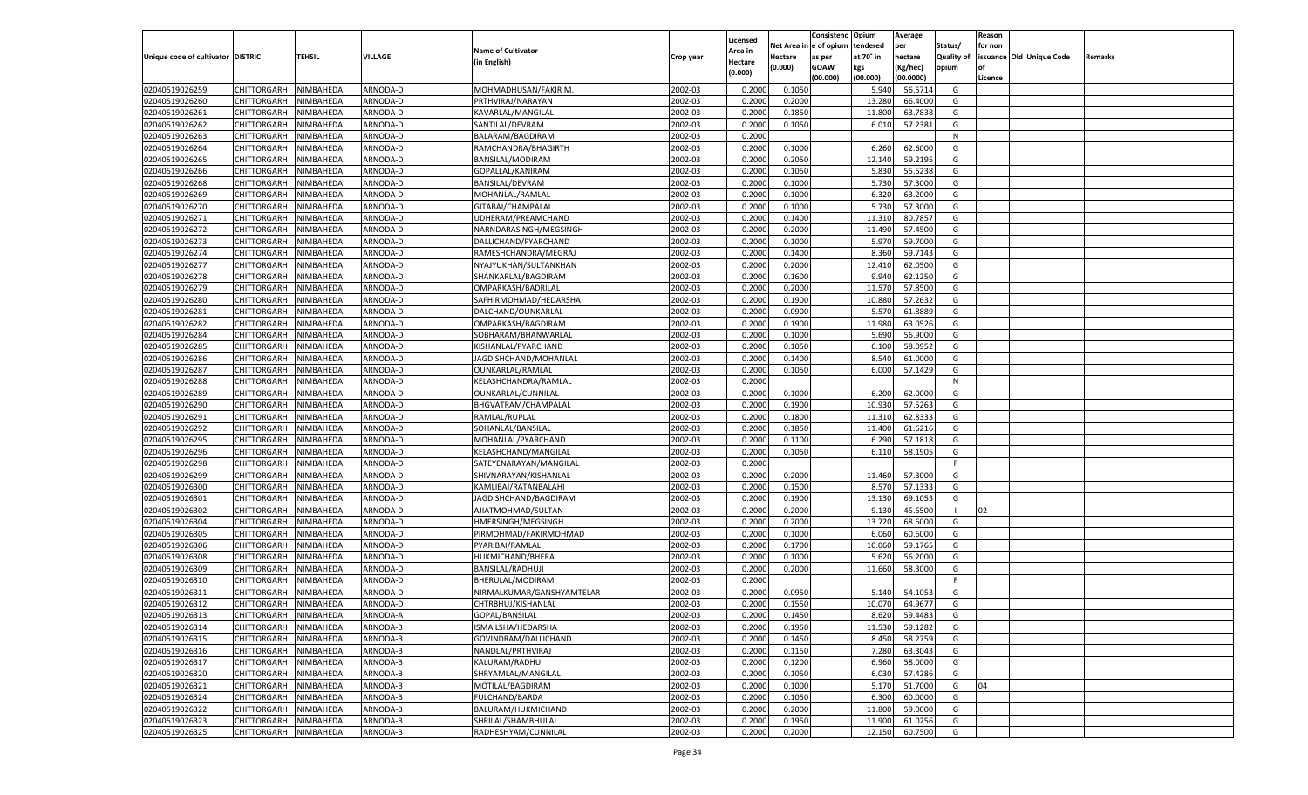|                                   |                       |           |          |                                           |           |                    |             | Consistenc   | Opium     | Average   |                   | Reason  |                          |         |
|-----------------------------------|-----------------------|-----------|----------|-------------------------------------------|-----------|--------------------|-------------|--------------|-----------|-----------|-------------------|---------|--------------------------|---------|
|                                   |                       |           |          |                                           |           | Licensed           | Net Area iı | n e of opium | tendered  | per       | Status/           | for non |                          |         |
| Unique code of cultivator DISTRIC |                       | TEHSIL    | VILLAGE  | <b>Name of Cultivator</b>                 | Crop year | Area in            | Hectare     | as per       | at 70° in | hectare   | <b>Quality of</b> |         | issuance Old Unique Code | Remarks |
|                                   |                       |           |          | (in English)                              |           | Hectare<br>(0.000) | (0.000)     | <b>GOAW</b>  | kgs       | (Kg/hec)  | opium             |         |                          |         |
|                                   |                       |           |          |                                           |           |                    |             | (00.000)     | (00.000)  | (00.0000) |                   | Licence |                          |         |
| 02040519026259                    | CHITTORGARH           | NIMBAHEDA | ARNODA-D | MOHMADHUSAN/FAKIR M.                      | 2002-03   | 0.2000             | 0.1050      |              | 5.940     | 56.5714   | G                 |         |                          |         |
| 02040519026260                    | CHITTORGARH           | NIMBAHEDA | ARNODA-D | PRTHVIRAJ/NARAYAN                         | 2002-03   | 0.2000             | 0.2000      |              | 13.280    | 66.4000   | G                 |         |                          |         |
| 02040519026261                    | CHITTORGARH           | NIMBAHEDA | ARNODA-D | KAVARLAL/MANGILAL                         | 2002-03   | 0.2000             | 0.1850      |              | 11.800    | 63.7838   | G                 |         |                          |         |
| 02040519026262                    | CHITTORGARH           | NIMBAHEDA | ARNODA-D | SANTILAL/DEVRAM                           | 2002-03   | 0.2000             | 0.1050      |              | 6.010     | 57.2381   | G                 |         |                          |         |
| 02040519026263                    | CHITTORGARH           | NIMBAHEDA | ARNODA-D | BALARAM/BAGDIRAM                          | 2002-03   | 0.2000             |             |              |           |           | N                 |         |                          |         |
| 02040519026264                    | CHITTORGARH           | NIMBAHEDA | ARNODA-D | RAMCHANDRA/BHAGIRTH                       | 2002-03   | 0.2000             | 0.1000      |              | 6.260     | 62.6000   | G                 |         |                          |         |
| 02040519026265                    | CHITTORGARH           | NIMBAHEDA | ARNODA-D | BANSILAL/MODIRAM                          | 2002-03   | 0.2000             | 0.2050      |              | 12.140    | 59.2195   | G                 |         |                          |         |
| 02040519026266                    | CHITTORGARH           | NIMBAHEDA | ARNODA-D | GOPALLAL/KANIRAM                          | 2002-03   | 0.2000             | 0.1050      |              | 5.830     | 55.5238   | G                 |         |                          |         |
| 02040519026268                    | CHITTORGARH           | NIMBAHEDA | ARNODA-D | BANSILAL/DEVRAM                           | 2002-03   | 0.2000             | 0.1000      |              | 5.730     | 57.3000   | G                 |         |                          |         |
| 02040519026269                    | CHITTORGARH           | NIMBAHEDA | ARNODA-D | MOHANLAL/RAMLAL                           | 2002-03   | 0.2000             | 0.1000      |              | 6.320     | 63.2000   | G                 |         |                          |         |
| 02040519026270                    | CHITTORGARH           | NIMBAHEDA | ARNODA-D | GITABAI/CHAMPALAL                         | 2002-03   | 0.2000             | 0.1000      |              | 5.730     | 57.3000   | G                 |         |                          |         |
| 02040519026271                    | CHITTORGARH           | NIMBAHEDA | ARNODA-D | UDHERAM/PREAMCHAND                        | 2002-03   | 0.2000             | 0.1400      |              | 11.31     | 80.7857   | G                 |         |                          |         |
| 02040519026272                    | CHITTORGARH           | NIMBAHEDA | ARNODA-D | NARNDARASINGH/MEGSINGH                    | 2002-03   | 0.2000             | 0.2000      |              | 11.490    | 57.4500   | G                 |         |                          |         |
| 02040519026273                    | CHITTORGARH           | NIMBAHEDA | ARNODA-D | DALLICHAND/PYARCHAND                      | 2002-03   | 0.2000             | 0.1000      |              | 5.970     | 59.7000   | G                 |         |                          |         |
| 02040519026274                    | CHITTORGARH           | NIMBAHEDA | ARNODA-D | RAMESHCHANDRA/MEGRAJ                      | 2002-03   | 0.2000             | 0.1400      |              | 8.360     | 59.7143   | G                 |         |                          |         |
| 02040519026277                    | CHITTORGARH           | NIMBAHEDA | ARNODA-D | NYAJYUKHAN/SULTANKHAN                     | 2002-03   | 0.2000             | 0.2000      |              | 12.410    | 62.0500   | G                 |         |                          |         |
| 02040519026278                    | CHITTORGARH           | NIMBAHEDA | ARNODA-D | SHANKARLAL/BAGDIRAM                       | 2002-03   | 0.2000             | 0.1600      |              | 9.940     | 62.1250   | G                 |         |                          |         |
| 02040519026279                    | CHITTORGARH           | NIMBAHEDA | ARNODA-D | OMPARKASH/BADRILAL                        | 2002-03   | 0.2000             | 0.2000      |              | 11.570    | 57.8500   | G                 |         |                          |         |
| 02040519026280                    | CHITTORGARH           | NIMBAHEDA | ARNODA-D | SAFHIRMOHMAD/HEDARSHA                     | 2002-03   | 0.2000             | 0.1900      |              | 10.880    | 57.2632   | G                 |         |                          |         |
| 02040519026281                    | CHITTORGARH           | NIMBAHEDA | ARNODA-D | DALCHAND/OUNKARLAL                        | 2002-03   | 0.2000             | 0.0900      |              | 5.570     | 61.8889   | G                 |         |                          |         |
| 02040519026282                    | CHITTORGARH           | NIMBAHEDA | ARNODA-D | OMPARKASH/BAGDIRAM                        | 2002-03   | 0.2000             | 0.1900      |              | 11.980    | 63.0526   | G                 |         |                          |         |
| 02040519026284                    | CHITTORGARH           | NIMBAHEDA | ARNODA-D | SOBHARAM/BHANWARLAL                       | 2002-03   | 0.2000             | 0.1000      |              | 5.690     | 56.9000   | G                 |         |                          |         |
| 02040519026285                    | CHITTORGARH           | NIMBAHEDA | ARNODA-D | KISHANLAL/PYARCHAND                       | 2002-03   | 0.2000             | 0.1050      |              | 6.100     | 58.0952   | G                 |         |                          |         |
| 02040519026286                    | CHITTORGARH           |           |          |                                           | 2002-03   | 0.2000             | 0.1400      |              | 8.540     | 61.0000   | G                 |         |                          |         |
|                                   | CHITTORGARH           | NIMBAHEDA | ARNODA-D | JAGDISHCHAND/MOHANLAL<br>OUNKARLAL/RAMLAL | 2002-03   |                    | 0.1050      |              |           | 57.1429   | G                 |         |                          |         |
| 02040519026287                    |                       | NIMBAHEDA | ARNODA-D |                                           |           | 0.2000             |             |              | 6.000     |           |                   |         |                          |         |
| 02040519026288<br>02040519026289  | CHITTORGARH           | NIMBAHEDA | ARNODA-D | KELASHCHANDRA/RAMLAL                      | 2002-03   | 0.2000             |             |              |           |           | N                 |         |                          |         |
|                                   | CHITTORGARH           | NIMBAHEDA | ARNODA-D | OUNKARLAL/CUNNILAL                        | 2002-03   | 0.2000             | 0.1000      |              | 6.200     | 62.0000   | G                 |         |                          |         |
| 02040519026290                    | CHITTORGARH           | NIMBAHEDA | ARNODA-D | BHGVATRAM/CHAMPALAI                       | 2002-03   | 0.2000             | 0.1900      |              | 10.930    | 57.5263   | G                 |         |                          |         |
| 02040519026291                    | CHITTORGARH           | NIMBAHEDA | ARNODA-D | RAMLAL/RUPLAL                             | 2002-03   | 0.2000             | 0.1800      |              | 11.31     | 62.8333   | G                 |         |                          |         |
| 02040519026292                    | CHITTORGARH           | NIMBAHEDA | ARNODA-D | SOHANLAL/BANSILAL                         | 2002-03   | 0.2000             | 0.1850      |              | 11.400    | 61.6216   | G                 |         |                          |         |
| 02040519026295                    | CHITTORGARH           | NIMBAHEDA | ARNODA-D | MOHANLAL/PYARCHAND                        | 2002-03   | 0.2000             | 0.1100      |              | 6.290     | 57.1818   | G                 |         |                          |         |
| 02040519026296                    | CHITTORGARH           | NIMBAHEDA | ARNODA-D | KELASHCHAND/MANGILAL                      | 2002-03   | 0.2000             | 0.1050      |              | 6.110     | 58.1905   | G                 |         |                          |         |
| 02040519026298                    | CHITTORGARH           | NIMBAHEDA | ARNODA-D | SATEYENARAYAN/MANGILAI                    | 2002-03   | 0.2000             |             |              |           |           | F.                |         |                          |         |
| 02040519026299                    | CHITTORGARH           | NIMBAHEDA | ARNODA-D | SHIVNARAYAN/KISHANLAL                     | 2002-03   | 0.2000             | 0.2000      |              | 11.460    | 57.3000   | G                 |         |                          |         |
| 02040519026300                    | CHITTORGARH           | NIMBAHEDA | ARNODA-D | KAMLIBAI/RATANBALAHI                      | 2002-03   | 0.2000             | 0.1500      |              | 8.570     | 57.133    | G                 |         |                          |         |
| 02040519026301                    | CHITTORGARH           | NIMBAHEDA | ARNODA-D | JAGDISHCHAND/BAGDIRAM                     | 2002-03   | 0.2000             | 0.1900      |              | 13.130    | 69.105    | G                 |         |                          |         |
| 02040519026302                    | CHITTORGARH           | NIMBAHEDA | ARNODA-D | AJIATMOHMAD/SULTAN                        | 2002-03   | 0.2000             | 0.2000      |              | 9.13      | 45.6500   |                   | 02      |                          |         |
| 02040519026304                    | CHITTORGARH           | NIMBAHEDA | ARNODA-D | HMERSINGH/MEGSINGH                        | 2002-03   | 0.2000             | 0.2000      |              | 13.720    | 68.6000   | G                 |         |                          |         |
| 02040519026305                    | CHITTORGARH           | NIMBAHEDA | ARNODA-D | PIRMOHMAD/FAKIRMOHMAD                     | 2002-03   | 0.2000             | 0.1000      |              | 6.060     | 60.6000   | G                 |         |                          |         |
| 02040519026306                    | CHITTORGARH           | NIMBAHEDA | ARNODA-D | PYARIBAI/RAMLAL                           | 2002-03   | 0.2000             | 0.1700      |              | 10.060    | 59.1765   | G                 |         |                          |         |
| 02040519026308                    | CHITTORGARH           | NIMBAHEDA | ARNODA-D | <b>HUKMICHAND/BHERA</b>                   | 2002-03   | 0.2000             | 0.1000      |              | 5.620     | 56.2000   | G                 |         |                          |         |
| 02040519026309                    | CHITTORGARH           | NIMBAHEDA | ARNODA-D | <b>BANSILAL/RADHUJI</b>                   | 2002-03   | 0.2000             | 0.2000      |              | 11.660    | 58.3000   | G                 |         |                          |         |
| 02040519026310                    | CHITTORGARH           | NIMBAHEDA | ARNODA-D | BHERULAL/MODIRAM                          | 2002-03   | 0.2000             |             |              |           |           | F.                |         |                          |         |
| 02040519026311                    | CHITTORGARH           | NIMBAHEDA | ARNODA-D | NIRMALKUMAR/GANSHYAMTELAR                 | 2002-03   | 0.2000             | 0.0950      |              | 5.140     | 54.105    | G                 |         |                          |         |
| 02040519026312                    | CHITTORGARH           | NIMBAHEDA | ARNODA-D | CHTRBHUJ/KISHANLAL                        | 2002-03   | 0.2000             | 0.1550      |              | 10.070    | 64.9677   | G                 |         |                          |         |
| 02040519026313                    | CHITTORGARH NIMBAHEDA |           | ARNODA-A | GOPAL/BANSILAL                            | 2002-03   | 0.2000             | 0.1450      |              | 8.620     | 59.4483   | G                 |         |                          |         |
| 02040519026314                    | <b>CHITTORGARH</b>    | NIMBAHEDA | ARNODA-B | ISMAILSHA/HEDARSHA                        | 2002-03   | 0.2000             | 0.1950      |              | 11.530    | 59.1282   | G                 |         |                          |         |
| 02040519026315                    | CHITTORGARH           | NIMBAHEDA | ARNODA-B | GOVINDRAM/DALLICHAND                      | 2002-03   | 0.2000             | 0.1450      |              | 8.450     | 58.2759   | G                 |         |                          |         |
| 02040519026316                    | <b>CHITTORGARH</b>    | NIMBAHEDA | ARNODA-B | NANDLAL/PRTHVIRAJ                         | 2002-03   | 0.2000             | 0.1150      |              | 7.280     | 63.3043   | G                 |         |                          |         |
| 02040519026317                    | <b>CHITTORGARH</b>    | NIMBAHEDA | ARNODA-B | KALURAM/RADHU                             | 2002-03   | 0.2000             | 0.1200      |              | 6.960     | 58.0000   | G                 |         |                          |         |
| 02040519026320                    | CHITTORGARH           | NIMBAHEDA | ARNODA-B | SHRYAMLAL/MANGILAL                        | 2002-03   | 0.2000             | 0.1050      |              | 6.030     | 57.4286   | G                 |         |                          |         |
| 02040519026321                    | <b>CHITTORGARH</b>    | NIMBAHEDA | ARNODA-B | MOTILAL/BAGDIRAM                          | 2002-03   | 0.2000             | 0.1000      |              | 5.170     | 51.7000   | G                 | 04      |                          |         |
| 02040519026324                    | CHITTORGARH           | NIMBAHEDA | ARNODA-B | FULCHAND/BARDA                            | 2002-03   | 0.2000             | 0.1050      |              | 6.300     | 60.0000   | G                 |         |                          |         |
| 02040519026322                    | CHITTORGARH           | NIMBAHEDA | ARNODA-B | BALURAM/HUKMICHAND                        | 2002-03   | 0.2000             | 0.2000      |              | 11.800    | 59.0000   | G                 |         |                          |         |
| 02040519026323                    | <b>CHITTORGARH</b>    | NIMBAHEDA | ARNODA-B | SHRILAL/SHAMBHULAL                        | 2002-03   | 0.2000             | 0.1950      |              | 11.900    | 61.0256   | G                 |         |                          |         |
| 02040519026325                    | <b>CHITTORGARH</b>    | NIMBAHEDA | ARNODA-B | RADHESHYAM/CUNNILAL                       | 2002-03   | 0.2000             | 0.2000      |              | 12.150    | 60.7500   | G                 |         |                          |         |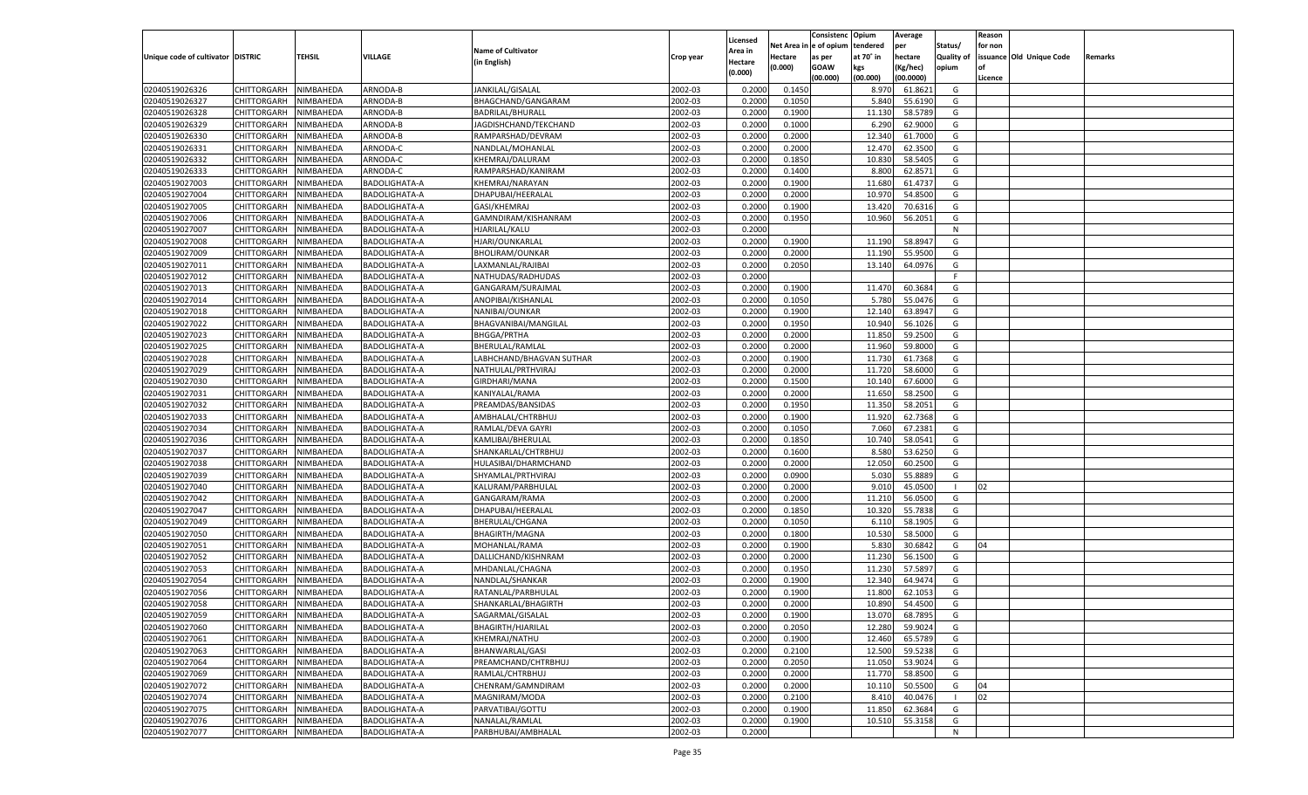|                                   |                       |           |                      |                           |           |                    |            | Consistenc   | Opium     | Average   |                   | Reason  |                          |         |
|-----------------------------------|-----------------------|-----------|----------------------|---------------------------|-----------|--------------------|------------|--------------|-----------|-----------|-------------------|---------|--------------------------|---------|
|                                   |                       |           |                      |                           |           | Licensed           | Net Area i | n e of opium | tendered  | per       | Status/           | for non |                          |         |
| Unique code of cultivator DISTRIC |                       | TEHSIL    | VILLAGE              | <b>Name of Cultivator</b> | Crop year | Area in            | Hectare    | as per       | at 70° in | hectare   | <b>Quality of</b> |         | issuance Old Unique Code | Remarks |
|                                   |                       |           |                      | (in English)              |           | Hectare<br>(0.000) | (0.000)    | <b>GOAW</b>  | kgs       | (Kg/hec)  | opium             |         |                          |         |
|                                   |                       |           |                      |                           |           |                    |            | (00.000)     | (00.000)  | (00.0000) |                   | Licence |                          |         |
| 02040519026326                    | CHITTORGARH           | NIMBAHEDA | ARNODA-B             | JANKILAL/GISALAL          | 2002-03   | 0.2000             | 0.1450     |              | 8.970     | 61.8621   | G                 |         |                          |         |
| 02040519026327                    | CHITTORGARH           | NIMBAHEDA | ARNODA-B             | BHAGCHAND/GANGARAM        | 2002-03   | 0.2000             | 0.1050     |              | 5.840     | 55.6190   | G                 |         |                          |         |
| 02040519026328                    | CHITTORGARH           | NIMBAHEDA | ARNODA-B             | BADRILAL/BHURALI          | 2002-03   | 0.2000             | 0.1900     |              | 11.130    | 58.5789   | G                 |         |                          |         |
| 02040519026329                    | CHITTORGARH           | NIMBAHEDA | ARNODA-B             | JAGDISHCHAND/TEKCHAND     | 2002-03   | 0.2000             | 0.1000     |              | 6.290     | 62.9000   | G                 |         |                          |         |
| 02040519026330                    | CHITTORGARH           | NIMBAHEDA | ARNODA-B             | RAMPARSHAD/DEVRAM         | 2002-03   | 0.2000             | 0.2000     |              | 12.340    | 61.7000   | G                 |         |                          |         |
| 02040519026331                    | CHITTORGARH           | NIMBAHEDA | ARNODA-C             | NANDLAL/MOHANLAL          | 2002-03   | 0.2000             | 0.2000     |              | 12.470    | 62.3500   | G                 |         |                          |         |
| 02040519026332                    | CHITTORGARH           | NIMBAHEDA | ARNODA-C             | KHEMRAJ/DALURAM           | 2002-03   | 0.2000             | 0.1850     |              | 10.830    | 58.5405   | G                 |         |                          |         |
| 02040519026333                    | CHITTORGARH           | NIMBAHEDA | ARNODA-C             | RAMPARSHAD/KANIRAM        | 2002-03   | 0.2000             | 0.1400     |              | 8.800     | 62.8571   | G                 |         |                          |         |
| 02040519027003                    | CHITTORGARH           | NIMBAHEDA | BADOLIGHATA-A        | KHEMRAJ/NARAYAN           | 2002-03   | 0.2000             | 0.1900     |              | 11.680    | 61.4737   | G                 |         |                          |         |
| 02040519027004                    | CHITTORGARH           | NIMBAHEDA | BADOLIGHATA-A        | DHAPUBAI/HEERALAL         | 2002-03   | 0.2000             | 0.2000     |              | 10.97     | 54.8500   | G                 |         |                          |         |
| 02040519027005                    | CHITTORGARH           | NIMBAHEDA | <b>BADOLIGHATA-A</b> | GASI/KHEMRAJ              | 2002-03   | 0.2000             | 0.1900     |              | 13.420    | 70.6316   | G                 |         |                          |         |
| 02040519027006                    | CHITTORGARH           | NIMBAHEDA | BADOLIGHATA-A        | GAMNDIRAM/KISHANRAM       | 2002-03   | 0.2000             | 0.1950     |              | 10.960    | 56.2051   | G                 |         |                          |         |
| 02040519027007                    | CHITTORGARH           | NIMBAHEDA | BADOLIGHATA-A        | HJARILAL/KALU             | 2002-03   | 0.2000             |            |              |           |           | N                 |         |                          |         |
| 02040519027008                    | CHITTORGARH           | NIMBAHEDA | BADOLIGHATA-A        | HJARI/OUNKARLAL           | 2002-03   | 0.2000             | 0.1900     |              | 11.190    | 58.8947   | G                 |         |                          |         |
| 02040519027009                    | CHITTORGARH           | NIMBAHEDA | <b>BADOLIGHATA-A</b> | <b>BHOLIRAM/OUNKAR</b>    | 2002-03   | 0.2000             | 0.2000     |              | 11.190    | 55.9500   | G                 |         |                          |         |
| 02040519027011                    | CHITTORGARH           | NIMBAHEDA | BADOLIGHATA-A        | LAXMANLAL/RAJIBAI         | 2002-03   | 0.2000             | 0.2050     |              | 13.140    | 64.0976   | G                 |         |                          |         |
| 02040519027012                    | CHITTORGARH           | NIMBAHEDA | BADOLIGHATA-A        | NATHUDAS/RADHUDAS         | 2002-03   | 0.2000             |            |              |           |           | F.                |         |                          |         |
| 02040519027013                    | CHITTORGARH           | NIMBAHEDA | BADOLIGHATA-A        | GANGARAM/SURAJMAL         | 2002-03   | 0.2000             | 0.1900     |              | 11.470    | 60.3684   | G                 |         |                          |         |
| 02040519027014                    | CHITTORGARH           | NIMBAHEDA | <b>BADOLIGHATA-A</b> | ANOPIBAI/KISHANLAL        | 2002-03   | 0.2000             | 0.1050     |              | 5.780     | 55.0476   | G                 |         |                          |         |
| 02040519027018                    | CHITTORGARH           | NIMBAHEDA | BADOLIGHATA-A        | NANIBAI/OUNKAR            | 2002-03   | 0.2000             | 0.1900     |              | 12.14     | 63.8947   | G                 |         |                          |         |
| 02040519027022                    | CHITTORGARH           | NIMBAHEDA | BADOLIGHATA-A        | BHAGVANIBAI/MANGILAL      | 2002-03   | 0.2000             | 0.1950     |              | 10.940    | 56.1026   | G                 |         |                          |         |
| 02040519027023                    | CHITTORGARH           | NIMBAHEDA | BADOLIGHATA-A        | <b>BHGGA/PRTHA</b>        | 2002-03   | 0.2000             | 0.2000     |              | 11.850    | 59.2500   | G                 |         |                          |         |
| 02040519027025                    | CHITTORGARH           | NIMBAHEDA | <b>BADOLIGHATA-A</b> | BHERULAL/RAMLAL           | 2002-03   | 0.2000             | 0.2000     |              | 11.960    | 59.8000   | G                 |         |                          |         |
| 02040519027028                    | CHITTORGARH           | NIMBAHEDA | BADOLIGHATA-A        | LABHCHAND/BHAGVAN SUTHAR  | 2002-03   | 0.2000             | 0.1900     |              | 11.730    | 61.7368   | G                 |         |                          |         |
| 02040519027029                    | CHITTORGARH           | NIMBAHEDA | BADOLIGHATA-A        | NATHULAL/PRTHVIRAJ        | 2002-03   | 0.2000             | 0.2000     |              | 11.720    | 58.6000   | G                 |         |                          |         |
| 02040519027030                    | CHITTORGARH           | NIMBAHEDA | BADOLIGHATA-A        | GIRDHARI/MANA             | 2002-03   | 0.2000             | 0.1500     |              | 10.14     | 67.6000   | G                 |         |                          |         |
| 02040519027031                    | CHITTORGARH           | NIMBAHEDA | <b>BADOLIGHATA-A</b> | KANIYALAL/RAMA            | 2002-03   | 0.2000             | 0.2000     |              | 11.650    | 58.2500   | G                 |         |                          |         |
| 02040519027032                    | CHITTORGARH           | NIMBAHEDA | BADOLIGHATA-A        | PREAMDAS/BANSIDAS         | 2002-03   | 0.2000             | 0.1950     |              | 11.350    | 58.2051   | G                 |         |                          |         |
| 02040519027033                    | CHITTORGARH           |           |                      |                           | 2002-03   | 0.2000             | 0.1900     |              | 11.920    | 62.7368   | G                 |         |                          |         |
|                                   |                       | NIMBAHEDA | BADOLIGHATA-A        | AMBHALAL/CHTRBHUJ         |           |                    |            |              |           |           |                   |         |                          |         |
| 02040519027034                    | CHITTORGARH           | NIMBAHEDA | <b>BADOLIGHATA-A</b> | RAMLAL/DEVA GAYRI         | 2002-03   | 0.2000             | 0.1050     |              | 7.060     | 67.2381   | G                 |         |                          |         |
| 02040519027036                    | CHITTORGARH           | NIMBAHEDA | <b>BADOLIGHATA-A</b> | KAMLIBAI/BHERULAL         | 2002-03   | 0.2000             | 0.1850     |              | 10.740    | 58.0541   | G                 |         |                          |         |
| 02040519027037                    | CHITTORGARH           | NIMBAHEDA | <b>BADOLIGHATA-A</b> | SHANKARLAL/CHTRBHUJ       | 2002-03   | 0.2000             | 0.1600     |              | 8.580     | 53.6250   | G                 |         |                          |         |
| 02040519027038                    | CHITTORGARH           | NIMBAHEDA | <b>BADOLIGHATA-A</b> | HULASIBAI/DHARMCHAND      | 2002-03   | 0.2000             | 0.2000     |              | 12.050    | 60.2500   | G                 |         |                          |         |
| 02040519027039                    | CHITTORGARH           | NIMBAHEDA | <b>BADOLIGHATA-A</b> | SHYAMLAL/PRTHVIRAJ        | 2002-03   | 0.2000             | 0.0900     |              | 5.03      | 55.8889   | G                 |         |                          |         |
| 02040519027040                    | CHITTORGARH           | NIMBAHEDA | <b>BADOLIGHATA-A</b> | KALURAM/PARBHULAL         | 2002-03   | 0.2000             | 0.2000     |              | 9.010     | 45.0500   |                   | 02      |                          |         |
| 02040519027042                    | CHITTORGARH           | NIMBAHEDA | <b>BADOLIGHATA-A</b> | GANGARAM/RAMA             | 2002-03   | 0.2000             | 0.2000     |              | 11.210    | 56.0500   | G                 |         |                          |         |
| 02040519027047                    | CHITTORGARH           | NIMBAHEDA | <b>BADOLIGHATA-A</b> | DHAPUBAI/HEERALAI         | 2002-03   | 0.2000             | 0.1850     |              | 10.320    | 55.7838   | G                 |         |                          |         |
| 02040519027049                    | CHITTORGARH           | NIMBAHEDA | <b>BADOLIGHATA-A</b> | BHERULAL/CHGANA           | 2002-03   | 0.2000             | 0.1050     |              | 6.11(     | 58.1905   | G                 |         |                          |         |
| 02040519027050                    | CHITTORGARH           | NIMBAHEDA | <b>BADOLIGHATA-A</b> | BHAGIRTH/MAGNA            | 2002-03   | 0.2000             | 0.1800     |              | 10.530    | 58.5000   | G                 |         |                          |         |
| 02040519027051                    | CHITTORGARH           | NIMBAHEDA | <b>BADOLIGHATA-A</b> | MOHANLAL/RAMA             | 2002-03   | 0.2000             | 0.1900     |              | 5.830     | 30.6842   | G                 | 04      |                          |         |
| 02040519027052                    | CHITTORGARH           | NIMBAHEDA | <b>BADOLIGHATA-A</b> | DALLICHAND/KISHNRAM       | 2002-03   | 0.2000             | 0.2000     |              | 11.230    | 56.1500   | G                 |         |                          |         |
| 02040519027053                    | CHITTORGARH           | NIMBAHEDA | <b>BADOLIGHATA-A</b> | MHDANLAL/CHAGNA           | 2002-03   | 0.2000             | 0.1950     |              | 11.230    | 57.5897   | G                 |         |                          |         |
| 02040519027054                    | CHITTORGARH           | NIMBAHEDA | <b>BADOLIGHATA-A</b> | NANDLAL/SHANKAR           | 2002-03   | 0.2000             | 0.1900     |              | 12.340    | 64.9474   | G                 |         |                          |         |
| 02040519027056                    | CHITTORGARH           | NIMBAHEDA | <b>BADOLIGHATA-A</b> | RATANLAL/PARBHULAL        | 2002-03   | 0.2000             | 0.1900     |              | 11.800    | 62.105    | G                 |         |                          |         |
| 02040519027058                    | CHITTORGARH           | NIMBAHEDA | <b>BADOLIGHATA-A</b> | SHANKARLAL/BHAGIRTH       | 2002-03   | 0.2000             | 0.2000     |              | 10.890    | 54.4500   | G                 |         |                          |         |
| 02040519027059                    | CHITTORGARH NIMBAHEDA |           | BADOLIGHATA-A        | SAGARMAL/GISALAL          | 2002-03   | 0.2000             | 0.1900     |              | 13.070    | 68.7895   | G                 |         |                          |         |
| 02040519027060                    | <b>CHITTORGARH</b>    | NIMBAHEDA | BADOLIGHATA-A        | <b>BHAGIRTH/HJARILAL</b>  | 2002-03   | 0.2000             | 0.2050     |              | 12.280    | 59.9024   | G                 |         |                          |         |
| 02040519027061                    | CHITTORGARH           | NIMBAHEDA | BADOLIGHATA-A        | KHEMRAJ/NATHU             | 2002-03   | 0.2000             | 0.1900     |              | 12.460    | 65.5789   | G                 |         |                          |         |
| 02040519027063                    | CHITTORGARH           | NIMBAHEDA | BADOLIGHATA-A        | BHANWARLAL/GASI           | 2002-03   | 0.2000             | 0.2100     |              | 12.500    | 59.5238   | G                 |         |                          |         |
| 02040519027064                    | CHITTORGARH           | NIMBAHEDA | BADOLIGHATA-A        | PREAMCHAND/CHTRBHUJ       | 2002-03   | 0.2000             | 0.2050     |              | 11.050    | 53.9024   | G                 |         |                          |         |
| 02040519027069                    | <b>CHITTORGARH</b>    | NIMBAHEDA | BADOLIGHATA-A        | RAMLAL/CHTRBHUJ           | 2002-03   | 0.2000             | 0.2000     |              | 11.770    | 58.8500   | G                 |         |                          |         |
| 02040519027072                    | CHITTORGARH           | NIMBAHEDA | BADOLIGHATA-A        | CHENRAM/GAMNDIRAM         | 2002-03   | 0.2000             | 0.2000     |              | 10.110    | 50.5500   | G                 | 04      |                          |         |
| 02040519027074                    | CHITTORGARH           | NIMBAHEDA | BADOLIGHATA-A        | MAGNIRAM/MODA             | 2002-03   | 0.2000             | 0.2100     |              | 8.410     | 40.0476   |                   | 02      |                          |         |
| 02040519027075                    | CHITTORGARH           | NIMBAHEDA | BADOLIGHATA-A        | PARVATIBAI/GOTTU          | 2002-03   | 0.2000             | 0.1900     |              | 11.850    | 62.3684   | G                 |         |                          |         |
| 02040519027076                    | CHITTORGARH           | NIMBAHEDA | BADOLIGHATA-A        | NANALAL/RAMLAL            | 2002-03   | 0.2000             | 0.1900     |              | 10.510    | 55.3158   | G                 |         |                          |         |
| 02040519027077                    | <b>CHITTORGARH</b>    | NIMBAHEDA | BADOLIGHATA-A        | PARBHUBAI/AMBHALAL        | 2002-03   | 0.2000             |            |              |           |           | N                 |         |                          |         |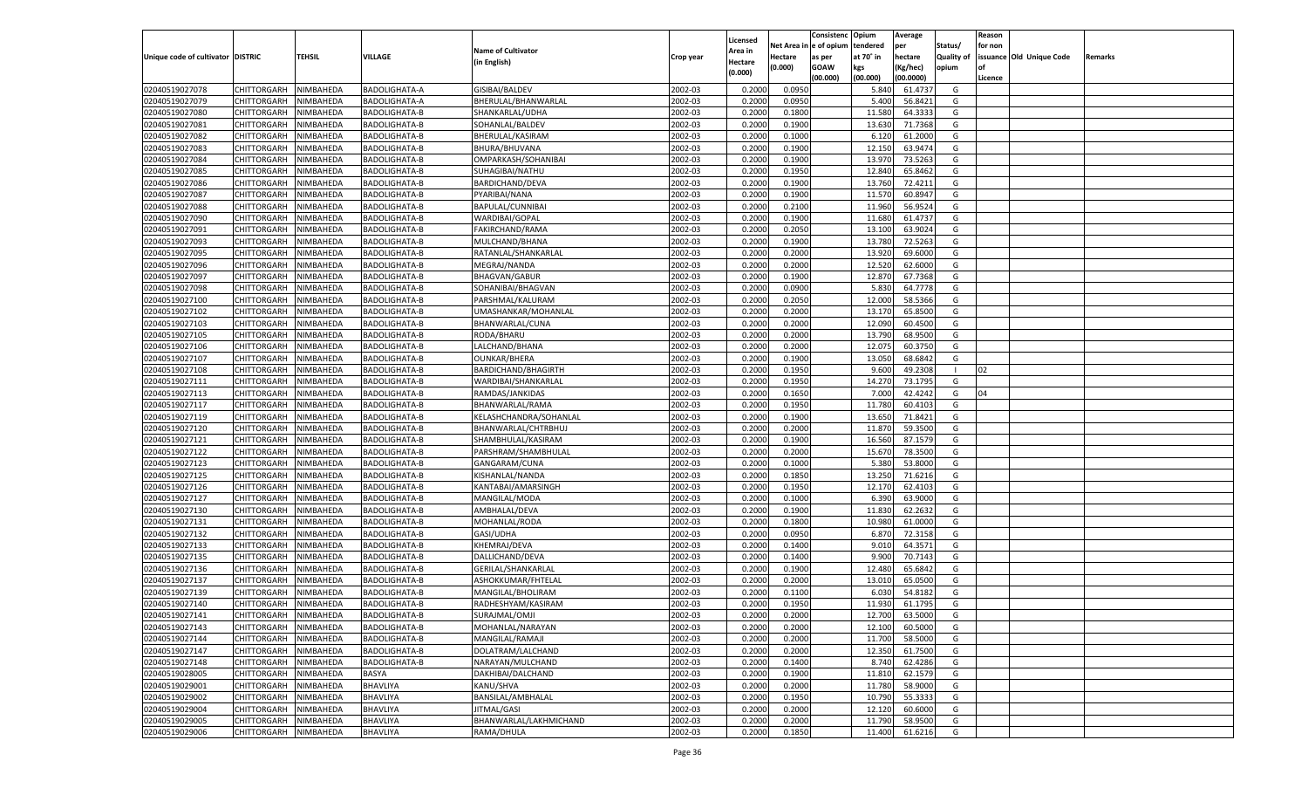|                                   |                       |           |                      |                           |           |                    |             | Consistenc    | Opium     | Average   |                   | Reason  |                          |         |
|-----------------------------------|-----------------------|-----------|----------------------|---------------------------|-----------|--------------------|-------------|---------------|-----------|-----------|-------------------|---------|--------------------------|---------|
|                                   |                       |           |                      |                           |           | Licensed           | Net Area iı | n  e of opium | tendered  | per       | Status/           | for non |                          |         |
| Unique code of cultivator DISTRIC |                       | TEHSIL    | VILLAGE              | <b>Name of Cultivator</b> | Crop year | Area in            | Hectare     | as per        | at 70° in | hectare   | <b>Quality of</b> |         | issuance Old Unique Code | Remarks |
|                                   |                       |           |                      | (in English)              |           | Hectare<br>(0.000) | (0.000)     | <b>GOAW</b>   | kgs       | (Kg/hec)  | opium             |         |                          |         |
|                                   |                       |           |                      |                           |           |                    |             | (00.000)      | (00.000)  | (00.0000) |                   | Licence |                          |         |
| 02040519027078                    | CHITTORGARH           | NIMBAHEDA | <b>BADOLIGHATA-A</b> | GISIBAI/BALDEV            | 2002-03   | 0.2000             | 0.0950      |               | 5.840     | 61.4737   | G                 |         |                          |         |
| 02040519027079                    | CHITTORGARH           | NIMBAHEDA | <b>BADOLIGHATA-A</b> | BHERULAL/BHANWARLAL       | 2002-03   | 0.2000             | 0.0950      |               | 5.400     | 56.8421   | G                 |         |                          |         |
| 02040519027080                    | CHITTORGARH           | NIMBAHEDA | <b>BADOLIGHATA-B</b> | SHANKARLAL/UDHA           | 2002-03   | 0.2000             | 0.1800      |               | 11.580    | 64.3333   | G                 |         |                          |         |
| 02040519027081                    | CHITTORGARH           | NIMBAHEDA | BADOLIGHATA-B        | SOHANLAL/BALDEV           | 2002-03   | 0.2000             | 0.1900      |               | 13.630    | 71.7368   | G                 |         |                          |         |
| 02040519027082                    | CHITTORGARH           | NIMBAHEDA | <b>BADOLIGHATA-B</b> | BHERULAL/KASIRAM          | 2002-03   | 0.2000             | 0.1000      |               | 6.120     | 61.2000   | G                 |         |                          |         |
| 02040519027083                    | CHITTORGARH           | NIMBAHEDA | BADOLIGHATA-B        | BHURA/BHUVANA             | 2002-03   | 0.2000             | 0.1900      |               | 12.150    | 63.9474   | G                 |         |                          |         |
| 02040519027084                    | CHITTORGARH           | NIMBAHEDA | <b>BADOLIGHATA-B</b> | OMPARKASH/SOHANIBAI       | 2002-03   | 0.2000             | 0.1900      |               | 13.970    | 73.5263   | G                 |         |                          |         |
| 02040519027085                    | CHITTORGARH           | NIMBAHEDA | BADOLIGHATA-B        | SUHAGIBAI/NATHU           | 2002-03   | 0.2000             | 0.1950      |               | 12.840    | 65.8462   | G                 |         |                          |         |
| 02040519027086                    | CHITTORGARH           | NIMBAHEDA | BADOLIGHATA-B        | BARDICHAND/DEVA           | 2002-03   | 0.2000             | 0.1900      |               | 13.760    | 72.4211   | G                 |         |                          |         |
| 02040519027087                    | CHITTORGARH           | NIMBAHEDA | BADOLIGHATA-B        | PYARIBAI/NANA             | 2002-03   | 0.2000             | 0.1900      |               | 11.570    | 60.8947   | G                 |         |                          |         |
| 02040519027088                    | CHITTORGARH           | NIMBAHEDA | <b>BADOLIGHATA-B</b> | BAPULAL/CUNNIBAI          | 2002-03   | 0.2000             | 0.2100      |               | 11.960    | 56.9524   | G                 |         |                          |         |
| 02040519027090                    | CHITTORGARH           | NIMBAHEDA | BADOLIGHATA-B        | WARDIBAI/GOPAL            | 2002-03   | 0.2000             | 0.1900      |               | 11.680    | 61.4737   | G                 |         |                          |         |
| 02040519027091                    | CHITTORGARH           | NIMBAHEDA | BADOLIGHATA-B        | FAKIRCHAND/RAMA           | 2002-03   | 0.2000             | 0.2050      |               | 13.100    | 63.9024   | G                 |         |                          |         |
| 02040519027093                    | CHITTORGARH           | NIMBAHEDA | BADOLIGHATA-B        | MULCHAND/BHANA            | 2002-03   | 0.2000             | 0.1900      |               | 13.780    | 72.5263   | G                 |         |                          |         |
| 02040519027095                    | CHITTORGARH           | NIMBAHEDA | <b>BADOLIGHATA-B</b> | RATANLAL/SHANKARLAL       | 2002-03   | 0.2000             | 0.2000      |               | 13.920    | 69.6000   | G                 |         |                          |         |
| 02040519027096                    | CHITTORGARH           | NIMBAHEDA | BADOLIGHATA-B        | MEGRAJ/NANDA              | 2002-03   | 0.2000             | 0.2000      |               | 12.520    | 62.6000   | G                 |         |                          |         |
| 02040519027097                    | CHITTORGARH           | NIMBAHEDA | BADOLIGHATA-B        | <b>BHAGVAN/GABUR</b>      | 2002-03   | 0.2000             | 0.1900      |               | 12.870    | 67.7368   | G                 |         |                          |         |
| 02040519027098                    | CHITTORGARH           | NIMBAHEDA | BADOLIGHATA-B        | SOHANIBAI/BHAGVAN         | 2002-03   | 0.2000             | 0.0900      |               | 5.830     | 64.7778   | G                 |         |                          |         |
| 02040519027100                    | CHITTORGARH           | NIMBAHEDA | <b>BADOLIGHATA-B</b> | PARSHMAL/KALURAM          | 2002-03   | 0.2000             | 0.2050      |               | 12.000    | 58.5366   | G                 |         |                          |         |
| 02040519027102                    | CHITTORGARH           | NIMBAHEDA | BADOLIGHATA-B        | UMASHANKAR/MOHANLAL       | 2002-03   | 0.2000             | 0.2000      |               | 13.170    | 65.8500   | G                 |         |                          |         |
| 02040519027103                    | CHITTORGARH           | NIMBAHEDA | BADOLIGHATA-B        | BHANWARLAL/CUNA           | 2002-03   | 0.2000             | 0.2000      |               | 12.090    | 60.4500   | G                 |         |                          |         |
| 02040519027105                    | CHITTORGARH           | NIMBAHEDA | BADOLIGHATA-B        | RODA/BHARU                | 2002-03   | 0.2000             | 0.2000      |               | 13.790    | 68.9500   | G                 |         |                          |         |
| 02040519027106                    | CHITTORGARH           | NIMBAHEDA | <b>BADOLIGHATA-B</b> | LALCHAND/BHANA            | 2002-03   | 0.2000             | 0.2000      |               | 12.075    | 60.3750   | G                 |         |                          |         |
| 02040519027107                    | CHITTORGARH           | NIMBAHEDA | BADOLIGHATA-B        | <b>OUNKAR/BHERA</b>       | 2002-03   | 0.2000             | 0.1900      |               | 13.050    | 68.6842   | G                 |         |                          |         |
| 02040519027108                    | CHITTORGARH           | NIMBAHEDA | BADOLIGHATA-B        | BARDICHAND/BHAGIRTH       | 2002-03   | 0.2000             | 0.1950      |               | 9.600     | 49.2308   |                   | 02      |                          |         |
| 02040519027111                    | CHITTORGARH           | NIMBAHEDA | BADOLIGHATA-B        | WARDIBAI/SHANKARLAL       | 2002-03   | 0.2000             | 0.1950      |               | 14.270    | 73.1795   | G                 |         |                          |         |
| 02040519027113                    | CHITTORGARH           | NIMBAHEDA | <b>BADOLIGHATA-B</b> | RAMDAS/JANKIDAS           | 2002-03   | 0.2000             | 0.1650      |               | 7.000     | 42.4242   | G                 | 04      |                          |         |
| 02040519027117                    | CHITTORGARH           | NIMBAHEDA | BADOLIGHATA-B        | BHANWARLAL/RAMA           | 2002-03   | 0.2000             | 0.1950      |               | 11.780    | 60.4103   | G                 |         |                          |         |
| 02040519027119                    | CHITTORGARH           |           |                      |                           | 2002-03   | 0.2000             | 0.1900      |               | 13.650    | 71.8421   | G                 |         |                          |         |
|                                   |                       | NIMBAHEDA | <b>BADOLIGHATA-B</b> | KELASHCHANDRA/SOHANLAL    |           |                    |             |               |           |           |                   |         |                          |         |
| 02040519027120                    | CHITTORGARH           | NIMBAHEDA | <b>BADOLIGHATA-B</b> | BHANWARLAL/CHTRBHUJ       | 2002-03   | 0.2000             | 0.2000      |               | 11.870    | 59.3500   | G                 |         |                          |         |
| 02040519027121                    | CHITTORGARH           | NIMBAHEDA | <b>BADOLIGHATA-B</b> | SHAMBHULAL/KASIRAM        | 2002-03   | 0.2000             | 0.1900      |               | 16.560    | 87.1579   | G                 |         |                          |         |
| 02040519027122                    | CHITTORGARH           | NIMBAHEDA | <b>BADOLIGHATA-B</b> | PARSHRAM/SHAMBHULAL       | 2002-03   | 0.2000             | 0.2000      |               | 15.670    | 78.3500   | G                 |         |                          |         |
| 02040519027123                    | CHITTORGARH           | NIMBAHEDA | <b>BADOLIGHATA-B</b> | GANGARAM/CUNA             | 2002-03   | 0.2000             | 0.1000      |               | 5.380     | 53.8000   | G                 |         |                          |         |
| 02040519027125                    | CHITTORGARH           | NIMBAHEDA | <b>BADOLIGHATA-B</b> | KISHANLAL/NANDA           | 2002-03   | 0.2000             | 0.1850      |               | 13.250    | 71.6216   | G                 |         |                          |         |
| 02040519027126                    | CHITTORGARH           | NIMBAHEDA | <b>BADOLIGHATA-B</b> | KANTABAI/AMARSINGH        | 2002-03   | 0.2000             | 0.1950      |               | 12.170    | 62.4103   | G                 |         |                          |         |
| 02040519027127                    | CHITTORGARH           | NIMBAHEDA | <b>BADOLIGHATA-B</b> | MANGILAL/MODA             | 2002-03   | 0.2000             | 0.1000      |               | 6.390     | 63.9000   | G                 |         |                          |         |
| 02040519027130                    | CHITTORGARH           | NIMBAHEDA | <b>BADOLIGHATA-B</b> | AMBHALAL/DEVA             | 2002-03   | 0.2000             | 0.1900      |               | 11.830    | 62.2632   | G                 |         |                          |         |
| 02040519027131                    | CHITTORGARH           | NIMBAHEDA | <b>BADOLIGHATA-B</b> | MOHANLAL/RODA             | 2002-03   | 0.2000             | 0.1800      |               | 10.98     | 61.0000   | G                 |         |                          |         |
| 02040519027132                    | CHITTORGARH           | NIMBAHEDA | <b>BADOLIGHATA-B</b> | GASI/UDHA                 | 2002-03   | 0.2000             | 0.0950      |               | 6.870     | 72.3158   | G                 |         |                          |         |
| 02040519027133                    | CHITTORGARH           | NIMBAHEDA | <b>BADOLIGHATA-B</b> | KHEMRAJ/DEVA              | 2002-03   | 0.2000             | 0.1400      |               | 9.010     | 64.3571   | G                 |         |                          |         |
| 02040519027135                    | CHITTORGARH           | NIMBAHEDA | <b>BADOLIGHATA-B</b> | DALLICHAND/DEVA           | 2002-03   | 0.2000             | 0.1400      |               | 9.900     | 70.7143   | G                 |         |                          |         |
| 02040519027136                    | CHITTORGARH           | NIMBAHEDA | <b>BADOLIGHATA-B</b> | <b>GERILAL/SHANKARLAL</b> | 2002-03   | 0.2000             | 0.1900      |               | 12.480    | 65.6842   | G                 |         |                          |         |
| 02040519027137                    | CHITTORGARH           | NIMBAHEDA | <b>BADOLIGHATA-B</b> | ASHOKKUMAR/FHTELAL        | 2002-03   | 0.2000             | 0.2000      |               | 13.010    | 65.0500   | G                 |         |                          |         |
| 02040519027139                    | CHITTORGARH           | NIMBAHEDA | <b>BADOLIGHATA-B</b> | MANGILAL/BHOLIRAM         | 2002-03   | 0.2000             | 0.1100      |               | 6.030     | 54.8182   | G                 |         |                          |         |
| 02040519027140                    | CHITTORGARH           | NIMBAHEDA | <b>BADOLIGHATA-B</b> | RADHESHYAM/KASIRAM        | 2002-03   | 0.2000             | 0.1950      |               | 11.930    | 61.1795   | G                 |         |                          |         |
| 02040519027141                    | CHITTORGARH NIMBAHEDA |           | <b>BADOLIGHATA-B</b> | SURAJMAL/OMJI             | 2002-03   | 0.2000             | 0.2000      |               | 12.700    | 63.5000   | G                 |         |                          |         |
| 02040519027143                    | <b>CHITTORGARH</b>    | NIMBAHEDA | BADOLIGHATA-B        | MOHANLAL/NARAYAN          | 2002-03   | 0.2000             | 0.2000      |               | 12.100    | 60.5000   | G                 |         |                          |         |
| 02040519027144                    | CHITTORGARH           | NIMBAHEDA | <b>BADOLIGHATA-B</b> | MANGILAL/RAMAJI           | 2002-03   | 0.2000             | 0.2000      |               | 11.700    | 58.5000   | G                 |         |                          |         |
| 02040519027147                    | CHITTORGARH           | NIMBAHEDA | BADOLIGHATA-B        | DOLATRAM/LALCHAND         | 2002-03   | 0.2000             | 0.2000      |               | 12.350    | 61.7500   | G                 |         |                          |         |
| 02040519027148                    | CHITTORGARH           | NIMBAHEDA | BADOLIGHATA-B        | NARAYAN/MULCHAND          | 2002-03   | 0.2000             | 0.1400      |               | 8.740     | 62.4286   | G                 |         |                          |         |
| 02040519028005                    | CHITTORGARH           | NIMBAHEDA | BASYA                | DAKHIBAI/DALCHAND         | 2002-03   | 0.2000             | 0.1900      |               | 11.810    | 62.1579   | G                 |         |                          |         |
| 02040519029001                    | <b>CHITTORGARH</b>    | NIMBAHEDA | BHAVLIYA             | KANU/SHVA                 | 2002-03   | 0.2000             | 0.2000      |               | 11.780    | 58.9000   | G                 |         |                          |         |
| 02040519029002                    | CHITTORGARH           | NIMBAHEDA | BHAVLIYA             | BANSILAL/AMBHALAL         | 2002-03   | 0.2000             | 0.1950      |               | 10.790    | 55.3333   | G                 |         |                          |         |
| 02040519029004                    | <b>CHITTORGARH</b>    | NIMBAHEDA | BHAVLIYA             | JITMAL/GASI               | 2002-03   | 0.2000             | 0.2000      |               | 12.120    | 60.6000   | G                 |         |                          |         |
| 02040519029005                    | <b>CHITTORGARH</b>    | NIMBAHEDA | <b>BHAVLIYA</b>      | BHANWARLAL/LAKHMICHAND    | 2002-03   | 0.2000             | 0.2000      |               | 11.790    | 58.9500   | G                 |         |                          |         |
| 02040519029006                    | <b>CHITTORGARH</b>    | NIMBAHEDA | BHAVLIYA             | RAMA/DHULA                | 2002-03   | 0.2000             | 0.1850      |               | 11.400    | 61.6216   | G                 |         |                          |         |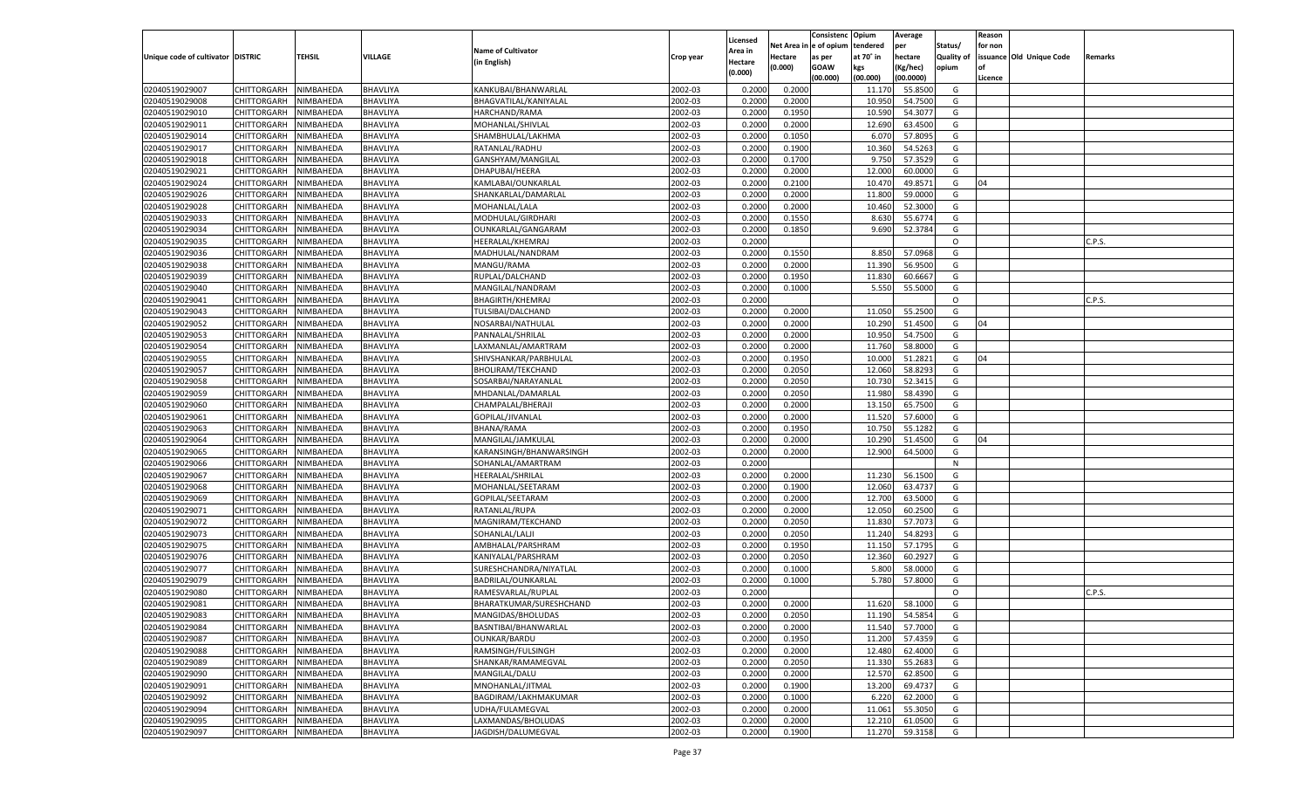|                                   |                         |           |                 |                           |           |          |          | Consistenc Opium |           | Average   |                   | Reason    |                          |         |
|-----------------------------------|-------------------------|-----------|-----------------|---------------------------|-----------|----------|----------|------------------|-----------|-----------|-------------------|-----------|--------------------------|---------|
|                                   |                         |           |                 |                           |           | Licensed | Net Area | e of opium       | tendered  | per       | Status/           | for non   |                          |         |
| Unique code of cultivator DISTRIC |                         | TEHSIL    | VILLAGE         | <b>Name of Cultivator</b> | Crop year | Area in  | Hectare  | as per           | at 70° in | hectare   | <b>Quality of</b> |           | issuance Old Unique Code | Remarks |
|                                   |                         |           |                 | (in English)              |           | Hectare  | (0.000)  | <b>GOAW</b>      | kgs       | (Kg/hec)  | opium             | <b>of</b> |                          |         |
|                                   |                         |           |                 |                           |           | (0.000)  |          | (00.000)         | (00.000)  | (00.0000) |                   | Licence   |                          |         |
| 02040519029007                    | CHITTORGARH             | NIMBAHEDA | BHAVLIYA        | KANKUBAI/BHANWARLAI       | 2002-03   | 0.2000   | 0.2000   |                  | 11.17     | 55.8500   | G                 |           |                          |         |
| 02040519029008                    | <b>CHITTORGARH</b>      | NIMBAHEDA | BHAVLIYA        | BHAGVATILAL/KANIYALAL     | 2002-03   | 0.2000   | 0.2000   |                  | 10.95     | 54.7500   | G                 |           |                          |         |
| 02040519029010                    | <b>CHITTORGARH</b>      | NIMBAHEDA | BHAVLIYA        | HARCHAND/RAMA             | 2002-03   | 0.2000   | 0.1950   |                  | 10.590    | 54.3077   | G                 |           |                          |         |
| 02040519029011                    | CHITTORGARH             | NIMBAHEDA | BHAVLIYA        | MOHANLAL/SHIVLAL          | 2002-03   | 0.2000   | 0.2000   |                  | 12.690    | 63.4500   | G                 |           |                          |         |
| 02040519029014                    | <b>CHITTORGARH</b>      | NIMBAHEDA | BHAVLIYA        | SHAMBHULAL/LAKHMA         | 2002-03   | 0.2000   | 0.1050   |                  | 6.070     | 57.8095   | G                 |           |                          |         |
| 02040519029017                    | CHITTORGARH             | NIMBAHEDA | BHAVLIYA        | RATANLAL/RADHU            | 2002-03   | 0.2000   | 0.1900   |                  | 10.360    | 54.5263   | G                 |           |                          |         |
| 02040519029018                    | <b>CHITTORGARH</b>      | NIMBAHEDA | BHAVLIYA        | GANSHYAM/MANGILAL         | 2002-03   | 0.2000   | 0.1700   |                  | 9.750     | 57.3529   | G                 |           |                          |         |
| 02040519029021                    | CHITTORGARH             | NIMBAHEDA | BHAVLIYA        | DHAPUBAI/HEERA            | 2002-03   | 0.2000   | 0.2000   |                  | 12.000    | 60.0000   | G                 |           |                          |         |
| 02040519029024                    | <b>CHITTORGARH</b>      | NIMBAHEDA | BHAVLIYA        | KAMLABAI/OUNKARLAL        | 2002-03   | 0.2000   | 0.2100   |                  | 10.470    | 49.8571   | G                 | 04        |                          |         |
| 02040519029026                    | CHITTORGARH             | NIMBAHEDA | BHAVLIYA        | SHANKARLAL/DAMARLAL       | 2002-03   | 0.2000   | 0.2000   |                  | 11.800    | 59.0000   | G                 |           |                          |         |
| 02040519029028                    | <b>CHITTORGARH</b>      | NIMBAHEDA | BHAVLIYA        | MOHANLAL/LALA             | 2002-03   | 0.2000   | 0.2000   |                  | 10.460    | 52.3000   | G                 |           |                          |         |
| 02040519029033                    | CHITTORGARH             | NIMBAHEDA | BHAVLIYA        | MODHULAL/GIRDHARI         | 2002-03   | 0.2000   | 0.1550   |                  | 8.630     | 55.6774   | G                 |           |                          |         |
| 02040519029034                    | <b>CHITTORGARH</b>      | NIMBAHEDA | BHAVLIYA        | OUNKARLAL/GANGARAM        | 2002-03   | 0.2000   | 0.1850   |                  | 9.690     | 52.3784   | G                 |           |                          |         |
| 02040519029035                    | CHITTORGARH             | NIMBAHEDA | BHAVLIYA        | HEERALAL/KHEMRAJ          | 2002-03   | 0.2000   |          |                  |           |           | $\circ$           |           |                          | C.P.S.  |
| 02040519029036                    | <b>CHITTORGARH</b>      | NIMBAHEDA | BHAVLIYA        | MADHULAL/NANDRAM          | 2002-03   | 0.2000   | 0.1550   |                  | 8.850     | 57.0968   | G                 |           |                          |         |
| 02040519029038                    | CHITTORGARH             | NIMBAHEDA | BHAVLIYA        | MANGU/RAMA                | 2002-03   | 0.2000   | 0.2000   |                  | 11.390    | 56.9500   | G                 |           |                          |         |
| 02040519029039                    | <b>CHITTORGARH</b>      | NIMBAHEDA | BHAVLIYA        | RUPLAL/DALCHAND           | 2002-03   | 0.2000   | 0.1950   |                  | 11.830    | 60.6667   | G                 |           |                          |         |
| 02040519029040                    | CHITTORGARH             | NIMBAHEDA | BHAVLIYA        | MANGILAL/NANDRAM          | 2002-03   | 0.2000   | 0.1000   |                  | 5.550     | 55.5000   | G                 |           |                          |         |
| 02040519029041                    | <b>CHITTORGARH</b>      | NIMBAHEDA | BHAVLIYA        | <b>BHAGIRTH/KHEMRAJ</b>   | 2002-03   | 0.2000   |          |                  |           |           | $\circ$           |           |                          | C.P.S.  |
| 02040519029043                    | CHITTORGARH             | NIMBAHEDA | BHAVLIYA        | TULSIBAI/DALCHAND         | 2002-03   | 0.2000   | 0.2000   |                  | 11.050    | 55.2500   | G                 |           |                          |         |
| 02040519029052                    | <b>CHITTORGARH</b>      | NIMBAHEDA | BHAVLIYA        | NOSARBAI/NATHULAL         | 2002-03   | 0.2000   | 0.2000   |                  | 10.290    | 51.4500   | G                 | 04        |                          |         |
| 02040519029053                    | CHITTORGARH             | NIMBAHEDA | BHAVLIYA        | PANNALAL/SHRILAL          | 2002-03   | 0.2000   | 0.2000   |                  | 10.950    | 54.7500   | G                 |           |                          |         |
| 02040519029054                    | <b>CHITTORGARH</b>      | NIMBAHEDA | BHAVLIYA        | LAXMANLAL/AMARTRAM        | 2002-03   | 0.2000   | 0.2000   |                  | 11.760    | 58.8000   | G                 |           |                          |         |
| 02040519029055                    | CHITTORGARH             | NIMBAHEDA | BHAVLIYA        | SHIVSHANKAR/PARBHULAL     | 2002-03   | 0.2000   | 0.1950   |                  | 10.000    | 51.2821   | G                 | 04        |                          |         |
| 02040519029057                    | <b>CHITTORGARH</b>      | NIMBAHEDA | BHAVLIYA        | <b>BHOLIRAM/TEKCHAND</b>  | 2002-03   | 0.2000   | 0.2050   |                  | 12.060    | 58.8293   | G                 |           |                          |         |
| 02040519029058                    | CHITTORGARH             | NIMBAHEDA | BHAVLIYA        | SOSARBAI/NARAYANLAL       | 2002-03   | 0.2000   | 0.2050   |                  | 10.730    | 52.3415   | G                 |           |                          |         |
| 02040519029059                    | <b>CHITTORGARH</b>      | NIMBAHEDA | BHAVLIYA        | MHDANLAL/DAMARLAL         | 2002-03   | 0.2000   | 0.2050   |                  | 11.980    | 58.4390   | G                 |           |                          |         |
| 02040519029060                    | CHITTORGARH             | NIMBAHEDA | BHAVLIYA        | CHAMPALAL/BHERAJI         | 2002-03   | 0.2000   | 0.2000   |                  | 13.150    | 65.7500   | G                 |           |                          |         |
| 02040519029061                    | <b>CHITTORGARH</b>      | NIMBAHEDA | BHAVLIYA        | GOPILAL/JIVANLAL          | 2002-03   | 0.2000   | 0.2000   |                  | 11.520    | 57.6000   | G                 |           |                          |         |
| 02040519029063                    | CHITTORGARH             | NIMBAHEDA | BHAVLIYA        |                           | 2002-03   | 0.2000   | 0.1950   |                  | 10.75     | 55.1282   | G                 |           |                          |         |
|                                   | CHITTORGARH             |           |                 | BHANA/RAMA                | 2002-03   |          | 0.2000   |                  |           |           | G                 | 04        |                          |         |
| 02040519029064                    |                         | NIMBAHEDA | BHAVLIYA        | MANGILAL/JAMKULAL         |           | 0.2000   |          |                  | 10.290    | 51.4500   |                   |           |                          |         |
| 02040519029065                    | CHITTORGARH             | NIMBAHEDA | BHAVLIYA        | KARANSINGH/BHANWARSINGH   | 2002-03   | 0.2000   | 0.2000   |                  | 12.900    | 64.5000   | G                 |           |                          |         |
| 02040519029066                    | CHITTORGARH             | NIMBAHEDA | BHAVLIYA        | SOHANLAL/AMARTRAM         | 2002-03   | 0.2000   |          |                  |           |           | N                 |           |                          |         |
| 02040519029067                    | CHITTORGARH             | NIMBAHEDA | BHAVLIYA        | HEERALAL/SHRILAL          | 2002-03   | 0.2000   | 0.2000   |                  | 11.230    | 56.1500   | G                 |           |                          |         |
| 02040519029068                    | CHITTORGARH             | NIMBAHEDA | BHAVLIYA        | MOHANLAL/SEETARAM         | 2002-03   | 0.2000   | 0.1900   |                  | 12.060    | 63.4737   | G                 |           |                          |         |
| 02040519029069                    | CHITTORGARH             | NIMBAHEDA | BHAVLIYA        | GOPILAL/SEETARAM          | 2002-03   | 0.2000   | 0.2000   |                  | 12.700    | 63.5000   | G                 |           |                          |         |
| 02040519029071                    | CHITTORGARH             | NIMBAHEDA | BHAVLIYA        | RATANLAL/RUPA             | 2002-03   | 0.2000   | 0.2000   |                  | 12.050    | 60.2500   | G                 |           |                          |         |
| 02040519029072                    | CHITTORGARH             | NIMBAHEDA | BHAVLIYA        | MAGNIRAM/TEKCHAND         | 2002-03   | 0.2000   | 0.2050   |                  | 11.83     | 57.707    | G                 |           |                          |         |
| 02040519029073                    | CHITTORGARH             | NIMBAHEDA | BHAVLIYA        | SOHANLAL/LALJI            | 2002-03   | 0.2000   | 0.2050   |                  | 11.24     | 54.8293   | G                 |           |                          |         |
| 02040519029075                    | CHITTORGARH             | NIMBAHEDA | BHAVLIYA        | AMBHALAL/PARSHRAM         | 2002-03   | 0.2000   | 0.1950   |                  | 11.15     | 57.1795   | G                 |           |                          |         |
| 02040519029076                    | CHITTORGARH             | NIMBAHEDA | BHAVLIYA        | KANIYALAL/PARSHRAM        | 2002-03   | 0.2000   | 0.2050   |                  | 12.360    | 60.292    | G                 |           |                          |         |
| 02040519029077                    | CHITTORGARH             | NIMBAHEDA | BHAVLIYA        | SURESHCHANDRA/NIYATLAL    | 2002-03   | 0.2000   | 0.1000   |                  | 5.800     | 58.000    | G                 |           |                          |         |
| 02040519029079                    | CHITTORGARH             | NIMBAHEDA | BHAVLIYA        | BADRILAL/OUNKARLAL        | 2002-03   | 0.2000   | 0.1000   |                  | 5.780     | 57.8000   | G                 |           |                          |         |
| 02040519029080                    | CHITTORGARH             | NIMBAHEDA | BHAVLIYA        | RAMESVARLAL/RUPLAL        | 2002-03   | 0.2000   |          |                  |           |           | $\circ$           |           |                          | C.P.S.  |
| 02040519029081                    | CHITTORGARH             | NIMBAHEDA | BHAVLIYA        | BHARATKUMAR/SURESHCHAND   | 2002-03   | 0.2000   | 0.2000   |                  | 11.620    | 58.1000   | G                 |           |                          |         |
| 02040519029083                    | CHITTORGARH   NIMBAHEDA |           | BHAVLIYA        | MANGIDAS/BHOLUDAS         | 2002-03   | 0.2000   | 0.2050   |                  | 11.190    | 54.5854   | G                 |           |                          |         |
| 02040519029084                    | <b>CHITTORGARH</b>      | NIMBAHEDA | BHAVLIYA        | BASNTIBAI/BHANWARLAL      | 2002-03   | 0.2000   | 0.2000   |                  | 11.540    | 57.7000   | G                 |           |                          |         |
| 02040519029087                    | CHITTORGARH             | NIMBAHEDA | BHAVLIYA        | OUNKAR/BARDU              | 2002-03   | 0.2000   | 0.1950   |                  | 11.200    | 57.4359   | G                 |           |                          |         |
| 02040519029088                    | <b>CHITTORGARH</b>      | NIMBAHEDA | <b>BHAVLIYA</b> | RAMSINGH/FULSINGH         | 2002-03   | 0.2000   | 0.2000   |                  | 12.480    | 62.4000   | G                 |           |                          |         |
| 02040519029089                    | <b>CHITTORGARH</b>      | NIMBAHEDA | BHAVLIYA        | SHANKAR/RAMAMEGVAL        | 2002-03   | 0.2000   | 0.2050   |                  | 11.330    | 55.2683   | G                 |           |                          |         |
| 02040519029090                    | <b>CHITTORGARH</b>      | NIMBAHEDA | BHAVLIYA        | MANGILAL/DALU             | 2002-03   | 0.2000   | 0.2000   |                  | 12.570    | 62.8500   | G                 |           |                          |         |
| 02040519029091                    | <b>CHITTORGARH</b>      | NIMBAHEDA | BHAVLIYA        | MNOHANLAL/JITMAL          | 2002-03   | 0.2000   | 0.1900   |                  | 13.200    | 69.4737   | G                 |           |                          |         |
| 02040519029092                    | <b>CHITTORGARH</b>      | NIMBAHEDA | <b>BHAVLIYA</b> | BAGDIRAM/LAKHMAKUMAR      | 2002-03   | 0.2000   | 0.1000   |                  | 6.220     | 62.2000   | G                 |           |                          |         |
| 02040519029094                    | <b>CHITTORGARH</b>      | NIMBAHEDA | BHAVLIYA        | UDHA/FULAMEGVAL           | 2002-03   | 0.2000   | 0.2000   |                  | 11.061    | 55.3050   | G                 |           |                          |         |
| 02040519029095                    | <b>CHITTORGARH</b>      | NIMBAHEDA | BHAVLIYA        | LAXMANDAS/BHOLUDAS        | 2002-03   | 0.2000   | 0.2000   |                  | 12.210    | 61.0500   | G                 |           |                          |         |
| 02040519029097                    | CHITTORGARH             | NIMBAHEDA | BHAVLIYA        | JAGDISH/DALUMEGVAL        | 2002-03   | 0.2000   | 0.1900   |                  | 11.270    | 59.3158   | G                 |           |                          |         |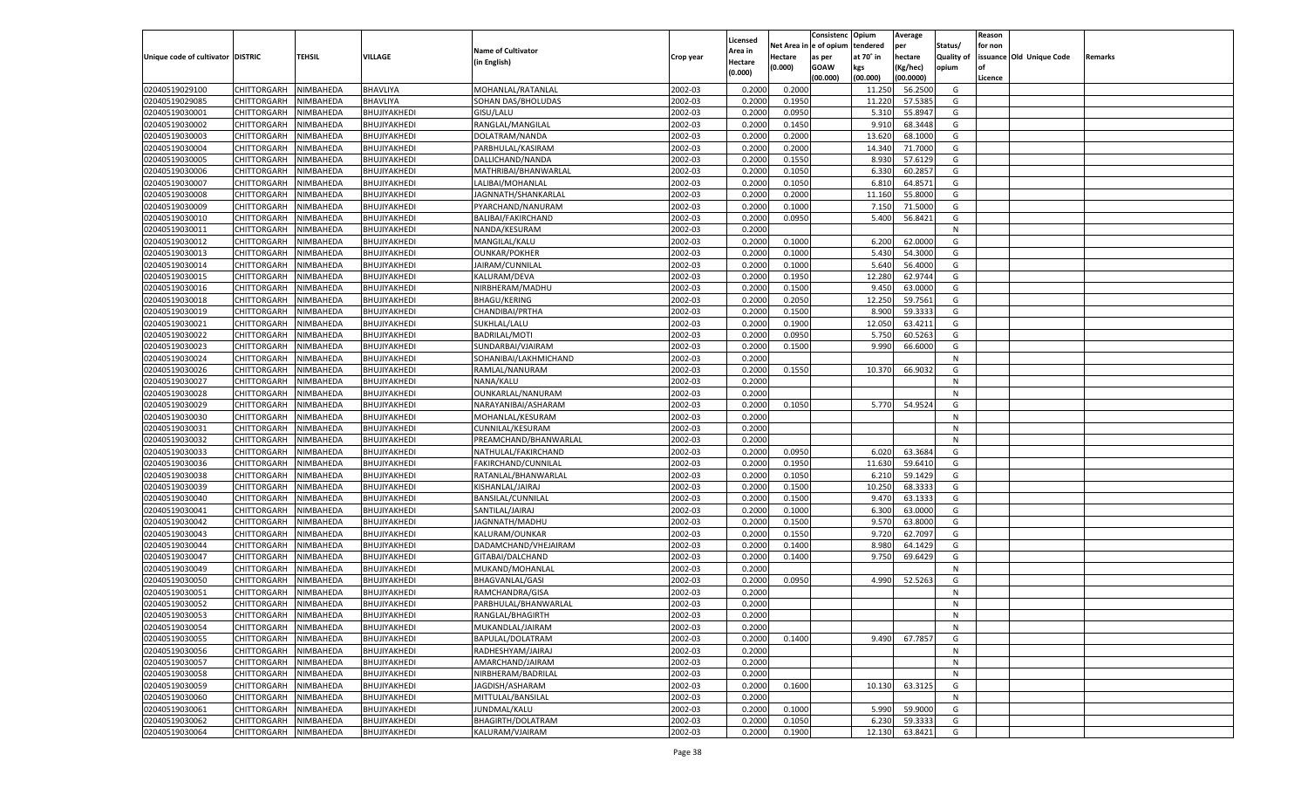|                                   |                       |                        |                              |                           |           |                           |                  | Consistenc  | Opium     | Average   |                   | Reason  |                          |         |
|-----------------------------------|-----------------------|------------------------|------------------------------|---------------------------|-----------|---------------------------|------------------|-------------|-----------|-----------|-------------------|---------|--------------------------|---------|
|                                   |                       |                        |                              | <b>Name of Cultivator</b> |           | Licensed                  | Net Area         | le of opium | tendered  | per       | Status/           | for non |                          |         |
| Unique code of cultivator DISTRIC |                       | <b>TEHSIL</b>          | VILLAGE                      | (in English)              | Crop year | <b>Area in</b><br>Hectare | Hectare          | as per      | at 70° in | hectare   | <b>Quality of</b> |         | issuance Old Unique Code | Remarks |
|                                   |                       |                        |                              |                           |           | (0.000)                   | (0.000)          | <b>GOAW</b> | kgs       | (Kg/hec)  | opium             |         |                          |         |
|                                   |                       |                        |                              |                           |           |                           |                  | (00.000)    | (00.000)  | (00.0000) |                   | Licence |                          |         |
| 02040519029100                    | CHITTORGARH           | NIMBAHEDA              | BHAVLIYA                     | MOHANLAL/RATANLAL         | 2002-03   | 0.2000                    | 0.2000           |             | 11.250    | 56.2500   | G                 |         |                          |         |
| 02040519029085                    | CHITTORGARH           | NIMBAHEDA              | BHAVLIYA                     | SOHAN DAS/BHOLUDAS        | 2002-03   | 0.2000                    | 0.1950           |             | 11.220    | 57.5385   | G                 |         |                          |         |
| 02040519030001                    | CHITTORGARH           | NIMBAHEDA              | BHUJIYAKHEDI                 | GISU/LALU                 | 2002-03   | 0.2000                    | 0.0950           |             | 5.310     | 55.8947   | G                 |         |                          |         |
| 02040519030002                    | CHITTORGARH           | NIMBAHEDA              | BHUJIYAKHEDI                 | RANGLAL/MANGILAL          | 2002-03   | 0.2000                    | 0.1450           |             | 9.91      | 68.3448   | G                 |         |                          |         |
| 02040519030003                    | CHITTORGARH           | NIMBAHEDA              | BHUJIYAKHEDI                 | DOLATRAM/NANDA            | 2002-03   | 0.2000                    | 0.2000           |             | 13.620    | 68.1000   | G                 |         |                          |         |
| 02040519030004                    | CHITTORGARH           | NIMBAHEDA              | BHUJIYAKHEDI                 | PARBHULAL/KASIRAM         | 2002-03   | 0.2000                    | 0.2000           |             | 14.340    | 71.7000   | G                 |         |                          |         |
| 02040519030005                    | CHITTORGARH           | NIMBAHEDA              | BHUJIYAKHEDI                 | DALLICHAND/NANDA          | 2002-03   | 0.2000                    | 0.1550           |             | 8.930     | 57.6129   | G                 |         |                          |         |
| 02040519030006                    | CHITTORGARH           | NIMBAHEDA              | BHUJIYAKHEDI                 | MATHRIBAI/BHANWARLAL      | 2002-03   | 0.2000                    | 0.1050           |             | 6.330     | 60.285    | G                 |         |                          |         |
| 02040519030007                    | CHITTORGARH           | NIMBAHEDA              | BHUJIYAKHEDI                 | LALIBAI/MOHANLAL          | 2002-03   | 0.2000                    | 0.1050           |             | 6.81      | 64.8571   | G                 |         |                          |         |
| 02040519030008                    | CHITTORGARH           | NIMBAHEDA              | BHUJIYAKHEDI                 | JAGNNATH/SHANKARLAL       | 2002-03   | 0.2000                    | 0.2000           |             | 11.160    | 55.8000   | G                 |         |                          |         |
| 02040519030009                    | CHITTORGARH           | NIMBAHEDA              | BHUJIYAKHEDI                 | PYARCHAND/NANURAM         | 2002-03   | 0.2000                    | 0.1000           |             | 7.150     | 71.5000   | G                 |         |                          |         |
| 02040519030010                    | CHITTORGARH           | NIMBAHEDA              | BHUJIYAKHEDI                 | BALIBAI/FAKIRCHAND        | 2002-03   | 0.2000                    | 0.0950           |             | 5.400     | 56.8421   | G                 |         |                          |         |
| 02040519030011                    | CHITTORGARH           | NIMBAHEDA              | BHUJIYAKHEDI                 | NANDA/KESURAM             | 2002-03   | 0.2000                    |                  |             |           |           | N                 |         |                          |         |
| 02040519030012                    | CHITTORGARH           | NIMBAHEDA              | BHUJIYAKHEDI                 | MANGILAL/KALU             | 2002-03   | 0.2000                    | 0.1000           |             | 6.200     | 62.0000   | G                 |         |                          |         |
| 02040519030013                    | CHITTORGARH           | NIMBAHEDA              | BHUJIYAKHEDI                 | <b>OUNKAR/POKHER</b>      | 2002-03   | 0.2000                    | 0.1000           |             | 5.430     | 54.3000   | G                 |         |                          |         |
| 02040519030014                    | CHITTORGARH           | NIMBAHEDA              | BHUJIYAKHEDI                 | JAIRAM/CUNNILAL           | 2002-03   | 0.2000                    | 0.1000           |             | 5.640     | 56.4000   | G                 |         |                          |         |
| 02040519030015                    | CHITTORGARH           | NIMBAHEDA              | BHUJIYAKHEDI                 | KALURAM/DEVA              | 2002-03   | 0.2000                    | 0.1950           |             | 12.280    | 62.9744   | G                 |         |                          |         |
| 02040519030016                    | CHITTORGARH           | NIMBAHEDA              | BHUJIYAKHEDI                 | NIRBHERAM/MADHU           | 2002-03   | 0.2000                    | 0.1500           |             | 9.45      | 63.0000   | G                 |         |                          |         |
| 02040519030018                    | CHITTORGARH           | NIMBAHEDA              | BHUJIYAKHEDI                 | <b>BHAGU/KERING</b>       | 2002-03   | 0.2000                    | 0.2050           |             | 12.250    | 59.7561   | G                 |         |                          |         |
| 02040519030019                    | CHITTORGARH           | NIMBAHEDA              | BHUJIYAKHEDI                 | CHANDIBAI/PRTHA           | 2002-03   | 0.2000                    | 0.1500           |             | 8.900     | 59.3333   | G                 |         |                          |         |
| 02040519030021                    | CHITTORGARH           | NIMBAHEDA              | BHUJIYAKHEDI                 | SUKHLAL/LALU              | 2002-03   | 0.2000                    | 0.1900           |             | 12.050    | 63.4211   | G                 |         |                          |         |
| 02040519030022                    | CHITTORGARH           | NIMBAHEDA              | BHUJIYAKHEDI                 | <b>BADRILAL/MOTI</b>      | 2002-03   | 0.2000                    | 0.0950           |             | 5.750     | 60.5263   | G                 |         |                          |         |
| 02040519030023                    | CHITTORGARH           | NIMBAHEDA              | BHUJIYAKHEDI                 | SUNDARBAI/VJAIRAM         | 2002-03   | 0.2000                    | 0.1500           |             | 9.990     | 66.6000   | G                 |         |                          |         |
| 02040519030024                    | CHITTORGARH           | NIMBAHEDA              | BHUJIYAKHEDI                 | SOHANIBAI/LAKHMICHAND     | 2002-03   | 0.2000                    |                  |             |           |           | N                 |         |                          |         |
| 02040519030026                    | CHITTORGARH           | NIMBAHEDA              | BHUJIYAKHEDI                 | RAMLAL/NANURAM            | 2002-03   | 0.2000                    | 0.1550           |             | 10.370    | 66.903    | G                 |         |                          |         |
| 02040519030027                    | CHITTORGARH           | NIMBAHEDA              | BHUJIYAKHEDI                 | NANA/KALU                 | 2002-03   | 0.2000                    |                  |             |           |           | N                 |         |                          |         |
| 02040519030028                    | CHITTORGARH           | NIMBAHEDA              | BHUJIYAKHEDI                 | OUNKARLAL/NANURAM         | 2002-03   | 0.2000                    |                  |             |           |           | N                 |         |                          |         |
| 02040519030029                    | CHITTORGARH           | NIMBAHEDA              | BHUJIYAKHEDI                 | NARAYANIBAI/ASHARAM       | 2002-03   | 0.2000                    | 0.1050           |             | 5.770     | 54.9524   | G                 |         |                          |         |
| 02040519030030                    | CHITTORGARH           | NIMBAHEDA              | BHUJIYAKHEDI                 | MOHANLAL/KESURAM          | 2002-03   | 0.2000                    |                  |             |           |           | N                 |         |                          |         |
| 02040519030031                    | CHITTORGARH           | NIMBAHEDA              | BHUJIYAKHEDI                 | CUNNILAL/KESURAM          | 2002-03   | 0.2000                    |                  |             |           |           | N                 |         |                          |         |
| 02040519030032                    | CHITTORGARH           | NIMBAHEDA              | BHUJIYAKHEDI                 | PREAMCHAND/BHANWARLAL     | 2002-03   | 0.2000                    |                  |             |           |           | N                 |         |                          |         |
| 02040519030033                    | CHITTORGARH           | NIMBAHEDA              | BHUJIYAKHEDI                 | NATHULAL/FAKIRCHAND       | 2002-03   | 0.2000                    | 0.0950           |             | 6.020     | 63.3684   | G                 |         |                          |         |
| 02040519030036                    | CHITTORGARH           | NIMBAHEDA              | BHUJIYAKHEDI                 | FAKIRCHAND/CUNNILAL       | 2002-03   | 0.2000                    | 0.1950           |             | 11.630    | 59.6410   | G                 |         |                          |         |
| 02040519030038                    | CHITTORGARH           | NIMBAHEDA              | BHUJIYAKHEDI                 | RATANLAL/BHANWARLAL       | 2002-03   | 0.2000                    | 0.1050           |             | 6.21      | 59.1429   | G                 |         |                          |         |
| 02040519030039                    | CHITTORGARH           | NIMBAHEDA              | BHUJIYAKHEDI                 | KISHANLAL/JAIRAJ          | 2002-03   | 0.2000                    | 0.1500           |             | 10.250    | 68.333    | G                 |         |                          |         |
| 02040519030040                    | CHITTORGARH           | NIMBAHEDA              | BHUJIYAKHEDI                 | BANSILAL/CUNNILAL         | 2002-03   | 0.2000                    | 0.1500           |             | 9.47      | 63.133    | G                 |         |                          |         |
| 02040519030041                    | CHITTORGARH           | NIMBAHEDA              | BHUJIYAKHEDI                 | SANTILAL/JAIRAJ           | 2002-03   | 0.2000                    | 0.1000           |             | 6.300     | 63.0000   | G                 |         |                          |         |
| 02040519030042                    | CHITTORGARH           | NIMBAHEDA              | BHUJIYAKHEDI                 | JAGNNATH/MADHU            | 2002-03   | 0.2000                    | 0.1500           |             | 9.57      | 63.8000   | G                 |         |                          |         |
| 02040519030043                    | <b>CHITTORGARH</b>    | NIMBAHEDA              | BHUJIYAKHEDI                 | KALURAM/OUNKAR            | 2002-03   | 0.2000                    | 0.1550           |             | 9.720     | 62.709    | G                 |         |                          |         |
| 02040519030044                    |                       |                        |                              |                           | 2002-03   |                           |                  |             | 8.980     | 64.1429   | G                 |         |                          |         |
| 02040519030047                    | CHITTORGARH           | NIMBAHEDA<br>NIMBAHEDA | BHUJIYAKHEDI<br>BHUJIYAKHEDI | DADAMCHAND/VHEJAIRAM      | 2002-03   | 0.2000<br>0.2000          | 0.1400<br>0.1400 |             | 9.750     | 69.6429   | G                 |         |                          |         |
| 02040519030049                    | CHITTORGARH           |                        |                              | GITABAI/DALCHAND          | 2002-03   |                           |                  |             |           |           | N                 |         |                          |         |
| 02040519030050                    | CHITTORGARH           | NIMBAHEDA              | BHUJIYAKHEDI                 | MUKAND/MOHANLAL           |           | 0.2000<br>0.2000          |                  |             |           |           |                   |         |                          |         |
|                                   | CHITTORGARH           | NIMBAHEDA              | BHUJIYAKHEDI                 | <b>BHAGVANLAL/GASI</b>    | 2002-03   |                           | 0.0950           |             | 4.990     | 52.5263   | G                 |         |                          |         |
| 02040519030051                    | CHITTORGARH           | NIMBAHEDA              | BHUJIYAKHEDI                 | RAMCHANDRA/GISA           | 2002-03   | 0.2000                    |                  |             |           |           | N                 |         |                          |         |
| 02040519030052                    | CHITTORGARH           | NIMBAHEDA              | BHUJIYAKHEDI                 | PARBHULAL/BHANWARLAL      | 2002-03   | 0.2000                    |                  |             |           |           | N                 |         |                          |         |
| 02040519030053                    | CHITTORGARH NIMBAHEDA |                        | BHUJIYAKHEDI                 | RANGLAL/BHAGIRTH          | 2002-03   | 0.2000                    |                  |             |           |           | N                 |         |                          |         |
| 02040519030054                    | CHITTORGARH           | NIMBAHEDA              | BHUJIYAKHEDI                 | MUKANDLAL/JAIRAM          | 2002-03   | 0.2000                    |                  |             |           |           | N                 |         |                          |         |
| 02040519030055                    | CHITTORGARH           | NIMBAHEDA              | BHUJIYAKHEDI                 | BAPULAL/DOLATRAM          | 2002-03   | 0.2000                    | 0.1400           |             | 9.490     | 67.7857   | G                 |         |                          |         |
| 02040519030056                    | <b>CHITTORGARH</b>    | NIMBAHEDA              | BHUJIYAKHEDI                 | RADHESHYAM/JAIRAJ         | 2002-03   | 0.2000                    |                  |             |           |           | N                 |         |                          |         |
| 02040519030057                    | CHITTORGARH           | NIMBAHEDA              | BHUJIYAKHEDI                 | AMARCHAND/JAIRAM          | 2002-03   | 0.2000                    |                  |             |           |           | N                 |         |                          |         |
| 02040519030058                    | <b>CHITTORGARH</b>    | NIMBAHEDA              | BHUJIYAKHEDI                 | NIRBHERAM/BADRILAL        | 2002-03   | 0.2000                    |                  |             |           |           | N                 |         |                          |         |
| 02040519030059                    | <b>CHITTORGARH</b>    | NIMBAHEDA              | BHUJIYAKHEDI                 | JAGDISH/ASHARAM           | 2002-03   | 0.2000                    | 0.1600           |             | 10.130    | 63.3125   | G                 |         |                          |         |
| 02040519030060                    | <b>CHITTORGARH</b>    | NIMBAHEDA              | BHUJIYAKHEDI                 | MITTULAL/BANSILAL         | 2002-03   | 0.2000                    |                  |             |           |           | N                 |         |                          |         |
| 02040519030061                    | CHITTORGARH           | NIMBAHEDA              | BHUJIYAKHEDI                 | JUNDMAL/KALU              | 2002-03   | 0.2000                    | 0.1000           |             | 5.990     | 59.9000   | G                 |         |                          |         |
| 02040519030062                    | <b>CHITTORGARH</b>    | NIMBAHEDA              | BHUJIYAKHEDI                 | BHAGIRTH/DOLATRAM         | 2002-03   | 0.2000                    | 0.1050           |             | 6.230     | 59.3333   | G                 |         |                          |         |
| 02040519030064                    | CHITTORGARH           | NIMBAHEDA              | BHUJIYAKHEDI                 | KALURAM/VJAIRAM           | 2002-03   | 0.2000                    | 0.1900           |             | 12.130    | 63.8421   | G                 |         |                          |         |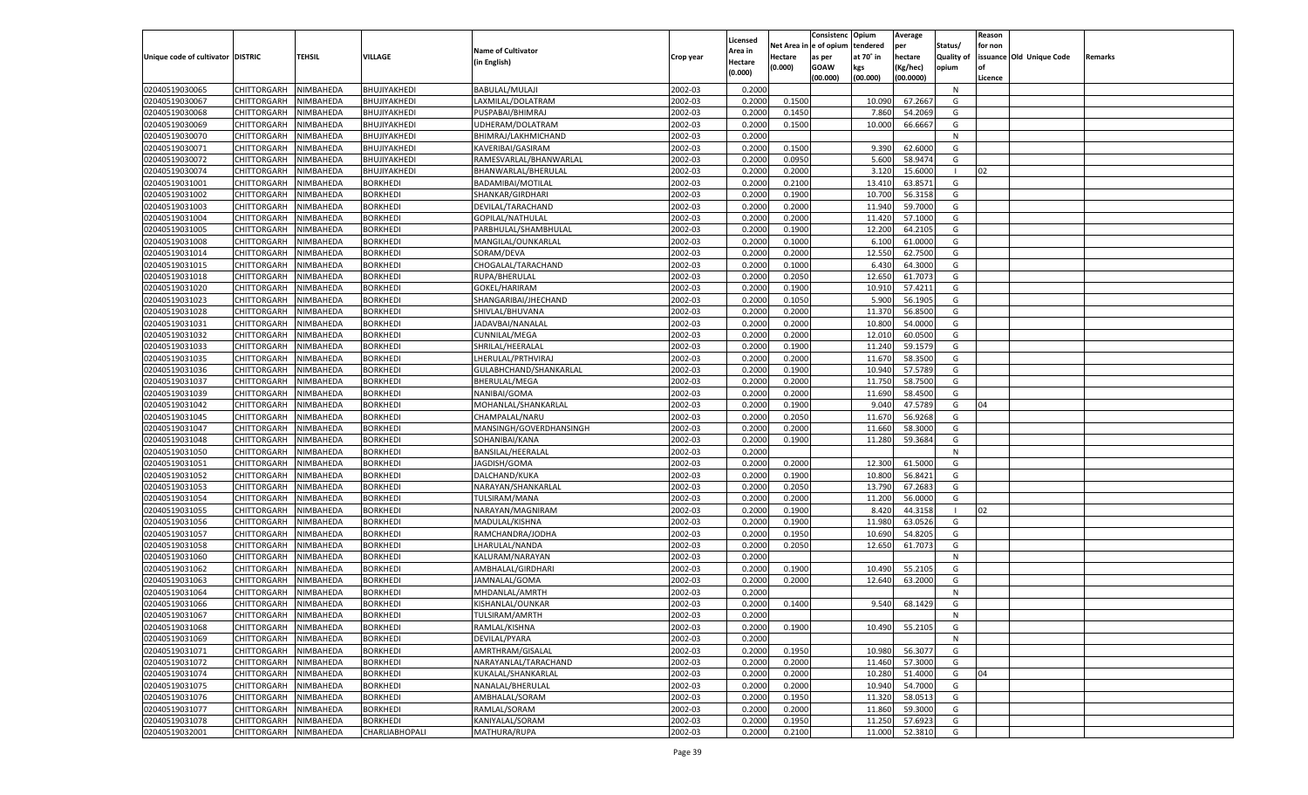|                                   |                       |               |                 |                           |           |                           |          | Consistenc  | Opium     | Average   |                   | Reason  |                          |         |
|-----------------------------------|-----------------------|---------------|-----------------|---------------------------|-----------|---------------------------|----------|-------------|-----------|-----------|-------------------|---------|--------------------------|---------|
|                                   |                       |               |                 | <b>Name of Cultivator</b> |           | Licensed                  | Net Area | e of opium  | tendered  | per       | Status/           | for non |                          |         |
| Unique code of cultivator DISTRIC |                       | <b>TEHSIL</b> | VILLAGE         | (in English)              | Crop year | <b>Area in</b><br>Hectare | Hectare  | as per      | at 70° in | hectare   | <b>Quality of</b> |         | issuance Old Unique Code | Remarks |
|                                   |                       |               |                 |                           |           | (0.000)                   | (0.000)  | <b>GOAW</b> | kgs       | (Kg/hec)  | opium             |         |                          |         |
|                                   |                       |               |                 |                           |           |                           |          | (00.000)    | (00.000)  | (00.0000) |                   | Licence |                          |         |
| 02040519030065                    | CHITTORGARH           | NIMBAHEDA     | BHUJIYAKHEDI    | BABULAL/MULAJI            | 2002-03   | 0.2000                    |          |             |           |           | N                 |         |                          |         |
| 02040519030067                    | CHITTORGARH           | NIMBAHEDA     | BHUJIYAKHEDI    | LAXMILAL/DOLATRAM         | 2002-03   | 0.2000                    | 0.1500   |             | 10.090    | 67.2667   | G                 |         |                          |         |
| 02040519030068                    | CHITTORGARH           | NIMBAHEDA     | BHUJIYAKHEDI    | PUSPABAI/BHIMRAJ          | 2002-03   | 0.2000                    | 0.1450   |             | 7.860     | 54.2069   | G                 |         |                          |         |
| 02040519030069                    | CHITTORGARH           | NIMBAHEDA     | BHUJIYAKHEDI    | UDHERAM/DOLATRAM          | 2002-03   | 0.2000                    | 0.1500   |             | 10.000    | 66.6667   | G                 |         |                          |         |
| 02040519030070                    | CHITTORGARH           | NIMBAHEDA     | BHUJIYAKHEDI    | BHIMRAJ/LAKHMICHAND       | 2002-03   | 0.2000                    |          |             |           |           | N                 |         |                          |         |
| 02040519030071                    | CHITTORGARH           | NIMBAHEDA     | BHUJIYAKHEDI    | KAVERIBAI/GASIRAM         | 2002-03   | 0.2000                    | 0.1500   |             | 9.390     | 62.6000   | G                 |         |                          |         |
| 02040519030072                    | CHITTORGARH           | NIMBAHEDA     | BHUJIYAKHEDI    | RAMESVARLAL/BHANWARLAL    | 2002-03   | 0.2000                    | 0.0950   |             | 5.600     | 58.9474   | G                 |         |                          |         |
| 02040519030074                    | CHITTORGARH           | NIMBAHEDA     | BHUJIYAKHEDI    | BHANWARLAL/BHERULAL       | 2002-03   | 0.2000                    | 0.2000   |             | 3.120     | 15.6000   |                   | 02      |                          |         |
| 02040519031001                    | CHITTORGARH           | NIMBAHEDA     | <b>BORKHEDI</b> | BADAMIBAI/MOTILAL         | 2002-03   | 0.2000                    | 0.2100   |             | 13.410    | 63.8571   | G                 |         |                          |         |
| 02040519031002                    | CHITTORGARH           | NIMBAHEDA     | BORKHEDI        | SHANKAR/GIRDHARI          | 2002-03   | 0.2000                    | 0.1900   |             | 10.700    | 56.3158   | G                 |         |                          |         |
| 02040519031003                    | CHITTORGARH           | NIMBAHEDA     | <b>BORKHEDI</b> | DEVILAL/TARACHAND         | 2002-03   | 0.2000                    | 0.2000   |             | 11.940    | 59.7000   | G                 |         |                          |         |
| 02040519031004                    | CHITTORGARH           | NIMBAHEDA     | BORKHEDI        | GOPILAL/NATHULAL          | 2002-03   | 0.2000                    | 0.2000   |             | 11.420    | 57.1000   | G                 |         |                          |         |
| 02040519031005                    | CHITTORGARH           | NIMBAHEDA     | <b>BORKHEDI</b> | PARBHULAL/SHAMBHULAL      | 2002-03   | 0.2000                    | 0.1900   |             | 12.200    | 64.2105   | G                 |         |                          |         |
| 02040519031008                    | CHITTORGARH           | NIMBAHEDA     | BORKHEDI        | MANGILAL/OUNKARLAL        | 2002-03   | 0.2000                    | 0.1000   |             | 6.100     | 61.0000   | G                 |         |                          |         |
| 02040519031014                    | CHITTORGARH           | NIMBAHEDA     | <b>BORKHEDI</b> | SORAM/DEVA                | 2002-03   | 0.2000                    | 0.2000   |             | 12.550    | 62.7500   | G                 |         |                          |         |
| 02040519031015                    | CHITTORGARH           | NIMBAHEDA     | BORKHEDI        | CHOGALAL/TARACHAND        | 2002-03   | 0.2000                    | 0.1000   |             | 6.430     | 64.3000   | G                 |         |                          |         |
| 02040519031018                    | CHITTORGARH           | NIMBAHEDA     | <b>BORKHEDI</b> | RUPA/BHERULAI             | 2002-03   | 0.2000                    | 0.2050   |             | 12.650    | 61.7073   | G                 |         |                          |         |
| 02040519031020                    | CHITTORGARH           | NIMBAHEDA     | BORKHEDI        | GOKEL/HARIRAM             | 2002-03   | 0.2000                    | 0.1900   |             | 10.91     | 57.4211   | G                 |         |                          |         |
| 02040519031023                    | CHITTORGARH           | NIMBAHEDA     | <b>BORKHEDI</b> | SHANGARIBAI/JHECHAND      | 2002-03   | 0.2000                    | 0.1050   |             | 5.900     | 56.1905   | G                 |         |                          |         |
| 02040519031028                    | CHITTORGARH           | NIMBAHEDA     | BORKHEDI        | SHIVLAL/BHUVANA           | 2002-03   | 0.2000                    | 0.2000   |             | 11.370    | 56.8500   | G                 |         |                          |         |
| 02040519031031                    | CHITTORGARH           | NIMBAHEDA     | <b>BORKHEDI</b> | JADAVBAI/NANALAL          | 2002-03   | 0.2000                    | 0.2000   |             | 10.800    | 54.0000   | G                 |         |                          |         |
| 02040519031032                    | CHITTORGARH           | NIMBAHEDA     | BORKHEDI        | <b>CUNNILAL/MEGA</b>      | 2002-03   | 0.2000                    | 0.2000   |             | 12.010    | 60.0500   | G                 |         |                          |         |
| 02040519031033                    | CHITTORGARH           | NIMBAHEDA     | <b>BORKHEDI</b> | SHRILAL/HEERALAL          | 2002-03   | 0.2000                    | 0.1900   |             | 11.240    | 59.1579   | G                 |         |                          |         |
| 02040519031035                    | CHITTORGARH           | NIMBAHEDA     | BORKHEDI        | LHERULAL/PRTHVIRAJ        | 2002-03   | 0.2000                    | 0.2000   |             | 11.670    | 58.3500   | G                 |         |                          |         |
| 02040519031036                    | CHITTORGARH           | NIMBAHEDA     | <b>BORKHEDI</b> | GULABHCHAND/SHANKARLAL    | 2002-03   | 0.2000                    | 0.1900   |             | 10.940    | 57.5789   | G                 |         |                          |         |
| 02040519031037                    | CHITTORGARH           | NIMBAHEDA     | <b>BORKHEDI</b> | BHERULAL/MEGA             | 2002-03   | 0.2000                    | 0.2000   |             | 11.750    | 58.7500   | G                 |         |                          |         |
| 02040519031039                    | CHITTORGARH           | NIMBAHEDA     | <b>BORKHEDI</b> | NANIBAI/GOMA              | 2002-03   | 0.2000                    | 0.2000   |             | 11.690    | 58.4500   | G                 |         |                          |         |
| 02040519031042                    | CHITTORGARH           | NIMBAHEDA     | BORKHEDI        | MOHANLAL/SHANKARLAL       | 2002-03   | 0.2000                    | 0.1900   |             | 9.04      | 47.5789   | G                 | 04      |                          |         |
| 02040519031045                    | CHITTORGARH           | NIMBAHEDA     | <b>BORKHEDI</b> | CHAMPALAL/NARU            | 2002-03   | 0.2000                    | 0.2050   |             | 11.670    | 56.9268   | G                 |         |                          |         |
| 02040519031047                    | CHITTORGARH           | NIMBAHEDA     | <b>BORKHEDI</b> | MANSINGH/GOVERDHANSINGH   | 2002-03   | 0.2000                    | 0.2000   |             | 11.660    | 58.3000   | G                 |         |                          |         |
| 02040519031048                    | CHITTORGARH           | NIMBAHEDA     | <b>BORKHEDI</b> | SOHANIBAI/KANA            | 2002-03   | 0.2000                    | 0.1900   |             | 11.280    | 59.368    | G                 |         |                          |         |
| 02040519031050                    | CHITTORGARH           | NIMBAHEDA     | BORKHEDI        | BANSILAL/HEERALAL         | 2002-03   | 0.2000                    |          |             |           |           | N                 |         |                          |         |
| 02040519031051                    | CHITTORGARH           | NIMBAHEDA     | <b>BORKHEDI</b> | JAGDISH/GOMA              | 2002-03   | 0.2000                    | 0.2000   |             | 12.300    | 61.5000   | G                 |         |                          |         |
| 02040519031052                    | CHITTORGARH           | NIMBAHEDA     | BORKHEDI        | DALCHAND/KUKA             | 2002-03   | 0.2000                    | 0.1900   |             | 10.800    | 56.8421   | G                 |         |                          |         |
| 02040519031053                    | CHITTORGARH           | NIMBAHEDA     | <b>BORKHEDI</b> | NARAYAN/SHANKARLAL        | 2002-03   | 0.2000                    | 0.2050   |             | 13.790    | 67.268    | G                 |         |                          |         |
| 02040519031054                    | CHITTORGARH           | NIMBAHEDA     | BORKHEDI        | TULSIRAM/MANA             | 2002-03   | 0.2000                    | 0.2000   |             | 11.200    | 56.0000   | G                 |         |                          |         |
| 02040519031055                    |                       | NIMBAHEDA     | <b>BORKHEDI</b> |                           | 2002-03   | 0.2000                    | 0.1900   |             | 8.420     | 44.3158   |                   | 02      |                          |         |
|                                   | CHITTORGARH           |               |                 | NARAYAN/MAGNIRAM          |           |                           |          |             |           |           |                   |         |                          |         |
| 02040519031056                    | CHITTORGARH           | NIMBAHEDA     | BORKHEDI        | MADULAL/KISHNA            | 2002-03   | 0.2000                    | 0.1900   |             | 11.980    | 63.0526   | G                 |         |                          |         |
| 02040519031057<br>02040519031058  | CHITTORGARH           | NIMBAHEDA     | <b>BORKHEDI</b> | RAMCHANDRA/JODHA          | 2002-03   | 0.2000                    | 0.1950   |             | 10.690    | 54.8205   | G                 |         |                          |         |
| 02040519031060                    | CHITTORGARH           | NIMBAHEDA     | BORKHEDI        | LHARULAL/NANDA            | 2002-03   | 0.2000                    | 0.2050   |             | 12.650    | 61.7073   | G                 |         |                          |         |
|                                   | <b>CHITTORGARH</b>    | NIMBAHEDA     | <b>BORKHEDI</b> | KALURAM/NARAYAN           | 2002-03   | 0.2000                    |          |             |           |           | N                 |         |                          |         |
| 02040519031062                    | CHITTORGARH           | NIMBAHEDA     | BORKHEDI        | AMBHALAL/GIRDHARI         | 2002-03   | 0.2000                    | 0.1900   |             | 10.490    | 55.2105   | G                 |         |                          |         |
| 02040519031063                    | CHITTORGARH           | NIMBAHEDA     | <b>BORKHEDI</b> | JAMNALAL/GOMA             | 2002-03   | 0.2000                    | 0.2000   |             | 12.640    | 63.2000   | G                 |         |                          |         |
| 02040519031064                    | CHITTORGARH           | NIMBAHEDA     | <b>BORKHEDI</b> | MHDANLAL/AMRTH            | 2002-03   | 0.2000                    |          |             |           |           | N                 |         |                          |         |
| 02040519031066                    | CHITTORGARH           | NIMBAHEDA     | <b>BORKHEDI</b> | KISHANLAL/OUNKAR          | 2002-03   | 0.2000                    | 0.1400   |             | 9.540     | 68.1429   | G                 |         |                          |         |
| 02040519031067                    | CHITTORGARH NIMBAHEDA |               | <b>BORKHEDI</b> | TULSIRAM/AMRTH            | 2002-03   | 0.2000                    |          |             |           |           | N                 |         |                          |         |
| 02040519031068                    | <b>CHITTORGARH</b>    | NIMBAHEDA     | <b>BORKHEDI</b> | RAMLAL/KISHNA             | 2002-03   | 0.2000                    | 0.1900   |             | 10.490    | 55.2105   | G                 |         |                          |         |
| 02040519031069                    | CHITTORGARH           | NIMBAHEDA     | <b>BORKHEDI</b> | DEVILAL/PYARA             | 2002-03   | 0.2000                    |          |             |           |           | N                 |         |                          |         |
| 02040519031071                    | <b>CHITTORGARH</b>    | NIMBAHEDA     | <b>BORKHEDI</b> | AMRTHRAM/GISALAL          | 2002-03   | 0.2000                    | 0.1950   |             | 10.980    | 56.3077   | G                 |         |                          |         |
| 02040519031072                    | <b>CHITTORGARH</b>    | NIMBAHEDA     | <b>BORKHEDI</b> | NARAYANLAL/TARACHAND      | 2002-03   | 0.2000                    | 0.2000   |             | 11.460    | 57.3000   | G                 |         |                          |         |
| 02040519031074                    | <b>CHITTORGARH</b>    | NIMBAHEDA     | <b>BORKHEDI</b> | KUKALAL/SHANKARLAL        | 2002-03   | 0.2000                    | 0.2000   |             | 10.280    | 51.4000   | G                 | 04      |                          |         |
| 02040519031075                    | <b>CHITTORGARH</b>    | NIMBAHEDA     | <b>BORKHEDI</b> | NANALAL/BHERULAL          | 2002-03   | 0.2000                    | 0.2000   |             | 10.940    | 54.7000   | G                 |         |                          |         |
| 02040519031076                    | <b>CHITTORGARH</b>    | NIMBAHEDA     | <b>BORKHEDI</b> | AMBHALAL/SORAM            | 2002-03   | 0.2000                    | 0.1950   |             | 11.320    | 58.0513   | G                 |         |                          |         |
| 02040519031077                    | <b>CHITTORGARH</b>    | NIMBAHEDA     | <b>BORKHEDI</b> | RAMLAL/SORAM              | 2002-03   | 0.2000                    | 0.2000   |             | 11.860    | 59.3000   | G                 |         |                          |         |
| 02040519031078                    | <b>CHITTORGARH</b>    | NIMBAHEDA     | <b>BORKHEDI</b> | KANIYALAL/SORAM           | 2002-03   | 0.2000                    | 0.1950   |             | 11.250    | 57.6923   | G                 |         |                          |         |
| 02040519032001                    | CHITTORGARH           | NIMBAHEDA     | CHARLIABHOPALI  | MATHURA/RUPA              | 2002-03   | 0.2000                    | 0.2100   |             | 11.000    | 52.3810   | G                 |         |                          |         |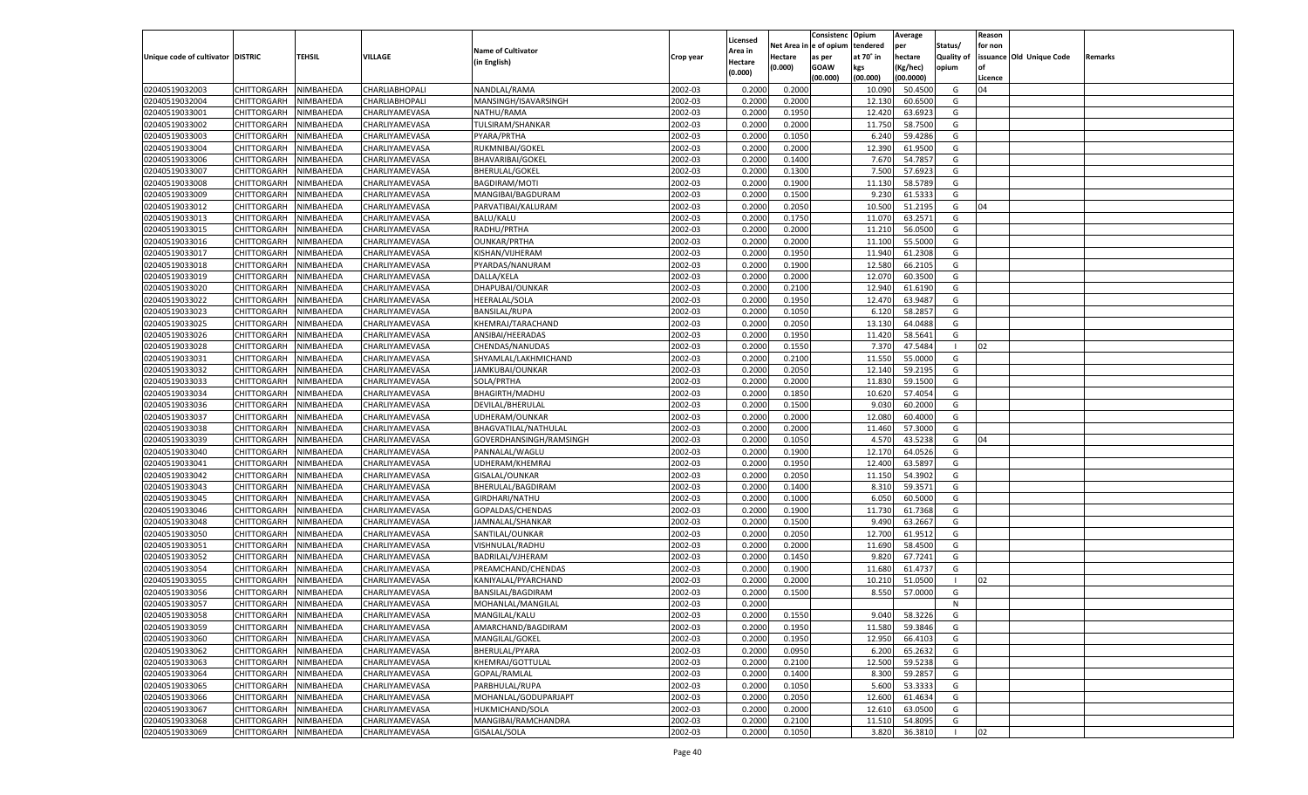|                                   |                       |           |                |                           |           |                    |             | Consistenc    | Opium     | Average   |            | Reason  |                          |         |
|-----------------------------------|-----------------------|-----------|----------------|---------------------------|-----------|--------------------|-------------|---------------|-----------|-----------|------------|---------|--------------------------|---------|
|                                   |                       |           |                |                           |           | Licensed           | Net Area iı | n  e of opium | tendered  | per       | Status/    | for non |                          |         |
| Unique code of cultivator DISTRIC |                       | TEHSIL    | <b>VILLAGE</b> | <b>Name of Cultivator</b> | Crop year | Area in            | Hectare     | as per        | at 70° in | hectare   | Quality of |         | issuance Old Unique Code | Remarks |
|                                   |                       |           |                | (in English)              |           | Hectare<br>(0.000) | (0.000)     | <b>GOAW</b>   | kgs       | (Kg/hec)  | opium      |         |                          |         |
|                                   |                       |           |                |                           |           |                    |             | (00.000)      | (00.000)  | (00.0000) |            | Licence |                          |         |
| 02040519032003                    | CHITTORGARH           | NIMBAHEDA | CHARLIABHOPALI | NANDLAL/RAMA              | 2002-03   | 0.2000             | 0.2000      |               | 10.090    | 50.4500   | G          | 04      |                          |         |
| 02040519032004                    | CHITTORGARH           | NIMBAHEDA | CHARLIABHOPALI | MANSINGH/ISAVARSINGH      | 2002-03   | 0.2000             | 0.2000      |               | 12.130    | 60.6500   | G          |         |                          |         |
| 02040519033001                    | CHITTORGARH           | NIMBAHEDA | CHARLIYAMEVASA | NATHU/RAMA                | 2002-03   | 0.2000             | 0.1950      |               | 12.420    | 63.6923   | G          |         |                          |         |
| 02040519033002                    | CHITTORGARH           | NIMBAHEDA | CHARLIYAMEVASA | <b>TULSIRAM/SHANKAR</b>   | 2002-03   | 0.2000             | 0.2000      |               | 11.750    | 58.7500   | G          |         |                          |         |
| 02040519033003                    | CHITTORGARH           | NIMBAHEDA | CHARLIYAMEVASA | PYARA/PRTHA               | 2002-03   | 0.2000             | 0.1050      |               | 6.240     | 59.4286   | G          |         |                          |         |
| 02040519033004                    | CHITTORGARH           | NIMBAHEDA | CHARLIYAMEVASA | RUKMNIBAI/GOKEL           | 2002-03   | 0.2000             | 0.2000      |               | 12.390    | 61.9500   | G          |         |                          |         |
| 02040519033006                    | CHITTORGARH           | NIMBAHEDA | CHARLIYAMEVASA | BHAVARIBAI/GOKEL          | 2002-03   | 0.2000             | 0.1400      |               | 7.670     | 54.7857   | G          |         |                          |         |
| 02040519033007                    | CHITTORGARH           | NIMBAHEDA | CHARLIYAMEVASA | <b>BHERULAL/GOKEL</b>     | 2002-03   | 0.2000             | 0.1300      |               | 7.500     | 57.6923   | G          |         |                          |         |
| 02040519033008                    | CHITTORGARH           | NIMBAHEDA | CHARLIYAMEVASA | <b>BAGDIRAM/MOTI</b>      | 2002-03   | 0.2000             | 0.1900      |               | 11.130    | 58.5789   | G          |         |                          |         |
| 02040519033009                    | CHITTORGARH           | NIMBAHEDA | CHARLIYAMEVASA | MANGIBAI/BAGDURAM         | 2002-03   | 0.2000             | 0.1500      |               | 9.23      | 61.533    | G          |         |                          |         |
| 02040519033012                    | CHITTORGARH           | NIMBAHEDA | CHARLIYAMEVASA | PARVATIBAI/KALURAM        | 2002-03   | 0.2000             | 0.2050      |               | 10.500    | 51.2195   | G          | 04      |                          |         |
| 02040519033013                    | CHITTORGARH           | NIMBAHEDA | CHARLIYAMEVASA | <b>BALU/KALU</b>          | 2002-03   | 0.2000             | 0.1750      |               | 11.070    | 63.2571   | G          |         |                          |         |
| 02040519033015                    | CHITTORGARH           | NIMBAHEDA | CHARLIYAMEVASA | RADHU/PRTHA               | 2002-03   | 0.2000             | 0.2000      |               | 11.210    | 56.0500   | G          |         |                          |         |
| 02040519033016                    | CHITTORGARH           | NIMBAHEDA | CHARLIYAMEVASA | <b>OUNKAR/PRTHA</b>       | 2002-03   | 0.2000             | 0.2000      |               | 11.100    | 55.5000   | G          |         |                          |         |
| 02040519033017                    | CHITTORGARH           | NIMBAHEDA | CHARLIYAMEVASA | KISHAN/VIJHERAM           | 2002-03   | 0.2000             | 0.1950      |               | 11.940    | 61.2308   | G          |         |                          |         |
| 02040519033018                    | CHITTORGARH           | NIMBAHEDA | CHARLIYAMEVASA | PYARDAS/NANURAM           | 2002-03   | 0.2000             | 0.1900      |               | 12.580    | 66.2105   | G          |         |                          |         |
| 02040519033019                    | CHITTORGARH           | NIMBAHEDA | CHARLIYAMEVASA | DALLA/KELA                | 2002-03   | 0.2000             | 0.2000      |               | 12.070    | 60.3500   | G          |         |                          |         |
| 02040519033020                    | CHITTORGARH           | NIMBAHEDA | CHARLIYAMEVASA | DHAPUBAI/OUNKAR           | 2002-03   | 0.2000             | 0.2100      |               | 12.940    | 61.6190   | G          |         |                          |         |
| 02040519033022                    | CHITTORGARH           | NIMBAHEDA | CHARLIYAMEVASA | <b>HEERALAL/SOLA</b>      | 2002-03   | 0.2000             | 0.1950      |               | 12.470    | 63.9487   | G          |         |                          |         |
| 02040519033023                    | CHITTORGARH           | NIMBAHEDA | CHARLIYAMEVASA | <b>BANSILAL/RUPA</b>      | 2002-03   | 0.2000             | 0.1050      |               | 6.120     | 58.285    | G          |         |                          |         |
| 02040519033025                    | CHITTORGARH           | NIMBAHEDA | CHARLIYAMEVASA | KHEMRAJ/TARACHAND         | 2002-03   | 0.2000             | 0.2050      |               | 13.130    | 64.0488   | G          |         |                          |         |
| 02040519033026                    | CHITTORGARH           | NIMBAHEDA | CHARLIYAMEVASA | ANSIBAI/HEERADAS          | 2002-03   | 0.2000             | 0.1950      |               | 11.420    | 58.5641   | G          |         |                          |         |
| 02040519033028                    | CHITTORGARH           | NIMBAHEDA | CHARLIYAMEVASA | CHENDAS/NANUDAS           | 2002-03   | 0.2000             | 0.1550      |               | 7.370     | 47.5484   |            | 02      |                          |         |
| 02040519033031                    | CHITTORGARH           | NIMBAHEDA | CHARLIYAMEVASA | SHYAMLAL/LAKHMICHAND      | 2002-03   | 0.2000             | 0.2100      |               | 11.550    | 55.0000   | G          |         |                          |         |
| 02040519033032                    | CHITTORGARH           | NIMBAHEDA | CHARLIYAMEVASA | JAMKUBAI/OUNKAR           | 2002-03   | 0.2000             | 0.2050      |               | 12.14     | 59.2195   | G          |         |                          |         |
| 02040519033033                    | CHITTORGARH           | NIMBAHEDA | CHARLIYAMEVASA | SOLA/PRTHA                | 2002-03   | 0.2000             | 0.2000      |               | 11.830    | 59.1500   | G          |         |                          |         |
| 02040519033034                    | CHITTORGARH           | NIMBAHEDA | CHARLIYAMEVASA | BHAGIRTH/MADHU            | 2002-03   | 0.2000             | 0.1850      |               | 10.620    | 57.4054   | G          |         |                          |         |
| 02040519033036                    | CHITTORGARH           | NIMBAHEDA | CHARLIYAMEVASA | DEVILAL/BHERULAL          | 2002-03   | 0.2000             | 0.1500      |               | 9.030     | 60.2000   | G          |         |                          |         |
| 02040519033037                    | CHITTORGARH           | NIMBAHEDA | CHARLIYAMEVASA | UDHERAM/OUNKAR            | 2002-03   | 0.2000             | 0.2000      |               | 12.080    | 60.4000   | G          |         |                          |         |
| 02040519033038                    | CHITTORGARH           | NIMBAHEDA | CHARLIYAMEVASA | BHAGVATILAL/NATHULAL      | 2002-03   | 0.2000             | 0.2000      |               | 11.460    | 57.3000   | G          |         |                          |         |
| 02040519033039                    |                       |           |                |                           | 2002-03   | 0.2000             | 0.1050      |               | 4.57      | 43.5238   | G          | 04      |                          |         |
| 02040519033040                    | CHITTORGARH           | NIMBAHEDA | CHARLIYAMEVASA | GOVERDHANSINGH/RAMSINGH   | 2002-03   |                    | 0.1900      |               | 12.170    | 64.0526   | G          |         |                          |         |
|                                   | CHITTORGARH           | NIMBAHEDA | CHARLIYAMEVASA | PANNALAL/WAGLU            |           | 0.2000             | 0.1950      |               |           | 63.5897   |            |         |                          |         |
| 02040519033041                    | CHITTORGARH           | NIMBAHEDA | CHARLIYAMEVASA | UDHERAM/KHEMRAJ           | 2002-03   | 0.2000             |             |               | 12.400    |           | G          |         |                          |         |
| 02040519033042                    | CHITTORGARH           | NIMBAHEDA | CHARLIYAMEVASA | GISALAL/OUNKAR            | 2002-03   | 0.2000             | 0.2050      |               | 11.150    | 54.3902   | G          |         |                          |         |
| 02040519033043                    | CHITTORGARH           | NIMBAHEDA | CHARLIYAMEVASA | BHERULAL/BAGDIRAM         | 2002-03   | 0.2000             | 0.1400      |               | 8.31      | 59.3571   | G          |         |                          |         |
| 02040519033045                    | CHITTORGARH           | NIMBAHEDA | CHARLIYAMEVASA | GIRDHARI/NATHU            | 2002-03   | 0.2000             | 0.1000      |               | 6.05      | 60.5000   | G          |         |                          |         |
| 02040519033046                    | CHITTORGARH           | NIMBAHEDA | CHARLIYAMEVASA | GOPALDAS/CHENDAS          | 2002-03   | 0.2000             | 0.1900      |               | 11.730    | 61.7368   | G          |         |                          |         |
| 02040519033048                    | CHITTORGARH           | NIMBAHEDA | CHARLIYAMEVASA | JAMNALAL/SHANKAR          | 2002-03   | 0.2000             | 0.1500      |               | 9.490     | 63.2667   | G          |         |                          |         |
| 02040519033050                    | CHITTORGARH           | NIMBAHEDA | CHARLIYAMEVASA | SANTILAL/OUNKAR           | 2002-03   | 0.2000             | 0.2050      |               | 12.700    | 61.9512   | G          |         |                          |         |
| 02040519033051                    | CHITTORGARH           | NIMBAHEDA | CHARLIYAMEVASA | VISHNULAL/RADHU           | 2002-03   | 0.2000             | 0.2000      |               | 11.690    | 58.4500   | G          |         |                          |         |
| 02040519033052                    | CHITTORGARH           | NIMBAHEDA | CHARLIYAMEVASA | BADRILAL/VJHERAM          | 2002-03   | 0.2000             | 0.1450      |               | 9.820     | 67.7241   | G          |         |                          |         |
| 02040519033054                    | CHITTORGARH           | NIMBAHEDA | CHARLIYAMEVASA | PREAMCHAND/CHENDAS        | 2002-03   | 0.2000             | 0.1900      |               | 11.680    | 61.4737   | G          |         |                          |         |
| 02040519033055                    | CHITTORGARH           | NIMBAHEDA | CHARLIYAMEVASA | KANIYALAL/PYARCHAND       | 2002-03   | 0.2000             | 0.2000      |               | 10.210    | 51.0500   |            | 02      |                          |         |
| 02040519033056                    | CHITTORGARH           | NIMBAHEDA | CHARLIYAMEVASA | BANSILAL/BAGDIRAM         | 2002-03   | 0.2000             | 0.1500      |               | 8.550     | 57.0000   | G          |         |                          |         |
| 02040519033057                    | CHITTORGARH           | NIMBAHEDA | CHARLIYAMEVASA | MOHANLAL/MANGILAL         | 2002-03   | 0.2000             |             |               |           |           | N          |         |                          |         |
| 02040519033058                    | CHITTORGARH NIMBAHEDA |           | CHARLIYAMEVASA | MANGILAL/KALU             | 2002-03   | 0.2000             | 0.1550      |               | 9.040     | 58.3226   | G          |         |                          |         |
| 02040519033059                    | <b>CHITTORGARH</b>    | NIMBAHEDA | CHARLIYAMEVASA | AMARCHAND/BAGDIRAM        | 2002-03   | 0.2000             | 0.1950      |               | 11.580    | 59.3846   | G          |         |                          |         |
| 02040519033060                    | CHITTORGARH           | NIMBAHEDA | CHARLIYAMEVASA | MANGILAL/GOKEL            | 2002-03   | 0.2000             | 0.1950      |               | 12.950    | 66.4103   | G          |         |                          |         |
| 02040519033062                    | CHITTORGARH           | NIMBAHEDA | CHARLIYAMEVASA | BHERULAL/PYARA            | 2002-03   | 0.2000             | 0.0950      |               | 6.200     | 65.2632   | G          |         |                          |         |
| 02040519033063                    | CHITTORGARH           | NIMBAHEDA | CHARLIYAMEVASA | KHEMRAJ/GOTTULAL          | 2002-03   | 0.2000             | 0.2100      |               | 12.500    | 59.5238   | G          |         |                          |         |
| 02040519033064                    | CHITTORGARH           | NIMBAHEDA | CHARLIYAMEVASA | GOPAL/RAMLAL              | 2002-03   | 0.2000             | 0.1400      |               | 8.300     | 59.2857   | G          |         |                          |         |
| 02040519033065                    | <b>CHITTORGARH</b>    | NIMBAHEDA | CHARLIYAMEVASA | PARBHULAL/RUPA            | 2002-03   | 0.2000             | 0.1050      |               | 5.600     | 53.3333   | G          |         |                          |         |
| 02040519033066                    | CHITTORGARH           | NIMBAHEDA | CHARLIYAMEVASA | MOHANLAL/GODUPARJAPT      | 2002-03   | 0.2000             | 0.2050      |               | 12.600    | 61.4634   | G          |         |                          |         |
| 02040519033067                    | <b>CHITTORGARH</b>    | NIMBAHEDA | CHARLIYAMEVASA | HUKMICHAND/SOLA           | 2002-03   | 0.2000             | 0.2000      |               | 12.610    | 63.0500   | G          |         |                          |         |
| 02040519033068                    | <b>CHITTORGARH</b>    | NIMBAHEDA | CHARLIYAMEVASA | MANGIBAI/RAMCHANDRA       | 2002-03   | 0.2000             | 0.2100      |               | 11.510    | 54.8095   | G          |         |                          |         |
| 02040519033069                    | <b>CHITTORGARH</b>    | NIMBAHEDA | CHARLIYAMEVASA | GISALAL/SOLA              | 2002-03   | 0.2000             | 0.1050      |               | 3.820     | 36.3810   |            | 02      |                          |         |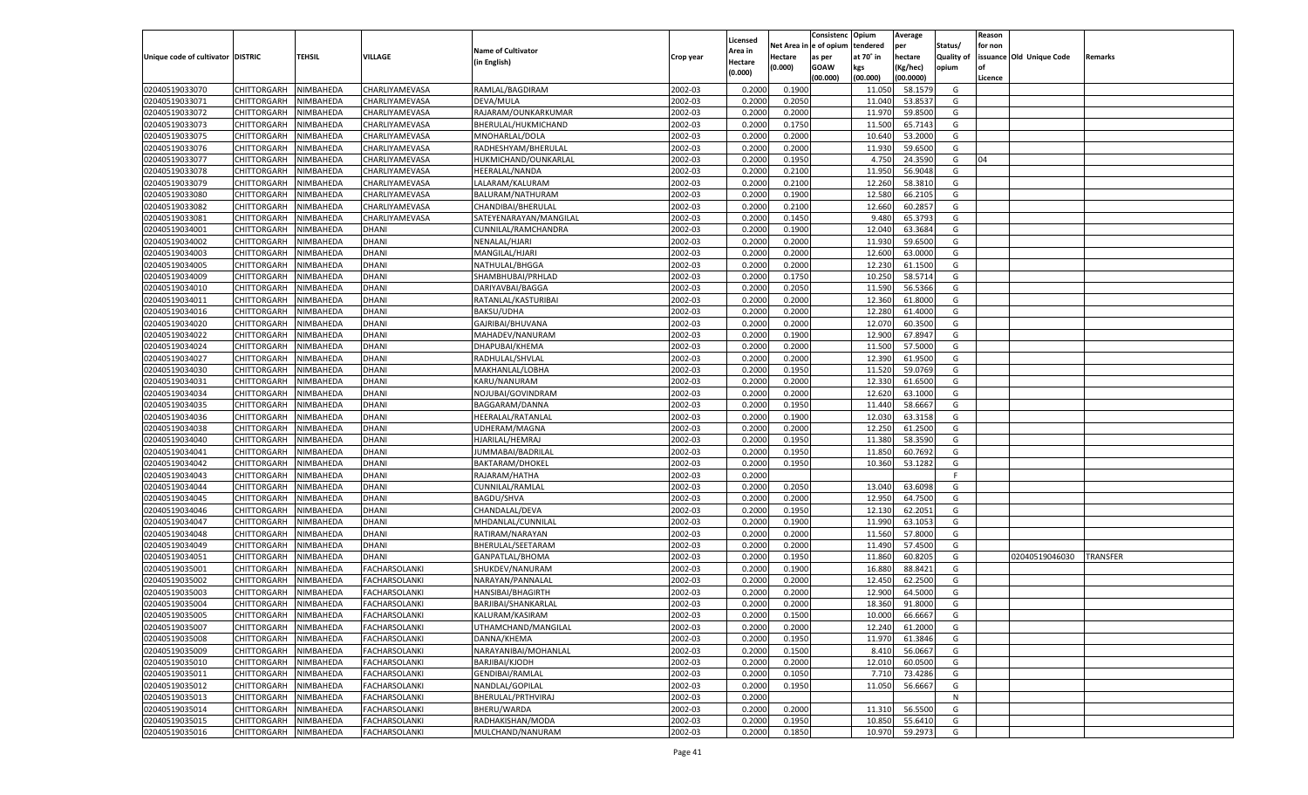|                                   |                       |               |                      |                           |           |                     |         | Consistenc             | Opium     | Average   |                   | Reason  |                          |                 |
|-----------------------------------|-----------------------|---------------|----------------------|---------------------------|-----------|---------------------|---------|------------------------|-----------|-----------|-------------------|---------|--------------------------|-----------------|
|                                   |                       |               |                      | <b>Name of Cultivator</b> |           | Licensed<br>Area in |         | Net Area in e of opium | tendered  | per       | Status/           | for non |                          |                 |
| Unique code of cultivator DISTRIC |                       | <b>TEHSIL</b> | VILLAGE              | (in English)              | Crop year | Hectare             | Hectare | as per                 | at 70° in | hectare   | <b>Quality of</b> |         | issuance Old Unique Code | Remarks         |
|                                   |                       |               |                      |                           |           | (0.000)             | (0.000) | <b>GOAW</b>            | kgs       | (Kg/hec)  | opium             |         |                          |                 |
|                                   |                       |               |                      |                           |           |                     |         | (00.000)               | (00.000)  | (00.0000) |                   | Licence |                          |                 |
| 02040519033070                    | CHITTORGARH           | NIMBAHEDA     | CHARLIYAMEVASA       | RAMLAL/BAGDIRAM           | 2002-03   | 0.2000              | 0.1900  |                        | 11.050    | 58.1579   | G                 |         |                          |                 |
| 02040519033071                    | CHITTORGARH           | NIMBAHEDA     | CHARLIYAMEVASA       | DEVA/MULA                 | 2002-03   | 0.2000              | 0.2050  |                        | 11.040    | 53.8537   | G                 |         |                          |                 |
| 02040519033072                    | CHITTORGARH           | NIMBAHEDA     | CHARLIYAMEVASA       | RAJARAM/OUNKARKUMAR       | 2002-03   | 0.2000              | 0.2000  |                        | 11.970    | 59.8500   | G                 |         |                          |                 |
| 02040519033073                    | CHITTORGARH           | NIMBAHEDA     | CHARLIYAMEVASA       | BHERULAL/HUKMICHAND       | 2002-03   | 0.2000              | 0.1750  |                        | 11.500    | 65.7143   | G                 |         |                          |                 |
| 02040519033075                    | CHITTORGARH           | NIMBAHEDA     | CHARLIYAMEVASA       | MNOHARLAL/DOLA            | 2002-03   | 0.2000              | 0.2000  |                        | 10.640    | 53.2000   | G                 |         |                          |                 |
| 02040519033076                    | CHITTORGARH           | NIMBAHEDA     | CHARLIYAMEVASA       | RADHESHYAM/BHERULAL       | 2002-03   | 0.2000              | 0.2000  |                        | 11.930    | 59.6500   | G                 |         |                          |                 |
| 02040519033077                    | CHITTORGARH           | NIMBAHEDA     | CHARLIYAMEVASA       | HUKMICHAND/OUNKARLAL      | 2002-03   | 0.2000              | 0.1950  |                        | 4.750     | 24.3590   | G                 | 04      |                          |                 |
| 02040519033078                    | CHITTORGARH           | NIMBAHEDA     | CHARLIYAMEVASA       | HEERALAL/NANDA            | 2002-03   | 0.2000              | 0.2100  |                        | 11.950    | 56.9048   | G                 |         |                          |                 |
| 02040519033079                    | CHITTORGARH           | NIMBAHEDA     | CHARLIYAMEVASA       | LALARAM/KALURAM           | 2002-03   | 0.2000              | 0.2100  |                        | 12.260    | 58.3810   | G                 |         |                          |                 |
| 02040519033080                    | CHITTORGARH           | NIMBAHEDA     | CHARLIYAMEVASA       | BALURAM/NATHURAM          | 2002-03   | 0.2000              | 0.1900  |                        | 12.580    | 66.2105   | G                 |         |                          |                 |
| 02040519033082                    | CHITTORGARH           | NIMBAHEDA     | CHARLIYAMEVASA       | CHANDIBAI/BHERULAI        | 2002-03   | 0.2000              | 0.2100  |                        | 12.660    | 60.2857   | G                 |         |                          |                 |
| 02040519033081                    | CHITTORGARH           | NIMBAHEDA     | CHARLIYAMEVASA       | SATEYENARAYAN/MANGILAI    | 2002-03   | 0.2000              | 0.1450  |                        | 9.480     | 65.3793   | G                 |         |                          |                 |
| 02040519034001                    | CHITTORGARH           | NIMBAHEDA     | DHANI                | CUNNILAL/RAMCHANDRA       | 2002-03   | 0.2000              | 0.1900  |                        | 12.040    | 63.3684   | G                 |         |                          |                 |
| 02040519034002                    | CHITTORGARH           | NIMBAHEDA     | DHANI                | NENALAL/HJARI             | 2002-03   | 0.2000              | 0.2000  |                        | 11.930    | 59.6500   | G                 |         |                          |                 |
| 02040519034003                    | CHITTORGARH           | NIMBAHEDA     | DHANI                | MANGILAL/HJARI            | 2002-03   | 0.2000              | 0.2000  |                        | 12.600    | 63.0000   | G                 |         |                          |                 |
| 02040519034005                    | CHITTORGARH           | NIMBAHEDA     | DHANI                | NATHULAL/BHGGA            | 2002-03   | 0.2000              | 0.2000  |                        | 12.230    | 61.1500   | G                 |         |                          |                 |
| 02040519034009                    | CHITTORGARH           | NIMBAHEDA     | DHANI                | SHAMBHUBAI/PRHLAD         | 2002-03   | 0.2000              | 0.1750  |                        | 10.250    | 58.5714   | G                 |         |                          |                 |
| 02040519034010                    | CHITTORGARH           | NIMBAHEDA     | DHANI                | DARIYAVBAI/BAGGA          | 2002-03   | 0.2000              | 0.2050  |                        | 11.590    | 56.5366   | G                 |         |                          |                 |
| 02040519034011                    | CHITTORGARH           | NIMBAHEDA     | DHANI                | RATANLAL/KASTURIBAI       | 2002-03   | 0.2000              | 0.2000  |                        | 12.360    | 61.8000   | G                 |         |                          |                 |
| 02040519034016                    | CHITTORGARH           | NIMBAHEDA     | DHANI                | BAKSU/UDHA                | 2002-03   | 0.2000              | 0.2000  |                        | 12.280    | 61.4000   | G                 |         |                          |                 |
| 02040519034020                    | CHITTORGARH           | NIMBAHEDA     | DHANI                | GAJRIBAI/BHUVANA          | 2002-03   | 0.2000              | 0.2000  |                        | 12.070    | 60.3500   | G                 |         |                          |                 |
| 02040519034022                    | CHITTORGARH           | NIMBAHEDA     | DHANI                | MAHADEV/NANURAM           | 2002-03   | 0.2000              | 0.1900  |                        | 12.900    | 67.8947   | G                 |         |                          |                 |
| 02040519034024                    | CHITTORGARH           | NIMBAHEDA     | DHANI                | DHAPUBAI/KHEMA            | 2002-03   | 0.2000              | 0.2000  |                        | 11.500    | 57.5000   | G                 |         |                          |                 |
| 02040519034027                    | CHITTORGARH           | NIMBAHEDA     | DHANI                | RADHULAL/SHVLAL           | 2002-03   | 0.2000              | 0.2000  |                        | 12.390    | 61.9500   | G                 |         |                          |                 |
| 02040519034030                    | CHITTORGARH           | NIMBAHEDA     | DHANI                | MAKHANLAL/LOBHA           | 2002-03   | 0.2000              | 0.1950  |                        | 11.520    | 59.0769   | G                 |         |                          |                 |
| 02040519034031                    | CHITTORGARH           | NIMBAHEDA     | DHANI                | KARU/NANURAM              | 2002-03   | 0.2000              | 0.2000  |                        | 12.330    | 61.6500   | G                 |         |                          |                 |
| 02040519034034                    | CHITTORGARH           | NIMBAHEDA     | DHANI                | NOJUBAI/GOVINDRAM         | 2002-03   | 0.2000              | 0.2000  |                        | 12.620    | 63.1000   | G                 |         |                          |                 |
| 02040519034035                    | CHITTORGARH           | NIMBAHEDA     | DHANI                | BAGGARAM/DANNA            | 2002-03   | 0.2000              | 0.1950  |                        | 11.440    | 58.6667   | G                 |         |                          |                 |
| 02040519034036                    | CHITTORGARH           | NIMBAHEDA     | DHANI                | HEERALAL/RATANLAI         | 2002-03   | 0.2000              | 0.1900  |                        | 12.030    | 63.3158   | G                 |         |                          |                 |
| 02040519034038                    | CHITTORGARH           | NIMBAHEDA     | DHANI                | UDHERAM/MAGNA             | 2002-03   | 0.2000              | 0.2000  |                        | 12.250    | 61.2500   | G                 |         |                          |                 |
| 02040519034040                    | <b>CHITTORGARH</b>    | NIMBAHEDA     | DHANI                | HJARILAL/HEMRAJ           | 2002-03   | 0.2000              | 0.1950  |                        | 11.380    | 58.3590   | G                 |         |                          |                 |
| 02040519034041                    | CHITTORGARH           | NIMBAHEDA     | DHANI                | JUMMABAI/BADRILAL         | 2002-03   | 0.2000              | 0.1950  |                        | 11.850    | 60.7692   | G                 |         |                          |                 |
| 02040519034042                    | <b>CHITTORGARH</b>    | NIMBAHEDA     | DHANI                | <b>BAKTARAM/DHOKEL</b>    | 2002-03   | 0.2000              | 0.1950  |                        | 10.360    | 53.1282   | G                 |         |                          |                 |
| 02040519034043                    | CHITTORGARH           | NIMBAHEDA     | DHANI                | RAJARAM/HATHA             | 2002-03   | 0.2000              |         |                        |           |           | F                 |         |                          |                 |
| 02040519034044                    |                       | NIMBAHEDA     | DHANI                |                           | 2002-03   | 0.2000              | 0.2050  |                        | 13.040    | 63.6098   | G                 |         |                          |                 |
| 02040519034045                    | <b>CHITTORGARH</b>    |               | DHANI                | CUNNILAL/RAMLAL           | 2002-03   |                     | 0.2000  |                        | 12.950    | 64.7500   | G                 |         |                          |                 |
|                                   | CHITTORGARH           | NIMBAHEDA     |                      | <b>BAGDU/SHVA</b>         |           | 0.2000              | 0.1950  |                        |           |           |                   |         |                          |                 |
| 02040519034046                    | <b>CHITTORGARH</b>    | NIMBAHEDA     | DHANI                | CHANDALAL/DEVA            | 2002-03   | 0.2000              |         |                        | 12.130    | 62.2051   | G                 |         |                          |                 |
| 02040519034047                    | CHITTORGARH           | NIMBAHEDA     | DHANI                | MHDANLAL/CUNNILAI         | 2002-03   | 0.2000              | 0.1900  |                        | 11.990    | 63.1053   | G                 |         |                          |                 |
| 02040519034048                    | <b>CHITTORGARH</b>    | NIMBAHEDA     | DHANI                | RATIRAM/NARAYAN           | 2002-03   | 0.2000              | 0.2000  |                        | 11.560    | 57.8000   | G                 |         |                          |                 |
| 02040519034049                    | CHITTORGARH           | NIMBAHEDA     | DHANI                | BHERULAL/SEETARAM         | 2002-03   | 0.2000              | 0.2000  |                        | 11.490    | 57.4500   | G                 |         |                          |                 |
| 02040519034051                    | <b>CHITTORGARH</b>    | NIMBAHEDA     | DHANI                | GANPATLAL/BHOMA           | 2002-03   | 0.2000              | 0.1950  |                        | 11.860    | 60.8205   | G                 |         | 02040519046030           | <b>TRANSFER</b> |
| 02040519035001                    | <b>CHITTORGARH</b>    | NIMBAHEDA     | FACHARSOLANKI        | SHUKDEV/NANURAM           | 2002-03   | 0.2000              | 0.1900  |                        | 16.880    | 88.8421   | G                 |         |                          |                 |
| 02040519035002                    | CHITTORGARH           | NIMBAHEDA     | FACHARSOLANKI        | NARAYAN/PANNALAL          | 2002-03   | 0.2000              | 0.2000  |                        | 12.450    | 62.2500   | G                 |         |                          |                 |
| 02040519035003                    | CHITTORGARH           | NIMBAHEDA     | FACHARSOLANKI        | HANSIBAI/BHAGIRTH         | 2002-03   | 0.2000              | 0.2000  |                        | 12.900    | 64.5000   | G                 |         |                          |                 |
| 02040519035004                    | CHITTORGARH           | NIMBAHEDA     | <b>FACHARSOLANKI</b> | BARJIBAI/SHANKARLAI       | 2002-03   | 0.2000              | 0.2000  |                        | 18.360    | 91.8000   | G                 |         |                          |                 |
| 02040519035005                    | CHITTORGARH NIMBAHEDA |               | FACHARSOLANKI        | KALURAM/KASIRAM           | 2002-03   | 0.2000              | 0.1500  |                        | 10.000    | 66.6667   | G                 |         |                          |                 |
| 02040519035007                    | <b>CHITTORGARH</b>    | NIMBAHEDA     | <b>FACHARSOLANKI</b> | UTHAMCHAND/MANGILAL       | 2002-03   | 0.2000              | 0.2000  |                        | 12.240    | 61.2000   | G                 |         |                          |                 |
| 02040519035008                    | <b>CHITTORGARH</b>    | NIMBAHEDA     | FACHARSOLANKI        | DANNA/KHEMA               | 2002-03   | 0.2000              | 0.1950  |                        | 11.970    | 61.3846   | G                 |         |                          |                 |
| 02040519035009                    | <b>CHITTORGARH</b>    | NIMBAHEDA     | FACHARSOLANKI        | NARAYANIBAI/MOHANLAL      | 2002-03   | 0.2000              | 0.1500  |                        | 8.410     | 56.0667   | G                 |         |                          |                 |
| 02040519035010                    | <b>CHITTORGARH</b>    | NIMBAHEDA     | FACHARSOLANKI        | BARJIBAI/KJODH            | 2002-03   | 0.2000              | 0.2000  |                        | 12.010    | 60.0500   | G                 |         |                          |                 |
| 02040519035011                    | <b>CHITTORGARH</b>    | NIMBAHEDA     | FACHARSOLANKI        | <b>GENDIBAI/RAMLAL</b>    | 2002-03   | 0.2000              | 0.1050  |                        | 7.710     | 73.4286   | G                 |         |                          |                 |
| 02040519035012                    | CHITTORGARH           | NIMBAHEDA     | FACHARSOLANKI        | NANDLAL/GOPILAL           | 2002-03   | 0.2000              | 0.1950  |                        | 11.050    | 56.6667   | G                 |         |                          |                 |
| 02040519035013                    | <b>CHITTORGARH</b>    | NIMBAHEDA     | FACHARSOLANKI        | BHERULAL/PRTHVIRAJ        | 2002-03   | 0.2000              |         |                        |           |           | N                 |         |                          |                 |
| 02040519035014                    | <b>CHITTORGARH</b>    | NIMBAHEDA     | FACHARSOLANKI        | BHERU/WARDA               | 2002-03   | 0.2000              | 0.2000  |                        | 11.310    | 56.5500   | G                 |         |                          |                 |
| 02040519035015                    | <b>CHITTORGARH</b>    | NIMBAHEDA     | FACHARSOLANKI        | RADHAKISHAN/MODA          | 2002-03   | 0.2000              | 0.1950  |                        | 10.850    | 55.6410   | G                 |         |                          |                 |
| 02040519035016                    | <b>CHITTORGARH</b>    | NIMBAHEDA     | <b>FACHARSOLANKI</b> | MULCHAND/NANURAM          | 2002-03   | 0.2000              | 0.1850  |                        | 10.970    | 59.2973   | G                 |         |                          |                 |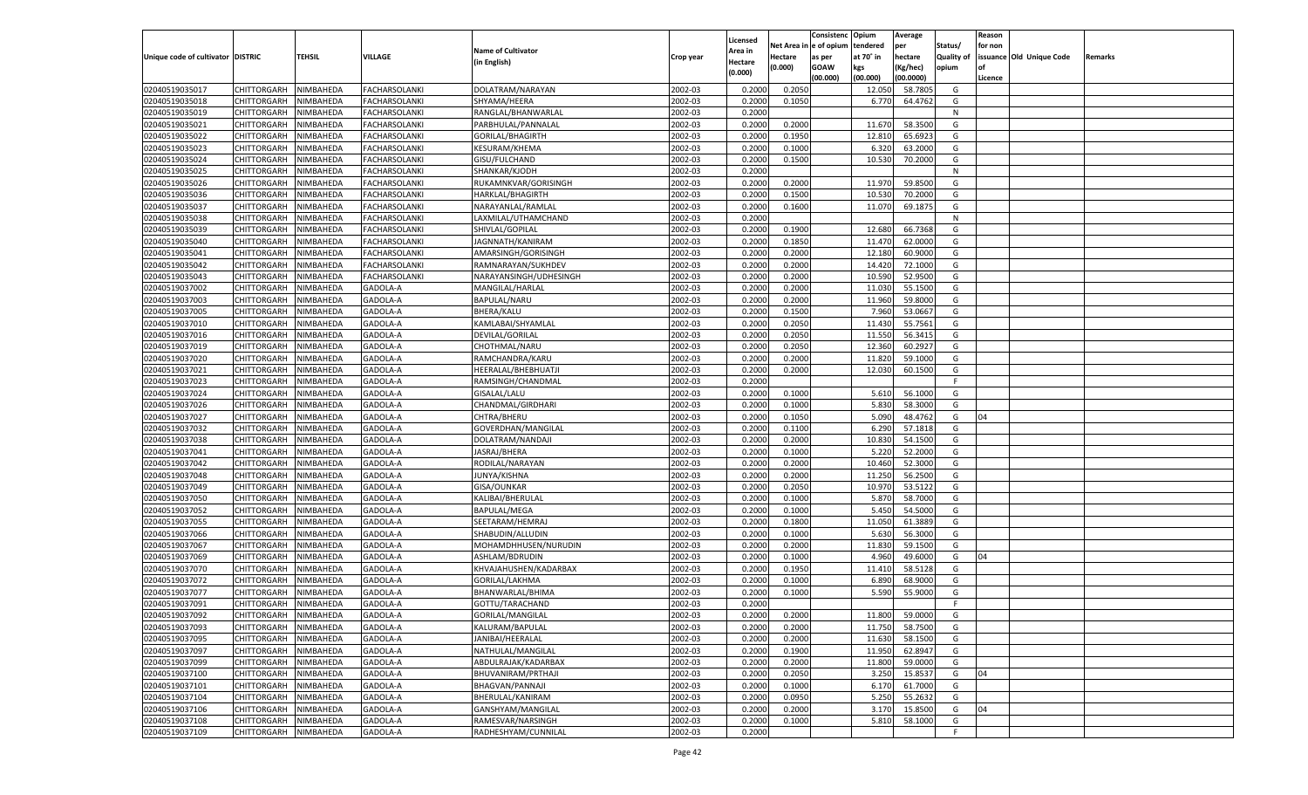|                                   |                            |               |                 |                           |           |                           |          | Consistenc  | Opium     | Average   |                   | Reason  |                          |         |
|-----------------------------------|----------------------------|---------------|-----------------|---------------------------|-----------|---------------------------|----------|-------------|-----------|-----------|-------------------|---------|--------------------------|---------|
|                                   |                            |               |                 | <b>Name of Cultivator</b> |           | Licensed                  | Net Area | e of opium  | tendered  | per       | Status/           | for non |                          |         |
| Unique code of cultivator DISTRIC |                            | <b>TEHSIL</b> | VILLAGE         | (in English)              | Crop year | <b>Area in</b><br>Hectare | Hectare  | as per      | at 70° in | hectare   | <b>Quality of</b> |         | issuance Old Unique Code | Remarks |
|                                   |                            |               |                 |                           |           | (0.000)                   | (0.000)  | <b>GOAW</b> | kgs       | (Kg/hec)  | opium             |         |                          |         |
|                                   |                            |               |                 |                           |           |                           |          | (00.000)    | (00.000)  | (00.0000) |                   | Licence |                          |         |
| 02040519035017                    | CHITTORGARH                | NIMBAHEDA     | FACHARSOLANKI   | DOLATRAM/NARAYAN          | 2002-03   | 0.2000                    | 0.2050   |             | 12.050    | 58.7805   | G                 |         |                          |         |
| 02040519035018                    | CHITTORGARH                | NIMBAHEDA     | FACHARSOLANKI   | SHYAMA/HEERA              | 2002-03   | 0.2000                    | 0.1050   |             | 6.770     | 64.4762   | G                 |         |                          |         |
| 02040519035019                    | CHITTORGARH                | NIMBAHEDA     | FACHARSOLANKI   | RANGLAL/BHANWARLAL        | 2002-03   | 0.2000                    |          |             |           |           | N                 |         |                          |         |
| 02040519035021                    | CHITTORGARH                | NIMBAHEDA     | FACHARSOLANKI   | PARBHULAL/PANNALAL        | 2002-03   | 0.2000                    | 0.2000   |             | 11.670    | 58.3500   | G                 |         |                          |         |
| 02040519035022                    | CHITTORGARH                | NIMBAHEDA     | FACHARSOLANKI   | GORILAL/BHAGIRTH          | 2002-03   | 0.2000                    | 0.1950   |             | 12.810    | 65.692    | G                 |         |                          |         |
| 02040519035023                    | CHITTORGARH                | NIMBAHEDA     | FACHARSOLANKI   | KESURAM/KHEMA             | 2002-03   | 0.2000                    | 0.1000   |             | 6.320     | 63.2000   | G                 |         |                          |         |
| 02040519035024                    | CHITTORGARH                | NIMBAHEDA     | FACHARSOLANKI   | GISU/FULCHAND             | 2002-03   | 0.2000                    | 0.1500   |             | 10.530    | 70.2000   | G                 |         |                          |         |
| 02040519035025                    | CHITTORGARH                | NIMBAHEDA     | FACHARSOLANKI   | SHANKAR/KJODH             | 2002-03   | 0.2000                    |          |             |           |           | N                 |         |                          |         |
| 02040519035026                    | CHITTORGARH                | NIMBAHEDA     | FACHARSOLANKI   | RUKAMNKVAR/GORISINGH      | 2002-03   | 0.2000                    | 0.2000   |             | 11.970    | 59.8500   | G                 |         |                          |         |
| 02040519035036                    | CHITTORGARH                | NIMBAHEDA     | FACHARSOLANKI   | HARKLAL/BHAGIRTH          | 2002-03   | 0.2000                    | 0.1500   |             | 10.530    | 70.2000   | G                 |         |                          |         |
| 02040519035037                    | CHITTORGARH                | NIMBAHEDA     | FACHARSOLANKI   | NARAYANLAL/RAMLAL         | 2002-03   | 0.2000                    | 0.1600   |             | 11.070    | 69.1875   | G                 |         |                          |         |
| 02040519035038                    | CHITTORGARH                | NIMBAHEDA     | FACHARSOLANKI   | LAXMILAL/UTHAMCHAND       | 2002-03   | 0.2000                    |          |             |           |           | N                 |         |                          |         |
| 02040519035039                    | CHITTORGARH                | NIMBAHEDA     | FACHARSOLANKI   | SHIVLAL/GOPILAL           | 2002-03   | 0.2000                    | 0.1900   |             | 12.680    | 66.7368   | G                 |         |                          |         |
| 02040519035040                    | CHITTORGARH                | NIMBAHEDA     | FACHARSOLANKI   | JAGNNATH/KANIRAM          | 2002-03   | 0.2000                    | 0.1850   |             | 11.470    | 62.0000   | G                 |         |                          |         |
| 02040519035041                    | CHITTORGARH                | NIMBAHEDA     | FACHARSOLANKI   | AMARSINGH/GORISINGH       | 2002-03   | 0.2000                    | 0.2000   |             | 12.180    | 60.9000   | G                 |         |                          |         |
| 02040519035042                    | CHITTORGARH                | NIMBAHEDA     | FACHARSOLANKI   | RAMNARAYAN/SUKHDEV        | 2002-03   | 0.2000                    | 0.2000   |             | 14.420    | 72.1000   | G                 |         |                          |         |
| 02040519035043                    | CHITTORGARH                | NIMBAHEDA     | FACHARSOLANKI   | NARAYANSINGH/UDHESINGH    | 2002-03   | 0.2000                    | 0.2000   |             | 10.590    | 52.9500   | G                 |         |                          |         |
| 02040519037002                    | CHITTORGARH                | NIMBAHEDA     | GADOLA-A        | MANGILAL/HARLAL           | 2002-03   | 0.2000                    | 0.2000   |             | 11.030    | 55.1500   | G                 |         |                          |         |
| 02040519037003                    | CHITTORGARH                | NIMBAHEDA     | GADOLA-A        | BAPULAL/NARU              | 2002-03   | 0.2000                    | 0.2000   |             | 11.960    | 59.8000   | G                 |         |                          |         |
| 02040519037005                    | CHITTORGARH                | NIMBAHEDA     | GADOLA-A        | BHERA/KALU                | 2002-03   | 0.2000                    | 0.1500   |             | 7.960     | 53.0667   | G                 |         |                          |         |
| 02040519037010                    | CHITTORGARH                | NIMBAHEDA     | GADOLA-A        | KAMLABAI/SHYAMLAL         | 2002-03   | 0.2000                    | 0.2050   |             | 11.430    | 55.7561   | G                 |         |                          |         |
| 02040519037016                    | CHITTORGARH                | NIMBAHEDA     | GADOLA-A        | DEVILAL/GORILAL           | 2002-03   | 0.2000                    | 0.2050   |             | 11.550    | 56.3415   | G                 |         |                          |         |
| 02040519037019                    | CHITTORGARH                | NIMBAHEDA     | GADOLA-A        | CHOTHMAL/NARU             | 2002-03   | 0.2000                    | 0.2050   |             | 12.360    | 60.292    | G                 |         |                          |         |
| 02040519037020                    | CHITTORGARH                | NIMBAHEDA     | GADOLA-A        | RAMCHANDRA/KARU           | 2002-03   | 0.2000                    | 0.2000   |             | 11.820    | 59.1000   | G                 |         |                          |         |
| 02040519037021                    | CHITTORGARH                | NIMBAHEDA     | GADOLA-A        | HEERALAL/BHEBHUATJI       | 2002-03   | 0.2000                    | 0.2000   |             | 12.030    | 60.1500   | G                 |         |                          |         |
| 02040519037023                    | CHITTORGARH                | NIMBAHEDA     | GADOLA-A        | RAMSINGH/CHANDMAL         | 2002-03   | 0.2000                    |          |             |           |           | F.                |         |                          |         |
| 02040519037024                    |                            |               | GADOLA-A        | GISALAL/LALU              | 2002-03   | 0.2000                    | 0.1000   |             | 5.610     | 56.1000   | G                 |         |                          |         |
|                                   | CHITTORGARH<br>CHITTORGARH | NIMBAHEDA     |                 |                           |           |                           |          |             |           | 58.3000   |                   |         |                          |         |
| 02040519037026                    |                            | NIMBAHEDA     | GADOLA-A        | CHANDMAL/GIRDHARI         | 2002-03   | 0.2000                    | 0.1000   |             | 5.830     |           | G<br>G            | 04      |                          |         |
| 02040519037027                    | CHITTORGARH                | NIMBAHEDA     | GADOLA-A        | CHTRA/BHERU               | 2002-03   | 0.2000                    | 0.1050   |             | 5.090     | 48.4762   |                   |         |                          |         |
| 02040519037032                    | CHITTORGARH                | NIMBAHEDA     | GADOLA-A        | GOVERDHAN/MANGILAL        | 2002-03   | 0.2000                    | 0.1100   |             | 6.290     | 57.1818   | G                 |         |                          |         |
| 02040519037038                    | CHITTORGARH                | NIMBAHEDA     | GADOLA-A        | DOLATRAM/NANDAJI          | 2002-03   | 0.2000                    | 0.2000   |             | 10.83     | 54.1500   | G                 |         |                          |         |
| 02040519037041                    | CHITTORGARH                | NIMBAHEDA     | GADOLA-A        | JASRAJ/BHERA              | 2002-03   | 0.2000                    | 0.1000   |             | 5.220     | 52.2000   | G                 |         |                          |         |
| 02040519037042                    | CHITTORGARH                | NIMBAHEDA     | GADOLA-A        | RODILAL/NARAYAN           | 2002-03   | 0.2000                    | 0.2000   |             | 10.460    | 52.3000   | G                 |         |                          |         |
| 02040519037048                    | CHITTORGARH                | NIMBAHEDA     | GADOLA-A        | JUNYA/KISHNA              | 2002-03   | 0.2000                    | 0.2000   |             | 11.250    | 56.2500   | G                 |         |                          |         |
| 02040519037049                    | CHITTORGARH                | NIMBAHEDA     | GADOLA-A        | GISA/OUNKAR               | 2002-03   | 0.2000                    | 0.2050   |             | 10.97     | 53.5122   | G                 |         |                          |         |
| 02040519037050                    | CHITTORGARH                | NIMBAHEDA     | GADOLA-A        | KALIBAI/BHERULAL          | 2002-03   | 0.2000                    | 0.1000   |             | 5.870     | 58.7000   | G                 |         |                          |         |
| 02040519037052                    | CHITTORGARH                | NIMBAHEDA     | GADOLA-A        | <b>BAPULAL/MEGA</b>       | 2002-03   | 0.2000                    | 0.1000   |             | 5.45      | 54.5000   | G                 |         |                          |         |
| 02040519037055                    | CHITTORGARH                | NIMBAHEDA     | GADOLA-A        | SEETARAM/HEMRAJ           | 2002-03   | 0.2000                    | 0.1800   |             | 11.050    | 61.3889   | G                 |         |                          |         |
| 02040519037066                    | CHITTORGARH                | NIMBAHEDA     | GADOLA-A        | SHABUDIN/ALLUDIN          | 2002-03   | 0.2000                    | 0.1000   |             | 5.630     | 56.3000   | G                 |         |                          |         |
| 02040519037067                    | CHITTORGARH                | NIMBAHEDA     | GADOLA-A        | MOHAMDHHUSEN/NURUDIN      | 2002-03   | 0.2000                    | 0.2000   |             | 11.830    | 59.1500   | G                 |         |                          |         |
| 02040519037069                    | CHITTORGARH                | NIMBAHEDA     | GADOLA-A        | ASHLAM/BDRUDIN            | 2002-03   | 0.2000                    | 0.1000   |             | 4.960     | 49.6000   | G                 | 04      |                          |         |
| 02040519037070                    | CHITTORGARH                | NIMBAHEDA     | GADOLA-A        | KHVAJAHUSHEN/KADARBAX     | 2002-03   | 0.2000                    | 0.1950   |             | 11.41     | 58.5128   | G                 |         |                          |         |
| 02040519037072                    | CHITTORGARH                | NIMBAHEDA     | GADOLA-A        | GORILAL/LAKHMA            | 2002-03   | 0.2000                    | 0.1000   |             | 6.890     | 68.9000   | G                 |         |                          |         |
| 02040519037077                    | CHITTORGARH                | NIMBAHEDA     | GADOLA-A        | BHANWARLAL/BHIMA          | 2002-03   | 0.2000                    | 0.1000   |             | 5.590     | 55.9000   | G                 |         |                          |         |
| 02040519037091                    | CHITTORGARH                | NIMBAHEDA     | GADOLA-A        | GOTTU/TARACHAND           | 2002-03   | 0.2000                    |          |             |           |           | F                 |         |                          |         |
| 02040519037092                    | CHITTORGARH NIMBAHEDA      |               | GADOLA-A        | GORILAL/MANGILAL          | 2002-03   | 0.2000                    | 0.2000   |             | 11.800    | 59.0000   | G                 |         |                          |         |
| 02040519037093                    | <b>CHITTORGARH</b>         | NIMBAHEDA     | <b>GADOLA-A</b> | KALURAM/BAPULAL           | 2002-03   | 0.2000                    | 0.2000   |             | 11.750    | 58.7500   | G                 |         |                          |         |
| 02040519037095                    | <b>CHITTORGARH</b>         | NIMBAHEDA     | GADOLA-A        | JANIBAI/HEERALAL          | 2002-03   | 0.2000                    | 0.2000   |             | 11.630    | 58.1500   | G                 |         |                          |         |
| 02040519037097                    | <b>CHITTORGARH</b>         | NIMBAHEDA     | GADOLA-A        | NATHULAL/MANGILAL         | 2002-03   | 0.2000                    | 0.1900   |             | 11.950    | 62.8947   | G                 |         |                          |         |
| 02040519037099                    | <b>CHITTORGARH</b>         | NIMBAHEDA     | GADOLA-A        | ABDULRAJAK/KADARBAX       | 2002-03   | 0.2000                    | 0.2000   |             | 11.800    | 59.0000   | G                 |         |                          |         |
| 02040519037100                    | <b>CHITTORGARH</b>         | NIMBAHEDA     | GADOLA-A        | BHUVANIRAM/PRTHAJI        | 2002-03   | 0.2000                    | 0.2050   |             | 3.250     | 15.8537   | G                 | 04      |                          |         |
| 02040519037101                    | <b>CHITTORGARH</b>         | NIMBAHEDA     | GADOLA-A        | BHAGVAN/PANNAJI           | 2002-03   | 0.2000                    | 0.1000   |             | 6.170     | 61.7000   | G                 |         |                          |         |
| 02040519037104                    | <b>CHITTORGARH</b>         | NIMBAHEDA     | GADOLA-A        | BHERULAL/KANIRAM          | 2002-03   | 0.2000                    | 0.0950   |             | 5.250     | 55.2632   | G                 |         |                          |         |
| 02040519037106                    | <b>CHITTORGARH</b>         | NIMBAHEDA     | GADOLA-A        | GANSHYAM/MANGILAL         | 2002-03   | 0.2000                    | 0.2000   |             | 3.170     | 15.8500   | G                 | 04      |                          |         |
| 02040519037108                    | <b>CHITTORGARH</b>         | NIMBAHEDA     | GADOLA-A        | RAMESVAR/NARSINGH         | 2002-03   | 0.2000                    | 0.1000   |             | 5.810     | 58.1000   | G                 |         |                          |         |
| 02040519037109                    | <b>CHITTORGARH</b>         | NIMBAHEDA     | GADOLA-A        | RADHESHYAM/CUNNILAL       | 2002-03   | 0.2000                    |          |             |           |           | F.                |         |                          |         |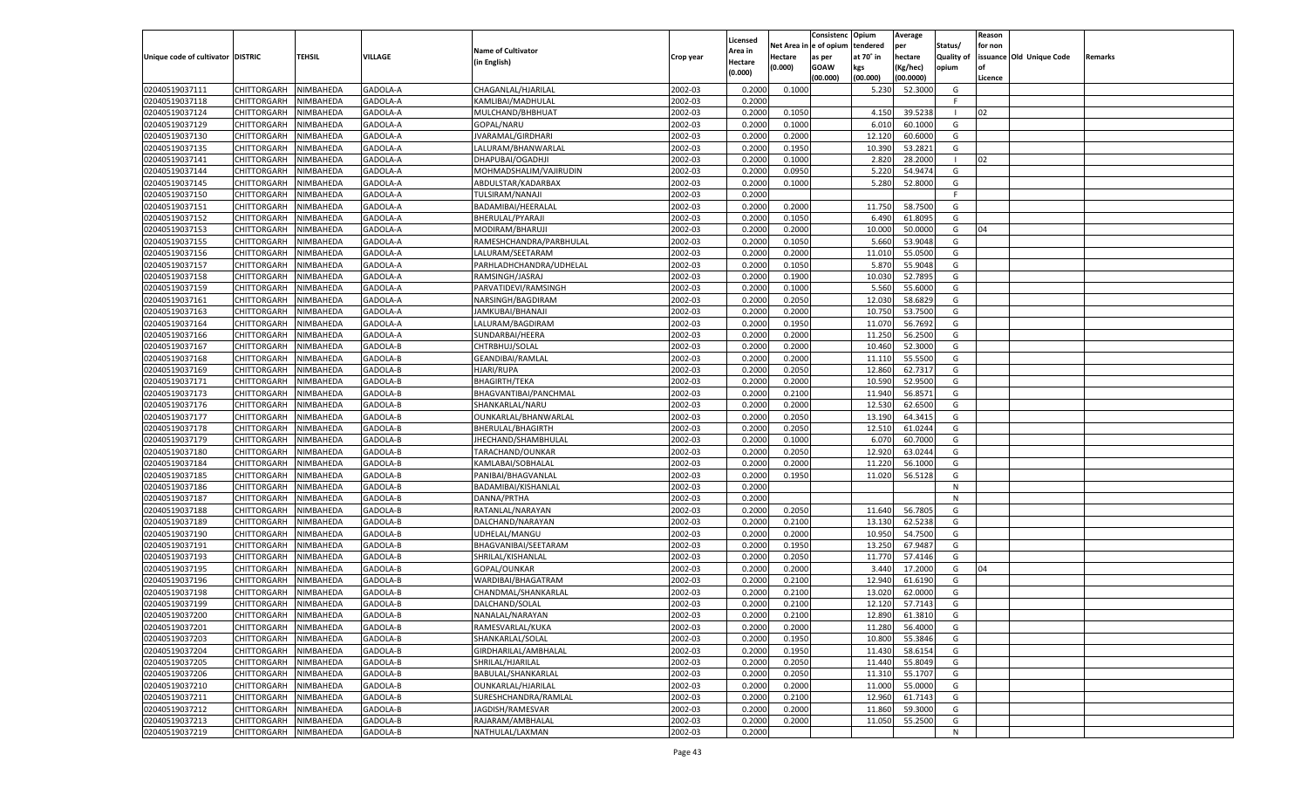|                                   |                       |                        |                      |                                           |           |                    |                  | Consistenc    | Opium           | Average   |                   | Reason  |                          |         |
|-----------------------------------|-----------------------|------------------------|----------------------|-------------------------------------------|-----------|--------------------|------------------|---------------|-----------------|-----------|-------------------|---------|--------------------------|---------|
|                                   |                       |                        |                      |                                           |           | Licensed           | Net Area i       | n  e of opium | tendered        | per       | Status/           | for non |                          |         |
| Unique code of cultivator DISTRIC |                       | TEHSIL                 | VILLAGE              | <b>Name of Cultivator</b>                 | Crop year | Area in            | Hectare          | as per        | at 70° in       | hectare   | <b>Quality of</b> |         | issuance Old Unique Code | Remarks |
|                                   |                       |                        |                      | (in English)                              |           | Hectare<br>(0.000) | (0.000)          | <b>GOAW</b>   | kgs             | (Kg/hec)  | opium             |         |                          |         |
|                                   |                       |                        |                      |                                           |           |                    |                  | (00.000)      | (00.000)        | (00.0000) |                   | Licence |                          |         |
| 02040519037111                    | CHITTORGARH           | NIMBAHEDA              | GADOLA-A             | CHAGANLAL/HJARILAL                        | 2002-03   | 0.2000             | 0.1000           |               | 5.230           | 52.3000   | G                 |         |                          |         |
| 02040519037118                    | CHITTORGARH           | NIMBAHEDA              | GADOLA-A             | KAMLIBAI/MADHULAL                         | 2002-03   | 0.2000             |                  |               |                 |           | F.                |         |                          |         |
| 02040519037124                    | CHITTORGARH           | NIMBAHEDA              | GADOLA-A             | MULCHAND/BHBHUAT                          | 2002-03   | 0.2000             | 0.1050           |               | 4.150           | 39.5238   |                   | 02      |                          |         |
| 02040519037129                    | CHITTORGARH           | NIMBAHEDA              | GADOLA-A             | GOPAL/NARU                                | 2002-03   | 0.2000             | 0.1000           |               | 6.010           | 60.1000   | G                 |         |                          |         |
| 02040519037130                    | CHITTORGARH           | NIMBAHEDA              | GADOLA-A             | JVARAMAL/GIRDHARI                         | 2002-03   | 0.2000             | 0.2000           |               | 12.120          | 60.6000   | G                 |         |                          |         |
| 02040519037135                    | CHITTORGARH           | NIMBAHEDA              | GADOLA-A             | LALURAM/BHANWARLAL                        | 2002-03   | 0.2000             | 0.1950           |               | 10.390          | 53.2821   | G                 |         |                          |         |
| 02040519037141                    | CHITTORGARH           | NIMBAHEDA              | GADOLA-A             | DHAPUBAI/OGADHJI                          | 2002-03   | 0.2000             | 0.1000           |               | 2.820           | 28.2000   |                   | 02      |                          |         |
| 02040519037144                    | CHITTORGARH           | NIMBAHEDA              | GADOLA-A             | MOHMADSHALIM/VAJIRUDIN                    | 2002-03   | 0.2000             | 0.0950           |               | 5.220           | 54.9474   | G                 |         |                          |         |
| 02040519037145                    | CHITTORGARH           | NIMBAHEDA              | GADOLA-A             | ABDULSTAR/KADARBAX                        | 2002-03   | 0.2000             | 0.1000           |               | 5.280           | 52.8000   | G                 |         |                          |         |
| 02040519037150                    | CHITTORGARH           | NIMBAHEDA              | GADOLA-A             | TULSIRAM/NANAJI                           | 2002-03   | 0.2000             |                  |               |                 |           | F.                |         |                          |         |
| 02040519037151                    | CHITTORGARH           | NIMBAHEDA              | GADOLA-A             | BADAMIBAI/HEERALAL                        | 2002-03   | 0.2000             | 0.2000           |               | 11.750          | 58.7500   | G                 |         |                          |         |
| 02040519037152                    | CHITTORGARH           | NIMBAHEDA              | GADOLA-A             | BHERULAL/PYARAJI                          | 2002-03   | 0.2000             | 0.1050           |               | 6.490           | 61.8095   | G                 |         |                          |         |
| 02040519037153                    | CHITTORGARH           | NIMBAHEDA              | GADOLA-A             | MODIRAM/BHARUJI                           | 2002-03   | 0.2000             | 0.2000           |               | 10.000          | 50.0000   | G                 | 04      |                          |         |
| 02040519037155                    | CHITTORGARH           | NIMBAHEDA              | GADOLA-A             | RAMESHCHANDRA/PARBHULAL                   | 2002-03   | 0.2000             | 0.1050           |               | 5.660           | 53.9048   | G                 |         |                          |         |
| 02040519037156                    | CHITTORGARH           | NIMBAHEDA              | GADOLA-A             | LALURAM/SEETARAM                          | 2002-03   | 0.2000             | 0.2000           |               | 11.010          | 55.0500   | G                 |         |                          |         |
| 02040519037157                    | CHITTORGARH           | NIMBAHEDA              | GADOLA-A             | PARHLADHCHANDRA/UDHELAL                   | 2002-03   | 0.2000             | 0.1050           |               | 5.870           | 55.9048   | G                 |         |                          |         |
| 02040519037158                    | CHITTORGARH           | NIMBAHEDA              | GADOLA-A             | RAMSINGH/JASRAJ                           | 2002-03   | 0.2000             | 0.1900           |               | 10.030          | 52.7895   | G                 |         |                          |         |
| 02040519037159                    | CHITTORGARH           | NIMBAHEDA              | GADOLA-A             | PARVATIDEVI/RAMSINGH                      | 2002-03   | 0.2000             | 0.1000           |               | 5.560           | 55.6000   | G                 |         |                          |         |
| 02040519037161                    | CHITTORGARH           | NIMBAHEDA              | GADOLA-A             | NARSINGH/BAGDIRAM                         | 2002-03   | 0.2000             | 0.2050           |               | 12.030          | 58.6829   | G                 |         |                          |         |
| 02040519037163                    | CHITTORGARH           | NIMBAHEDA              | GADOLA-A             | JAMKUBAI/BHANAJI                          | 2002-03   | 0.2000             | 0.2000           |               | 10.750          | 53.7500   | G                 |         |                          |         |
| 02040519037164                    | CHITTORGARH           | NIMBAHEDA              | GADOLA-A             | LALURAM/BAGDIRAM                          | 2002-03   | 0.2000             | 0.1950           |               | 11.070          | 56.7692   | G                 |         |                          |         |
| 02040519037166                    | CHITTORGARH           | NIMBAHEDA              | GADOLA-A             | SUNDARBAI/HEERA                           | 2002-03   | 0.2000             | 0.2000           |               | 11.250          | 56.2500   | G                 |         |                          |         |
| 02040519037167                    | CHITTORGARH           | NIMBAHEDA              | GADOLA-B             | CHTRBHUJ/SOLAL                            | 2002-03   | 0.2000             | 0.2000           |               | 10.460          | 52.3000   | G                 |         |                          |         |
| 02040519037168                    | CHITTORGARH           | NIMBAHEDA              | GADOLA-B             | GEANDIBAI/RAMLAL                          | 2002-03   | 0.2000             | 0.2000           |               | 11.11           | 55.5500   | G                 |         |                          |         |
| 02040519037169                    | CHITTORGARH           | NIMBAHEDA              | GADOLA-B             | <b>HJARI/RUPA</b>                         | 2002-03   | 0.2000             | 0.2050           |               | 12.860          | 62.7317   | G                 |         |                          |         |
| 02040519037171                    | CHITTORGARH           | NIMBAHEDA              | GADOLA-B             | <b>BHAGIRTH/TEKA</b>                      | 2002-03   | 0.2000             | 0.2000           |               | 10.590          | 52.9500   | G                 |         |                          |         |
| 02040519037173                    | CHITTORGARH           | NIMBAHEDA              | GADOLA-B             | BHAGVANTIBAI/PANCHMAL                     | 2002-03   | 0.2000             | 0.2100           |               | 11.940          | 56.8571   | G                 |         |                          |         |
| 02040519037176                    | CHITTORGARH           | NIMBAHEDA              | GADOLA-B             | SHANKARLAL/NARU                           | 2002-03   | 0.2000             | 0.2000           |               | 12.530          | 62.6500   | G                 |         |                          |         |
| 02040519037177                    | CHITTORGARH           | NIMBAHEDA              | GADOLA-B             | OUNKARLAL/BHANWARLAL                      | 2002-03   | 0.2000             | 0.2050           |               | 13.190          | 64.3415   | G                 |         |                          |         |
| 02040519037178                    | CHITTORGARH           | NIMBAHEDA              | GADOLA-B             | BHERULAL/BHAGIRTH                         | 2002-03   | 0.2000             | 0.2050           |               | 12.510          | 61.0244   | G                 |         |                          |         |
| 02040519037179                    | CHITTORGARH           | NIMBAHEDA              | GADOLA-B             | JHECHAND/SHAMBHULAL                       | 2002-03   | 0.2000             | 0.1000           |               | 6.07            | 60.7000   | G                 |         |                          |         |
| 02040519037180                    | CHITTORGARH           | NIMBAHEDA              | GADOLA-B             | TARACHAND/OUNKAR                          | 2002-03   | 0.2000             | 0.2050           |               | 12.920          | 63.0244   | G                 |         |                          |         |
| 02040519037184                    | CHITTORGARH           | NIMBAHEDA              | GADOLA-B             | KAMLABAI/SOBHALAL                         | 2002-03   | 0.2000             | 0.2000           |               | 11.220          | 56.1000   | G                 |         |                          |         |
| 02040519037185                    | CHITTORGARH           | NIMBAHEDA              | GADOLA-B             | PANIBAI/BHAGVANLAL                        | 2002-03   | 0.2000             | 0.1950           |               | 11.020          | 56.5128   | G                 |         |                          |         |
| 02040519037186                    | CHITTORGARH           | NIMBAHEDA              | GADOLA-B             | BADAMIBAI/KISHANLAL                       | 2002-03   | 0.2000             |                  |               |                 |           | N                 |         |                          |         |
| 02040519037187                    | CHITTORGARH           | NIMBAHEDA              | GADOLA-B             | DANNA/PRTHA                               | 2002-03   | 0.2000             |                  |               |                 |           | N                 |         |                          |         |
| 02040519037188                    | CHITTORGARH           | NIMBAHEDA              | GADOLA-B             | RATANLAL/NARAYAN                          | 2002-03   | 0.2000             | 0.2050           |               | 11.640          | 56.7805   | G                 |         |                          |         |
| 02040519037189                    | CHITTORGARH           | NIMBAHEDA              | GADOLA-B             | DALCHAND/NARAYAN                          | 2002-03   | 0.2000             | 0.2100           |               | 13.130          | 62.5238   | G                 |         |                          |         |
| 02040519037190                    | CHITTORGARH           | NIMBAHEDA              | GADOLA-B             | UDHELAL/MANGU                             | 2002-03   | 0.2000             | 0.2000           |               | 10.950          | 54.7500   | G                 |         |                          |         |
| 02040519037191                    |                       |                        |                      |                                           | 2002-03   |                    | 0.1950           |               | 13.250          | 67.9487   | G                 |         |                          |         |
| 02040519037193                    | CHITTORGARH           | NIMBAHEDA<br>NIMBAHEDA | GADOLA-B<br>GADOLA-B | BHAGVANIBAI/SEETARAM<br>SHRILAL/KISHANLAL | 2002-03   | 0.2000<br>0.2000   | 0.2050           |               |                 | 57.4146   | G                 |         |                          |         |
| 02040519037195                    | CHITTORGARH           |                        |                      |                                           | 2002-03   |                    |                  |               | 11.770<br>3.440 |           |                   | 04      |                          |         |
| 02040519037196                    | CHITTORGARH           | NIMBAHEDA<br>NIMBAHEDA | GADOLA-B<br>GADOLA-B | GOPAL/OUNKAR                              | 2002-03   | 0.2000<br>0.2000   | 0.2000<br>0.2100 |               | 12.940          | 17.2000   | G                 |         |                          |         |
|                                   | CHITTORGARH           |                        |                      | WARDIBAI/BHAGATRAM                        |           |                    |                  |               |                 | 61.6190   | G                 |         |                          |         |
| 02040519037198                    | CHITTORGARH           | NIMBAHEDA              | GADOLA-B             | CHANDMAL/SHANKARLAL                       | 2002-03   | 0.2000             | 0.2100           |               | 13.020          | 62.0000   | G                 |         |                          |         |
| 02040519037199                    | CHITTORGARH           | NIMBAHEDA              | GADOLA-B             | DALCHAND/SOLAL                            | 2002-03   | 0.2000             | 0.2100           |               | 12.120          | 57.7143   | G                 |         |                          |         |
| 02040519037200                    | CHITTORGARH NIMBAHEDA |                        | GADOLA-B             | NANALAL/NARAYAN                           | 2002-03   | 0.2000             | 0.2100           |               | 12.890          | 61.3810   | G                 |         |                          |         |
| 02040519037201                    | <b>CHITTORGARH</b>    | <b>NIMBAHEDA</b>       | GADOLA-B             | RAMESVARLAL/KUKA                          | 2002-03   | 0.2000             | 0.2000           |               | 11.280          | 56.4000   | G                 |         |                          |         |
| 02040519037203                    | CHITTORGARH           | NIMBAHEDA              | GADOLA-B             | SHANKARLAL/SOLAL                          | 2002-03   | 0.2000             | 0.1950           |               | 10.800          | 55.3846   | G                 |         |                          |         |
| 02040519037204                    | CHITTORGARH           | NIMBAHEDA              | GADOLA-B             | GIRDHARILAL/AMBHALAL                      | 2002-03   | 0.2000             | 0.1950           |               | 11.430          | 58.6154   | G                 |         |                          |         |
| 02040519037205                    | <b>CHITTORGARH</b>    | NIMBAHEDA              | GADOLA-B             | SHRILAL/HJARILAL                          | 2002-03   | 0.2000             | 0.2050           |               | 11.440          | 55.8049   | G                 |         |                          |         |
| 02040519037206                    | CHITTORGARH           | NIMBAHEDA              | GADOLA-B             | BABULAL/SHANKARLAL                        | 2002-03   | 0.2000             | 0.2050           |               | 11.310          | 55.1707   | G                 |         |                          |         |
| 02040519037210                    | <b>CHITTORGARH</b>    | NIMBAHEDA              | GADOLA-B             | OUNKARLAL/HJARILAL                        | 2002-03   | 0.2000             | 0.2000           |               | 11.000          | 55.0000   | G                 |         |                          |         |
| 02040519037211                    | CHITTORGARH           | NIMBAHEDA              | GADOLA-B             | SURESHCHANDRA/RAMLAL                      | 2002-03   | 0.2000             | 0.2100           |               | 12.960          | 61.7143   | G                 |         |                          |         |
| 02040519037212                    | CHITTORGARH           | NIMBAHEDA              | GADOLA-B             | JAGDISH/RAMESVAR                          | 2002-03   | 0.2000             | 0.2000           |               | 11.860          | 59.3000   | G                 |         |                          |         |
| 02040519037213                    | <b>CHITTORGARH</b>    | NIMBAHEDA              | GADOLA-B             | RAJARAM/AMBHALAL                          | 2002-03   | 0.2000             | 0.2000           |               | 11.050          | 55.2500   | G                 |         |                          |         |
| 02040519037219                    | <b>CHITTORGARH</b>    | NIMBAHEDA              | GADOLA-B             | NATHULAL/LAXMAN                           | 2002-03   | 0.2000             |                  |               |                 |           | N                 |         |                          |         |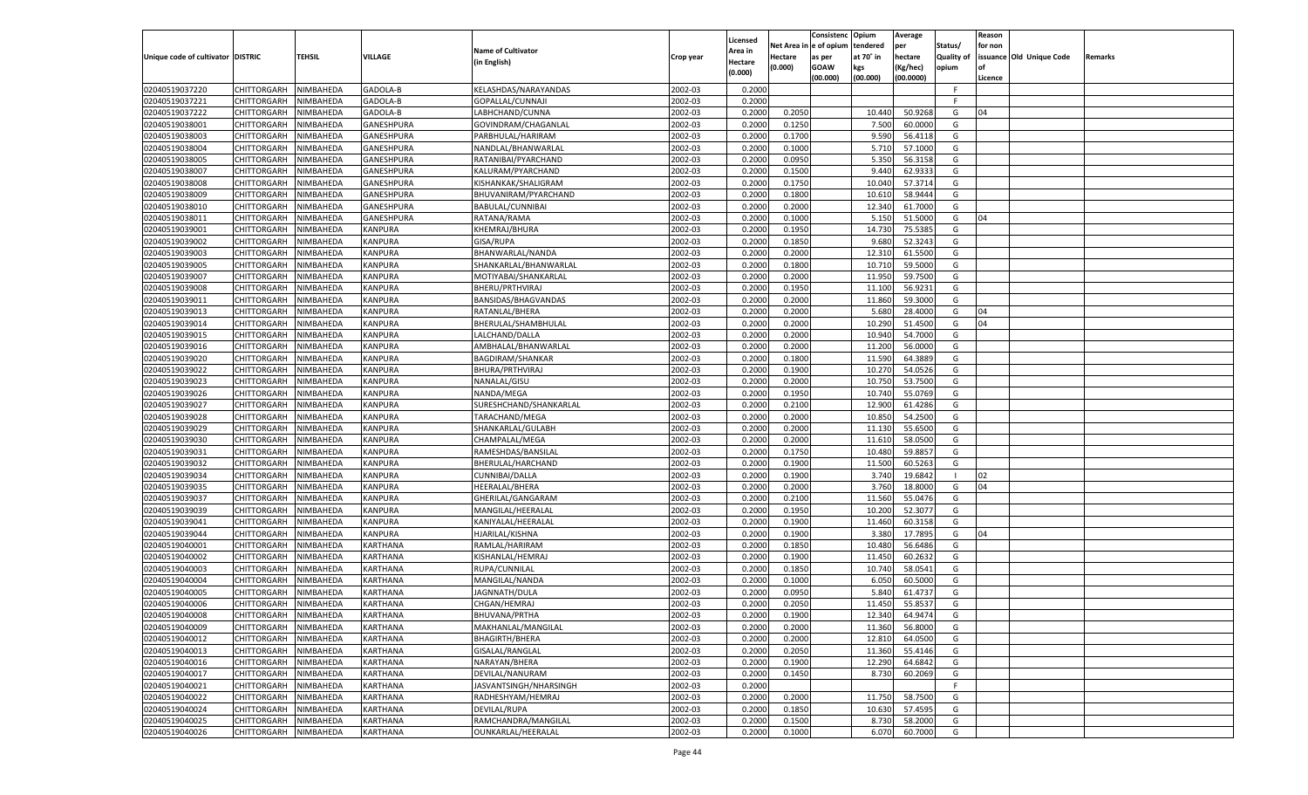|                                   |                       |               |                 |                           |           |                    |            | Consistenc Opium |           | Average   |                   | Reason  |                          |                |
|-----------------------------------|-----------------------|---------------|-----------------|---------------------------|-----------|--------------------|------------|------------------|-----------|-----------|-------------------|---------|--------------------------|----------------|
|                                   |                       |               |                 | <b>Name of Cultivator</b> |           | Licensed           | Net Area i | n  e of opium    | tendered  | per       | Status/           | for non |                          |                |
| Unique code of cultivator DISTRIC |                       | <b>TEHSIL</b> | VILLAGE         |                           | Crop year | \rea in            | Hectare    | as per           | at 70° in | hectare   | <b>Quality of</b> |         | issuance Old Unique Code | <b>Remarks</b> |
|                                   |                       |               |                 | (in English)              |           | Hectare<br>(0.000) | (0.000)    | <b>GOAW</b>      | kgs       | (Kg/hec)  | opium             |         |                          |                |
|                                   |                       |               |                 |                           |           |                    |            | (00.000)         | (00.000)  | (00.0000) |                   | Licence |                          |                |
| 02040519037220                    | CHITTORGARH           | NIMBAHEDA     | GADOLA-B        | KELASHDAS/NARAYANDAS      | 2002-03   | 0.2000             |            |                  |           |           | F.                |         |                          |                |
| 02040519037221                    | CHITTORGARH           | NIMBAHEDA     | GADOLA-B        | GOPALLAL/CUNNAJI          | 2002-03   | 0.2000             |            |                  |           |           | E                 |         |                          |                |
| 02040519037222                    | CHITTORGARH           | NIMBAHEDA     | GADOLA-B        | LABHCHAND/CUNNA           | 2002-03   | 0.2000             | 0.2050     |                  | 10.440    | 50.9268   | G                 | 04      |                          |                |
| 02040519038001                    | CHITTORGARH           | NIMBAHEDA     | GANESHPURA      | GOVINDRAM/CHAGANLAL       | 2002-03   | 0.2000             | 0.1250     |                  | 7.500     | 60.0000   | G                 |         |                          |                |
| 02040519038003                    | CHITTORGARH           | NIMBAHEDA     | GANESHPURA      | PARBHULAL/HARIRAM         | 2002-03   | 0.2000             | 0.1700     |                  | 9.590     | 56.4118   | G                 |         |                          |                |
| 02040519038004                    | CHITTORGARH           | NIMBAHEDA     | GANESHPURA      | NANDLAL/BHANWARLAI        | 2002-03   | 0.2000             | 0.1000     |                  | 5.71      | 57.1000   | G                 |         |                          |                |
| 02040519038005                    | CHITTORGARH           | NIMBAHEDA     | GANESHPURA      | RATANIBAI/PYARCHAND       | 2002-03   | 0.2000             | 0.0950     |                  | 5.350     | 56.3158   | G                 |         |                          |                |
| 02040519038007                    | CHITTORGARH           | NIMBAHEDA     | GANESHPURA      | KALURAM/PYARCHAND         | 2002-03   | 0.2000             | 0.1500     |                  | 9.440     | 62.933    | G                 |         |                          |                |
| 02040519038008                    | CHITTORGARH           | NIMBAHEDA     | GANESHPURA      | KISHANKAK/SHALIGRAM       | 2002-03   | 0.2000             | 0.1750     |                  | 10.040    | 57.3714   | G                 |         |                          |                |
| 02040519038009                    | CHITTORGARH           | NIMBAHEDA     | GANESHPURA      | BHUVANIRAM/PYARCHAND      | 2002-03   | 0.2000             | 0.1800     |                  | 10.61     | 58.9444   | G                 |         |                          |                |
| 02040519038010                    | CHITTORGARH           | NIMBAHEDA     | GANESHPURA      | BABULAL/CUNNIBAI          | 2002-03   | 0.2000             | 0.2000     |                  | 12.340    | 61.7000   | G                 |         |                          |                |
|                                   |                       |               |                 |                           |           |                    | 0.1000     |                  |           | 51.5000   |                   | 04      |                          |                |
| 02040519038011                    | CHITTORGARH           | NIMBAHEDA     | GANESHPURA      | RATANA/RAMA               | 2002-03   | 0.2000             |            |                  | 5.15      |           | G                 |         |                          |                |
| 02040519039001                    | CHITTORGARH           | NIMBAHEDA     | KANPURA         | KHEMRAJ/BHURA             | 2002-03   | 0.2000             | 0.1950     |                  | 14.730    | 75.5385   | G                 |         |                          |                |
| 02040519039002                    | CHITTORGARH           | NIMBAHEDA     | KANPURA         | GISA/RUPA                 | 2002-03   | 0.2000             | 0.1850     |                  | 9.680     | 52.3243   | G                 |         |                          |                |
| 02040519039003                    | CHITTORGARH           | NIMBAHEDA     | KANPURA         | BHANWARLAL/NANDA          | 2002-03   | 0.2000             | 0.2000     |                  | 12.31     | 61.5500   | G                 |         |                          |                |
| 02040519039005                    | CHITTORGARH           | NIMBAHEDA     | KANPURA         | SHANKARLAL/BHANWARLAL     | 2002-03   | 0.2000             | 0.1800     |                  | 10.710    | 59.5000   | G                 |         |                          |                |
| 02040519039007                    | CHITTORGARH           | NIMBAHEDA     | KANPURA         | MOTIYABAI/SHANKARLAL      | 2002-03   | 0.2000             | 0.2000     |                  | 11.950    | 59.7500   | G                 |         |                          |                |
| 02040519039008                    | CHITTORGARH           | NIMBAHEDA     | KANPURA         | BHERU/PRTHVIRAJ           | 2002-03   | 0.2000             | 0.1950     |                  | 11.100    | 56.9231   | G                 |         |                          |                |
| 02040519039011                    | CHITTORGARH           | NIMBAHEDA     | KANPURA         | BANSIDAS/BHAGVANDAS       | 2002-03   | 0.2000             | 0.2000     |                  | 11.860    | 59.3000   | G                 |         |                          |                |
| 02040519039013                    | CHITTORGARH           | NIMBAHEDA     | KANPURA         | RATANLAL/BHERA            | 2002-03   | 0.2000             | 0.2000     |                  | 5.680     | 28.4000   | G                 | 04      |                          |                |
| 02040519039014                    | CHITTORGARH           | NIMBAHEDA     | KANPURA         | BHERULAL/SHAMBHULAL       | 2002-03   | 0.2000             | 0.2000     |                  | 10.290    | 51.4500   | G                 | 04      |                          |                |
| 02040519039015                    | CHITTORGARH           | NIMBAHEDA     | KANPURA         | LALCHAND/DALLA            | 2002-03   | 0.2000             | 0.2000     |                  | 10.940    | 54.7000   | G                 |         |                          |                |
| 02040519039016                    | CHITTORGARH           | NIMBAHEDA     | KANPURA         | AMBHALAL/BHANWARLAL       | 2002-03   | 0.2000             | 0.2000     |                  | 11.200    | 56.0000   | G                 |         |                          |                |
| 02040519039020                    | CHITTORGARH           | NIMBAHEDA     | KANPURA         | BAGDIRAM/SHANKAR          | 2002-03   | 0.2000             | 0.1800     |                  | 11.590    | 64.3889   | G                 |         |                          |                |
| 02040519039022                    | CHITTORGARH           | NIMBAHEDA     | KANPURA         | BHURA/PRTHVIRAJ           | 2002-03   | 0.2000             | 0.1900     |                  | 10.270    | 54.0526   | G                 |         |                          |                |
| 02040519039023                    | CHITTORGARH           | NIMBAHEDA     | KANPURA         | NANALAL/GISU              | 2002-03   | 0.2000             | 0.2000     |                  | 10.75     | 53.7500   | G                 |         |                          |                |
| 02040519039026                    | CHITTORGARH           | NIMBAHEDA     | KANPURA         | NANDA/MEGA                | 2002-03   | 0.2000             | 0.1950     |                  | 10.740    | 55.0769   | G                 |         |                          |                |
| 02040519039027                    | CHITTORGARH           | NIMBAHEDA     | KANPURA         | SURESHCHAND/SHANKARLAL    | 2002-03   | 0.2000             | 0.2100     |                  | 12.900    | 61.4286   | G                 |         |                          |                |
| 02040519039028                    | CHITTORGARH           | NIMBAHEDA     | KANPURA         | TARACHAND/MEGA            | 2002-03   | 0.2000             | 0.2000     |                  | 10.850    | 54.2500   | G                 |         |                          |                |
| 02040519039029                    | CHITTORGARH           | NIMBAHEDA     | KANPURA         | SHANKARLAL/GULABH         | 2002-03   | 0.2000             | 0.2000     |                  | 11.130    | 55.6500   | G                 |         |                          |                |
| 02040519039030                    | CHITTORGARH           | NIMBAHEDA     | KANPURA         | CHAMPALAL/MEGA            | 2002-03   | 0.2000             | 0.2000     |                  | 11.610    | 58.0500   | G                 |         |                          |                |
|                                   |                       |               |                 |                           |           |                    |            |                  |           |           |                   |         |                          |                |
| 02040519039031                    | CHITTORGARH           | NIMBAHEDA     | KANPURA         | RAMESHDAS/BANSILAL        | 2002-03   | 0.2000             | 0.1750     |                  | 10.480    | 59.885    | G                 |         |                          |                |
| 02040519039032                    | CHITTORGARH           | NIMBAHEDA     | KANPURA         | BHERULAL/HARCHAND         | 2002-03   | 0.2000             | 0.1900     |                  | 11.500    | 60.5263   | G                 |         |                          |                |
| 02040519039034                    | CHITTORGARH           | NIMBAHEDA     | KANPURA         | CUNNIBAI/DALLA            | 2002-03   | 0.2000             | 0.1900     |                  | 3.740     | 19.6842   |                   | 02      |                          |                |
| 02040519039035                    | CHITTORGARH           | NIMBAHEDA     | KANPURA         | HEERALAL/BHERA            | 2002-03   | 0.2000             | 0.2000     |                  | 3.760     | 18.8000   | G                 | 04      |                          |                |
| 02040519039037                    | CHITTORGARH           | NIMBAHEDA     | KANPURA         | GHERILAL/GANGARAM         | 2002-03   | 0.2000             | 0.2100     |                  | 11.560    | 55.0476   | G                 |         |                          |                |
| 02040519039039                    | CHITTORGARH           | NIMBAHEDA     | KANPURA         | MANGILAL/HEERALAL         | 2002-03   | 0.2000             | 0.1950     |                  | 10.200    | 52.3077   | G                 |         |                          |                |
| 02040519039041                    | CHITTORGARH           | NIMBAHEDA     | KANPURA         | KANIYALAL/HEERALAL        | 2002-03   | 0.2000             | 0.1900     |                  | 11.460    | 60.3158   | G                 |         |                          |                |
| 02040519039044                    | CHITTORGARH           | NIMBAHEDA     | KANPURA         | HJARILAL/KISHNA           | 2002-03   | 0.2000             | 0.1900     |                  | 3.380     | 17.7895   | G                 | 04      |                          |                |
| 02040519040001                    | CHITTORGARH           | NIMBAHEDA     | KARTHANA        | RAMLAL/HARIRAM            | 2002-03   | 0.2000             | 0.1850     |                  | 10.480    | 56.6486   | G                 |         |                          |                |
| 02040519040002                    | CHITTORGARH           | NIMBAHEDA     | KARTHANA        | KISHANLAL/HEMRAJ          | 2002-03   | 0.2000             | 0.1900     |                  | 11.45     | 60.263    | G                 |         |                          |                |
| 02040519040003                    | CHITTORGARH           | NIMBAHEDA     | KARTHANA        | RUPA/CUNNILAL             | 2002-03   | 0.2000             | 0.1850     |                  | 10.74     | 58.0541   | G                 |         |                          |                |
| 02040519040004                    | CHITTORGARH           | NIMBAHEDA     | KARTHANA        | MANGILAL/NANDA            | 2002-03   | 0.2000             | 0.1000     |                  | 6.050     | 60.5000   | G                 |         |                          |                |
| 02040519040005                    | CHITTORGARH           | NIMBAHEDA     | KARTHANA        | JAGNNATH/DULA             | 2002-03   | 0.2000             | 0.0950     |                  | 5.840     | 61.4737   | G                 |         |                          |                |
| 02040519040006                    | CHITTORGARH           | NIMBAHEDA     | KARTHANA        | CHGAN/HEMRAJ              | 2002-03   | 0.2000             | 0.2050     |                  | 11.450    | 55.8537   | G                 |         |                          |                |
| 02040519040008                    | CHITTORGARH NIMBAHEDA |               | KARTHANA        | BHUVANA/PRTHA             | 2002-03   | 0.2000             | 0.1900     |                  | 12.340    | 64.9474   | G                 |         |                          |                |
| 02040519040009                    | CHITTORGARH           | NIMBAHEDA     | KARTHANA        | MAKHANLAL/MANGILAL        | 2002-03   | 0.2000             | 0.2000     |                  | 11.360    | 56.8000   | G                 |         |                          |                |
| 02040519040012                    | CHITTORGARH           | NIMBAHEDA     | KARTHANA        | <b>BHAGIRTH/BHERA</b>     | 2002-03   | 0.2000             | 0.2000     |                  | 12.810    | 64.0500   | G                 |         |                          |                |
| 02040519040013                    | <b>CHITTORGARH</b>    | NIMBAHEDA     | <b>KARTHANA</b> | GISALAL/RANGLAL           | 2002-03   | 0.2000             | 0.2050     |                  | 11.360    | 55.4146   | G                 |         |                          |                |
|                                   |                       |               |                 |                           |           |                    |            |                  |           |           | G                 |         |                          |                |
| 02040519040016                    | <b>CHITTORGARH</b>    | NIMBAHEDA     | <b>KARTHANA</b> | NARAYAN/BHERA             | 2002-03   | 0.2000             | 0.1900     |                  | 12.290    | 64.6842   |                   |         |                          |                |
| 02040519040017                    | CHITTORGARH           | NIMBAHEDA     | KARTHANA        | DEVILAL/NANURAM           | 2002-03   | 0.2000             | 0.1450     |                  | 8.730     | 60.2069   | G                 |         |                          |                |
| 02040519040021                    | CHITTORGARH           | NIMBAHEDA     | KARTHANA        | JASVANTSINGH/NHARSINGH    | 2002-03   | 0.2000             |            |                  |           |           | F.                |         |                          |                |
| 02040519040022                    | <b>CHITTORGARH</b>    | NIMBAHEDA     | <b>KARTHANA</b> | RADHESHYAM/HEMRAJ         | 2002-03   | 0.2000             | 0.2000     |                  | 11.750    | 58.7500   | G                 |         |                          |                |
| 02040519040024                    | <b>CHITTORGARH</b>    | NIMBAHEDA     | <b>KARTHANA</b> | DEVILAL/RUPA              | 2002-03   | 0.2000             | 0.1850     |                  | 10.630    | 57.4595   | G                 |         |                          |                |
| 02040519040025                    | CHITTORGARH           | NIMBAHEDA     | KARTHANA        | RAMCHANDRA/MANGILAL       | 2002-03   | 0.2000             | 0.1500     |                  | 8.730     | 58.2000   | G                 |         |                          |                |
| 02040519040026                    | CHITTORGARH           | NIMBAHEDA     | <b>KARTHANA</b> | OUNKARLAL/HEERALAL        | 2002-03   | 0.2000             | 0.1000     |                  | 6.070     | 60.7000   | G                 |         |                          |                |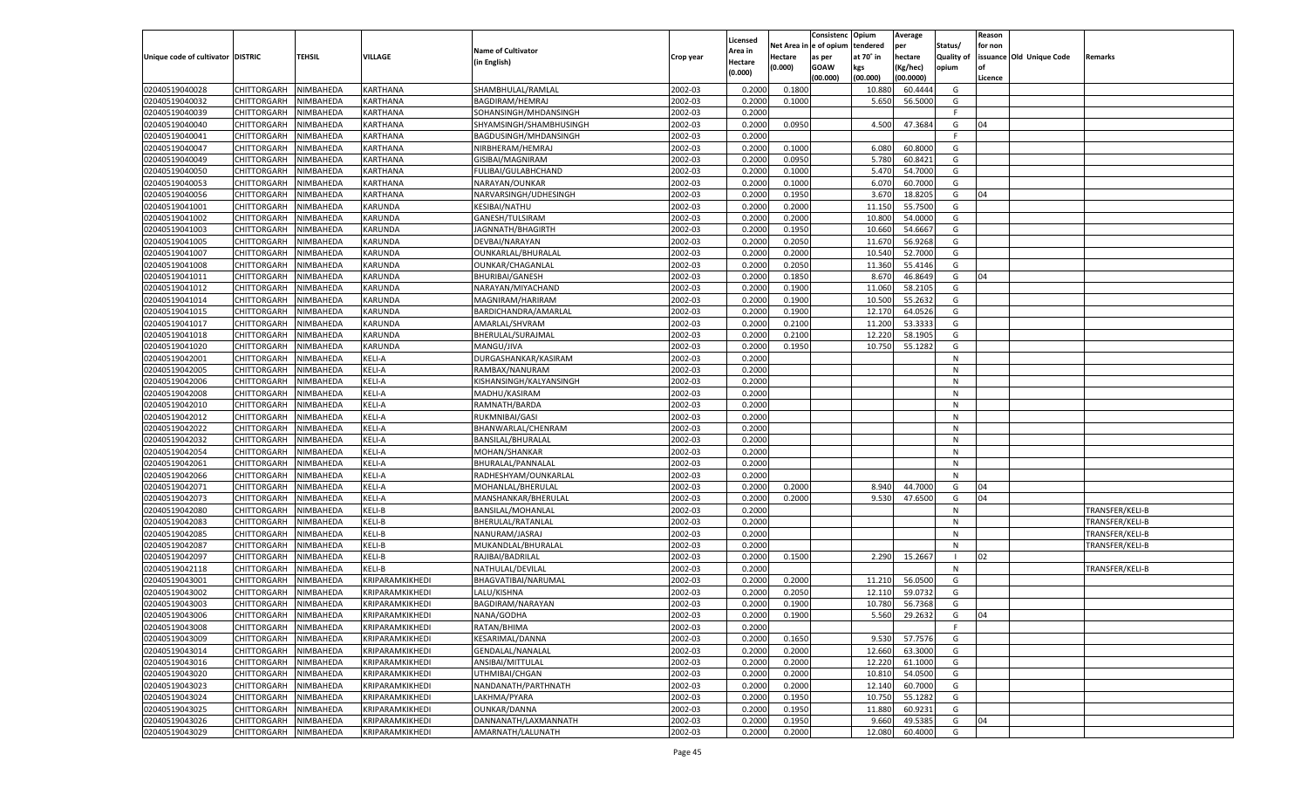|                                   |                       |               |                 |                                      |           |                           |          | Consistenc  | Opium     | Average   |                   | Reason  |                          |                                    |
|-----------------------------------|-----------------------|---------------|-----------------|--------------------------------------|-----------|---------------------------|----------|-------------|-----------|-----------|-------------------|---------|--------------------------|------------------------------------|
|                                   |                       |               |                 | <b>Name of Cultivator</b>            |           | Licensed                  | Net Area | e of opium  | tendered  | per       | Status/           | for non |                          |                                    |
| Unique code of cultivator DISTRIC |                       | <b>TEHSIL</b> | VILLAGE         | (in English)                         | Crop year | <b>Area in</b><br>Hectare | Hectare  | as per      | at 70° in | hectare   | <b>Quality of</b> |         | issuance Old Unique Code | Remarks                            |
|                                   |                       |               |                 |                                      |           | (0.000)                   | (0.000)  | <b>GOAW</b> | kgs       | (Kg/hec)  | opium             |         |                          |                                    |
|                                   |                       |               |                 |                                      |           |                           |          | (00.000)    | (00.000)  | (00.0000) |                   | Licence |                          |                                    |
| 02040519040028                    | CHITTORGARH           | NIMBAHEDA     | KARTHANA        | SHAMBHULAL/RAMLAL                    | 2002-03   | 0.2000                    | 0.1800   |             | 10.880    | 60.4444   | G                 |         |                          |                                    |
| 02040519040032                    | CHITTORGARH           | NIMBAHEDA     | KARTHANA        | BAGDIRAM/HEMRAJ                      | 2002-03   | 0.2000                    | 0.1000   |             | 5.650     | 56.5000   | G                 |         |                          |                                    |
| 02040519040039                    | CHITTORGARH           | NIMBAHEDA     | KARTHANA        | SOHANSINGH/MHDANSINGH                | 2002-03   | 0.2000                    |          |             |           |           | F                 |         |                          |                                    |
| 02040519040040                    | CHITTORGARH           | NIMBAHEDA     | KARTHANA        | SHYAMSINGH/SHAMBHUSINGH              | 2002-03   | 0.2000                    | 0.0950   |             | 4.500     | 47.3684   | G                 | 04      |                          |                                    |
| 02040519040041                    | CHITTORGARH           | NIMBAHEDA     | KARTHANA        | BAGDUSINGH/MHDANSINGH                | 2002-03   | 0.2000                    |          |             |           |           | F.                |         |                          |                                    |
| 02040519040047                    | CHITTORGARH           | NIMBAHEDA     | KARTHANA        | NIRBHERAM/HEMRAJ                     | 2002-03   | 0.2000                    | 0.1000   |             | 6.080     | 60.8000   | G                 |         |                          |                                    |
| 02040519040049                    | CHITTORGARH           | NIMBAHEDA     | KARTHANA        | GISIBAI/MAGNIRAM                     | 2002-03   | 0.2000                    | 0.0950   |             | 5.780     | 60.8421   | G                 |         |                          |                                    |
| 02040519040050                    | CHITTORGARH           | NIMBAHEDA     | KARTHANA        | FULIBAI/GULABHCHAND                  | 2002-03   | 0.2000                    | 0.1000   |             | 5.470     | 54.7000   | G                 |         |                          |                                    |
| 02040519040053                    | CHITTORGARH           | NIMBAHEDA     | KARTHANA        | NARAYAN/OUNKAR                       | 2002-03   | 0.2000                    | 0.1000   |             | 6.070     | 60.7000   | G                 |         |                          |                                    |
| 02040519040056                    | CHITTORGARH           | NIMBAHEDA     | KARTHANA        | NARVARSINGH/UDHESINGH                | 2002-03   | 0.2000                    | 0.1950   |             | 3.670     | 18.8205   | G                 | 04      |                          |                                    |
| 02040519041001                    | CHITTORGARH           | NIMBAHEDA     | KARUNDA         | KESIBAI/NATHU                        | 2002-03   | 0.2000                    | 0.2000   |             | 11.150    | 55.7500   | G                 |         |                          |                                    |
| 02040519041002                    | CHITTORGARH           | NIMBAHEDA     | KARUNDA         | GANESH/TULSIRAM                      | 2002-03   | 0.2000                    | 0.2000   |             | 10.800    | 54.0000   | G                 |         |                          |                                    |
| 02040519041003                    | CHITTORGARH           | NIMBAHEDA     | KARUNDA         | JAGNNATH/BHAGIRTH                    | 2002-03   | 0.2000                    | 0.1950   |             | 10.660    | 54.6667   | G                 |         |                          |                                    |
| 02040519041005                    | CHITTORGARH           | NIMBAHEDA     | KARUNDA         | DEVBAI/NARAYAN                       | 2002-03   | 0.2000                    | 0.2050   |             | 11.670    | 56.9268   | G                 |         |                          |                                    |
| 02040519041007                    | CHITTORGARH           | NIMBAHEDA     | KARUNDA         | OUNKARLAL/BHURALAL                   | 2002-03   | 0.2000                    | 0.2000   |             | 10.540    | 52.7000   | G                 |         |                          |                                    |
| 02040519041008                    | CHITTORGARH           | NIMBAHEDA     | KARUNDA         | OUNKAR/CHAGANLAL                     | 2002-03   | 0.2000                    | 0.2050   |             | 11.360    | 55.4146   | G                 |         |                          |                                    |
| 02040519041011                    | CHITTORGARH           | NIMBAHEDA     | KARUNDA         | <b>BHURIBAI/GANESH</b>               | 2002-03   | 0.2000                    | 0.1850   |             | 8.670     | 46.8649   | G                 | 04      |                          |                                    |
| 02040519041012                    | CHITTORGARH           | NIMBAHEDA     | KARUNDA         | NARAYAN/MIYACHAND                    | 2002-03   | 0.2000                    | 0.1900   |             | 11.060    | 58.2105   | G                 |         |                          |                                    |
| 02040519041014                    | CHITTORGARH           | NIMBAHEDA     | KARUNDA         | MAGNIRAM/HARIRAM                     | 2002-03   | 0.2000                    | 0.1900   |             | 10.500    | 55.2632   | G                 |         |                          |                                    |
| 02040519041015                    | CHITTORGARH           | NIMBAHEDA     | KARUNDA         | BARDICHANDRA/AMARLAL                 | 2002-03   | 0.2000                    | 0.1900   |             | 12.170    | 64.0526   | G                 |         |                          |                                    |
| 02040519041017                    | CHITTORGARH           | NIMBAHEDA     | KARUNDA         | AMARLAL/SHVRAM                       | 2002-03   | 0.2000                    | 0.2100   |             | 11.200    | 53.3333   | G                 |         |                          |                                    |
| 02040519041018                    | CHITTORGARH           | NIMBAHEDA     | KARUNDA         | BHERULAL/SURAJMAL                    | 2002-03   | 0.2000                    | 0.2100   |             | 12.220    | 58.1905   | G                 |         |                          |                                    |
| 02040519041020                    | CHITTORGARH           | NIMBAHEDA     | KARUNDA         | MANGU/JIVA                           | 2002-03   | 0.2000                    | 0.1950   |             | 10.750    | 55.1282   | G                 |         |                          |                                    |
| 02040519042001                    | CHITTORGARH           | NIMBAHEDA     | KELI-A          | DURGASHANKAR/KASIRAM                 | 2002-03   | 0.2000                    |          |             |           |           | N                 |         |                          |                                    |
| 02040519042005                    | CHITTORGARH           | NIMBAHEDA     | KELI-A          | RAMBAX/NANURAM                       | 2002-03   | 0.2000                    |          |             |           |           | N                 |         |                          |                                    |
| 02040519042006                    | CHITTORGARH           | NIMBAHEDA     | KELI-A          | KISHANSINGH/KALYANSINGH              | 2002-03   | 0.2000                    |          |             |           |           | N                 |         |                          |                                    |
| 02040519042008                    | CHITTORGARH           | NIMBAHEDA     | KELI-A          | MADHU/KASIRAM                        | 2002-03   | 0.2000                    |          |             |           |           | N                 |         |                          |                                    |
| 02040519042010                    | CHITTORGARH           | NIMBAHEDA     | KELI-A          | RAMNATH/BARDA                        | 2002-03   | 0.2000                    |          |             |           |           | N                 |         |                          |                                    |
| 02040519042012                    | CHITTORGARH           | NIMBAHEDA     | KELI-A          | RUKMNIBAI/GASI                       | 2002-03   | 0.2000                    |          |             |           |           | N                 |         |                          |                                    |
| 02040519042022                    | CHITTORGARH           | NIMBAHEDA     | KELI-A          | BHANWARLAL/CHENRAM                   | 2002-03   | 0.2000                    |          |             |           |           | N                 |         |                          |                                    |
| 02040519042032                    | CHITTORGARH           | NIMBAHEDA     | KELI-A          | BANSILAL/BHURALAL                    | 2002-03   | 0.2000                    |          |             |           |           | N                 |         |                          |                                    |
| 02040519042054                    | CHITTORGARH           | NIMBAHEDA     | KELI-A          | MOHAN/SHANKAR                        | 2002-03   | 0.2000                    |          |             |           |           | N                 |         |                          |                                    |
| 02040519042061                    | CHITTORGARH           | NIMBAHEDA     | KELI-A          | BHURALAL/PANNALAL                    | 2002-03   | 0.2000                    |          |             |           |           | N                 |         |                          |                                    |
| 02040519042066                    | CHITTORGARH           | NIMBAHEDA     | KELI-A          | RADHESHYAM/OUNKARLAL                 | 2002-03   | 0.2000                    |          |             |           |           | N                 |         |                          |                                    |
| 02040519042071                    | CHITTORGARH           | NIMBAHEDA     | KELI-A          | MOHANLAL/BHERULAL                    | 2002-03   | 0.2000                    | 0.2000   |             | 8.940     | 44.7000   | G                 | 04      |                          |                                    |
| 02040519042073                    | CHITTORGARH           | NIMBAHEDA     | KELI-A          | MANSHANKAR/BHERULAL                  | 2002-03   | 0.2000                    | 0.2000   |             | 9.530     | 47.6500   | G                 | 04      |                          |                                    |
| 02040519042080                    | CHITTORGARH           | NIMBAHEDA     | KELI-B          | BANSILAL/MOHANLAL                    | 2002-03   | 0.2000                    |          |             |           |           | N                 |         |                          | TRANSFER/KELI-B                    |
| 02040519042083                    | CHITTORGARH           | NIMBAHEDA     | KELI-B          | BHERULAL/RATANLAL                    | 2002-03   | 0.2000                    |          |             |           |           | N                 |         |                          | TRANSFER/KELI-B                    |
| 02040519042085                    |                       | NIMBAHEDA     | KELI-B          |                                      | 2002-03   | 0.2000                    |          |             |           |           | N                 |         |                          |                                    |
| 02040519042087                    | CHITTORGARH           |               | KELI-B          | NANURAM/JASRAJ<br>MUKANDLAL/BHURALAL | 2002-03   | 0.2000                    |          |             |           |           | N                 |         |                          | TRANSFER/KELI-B<br>TRANSFER/KELI-B |
|                                   | CHITTORGARH           | NIMBAHEDA     | KELI-B          |                                      |           |                           |          |             |           |           |                   |         |                          |                                    |
| 02040519042097                    | CHITTORGARH           | NIMBAHEDA     |                 | RAJIBAI/BADRILAL<br>NATHULAL/DEVILAL | 2002-03   | 0.2000                    | 0.1500   |             | 2.290     | 15.2667   | N                 | 02      |                          |                                    |
| 02040519042118                    | CHITTORGARH           | NIMBAHEDA     | KELI-B          |                                      | 2002-03   | 0.2000                    |          |             |           |           |                   |         |                          | TRANSFER/KELI-B                    |
| 02040519043001                    | CHITTORGARH           | NIMBAHEDA     | KRIPARAMKIKHEDI | BHAGVATIBAI/NARUMAL                  | 2002-03   | 0.2000                    | 0.2000   |             | 11.210    | 56.0500   | G                 |         |                          |                                    |
| 02040519043002                    | CHITTORGARH           | NIMBAHEDA     | KRIPARAMKIKHEDI | LALU/KISHNA                          | 2002-03   | 0.2000                    | 0.2050   |             | 12.11     | 59.073.   | G                 |         |                          |                                    |
| 02040519043003                    | CHITTORGARH           | NIMBAHEDA     | KRIPARAMKIKHEDI | BAGDIRAM/NARAYAN                     | 2002-03   | 0.2000                    | 0.1900   |             | 10.780    | 56.7368   | G                 |         |                          |                                    |
| 02040519043006                    | CHITTORGARH NIMBAHEDA |               | KRIPARAMKIKHEDI | NANA/GODHA                           | 2002-03   | 0.2000                    | 0.1900   |             | 5.560     | 29.2632   | G                 | 04      |                          |                                    |
| 02040519043008                    | <b>CHITTORGARH</b>    | NIMBAHEDA     | KRIPARAMKIKHEDI | RATAN/BHIMA                          | 2002-03   | 0.2000                    |          |             |           |           | F.                |         |                          |                                    |
| 02040519043009                    | CHITTORGARH           | NIMBAHEDA     | KRIPARAMKIKHEDI | KESARIMAL/DANNA                      | 2002-03   | 0.2000                    | 0.1650   |             | 9.530     | 57.7576   | G                 |         |                          |                                    |
| 02040519043014                    | <b>CHITTORGARH</b>    | NIMBAHEDA     | KRIPARAMKIKHEDI | GENDALAL/NANALAL                     | 2002-03   | 0.2000                    | 0.2000   |             | 12.660    | 63.3000   | G                 |         |                          |                                    |
| 02040519043016                    | <b>CHITTORGARH</b>    | NIMBAHEDA     | KRIPARAMKIKHEDI | ANSIBAI/MITTULAL                     | 2002-03   | 0.2000                    | 0.2000   |             | 12.220    | 61.1000   | G                 |         |                          |                                    |
| 02040519043020                    | <b>CHITTORGARH</b>    | NIMBAHEDA     | KRIPARAMKIKHEDI | UTHMIBAI/CHGAN                       | 2002-03   | 0.2000                    | 0.2000   |             | 10.810    | 54.0500   | G                 |         |                          |                                    |
| 02040519043023                    | <b>CHITTORGARH</b>    | NIMBAHEDA     | KRIPARAMKIKHEDI | NANDANATH/PARTHNATH                  | 2002-03   | 0.2000                    | 0.2000   |             | 12.140    | 60.7000   | G                 |         |                          |                                    |
| 02040519043024                    | <b>CHITTORGARH</b>    | NIMBAHEDA     | KRIPARAMKIKHEDI | LAKHMA/PYARA                         | 2002-03   | 0.2000                    | 0.1950   |             | 10.750    | 55.1282   | G                 |         |                          |                                    |
| 02040519043025                    | <b>CHITTORGARH</b>    | NIMBAHEDA     | KRIPARAMKIKHEDI | OUNKAR/DANNA                         | 2002-03   | 0.2000                    | 0.1950   |             | 11.880    | 60.9231   | G                 |         |                          |                                    |
| 02040519043026                    | <b>CHITTORGARH</b>    | NIMBAHEDA     | KRIPARAMKIKHEDI | DANNANATH/LAXMANNATH                 | 2002-03   | 0.2000                    | 0.1950   |             | 9.660     | 49.5385   | G                 | 04      |                          |                                    |
| 02040519043029                    | CHITTORGARH           | NIMBAHEDA     | KRIPARAMKIKHEDI | AMARNATH/LALUNATH                    | 2002-03   | 0.2000                    | 0.2000   |             | 12.080    | 60.4000   | G                 |         |                          |                                    |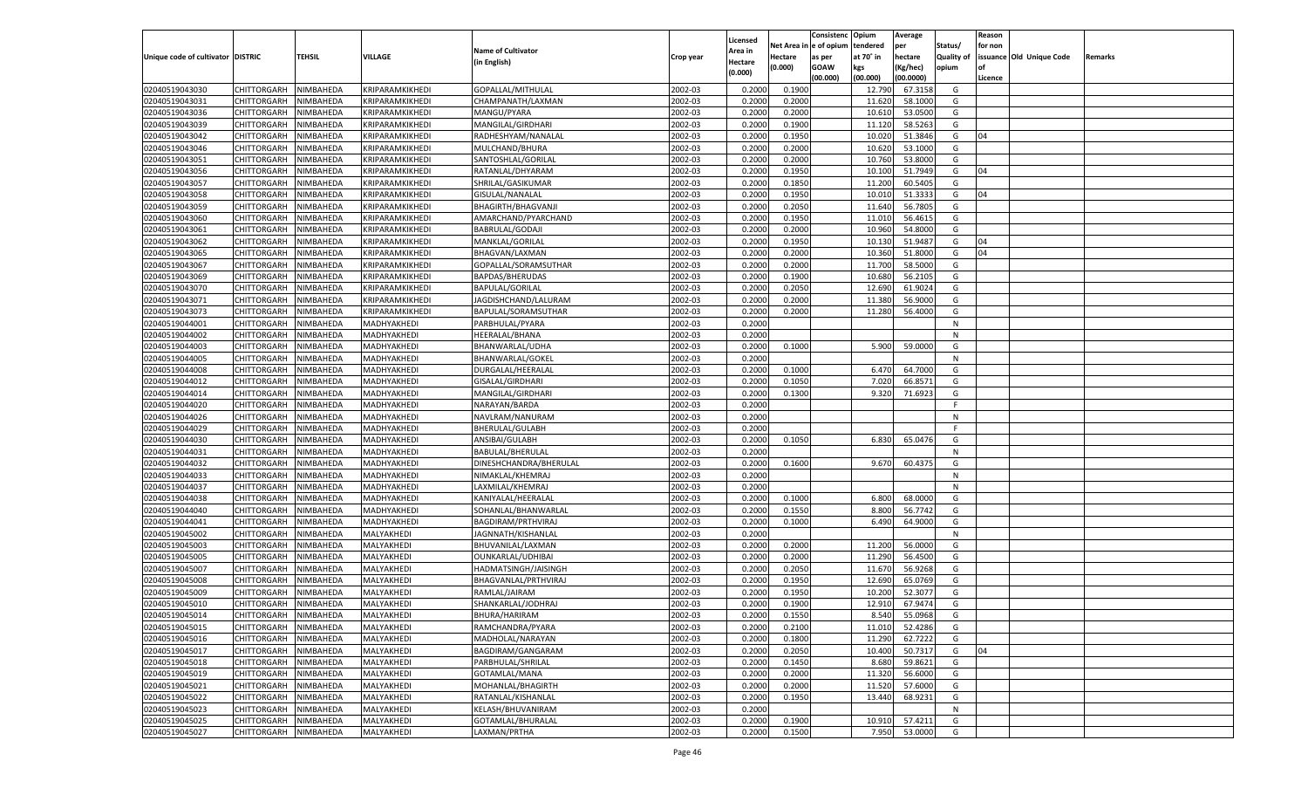|                                   |                       |           |                 |                           |           |                    |             | Consistenc    | Opium     | Average   |                   | Reason  |                          |         |
|-----------------------------------|-----------------------|-----------|-----------------|---------------------------|-----------|--------------------|-------------|---------------|-----------|-----------|-------------------|---------|--------------------------|---------|
|                                   |                       |           |                 |                           |           | Licensed           | Net Area iı | n  e of opium | tendered  | per       | Status/           | for non |                          |         |
| Unique code of cultivator DISTRIC |                       | TEHSIL    | VILLAGE         | <b>Name of Cultivator</b> | Crop year | Area in            | Hectare     | as per        | at 70° in | hectare   | <b>Quality of</b> |         | issuance Old Unique Code | Remarks |
|                                   |                       |           |                 | (in English)              |           | Hectare<br>(0.000) | (0.000)     | <b>GOAW</b>   | kgs       | (Kg/hec)  | opium             |         |                          |         |
|                                   |                       |           |                 |                           |           |                    |             | (00.000)      | (00.000)  | (00.0000) |                   | Licence |                          |         |
| 02040519043030                    | CHITTORGARH           | NIMBAHEDA | KRIPARAMKIKHEDI | GOPALLAL/MITHULAL         | 2002-03   | 0.2000             | 0.1900      |               | 12.790    | 67.3158   | G                 |         |                          |         |
| 02040519043031                    | CHITTORGARH           | NIMBAHEDA | KRIPARAMKIKHEDI | CHAMPANATH/LAXMAN         | 2002-03   | 0.2000             | 0.2000      |               | 11.620    | 58.1000   | G                 |         |                          |         |
| 02040519043036                    | CHITTORGARH           | NIMBAHEDA | KRIPARAMKIKHEDI | MANGU/PYARA               | 2002-03   | 0.2000             | 0.2000      |               | 10.610    | 53.0500   | G                 |         |                          |         |
| 02040519043039                    | CHITTORGARH           | NIMBAHEDA | KRIPARAMKIKHEDI | MANGILAL/GIRDHARI         | 2002-03   | 0.2000             | 0.1900      |               | 11.120    | 58.5263   | G                 |         |                          |         |
| 02040519043042                    | CHITTORGARH           | NIMBAHEDA | KRIPARAMKIKHEDI | RADHESHYAM/NANALAL        | 2002-03   | 0.2000             | 0.1950      |               | 10.020    | 51.3846   | G                 | 04      |                          |         |
| 02040519043046                    | CHITTORGARH           | NIMBAHEDA | KRIPARAMKIKHEDI | MULCHAND/BHURA            | 2002-03   | 0.2000             | 0.2000      |               | 10.620    | 53.1000   | G                 |         |                          |         |
| 02040519043051                    | CHITTORGARH           | NIMBAHEDA | KRIPARAMKIKHEDI | SANTOSHLAL/GORILAL        | 2002-03   | 0.2000             | 0.2000      |               | 10.760    | 53.8000   | G                 |         |                          |         |
| 02040519043056                    | CHITTORGARH           | NIMBAHEDA | KRIPARAMKIKHEDI | RATANLAL/DHYARAM          | 2002-03   | 0.2000             | 0.1950      |               | 10.100    | 51.7949   | G                 | 04      |                          |         |
| 02040519043057                    | CHITTORGARH           | NIMBAHEDA | KRIPARAMKIKHEDI | SHRILAL/GASIKUMAR         | 2002-03   | 0.2000             | 0.1850      |               | 11.200    | 60.5405   | G                 |         |                          |         |
| 02040519043058                    | CHITTORGARH           | NIMBAHEDA | KRIPARAMKIKHEDI | GISULAL/NANALAL           | 2002-03   | 0.2000             | 0.1950      |               | 10.010    | 51.3333   | G                 | 04      |                          |         |
| 02040519043059                    | CHITTORGARH           | NIMBAHEDA | KRIPARAMKIKHEDI | BHAGIRTH/BHAGVANJI        | 2002-03   | 0.2000             | 0.2050      |               | 11.640    | 56.7805   | G                 |         |                          |         |
| 02040519043060                    | CHITTORGARH           | NIMBAHEDA | KRIPARAMKIKHEDI | AMARCHAND/PYARCHAND       | 2002-03   | 0.2000             | 0.1950      |               | 11.010    | 56.4615   | G                 |         |                          |         |
| 02040519043061                    | CHITTORGARH           | NIMBAHEDA | KRIPARAMKIKHEDI | BABRULAL/GODAJI           | 2002-03   | 0.2000             | 0.2000      |               | 10.960    | 54.8000   | G                 |         |                          |         |
| 02040519043062                    | CHITTORGARH           | NIMBAHEDA | KRIPARAMKIKHEDI | MANKLAL/GORILAL           | 2002-03   | 0.2000             | 0.1950      |               | 10.130    | 51.9487   | G                 | 04      |                          |         |
| 02040519043065                    | CHITTORGARH           | NIMBAHEDA | KRIPARAMKIKHEDI | BHAGVAN/LAXMAN            | 2002-03   | 0.2000             | 0.2000      |               | 10.360    | 51.8000   | G                 | 04      |                          |         |
| 02040519043067                    | CHITTORGARH           | NIMBAHEDA | KRIPARAMKIKHEDI | GOPALLAL/SORAMSUTHAR      | 2002-03   | 0.2000             | 0.2000      |               | 11.700    | 58.5000   | G                 |         |                          |         |
| 02040519043069                    | CHITTORGARH           | NIMBAHEDA | KRIPARAMKIKHEDI | BAPDAS/BHERUDAS           | 2002-03   | 0.2000             | 0.1900      |               | 10.680    | 56.2105   | G                 |         |                          |         |
| 02040519043070                    | CHITTORGARH           | NIMBAHEDA | KRIPARAMKIKHEDI | <b>BAPULAL/GORILAL</b>    | 2002-03   | 0.2000             | 0.2050      |               | 12.690    | 61.9024   | G                 |         |                          |         |
| 02040519043071                    | CHITTORGARH           | NIMBAHEDA | KRIPARAMKIKHEDI | JAGDISHCHAND/LALURAM      | 2002-03   | 0.2000             | 0.2000      |               | 11.380    | 56.9000   | G                 |         |                          |         |
| 02040519043073                    | CHITTORGARH           | NIMBAHEDA | KRIPARAMKIKHEDI | BAPULAL/SORAMSUTHAR       | 2002-03   | 0.2000             | 0.2000      |               | 11.280    | 56.4000   | G                 |         |                          |         |
| 02040519044001                    | CHITTORGARH           | NIMBAHEDA | MADHYAKHEDI     | PARBHULAL/PYARA           | 2002-03   | 0.2000             |             |               |           |           | N                 |         |                          |         |
| 02040519044002                    | CHITTORGARH           | NIMBAHEDA | MADHYAKHEDI     | HEERALAL/BHANA            | 2002-03   | 0.2000             |             |               |           |           | N                 |         |                          |         |
| 02040519044003                    | CHITTORGARH           | NIMBAHEDA | MADHYAKHEDI     | BHANWARLAL/UDHA           | 2002-03   | 0.2000             | 0.1000      |               | 5.900     | 59.0000   | G                 |         |                          |         |
| 02040519044005                    | CHITTORGARH           | NIMBAHEDA | MADHYAKHEDI     | BHANWARLAL/GOKEL          | 2002-03   | 0.2000             |             |               |           |           | N                 |         |                          |         |
| 02040519044008                    | CHITTORGARH           | NIMBAHEDA | MADHYAKHEDI     | DURGALAL/HEERALAI         | 2002-03   | 0.2000             | 0.1000      |               | 6.470     | 64.7000   | G                 |         |                          |         |
| 02040519044012                    | CHITTORGARH           | NIMBAHEDA | MADHYAKHEDI     | <b>GISALAL/GIRDHARI</b>   | 2002-03   | 0.2000             | 0.1050      |               | 7.020     | 66.8571   | G                 |         |                          |         |
| 02040519044014                    | CHITTORGARH           | NIMBAHEDA | MADHYAKHEDI     | MANGILAL/GIRDHARI         | 2002-03   | 0.2000             | 0.1300      |               | 9.320     | 71.6923   | G                 |         |                          |         |
| 02040519044020                    | CHITTORGARH           | NIMBAHEDA | MADHYAKHEDI     | NARAYAN/BARDA             | 2002-03   | 0.2000             |             |               |           |           | F                 |         |                          |         |
| 02040519044026                    | CHITTORGARH           | NIMBAHEDA | MADHYAKHEDI     | NAVLRAM/NANURAM           | 2002-03   | 0.2000             |             |               |           |           | N                 |         |                          |         |
| 02040519044029                    | CHITTORGARH           | NIMBAHEDA | MADHYAKHEDI     | BHERULAL/GULABH           | 2002-03   | 0.2000             |             |               |           |           | F                 |         |                          |         |
| 02040519044030                    | CHITTORGARH           | NIMBAHEDA | MADHYAKHEDI     | ANSIBAI/GULABH            | 2002-03   | 0.2000             | 0.1050      |               | 6.830     | 65.0476   | G                 |         |                          |         |
| 02040519044031                    | CHITTORGARH           | NIMBAHEDA | MADHYAKHEDI     | BABULAL/BHERULAL          | 2002-03   | 0.2000             |             |               |           |           | N                 |         |                          |         |
| 02040519044032                    | CHITTORGARH           | NIMBAHEDA | MADHYAKHEDI     | DINESHCHANDRA/BHERULAL    | 2002-03   | 0.2000             | 0.1600      |               | 9.670     | 60.4375   | G                 |         |                          |         |
| 02040519044033                    | CHITTORGARH           | NIMBAHEDA | MADHYAKHEDI     | NIMAKLAL/KHEMRAJ          | 2002-03   | 0.2000             |             |               |           |           | N                 |         |                          |         |
| 02040519044037                    | CHITTORGARH           | NIMBAHEDA | MADHYAKHEDI     | LAXMILAL/KHEMRAJ          | 2002-03   | 0.2000             |             |               |           |           | N                 |         |                          |         |
| 02040519044038                    | CHITTORGARH           | NIMBAHEDA | MADHYAKHEDI     | KANIYALAL/HEERALAL        | 2002-03   | 0.2000             | 0.1000      |               | 6.800     | 68.0000   | G                 |         |                          |         |
| 02040519044040                    | CHITTORGARH           | NIMBAHEDA | MADHYAKHEDI     | SOHANLAL/BHANWARLAL       | 2002-03   | 0.2000             | 0.1550      |               | 8.800     | 56.7742   | G                 |         |                          |         |
| 02040519044041                    | CHITTORGARH           | NIMBAHEDA | MADHYAKHEDI     | BAGDIRAM/PRTHVIRAJ        | 2002-03   | 0.2000             | 0.1000      |               | 6.490     | 64.9000   | G                 |         |                          |         |
| 02040519045002                    | CHITTORGARH           | NIMBAHEDA | MALYAKHEDI      | JAGNNATH/KISHANLAL        | 2002-03   | 0.2000             |             |               |           |           | N                 |         |                          |         |
| 02040519045003                    | CHITTORGARH           | NIMBAHEDA | MALYAKHEDI      | BHUVANILAL/LAXMAN         | 2002-03   | 0.2000             | 0.2000      |               | 11.200    | 56.0000   | G                 |         |                          |         |
| 02040519045005                    | CHITTORGARH           | NIMBAHEDA | MALYAKHEDI      | OUNKARLAL/UDHIBAI         | 2002-03   | 0.2000             | 0.2000      |               | 11.290    | 56.4500   | G                 |         |                          |         |
| 02040519045007                    | CHITTORGARH           | NIMBAHEDA | MALYAKHEDI      | HADMATSINGH/JAISINGH      | 2002-03   | 0.2000             | 0.2050      |               | 11.670    | 56.9268   | G                 |         |                          |         |
| 02040519045008                    | CHITTORGARH           | NIMBAHEDA | MALYAKHEDI      | BHAGVANLAL/PRTHVIRAJ      | 2002-03   | 0.2000             | 0.1950      |               | 12.690    | 65.0769   | G                 |         |                          |         |
| 02040519045009                    | CHITTORGARH           | NIMBAHEDA | MALYAKHEDI      | RAMLAL/JAIRAM             | 2002-03   | 0.2000             | 0.1950      |               | 10.200    | 52.3077   | G                 |         |                          |         |
| 02040519045010                    | CHITTORGARH           | NIMBAHEDA | MALYAKHEDI      | SHANKARLAL/JODHRAJ        | 2002-03   | 0.2000             | 0.1900      |               | 12.910    | 67.9474   | G                 |         |                          |         |
| 02040519045014                    | CHITTORGARH NIMBAHEDA |           | MALYAKHEDI      | BHURA/HARIRAM             | 2002-03   | 0.2000             | 0.1550      |               | 8.540     | 55.0968   | G                 |         |                          |         |
| 02040519045015                    | <b>CHITTORGARH</b>    | NIMBAHEDA | MALYAKHEDI      | RAMCHANDRA/PYARA          | 2002-03   | 0.2000             | 0.2100      |               | 11.010    | 52.4286   | G                 |         |                          |         |
| 02040519045016                    | CHITTORGARH           | NIMBAHEDA | MALYAKHEDI      | MADHOLAL/NARAYAN          | 2002-03   | 0.2000             | 0.1800      |               | 11.290    | 62.7222   | G                 |         |                          |         |
| 02040519045017                    | CHITTORGARH           | NIMBAHEDA | MALYAKHEDI      | BAGDIRAM/GANGARAM         | 2002-03   | 0.2000             | 0.2050      |               | 10.400    | 50.7317   | G                 | 04      |                          |         |
| 02040519045018                    | <b>CHITTORGARH</b>    | NIMBAHEDA | MALYAKHEDI      | PARBHULAL/SHRILAL         | 2002-03   | 0.2000             | 0.1450      |               | 8.680     | 59.8621   | G                 |         |                          |         |
| 02040519045019                    | CHITTORGARH           | NIMBAHEDA | MALYAKHEDI      | GOTAMLAL/MANA             | 2002-03   | 0.2000             | 0.2000      |               | 11.320    | 56.6000   | G                 |         |                          |         |
| 02040519045021                    | <b>CHITTORGARH</b>    | NIMBAHEDA | MALYAKHEDI      | MOHANLAL/BHAGIRTH         | 2002-03   | 0.2000             | 0.2000      |               | 11.520    | 57.6000   | G                 |         |                          |         |
| 02040519045022                    | CHITTORGARH           | NIMBAHEDA | MALYAKHEDI      | RATANLAL/KISHANLAL        | 2002-03   | 0.2000             | 0.1950      |               | 13.440    | 68.9231   | G                 |         |                          |         |
| 02040519045023                    | <b>CHITTORGARH</b>    | NIMBAHEDA | MALYAKHEDI      | KELASH/BHUVANIRAM         | 2002-03   | 0.2000             |             |               |           |           | N                 |         |                          |         |
| 02040519045025                    | <b>CHITTORGARH</b>    | NIMBAHEDA | MALYAKHEDI      | GOTAMLAL/BHURALAL         | 2002-03   | 0.2000             | 0.1900      |               | 10.910    | 57.4211   | G                 |         |                          |         |
| 02040519045027                    | <b>CHITTORGARH</b>    | NIMBAHEDA | MALYAKHEDI      | LAXMAN/PRTHA              | 2002-03   |                    | 0.1500      |               | 7.950     | 53.0000   | G                 |         |                          |         |
|                                   |                       |           |                 |                           |           | 0.2000             |             |               |           |           |                   |         |                          |         |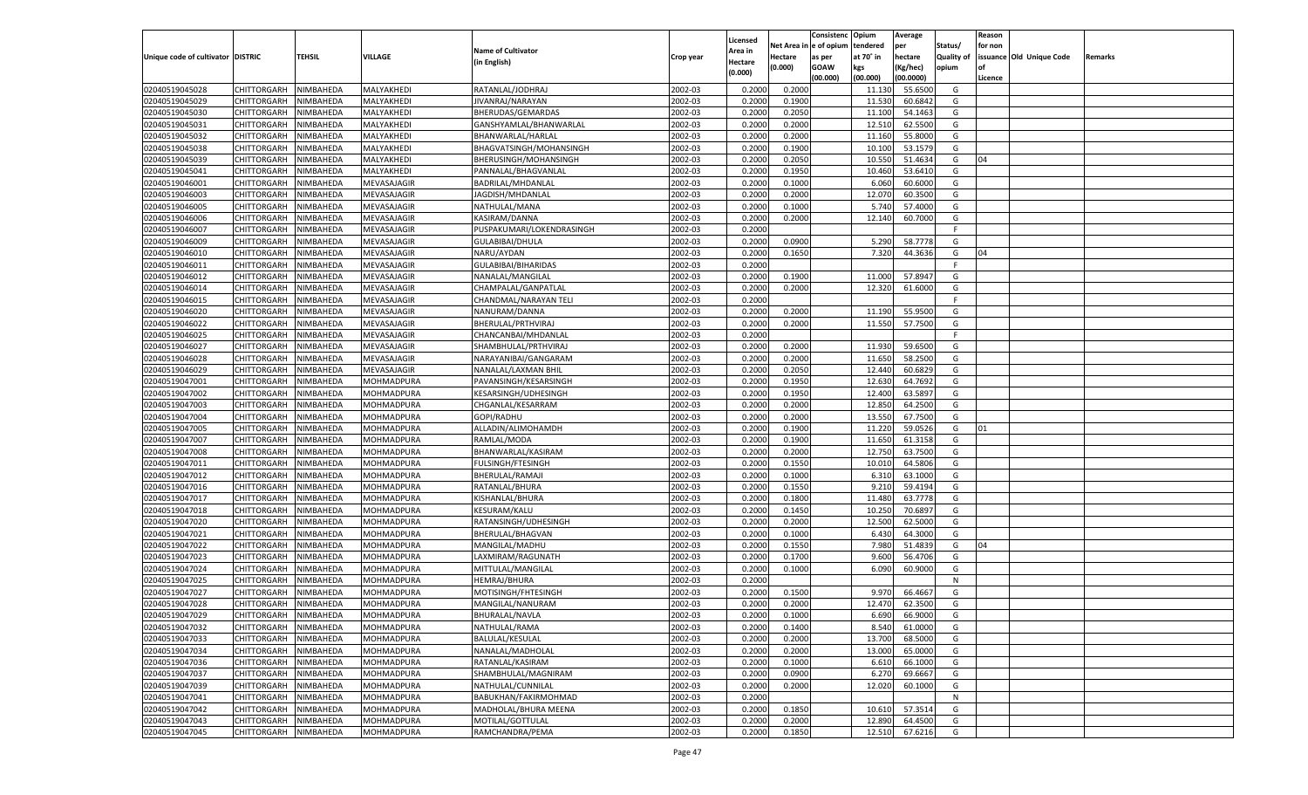|                                   |                       |               |             |                           |           |                           |          | Consistenc  | Opium     | Average   |                   | Reason  |                          |         |
|-----------------------------------|-----------------------|---------------|-------------|---------------------------|-----------|---------------------------|----------|-------------|-----------|-----------|-------------------|---------|--------------------------|---------|
|                                   |                       |               |             | <b>Name of Cultivator</b> |           | Licensed                  | Net Area | e of opium  | tendered  | per       | Status/           | for non |                          |         |
| Unique code of cultivator DISTRIC |                       | <b>TEHSIL</b> | VILLAGE     | (in English)              | Crop year | <b>Area in</b><br>Hectare | Hectare  | as per      | at 70° in | hectare   | <b>Quality of</b> |         | issuance Old Unique Code | Remarks |
|                                   |                       |               |             |                           |           | (0.000)                   | (0.000)  | <b>GOAW</b> | kgs       | (Kg/hec)  | opium             |         |                          |         |
|                                   |                       |               |             |                           |           |                           |          | (00.000)    | (00.000)  | (00.0000) |                   | Licence |                          |         |
| 02040519045028                    | CHITTORGARH           | NIMBAHEDA     | MALYAKHEDI  | RATANLAL/JODHRAJ          | 2002-03   | 0.2000                    | 0.2000   |             | 11.130    | 55.6500   | G                 |         |                          |         |
| 02040519045029                    | CHITTORGARH           | NIMBAHEDA     | MALYAKHEDI  | JIVANRAJ/NARAYAN          | 2002-03   | 0.2000                    | 0.1900   |             | 11.530    | 60.6842   | G                 |         |                          |         |
| 02040519045030                    | CHITTORGARH           | NIMBAHEDA     | MALYAKHEDI  | BHERUDAS/GEMARDAS         | 2002-03   | 0.2000                    | 0.2050   |             | 11.100    | 54.1463   | G                 |         |                          |         |
| 02040519045031                    | CHITTORGARH           | NIMBAHEDA     | MALYAKHEDI  | GANSHYAMLAL/BHANWARLAL    | 2002-03   | 0.2000                    | 0.2000   |             | 12.51     | 62.5500   | G                 |         |                          |         |
| 02040519045032                    | CHITTORGARH           | NIMBAHEDA     | MALYAKHEDI  | BHANWARLAL/HARLAL         | 2002-03   | 0.2000                    | 0.2000   |             | 11.160    | 55.8000   | G                 |         |                          |         |
| 02040519045038                    | CHITTORGARH           | NIMBAHEDA     | MALYAKHEDI  | BHAGVATSINGH/MOHANSINGH   | 2002-03   | 0.2000                    | 0.1900   |             | 10.100    | 53.1579   | G                 |         |                          |         |
| 02040519045039                    | CHITTORGARH           | NIMBAHEDA     | MALYAKHEDI  | BHERUSINGH/MOHANSINGH     | 2002-03   | 0.2000                    | 0.2050   |             | 10.550    | 51.4634   | G                 | 04      |                          |         |
| 02040519045041                    | CHITTORGARH           | NIMBAHEDA     | MALYAKHEDI  | PANNALAL/BHAGVANLAL       | 2002-03   | 0.2000                    | 0.1950   |             | 10.460    | 53.6410   | G                 |         |                          |         |
| 02040519046001                    | CHITTORGARH           | NIMBAHEDA     | MEVASAJAGIR | BADRILAL/MHDANLAL         | 2002-03   | 0.2000                    | 0.1000   |             | 6.060     | 60.6000   | G                 |         |                          |         |
| 02040519046003                    | CHITTORGARH           | NIMBAHEDA     | MEVASAJAGIR | JAGDISH/MHDANLAL          | 2002-03   | 0.2000                    | 0.2000   |             | 12.070    | 60.3500   | G                 |         |                          |         |
| 02040519046005                    | CHITTORGARH           | NIMBAHEDA     | MEVASAJAGIR | NATHULAL/MANA             | 2002-03   | 0.2000                    | 0.1000   |             | 5.740     | 57.4000   | G                 |         |                          |         |
| 02040519046006                    | CHITTORGARH           | NIMBAHEDA     | MEVASAJAGIR | KASIRAM/DANNA             | 2002-03   | 0.2000                    | 0.2000   |             | 12.14     | 60.7000   | G                 |         |                          |         |
| 02040519046007                    | CHITTORGARH           | NIMBAHEDA     | MEVASAJAGIR | PUSPAKUMARI/LOKENDRASINGH | 2002-03   | 0.2000                    |          |             |           |           | F                 |         |                          |         |
| 02040519046009                    | CHITTORGARH           | NIMBAHEDA     | MEVASAJAGIR | GULABIBAI/DHULA           | 2002-03   | 0.2000                    | 0.0900   |             | 5.290     | 58.7778   | G                 |         |                          |         |
| 02040519046010                    | CHITTORGARH           | NIMBAHEDA     | MEVASAJAGIR | NARU/AYDAN                | 2002-03   | 0.2000                    | 0.1650   |             | 7.320     | 44.3636   | G                 | 04      |                          |         |
| 02040519046011                    | CHITTORGARH           | NIMBAHEDA     | MEVASAJAGIR | GULABIBAI/BIHARIDAS       | 2002-03   | 0.2000                    |          |             |           |           | F.                |         |                          |         |
| 02040519046012                    | CHITTORGARH           | NIMBAHEDA     | MEVASAJAGIR | NANALAL/MANGILAL          | 2002-03   | 0.2000                    | 0.1900   |             | 11.000    | 57.8947   | G                 |         |                          |         |
| 02040519046014                    | CHITTORGARH           | NIMBAHEDA     | MEVASAJAGIR | CHAMPALAL/GANPATLAL       | 2002-03   | 0.2000                    | 0.2000   |             | 12.320    | 61.6000   | G                 |         |                          |         |
| 02040519046015                    | CHITTORGARH           | NIMBAHEDA     | MEVASAJAGIR | CHANDMAL/NARAYAN TELI     | 2002-03   | 0.2000                    |          |             |           |           | F.                |         |                          |         |
| 02040519046020                    | CHITTORGARH           | NIMBAHEDA     | MEVASAJAGIR | NANURAM/DANNA             | 2002-03   | 0.2000                    | 0.2000   |             | 11.190    | 55.9500   | G                 |         |                          |         |
| 02040519046022                    | CHITTORGARH           | NIMBAHEDA     | MEVASAJAGIR | BHERULAL/PRTHVIRAJ        | 2002-03   | 0.2000                    | 0.2000   |             | 11.550    | 57.7500   | G                 |         |                          |         |
| 02040519046025                    | CHITTORGARH           | NIMBAHEDA     | MEVASAJAGIR | CHANCANBAI/MHDANLAI       | 2002-03   | 0.2000                    |          |             |           |           | F.                |         |                          |         |
| 02040519046027                    | CHITTORGARH           | NIMBAHEDA     | MEVASAJAGIR | SHAMBHULAL/PRTHVIRAJ      | 2002-03   | 0.2000                    | 0.2000   |             | 11.930    | 59.6500   | G                 |         |                          |         |
| 02040519046028                    | CHITTORGARH           | NIMBAHEDA     | MEVASAJAGIR | NARAYANIBAI/GANGARAM      | 2002-03   | 0.2000                    | 0.2000   |             | 11.650    | 58.2500   | G                 |         |                          |         |
| 02040519046029                    | CHITTORGARH           | NIMBAHEDA     | MEVASAJAGIR | NANALAL/LAXMAN BHIL       | 2002-03   | 0.2000                    | 0.2050   |             | 12.440    | 60.6829   | G                 |         |                          |         |
| 02040519047001                    | CHITTORGARH           | NIMBAHEDA     | MOHMADPURA  | PAVANSINGH/KESARSINGH     | 2002-03   | 0.2000                    | 0.1950   |             | 12.630    | 64.7692   | G                 |         |                          |         |
| 02040519047002                    | CHITTORGARH           | NIMBAHEDA     | MOHMADPURA  | KESARSINGH/UDHESINGH      | 2002-03   | 0.2000                    | 0.1950   |             | 12.400    | 63.5897   | G                 |         |                          |         |
| 02040519047003                    | CHITTORGARH           | NIMBAHEDA     | MOHMADPURA  | CHGANLAL/KESARRAM         | 2002-03   | 0.2000                    | 0.2000   |             | 12.850    | 64.2500   | G                 |         |                          |         |
| 02040519047004                    | CHITTORGARH           | NIMBAHEDA     | MOHMADPURA  | GOPI/RADHU                | 2002-03   | 0.2000                    | 0.2000   |             | 13.550    | 67.7500   | G                 |         |                          |         |
| 02040519047005                    | CHITTORGARH           | NIMBAHEDA     | MOHMADPURA  | ALLADIN/ALIMOHAMDH        | 2002-03   | 0.2000                    | 0.1900   |             | 11.220    | 59.0526   | G                 | 01      |                          |         |
| 02040519047007                    | CHITTORGARH           | NIMBAHEDA     | MOHMADPURA  | RAMLAL/MODA               | 2002-03   | 0.2000                    | 0.1900   |             | 11.650    | 61.3158   | G                 |         |                          |         |
| 02040519047008                    | CHITTORGARH           | NIMBAHEDA     | MOHMADPURA  | BHANWARLAL/KASIRAM        | 2002-03   | 0.2000                    | 0.2000   |             | 12.750    | 63.7500   | G                 |         |                          |         |
| 02040519047011                    | CHITTORGARH           | NIMBAHEDA     | MOHMADPURA  | <b>FULSINGH/FTESINGH</b>  | 2002-03   | 0.2000                    | 0.1550   |             | 10.010    | 64.5806   | G                 |         |                          |         |
| 02040519047012                    | CHITTORGARH           | NIMBAHEDA     | MOHMADPURA  | BHERULAL/RAMAJI           | 2002-03   | 0.2000                    | 0.1000   |             | 6.31      | 63.1000   | G                 |         |                          |         |
| 02040519047016                    |                       | NIMBAHEDA     |             |                           | 2002-03   | 0.2000                    | 0.1550   |             | 9.21      | 59.4194   | G                 |         |                          |         |
| 02040519047017                    | CHITTORGARH           |               | MOHMADPURA  | RATANLAL/BHURA            | 2002-03   |                           |          |             | 11.480    | 63.7778   | G                 |         |                          |         |
|                                   | CHITTORGARH           | NIMBAHEDA     | MOHMADPURA  | KISHANLAL/BHURA           |           | 0.2000                    | 0.1800   |             |           |           |                   |         |                          |         |
| 02040519047018                    | CHITTORGARH           | NIMBAHEDA     | MOHMADPURA  | KESURAM/KALU              | 2002-03   | 0.2000                    | 0.1450   |             | 10.250    | 70.689    | G                 |         |                          |         |
| 02040519047020                    | CHITTORGARH           | NIMBAHEDA     | MOHMADPURA  | RATANSINGH/UDHESINGH      | 2002-03   | 0.2000                    | 0.2000   |             | 12.500    | 62.5000   | G                 |         |                          |         |
| 02040519047021                    | CHITTORGARH           | NIMBAHEDA     | MOHMADPURA  | BHERULAL/BHAGVAN          | 2002-03   | 0.2000                    | 0.1000   |             | 6.43      | 64.3000   | G                 |         |                          |         |
| 02040519047022                    | CHITTORGARH           | NIMBAHEDA     | MOHMADPURA  | MANGILAL/MADHU            | 2002-03   | 0.2000                    | 0.1550   |             | 7.980     | 51.4839   | G                 | 04      |                          |         |
| 02040519047023                    | CHITTORGARH           | NIMBAHEDA     | MOHMADPURA  | LAXMIRAM/RAGUNATH         | 2002-03   | 0.2000                    | 0.1700   |             | 9.600     | 56.4706   | G                 |         |                          |         |
| 02040519047024                    | CHITTORGARH           | NIMBAHEDA     | MOHMADPURA  | MITTULAL/MANGILAL         | 2002-03   | 0.2000                    | 0.1000   |             | 6.090     | 60.9000   | G                 |         |                          |         |
| 02040519047025                    | CHITTORGARH           | NIMBAHEDA     | MOHMADPURA  | <b>HEMRAJ/BHURA</b>       | 2002-03   | 0.2000                    |          |             |           |           | N                 |         |                          |         |
| 02040519047027                    | CHITTORGARH           | NIMBAHEDA     | MOHMADPURA  | MOTISINGH/FHTESINGH       | 2002-03   | 0.2000                    | 0.1500   |             | 9.970     | 66.466    | G                 |         |                          |         |
| 02040519047028                    | CHITTORGARH           | NIMBAHEDA     | MOHMADPURA  | MANGILAL/NANURAM          | 2002-03   | 0.2000                    | 0.2000   |             | 12.470    | 62.3500   | G                 |         |                          |         |
| 02040519047029                    | CHITTORGARH NIMBAHEDA |               | MOHMADPURA  | BHURALAL/NAVLA            | 2002-03   | 0.2000                    | 0.1000   |             | 6.690     | 66.9000   | G                 |         |                          |         |
| 02040519047032                    | <b>CHITTORGARH</b>    | NIMBAHEDA     | MOHMADPURA  | NATHULAL/RAMA             | 2002-03   | 0.2000                    | 0.1400   |             | 8.540     | 61.0000   | G                 |         |                          |         |
| 02040519047033                    | CHITTORGARH           | NIMBAHEDA     | MOHMADPURA  | BALULAL/KESULAL           | 2002-03   | 0.2000                    | 0.2000   |             | 13.700    | 68.5000   | G                 |         |                          |         |
| 02040519047034                    | <b>CHITTORGARH</b>    | NIMBAHEDA     | MOHMADPURA  | NANALAL/MADHOLAL          | 2002-03   | 0.2000                    | 0.2000   |             | 13.000    | 65.0000   | G                 |         |                          |         |
| 02040519047036                    | <b>CHITTORGARH</b>    | NIMBAHEDA     | MOHMADPURA  | RATANLAL/KASIRAM          | 2002-03   | 0.2000                    | 0.1000   |             | 6.610     | 66.1000   | G                 |         |                          |         |
| 02040519047037                    | <b>CHITTORGARH</b>    | NIMBAHEDA     | MOHMADPURA  | SHAMBHULAL/MAGNIRAM       | 2002-03   | 0.2000                    | 0.0900   |             | 6.270     | 69.6667   | G                 |         |                          |         |
| 02040519047039                    | <b>CHITTORGARH</b>    | NIMBAHEDA     | MOHMADPURA  | NATHULAL/CUNNILAL         | 2002-03   | 0.2000                    | 0.2000   |             | 12.020    | 60.1000   | G                 |         |                          |         |
| 02040519047041                    | <b>CHITTORGARH</b>    | NIMBAHEDA     | MOHMADPURA  | BABUKHAN/FAKIRMOHMAD      | 2002-03   | 0.2000                    |          |             |           |           | N                 |         |                          |         |
| 02040519047042                    | <b>CHITTORGARH</b>    | NIMBAHEDA     | MOHMADPURA  | MADHOLAL/BHURA MEENA      | 2002-03   | 0.2000                    | 0.1850   |             | 10.610    | 57.3514   | G                 |         |                          |         |
| 02040519047043                    | <b>CHITTORGARH</b>    | NIMBAHEDA     | MOHMADPURA  | MOTILAL/GOTTULAL          | 2002-03   | 0.2000                    | 0.2000   |             | 12.890    | 64.4500   | G                 |         |                          |         |
| 02040519047045                    | <b>CHITTORGARH</b>    | NIMBAHEDA     | MOHMADPURA  | RAMCHANDRA/PEMA           | 2002-03   | 0.2000                    | 0.1850   |             | 12.510    | 67.6216   | G                 |         |                          |         |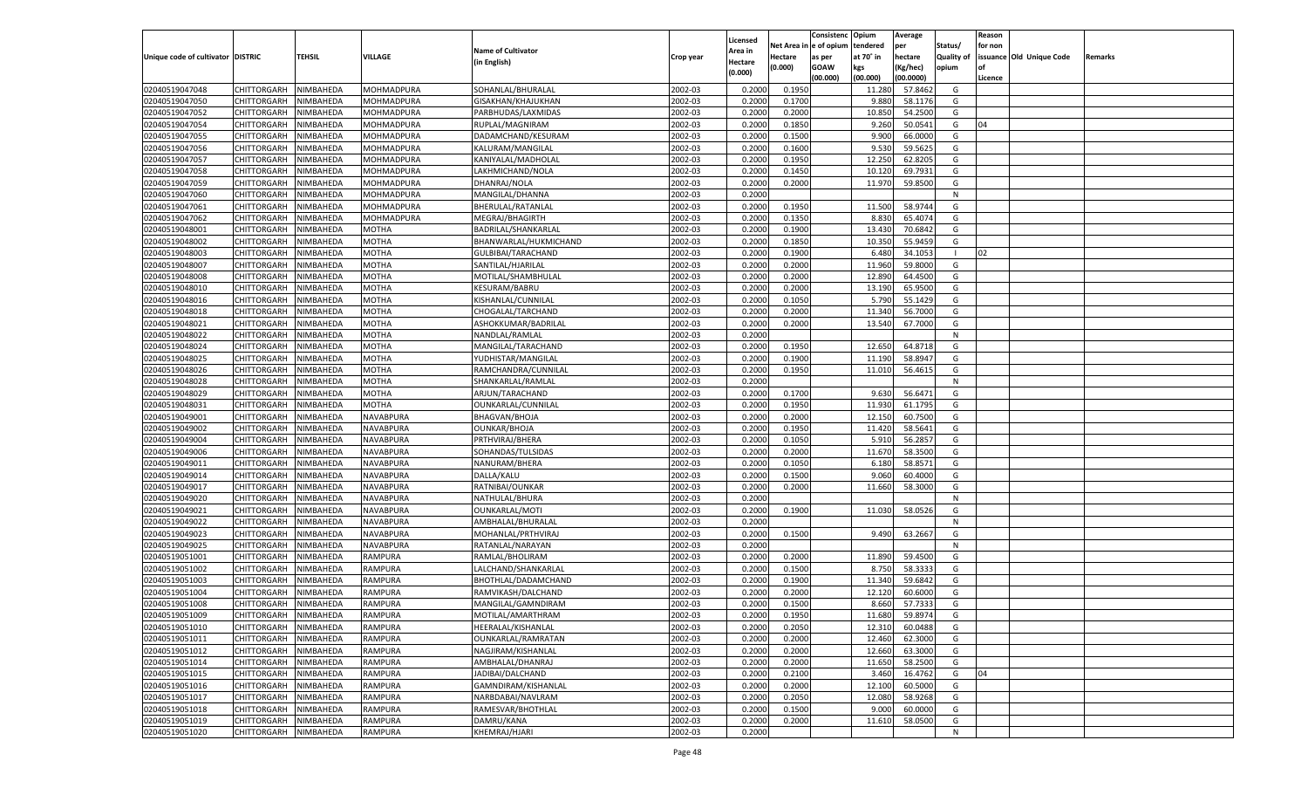|                                   |                       |               |                |                           |           |                           |          | Consistenc  | Opium     | Average   |                   | Reason  |                          |         |
|-----------------------------------|-----------------------|---------------|----------------|---------------------------|-----------|---------------------------|----------|-------------|-----------|-----------|-------------------|---------|--------------------------|---------|
|                                   |                       |               |                | <b>Name of Cultivator</b> |           | Licensed                  | Net Area | e of opium  | tendered  | per       | Status/           | for non |                          |         |
| Unique code of cultivator DISTRIC |                       | <b>TEHSIL</b> | VILLAGE        | (in English)              | Crop year | <b>Area in</b><br>Hectare | Hectare  | as per      | at 70° in | hectare   | <b>Quality of</b> |         | issuance Old Unique Code | Remarks |
|                                   |                       |               |                |                           |           | (0.000)                   | (0.000)  | <b>GOAW</b> | kgs       | (Kg/hec)  | opium             |         |                          |         |
|                                   |                       |               |                |                           |           |                           |          | (00.000)    | (00.000)  | (00.0000) |                   | Licence |                          |         |
| 02040519047048                    | CHITTORGARH           | NIMBAHEDA     | MOHMADPURA     | SOHANLAL/BHURALAL         | 2002-03   | 0.2000                    | 0.1950   |             | 11.280    | 57.8462   | G                 |         |                          |         |
| 02040519047050                    | CHITTORGARH           | NIMBAHEDA     | MOHMADPURA     | GISAKHAN/KHAJUKHAN        | 2002-03   | 0.2000                    | 0.1700   |             | 9.880     | 58.1176   | G                 |         |                          |         |
| 02040519047052                    | CHITTORGARH           | NIMBAHEDA     | MOHMADPURA     | PARBHUDAS/LAXMIDAS        | 2002-03   | 0.2000                    | 0.2000   |             | 10.850    | 54.2500   | G                 |         |                          |         |
| 02040519047054                    | CHITTORGARH           | NIMBAHEDA     | MOHMADPURA     | RUPLAL/MAGNIRAM           | 2002-03   | 0.2000                    | 0.1850   |             | 9.260     | 50.0541   | G                 | 04      |                          |         |
| 02040519047055                    | CHITTORGARH           | NIMBAHEDA     | MOHMADPURA     | DADAMCHAND/KESURAM        | 2002-03   | 0.2000                    | 0.1500   |             | 9.900     | 66.0000   | G                 |         |                          |         |
| 02040519047056                    | CHITTORGARH           | NIMBAHEDA     | MOHMADPURA     | KALURAM/MANGILAL          | 2002-03   | 0.2000                    | 0.1600   |             | 9.530     | 59.5625   | G                 |         |                          |         |
| 02040519047057                    | CHITTORGARH           | NIMBAHEDA     | MOHMADPURA     | KANIYALAL/MADHOLAL        | 2002-03   | 0.2000                    | 0.1950   |             | 12.250    | 62.8205   | G                 |         |                          |         |
| 02040519047058                    | CHITTORGARH           | NIMBAHEDA     | MOHMADPURA     | LAKHMICHAND/NOLA          | 2002-03   | 0.2000                    | 0.1450   |             | 10.120    | 69.7931   | G                 |         |                          |         |
| 02040519047059                    | CHITTORGARH           | NIMBAHEDA     | MOHMADPURA     | DHANRAJ/NOLA              | 2002-03   | 0.2000                    | 0.2000   |             | 11.970    | 59.8500   | G                 |         |                          |         |
| 02040519047060                    | CHITTORGARH           | NIMBAHEDA     | MOHMADPURA     | MANGILAL/DHANNA           | 2002-03   | 0.2000                    |          |             |           |           | N                 |         |                          |         |
| 02040519047061                    | CHITTORGARH           | NIMBAHEDA     | MOHMADPURA     | BHERULAL/RATANLAL         | 2002-03   | 0.2000                    | 0.1950   |             | 11.500    | 58.974    | G                 |         |                          |         |
| 02040519047062                    | CHITTORGARH           | NIMBAHEDA     | MOHMADPURA     | MEGRAJ/BHAGIRTH           | 2002-03   | 0.2000                    | 0.1350   |             | 8.830     | 65.407    | G                 |         |                          |         |
| 02040519048001                    | CHITTORGARH           | NIMBAHEDA     | MOTHA          | BADRILAL/SHANKARLAL       | 2002-03   | 0.2000                    | 0.1900   |             | 13.430    | 70.684    | G                 |         |                          |         |
| 02040519048002                    | CHITTORGARH           | NIMBAHEDA     | МОТНА          | BHANWARLAL/HUKMICHAND     | 2002-03   | 0.2000                    | 0.1850   |             | 10.35     | 55.9459   | G                 |         |                          |         |
| 02040519048003                    | CHITTORGARH           | NIMBAHEDA     | MOTHA          | GULBIBAI/TARACHAND        | 2002-03   | 0.2000                    | 0.1900   |             | 6.480     | 34.105    |                   | 02      |                          |         |
| 02040519048007                    | CHITTORGARH           | NIMBAHEDA     | MOTHA          | SANTILAL/HJARILAL         | 2002-03   | 0.2000                    | 0.2000   |             | 11.960    | 59.8000   | G                 |         |                          |         |
| 02040519048008                    | CHITTORGARH           | NIMBAHEDA     | MOTHA          | MOTILAL/SHAMBHULAL        | 2002-03   | 0.2000                    | 0.2000   |             | 12.890    | 64.4500   | G                 |         |                          |         |
| 02040519048010                    | CHITTORGARH           | NIMBAHEDA     | МОТНА          | KESURAM/BABRU             | 2002-03   | 0.2000                    | 0.2000   |             | 13.190    | 65.9500   | G                 |         |                          |         |
| 02040519048016                    | CHITTORGARH           | NIMBAHEDA     | MOTHA          | KISHANLAL/CUNNILAL        | 2002-03   | 0.2000                    | 0.1050   |             | 5.790     | 55.1429   | G                 |         |                          |         |
| 02040519048018                    | CHITTORGARH           | NIMBAHEDA     | MOTHA          | CHOGALAL/TARCHAND         | 2002-03   | 0.2000                    | 0.2000   |             | 11.34     | 56.7000   | G                 |         |                          |         |
| 02040519048021                    | CHITTORGARH           | NIMBAHEDA     | MOTHA          | ASHOKKUMAR/BADRILAL       | 2002-03   | 0.2000                    | 0.2000   |             | 13.540    | 67.7000   | G                 |         |                          |         |
| 02040519048022                    | CHITTORGARH           | NIMBAHEDA     | MOTHA          | NANDLAL/RAMLAL            | 2002-03   | 0.2000                    |          |             |           |           | N                 |         |                          |         |
| 02040519048024                    | CHITTORGARH           | NIMBAHEDA     | MOTHA          | MANGILAL/TARACHAND        | 2002-03   | 0.2000                    | 0.1950   |             | 12.650    | 64.8718   | G                 |         |                          |         |
| 02040519048025                    | CHITTORGARH           | NIMBAHEDA     | MOTHA          | YUDHISTAR/MANGILAL        | 2002-03   | 0.2000                    | 0.1900   |             | 11.190    | 58.8947   | G                 |         |                          |         |
| 02040519048026                    | CHITTORGARH           | NIMBAHEDA     | MOTHA          | RAMCHANDRA/CUNNILAL       | 2002-03   | 0.2000                    | 0.1950   |             | 11.010    | 56.4615   | G                 |         |                          |         |
| 02040519048028                    | CHITTORGARH           | NIMBAHEDA     | MOTHA          | SHANKARLAL/RAMLAL         | 2002-03   | 0.2000                    |          |             |           |           | N                 |         |                          |         |
| 02040519048029                    | CHITTORGARH           | NIMBAHEDA     | MOTHA          | ARJUN/TARACHAND           | 2002-03   | 0.2000                    | 0.1700   |             | 9.630     | 56.6471   | G                 |         |                          |         |
| 02040519048031                    | CHITTORGARH           | NIMBAHEDA     | MOTHA          | OUNKARLAL/CUNNILAL        | 2002-03   | 0.2000                    | 0.1950   |             | 11.930    | 61.1795   | G                 |         |                          |         |
| 02040519049001                    | CHITTORGARH           | NIMBAHEDA     | NAVABPURA      | BHAGVAN/BHOJA             | 2002-03   | 0.2000                    | 0.2000   |             | 12.150    | 60.7500   | G                 |         |                          |         |
| 02040519049002                    | CHITTORGARH           | NIMBAHEDA     | NAVABPURA      | OUNKAR/BHOJA              | 2002-03   | 0.2000                    | 0.1950   |             | 11.420    | 58.5641   | G                 |         |                          |         |
| 02040519049004                    | CHITTORGARH           | NIMBAHEDA     | NAVABPURA      | PRTHVIRAJ/BHERA           | 2002-03   | 0.2000                    | 0.1050   |             | 5.91      | 56.285    | G                 |         |                          |         |
| 02040519049006                    | CHITTORGARH           | NIMBAHEDA     | NAVABPURA      | SOHANDAS/TULSIDAS         | 2002-03   | 0.2000                    | 0.2000   |             | 11.670    | 58.3500   | G                 |         |                          |         |
| 02040519049011                    | CHITTORGARH           | NIMBAHEDA     | NAVABPURA      | NANURAM/BHERA             | 2002-03   | 0.2000                    | 0.1050   |             | 6.18      | 58.8571   | G                 |         |                          |         |
| 02040519049014                    | CHITTORGARH           | NIMBAHEDA     | NAVABPURA      | DALLA/KALU                | 2002-03   | 0.2000                    | 0.1500   |             | 9.060     | 60.4000   | G                 |         |                          |         |
| 02040519049017                    |                       | NIMBAHEDA     | NAVABPURA      |                           | 2002-03   | 0.2000                    | 0.2000   |             |           | 58.3000   | G                 |         |                          |         |
| 02040519049020                    | CHITTORGARH           |               | NAVABPURA      | RATNIBAI/OUNKAR           | 2002-03   |                           |          |             | 11.660    |           | N                 |         |                          |         |
|                                   | CHITTORGARH           | NIMBAHEDA     |                | NATHULAL/BHURA            |           | 0.2000                    |          |             |           |           |                   |         |                          |         |
| 02040519049021                    | CHITTORGARH           | NIMBAHEDA     | NAVABPURA      | <b>OUNKARLAL/MOTI</b>     | 2002-03   | 0.2000                    | 0.1900   |             | 11.030    | 58.0526   | G                 |         |                          |         |
| 02040519049022                    | CHITTORGARH           | NIMBAHEDA     | NAVABPURA      | AMBHALAL/BHURALAL         | 2002-03   | 0.2000                    |          |             |           |           | N                 |         |                          |         |
| 02040519049023                    | CHITTORGARH           | NIMBAHEDA     | NAVABPURA      | MOHANLAL/PRTHVIRAJ        | 2002-03   | 0.2000                    | 0.1500   |             | 9.490     | 63.2667   | G                 |         |                          |         |
| 02040519049025                    | CHITTORGARH           | NIMBAHEDA     | NAVABPURA      | RATANLAL/NARAYAN          | 2002-03   | 0.2000                    |          |             |           |           | N                 |         |                          |         |
| 02040519051001                    | CHITTORGARH           | NIMBAHEDA     | RAMPURA        | RAMLAL/BHOLIRAM           | 2002-03   | 0.2000                    | 0.2000   |             | 11.890    | 59.4500   | G                 |         |                          |         |
| 02040519051002                    | CHITTORGARH           | NIMBAHEDA     | RAMPURA        | LALCHAND/SHANKARLAL       | 2002-03   | 0.2000                    | 0.1500   |             | 8.750     | 58.3333   | G                 |         |                          |         |
| 02040519051003                    | CHITTORGARH           | NIMBAHEDA     | RAMPURA        | BHOTHLAL/DADAMCHAND       | 2002-03   | 0.2000                    | 0.1900   |             | 11.34     | 59.6842   | G                 |         |                          |         |
| 02040519051004                    | CHITTORGARH           | NIMBAHEDA     | RAMPURA        | RAMVIKASH/DALCHAND        | 2002-03   | 0.2000                    | 0.2000   |             | 12.120    | 60.600    | G                 |         |                          |         |
| 02040519051008                    | CHITTORGARH           | NIMBAHEDA     | RAMPURA        | MANGILAL/GAMNDIRAM        | 2002-03   | 0.2000                    | 0.1500   |             | 8.660     | 57.7333   | G                 |         |                          |         |
| 02040519051009                    | CHITTORGARH NIMBAHEDA |               | <b>RAMPURA</b> | MOTILAL/AMARTHRAM         | 2002-03   | 0.2000                    | 0.1950   |             | 11.680    | 59.8974   | G                 |         |                          |         |
| 02040519051010                    | <b>CHITTORGARH</b>    | NIMBAHEDA     | <b>RAMPURA</b> | HEERALAL/KISHANLAL        | 2002-03   | 0.2000                    | 0.2050   |             | 12.310    | 60.0488   | G                 |         |                          |         |
| 02040519051011                    | CHITTORGARH           | NIMBAHEDA     | RAMPURA        | OUNKARLAL/RAMRATAN        | 2002-03   | 0.2000                    | 0.2000   |             | 12.460    | 62.3000   | G                 |         |                          |         |
| 02040519051012                    | <b>CHITTORGARH</b>    | NIMBAHEDA     | RAMPURA        | NAGJIRAM/KISHANLAL        | 2002-03   | 0.2000                    | 0.2000   |             | 12.660    | 63.3000   | G                 |         |                          |         |
| 02040519051014                    | <b>CHITTORGARH</b>    | NIMBAHEDA     | RAMPURA        | AMBHALAL/DHANRAJ          | 2002-03   | 0.2000                    | 0.2000   |             | 11.650    | 58.2500   | G                 |         |                          |         |
| 02040519051015                    | <b>CHITTORGARH</b>    | NIMBAHEDA     | <b>RAMPURA</b> | JADIBAI/DALCHAND          | 2002-03   | 0.2000                    | 0.2100   |             | 3.460     | 16.4762   | G                 | 04      |                          |         |
| 02040519051016                    | <b>CHITTORGARH</b>    | NIMBAHEDA     | <b>RAMPURA</b> | GAMNDIRAM/KISHANLAL       | 2002-03   | 0.2000                    | 0.2000   |             | 12.100    | 60.5000   | G                 |         |                          |         |
| 02040519051017                    | <b>CHITTORGARH</b>    | NIMBAHEDA     | <b>RAMPURA</b> | NARBDABAI/NAVLRAM         | 2002-03   | 0.2000                    | 0.2050   |             | 12.080    | 58.9268   | G                 |         |                          |         |
| 02040519051018                    | <b>CHITTORGARH</b>    | NIMBAHEDA     | RAMPURA        | RAMESVAR/BHOTHLAL         | 2002-03   | 0.2000                    | 0.1500   |             | 9.000     | 60.0000   | G                 |         |                          |         |
| 02040519051019                    | <b>CHITTORGARH</b>    | NIMBAHEDA     | RAMPURA        | DAMRU/KANA                | 2002-03   | 0.2000                    | 0.2000   |             | 11.610    | 58.0500   | G                 |         |                          |         |
| 02040519051020                    | CHITTORGARH           | NIMBAHEDA     | <b>RAMPURA</b> | KHEMRAJ/HJARI             | 2002-03   | 0.2000                    |          |             |           |           | N                 |         |                          |         |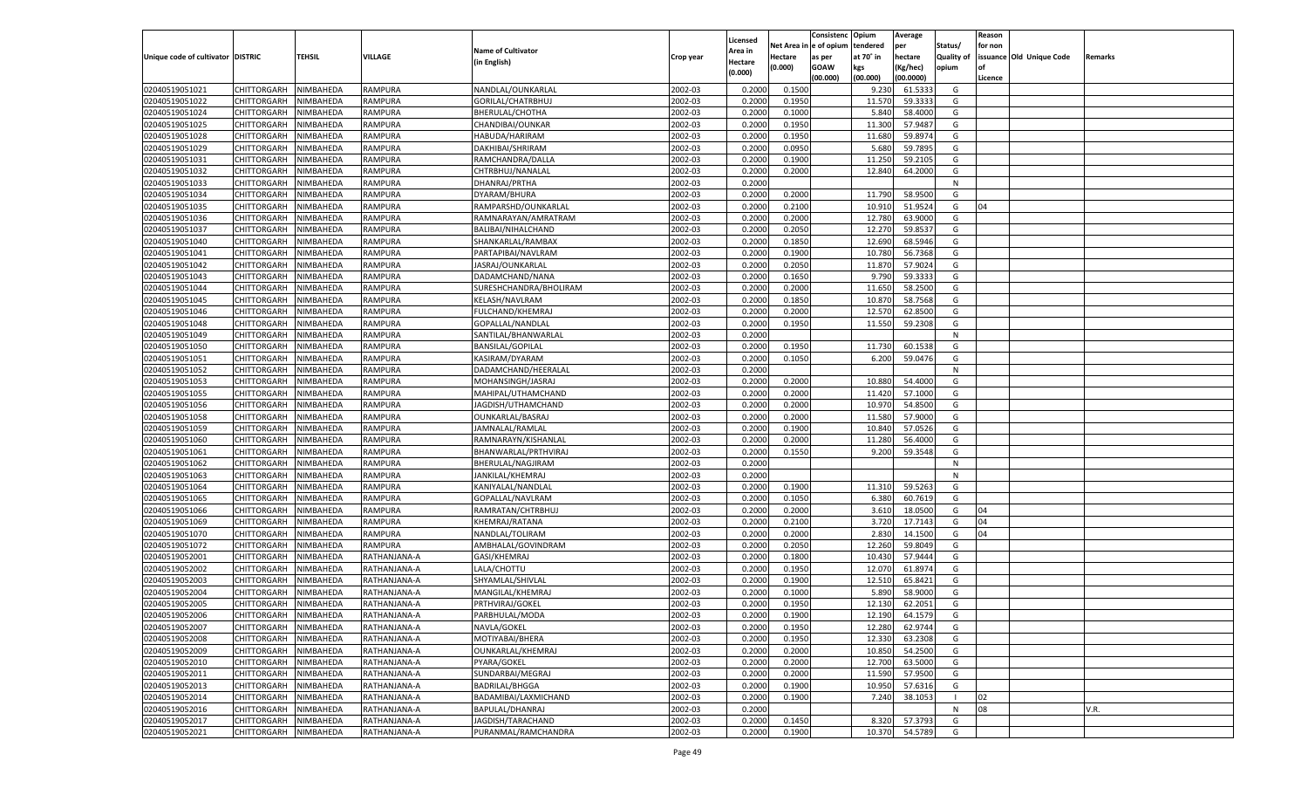|                                   |                                      |               |                |                           |           |                           |          | Consistenc  | Opium     | Average   |                   | Reason  |                          |         |
|-----------------------------------|--------------------------------------|---------------|----------------|---------------------------|-----------|---------------------------|----------|-------------|-----------|-----------|-------------------|---------|--------------------------|---------|
|                                   |                                      |               |                | <b>Name of Cultivator</b> |           | Licensed                  | Net Area | e of opium  | tendered  | per       | Status/           | for non |                          |         |
| Unique code of cultivator DISTRIC |                                      | <b>TEHSIL</b> | VILLAGE        | (in English)              | Crop year | <b>Area in</b><br>Hectare | Hectare  | as per      | at 70° in | hectare   | <b>Quality of</b> |         | issuance Old Unique Code | Remarks |
|                                   |                                      |               |                |                           |           | (0.000)                   | (0.000)  | <b>GOAW</b> | kgs       | (Kg/hec)  | opium             |         |                          |         |
|                                   |                                      |               |                |                           |           |                           |          | (00.000)    | (00.000)  | (00.0000) |                   | Licence |                          |         |
| 02040519051021                    | CHITTORGARH                          | NIMBAHEDA     | <b>RAMPURA</b> | NANDLAL/OUNKARLAI         | 2002-03   | 0.2000                    | 0.1500   |             | 9.230     | 61.533    | G                 |         |                          |         |
| 02040519051022                    | CHITTORGARH                          | NIMBAHEDA     | RAMPURA        | GORILAL/CHATRBHUJ         | 2002-03   | 0.2000                    | 0.1950   |             | 11.570    | 59.3333   | G                 |         |                          |         |
| 02040519051024                    | CHITTORGARH                          | NIMBAHEDA     | RAMPURA        | BHERULAL/CHOTHA           | 2002-03   | 0.2000                    | 0.1000   |             | 5.840     | 58.4000   | G                 |         |                          |         |
| 02040519051025                    | CHITTORGARH                          | NIMBAHEDA     | RAMPURA        | CHANDIBAI/OUNKAR          | 2002-03   | 0.2000                    | 0.1950   |             | 11.300    | 57.9487   | G                 |         |                          |         |
| 02040519051028                    | CHITTORGARH                          | NIMBAHEDA     | RAMPURA        | HABUDA/HARIRAM            | 2002-03   | 0.2000                    | 0.1950   |             | 11.680    | 59.8974   | G                 |         |                          |         |
| 02040519051029                    | CHITTORGARH                          | NIMBAHEDA     | RAMPURA        | DAKHIBAI/SHRIRAM          | 2002-03   | 0.2000                    | 0.0950   |             | 5.680     | 59.789    | G                 |         |                          |         |
| 02040519051031                    | CHITTORGARH                          | NIMBAHEDA     | RAMPURA        | RAMCHANDRA/DALLA          | 2002-03   | 0.2000                    | 0.1900   |             | 11.250    | 59.2105   | G                 |         |                          |         |
| 02040519051032                    | CHITTORGARH                          | NIMBAHEDA     | RAMPURA        | CHTRBHUJ/NANALAL          | 2002-03   | 0.2000                    | 0.2000   |             | 12.840    | 64.2000   | G                 |         |                          |         |
| 02040519051033                    | CHITTORGARH                          | NIMBAHEDA     | RAMPURA        | DHANRAJ/PRTHA             | 2002-03   | 0.2000                    |          |             |           |           | N                 |         |                          |         |
| 02040519051034                    | CHITTORGARH                          | NIMBAHEDA     | RAMPURA        | DYARAM/BHURA              | 2002-03   | 0.2000                    | 0.2000   |             | 11.790    | 58.9500   | G                 |         |                          |         |
| 02040519051035                    | CHITTORGARH                          | NIMBAHEDA     | RAMPURA        | RAMPARSHD/OUNKARLAL       | 2002-03   | 0.2000                    | 0.2100   |             | 10.91     | 51.9524   | G                 | 04      |                          |         |
| 02040519051036                    | CHITTORGARH                          | NIMBAHEDA     | RAMPURA        | RAMNARAYAN/AMRATRAM       | 2002-03   | 0.2000                    | 0.2000   |             | 12.780    | 63.9000   | G                 |         |                          |         |
| 02040519051037                    | CHITTORGARH                          | NIMBAHEDA     | RAMPURA        | BALIBAI/NIHALCHAND        | 2002-03   | 0.2000                    | 0.2050   |             | 12.270    | 59.853    | G                 |         |                          |         |
| 02040519051040                    | CHITTORGARH                          | NIMBAHEDA     | RAMPURA        | SHANKARLAL/RAMBAX         | 2002-03   | 0.2000                    | 0.1850   |             | 12.690    | 68.5946   | G                 |         |                          |         |
| 02040519051041                    | CHITTORGARH                          | NIMBAHEDA     | RAMPURA        | PARTAPIBAI/NAVLRAM        | 2002-03   | 0.2000                    | 0.1900   |             | 10.780    | 56.7368   | G                 |         |                          |         |
| 02040519051042                    | CHITTORGARH                          | NIMBAHEDA     | RAMPURA        | JASRAJ/OUNKARLAL          | 2002-03   | 0.2000                    | 0.2050   |             | 11.870    | 57.9024   | G                 |         |                          |         |
| 02040519051043                    | CHITTORGARH                          | NIMBAHEDA     | RAMPURA        | DADAMCHAND/NANA           | 2002-03   | 0.2000                    | 0.1650   |             | 9.790     | 59.3333   | G                 |         |                          |         |
| 02040519051044                    | CHITTORGARH                          | NIMBAHEDA     | RAMPURA        | SURESHCHANDRA/BHOLIRAM    | 2002-03   | 0.2000                    | 0.2000   |             | 11.650    | 58.2500   | G                 |         |                          |         |
| 02040519051045                    | CHITTORGARH                          | NIMBAHEDA     | RAMPURA        | KELASH/NAVLRAM            | 2002-03   | 0.2000                    | 0.1850   |             | 10.870    | 58.7568   | G                 |         |                          |         |
| 02040519051046                    | CHITTORGARH                          | NIMBAHEDA     | RAMPURA        | FULCHAND/KHEMRAJ          | 2002-03   | 0.2000                    | 0.2000   |             | 12.570    | 62.8500   | G                 |         |                          |         |
| 02040519051048                    | CHITTORGARH                          | NIMBAHEDA     | RAMPURA        | GOPALLAL/NANDLAL          | 2002-03   | 0.2000                    | 0.1950   |             | 11.550    | 59.2308   | G                 |         |                          |         |
| 02040519051049                    | CHITTORGARH                          | NIMBAHEDA     | RAMPURA        | SANTILAL/BHANWARLAL       | 2002-03   | 0.2000                    |          |             |           |           | N                 |         |                          |         |
| 02040519051050                    | CHITTORGARH                          | NIMBAHEDA     | RAMPURA        | <b>BANSILAL/GOPILAI</b>   | 2002-03   | 0.2000                    | 0.1950   |             | 11.730    | 60.1538   | G                 |         |                          |         |
| 02040519051051                    | CHITTORGARH                          | NIMBAHEDA     | RAMPURA        | KASIRAM/DYARAM            | 2002-03   | 0.2000                    | 0.1050   |             | 6.200     | 59.0476   | G                 |         |                          |         |
| 02040519051052                    | CHITTORGARH                          | NIMBAHEDA     | RAMPURA        | DADAMCHAND/HEERALAL       | 2002-03   | 0.2000                    |          |             |           |           | N                 |         |                          |         |
| 02040519051053                    | CHITTORGARH                          | NIMBAHEDA     | RAMPURA        | MOHANSINGH/JASRAJ         | 2002-03   | 0.2000                    | 0.2000   |             | 10.880    | 54.4000   | G                 |         |                          |         |
| 02040519051055                    | CHITTORGARH                          | NIMBAHEDA     | RAMPURA        | MAHIPAL/UTHAMCHAND        | 2002-03   | 0.2000                    | 0.2000   |             | 11.420    | 57.1000   | G                 |         |                          |         |
| 02040519051056                    | CHITTORGARH                          | NIMBAHEDA     | RAMPURA        | JAGDISH/UTHAMCHAND        | 2002-03   | 0.2000                    | 0.2000   |             | 10.970    | 54.8500   | G                 |         |                          |         |
| 02040519051058                    | CHITTORGARH                          | NIMBAHEDA     | RAMPURA        | <b>OUNKARLAL/BASRAJ</b>   | 2002-03   | 0.2000                    | 0.2000   |             | 11.580    | 57.9000   | G                 |         |                          |         |
| 02040519051059                    | CHITTORGARH                          | NIMBAHEDA     | RAMPURA        | JAMNALAL/RAMLAL           | 2002-03   | 0.2000                    | 0.1900   |             | 10.840    | 57.0526   | G                 |         |                          |         |
| 02040519051060                    | CHITTORGARH                          | NIMBAHEDA     | RAMPURA        | RAMNARAYN/KISHANLAL       | 2002-03   | 0.2000                    | 0.2000   |             | 11.280    | 56.4000   | G                 |         |                          |         |
| 02040519051061                    | CHITTORGARH                          | NIMBAHEDA     | RAMPURA        | BHANWARLAL/PRTHVIRAJ      | 2002-03   | 0.2000                    | 0.1550   |             | 9.200     | 59.3548   | G                 |         |                          |         |
| 02040519051062                    | CHITTORGARH                          | NIMBAHEDA     | RAMPURA        | BHERULAL/NAGJIRAM         | 2002-03   | 0.2000                    |          |             |           |           | N                 |         |                          |         |
| 02040519051063                    | CHITTORGARH                          | NIMBAHEDA     | RAMPURA        | JANKILAL/KHEMRAJ          | 2002-03   | 0.2000                    |          |             |           |           | N                 |         |                          |         |
| 02040519051064                    | CHITTORGARH                          | NIMBAHEDA     | RAMPURA        | KANIYALAL/NANDLAI         | 2002-03   | 0.2000                    | 0.1900   |             | 11.310    | 59.5263   | G                 |         |                          |         |
| 02040519051065                    | CHITTORGARH                          | NIMBAHEDA     | RAMPURA        | GOPALLAL/NAVLRAM          | 2002-03   | 0.2000                    | 0.1050   |             | 6.380     | 60.7619   | G                 |         |                          |         |
| 02040519051066                    | CHITTORGARH                          | NIMBAHEDA     | RAMPURA        | RAMRATAN/CHTRBHUJ         | 2002-03   | 0.2000                    | 0.2000   |             | 3.610     | 18.0500   | G                 | 04      |                          |         |
| 02040519051069                    | CHITTORGARH                          | NIMBAHEDA     | RAMPURA        | KHEMRAJ/RATANA            | 2002-03   | 0.2000                    | 0.2100   |             | 3.720     | 17.7143   | G                 | 04      |                          |         |
| 02040519051070                    | CHITTORGARH                          | NIMBAHEDA     | <b>RAMPURA</b> | NANDLAL/TOLIRAM           | 2002-03   | 0.2000                    | 0.2000   |             | 2.830     | 14.1500   | G                 | 04      |                          |         |
| 02040519051072                    | CHITTORGARH                          | NIMBAHEDA     | RAMPURA        | AMBHALAL/GOVINDRAM        | 2002-03   | 0.2000                    | 0.2050   |             | 12.260    | 59.8049   | G                 |         |                          |         |
| 02040519052001                    | CHITTORGARH                          | NIMBAHEDA     | RATHANJANA-A   | GASI/KHEMRAJ              | 2002-03   | 0.2000                    | 0.1800   |             | 10.430    | 57.9444   | G                 |         |                          |         |
| 02040519052002                    | CHITTORGARH                          | NIMBAHEDA     | RATHANJANA-A   | LALA/CHOTTU               | 2002-03   | 0.2000                    | 0.1950   |             | 12.070    | 61.897    | G                 |         |                          |         |
| 02040519052003                    | CHITTORGARH                          | NIMBAHEDA     | RATHANJANA-A   | SHYAMLAL/SHIVLAL          | 2002-03   | 0.2000                    | 0.1900   |             | 12.510    | 65.8421   | G                 |         |                          |         |
| 02040519052004                    | CHITTORGARH                          | NIMBAHEDA     | RATHANJANA-A   | MANGILAL/KHEMRAJ          | 2002-03   | 0.2000                    | 0.1000   |             | 5.890     | 58.9000   | G                 |         |                          |         |
| 02040519052005                    |                                      | NIMBAHEDA     |                |                           | 2002-03   | 0.2000                    | 0.1950   |             | 12.130    | 62.2051   | G                 |         |                          |         |
|                                   | CHITTORGARH<br>CHITTORGARH NIMBAHEDA |               | RATHANJANA-A   | PRTHVIRAJ/GOKEL           |           |                           |          |             |           |           |                   |         |                          |         |
| 02040519052006                    |                                      | NIMBAHEDA     | RATHANJANA-A   | PARBHULAL/MODA            | 2002-03   | 0.2000                    | 0.1900   |             | 12.190    | 64.1579   | G                 |         |                          |         |
| 02040519052007                    | CHITTORGARH                          |               | RATHANJANA-A   | NAVLA/GOKEL               | 2002-03   | 0.2000                    | 0.1950   |             | 12.280    | 62.9744   | G                 |         |                          |         |
| 02040519052008                    | CHITTORGARH                          | NIMBAHEDA     | RATHANJANA-A   | MOTIYABAI/BHERA           | 2002-03   | 0.2000                    | 0.1950   |             | 12.330    | 63.2308   | G                 |         |                          |         |
| 02040519052009                    | <b>CHITTORGARH</b>                   | NIMBAHEDA     | RATHANJANA-A   | OUNKARLAL/KHEMRAJ         | 2002-03   | 0.2000                    | 0.2000   |             | 10.850    | 54.2500   | G                 |         |                          |         |
| 02040519052010                    | <b>CHITTORGARH</b>                   | NIMBAHEDA     | RATHANJANA-A   | PYARA/GOKEL               | 2002-03   | 0.2000                    | 0.2000   |             | 12.700    | 63.5000   | G                 |         |                          |         |
| 02040519052011                    | <b>CHITTORGARH</b>                   | NIMBAHEDA     | RATHANJANA-A   | SUNDARBAI/MEGRAJ          | 2002-03   | 0.2000                    | 0.2000   |             | 11.590    | 57.9500   | G                 |         |                          |         |
| 02040519052013                    | <b>CHITTORGARH</b>                   | NIMBAHEDA     | RATHANJANA-A   | <b>BADRILAL/BHGGA</b>     | 2002-03   | 0.2000                    | 0.1900   |             | 10.950    | 57.6316   | G                 |         |                          |         |
| 02040519052014                    | <b>CHITTORGARH</b>                   | NIMBAHEDA     | RATHANJANA-A   | BADAMIBAI/LAXMICHAND      | 2002-03   | 0.2000                    | 0.1900   |             | 7.240     | 38.1053   |                   | 02      |                          |         |
| 02040519052016                    | <b>CHITTORGARH</b>                   | NIMBAHEDA     | RATHANJANA-A   | BAPULAL/DHANRAJ           | 2002-03   | 0.2000                    |          |             |           |           | N                 | 08      |                          | V.R.    |
| 02040519052017                    | <b>CHITTORGARH</b>                   | NIMBAHEDA     | RATHANJANA-A   | JAGDISH/TARACHAND         | 2002-03   | 0.2000                    | 0.1450   |             | 8.320     | 57.3793   | G                 |         |                          |         |
| 02040519052021                    | <b>CHITTORGARH</b>                   | NIMBAHEDA     | RATHANJANA-A   | PURANMAL/RAMCHANDRA       | 2002-03   | 0.2000                    | 0.1900   |             | 10.370    | 54.5789   | G                 |         |                          |         |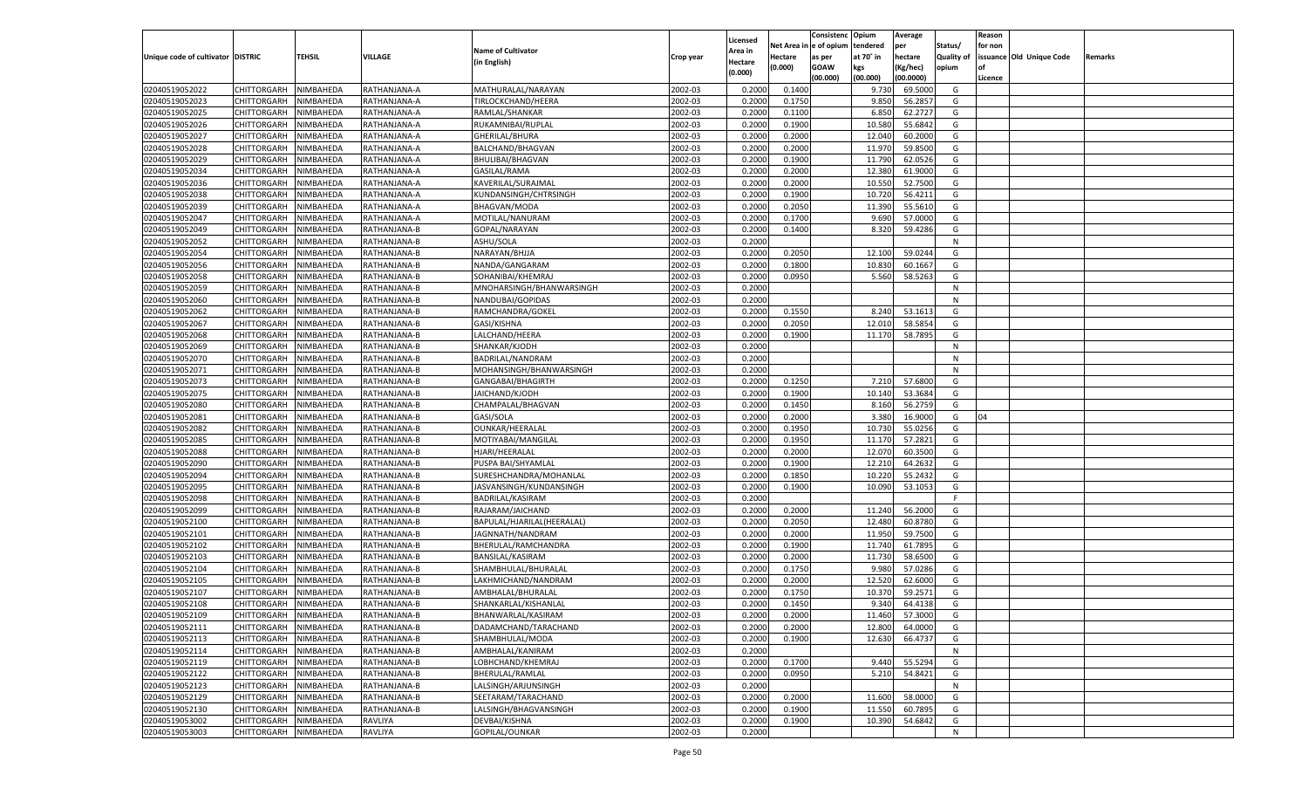|                                   |                       |                  |                |                            |           |                    |             | Consistenc   | Opium     | Average        |            | Reason  |                          |         |
|-----------------------------------|-----------------------|------------------|----------------|----------------------------|-----------|--------------------|-------------|--------------|-----------|----------------|------------|---------|--------------------------|---------|
|                                   |                       |                  |                |                            |           | Licensed           | Net Area iı | n e of opium | tendered  | per            | Status/    | for non |                          |         |
| Unique code of cultivator DISTRIC |                       | TEHSIL           | <b>VILLAGE</b> | <b>Name of Cultivator</b>  | Crop year | Area in            | Hectare     | as per       | at 70° in | hectare        | Quality of |         | issuance Old Unique Code | Remarks |
|                                   |                       |                  |                | (in English)               |           | Hectare<br>(0.000) | (0.000)     | <b>GOAW</b>  | kgs       | (Kg/hec)       | opium      |         |                          |         |
|                                   |                       |                  |                |                            |           |                    |             | (00.000)     | (00.000)  | (00.0000)      |            | Licence |                          |         |
| 02040519052022                    | CHITTORGARH           | NIMBAHEDA        | RATHANJANA-A   | MATHURALAL/NARAYAN         | 2002-03   | 0.2000             | 0.1400      |              | 9.730     | 69.5000        | G          |         |                          |         |
| 02040519052023                    | CHITTORGARH           | NIMBAHEDA        | RATHANJANA-A   | TIRLOCKCHAND/HEERA         | 2002-03   | 0.2000             | 0.1750      |              | 9.850     | 56.2857        | G          |         |                          |         |
| 02040519052025                    | CHITTORGARH           | NIMBAHEDA        | RATHANJANA-A   | RAMLAL/SHANKAR             | 2002-03   | 0.2000             | 0.1100      |              | 6.850     | 62.2727        | G          |         |                          |         |
| 02040519052026                    | CHITTORGARH           | NIMBAHEDA        | RATHANJANA-A   | RUKAMNIBAI/RUPLAL          | 2002-03   | 0.2000             | 0.1900      |              | 10.580    | 55.6842        | G          |         |                          |         |
| 02040519052027                    | CHITTORGARH           | NIMBAHEDA        | RATHANJANA-A   | GHERILAL/BHURA             | 2002-03   | 0.2000             | 0.2000      |              | 12.040    | 60.2000        | G          |         |                          |         |
| 02040519052028                    | CHITTORGARH           | NIMBAHEDA        | RATHANJANA-A   | BALCHAND/BHAGVAN           | 2002-03   | 0.2000             | 0.2000      |              | 11.970    | 59.8500        | G          |         |                          |         |
| 02040519052029                    | CHITTORGARH           | NIMBAHEDA        | RATHANJANA-A   | BHULIBAI/BHAGVAN           | 2002-03   | 0.2000             | 0.1900      |              | 11.790    | 62.0526        | G          |         |                          |         |
| 02040519052034                    | CHITTORGARH           | NIMBAHEDA        | RATHANJANA-A   | GASILAL/RAMA               | 2002-03   | 0.2000             | 0.2000      |              | 12.380    | 61.9000        | G          |         |                          |         |
| 02040519052036                    | CHITTORGARH           | NIMBAHEDA        | RATHANJANA-A   | KAVERILAL/SURAJMAL         | 2002-03   | 0.2000             | 0.2000      |              | 10.550    | 52.7500        | G          |         |                          |         |
| 02040519052038                    | CHITTORGARH           | NIMBAHEDA        | RATHANJANA-A   | KUNDANSINGH/CHTRSINGH      | 2002-03   | 0.2000             | 0.1900      |              | 10.720    | 56.4211        | G          |         |                          |         |
| 02040519052039                    | CHITTORGARH           | NIMBAHEDA        | RATHANJANA-A   | <b>BHAGVAN/MODA</b>        | 2002-03   | 0.2000             | 0.2050      |              | 11.390    | 55.5610        | G          |         |                          |         |
| 02040519052047                    | CHITTORGARH           | NIMBAHEDA        | RATHANJANA-A   | MOTILAL/NANURAM            | 2002-03   | 0.2000             | 0.1700      |              | 9.690     | 57.0000        | G          |         |                          |         |
| 02040519052049                    | CHITTORGARH           | NIMBAHEDA        | RATHANJANA-B   | GOPAL/NARAYAN              | 2002-03   | 0.2000             | 0.1400      |              | 8.320     | 59.4286        | G          |         |                          |         |
| 02040519052052                    | CHITTORGARH           | NIMBAHEDA        | RATHANJANA-B   | ASHU/SOLA                  | 2002-03   | 0.2000             |             |              |           |                | N          |         |                          |         |
| 02040519052054                    | CHITTORGARH           | NIMBAHEDA        | RATHANJANA-B   | NARAYAN/BHJJA              | 2002-03   | 0.2000             | 0.2050      |              | 12.100    | 59.0244        | G          |         |                          |         |
| 02040519052056                    | CHITTORGARH           | NIMBAHEDA        | RATHANJANA-B   | NANDA/GANGARAM             | 2002-03   | 0.2000             | 0.1800      |              | 10.830    | 60.1667        | G          |         |                          |         |
| 02040519052058                    | CHITTORGARH           | NIMBAHEDA        | RATHANJANA-B   | SOHANIBAI/KHEMRAJ          | 2002-03   | 0.2000             | 0.0950      |              | 5.560     | 58.5263        | G          |         |                          |         |
| 02040519052059                    | CHITTORGARH           | NIMBAHEDA        | RATHANJANA-B   | MNOHARSINGH/BHANWARSINGH   | 2002-03   | 0.2000             |             |              |           |                | N          |         |                          |         |
| 02040519052060                    | CHITTORGARH           | NIMBAHEDA        | RATHANJANA-B   | NANDUBAI/GOPIDAS           | 2002-03   | 0.2000             |             |              |           |                | N          |         |                          |         |
| 02040519052062                    | CHITTORGARH           | NIMBAHEDA        | RATHANJANA-B   | RAMCHANDRA/GOKEL           | 2002-03   | 0.2000             | 0.1550      |              | 8.240     | 53.1613        | G          |         |                          |         |
| 02040519052067                    | CHITTORGARH           | NIMBAHEDA        | RATHANJANA-B   | GASI/KISHNA                | 2002-03   | 0.2000             | 0.2050      |              | 12.010    | 58.5854        | G          |         |                          |         |
| 02040519052068                    | CHITTORGARH           | NIMBAHEDA        | RATHANJANA-B   | LALCHAND/HEERA             | 2002-03   | 0.2000             | 0.1900      |              | 11.170    | 58.7895        | G          |         |                          |         |
| 02040519052069                    | CHITTORGARH           | NIMBAHEDA        | RATHANJANA-B   | SHANKAR/KJODH              | 2002-03   | 0.2000             |             |              |           |                | N          |         |                          |         |
| 02040519052070                    | CHITTORGARH           | NIMBAHEDA        | RATHANJANA-B   | BADRILAL/NANDRAM           | 2002-03   | 0.2000             |             |              |           |                | N          |         |                          |         |
| 02040519052071                    | CHITTORGARH           | NIMBAHEDA        | RATHANJANA-B   | MOHANSINGH/BHANWARSINGH    | 2002-03   | 0.2000             |             |              |           |                | N          |         |                          |         |
| 02040519052073                    | CHITTORGARH           | NIMBAHEDA        | RATHANJANA-B   | GANGABAI/BHAGIRTH          | 2002-03   | 0.2000             | 0.1250      |              | 7.210     | 57.6800        | G          |         |                          |         |
| 02040519052075                    | CHITTORGARH           | NIMBAHEDA        | RATHANJANA-B   | JAICHAND/KJODH             | 2002-03   | 0.2000             | 0.1900      |              | 10.140    | 53.3684        | G          |         |                          |         |
| 02040519052080                    | CHITTORGARH           | NIMBAHEDA        | RATHANJANA-B   | CHAMPALAL/BHAGVAN          | 2002-03   | 0.2000             | 0.1450      |              | 8.160     | 56.2759        | G          |         |                          |         |
| 02040519052081                    | CHITTORGARH           | NIMBAHEDA        | RATHANJANA-B   | GASI/SOLA                  | 2002-03   | 0.2000             | 0.2000      |              | 3.380     | 16.9000        | G          | 04      |                          |         |
| 02040519052082                    | CHITTORGARH           | NIMBAHEDA        | RATHANJANA-B   | OUNKAR/HEERALAL            | 2002-03   | 0.2000             | 0.1950      |              | 10.730    | 55.0256        | G          |         |                          |         |
| 02040519052085                    | CHITTORGARH           | NIMBAHEDA        | RATHANJANA-B   | MOTIYABAI/MANGILAL         | 2002-03   | 0.2000             | 0.1950      |              | 11.170    | 57.2821        | G          |         |                          |         |
| 02040519052088                    | CHITTORGARH           | NIMBAHEDA        | RATHANJANA-B   | HJARI/HEERALAL             | 2002-03   | 0.2000             | 0.2000      |              | 12.070    | 60.3500        | G          |         |                          |         |
| 02040519052090                    | CHITTORGARH           | NIMBAHEDA        | RATHANJANA-B   | PUSPA BAI/SHYAMLAL         | 2002-03   | 0.2000             | 0.1900      |              | 12.210    | 64.2632        | G          |         |                          |         |
| 02040519052094                    | CHITTORGARH           | NIMBAHEDA        | RATHANJANA-B   | SURESHCHANDRA/MOHANLAL     | 2002-03   | 0.2000             | 0.1850      |              | 10.220    | 55.2432        | G          |         |                          |         |
| 02040519052095                    | CHITTORGARH           | NIMBAHEDA        | RATHANJANA-B   | JASVANSINGH/KUNDANSINGH    | 2002-03   | 0.2000             | 0.1900      |              | 10.090    | 53.105         | G          |         |                          |         |
| 02040519052098                    | CHITTORGARH           | NIMBAHEDA        | RATHANJANA-B   | BADRILAL/KASIRAM           | 2002-03   | 0.2000             |             |              |           |                | F          |         |                          |         |
| 02040519052099                    | CHITTORGARH           | NIMBAHEDA        | RATHANJANA-B   | RAJARAM/JAICHAND           | 2002-03   | 0.2000             | 0.2000      |              | 11.240    | 56.2000        | G          |         |                          |         |
| 02040519052100                    | CHITTORGARH           | NIMBAHEDA        | RATHANJANA-B   | BAPULAL/HJARILAL(HEERALAL) | 2002-03   | 0.2000             | 0.2050      |              | 12.480    | 60.8780        | G          |         |                          |         |
| 02040519052101                    | CHITTORGARH           | NIMBAHEDA        | RATHANJANA-B   | JAGNNATH/NANDRAM           | 2002-03   | 0.2000             | 0.2000      |              | 11.95     | 59.7500        | G          |         |                          |         |
| 02040519052102                    | CHITTORGARH           | NIMBAHEDA        | RATHANJANA-B   | BHERULAL/RAMCHANDRA        | 2002-03   | 0.2000             | 0.1900      |              | 11.740    | 61.7895        | G          |         |                          |         |
| 02040519052103                    | CHITTORGARH           | NIMBAHEDA        | RATHANJANA-B   | BANSILAL/KASIRAM           | 2002-03   | 0.2000             | 0.2000      |              | 11.730    | 58.6500        | G          |         |                          |         |
| 02040519052104                    | CHITTORGARH           | NIMBAHEDA        | RATHANJANA-B   | SHAMBHULAL/BHURALAL        | 2002-03   | 0.2000             | 0.1750      |              | 9.980     | 57.0286        | G          |         |                          |         |
| 02040519052105                    | CHITTORGARH           | NIMBAHEDA        | RATHANJANA-B   | LAKHMICHAND/NANDRAM        | 2002-03   | 0.2000             | 0.2000      |              | 12.520    | 62.6000        | G          |         |                          |         |
| 02040519052107                    |                       |                  |                | AMBHALAL/BHURALAL          | 2002-03   | 0.2000             | 0.1750      |              | 10.370    | 59.2571        | G          |         |                          |         |
|                                   | CHITTORGARH           | NIMBAHEDA        | RATHANJANA-B   | SHANKARLAL/KISHANLAL       |           |                    | 0.1450      |              | 9.340     | 64.4138        |            |         |                          |         |
| 02040519052108                    | CHITTORGARH           | NIMBAHEDA        | RATHANJANA-B   |                            | 2002-03   | 0.2000             |             |              |           |                | G          |         |                          |         |
| 02040519052109                    | CHITTORGARH NIMBAHEDA |                  | RATHANJANA-B   | BHANWARLAL/KASIRAM         | 2002-03   | 0.2000             | 0.2000      |              |           | 11.460 57.3000 | G          |         |                          |         |
| 02040519052111                    | <b>CHITTORGARH</b>    | <b>NIMBAHEDA</b> | RATHANJANA-B   | DADAMCHAND/TARACHAND       | 2002-03   | 0.2000             | 0.2000      |              | 12.800    | 64.0000        | G          |         |                          |         |
| 02040519052113                    | CHITTORGARH           | NIMBAHEDA        | RATHANJANA-B   | SHAMBHULAL/MODA            | 2002-03   | 0.2000             | 0.1900      |              | 12.630    | 66.4737        | G          |         |                          |         |
| 02040519052114                    | CHITTORGARH           | NIMBAHEDA        | RATHANJANA-B   | AMBHALAL/KANIRAM           | 2002-03   | 0.2000             |             |              |           |                | N          |         |                          |         |
| 02040519052119                    | <b>CHITTORGARH</b>    | NIMBAHEDA        | RATHANJANA-B   | LOBHCHAND/KHEMRAJ          | 2002-03   | 0.2000             | 0.1700      |              | 9.440     | 55.5294        | G          |         |                          |         |
| 02040519052122                    | CHITTORGARH           | NIMBAHEDA        | RATHANJANA-B   | BHERULAL/RAMLAL            | 2002-03   | 0.2000             | 0.0950      |              | 5.210     | 54.8421        | G          |         |                          |         |
| 02040519052123                    | <b>CHITTORGARH</b>    | NIMBAHEDA        | RATHANJANA-B   | LALSINGH/ARJUNSINGH        | 2002-03   | 0.2000             |             |              |           |                | N          |         |                          |         |
| 02040519052129                    | CHITTORGARH           | NIMBAHEDA        | RATHANJANA-B   | SEETARAM/TARACHAND         | 2002-03   | 0.2000             | 0.2000      |              | 11.600    | 58.0000        | G          |         |                          |         |
| 02040519052130                    | <b>CHITTORGARH</b>    | NIMBAHEDA        | RATHANJANA-B   | LALSINGH/BHAGVANSINGH      | 2002-03   | 0.2000             | 0.1900      |              | 11.550    | 60.7895        | G          |         |                          |         |
| 02040519053002                    | <b>CHITTORGARH</b>    | NIMBAHEDA        | RAVLIYA        | DEVBAI/KISHNA              | 2002-03   | 0.2000             | 0.1900      |              | 10.390    | 54.6842        | G          |         |                          |         |
| 02040519053003                    | <b>CHITTORGARH</b>    | NIMBAHEDA        | <b>RAVLIYA</b> | GOPILAL/OUNKAR             | 2002-03   | 0.2000             |             |              |           |                | N          |         |                          |         |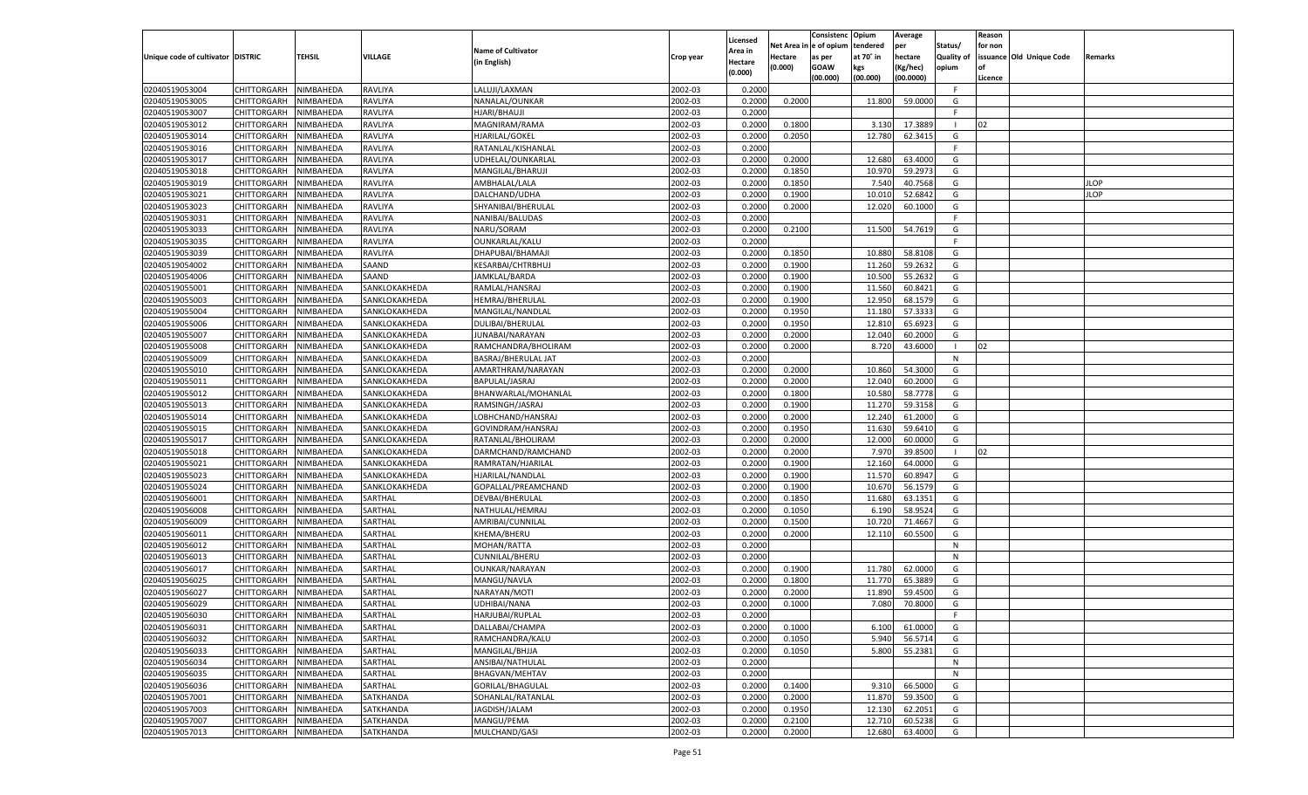|                                   |                       |               |               |                            |           | Licensed           |            | Consistenc Opium |           | Average   |                   | Reason  |                          |                |
|-----------------------------------|-----------------------|---------------|---------------|----------------------------|-----------|--------------------|------------|------------------|-----------|-----------|-------------------|---------|--------------------------|----------------|
|                                   |                       |               |               | <b>Name of Cultivator</b>  |           |                    | Net Area i | n  e of opium    | tendered  | per       | Status/           | for non |                          |                |
| Unique code of cultivator DISTRIC |                       | <b>TEHSIL</b> | VILLAGE       |                            | Crop year | <b>Area in</b>     | Hectare    | as per           | at 70° in | hectare   | <b>Quality of</b> |         | issuance Old Unique Code | <b>Remarks</b> |
|                                   |                       |               |               | (in English)               |           | Hectare<br>(0.000) | (0.000)    | <b>GOAW</b>      | kgs       | (Kg/hec)  | opium             |         |                          |                |
|                                   |                       |               |               |                            |           |                    |            | (00.000)         | (00.000)  | (00.0000) |                   | Licence |                          |                |
| 02040519053004                    | CHITTORGARH           | NIMBAHEDA     | RAVLIYA       | LALUJI/LAXMAN              | 2002-03   | 0.2000             |            |                  |           |           | F.                |         |                          |                |
| 02040519053005                    | CHITTORGARH           | NIMBAHEDA     | RAVLIYA       | NANALAL/OUNKAR             | 2002-03   | 0.2000             | 0.2000     |                  | 11.800    | 59.0000   | G                 |         |                          |                |
| 02040519053007                    | CHITTORGARH           | NIMBAHEDA     | RAVLIYA       | HJARI/BHAUJI               | 2002-03   | 0.2000             |            |                  |           |           | F.                |         |                          |                |
| 02040519053012                    | CHITTORGARH           | NIMBAHEDA     | RAVLIYA       | MAGNIRAM/RAMA              | 2002-03   | 0.2000             | 0.1800     |                  | 3.130     | 17.3889   |                   | 02      |                          |                |
| 02040519053014                    | CHITTORGARH           | NIMBAHEDA     | RAVLIYA       | HJARILAL/GOKEL             | 2002-03   | 0.2000             | 0.2050     |                  | 12.780    | 62.3415   | G                 |         |                          |                |
| 02040519053016                    | CHITTORGARH           | NIMBAHEDA     | RAVLIYA       | RATANLAL/KISHANLAL         | 2002-03   | 0.2000             |            |                  |           |           | F.                |         |                          |                |
| 02040519053017                    | CHITTORGARH           | NIMBAHEDA     | RAVLIYA       | UDHELAL/OUNKARLAL          | 2002-03   | 0.2000             | 0.2000     |                  | 12.680    | 63.4000   | G                 |         |                          |                |
| 02040519053018                    | CHITTORGARH           | NIMBAHEDA     | RAVLIYA       | MANGILAL/BHARUJI           | 2002-03   | 0.2000             | 0.1850     |                  | 10.97     | 59.2973   | G                 |         |                          |                |
| 02040519053019                    | CHITTORGARH           | NIMBAHEDA     | RAVLIYA       | AMBHALAL/LALA              | 2002-03   | 0.2000             | 0.1850     |                  | 7.540     | 40.7568   | G                 |         |                          | JLOP           |
| 02040519053021                    | CHITTORGARH           | NIMBAHEDA     | RAVLIYA       | DALCHAND/UDHA              | 2002-03   | 0.2000             | 0.1900     |                  | 10.01     | 52.6842   | G                 |         |                          | <b>JLOP</b>    |
| 02040519053023                    | CHITTORGARH           | NIMBAHEDA     | RAVLIYA       | SHYANIBAI/BHERULAL         | 2002-03   | 0.2000             | 0.2000     |                  | 12.020    | 60.1000   | G                 |         |                          |                |
| 02040519053031                    | CHITTORGARH           | NIMBAHEDA     | RAVLIYA       | NANIBAI/BALUDAS            | 2002-03   | 0.2000             |            |                  |           |           | F.                |         |                          |                |
| 02040519053033                    | CHITTORGARH           | NIMBAHEDA     | RAVLIYA       | NARU/SORAM                 | 2002-03   | 0.2000             | 0.2100     |                  | 11.500    | 54.7619   | G                 |         |                          |                |
| 02040519053035                    | CHITTORGARH           | NIMBAHEDA     | RAVLIYA       | OUNKARLAL/KALU             | 2002-03   | 0.2000             |            |                  |           |           | F                 |         |                          |                |
| 02040519053039                    | CHITTORGARH           | NIMBAHEDA     | RAVLIYA       | DHAPUBAI/BHAMAJ            | 2002-03   | 0.2000             | 0.1850     |                  | 10.880    | 58.8108   | G                 |         |                          |                |
| 02040519054002                    | CHITTORGARH           | NIMBAHEDA     | SAAND         | <b>KESARBAI/CHTRBHUJ</b>   | 2002-03   | 0.2000             | 0.1900     |                  | 11.260    | 59.2632   | G                 |         |                          |                |
| 02040519054006                    | CHITTORGARH           | NIMBAHEDA     | SAAND         | JAMKLAL/BARDA              | 2002-03   | 0.2000             | 0.1900     |                  | 10.500    | 55.2632   | G                 |         |                          |                |
| 02040519055001                    | CHITTORGARH           | NIMBAHEDA     | SANKLOKAKHEDA | RAMLAL/HANSRAJ             | 2002-03   | 0.2000             | 0.1900     |                  | 11.560    | 60.8421   | G                 |         |                          |                |
| 02040519055003                    | CHITTORGARH           | NIMBAHEDA     | SANKLOKAKHEDA | HEMRAJ/BHERULAL            | 2002-03   | 0.2000             | 0.1900     |                  | 12.950    | 68.1579   | G                 |         |                          |                |
| 02040519055004                    | CHITTORGARH           | NIMBAHEDA     | SANKLOKAKHEDA | MANGILAL/NANDLAL           | 2002-03   | 0.2000             | 0.1950     |                  | 11.180    | 57.3333   | G                 |         |                          |                |
| 02040519055006                    | CHITTORGARH           | NIMBAHEDA     | SANKLOKAKHEDA | <b>DULIBAI/BHERULAL</b>    | 2002-03   | 0.2000             | 0.1950     |                  | 12.810    | 65.6923   | G                 |         |                          |                |
| 02040519055007                    | CHITTORGARH           | NIMBAHEDA     | SANKLOKAKHEDA | JUNABAI/NARAYAN            | 2002-03   | 0.2000             | 0.2000     |                  | 12.040    | 60.2000   | G                 |         |                          |                |
| 02040519055008                    | CHITTORGARH           | NIMBAHEDA     | SANKLOKAKHEDA | RAMCHANDRA/BHOLIRAM        | 2002-03   | 0.2000             | 0.2000     |                  | 8.720     | 43.6000   |                   | 02      |                          |                |
| 02040519055009                    | CHITTORGARH           | NIMBAHEDA     | SANKLOKAKHEDA | <b>BASRAJ/BHERULAL JAT</b> | 2002-03   | 0.2000             |            |                  |           |           | N                 |         |                          |                |
| 02040519055010                    | CHITTORGARH           | NIMBAHEDA     | SANKLOKAKHEDA | AMARTHRAM/NARAYAN          | 2002-03   | 0.2000             | 0.2000     |                  | 10.860    | 54.3000   | G                 |         |                          |                |
| 02040519055011                    | CHITTORGARH           | NIMBAHEDA     | SANKLOKAKHEDA | BAPULAL/JASRAJ             | 2002-03   | 0.2000             | 0.2000     |                  | 12.040    | 60.2000   | G                 |         |                          |                |
| 02040519055012                    | CHITTORGARH           | NIMBAHEDA     | SANKLOKAKHEDA | BHANWARLAL/MOHANLAL        | 2002-03   | 0.2000             | 0.1800     |                  | 10.580    | 58.7778   | G                 |         |                          |                |
| 02040519055013                    | CHITTORGARH           | NIMBAHEDA     | SANKLOKAKHEDA | RAMSINGH/JASRAJ            | 2002-03   | 0.2000             | 0.1900     |                  | 11.270    | 59.3158   | G                 |         |                          |                |
| 02040519055014                    | CHITTORGARH           | NIMBAHEDA     | SANKLOKAKHEDA | LOBHCHAND/HANSRAJ          | 2002-03   | 0.2000             | 0.2000     |                  | 12.240    | 61.2000   | G                 |         |                          |                |
| 02040519055015                    | CHITTORGARH           | NIMBAHEDA     | SANKLOKAKHEDA | GOVINDRAM/HANSRAJ          | 2002-03   | 0.2000             | 0.1950     |                  | 11.630    | 59.6410   | G                 |         |                          |                |
|                                   |                       |               |               |                            | 2002-03   |                    | 0.2000     |                  |           |           | G                 |         |                          |                |
| 02040519055017                    | CHITTORGARH           | NIMBAHEDA     | SANKLOKAKHEDA | RATANLAL/BHOLIRAM          |           | 0.2000             |            |                  | 12.000    | 60.0000   |                   |         |                          |                |
| 02040519055018                    | CHITTORGARH           | NIMBAHEDA     | SANKLOKAKHEDA | DARMCHAND/RAMCHAND         | 2002-03   | 0.2000             | 0.2000     |                  | 7.97      | 39.8500   |                   | 02      |                          |                |
| 02040519055021                    | CHITTORGARH           | NIMBAHEDA     | SANKLOKAKHEDA | RAMRATAN/HJARILAL          | 2002-03   | 0.2000             | 0.1900     |                  | 12.160    | 64.0000   | G                 |         |                          |                |
| 02040519055023                    | CHITTORGARH           | NIMBAHEDA     | SANKLOKAKHEDA | HJARILAL/NANDLAL           | 2002-03   | 0.2000             | 0.1900     |                  | 11.570    | 60.8947   | G                 |         |                          |                |
| 02040519055024                    | CHITTORGARH           | NIMBAHEDA     | SANKLOKAKHEDA | GOPALLAL/PREAMCHAND        | 2002-03   | 0.2000             | 0.1900     |                  | 10.670    | 56.1579   | G                 |         |                          |                |
| 02040519056001                    | CHITTORGARH           | NIMBAHEDA     | SARTHAL       | DEVBAI/BHERULAL            | 2002-03   | 0.2000             | 0.1850     |                  | 11.680    | 63.1351   | G                 |         |                          |                |
| 02040519056008                    | CHITTORGARH           | NIMBAHEDA     | SARTHAL       | NATHULAL/HEMRAJ            | 2002-03   | 0.2000             | 0.1050     |                  | 6.190     | 58.952    | G                 |         |                          |                |
| 02040519056009                    | CHITTORGARH           | NIMBAHEDA     | SARTHAL       | AMRIBAI/CUNNILAL           | 2002-03   | 0.2000             | 0.1500     |                  | 10.720    | 71.4667   | G                 |         |                          |                |
| 02040519056011                    | CHITTORGARH           | NIMBAHEDA     | SARTHAL       | KHEMA/BHERU                | 2002-03   | 0.2000             | 0.2000     |                  | 12.110    | 60.5500   | G                 |         |                          |                |
| 02040519056012                    | CHITTORGARH           | NIMBAHEDA     | SARTHAL       | MOHAN/RATTA                | 2002-03   | 0.2000             |            |                  |           |           | N                 |         |                          |                |
| 02040519056013                    | CHITTORGARH           | NIMBAHEDA     | SARTHAL       | CUNNILAL/BHERU             | 2002-03   | 0.2000             |            |                  |           |           | N                 |         |                          |                |
| 02040519056017                    | CHITTORGARH           | NIMBAHEDA     | SARTHAL       | OUNKAR/NARAYAN             | 2002-03   | 0.2000             | 0.1900     |                  | 11.780    | 62.0000   | G                 |         |                          |                |
| 02040519056025                    | CHITTORGARH           | NIMBAHEDA     | SARTHAL       | MANGU/NAVLA                | 2002-03   | 0.2000             | 0.1800     |                  | 11.770    | 65.3889   | G                 |         |                          |                |
| 02040519056027                    | CHITTORGARH           | NIMBAHEDA     | SARTHAL       | NARAYAN/MOTI               | 2002-03   | 0.2000             | 0.2000     |                  | 11.890    | 59.4500   | G                 |         |                          |                |
| 02040519056029                    | CHITTORGARH           | NIMBAHEDA     | SARTHAL       | UDHIBAI/NANA               | 2002-03   | 0.2000             | 0.1000     |                  | 7.080     | 70.8000   | G                 |         |                          |                |
| 02040519056030                    | CHITTORGARH NIMBAHEDA |               | SARTHAL       | HARJUBAI/RUPLAL            | 2002-03   | 0.2000             |            |                  |           |           |                   |         |                          |                |
| 02040519056031                    | CHITTORGARH           | NIMBAHEDA     | SARTHAL       | DALLABAI/CHAMPA            | 2002-03   | 0.2000             | 0.1000     |                  | 6.100     | 61.0000   | G                 |         |                          |                |
| 02040519056032                    | CHITTORGARH           | NIMBAHEDA     | SARTHAL       | RAMCHANDRA/KALU            | 2002-03   | 0.2000             | 0.1050     |                  | 5.940     | 56.5714   | G                 |         |                          |                |
| 02040519056033                    | <b>CHITTORGARH</b>    | NIMBAHEDA     | SARTHAL       | MANGILAL/BHJJA             | 2002-03   | 0.2000             | 0.1050     |                  | 5.800     | 55.2381   | G                 |         |                          |                |
| 02040519056034                    | <b>CHITTORGARH</b>    | NIMBAHEDA     | SARTHAL       | ANSIBAI/NATHULAL           | 2002-03   | 0.2000             |            |                  |           |           | N                 |         |                          |                |
| 02040519056035                    | <b>CHITTORGARH</b>    | NIMBAHEDA     | SARTHAL       | BHAGVAN/MEHTAV             | 2002-03   | 0.2000             |            |                  |           |           | $\mathsf{N}$      |         |                          |                |
| 02040519056036                    | CHITTORGARH           | NIMBAHEDA     | SARTHAL       | GORILAL/BHAGULAL           | 2002-03   | 0.2000             | 0.1400     |                  | 9.310     | 66.5000   | G                 |         |                          |                |
| 02040519057001                    | <b>CHITTORGARH</b>    | NIMBAHEDA     | SATKHANDA     | SOHANLAL/RATANLAL          | 2002-03   | 0.2000             | 0.2000     |                  | 11.870    | 59.3500   | G                 |         |                          |                |
| 02040519057003                    | <b>CHITTORGARH</b>    | NIMBAHEDA     | SATKHANDA     | JAGDISH/JALAM              | 2002-03   | 0.2000             | 0.1950     |                  | 12.130    | 62.2051   | G                 |         |                          |                |
| 02040519057007                    | CHITTORGARH           | NIMBAHEDA     | SATKHANDA     | MANGU/PEMA                 | 2002-03   | 0.2000             | 0.2100     |                  | 12.710    | 60.5238   | G                 |         |                          |                |
| 02040519057013                    | CHITTORGARH           | NIMBAHEDA     | SATKHANDA     | MULCHAND/GASI              | 2002-03   | 0.2000             | 0.2000     |                  | 12.680    | 63.4000   | G                 |         |                          |                |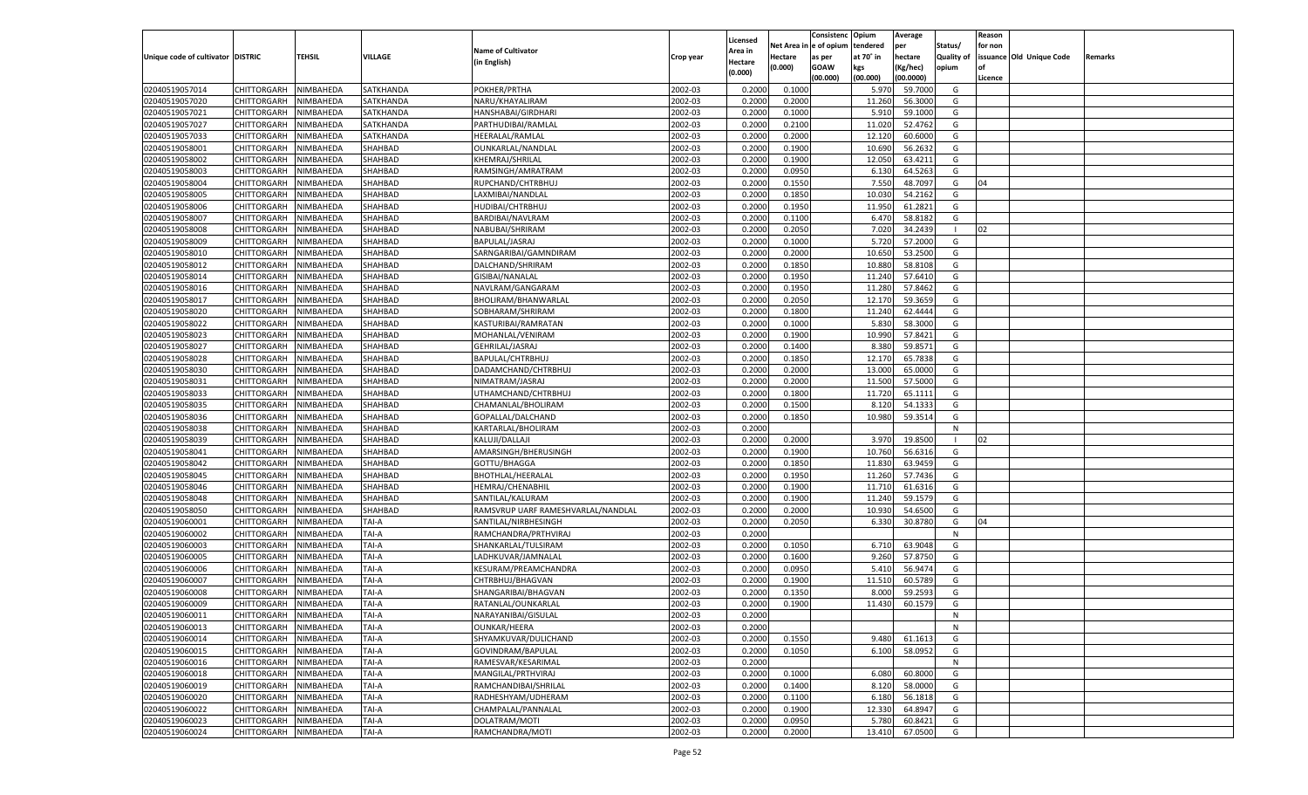|                                   |                            |                        |                |                                    |           |                           |                  | Consistenc  | Opium          | Average          |                   | Reason  |                          |         |
|-----------------------------------|----------------------------|------------------------|----------------|------------------------------------|-----------|---------------------------|------------------|-------------|----------------|------------------|-------------------|---------|--------------------------|---------|
|                                   |                            |                        |                | <b>Name of Cultivator</b>          |           | Licensed                  | Net Area         | le of opium | tendered       | per              | Status/           | for non |                          |         |
| Unique code of cultivator DISTRIC |                            | <b>TEHSIL</b>          | VILLAGE        | (in English)                       | Crop year | <b>Area in</b><br>Hectare | Hectare          | as per      | at 70° in      | hectare          | <b>Quality of</b> |         | issuance Old Unique Code | Remarks |
|                                   |                            |                        |                |                                    |           | (0.000)                   | (0.000)          | <b>GOAW</b> | kgs            | (Kg/hec)         | opium             |         |                          |         |
|                                   |                            |                        |                |                                    |           |                           |                  | (00.000)    | (00.000)       | (00.0000)        |                   | Licence |                          |         |
| 02040519057014                    | CHITTORGARH                | NIMBAHEDA              | SATKHANDA      | POKHER/PRTHA                       | 2002-03   | 0.2000                    | 0.1000           |             | 5.970          | 59.7000          | G                 |         |                          |         |
| 02040519057020                    | CHITTORGARH                | NIMBAHEDA              | SATKHANDA      | NARU/KHAYALIRAM                    | 2002-03   | 0.2000                    | 0.2000           |             | 11.260         | 56.3000          | G                 |         |                          |         |
| 02040519057021                    | CHITTORGARH                | NIMBAHEDA              | SATKHANDA      | HANSHABAI/GIRDHARI                 | 2002-03   | 0.2000                    | 0.1000           |             | 5.910          | 59.1000          | G                 |         |                          |         |
| 02040519057027                    | CHITTORGARH                | NIMBAHEDA              | SATKHANDA      | PARTHUDIBAI/RAMLAL                 | 2002-03   | 0.2000                    | 0.2100           |             | 11.020         | 52.4762          | G                 |         |                          |         |
| 02040519057033                    | CHITTORGARH                | NIMBAHEDA              | SATKHANDA      | HEERALAL/RAMLAL                    | 2002-03   | 0.2000                    | 0.2000           |             | 12.120         | 60.6000          | G                 |         |                          |         |
| 02040519058001                    | CHITTORGARH                | NIMBAHEDA              | SHAHBAD        | OUNKARLAL/NANDLAL                  | 2002-03   | 0.2000                    | 0.1900           |             | 10.690         | 56.263           | G                 |         |                          |         |
| 02040519058002                    | CHITTORGARH                | NIMBAHEDA              | SHAHBAD        | <b>KHEMRAJ/SHRILAL</b>             | 2002-03   | 0.2000                    | 0.1900           |             | 12.050         | 63.4211          | G                 |         |                          |         |
| 02040519058003                    | CHITTORGARH                | NIMBAHEDA              | SHAHBAD        | RAMSINGH/AMRATRAM                  | 2002-03   | 0.2000                    | 0.0950           |             | 6.130          | 64.5263          | G                 |         |                          |         |
| 02040519058004                    | CHITTORGARH                | NIMBAHEDA              | SHAHBAD        | RUPCHAND/CHTRBHUJ                  | 2002-03   | 0.2000                    | 0.1550           |             | 7.550          | 48.7097          | G                 | 04      |                          |         |
| 02040519058005                    | CHITTORGARH                | NIMBAHEDA              | SHAHBAD        | LAXMIBAI/NANDLAL                   | 2002-03   | 0.2000                    | 0.1850           |             | 10.030         | 54.2162          | G                 |         |                          |         |
| 02040519058006                    | CHITTORGARH                | NIMBAHEDA              | SHAHBAD        | HUDIBAI/CHTRBHUJ                   | 2002-03   | 0.2000                    | 0.1950           |             | 11.950         | 61.2821          | G                 |         |                          |         |
| 02040519058007                    | CHITTORGARH                | NIMBAHEDA              | SHAHBAD        | BARDIBAI/NAVLRAM                   | 2002-03   | 0.2000                    | 0.1100           |             | 6.470          | 58.8182          | G                 |         |                          |         |
| 02040519058008                    | CHITTORGARH                | NIMBAHEDA              | SHAHBAD        | NABUBAI/SHRIRAM                    | 2002-03   | 0.2000                    | 0.2050           |             | 7.020          | 34.2439          |                   | 02      |                          |         |
| 02040519058009                    | CHITTORGARH                | NIMBAHEDA              | SHAHBAD        | BAPULAL/JASRAJ                     | 2002-03   | 0.2000                    | 0.1000           |             | 5.720          | 57.2000          | G                 |         |                          |         |
| 02040519058010                    | CHITTORGARH                | NIMBAHEDA              | SHAHBAD        | SARNGARIBAI/GAMNDIRAM              | 2002-03   | 0.2000                    | 0.2000           |             | 10.650         | 53.2500          | G                 |         |                          |         |
| 02040519058012                    | CHITTORGARH                | NIMBAHEDA              | SHAHBAD        | DALCHAND/SHRIRAM                   | 2002-03   | 0.2000                    | 0.1850           |             | 10.880         | 58.8108          | G                 |         |                          |         |
| 02040519058014                    | CHITTORGARH                | NIMBAHEDA              | SHAHBAD        | GISIBAI/NANALAL                    | 2002-03   | 0.2000                    | 0.1950           |             | 11.24          | 57.6410          | G                 |         |                          |         |
| 02040519058016                    | CHITTORGARH                | NIMBAHEDA              | SHAHBAD        | NAVLRAM/GANGARAM                   | 2002-03   | 0.2000                    | 0.1950           |             | 11.280         | 57.8462          | G                 |         |                          |         |
| 02040519058017                    | CHITTORGARH                | NIMBAHEDA              | SHAHBAD        | BHOLIRAM/BHANWARLAL                | 2002-03   | 0.2000                    | 0.2050           |             | 12.170         | 59.365           | G                 |         |                          |         |
| 02040519058020                    | CHITTORGARH                | NIMBAHEDA              | SHAHBAD        | SOBHARAM/SHRIRAM                   | 2002-03   | 0.2000                    | 0.1800           |             | 11.240         | 62.4444          | G                 |         |                          |         |
| 02040519058022                    | CHITTORGARH                | NIMBAHEDA              | SHAHBAD        | KASTURIBAI/RAMRATAN                | 2002-03   | 0.2000                    | 0.1000           |             | 5.830          | 58.3000          | G                 |         |                          |         |
| 02040519058023                    | CHITTORGARH                | NIMBAHEDA              | SHAHBAD        | MOHANLAL/VENIRAM                   | 2002-03   | 0.2000                    | 0.1900           |             | 10.990         | 57.8421          | G                 |         |                          |         |
| 02040519058027                    | CHITTORGARH                | NIMBAHEDA              | SHAHBAD        | GEHRILAL/JASRAJ                    | 2002-03   | 0.2000                    | 0.1400           |             | 8.380          | 59.8571          | G                 |         |                          |         |
| 02040519058028                    | CHITTORGARH                | NIMBAHEDA              | SHAHBAD        | BAPULAL/CHTRBHUJ                   | 2002-03   | 0.2000                    | 0.1850           |             | 12.170         | 65.7838          | G                 |         |                          |         |
| 02040519058030                    | CHITTORGARH                | NIMBAHEDA              | SHAHBAD        | DADAMCHAND/CHTRBHUJ                | 2002-03   | 0.2000                    | 0.2000           |             | 13.000         | 65.0000          | G                 |         |                          |         |
| 02040519058031                    | CHITTORGARH                | NIMBAHEDA              | SHAHBAD        | NIMATRAM/JASRAJ                    | 2002-03   | 0.2000                    | 0.2000           |             | 11.500         | 57.5000          | G                 |         |                          |         |
| 02040519058033                    | CHITTORGARH                | NIMBAHEDA              | SHAHBAD        | UTHAMCHAND/CHTRBHUJ                | 2002-03   | 0.2000                    | 0.1800           |             | 11.720         | 65.1111          | G                 |         |                          |         |
| 02040519058035                    | CHITTORGARH                | NIMBAHEDA              | SHAHBAD        | CHAMANLAL/BHOLIRAM                 | 2002-03   | 0.2000                    | 0.1500           |             | 8.120          | 54.1333          | G                 |         |                          |         |
| 02040519058036                    | CHITTORGARH                | NIMBAHEDA              | SHAHBAD        | GOPALLAL/DALCHAND                  | 2002-03   | 0.2000                    | 0.1850           |             | 10.980         | 59.3514          | G                 |         |                          |         |
| 02040519058038                    | CHITTORGARH                | NIMBAHEDA              | SHAHBAD        | KARTARLAL/BHOLIRAM                 | 2002-03   | 0.2000                    |                  |             |                |                  | N                 |         |                          |         |
| 02040519058039                    | CHITTORGARH                | NIMBAHEDA              | SHAHBAD        | KALUJI/DALLAJI                     | 2002-03   | 0.2000                    | 0.2000           |             | 3.970          | 19.8500          |                   | 02      |                          |         |
| 02040519058041                    | CHITTORGARH                | NIMBAHEDA              | SHAHBAD        | AMARSINGH/BHERUSINGH               | 2002-03   | 0.2000                    | 0.1900           |             | 10.760         | 56.6316          | G                 |         |                          |         |
| 02040519058042                    | CHITTORGARH                | NIMBAHEDA              | SHAHBAD        | GOTTU/BHAGGA                       | 2002-03   | 0.2000                    | 0.1850           |             | 11.830         | 63.9459          | G                 |         |                          |         |
| 02040519058045                    | CHITTORGARH                | NIMBAHEDA              | SHAHBAD        | <b>BHOTHLAL/HEERALAL</b>           | 2002-03   | 0.2000                    | 0.1950           |             | 11.260         | 57.7436          | G                 |         |                          |         |
| 02040519058046                    | CHITTORGARH                | NIMBAHEDA              | SHAHBAD        | <b>HEMRAJ/CHENABHIL</b>            | 2002-03   | 0.2000                    | 0.1900           |             | 11.710         | 61.6316          | G                 |         |                          |         |
| 02040519058048                    | CHITTORGARH                | NIMBAHEDA              | SHAHBAD        | SANTILAL/KALURAM                   | 2002-03   | 0.2000                    | 0.1900           |             | 11.24          | 59.1579          | G                 |         |                          |         |
| 02040519058050                    | CHITTORGARH                | NIMBAHEDA              | SHAHBAD        | RAMSVRUP UARF RAMESHVARLAL/NANDLAL | 2002-03   | 0.2000                    | 0.2000           |             | 10.930         | 54.6500          | G                 |         |                          |         |
| 02040519060001                    | CHITTORGARH                | NIMBAHEDA              | TAI-A          | SANTILAL/NIRBHESINGH               | 2002-03   | 0.2000                    | 0.2050           |             | 6.330          | 30.8780          | G                 | 04      |                          |         |
| 02040519060002                    | CHITTORGARH                | NIMBAHEDA              | TAI-A          | RAMCHANDRA/PRTHVIRAJ               | 2002-03   | 0.2000                    |                  |             |                |                  | N                 |         |                          |         |
| 02040519060003                    | CHITTORGARH                | NIMBAHEDA              | TAI-A          | SHANKARLAL/TULSIRAM                | 2002-03   | 0.2000                    | 0.1050           |             | 6.710          | 63.9048          | G                 |         |                          |         |
| 02040519060005                    | CHITTORGARH                | NIMBAHEDA              | TAI-A          | LADHKUVAR/JAMNALAL                 | 2002-03   | 0.2000                    | 0.1600           |             | 9.260          | 57.8750          | G                 |         |                          |         |
| 02040519060006                    |                            |                        |                |                                    | 2002-03   |                           |                  |             | 5.41(          |                  |                   |         |                          |         |
| 02040519060007                    | CHITTORGARH<br>CHITTORGARH | NIMBAHEDA<br>NIMBAHEDA | TAI-A<br>TAI-A | KESURAM/PREAMCHANDRA               | 2002-03   | 0.2000<br>0.2000          | 0.0950<br>0.1900 |             |                | 56.9474          | G<br>G            |         |                          |         |
|                                   |                            |                        | TAI-A          | CHTRBHUJ/BHAGVAN                   | 2002-03   | 0.2000                    | 0.1350           |             | 11.51<br>8.000 | 60.578<br>59.259 | G                 |         |                          |         |
| 02040519060008                    | CHITTORGARH                | NIMBAHEDA<br>NIMBAHEDA | TAI-A          | SHANGARIBAI/BHAGVAN                |           |                           | 0.1900           |             |                | 60.1579          |                   |         |                          |         |
| 02040519060009                    | CHITTORGARH                |                        |                | RATANLAL/OUNKARLAL                 | 2002-03   | 0.2000                    |                  |             | 11.430         |                  | G                 |         |                          |         |
| 02040519060011                    | CHITTORGARH NIMBAHEDA      |                        | <b>TAI-A</b>   | NARAYANIBAI/GISULAL                | 2002-03   | 0.2000                    |                  |             |                |                  | N                 |         |                          |         |
| 02040519060013                    | <b>CHITTORGARH</b>         | NIMBAHEDA              | TAI-A          | <b>OUNKAR/HEERA</b>                | 2002-03   | 0.2000                    |                  |             |                |                  | N                 |         |                          |         |
| 02040519060014                    | <b>CHITTORGARH</b>         | NIMBAHEDA              | TAI-A          | SHYAMKUVAR/DULICHAND               | 2002-03   | 0.2000                    | 0.1550           |             | 9.480          | 61.1613          | G                 |         |                          |         |
| 02040519060015                    | <b>CHITTORGARH</b>         | NIMBAHEDA              | TAI-A          | GOVINDRAM/BAPULAL                  | 2002-03   | 0.2000                    | 0.1050           |             | 6.100          | 58.0952          | G                 |         |                          |         |
| 02040519060016                    | <b>CHITTORGARH</b>         | NIMBAHEDA              | TAI-A          | RAMESVAR/KESARIMAL                 | 2002-03   | 0.2000                    |                  |             |                |                  | N                 |         |                          |         |
| 02040519060018                    | <b>CHITTORGARH</b>         | NIMBAHEDA              | TAI-A          | MANGILAL/PRTHVIRAJ                 | 2002-03   | 0.2000                    | 0.1000           |             | 6.080          | 60.8000          | G                 |         |                          |         |
| 02040519060019                    | <b>CHITTORGARH</b>         | NIMBAHEDA              | TAI-A          | RAMCHANDIBAI/SHRILAL               | 2002-03   | 0.2000                    | 0.1400           |             | 8.120          | 58.0000          | G                 |         |                          |         |
| 02040519060020                    | <b>CHITTORGARH</b>         | NIMBAHEDA              | TAI-A          | RADHESHYAM/UDHERAM                 | 2002-03   | 0.2000                    | 0.1100           |             | 6.180          | 56.1818          | G                 |         |                          |         |
| 02040519060022                    | <b>CHITTORGARH</b>         | NIMBAHEDA              | TAI-A          | CHAMPALAL/PANNALAL                 | 2002-03   | 0.2000                    | 0.1900           |             | 12.330         | 64.8947          | G                 |         |                          |         |
| 02040519060023                    | <b>CHITTORGARH</b>         | NIMBAHEDA              | TAI-A          | DOLATRAM/MOTI                      | 2002-03   | 0.2000                    | 0.0950           |             | 5.780          | 60.8421          | G                 |         |                          |         |
| 02040519060024                    | <b>CHITTORGARH</b>         | NIMBAHEDA              | TAI-A          | RAMCHANDRA/MOTI                    | 2002-03   | 0.2000                    | 0.2000           |             | 13.410         | 67.0500          | G                 |         |                          |         |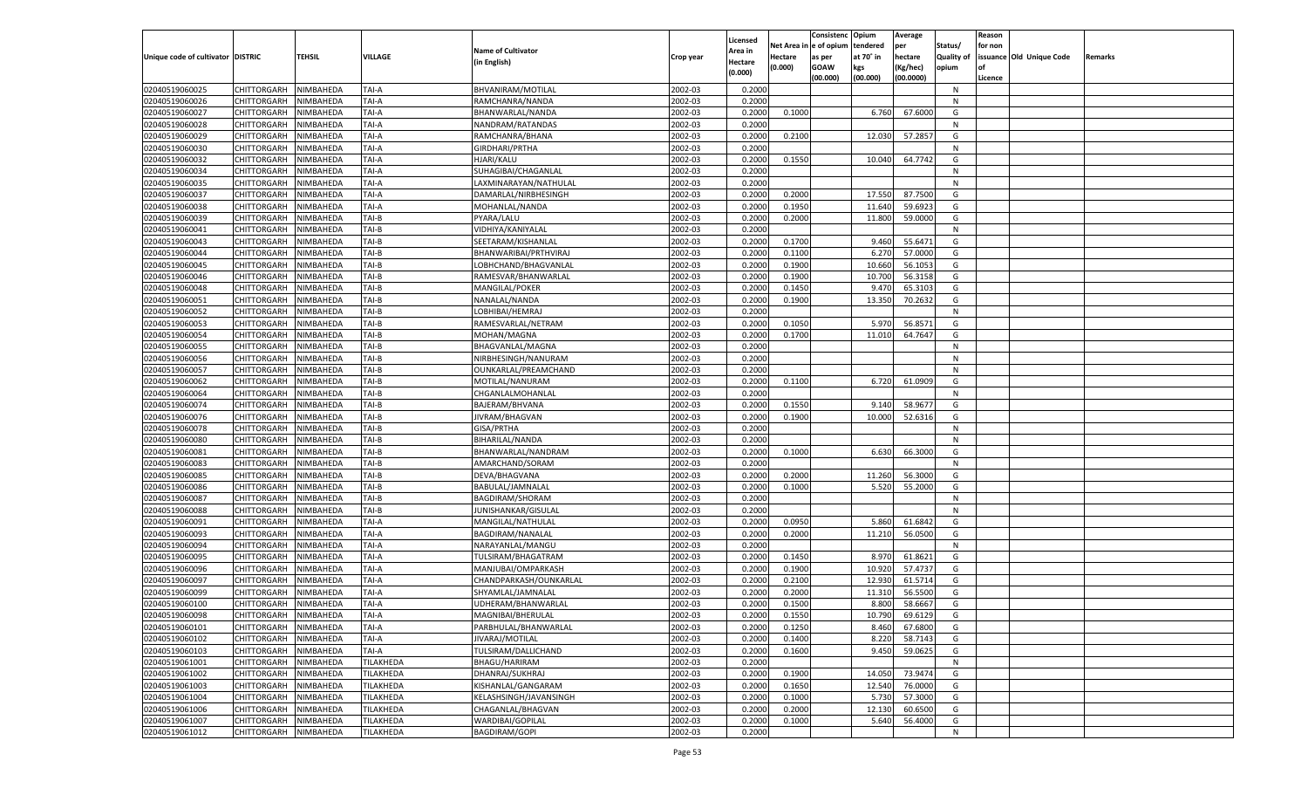|                                   |                    |           |                  |                           |           |                    |         | Consistenc Opium       |           | Average   |                   | Reason  |                          |                |
|-----------------------------------|--------------------|-----------|------------------|---------------------------|-----------|--------------------|---------|------------------------|-----------|-----------|-------------------|---------|--------------------------|----------------|
|                                   |                    |           |                  | <b>Name of Cultivator</b> |           | Licensed           |         | Net Area in e of opium | tendered  | per       | Status/           | for non |                          |                |
| Unique code of cultivator DISTRIC |                    | TEHSIL    | <b>VILLAGE</b>   |                           | Crop year | Area in            | Hectare | as per                 | at 70° in | hectare   | <b>Quality of</b> |         | issuance Old Unique Code | <b>Remarks</b> |
|                                   |                    |           |                  | (in English)              |           | Hectare<br>(0.000) | (0.000) | <b>GOAW</b>            | kgs       | (Kg/hec)  | opium             |         |                          |                |
|                                   |                    |           |                  |                           |           |                    |         | (00.000)               | (00.000)  | (00.0000) |                   | Licence |                          |                |
| 02040519060025                    | CHITTORGARH        | NIMBAHEDA | TAI-A            | BHVANIRAM/MOTILAL         | 2002-03   | 0.2000             |         |                        |           |           | N                 |         |                          |                |
| 02040519060026                    | CHITTORGARH        | NIMBAHEDA | TAI-A            | RAMCHANRA/NANDA           | 2002-03   | 0.2000             |         |                        |           |           | N                 |         |                          |                |
| 02040519060027                    | CHITTORGARH        | NIMBAHEDA | TAI-A            | BHANWARLAL/NANDA          | 2002-03   | 0.2000             | 0.1000  |                        | 6.760     | 67.6000   | G                 |         |                          |                |
| 02040519060028                    | CHITTORGARH        | NIMBAHEDA | TAI-A            | NANDRAM/RATANDAS          | 2002-03   | 0.2000             |         |                        |           |           | N                 |         |                          |                |
| 02040519060029                    | CHITTORGARH        | NIMBAHEDA | TAI-A            | RAMCHANRA/BHANA           | 2002-03   | 0.2000             | 0.2100  |                        | 12.030    | 57.2857   | G                 |         |                          |                |
| 02040519060030                    | CHITTORGARH        | NIMBAHEDA | TAI-A            | GIRDHARI/PRTHA            | 2002-03   | 0.2000             |         |                        |           |           | N                 |         |                          |                |
| 02040519060032                    | CHITTORGARH        | NIMBAHEDA | TAI-A            | HJARI/KALU                | 2002-03   | 0.2000             | 0.1550  |                        | 10.040    | 64.7742   | G                 |         |                          |                |
| 02040519060034                    | CHITTORGARH        | NIMBAHEDA | TAI-A            | SUHAGIBAI/CHAGANLAL       | 2002-03   | 0.2000             |         |                        |           |           | N                 |         |                          |                |
| 02040519060035                    | CHITTORGARH        | NIMBAHEDA | TAI-A            | LAXMINARAYAN/NATHULAL     | 2002-03   | 0.2000             |         |                        |           |           | N                 |         |                          |                |
| 02040519060037                    | CHITTORGARH        | NIMBAHEDA | TAI-A            | DAMARLAL/NIRBHESINGH      | 2002-03   | 0.2000             | 0.2000  |                        | 17.550    | 87.7500   | G                 |         |                          |                |
| 02040519060038                    | CHITTORGARH        | NIMBAHEDA | TAI-A            | MOHANLAL/NANDA            | 2002-03   | 0.2000             | 0.1950  |                        | 11.640    | 59.6923   | G                 |         |                          |                |
| 02040519060039                    | CHITTORGARH        | NIMBAHEDA | TAI-B            | PYARA/LALU                | 2002-03   | 0.2000             | 0.2000  |                        | 11.800    | 59.0000   | G                 |         |                          |                |
| 02040519060041                    | CHITTORGARH        | NIMBAHEDA | TAI-B            | VIDHIYA/KANIYALAL         | 2002-03   | 0.2000             |         |                        |           |           | N                 |         |                          |                |
| 02040519060043                    | CHITTORGARH        | NIMBAHEDA | TAI-B            | SEETARAM/KISHANLAL        | 2002-03   | 0.2000             | 0.1700  |                        | 9.460     | 55.6471   | G                 |         |                          |                |
| 02040519060044                    | CHITTORGARH        | NIMBAHEDA | TAI-B            | BHANWARIBAI/PRTHVIRAJ     | 2002-03   | 0.2000             | 0.1100  |                        | 6.270     | 57.0000   | G                 |         |                          |                |
| 02040519060045                    | CHITTORGARH        | NIMBAHEDA | TAI-B            | LOBHCHAND/BHAGVANLAL      | 2002-03   | 0.2000             | 0.1900  |                        | 10.660    | 56.1053   | G                 |         |                          |                |
| 02040519060046                    | CHITTORGARH        | NIMBAHEDA | TAI-B            | RAMESVAR/BHANWARLAL       | 2002-03   | 0.2000             | 0.1900  |                        | 10.700    | 56.3158   | G                 |         |                          |                |
| 02040519060048                    | CHITTORGARH        | NIMBAHEDA | TAI-B            | MANGILAL/POKER            | 2002-03   | 0.2000             | 0.1450  |                        | 9.470     | 65.3103   | G                 |         |                          |                |
| 02040519060051                    | CHITTORGARH        | NIMBAHEDA | TAI-B            | NANALAL/NANDA             | 2002-03   | 0.2000             | 0.1900  |                        | 13.350    | 70.2632   | G                 |         |                          |                |
| 02040519060052                    | CHITTORGARH        | NIMBAHEDA | TAI-B            | LOBHIBAI/HEMRAJ           | 2002-03   | 0.2000             |         |                        |           |           | N                 |         |                          |                |
|                                   |                    |           | TAI-B            |                           | 2002-03   |                    | 0.1050  |                        | 5.970     | 56.8571   | G                 |         |                          |                |
| 02040519060053                    | CHITTORGARH        | NIMBAHEDA |                  | RAMESVARLAL/NETRAM        |           | 0.2000             |         |                        |           |           |                   |         |                          |                |
| 02040519060054                    | CHITTORGARH        | NIMBAHEDA | TAI-B            | MOHAN/MAGNA               | 2002-03   | 0.2000             | 0.1700  |                        | 11.010    | 64.7647   | G                 |         |                          |                |
| 02040519060055                    | CHITTORGARH        | NIMBAHEDA | TAI-B            | BHAGVANLAL/MAGNA          | 2002-03   | 0.2000             |         |                        |           |           | N                 |         |                          |                |
| 02040519060056                    | CHITTORGARH        | NIMBAHEDA | TAI-B            | NIRBHESINGH/NANURAM       | 2002-03   | 0.2000             |         |                        |           |           | N                 |         |                          |                |
| 02040519060057                    | CHITTORGARH        | NIMBAHEDA | TAI-B            | OUNKARLAL/PREAMCHAND      | 2002-03   | 0.2000             |         |                        |           |           | N                 |         |                          |                |
| 02040519060062                    | CHITTORGARH        | NIMBAHEDA | TAI-B            | MOTILAL/NANURAM           | 2002-03   | 0.2000             | 0.1100  |                        | 6.720     | 61.0909   | G                 |         |                          |                |
| 02040519060064                    | CHITTORGARH        | NIMBAHEDA | TAI-B            | CHGANLALMOHANLAI          | 2002-03   | 0.2000             |         |                        |           |           | N                 |         |                          |                |
| 02040519060074                    | CHITTORGARH        | NIMBAHEDA | TAI-B            | <b>BAJERAM/BHVANA</b>     | 2002-03   | 0.2000             | 0.1550  |                        | 9.140     | 58.9677   | G                 |         |                          |                |
| 02040519060076                    | CHITTORGARH        | NIMBAHEDA | TAI-B            | JIVRAM/BHAGVAN            | 2002-03   | 0.2000             | 0.1900  |                        | 10.000    | 52.6316   | G                 |         |                          |                |
| 02040519060078                    | CHITTORGARH        | NIMBAHEDA | TAI-B            | GISA/PRTHA                | 2002-03   | 0.2000             |         |                        |           |           | N                 |         |                          |                |
| 02040519060080                    | CHITTORGARH        | NIMBAHEDA | TAI-B            | BIHARILAL/NANDA           | 2002-03   | 0.2000             |         |                        |           |           | N                 |         |                          |                |
| 02040519060081                    | CHITTORGARH        | NIMBAHEDA | TAI-B            | BHANWARLAL/NANDRAM        | 2002-03   | 0.2000             | 0.1000  |                        | 6.630     | 66.3000   | G                 |         |                          |                |
| 02040519060083                    | CHITTORGARH        | NIMBAHEDA | TAI-B            | AMARCHAND/SORAM           | 2002-03   | 0.2000             |         |                        |           |           | N                 |         |                          |                |
| 02040519060085                    | CHITTORGARH        | NIMBAHEDA | TAI-B            | DEVA/BHAGVANA             | 2002-03   | 0.2000             | 0.2000  |                        | 11.260    | 56.3000   | G                 |         |                          |                |
| 02040519060086                    | CHITTORGARH        | NIMBAHEDA | TAI-B            | BABULAL/JAMNALAL          | 2002-03   | 0.2000             | 0.1000  |                        | 5.520     | 55.2000   | G                 |         |                          |                |
| 02040519060087                    | CHITTORGARH        | NIMBAHEDA | TAI-B            | BAGDIRAM/SHORAM           | 2002-03   | 0.2000             |         |                        |           |           | N                 |         |                          |                |
| 02040519060088                    | CHITTORGARH        | NIMBAHEDA | TAI-B            | JUNISHANKAR/GISULAL       | 2002-03   | 0.2000             |         |                        |           |           | N                 |         |                          |                |
| 02040519060091                    | CHITTORGARH        | NIMBAHEDA | TAI-A            | MANGILAL/NATHULAL         | 2002-03   | 0.2000             | 0.0950  |                        | 5.860     | 61.6842   | G                 |         |                          |                |
| 02040519060093                    | CHITTORGARH        | NIMBAHEDA | TAI-A            | BAGDIRAM/NANALAL          | 2002-03   | 0.2000             | 0.2000  |                        | 11.210    | 56.0500   | G                 |         |                          |                |
| 02040519060094                    | CHITTORGARH        | NIMBAHEDA | TAI-A            | NARAYANLAL/MANGU          | 2002-03   | 0.2000             |         |                        |           |           | N                 |         |                          |                |
| 02040519060095                    | CHITTORGARH        | NIMBAHEDA | TAI-A            | TULSIRAM/BHAGATRAM        | 2002-03   | 0.2000             | 0.1450  |                        | 8.970     | 61.8621   | G                 |         |                          |                |
| 02040519060096                    | CHITTORGARH        | NIMBAHEDA | TAI-A            | MANJUBAI/OMPARKASH        | 2002-03   | 0.2000             | 0.1900  |                        | 10.920    | 57.4737   | G                 |         |                          |                |
| 02040519060097                    | CHITTORGARH        | NIMBAHEDA | TAI-A            | CHANDPARKASH/OUNKARLAL    | 2002-03   | 0.2000             | 0.2100  |                        | 12.930    | 61.5714   | G                 |         |                          |                |
| 02040519060099                    | CHITTORGARH        | NIMBAHEDA | TAI-A            | SHYAMLAL/JAMNALAL         | 2002-03   | 0.2000             | 0.2000  |                        | 11.31     | 56.5500   | G                 |         |                          |                |
| 02040519060100                    | CHITTORGARH        | NIMBAHEDA | TAI-A            | UDHERAM/BHANWARLAI        | 2002-03   | 0.2000             | 0.1500  |                        | 8.800     | 58.6667   | G                 |         |                          |                |
| 02040519060098                    | CHITTORGARH        | NIMBAHEDA | <b>TAI-A</b>     | MAGNIBAI/BHERULAL         | 2002-03   | 0.2000             | 0.1550  |                        | 10.790    | 69.6129   | G                 |         |                          |                |
| 02040519060101                    | CHITTORGARH        | NIMBAHEDA | TAI-A            | PARBHULAL/BHANWARLAL      | 2002-03   | 0.2000             | 0.1250  |                        | 8.460     | 67.6800   | G                 |         |                          |                |
| 02040519060102                    | <b>CHITTORGARH</b> | NIMBAHEDA | TAI-A            | JIVARAJ/MOTILAL           | 2002-03   | 0.2000             | 0.1400  |                        | 8.220     | 58.7143   | G                 |         |                          |                |
| 02040519060103                    | <b>CHITTORGARH</b> | NIMBAHEDA | TAI-A            | TULSIRAM/DALLICHAND       | 2002-03   | 0.2000             | 0.1600  |                        | 9.450     | 59.0625   | G                 |         |                          |                |
| 02040519061001                    | <b>CHITTORGARH</b> | NIMBAHEDA | <b>TILAKHEDA</b> | <b>BHAGU/HARIRAM</b>      | 2002-03   | 0.2000             |         |                        |           |           | N                 |         |                          |                |
| 02040519061002                    | <b>CHITTORGARH</b> | NIMBAHEDA | TILAKHEDA        | DHANRAJ/SUKHRAJ           | 2002-03   | 0.2000             | 0.1900  |                        | 14.050    | 73.9474   | G                 |         |                          |                |
| 02040519061003                    | <b>CHITTORGARH</b> | NIMBAHEDA | <b>TILAKHEDA</b> | KISHANLAL/GANGARAM        | 2002-03   | 0.2000             | 0.1650  |                        | 12.540    | 76.0000   | G                 |         |                          |                |
| 02040519061004                    | <b>CHITTORGARH</b> | NIMBAHEDA | TILAKHEDA        | KELASHSINGH/JAVANSINGH    | 2002-03   | 0.2000             | 0.1000  |                        | 5.730     | 57.3000   | G                 |         |                          |                |
| 02040519061006                    | <b>CHITTORGARH</b> | NIMBAHEDA | <b>TILAKHEDA</b> | CHAGANLAL/BHAGVAN         | 2002-03   | 0.2000             | 0.2000  |                        | 12.130    | 60.6500   | G                 |         |                          |                |
| 02040519061007                    | <b>CHITTORGARH</b> | NIMBAHEDA | TILAKHEDA        | WARDIBAI/GOPILAL          | 2002-03   | 0.2000             | 0.1000  |                        | 5.640     | 56.4000   | G                 |         |                          |                |
| 02040519061012                    | <b>CHITTORGARH</b> | NIMBAHEDA | <b>TILAKHEDA</b> | <b>BAGDIRAM/GOPI</b>      | 2002-03   | 0.2000             |         |                        |           |           | N                 |         |                          |                |
|                                   |                    |           |                  |                           |           |                    |         |                        |           |           |                   |         |                          |                |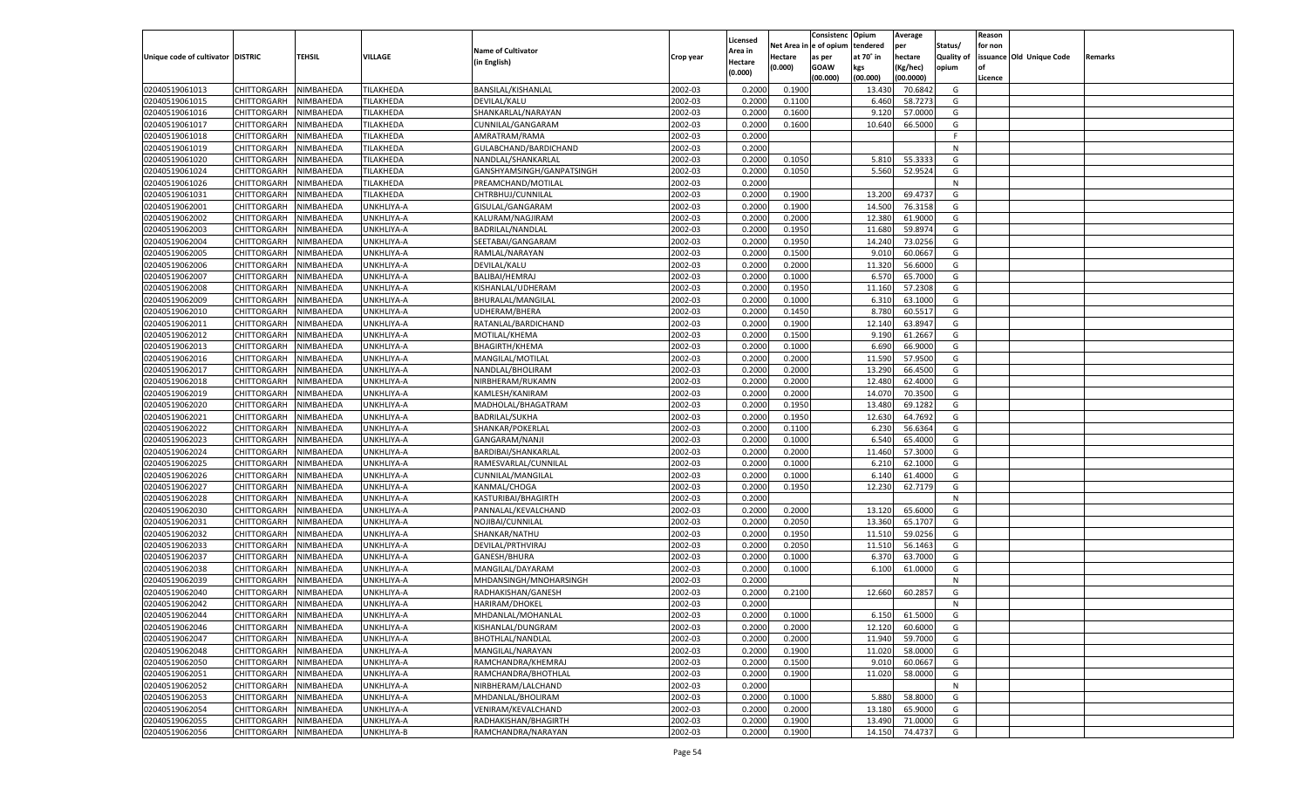|                                   |                       |               |            |                           |           |                           |          | Consistenc  | Opium     | Average   |                   | Reason  |                          |         |
|-----------------------------------|-----------------------|---------------|------------|---------------------------|-----------|---------------------------|----------|-------------|-----------|-----------|-------------------|---------|--------------------------|---------|
|                                   |                       |               |            | <b>Name of Cultivator</b> |           | Licensed                  | Net Area | e of opium  | tendered  | per       | Status/           | for non |                          |         |
| Unique code of cultivator DISTRIC |                       | <b>TEHSIL</b> | VILLAGE    | (in English)              | Crop year | <b>Area in</b><br>Hectare | Hectare  | as per      | at 70° in | hectare   | <b>Quality of</b> |         | issuance Old Unique Code | Remarks |
|                                   |                       |               |            |                           |           | (0.000)                   | (0.000)  | <b>GOAW</b> | kgs       | (Kg/hec)  | opium             |         |                          |         |
|                                   |                       |               |            |                           |           |                           |          | (00.000)    | (00.000)  | (00.0000) |                   | Licence |                          |         |
| 02040519061013                    | CHITTORGARH           | NIMBAHEDA     | TILAKHEDA  | BANSILAL/KISHANLAL        | 2002-03   | 0.2000                    | 0.1900   |             | 13.430    | 70.6842   | G                 |         |                          |         |
| 02040519061015                    | CHITTORGARH           | NIMBAHEDA     | TILAKHEDA  | DEVILAL/KALU              | 2002-03   | 0.2000                    | 0.1100   |             | 6.460     | 58.7273   | G                 |         |                          |         |
| 02040519061016                    | CHITTORGARH           | NIMBAHEDA     | TILAKHEDA  | SHANKARLAL/NARAYAN        | 2002-03   | 0.2000                    | 0.1600   |             | 9.120     | 57.0000   | G                 |         |                          |         |
| 02040519061017                    | CHITTORGARH           | NIMBAHEDA     | TILAKHEDA  | CUNNILAL/GANGARAM         | 2002-03   | 0.2000                    | 0.1600   |             | 10.640    | 66.5000   | G                 |         |                          |         |
| 02040519061018                    | CHITTORGARH           | NIMBAHEDA     | TILAKHEDA  | AMRATRAM/RAMA             | 2002-03   | 0.2000                    |          |             |           |           | F.                |         |                          |         |
| 02040519061019                    | CHITTORGARH           | NIMBAHEDA     | TILAKHEDA  | GULABCHAND/BARDICHAND     | 2002-03   | 0.2000                    |          |             |           |           | N                 |         |                          |         |
| 02040519061020                    | CHITTORGARH           | NIMBAHEDA     | TILAKHEDA  | NANDLAL/SHANKARLAI        | 2002-03   | 0.2000                    | 0.1050   |             | 5.810     | 55.333    | G                 |         |                          |         |
| 02040519061024                    | CHITTORGARH           | NIMBAHEDA     | TILAKHEDA  | GANSHYAMSINGH/GANPATSINGH | 2002-03   | 0.2000                    | 0.1050   |             | 5.560     | 52.9524   | G                 |         |                          |         |
| 02040519061026                    | CHITTORGARH           | NIMBAHEDA     | TILAKHEDA  | PREAMCHAND/MOTILAL        | 2002-03   | 0.2000                    |          |             |           |           | N                 |         |                          |         |
| 02040519061031                    | CHITTORGARH           | NIMBAHEDA     | TILAKHEDA  | CHTRBHUJ/CUNNILAL         | 2002-03   | 0.2000                    | 0.1900   |             | 13.200    | 69.473    | G                 |         |                          |         |
| 02040519062001                    | CHITTORGARH           | NIMBAHEDA     | UNKHLIYA-A | GISULAL/GANGARAM          | 2002-03   | 0.2000                    | 0.1900   |             | 14.500    | 76.3158   | G                 |         |                          |         |
| 02040519062002                    | CHITTORGARH           | NIMBAHEDA     | UNKHLIYA-A | KALURAM/NAGJIRAM          | 2002-03   | 0.2000                    | 0.2000   |             | 12.380    | 61.9000   | G                 |         |                          |         |
| 02040519062003                    | CHITTORGARH           | NIMBAHEDA     | UNKHLIYA-A | BADRILAL/NANDLAL          | 2002-03   | 0.2000                    | 0.1950   |             | 11.680    | 59.8974   | G                 |         |                          |         |
| 02040519062004                    | CHITTORGARH           | NIMBAHEDA     | UNKHLIYA-A | SEETABAI/GANGARAM         | 2002-03   | 0.2000                    | 0.1950   |             | 14.240    | 73.0256   | G                 |         |                          |         |
| 02040519062005                    | CHITTORGARH           | NIMBAHEDA     | UNKHLIYA-A | RAMLAL/NARAYAN            | 2002-03   | 0.2000                    | 0.1500   |             | 9.010     | 60.0667   | G                 |         |                          |         |
| 02040519062006                    | CHITTORGARH           | NIMBAHEDA     | UNKHLIYA-A | DEVILAL/KALU              | 2002-03   | 0.2000                    | 0.2000   |             | 11.320    | 56.6000   | G                 |         |                          |         |
| 02040519062007                    | CHITTORGARH           | NIMBAHEDA     | UNKHLIYA-A | BALIBAI/HEMRAJ            | 2002-03   | 0.2000                    | 0.1000   |             | 6.570     | 65.7000   | G                 |         |                          |         |
| 02040519062008                    | CHITTORGARH           | NIMBAHEDA     | UNKHLIYA-A | KISHANLAL/UDHERAM         | 2002-03   | 0.2000                    | 0.1950   |             | 11.160    | 57.2308   | G                 |         |                          |         |
| 02040519062009                    | CHITTORGARH           | NIMBAHEDA     | UNKHLIYA-A | BHURALAL/MANGILAL         | 2002-03   | 0.2000                    | 0.1000   |             | 6.310     | 63.1000   | G                 |         |                          |         |
| 02040519062010                    | CHITTORGARH           | NIMBAHEDA     | UNKHLIYA-A | UDHERAM/BHERA             | 2002-03   | 0.2000                    | 0.1450   |             | 8.780     | 60.5517   | G                 |         |                          |         |
| 02040519062011                    | CHITTORGARH           | NIMBAHEDA     | UNKHLIYA-A | RATANLAL/BARDICHAND       | 2002-03   | 0.2000                    | 0.1900   |             | 12.140    | 63.8947   | G                 |         |                          |         |
| 02040519062012                    | CHITTORGARH           | NIMBAHEDA     | UNKHLIYA-A | MOTILAL/KHEMA             | 2002-03   | 0.2000                    | 0.1500   |             | 9.190     | 61.2667   | G                 |         |                          |         |
| 02040519062013                    | CHITTORGARH           | NIMBAHEDA     | UNKHLIYA-A | <b>BHAGIRTH/KHEMA</b>     | 2002-03   | 0.2000                    | 0.1000   |             | 6.690     | 66.9000   | G                 |         |                          |         |
| 02040519062016                    | CHITTORGARH           | NIMBAHEDA     | UNKHLIYA-A | MANGILAL/MOTILAL          | 2002-03   | 0.2000                    | 0.2000   |             | 11.590    | 57.9500   | G                 |         |                          |         |
| 02040519062017                    | CHITTORGARH           | NIMBAHEDA     | UNKHLIYA-A | NANDLAL/BHOLIRAM          | 2002-03   | 0.2000                    | 0.2000   |             | 13.290    | 66.4500   | G                 |         |                          |         |
| 02040519062018                    | CHITTORGARH           | NIMBAHEDA     | UNKHLIYA-A | NIRBHERAM/RUKAMN          | 2002-03   | 0.2000                    | 0.2000   |             | 12.480    | 62.4000   | G                 |         |                          |         |
| 02040519062019                    | CHITTORGARH           | NIMBAHEDA     | UNKHLIYA-A | KAMLESH/KANIRAM           | 2002-03   | 0.2000                    | 0.2000   |             | 14.070    | 70.3500   | G                 |         |                          |         |
| 02040519062020                    | CHITTORGARH           | NIMBAHEDA     | UNKHLIYA-A | MADHOLAL/BHAGATRAM        | 2002-03   | 0.2000                    | 0.1950   |             | 13.480    | 69.1282   | G                 |         |                          |         |
| 02040519062021                    | CHITTORGARH           | NIMBAHEDA     | UNKHLIYA-A | <b>BADRILAL/SUKHA</b>     | 2002-03   | 0.2000                    | 0.1950   |             | 12.630    | 64.7692   | G                 |         |                          |         |
| 02040519062022                    | CHITTORGARH           | NIMBAHEDA     | UNKHLIYA-A | SHANKAR/POKERLAL          | 2002-03   | 0.2000                    | 0.1100   |             | 6.230     | 56.6364   | G                 |         |                          |         |
| 02040519062023                    | CHITTORGARH           | NIMBAHEDA     | UNKHLIYA-A | GANGARAM/NANJI            | 2002-03   | 0.2000                    | 0.1000   |             | 6.54      | 65.4000   | G                 |         |                          |         |
| 02040519062024                    | CHITTORGARH           | NIMBAHEDA     | UNKHLIYA-A | BARDIBAI/SHANKARLAL       | 2002-03   | 0.2000                    | 0.2000   |             | 11.460    | 57.3000   | G                 |         |                          |         |
| 02040519062025                    | CHITTORGARH           | NIMBAHEDA     | UNKHLIYA-A | RAMESVARLAL/CUNNILAL      | 2002-03   | 0.2000                    | 0.1000   |             | 6.21      | 62.1000   | G                 |         |                          |         |
| 02040519062026                    | CHITTORGARH           | NIMBAHEDA     | UNKHLIYA-A | CUNNILAL/MANGILAL         | 2002-03   | 0.2000                    | 0.1000   |             | 6.14      | 61.4000   | G                 |         |                          |         |
| 02040519062027                    |                       | NIMBAHEDA     |            |                           | 2002-03   | 0.2000                    | 0.1950   |             | 12.230    | 62.7179   | G                 |         |                          |         |
| 02040519062028                    | CHITTORGARH           |               | UNKHLIYA-A | KANMAL/CHOGA              | 2002-03   |                           |          |             |           |           | N                 |         |                          |         |
|                                   | CHITTORGARH           | NIMBAHEDA     | UNKHLIYA-A | KASTURIBAI/BHAGIRTH       |           | 0.2000                    |          |             |           |           |                   |         |                          |         |
| 02040519062030                    | CHITTORGARH           | NIMBAHEDA     | UNKHLIYA-A | PANNALAL/KEVALCHAND       | 2002-03   | 0.2000                    | 0.2000   |             | 13.120    | 65.6000   | G                 |         |                          |         |
| 02040519062031                    | CHITTORGARH           | NIMBAHEDA     | UNKHLIYA-A | NOJIBAI/CUNNILAL          | 2002-03   | 0.2000                    | 0.2050   |             | 13.360    | 65.1707   | G                 |         |                          |         |
| 02040519062032                    | CHITTORGARH           | NIMBAHEDA     | UNKHLIYA-A | SHANKAR/NATHU             | 2002-03   | 0.2000                    | 0.1950   |             | 11.51     | 59.0256   | G                 |         |                          |         |
| 02040519062033                    | CHITTORGARH           | NIMBAHEDA     | UNKHLIYA-A | DEVILAL/PRTHVIRAJ         | 2002-03   | 0.2000                    | 0.2050   |             | 11.51     | 56.1463   | G                 |         |                          |         |
| 02040519062037                    | CHITTORGARH           | NIMBAHEDA     | UNKHLIYA-A | GANESH/BHURA              | 2002-03   | 0.2000                    | 0.1000   |             | 6.370     | 63.7000   | G                 |         |                          |         |
| 02040519062038                    | CHITTORGARH           | NIMBAHEDA     | UNKHLIYA-A | MANGILAL/DAYARAM          | 2002-03   | 0.2000                    | 0.1000   |             | 6.100     | 61.0000   | G                 |         |                          |         |
| 02040519062039                    | CHITTORGARH           | NIMBAHEDA     | UNKHLIYA-A | MHDANSINGH/MNOHARSINGH    | 2002-03   | 0.2000                    |          |             |           |           | N                 |         |                          |         |
| 02040519062040                    | CHITTORGARH           | NIMBAHEDA     | UNKHLIYA-A | RADHAKISHAN/GANESH        | 2002-03   | 0.2000                    | 0.2100   |             | 12.660    | 60.285    | G                 |         |                          |         |
| 02040519062042                    | CHITTORGARH           | NIMBAHEDA     | UNKHLIYA-A | HARIRAM/DHOKEL            | 2002-03   | 0.2000                    |          |             |           |           | N                 |         |                          |         |
| 02040519062044                    | CHITTORGARH NIMBAHEDA |               | UNKHLIYA-A | MHDANLAL/MOHANLAL         | 2002-03   | 0.2000                    | 0.1000   |             | 6.150     | 61.5000   | G                 |         |                          |         |
| 02040519062046                    | <b>CHITTORGARH</b>    | NIMBAHEDA     | UNKHLIYA-A | KISHANLAL/DUNGRAM         | 2002-03   | 0.2000                    | 0.2000   |             | 12.120    | 60.6000   | G                 |         |                          |         |
| 02040519062047                    | CHITTORGARH           | NIMBAHEDA     | UNKHLIYA-A | <b>BHOTHLAL/NANDLAL</b>   | 2002-03   | 0.2000                    | 0.2000   |             | 11.940    | 59.7000   | G                 |         |                          |         |
| 02040519062048                    | <b>CHITTORGARH</b>    | NIMBAHEDA     | UNKHLIYA-A | MANGILAL/NARAYAN          | 2002-03   | 0.2000                    | 0.1900   |             | 11.020    | 58.0000   | G                 |         |                          |         |
| 02040519062050                    | <b>CHITTORGARH</b>    | NIMBAHEDA     | UNKHLIYA-A | RAMCHANDRA/KHEMRAJ        | 2002-03   | 0.2000                    | 0.1500   |             | 9.010     | 60.0667   | G                 |         |                          |         |
| 02040519062051                    | <b>CHITTORGARH</b>    | NIMBAHEDA     | UNKHLIYA-A | RAMCHANDRA/BHOTHLAL       | 2002-03   | 0.2000                    | 0.1900   |             | 11.020    | 58.0000   | G                 |         |                          |         |
| 02040519062052                    | <b>CHITTORGARH</b>    | NIMBAHEDA     | UNKHLIYA-A | NIRBHERAM/LALCHAND        | 2002-03   | 0.2000                    |          |             |           |           | N                 |         |                          |         |
| 02040519062053                    | <b>CHITTORGARH</b>    | NIMBAHEDA     | UNKHLIYA-A | MHDANLAL/BHOLIRAM         | 2002-03   | 0.2000                    | 0.1000   |             | 5.880     | 58.8000   | G                 |         |                          |         |
| 02040519062054                    | <b>CHITTORGARH</b>    | NIMBAHEDA     | UNKHLIYA-A | VENIRAM/KEVALCHAND        | 2002-03   | 0.2000                    | 0.2000   |             | 13.180    | 65.9000   | G                 |         |                          |         |
| 02040519062055                    | <b>CHITTORGARH</b>    | NIMBAHEDA     | UNKHLIYA-A | RADHAKISHAN/BHAGIRTH      | 2002-03   | 0.2000                    | 0.1900   |             | 13.490    | 71.0000   | G                 |         |                          |         |
| 02040519062056                    | CHITTORGARH           | NIMBAHEDA     | UNKHLIYA-B | RAMCHANDRA/NARAYAN        | 2002-03   | 0.2000                    | 0.1900   |             | 14.150    | 74.4737   | G                 |         |                          |         |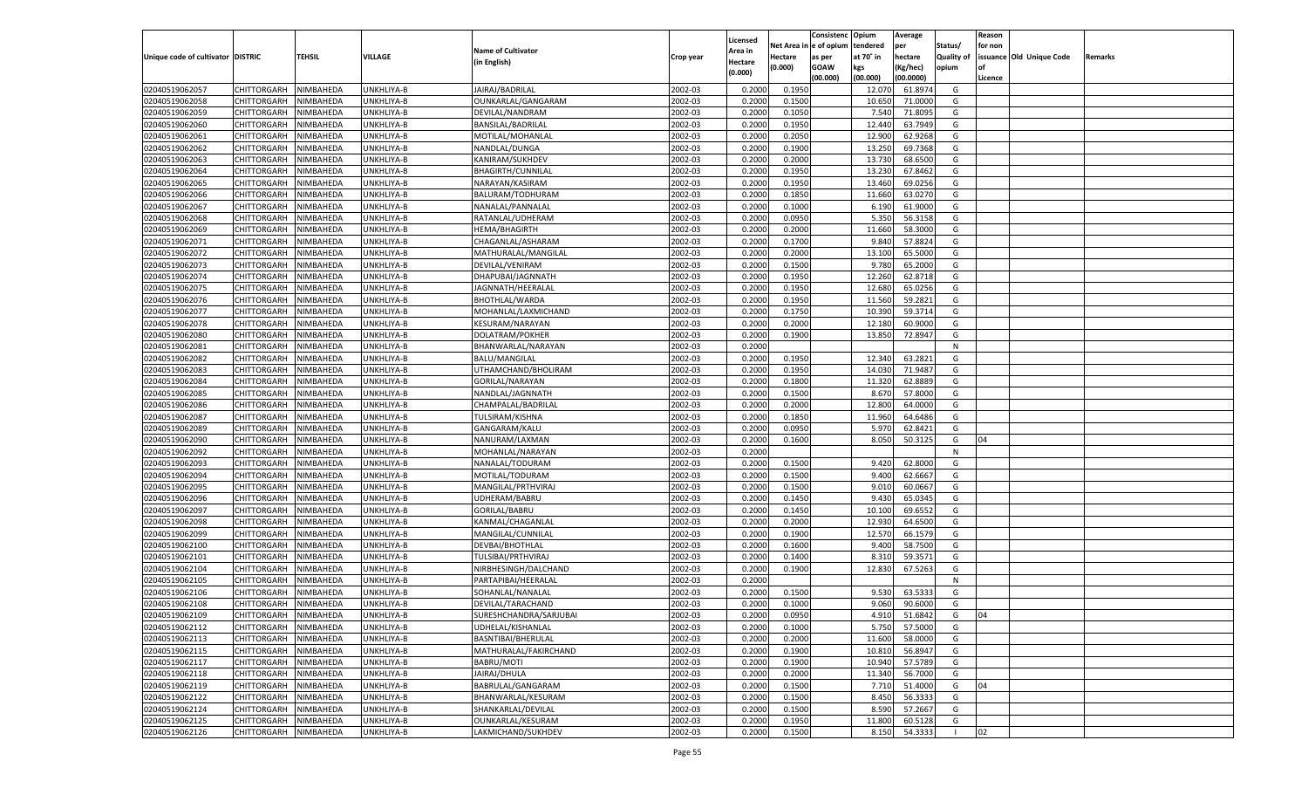|                                   |                       |               |            |                           |           |                           |          | Consistenc  | Opium     | Average       |                   | Reason  |                          |         |
|-----------------------------------|-----------------------|---------------|------------|---------------------------|-----------|---------------------------|----------|-------------|-----------|---------------|-------------------|---------|--------------------------|---------|
|                                   |                       |               |            | <b>Name of Cultivator</b> |           | Licensed                  | Net Area | e of opium  | tendered  | per           | Status/           | for non |                          |         |
| Unique code of cultivator DISTRIC |                       | <b>TEHSIL</b> | VILLAGE    | (in English)              | Crop year | <b>Area in</b><br>Hectare | Hectare  | as per      | at 70° in | hectare       | <b>Quality of</b> |         | issuance Old Unique Code | Remarks |
|                                   |                       |               |            |                           |           | (0.000)                   | (0.000)  | <b>GOAW</b> | kgs       | (Kg/hec)      | opium             |         |                          |         |
|                                   |                       |               |            |                           |           |                           |          | (00.000)    | (00.000)  | (00.0000)     |                   | Licence |                          |         |
| 02040519062057                    | CHITTORGARH           | NIMBAHEDA     | UNKHLIYA-B | JAIRAJ/BADRILAL           | 2002-03   | 0.2000                    | 0.1950   |             | 12.070    | 61.8974       | G                 |         |                          |         |
| 02040519062058                    | CHITTORGARH           | NIMBAHEDA     | UNKHLIYA-B | OUNKARLAL/GANGARAM        | 2002-03   | 0.2000                    | 0.1500   |             | 10.650    | 71.0000       | G                 |         |                          |         |
| 02040519062059                    | CHITTORGARH           | NIMBAHEDA     | UNKHLIYA-B | DEVILAL/NANDRAM           | 2002-03   | 0.2000                    | 0.1050   |             | 7.540     | 71.8095       | G                 |         |                          |         |
| 02040519062060                    | CHITTORGARH           | NIMBAHEDA     | UNKHLIYA-B | BANSILAL/BADRILAL         | 2002-03   | 0.2000                    | 0.1950   |             | 12.440    | 63.7949       | G                 |         |                          |         |
| 02040519062061                    | CHITTORGARH           | NIMBAHEDA     | UNKHLIYA-B | MOTILAL/MOHANLAI          | 2002-03   | 0.2000                    | 0.2050   |             | 12.900    | 62.9268       | G                 |         |                          |         |
| 02040519062062                    | CHITTORGARH           | NIMBAHEDA     | UNKHLIYA-B | NANDLAL/DUNGA             | 2002-03   | 0.2000                    | 0.1900   |             | 13.250    | 69.7368       | G                 |         |                          |         |
| 02040519062063                    | CHITTORGARH           | NIMBAHEDA     | UNKHLIYA-B | KANIRAM/SUKHDEV           | 2002-03   | 0.2000                    | 0.2000   |             | 13.730    | 68.6500       | G                 |         |                          |         |
| 02040519062064                    | CHITTORGARH           | NIMBAHEDA     | UNKHLIYA-B | <b>BHAGIRTH/CUNNILAL</b>  | 2002-03   | 0.2000                    | 0.1950   |             | 13.230    | 67.8462       | G                 |         |                          |         |
| 02040519062065                    | CHITTORGARH           | NIMBAHEDA     | UNKHLIYA-B | NARAYAN/KASIRAM           | 2002-03   | 0.2000                    | 0.1950   |             | 13.460    | 69.0256       | G                 |         |                          |         |
| 02040519062066                    | CHITTORGARH           | NIMBAHEDA     | UNKHLIYA-B | BALURAM/TODHURAM          | 2002-03   | 0.2000                    | 0.1850   |             | 11.660    | 63.0270       | G                 |         |                          |         |
| 02040519062067                    | CHITTORGARH           | NIMBAHEDA     | UNKHLIYA-B | NANALAL/PANNALAL          | 2002-03   | 0.2000                    | 0.1000   |             | 6.190     | 61.9000       | G                 |         |                          |         |
| 02040519062068                    | CHITTORGARH           | NIMBAHEDA     | UNKHLIYA-B | RATANLAL/UDHERAM          | 2002-03   | 0.2000                    | 0.0950   |             | 5.350     | 56.3158       | G                 |         |                          |         |
| 02040519062069                    | CHITTORGARH           | NIMBAHEDA     | UNKHLIYA-B | HEMA/BHAGIRTH             | 2002-03   | 0.2000                    | 0.2000   |             | 11.660    | 58.3000       | G                 |         |                          |         |
| 02040519062071                    | CHITTORGARH           | NIMBAHEDA     | UNKHLIYA-B | CHAGANLAL/ASHARAM         | 2002-03   | 0.2000                    | 0.1700   |             | 9.84      | 57.882        | G                 |         |                          |         |
| 02040519062072                    | CHITTORGARH           | NIMBAHEDA     | UNKHLIYA-B | MATHURALAL/MANGILAL       | 2002-03   | 0.2000                    | 0.2000   |             | 13.100    | 65.5000       | G                 |         |                          |         |
| 02040519062073                    | CHITTORGARH           | NIMBAHEDA     | UNKHLIYA-B | DEVILAL/VENIRAM           | 2002-03   | 0.2000                    | 0.1500   |             | 9.780     | 65.2000       | G                 |         |                          |         |
| 02040519062074                    | CHITTORGARH           | NIMBAHEDA     | UNKHLIYA-B | DHAPUBAI/JAGNNATH         | 2002-03   | 0.2000                    | 0.1950   |             | 12.260    | 62.8718       | G                 |         |                          |         |
| 02040519062075                    | CHITTORGARH           | NIMBAHEDA     | UNKHLIYA-B | JAGNNATH/HEERALAL         | 2002-03   | 0.2000                    | 0.1950   |             | 12.680    | 65.0256       | G                 |         |                          |         |
| 02040519062076                    | CHITTORGARH           | NIMBAHEDA     | UNKHLIYA-B | BHOTHLAL/WARDA            | 2002-03   | 0.2000                    | 0.1950   |             | 11.560    | 59.2821       | G                 |         |                          |         |
| 02040519062077                    | CHITTORGARH           | NIMBAHEDA     | UNKHLIYA-B | MOHANLAL/LAXMICHAND       | 2002-03   | 0.2000                    | 0.1750   |             | 10.390    | 59.3714       | G                 |         |                          |         |
| 02040519062078                    | CHITTORGARH           | NIMBAHEDA     | UNKHLIYA-B | KESURAM/NARAYAN           | 2002-03   | 0.2000                    | 0.2000   |             | 12.180    | 60.9000       | G                 |         |                          |         |
| 02040519062080                    | CHITTORGARH           | NIMBAHEDA     | UNKHLIYA-B | DOLATRAM/POKHER           | 2002-03   | 0.2000                    | 0.1900   |             | 13.850    | 72.8947       | G                 |         |                          |         |
| 02040519062081                    | CHITTORGARH           | NIMBAHEDA     | UNKHLIYA-B | BHANWARLAL/NARAYAN        | 2002-03   | 0.2000                    |          |             |           |               | N                 |         |                          |         |
| 02040519062082                    | CHITTORGARH           | NIMBAHEDA     | UNKHLIYA-B | <b>BALU/MANGILAL</b>      | 2002-03   | 0.2000                    | 0.1950   |             | 12.340    | 63.2821       | G                 |         |                          |         |
| 02040519062083                    | CHITTORGARH           | NIMBAHEDA     | UNKHLIYA-B | UTHAMCHAND/BHOLIRAM       | 2002-03   | 0.2000                    | 0.1950   |             | 14.030    | 71.9487       | G                 |         |                          |         |
| 02040519062084                    | CHITTORGARH           | NIMBAHEDA     | UNKHLIYA-B | GORILAL/NARAYAN           | 2002-03   | 0.2000                    | 0.1800   |             | 11.320    | 62.888        | G                 |         |                          |         |
| 02040519062085                    | CHITTORGARH           | NIMBAHEDA     | UNKHLIYA-B | NANDLAL/JAGNNATH          | 2002-03   | 0.2000                    | 0.1500   |             | 8.670     | 57.8000       | G                 |         |                          |         |
| 02040519062086                    | CHITTORGARH           | NIMBAHEDA     | UNKHLIYA-B | CHAMPALAL/BADRILAL        | 2002-03   | 0.2000                    | 0.2000   |             | 12.800    | 64.0000       | G                 |         |                          |         |
| 02040519062087                    | CHITTORGARH           | NIMBAHEDA     | UNKHLIYA-B | TULSIRAM/KISHNA           | 2002-03   | 0.2000                    | 0.1850   |             | 11.960    | 64.6486       | G                 |         |                          |         |
| 02040519062089                    | CHITTORGARH           | NIMBAHEDA     | UNKHLIYA-B | GANGARAM/KALU             | 2002-03   | 0.2000                    | 0.0950   |             | 5.970     | 62.8421       | G                 |         |                          |         |
| 02040519062090                    | CHITTORGARH           | NIMBAHEDA     | UNKHLIYA-B | NANURAM/LAXMAN            | 2002-03   | 0.2000                    | 0.1600   |             | 8.050     | 50.3125       | G                 | 04      |                          |         |
| 02040519062092                    | CHITTORGARH           | NIMBAHEDA     | UNKHLIYA-B | MOHANLAL/NARAYAN          | 2002-03   | 0.2000                    |          |             |           |               | N                 |         |                          |         |
| 02040519062093                    | CHITTORGARH           | NIMBAHEDA     | UNKHLIYA-B | NANALAL/TODURAM           | 2002-03   | 0.2000                    | 0.1500   |             | 9.420     | 62.8000       | G                 |         |                          |         |
| 02040519062094                    | CHITTORGARH           | NIMBAHEDA     | UNKHLIYA-B | MOTILAL/TODURAM           | 2002-03   | 0.2000                    | 0.1500   |             | 9.40      | 62.6667       | G                 |         |                          |         |
| 02040519062095                    | CHITTORGARH           | NIMBAHEDA     | UNKHLIYA-B | MANGILAL/PRTHVIRAJ        | 2002-03   | 0.2000                    | 0.1500   |             | 9.010     | 60.0667       | G                 |         |                          |         |
| 02040519062096                    | CHITTORGARH           | NIMBAHEDA     | UNKHLIYA-B | UDHERAM/BABRU             | 2002-03   | 0.2000                    | 0.1450   |             | 9.43      | 65.0345       | G                 |         |                          |         |
| 02040519062097                    | CHITTORGARH           | NIMBAHEDA     | UNKHLIYA-B | GORILAL/BABRU             | 2002-03   | 0.2000                    | 0.1450   |             | 10.100    | 69.655        | G                 |         |                          |         |
| 02040519062098                    | CHITTORGARH           | NIMBAHEDA     | UNKHLIYA-B | KANMAL/CHAGANLAL          | 2002-03   | 0.2000                    | 0.2000   |             | 12.930    | 64.6500       | G                 |         |                          |         |
| 02040519062099                    | CHITTORGARH           | NIMBAHEDA     | UNKHLIYA-B | MANGILAL/CUNNILAL         | 2002-03   | 0.2000                    | 0.1900   |             | 12.570    | 66.1579       | G                 |         |                          |         |
| 02040519062100                    | CHITTORGARH           | NIMBAHEDA     | UNKHLIYA-B | DEVBAI/BHOTHLAL           | 2002-03   | 0.2000                    | 0.1600   |             | 9.40      | 58.7500       | G                 |         |                          |         |
| 02040519062101                    | CHITTORGARH           | NIMBAHEDA     | UNKHLIYA-B | TULSIBAI/PRTHVIRAJ        | 2002-03   | 0.2000                    | 0.1400   |             | 8.31      | 59.3571       | G                 |         |                          |         |
| 02040519062104                    | CHITTORGARH           | NIMBAHEDA     | UNKHLIYA-B | NIRBHESINGH/DALCHAND      | 2002-03   | 0.2000                    | 0.1900   |             | 12.830    | 67.5263       | G                 |         |                          |         |
| 02040519062105                    | CHITTORGARH           | NIMBAHEDA     | UNKHLIYA-B | PARTAPIBAI/HEERALAI       | 2002-03   | 0.2000                    |          |             |           |               | N                 |         |                          |         |
| 02040519062106                    |                       |               |            |                           | 2002-03   |                           |          |             | 9.530     | 63.533        | G                 |         |                          |         |
|                                   | CHITTORGARH           | NIMBAHEDA     | UNKHLIYA-B | SOHANLAL/NANALAL          |           | 0.2000                    | 0.1500   |             |           | 90.6000       |                   |         |                          |         |
| 02040519062108                    | CHITTORGARH           | NIMBAHEDA     | UNKHLIYA-B | DEVILAL/TARACHAND         | 2002-03   | 0.2000                    | 0.1000   |             | 9.060     |               | G                 |         |                          |         |
| 02040519062109                    | CHITTORGARH NIMBAHEDA |               | UNKHLIYA-B | SURESHCHANDRA/SARJUBAI    | 2002-03   | 0.2000                    | 0.0950   |             |           | 4.910 51.6842 | G                 | 04      |                          |         |
| 02040519062112                    | <b>CHITTORGARH</b>    | NIMBAHEDA     | UNKHLIYA-B | UDHELAL/KISHANLAL         | 2002-03   | 0.2000                    | 0.1000   |             | 5.750     | 57.5000       | G                 |         |                          |         |
| 02040519062113                    | <b>CHITTORGARH</b>    | NIMBAHEDA     | UNKHLIYA-B | BASNTIBAI/BHERULAL        | 2002-03   | 0.2000                    | 0.2000   |             | 11.600    | 58.0000       | G                 |         |                          |         |
| 02040519062115                    | <b>CHITTORGARH</b>    | NIMBAHEDA     | UNKHLIYA-B | MATHURALAL/FAKIRCHAND     | 2002-03   | 0.2000                    | 0.1900   |             | 10.810    | 56.8947       | G                 |         |                          |         |
| 02040519062117                    | <b>CHITTORGARH</b>    | NIMBAHEDA     | UNKHLIYA-B | BABRU/MOTI                | 2002-03   | 0.2000                    | 0.1900   |             | 10.940    | 57.5789       | G                 |         |                          |         |
| 02040519062118                    | <b>CHITTORGARH</b>    | NIMBAHEDA     | UNKHLIYA-B | JAIRAJ/DHULA              | 2002-03   | 0.2000                    | 0.2000   |             | 11.340    | 56.7000       | G                 |         |                          |         |
| 02040519062119                    | <b>CHITTORGARH</b>    | NIMBAHEDA     | UNKHLIYA-B | BABRULAL/GANGARAM         | 2002-03   | 0.2000                    | 0.1500   |             | 7.710     | 51.4000       | G                 | 04      |                          |         |
| 02040519062122                    | <b>CHITTORGARH</b>    | NIMBAHEDA     | UNKHLIYA-B | BHANWARLAL/KESURAM        | 2002-03   | 0.2000                    | 0.1500   |             | 8.450     | 56.3333       | G                 |         |                          |         |
| 02040519062124                    | <b>CHITTORGARH</b>    | NIMBAHEDA     | UNKHLIYA-B | SHANKARLAL/DEVILAL        | 2002-03   | 0.2000                    | 0.1500   |             | 8.590     | 57.2667       | G                 |         |                          |         |
| 02040519062125                    | <b>CHITTORGARH</b>    | NIMBAHEDA     | UNKHLIYA-B | OUNKARLAL/KESURAM         | 2002-03   | 0.2000                    | 0.1950   |             | 11.800    | 60.5128       | G                 |         |                          |         |
| 02040519062126                    | CHITTORGARH           | NIMBAHEDA     | UNKHLIYA-B | LAKMICHAND/SUKHDEV        | 2002-03   | 0.2000                    | 0.1500   |             | 8.150     | 54.3333       |                   | 02      |                          |         |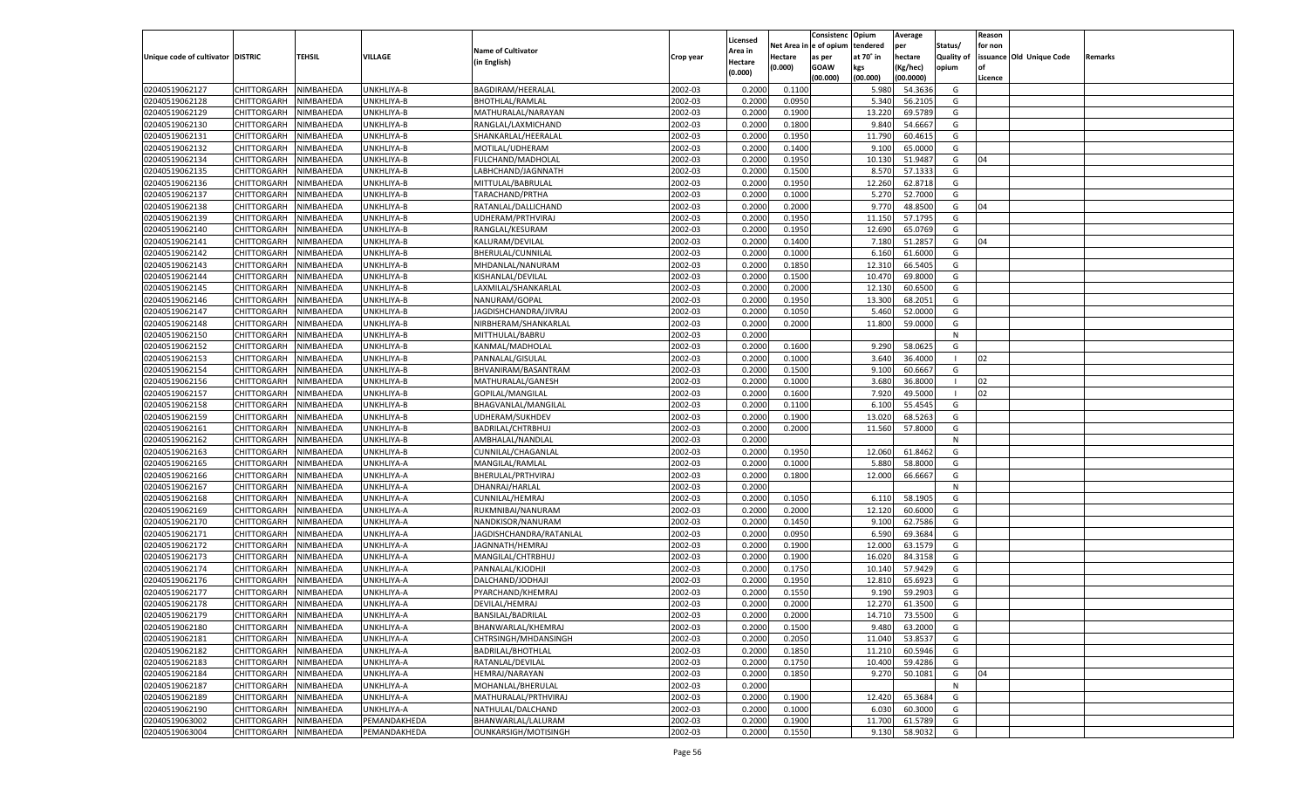|                                   |                       |               |              |                           |           |                           |          | Consistenc  | Opium     | Average            |                   | Reason  |                          |         |
|-----------------------------------|-----------------------|---------------|--------------|---------------------------|-----------|---------------------------|----------|-------------|-----------|--------------------|-------------------|---------|--------------------------|---------|
|                                   |                       |               |              | <b>Name of Cultivator</b> |           | Licensed                  | Net Area | e of opium  | tendered  | per                | Status/           | for non |                          |         |
| Unique code of cultivator DISTRIC |                       | <b>TEHSIL</b> | VILLAGE      | (in English)              | Crop year | <b>Area in</b><br>Hectare | Hectare  | as per      | at 70° in | hectare            | <b>Quality of</b> |         | issuance Old Unique Code | Remarks |
|                                   |                       |               |              |                           |           | (0.000)                   | (0.000)  | <b>GOAW</b> | kgs       | (Kg/hec)           | opium             |         |                          |         |
|                                   |                       |               |              |                           |           |                           |          | (00.000)    | (00.000)  | (00.0000)          |                   | Licence |                          |         |
| 02040519062127                    | CHITTORGARH           | NIMBAHEDA     | UNKHLIYA-B   | BAGDIRAM/HEERALAL         | 2002-03   | 0.2000                    | 0.1100   |             | 5.980     | 54.3636            | G                 |         |                          |         |
| 02040519062128                    | CHITTORGARH           | NIMBAHEDA     | UNKHLIYA-B   | <b>BHOTHLAL/RAMLAL</b>    | 2002-03   | 0.2000                    | 0.0950   |             | 5.340     | 56.2105            | G                 |         |                          |         |
| 02040519062129                    | CHITTORGARH           | NIMBAHEDA     | UNKHLIYA-B   | MATHURALAL/NARAYAN        | 2002-03   | 0.2000                    | 0.1900   |             | 13.220    | 69.5789            | G                 |         |                          |         |
| 02040519062130                    | CHITTORGARH           | NIMBAHEDA     | UNKHLIYA-B   | RANGLAL/LAXMICHAND        | 2002-03   | 0.2000                    | 0.1800   |             | 9.840     | 54.6667            | G                 |         |                          |         |
| 02040519062131                    | CHITTORGARH           | NIMBAHEDA     | UNKHLIYA-B   | SHANKARLAL/HEERALAL       | 2002-03   | 0.2000                    | 0.1950   |             | 11.790    | 60.4615            | G                 |         |                          |         |
| 02040519062132                    | CHITTORGARH           | NIMBAHEDA     | UNKHLIYA-B   | MOTILAL/UDHERAM           | 2002-03   | 0.2000                    | 0.1400   |             | 9.100     | 65.0000            | G                 |         |                          |         |
| 02040519062134                    | CHITTORGARH           | NIMBAHEDA     | UNKHLIYA-B   | FULCHAND/MADHOLAL         | 2002-03   | 0.2000                    | 0.1950   |             | 10.130    | 51.9487            | G                 | 04      |                          |         |
| 02040519062135                    | CHITTORGARH           | NIMBAHEDA     | UNKHLIYA-B   | LABHCHAND/JAGNNATH        | 2002-03   | 0.2000                    | 0.1500   |             | 8.570     | 57.133             | G                 |         |                          |         |
| 02040519062136                    | CHITTORGARH           | NIMBAHEDA     | UNKHLIYA-B   | MITTULAL/BABRULAL         | 2002-03   | 0.2000                    | 0.1950   |             | 12.260    | 62.8718            | G                 |         |                          |         |
| 02040519062137                    | CHITTORGARH           | NIMBAHEDA     | UNKHLIYA-B   | TARACHAND/PRTHA           | 2002-03   | 0.2000                    | 0.1000   |             | 5.270     | 52.7000            | G                 |         |                          |         |
| 02040519062138                    | CHITTORGARH           | NIMBAHEDA     | UNKHLIYA-B   | RATANLAL/DALLICHAND       | 2002-03   | 0.2000                    | 0.2000   |             | 9.770     | 48.8500            | G                 | 04      |                          |         |
| 02040519062139                    | CHITTORGARH           | NIMBAHEDA     | UNKHLIYA-B   | UDHERAM/PRTHVIRAJ         | 2002-03   | 0.2000                    | 0.1950   |             | 11.150    | 57.1795            | G                 |         |                          |         |
| 02040519062140                    | CHITTORGARH           | NIMBAHEDA     | UNKHLIYA-B   | RANGLAL/KESURAM           | 2002-03   | 0.2000                    | 0.1950   |             | 12.690    | 65.0769            | G                 |         |                          |         |
| 02040519062141                    | CHITTORGARH           | NIMBAHEDA     | UNKHLIYA-B   | KALURAM/DEVILAL           | 2002-03   | 0.2000                    | 0.1400   |             | 7.180     | 51.285             | G                 | 04      |                          |         |
| 02040519062142                    | CHITTORGARH           | NIMBAHEDA     | UNKHLIYA-B   | BHERULAL/CUNNILAL         | 2002-03   | 0.2000                    | 0.1000   |             | 6.160     | 61.6000            | G                 |         |                          |         |
| 02040519062143                    | CHITTORGARH           | NIMBAHEDA     | UNKHLIYA-B   | MHDANLAL/NANURAM          | 2002-03   | 0.2000                    | 0.1850   |             | 12.31     | 66.5405            | G                 |         |                          |         |
| 02040519062144                    | CHITTORGARH           | NIMBAHEDA     | UNKHLIYA-B   | KISHANLAL/DEVILAL         | 2002-03   | 0.2000                    | 0.1500   |             | 10.470    | 69.8000            | G                 |         |                          |         |
| 02040519062145                    | CHITTORGARH           | NIMBAHEDA     | UNKHLIYA-B   | LAXMILAL/SHANKARLAL       | 2002-03   | 0.2000                    | 0.2000   |             | 12.130    | 60.6500            | G                 |         |                          |         |
| 02040519062146                    | CHITTORGARH           | NIMBAHEDA     | UNKHLIYA-B   | NANURAM/GOPAL             | 2002-03   | 0.2000                    | 0.1950   |             | 13.300    | 68.2051            | G                 |         |                          |         |
| 02040519062147                    | CHITTORGARH           | NIMBAHEDA     | UNKHLIYA-B   | JAGDISHCHANDRA/JIVRAJ     | 2002-03   | 0.2000                    | 0.1050   |             | 5.460     | 52.0000            | G                 |         |                          |         |
| 02040519062148                    | CHITTORGARH           | NIMBAHEDA     | UNKHLIYA-B   | NIRBHERAM/SHANKARLAL      | 2002-03   | 0.2000                    | 0.2000   |             | 11.800    | 59.0000            | G                 |         |                          |         |
| 02040519062150                    | CHITTORGARH           | NIMBAHEDA     | UNKHLIYA-B   | MITTHULAL/BABRU           | 2002-03   | 0.2000                    |          |             |           |                    | N                 |         |                          |         |
| 02040519062152                    | CHITTORGARH           | NIMBAHEDA     | UNKHLIYA-B   | KANMAL/MADHOLAI           | 2002-03   | 0.2000                    | 0.1600   |             | 9.290     | 58.062             | G                 |         |                          |         |
| 02040519062153                    | CHITTORGARH           | NIMBAHEDA     | UNKHLIYA-B   | PANNALAL/GISULAL          | 2002-03   | 0.2000                    | 0.1000   |             | 3.640     | 36.4000            |                   | 02      |                          |         |
| 02040519062154                    | CHITTORGARH           | NIMBAHEDA     | UNKHLIYA-B   | BHVANIRAM/BASANTRAM       | 2002-03   | 0.2000                    | 0.1500   |             | 9.100     | 60.6667            | G                 |         |                          |         |
| 02040519062156                    | CHITTORGARH           | NIMBAHEDA     | UNKHLIYA-B   | MATHURALAL/GANESH         | 2002-03   | 0.2000                    | 0.1000   |             | 3.680     | 36.8000            |                   | 02      |                          |         |
| 02040519062157                    | CHITTORGARH           | NIMBAHEDA     | UNKHLIYA-B   | GOPILAL/MANGILAL          | 2002-03   | 0.2000                    | 0.1600   |             | 7.920     | 49.5000            |                   | 02      |                          |         |
| 02040519062158                    | CHITTORGARH           | NIMBAHEDA     | UNKHLIYA-B   | BHAGVANLAL/MANGILAL       | 2002-03   | 0.2000                    | 0.1100   |             | 6.100     | 55.4545            | G                 |         |                          |         |
| 02040519062159                    | CHITTORGARH           | NIMBAHEDA     | UNKHLIYA-B   | UDHERAM/SUKHDEV           | 2002-03   | 0.2000                    | 0.1900   |             | 13.020    | 68.5263            | G                 |         |                          |         |
| 02040519062161                    | CHITTORGARH           | NIMBAHEDA     | UNKHLIYA-B   | BADRILAL/CHTRBHUJ         | 2002-03   | 0.2000                    | 0.2000   |             | 11.560    | 57.8000            | G                 |         |                          |         |
| 02040519062162                    | CHITTORGARH           | NIMBAHEDA     | UNKHLIYA-B   | AMBHALAL/NANDLAL          | 2002-03   | 0.2000                    |          |             |           |                    | N                 |         |                          |         |
| 02040519062163                    | CHITTORGARH           | NIMBAHEDA     | UNKHLIYA-B   | CUNNILAL/CHAGANLAL        | 2002-03   | 0.2000                    | 0.1950   |             | 12.060    | 61.8462            | G                 |         |                          |         |
| 02040519062165                    | CHITTORGARH           | NIMBAHEDA     | UNKHLIYA-A   | MANGILAL/RAMLAL           | 2002-03   | 0.2000                    | 0.1000   |             | 5.880     | 58.8000            | G                 |         |                          |         |
| 02040519062166                    | CHITTORGARH           | NIMBAHEDA     | UNKHLIYA-A   | BHERULAL/PRTHVIRAJ        | 2002-03   | 0.2000                    | 0.1800   |             | 12.000    | 66.666             | G                 |         |                          |         |
| 02040519062167                    | CHITTORGARH           | NIMBAHEDA     | UNKHLIYA-A   | DHANRAJ/HARLAL            | 2002-03   | 0.2000                    |          |             |           |                    | N                 |         |                          |         |
| 02040519062168                    | CHITTORGARH           | NIMBAHEDA     | UNKHLIYA-A   | <b>CUNNILAL/HEMRAJ</b>    | 2002-03   | 0.2000                    | 0.1050   |             | 6.110     | 58.1905            | G                 |         |                          |         |
| 02040519062169                    | CHITTORGARH           | NIMBAHEDA     | UNKHLIYA-A   | RUKMNIBAI/NANURAM         | 2002-03   | 0.2000                    | 0.2000   |             | 12.120    | 60.6000            | G                 |         |                          |         |
| 02040519062170                    | CHITTORGARH           | NIMBAHEDA     | UNKHLIYA-A   | NANDKISOR/NANURAM         | 2002-03   | 0.2000                    | 0.1450   |             | 9.100     | 62.7586            | G                 |         |                          |         |
| 02040519062171                    | CHITTORGARH           | NIMBAHEDA     | UNKHLIYA-A   | JAGDISHCHANDRA/RATANLAL   | 2002-03   | 0.2000                    | 0.0950   |             | 6.590     | 69.3684            | G                 |         |                          |         |
| 02040519062172                    | CHITTORGARH           | NIMBAHEDA     | UNKHLIYA-A   | JAGNNATH/HEMRAJ           | 2002-03   | 0.2000                    | 0.1900   |             | 12.000    | 63.1579            | G                 |         |                          |         |
| 02040519062173                    | CHITTORGARH           | NIMBAHEDA     | UNKHLIYA-A   | MANGILAL/CHTRBHUJ         | 2002-03   | 0.2000                    | 0.1900   |             | 16.020    | 84.3158            | G                 |         |                          |         |
| 02040519062174                    | CHITTORGARH           | NIMBAHEDA     | UNKHLIYA-A   | PANNALAL/KJODHJI          | 2002-03   | 0.2000                    | 0.1750   |             | 10.14     | 57.9429            | G                 |         |                          |         |
| 02040519062176                    | CHITTORGARH           | NIMBAHEDA     | UNKHLIYA-A   | DALCHAND/JODHAJI          | 2002-03   | 0.2000                    | 0.1950   |             | 12.81     | 65.692             | G                 |         |                          |         |
| 02040519062177                    | CHITTORGARH           | NIMBAHEDA     | UNKHLIYA-A   | PYARCHAND/KHEMRAJ         | 2002-03   | 0.2000                    | 0.1550   |             | 9.190     | 59.2903            | G                 |         |                          |         |
| 02040519062178                    |                       | NIMBAHEDA     |              | DEVILAL/HEMRAJ            | 2002-03   | 0.2000                    | 0.2000   |             | 12.270    | 61.3500            | G                 |         |                          |         |
|                                   | CHITTORGARH           |               | UNKHLIYA-A   |                           |           |                           |          |             |           |                    |                   |         |                          |         |
| 02040519062179                    | CHITTORGARH NIMBAHEDA |               | UNKHLIYA-A   | BANSILAL/BADRILAL         | 2002-03   | 0.2000                    | 0.2000   |             | 14.710    | 73.5500<br>63.2000 | G                 |         |                          |         |
| 02040519062180                    | <b>CHITTORGARH</b>    | NIMBAHEDA     | UNKHLIYA-A   | BHANWARLAL/KHEMRAJ        | 2002-03   | 0.2000                    | 0.1500   |             | 9.480     |                    | G                 |         |                          |         |
| 02040519062181                    | CHITTORGARH           | NIMBAHEDA     | UNKHLIYA-A   | CHTRSINGH/MHDANSINGH      | 2002-03   | 0.2000                    | 0.2050   |             | 11.040    | 53.8537            | G                 |         |                          |         |
| 02040519062182                    | <b>CHITTORGARH</b>    | NIMBAHEDA     | UNKHLIYA-A   | <b>BADRILAL/BHOTHLAL</b>  | 2002-03   | 0.2000                    | 0.1850   |             | 11.210    | 60.5946            | G                 |         |                          |         |
| 02040519062183                    | <b>CHITTORGARH</b>    | NIMBAHEDA     | UNKHLIYA-A   | RATANLAL/DEVILAL          | 2002-03   | 0.2000                    | 0.1750   |             | 10.400    | 59.4286            | G                 |         |                          |         |
| 02040519062184                    | <b>CHITTORGARH</b>    | NIMBAHEDA     | UNKHLIYA-A   | HEMRAJ/NARAYAN            | 2002-03   | 0.2000                    | 0.1850   |             | 9.270     | 50.1081            | G                 | 04      |                          |         |
| 02040519062187                    | <b>CHITTORGARH</b>    | NIMBAHEDA     | UNKHLIYA-A   | MOHANLAL/BHERULAL         | 2002-03   | 0.2000                    |          |             |           |                    | N                 |         |                          |         |
| 02040519062189                    | <b>CHITTORGARH</b>    | NIMBAHEDA     | UNKHLIYA-A   | MATHURALAL/PRTHVIRAJ      | 2002-03   | 0.2000                    | 0.1900   |             | 12.420    | 65.3684            | G                 |         |                          |         |
| 02040519062190                    | <b>CHITTORGARH</b>    | NIMBAHEDA     | UNKHLIYA-A   | NATHULAL/DALCHAND         | 2002-03   | 0.2000                    | 0.1000   |             | 6.030     | 60.3000            | G                 |         |                          |         |
| 02040519063002                    | <b>CHITTORGARH</b>    | NIMBAHEDA     | PEMANDAKHEDA | BHANWARLAL/LALURAM        | 2002-03   | 0.2000                    | 0.1900   |             | 11.700    | 61.5789            | G                 |         |                          |         |
| 02040519063004                    | <b>CHITTORGARH</b>    | NIMBAHEDA     | PEMANDAKHEDA | OUNKARSIGH/MOTISINGH      | 2002-03   | 0.2000                    | 0.1550   |             | 9.130     | 58.9032            | G                 |         |                          |         |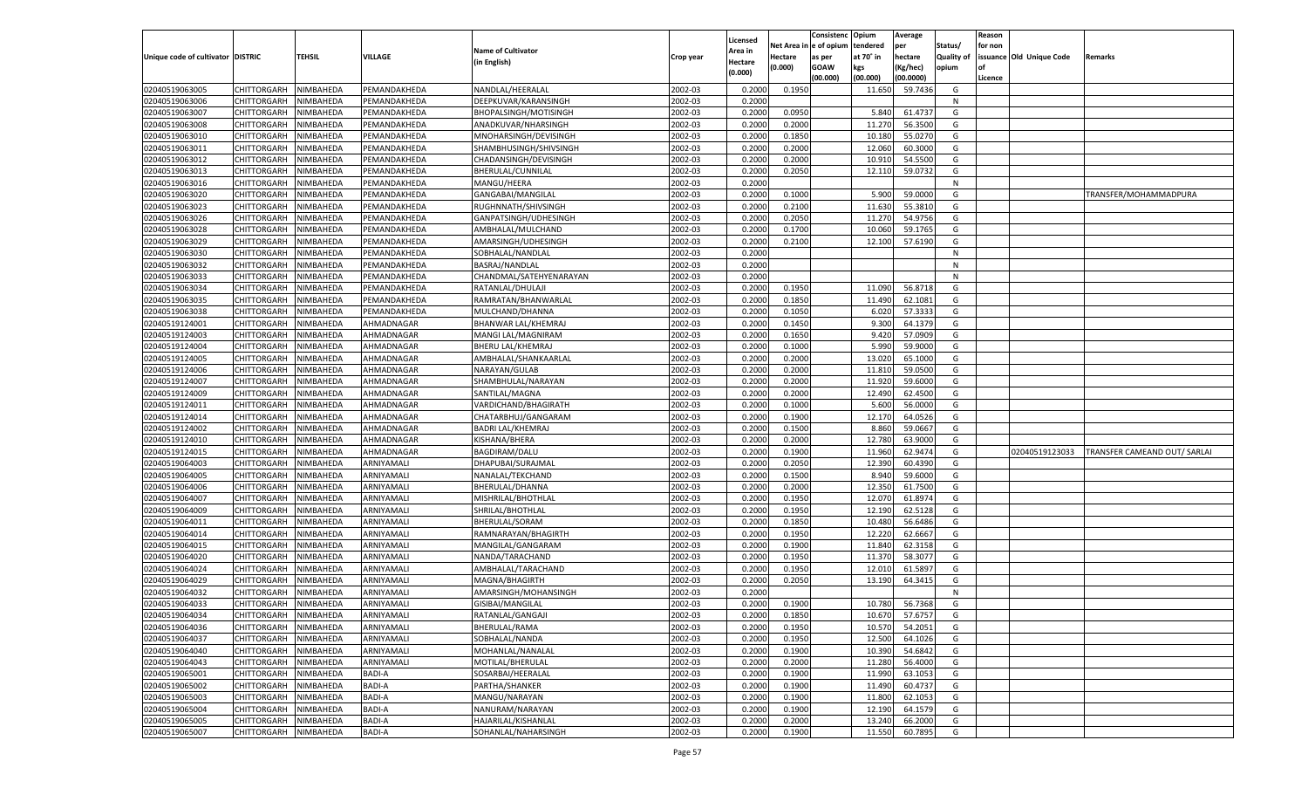|                                   |                            |                        |               |                           |           |                    |            | Consistenc    | Opium     | Average   |                   | Reason  |                          |                              |
|-----------------------------------|----------------------------|------------------------|---------------|---------------------------|-----------|--------------------|------------|---------------|-----------|-----------|-------------------|---------|--------------------------|------------------------------|
|                                   |                            |                        |               |                           |           | Licensed           | Net Area i | n  e of opium | tendered  | per       | Status/           | for non |                          |                              |
| Unique code of cultivator DISTRIC |                            | TEHSIL                 | VILLAGE       | <b>Name of Cultivator</b> | Crop year | Area in            | Hectare    | as per        | at 70° in | hectare   | <b>Quality of</b> |         | issuance Old Unique Code | Remarks                      |
|                                   |                            |                        |               | (in English)              |           | Hectare<br>(0.000) | (0.000)    | <b>GOAW</b>   | kgs       | (Kg/hec)  | opium             |         |                          |                              |
|                                   |                            |                        |               |                           |           |                    |            | (00.000)      | (00.000)  | (00.0000) |                   | Licence |                          |                              |
| 02040519063005                    | CHITTORGARH                | NIMBAHEDA              | PEMANDAKHEDA  | NANDLAL/HEERALAL          | 2002-03   | 0.2000             | 0.1950     |               | 11.650    | 59.7436   | G                 |         |                          |                              |
| 02040519063006                    | CHITTORGARH                | NIMBAHEDA              | PEMANDAKHEDA  | DEEPKUVAR/KARANSINGH      | 2002-03   | 0.2000             |            |               |           |           | N                 |         |                          |                              |
| 02040519063007                    | CHITTORGARH                | NIMBAHEDA              | PEMANDAKHEDA  | BHOPALSINGH/MOTISINGH     | 2002-03   | 0.2000             | 0.0950     |               | 5.840     | 61.4737   | G                 |         |                          |                              |
| 02040519063008                    | CHITTORGARH                | NIMBAHEDA              | PEMANDAKHEDA  | ANADKUVAR/NHARSINGH       | 2002-03   | 0.2000             | 0.2000     |               | 11.270    | 56.3500   | G                 |         |                          |                              |
| 02040519063010                    | CHITTORGARH                | NIMBAHEDA              | PEMANDAKHEDA  | MNOHARSINGH/DEVISINGH     | 2002-03   | 0.2000             | 0.1850     |               | 10.180    | 55.0270   | G                 |         |                          |                              |
| 02040519063011                    | CHITTORGARH                | NIMBAHEDA              | PEMANDAKHEDA  | SHAMBHUSINGH/SHIVSINGH    | 2002-03   | 0.2000             | 0.2000     |               | 12.060    | 60.3000   | G                 |         |                          |                              |
| 02040519063012                    | CHITTORGARH                | NIMBAHEDA              | PEMANDAKHEDA  | CHADANSINGH/DEVISINGH     | 2002-03   | 0.2000             | 0.2000     |               | 10.91     | 54.5500   | G                 |         |                          |                              |
| 02040519063013                    | CHITTORGARH                | NIMBAHEDA              | PEMANDAKHEDA  | BHERULAL/CUNNILAL         | 2002-03   | 0.2000             | 0.2050     |               | 12.110    | 59.0732   | G                 |         |                          |                              |
| 02040519063016                    | CHITTORGARH                | NIMBAHEDA              | PEMANDAKHEDA  | MANGU/HEERA               | 2002-03   | 0.2000             |            |               |           |           | N                 |         |                          |                              |
| 02040519063020                    | CHITTORGARH                | NIMBAHEDA              | PEMANDAKHEDA  | GANGABAI/MANGILAL         | 2002-03   | 0.2000             | 0.1000     |               | 5.900     | 59.0000   | G                 |         |                          | TRANSFER/MOHAMMADPURA        |
| 02040519063023                    | CHITTORGARH                | NIMBAHEDA              | PEMANDAKHEDA  | RUGHNNATH/SHIVSINGH       | 2002-03   | 0.2000             | 0.2100     |               | 11.630    | 55.3810   | G                 |         |                          |                              |
| 02040519063026                    | CHITTORGARH                | NIMBAHEDA              | PEMANDAKHEDA  | GANPATSINGH/UDHESINGH     | 2002-03   | 0.2000             | 0.2050     |               | 11.270    | 54.9756   | G                 |         |                          |                              |
| 02040519063028                    | CHITTORGARH                | NIMBAHEDA              | PEMANDAKHEDA  | AMBHALAL/MULCHAND         | 2002-03   | 0.2000             | 0.1700     |               | 10.060    | 59.1765   | G                 |         |                          |                              |
| 02040519063029                    | CHITTORGARH                | NIMBAHEDA              | PEMANDAKHEDA  | AMARSINGH/UDHESINGH       | 2002-03   | 0.2000             | 0.2100     |               | 12.100    | 57.6190   | G                 |         |                          |                              |
| 02040519063030                    | CHITTORGARH                | NIMBAHEDA              | PEMANDAKHEDA  | SOBHALAL/NANDLAL          | 2002-03   | 0.2000             |            |               |           |           | N                 |         |                          |                              |
| 02040519063032                    | CHITTORGARH                | NIMBAHEDA              | PEMANDAKHEDA  | BASRAJ/NANDLAL            | 2002-03   | 0.2000             |            |               |           |           | N                 |         |                          |                              |
| 02040519063033                    | CHITTORGARH                | NIMBAHEDA              | PEMANDAKHEDA  | CHANDMAL/SATEHYENARAYAN   | 2002-03   | 0.2000             |            |               |           |           | N                 |         |                          |                              |
| 02040519063034                    |                            |                        |               |                           | 2002-03   |                    | 0.1950     |               | 11.090    | 56.8718   | G                 |         |                          |                              |
| 02040519063035                    | CHITTORGARH<br>CHITTORGARH | NIMBAHEDA              | PEMANDAKHEDA  | RATANLAL/DHULAJI          | 2002-03   | 0.2000             | 0.1850     |               |           |           |                   |         |                          |                              |
|                                   |                            | NIMBAHEDA              | PEMANDAKHEDA  | RAMRATAN/BHANWARLAL       |           | 0.2000             |            |               | 11.490    | 62.1081   | G                 |         |                          |                              |
| 02040519063038                    | CHITTORGARH                | NIMBAHEDA              | PEMANDAKHEDA  | MULCHAND/DHANNA           | 2002-03   | 0.2000             | 0.1050     |               | 6.020     | 57.3333   | G                 |         |                          |                              |
| 02040519124001                    | CHITTORGARH                | NIMBAHEDA              | AHMADNAGAR    | BHANWAR LAL/KHEMRAJ       | 2002-03   | 0.2000             | 0.1450     |               | 9.300     | 64.1379   | G                 |         |                          |                              |
| 02040519124003                    | CHITTORGARH                | NIMBAHEDA              | AHMADNAGAR    | MANGI LAL/MAGNIRAM        | 2002-03   | 0.2000             | 0.1650     |               | 9.420     | 57.0909   | G                 |         |                          |                              |
| 02040519124004                    | CHITTORGARH                | NIMBAHEDA              | AHMADNAGAR    | <b>BHERU LAL/KHEMRAJ</b>  | 2002-03   | 0.2000             | 0.1000     |               | 5.990     | 59.9000   | G                 |         |                          |                              |
| 02040519124005                    | CHITTORGARH                | NIMBAHEDA              | AHMADNAGAR    | AMBHALAL/SHANKAARLAL      | 2002-03   | 0.2000             | 0.2000     |               | 13.020    | 65.1000   | G                 |         |                          |                              |
| 02040519124006                    | CHITTORGARH                | NIMBAHEDA              | AHMADNAGAR    | NARAYAN/GULAB             | 2002-03   | 0.2000             | 0.2000     |               | 11.81     | 59.0500   | G                 |         |                          |                              |
| 02040519124007                    | CHITTORGARH                | NIMBAHEDA              | AHMADNAGAR    | SHAMBHULAL/NARAYAN        | 2002-03   | 0.2000             | 0.2000     |               | 11.920    | 59.6000   | G                 |         |                          |                              |
| 02040519124009                    | CHITTORGARH                | NIMBAHEDA              | AHMADNAGAR    | SANTILAL/MAGNA            | 2002-03   | 0.2000             | 0.2000     |               | 12.490    | 62.4500   | G                 |         |                          |                              |
| 02040519124011                    | CHITTORGARH                | NIMBAHEDA              | AHMADNAGAR    | VARDICHAND/BHAGIRATH      | 2002-03   | 0.2000             | 0.1000     |               | 5.600     | 56.0000   | G                 |         |                          |                              |
| 02040519124014                    | CHITTORGARH                | NIMBAHEDA              | AHMADNAGAR    | CHATARBHUJ/GANGARAM       | 2002-03   | 0.2000             | 0.1900     |               | 12.170    | 64.0526   | G                 |         |                          |                              |
| 02040519124002                    | CHITTORGARH                | NIMBAHEDA              | AHMADNAGAR    | <b>BADRI LAL/KHEMRAJ</b>  | 2002-03   | 0.2000             | 0.1500     |               | 8.860     | 59.0667   | G                 |         |                          |                              |
| 02040519124010                    | CHITTORGARH                | NIMBAHEDA              | AHMADNAGAR    | KISHANA/BHERA             | 2002-03   | 0.2000             | 0.2000     |               | 12.780    | 63.9000   | G                 |         |                          |                              |
| 02040519124015                    | CHITTORGARH                | NIMBAHEDA              | AHMADNAGAR    | <b>BAGDIRAM/DALU</b>      | 2002-03   | 0.2000             | 0.1900     |               | 11.960    | 62.9474   | G                 |         | 02040519123033           | TRANSFER CAMEAND OUT/ SARLAI |
| 02040519064003                    | CHITTORGARH                | NIMBAHEDA              | ARNIYAMALI    | DHAPUBAI/SURAJMAL         | 2002-03   | 0.2000             | 0.2050     |               | 12.390    | 60.4390   | G                 |         |                          |                              |
| 02040519064005                    | CHITTORGARH                | NIMBAHEDA              | ARNIYAMALI    | NANALAL/TEKCHAND          | 2002-03   | 0.2000             | 0.1500     |               | 8.940     | 59.6000   | G                 |         |                          |                              |
| 02040519064006                    | CHITTORGARH                | NIMBAHEDA              | ARNIYAMALI    | BHERULAL/DHANNA           | 2002-03   | 0.2000             | 0.2000     |               | 12.350    | 61.7500   | G                 |         |                          |                              |
| 02040519064007                    | CHITTORGARH                | NIMBAHEDA              | ARNIYAMALI    | MISHRILAL/BHOTHLAL        | 2002-03   | 0.2000             | 0.1950     |               | 12.070    | 61.8974   | G                 |         |                          |                              |
| 02040519064009                    | CHITTORGARH                | NIMBAHEDA              | ARNIYAMALI    | SHRILAL/BHOTHLAL          | 2002-03   | 0.2000             | 0.1950     |               | 12.190    | 62.5128   | G                 |         |                          |                              |
| 02040519064011                    | CHITTORGARH                | NIMBAHEDA              | ARNIYAMALI    | BHERULAL/SORAM            | 2002-03   | 0.2000             | 0.1850     |               | 10.480    | 56.6486   | G                 |         |                          |                              |
| 02040519064014                    | CHITTORGARH                | NIMBAHEDA              | ARNIYAMALI    | RAMNARAYAN/BHAGIRTH       | 2002-03   | 0.2000             | 0.1950     |               | 12.220    | 62.6667   | G                 |         |                          |                              |
| 02040519064015                    | CHITTORGARH                | NIMBAHEDA              | ARNIYAMALI    | MANGILAL/GANGARAM         | 2002-03   | 0.2000             | 0.1900     |               | 11.840    | 62.3158   | G                 |         |                          |                              |
| 02040519064020                    | CHITTORGARH                | NIMBAHEDA              | ARNIYAMALI    | NANDA/TARACHAND           | 2002-03   | 0.2000             | 0.1950     |               | 11.370    | 58.3077   | G                 |         |                          |                              |
| 02040519064024                    | CHITTORGARH                | NIMBAHEDA              | ARNIYAMALI    | AMBHALAL/TARACHAND        | 2002-03   | 0.2000             | 0.1950     |               | 12.010    | 61.589    | G                 |         |                          |                              |
| 02040519064029                    | CHITTORGARH                | NIMBAHEDA              | ARNIYAMALI    | MAGNA/BHAGIRTH            | 2002-03   | 0.2000             | 0.2050     |               | 13.190    | 64.3415   | G                 |         |                          |                              |
| 02040519064032                    | CHITTORGARH                | NIMBAHEDA              | ARNIYAMALI    | AMARSINGH/MOHANSINGH      | 2002-03   | 0.2000             |            |               |           |           | N                 |         |                          |                              |
| 02040519064033                    | CHITTORGARH                | NIMBAHEDA              | ARNIYAMALI    | GISIBAI/MANGILAL          | 2002-03   | 0.2000             | 0.1900     |               | 10.780    | 56.7368   | G                 |         |                          |                              |
| 02040519064034                    | CHITTORGARH                | NIMBAHEDA              | ARNIYAMALI    | RATANLAL/GANGAJI          | 2002-03   | 0.2000             | 0.1850     |               | 10.670    | 57.6757   | G                 |         |                          |                              |
| 02040519064036                    | <b>CHITTORGARH</b>         | NIMBAHEDA              | ARNIYAMALI    | BHERULAL/RAMA             | 2002-03   | 0.2000             | 0.1950     |               | 10.570    | 54.2051   | G                 |         |                          |                              |
| 02040519064037                    | CHITTORGARH                | NIMBAHEDA              | ARNIYAMALI    | SOBHALAL/NANDA            | 2002-03   | 0.2000             | 0.1950     |               | 12.500    | 64.1026   | G                 |         |                          |                              |
|                                   |                            |                        |               |                           | 2002-03   |                    | 0.1900     |               |           |           |                   |         |                          |                              |
| 02040519064040                    | CHITTORGARH<br>CHITTORGARH | NIMBAHEDA<br>NIMBAHEDA | ARNIYAMALI    | MOHANLAL/NANALAL          |           | 0.2000             |            |               | 10.390    | 54.6842   | G                 |         |                          |                              |
| 02040519064043                    |                            |                        | ARNIYAMALI    | MOTILAL/BHERULAL          | 2002-03   | 0.2000             | 0.2000     |               | 11.280    | 56.4000   | G                 |         |                          |                              |
| 02040519065001                    | <b>CHITTORGARH</b>         | NIMBAHEDA              | <b>BADI-A</b> | SOSARBAI/HEERALAL         | 2002-03   | 0.2000             | 0.1900     |               | 11.990    | 63.1053   | G                 |         |                          |                              |
| 02040519065002                    | CHITTORGARH                | NIMBAHEDA              | <b>BADI-A</b> | PARTHA/SHANKER            | 2002-03   | 0.2000             | 0.1900     |               | 11.490    | 60.4737   | G                 |         |                          |                              |
| 02040519065003                    | CHITTORGARH                | NIMBAHEDA              | <b>BADI-A</b> | MANGU/NARAYAN             | 2002-03   | 0.2000             | 0.1900     |               | 11.800    | 62.1053   | G                 |         |                          |                              |
| 02040519065004                    | CHITTORGARH                | NIMBAHEDA              | <b>BADI-A</b> | NANURAM/NARAYAN           | 2002-03   | 0.2000             | 0.1900     |               | 12.190    | 64.1579   | G                 |         |                          |                              |
| 02040519065005                    | <b>CHITTORGARH</b>         | NIMBAHEDA              | <b>BADI-A</b> | HAJARILAL/KISHANLAL       | 2002-03   | 0.2000             | 0.2000     |               | 13.240    | 66.2000   | G                 |         |                          |                              |
| 02040519065007                    | <b>CHITTORGARH</b>         | NIMBAHEDA              | <b>BADI-A</b> | SOHANLAL/NAHARSINGH       | 2002-03   | 0.2000             | 0.1900     |               | 11.550    | 60.7895   | G                 |         |                          |                              |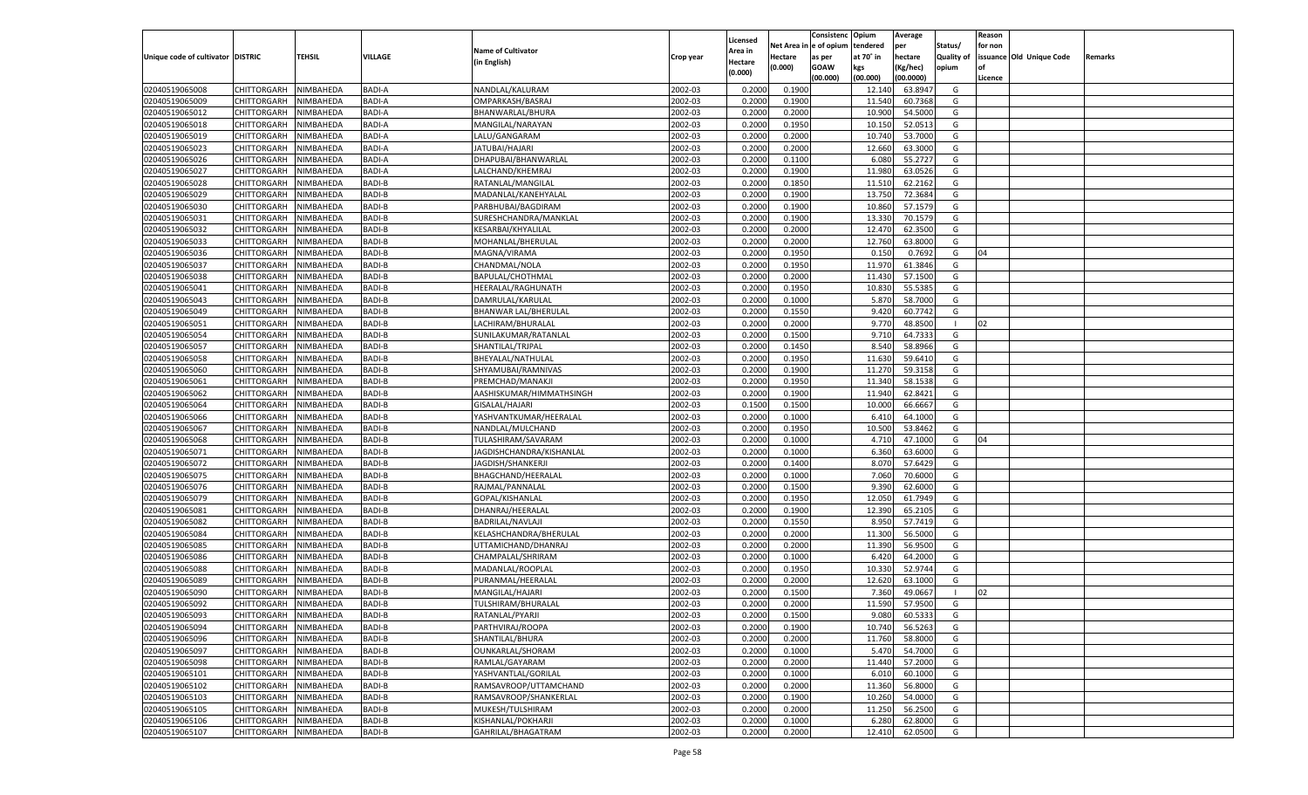|                                   |                       |               |               |                           |           |                           |                  | Consistenc  | Opium     | Average   |                   | Reason  |                          |         |
|-----------------------------------|-----------------------|---------------|---------------|---------------------------|-----------|---------------------------|------------------|-------------|-----------|-----------|-------------------|---------|--------------------------|---------|
|                                   |                       |               |               | <b>Name of Cultivator</b> |           | Licensed                  | Net Area         | e of opium  | tendered  | per       | Status/           | for non |                          |         |
| Unique code of cultivator DISTRIC |                       | <b>TEHSIL</b> | VILLAGE       | (in English)              | Crop year | <b>Area in</b><br>Hectare | Hectare          | as per      | at 70° in | hectare   | <b>Quality of</b> |         | issuance Old Unique Code | Remarks |
|                                   |                       |               |               |                           |           | (0.000)                   | (0.000)          | <b>GOAW</b> | kgs       | (Kg/hec)  | opium             |         |                          |         |
|                                   |                       |               |               |                           |           |                           |                  | (00.000)    | (00.000)  | (00.0000) |                   | Licence |                          |         |
| 02040519065008                    | CHITTORGARH           | NIMBAHEDA     | <b>BADI-A</b> | NANDLAL/KALURAM           | 2002-03   | 0.2000                    | 0.1900           |             | 12.140    | 63.8947   | G                 |         |                          |         |
| 02040519065009                    | CHITTORGARH           | NIMBAHEDA     | <b>BADI-A</b> | OMPARKASH/BASRAJ          | 2002-03   | 0.2000                    | 0.1900           |             | 11.540    | 60.7368   | G                 |         |                          |         |
| 02040519065012                    | CHITTORGARH           | NIMBAHEDA     | <b>BADI-A</b> | BHANWARLAL/BHURA          | 2002-03   | 0.2000                    | 0.2000           |             | 10.900    | 54.5000   | G                 |         |                          |         |
| 02040519065018                    | CHITTORGARH           | NIMBAHEDA     | <b>BADI-A</b> | MANGILAL/NARAYAN          | 2002-03   | 0.2000                    | 0.1950           |             | 10.15     | 52.0513   | G                 |         |                          |         |
| 02040519065019                    | CHITTORGARH           | NIMBAHEDA     | <b>BADI-A</b> | LALU/GANGARAM             | 2002-03   | 0.2000                    | 0.2000           |             | 10.740    | 53.7000   | G                 |         |                          |         |
| 02040519065023                    | CHITTORGARH           | NIMBAHEDA     | <b>BADI-A</b> | JATUBAI/HAJARI            | 2002-03   | 0.2000                    | 0.2000           |             | 12.660    | 63.3000   | G                 |         |                          |         |
| 02040519065026                    | CHITTORGARH           | NIMBAHEDA     | <b>BADI-A</b> | DHAPUBAI/BHANWARLAL       | 2002-03   | 0.2000                    | 0.1100           |             | 6.080     | 55.2727   | G                 |         |                          |         |
| 02040519065027                    | CHITTORGARH           | NIMBAHEDA     | <b>BADI-A</b> | LALCHAND/KHEMRAJ          | 2002-03   | 0.2000                    | 0.1900           |             | 11.980    | 63.0526   | G                 |         |                          |         |
| 02040519065028                    | CHITTORGARH           | NIMBAHEDA     | <b>BADI-B</b> | RATANLAL/MANGILAL         | 2002-03   | 0.2000                    | 0.1850           |             | 11.510    | 62.2162   | G                 |         |                          |         |
| 02040519065029                    | CHITTORGARH           | NIMBAHEDA     | <b>BADI-B</b> | MADANLAL/KANEHYALAI       | 2002-03   | 0.2000                    | 0.1900           |             | 13.750    | 72.3684   | G                 |         |                          |         |
| 02040519065030                    | CHITTORGARH           | NIMBAHEDA     | <b>BADI-B</b> | PARBHUBAI/BAGDIRAM        | 2002-03   | 0.2000                    | 0.1900           |             | 10.860    | 57.1579   | G                 |         |                          |         |
| 02040519065031                    | CHITTORGARH           | NIMBAHEDA     | <b>BADI-B</b> | SURESHCHANDRA/MANKLAL     | 2002-03   | 0.2000                    | 0.1900           |             | 13.330    | 70.1579   | G                 |         |                          |         |
| 02040519065032                    | CHITTORGARH           | NIMBAHEDA     | <b>BADI-B</b> | KESARBAI/KHYALILAL        | 2002-03   | 0.2000                    | 0.2000           |             | 12.470    | 62.3500   | G                 |         |                          |         |
| 02040519065033                    | CHITTORGARH           | NIMBAHEDA     | <b>BADI-B</b> | MOHANLAL/BHERULAL         | 2002-03   | 0.2000                    | 0.2000           |             | 12.760    | 63.8000   | G                 |         |                          |         |
| 02040519065036                    | CHITTORGARH           | NIMBAHEDA     | <b>BADI-B</b> | MAGNA/VIRAMA              | 2002-03   | 0.2000                    | 0.1950           |             | 0.150     | 0.7692    | G                 | 04      |                          |         |
| 02040519065037                    | CHITTORGARH           | NIMBAHEDA     | <b>BADI-B</b> | CHANDMAL/NOLA             | 2002-03   | 0.2000                    | 0.1950           |             | 11.970    | 61.3846   | G                 |         |                          |         |
| 02040519065038                    | CHITTORGARH           | NIMBAHEDA     | <b>BADI-B</b> | BAPULAL/CHOTHMAL          | 2002-03   | 0.2000                    | 0.2000           |             | 11.430    | 57.1500   | G                 |         |                          |         |
| 02040519065041                    | CHITTORGARH           | NIMBAHEDA     | <b>BADI-B</b> | HEERALAL/RAGHUNATH        | 2002-03   | 0.2000                    | 0.1950           |             | 10.830    | 55.5385   | G                 |         |                          |         |
| 02040519065043                    | CHITTORGARH           | NIMBAHEDA     | <b>BADI-B</b> | DAMRULAL/KARULAL          | 2002-03   | 0.2000                    | 0.1000           |             | 5.870     | 58.7000   | G                 |         |                          |         |
| 02040519065049                    | CHITTORGARH           | NIMBAHEDA     | <b>BADI-B</b> | BHANWAR LAL/BHERULAL      | 2002-03   | 0.2000                    | 0.1550           |             | 9.420     | 60.7742   | G                 |         |                          |         |
| 02040519065051                    | CHITTORGARH           | NIMBAHEDA     | <b>BADI-B</b> | LACHIRAM/BHURALAL         | 2002-03   | 0.2000                    | 0.2000           |             | 9.770     | 48.8500   |                   | 02      |                          |         |
| 02040519065054                    | CHITTORGARH           | NIMBAHEDA     | <b>BADI-B</b> | SUNILAKUMAR/RATANLAL      | 2002-03   | 0.2000                    | 0.1500           |             | 9.710     | 64.733    | G                 |         |                          |         |
| 02040519065057                    | CHITTORGARH           | NIMBAHEDA     | <b>BADI-B</b> | SHANTILAL/TRJPAL          | 2002-03   | 0.2000                    | 0.1450           |             | 8.540     | 58.8966   | G                 |         |                          |         |
| 02040519065058                    | CHITTORGARH           | NIMBAHEDA     | <b>BADI-B</b> | BHEYALAL/NATHULAL         | 2002-03   | 0.2000                    | 0.1950           |             | 11.630    | 59.6410   | G                 |         |                          |         |
| 02040519065060                    | CHITTORGARH           | NIMBAHEDA     | <b>BADI-B</b> | SHYAMUBAI/RAMNIVAS        | 2002-03   | 0.2000                    | 0.1900           |             | 11.270    | 59.3158   | G                 |         |                          |         |
| 02040519065061                    | CHITTORGARH           | NIMBAHEDA     | <b>BADI-B</b> | PREMCHAD/MANAKJI          | 2002-03   | 0.2000                    | 0.1950           |             | 11.34     | 58.1538   | G                 |         |                          |         |
| 02040519065062                    | CHITTORGARH           | NIMBAHEDA     | <b>BADI-B</b> | AASHISKUMAR/HIMMATHSINGH  | 2002-03   | 0.2000                    | 0.1900           |             | 11.940    | 62.8421   | G                 |         |                          |         |
| 02040519065064                    | CHITTORGARH           | NIMBAHEDA     | <b>BADI-B</b> | GISALAL/HAJARI            | 2002-03   | 0.1500                    | 0.1500           |             | 10.000    | 66.6667   | G                 |         |                          |         |
| 02040519065066                    | CHITTORGARH           | NIMBAHEDA     | <b>BADI-B</b> | YASHVANTKUMAR/HEERALAL    | 2002-03   | 0.2000                    | 0.1000           |             | 6.41      | 64.1000   | G                 |         |                          |         |
| 02040519065067                    | CHITTORGARH           | NIMBAHEDA     | <b>BADI-B</b> | NANDLAL/MULCHAND          | 2002-03   | 0.2000                    | 0.1950           |             | 10.500    | 53.8462   | G                 |         |                          |         |
| 02040519065068                    | CHITTORGARH           | NIMBAHEDA     | <b>BADI-B</b> | TULASHIRAM/SAVARAM        | 2002-03   | 0.2000                    | 0.1000           |             | 4.710     | 47.1000   | G                 | 04      |                          |         |
| 02040519065071                    | CHITTORGARH           | NIMBAHEDA     | <b>BADI-B</b> | JAGDISHCHANDRA/KISHANLAL  | 2002-03   | 0.2000                    | 0.1000           |             | 6.360     | 63.6000   | G                 |         |                          |         |
| 02040519065072                    | CHITTORGARH           | NIMBAHEDA     | <b>BADI-B</b> | JAGDISH/SHANKERJI         | 2002-03   | 0.2000                    | 0.1400           |             | 8.070     | 57.6429   | G                 |         |                          |         |
| 02040519065075                    | CHITTORGARH           | NIMBAHEDA     | <b>BADI-B</b> | BHAGCHAND/HEERALAL        | 2002-03   | 0.2000                    | 0.1000           |             | 7.060     | 70.6000   | G                 |         |                          |         |
| 02040519065076                    |                       | NIMBAHEDA     | <b>BADI-B</b> |                           | 2002-03   | 0.2000                    | 0.1500           |             | 9.39      | 62.6000   | G                 |         |                          |         |
| 02040519065079                    | CHITTORGARH           |               | <b>BADI-B</b> | RAJMAL/PANNALAL           | 2002-03   |                           |                  |             | 12.050    | 61.7949   | G                 |         |                          |         |
|                                   | CHITTORGARH           | NIMBAHEDA     | <b>BADI-B</b> | GOPAL/KISHANLAL           |           | 0.2000                    | 0.1950<br>0.1900 |             |           |           |                   |         |                          |         |
| 02040519065081                    | CHITTORGARH           | NIMBAHEDA     |               | DHANRAJ/HEERALAL          | 2002-03   | 0.2000                    |                  |             | 12.390    | 65.2105   | G                 |         |                          |         |
| 02040519065082                    | CHITTORGARH           | NIMBAHEDA     | <b>BADI-B</b> | BADRILAL/NAVLAJI          | 2002-03   | 0.2000                    | 0.1550           |             | 8.950     | 57.7419   | G                 |         |                          |         |
| 02040519065084                    | CHITTORGARH           | NIMBAHEDA     | <b>BADI-B</b> | KELASHCHANDRA/BHERULAL    | 2002-03   | 0.2000                    | 0.2000           |             | 11.300    | 56.5000   | G                 |         |                          |         |
| 02040519065085                    | CHITTORGARH           | NIMBAHEDA     | <b>BADI-B</b> | UTTAMICHAND/DHANRAJ       | 2002-03   | 0.2000                    | 0.2000           |             | 11.390    | 56.9500   | G                 |         |                          |         |
| 02040519065086                    | CHITTORGARH           | NIMBAHEDA     | <b>BADI-B</b> | CHAMPALAL/SHRIRAM         | 2002-03   | 0.2000                    | 0.1000           |             | 6.420     | 64.2000   | G                 |         |                          |         |
| 02040519065088                    | CHITTORGARH           | NIMBAHEDA     | <b>BADI-B</b> | MADANLAL/ROOPLAL          | 2002-03   | 0.2000                    | 0.1950           |             | 10.330    | 52.9744   | G                 |         |                          |         |
| 02040519065089                    | CHITTORGARH           | NIMBAHEDA     | <b>BADI-B</b> | PURANMAL/HEERALAL         | 2002-03   | 0.2000                    | 0.2000           |             | 12.620    | 63.1000   | G                 |         |                          |         |
| 02040519065090                    | CHITTORGARH           | NIMBAHEDA     | <b>BADI-B</b> | MANGILAL/HAJARI           | 2002-03   | 0.2000                    | 0.1500           |             | 7.360     | 49.066    |                   | 02      |                          |         |
| 02040519065092                    | CHITTORGARH           | NIMBAHEDA     | <b>BADI-B</b> | TULSHIRAM/BHURALAI        | 2002-03   | 0.2000                    | 0.2000           |             | 11.590    | 57.9500   | G                 |         |                          |         |
| 02040519065093                    | CHITTORGARH NIMBAHEDA |               | <b>BADI-B</b> | RATANLAL/PYARJI           | 2002-03   | 0.2000                    | 0.1500           |             | 9.080     | 60.5333   | G                 |         |                          |         |
| 02040519065094                    | <b>CHITTORGARH</b>    | NIMBAHEDA     | <b>BADI-B</b> | PARTHVIRAJ/ROOPA          | 2002-03   | 0.2000                    | 0.1900           |             | 10.740    | 56.5263   | G                 |         |                          |         |
| 02040519065096                    | CHITTORGARH           | NIMBAHEDA     | BADI-B        | SHANTILAL/BHURA           | 2002-03   | 0.2000                    | 0.2000           |             | 11.760    | 58.8000   | G                 |         |                          |         |
| 02040519065097                    | <b>CHITTORGARH</b>    | NIMBAHEDA     | <b>BADI-B</b> | OUNKARLAL/SHORAM          | 2002-03   | 0.2000                    | 0.1000           |             | 5.470     | 54.7000   | G                 |         |                          |         |
| 02040519065098                    | <b>CHITTORGARH</b>    | NIMBAHEDA     | BADI-B        | RAMLAL/GAYARAM            | 2002-03   | 0.2000                    | 0.2000           |             | 11.440    | 57.2000   | G                 |         |                          |         |
| 02040519065101                    | <b>CHITTORGARH</b>    | NIMBAHEDA     | <b>BADI-B</b> | YASHVANTLAL/GORILAL       | 2002-03   | 0.2000                    | 0.1000           |             | 6.010     | 60.1000   | G                 |         |                          |         |
| 02040519065102                    | <b>CHITTORGARH</b>    | NIMBAHEDA     | <b>BADI-B</b> | RAMSAVROOP/UTTAMCHAND     | 2002-03   | 0.2000                    | 0.2000           |             | 11.360    | 56.8000   | G                 |         |                          |         |
| 02040519065103                    | <b>CHITTORGARH</b>    | NIMBAHEDA     | <b>BADI-B</b> | RAMSAVROOP/SHANKERLAL     | 2002-03   | 0.2000                    | 0.1900           |             | 10.260    | 54.0000   | G                 |         |                          |         |
| 02040519065105                    | <b>CHITTORGARH</b>    | NIMBAHEDA     | BADI-B        | MUKESH/TULSHIRAM          | 2002-03   | 0.2000                    | 0.2000           |             | 11.250    | 56.2500   | G                 |         |                          |         |
| 02040519065106                    | <b>CHITTORGARH</b>    | NIMBAHEDA     | <b>BADI-B</b> | KISHANLAL/POKHARJI        | 2002-03   | 0.2000                    | 0.1000           |             | 6.280     | 62.8000   | G                 |         |                          |         |
| 02040519065107                    | <b>CHITTORGARH</b>    | NIMBAHEDA     | <b>BADI-B</b> | GAHRILAL/BHAGATRAM        | 2002-03   | 0.2000                    | 0.2000           |             | 12.410    | 62.0500   | G                 |         |                          |         |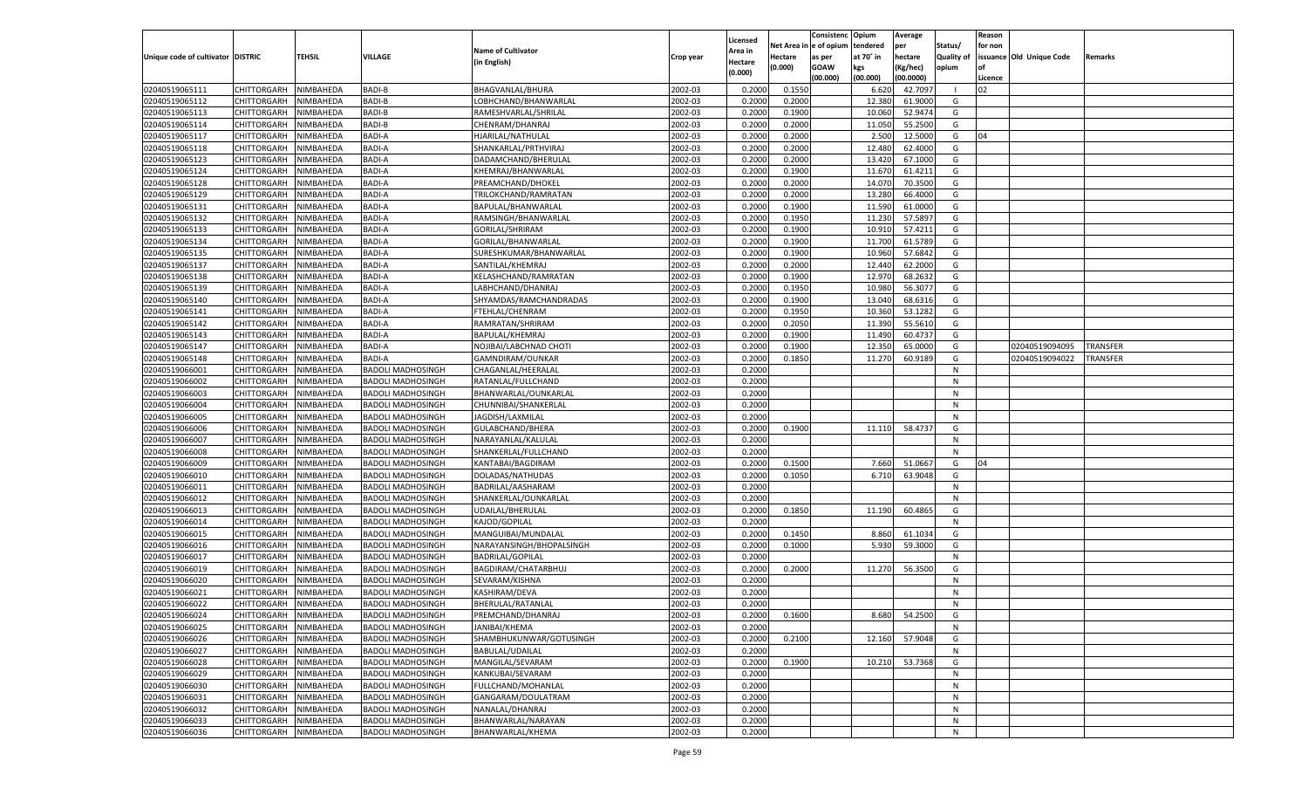|                                   |                       |           |                          |                           |           |                     |             | Consistenc   | Opium     | Average       |                   | Reason  |                          |          |
|-----------------------------------|-----------------------|-----------|--------------------------|---------------------------|-----------|---------------------|-------------|--------------|-----------|---------------|-------------------|---------|--------------------------|----------|
|                                   |                       |           |                          | <b>Name of Cultivator</b> |           | Licensed<br>Area in | Net Area iı | n e of opium | tendered  | per           | Status/           | for non |                          |          |
| Unique code of cultivator DISTRIC |                       | TEHSIL    | <b>VILLAGE</b>           | (in English)              | Crop year | Hectare             | Hectare     | as per       | at 70° in | hectare       | <b>Quality of</b> |         | issuance Old Unique Code | Remarks  |
|                                   |                       |           |                          |                           |           | (0.000)             | (0.000)     | <b>GOAW</b>  | kgs       | (Kg/hec)      | opium             |         |                          |          |
|                                   |                       |           |                          |                           |           |                     |             | (00.000)     | (00.000)  | (00.0000)     |                   | Licence |                          |          |
| 02040519065111                    | CHITTORGARH           | NIMBAHEDA | <b>BADI-B</b>            | BHAGVANLAL/BHURA          | 2002-03   | 0.2000              | 0.1550      |              | 6.620     | 42.7097       |                   | 02      |                          |          |
| 02040519065112                    | CHITTORGARH           | NIMBAHEDA | <b>BADI-B</b>            | LOBHCHAND/BHANWARLAL      | 2002-03   | 0.2000              | 0.2000      |              | 12.380    | 61.9000       | G                 |         |                          |          |
| 02040519065113                    | CHITTORGARH           | NIMBAHEDA | <b>BADI-B</b>            | RAMESHVARLAL/SHRILAL      | 2002-03   | 0.2000              | 0.1900      |              | 10.060    | 52.9474       | G                 |         |                          |          |
| 02040519065114                    | CHITTORGARH           | NIMBAHEDA | <b>BADI-B</b>            | CHENRAM/DHANRAJ           | 2002-03   | 0.2000              | 0.2000      |              | 11.050    | 55.2500       | G                 |         |                          |          |
| 02040519065117                    | CHITTORGARH           | NIMBAHEDA | <b>BADI-A</b>            | HJARILAL/NATHULAL         | 2002-03   | 0.2000              | 0.2000      |              | 2.500     | 12.5000       | G                 | 04      |                          |          |
| 02040519065118                    | CHITTORGARH           | NIMBAHEDA | BADI-A                   | SHANKARLAL/PRTHVIRAJ      | 2002-03   | 0.2000              | 0.2000      |              | 12.480    | 62.4000       | G                 |         |                          |          |
| 02040519065123                    | CHITTORGARH           | NIMBAHEDA | <b>BADI-A</b>            | DADAMCHAND/BHERULAI       | 2002-03   | 0.2000              | 0.2000      |              | 13.420    | 67.1000       | G                 |         |                          |          |
| 02040519065124                    | CHITTORGARH           | NIMBAHEDA | BADI-A                   | KHEMRAJ/BHANWARLAL        | 2002-03   | 0.2000              | 0.1900      |              | 11.670    | 61.4211       | G                 |         |                          |          |
| 02040519065128                    | CHITTORGARH           | NIMBAHEDA | <b>BADI-A</b>            | PREAMCHAND/DHOKEL         | 2002-03   | 0.2000              | 0.2000      |              | 14.070    | 70.3500       | G                 |         |                          |          |
| 02040519065129                    | CHITTORGARH           | NIMBAHEDA | BADI-A                   | TRILOKCHAND/RAMRATAN      | 2002-03   | 0.2000              | 0.2000      |              | 13.280    | 66.4000       | G                 |         |                          |          |
| 02040519065131                    | CHITTORGARH           | NIMBAHEDA | <b>BADI-A</b>            | BAPULAL/BHANWARLAL        | 2002-03   | 0.2000              | 0.1900      |              | 11.590    | 61.0000       | G                 |         |                          |          |
| 02040519065132                    | CHITTORGARH           | NIMBAHEDA | BADI-A                   | RAMSINGH/BHANWARLAL       | 2002-03   | 0.2000              | 0.1950      |              | 11.230    | 57.5897       | G                 |         |                          |          |
| 02040519065133                    | CHITTORGARH           | NIMBAHEDA | <b>BADI-A</b>            | GORILAL/SHRIRAM           | 2002-03   | 0.2000              | 0.1900      |              | 10.91     | 57.4211       | G                 |         |                          |          |
| 02040519065134                    | CHITTORGARH           | NIMBAHEDA | BADI-A                   | GORILAL/BHANWARLAL        | 2002-03   | 0.2000              | 0.1900      |              | 11.700    | 61.5789       | G                 |         |                          |          |
| 02040519065135                    | CHITTORGARH           | NIMBAHEDA | <b>BADI-A</b>            | SURESHKUMAR/BHANWARLAL    | 2002-03   | 0.2000              | 0.1900      |              | 10.960    | 57.6842       | G                 |         |                          |          |
| 02040519065137                    | CHITTORGARH           | NIMBAHEDA | BADI-A                   | SANTILAL/KHEMRAJ          | 2002-03   | 0.2000              | 0.2000      |              | 12.440    | 62.2000       | G                 |         |                          |          |
| 02040519065138                    | CHITTORGARH           | NIMBAHEDA | <b>BADI-A</b>            | KELASHCHAND/RAMRATAN      | 2002-03   | 0.2000              | 0.1900      |              | 12.970    | 68.2632       | G                 |         |                          |          |
| 02040519065139                    | CHITTORGARH           | NIMBAHEDA | BADI-A                   | LABHCHAND/DHANRAJ         | 2002-03   | 0.2000              | 0.1950      |              | 10.980    | 56.3077       | G                 |         |                          |          |
| 02040519065140                    | CHITTORGARH           | NIMBAHEDA | <b>BADI-A</b>            | SHYAMDAS/RAMCHANDRADAS    | 2002-03   | 0.2000              | 0.1900      |              | 13.040    | 68.6316       | G                 |         |                          |          |
| 02040519065141                    | CHITTORGARH           | NIMBAHEDA | BADI-A                   | FTEHLAL/CHENRAM           | 2002-03   | 0.2000              | 0.1950      |              | 10.360    | 53.1282       | G                 |         |                          |          |
| 02040519065142                    | CHITTORGARH           | NIMBAHEDA | <b>BADI-A</b>            | RAMRATAN/SHRIRAM          | 2002-03   | 0.2000              | 0.2050      |              | 11.390    | 55.5610       | G                 |         |                          |          |
| 02040519065143                    | CHITTORGARH           | NIMBAHEDA | BADI-A                   | BAPULAL/KHEMRAJ           | 2002-03   | 0.2000              | 0.1900      |              | 11.490    | 60.4737       | G                 |         |                          |          |
| 02040519065147                    | CHITTORGARH           | NIMBAHEDA | <b>BADI-A</b>            | NOJIBAI/LABCHNAD CHOTI    | 2002-03   | 0.2000              | 0.1900      |              | 12.350    | 65.0000       | G                 |         | 02040519094095           | TRANSFER |
| 02040519065148                    | CHITTORGARH           | NIMBAHEDA | <b>BADI-A</b>            | GAMNDIRAM/OUNKAR          | 2002-03   | 0.2000              | 0.1850      |              | 11.270    | 60.9189       | G                 |         | 02040519094022           | TRANSFER |
| 02040519066001                    | CHITTORGARH           | NIMBAHEDA | <b>BADOLI MADHOSINGH</b> | CHAGANLAL/HEERALAL        | 2002-03   | 0.2000              |             |              |           |               | N                 |         |                          |          |
| 02040519066002                    | CHITTORGARH           | NIMBAHEDA | <b>BADOLI MADHOSINGH</b> | RATANLAL/FULLCHAND        | 2002-03   | 0.2000              |             |              |           |               | N                 |         |                          |          |
| 02040519066003                    | CHITTORGARH           | NIMBAHEDA | <b>BADOLI MADHOSINGH</b> | BHANWARLAL/OUNKARLAL      | 2002-03   | 0.2000              |             |              |           |               | N                 |         |                          |          |
| 02040519066004                    | CHITTORGARH           | NIMBAHEDA | <b>BADOLI MADHOSINGH</b> | CHUNNIBAI/SHANKERLAL      | 2002-03   | 0.2000              |             |              |           |               | N                 |         |                          |          |
| 02040519066005                    | CHITTORGARH           | NIMBAHEDA | <b>BADOLI MADHOSINGH</b> | JAGDISH/LAXMILAL          | 2002-03   | 0.2000              |             |              |           |               | N                 |         |                          |          |
| 02040519066006                    | CHITTORGARH           | NIMBAHEDA | <b>BADOLI MADHOSINGH</b> | GULABCHAND/BHERA          | 2002-03   | 0.2000              | 0.1900      |              | 11.110    | 58.4737       | G                 |         |                          |          |
| 02040519066007                    | CHITTORGARH           | NIMBAHEDA | <b>BADOLI MADHOSINGH</b> | NARAYANLAL/KALULAL        | 2002-03   | 0.2000              |             |              |           |               | N                 |         |                          |          |
| 02040519066008                    | CHITTORGARH           | NIMBAHEDA | <b>BADOLI MADHOSINGH</b> | SHANKERLAL/FULLCHAND      | 2002-03   | 0.2000              |             |              |           |               | N                 |         |                          |          |
| 02040519066009                    | CHITTORGARH           | NIMBAHEDA | <b>BADOLI MADHOSINGH</b> | KANTABAI/BAGDIRAM         | 2002-03   | 0.2000              | 0.1500      |              | 7.660     | 51.0667       | G                 | 04      |                          |          |
| 02040519066010                    | CHITTORGARH           | NIMBAHEDA | <b>BADOLI MADHOSINGH</b> | DOLADAS/NATHUDAS          | 2002-03   | 0.2000              | 0.1050      |              | 6.710     | 63.9048       | G                 |         |                          |          |
| 02040519066011                    | CHITTORGARH           | NIMBAHEDA | <b>BADOLI MADHOSINGH</b> | BADRILAL/AASHARAM         | 2002-03   | 0.2000              |             |              |           |               | N                 |         |                          |          |
| 02040519066012                    | CHITTORGARH           | NIMBAHEDA | <b>BADOLI MADHOSINGH</b> | SHANKERLAL/OUNKARLAL      | 2002-03   | 0.2000              |             |              |           |               | N                 |         |                          |          |
| 02040519066013                    | CHITTORGARH           | NIMBAHEDA | <b>BADOLI MADHOSINGH</b> | UDAILAL/BHERULAL          | 2002-03   | 0.2000              | 0.1850      |              | 11.190    | 60.4865       | G                 |         |                          |          |
| 02040519066014                    | CHITTORGARH           | NIMBAHEDA | <b>BADOLI MADHOSINGH</b> | KAJOD/GOPILAL             | 2002-03   | 0.2000              |             |              |           |               | N                 |         |                          |          |
| 02040519066015                    | CHITTORGARH           | NIMBAHEDA | <b>BADOLI MADHOSINGH</b> | MANGUIBAI/MUNDALAL        | 2002-03   | 0.2000              | 0.1450      |              | 8.860     | 61.103        | G                 |         |                          |          |
| 02040519066016                    | CHITTORGARH           | NIMBAHEDA | <b>BADOLI MADHOSINGH</b> | NARAYANSINGH/BHOPALSINGH  | 2002-03   | 0.2000              | 0.1000      |              | 5.930     | 59.3000       | G                 |         |                          |          |
| 02040519066017                    | CHITTORGARH           | NIMBAHEDA | <b>BADOLI MADHOSINGH</b> | <b>BADRILAL/GOPILAL</b>   | 2002-03   | 0.2000              |             |              |           |               | N                 |         |                          |          |
| 02040519066019                    | CHITTORGARH           | NIMBAHEDA | <b>BADOLI MADHOSINGH</b> | BAGDIRAM/CHATARBHUJ       | 2002-03   | 0.2000              | 0.2000      |              | 11.270    | 56.3500       | G                 |         |                          |          |
| 02040519066020                    | CHITTORGARH           | NIMBAHEDA | <b>BADOLI MADHOSINGH</b> | SEVARAM/KISHNA            | 2002-03   | 0.2000              |             |              |           |               | N                 |         |                          |          |
| 02040519066021                    | CHITTORGARH           | NIMBAHEDA | <b>BADOLI MADHOSINGH</b> | KASHIRAM/DEVA             | 2002-03   | 0.2000              |             |              |           |               | N                 |         |                          |          |
| 02040519066022                    | CHITTORGARH           | NIMBAHEDA | <b>BADOLI MADHOSINGH</b> | BHERULAL/RATANLAL         | 2002-03   | 0.2000              |             |              |           |               | N                 |         |                          |          |
| 02040519066024                    | CHITTORGARH NIMBAHEDA |           | <b>BADOLI MADHOSINGH</b> | PREMCHAND/DHANRAJ         | 2002-03   | 0.2000              | 0.1600      |              |           | 8.680 54.2500 | G                 |         |                          |          |
| 02040519066025                    | <b>CHITTORGARH</b>    | NIMBAHEDA | <b>BADOLI MADHOSINGH</b> | JANIBAI/KHEMA             | 2002-03   | 0.2000              |             |              |           |               | N                 |         |                          |          |
| 02040519066026                    | CHITTORGARH           | NIMBAHEDA | <b>BADOLI MADHOSINGH</b> | SHAMBHUKUNWAR/GOTUSINGH   | 2002-03   | 0.2000              | 0.2100      |              | 12.160    | 57.9048       | G                 |         |                          |          |
| 02040519066027                    | CHITTORGARH           | NIMBAHEDA | <b>BADOLI MADHOSINGH</b> | BABULAL/UDAILAL           | 2002-03   | 0.2000              |             |              |           |               | N                 |         |                          |          |
| 02040519066028                    | CHITTORGARH           | NIMBAHEDA | <b>BADOLI MADHOSINGH</b> | MANGILAL/SEVARAM          | 2002-03   | 0.2000              | 0.1900      |              | 10.210    | 53.7368       | G                 |         |                          |          |
| 02040519066029                    | <b>CHITTORGARH</b>    | NIMBAHEDA | <b>BADOLI MADHOSINGH</b> | KANKUBAI/SEVARAM          | 2002-03   | 0.2000              |             |              |           |               | N                 |         |                          |          |
| 02040519066030                    | <b>CHITTORGARH</b>    | NIMBAHEDA | <b>BADOLI MADHOSINGH</b> | FULLCHAND/MOHANLAL        | 2002-03   | 0.2000              |             |              |           |               | N                 |         |                          |          |
| 02040519066031                    | CHITTORGARH           | NIMBAHEDA | <b>BADOLI MADHOSINGH</b> | GANGARAM/DOULATRAM        | 2002-03   | 0.2000              |             |              |           |               | N                 |         |                          |          |
| 02040519066032                    | <b>CHITTORGARH</b>    | NIMBAHEDA | <b>BADOLI MADHOSINGH</b> | NANALAL/DHANRAJ           | 2002-03   | 0.2000              |             |              |           |               | N                 |         |                          |          |
| 02040519066033                    | <b>CHITTORGARH</b>    | NIMBAHEDA | <b>BADOLI MADHOSINGH</b> | BHANWARLAL/NARAYAN        | 2002-03   | 0.2000              |             |              |           |               | N                 |         |                          |          |
| 02040519066036                    | <b>CHITTORGARH</b>    | NIMBAHEDA | <b>BADOLI MADHOSINGH</b> | BHANWARLAL/KHEMA          | 2002-03   | 0.2000              |             |              |           |               | N                 |         |                          |          |
|                                   |                       |           |                          |                           |           |                     |             |              |           |               |                   |         |                          |          |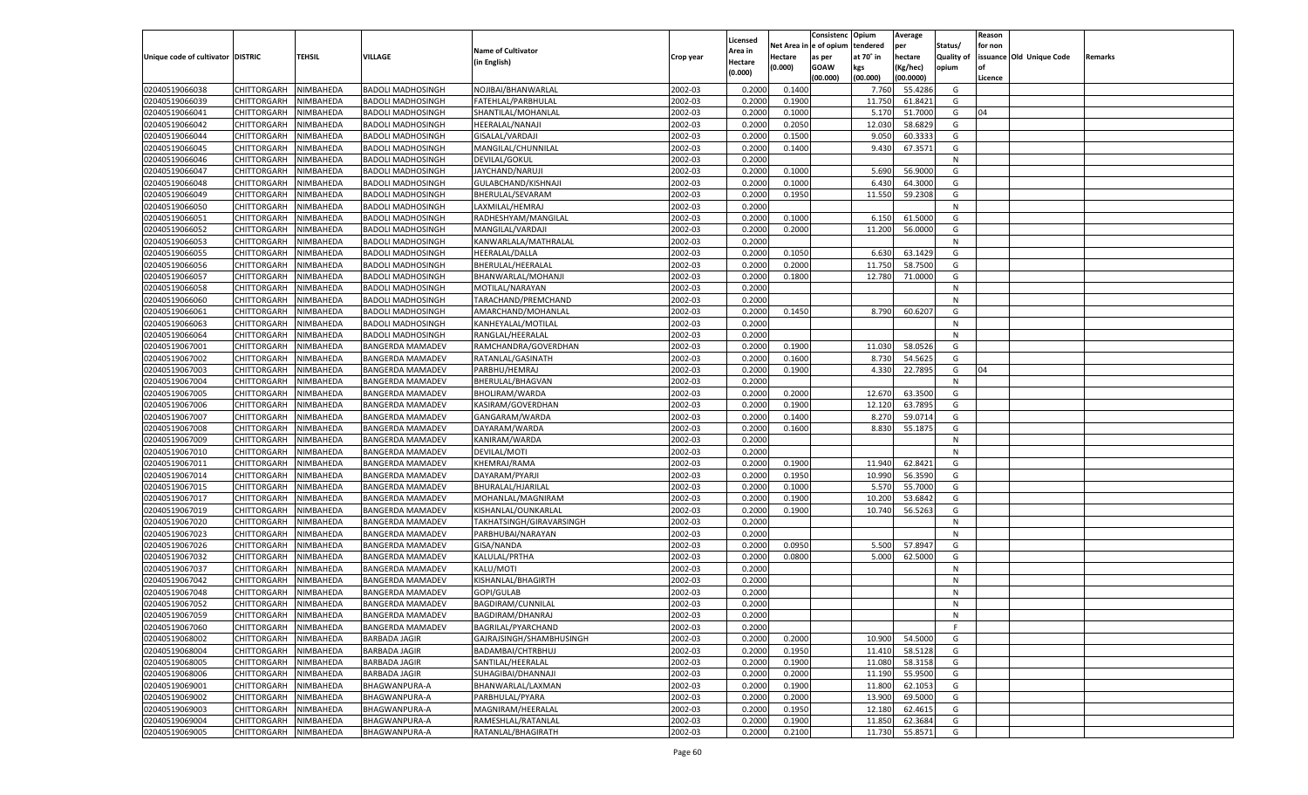|                                   |                       |               |                          |                           |           |                    |          | Consistenc  | Opium     | Average   |                   | Reason  |                          |         |
|-----------------------------------|-----------------------|---------------|--------------------------|---------------------------|-----------|--------------------|----------|-------------|-----------|-----------|-------------------|---------|--------------------------|---------|
|                                   |                       |               |                          | <b>Name of Cultivator</b> |           | Licensed           | Net Area | e of opium  | tendered  | per       | Status/           | for non |                          |         |
| Unique code of cultivator DISTRIC |                       | <b>TEHSIL</b> | VILLAGE                  | (in English)              | Crop year | \rea in<br>Hectare | Hectare  | as per      | at 70° in | hectare   | <b>Quality of</b> |         | issuance Old Unique Code | Remarks |
|                                   |                       |               |                          |                           |           | (0.000)            | (0.000)  | <b>GOAW</b> | kgs       | (Kg/hec)  | opium             |         |                          |         |
|                                   |                       |               |                          |                           |           |                    |          | (00.000)    | (00.000)  | (00.0000) |                   | Licence |                          |         |
| 02040519066038                    | CHITTORGARH           | NIMBAHEDA     | <b>BADOLI MADHOSINGH</b> | NOJIBAI/BHANWARLAL        | 2002-03   | 0.2000             | 0.1400   |             | 7.760     | 55.4286   | G                 |         |                          |         |
| 02040519066039                    | CHITTORGARH           | NIMBAHEDA     | <b>BADOLI MADHOSINGH</b> | FATEHLAL/PARBHULAL        | 2002-03   | 0.2000             | 0.1900   |             | 11.750    | 61.8421   | G                 |         |                          |         |
| 02040519066041                    | CHITTORGARH           | NIMBAHEDA     | <b>BADOLI MADHOSINGH</b> | SHANTILAL/MOHANLAL        | 2002-03   | 0.2000             | 0.1000   |             | 5.170     | 51.7000   | G                 | 04      |                          |         |
| 02040519066042                    | CHITTORGARH           | NIMBAHEDA     | <b>BADOLI MADHOSINGH</b> | <b>HEERALAL/NANAJI</b>    | 2002-03   | 0.2000             | 0.2050   |             | 12.030    | 58.6829   | G                 |         |                          |         |
| 02040519066044                    | CHITTORGARH           | NIMBAHEDA     | <b>BADOLI MADHOSINGH</b> | GISALAL/VARDAJI           | 2002-03   | 0.2000             | 0.1500   |             | 9.050     | 60.333    | G                 |         |                          |         |
| 02040519066045                    | CHITTORGARH           | NIMBAHEDA     | <b>BADOLI MADHOSINGH</b> | MANGILAL/CHUNNILAL        | 2002-03   | 0.2000             | 0.1400   |             | 9.430     | 67.3571   | G                 |         |                          |         |
| 02040519066046                    | CHITTORGARH           | NIMBAHEDA     | <b>BADOLI MADHOSINGH</b> | DEVILAL/GOKUL             | 2002-03   | 0.2000             |          |             |           |           | N                 |         |                          |         |
| 02040519066047                    | CHITTORGARH           | NIMBAHEDA     | <b>BADOLI MADHOSINGH</b> | JAYCHAND/NARUJI           | 2002-03   | 0.2000             | 0.1000   |             | 5.690     | 56.9000   | G                 |         |                          |         |
| 02040519066048                    | CHITTORGARH           | NIMBAHEDA     | <b>BADOLI MADHOSINGH</b> | GULABCHAND/KISHNAJI       | 2002-03   | 0.2000             | 0.1000   |             | 6.430     | 64.3000   | G                 |         |                          |         |
| 02040519066049                    | CHITTORGARH           | NIMBAHEDA     | <b>BADOLI MADHOSINGH</b> | BHERULAL/SEVARAM          | 2002-03   | 0.2000             | 0.1950   |             | 11.550    | 59.2308   | G                 |         |                          |         |
| 02040519066050                    | CHITTORGARH           | NIMBAHEDA     | <b>BADOLI MADHOSINGH</b> | LAXMILAL/HEMRAJ           | 2002-03   | 0.2000             |          |             |           |           | N                 |         |                          |         |
| 02040519066051                    | CHITTORGARH           | NIMBAHEDA     | <b>BADOLI MADHOSINGH</b> | RADHESHYAM/MANGILAL       | 2002-03   | 0.2000             | 0.1000   |             | 6.150     | 61.5000   | G                 |         |                          |         |
| 02040519066052                    | CHITTORGARH           | NIMBAHEDA     | <b>BADOLI MADHOSINGH</b> | MANGILAL/VARDAJI          | 2002-03   | 0.2000             | 0.2000   |             | 11.200    | 56.0000   | G                 |         |                          |         |
| 02040519066053                    | CHITTORGARH           | NIMBAHEDA     | <b>BADOLI MADHOSINGH</b> | KANWARLALA/MATHRALAL      | 2002-03   | 0.2000             |          |             |           |           | N                 |         |                          |         |
| 02040519066055                    | CHITTORGARH           | NIMBAHEDA     | <b>BADOLI MADHOSINGH</b> | HEERALAL/DALLA            | 2002-03   | 0.2000             | 0.1050   |             | 6.630     | 63.1429   | G                 |         |                          |         |
| 02040519066056                    | CHITTORGARH           | NIMBAHEDA     | <b>BADOLI MADHOSINGH</b> | BHERULAL/HEERALAL         | 2002-03   | 0.2000             | 0.2000   |             | 11.750    | 58.7500   | G                 |         |                          |         |
| 02040519066057                    | CHITTORGARH           | NIMBAHEDA     | <b>BADOLI MADHOSINGH</b> | BHANWARLAL/MOHANJI        | 2002-03   | 0.2000             | 0.1800   |             | 12.780    | 71.0000   | G                 |         |                          |         |
| 02040519066058                    | CHITTORGARH           | NIMBAHEDA     | <b>BADOLI MADHOSINGH</b> | MOTILAL/NARAYAN           | 2002-03   | 0.2000             |          |             |           |           | N                 |         |                          |         |
| 02040519066060                    | CHITTORGARH           | NIMBAHEDA     | <b>BADOLI MADHOSINGH</b> | TARACHAND/PREMCHAND       | 2002-03   | 0.2000             |          |             |           |           | N                 |         |                          |         |
| 02040519066061                    | CHITTORGARH           | NIMBAHEDA     | <b>BADOLI MADHOSINGH</b> | AMARCHAND/MOHANLAL        | 2002-03   | 0.2000             | 0.1450   |             | 8.790     | 60.6207   | G                 |         |                          |         |
| 02040519066063                    | CHITTORGARH           | NIMBAHEDA     | <b>BADOLI MADHOSINGH</b> | KANHEYALAL/MOTILAL        | 2002-03   | 0.2000             |          |             |           |           | N                 |         |                          |         |
| 02040519066064                    | CHITTORGARH           | NIMBAHEDA     | <b>BADOLI MADHOSINGH</b> | RANGLAL/HEERALAL          | 2002-03   | 0.2000             |          |             |           |           | N                 |         |                          |         |
| 02040519067001                    | CHITTORGARH           | NIMBAHEDA     | BANGERDA MAMADEV         | RAMCHANDRA/GOVERDHAN      | 2002-03   | 0.2000             | 0.1900   |             | 11.030    | 58.0526   | G                 |         |                          |         |
| 02040519067002                    | CHITTORGARH           | NIMBAHEDA     | <b>BANGERDA MAMADEV</b>  | RATANLAL/GASINATH         | 2002-03   | 0.2000             | 0.1600   |             | 8.730     | 54.5625   | G                 |         |                          |         |
| 02040519067003                    | CHITTORGARH           | NIMBAHEDA     | <b>BANGERDA MAMADEV</b>  | PARBHU/HEMRAJ             | 2002-03   | 0.2000             | 0.1900   |             | 4.330     | 22.7895   | G                 | 04      |                          |         |
| 02040519067004                    | CHITTORGARH           | NIMBAHEDA     | <b>BANGERDA MAMADEV</b>  | BHERULAL/BHAGVAN          | 2002-03   | 0.2000             |          |             |           |           | N                 |         |                          |         |
| 02040519067005                    | CHITTORGARH           | NIMBAHEDA     | <b>BANGERDA MAMADEV</b>  | BHOLIRAM/WARDA            | 2002-03   | 0.2000             | 0.2000   |             | 12.670    | 63.3500   | G                 |         |                          |         |
| 02040519067006                    | CHITTORGARH           | NIMBAHEDA     | <b>BANGERDA MAMADEV</b>  | KASIRAM/GOVERDHAN         | 2002-03   | 0.2000             | 0.1900   |             | 12.120    | 63.7895   | G                 |         |                          |         |
| 02040519067007                    | CHITTORGARH           | NIMBAHEDA     | <b>BANGERDA MAMADEV</b>  | GANGARAM/WARDA            | 2002-03   | 0.2000             | 0.1400   |             | 8.270     | 59.0714   | G                 |         |                          |         |
| 02040519067008                    | CHITTORGARH           | NIMBAHEDA     | <b>BANGERDA MAMADEV</b>  | DAYARAM/WARDA             | 2002-03   | 0.2000             | 0.1600   |             | 8.830     | 55.1875   | G                 |         |                          |         |
| 02040519067009                    | CHITTORGARH           | NIMBAHEDA     | <b>BANGERDA MAMADEV</b>  | KANIRAM/WARDA             | 2002-03   | 0.2000             |          |             |           |           | N                 |         |                          |         |
| 02040519067010                    | CHITTORGARH           | NIMBAHEDA     | <b>BANGERDA MAMADEV</b>  | DEVILAL/MOTI              | 2002-03   | 0.2000             |          |             |           |           | N                 |         |                          |         |
| 02040519067011                    | <b>CHITTORGARH</b>    | NIMBAHEDA     | <b>BANGERDA MAMADEV</b>  | KHEMRAJ/RAMA              | 2002-03   | 0.2000             | 0.1900   |             | 11.940    | 62.8421   | G                 |         |                          |         |
| 02040519067014                    | CHITTORGARH           | NIMBAHEDA     | <b>BANGERDA MAMADEV</b>  | DAYARAM/PYARJI            | 2002-03   | 0.2000             | 0.1950   |             | 10.990    | 56.3590   | G                 |         |                          |         |
| 02040519067015                    | <b>CHITTORGARH</b>    | NIMBAHEDA     | <b>BANGERDA MAMADEV</b>  | BHURALAL/HJARILAL         | 2002-03   | 0.2000             | 0.1000   |             | 5.57      | 55.7000   | G                 |         |                          |         |
| 02040519067017                    | CHITTORGARH           | NIMBAHEDA     | <b>BANGERDA MAMADEV</b>  | MOHANLAL/MAGNIRAM         | 2002-03   | 0.2000             | 0.1900   |             | 10.200    | 53.684    | G                 |         |                          |         |
| 02040519067019                    | <b>CHITTORGARH</b>    | NIMBAHEDA     | <b>BANGERDA MAMADEV</b>  | KISHANLAL/OUNKARLAL       | 2002-03   | 0.2000             | 0.1900   |             | 10.740    | 56.5263   | G                 |         |                          |         |
| 02040519067020                    | CHITTORGARH           | NIMBAHEDA     | <b>BANGERDA MAMADEV</b>  | TAKHATSINGH/GIRAVARSINGH  | 2002-03   | 0.2000             |          |             |           |           | N                 |         |                          |         |
| 02040519067023                    | CHITTORGARH           | NIMBAHEDA     | <b>BANGERDA MAMADEV</b>  | PARBHUBAI/NARAYAN         | 2002-03   | 0.2000             |          |             |           |           | N                 |         |                          |         |
| 02040519067026                    | CHITTORGARH           | NIMBAHEDA     | <b>BANGERDA MAMADEV</b>  | GISA/NANDA                | 2002-03   | 0.2000             | 0.0950   |             | 5.500     | 57.8947   | G                 |         |                          |         |
| 02040519067032                    | CHITTORGARH           | NIMBAHEDA     | <b>BANGERDA MAMADEV</b>  | KALULAL/PRTHA             | 2002-03   | 0.2000             | 0.0800   |             | 5.000     | 62.5000   | G                 |         |                          |         |
| 02040519067037                    |                       |               | <b>BANGERDA MAMADEV</b>  |                           | 2002-03   |                    |          |             |           |           | N                 |         |                          |         |
|                                   | CHITTORGARH           | NIMBAHEDA     |                          | KALU/MOTI                 |           | 0.2000             |          |             |           |           | N                 |         |                          |         |
| 02040519067042                    | CHITTORGARH           | NIMBAHEDA     | <b>BANGERDA MAMADEV</b>  | KISHANLAL/BHAGIRTH        | 2002-03   | 0.2000             |          |             |           |           |                   |         |                          |         |
| 02040519067048                    | CHITTORGARH           | NIMBAHEDA     | BANGERDA MAMADEV         | GOPI/GULAB                | 2002-03   | 0.2000             |          |             |           |           | N                 |         |                          |         |
| 02040519067052                    | CHITTORGARH           | NIMBAHEDA     | <b>BANGERDA MAMADEV</b>  | BAGDIRAM/CUNNILAL         | 2002-03   | 0.2000             |          |             |           |           | N                 |         |                          |         |
| 02040519067059                    | CHITTORGARH NIMBAHEDA |               | <b>BANGERDA MAMADEV</b>  | BAGDIRAM/DHANRAJ          | 2002-03   | 0.2000             |          |             |           |           | N                 |         |                          |         |
| 02040519067060                    | <b>CHITTORGARH</b>    | NIMBAHEDA     | <b>BANGERDA MAMADEV</b>  | BAGRILAL/PYARCHAND        | 2002-03   | 0.2000             |          |             |           |           | F.                |         |                          |         |
| 02040519068002                    | CHITTORGARH           | NIMBAHEDA     | <b>BARBADA JAGIR</b>     | GAJRAJSINGH/SHAMBHUSINGH  | 2002-03   | 0.2000             | 0.2000   |             | 10.900    | 54.5000   | G                 |         |                          |         |
| 02040519068004                    | <b>CHITTORGARH</b>    | NIMBAHEDA     | <b>BARBADA JAGIR</b>     | BADAMBAI/CHTRBHUJ         | 2002-03   | 0.2000             | 0.1950   |             | 11.410    | 58.5128   | G                 |         |                          |         |
| 02040519068005                    | <b>CHITTORGARH</b>    | NIMBAHEDA     | <b>BARBADA JAGIR</b>     | SANTILAL/HEERALAL         | 2002-03   | 0.2000             | 0.1900   |             | 11.080    | 58.3158   | G                 |         |                          |         |
| 02040519068006                    | <b>CHITTORGARH</b>    | NIMBAHEDA     | <b>BARBADA JAGIR</b>     | SUHAGIBAI/DHANNAJI        | 2002-03   | 0.2000             | 0.2000   |             | 11.190    | 55.9500   | G                 |         |                          |         |
| 02040519069001                    | <b>CHITTORGARH</b>    | NIMBAHEDA     | BHAGWANPURA-A            | BHANWARLAL/LAXMAN         | 2002-03   | 0.2000             | 0.1900   |             | 11.800    | 62.1053   | G                 |         |                          |         |
| 02040519069002                    | <b>CHITTORGARH</b>    | NIMBAHEDA     | <b>BHAGWANPURA-A</b>     | PARBHULAL/PYARA           | 2002-03   | 0.2000             | 0.2000   |             | 13.900    | 69.5000   | G                 |         |                          |         |
| 02040519069003                    | <b>CHITTORGARH</b>    | NIMBAHEDA     | BHAGWANPURA-A            | MAGNIRAM/HEERALAL         | 2002-03   | 0.2000             | 0.1950   |             | 12.180    | 62.4615   | G                 |         |                          |         |
| 02040519069004                    | <b>CHITTORGARH</b>    | NIMBAHEDA     | <b>BHAGWANPURA-A</b>     | RAMESHLAL/RATANLAL        | 2002-03   | 0.2000             | 0.1900   |             | 11.850    | 62.3684   | G                 |         |                          |         |
| 02040519069005                    | CHITTORGARH           | NIMBAHEDA     | <b>BHAGWANPURA-A</b>     | RATANLAL/BHAGIRATH        | 2002-03   | 0.2000             | 0.2100   |             | 11.730    | 55.8571   | G                 |         |                          |         |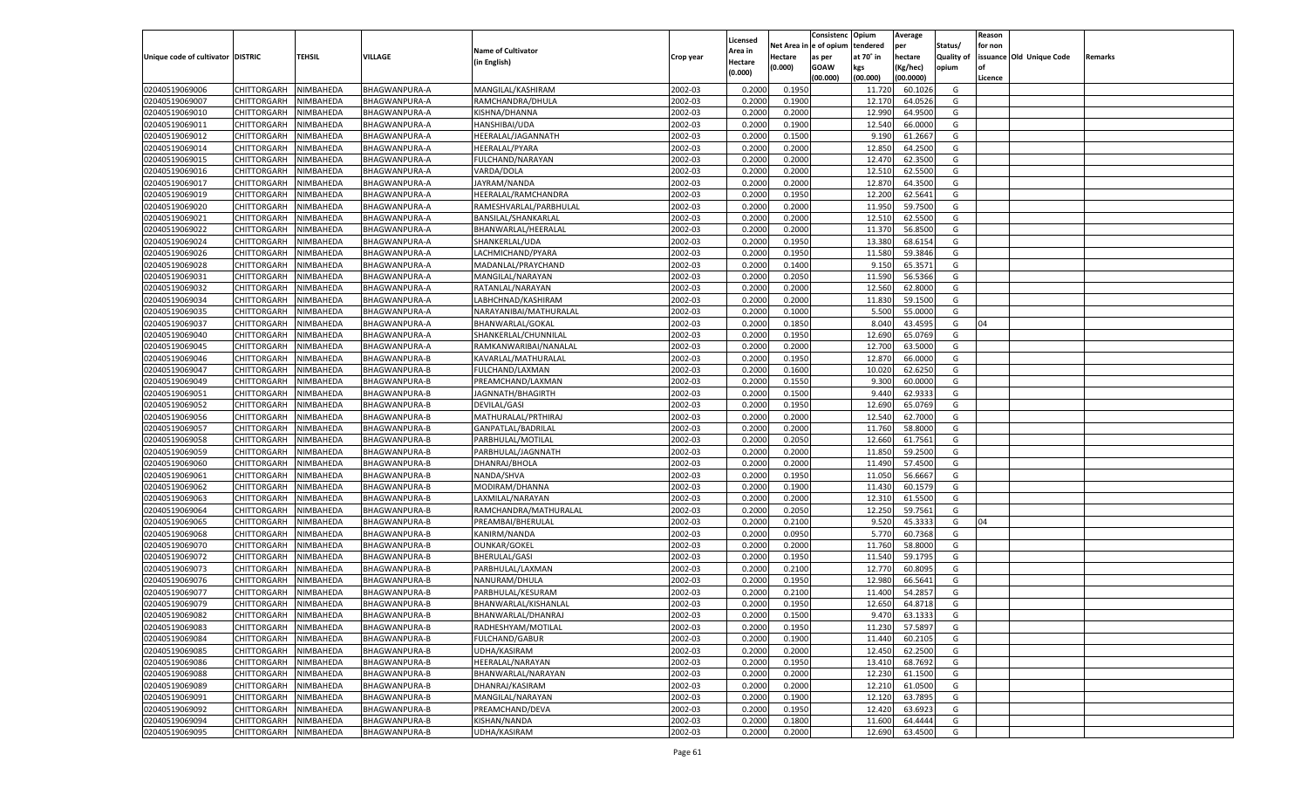|                                   |                       |               |                      |                           |           |                           |                  | Consistenc  | Opium     | Average   |                   | Reason  |                          |         |
|-----------------------------------|-----------------------|---------------|----------------------|---------------------------|-----------|---------------------------|------------------|-------------|-----------|-----------|-------------------|---------|--------------------------|---------|
|                                   |                       |               |                      | <b>Name of Cultivator</b> |           | Licensed                  | Net Area         | e of opium  | tendered  | per       | Status/           | for non |                          |         |
| Unique code of cultivator DISTRIC |                       | <b>TEHSIL</b> | VILLAGE              | (in English)              | Crop year | <b>Area in</b><br>Hectare | Hectare          | as per      | at 70° in | hectare   | <b>Quality of</b> |         | issuance Old Unique Code | Remarks |
|                                   |                       |               |                      |                           |           | (0.000)                   | (0.000)          | <b>GOAW</b> | kgs       | (Kg/hec)  | opium             |         |                          |         |
|                                   |                       |               |                      |                           |           |                           |                  | (00.000)    | (00.000)  | (00.0000) |                   | Licence |                          |         |
| 02040519069006                    | CHITTORGARH           | NIMBAHEDA     | BHAGWANPURA-A        | MANGILAL/KASHIRAM         | 2002-03   | 0.2000                    | 0.1950           |             | 11.720    | 60.1026   | G                 |         |                          |         |
| 02040519069007                    | CHITTORGARH           | NIMBAHEDA     | BHAGWANPURA-A        | RAMCHANDRA/DHULA          | 2002-03   | 0.2000                    | 0.1900           |             | 12.170    | 64.0526   | G                 |         |                          |         |
| 02040519069010                    | CHITTORGARH           | NIMBAHEDA     | BHAGWANPURA-A        | KISHNA/DHANNA             | 2002-03   | 0.2000                    | 0.2000           |             | 12.990    | 64.9500   | G                 |         |                          |         |
| 02040519069011                    | CHITTORGARH           | NIMBAHEDA     | BHAGWANPURA-A        | HANSHIBAI/UDA             | 2002-03   | 0.2000                    | 0.1900           |             | 12.540    | 66.0000   | G                 |         |                          |         |
| 02040519069012                    | CHITTORGARH           | NIMBAHEDA     | BHAGWANPURA-A        | HEERALAL/JAGANNATH        | 2002-03   | 0.2000                    | 0.1500           |             | 9.190     | 61.2667   | G                 |         |                          |         |
| 02040519069014                    | CHITTORGARH           | NIMBAHEDA     | BHAGWANPURA-A        | HEERALAL/PYARA            | 2002-03   | 0.2000                    | 0.2000           |             | 12.850    | 64.2500   | G                 |         |                          |         |
| 02040519069015                    | CHITTORGARH           | NIMBAHEDA     | BHAGWANPURA-A        | FULCHAND/NARAYAN          | 2002-03   | 0.2000                    | 0.2000           |             | 12.470    | 62.3500   | G                 |         |                          |         |
| 02040519069016                    | CHITTORGARH           | NIMBAHEDA     | BHAGWANPURA-A        | VARDA/DOLA                | 2002-03   | 0.2000                    | 0.2000           |             | 12.51     | 62.5500   | G                 |         |                          |         |
| 02040519069017                    | CHITTORGARH           | NIMBAHEDA     | BHAGWANPURA-A        | JAYRAM/NANDA              | 2002-03   | 0.2000                    | 0.2000           |             | 12.870    | 64.3500   | G                 |         |                          |         |
| 02040519069019                    | CHITTORGARH           | NIMBAHEDA     | BHAGWANPURA-A        | HEERALAL/RAMCHANDRA       | 2002-03   | 0.2000                    | 0.1950           |             | 12.200    | 62.5641   | G                 |         |                          |         |
| 02040519069020                    | CHITTORGARH           | NIMBAHEDA     | BHAGWANPURA-A        | RAMESHVARLAL/PARBHULAL    | 2002-03   | 0.2000                    | 0.2000           |             | 11.950    | 59.7500   | G                 |         |                          |         |
| 02040519069021                    | CHITTORGARH           | NIMBAHEDA     | BHAGWANPURA-A        | BANSILAL/SHANKARLAL       | 2002-03   | 0.2000                    | 0.2000           |             | 12.51     | 62.5500   | G                 |         |                          |         |
| 02040519069022                    | CHITTORGARH           | NIMBAHEDA     | BHAGWANPURA-A        | BHANWARLAL/HEERALAL       | 2002-03   | 0.2000                    | 0.2000           |             | 11.370    | 56.8500   | G                 |         |                          |         |
| 02040519069024                    | CHITTORGARH           | NIMBAHEDA     | BHAGWANPURA-A        | SHANKERLAL/UDA            | 2002-03   | 0.2000                    | 0.1950           |             | 13.380    | 68.615    | G                 |         |                          |         |
| 02040519069026                    | CHITTORGARH           | NIMBAHEDA     | BHAGWANPURA-A        | LACHMICHAND/PYARA         | 2002-03   | 0.2000                    | 0.1950           |             | 11.580    | 59.3846   | G                 |         |                          |         |
| 02040519069028                    | CHITTORGARH           | NIMBAHEDA     | BHAGWANPURA-A        | MADANLAL/PRAYCHAND        | 2002-03   | 0.2000                    | 0.1400           |             | 9.150     | 65.3571   | G                 |         |                          |         |
| 02040519069031                    | CHITTORGARH           | NIMBAHEDA     | BHAGWANPURA-A        | MANGILAL/NARAYAN          | 2002-03   | 0.2000                    | 0.2050           |             | 11.590    | 56.5366   | G                 |         |                          |         |
| 02040519069032                    | CHITTORGARH           | NIMBAHEDA     | BHAGWANPURA-A        | RATANLAL/NARAYAN          | 2002-03   | 0.2000                    | 0.2000           |             | 12.560    | 62.8000   | G                 |         |                          |         |
| 02040519069034                    | CHITTORGARH           | NIMBAHEDA     | BHAGWANPURA-A        | LABHCHNAD/KASHIRAM        | 2002-03   | 0.2000                    | 0.2000           |             | 11.830    | 59.1500   | G                 |         |                          |         |
| 02040519069035                    | CHITTORGARH           | NIMBAHEDA     | BHAGWANPURA-A        | NARAYANIBAI/MATHURALAL    | 2002-03   | 0.2000                    | 0.1000           |             | 5.500     | 55.0000   | G                 |         |                          |         |
| 02040519069037                    | CHITTORGARH           | NIMBAHEDA     | BHAGWANPURA-A        | BHANWARLAL/GOKAL          | 2002-03   | 0.2000                    | 0.1850           |             | 8.040     | 43.4595   | G                 | 04      |                          |         |
| 02040519069040                    | CHITTORGARH           | NIMBAHEDA     | BHAGWANPURA-A        | SHANKERLAL/CHUNNILAI      | 2002-03   | 0.2000                    | 0.1950           |             | 12.690    | 65.0769   | G                 |         |                          |         |
| 02040519069045                    | CHITTORGARH           | NIMBAHEDA     | BHAGWANPURA-A        | RAMKANWARIBAI/NANALAL     | 2002-03   | 0.2000                    | 0.2000           |             | 12.700    | 63.5000   | G                 |         |                          |         |
| 02040519069046                    | CHITTORGARH           | NIMBAHEDA     | BHAGWANPURA-B        | KAVARLAL/MATHURALAL       | 2002-03   | 0.2000                    | 0.1950           |             | 12.870    | 66.0000   | G                 |         |                          |         |
| 02040519069047                    | CHITTORGARH           | NIMBAHEDA     | BHAGWANPURA-B        | FULCHAND/LAXMAN           | 2002-03   | 0.2000                    | 0.1600           |             | 10.020    | 62.6250   | G                 |         |                          |         |
| 02040519069049                    | CHITTORGARH           | NIMBAHEDA     | BHAGWANPURA-B        | PREAMCHAND/LAXMAN         | 2002-03   | 0.2000                    | 0.1550           |             | 9.300     | 60.0000   | G                 |         |                          |         |
| 02040519069051                    | CHITTORGARH           | NIMBAHEDA     | <b>BHAGWANPURA-B</b> | JAGNNATH/BHAGIRTH         | 2002-03   | 0.2000                    | 0.1500           |             | 9.440     | 62.933    | G                 |         |                          |         |
| 02040519069052                    | CHITTORGARH           | NIMBAHEDA     | BHAGWANPURA-B        | <b>DEVILAL/GASI</b>       | 2002-03   | 0.2000                    | 0.1950           |             | 12.690    | 65.0769   | G                 |         |                          |         |
| 02040519069056                    | CHITTORGARH           | NIMBAHEDA     | BHAGWANPURA-B        | MATHURALAL/PRTHIRAJ       | 2002-03   | 0.2000                    | 0.2000           |             | 12.540    | 62.7000   | G                 |         |                          |         |
| 02040519069057                    | CHITTORGARH           | NIMBAHEDA     | BHAGWANPURA-B        | GANPATLAL/BADRILAL        | 2002-03   | 0.2000                    | 0.2000           |             | 11.760    | 58.8000   | G                 |         |                          |         |
| 02040519069058                    | CHITTORGARH           | NIMBAHEDA     | BHAGWANPURA-B        | PARBHULAL/MOTILAL         | 2002-03   | 0.2000                    | 0.2050           |             | 12.660    | 61.7561   | G                 |         |                          |         |
| 02040519069059                    | CHITTORGARH           | NIMBAHEDA     | BHAGWANPURA-B        | PARBHULAL/JAGNNATH        | 2002-03   | 0.2000                    | 0.2000           |             | 11.850    | 59.2500   | G                 |         |                          |         |
| 02040519069060                    | CHITTORGARH           | NIMBAHEDA     | BHAGWANPURA-B        | DHANRAJ/BHOLA             | 2002-03   | 0.2000                    | 0.2000           |             | 11.490    | 57.4500   | G                 |         |                          |         |
| 02040519069061                    | CHITTORGARH           | NIMBAHEDA     | BHAGWANPURA-B        | NANDA/SHVA                | 2002-03   | 0.2000                    | 0.1950           |             | 11.050    | 56.666    | G                 |         |                          |         |
| 02040519069062                    | CHITTORGARH           | NIMBAHEDA     | BHAGWANPURA-B        | MODIRAM/DHANNA            | 2002-03   | 0.2000                    | 0.1900           |             | 11.430    | 60.1579   | G                 |         |                          |         |
| 02040519069063                    | CHITTORGARH           | NIMBAHEDA     | BHAGWANPURA-B        | LAXMILAL/NARAYAN          | 2002-03   | 0.2000                    | 0.2000           |             | 12.31     | 61.5500   | G                 |         |                          |         |
| 02040519069064                    | CHITTORGARH           | NIMBAHEDA     | BHAGWANPURA-B        | RAMCHANDRA/MATHURALAL     | 2002-03   | 0.2000                    | 0.2050           |             | 12.250    | 59.7561   | G                 |         |                          |         |
| 02040519069065                    | CHITTORGARH           | NIMBAHEDA     | BHAGWANPURA-B        | PREAMBAI/BHERULAL         | 2002-03   | 0.2000                    | 0.2100           |             | 9.520     | 45.3333   | G                 | 04      |                          |         |
| 02040519069068                    | CHITTORGARH           | NIMBAHEDA     | <b>BHAGWANPURA-B</b> | KANIRM/NANDA              | 2002-03   | 0.2000                    | 0.0950           |             | 5.770     | 60.7368   | G                 |         |                          |         |
| 02040519069070                    | CHITTORGARH           | NIMBAHEDA     | BHAGWANPURA-B        | <b>OUNKAR/GOKEL</b>       | 2002-03   | 0.2000                    | 0.2000           |             | 11.760    | 58.8000   | G                 |         |                          |         |
| 02040519069072                    | CHITTORGARH           | NIMBAHEDA     | BHAGWANPURA-B        | <b>BHERULAL/GASI</b>      | 2002-03   | 0.2000                    | 0.1950           |             | 11.540    | 59.1795   | G                 |         |                          |         |
| 02040519069073                    | CHITTORGARH           | NIMBAHEDA     | BHAGWANPURA-B        | PARBHULAL/LAXMAN          | 2002-03   | 0.2000                    | 0.2100           |             | 12.770    | 60.809    | G                 |         |                          |         |
| 02040519069076                    | CHITTORGARH           | NIMBAHEDA     | BHAGWANPURA-B        | NANURAM/DHULA             | 2002-03   | 0.2000                    | 0.1950           |             | 12.980    | 66.5641   | G                 |         |                          |         |
| 02040519069077                    |                       |               | <b>BHAGWANPURA-B</b> |                           | 2002-03   |                           |                  |             | 11.400    | 54.285    | G                 |         |                          |         |
|                                   | CHITTORGARH           | NIMBAHEDA     | <b>BHAGWANPURA-B</b> | PARBHULAL/KESURAM         |           | 0.2000                    | 0.2100<br>0.1950 |             |           | 64.8718   |                   |         |                          |         |
| 02040519069079                    | CHITTORGARH           | NIMBAHEDA     |                      | BHANWARLAL/KISHANLAL      | 2002-03   | 0.2000                    |                  |             | 12.650    |           | G                 |         |                          |         |
| 02040519069082                    | CHITTORGARH NIMBAHEDA |               | <b>BHAGWANPURA-B</b> | BHANWARLAL/DHANRAJ        | 2002-03   | 0.2000                    | 0.1500           |             | 9.470     | 63.1333   | G                 |         |                          |         |
| 02040519069083                    | <b>CHITTORGARH</b>    | NIMBAHEDA     | <b>BHAGWANPURA-B</b> | RADHESHYAM/MOTILAL        | 2002-03   | 0.2000                    | 0.1950           |             | 11.230    | 57.5897   | G                 |         |                          |         |
| 02040519069084                    | CHITTORGARH           | NIMBAHEDA     | BHAGWANPURA-B        | <b>FULCHAND/GABUR</b>     | 2002-03   | 0.2000                    | 0.1900           |             | 11.440    | 60.2105   | G                 |         |                          |         |
| 02040519069085                    | <b>CHITTORGARH</b>    | NIMBAHEDA     | <b>BHAGWANPURA-B</b> | UDHA/KASIRAM              | 2002-03   | 0.2000                    | 0.2000           |             | 12.450    | 62.2500   | G                 |         |                          |         |
| 02040519069086                    | <b>CHITTORGARH</b>    | NIMBAHEDA     | BHAGWANPURA-B        | HEERALAL/NARAYAN          | 2002-03   | 0.2000                    | 0.1950           |             | 13.410    | 68.7692   | G                 |         |                          |         |
| 02040519069088                    | <b>CHITTORGARH</b>    | NIMBAHEDA     | <b>BHAGWANPURA-B</b> | BHANWARLAL/NARAYAN        | 2002-03   | 0.2000                    | 0.2000           |             | 12.230    | 61.1500   | G                 |         |                          |         |
| 02040519069089                    | <b>CHITTORGARH</b>    | NIMBAHEDA     | <b>BHAGWANPURA-B</b> | DHANRAJ/KASIRAM           | 2002-03   | 0.2000                    | 0.2000           |             | 12.210    | 61.0500   | G                 |         |                          |         |
| 02040519069091                    | <b>CHITTORGARH</b>    | NIMBAHEDA     | <b>BHAGWANPURA-B</b> | MANGILAL/NARAYAN          | 2002-03   | 0.2000                    | 0.1900           |             | 12.120    | 63.7895   | G                 |         |                          |         |
| 02040519069092                    | <b>CHITTORGARH</b>    | NIMBAHEDA     | <b>BHAGWANPURA-B</b> | PREAMCHAND/DEVA           | 2002-03   | 0.2000                    | 0.1950           |             | 12.420    | 63.6923   | G                 |         |                          |         |
| 02040519069094                    | <b>CHITTORGARH</b>    | NIMBAHEDA     | <b>BHAGWANPURA-B</b> | KISHAN/NANDA              | 2002-03   | 0.2000                    | 0.1800           |             | 11.600    | 64.4444   | G                 |         |                          |         |
| 02040519069095                    | CHITTORGARH           | NIMBAHEDA     | <b>BHAGWANPURA-B</b> | UDHA/KASIRAM              | 2002-03   | 0.2000                    | 0.2000           |             | 12.690    | 63.4500   | G                 |         |                          |         |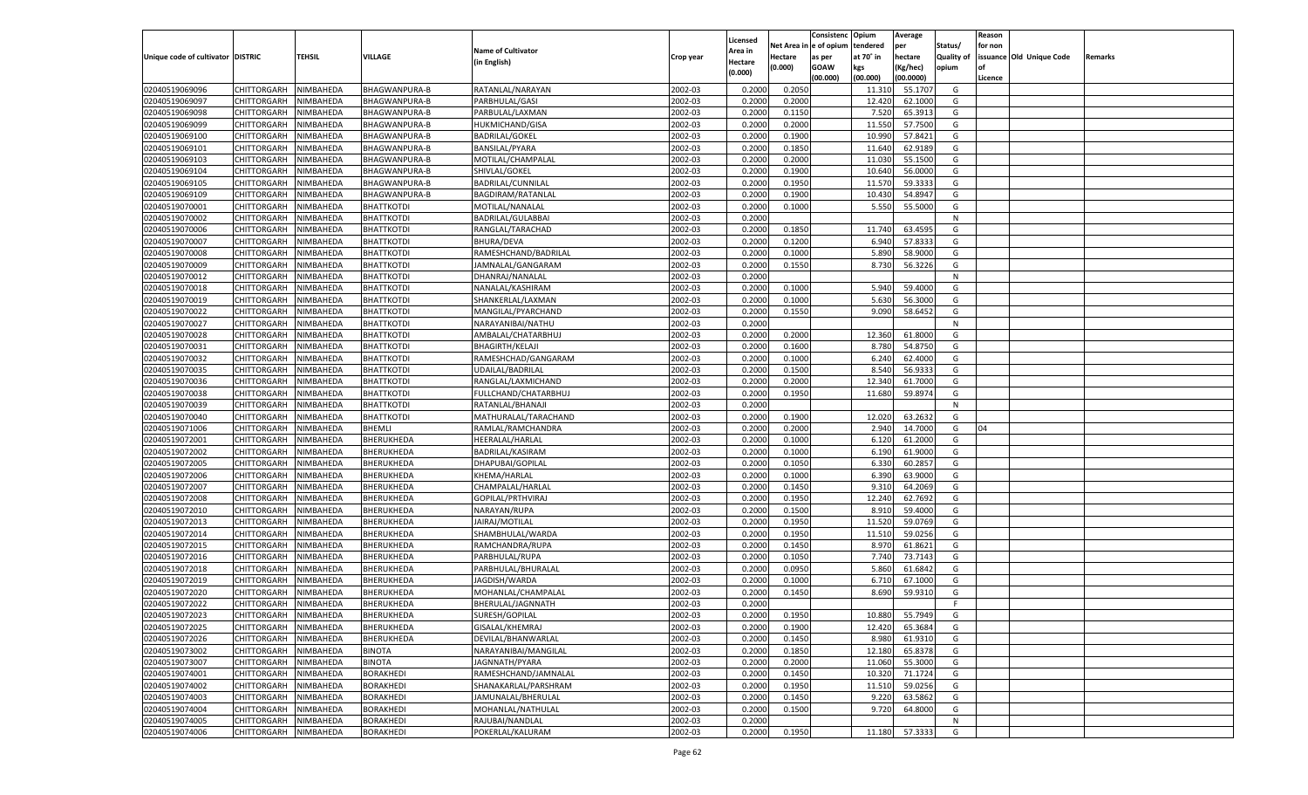|                                   |                                          |                        |                                 |                                        |           |                    |                  | Consistenc   | Opium           | Average            |                   | Reason  |                          |         |
|-----------------------------------|------------------------------------------|------------------------|---------------------------------|----------------------------------------|-----------|--------------------|------------------|--------------|-----------------|--------------------|-------------------|---------|--------------------------|---------|
|                                   |                                          |                        |                                 |                                        |           | Licensed           | Net Area iı      | n e of opium | tendered        | per                | Status/           | for non |                          |         |
| Unique code of cultivator DISTRIC |                                          | TEHSIL                 | <b>VILLAGE</b>                  | <b>Name of Cultivator</b>              | Crop year | Area in            | Hectare          | as per       | at 70° in       | hectare            | <b>Quality of</b> |         | issuance Old Unique Code | Remarks |
|                                   |                                          |                        |                                 | (in English)                           |           | Hectare<br>(0.000) | (0.000)          | <b>GOAW</b>  | kgs             | (Kg/hec)           | opium             |         |                          |         |
|                                   |                                          |                        |                                 |                                        |           |                    |                  | (00.000)     | (00.000)        | (00.0000)          |                   | Licence |                          |         |
| 02040519069096                    | CHITTORGARH                              | NIMBAHEDA              | BHAGWANPURA-B                   | RATANLAL/NARAYAN                       | 2002-03   | 0.2000             | 0.2050           |              | 11.310          | 55.1707            | G                 |         |                          |         |
| 02040519069097                    | CHITTORGARH                              | NIMBAHEDA              | BHAGWANPURA-B                   | PARBHULAL/GASI                         | 2002-03   | 0.2000             | 0.2000           |              | 12.420          | 62.1000            | G                 |         |                          |         |
| 02040519069098                    | CHITTORGARH                              | NIMBAHEDA              | BHAGWANPURA-B                   | PARBULAL/LAXMAN                        | 2002-03   | 0.2000             | 0.1150           |              | 7.520           | 65.3913            | G                 |         |                          |         |
| 02040519069099                    | CHITTORGARH                              | NIMBAHEDA              | <b>BHAGWANPURA-B</b>            | <b>HUKMICHAND/GISA</b>                 | 2002-03   | 0.2000             | 0.2000           |              | 11.550          | 57.7500            | G                 |         |                          |         |
| 02040519069100                    | CHITTORGARH                              | NIMBAHEDA              | BHAGWANPURA-B                   | <b>BADRILAL/GOKEL</b>                  | 2002-03   | 0.2000             | 0.1900           |              | 10.990          | 57.8421            | G                 |         |                          |         |
| 02040519069101                    | CHITTORGARH                              | NIMBAHEDA              | BHAGWANPURA-B                   | <b>BANSILAL/PYARA</b>                  | 2002-03   | 0.2000             | 0.1850           |              | 11.640          | 62.9189            | G                 |         |                          |         |
| 02040519069103                    | CHITTORGARH                              | NIMBAHEDA              | <b>BHAGWANPURA-B</b>            | MOTILAL/CHAMPALAL                      | 2002-03   | 0.2000             | 0.2000           |              | 11.030          | 55.1500            | G                 |         |                          |         |
| 02040519069104                    | CHITTORGARH                              | NIMBAHEDA              | BHAGWANPURA-B                   | SHIVLAL/GOKEL                          | 2002-03   | 0.2000             | 0.1900           |              | 10.640          | 56.0000            | G                 |         |                          |         |
| 02040519069105                    | CHITTORGARH                              | NIMBAHEDA              | BHAGWANPURA-B                   | BADRILAL/CUNNILAL                      | 2002-03   | 0.2000             | 0.1950           |              | 11.570          | 59.3333            | G                 |         |                          |         |
| 02040519069109                    | CHITTORGARH                              | NIMBAHEDA              | BHAGWANPURA-B                   | BAGDIRAM/RATANLAL                      | 2002-03   | 0.2000             | 0.1900           |              | 10.430          | 54.8947            | G                 |         |                          |         |
| 02040519070001                    | CHITTORGARH                              | NIMBAHEDA              | <b>BHATTKOTDI</b>               | MOTILAL/NANALAL                        | 2002-03   | 0.2000             | 0.1000           |              | 5.550           | 55.5000            | G                 |         |                          |         |
| 02040519070002                    | CHITTORGARH                              | NIMBAHEDA              | <b>BHATTKOTDI</b>               | BADRILAL/GULABBAI                      | 2002-03   | 0.2000             |                  |              |                 |                    | N                 |         |                          |         |
| 02040519070006                    | CHITTORGARH                              | NIMBAHEDA              | <b>BHATTKOTDI</b>               | RANGLAL/TARACHAD                       | 2002-03   | 0.2000             | 0.1850           |              | 11.740          | 63.4595            | G                 |         |                          |         |
| 02040519070007                    | CHITTORGARH                              | NIMBAHEDA              | <b>BHATTKOTDI</b>               | BHURA/DEVA                             | 2002-03   | 0.2000             | 0.1200           |              | 6.940           | 57.833             | G                 |         |                          |         |
| 02040519070008                    | CHITTORGARH                              | NIMBAHEDA              | <b>BHATTKOTDI</b>               | RAMESHCHAND/BADRILAL                   | 2002-03   | 0.2000             | 0.1000           |              | 5.890           | 58.9000            | G                 |         |                          |         |
| 02040519070009                    | CHITTORGARH                              | NIMBAHEDA              | BHATTKOTDI                      | JAMNALAL/GANGARAM                      | 2002-03   | 0.2000             | 0.1550           |              | 8.730           | 56.3226            | G                 |         |                          |         |
| 02040519070012                    | CHITTORGARH                              | NIMBAHEDA              | <b>BHATTKOTDI</b>               | DHANRAJ/NANALAL                        | 2002-03   | 0.2000             |                  |              |                 |                    | N                 |         |                          |         |
| 02040519070018                    | CHITTORGARH                              | NIMBAHEDA              | <b>BHATTKOTDI</b>               | NANALAL/KASHIRAM                       | 2002-03   | 0.2000             | 0.1000           |              | 5.940           | 59.4000            | G                 |         |                          |         |
| 02040519070019                    | CHITTORGARH                              | NIMBAHEDA              | <b>BHATTKOTDI</b>               | SHANKERLAL/LAXMAN                      | 2002-03   | 0.2000             | 0.1000           |              | 5.630           | 56.3000            | G                 |         |                          |         |
| 02040519070022                    | CHITTORGARH                              | NIMBAHEDA              | <b>BHATTKOTDI</b>               | MANGILAL/PYARCHAND                     | 2002-03   | 0.2000             | 0.1550           |              | 9.090           | 58.6452            | G                 |         |                          |         |
| 02040519070027                    | CHITTORGARH                              | NIMBAHEDA              | <b>BHATTKOTDI</b>               | NARAYANIBAI/NATHU                      | 2002-03   | 0.2000             |                  |              |                 |                    | N                 |         |                          |         |
| 02040519070028                    | CHITTORGARH                              | NIMBAHEDA              | <b>BHATTKOTDI</b>               | AMBALAL/CHATARBHUJ                     | 2002-03   | 0.2000             | 0.2000           |              | 12.360          | 61.8000            | G                 |         |                          |         |
| 02040519070031                    | CHITTORGARH                              | NIMBAHEDA              | <b>BHATTKOTDI</b>               | <b>BHAGIRTH/KELAJI</b>                 | 2002-03   | 0.2000             | 0.1600           |              | 8.780           | 54.8750            | G                 |         |                          |         |
| 02040519070032                    | CHITTORGARH                              | NIMBAHEDA              | <b>BHATTKOTDI</b>               | RAMESHCHAD/GANGARAM                    | 2002-03   | 0.2000             | 0.1000           |              | 6.240           | 62.4000            | G                 |         |                          |         |
| 02040519070035                    | CHITTORGARH                              | NIMBAHEDA              | <b>BHATTKOTDI</b>               | UDAILAL/BADRILAL                       | 2002-03   | 0.2000             | 0.1500           |              | 8.540           | 56.933             | G                 |         |                          |         |
| 02040519070036                    | CHITTORGARH                              | NIMBAHEDA              | <b>BHATTKOTDI</b>               | RANGLAL/LAXMICHAND                     | 2002-03   | 0.2000             | 0.2000           |              | 12.340          | 61.7000            | G                 |         |                          |         |
| 02040519070038                    | CHITTORGARH                              | NIMBAHEDA              | <b>BHATTKOTDI</b>               | FULLCHAND/CHATARBHUJ                   | 2002-03   | 0.2000             | 0.1950           |              | 11.680          | 59.8974            | G                 |         |                          |         |
| 02040519070039                    | CHITTORGARH                              | NIMBAHEDA              | <b>BHATTKOTDI</b>               | RATANLAL/BHANAJI                       | 2002-03   | 0.2000             |                  |              |                 |                    | N                 |         |                          |         |
| 02040519070040                    | CHITTORGARH                              | NIMBAHEDA              | BHATTKOTDI                      | MATHURALAL/TARACHAND                   | 2002-03   | 0.2000             | 0.1900           |              | 12.020          | 63.2632            | G                 |         |                          |         |
| 02040519071006                    | CHITTORGARH                              | NIMBAHEDA              | BHEMLI                          | RAMLAL/RAMCHANDRA                      | 2002-03   | 0.2000             | 0.2000           |              | 2.940           | 14.7000            | G                 | 04      |                          |         |
| 02040519072001                    | CHITTORGARH                              | NIMBAHEDA              | BHERUKHEDA                      | HEERALAL/HARLAL                        | 2002-03   | 0.2000             | 0.1000           |              | 6.120           | 61.2000            | G                 |         |                          |         |
| 02040519072002                    | CHITTORGARH                              | NIMBAHEDA              | BHERUKHEDA                      | BADRILAL/KASIRAM                       | 2002-03   | 0.2000             | 0.1000           |              | 6.190           | 61.9000            | G                 |         |                          |         |
| 02040519072005                    | CHITTORGARH                              | NIMBAHEDA              | BHERUKHEDA                      | DHAPUBAI/GOPILAL                       | 2002-03   | 0.2000             | 0.1050           |              | 6.330           | 60.285             | G                 |         |                          |         |
| 02040519072006                    | CHITTORGARH                              | NIMBAHEDA              | BHERUKHEDA                      | KHEMA/HARLAL                           | 2002-03   | 0.2000             | 0.1000           |              | 6.390           | 63.9000            | G                 |         |                          |         |
| 02040519072007                    | CHITTORGARH                              | NIMBAHEDA              | BHERUKHEDA                      | CHAMPALAL/HARLAL                       | 2002-03   | 0.2000             | 0.1450           |              | 9.31            | 64.2069            | G                 |         |                          |         |
| 02040519072008                    | CHITTORGARH                              | NIMBAHEDA              | BHERUKHEDA                      | GOPILAL/PRTHVIRAJ                      | 2002-03   | 0.2000             | 0.1950           |              | 12.24           | 62.7692            | G                 |         |                          |         |
| 02040519072010                    | CHITTORGARH                              | NIMBAHEDA              | BHERUKHEDA                      | NARAYAN/RUPA                           | 2002-03   | 0.2000             | 0.1500           |              | 8.910           | 59.4000            | G                 |         |                          |         |
| 02040519072013                    | CHITTORGARH                              | NIMBAHEDA              | BHERUKHEDA                      | JAIRAJ/MOTILAL                         | 2002-03   | 0.2000             | 0.1950           |              | 11.520          | 59.0769            | G                 |         |                          |         |
| 02040519072014                    | CHITTORGARH                              | NIMBAHEDA              | BHERUKHEDA                      | SHAMBHULAL/WARDA                       | 2002-03   | 0.2000             | 0.1950           |              | 11.51           | 59.0256            | G                 |         |                          |         |
| 02040519072015                    | CHITTORGARH                              | NIMBAHEDA              | BHERUKHEDA                      | RAMCHANDRA/RUPA                        | 2002-03   | 0.2000             | 0.1450           |              | 8.970           | 61.8621            | G                 |         |                          |         |
| 02040519072016                    | CHITTORGARH                              | NIMBAHEDA              | BHERUKHEDA                      | PARBHULAL/RUPA                         | 2002-03   | 0.2000             | 0.1050           |              | 7.740           | 73.7143            | G                 |         |                          |         |
| 02040519072018                    | CHITTORGARH                              | NIMBAHEDA              | BHERUKHEDA                      | PARBHULAL/BHURALAL                     | 2002-03   | 0.2000             | 0.0950           |              | 5.860           | 61.6842            | G                 |         |                          |         |
| 02040519072019                    | CHITTORGARH                              | NIMBAHEDA              | BHERUKHEDA                      | JAGDISH/WARDA                          | 2002-03   | 0.2000             | 0.1000           |              | 6.710           | 67.1000            | G                 |         |                          |         |
| 02040519072020                    | CHITTORGARH                              | NIMBAHEDA              | BHERUKHEDA                      | MOHANLAL/CHAMPALAL                     | 2002-03   | 0.2000             | 0.1450           |              | 8.690           | 59.9310            | G                 |         |                          |         |
| 02040519072022                    | CHITTORGARH                              | NIMBAHEDA              | BHERUKHEDA                      | BHERULAL/JAGNNATH                      | 2002-03   | 0.2000             |                  |              |                 |                    | F.                |         |                          |         |
|                                   | CHITTORGARH NIMBAHEDA                    |                        | <b>BHERUKHEDA</b>               | SURESH/GOPILAL                         | 2002-03   | 0.2000             | 0.1950           |              | 10.880          | 55.7949            | G                 |         |                          |         |
| 02040519072023                    |                                          |                        |                                 |                                        | 2002-03   |                    |                  |              |                 |                    |                   |         |                          |         |
| 02040519072025<br>02040519072026  | <b>CHITTORGARH</b><br><b>CHITTORGARH</b> | NIMBAHEDA<br>NIMBAHEDA | <b>BHERUKHEDA</b><br>BHERUKHEDA | GISALAL/KHEMRAJ<br>DEVILAL/BHANWARLAL  | 2002-03   | 0.2000<br>0.2000   | 0.1900<br>0.1450 |              | 12.420<br>8.980 | 65.3684<br>61.9310 | G<br>G            |         |                          |         |
|                                   |                                          |                        |                                 |                                        |           |                    |                  |              |                 |                    |                   |         |                          |         |
| 02040519073002                    | CHITTORGARH<br><b>CHITTORGARH</b>        | NIMBAHEDA<br>NIMBAHEDA | <b>BINOTA</b>                   | NARAYANIBAI/MANGILAL                   | 2002-03   | 0.2000             | 0.1850           |              | 12.180          | 65.8378            | G                 |         |                          |         |
| 02040519073007                    |                                          |                        | <b>BINOTA</b>                   | JAGNNATH/PYARA<br>RAMESHCHAND/JAMNALAL | 2002-03   | 0.2000             | 0.2000           |              | 11.060          | 55.3000            | G                 |         |                          |         |
| 02040519074001                    | CHITTORGARH                              | NIMBAHEDA              | <b>BORAKHEDI</b>                |                                        | 2002-03   | 0.2000             | 0.1450           |              | 10.320          | 71.1724            | G                 |         |                          |         |
| 02040519074002                    | <b>CHITTORGARH</b>                       | NIMBAHEDA              | BORAKHEDI                       | SHANAKARLAL/PARSHRAM                   | 2002-03   | 0.2000             | 0.1950           |              | 11.510          | 59.0256            | G                 |         |                          |         |
| 02040519074003                    | CHITTORGARH                              | NIMBAHEDA              | <b>BORAKHEDI</b>                | JAMUNALAL/BHERULAL                     | 2002-03   | 0.2000             | 0.1450           |              | 9.220           | 63.5862            | G                 |         |                          |         |
| 02040519074004                    | <b>CHITTORGARH</b>                       | NIMBAHEDA              | <b>BORAKHEDI</b>                | MOHANLAL/NATHULAL                      | 2002-03   | 0.2000             | 0.1500           |              | 9.720           | 64.8000            | G                 |         |                          |         |
| 02040519074005                    | <b>CHITTORGARH</b>                       | NIMBAHEDA              | <b>BORAKHEDI</b>                | RAJUBAI/NANDLAL                        | 2002-03   | 0.2000             |                  |              |                 |                    | N                 |         |                          |         |
| 02040519074006                    | <b>CHITTORGARH</b>                       | NIMBAHEDA              | <b>BORAKHEDI</b>                | POKERLAL/KALURAM                       | 2002-03   | 0.2000             | 0.1950           |              | 11.180          | 57.3333            | G                 |         |                          |         |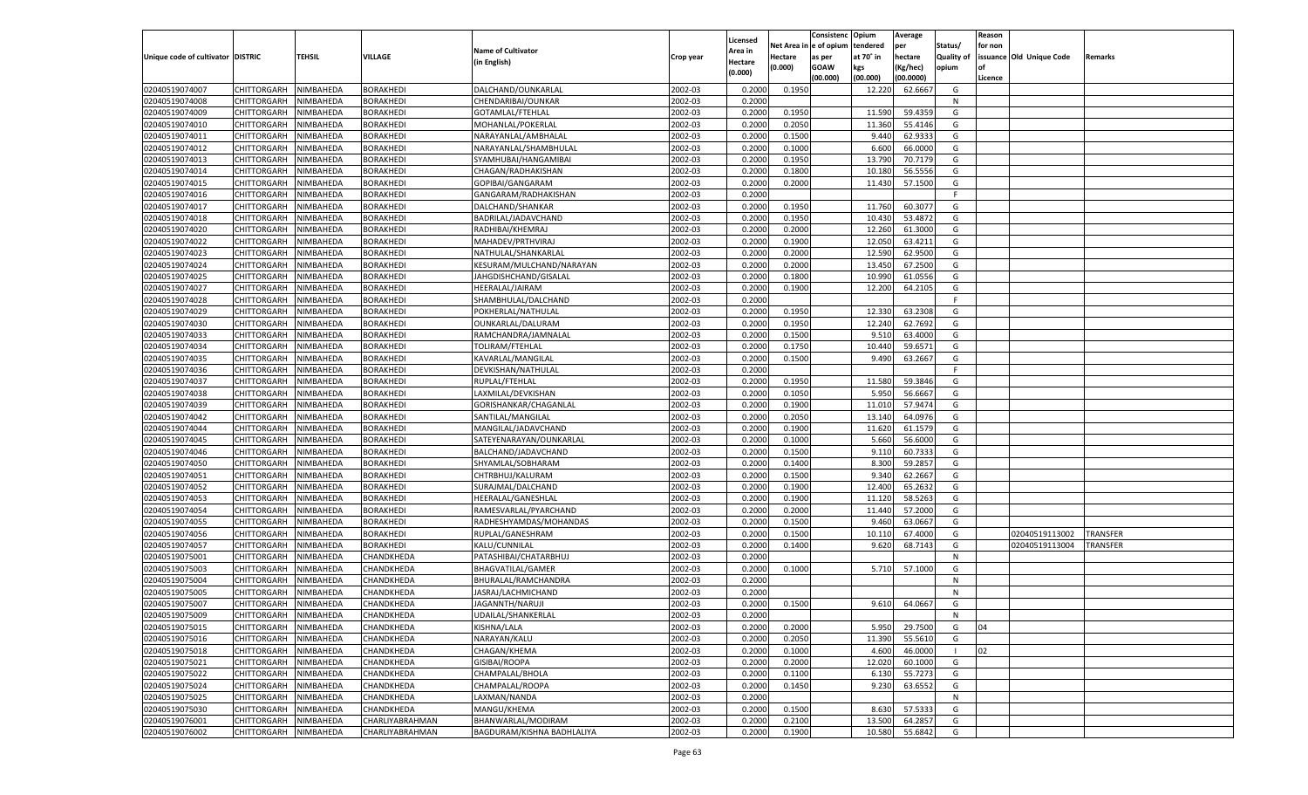|                                   |                       |               |                   |                            |           |                           |          | Consistenc  | Opium     | Average   |                   | Reason  |                          |                 |
|-----------------------------------|-----------------------|---------------|-------------------|----------------------------|-----------|---------------------------|----------|-------------|-----------|-----------|-------------------|---------|--------------------------|-----------------|
|                                   |                       |               |                   | <b>Name of Cultivator</b>  |           | Licensed                  | Net Area | le of opium | tendered  | per       | Status/           | for non |                          |                 |
| Unique code of cultivator DISTRIC |                       | <b>TEHSIL</b> | VILLAGE           | (in English)               | Crop year | <b>Area in</b><br>Hectare | Hectare  | as per      | at 70° in | hectare   | <b>Quality of</b> |         | issuance Old Unique Code | Remarks         |
|                                   |                       |               |                   |                            |           | (0.000)                   | (0.000)  | <b>GOAW</b> | kgs       | (Kg/hec)  | opium             |         |                          |                 |
|                                   |                       |               |                   |                            |           |                           |          | (00.000)    | (00.000)  | (00.0000) |                   | Licence |                          |                 |
| 02040519074007                    | CHITTORGARH           | NIMBAHEDA     | <b>BORAKHEDI</b>  | DALCHAND/OUNKARLAL         | 2002-03   | 0.2000                    | 0.1950   |             | 12.220    | 62.6667   | G                 |         |                          |                 |
| 02040519074008                    | CHITTORGARH           | NIMBAHEDA     | BORAKHEDI         | CHENDARIBAI/OUNKAR         | 2002-03   | 0.2000                    |          |             |           |           | N                 |         |                          |                 |
| 02040519074009                    | CHITTORGARH           | NIMBAHEDA     | BORAKHEDI         | GOTAMLAL/FTEHLAL           | 2002-03   | 0.2000                    | 0.1950   |             | 11.590    | 59.435    | G                 |         |                          |                 |
| 02040519074010                    | CHITTORGARH           | NIMBAHEDA     | BORAKHEDI         | MOHANLAL/POKERLAL          | 2002-03   | 0.2000                    | 0.2050   |             | 11.360    | 55.4146   | G                 |         |                          |                 |
| 02040519074011                    | CHITTORGARH           | NIMBAHEDA     | <b>BORAKHEDI</b>  | NARAYANLAL/AMBHALAL        | 2002-03   | 0.2000                    | 0.1500   |             | 9.440     | 62.933    | G                 |         |                          |                 |
| 02040519074012                    | CHITTORGARH           | NIMBAHEDA     | BORAKHEDI         | NARAYANLAL/SHAMBHULAL      | 2002-03   | 0.2000                    | 0.1000   |             | 6.600     | 66.0000   | G                 |         |                          |                 |
| 02040519074013                    | CHITTORGARH           | NIMBAHEDA     | BORAKHEDI         | SYAMHUBAI/HANGAMIBAI       | 2002-03   | 0.2000                    | 0.1950   |             | 13.790    | 70.7179   | G                 |         |                          |                 |
| 02040519074014                    | CHITTORGARH           | NIMBAHEDA     | BORAKHEDI         | CHAGAN/RADHAKISHAN         | 2002-03   | 0.2000                    | 0.1800   |             | 10.18     | 56.5556   | G                 |         |                          |                 |
| 02040519074015                    | CHITTORGARH           | NIMBAHEDA     | BORAKHEDI         | GOPIBAI/GANGARAM           | 2002-03   | 0.2000                    | 0.2000   |             | 11.430    | 57.1500   | G                 |         |                          |                 |
| 02040519074016                    | CHITTORGARH           | NIMBAHEDA     | BORAKHEDI         | GANGARAM/RADHAKISHAN       | 2002-03   | 0.2000                    |          |             |           |           | F.                |         |                          |                 |
| 02040519074017                    | CHITTORGARH           | NIMBAHEDA     | BORAKHEDI         | DALCHAND/SHANKAR           | 2002-03   | 0.2000                    | 0.1950   |             | 11.760    | 60.307    | G                 |         |                          |                 |
| 02040519074018                    | CHITTORGARH           | NIMBAHEDA     | BORAKHEDI         | BADRILAL/JADAVCHAND        | 2002-03   | 0.2000                    | 0.1950   |             | 10.430    | 53.4872   | G                 |         |                          |                 |
| 02040519074020                    | CHITTORGARH           | NIMBAHEDA     | BORAKHEDI         | RADHIBAI/KHEMRAJ           | 2002-03   | 0.2000                    | 0.2000   |             | 12.260    | 61.3000   | G                 |         |                          |                 |
| 02040519074022                    | CHITTORGARH           | NIMBAHEDA     | BORAKHEDI         | MAHADEV/PRTHVIRAJ          | 2002-03   | 0.2000                    | 0.1900   |             | 12.050    | 63.4211   | G                 |         |                          |                 |
| 02040519074023                    | CHITTORGARH           | NIMBAHEDA     | BORAKHEDI         | NATHULAL/SHANKARLAL        | 2002-03   | 0.2000                    | 0.2000   |             | 12.590    | 62.9500   | G                 |         |                          |                 |
| 02040519074024                    | CHITTORGARH           | NIMBAHEDA     | BORAKHEDI         | KESURAM/MULCHAND/NARAYAN   | 2002-03   | 0.2000                    | 0.2000   |             | 13.450    | 67.2500   | G                 |         |                          |                 |
| 02040519074025                    | CHITTORGARH           | NIMBAHEDA     | BORAKHEDI         | JAHGDISHCHAND/GISALAL      | 2002-03   | 0.2000                    | 0.1800   |             | 10.990    | 61.0556   | G                 |         |                          |                 |
| 02040519074027                    | CHITTORGARH           | NIMBAHEDA     | BORAKHEDI         | HEERALAL/JAIRAM            | 2002-03   | 0.2000                    | 0.1900   |             | 12.200    | 64.2105   | G                 |         |                          |                 |
| 02040519074028                    | CHITTORGARH           | NIMBAHEDA     | BORAKHEDI         | SHAMBHULAL/DALCHAND        | 2002-03   | 0.2000                    |          |             |           |           | F.                |         |                          |                 |
| 02040519074029                    | CHITTORGARH           | NIMBAHEDA     | BORAKHEDI         | POKHERLAL/NATHULAL         | 2002-03   | 0.2000                    | 0.1950   |             | 12.330    | 63.2308   | G                 |         |                          |                 |
| 02040519074030                    | CHITTORGARH           | NIMBAHEDA     | BORAKHEDI         | OUNKARLAL/DALURAM          | 2002-03   | 0.2000                    | 0.1950   |             | 12.240    | 62.7692   | G                 |         |                          |                 |
| 02040519074033                    | CHITTORGARH           | NIMBAHEDA     | BORAKHEDI         | RAMCHANDRA/JAMNALAL        | 2002-03   | 0.2000                    | 0.1500   |             | 9.51      | 63.4000   | G                 |         |                          |                 |
| 02040519074034                    | CHITTORGARH           | NIMBAHEDA     | BORAKHEDI         | TOLIRAM/FTEHLAL            | 2002-03   | 0.2000                    | 0.1750   |             | 10.440    | 59.6571   | G                 |         |                          |                 |
| 02040519074035                    | CHITTORGARH           | NIMBAHEDA     | BORAKHEDI         | KAVARLAL/MANGILAL          | 2002-03   | 0.2000                    | 0.1500   |             | 9.490     | 63.2667   | G                 |         |                          |                 |
| 02040519074036                    | CHITTORGARH           | NIMBAHEDA     | BORAKHEDI         | DEVKISHAN/NATHULAL         | 2002-03   | 0.2000                    |          |             |           |           | F                 |         |                          |                 |
| 02040519074037                    | CHITTORGARH           | NIMBAHEDA     | BORAKHEDI         | RUPLAL/FTEHLAL             | 2002-03   | 0.2000                    | 0.1950   |             | 11.580    | 59.3846   | G                 |         |                          |                 |
| 02040519074038                    | CHITTORGARH           | NIMBAHEDA     | BORAKHEDI         | LAXMILAL/DEVKISHAN         | 2002-03   | 0.2000                    | 0.1050   |             | 5.950     | 56.6667   | G                 |         |                          |                 |
| 02040519074039                    | CHITTORGARH           | NIMBAHEDA     | BORAKHEDI         | GORISHANKAR/CHAGANLAL      | 2002-03   | 0.2000                    | 0.1900   |             | 11.010    | 57.9474   | G                 |         |                          |                 |
| 02040519074042                    | CHITTORGARH           | NIMBAHEDA     | BORAKHEDI         | SANTILAL/MANGILAL          | 2002-03   | 0.2000                    | 0.2050   |             | 13.140    | 64.0976   | G                 |         |                          |                 |
| 02040519074044                    | CHITTORGARH           | NIMBAHEDA     | BORAKHEDI         | MANGILAL/JADAVCHAND        | 2002-03   | 0.2000                    | 0.1900   |             | 11.620    | 61.1579   | G                 |         |                          |                 |
| 02040519074045                    | CHITTORGARH           | NIMBAHEDA     | <b>BORAKHEDI</b>  | SATEYENARAYAN/OUNKARLAL    | 2002-03   | 0.2000                    | 0.1000   |             | 5.660     | 56.6000   | G                 |         |                          |                 |
| 02040519074046                    | CHITTORGARH           | NIMBAHEDA     | BORAKHEDI         | BALCHAND/JADAVCHAND        | 2002-03   | 0.2000                    | 0.1500   |             | 9.11(     | 60.733    | G                 |         |                          |                 |
| 02040519074050                    | CHITTORGARH           | NIMBAHEDA     | BORAKHEDI         | SHYAMLAL/SOBHARAM          | 2002-03   | 0.2000                    | 0.1400   |             | 8.300     | 59.285    | G                 |         |                          |                 |
| 02040519074051                    | CHITTORGARH           | NIMBAHEDA     | BORAKHEDI         | CHTRBHUJ/KALURAM           | 2002-03   | 0.2000                    | 0.1500   |             | 9.34      | 62.266    | G                 |         |                          |                 |
| 02040519074052                    | CHITTORGARH           | NIMBAHEDA     | <b>BORAKHEDI</b>  | SURAJMAL/DALCHAND          | 2002-03   | 0.2000                    | 0.1900   |             | 12.400    | 65.263    | G                 |         |                          |                 |
| 02040519074053                    | CHITTORGARH           | NIMBAHEDA     | BORAKHEDI         | HEERALAL/GANESHLAL         | 2002-03   | 0.2000                    | 0.1900   |             | 11.120    | 58.5263   | G                 |         |                          |                 |
| 02040519074054                    |                       | NIMBAHEDA     | BORAKHEDI         |                            | 2002-03   | 0.2000                    | 0.2000   |             | 11.440    | 57.2000   | G                 |         |                          |                 |
|                                   | CHITTORGARH           |               |                   | RAMESVARLAL/PYARCHAND      |           |                           |          |             |           |           |                   |         |                          |                 |
| 02040519074055<br>02040519074056  | CHITTORGARH           | NIMBAHEDA     | BORAKHEDI         | RADHESHYAMDAS/MOHANDAS     | 2002-03   | 0.2000                    | 0.1500   |             | 9.46      | 63.0667   | G                 |         |                          |                 |
|                                   | CHITTORGARH           | NIMBAHEDA     | <b>BORAKHEDI</b>  | RUPLAL/GANESHRAM           | 2002-03   | 0.2000                    | 0.1500   |             | 10.110    | 67.4000   | G                 |         | 02040519113002           | <b>TRANSFER</b> |
| 02040519074057<br>02040519075001  | CHITTORGARH           | NIMBAHEDA     | <b>BORAKHEDI</b>  | KALU/CUNNILAL              | 2002-03   | 0.2000                    | 0.1400   |             | 9.620     | 68.7143   | G                 |         | 02040519113004           | TRANSFER        |
|                                   | CHITTORGARH           | NIMBAHEDA     | CHANDKHEDA        | PATASHIBAI/CHATARBHUJ      | 2002-03   | 0.2000                    |          |             |           |           | N                 |         |                          |                 |
| 02040519075003                    | CHITTORGARH           | NIMBAHEDA     | CHANDKHEDA        | BHAGVATILAL/GAMER          | 2002-03   | 0.2000                    | 0.1000   |             | 5.710     | 57.1000   | G                 |         |                          |                 |
| 02040519075004                    | CHITTORGARH           | NIMBAHEDA     | CHANDKHEDA        | BHURALAL/RAMCHANDRA        | 2002-03   | 0.2000                    |          |             |           |           | N                 |         |                          |                 |
| 02040519075005                    | CHITTORGARH           | NIMBAHEDA     | CHANDKHEDA        | JASRAJ/LACHMICHAND         | 2002-03   | 0.2000                    |          |             |           |           | N                 |         |                          |                 |
| 02040519075007                    | CHITTORGARH           | NIMBAHEDA     | CHANDKHEDA        | JAGANNTH/NARUJI            | 2002-03   | 0.2000                    | 0.1500   |             | 9.610     | 64.0667   | G                 |         |                          |                 |
| 02040519075009                    | CHITTORGARH NIMBAHEDA |               | CHANDKHEDA        | UDAILAL/SHANKERLAL         | 2002-03   | 0.2000                    |          |             |           |           | N                 |         |                          |                 |
| 02040519075015                    | <b>CHITTORGARH</b>    | NIMBAHEDA     | <b>CHANDKHEDA</b> | KISHNA/LALA                | 2002-03   | 0.2000                    | 0.2000   |             | 5.950     | 29.7500   | G                 | 04      |                          |                 |
| 02040519075016                    | CHITTORGARH           | NIMBAHEDA     | CHANDKHEDA        | NARAYAN/KALU               | 2002-03   | 0.2000                    | 0.2050   |             | 11.390    | 55.5610   | G                 |         |                          |                 |
| 02040519075018                    | <b>CHITTORGARH</b>    | NIMBAHEDA     | CHANDKHEDA        | CHAGAN/KHEMA               | 2002-03   | 0.2000                    | 0.1000   |             | 4.600     | 46.0000   |                   | 02      |                          |                 |
| 02040519075021                    | <b>CHITTORGARH</b>    | NIMBAHEDA     | CHANDKHEDA        | GISIBAI/ROOPA              | 2002-03   | 0.2000                    | 0.2000   |             | 12.020    | 60.1000   | G                 |         |                          |                 |
| 02040519075022                    | <b>CHITTORGARH</b>    | NIMBAHEDA     | CHANDKHEDA        | CHAMPALAL/BHOLA            | 2002-03   | 0.2000                    | 0.1100   |             | 6.130     | 55.7273   | G                 |         |                          |                 |
| 02040519075024                    | <b>CHITTORGARH</b>    | NIMBAHEDA     | CHANDKHEDA        | CHAMPALAL/ROOPA            | 2002-03   | 0.2000                    | 0.1450   |             | 9.230     | 63.6552   | G                 |         |                          |                 |
| 02040519075025                    | <b>CHITTORGARH</b>    | NIMBAHEDA     | CHANDKHEDA        | LAXMAN/NANDA               | 2002-03   | 0.2000                    |          |             |           |           | N                 |         |                          |                 |
| 02040519075030                    | <b>CHITTORGARH</b>    | NIMBAHEDA     | CHANDKHEDA        | MANGU/KHEMA                | 2002-03   | 0.2000                    | 0.1500   |             | 8.630     | 57.5333   | G                 |         |                          |                 |
| 02040519076001                    | <b>CHITTORGARH</b>    | NIMBAHEDA     | CHARLIYABRAHMAN   | BHANWARLAL/MODIRAM         | 2002-03   | 0.2000                    | 0.2100   |             | 13.500    | 64.2857   | G                 |         |                          |                 |
| 02040519076002                    | <b>CHITTORGARH</b>    | NIMBAHEDA     | CHARLIYABRAHMAN   | BAGDURAM/KISHNA BADHLALIYA | 2002-03   | 0.2000                    | 0.1900   |             | 10.580    | 55.6842   | G                 |         |                          |                 |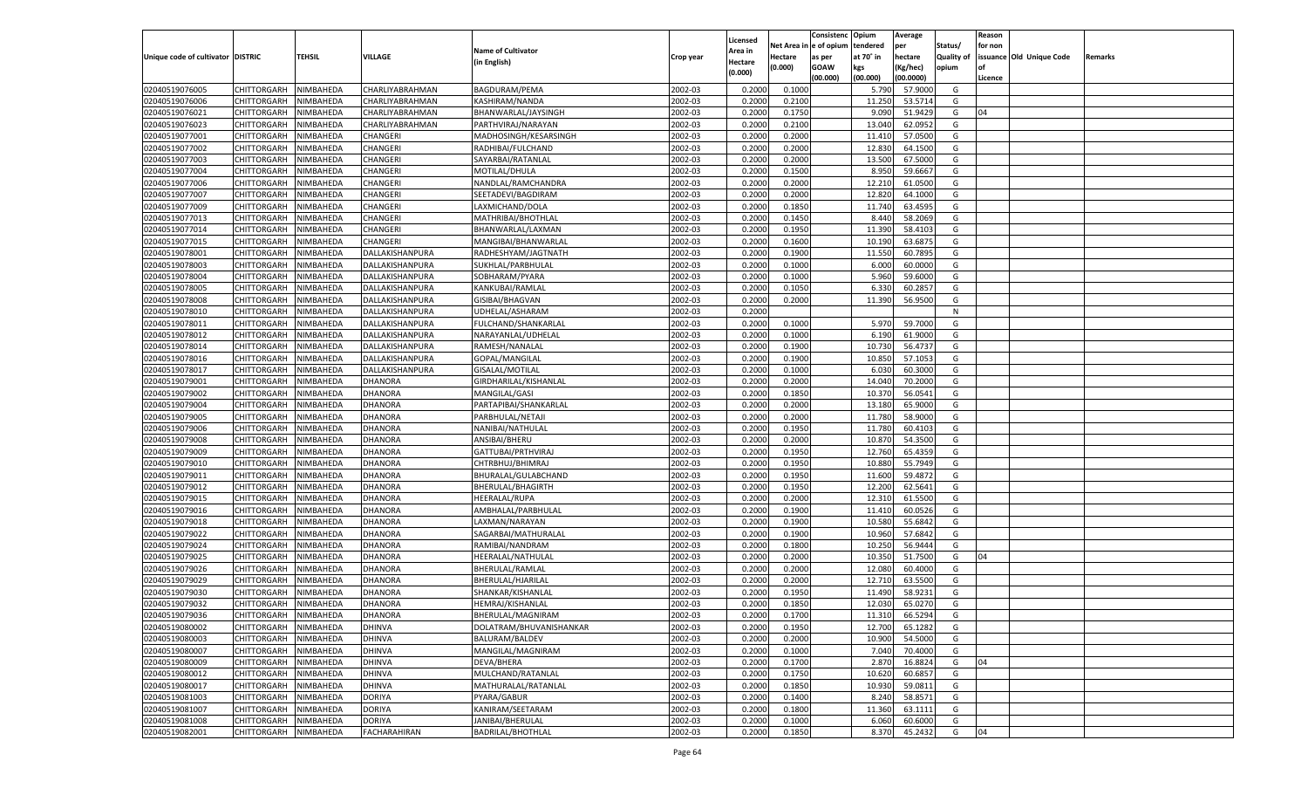|                                   |                       |               |                     |                           |           |                           |          | Consistenc  | Opium     | Average   |                   | Reason  |                          |         |
|-----------------------------------|-----------------------|---------------|---------------------|---------------------------|-----------|---------------------------|----------|-------------|-----------|-----------|-------------------|---------|--------------------------|---------|
|                                   |                       |               |                     | <b>Name of Cultivator</b> |           | Licensed                  | Net Area | e of opium  | tendered  | per       | Status/           | for non |                          |         |
| Unique code of cultivator DISTRIC |                       | <b>TEHSIL</b> | VILLAGE             | (in English)              | Crop year | <b>Area in</b><br>Hectare | Hectare  | as per      | at 70° in | hectare   | <b>Quality of</b> |         | issuance Old Unique Code | Remarks |
|                                   |                       |               |                     |                           |           | (0.000)                   | (0.000)  | <b>GOAW</b> | kgs       | (Kg/hec)  | opium             |         |                          |         |
|                                   |                       |               |                     |                           |           |                           |          | (00.000)    | (00.000)  | (00.0000) |                   | Licence |                          |         |
| 02040519076005                    | CHITTORGARH           | NIMBAHEDA     | CHARLIYABRAHMAN     | BAGDURAM/PEMA             | 2002-03   | 0.2000                    | 0.1000   |             | 5.790     | 57.9000   | G                 |         |                          |         |
| 02040519076006                    | CHITTORGARH           | NIMBAHEDA     | CHARLIYABRAHMAN     | KASHIRAM/NANDA            | 2002-03   | 0.2000                    | 0.2100   |             | 11.250    | 53.5714   | G                 |         |                          |         |
| 02040519076021                    | CHITTORGARH           | NIMBAHEDA     | CHARLIYABRAHMAN     | BHANWARLAL/JAYSINGH       | 2002-03   | 0.2000                    | 0.1750   |             | 9.090     | 51.9429   | G                 | 04      |                          |         |
| 02040519076023                    | CHITTORGARH           | NIMBAHEDA     | CHARLIYABRAHMAN     | PARTHVIRAJ/NARAYAN        | 2002-03   | 0.2000                    | 0.2100   |             | 13.040    | 62.0952   | G                 |         |                          |         |
| 02040519077001                    | CHITTORGARH           | NIMBAHEDA     | CHANGERI            | MADHOSINGH/KESARSINGH     | 2002-03   | 0.2000                    | 0.2000   |             | 11.41     | 57.0500   | G                 |         |                          |         |
| 02040519077002                    | CHITTORGARH           | NIMBAHEDA     | CHANGERI            | RADHIBAI/FULCHAND         | 2002-03   | 0.2000                    | 0.2000   |             | 12.830    | 64.1500   | G                 |         |                          |         |
| 02040519077003                    | CHITTORGARH           | NIMBAHEDA     | CHANGERI            | SAYARBAI/RATANLAL         | 2002-03   | 0.2000                    | 0.2000   |             | 13.500    | 67.5000   | G                 |         |                          |         |
| 02040519077004                    | CHITTORGARH           | NIMBAHEDA     | CHANGERI            | MOTILAL/DHULA             | 2002-03   | 0.2000                    | 0.1500   |             | 8.950     | 59.6667   | G                 |         |                          |         |
| 02040519077006                    | CHITTORGARH           | NIMBAHEDA     | CHANGERI            | NANDLAL/RAMCHANDRA        | 2002-03   | 0.2000                    | 0.2000   |             | 12.210    | 61.0500   | G                 |         |                          |         |
| 02040519077007                    | CHITTORGARH           | NIMBAHEDA     | CHANGERI            | SEETADEVI/BAGDIRAM        | 2002-03   | 0.2000                    | 0.2000   |             | 12.820    | 64.1000   | G                 |         |                          |         |
| 02040519077009                    | CHITTORGARH           | NIMBAHEDA     | CHANGERI            | LAXMICHAND/DOLA           | 2002-03   | 0.2000                    | 0.1850   |             | 11.740    | 63.4595   | G                 |         |                          |         |
| 02040519077013                    | CHITTORGARH           | NIMBAHEDA     | CHANGERI            | MATHRIBAI/BHOTHLAL        | 2002-03   | 0.2000                    | 0.1450   |             | 8.440     | 58.2069   | G                 |         |                          |         |
| 02040519077014                    | CHITTORGARH           | NIMBAHEDA     | CHANGERI            | BHANWARLAL/LAXMAN         | 2002-03   | 0.2000                    | 0.1950   |             | 11.390    | 58.4103   | G                 |         |                          |         |
| 02040519077015                    | CHITTORGARH           | NIMBAHEDA     | CHANGERI            | MANGIBAI/BHANWARLAI       | 2002-03   | 0.2000                    | 0.1600   |             | 10.190    | 63.6875   | G                 |         |                          |         |
| 02040519078001                    | CHITTORGARH           | NIMBAHEDA     | DALLAKISHANPURA     | RADHESHYAM/JAGTNATH       | 2002-03   | 0.2000                    | 0.1900   |             | 11.550    | 60.7895   | G                 |         |                          |         |
| 02040519078003                    | CHITTORGARH           | NIMBAHEDA     | DALLAKISHANPURA     | SUKHLAL/PARBHULAL         | 2002-03   | 0.2000                    | 0.1000   |             | 6.000     | 60.0000   | G                 |         |                          |         |
| 02040519078004                    | CHITTORGARH           | NIMBAHEDA     | DALLAKISHANPURA     | SOBHARAM/PYARA            | 2002-03   | 0.2000                    | 0.1000   |             | 5.960     | 59.6000   | G                 |         |                          |         |
| 02040519078005                    | CHITTORGARH           | NIMBAHEDA     | DALLAKISHANPURA     | KANKUBAI/RAMLAL           | 2002-03   | 0.2000                    | 0.1050   |             | 6.330     | 60.285    | G                 |         |                          |         |
| 02040519078008                    | CHITTORGARH           | NIMBAHEDA     | DALLAKISHANPURA     | GISIBAI/BHAGVAN           | 2002-03   | 0.2000                    | 0.2000   |             | 11.390    | 56.9500   | G                 |         |                          |         |
| 02040519078010                    | CHITTORGARH           | NIMBAHEDA     | DALLAKISHANPURA     | UDHELAL/ASHARAM           | 2002-03   | 0.2000                    |          |             |           |           | N                 |         |                          |         |
| 02040519078011                    | CHITTORGARH           | NIMBAHEDA     | DALLAKISHANPURA     | FULCHAND/SHANKARLAL       | 2002-03   | 0.2000                    | 0.1000   |             | 5.970     | 59.7000   | G                 |         |                          |         |
| 02040519078012                    | CHITTORGARH           | NIMBAHEDA     | DALLAKISHANPURA     | NARAYANLAL/UDHELAL        | 2002-03   | 0.2000                    | 0.1000   |             | 6.190     | 61.9000   | G                 |         |                          |         |
| 02040519078014                    | CHITTORGARH           | NIMBAHEDA     | DALLAKISHANPURA     | RAMESH/NANALAL            | 2002-03   | 0.2000                    | 0.1900   |             | 10.730    | 56.473    | G                 |         |                          |         |
| 02040519078016                    | CHITTORGARH           | NIMBAHEDA     | DALLAKISHANPURA     | GOPAL/MANGILAL            | 2002-03   | 0.2000                    | 0.1900   |             | 10.850    | 57.105    | G                 |         |                          |         |
| 02040519078017                    | CHITTORGARH           | NIMBAHEDA     | DALLAKISHANPURA     | GISALAL/MOTILAL           | 2002-03   | 0.2000                    | 0.1000   |             | 6.030     | 60.3000   | G                 |         |                          |         |
| 02040519079001                    | CHITTORGARH           | NIMBAHEDA     | DHANORA             | GIRDHARILAL/KISHANLAL     | 2002-03   | 0.2000                    | 0.2000   |             | 14.040    | 70.2000   | G                 |         |                          |         |
| 02040519079002                    | CHITTORGARH           | NIMBAHEDA     | DHANORA             | MANGILAL/GASI             | 2002-03   | 0.2000                    | 0.1850   |             | 10.370    | 56.0541   | G                 |         |                          |         |
| 02040519079004                    | CHITTORGARH           | NIMBAHEDA     | DHANORA             | PARTAPIBAI/SHANKARLAL     | 2002-03   | 0.2000                    | 0.2000   |             | 13.180    | 65.9000   | G                 |         |                          |         |
| 02040519079005                    | CHITTORGARH           | NIMBAHEDA     | DHANORA             | PARBHULAL/NETAJI          | 2002-03   | 0.2000                    | 0.2000   |             | 11.780    | 58.9000   | G                 |         |                          |         |
| 02040519079006                    | CHITTORGARH           | NIMBAHEDA     | DHANORA             | NANIBAI/NATHULAL          | 2002-03   | 0.2000                    | 0.1950   |             | 11.780    | 60.4103   | G                 |         |                          |         |
| 02040519079008                    | CHITTORGARH           | NIMBAHEDA     | DHANORA             | ANSIBAI/BHERU             | 2002-03   | 0.2000                    | 0.2000   |             | 10.870    | 54.3500   | G                 |         |                          |         |
| 02040519079009                    | CHITTORGARH           | NIMBAHEDA     | DHANORA             | GATTUBAI/PRTHVIRAJ        | 2002-03   | 0.2000                    | 0.1950   |             | 12.760    | 65.435    | G                 |         |                          |         |
| 02040519079010                    | CHITTORGARH           | NIMBAHEDA     | DHANORA             | CHTRBHUJ/BHIMRAJ          | 2002-03   | 0.2000                    | 0.1950   |             | 10.880    | 55.7949   | G                 |         |                          |         |
| 02040519079011                    | CHITTORGARH           | NIMBAHEDA     | DHANORA             | BHURALAL/GULABCHAND       | 2002-03   | 0.2000                    | 0.1950   |             | 11.600    | 59.4872   | G                 |         |                          |         |
| 02040519079012                    | CHITTORGARH           | NIMBAHEDA     | <b>DHANORA</b>      | BHERULAL/BHAGIRTH         | 2002-03   | 0.2000                    | 0.1950   |             | 12.200    | 62.5641   | G                 |         |                          |         |
| 02040519079015                    | CHITTORGARH           | NIMBAHEDA     | DHANORA             | <b>HEERALAL/RUPA</b>      | 2002-03   | 0.2000                    | 0.2000   |             | 12.31     | 61.5500   | G                 |         |                          |         |
| 02040519079016                    |                       | NIMBAHEDA     | DHANORA             |                           | 2002-03   | 0.2000                    | 0.1900   |             |           | 60.0526   | G                 |         |                          |         |
|                                   | CHITTORGARH           |               |                     | AMBHALAL/PARBHULAL        |           |                           |          |             | 11.410    |           |                   |         |                          |         |
| 02040519079018                    | CHITTORGARH           | NIMBAHEDA     | DHANORA             | LAXMAN/NARAYAN            | 2002-03   | 0.2000                    | 0.1900   |             | 10.580    | 55.684    | G                 |         |                          |         |
| 02040519079022                    | CHITTORGARH           | NIMBAHEDA     | <b>DHANORA</b>      | SAGARBAI/MATHURALAL       | 2002-03   | 0.2000                    | 0.1900   |             | 10.960    | 57.684    | G                 |         |                          |         |
| 02040519079024<br>02040519079025  | CHITTORGARH           | NIMBAHEDA     | DHANORA             | RAMIBAI/NANDRAM           | 2002-03   | 0.2000                    | 0.1800   |             | 10.250    | 56.9444   | G                 |         |                          |         |
|                                   | CHITTORGARH           | NIMBAHEDA     | DHANORA             | HEERALAL/NATHULAL         | 2002-03   | 0.2000                    | 0.2000   |             | 10.350    | 51.7500   | G                 | 04      |                          |         |
| 02040519079026                    | CHITTORGARH           | NIMBAHEDA     | DHANORA             | BHERULAL/RAMLAL           | 2002-03   | 0.2000                    | 0.2000   |             | 12.080    | 60.4000   | G                 |         |                          |         |
| 02040519079029                    | CHITTORGARH           | NIMBAHEDA     | DHANORA             | BHERULAL/HJARILAL         | 2002-03   | 0.2000                    | 0.2000   |             | 12.710    | 63.5500   | G                 |         |                          |         |
| 02040519079030                    | CHITTORGARH           | NIMBAHEDA     | DHANORA             | SHANKAR/KISHANLAL         | 2002-03   | 0.2000                    | 0.1950   |             | 11.490    | 58.9231   | G                 |         |                          |         |
| 02040519079032                    | CHITTORGARH           | NIMBAHEDA     | DHANORA             | HEMRAJ/KISHANLAL          | 2002-03   | 0.2000                    | 0.1850   |             | 12.030    | 65.0270   | G                 |         |                          |         |
| 02040519079036                    | CHITTORGARH NIMBAHEDA |               | <b>DHANORA</b>      | BHERULAL/MAGNIRAM         | 2002-03   | 0.2000                    | 0.1700   |             | 11.310    | 66.5294   | G                 |         |                          |         |
| 02040519080002                    | <b>CHITTORGARH</b>    | NIMBAHEDA     | <b>DHINVA</b>       | DOLATRAM/BHUVANISHANKAR   | 2002-03   | 0.2000                    | 0.1950   |             | 12.700    | 65.1282   | G                 |         |                          |         |
| 02040519080003                    | CHITTORGARH           | NIMBAHEDA     | <b>DHINVA</b>       | BALURAM/BALDEV            | 2002-03   | 0.2000                    | 0.2000   |             | 10.900    | 54.5000   | G                 |         |                          |         |
| 02040519080007                    | <b>CHITTORGARH</b>    | NIMBAHEDA     | <b>DHINVA</b>       | MANGILAL/MAGNIRAM         | 2002-03   | 0.2000                    | 0.1000   |             | 7.040     | 70.4000   | G                 |         |                          |         |
| 02040519080009                    | <b>CHITTORGARH</b>    | NIMBAHEDA     | <b>DHINVA</b>       | DEVA/BHERA                | 2002-03   | 0.2000                    | 0.1700   |             | 2.870     | 16.8824   | G                 | 04      |                          |         |
| 02040519080012                    | <b>CHITTORGARH</b>    | NIMBAHEDA     | <b>DHINVA</b>       | MULCHAND/RATANLAL         | 2002-03   | 0.2000                    | 0.1750   |             | 10.620    | 60.685    | G                 |         |                          |         |
| 02040519080017                    | <b>CHITTORGARH</b>    | NIMBAHEDA     | <b>DHINVA</b>       | MATHURALAL/RATANLAL       | 2002-03   | 0.2000                    | 0.1850   |             | 10.930    | 59.0811   | G                 |         |                          |         |
| 02040519081003                    | <b>CHITTORGARH</b>    | NIMBAHEDA     | <b>DORIYA</b>       | PYARA/GABUR               | 2002-03   | 0.2000                    | 0.1400   |             | 8.240     | 58.8571   | G                 |         |                          |         |
| 02040519081007                    | <b>CHITTORGARH</b>    | NIMBAHEDA     | <b>DORIYA</b>       | KANIRAM/SEETARAM          | 2002-03   | 0.2000                    | 0.1800   |             | 11.360    | 63.1111   | G                 |         |                          |         |
| 02040519081008                    | <b>CHITTORGARH</b>    | NIMBAHEDA     | <b>DORIYA</b>       | JANIBAI/BHERULAL          | 2002-03   | 0.2000                    | 0.1000   |             | 6.060     | 60.6000   | G                 |         |                          |         |
| 02040519082001                    | CHITTORGARH           | NIMBAHEDA     | <b>FACHARAHIRAN</b> | <b>BADRILAL/BHOTHLAL</b>  | 2002-03   | 0.2000                    | 0.1850   |             | 8.370     | 45.2432   | G                 | 04      |                          |         |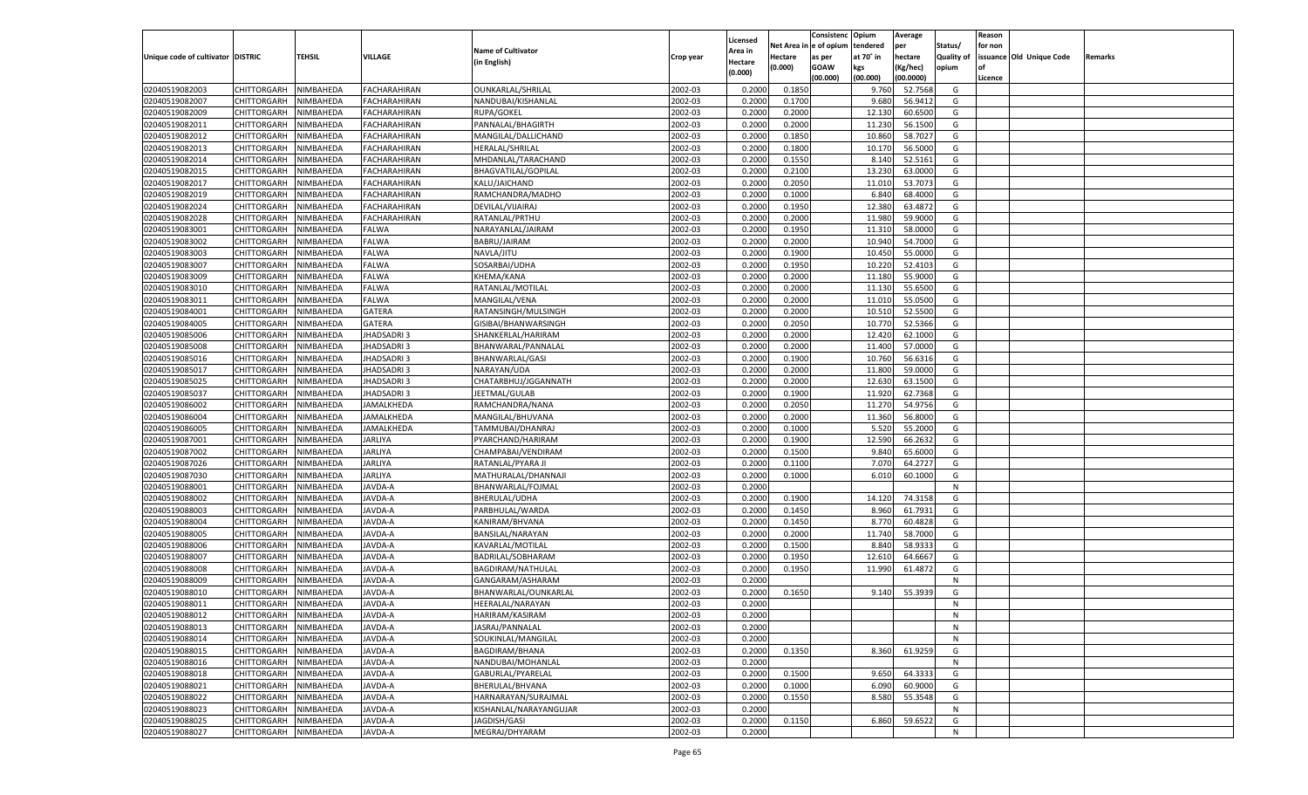|                                   |                       |                        |                                  |                                       |           |                           |                  | Consistenc  | Opium     | Average   |                   | Reason  |                          |         |
|-----------------------------------|-----------------------|------------------------|----------------------------------|---------------------------------------|-----------|---------------------------|------------------|-------------|-----------|-----------|-------------------|---------|--------------------------|---------|
|                                   |                       |                        |                                  | <b>Name of Cultivator</b>             |           | Licensed                  | Net Area         | e of opium  | tendered  | per       | Status/           | for non |                          |         |
| Unique code of cultivator DISTRIC |                       | <b>TEHSIL</b>          | VILLAGE                          | (in English)                          | Crop year | <b>Area in</b><br>Hectare | Hectare          | as per      | at 70° in | hectare   | <b>Quality of</b> |         | issuance Old Unique Code | Remarks |
|                                   |                       |                        |                                  |                                       |           | (0.000)                   | (0.000)          | <b>GOAW</b> | kgs       | (Kg/hec)  | opium             |         |                          |         |
|                                   |                       |                        |                                  |                                       |           |                           |                  | (00.000)    | (00.000)  | (00.0000) |                   | Licence |                          |         |
| 02040519082003                    | CHITTORGARH           | NIMBAHEDA              | <b>FACHARAHIRAN</b>              | OUNKARLAL/SHRILAL                     | 2002-03   | 0.2000                    | 0.1850           |             | 9.760     | 52.7568   | G                 |         |                          |         |
| 02040519082007                    | CHITTORGARH           | NIMBAHEDA              | FACHARAHIRAN                     | NANDUBAI/KISHANLAL                    | 2002-03   | 0.2000                    | 0.1700           |             | 9.680     | 56.9412   | G                 |         |                          |         |
| 02040519082009                    | CHITTORGARH           | NIMBAHEDA              | FACHARAHIRAN                     | RUPA/GOKEL                            | 2002-03   | 0.2000                    | 0.2000           |             | 12.130    | 60.6500   | G                 |         |                          |         |
| 02040519082011                    | CHITTORGARH           | NIMBAHEDA              | FACHARAHIRAN                     | PANNALAL/BHAGIRTH                     | 2002-03   | 0.2000                    | 0.2000           |             | 11.230    | 56.1500   | G                 |         |                          |         |
| 02040519082012                    | CHITTORGARH           | NIMBAHEDA              | FACHARAHIRAN                     | MANGILAL/DALLICHAND                   | 2002-03   | 0.2000                    | 0.1850           |             | 10.860    | 58.7027   | G                 |         |                          |         |
| 02040519082013                    | CHITTORGARH           | NIMBAHEDA              | FACHARAHIRAN                     | HERALAL/SHRILAL                       | 2002-03   | 0.2000                    | 0.1800           |             | 10.170    | 56.5000   | G                 |         |                          |         |
| 02040519082014                    | CHITTORGARH           | NIMBAHEDA              | FACHARAHIRAN                     | MHDANLAL/TARACHAND                    | 2002-03   | 0.2000                    | 0.1550           |             | 8.140     | 52.5161   | G                 |         |                          |         |
| 02040519082015                    | CHITTORGARH           | NIMBAHEDA              | FACHARAHIRAN                     | <b>BHAGVATILAL/GOPILAL</b>            | 2002-03   | 0.2000                    | 0.2100           |             | 13.230    | 63.0000   | G                 |         |                          |         |
| 02040519082017                    | CHITTORGARH           | NIMBAHEDA              | FACHARAHIRAN                     | KALU/JAICHAND                         | 2002-03   | 0.2000                    | 0.2050           |             | 11.010    | 53.7073   | G                 |         |                          |         |
| 02040519082019                    | CHITTORGARH           | NIMBAHEDA              | FACHARAHIRAN                     | RAMCHANDRA/MADHO                      | 2002-03   | 0.2000                    | 0.1000           |             | 6.840     | 68.4000   | G                 |         |                          |         |
| 02040519082024                    | CHITTORGARH           | NIMBAHEDA              | FACHARAHIRAN                     | DEVILAL/VIJAIRAJ                      | 2002-03   | 0.2000                    | 0.1950           |             | 12.380    | 63.4872   | G                 |         |                          |         |
| 02040519082028                    | CHITTORGARH           | NIMBAHEDA              | FACHARAHIRAN                     | RATANLAL/PRTHU                        | 2002-03   | 0.2000                    | 0.2000           |             | 11.980    | 59.9000   | G                 |         |                          |         |
| 02040519083001                    | CHITTORGARH           | NIMBAHEDA              | FALWA                            | NARAYANLAL/JAIRAM                     | 2002-03   | 0.2000                    | 0.1950           |             | 11.31     | 58.0000   | G                 |         |                          |         |
| 02040519083002                    | CHITTORGARH           | NIMBAHEDA              | FALWA                            | BABRU/JAIRAM                          | 2002-03   | 0.2000                    | 0.2000           |             | 10.940    | 54.7000   | G                 |         |                          |         |
| 02040519083003                    | CHITTORGARH           | NIMBAHEDA              | FALWA                            | NAVLA/JITU                            | 2002-03   | 0.2000                    | 0.1900           |             | 10.450    | 55.0000   | G                 |         |                          |         |
| 02040519083007                    | CHITTORGARH           | NIMBAHEDA              | FALWA                            | SOSARBAI/UDHA                         | 2002-03   | 0.2000                    | 0.1950           |             | 10.220    | 52.4103   | G                 |         |                          |         |
| 02040519083009                    | CHITTORGARH           | NIMBAHEDA              | FALWA                            | KHEMA/KANA                            | 2002-03   | 0.2000                    | 0.2000           |             | 11.180    | 55.9000   | G                 |         |                          |         |
| 02040519083010                    | CHITTORGARH           | NIMBAHEDA              | FALWA                            | RATANLAL/MOTILAL                      | 2002-03   | 0.2000                    | 0.2000           |             | 11.130    | 55.6500   | G                 |         |                          |         |
| 02040519083011                    | CHITTORGARH           | NIMBAHEDA              | FALWA                            | MANGILAL/VENA                         | 2002-03   | 0.2000                    | 0.2000           |             | 11.010    | 55.0500   | G                 |         |                          |         |
| 02040519084001                    | CHITTORGARH           | NIMBAHEDA              | GATERA                           | RATANSINGH/MULSINGH                   | 2002-03   | 0.2000                    | 0.2000           |             | 10.51     | 52.5500   | G                 |         |                          |         |
| 02040519084005                    | CHITTORGARH           | NIMBAHEDA              | GATERA                           | GISIBAI/BHANWARSINGH                  | 2002-03   | 0.2000                    | 0.2050           |             | 10.770    | 52.5366   | G                 |         |                          |         |
| 02040519085006                    | CHITTORGARH           | NIMBAHEDA              | <b>HADSADRI3</b>                 | SHANKERLAL/HARIRAM                    | 2002-03   | 0.2000                    | 0.2000           |             | 12.420    | 62.1000   | G                 |         |                          |         |
| 02040519085008                    | CHITTORGARH           | NIMBAHEDA              | <b>HADSADRI3</b>                 | BHANWARAL/PANNALAL                    | 2002-03   | 0.2000                    | 0.2000           |             | 11.400    | 57.0000   | G                 |         |                          |         |
| 02040519085016                    | CHITTORGARH           | NIMBAHEDA              | <b>HADSADRI3</b>                 | BHANWARLAL/GASI                       | 2002-03   | 0.2000                    | 0.1900           |             | 10.760    | 56.6316   | G                 |         |                          |         |
| 02040519085017                    | CHITTORGARH           | NIMBAHEDA              | <b>HADSADRI3</b>                 | NARAYAN/UDA                           | 2002-03   | 0.2000                    | 0.2000           |             | 11.800    | 59.0000   | G                 |         |                          |         |
| 02040519085025                    | CHITTORGARH           | NIMBAHEDA              | <b>HADSADRI3</b>                 | CHATARBHUJ/JGGANNATH                  | 2002-03   | 0.2000                    | 0.2000           |             | 12.630    | 63.1500   | G                 |         |                          |         |
| 02040519085037                    | CHITTORGARH           | NIMBAHEDA              | <b>HADSADRI3</b>                 | JEETMAL/GULAB                         | 2002-03   | 0.2000                    | 0.1900           |             | 11.920    | 62.7368   | G                 |         |                          |         |
| 02040519086002                    | CHITTORGARH           | NIMBAHEDA              | AMALKHEDA                        | RAMCHANDRA/NANA                       | 2002-03   | 0.2000                    | 0.2050           |             | 11.270    | 54.9756   | G                 |         |                          |         |
| 02040519086004                    | CHITTORGARH           | NIMBAHEDA              | AMALKHEDA                        | MANGILAL/BHUVANA                      | 2002-03   | 0.2000                    | 0.2000           |             | 11.360    | 56.8000   | G                 |         |                          |         |
| 02040519086005                    | CHITTORGARH           | NIMBAHEDA              | AMALKHEDA                        | TAMMUBAI/DHANRAJ                      | 2002-03   | 0.2000                    | 0.1000           |             | 5.520     | 55.2000   | G                 |         |                          |         |
| 02040519087001                    | CHITTORGARH           | NIMBAHEDA              | <b>JARLIYA</b>                   | PYARCHAND/HARIRAM                     | 2002-03   | 0.2000                    | 0.1900           |             | 12.590    | 66.263    | G                 |         |                          |         |
| 02040519087002                    | CHITTORGARH           | NIMBAHEDA              | JARLIYA                          | CHAMPABAI/VENDIRAM                    | 2002-03   | 0.2000                    | 0.1500           |             | 9.84      | 65.6000   | G                 |         |                          |         |
| 02040519087026                    | CHITTORGARH           | NIMBAHEDA              | <b>JARLIYA</b>                   | RATANLAL/PYARA JI                     | 2002-03   | 0.2000                    | 0.1100           |             | 7.07      | 64.272    | G                 |         |                          |         |
| 02040519087030                    | CHITTORGARH           | NIMBAHEDA              | <b>JARLIYA</b>                   | MATHURALAL/DHANNAJ                    | 2002-03   | 0.2000                    | 0.1000           |             | 6.010     | 60.1000   | G                 |         |                          |         |
| 02040519088001                    | CHITTORGARH           | NIMBAHEDA              | <b>JAVDA-A</b>                   | BHANWARLAL/FOJMAL                     | 2002-03   | 0.2000                    |                  |             |           |           | N                 |         |                          |         |
| 02040519088002                    | CHITTORGARH           | NIMBAHEDA              | <b>JAVDA-A</b>                   | BHERULAL/UDHA                         | 2002-03   | 0.2000                    | 0.1900           |             | 14.120    | 74.3158   | G                 |         |                          |         |
| 02040519088003                    | CHITTORGARH           | NIMBAHEDA              | <b>JAVDA-A</b>                   | PARBHULAL/WARDA                       | 2002-03   | 0.2000                    | 0.1450           |             | 8.960     | 61.7931   | G                 |         |                          |         |
| 02040519088004                    | CHITTORGARH           | NIMBAHEDA              | AVDA-A                           | KANIRAM/BHVANA                        | 2002-03   | 0.2000                    | 0.1450           |             | 8.770     | 60.4828   | G                 |         |                          |         |
| 02040519088005                    | CHITTORGARH           | NIMBAHEDA              | <b>JAVDA-A</b>                   | BANSILAL/NARAYAN                      | 2002-03   | 0.2000                    | 0.2000           |             | 11.740    | 58.7000   | G                 |         |                          |         |
| 02040519088006                    |                       |                        |                                  |                                       | 2002-03   |                           |                  |             | 8.840     | 58.933    | G                 |         |                          |         |
| 02040519088007                    | CHITTORGARH           | NIMBAHEDA<br>NIMBAHEDA | <b>JAVDA-A</b><br><b>JAVDA-A</b> | KAVARLAL/MOTILAL<br>BADRILAL/SOBHARAM | 2002-03   | 0.2000<br>0.2000          | 0.1500<br>0.1950 |             | 12.610    | 64.666    | G                 |         |                          |         |
| 02040519088008                    | CHITTORGARH           |                        |                                  |                                       | 2002-03   |                           |                  |             | 11.990    |           |                   |         |                          |         |
|                                   | CHITTORGARH           | NIMBAHEDA              | AVDA-A<br><b>JAVDA-A</b>         | <b>BAGDIRAM/NATHULAL</b>              |           | 0.2000<br>0.2000          | 0.1950           |             |           | 61.4872   | G<br>N            |         |                          |         |
| 02040519088009                    | CHITTORGARH           | NIMBAHEDA              |                                  | GANGARAM/ASHARAM                      | 2002-03   |                           |                  |             |           |           |                   |         |                          |         |
| 02040519088010                    | CHITTORGARH           | NIMBAHEDA              | AVDA-A                           | BHANWARLAL/OUNKARLAL                  | 2002-03   | 0.2000                    | 0.1650           |             | 9.140     | 55.393    | G                 |         |                          |         |
| 02040519088011                    | CHITTORGARH           | NIMBAHEDA              | JAVDA-A                          | HEERALAL/NARAYAN                      | 2002-03   | 0.2000                    |                  |             |           |           | N                 |         |                          |         |
| 02040519088012                    | CHITTORGARH NIMBAHEDA |                        | JAVDA-A                          | HARIRAM/KASIRAM                       | 2002-03   | 0.2000                    |                  |             |           |           | N                 |         |                          |         |
| 02040519088013                    | <b>CHITTORGARH</b>    | NIMBAHEDA              | JAVDA-A                          | JASRAJ/PANNALAL                       | 2002-03   | 0.2000                    |                  |             |           |           | N                 |         |                          |         |
| 02040519088014                    | CHITTORGARH           | NIMBAHEDA              | JAVDA-A                          | SOUKINLAL/MANGILAL                    | 2002-03   | 0.2000                    |                  |             |           |           | N                 |         |                          |         |
| 02040519088015                    | <b>CHITTORGARH</b>    | NIMBAHEDA              | JAVDA-A                          | <b>BAGDIRAM/BHANA</b>                 | 2002-03   | 0.2000                    | 0.1350           |             | 8.360     | 61.9259   | G                 |         |                          |         |
| 02040519088016                    | <b>CHITTORGARH</b>    | NIMBAHEDA              | JAVDA-A                          | NANDUBAI/MOHANLAL                     | 2002-03   | 0.2000                    |                  |             |           |           | N                 |         |                          |         |
| 02040519088018                    | <b>CHITTORGARH</b>    | NIMBAHEDA              | JAVDA-A                          | GABURLAL/PYARELAL                     | 2002-03   | 0.2000                    | 0.1500           |             | 9.650     | 64.3333   | G                 |         |                          |         |
| 02040519088021                    | <b>CHITTORGARH</b>    | NIMBAHEDA              | JAVDA-A                          | BHERULAL/BHVANA                       | 2002-03   | 0.2000                    | 0.1000           |             | 6.090     | 60.9000   | G                 |         |                          |         |
| 02040519088022                    | <b>CHITTORGARH</b>    | NIMBAHEDA              | JAVDA-A                          | HARNARAYAN/SURAJMAL                   | 2002-03   | 0.2000                    | 0.1550           |             | 8.580     | 55.3548   | G                 |         |                          |         |
| 02040519088023                    | <b>CHITTORGARH</b>    | NIMBAHEDA              | <b>JAVDA-A</b>                   | KISHANLAL/NARAYANGUJAR                | 2002-03   | 0.2000                    |                  |             |           |           | N                 |         |                          |         |
| 02040519088025                    | <b>CHITTORGARH</b>    | NIMBAHEDA              | JAVDA-A                          | JAGDISH/GASI                          | 2002-03   | 0.2000                    | 0.1150           |             | 6.860     | 59.6522   | G                 |         |                          |         |
| 02040519088027                    | <b>CHITTORGARH</b>    | NIMBAHEDA              | JAVDA-A                          | MEGRAJ/DHYARAM                        | 2002-03   | 0.2000                    |                  |             |           |           | N                 |         |                          |         |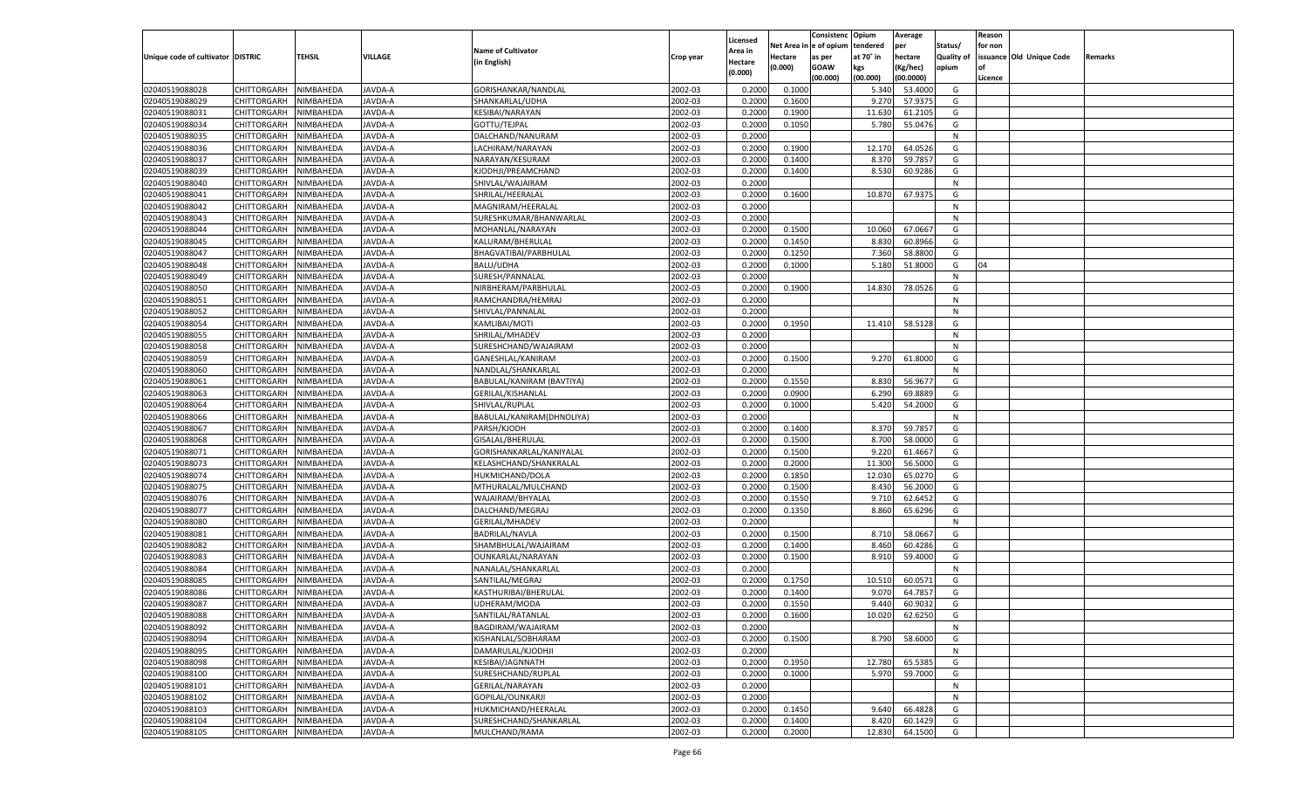|                                   |                       |               |                |                           |           |                    |          | Consistenc  | Opium     | Average   |                   | Reason  |                          |         |
|-----------------------------------|-----------------------|---------------|----------------|---------------------------|-----------|--------------------|----------|-------------|-----------|-----------|-------------------|---------|--------------------------|---------|
|                                   |                       |               |                |                           |           | Licensed           | Net Area | e of opium  | tendered  | per       | Status/           | for non |                          |         |
| Unique code of cultivator DISTRIC |                       | <b>TEHSIL</b> | VILLAGE        | <b>Name of Cultivator</b> | Crop year | <b>Area in</b>     | Hectare  | as per      | at 70° in | hectare   | <b>Quality of</b> |         | issuance Old Unique Code | Remarks |
|                                   |                       |               |                | (in English)              |           | Hectare<br>(0.000) | (0.000)  | <b>GOAW</b> | kgs       | (Kg/hec)  | opium             |         |                          |         |
|                                   |                       |               |                |                           |           |                    |          | (00.000)    | (00.000)  | (00.0000) |                   | Licence |                          |         |
| 02040519088028                    | CHITTORGARH           | NIMBAHEDA     | <b>JAVDA-A</b> | GORISHANKAR/NANDLAL       | 2002-03   | 0.2000             | 0.1000   |             | 5.340     | 53.4000   | G                 |         |                          |         |
| 02040519088029                    | CHITTORGARH           | NIMBAHEDA     | AVDA-A         | SHANKARLAL/UDHA           | 2002-03   | 0.2000             | 0.1600   |             | 9.270     | 57.9375   | G                 |         |                          |         |
| 02040519088031                    | CHITTORGARH           | NIMBAHEDA     | AVDA-A         | KESIBAI/NARAYAN           | 2002-03   | 0.2000             | 0.1900   |             | 11.630    | 61.2105   | G                 |         |                          |         |
| 02040519088034                    | CHITTORGARH           | NIMBAHEDA     | AVDA-A         | GOTTU/TEJPAL              | 2002-03   | 0.2000             | 0.1050   |             | 5.780     | 55.0476   | G                 |         |                          |         |
| 02040519088035                    | CHITTORGARH           | NIMBAHEDA     | AVDA-A         | DALCHAND/NANURAM          | 2002-03   | 0.2000             |          |             |           |           | N                 |         |                          |         |
| 02040519088036                    | CHITTORGARH           | NIMBAHEDA     | AVDA-A         | LACHIRAM/NARAYAN          | 2002-03   | 0.2000             | 0.1900   |             | 12.170    | 64.0526   | G                 |         |                          |         |
| 02040519088037                    | CHITTORGARH           | NIMBAHEDA     | AVDA-A         | NARAYAN/KESURAM           | 2002-03   | 0.2000             | 0.1400   |             | 8.370     | 59.785    | G                 |         |                          |         |
| 02040519088039                    | CHITTORGARH           | NIMBAHEDA     | AVDA-A         | KJODHJI/PREAMCHAND        | 2002-03   | 0.2000             | 0.1400   |             | 8.530     | 60.9286   | G                 |         |                          |         |
| 02040519088040                    | CHITTORGARH           | NIMBAHEDA     | AVDA-A         | SHIVLAL/WAJAIRAM          | 2002-03   | 0.2000             |          |             |           |           | N                 |         |                          |         |
| 02040519088041                    | CHITTORGARH           | NIMBAHEDA     | AVDA-A         | SHRILAL/HEERALAL          | 2002-03   | 0.2000             | 0.1600   |             | 10.870    | 67.9375   | G                 |         |                          |         |
| 02040519088042                    | CHITTORGARH           | NIMBAHEDA     | AVDA-A         | MAGNIRAM/HEERALAI         | 2002-03   | 0.2000             |          |             |           |           | N                 |         |                          |         |
| 02040519088043                    | CHITTORGARH           | NIMBAHEDA     | AVDA-A         | SURESHKUMAR/BHANWARLAL    | 2002-03   | 0.2000             |          |             |           |           | N                 |         |                          |         |
| 02040519088044                    | CHITTORGARH           | NIMBAHEDA     | AVDA-A         | MOHANLAL/NARAYAN          | 2002-03   | 0.2000             | 0.1500   |             | 10.060    | 67.0667   | G                 |         |                          |         |
| 02040519088045                    | CHITTORGARH           | NIMBAHEDA     | AVDA-A         | KALURAM/BHERULAL          | 2002-03   | 0.2000             | 0.1450   |             | 8.830     | 60.8966   | G                 |         |                          |         |
| 02040519088047                    | CHITTORGARH           | NIMBAHEDA     | AVDA-A         | BHAGVATIBAI/PARBHULAL     | 2002-03   | 0.2000             | 0.1250   |             | 7.360     | 58.8800   | G                 |         |                          |         |
| 02040519088048                    | CHITTORGARH           | NIMBAHEDA     | AVDA-A         | <b>BALU/UDHA</b>          | 2002-03   | 0.2000             | 0.1000   |             | 5.180     | 51.8000   | G                 | 04      |                          |         |
| 02040519088049                    | CHITTORGARH           | NIMBAHEDA     | AVDA-A         | SURESH/PANNALAL           | 2002-03   | 0.2000             |          |             |           |           | N                 |         |                          |         |
| 02040519088050                    | CHITTORGARH           | NIMBAHEDA     | AVDA-A         | NIRBHERAM/PARBHULAL       | 2002-03   | 0.2000             | 0.1900   |             | 14.830    | 78.0526   | G                 |         |                          |         |
| 02040519088051                    | CHITTORGARH           | NIMBAHEDA     | AVDA-A         | RAMCHANDRA/HEMRAJ         | 2002-03   | 0.2000             |          |             |           |           | N                 |         |                          |         |
| 02040519088052                    | CHITTORGARH           | NIMBAHEDA     | AVDA-A         | SHIVLAL/PANNALAL          | 2002-03   | 0.2000             |          |             |           |           | N                 |         |                          |         |
| 02040519088054                    | CHITTORGARH           | NIMBAHEDA     | AVDA-A         | KAMLIBAI/MOTI             | 2002-03   | 0.2000             | 0.1950   |             | 11.410    | 58.5128   | G                 |         |                          |         |
| 02040519088055                    | CHITTORGARH           | NIMBAHEDA     | AVDA-A         | SHRILAL/MHADEV            | 2002-03   | 0.2000             |          |             |           |           | N                 |         |                          |         |
| 02040519088058                    | CHITTORGARH           | NIMBAHEDA     | AVDA-A         | SURESHCHAND/WAJAIRAM      | 2002-03   | 0.2000             |          |             |           |           | N                 |         |                          |         |
| 02040519088059                    | CHITTORGARH           | NIMBAHEDA     | AVDA-A         | GANESHLAL/KANIRAM         | 2002-03   | 0.2000             | 0.1500   |             | 9.270     | 61.8000   | G                 |         |                          |         |
| 02040519088060                    | CHITTORGARH           | NIMBAHEDA     | AVDA-A         | NANDLAL/SHANKARLAI        | 2002-03   | 0.2000             |          |             |           |           | N                 |         |                          |         |
| 02040519088061                    | CHITTORGARH           | NIMBAHEDA     | AVDA-A         | BABULAL/KANIRAM (BAVTIYA) | 2002-03   | 0.2000             | 0.1550   |             | 8.830     | 56.9677   | G                 |         |                          |         |
| 02040519088063                    | CHITTORGARH           | NIMBAHEDA     | AVDA-A         | GERILAL/KISHANLAL         | 2002-03   | 0.2000             | 0.0900   |             | 6.290     | 69.8889   | G                 |         |                          |         |
| 02040519088064                    | CHITTORGARH           | NIMBAHEDA     | AVDA-A         | SHIVLAL/RUPLAL            | 2002-03   | 0.2000             | 0.1000   |             | 5.420     | 54.2000   | G                 |         |                          |         |
| 02040519088066                    | CHITTORGARH           | NIMBAHEDA     | AVDA-A         | BABULAL/KANIRAM(DHNOLIYA) | 2002-03   | 0.2000             |          |             |           |           | N                 |         |                          |         |
| 02040519088067                    | CHITTORGARH           | NIMBAHEDA     | <b>JAVDA-A</b> | PARSH/KJODH               | 2002-03   | 0.2000             | 0.1400   |             | 8.370     | 59.785    | G                 |         |                          |         |
| 02040519088068                    |                       | NIMBAHEDA     | <b>JAVDA-A</b> |                           | 2002-03   | 0.2000             | 0.1500   |             | 8.700     | 58.0000   | G                 |         |                          |         |
|                                   | CHITTORGARH           |               |                | GISALAL/BHERULAL          |           |                    |          |             |           |           |                   |         |                          |         |
| 02040519088071                    | CHITTORGARH           | NIMBAHEDA     | <b>JAVDA-A</b> | GORISHANKARLAL/KANIYALAL  | 2002-03   | 0.2000             | 0.1500   |             | 9.220     | 61.466    | G                 |         |                          |         |
| 02040519088073                    | CHITTORGARH           | NIMBAHEDA     | <b>JAVDA-A</b> | KELASHCHAND/SHANKRALAL    | 2002-03   | 0.2000             | 0.2000   |             | 11.300    | 56.5000   | G                 |         |                          |         |
| 02040519088074                    | CHITTORGARH           | NIMBAHEDA     | <b>JAVDA-A</b> | HUKMICHAND/DOLA           | 2002-03   | 0.2000             | 0.1850   |             | 12.030    | 65.0270   | G                 |         |                          |         |
| 02040519088075                    | CHITTORGARH           | NIMBAHEDA     | <b>JAVDA-A</b> | MTHURALAL/MULCHAND        | 2002-03   | 0.2000             | 0.1500   |             | 8.430     | 56.2000   | G                 |         |                          |         |
| 02040519088076                    | CHITTORGARH           | NIMBAHEDA     | <b>JAVDA-A</b> | WAJAIRAM/BHYALAL          | 2002-03   | 0.2000             | 0.1550   |             | 9.71      | 62.6452   | G                 |         |                          |         |
| 02040519088077                    | CHITTORGARH           | NIMBAHEDA     | <b>JAVDA-A</b> | DALCHAND/MEGRAJ           | 2002-03   | 0.2000             | 0.1350   |             | 8.860     | 65.6296   | G                 |         |                          |         |
| 02040519088080                    | CHITTORGARH           | NIMBAHEDA     | AVDA-A         | <b>GERILAL/MHADEV</b>     | 2002-03   | 0.2000             |          |             |           |           | N                 |         |                          |         |
| 02040519088081                    | CHITTORGARH           | NIMBAHEDA     | <b>JAVDA-A</b> | <b>BADRILAL/NAVLA</b>     | 2002-03   | 0.2000             | 0.1500   |             | 8.710     | 58.0667   | G                 |         |                          |         |
| 02040519088082                    | CHITTORGARH           | NIMBAHEDA     | <b>JAVDA-A</b> | SHAMBHULAL/WAJAIRAM       | 2002-03   | 0.2000             | 0.1400   |             | 8.460     | 60.4286   | G                 |         |                          |         |
| 02040519088083                    | CHITTORGARH           | NIMBAHEDA     | <b>JAVDA-A</b> | OUNKARLAL/NARAYAN         | 2002-03   | 0.2000             | 0.1500   |             | 8.910     | 59.4000   | G                 |         |                          |         |
| 02040519088084                    | CHITTORGARH           | NIMBAHEDA     | AVDA-A         | NANALAL/SHANKARLAL        | 2002-03   | 0.2000             |          |             |           |           | N                 |         |                          |         |
| 02040519088085                    | CHITTORGARH           | NIMBAHEDA     | <b>JAVDA-A</b> | SANTILAL/MEGRAJ           | 2002-03   | 0.2000             | 0.1750   |             | 10.510    | 60.0571   | G                 |         |                          |         |
| 02040519088086                    | CHITTORGARH           | NIMBAHEDA     | AVDA-A         | KASTHURIBAI/BHERULAL      | 2002-03   | 0.2000             | 0.1400   |             | 9.070     | 64.785    | G                 |         |                          |         |
| 02040519088087                    | CHITTORGARH           | NIMBAHEDA     | JAVDA-A        | UDHERAM/MODA              | 2002-03   | 0.2000             | 0.1550   |             | 9.440     | 60.9032   | G                 |         |                          |         |
| 02040519088088                    | CHITTORGARH NIMBAHEDA |               | JAVDA-A        | SANTILAL/RATANLAL         | 2002-03   | 0.2000             | 0.1600   |             | 10.020    | 62.6250   | G                 |         |                          |         |
| 02040519088092                    | <b>CHITTORGARH</b>    | NIMBAHEDA     | JAVDA-A        | BAGDIRAM/WAJAIRAM         | 2002-03   | 0.2000             |          |             |           |           | N                 |         |                          |         |
| 02040519088094                    | CHITTORGARH           | NIMBAHEDA     | JAVDA-A        | KISHANLAL/SOBHARAM        | 2002-03   | 0.2000             | 0.1500   |             | 8.790     | 58.6000   | G                 |         |                          |         |
| 02040519088095                    | <b>CHITTORGARH</b>    | NIMBAHEDA     | JAVDA-A        | DAMARULAL/KJODHJI         | 2002-03   | 0.2000             |          |             |           |           | N                 |         |                          |         |
| 02040519088098                    | <b>CHITTORGARH</b>    | NIMBAHEDA     | JAVDA-A        | KESIBAI/JAGNNATH          | 2002-03   | 0.2000             | 0.1950   |             | 12.780    | 65.5385   | G                 |         |                          |         |
| 02040519088100                    | <b>CHITTORGARH</b>    | NIMBAHEDA     | JAVDA-A        | SURESHCHAND/RUPLAL        | 2002-03   | 0.2000             | 0.1000   |             | 5.970     | 59.7000   | G                 |         |                          |         |
| 02040519088101                    | <b>CHITTORGARH</b>    | NIMBAHEDA     | JAVDA-A        | GERILAL/NARAYAN           | 2002-03   | 0.2000             |          |             |           |           | N                 |         |                          |         |
| 02040519088102                    | <b>CHITTORGARH</b>    | NIMBAHEDA     | JAVDA-A        | GOPILAL/OUNKARJI          | 2002-03   | 0.2000             |          |             |           |           | N                 |         |                          |         |
| 02040519088103                    | <b>CHITTORGARH</b>    | NIMBAHEDA     | JAVDA-A        | HUKMICHAND/HEERALAL       | 2002-03   | 0.2000             | 0.1450   |             | 9.640     | 66.4828   | G                 |         |                          |         |
| 02040519088104                    | <b>CHITTORGARH</b>    | NIMBAHEDA     | JAVDA-A        | SURESHCHAND/SHANKARLAL    | 2002-03   | 0.2000             | 0.1400   |             | 8.420     | 60.1429   | G                 |         |                          |         |
| 02040519088105                    | <b>CHITTORGARH</b>    | NIMBAHEDA     | JAVDA-A        | MULCHAND/RAMA             | 2002-03   | 0.2000             | 0.2000   |             | 12.830    | 64.1500   | G                 |         |                          |         |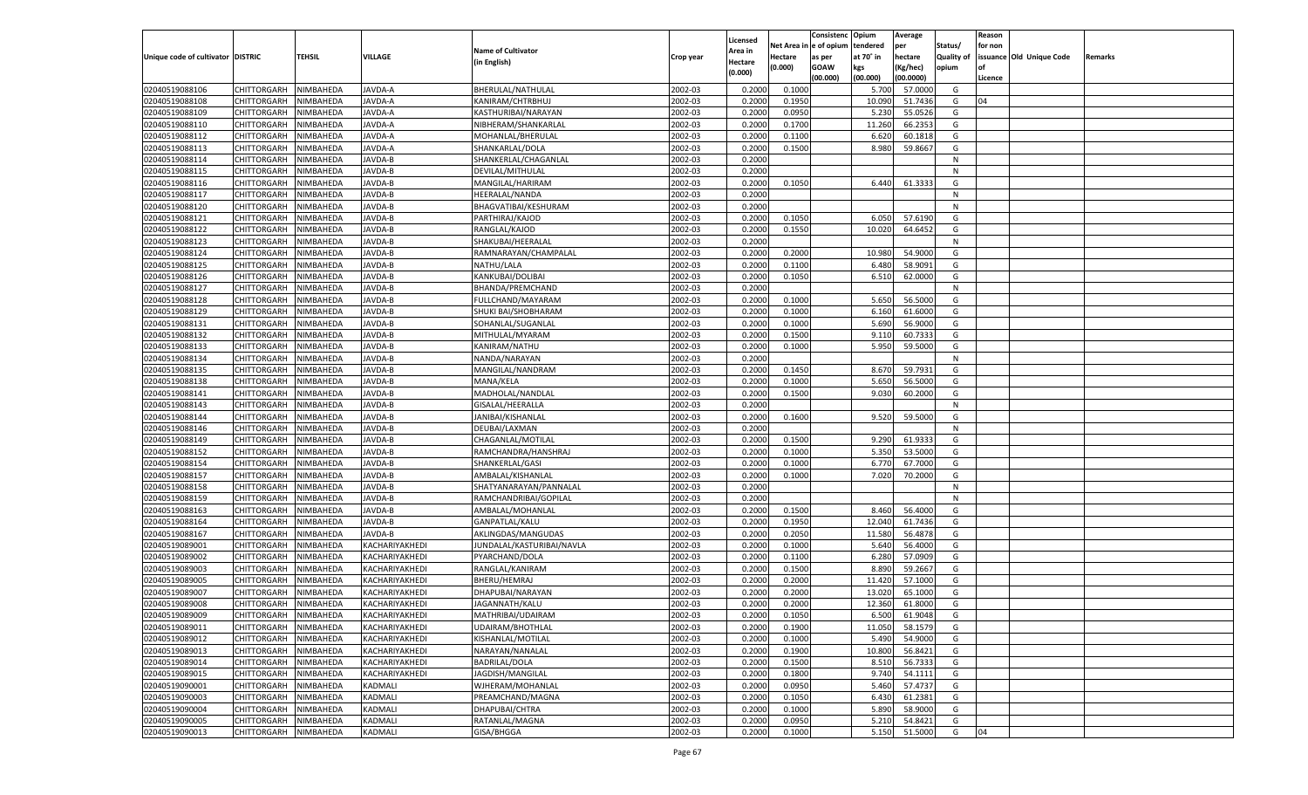|                                   |                       |               |                |                           |           |                    |          | Consistenc  | Opium     | Average            |                   | Reason  |                          |         |
|-----------------------------------|-----------------------|---------------|----------------|---------------------------|-----------|--------------------|----------|-------------|-----------|--------------------|-------------------|---------|--------------------------|---------|
|                                   |                       |               |                |                           |           | Licensed           | Net Area | e of opium  | tendered  | per                | Status/           | for non |                          |         |
| Unique code of cultivator DISTRIC |                       | <b>TEHSIL</b> | VILLAGE        | <b>Name of Cultivator</b> | Crop year | <b>Area in</b>     | Hectare  | as per      | at 70° in | hectare            | <b>Quality of</b> |         | issuance Old Unique Code | Remarks |
|                                   |                       |               |                | (in English)              |           | Hectare<br>(0.000) | (0.000)  | <b>GOAW</b> | kgs       | (Kg/hec)           | opium             |         |                          |         |
|                                   |                       |               |                |                           |           |                    |          | (00.000)    | (00.000)  | (00.0000)          |                   | Licence |                          |         |
| 02040519088106                    | CHITTORGARH           | NIMBAHEDA     | <b>JAVDA-A</b> | BHERULAL/NATHULAL         | 2002-03   | 0.2000             | 0.1000   |             | 5.700     | 57.0000            | G                 |         |                          |         |
| 02040519088108                    | CHITTORGARH           | NIMBAHEDA     | AVDA-A         | KANIRAM/CHTRBHUJ          | 2002-03   | 0.2000             | 0.1950   |             | 10.090    | 51.7436            | G                 | 04      |                          |         |
| 02040519088109                    | CHITTORGARH           | NIMBAHEDA     | AVDA-A         | KASTHURIBAI/NARAYAN       | 2002-03   | 0.2000             | 0.0950   |             | 5.230     | 55.0526            | G                 |         |                          |         |
| 02040519088110                    | CHITTORGARH           | NIMBAHEDA     | AVDA-A         | NIBHERAM/SHANKARLAL       | 2002-03   | 0.2000             | 0.1700   |             | 11.260    | 66.235             | G                 |         |                          |         |
| 02040519088112                    | CHITTORGARH           | NIMBAHEDA     | AVDA-A         | MOHANLAL/BHERULAL         | 2002-03   | 0.2000             | 0.1100   |             | 6.620     | 60.1818            | G                 |         |                          |         |
| 02040519088113                    | CHITTORGARH           | NIMBAHEDA     | AVDA-A         | SHANKARLAL/DOLA           | 2002-03   | 0.2000             | 0.1500   |             | 8.980     | 59.8667            | G                 |         |                          |         |
| 02040519088114                    | CHITTORGARH           | NIMBAHEDA     | AVDA-B         | SHANKERLAL/CHAGANLAL      | 2002-03   | 0.2000             |          |             |           |                    | N                 |         |                          |         |
| 02040519088115                    | CHITTORGARH           | NIMBAHEDA     | AVDA-B         | DEVILAL/MITHULAL          | 2002-03   | 0.2000             |          |             |           |                    | N                 |         |                          |         |
| 02040519088116                    | CHITTORGARH           | NIMBAHEDA     | AVDA-B         | MANGILAL/HARIRAM          | 2002-03   | 0.2000             | 0.1050   |             | 6.440     | 61.333             | G                 |         |                          |         |
| 02040519088117                    | CHITTORGARH           | NIMBAHEDA     | AVDA-B         | HEERALAL/NANDA            | 2002-03   | 0.2000             |          |             |           |                    | N                 |         |                          |         |
| 02040519088120                    | CHITTORGARH           | NIMBAHEDA     | AVDA-B         | BHAGVATIBAI/KESHURAM      | 2002-03   | 0.2000             |          |             |           |                    | N                 |         |                          |         |
| 02040519088121                    | CHITTORGARH           | NIMBAHEDA     | AVDA-B         | PARTHIRAJ/KAJOD           | 2002-03   | 0.2000             | 0.1050   |             | 6.050     | 57.6190            | G                 |         |                          |         |
| 02040519088122                    | CHITTORGARH           | NIMBAHEDA     | AVDA-B         | RANGLAL/KAJOD             | 2002-03   | 0.2000             | 0.1550   |             | 10.020    | 64.6452            | G                 |         |                          |         |
| 02040519088123                    | CHITTORGARH           | NIMBAHEDA     | AVDA-B         | SHAKUBAI/HEERALAL         | 2002-03   | 0.2000             |          |             |           |                    | N                 |         |                          |         |
| 02040519088124                    | CHITTORGARH           | NIMBAHEDA     | AVDA-B         | RAMNARAYAN/CHAMPALAL      | 2002-03   | 0.2000             | 0.2000   |             | 10.980    | 54.9000            | G                 |         |                          |         |
| 02040519088125                    | CHITTORGARH           | NIMBAHEDA     | AVDA-B         | NATHU/LALA                | 2002-03   | 0.2000             | 0.1100   |             | 6.480     | 58.9091            | G                 |         |                          |         |
| 02040519088126                    | CHITTORGARH           | NIMBAHEDA     | AVDA-B         | KANKUBAI/DOLIBAI          | 2002-03   | 0.2000             | 0.1050   |             | 6.510     | 62.0000            | G                 |         |                          |         |
| 02040519088127                    | CHITTORGARH           | NIMBAHEDA     | AVDA-B         | BHANDA/PREMCHAND          | 2002-03   | 0.2000             |          |             |           |                    | N                 |         |                          |         |
| 02040519088128                    | CHITTORGARH           | NIMBAHEDA     | AVDA-B         | FULLCHAND/MAYARAM         | 2002-03   | 0.2000             | 0.1000   |             | 5.650     | 56.5000            | G                 |         |                          |         |
| 02040519088129                    | CHITTORGARH           | NIMBAHEDA     | AVDA-B         | SHUKI BAI/SHOBHARAM       | 2002-03   | 0.2000             | 0.1000   |             | 6.160     | 61.6000            | G                 |         |                          |         |
| 02040519088131                    | CHITTORGARH           | NIMBAHEDA     | AVDA-B         | SOHANLAL/SUGANLAL         | 2002-03   | 0.2000             | 0.1000   |             | 5.690     | 56.9000            | G                 |         |                          |         |
| 02040519088132                    | CHITTORGARH           | NIMBAHEDA     | AVDA-B         | MITHULAL/MYARAM           | 2002-03   | 0.2000             | 0.1500   |             | 9.11(     | 60.733             | G                 |         |                          |         |
| 02040519088133                    | CHITTORGARH           | NIMBAHEDA     | AVDA-B         | KANIRAM/NATHU             | 2002-03   | 0.2000             | 0.1000   |             | 5.950     | 59.5000            | G                 |         |                          |         |
| 02040519088134                    | CHITTORGARH           | NIMBAHEDA     | AVDA-B         | NANDA/NARAYAN             | 2002-03   | 0.2000             |          |             |           |                    | N                 |         |                          |         |
| 02040519088135                    | CHITTORGARH           | NIMBAHEDA     | AVDA-B         | MANGILAL/NANDRAM          | 2002-03   | 0.2000             | 0.1450   |             | 8.670     | 59.7931            | G                 |         |                          |         |
| 02040519088138                    | CHITTORGARH           | NIMBAHEDA     | AVDA-B         | MANA/KELA                 | 2002-03   | 0.2000             | 0.1000   |             | 5.650     | 56.5000            | G                 |         |                          |         |
| 02040519088141                    | CHITTORGARH           | NIMBAHEDA     | AVDA-B         | MADHOLAL/NANDLAL          | 2002-03   | 0.2000             | 0.1500   |             | 9.030     | 60.2000            | G                 |         |                          |         |
| 02040519088143                    | CHITTORGARH           | NIMBAHEDA     | AVDA-B         | GISALAL/HEERALLA          | 2002-03   | 0.2000             |          |             |           |                    | N                 |         |                          |         |
| 02040519088144                    | CHITTORGARH           | NIMBAHEDA     | AVDA-B         | JANIBAI/KISHANLAL         | 2002-03   | 0.2000             | 0.1600   |             | 9.520     | 59.5000            | G                 |         |                          |         |
| 02040519088146                    | CHITTORGARH           | NIMBAHEDA     | JAVDA-B        | DEUBAI/LAXMAN             | 2002-03   | 0.2000             |          |             |           |                    | N                 |         |                          |         |
| 02040519088149                    |                       |               | <b>JAVDA-B</b> |                           | 2002-03   | 0.2000             | 0.1500   |             |           | 61.933             | G                 |         |                          |         |
|                                   | CHITTORGARH           | NIMBAHEDA     |                | CHAGANLAL/MOTILAL         |           |                    |          |             | 9.290     |                    |                   |         |                          |         |
| 02040519088152                    | CHITTORGARH           | NIMBAHEDA     | JAVDA-B        | RAMCHANDRA/HANSHRAJ       | 2002-03   | 0.2000             | 0.1000   |             | 5.350     | 53.5000<br>67.7000 | G                 |         |                          |         |
| 02040519088154                    | CHITTORGARH           | NIMBAHEDA     | <b>JAVDA-B</b> | SHANKERLAL/GASI           | 2002-03   | 0.2000             | 0.1000   |             | 6.770     |                    | G                 |         |                          |         |
| 02040519088157                    | CHITTORGARH           | NIMBAHEDA     | JAVDA-B        | AMBALAL/KISHANLAI         | 2002-03   | 0.2000             | 0.1000   |             | 7.020     | 70.2000            | G                 |         |                          |         |
| 02040519088158                    | CHITTORGARH           | NIMBAHEDA     | <b>JAVDA-B</b> | SHATYANARAYAN/PANNALAL    | 2002-03   | 0.2000             |          |             |           |                    | N                 |         |                          |         |
| 02040519088159                    | CHITTORGARH           | NIMBAHEDA     | JAVDA-B        | RAMCHANDRIBAI/GOPILAL     | 2002-03   | 0.2000             |          |             |           |                    | N                 |         |                          |         |
| 02040519088163                    | CHITTORGARH           | NIMBAHEDA     | <b>JAVDA-B</b> | AMBALAL/MOHANLAL          | 2002-03   | 0.2000             | 0.1500   |             | 8.460     | 56.4000            | G                 |         |                          |         |
| 02040519088164                    | CHITTORGARH           | NIMBAHEDA     | JAVDA-B        | GANPATLAL/KALU            | 2002-03   | 0.2000             | 0.1950   |             | 12.040    | 61.7436            | G                 |         |                          |         |
| 02040519088167                    | CHITTORGARH           | NIMBAHEDA     | <b>JAVDA-B</b> | AKLINGDAS/MANGUDAS        | 2002-03   | 0.2000             | 0.2050   |             | 11.580    | 56.4878            | G                 |         |                          |         |
| 02040519089001                    | CHITTORGARH           | NIMBAHEDA     | KACHARIYAKHEDI | JUNDALAL/KASTURIBAI/NAVLA | 2002-03   | 0.2000             | 0.1000   |             | 5.64      | 56.4000            | G                 |         |                          |         |
| 02040519089002                    | CHITTORGARH           | NIMBAHEDA     | KACHARIYAKHEDI | PYARCHAND/DOLA            | 2002-03   | 0.2000             | 0.1100   |             | 6.280     | 57.0909            | G                 |         |                          |         |
| 02040519089003                    | CHITTORGARH           | NIMBAHEDA     | KACHARIYAKHEDI | RANGLAL/KANIRAM           | 2002-03   | 0.2000             | 0.1500   |             | 8.890     | 59.266             | G                 |         |                          |         |
| 02040519089005                    | CHITTORGARH           | NIMBAHEDA     | KACHARIYAKHEDI | BHERU/HEMRAJ              | 2002-03   | 0.2000             | 0.2000   |             | 11.420    | 57.1000            | G                 |         |                          |         |
| 02040519089007                    | CHITTORGARH           | NIMBAHEDA     | KACHARIYAKHEDI | DHAPUBAI/NARAYAN          | 2002-03   | 0.2000             | 0.2000   |             | 13.020    | 65.1000            | G                 |         |                          |         |
| 02040519089008                    | CHITTORGARH           | NIMBAHEDA     | KACHARIYAKHEDI | JAGANNATH/KALU            | 2002-03   | 0.2000             | 0.2000   |             | 12.360    | 61.8000            | G                 |         |                          |         |
| 02040519089009                    | CHITTORGARH NIMBAHEDA |               | KACHARIYAKHEDI | MATHRIBAI/UDAIRAM         | 2002-03   | 0.2000             | 0.1050   |             | 6.500     | 61.9048            | G                 |         |                          |         |
| 02040519089011                    | <b>CHITTORGARH</b>    | NIMBAHEDA     | KACHARIYAKHEDI | UDAIRAM/BHOTHLAL          | 2002-03   | 0.2000             | 0.1900   |             | 11.050    | 58.1579            | G                 |         |                          |         |
| 02040519089012                    | CHITTORGARH           | NIMBAHEDA     | KACHARIYAKHEDI | KISHANLAL/MOTILAL         | 2002-03   | 0.2000             | 0.1000   |             | 5.490     | 54.9000            | G                 |         |                          |         |
| 02040519089013                    | <b>CHITTORGARH</b>    | NIMBAHEDA     | KACHARIYAKHEDI | NARAYAN/NANALAL           | 2002-03   | 0.2000             | 0.1900   |             | 10.800    | 56.8421            | G                 |         |                          |         |
| 02040519089014                    | <b>CHITTORGARH</b>    | NIMBAHEDA     | KACHARIYAKHEDI | <b>BADRILAL/DOLA</b>      | 2002-03   | 0.2000             | 0.1500   |             | 8.510     | 56.7333            | G                 |         |                          |         |
| 02040519089015                    | <b>CHITTORGARH</b>    | NIMBAHEDA     | KACHARIYAKHEDI | JAGDISH/MANGILAL          | 2002-03   | 0.2000             | 0.1800   |             | 9.740     | 54.1111            | G                 |         |                          |         |
| 02040519090001                    | <b>CHITTORGARH</b>    | NIMBAHEDA     | KADMALI        | WJHERAM/MOHANLAL          | 2002-03   | 0.2000             | 0.0950   |             | 5.460     | 57.4737            | G                 |         |                          |         |
| 02040519090003                    | <b>CHITTORGARH</b>    | NIMBAHEDA     | KADMALI        | PREAMCHAND/MAGNA          | 2002-03   | 0.2000             | 0.1050   |             | 6.430     | 61.2381            | G                 |         |                          |         |
| 02040519090004                    | <b>CHITTORGARH</b>    | NIMBAHEDA     | KADMALI        | DHAPUBAI/CHTRA            | 2002-03   | 0.2000             | 0.1000   |             | 5.890     | 58.9000            | G                 |         |                          |         |
| 02040519090005                    | <b>CHITTORGARH</b>    | NIMBAHEDA     | KADMALI        | RATANLAL/MAGNA            | 2002-03   | 0.2000             | 0.0950   |             | 5.210     | 54.8421            | G                 |         |                          |         |
| 02040519090013                    | CHITTORGARH           | NIMBAHEDA     | KADMALI        | GISA/BHGGA                | 2002-03   | 0.2000             | 0.1000   |             | 5.150     | 51.5000            | G                 | 04      |                          |         |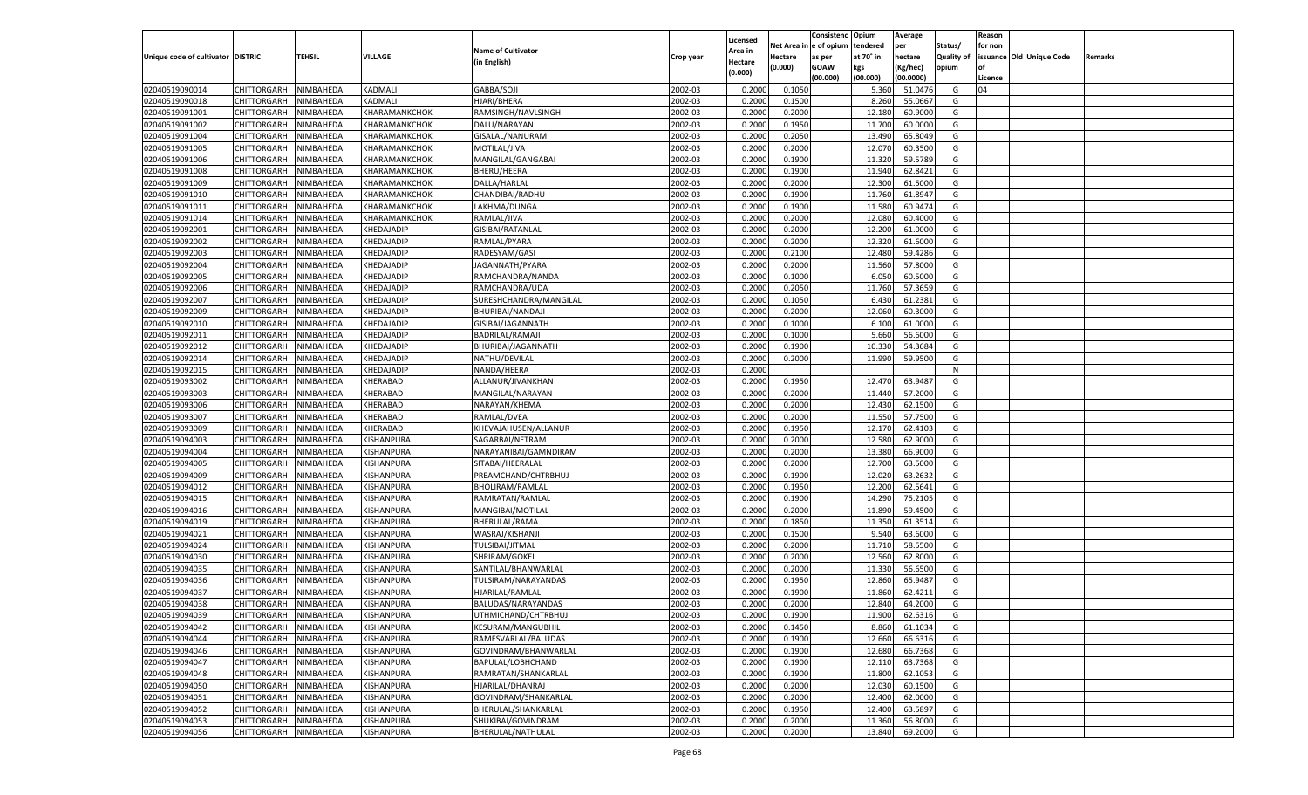|                                   |                    |           |                   |                           |           |                    |         | Consistenc Opium       |           | Average   |                   | Reason  |                          |                |
|-----------------------------------|--------------------|-----------|-------------------|---------------------------|-----------|--------------------|---------|------------------------|-----------|-----------|-------------------|---------|--------------------------|----------------|
|                                   |                    |           |                   | <b>Name of Cultivator</b> |           | Licensed           |         | Net Area in e of opium | tendered  | per       | Status/           | for non |                          |                |
| Unique code of cultivator DISTRIC |                    | TEHSIL    | VILLAGE           |                           | Crop year | Area in            | Hectare | as per                 | at 70° in | hectare   | <b>Quality of</b> |         | issuance Old Unique Code | <b>Remarks</b> |
|                                   |                    |           |                   | (in English)              |           | Hectare<br>(0.000) | (0.000) | <b>GOAW</b>            | kgs       | (Kg/hec)  | opium             |         |                          |                |
|                                   |                    |           |                   |                           |           |                    |         | (00.000)               | (00.000)  | (00.0000) |                   | Licence |                          |                |
| 02040519090014                    | CHITTORGARH        | NIMBAHEDA | KADMALI           | GABBA/SOJI                | 2002-03   | 0.2000             | 0.1050  |                        | 5.360     | 51.0476   | G                 | 04      |                          |                |
| 02040519090018                    | CHITTORGARH        | NIMBAHEDA | KADMALI           | HJARI/BHERA               | 2002-03   | 0.2000             | 0.1500  |                        | 8.260     | 55.0667   | G                 |         |                          |                |
| 02040519091001                    | CHITTORGARH        | NIMBAHEDA | KHARAMANKCHOK     | RAMSINGH/NAVLSINGH        | 2002-03   | 0.2000             | 0.2000  |                        | 12.180    | 60.9000   | G                 |         |                          |                |
| 02040519091002                    | CHITTORGARH        | NIMBAHEDA | KHARAMANKCHOK     | DALU/NARAYAN              | 2002-03   | 0.2000             | 0.1950  |                        | 11.700    | 60.0000   | G                 |         |                          |                |
| 02040519091004                    | CHITTORGARH        | NIMBAHEDA | KHARAMANKCHOK     | GISALAL/NANURAM           | 2002-03   | 0.2000             | 0.2050  |                        | 13.490    | 65.8049   | G                 |         |                          |                |
| 02040519091005                    | CHITTORGARH        | NIMBAHEDA | KHARAMANKCHOK     | MOTILAL/JIVA              | 2002-03   | 0.2000             | 0.2000  |                        | 12.070    | 60.3500   | G                 |         |                          |                |
| 02040519091006                    | CHITTORGARH        | NIMBAHEDA | KHARAMANKCHOK     | MANGILAL/GANGABAI         | 2002-03   | 0.2000             | 0.1900  |                        | 11.320    | 59.5789   | G                 |         |                          |                |
| 02040519091008                    | CHITTORGARH        | NIMBAHEDA | KHARAMANKCHOK     | <b>BHERU/HEERA</b>        | 2002-03   | 0.2000             | 0.1900  |                        | 11.940    | 62.8421   | G                 |         |                          |                |
| 02040519091009                    | CHITTORGARH        | NIMBAHEDA | KHARAMANKCHOK     | DALLA/HARLAL              | 2002-03   | 0.2000             | 0.2000  |                        | 12.300    | 61.5000   | G                 |         |                          |                |
| 02040519091010                    | CHITTORGARH        | NIMBAHEDA | KHARAMANKCHOK     | CHANDIBAI/RADHU           | 2002-03   | 0.2000             | 0.1900  |                        | 11.760    | 61.8947   | G                 |         |                          |                |
| 02040519091011                    | CHITTORGARH        | NIMBAHEDA | KHARAMANKCHOK     | LAKHMA/DUNGA              | 2002-03   | 0.2000             | 0.1900  |                        | 11.580    | 60.9474   | G                 |         |                          |                |
| 02040519091014                    | CHITTORGARH        | NIMBAHEDA | KHARAMANKCHOK     | RAMLAL/JIVA               | 2002-03   | 0.2000             | 0.2000  |                        | 12.080    | 60.4000   | G                 |         |                          |                |
| 02040519092001                    | CHITTORGARH        | NIMBAHEDA | KHEDAJADIP        | GISIBAI/RATANLAL          | 2002-03   | 0.2000             | 0.2000  |                        | 12.200    | 61.0000   | G                 |         |                          |                |
| 02040519092002                    | CHITTORGARH        | NIMBAHEDA | KHEDAJADIP        | RAMLAL/PYARA              | 2002-03   | 0.2000             | 0.2000  |                        | 12.320    | 61.6000   | G                 |         |                          |                |
| 02040519092003                    | CHITTORGARH        | NIMBAHEDA | KHEDAJADIP        | RADESYAM/GASI             | 2002-03   | 0.2000             | 0.2100  |                        | 12.480    | 59.4286   | G                 |         |                          |                |
| 02040519092004                    | CHITTORGARH        | NIMBAHEDA | KHEDAJADIP        | JAGANNATH/PYARA           | 2002-03   | 0.2000             | 0.2000  |                        | 11.560    | 57.8000   | G                 |         |                          |                |
| 02040519092005                    | CHITTORGARH        | NIMBAHEDA | KHEDAJADIP        | RAMCHANDRA/NANDA          | 2002-03   | 0.2000             | 0.1000  |                        | 6.050     | 60.5000   | G                 |         |                          |                |
| 02040519092006                    | CHITTORGARH        | NIMBAHEDA | KHEDAJADIP        | RAMCHANDRA/UDA            | 2002-03   | 0.2000             | 0.2050  |                        | 11.760    | 57.3659   | G                 |         |                          |                |
| 02040519092007                    | CHITTORGARH        | NIMBAHEDA | KHEDAJADIP        | SURESHCHANDRA/MANGILAL    | 2002-03   | 0.2000             | 0.1050  |                        | 6.430     | 61.2381   | G                 |         |                          |                |
| 02040519092009                    | CHITTORGARH        | NIMBAHEDA | KHEDAJADIP        | BHURIBAI/NANDAJI          | 2002-03   | 0.2000             | 0.2000  |                        | 12.060    | 60.3000   | G                 |         |                          |                |
| 02040519092010                    | CHITTORGARH        | NIMBAHEDA | KHEDAJADIP        | GISIBAI/JAGANNATH         | 2002-03   | 0.2000             | 0.1000  |                        | 6.100     | 61.0000   | G                 |         |                          |                |
| 02040519092011                    | CHITTORGARH        | NIMBAHEDA | KHEDAJADIP        | BADRILAL/RAMAJI           | 2002-03   | 0.2000             | 0.1000  |                        | 5.660     | 56.6000   | G                 |         |                          |                |
| 02040519092012                    | CHITTORGARH        | NIMBAHEDA | KHEDAJADIP        | BHURIBAI/JAGANNATH        | 2002-03   | 0.2000             | 0.1900  |                        | 10.330    | 54.3684   | G                 |         |                          |                |
| 02040519092014                    | CHITTORGARH        | NIMBAHEDA | KHEDAJADIP        | NATHU/DEVILAL             | 2002-03   | 0.2000             | 0.2000  |                        | 11.990    | 59.9500   | G                 |         |                          |                |
| 02040519092015                    | CHITTORGARH        | NIMBAHEDA | KHEDAJADIP        | NANDA/HEERA               | 2002-03   | 0.2000             |         |                        |           |           | N                 |         |                          |                |
| 02040519093002                    | CHITTORGARH        | NIMBAHEDA | KHERABAD          | ALLANUR/JIVANKHAN         | 2002-03   | 0.2000             | 0.1950  |                        | 12.470    | 63.9487   | G                 |         |                          |                |
| 02040519093003                    | CHITTORGARH        | NIMBAHEDA | KHERABAD          | MANGILAL/NARAYAN          | 2002-03   | 0.2000             | 0.2000  |                        | 11.440    | 57.2000   | G                 |         |                          |                |
| 02040519093006                    | CHITTORGARH        | NIMBAHEDA | KHERABAD          | NARAYAN/KHEMA             | 2002-03   | 0.2000             | 0.2000  |                        | 12.430    | 62.1500   | G                 |         |                          |                |
| 02040519093007                    | CHITTORGARH        | NIMBAHEDA | KHERABAD          | RAMLAL/DVEA               | 2002-03   | 0.2000             | 0.2000  |                        | 11.550    | 57.7500   | G                 |         |                          |                |
| 02040519093009                    | CHITTORGARH        | NIMBAHEDA | KHERABAD          | KHEVAJAHUSEN/ALLANUR      | 2002-03   | 0.2000             | 0.1950  |                        | 12.170    | 62.4103   | G                 |         |                          |                |
| 02040519094003                    | CHITTORGARH        | NIMBAHEDA | KISHANPURA        | SAGARBAI/NETRAM           | 2002-03   | 0.2000             | 0.2000  |                        | 12.580    | 62.9000   | G                 |         |                          |                |
| 02040519094004                    | CHITTORGARH        | NIMBAHEDA | KISHANPURA        | NARAYANIBAI/GAMNDIRAM     | 2002-03   | 0.2000             | 0.2000  |                        | 13.380    | 66.9000   | G                 |         |                          |                |
| 02040519094005                    | CHITTORGARH        | NIMBAHEDA | KISHANPURA        | SITABAI/HEERALAL          | 2002-03   | 0.2000             | 0.2000  |                        | 12.700    | 63.5000   | G                 |         |                          |                |
| 02040519094009                    | CHITTORGARH        | NIMBAHEDA | KISHANPURA        | PREAMCHAND/CHTRBHUJ       | 2002-03   | 0.2000             | 0.1900  |                        | 12.020    | 63.2632   | G                 |         |                          |                |
| 02040519094012                    | CHITTORGARH        | NIMBAHEDA | KISHANPURA        | BHOLIRAM/RAMLAL           | 2002-03   | 0.2000             | 0.1950  |                        | 12.200    | 62.5641   | G                 |         |                          |                |
|                                   |                    |           |                   |                           |           |                    |         |                        |           |           |                   |         |                          |                |
| 02040519094015                    | CHITTORGARH        | NIMBAHEDA | KISHANPURA        | RAMRATAN/RAMLAL           | 2002-03   | 0.2000             | 0.1900  |                        | 14.290    | 75.2105   | G                 |         |                          |                |
| 02040519094016                    | CHITTORGARH        | NIMBAHEDA | KISHANPURA        | MANGIBAI/MOTILAL          | 2002-03   | 0.2000             | 0.2000  |                        | 11.890    | 59.4500   | G                 |         |                          |                |
| 02040519094019                    | CHITTORGARH        | NIMBAHEDA | KISHANPURA        | BHERULAL/RAMA             | 2002-03   | 0.2000             | 0.1850  |                        | 11.350    | 61.3514   | G                 |         |                          |                |
| 02040519094021                    | CHITTORGARH        | NIMBAHEDA | KISHANPURA        | WASRAJ/KISHANJI           | 2002-03   | 0.2000             | 0.1500  |                        | 9.540     | 63.6000   | G                 |         |                          |                |
| 02040519094024                    | CHITTORGARH        | NIMBAHEDA | KISHANPURA        | TULSIBAI/JITMAL           | 2002-03   | 0.2000             | 0.2000  |                        | 11.710    | 58.5500   | G                 |         |                          |                |
| 02040519094030                    | CHITTORGARH        | NIMBAHEDA | KISHANPURA        | SHRIRAM/GOKEL             | 2002-03   | 0.2000             | 0.2000  |                        | 12.560    | 62.8000   | G                 |         |                          |                |
| 02040519094035                    | CHITTORGARH        | NIMBAHEDA | KISHANPURA        | SANTILAL/BHANWARLAL       | 2002-03   | 0.2000             | 0.2000  |                        | 11.330    | 56.6500   | G                 |         |                          |                |
| 02040519094036                    | CHITTORGARH        | NIMBAHEDA | KISHANPURA        | TULSIRAM/NARAYANDAS       | 2002-03   | 0.2000             | 0.1950  |                        | 12.860    | 65.9487   | G                 |         |                          |                |
| 02040519094037                    | CHITTORGARH        | NIMBAHEDA | KISHANPURA        | HJARILAL/RAMLAL           | 2002-03   | 0.2000             | 0.1900  |                        | 11.860    | 62.4211   | G                 |         |                          |                |
| 02040519094038                    | CHITTORGARH        | NIMBAHEDA | <b>KISHANPURA</b> | BALUDAS/NARAYANDAS        | 2002-03   | 0.2000             | 0.2000  |                        | 12.840    | 64.2000   | G                 |         |                          |                |
| 02040519094039                    | CHITTORGARH        | NIMBAHEDA | <b>KISHANPURA</b> | UTHMICHAND/CHTRBHUJ       | 2002-03   | 0.2000             | 0.1900  |                        | 11.900    | 62.6316   | G                 |         |                          |                |
| 02040519094042                    | <b>CHITTORGARH</b> | NIMBAHEDA | KISHANPURA        | KESURAM/MANGUBHIL         | 2002-03   | 0.2000             | 0.1450  |                        | 8.860     | 61.1034   | G                 |         |                          |                |
| 02040519094044                    | <b>CHITTORGARH</b> | NIMBAHEDA | KISHANPURA        | RAMESVARLAL/BALUDAS       | 2002-03   | 0.2000             | 0.1900  |                        | 12.660    | 66.6316   | G                 |         |                          |                |
| 02040519094046                    | <b>CHITTORGARH</b> | NIMBAHEDA | KISHANPURA        | GOVINDRAM/BHANWARLAL      | 2002-03   | 0.2000             | 0.1900  |                        | 12.680    | 66.7368   | G                 |         |                          |                |
| 02040519094047                    | <b>CHITTORGARH</b> | NIMBAHEDA | KISHANPURA        | BAPULAL/LOBHCHAND         | 2002-03   | 0.2000             | 0.1900  |                        | 12.110    | 63.7368   | G                 |         |                          |                |
| 02040519094048                    | <b>CHITTORGARH</b> | NIMBAHEDA | KISHANPURA        | RAMRATAN/SHANKARLAL       | 2002-03   | 0.2000             | 0.1900  |                        | 11.800    | 62.1053   | G                 |         |                          |                |
| 02040519094050                    | CHITTORGARH        | NIMBAHEDA | KISHANPURA        | HJARILAL/DHANRAJ          | 2002-03   | 0.2000             | 0.2000  |                        | 12.030    | 60.1500   | G                 |         |                          |                |
| 02040519094051                    | <b>CHITTORGARH</b> | NIMBAHEDA | KISHANPURA        | GOVINDRAM/SHANKARLAL      | 2002-03   | 0.2000             | 0.2000  |                        | 12.400    | 62.0000   | G                 |         |                          |                |
| 02040519094052                    | CHITTORGARH        | NIMBAHEDA | KISHANPURA        | BHERULAL/SHANKARLAL       | 2002-03   | 0.2000             | 0.1950  |                        | 12.400    | 63.5897   | G                 |         |                          |                |
| 02040519094053                    | <b>CHITTORGARH</b> | NIMBAHEDA | KISHANPURA        | SHUKIBAI/GOVINDRAM        | 2002-03   | 0.2000             | 0.2000  |                        | 11.360    | 56.8000   | G                 |         |                          |                |
| 02040519094056                    | <b>CHITTORGARH</b> | NIMBAHEDA | KISHANPURA        | BHERULAL/NATHULAL         | 2002-03   | 0.2000             | 0.2000  |                        | 13.840    | 69.2000   | G                 |         |                          |                |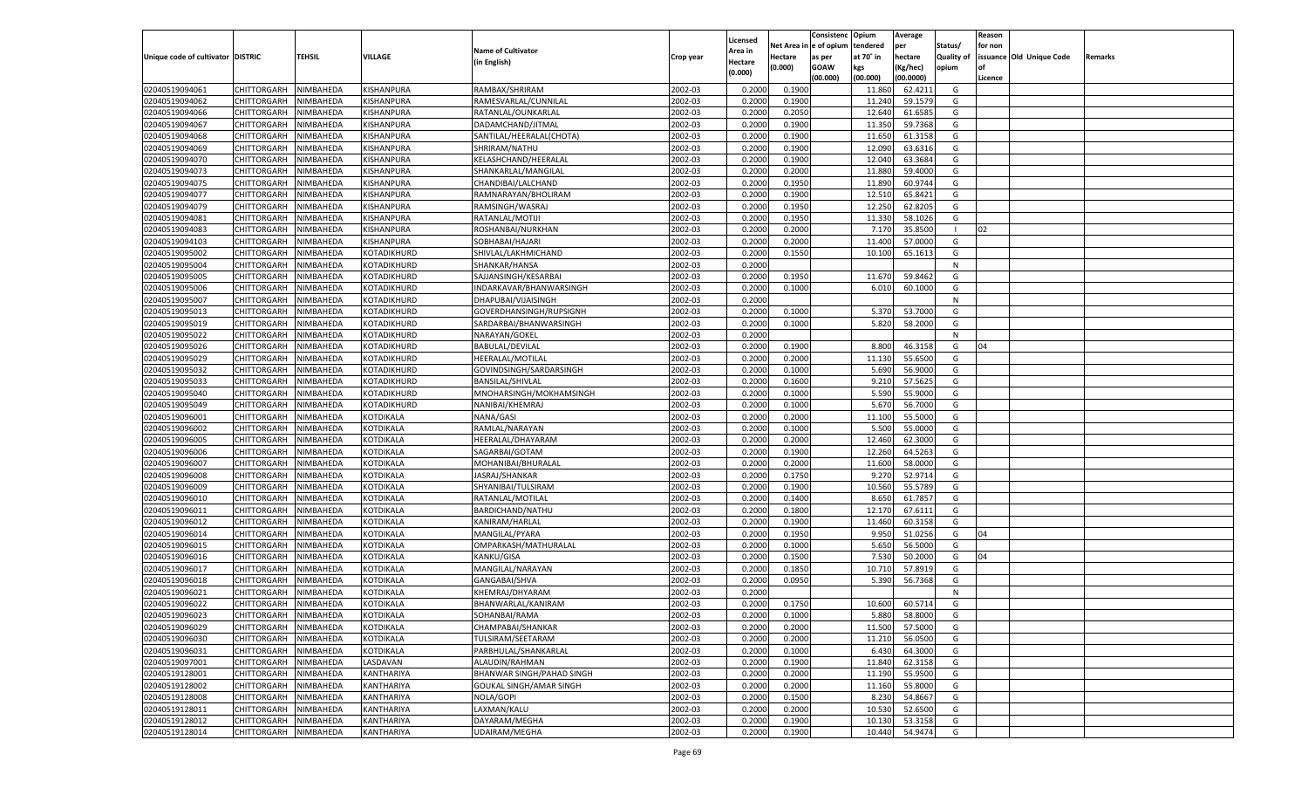|                                   |                       |               |                        |                                |           |                           |          | Consistenc  | Opium     | Average   |                   | Reason  |                          |         |
|-----------------------------------|-----------------------|---------------|------------------------|--------------------------------|-----------|---------------------------|----------|-------------|-----------|-----------|-------------------|---------|--------------------------|---------|
|                                   |                       |               |                        | <b>Name of Cultivator</b>      |           | Licensed                  | Net Area | le of opium | tendered  | per       | Status/           | for non |                          |         |
| Unique code of cultivator DISTRIC |                       | <b>TEHSIL</b> | VILLAGE                | (in English)                   | Crop year | <b>Area in</b><br>Hectare | Hectare  | as per      | at 70° in | hectare   | <b>Quality of</b> |         | issuance Old Unique Code | Remarks |
|                                   |                       |               |                        |                                |           | (0.000)                   | (0.000)  | <b>GOAW</b> | kgs       | (Kg/hec)  | opium             |         |                          |         |
|                                   |                       |               |                        |                                |           |                           |          | (00.000)    | (00.000)  | (00.0000) |                   | Licence |                          |         |
| 02040519094061                    | CHITTORGARH           | NIMBAHEDA     | KISHANPURA             | RAMBAX/SHRIRAM                 | 2002-03   | 0.2000                    | 0.1900   |             | 11.860    | 62.4211   | G                 |         |                          |         |
| 02040519094062                    | CHITTORGARH           | NIMBAHEDA     | KISHANPURA             | RAMESVARLAL/CUNNILAL           | 2002-03   | 0.2000                    | 0.1900   |             | 11.240    | 59.1579   | G                 |         |                          |         |
| 02040519094066                    | CHITTORGARH           | NIMBAHEDA     | KISHANPURA             | RATANLAL/OUNKARLAL             | 2002-03   | 0.2000                    | 0.2050   |             | 12.640    | 61.6585   | G                 |         |                          |         |
| 02040519094067                    | CHITTORGARH           | NIMBAHEDA     | KISHANPURA             | DADAMCHAND/JITMAL              | 2002-03   | 0.2000                    | 0.1900   |             | 11.350    | 59.7368   | G                 |         |                          |         |
| 02040519094068                    | CHITTORGARH           | NIMBAHEDA     | KISHANPURA             | SANTILAL/HEERALAL(CHOTA)       | 2002-03   | 0.2000                    | 0.1900   |             | 11.650    | 61.3158   | G                 |         |                          |         |
| 02040519094069                    | CHITTORGARH           | NIMBAHEDA     | KISHANPURA             | SHRIRAM/NATHU                  | 2002-03   | 0.2000                    | 0.1900   |             | 12.090    | 63.6316   | G                 |         |                          |         |
| 02040519094070                    | CHITTORGARH           | NIMBAHEDA     | KISHANPURA             | KELASHCHAND/HEERALAL           | 2002-03   | 0.2000                    | 0.1900   |             | 12.040    | 63.3684   | G                 |         |                          |         |
| 02040519094073                    | CHITTORGARH           | NIMBAHEDA     | KISHANPURA             | SHANKARLAL/MANGILAL            | 2002-03   | 0.2000                    | 0.2000   |             | 11.880    | 59.4000   | G                 |         |                          |         |
| 02040519094075                    | CHITTORGARH           | NIMBAHEDA     | KISHANPURA             | CHANDIBAI/LALCHAND             | 2002-03   | 0.2000                    | 0.1950   |             | 11.890    | 60.9744   | G                 |         |                          |         |
| 02040519094077                    | CHITTORGARH           | NIMBAHEDA     | KISHANPURA             | RAMNARAYAN/BHOLIRAM            | 2002-03   | 0.2000                    | 0.1900   |             | 12.51     | 65.8421   | G                 |         |                          |         |
| 02040519094079                    | CHITTORGARH           | NIMBAHEDA     | KISHANPURA             | RAMSINGH/WASRAJ                | 2002-03   | 0.2000                    | 0.1950   |             | 12.250    | 62.8205   | G                 |         |                          |         |
| 02040519094081                    | CHITTORGARH           | NIMBAHEDA     | KISHANPURA             | RATANLAL/MOTIJI                | 2002-03   | 0.2000                    | 0.1950   |             | 11.330    | 58.1026   | G                 |         |                          |         |
| 02040519094083                    | CHITTORGARH           | NIMBAHEDA     | KISHANPURA             | ROSHANBAI/NURKHAN              | 2002-03   | 0.2000                    | 0.2000   |             | 7.170     | 35.8500   |                   | 02      |                          |         |
| 02040519094103                    | CHITTORGARH           | NIMBAHEDA     | KISHANPURA             | SOBHABAI/HAJARI                | 2002-03   | 0.2000                    | 0.2000   |             | 11.400    | 57.0000   | G                 |         |                          |         |
| 02040519095002                    | CHITTORGARH           | NIMBAHEDA     | KOTADIKHURD            | SHIVLAL/LAKHMICHAND            | 2002-03   | 0.2000                    | 0.1550   |             | 10.100    | 65.1613   | G                 |         |                          |         |
| 02040519095004                    | CHITTORGARH           | NIMBAHEDA     | KOTADIKHURD            | SHANKAR/HANSA                  | 2002-03   | 0.2000                    |          |             |           |           | N                 |         |                          |         |
| 02040519095005                    | CHITTORGARH           | NIMBAHEDA     | KOTADIKHURD            | SAJJANSINGH/KESARBAI           | 2002-03   | 0.2000                    | 0.1950   |             | 11.670    | 59.8462   | G                 |         |                          |         |
| 02040519095006                    | CHITTORGARH           | NIMBAHEDA     | KOTADIKHURD            | INDARKAVAR/BHANWARSINGH        | 2002-03   | 0.2000                    | 0.1000   |             | 6.010     | 60.1000   | G                 |         |                          |         |
| 02040519095007                    | CHITTORGARH           | NIMBAHEDA     | KOTADIKHURD            | DHAPUBAI/VIJAISINGH            | 2002-03   | 0.2000                    |          |             |           |           | N                 |         |                          |         |
| 02040519095013                    | CHITTORGARH           | NIMBAHEDA     | KOTADIKHURD            | GOVERDHANSINGH/RUPSIGNH        | 2002-03   | 0.2000                    | 0.1000   |             | 5.370     | 53.7000   | G                 |         |                          |         |
| 02040519095019                    | CHITTORGARH           | NIMBAHEDA     | KOTADIKHURD            | SARDARBAI/BHANWARSINGH         | 2002-03   | 0.2000                    | 0.1000   |             | 5.820     | 58.2000   | G                 |         |                          |         |
| 02040519095022                    | CHITTORGARH           | NIMBAHEDA     | KOTADIKHURD            | NARAYAN/GOKEL                  | 2002-03   | 0.2000                    |          |             |           |           | N                 |         |                          |         |
| 02040519095026                    | CHITTORGARH           | NIMBAHEDA     | KOTADIKHURD            | <b>BABULAL/DEVILAL</b>         | 2002-03   | 0.2000                    | 0.1900   |             | 8.800     | 46.3158   | G                 | 04      |                          |         |
| 02040519095029                    | CHITTORGARH           | NIMBAHEDA     | KOTADIKHURD            | HEERALAL/MOTILAL               | 2002-03   | 0.2000                    | 0.2000   |             | 11.130    | 55.6500   | G                 |         |                          |         |
| 02040519095032                    | CHITTORGARH           | NIMBAHEDA     | KOTADIKHURD            | GOVINDSINGH/SARDARSINGH        | 2002-03   | 0.2000                    | 0.1000   |             | 5.690     | 56.9000   | G                 |         |                          |         |
| 02040519095033                    | CHITTORGARH           | NIMBAHEDA     | KOTADIKHURD            | <b>BANSILAL/SHIVLAL</b>        | 2002-03   | 0.2000                    | 0.1600   |             | 9.210     | 57.5625   | G                 |         |                          |         |
| 02040519095040                    | CHITTORGARH           | NIMBAHEDA     | KOTADIKHURD            | MNOHARSINGH/MOKHAMSINGH        | 2002-03   | 0.2000                    | 0.1000   |             | 5.590     | 55.9000   | G                 |         |                          |         |
| 02040519095049                    | CHITTORGARH           | NIMBAHEDA     | KOTADIKHURD            | NANIBAI/KHEMRAJ                | 2002-03   | 0.2000                    | 0.1000   |             | 5.670     | 56.7000   | G                 |         |                          |         |
| 02040519096001                    | CHITTORGARH           | NIMBAHEDA     | KOTDIKALA              | NANA/GASI                      | 2002-03   | 0.2000                    | 0.2000   |             | 11.100    | 55.5000   | G                 |         |                          |         |
| 02040519096002                    | CHITTORGARH           | NIMBAHEDA     | KOTDIKALA              | RAMLAL/NARAYAN                 | 2002-03   | 0.2000                    | 0.1000   |             | 5.500     | 55.0000   | G                 |         |                          |         |
| 02040519096005                    | CHITTORGARH           | NIMBAHEDA     | KOTDIKALA              | HEERALAL/DHAYARAM              | 2002-03   | 0.2000                    | 0.2000   |             | 12.460    | 62.3000   | G                 |         |                          |         |
| 02040519096006                    | CHITTORGARH           | NIMBAHEDA     | KOTDIKALA              | SAGARBAI/GOTAM                 | 2002-03   | 0.2000                    | 0.1900   |             | 12.260    | 64.5263   | G                 |         |                          |         |
| 02040519096007                    | CHITTORGARH           | NIMBAHEDA     | KOTDIKALA              | MOHANIBAI/BHURALAL             | 2002-03   | 0.2000                    | 0.2000   |             | 11.600    | 58.0000   | G                 |         |                          |         |
| 02040519096008                    | CHITTORGARH           | NIMBAHEDA     | KOTDIKALA              | JASRAJ/SHANKAR                 | 2002-03   | 0.2000                    | 0.1750   |             | 9.27      | 52.971    | G                 |         |                          |         |
| 02040519096009                    |                       | NIMBAHEDA     | KOTDIKALA              |                                | 2002-03   | 0.2000                    | 0.1900   |             | 10.560    | 55.5789   | G                 |         |                          |         |
|                                   | CHITTORGARH           |               |                        | SHYANIBAI/TULSIRAM             |           |                           |          |             |           |           |                   |         |                          |         |
| 02040519096010                    | CHITTORGARH           | NIMBAHEDA     | KOTDIKALA<br>KOTDIKALA | RATANLAL/MOTILAL               | 2002-03   | 0.2000                    | 0.1400   |             | 8.650     | 61.785    | G                 |         |                          |         |
| 02040519096011                    | CHITTORGARH           | NIMBAHEDA     |                        | BARDICHAND/NATHU               | 2002-03   | 0.2000                    | 0.1800   |             | 12.170    | 67.6111   | G                 |         |                          |         |
| 02040519096012                    | CHITTORGARH           | NIMBAHEDA     | KOTDIKALA              | KANIRAM/HARLAL                 | 2002-03   | 0.2000                    | 0.1900   |             | 11.460    | 60.3158   | G                 |         |                          |         |
| 02040519096014                    | CHITTORGARH           | NIMBAHEDA     | KOTDIKALA              | MANGILAL/PYARA                 | 2002-03   | 0.2000                    | 0.1950   |             | 9.95      | 51.0256   | G                 | 04      |                          |         |
| 02040519096015                    | CHITTORGARH           | NIMBAHEDA     | KOTDIKALA              | OMPARKASH/MATHURALAL           | 2002-03   | 0.2000                    | 0.1000   |             | 5.650     | 56.5000   | G                 |         |                          |         |
| 02040519096016                    | CHITTORGARH           | NIMBAHEDA     | KOTDIKALA              | KANKU/GISA                     | 2002-03   | 0.2000                    | 0.1500   |             | 7.530     | 50.2000   | G                 | 04      |                          |         |
| 02040519096017                    | CHITTORGARH           | NIMBAHEDA     | KOTDIKALA              | MANGILAL/NARAYAN               | 2002-03   | 0.2000                    | 0.1850   |             | 10.710    | 57.8919   | G                 |         |                          |         |
| 02040519096018                    | CHITTORGARH           | NIMBAHEDA     | KOTDIKALA              | GANGABAI/SHVA                  | 2002-03   | 0.2000                    | 0.0950   |             | 5.390     | 56.7368   | G                 |         |                          |         |
| 02040519096021                    | CHITTORGARH           | NIMBAHEDA     | KOTDIKALA              | KHEMRAJ/DHYARAM                | 2002-03   | 0.2000                    |          |             |           |           | N                 |         |                          |         |
| 02040519096022                    | CHITTORGARH           | NIMBAHEDA     | KOTDIKALA              | BHANWARLAL/KANIRAM             | 2002-03   | 0.2000                    | 0.1750   |             | 10.600    | 60.5714   | G                 |         |                          |         |
| 02040519096023                    | CHITTORGARH NIMBAHEDA |               | <b>KOTDIKALA</b>       | SOHANBAI/RAMA                  | 2002-03   | 0.2000                    | 0.1000   |             | 5.880     | 58.8000   | G                 |         |                          |         |
| 02040519096029                    | <b>CHITTORGARH</b>    | NIMBAHEDA     | <b>KOTDIKALA</b>       | CHAMPABAI/SHANKAR              | 2002-03   | 0.2000                    | 0.2000   |             | 11.500    | 57.5000   | G                 |         |                          |         |
| 02040519096030                    | CHITTORGARH           | NIMBAHEDA     | KOTDIKALA              | TULSIRAM/SEETARAM              | 2002-03   | 0.2000                    | 0.2000   |             | 11.210    | 56.0500   | G                 |         |                          |         |
| 02040519096031                    | <b>CHITTORGARH</b>    | NIMBAHEDA     | <b>KOTDIKALA</b>       | PARBHULAL/SHANKARLAL           | 2002-03   | 0.2000                    | 0.1000   |             | 6.430     | 64.3000   | G                 |         |                          |         |
| 02040519097001                    | <b>CHITTORGARH</b>    | NIMBAHEDA     | LASDAVAN               | ALAUDIN/RAHMAN                 | 2002-03   | 0.2000                    | 0.1900   |             | 11.840    | 62.3158   | G                 |         |                          |         |
| 02040519128001                    | <b>CHITTORGARH</b>    | NIMBAHEDA     | KANTHARIYA             | BHANWAR SINGH/PAHAD SINGH      | 2002-03   | 0.2000                    | 0.2000   |             | 11.190    | 55.9500   | G                 |         |                          |         |
| 02040519128002                    | <b>CHITTORGARH</b>    | NIMBAHEDA     | KANTHARIYA             | <b>GOUKAL SINGH/AMAR SINGH</b> | 2002-03   | 0.2000                    | 0.2000   |             | 11.160    | 55.8000   | G                 |         |                          |         |
| 02040519128008                    | <b>CHITTORGARH</b>    | NIMBAHEDA     | KANTHARIYA             | NOLA/GOPI                      | 2002-03   | 0.2000                    | 0.1500   |             | 8.230     | 54.8667   | G                 |         |                          |         |
| 02040519128011                    | <b>CHITTORGARH</b>    | NIMBAHEDA     | KANTHARIYA             | LAXMAN/KALU                    | 2002-03   | 0.2000                    | 0.2000   |             | 10.530    | 52.6500   | G                 |         |                          |         |
| 02040519128012                    | <b>CHITTORGARH</b>    | NIMBAHEDA     | KANTHARIYA             | DAYARAM/MEGHA                  | 2002-03   | 0.2000                    | 0.1900   |             | 10.130    | 53.3158   | G                 |         |                          |         |
| 02040519128014                    | CHITTORGARH           | NIMBAHEDA     | KANTHARIYA             | <b>UDAIRAM/MEGHA</b>           | 2002-03   | 0.2000                    | 0.1900   |             | 10.440    | 54.9474   | G                 |         |                          |         |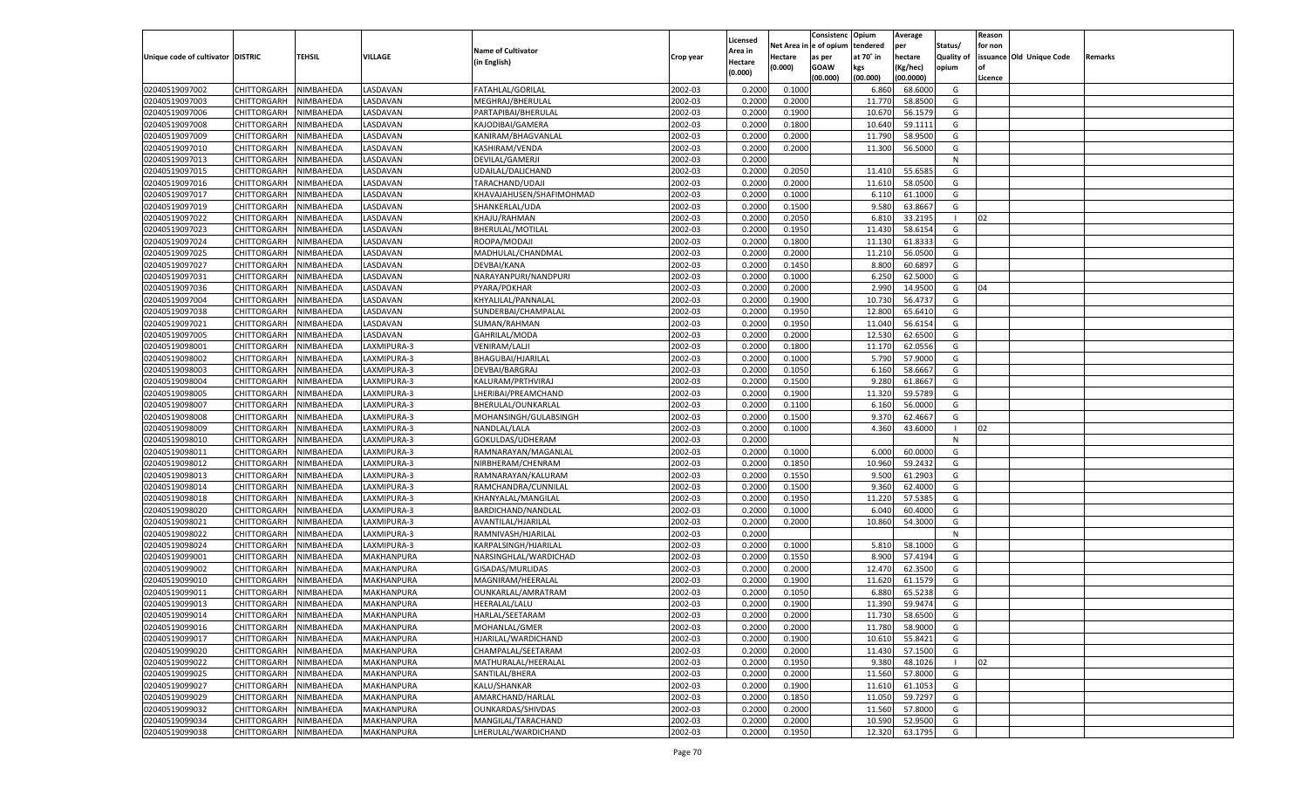|                                   |                       |               |                |                           |           |                           |                  | Consistenc  | Opium     | Average            |                   | Reason  |                          |         |
|-----------------------------------|-----------------------|---------------|----------------|---------------------------|-----------|---------------------------|------------------|-------------|-----------|--------------------|-------------------|---------|--------------------------|---------|
|                                   |                       |               |                | <b>Name of Cultivator</b> |           | Licensed                  | Net Area         | e of opium  | tendered  | per                | Status/           | for non |                          |         |
| Unique code of cultivator DISTRIC |                       | <b>TEHSIL</b> | VILLAGE        | (in English)              | Crop year | <b>Area in</b><br>Hectare | Hectare          | as per      | at 70° in | hectare            | <b>Quality of</b> |         | issuance Old Unique Code | Remarks |
|                                   |                       |               |                |                           |           | (0.000)                   | (0.000)          | <b>GOAW</b> | kgs       | (Kg/hec)           | opium             |         |                          |         |
|                                   |                       |               |                |                           |           |                           |                  | (00.000)    | (00.000)  | (00.0000)          |                   | Licence |                          |         |
| 02040519097002                    | CHITTORGARH           | NIMBAHEDA     | <b>ASDAVAN</b> | FATAHLAL/GORILAL          | 2002-03   | 0.2000                    | 0.1000           |             | 6.860     | 68.6000            | G                 |         |                          |         |
| 02040519097003                    | CHITTORGARH           | NIMBAHEDA     | ASDAVAN        | MEGHRAJ/BHERULAL          | 2002-03   | 0.2000                    | 0.2000           |             | 11.770    | 58.8500            | G                 |         |                          |         |
| 02040519097006                    | CHITTORGARH           | NIMBAHEDA     | <b>ASDAVAN</b> | PARTAPIBAI/BHERULAL       | 2002-03   | 0.2000                    | 0.1900           |             | 10.670    | 56.1579            | G                 |         |                          |         |
| 02040519097008                    | CHITTORGARH           | NIMBAHEDA     | ASDAVAN        | KAJODIBAI/GAMERA          | 2002-03   | 0.2000                    | 0.1800           |             | 10.640    | 59.1111            | G                 |         |                          |         |
| 02040519097009                    | CHITTORGARH           | NIMBAHEDA     | ASDAVAN        | KANIRAM/BHAGVANLAL        | 2002-03   | 0.2000                    | 0.2000           |             | 11.790    | 58.9500            | G                 |         |                          |         |
| 02040519097010                    | CHITTORGARH           | NIMBAHEDA     | ASDAVAN        | KASHIRAM/VENDA            | 2002-03   | 0.2000                    | 0.2000           |             | 11.300    | 56.5000            | G                 |         |                          |         |
| 02040519097013                    | CHITTORGARH           | NIMBAHEDA     | ASDAVAN        | DEVILAL/GAMERJI           | 2002-03   | 0.2000                    |                  |             |           |                    | N                 |         |                          |         |
| 02040519097015                    | CHITTORGARH           | NIMBAHEDA     | ASDAVAN        | UDAILAL/DALICHAND         | 2002-03   | 0.2000                    | 0.2050           |             | 11.410    | 55.6585            | G                 |         |                          |         |
| 02040519097016                    | CHITTORGARH           | NIMBAHEDA     | ASDAVAN        | TARACHAND/UDAJI           | 2002-03   | 0.2000                    | 0.2000           |             | 11.610    | 58.0500            | G                 |         |                          |         |
| 02040519097017                    | CHITTORGARH           | NIMBAHEDA     | ASDAVAN        | KHAVAJAHUSEN/SHAFIMOHMAD  | 2002-03   | 0.2000                    | 0.1000           |             | 6.110     | 61.1000            | G                 |         |                          |         |
| 02040519097019                    | CHITTORGARH           | NIMBAHEDA     | ASDAVAN        | SHANKERLAL/UDA            | 2002-03   | 0.2000                    | 0.1500           |             | 9.580     | 63.8667            | G                 |         |                          |         |
| 02040519097022                    | CHITTORGARH           | NIMBAHEDA     | ASDAVAN        | KHAJU/RAHMAN              | 2002-03   | 0.2000                    | 0.2050           |             | 6.81      | 33.2195            |                   | 02      |                          |         |
| 02040519097023                    | CHITTORGARH           | NIMBAHEDA     | ASDAVAN        | BHERULAL/MOTILAL          | 2002-03   | 0.2000                    | 0.1950           |             | 11.430    | 58.6154            | G                 |         |                          |         |
| 02040519097024                    | CHITTORGARH           | NIMBAHEDA     | ASDAVAN        | ROOPA/MODAJI              | 2002-03   | 0.2000                    | 0.1800           |             | 11.130    | 61.833             | G                 |         |                          |         |
| 02040519097025                    | CHITTORGARH           | NIMBAHEDA     | ASDAVAN        | MADHULAL/CHANDMAL         | 2002-03   | 0.2000                    | 0.2000           |             | 11.210    | 56.0500            | G                 |         |                          |         |
| 02040519097027                    | CHITTORGARH           | NIMBAHEDA     | ASDAVAN        | DEVBAI/KANA               | 2002-03   | 0.2000                    | 0.1450           |             | 8.800     | 60.689             | G                 |         |                          |         |
| 02040519097031                    | CHITTORGARH           | NIMBAHEDA     | ASDAVAN        | NARAYANPURI/NANDPURI      | 2002-03   | 0.2000                    | 0.1000           |             | 6.250     | 62.5000            | G                 |         |                          |         |
| 02040519097036                    | CHITTORGARH           | NIMBAHEDA     | ASDAVAN        | PYARA/POKHAR              | 2002-03   | 0.2000                    | 0.2000           |             | 2.990     | 14.9500            | G                 | 04      |                          |         |
| 02040519097004                    | CHITTORGARH           | NIMBAHEDA     | ASDAVAN        | KHYALILAL/PANNALAL        | 2002-03   | 0.2000                    | 0.1900           |             | 10.730    | 56.473             | G                 |         |                          |         |
| 02040519097038                    | CHITTORGARH           | NIMBAHEDA     | ASDAVAN        | SUNDERBAI/CHAMPALAL       | 2002-03   | 0.2000                    | 0.1950           |             | 12.800    | 65.6410            | G                 |         |                          |         |
| 02040519097021                    | CHITTORGARH           | NIMBAHEDA     | ASDAVAN        | SUMAN/RAHMAN              | 2002-03   | 0.2000                    | 0.1950           |             | 11.040    | 56.6154            | G                 |         |                          |         |
| 02040519097005                    | CHITTORGARH           | NIMBAHEDA     | ASDAVAN        | GAHRILAL/MODA             | 2002-03   | 0.2000                    | 0.2000           |             | 12.530    | 62.6500            | G                 |         |                          |         |
| 02040519098001                    | CHITTORGARH           | NIMBAHEDA     | AXMIPURA-3     | VENIRAM/LALJI             | 2002-03   | 0.2000                    | 0.1800           |             | 11.170    | 62.0556            | G                 |         |                          |         |
| 02040519098002                    | CHITTORGARH           | NIMBAHEDA     | AXMIPURA-3     | BHAGUBAI/HJARILAL         | 2002-03   | 0.2000                    | 0.1000           |             | 5.790     | 57.9000            | G                 |         |                          |         |
| 02040519098003                    | CHITTORGARH           | NIMBAHEDA     | AXMIPURA-3     | DEVBAI/BARGRAJ            | 2002-03   | 0.2000                    | 0.1050           |             | 6.160     | 58.6667            | G                 |         |                          |         |
| 02040519098004                    | CHITTORGARH           | NIMBAHEDA     | AXMIPURA-3     | KALURAM/PRTHVIRAJ         | 2002-03   | 0.2000                    | 0.1500           |             | 9.280     | 61.8667            | G                 |         |                          |         |
| 02040519098005                    | CHITTORGARH           | NIMBAHEDA     | AXMIPURA-3     | LHERIBAI/PREAMCHAND       | 2002-03   | 0.2000                    | 0.1900           |             | 11.320    | 59.5789            | G                 |         |                          |         |
| 02040519098007                    | CHITTORGARH           | NIMBAHEDA     | AXMIPURA-3     | BHERULAL/OUNKARLAL        | 2002-03   | 0.2000                    | 0.1100           |             | 6.160     | 56.0000            | G                 |         |                          |         |
| 02040519098008                    | CHITTORGARH           | NIMBAHEDA     | AXMIPURA-3     | MOHANSINGH/GULABSINGH     | 2002-03   | 0.2000                    | 0.1500           |             | 9.370     | 62.4667            | G                 |         |                          |         |
| 02040519098009                    | CHITTORGARH           | NIMBAHEDA     | LAXMIPURA-3    | NANDLAL/LALA              | 2002-03   | 0.2000                    | 0.1000           |             | 4.360     | 43.6000            |                   | 02      |                          |         |
| 02040519098010                    | CHITTORGARH           | NIMBAHEDA     | LAXMIPURA-3    | GOKULDAS/UDHERAM          | 2002-03   | 0.2000                    |                  |             |           |                    | N                 |         |                          |         |
| 02040519098011                    | CHITTORGARH           | NIMBAHEDA     | LAXMIPURA-3    | RAMNARAYAN/MAGANLAL       | 2002-03   | 0.2000                    | 0.1000           |             | 6.000     | 60.0000            | G                 |         |                          |         |
| 02040519098012                    | CHITTORGARH           | NIMBAHEDA     | LAXMIPURA-3    | NIRBHERAM/CHENRAM         | 2002-03   | 0.2000                    | 0.1850           |             | 10.960    | 59.2432            | G                 |         |                          |         |
| 02040519098013                    | CHITTORGARH           | NIMBAHEDA     | LAXMIPURA-3    | RAMNARAYAN/KALURAM        | 2002-03   | 0.2000                    | 0.1550           |             | 9.500     | 61.2903            | G                 |         |                          |         |
| 02040519098014                    |                       | NIMBAHEDA     |                |                           | 2002-03   | 0.2000                    | 0.1500           |             |           | 62.4000            | G                 |         |                          |         |
|                                   | CHITTORGARH           |               | LAXMIPURA-3    | RAMCHANDRA/CUNNILAL       |           |                           |                  |             | 9.36      |                    |                   |         |                          |         |
| 02040519098018                    | CHITTORGARH           | NIMBAHEDA     | LAXMIPURA-3    | KHANYALAL/MANGILAL        | 2002-03   | 0.2000                    | 0.1950<br>0.1000 |             | 11.220    | 57.5385<br>60.4000 | G                 |         |                          |         |
| 02040519098020                    | CHITTORGARH           | NIMBAHEDA     | LAXMIPURA-3    | BARDICHAND/NANDLAL        | 2002-03   | 0.2000                    |                  |             | 6.040     |                    | G                 |         |                          |         |
| 02040519098021                    | CHITTORGARH           | NIMBAHEDA     | LAXMIPURA-3    | AVANTILAL/HJARILAL        | 2002-03   | 0.2000                    | 0.2000           |             | 10.860    | 54.3000            | G                 |         |                          |         |
| 02040519098022                    | CHITTORGARH           | NIMBAHEDA     | LAXMIPURA-3    | RAMNIVASH/HJARILAL        | 2002-03   | 0.2000                    |                  |             |           |                    | N                 |         |                          |         |
| 02040519098024                    | CHITTORGARH           | NIMBAHEDA     | LAXMIPURA-3    | KARPALSINGH/HJARILAL      | 2002-03   | 0.2000                    | 0.1000           |             | 5.810     | 58.1000            | G                 |         |                          |         |
| 02040519099001                    | CHITTORGARH           | NIMBAHEDA     | MAKHANPURA     | NARSINGHLAL/WARDICHAD     | 2002-03   | 0.2000                    | 0.1550           |             | 8.900     | 57.4194            | G                 |         |                          |         |
| 02040519099002                    | CHITTORGARH           | NIMBAHEDA     | MAKHANPURA     | GISADAS/MURLIDAS          | 2002-03   | 0.2000                    | 0.2000           |             | 12.470    | 62.3500            | G                 |         |                          |         |
| 02040519099010                    | CHITTORGARH           | NIMBAHEDA     | MAKHANPURA     | MAGNIRAM/HEERALAI         | 2002-03   | 0.2000                    | 0.1900           |             | 11.620    | 61.1579            | G                 |         |                          |         |
| 02040519099011                    | CHITTORGARH           | NIMBAHEDA     | MAKHANPURA     | OUNKARLAL/AMRATRAM        | 2002-03   | 0.2000                    | 0.1050           |             | 6.880     | 65.5238            | G                 |         |                          |         |
| 02040519099013                    | CHITTORGARH           | NIMBAHEDA     | MAKHANPURA     | HEERALAL/LALU             | 2002-03   | 0.2000                    | 0.1900           |             | 11.390    | 59.9474            | G                 |         |                          |         |
| 02040519099014                    | CHITTORGARH NIMBAHEDA |               | MAKHANPURA     | HARLAL/SEETARAM           | 2002-03   | 0.2000                    | 0.2000           |             | 11.730    | 58.6500            | G                 |         |                          |         |
| 02040519099016                    | <b>CHITTORGARH</b>    | NIMBAHEDA     | MAKHANPURA     | MOHANLAL/GMER             | 2002-03   | 0.2000                    | 0.2000           |             | 11.780    | 58.9000            | G                 |         |                          |         |
| 02040519099017                    | CHITTORGARH           | NIMBAHEDA     | MAKHANPURA     | HJARILAL/WARDICHAND       | 2002-03   | 0.2000                    | 0.1900           |             | 10.610    | 55.8421            | G                 |         |                          |         |
| 02040519099020                    | <b>CHITTORGARH</b>    | NIMBAHEDA     | MAKHANPURA     | CHAMPALAL/SEETARAM        | 2002-03   | 0.2000                    | 0.2000           |             | 11.430    | 57.1500            | G                 |         |                          |         |
| 02040519099022                    | <b>CHITTORGARH</b>    | NIMBAHEDA     | MAKHANPURA     | MATHURALAL/HEERALAL       | 2002-03   | 0.2000                    | 0.1950           |             | 9.380     | 48.1026            |                   | 02      |                          |         |
| 02040519099025                    | <b>CHITTORGARH</b>    | NIMBAHEDA     | MAKHANPURA     | SANTILAL/BHERA            | 2002-03   | 0.2000                    | 0.2000           |             | 11.560    | 57.8000            | G                 |         |                          |         |
| 02040519099027                    | <b>CHITTORGARH</b>    | NIMBAHEDA     | MAKHANPURA     | KALU/SHANKAR              | 2002-03   | 0.2000                    | 0.1900           |             | 11.610    | 61.1053            | G                 |         |                          |         |
| 02040519099029                    | <b>CHITTORGARH</b>    | NIMBAHEDA     | MAKHANPURA     | AMARCHAND/HARLAL          | 2002-03   | 0.2000                    | 0.1850           |             | 11.050    | 59.7297            | G                 |         |                          |         |
| 02040519099032                    | <b>CHITTORGARH</b>    | NIMBAHEDA     | MAKHANPURA     | OUNKARDAS/SHIVDAS         | 2002-03   | 0.2000                    | 0.2000           |             | 11.560    | 57.8000            | G                 |         |                          |         |
| 02040519099034                    | <b>CHITTORGARH</b>    | NIMBAHEDA     | MAKHANPURA     | MANGILAL/TARACHAND        | 2002-03   | 0.2000                    | 0.2000           |             | 10.590    | 52.9500            | G                 |         |                          |         |
| 02040519099038                    | CHITTORGARH           | NIMBAHEDA     | MAKHANPURA     | LHERULAL/WARDICHAND       | 2002-03   | 0.2000                    | 0.1950           |             | 12.320    | 63.1795            | G                 |         |                          |         |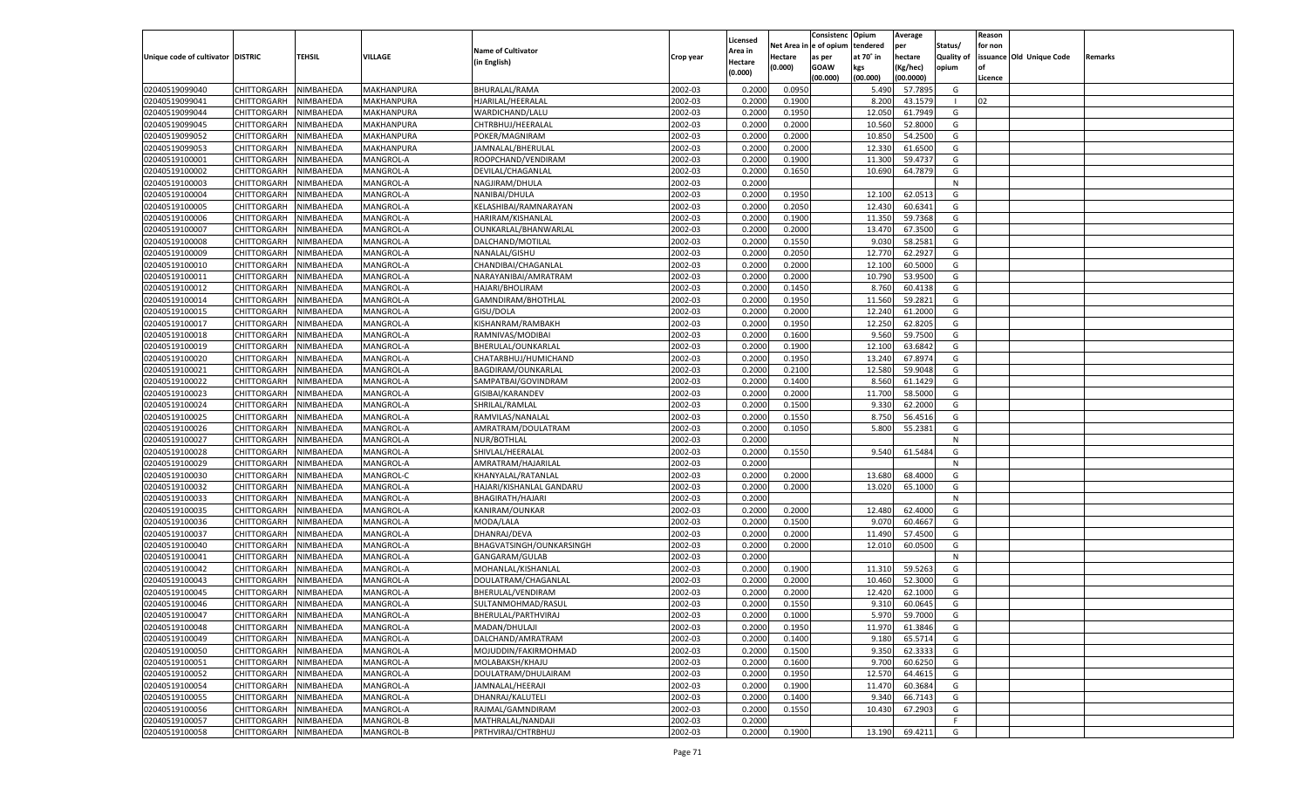|                                   |                       |               |            |                           |           |                           |          | Consistenc  | Opium     | Average   |                   | Reason  |                          |         |
|-----------------------------------|-----------------------|---------------|------------|---------------------------|-----------|---------------------------|----------|-------------|-----------|-----------|-------------------|---------|--------------------------|---------|
|                                   |                       |               |            | <b>Name of Cultivator</b> |           | Licensed                  | Net Area | le of opium | tendered  | per       | Status/           | for non |                          |         |
| Unique code of cultivator DISTRIC |                       | <b>TEHSIL</b> | VILLAGE    | (in English)              | Crop year | <b>Area in</b><br>Hectare | Hectare  | as per      | at 70° in | hectare   | <b>Quality of</b> |         | issuance Old Unique Code | Remarks |
|                                   |                       |               |            |                           |           | (0.000)                   | (0.000)  | <b>GOAW</b> | kgs       | (Kg/hec)  | opium             |         |                          |         |
|                                   |                       |               |            |                           |           |                           |          | (00.000)    | (00.000)  | (00.0000) |                   | Licence |                          |         |
| 02040519099040                    | CHITTORGARH           | NIMBAHEDA     | MAKHANPURA | BHURALAL/RAMA             | 2002-03   | 0.2000                    | 0.0950   |             | 5.490     | 57.7895   | G                 |         |                          |         |
| 02040519099041                    | CHITTORGARH           | NIMBAHEDA     | MAKHANPURA | HJARILAL/HEERALAL         | 2002-03   | 0.2000                    | 0.1900   |             | 8.200     | 43.1579   |                   | 02      |                          |         |
| 02040519099044                    | CHITTORGARH           | NIMBAHEDA     | MAKHANPURA | WARDICHAND/LALU           | 2002-03   | 0.2000                    | 0.1950   |             | 12.050    | 61.7949   | G                 |         |                          |         |
| 02040519099045                    | CHITTORGARH           | NIMBAHEDA     | MAKHANPURA | CHTRBHUJ/HEERALAL         | 2002-03   | 0.2000                    | 0.2000   |             | 10.560    | 52.8000   | G                 |         |                          |         |
| 02040519099052                    | CHITTORGARH           | NIMBAHEDA     | MAKHANPURA | POKER/MAGNIRAM            | 2002-03   | 0.2000                    | 0.2000   |             | 10.850    | 54.2500   | G                 |         |                          |         |
| 02040519099053                    | CHITTORGARH           | NIMBAHEDA     | MAKHANPURA | JAMNALAL/BHERULAL         | 2002-03   | 0.2000                    | 0.2000   |             | 12.330    | 61.6500   | G                 |         |                          |         |
| 02040519100001                    | CHITTORGARH           | NIMBAHEDA     | MANGROL-A  | ROOPCHAND/VENDIRAM        | 2002-03   | 0.2000                    | 0.1900   |             | 11.300    | 59.4737   | G                 |         |                          |         |
| 02040519100002                    | CHITTORGARH           | NIMBAHEDA     | MANGROL-A  | DEVILAL/CHAGANLAL         | 2002-03   | 0.2000                    | 0.1650   |             | 10.690    | 64.7879   | G                 |         |                          |         |
| 02040519100003                    | CHITTORGARH           | NIMBAHEDA     | MANGROL-A  | NAGJIRAM/DHULA            | 2002-03   | 0.2000                    |          |             |           |           | N                 |         |                          |         |
| 02040519100004                    | CHITTORGARH           | NIMBAHEDA     | MANGROL-A  | NANIBAI/DHULA             | 2002-03   | 0.2000                    | 0.1950   |             | 12.100    | 62.051    | G                 |         |                          |         |
| 02040519100005                    | CHITTORGARH           | NIMBAHEDA     | MANGROL-A  | KELASHIBAI/RAMNARAYAN     | 2002-03   | 0.2000                    | 0.2050   |             | 12.430    | 60.6341   | G                 |         |                          |         |
| 02040519100006                    | CHITTORGARH           | NIMBAHEDA     | MANGROL-A  | HARIRAM/KISHANLAI         | 2002-03   | 0.2000                    | 0.1900   |             | 11.350    | 59.7368   | G                 |         |                          |         |
| 02040519100007                    | CHITTORGARH           | NIMBAHEDA     | MANGROL-A  | OUNKARLAL/BHANWARLAL      | 2002-03   | 0.2000                    | 0.2000   |             | 13.470    | 67.3500   | G                 |         |                          |         |
| 02040519100008                    | CHITTORGARH           | NIMBAHEDA     | MANGROL-A  | DALCHAND/MOTILAL          | 2002-03   | 0.2000                    | 0.1550   |             | 9.03      | 58.2581   | G                 |         |                          |         |
| 02040519100009                    | CHITTORGARH           | NIMBAHEDA     | MANGROL-A  | NANALAL/GISHU             | 2002-03   | 0.2000                    | 0.2050   |             | 12.770    | 62.2927   | G                 |         |                          |         |
| 02040519100010                    | CHITTORGARH           | NIMBAHEDA     | MANGROL-A  | CHANDIBAI/CHAGANLAL       | 2002-03   | 0.2000                    | 0.2000   |             | 12.100    | 60.5000   | G                 |         |                          |         |
| 02040519100011                    | CHITTORGARH           | NIMBAHEDA     | MANGROL-A  | NARAYANIBAI/AMRATRAM      | 2002-03   | 0.2000                    | 0.2000   |             | 10.790    | 53.9500   | G                 |         |                          |         |
| 02040519100012                    | CHITTORGARH           | NIMBAHEDA     | MANGROL-A  | HAJARI/BHOLIRAM           | 2002-03   | 0.2000                    | 0.1450   |             | 8.760     | 60.4138   | G                 |         |                          |         |
| 02040519100014                    | CHITTORGARH           | NIMBAHEDA     | MANGROL-A  | GAMNDIRAM/BHOTHLAL        | 2002-03   | 0.2000                    | 0.1950   |             | 11.560    | 59.2821   | G                 |         |                          |         |
| 02040519100015                    | CHITTORGARH           | NIMBAHEDA     | MANGROL-A  | GISU/DOLA                 | 2002-03   | 0.2000                    | 0.2000   |             | 12.240    | 61.2000   | G                 |         |                          |         |
| 02040519100017                    | CHITTORGARH           | NIMBAHEDA     | MANGROL-A  | KISHANRAM/RAMBAKH         | 2002-03   | 0.2000                    | 0.1950   |             | 12.250    | 62.8205   | G                 |         |                          |         |
| 02040519100018                    | CHITTORGARH           | NIMBAHEDA     | MANGROL-A  | RAMNIVAS/MODIBAI          | 2002-03   | 0.2000                    | 0.1600   |             | 9.560     | 59.7500   | G                 |         |                          |         |
| 02040519100019                    | CHITTORGARH           | NIMBAHEDA     | MANGROL-A  | BHERULAL/OUNKARLAL        | 2002-03   | 0.2000                    | 0.1900   |             | 12.100    | 63.6842   | G                 |         |                          |         |
| 02040519100020                    | CHITTORGARH           | NIMBAHEDA     | MANGROL-A  | CHATARBHUJ/HUMICHAND      | 2002-03   | 0.2000                    | 0.1950   |             | 13.240    | 67.8974   | G                 |         |                          |         |
|                                   | CHITTORGARH           |               |            |                           |           |                           |          |             |           | 59.9048   | G                 |         |                          |         |
| 02040519100021                    |                       | NIMBAHEDA     | MANGROL-A  | BAGDIRAM/OUNKARLAL        | 2002-03   | 0.2000                    | 0.2100   |             | 12.580    |           |                   |         |                          |         |
| 02040519100022                    | CHITTORGARH           | NIMBAHEDA     | MANGROL-A  | SAMPATBAI/GOVINDRAM       | 2002-03   | 0.2000                    | 0.1400   |             | 8.560     | 61.1429   | G                 |         |                          |         |
| 02040519100023                    | CHITTORGARH           | NIMBAHEDA     | MANGROL-A  | GISIBAI/KARANDEV          | 2002-03   | 0.2000                    | 0.2000   |             | 11.700    | 58.5000   | G                 |         |                          |         |
| 02040519100024                    | CHITTORGARH           | NIMBAHEDA     | MANGROL-A  | SHRILAL/RAMLAL            | 2002-03   | 0.2000                    | 0.1500   |             | 9.330     | 62.2000   | G                 |         |                          |         |
| 02040519100025                    | CHITTORGARH           | NIMBAHEDA     | MANGROL-A  | RAMVILAS/NANALAL          | 2002-03   | 0.2000                    | 0.1550   |             | 8.750     | 56.4516   | G                 |         |                          |         |
| 02040519100026                    | CHITTORGARH           | NIMBAHEDA     | MANGROL-A  | AMRATRAM/DOULATRAM        | 2002-03   | 0.2000                    | 0.1050   |             | 5.800     | 55.2381   | G                 |         |                          |         |
| 02040519100027                    | CHITTORGARH           | NIMBAHEDA     | MANGROL-A  | NUR/BOTHLAL               | 2002-03   | 0.2000                    |          |             |           |           | N                 |         |                          |         |
| 02040519100028                    | CHITTORGARH           | NIMBAHEDA     | MANGROL-A  | SHIVLAL/HEERALAL          | 2002-03   | 0.2000                    | 0.1550   |             | 9.540     | 61.5484   | G                 |         |                          |         |
| 02040519100029                    | CHITTORGARH           | NIMBAHEDA     | MANGROL-A  | AMRATRAM/HAJARILAL        | 2002-03   | 0.2000                    |          |             |           |           | N                 |         |                          |         |
| 02040519100030                    | CHITTORGARH           | NIMBAHEDA     | MANGROL-C  | KHANYALAL/RATANLAL        | 2002-03   | 0.2000                    | 0.2000   |             | 13.680    | 68.4000   | G                 |         |                          |         |
| 02040519100032                    | CHITTORGARH           | NIMBAHEDA     | MANGROL-A  | HAJARI/KISHANLAL GANDARU  | 2002-03   | 0.2000                    | 0.2000   |             | 13.020    | 65.1000   | G                 |         |                          |         |
| 02040519100033                    | CHITTORGARH           | NIMBAHEDA     | MANGROL-A  | BHAGIRATH/HAJARI          | 2002-03   | 0.2000                    |          |             |           |           | N                 |         |                          |         |
| 02040519100035                    | CHITTORGARH           | NIMBAHEDA     | MANGROL-A  | KANIRAM/OUNKAR            | 2002-03   | 0.2000                    | 0.2000   |             | 12.480    | 62.4000   | G                 |         |                          |         |
| 02040519100036                    | CHITTORGARH           | NIMBAHEDA     | MANGROL-A  | MODA/LALA                 | 2002-03   | 0.2000                    | 0.1500   |             | 9.07      | 60.4667   | G                 |         |                          |         |
| 02040519100037                    | CHITTORGARH           | NIMBAHEDA     | MANGROL-A  | DHANRAJ/DEVA              | 2002-03   | 0.2000                    | 0.2000   |             | 11.490    | 57.4500   | G                 |         |                          |         |
| 02040519100040                    | CHITTORGARH           | NIMBAHEDA     | MANGROL-A  | BHAGVATSINGH/OUNKARSINGH  | 2002-03   | 0.2000                    | 0.2000   |             | 12.010    | 60.0500   | G                 |         |                          |         |
| 02040519100041                    | CHITTORGARH           | NIMBAHEDA     | MANGROL-A  | GANGARAM/GULAB            | 2002-03   | 0.2000                    |          |             |           |           | N                 |         |                          |         |
| 02040519100042                    | CHITTORGARH           | NIMBAHEDA     | MANGROL-A  | MOHANLAL/KISHANLAI        | 2002-03   | 0.2000                    | 0.1900   |             | 11.310    | 59.5263   | G                 |         |                          |         |
| 02040519100043                    | CHITTORGARH           | NIMBAHEDA     | MANGROL-A  | DOULATRAM/CHAGANLAL       | 2002-03   | 0.2000                    | 0.2000   |             | 10.460    | 52.3000   | G                 |         |                          |         |
| 02040519100045                    | CHITTORGARH           | NIMBAHEDA     | MANGROL-A  | BHERULAL/VENDIRAM         | 2002-03   | 0.2000                    | 0.2000   |             | 12.420    | 62.1000   | G                 |         |                          |         |
| 02040519100046                    | CHITTORGARH           | NIMBAHEDA     | MANGROL-A  | SULTANMOHMAD/RASUI        | 2002-03   | 0.2000                    | 0.1550   |             | 9.310     | 60.0645   | G                 |         |                          |         |
| 02040519100047                    | CHITTORGARH NIMBAHEDA |               | MANGROL-A  | BHERULAL/PARTHVIRAJ       | 2002-03   | 0.2000                    | 0.1000   |             | 5.970     | 59.7000   | G                 |         |                          |         |
| 02040519100048                    | <b>CHITTORGARH</b>    | NIMBAHEDA     | MANGROL-A  | MADAN/DHULAJI             | 2002-03   | 0.2000                    | 0.1950   |             | 11.970    | 61.3846   | G                 |         |                          |         |
| 02040519100049                    | CHITTORGARH           | NIMBAHEDA     | MANGROL-A  | DALCHAND/AMRATRAM         | 2002-03   | 0.2000                    | 0.1400   |             | 9.180     | 65.5714   | G                 |         |                          |         |
| 02040519100050                    | <b>CHITTORGARH</b>    | NIMBAHEDA     | MANGROL-A  | MOJUDDIN/FAKIRMOHMAD      | 2002-03   | 0.2000                    | 0.1500   |             | 9.350     | 62.3333   | G                 |         |                          |         |
| 02040519100051                    | <b>CHITTORGARH</b>    | NIMBAHEDA     | MANGROL-A  | MOLABAKSH/KHAJU           | 2002-03   | 0.2000                    | 0.1600   |             | 9.700     | 60.6250   | G                 |         |                          |         |
| 02040519100052                    | <b>CHITTORGARH</b>    | NIMBAHEDA     | MANGROL-A  | DOULATRAM/DHULAIRAM       | 2002-03   | 0.2000                    | 0.1950   |             | 12.570    | 64.4615   | G                 |         |                          |         |
| 02040519100054                    | <b>CHITTORGARH</b>    | NIMBAHEDA     | MANGROL-A  | JAMNALAL/HEERAJI          | 2002-03   | 0.2000                    | 0.1900   |             | 11.470    | 60.3684   | G                 |         |                          |         |
| 02040519100055                    | <b>CHITTORGARH</b>    | NIMBAHEDA     | MANGROL-A  | DHANRAJ/KALUTELI          | 2002-03   | 0.2000                    | 0.1400   |             | 9.340     | 66.7143   | G                 |         |                          |         |
| 02040519100056                    | <b>CHITTORGARH</b>    | NIMBAHEDA     | MANGROL-A  | RAJMAL/GAMNDIRAM          | 2002-03   | 0.2000                    | 0.1550   |             | 10.430    | 67.2903   | G                 |         |                          |         |
| 02040519100057                    | <b>CHITTORGARH</b>    | NIMBAHEDA     | MANGROL-B  | MATHRALAL/NANDAJI         | 2002-03   | 0.2000                    |          |             |           |           | F.                |         |                          |         |
| 02040519100058                    | <b>CHITTORGARH</b>    | NIMBAHEDA     | MANGROL-B  | PRTHVIRAJ/CHTRBHUJ        | 2002-03   | 0.2000                    | 0.1900   |             | 13.190    | 69.4211   | G                 |         |                          |         |
|                                   |                       |               |            |                           |           |                           |          |             |           |           |                   |         |                          |         |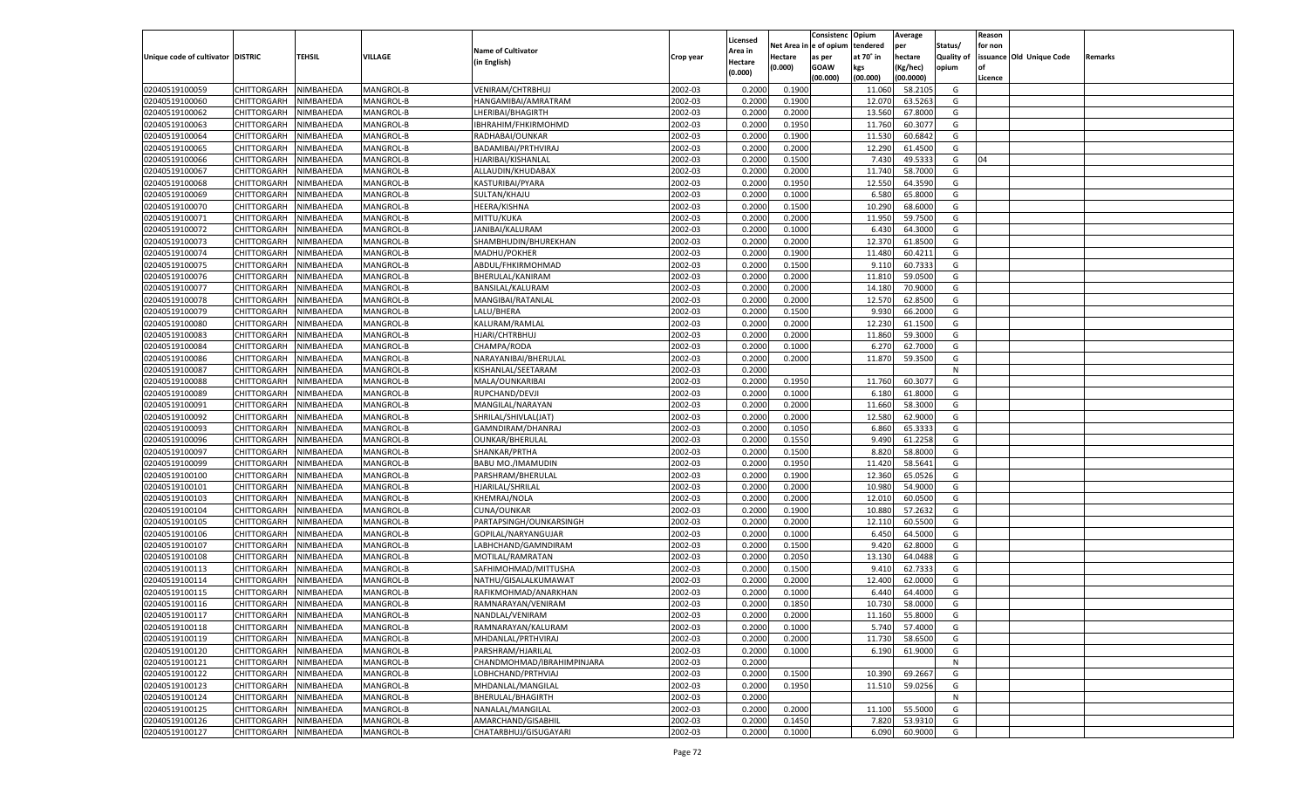| le of opium<br>Net Area<br>tendered<br>Status/<br>for non<br>per<br><b>Name of Cultivator</b><br><b>Area in</b><br><b>TEHSIL</b><br>VILLAGE<br>Unique code of cultivator DISTRIC<br>at 70° in<br>hectare<br><b>Quality of</b><br>issuance Old Unique Code<br>Hectare<br>Crop year<br>as per<br>Remarks<br>(in English)<br>Hectare<br>(0.000)<br><b>GOAW</b><br>(Kg/hec)<br>opium<br>kgs<br>(0.000)<br>(00.000)<br>(00.000)<br>(00.0000)<br>Licence<br>NIMBAHEDA<br>MANGROL-B<br>VENIRAM/CHTRBHUJ<br>2002-03<br>0.2000<br>0.1900<br>58.2105<br>02040519100059<br>CHITTORGARH<br>11.060<br>G<br>02040519100060<br>CHITTORGARH<br>2002-03<br>0.2000<br>0.1900<br>12.070<br>63.5263<br>NIMBAHEDA<br>MANGROL-B<br>HANGAMIBAI/AMRATRAM<br>G<br>02040519100062<br>CHITTORGARH<br>NIMBAHEDA<br>MANGROL-B<br>2002-03<br>0.2000<br>0.2000<br>13.560<br>67.8000<br>G<br>LHERIBAI/BHAGIRTH<br>02040519100063<br>CHITTORGARH<br>2002-03<br>0.1950<br>11.760<br>60.3077<br>G<br>NIMBAHEDA<br>MANGROL-B<br>IBHRAHIM/FHKIRMOHMD<br>0.2000<br>02040519100064<br>NIMBAHEDA<br>MANGROL-B<br>RADHABAI/OUNKAR<br>2002-03<br>0.2000<br>0.1900<br>11.530<br>60.6842<br>G<br>CHITTORGARH<br>02040519100065<br>CHITTORGARH<br>2002-03<br>0.2000<br>12.290<br>61.4500<br>NIMBAHEDA<br>MANGROL-B<br>BADAMIBAI/PRTHVIRAJ<br>0.2000<br>G<br>02040519100066<br>CHITTORGARH<br>NIMBAHEDA<br>MANGROL-B<br>2002-03<br>0.2000<br>0.1500<br>7.430<br>49.533<br>G<br>HJARIBAI/KISHANLAL<br>04<br>02040519100067<br>CHITTORGARH<br>2002-03<br>11.740<br>58.7000<br>G<br>NIMBAHEDA<br>MANGROL-B<br>ALLAUDIN/KHUDABAX<br>0.2000<br>0.2000<br>02040519100068<br>NIMBAHEDA<br>MANGROL-B<br>KASTURIBAI/PYARA<br>2002-03<br>0.2000<br>0.1950<br>12.550<br>64.3590<br>G<br>CHITTORGARH<br>02040519100069<br>CHITTORGARH<br>2002-03<br>0.2000<br>6.580<br>65.8000<br>NIMBAHEDA<br>MANGROL-B<br>SULTAN/KHAJU<br>0.1000<br>G<br>02040519100070<br>CHITTORGARH<br>NIMBAHEDA<br>MANGROL-B<br>2002-03<br>0.2000<br>0.1500<br>10.290<br>68.6000<br>G<br>HEERA/KISHNA<br>02040519100071<br>CHITTORGARH<br>2002-03<br>11.950<br>59.7500<br>G<br>NIMBAHEDA<br>MANGROL-B<br>MITTU/KUKA<br>0.2000<br>0.2000<br>02040519100072<br>CHITTORGARH<br>NIMBAHEDA<br>MANGROL-B<br>JANIBAI/KALURAM<br>2002-03<br>0.2000<br>0.1000<br>64.3000<br>G<br>6.430<br>02040519100073<br>CHITTORGARH<br>2002-03<br>0.2000<br>12.370<br>61.8500<br>NIMBAHEDA<br>MANGROL-B<br>SHAMBHUDIN/BHUREKHAN<br>0.2000<br>G<br>02040519100074<br>CHITTORGARH<br>MANGROL-B<br>MADHU/POKHER<br>2002-03<br>0.2000<br>0.1900<br>60.4211<br>NIMBAHEDA<br>11.480<br>G<br>02040519100075<br>CHITTORGARH<br>2002-03<br>9.11(<br>60.7333<br>G<br>NIMBAHEDA<br>MANGROL-B<br>ABDUL/FHKIRMOHMAD<br>0.2000<br>0.1500<br>02040519100076<br>CHITTORGARH<br>NIMBAHEDA<br>MANGROL-B<br>BHERULAL/KANIRAM<br>2002-03<br>0.2000<br>0.2000<br>11.81<br>59.0500<br>G<br>02040519100077<br>BANSILAL/KALURAM<br>2002-03<br>14.180<br>70.9000<br>CHITTORGARH<br>NIMBAHEDA<br>MANGROL-B<br>0.2000<br>0.2000<br>G<br>02040519100078<br>CHITTORGARH<br>NIMBAHEDA<br>MANGROL-B<br>2002-03<br>0.2000<br>0.2000<br>12.570<br>62.8500<br>MANGIBAI/RATANLAL<br>G<br>02040519100079<br>CHITTORGARH<br>LALU/BHERA<br>2002-03<br>0.1500<br>9.93<br>66.2000<br>NIMBAHEDA<br>MANGROL-B<br>0.2000<br>G<br>02040519100080<br>CHITTORGARH<br>NIMBAHEDA<br>MANGROL-B<br>KALURAM/RAMLAL<br>2002-03<br>0.2000<br>0.2000<br>12.230<br>61.1500<br>G<br>02040519100083<br>CHITTORGARH<br>HJARI/CHTRBHUJ<br>2002-03<br>11.860<br>59.3000<br>NIMBAHEDA<br>MANGROL-B<br>0.2000<br>0.2000<br>G<br>02040519100084<br>CHITTORGARH<br>NIMBAHEDA<br>MANGROL-B<br>CHAMPA/RODA<br>2002-03<br>0.2000<br>0.1000<br>62.7000<br>6.270<br>G<br>02040519100086<br>CHITTORGARH<br>2002-03<br>0.2000<br>11.870<br>59.3500<br>NIMBAHEDA<br>MANGROL-B<br>NARAYANIBAI/BHERULAL<br>0.2000<br>G<br>02040519100087<br>CHITTORGARH<br>NIMBAHEDA<br>MANGROL-B<br>KISHANLAL/SEETARAM<br>2002-03<br>0.2000<br>N<br>02040519100088<br>2002-03<br>0.1950<br>11.760<br>60.3077<br>CHITTORGARH<br>NIMBAHEDA<br>MANGROL-B<br>MALA/OUNKARIBAI<br>0.2000<br>G<br>02040519100089<br>CHITTORGARH<br>NIMBAHEDA<br>MANGROL-B<br>RUPCHAND/DEVJI<br>2002-03<br>0.2000<br>0.1000<br>61.8000<br>6.180<br>G<br>02040519100091<br>CHITTORGARH<br>2002-03<br>11.660<br>58.3000<br>NIMBAHEDA<br>MANGROL-B<br>MANGILAL/NARAYAN<br>0.2000<br>0.2000<br>G<br>02040519100092<br>CHITTORGARH<br>NIMBAHEDA<br>MANGROL-B<br>SHRILAL/SHIVLAL(JAT)<br>2002-03<br>0.2000<br>0.2000<br>12.580<br>62.9000<br>G<br>02040519100093<br>2002-03<br>6.860<br>CHITTORGARH<br>NIMBAHEDA<br>MANGROL-B<br>GAMNDIRAM/DHANRAJ<br>0.2000<br>0.1050<br>65.3333<br>G<br>02040519100096<br>NIMBAHEDA<br>MANGROL-B<br>2002-03<br>0.2000<br>0.1550<br>9.49<br>61.2258<br>CHITTORGARH<br><b>OUNKAR/BHERULAL</b><br>G<br>02040519100097<br>MANGROL-B<br>2002-03<br>8.820<br>58.8000<br>CHITTORGARH<br>NIMBAHEDA<br>SHANKAR/PRTHA<br>0.2000<br>0.1500<br>G<br>02040519100099<br>NIMBAHEDA<br>MANGROL-B<br>BABU MO./IMAMUDIN<br>2002-03<br>0.2000<br>0.1950<br>11.420<br>58.5641<br>CHITTORGARH<br>G<br>02040519100100<br>2002-03<br>0.2000<br>12.360<br>CHITTORGARH<br>NIMBAHEDA<br>MANGROL-B<br>PARSHRAM/BHERULAL<br>0.1900<br>65.0526<br>G<br>02040519100101<br>NIMBAHEDA<br>MANGROL-B<br>HJARILAL/SHRILAL<br>2002-03<br>0.2000<br>0.2000<br>10.98<br>54.9000<br><b>CHITTORGARH</b><br>G<br>02040519100103<br>KHEMRAJ/NOLA<br>2002-03<br>12.010<br>60.0500<br>CHITTORGARH<br>NIMBAHEDA<br>MANGROL-B<br>0.2000<br>0.2000<br>G<br>02040519100104<br>NIMBAHEDA<br>MANGROL-B<br>CUNA/OUNKAR<br>2002-03<br>0.2000<br>0.1900<br>10.880<br>57.263<br><b>CHITTORGARH</b><br>G<br>02040519100105<br>2002-03<br>12.11<br>60.5500<br>CHITTORGARH<br>NIMBAHEDA<br>MANGROL-B<br>PARTAPSINGH/OUNKARSINGH<br>0.2000<br>0.2000<br>G<br>02040519100106<br>NIMBAHEDA<br>MANGROL-B<br>2002-03<br>0.2000<br>0.1000<br>64.5000<br><b>CHITTORGARH</b><br>GOPILAL/NARYANGUJAR<br>6.45<br>G<br>02040519100107<br>2002-03<br>9.42(<br>62.8000<br>CHITTORGARH<br>NIMBAHEDA<br>MANGROL-B<br>LABHCHAND/GAMNDIRAM<br>0.2000<br>0.1500<br>G<br>02040519100108<br>NIMBAHEDA<br>MANGROL-B<br>2002-03<br>0.2000<br>0.2050<br>13.130<br>64.0488<br><b>CHITTORGARH</b><br>MOTILAL/RAMRATAN<br>G<br>02040519100113<br>2002-03<br>9.41<br>62.733<br>CHITTORGARH<br>NIMBAHEDA<br>MANGROL-B<br>SAFHIMOHMAD/MITTUSHA<br>0.2000<br>0.1500<br>G<br>02040519100114<br>2002-03<br>0.2000<br>CHITTORGARH<br>NIMBAHEDA<br>MANGROL-B<br>NATHU/GISALALKUMAWAT<br>0.2000<br>12.400<br>62.0000<br>G<br>02040519100115<br>2002-03<br>64.4000<br>CHITTORGARH<br>NIMBAHEDA<br>MANGROL-B<br>RAFIKMOHMAD/ANARKHAN<br>0.2000<br>0.1000<br>6.44<br>G<br>02040519100116<br>NIMBAHEDA<br>2002-03<br>0.2000<br>0.1850<br>10.730<br>58.0000<br>CHITTORGARH<br>MANGROL-B<br>RAMNARAYAN/VENIRAM<br>G<br>02040519100117<br>CHITTORGARH NIMBAHEDA<br>MANGROL-B<br>NANDLAL/VENIRAM<br>2002-03<br>0.2000<br>0.2000<br>11.160<br>55.8000<br>G<br>02040519100118<br>RAMNARAYAN/KALURAM<br>2002-03<br>0.2000<br>0.1000<br><b>CHITTORGARH</b><br>NIMBAHEDA<br>MANGROL-B<br>5.740<br>57.4000<br>G<br>02040519100119<br>NIMBAHEDA<br>MANGROL-B<br>MHDANLAL/PRTHVIRAJ<br>2002-03<br>0.2000<br>11.730<br>58.6500<br><b>CHITTORGARH</b><br>0.2000<br>G<br>2002-03<br>02040519100120<br><b>CHITTORGARH</b><br>NIMBAHEDA<br>MANGROL-B<br>PARSHRAM/HJARILAL<br>0.2000<br>0.1000<br>61.9000<br>6.190<br>G<br>02040519100121<br>NIMBAHEDA<br>MANGROL-B<br>CHANDMOHMAD/IBRAHIMPINJARA<br>2002-03<br><b>CHITTORGARH</b><br>0.2000<br>N<br>02040519100122<br>NIMBAHEDA<br>MANGROL-B<br>LOBHCHAND/PRTHVIAJ<br>2002-03<br>0.2000<br>0.1500<br>69.2667<br>G<br><b>CHITTORGARH</b><br>10.390<br>02040519100123<br>MHDANLAL/MANGILAL<br>2002-03<br>0.1950<br>11.510<br>59.0256<br><b>CHITTORGARH</b><br>NIMBAHEDA<br>MANGROL-B<br>0.2000<br>G<br>2002-03<br>02040519100124<br><b>CHITTORGARH</b><br>NIMBAHEDA<br>MANGROL-B<br>BHERULAL/BHAGIRTH<br>0.2000<br>N<br>02040519100125<br>NANALAL/MANGILAL<br>2002-03<br>0.2000<br>55.5000<br><b>CHITTORGARH</b><br>NIMBAHEDA<br>MANGROL-B<br>0.2000<br>11.100<br>G<br>02040519100126<br>NIMBAHEDA<br>MANGROL-B<br>AMARCHAND/GISABHIL<br>2002-03<br>0.1450<br>53.9310<br>G<br><b>CHITTORGARH</b><br>0.2000<br>7.820<br>02040519100127<br>CHATARBHUJ/GISUGAYARI<br>2002-03<br>6.090<br>60.9000<br><b>CHITTORGARH</b><br>NIMBAHEDA<br>MANGROL-B<br>0.2000<br>0.1000<br>G |  |  |  |          | Consistenc | Opium | Average | Reason |  |
|-------------------------------------------------------------------------------------------------------------------------------------------------------------------------------------------------------------------------------------------------------------------------------------------------------------------------------------------------------------------------------------------------------------------------------------------------------------------------------------------------------------------------------------------------------------------------------------------------------------------------------------------------------------------------------------------------------------------------------------------------------------------------------------------------------------------------------------------------------------------------------------------------------------------------------------------------------------------------------------------------------------------------------------------------------------------------------------------------------------------------------------------------------------------------------------------------------------------------------------------------------------------------------------------------------------------------------------------------------------------------------------------------------------------------------------------------------------------------------------------------------------------------------------------------------------------------------------------------------------------------------------------------------------------------------------------------------------------------------------------------------------------------------------------------------------------------------------------------------------------------------------------------------------------------------------------------------------------------------------------------------------------------------------------------------------------------------------------------------------------------------------------------------------------------------------------------------------------------------------------------------------------------------------------------------------------------------------------------------------------------------------------------------------------------------------------------------------------------------------------------------------------------------------------------------------------------------------------------------------------------------------------------------------------------------------------------------------------------------------------------------------------------------------------------------------------------------------------------------------------------------------------------------------------------------------------------------------------------------------------------------------------------------------------------------------------------------------------------------------------------------------------------------------------------------------------------------------------------------------------------------------------------------------------------------------------------------------------------------------------------------------------------------------------------------------------------------------------------------------------------------------------------------------------------------------------------------------------------------------------------------------------------------------------------------------------------------------------------------------------------------------------------------------------------------------------------------------------------------------------------------------------------------------------------------------------------------------------------------------------------------------------------------------------------------------------------------------------------------------------------------------------------------------------------------------------------------------------------------------------------------------------------------------------------------------------------------------------------------------------------------------------------------------------------------------------------------------------------------------------------------------------------------------------------------------------------------------------------------------------------------------------------------------------------------------------------------------------------------------------------------------------------------------------------------------------------------------------------------------------------------------------------------------------------------------------------------------------------------------------------------------------------------------------------------------------------------------------------------------------------------------------------------------------------------------------------------------------------------------------------------------------------------------------------------------------------------------------------------------------------------------------------------------------------------------------------------------------------------------------------------------------------------------------------------------------------------------------------------------------------------------------------------------------------------------------------------------------------------------------------------------------------------------------------------------------------------------------------------------------------------------------------------------------------------------------------------------------------------------------------------------------------------------------------------------------------------------------------------------------------------------------------------------------------------------------------------------------------------------------------------------------------------------------------------------------------------------------------------------------------------------------------------------------------------------------------------------------------------------------------------------------------------------------------------------------------------------------------------------------------------------------------------------------------------------------------------------------------------------------------------------------------------------------------------------------------------------------------------------------------------------------------------------------------------------------------------------------------------------------------------------------------------------------------------------------------------------------------------------------------------------------------------------------------------------------------------------------------------------------------------------------------------------------------------------------------------------------------------------------------------------------------------------------------------------------------------------------------------------------------------------------------------------------------------------------------------------------------------------------------------------------------------------------------------------------------------------------------------------------------------------------------------------------------------------------------------------------------------------------------------------------------------------------------------------------------------------------------------------------------------------------------------------------------------------------------------------------------------------------------------------------------------------------------------------------------------------------------------------------------------------------------------------------------------------------------------------------------------------------------------------------------------|--|--|--|----------|------------|-------|---------|--------|--|
|                                                                                                                                                                                                                                                                                                                                                                                                                                                                                                                                                                                                                                                                                                                                                                                                                                                                                                                                                                                                                                                                                                                                                                                                                                                                                                                                                                                                                                                                                                                                                                                                                                                                                                                                                                                                                                                                                                                                                                                                                                                                                                                                                                                                                                                                                                                                                                                                                                                                                                                                                                                                                                                                                                                                                                                                                                                                                                                                                                                                                                                                                                                                                                                                                                                                                                                                                                                                                                                                                                                                                                                                                                                                                                                                                                                                                                                                                                                                                                                                                                                                                                                                                                                                                                                                                                                                                                                                                                                                                                                                                                                                                                                                                                                                                                                                                                                                                                                                                                                                                                                                                                                                                                                                                                                                                                                                                                                                                                                                                                                                                                                                                                                                                                                                                                                                                                                                                                                                                                                                                                                                                                                                                                                                                                                                                                                                                                                                                                                                                                                                                                                                                                                                                                                                                                                                                                                                                                                                                                                                                                                                                                                                                                                                                                                                                                                                                                                                                                                                                                                                                                                                                                                                                                                                                                                                                                                                                                                                                                                                                                                                                                                                                                                                                                                                                                                                                                                                       |  |  |  | Licensed |            |       |         |        |  |
|                                                                                                                                                                                                                                                                                                                                                                                                                                                                                                                                                                                                                                                                                                                                                                                                                                                                                                                                                                                                                                                                                                                                                                                                                                                                                                                                                                                                                                                                                                                                                                                                                                                                                                                                                                                                                                                                                                                                                                                                                                                                                                                                                                                                                                                                                                                                                                                                                                                                                                                                                                                                                                                                                                                                                                                                                                                                                                                                                                                                                                                                                                                                                                                                                                                                                                                                                                                                                                                                                                                                                                                                                                                                                                                                                                                                                                                                                                                                                                                                                                                                                                                                                                                                                                                                                                                                                                                                                                                                                                                                                                                                                                                                                                                                                                                                                                                                                                                                                                                                                                                                                                                                                                                                                                                                                                                                                                                                                                                                                                                                                                                                                                                                                                                                                                                                                                                                                                                                                                                                                                                                                                                                                                                                                                                                                                                                                                                                                                                                                                                                                                                                                                                                                                                                                                                                                                                                                                                                                                                                                                                                                                                                                                                                                                                                                                                                                                                                                                                                                                                                                                                                                                                                                                                                                                                                                                                                                                                                                                                                                                                                                                                                                                                                                                                                                                                                                                                                       |  |  |  |          |            |       |         |        |  |
|                                                                                                                                                                                                                                                                                                                                                                                                                                                                                                                                                                                                                                                                                                                                                                                                                                                                                                                                                                                                                                                                                                                                                                                                                                                                                                                                                                                                                                                                                                                                                                                                                                                                                                                                                                                                                                                                                                                                                                                                                                                                                                                                                                                                                                                                                                                                                                                                                                                                                                                                                                                                                                                                                                                                                                                                                                                                                                                                                                                                                                                                                                                                                                                                                                                                                                                                                                                                                                                                                                                                                                                                                                                                                                                                                                                                                                                                                                                                                                                                                                                                                                                                                                                                                                                                                                                                                                                                                                                                                                                                                                                                                                                                                                                                                                                                                                                                                                                                                                                                                                                                                                                                                                                                                                                                                                                                                                                                                                                                                                                                                                                                                                                                                                                                                                                                                                                                                                                                                                                                                                                                                                                                                                                                                                                                                                                                                                                                                                                                                                                                                                                                                                                                                                                                                                                                                                                                                                                                                                                                                                                                                                                                                                                                                                                                                                                                                                                                                                                                                                                                                                                                                                                                                                                                                                                                                                                                                                                                                                                                                                                                                                                                                                                                                                                                                                                                                                                                       |  |  |  |          |            |       |         |        |  |
|                                                                                                                                                                                                                                                                                                                                                                                                                                                                                                                                                                                                                                                                                                                                                                                                                                                                                                                                                                                                                                                                                                                                                                                                                                                                                                                                                                                                                                                                                                                                                                                                                                                                                                                                                                                                                                                                                                                                                                                                                                                                                                                                                                                                                                                                                                                                                                                                                                                                                                                                                                                                                                                                                                                                                                                                                                                                                                                                                                                                                                                                                                                                                                                                                                                                                                                                                                                                                                                                                                                                                                                                                                                                                                                                                                                                                                                                                                                                                                                                                                                                                                                                                                                                                                                                                                                                                                                                                                                                                                                                                                                                                                                                                                                                                                                                                                                                                                                                                                                                                                                                                                                                                                                                                                                                                                                                                                                                                                                                                                                                                                                                                                                                                                                                                                                                                                                                                                                                                                                                                                                                                                                                                                                                                                                                                                                                                                                                                                                                                                                                                                                                                                                                                                                                                                                                                                                                                                                                                                                                                                                                                                                                                                                                                                                                                                                                                                                                                                                                                                                                                                                                                                                                                                                                                                                                                                                                                                                                                                                                                                                                                                                                                                                                                                                                                                                                                                                                       |  |  |  |          |            |       |         |        |  |
|                                                                                                                                                                                                                                                                                                                                                                                                                                                                                                                                                                                                                                                                                                                                                                                                                                                                                                                                                                                                                                                                                                                                                                                                                                                                                                                                                                                                                                                                                                                                                                                                                                                                                                                                                                                                                                                                                                                                                                                                                                                                                                                                                                                                                                                                                                                                                                                                                                                                                                                                                                                                                                                                                                                                                                                                                                                                                                                                                                                                                                                                                                                                                                                                                                                                                                                                                                                                                                                                                                                                                                                                                                                                                                                                                                                                                                                                                                                                                                                                                                                                                                                                                                                                                                                                                                                                                                                                                                                                                                                                                                                                                                                                                                                                                                                                                                                                                                                                                                                                                                                                                                                                                                                                                                                                                                                                                                                                                                                                                                                                                                                                                                                                                                                                                                                                                                                                                                                                                                                                                                                                                                                                                                                                                                                                                                                                                                                                                                                                                                                                                                                                                                                                                                                                                                                                                                                                                                                                                                                                                                                                                                                                                                                                                                                                                                                                                                                                                                                                                                                                                                                                                                                                                                                                                                                                                                                                                                                                                                                                                                                                                                                                                                                                                                                                                                                                                                                                       |  |  |  |          |            |       |         |        |  |
|                                                                                                                                                                                                                                                                                                                                                                                                                                                                                                                                                                                                                                                                                                                                                                                                                                                                                                                                                                                                                                                                                                                                                                                                                                                                                                                                                                                                                                                                                                                                                                                                                                                                                                                                                                                                                                                                                                                                                                                                                                                                                                                                                                                                                                                                                                                                                                                                                                                                                                                                                                                                                                                                                                                                                                                                                                                                                                                                                                                                                                                                                                                                                                                                                                                                                                                                                                                                                                                                                                                                                                                                                                                                                                                                                                                                                                                                                                                                                                                                                                                                                                                                                                                                                                                                                                                                                                                                                                                                                                                                                                                                                                                                                                                                                                                                                                                                                                                                                                                                                                                                                                                                                                                                                                                                                                                                                                                                                                                                                                                                                                                                                                                                                                                                                                                                                                                                                                                                                                                                                                                                                                                                                                                                                                                                                                                                                                                                                                                                                                                                                                                                                                                                                                                                                                                                                                                                                                                                                                                                                                                                                                                                                                                                                                                                                                                                                                                                                                                                                                                                                                                                                                                                                                                                                                                                                                                                                                                                                                                                                                                                                                                                                                                                                                                                                                                                                                                                       |  |  |  |          |            |       |         |        |  |
|                                                                                                                                                                                                                                                                                                                                                                                                                                                                                                                                                                                                                                                                                                                                                                                                                                                                                                                                                                                                                                                                                                                                                                                                                                                                                                                                                                                                                                                                                                                                                                                                                                                                                                                                                                                                                                                                                                                                                                                                                                                                                                                                                                                                                                                                                                                                                                                                                                                                                                                                                                                                                                                                                                                                                                                                                                                                                                                                                                                                                                                                                                                                                                                                                                                                                                                                                                                                                                                                                                                                                                                                                                                                                                                                                                                                                                                                                                                                                                                                                                                                                                                                                                                                                                                                                                                                                                                                                                                                                                                                                                                                                                                                                                                                                                                                                                                                                                                                                                                                                                                                                                                                                                                                                                                                                                                                                                                                                                                                                                                                                                                                                                                                                                                                                                                                                                                                                                                                                                                                                                                                                                                                                                                                                                                                                                                                                                                                                                                                                                                                                                                                                                                                                                                                                                                                                                                                                                                                                                                                                                                                                                                                                                                                                                                                                                                                                                                                                                                                                                                                                                                                                                                                                                                                                                                                                                                                                                                                                                                                                                                                                                                                                                                                                                                                                                                                                                                                       |  |  |  |          |            |       |         |        |  |
|                                                                                                                                                                                                                                                                                                                                                                                                                                                                                                                                                                                                                                                                                                                                                                                                                                                                                                                                                                                                                                                                                                                                                                                                                                                                                                                                                                                                                                                                                                                                                                                                                                                                                                                                                                                                                                                                                                                                                                                                                                                                                                                                                                                                                                                                                                                                                                                                                                                                                                                                                                                                                                                                                                                                                                                                                                                                                                                                                                                                                                                                                                                                                                                                                                                                                                                                                                                                                                                                                                                                                                                                                                                                                                                                                                                                                                                                                                                                                                                                                                                                                                                                                                                                                                                                                                                                                                                                                                                                                                                                                                                                                                                                                                                                                                                                                                                                                                                                                                                                                                                                                                                                                                                                                                                                                                                                                                                                                                                                                                                                                                                                                                                                                                                                                                                                                                                                                                                                                                                                                                                                                                                                                                                                                                                                                                                                                                                                                                                                                                                                                                                                                                                                                                                                                                                                                                                                                                                                                                                                                                                                                                                                                                                                                                                                                                                                                                                                                                                                                                                                                                                                                                                                                                                                                                                                                                                                                                                                                                                                                                                                                                                                                                                                                                                                                                                                                                                                       |  |  |  |          |            |       |         |        |  |
|                                                                                                                                                                                                                                                                                                                                                                                                                                                                                                                                                                                                                                                                                                                                                                                                                                                                                                                                                                                                                                                                                                                                                                                                                                                                                                                                                                                                                                                                                                                                                                                                                                                                                                                                                                                                                                                                                                                                                                                                                                                                                                                                                                                                                                                                                                                                                                                                                                                                                                                                                                                                                                                                                                                                                                                                                                                                                                                                                                                                                                                                                                                                                                                                                                                                                                                                                                                                                                                                                                                                                                                                                                                                                                                                                                                                                                                                                                                                                                                                                                                                                                                                                                                                                                                                                                                                                                                                                                                                                                                                                                                                                                                                                                                                                                                                                                                                                                                                                                                                                                                                                                                                                                                                                                                                                                                                                                                                                                                                                                                                                                                                                                                                                                                                                                                                                                                                                                                                                                                                                                                                                                                                                                                                                                                                                                                                                                                                                                                                                                                                                                                                                                                                                                                                                                                                                                                                                                                                                                                                                                                                                                                                                                                                                                                                                                                                                                                                                                                                                                                                                                                                                                                                                                                                                                                                                                                                                                                                                                                                                                                                                                                                                                                                                                                                                                                                                                                                       |  |  |  |          |            |       |         |        |  |
|                                                                                                                                                                                                                                                                                                                                                                                                                                                                                                                                                                                                                                                                                                                                                                                                                                                                                                                                                                                                                                                                                                                                                                                                                                                                                                                                                                                                                                                                                                                                                                                                                                                                                                                                                                                                                                                                                                                                                                                                                                                                                                                                                                                                                                                                                                                                                                                                                                                                                                                                                                                                                                                                                                                                                                                                                                                                                                                                                                                                                                                                                                                                                                                                                                                                                                                                                                                                                                                                                                                                                                                                                                                                                                                                                                                                                                                                                                                                                                                                                                                                                                                                                                                                                                                                                                                                                                                                                                                                                                                                                                                                                                                                                                                                                                                                                                                                                                                                                                                                                                                                                                                                                                                                                                                                                                                                                                                                                                                                                                                                                                                                                                                                                                                                                                                                                                                                                                                                                                                                                                                                                                                                                                                                                                                                                                                                                                                                                                                                                                                                                                                                                                                                                                                                                                                                                                                                                                                                                                                                                                                                                                                                                                                                                                                                                                                                                                                                                                                                                                                                                                                                                                                                                                                                                                                                                                                                                                                                                                                                                                                                                                                                                                                                                                                                                                                                                                                                       |  |  |  |          |            |       |         |        |  |
|                                                                                                                                                                                                                                                                                                                                                                                                                                                                                                                                                                                                                                                                                                                                                                                                                                                                                                                                                                                                                                                                                                                                                                                                                                                                                                                                                                                                                                                                                                                                                                                                                                                                                                                                                                                                                                                                                                                                                                                                                                                                                                                                                                                                                                                                                                                                                                                                                                                                                                                                                                                                                                                                                                                                                                                                                                                                                                                                                                                                                                                                                                                                                                                                                                                                                                                                                                                                                                                                                                                                                                                                                                                                                                                                                                                                                                                                                                                                                                                                                                                                                                                                                                                                                                                                                                                                                                                                                                                                                                                                                                                                                                                                                                                                                                                                                                                                                                                                                                                                                                                                                                                                                                                                                                                                                                                                                                                                                                                                                                                                                                                                                                                                                                                                                                                                                                                                                                                                                                                                                                                                                                                                                                                                                                                                                                                                                                                                                                                                                                                                                                                                                                                                                                                                                                                                                                                                                                                                                                                                                                                                                                                                                                                                                                                                                                                                                                                                                                                                                                                                                                                                                                                                                                                                                                                                                                                                                                                                                                                                                                                                                                                                                                                                                                                                                                                                                                                                       |  |  |  |          |            |       |         |        |  |
|                                                                                                                                                                                                                                                                                                                                                                                                                                                                                                                                                                                                                                                                                                                                                                                                                                                                                                                                                                                                                                                                                                                                                                                                                                                                                                                                                                                                                                                                                                                                                                                                                                                                                                                                                                                                                                                                                                                                                                                                                                                                                                                                                                                                                                                                                                                                                                                                                                                                                                                                                                                                                                                                                                                                                                                                                                                                                                                                                                                                                                                                                                                                                                                                                                                                                                                                                                                                                                                                                                                                                                                                                                                                                                                                                                                                                                                                                                                                                                                                                                                                                                                                                                                                                                                                                                                                                                                                                                                                                                                                                                                                                                                                                                                                                                                                                                                                                                                                                                                                                                                                                                                                                                                                                                                                                                                                                                                                                                                                                                                                                                                                                                                                                                                                                                                                                                                                                                                                                                                                                                                                                                                                                                                                                                                                                                                                                                                                                                                                                                                                                                                                                                                                                                                                                                                                                                                                                                                                                                                                                                                                                                                                                                                                                                                                                                                                                                                                                                                                                                                                                                                                                                                                                                                                                                                                                                                                                                                                                                                                                                                                                                                                                                                                                                                                                                                                                                                                       |  |  |  |          |            |       |         |        |  |
|                                                                                                                                                                                                                                                                                                                                                                                                                                                                                                                                                                                                                                                                                                                                                                                                                                                                                                                                                                                                                                                                                                                                                                                                                                                                                                                                                                                                                                                                                                                                                                                                                                                                                                                                                                                                                                                                                                                                                                                                                                                                                                                                                                                                                                                                                                                                                                                                                                                                                                                                                                                                                                                                                                                                                                                                                                                                                                                                                                                                                                                                                                                                                                                                                                                                                                                                                                                                                                                                                                                                                                                                                                                                                                                                                                                                                                                                                                                                                                                                                                                                                                                                                                                                                                                                                                                                                                                                                                                                                                                                                                                                                                                                                                                                                                                                                                                                                                                                                                                                                                                                                                                                                                                                                                                                                                                                                                                                                                                                                                                                                                                                                                                                                                                                                                                                                                                                                                                                                                                                                                                                                                                                                                                                                                                                                                                                                                                                                                                                                                                                                                                                                                                                                                                                                                                                                                                                                                                                                                                                                                                                                                                                                                                                                                                                                                                                                                                                                                                                                                                                                                                                                                                                                                                                                                                                                                                                                                                                                                                                                                                                                                                                                                                                                                                                                                                                                                                                       |  |  |  |          |            |       |         |        |  |
|                                                                                                                                                                                                                                                                                                                                                                                                                                                                                                                                                                                                                                                                                                                                                                                                                                                                                                                                                                                                                                                                                                                                                                                                                                                                                                                                                                                                                                                                                                                                                                                                                                                                                                                                                                                                                                                                                                                                                                                                                                                                                                                                                                                                                                                                                                                                                                                                                                                                                                                                                                                                                                                                                                                                                                                                                                                                                                                                                                                                                                                                                                                                                                                                                                                                                                                                                                                                                                                                                                                                                                                                                                                                                                                                                                                                                                                                                                                                                                                                                                                                                                                                                                                                                                                                                                                                                                                                                                                                                                                                                                                                                                                                                                                                                                                                                                                                                                                                                                                                                                                                                                                                                                                                                                                                                                                                                                                                                                                                                                                                                                                                                                                                                                                                                                                                                                                                                                                                                                                                                                                                                                                                                                                                                                                                                                                                                                                                                                                                                                                                                                                                                                                                                                                                                                                                                                                                                                                                                                                                                                                                                                                                                                                                                                                                                                                                                                                                                                                                                                                                                                                                                                                                                                                                                                                                                                                                                                                                                                                                                                                                                                                                                                                                                                                                                                                                                                                                       |  |  |  |          |            |       |         |        |  |
|                                                                                                                                                                                                                                                                                                                                                                                                                                                                                                                                                                                                                                                                                                                                                                                                                                                                                                                                                                                                                                                                                                                                                                                                                                                                                                                                                                                                                                                                                                                                                                                                                                                                                                                                                                                                                                                                                                                                                                                                                                                                                                                                                                                                                                                                                                                                                                                                                                                                                                                                                                                                                                                                                                                                                                                                                                                                                                                                                                                                                                                                                                                                                                                                                                                                                                                                                                                                                                                                                                                                                                                                                                                                                                                                                                                                                                                                                                                                                                                                                                                                                                                                                                                                                                                                                                                                                                                                                                                                                                                                                                                                                                                                                                                                                                                                                                                                                                                                                                                                                                                                                                                                                                                                                                                                                                                                                                                                                                                                                                                                                                                                                                                                                                                                                                                                                                                                                                                                                                                                                                                                                                                                                                                                                                                                                                                                                                                                                                                                                                                                                                                                                                                                                                                                                                                                                                                                                                                                                                                                                                                                                                                                                                                                                                                                                                                                                                                                                                                                                                                                                                                                                                                                                                                                                                                                                                                                                                                                                                                                                                                                                                                                                                                                                                                                                                                                                                                                       |  |  |  |          |            |       |         |        |  |
|                                                                                                                                                                                                                                                                                                                                                                                                                                                                                                                                                                                                                                                                                                                                                                                                                                                                                                                                                                                                                                                                                                                                                                                                                                                                                                                                                                                                                                                                                                                                                                                                                                                                                                                                                                                                                                                                                                                                                                                                                                                                                                                                                                                                                                                                                                                                                                                                                                                                                                                                                                                                                                                                                                                                                                                                                                                                                                                                                                                                                                                                                                                                                                                                                                                                                                                                                                                                                                                                                                                                                                                                                                                                                                                                                                                                                                                                                                                                                                                                                                                                                                                                                                                                                                                                                                                                                                                                                                                                                                                                                                                                                                                                                                                                                                                                                                                                                                                                                                                                                                                                                                                                                                                                                                                                                                                                                                                                                                                                                                                                                                                                                                                                                                                                                                                                                                                                                                                                                                                                                                                                                                                                                                                                                                                                                                                                                                                                                                                                                                                                                                                                                                                                                                                                                                                                                                                                                                                                                                                                                                                                                                                                                                                                                                                                                                                                                                                                                                                                                                                                                                                                                                                                                                                                                                                                                                                                                                                                                                                                                                                                                                                                                                                                                                                                                                                                                                                                       |  |  |  |          |            |       |         |        |  |
|                                                                                                                                                                                                                                                                                                                                                                                                                                                                                                                                                                                                                                                                                                                                                                                                                                                                                                                                                                                                                                                                                                                                                                                                                                                                                                                                                                                                                                                                                                                                                                                                                                                                                                                                                                                                                                                                                                                                                                                                                                                                                                                                                                                                                                                                                                                                                                                                                                                                                                                                                                                                                                                                                                                                                                                                                                                                                                                                                                                                                                                                                                                                                                                                                                                                                                                                                                                                                                                                                                                                                                                                                                                                                                                                                                                                                                                                                                                                                                                                                                                                                                                                                                                                                                                                                                                                                                                                                                                                                                                                                                                                                                                                                                                                                                                                                                                                                                                                                                                                                                                                                                                                                                                                                                                                                                                                                                                                                                                                                                                                                                                                                                                                                                                                                                                                                                                                                                                                                                                                                                                                                                                                                                                                                                                                                                                                                                                                                                                                                                                                                                                                                                                                                                                                                                                                                                                                                                                                                                                                                                                                                                                                                                                                                                                                                                                                                                                                                                                                                                                                                                                                                                                                                                                                                                                                                                                                                                                                                                                                                                                                                                                                                                                                                                                                                                                                                                                                       |  |  |  |          |            |       |         |        |  |
|                                                                                                                                                                                                                                                                                                                                                                                                                                                                                                                                                                                                                                                                                                                                                                                                                                                                                                                                                                                                                                                                                                                                                                                                                                                                                                                                                                                                                                                                                                                                                                                                                                                                                                                                                                                                                                                                                                                                                                                                                                                                                                                                                                                                                                                                                                                                                                                                                                                                                                                                                                                                                                                                                                                                                                                                                                                                                                                                                                                                                                                                                                                                                                                                                                                                                                                                                                                                                                                                                                                                                                                                                                                                                                                                                                                                                                                                                                                                                                                                                                                                                                                                                                                                                                                                                                                                                                                                                                                                                                                                                                                                                                                                                                                                                                                                                                                                                                                                                                                                                                                                                                                                                                                                                                                                                                                                                                                                                                                                                                                                                                                                                                                                                                                                                                                                                                                                                                                                                                                                                                                                                                                                                                                                                                                                                                                                                                                                                                                                                                                                                                                                                                                                                                                                                                                                                                                                                                                                                                                                                                                                                                                                                                                                                                                                                                                                                                                                                                                                                                                                                                                                                                                                                                                                                                                                                                                                                                                                                                                                                                                                                                                                                                                                                                                                                                                                                                                                       |  |  |  |          |            |       |         |        |  |
|                                                                                                                                                                                                                                                                                                                                                                                                                                                                                                                                                                                                                                                                                                                                                                                                                                                                                                                                                                                                                                                                                                                                                                                                                                                                                                                                                                                                                                                                                                                                                                                                                                                                                                                                                                                                                                                                                                                                                                                                                                                                                                                                                                                                                                                                                                                                                                                                                                                                                                                                                                                                                                                                                                                                                                                                                                                                                                                                                                                                                                                                                                                                                                                                                                                                                                                                                                                                                                                                                                                                                                                                                                                                                                                                                                                                                                                                                                                                                                                                                                                                                                                                                                                                                                                                                                                                                                                                                                                                                                                                                                                                                                                                                                                                                                                                                                                                                                                                                                                                                                                                                                                                                                                                                                                                                                                                                                                                                                                                                                                                                                                                                                                                                                                                                                                                                                                                                                                                                                                                                                                                                                                                                                                                                                                                                                                                                                                                                                                                                                                                                                                                                                                                                                                                                                                                                                                                                                                                                                                                                                                                                                                                                                                                                                                                                                                                                                                                                                                                                                                                                                                                                                                                                                                                                                                                                                                                                                                                                                                                                                                                                                                                                                                                                                                                                                                                                                                                       |  |  |  |          |            |       |         |        |  |
|                                                                                                                                                                                                                                                                                                                                                                                                                                                                                                                                                                                                                                                                                                                                                                                                                                                                                                                                                                                                                                                                                                                                                                                                                                                                                                                                                                                                                                                                                                                                                                                                                                                                                                                                                                                                                                                                                                                                                                                                                                                                                                                                                                                                                                                                                                                                                                                                                                                                                                                                                                                                                                                                                                                                                                                                                                                                                                                                                                                                                                                                                                                                                                                                                                                                                                                                                                                                                                                                                                                                                                                                                                                                                                                                                                                                                                                                                                                                                                                                                                                                                                                                                                                                                                                                                                                                                                                                                                                                                                                                                                                                                                                                                                                                                                                                                                                                                                                                                                                                                                                                                                                                                                                                                                                                                                                                                                                                                                                                                                                                                                                                                                                                                                                                                                                                                                                                                                                                                                                                                                                                                                                                                                                                                                                                                                                                                                                                                                                                                                                                                                                                                                                                                                                                                                                                                                                                                                                                                                                                                                                                                                                                                                                                                                                                                                                                                                                                                                                                                                                                                                                                                                                                                                                                                                                                                                                                                                                                                                                                                                                                                                                                                                                                                                                                                                                                                                                                       |  |  |  |          |            |       |         |        |  |
|                                                                                                                                                                                                                                                                                                                                                                                                                                                                                                                                                                                                                                                                                                                                                                                                                                                                                                                                                                                                                                                                                                                                                                                                                                                                                                                                                                                                                                                                                                                                                                                                                                                                                                                                                                                                                                                                                                                                                                                                                                                                                                                                                                                                                                                                                                                                                                                                                                                                                                                                                                                                                                                                                                                                                                                                                                                                                                                                                                                                                                                                                                                                                                                                                                                                                                                                                                                                                                                                                                                                                                                                                                                                                                                                                                                                                                                                                                                                                                                                                                                                                                                                                                                                                                                                                                                                                                                                                                                                                                                                                                                                                                                                                                                                                                                                                                                                                                                                                                                                                                                                                                                                                                                                                                                                                                                                                                                                                                                                                                                                                                                                                                                                                                                                                                                                                                                                                                                                                                                                                                                                                                                                                                                                                                                                                                                                                                                                                                                                                                                                                                                                                                                                                                                                                                                                                                                                                                                                                                                                                                                                                                                                                                                                                                                                                                                                                                                                                                                                                                                                                                                                                                                                                                                                                                                                                                                                                                                                                                                                                                                                                                                                                                                                                                                                                                                                                                                                       |  |  |  |          |            |       |         |        |  |
|                                                                                                                                                                                                                                                                                                                                                                                                                                                                                                                                                                                                                                                                                                                                                                                                                                                                                                                                                                                                                                                                                                                                                                                                                                                                                                                                                                                                                                                                                                                                                                                                                                                                                                                                                                                                                                                                                                                                                                                                                                                                                                                                                                                                                                                                                                                                                                                                                                                                                                                                                                                                                                                                                                                                                                                                                                                                                                                                                                                                                                                                                                                                                                                                                                                                                                                                                                                                                                                                                                                                                                                                                                                                                                                                                                                                                                                                                                                                                                                                                                                                                                                                                                                                                                                                                                                                                                                                                                                                                                                                                                                                                                                                                                                                                                                                                                                                                                                                                                                                                                                                                                                                                                                                                                                                                                                                                                                                                                                                                                                                                                                                                                                                                                                                                                                                                                                                                                                                                                                                                                                                                                                                                                                                                                                                                                                                                                                                                                                                                                                                                                                                                                                                                                                                                                                                                                                                                                                                                                                                                                                                                                                                                                                                                                                                                                                                                                                                                                                                                                                                                                                                                                                                                                                                                                                                                                                                                                                                                                                                                                                                                                                                                                                                                                                                                                                                                                                                       |  |  |  |          |            |       |         |        |  |
|                                                                                                                                                                                                                                                                                                                                                                                                                                                                                                                                                                                                                                                                                                                                                                                                                                                                                                                                                                                                                                                                                                                                                                                                                                                                                                                                                                                                                                                                                                                                                                                                                                                                                                                                                                                                                                                                                                                                                                                                                                                                                                                                                                                                                                                                                                                                                                                                                                                                                                                                                                                                                                                                                                                                                                                                                                                                                                                                                                                                                                                                                                                                                                                                                                                                                                                                                                                                                                                                                                                                                                                                                                                                                                                                                                                                                                                                                                                                                                                                                                                                                                                                                                                                                                                                                                                                                                                                                                                                                                                                                                                                                                                                                                                                                                                                                                                                                                                                                                                                                                                                                                                                                                                                                                                                                                                                                                                                                                                                                                                                                                                                                                                                                                                                                                                                                                                                                                                                                                                                                                                                                                                                                                                                                                                                                                                                                                                                                                                                                                                                                                                                                                                                                                                                                                                                                                                                                                                                                                                                                                                                                                                                                                                                                                                                                                                                                                                                                                                                                                                                                                                                                                                                                                                                                                                                                                                                                                                                                                                                                                                                                                                                                                                                                                                                                                                                                                                                       |  |  |  |          |            |       |         |        |  |
|                                                                                                                                                                                                                                                                                                                                                                                                                                                                                                                                                                                                                                                                                                                                                                                                                                                                                                                                                                                                                                                                                                                                                                                                                                                                                                                                                                                                                                                                                                                                                                                                                                                                                                                                                                                                                                                                                                                                                                                                                                                                                                                                                                                                                                                                                                                                                                                                                                                                                                                                                                                                                                                                                                                                                                                                                                                                                                                                                                                                                                                                                                                                                                                                                                                                                                                                                                                                                                                                                                                                                                                                                                                                                                                                                                                                                                                                                                                                                                                                                                                                                                                                                                                                                                                                                                                                                                                                                                                                                                                                                                                                                                                                                                                                                                                                                                                                                                                                                                                                                                                                                                                                                                                                                                                                                                                                                                                                                                                                                                                                                                                                                                                                                                                                                                                                                                                                                                                                                                                                                                                                                                                                                                                                                                                                                                                                                                                                                                                                                                                                                                                                                                                                                                                                                                                                                                                                                                                                                                                                                                                                                                                                                                                                                                                                                                                                                                                                                                                                                                                                                                                                                                                                                                                                                                                                                                                                                                                                                                                                                                                                                                                                                                                                                                                                                                                                                                                                       |  |  |  |          |            |       |         |        |  |
|                                                                                                                                                                                                                                                                                                                                                                                                                                                                                                                                                                                                                                                                                                                                                                                                                                                                                                                                                                                                                                                                                                                                                                                                                                                                                                                                                                                                                                                                                                                                                                                                                                                                                                                                                                                                                                                                                                                                                                                                                                                                                                                                                                                                                                                                                                                                                                                                                                                                                                                                                                                                                                                                                                                                                                                                                                                                                                                                                                                                                                                                                                                                                                                                                                                                                                                                                                                                                                                                                                                                                                                                                                                                                                                                                                                                                                                                                                                                                                                                                                                                                                                                                                                                                                                                                                                                                                                                                                                                                                                                                                                                                                                                                                                                                                                                                                                                                                                                                                                                                                                                                                                                                                                                                                                                                                                                                                                                                                                                                                                                                                                                                                                                                                                                                                                                                                                                                                                                                                                                                                                                                                                                                                                                                                                                                                                                                                                                                                                                                                                                                                                                                                                                                                                                                                                                                                                                                                                                                                                                                                                                                                                                                                                                                                                                                                                                                                                                                                                                                                                                                                                                                                                                                                                                                                                                                                                                                                                                                                                                                                                                                                                                                                                                                                                                                                                                                                                                       |  |  |  |          |            |       |         |        |  |
|                                                                                                                                                                                                                                                                                                                                                                                                                                                                                                                                                                                                                                                                                                                                                                                                                                                                                                                                                                                                                                                                                                                                                                                                                                                                                                                                                                                                                                                                                                                                                                                                                                                                                                                                                                                                                                                                                                                                                                                                                                                                                                                                                                                                                                                                                                                                                                                                                                                                                                                                                                                                                                                                                                                                                                                                                                                                                                                                                                                                                                                                                                                                                                                                                                                                                                                                                                                                                                                                                                                                                                                                                                                                                                                                                                                                                                                                                                                                                                                                                                                                                                                                                                                                                                                                                                                                                                                                                                                                                                                                                                                                                                                                                                                                                                                                                                                                                                                                                                                                                                                                                                                                                                                                                                                                                                                                                                                                                                                                                                                                                                                                                                                                                                                                                                                                                                                                                                                                                                                                                                                                                                                                                                                                                                                                                                                                                                                                                                                                                                                                                                                                                                                                                                                                                                                                                                                                                                                                                                                                                                                                                                                                                                                                                                                                                                                                                                                                                                                                                                                                                                                                                                                                                                                                                                                                                                                                                                                                                                                                                                                                                                                                                                                                                                                                                                                                                                                                       |  |  |  |          |            |       |         |        |  |
|                                                                                                                                                                                                                                                                                                                                                                                                                                                                                                                                                                                                                                                                                                                                                                                                                                                                                                                                                                                                                                                                                                                                                                                                                                                                                                                                                                                                                                                                                                                                                                                                                                                                                                                                                                                                                                                                                                                                                                                                                                                                                                                                                                                                                                                                                                                                                                                                                                                                                                                                                                                                                                                                                                                                                                                                                                                                                                                                                                                                                                                                                                                                                                                                                                                                                                                                                                                                                                                                                                                                                                                                                                                                                                                                                                                                                                                                                                                                                                                                                                                                                                                                                                                                                                                                                                                                                                                                                                                                                                                                                                                                                                                                                                                                                                                                                                                                                                                                                                                                                                                                                                                                                                                                                                                                                                                                                                                                                                                                                                                                                                                                                                                                                                                                                                                                                                                                                                                                                                                                                                                                                                                                                                                                                                                                                                                                                                                                                                                                                                                                                                                                                                                                                                                                                                                                                                                                                                                                                                                                                                                                                                                                                                                                                                                                                                                                                                                                                                                                                                                                                                                                                                                                                                                                                                                                                                                                                                                                                                                                                                                                                                                                                                                                                                                                                                                                                                                                       |  |  |  |          |            |       |         |        |  |
|                                                                                                                                                                                                                                                                                                                                                                                                                                                                                                                                                                                                                                                                                                                                                                                                                                                                                                                                                                                                                                                                                                                                                                                                                                                                                                                                                                                                                                                                                                                                                                                                                                                                                                                                                                                                                                                                                                                                                                                                                                                                                                                                                                                                                                                                                                                                                                                                                                                                                                                                                                                                                                                                                                                                                                                                                                                                                                                                                                                                                                                                                                                                                                                                                                                                                                                                                                                                                                                                                                                                                                                                                                                                                                                                                                                                                                                                                                                                                                                                                                                                                                                                                                                                                                                                                                                                                                                                                                                                                                                                                                                                                                                                                                                                                                                                                                                                                                                                                                                                                                                                                                                                                                                                                                                                                                                                                                                                                                                                                                                                                                                                                                                                                                                                                                                                                                                                                                                                                                                                                                                                                                                                                                                                                                                                                                                                                                                                                                                                                                                                                                                                                                                                                                                                                                                                                                                                                                                                                                                                                                                                                                                                                                                                                                                                                                                                                                                                                                                                                                                                                                                                                                                                                                                                                                                                                                                                                                                                                                                                                                                                                                                                                                                                                                                                                                                                                                                                       |  |  |  |          |            |       |         |        |  |
|                                                                                                                                                                                                                                                                                                                                                                                                                                                                                                                                                                                                                                                                                                                                                                                                                                                                                                                                                                                                                                                                                                                                                                                                                                                                                                                                                                                                                                                                                                                                                                                                                                                                                                                                                                                                                                                                                                                                                                                                                                                                                                                                                                                                                                                                                                                                                                                                                                                                                                                                                                                                                                                                                                                                                                                                                                                                                                                                                                                                                                                                                                                                                                                                                                                                                                                                                                                                                                                                                                                                                                                                                                                                                                                                                                                                                                                                                                                                                                                                                                                                                                                                                                                                                                                                                                                                                                                                                                                                                                                                                                                                                                                                                                                                                                                                                                                                                                                                                                                                                                                                                                                                                                                                                                                                                                                                                                                                                                                                                                                                                                                                                                                                                                                                                                                                                                                                                                                                                                                                                                                                                                                                                                                                                                                                                                                                                                                                                                                                                                                                                                                                                                                                                                                                                                                                                                                                                                                                                                                                                                                                                                                                                                                                                                                                                                                                                                                                                                                                                                                                                                                                                                                                                                                                                                                                                                                                                                                                                                                                                                                                                                                                                                                                                                                                                                                                                                                                       |  |  |  |          |            |       |         |        |  |
|                                                                                                                                                                                                                                                                                                                                                                                                                                                                                                                                                                                                                                                                                                                                                                                                                                                                                                                                                                                                                                                                                                                                                                                                                                                                                                                                                                                                                                                                                                                                                                                                                                                                                                                                                                                                                                                                                                                                                                                                                                                                                                                                                                                                                                                                                                                                                                                                                                                                                                                                                                                                                                                                                                                                                                                                                                                                                                                                                                                                                                                                                                                                                                                                                                                                                                                                                                                                                                                                                                                                                                                                                                                                                                                                                                                                                                                                                                                                                                                                                                                                                                                                                                                                                                                                                                                                                                                                                                                                                                                                                                                                                                                                                                                                                                                                                                                                                                                                                                                                                                                                                                                                                                                                                                                                                                                                                                                                                                                                                                                                                                                                                                                                                                                                                                                                                                                                                                                                                                                                                                                                                                                                                                                                                                                                                                                                                                                                                                                                                                                                                                                                                                                                                                                                                                                                                                                                                                                                                                                                                                                                                                                                                                                                                                                                                                                                                                                                                                                                                                                                                                                                                                                                                                                                                                                                                                                                                                                                                                                                                                                                                                                                                                                                                                                                                                                                                                                                       |  |  |  |          |            |       |         |        |  |
|                                                                                                                                                                                                                                                                                                                                                                                                                                                                                                                                                                                                                                                                                                                                                                                                                                                                                                                                                                                                                                                                                                                                                                                                                                                                                                                                                                                                                                                                                                                                                                                                                                                                                                                                                                                                                                                                                                                                                                                                                                                                                                                                                                                                                                                                                                                                                                                                                                                                                                                                                                                                                                                                                                                                                                                                                                                                                                                                                                                                                                                                                                                                                                                                                                                                                                                                                                                                                                                                                                                                                                                                                                                                                                                                                                                                                                                                                                                                                                                                                                                                                                                                                                                                                                                                                                                                                                                                                                                                                                                                                                                                                                                                                                                                                                                                                                                                                                                                                                                                                                                                                                                                                                                                                                                                                                                                                                                                                                                                                                                                                                                                                                                                                                                                                                                                                                                                                                                                                                                                                                                                                                                                                                                                                                                                                                                                                                                                                                                                                                                                                                                                                                                                                                                                                                                                                                                                                                                                                                                                                                                                                                                                                                                                                                                                                                                                                                                                                                                                                                                                                                                                                                                                                                                                                                                                                                                                                                                                                                                                                                                                                                                                                                                                                                                                                                                                                                                                       |  |  |  |          |            |       |         |        |  |
|                                                                                                                                                                                                                                                                                                                                                                                                                                                                                                                                                                                                                                                                                                                                                                                                                                                                                                                                                                                                                                                                                                                                                                                                                                                                                                                                                                                                                                                                                                                                                                                                                                                                                                                                                                                                                                                                                                                                                                                                                                                                                                                                                                                                                                                                                                                                                                                                                                                                                                                                                                                                                                                                                                                                                                                                                                                                                                                                                                                                                                                                                                                                                                                                                                                                                                                                                                                                                                                                                                                                                                                                                                                                                                                                                                                                                                                                                                                                                                                                                                                                                                                                                                                                                                                                                                                                                                                                                                                                                                                                                                                                                                                                                                                                                                                                                                                                                                                                                                                                                                                                                                                                                                                                                                                                                                                                                                                                                                                                                                                                                                                                                                                                                                                                                                                                                                                                                                                                                                                                                                                                                                                                                                                                                                                                                                                                                                                                                                                                                                                                                                                                                                                                                                                                                                                                                                                                                                                                                                                                                                                                                                                                                                                                                                                                                                                                                                                                                                                                                                                                                                                                                                                                                                                                                                                                                                                                                                                                                                                                                                                                                                                                                                                                                                                                                                                                                                                                       |  |  |  |          |            |       |         |        |  |
|                                                                                                                                                                                                                                                                                                                                                                                                                                                                                                                                                                                                                                                                                                                                                                                                                                                                                                                                                                                                                                                                                                                                                                                                                                                                                                                                                                                                                                                                                                                                                                                                                                                                                                                                                                                                                                                                                                                                                                                                                                                                                                                                                                                                                                                                                                                                                                                                                                                                                                                                                                                                                                                                                                                                                                                                                                                                                                                                                                                                                                                                                                                                                                                                                                                                                                                                                                                                                                                                                                                                                                                                                                                                                                                                                                                                                                                                                                                                                                                                                                                                                                                                                                                                                                                                                                                                                                                                                                                                                                                                                                                                                                                                                                                                                                                                                                                                                                                                                                                                                                                                                                                                                                                                                                                                                                                                                                                                                                                                                                                                                                                                                                                                                                                                                                                                                                                                                                                                                                                                                                                                                                                                                                                                                                                                                                                                                                                                                                                                                                                                                                                                                                                                                                                                                                                                                                                                                                                                                                                                                                                                                                                                                                                                                                                                                                                                                                                                                                                                                                                                                                                                                                                                                                                                                                                                                                                                                                                                                                                                                                                                                                                                                                                                                                                                                                                                                                                                       |  |  |  |          |            |       |         |        |  |
|                                                                                                                                                                                                                                                                                                                                                                                                                                                                                                                                                                                                                                                                                                                                                                                                                                                                                                                                                                                                                                                                                                                                                                                                                                                                                                                                                                                                                                                                                                                                                                                                                                                                                                                                                                                                                                                                                                                                                                                                                                                                                                                                                                                                                                                                                                                                                                                                                                                                                                                                                                                                                                                                                                                                                                                                                                                                                                                                                                                                                                                                                                                                                                                                                                                                                                                                                                                                                                                                                                                                                                                                                                                                                                                                                                                                                                                                                                                                                                                                                                                                                                                                                                                                                                                                                                                                                                                                                                                                                                                                                                                                                                                                                                                                                                                                                                                                                                                                                                                                                                                                                                                                                                                                                                                                                                                                                                                                                                                                                                                                                                                                                                                                                                                                                                                                                                                                                                                                                                                                                                                                                                                                                                                                                                                                                                                                                                                                                                                                                                                                                                                                                                                                                                                                                                                                                                                                                                                                                                                                                                                                                                                                                                                                                                                                                                                                                                                                                                                                                                                                                                                                                                                                                                                                                                                                                                                                                                                                                                                                                                                                                                                                                                                                                                                                                                                                                                                                       |  |  |  |          |            |       |         |        |  |
|                                                                                                                                                                                                                                                                                                                                                                                                                                                                                                                                                                                                                                                                                                                                                                                                                                                                                                                                                                                                                                                                                                                                                                                                                                                                                                                                                                                                                                                                                                                                                                                                                                                                                                                                                                                                                                                                                                                                                                                                                                                                                                                                                                                                                                                                                                                                                                                                                                                                                                                                                                                                                                                                                                                                                                                                                                                                                                                                                                                                                                                                                                                                                                                                                                                                                                                                                                                                                                                                                                                                                                                                                                                                                                                                                                                                                                                                                                                                                                                                                                                                                                                                                                                                                                                                                                                                                                                                                                                                                                                                                                                                                                                                                                                                                                                                                                                                                                                                                                                                                                                                                                                                                                                                                                                                                                                                                                                                                                                                                                                                                                                                                                                                                                                                                                                                                                                                                                                                                                                                                                                                                                                                                                                                                                                                                                                                                                                                                                                                                                                                                                                                                                                                                                                                                                                                                                                                                                                                                                                                                                                                                                                                                                                                                                                                                                                                                                                                                                                                                                                                                                                                                                                                                                                                                                                                                                                                                                                                                                                                                                                                                                                                                                                                                                                                                                                                                                                                       |  |  |  |          |            |       |         |        |  |
|                                                                                                                                                                                                                                                                                                                                                                                                                                                                                                                                                                                                                                                                                                                                                                                                                                                                                                                                                                                                                                                                                                                                                                                                                                                                                                                                                                                                                                                                                                                                                                                                                                                                                                                                                                                                                                                                                                                                                                                                                                                                                                                                                                                                                                                                                                                                                                                                                                                                                                                                                                                                                                                                                                                                                                                                                                                                                                                                                                                                                                                                                                                                                                                                                                                                                                                                                                                                                                                                                                                                                                                                                                                                                                                                                                                                                                                                                                                                                                                                                                                                                                                                                                                                                                                                                                                                                                                                                                                                                                                                                                                                                                                                                                                                                                                                                                                                                                                                                                                                                                                                                                                                                                                                                                                                                                                                                                                                                                                                                                                                                                                                                                                                                                                                                                                                                                                                                                                                                                                                                                                                                                                                                                                                                                                                                                                                                                                                                                                                                                                                                                                                                                                                                                                                                                                                                                                                                                                                                                                                                                                                                                                                                                                                                                                                                                                                                                                                                                                                                                                                                                                                                                                                                                                                                                                                                                                                                                                                                                                                                                                                                                                                                                                                                                                                                                                                                                                                       |  |  |  |          |            |       |         |        |  |
|                                                                                                                                                                                                                                                                                                                                                                                                                                                                                                                                                                                                                                                                                                                                                                                                                                                                                                                                                                                                                                                                                                                                                                                                                                                                                                                                                                                                                                                                                                                                                                                                                                                                                                                                                                                                                                                                                                                                                                                                                                                                                                                                                                                                                                                                                                                                                                                                                                                                                                                                                                                                                                                                                                                                                                                                                                                                                                                                                                                                                                                                                                                                                                                                                                                                                                                                                                                                                                                                                                                                                                                                                                                                                                                                                                                                                                                                                                                                                                                                                                                                                                                                                                                                                                                                                                                                                                                                                                                                                                                                                                                                                                                                                                                                                                                                                                                                                                                                                                                                                                                                                                                                                                                                                                                                                                                                                                                                                                                                                                                                                                                                                                                                                                                                                                                                                                                                                                                                                                                                                                                                                                                                                                                                                                                                                                                                                                                                                                                                                                                                                                                                                                                                                                                                                                                                                                                                                                                                                                                                                                                                                                                                                                                                                                                                                                                                                                                                                                                                                                                                                                                                                                                                                                                                                                                                                                                                                                                                                                                                                                                                                                                                                                                                                                                                                                                                                                                                       |  |  |  |          |            |       |         |        |  |
|                                                                                                                                                                                                                                                                                                                                                                                                                                                                                                                                                                                                                                                                                                                                                                                                                                                                                                                                                                                                                                                                                                                                                                                                                                                                                                                                                                                                                                                                                                                                                                                                                                                                                                                                                                                                                                                                                                                                                                                                                                                                                                                                                                                                                                                                                                                                                                                                                                                                                                                                                                                                                                                                                                                                                                                                                                                                                                                                                                                                                                                                                                                                                                                                                                                                                                                                                                                                                                                                                                                                                                                                                                                                                                                                                                                                                                                                                                                                                                                                                                                                                                                                                                                                                                                                                                                                                                                                                                                                                                                                                                                                                                                                                                                                                                                                                                                                                                                                                                                                                                                                                                                                                                                                                                                                                                                                                                                                                                                                                                                                                                                                                                                                                                                                                                                                                                                                                                                                                                                                                                                                                                                                                                                                                                                                                                                                                                                                                                                                                                                                                                                                                                                                                                                                                                                                                                                                                                                                                                                                                                                                                                                                                                                                                                                                                                                                                                                                                                                                                                                                                                                                                                                                                                                                                                                                                                                                                                                                                                                                                                                                                                                                                                                                                                                                                                                                                                                                       |  |  |  |          |            |       |         |        |  |
|                                                                                                                                                                                                                                                                                                                                                                                                                                                                                                                                                                                                                                                                                                                                                                                                                                                                                                                                                                                                                                                                                                                                                                                                                                                                                                                                                                                                                                                                                                                                                                                                                                                                                                                                                                                                                                                                                                                                                                                                                                                                                                                                                                                                                                                                                                                                                                                                                                                                                                                                                                                                                                                                                                                                                                                                                                                                                                                                                                                                                                                                                                                                                                                                                                                                                                                                                                                                                                                                                                                                                                                                                                                                                                                                                                                                                                                                                                                                                                                                                                                                                                                                                                                                                                                                                                                                                                                                                                                                                                                                                                                                                                                                                                                                                                                                                                                                                                                                                                                                                                                                                                                                                                                                                                                                                                                                                                                                                                                                                                                                                                                                                                                                                                                                                                                                                                                                                                                                                                                                                                                                                                                                                                                                                                                                                                                                                                                                                                                                                                                                                                                                                                                                                                                                                                                                                                                                                                                                                                                                                                                                                                                                                                                                                                                                                                                                                                                                                                                                                                                                                                                                                                                                                                                                                                                                                                                                                                                                                                                                                                                                                                                                                                                                                                                                                                                                                                                                       |  |  |  |          |            |       |         |        |  |
|                                                                                                                                                                                                                                                                                                                                                                                                                                                                                                                                                                                                                                                                                                                                                                                                                                                                                                                                                                                                                                                                                                                                                                                                                                                                                                                                                                                                                                                                                                                                                                                                                                                                                                                                                                                                                                                                                                                                                                                                                                                                                                                                                                                                                                                                                                                                                                                                                                                                                                                                                                                                                                                                                                                                                                                                                                                                                                                                                                                                                                                                                                                                                                                                                                                                                                                                                                                                                                                                                                                                                                                                                                                                                                                                                                                                                                                                                                                                                                                                                                                                                                                                                                                                                                                                                                                                                                                                                                                                                                                                                                                                                                                                                                                                                                                                                                                                                                                                                                                                                                                                                                                                                                                                                                                                                                                                                                                                                                                                                                                                                                                                                                                                                                                                                                                                                                                                                                                                                                                                                                                                                                                                                                                                                                                                                                                                                                                                                                                                                                                                                                                                                                                                                                                                                                                                                                                                                                                                                                                                                                                                                                                                                                                                                                                                                                                                                                                                                                                                                                                                                                                                                                                                                                                                                                                                                                                                                                                                                                                                                                                                                                                                                                                                                                                                                                                                                                                                       |  |  |  |          |            |       |         |        |  |
|                                                                                                                                                                                                                                                                                                                                                                                                                                                                                                                                                                                                                                                                                                                                                                                                                                                                                                                                                                                                                                                                                                                                                                                                                                                                                                                                                                                                                                                                                                                                                                                                                                                                                                                                                                                                                                                                                                                                                                                                                                                                                                                                                                                                                                                                                                                                                                                                                                                                                                                                                                                                                                                                                                                                                                                                                                                                                                                                                                                                                                                                                                                                                                                                                                                                                                                                                                                                                                                                                                                                                                                                                                                                                                                                                                                                                                                                                                                                                                                                                                                                                                                                                                                                                                                                                                                                                                                                                                                                                                                                                                                                                                                                                                                                                                                                                                                                                                                                                                                                                                                                                                                                                                                                                                                                                                                                                                                                                                                                                                                                                                                                                                                                                                                                                                                                                                                                                                                                                                                                                                                                                                                                                                                                                                                                                                                                                                                                                                                                                                                                                                                                                                                                                                                                                                                                                                                                                                                                                                                                                                                                                                                                                                                                                                                                                                                                                                                                                                                                                                                                                                                                                                                                                                                                                                                                                                                                                                                                                                                                                                                                                                                                                                                                                                                                                                                                                                                                       |  |  |  |          |            |       |         |        |  |
|                                                                                                                                                                                                                                                                                                                                                                                                                                                                                                                                                                                                                                                                                                                                                                                                                                                                                                                                                                                                                                                                                                                                                                                                                                                                                                                                                                                                                                                                                                                                                                                                                                                                                                                                                                                                                                                                                                                                                                                                                                                                                                                                                                                                                                                                                                                                                                                                                                                                                                                                                                                                                                                                                                                                                                                                                                                                                                                                                                                                                                                                                                                                                                                                                                                                                                                                                                                                                                                                                                                                                                                                                                                                                                                                                                                                                                                                                                                                                                                                                                                                                                                                                                                                                                                                                                                                                                                                                                                                                                                                                                                                                                                                                                                                                                                                                                                                                                                                                                                                                                                                                                                                                                                                                                                                                                                                                                                                                                                                                                                                                                                                                                                                                                                                                                                                                                                                                                                                                                                                                                                                                                                                                                                                                                                                                                                                                                                                                                                                                                                                                                                                                                                                                                                                                                                                                                                                                                                                                                                                                                                                                                                                                                                                                                                                                                                                                                                                                                                                                                                                                                                                                                                                                                                                                                                                                                                                                                                                                                                                                                                                                                                                                                                                                                                                                                                                                                                                       |  |  |  |          |            |       |         |        |  |
|                                                                                                                                                                                                                                                                                                                                                                                                                                                                                                                                                                                                                                                                                                                                                                                                                                                                                                                                                                                                                                                                                                                                                                                                                                                                                                                                                                                                                                                                                                                                                                                                                                                                                                                                                                                                                                                                                                                                                                                                                                                                                                                                                                                                                                                                                                                                                                                                                                                                                                                                                                                                                                                                                                                                                                                                                                                                                                                                                                                                                                                                                                                                                                                                                                                                                                                                                                                                                                                                                                                                                                                                                                                                                                                                                                                                                                                                                                                                                                                                                                                                                                                                                                                                                                                                                                                                                                                                                                                                                                                                                                                                                                                                                                                                                                                                                                                                                                                                                                                                                                                                                                                                                                                                                                                                                                                                                                                                                                                                                                                                                                                                                                                                                                                                                                                                                                                                                                                                                                                                                                                                                                                                                                                                                                                                                                                                                                                                                                                                                                                                                                                                                                                                                                                                                                                                                                                                                                                                                                                                                                                                                                                                                                                                                                                                                                                                                                                                                                                                                                                                                                                                                                                                                                                                                                                                                                                                                                                                                                                                                                                                                                                                                                                                                                                                                                                                                                                                       |  |  |  |          |            |       |         |        |  |
|                                                                                                                                                                                                                                                                                                                                                                                                                                                                                                                                                                                                                                                                                                                                                                                                                                                                                                                                                                                                                                                                                                                                                                                                                                                                                                                                                                                                                                                                                                                                                                                                                                                                                                                                                                                                                                                                                                                                                                                                                                                                                                                                                                                                                                                                                                                                                                                                                                                                                                                                                                                                                                                                                                                                                                                                                                                                                                                                                                                                                                                                                                                                                                                                                                                                                                                                                                                                                                                                                                                                                                                                                                                                                                                                                                                                                                                                                                                                                                                                                                                                                                                                                                                                                                                                                                                                                                                                                                                                                                                                                                                                                                                                                                                                                                                                                                                                                                                                                                                                                                                                                                                                                                                                                                                                                                                                                                                                                                                                                                                                                                                                                                                                                                                                                                                                                                                                                                                                                                                                                                                                                                                                                                                                                                                                                                                                                                                                                                                                                                                                                                                                                                                                                                                                                                                                                                                                                                                                                                                                                                                                                                                                                                                                                                                                                                                                                                                                                                                                                                                                                                                                                                                                                                                                                                                                                                                                                                                                                                                                                                                                                                                                                                                                                                                                                                                                                                                                       |  |  |  |          |            |       |         |        |  |
|                                                                                                                                                                                                                                                                                                                                                                                                                                                                                                                                                                                                                                                                                                                                                                                                                                                                                                                                                                                                                                                                                                                                                                                                                                                                                                                                                                                                                                                                                                                                                                                                                                                                                                                                                                                                                                                                                                                                                                                                                                                                                                                                                                                                                                                                                                                                                                                                                                                                                                                                                                                                                                                                                                                                                                                                                                                                                                                                                                                                                                                                                                                                                                                                                                                                                                                                                                                                                                                                                                                                                                                                                                                                                                                                                                                                                                                                                                                                                                                                                                                                                                                                                                                                                                                                                                                                                                                                                                                                                                                                                                                                                                                                                                                                                                                                                                                                                                                                                                                                                                                                                                                                                                                                                                                                                                                                                                                                                                                                                                                                                                                                                                                                                                                                                                                                                                                                                                                                                                                                                                                                                                                                                                                                                                                                                                                                                                                                                                                                                                                                                                                                                                                                                                                                                                                                                                                                                                                                                                                                                                                                                                                                                                                                                                                                                                                                                                                                                                                                                                                                                                                                                                                                                                                                                                                                                                                                                                                                                                                                                                                                                                                                                                                                                                                                                                                                                                                                       |  |  |  |          |            |       |         |        |  |
|                                                                                                                                                                                                                                                                                                                                                                                                                                                                                                                                                                                                                                                                                                                                                                                                                                                                                                                                                                                                                                                                                                                                                                                                                                                                                                                                                                                                                                                                                                                                                                                                                                                                                                                                                                                                                                                                                                                                                                                                                                                                                                                                                                                                                                                                                                                                                                                                                                                                                                                                                                                                                                                                                                                                                                                                                                                                                                                                                                                                                                                                                                                                                                                                                                                                                                                                                                                                                                                                                                                                                                                                                                                                                                                                                                                                                                                                                                                                                                                                                                                                                                                                                                                                                                                                                                                                                                                                                                                                                                                                                                                                                                                                                                                                                                                                                                                                                                                                                                                                                                                                                                                                                                                                                                                                                                                                                                                                                                                                                                                                                                                                                                                                                                                                                                                                                                                                                                                                                                                                                                                                                                                                                                                                                                                                                                                                                                                                                                                                                                                                                                                                                                                                                                                                                                                                                                                                                                                                                                                                                                                                                                                                                                                                                                                                                                                                                                                                                                                                                                                                                                                                                                                                                                                                                                                                                                                                                                                                                                                                                                                                                                                                                                                                                                                                                                                                                                                                       |  |  |  |          |            |       |         |        |  |
|                                                                                                                                                                                                                                                                                                                                                                                                                                                                                                                                                                                                                                                                                                                                                                                                                                                                                                                                                                                                                                                                                                                                                                                                                                                                                                                                                                                                                                                                                                                                                                                                                                                                                                                                                                                                                                                                                                                                                                                                                                                                                                                                                                                                                                                                                                                                                                                                                                                                                                                                                                                                                                                                                                                                                                                                                                                                                                                                                                                                                                                                                                                                                                                                                                                                                                                                                                                                                                                                                                                                                                                                                                                                                                                                                                                                                                                                                                                                                                                                                                                                                                                                                                                                                                                                                                                                                                                                                                                                                                                                                                                                                                                                                                                                                                                                                                                                                                                                                                                                                                                                                                                                                                                                                                                                                                                                                                                                                                                                                                                                                                                                                                                                                                                                                                                                                                                                                                                                                                                                                                                                                                                                                                                                                                                                                                                                                                                                                                                                                                                                                                                                                                                                                                                                                                                                                                                                                                                                                                                                                                                                                                                                                                                                                                                                                                                                                                                                                                                                                                                                                                                                                                                                                                                                                                                                                                                                                                                                                                                                                                                                                                                                                                                                                                                                                                                                                                                                       |  |  |  |          |            |       |         |        |  |
|                                                                                                                                                                                                                                                                                                                                                                                                                                                                                                                                                                                                                                                                                                                                                                                                                                                                                                                                                                                                                                                                                                                                                                                                                                                                                                                                                                                                                                                                                                                                                                                                                                                                                                                                                                                                                                                                                                                                                                                                                                                                                                                                                                                                                                                                                                                                                                                                                                                                                                                                                                                                                                                                                                                                                                                                                                                                                                                                                                                                                                                                                                                                                                                                                                                                                                                                                                                                                                                                                                                                                                                                                                                                                                                                                                                                                                                                                                                                                                                                                                                                                                                                                                                                                                                                                                                                                                                                                                                                                                                                                                                                                                                                                                                                                                                                                                                                                                                                                                                                                                                                                                                                                                                                                                                                                                                                                                                                                                                                                                                                                                                                                                                                                                                                                                                                                                                                                                                                                                                                                                                                                                                                                                                                                                                                                                                                                                                                                                                                                                                                                                                                                                                                                                                                                                                                                                                                                                                                                                                                                                                                                                                                                                                                                                                                                                                                                                                                                                                                                                                                                                                                                                                                                                                                                                                                                                                                                                                                                                                                                                                                                                                                                                                                                                                                                                                                                                                                       |  |  |  |          |            |       |         |        |  |
|                                                                                                                                                                                                                                                                                                                                                                                                                                                                                                                                                                                                                                                                                                                                                                                                                                                                                                                                                                                                                                                                                                                                                                                                                                                                                                                                                                                                                                                                                                                                                                                                                                                                                                                                                                                                                                                                                                                                                                                                                                                                                                                                                                                                                                                                                                                                                                                                                                                                                                                                                                                                                                                                                                                                                                                                                                                                                                                                                                                                                                                                                                                                                                                                                                                                                                                                                                                                                                                                                                                                                                                                                                                                                                                                                                                                                                                                                                                                                                                                                                                                                                                                                                                                                                                                                                                                                                                                                                                                                                                                                                                                                                                                                                                                                                                                                                                                                                                                                                                                                                                                                                                                                                                                                                                                                                                                                                                                                                                                                                                                                                                                                                                                                                                                                                                                                                                                                                                                                                                                                                                                                                                                                                                                                                                                                                                                                                                                                                                                                                                                                                                                                                                                                                                                                                                                                                                                                                                                                                                                                                                                                                                                                                                                                                                                                                                                                                                                                                                                                                                                                                                                                                                                                                                                                                                                                                                                                                                                                                                                                                                                                                                                                                                                                                                                                                                                                                                                       |  |  |  |          |            |       |         |        |  |
|                                                                                                                                                                                                                                                                                                                                                                                                                                                                                                                                                                                                                                                                                                                                                                                                                                                                                                                                                                                                                                                                                                                                                                                                                                                                                                                                                                                                                                                                                                                                                                                                                                                                                                                                                                                                                                                                                                                                                                                                                                                                                                                                                                                                                                                                                                                                                                                                                                                                                                                                                                                                                                                                                                                                                                                                                                                                                                                                                                                                                                                                                                                                                                                                                                                                                                                                                                                                                                                                                                                                                                                                                                                                                                                                                                                                                                                                                                                                                                                                                                                                                                                                                                                                                                                                                                                                                                                                                                                                                                                                                                                                                                                                                                                                                                                                                                                                                                                                                                                                                                                                                                                                                                                                                                                                                                                                                                                                                                                                                                                                                                                                                                                                                                                                                                                                                                                                                                                                                                                                                                                                                                                                                                                                                                                                                                                                                                                                                                                                                                                                                                                                                                                                                                                                                                                                                                                                                                                                                                                                                                                                                                                                                                                                                                                                                                                                                                                                                                                                                                                                                                                                                                                                                                                                                                                                                                                                                                                                                                                                                                                                                                                                                                                                                                                                                                                                                                                                       |  |  |  |          |            |       |         |        |  |
|                                                                                                                                                                                                                                                                                                                                                                                                                                                                                                                                                                                                                                                                                                                                                                                                                                                                                                                                                                                                                                                                                                                                                                                                                                                                                                                                                                                                                                                                                                                                                                                                                                                                                                                                                                                                                                                                                                                                                                                                                                                                                                                                                                                                                                                                                                                                                                                                                                                                                                                                                                                                                                                                                                                                                                                                                                                                                                                                                                                                                                                                                                                                                                                                                                                                                                                                                                                                                                                                                                                                                                                                                                                                                                                                                                                                                                                                                                                                                                                                                                                                                                                                                                                                                                                                                                                                                                                                                                                                                                                                                                                                                                                                                                                                                                                                                                                                                                                                                                                                                                                                                                                                                                                                                                                                                                                                                                                                                                                                                                                                                                                                                                                                                                                                                                                                                                                                                                                                                                                                                                                                                                                                                                                                                                                                                                                                                                                                                                                                                                                                                                                                                                                                                                                                                                                                                                                                                                                                                                                                                                                                                                                                                                                                                                                                                                                                                                                                                                                                                                                                                                                                                                                                                                                                                                                                                                                                                                                                                                                                                                                                                                                                                                                                                                                                                                                                                                                                       |  |  |  |          |            |       |         |        |  |
|                                                                                                                                                                                                                                                                                                                                                                                                                                                                                                                                                                                                                                                                                                                                                                                                                                                                                                                                                                                                                                                                                                                                                                                                                                                                                                                                                                                                                                                                                                                                                                                                                                                                                                                                                                                                                                                                                                                                                                                                                                                                                                                                                                                                                                                                                                                                                                                                                                                                                                                                                                                                                                                                                                                                                                                                                                                                                                                                                                                                                                                                                                                                                                                                                                                                                                                                                                                                                                                                                                                                                                                                                                                                                                                                                                                                                                                                                                                                                                                                                                                                                                                                                                                                                                                                                                                                                                                                                                                                                                                                                                                                                                                                                                                                                                                                                                                                                                                                                                                                                                                                                                                                                                                                                                                                                                                                                                                                                                                                                                                                                                                                                                                                                                                                                                                                                                                                                                                                                                                                                                                                                                                                                                                                                                                                                                                                                                                                                                                                                                                                                                                                                                                                                                                                                                                                                                                                                                                                                                                                                                                                                                                                                                                                                                                                                                                                                                                                                                                                                                                                                                                                                                                                                                                                                                                                                                                                                                                                                                                                                                                                                                                                                                                                                                                                                                                                                                                                       |  |  |  |          |            |       |         |        |  |
|                                                                                                                                                                                                                                                                                                                                                                                                                                                                                                                                                                                                                                                                                                                                                                                                                                                                                                                                                                                                                                                                                                                                                                                                                                                                                                                                                                                                                                                                                                                                                                                                                                                                                                                                                                                                                                                                                                                                                                                                                                                                                                                                                                                                                                                                                                                                                                                                                                                                                                                                                                                                                                                                                                                                                                                                                                                                                                                                                                                                                                                                                                                                                                                                                                                                                                                                                                                                                                                                                                                                                                                                                                                                                                                                                                                                                                                                                                                                                                                                                                                                                                                                                                                                                                                                                                                                                                                                                                                                                                                                                                                                                                                                                                                                                                                                                                                                                                                                                                                                                                                                                                                                                                                                                                                                                                                                                                                                                                                                                                                                                                                                                                                                                                                                                                                                                                                                                                                                                                                                                                                                                                                                                                                                                                                                                                                                                                                                                                                                                                                                                                                                                                                                                                                                                                                                                                                                                                                                                                                                                                                                                                                                                                                                                                                                                                                                                                                                                                                                                                                                                                                                                                                                                                                                                                                                                                                                                                                                                                                                                                                                                                                                                                                                                                                                                                                                                                                                       |  |  |  |          |            |       |         |        |  |
|                                                                                                                                                                                                                                                                                                                                                                                                                                                                                                                                                                                                                                                                                                                                                                                                                                                                                                                                                                                                                                                                                                                                                                                                                                                                                                                                                                                                                                                                                                                                                                                                                                                                                                                                                                                                                                                                                                                                                                                                                                                                                                                                                                                                                                                                                                                                                                                                                                                                                                                                                                                                                                                                                                                                                                                                                                                                                                                                                                                                                                                                                                                                                                                                                                                                                                                                                                                                                                                                                                                                                                                                                                                                                                                                                                                                                                                                                                                                                                                                                                                                                                                                                                                                                                                                                                                                                                                                                                                                                                                                                                                                                                                                                                                                                                                                                                                                                                                                                                                                                                                                                                                                                                                                                                                                                                                                                                                                                                                                                                                                                                                                                                                                                                                                                                                                                                                                                                                                                                                                                                                                                                                                                                                                                                                                                                                                                                                                                                                                                                                                                                                                                                                                                                                                                                                                                                                                                                                                                                                                                                                                                                                                                                                                                                                                                                                                                                                                                                                                                                                                                                                                                                                                                                                                                                                                                                                                                                                                                                                                                                                                                                                                                                                                                                                                                                                                                                                                       |  |  |  |          |            |       |         |        |  |
|                                                                                                                                                                                                                                                                                                                                                                                                                                                                                                                                                                                                                                                                                                                                                                                                                                                                                                                                                                                                                                                                                                                                                                                                                                                                                                                                                                                                                                                                                                                                                                                                                                                                                                                                                                                                                                                                                                                                                                                                                                                                                                                                                                                                                                                                                                                                                                                                                                                                                                                                                                                                                                                                                                                                                                                                                                                                                                                                                                                                                                                                                                                                                                                                                                                                                                                                                                                                                                                                                                                                                                                                                                                                                                                                                                                                                                                                                                                                                                                                                                                                                                                                                                                                                                                                                                                                                                                                                                                                                                                                                                                                                                                                                                                                                                                                                                                                                                                                                                                                                                                                                                                                                                                                                                                                                                                                                                                                                                                                                                                                                                                                                                                                                                                                                                                                                                                                                                                                                                                                                                                                                                                                                                                                                                                                                                                                                                                                                                                                                                                                                                                                                                                                                                                                                                                                                                                                                                                                                                                                                                                                                                                                                                                                                                                                                                                                                                                                                                                                                                                                                                                                                                                                                                                                                                                                                                                                                                                                                                                                                                                                                                                                                                                                                                                                                                                                                                                                       |  |  |  |          |            |       |         |        |  |
|                                                                                                                                                                                                                                                                                                                                                                                                                                                                                                                                                                                                                                                                                                                                                                                                                                                                                                                                                                                                                                                                                                                                                                                                                                                                                                                                                                                                                                                                                                                                                                                                                                                                                                                                                                                                                                                                                                                                                                                                                                                                                                                                                                                                                                                                                                                                                                                                                                                                                                                                                                                                                                                                                                                                                                                                                                                                                                                                                                                                                                                                                                                                                                                                                                                                                                                                                                                                                                                                                                                                                                                                                                                                                                                                                                                                                                                                                                                                                                                                                                                                                                                                                                                                                                                                                                                                                                                                                                                                                                                                                                                                                                                                                                                                                                                                                                                                                                                                                                                                                                                                                                                                                                                                                                                                                                                                                                                                                                                                                                                                                                                                                                                                                                                                                                                                                                                                                                                                                                                                                                                                                                                                                                                                                                                                                                                                                                                                                                                                                                                                                                                                                                                                                                                                                                                                                                                                                                                                                                                                                                                                                                                                                                                                                                                                                                                                                                                                                                                                                                                                                                                                                                                                                                                                                                                                                                                                                                                                                                                                                                                                                                                                                                                                                                                                                                                                                                                                       |  |  |  |          |            |       |         |        |  |
|                                                                                                                                                                                                                                                                                                                                                                                                                                                                                                                                                                                                                                                                                                                                                                                                                                                                                                                                                                                                                                                                                                                                                                                                                                                                                                                                                                                                                                                                                                                                                                                                                                                                                                                                                                                                                                                                                                                                                                                                                                                                                                                                                                                                                                                                                                                                                                                                                                                                                                                                                                                                                                                                                                                                                                                                                                                                                                                                                                                                                                                                                                                                                                                                                                                                                                                                                                                                                                                                                                                                                                                                                                                                                                                                                                                                                                                                                                                                                                                                                                                                                                                                                                                                                                                                                                                                                                                                                                                                                                                                                                                                                                                                                                                                                                                                                                                                                                                                                                                                                                                                                                                                                                                                                                                                                                                                                                                                                                                                                                                                                                                                                                                                                                                                                                                                                                                                                                                                                                                                                                                                                                                                                                                                                                                                                                                                                                                                                                                                                                                                                                                                                                                                                                                                                                                                                                                                                                                                                                                                                                                                                                                                                                                                                                                                                                                                                                                                                                                                                                                                                                                                                                                                                                                                                                                                                                                                                                                                                                                                                                                                                                                                                                                                                                                                                                                                                                                                       |  |  |  |          |            |       |         |        |  |
|                                                                                                                                                                                                                                                                                                                                                                                                                                                                                                                                                                                                                                                                                                                                                                                                                                                                                                                                                                                                                                                                                                                                                                                                                                                                                                                                                                                                                                                                                                                                                                                                                                                                                                                                                                                                                                                                                                                                                                                                                                                                                                                                                                                                                                                                                                                                                                                                                                                                                                                                                                                                                                                                                                                                                                                                                                                                                                                                                                                                                                                                                                                                                                                                                                                                                                                                                                                                                                                                                                                                                                                                                                                                                                                                                                                                                                                                                                                                                                                                                                                                                                                                                                                                                                                                                                                                                                                                                                                                                                                                                                                                                                                                                                                                                                                                                                                                                                                                                                                                                                                                                                                                                                                                                                                                                                                                                                                                                                                                                                                                                                                                                                                                                                                                                                                                                                                                                                                                                                                                                                                                                                                                                                                                                                                                                                                                                                                                                                                                                                                                                                                                                                                                                                                                                                                                                                                                                                                                                                                                                                                                                                                                                                                                                                                                                                                                                                                                                                                                                                                                                                                                                                                                                                                                                                                                                                                                                                                                                                                                                                                                                                                                                                                                                                                                                                                                                                                                       |  |  |  |          |            |       |         |        |  |
|                                                                                                                                                                                                                                                                                                                                                                                                                                                                                                                                                                                                                                                                                                                                                                                                                                                                                                                                                                                                                                                                                                                                                                                                                                                                                                                                                                                                                                                                                                                                                                                                                                                                                                                                                                                                                                                                                                                                                                                                                                                                                                                                                                                                                                                                                                                                                                                                                                                                                                                                                                                                                                                                                                                                                                                                                                                                                                                                                                                                                                                                                                                                                                                                                                                                                                                                                                                                                                                                                                                                                                                                                                                                                                                                                                                                                                                                                                                                                                                                                                                                                                                                                                                                                                                                                                                                                                                                                                                                                                                                                                                                                                                                                                                                                                                                                                                                                                                                                                                                                                                                                                                                                                                                                                                                                                                                                                                                                                                                                                                                                                                                                                                                                                                                                                                                                                                                                                                                                                                                                                                                                                                                                                                                                                                                                                                                                                                                                                                                                                                                                                                                                                                                                                                                                                                                                                                                                                                                                                                                                                                                                                                                                                                                                                                                                                                                                                                                                                                                                                                                                                                                                                                                                                                                                                                                                                                                                                                                                                                                                                                                                                                                                                                                                                                                                                                                                                                                       |  |  |  |          |            |       |         |        |  |
|                                                                                                                                                                                                                                                                                                                                                                                                                                                                                                                                                                                                                                                                                                                                                                                                                                                                                                                                                                                                                                                                                                                                                                                                                                                                                                                                                                                                                                                                                                                                                                                                                                                                                                                                                                                                                                                                                                                                                                                                                                                                                                                                                                                                                                                                                                                                                                                                                                                                                                                                                                                                                                                                                                                                                                                                                                                                                                                                                                                                                                                                                                                                                                                                                                                                                                                                                                                                                                                                                                                                                                                                                                                                                                                                                                                                                                                                                                                                                                                                                                                                                                                                                                                                                                                                                                                                                                                                                                                                                                                                                                                                                                                                                                                                                                                                                                                                                                                                                                                                                                                                                                                                                                                                                                                                                                                                                                                                                                                                                                                                                                                                                                                                                                                                                                                                                                                                                                                                                                                                                                                                                                                                                                                                                                                                                                                                                                                                                                                                                                                                                                                                                                                                                                                                                                                                                                                                                                                                                                                                                                                                                                                                                                                                                                                                                                                                                                                                                                                                                                                                                                                                                                                                                                                                                                                                                                                                                                                                                                                                                                                                                                                                                                                                                                                                                                                                                                                                       |  |  |  |          |            |       |         |        |  |
|                                                                                                                                                                                                                                                                                                                                                                                                                                                                                                                                                                                                                                                                                                                                                                                                                                                                                                                                                                                                                                                                                                                                                                                                                                                                                                                                                                                                                                                                                                                                                                                                                                                                                                                                                                                                                                                                                                                                                                                                                                                                                                                                                                                                                                                                                                                                                                                                                                                                                                                                                                                                                                                                                                                                                                                                                                                                                                                                                                                                                                                                                                                                                                                                                                                                                                                                                                                                                                                                                                                                                                                                                                                                                                                                                                                                                                                                                                                                                                                                                                                                                                                                                                                                                                                                                                                                                                                                                                                                                                                                                                                                                                                                                                                                                                                                                                                                                                                                                                                                                                                                                                                                                                                                                                                                                                                                                                                                                                                                                                                                                                                                                                                                                                                                                                                                                                                                                                                                                                                                                                                                                                                                                                                                                                                                                                                                                                                                                                                                                                                                                                                                                                                                                                                                                                                                                                                                                                                                                                                                                                                                                                                                                                                                                                                                                                                                                                                                                                                                                                                                                                                                                                                                                                                                                                                                                                                                                                                                                                                                                                                                                                                                                                                                                                                                                                                                                                                                       |  |  |  |          |            |       |         |        |  |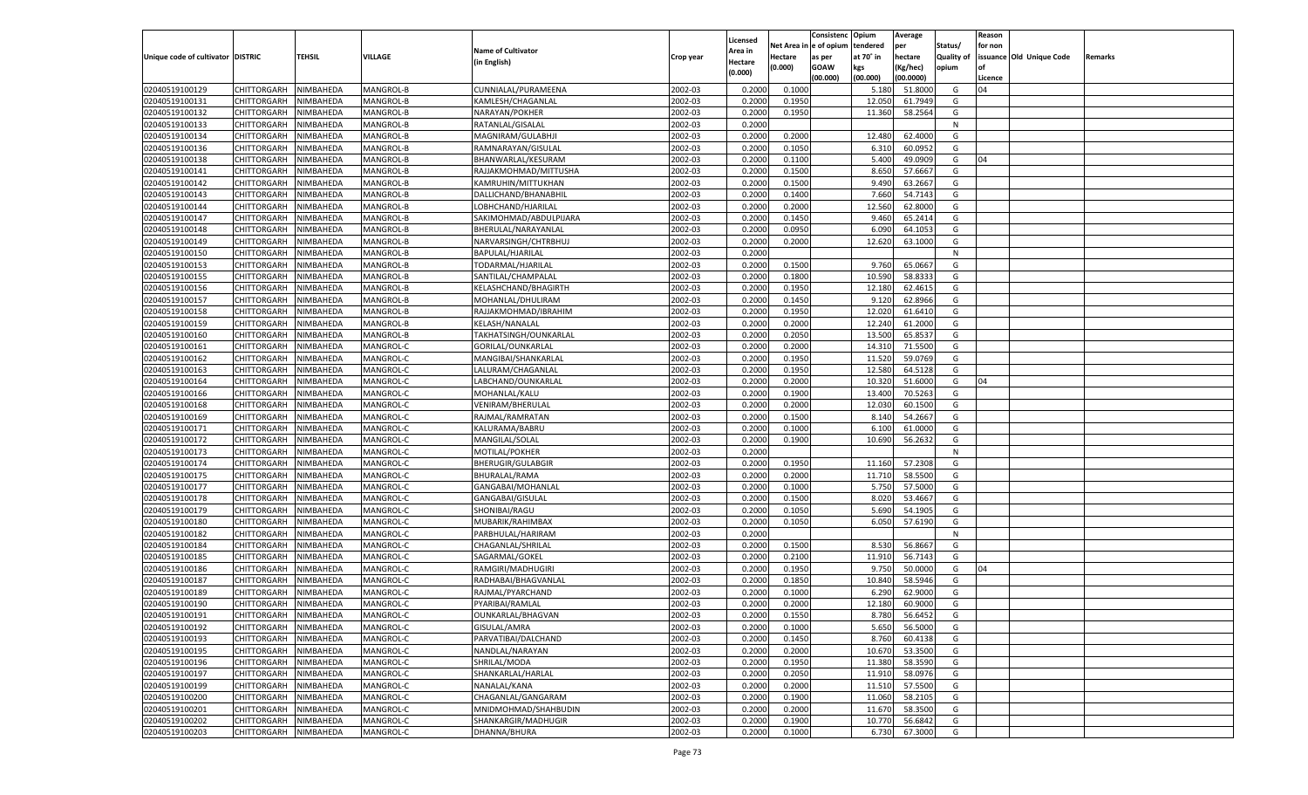|                                   |                       |               |           |                           |           |                           |          | Consistenc  | Opium     | Average   |                   | Reason  |                          |         |
|-----------------------------------|-----------------------|---------------|-----------|---------------------------|-----------|---------------------------|----------|-------------|-----------|-----------|-------------------|---------|--------------------------|---------|
|                                   |                       |               |           | <b>Name of Cultivator</b> |           | Licensed                  | Net Area | e of opium  | tendered  | per       | Status/           | for non |                          |         |
| Unique code of cultivator DISTRIC |                       | <b>TEHSIL</b> | VILLAGE   | (in English)              | Crop year | <b>Area in</b><br>Hectare | Hectare  | as per      | at 70° in | hectare   | <b>Quality of</b> |         | issuance Old Unique Code | Remarks |
|                                   |                       |               |           |                           |           | (0.000)                   | (0.000)  | <b>GOAW</b> | kgs       | (Kg/hec)  | opium             |         |                          |         |
|                                   |                       |               |           |                           |           |                           |          | (00.000)    | (00.000)  | (00.0000) |                   | Licence |                          |         |
| 02040519100129                    | CHITTORGARH           | NIMBAHEDA     | MANGROL-B | CUNNIALAL/PURAMEENA       | 2002-03   | 0.2000                    | 0.1000   |             | 5.180     | 51.8000   | G                 | 04      |                          |         |
| 02040519100131                    | CHITTORGARH           | NIMBAHEDA     | MANGROL-B | KAMLESH/CHAGANLAL         | 2002-03   | 0.2000                    | 0.1950   |             | 12.050    | 61.7949   | G                 |         |                          |         |
| 02040519100132                    | CHITTORGARH           | NIMBAHEDA     | MANGROL-B | NARAYAN/POKHER            | 2002-03   | 0.2000                    | 0.1950   |             | 11.360    | 58.2564   | G                 |         |                          |         |
| 02040519100133                    | CHITTORGARH           | NIMBAHEDA     | MANGROL-B | RATANLAL/GISALAL          | 2002-03   | 0.2000                    |          |             |           |           | N                 |         |                          |         |
| 02040519100134                    | CHITTORGARH           | NIMBAHEDA     | MANGROL-B | MAGNIRAM/GULABHJI         | 2002-03   | 0.2000                    | 0.2000   |             | 12.480    | 62.4000   | G                 |         |                          |         |
| 02040519100136                    | CHITTORGARH           | NIMBAHEDA     | MANGROL-B | RAMNARAYAN/GISULAL        | 2002-03   | 0.2000                    | 0.1050   |             | 6.31      | 60.095    | G                 |         |                          |         |
| 02040519100138                    | CHITTORGARH           | NIMBAHEDA     | MANGROL-B | BHANWARLAL/KESURAM        | 2002-03   | 0.2000                    | 0.1100   |             | 5.400     | 49.0909   | G                 | 04      |                          |         |
| 02040519100141                    | CHITTORGARH           | NIMBAHEDA     | MANGROL-B | RAJJAKMOHMAD/MITTUSHA     | 2002-03   | 0.2000                    | 0.1500   |             | 8.650     | 57.6667   | G                 |         |                          |         |
| 02040519100142                    | CHITTORGARH           | NIMBAHEDA     | MANGROL-B | KAMRUHIN/MITTUKHAN        | 2002-03   | 0.2000                    | 0.1500   |             | 9.490     | 63.2667   | G                 |         |                          |         |
| 02040519100143                    | CHITTORGARH           | NIMBAHEDA     | MANGROL-B | DALLICHAND/BHANABHIL      | 2002-03   | 0.2000                    | 0.1400   |             | 7.660     | 54.7143   | G                 |         |                          |         |
| 02040519100144                    | CHITTORGARH           | NIMBAHEDA     | MANGROL-B | LOBHCHAND/HJARILAL        | 2002-03   | 0.2000                    | 0.2000   |             | 12.560    | 62.8000   | G                 |         |                          |         |
| 02040519100147                    | CHITTORGARH           | NIMBAHEDA     | MANGROL-B | SAKIMOHMAD/ABDULPIJARA    | 2002-03   | 0.2000                    | 0.1450   |             | 9.460     | 65.2414   | G                 |         |                          |         |
| 02040519100148                    | CHITTORGARH           | NIMBAHEDA     | MANGROL-B | BHERULAL/NARAYANLAL       | 2002-03   | 0.2000                    | 0.0950   |             | 6.090     | 64.105    | G                 |         |                          |         |
| 02040519100149                    | CHITTORGARH           | NIMBAHEDA     | MANGROL-B | NARVARSINGH/CHTRBHUJ      | 2002-03   | 0.2000                    | 0.2000   |             | 12.620    | 63.1000   | G                 |         |                          |         |
| 02040519100150                    | CHITTORGARH           | NIMBAHEDA     | MANGROL-B | BAPULAL/HJARILAL          | 2002-03   | 0.2000                    |          |             |           |           | N                 |         |                          |         |
| 02040519100153                    | CHITTORGARH           | NIMBAHEDA     | MANGROL-B | TODARMAL/HJARILAI         | 2002-03   | 0.2000                    | 0.1500   |             | 9.760     | 65.0667   | G                 |         |                          |         |
| 02040519100155                    | CHITTORGARH           | NIMBAHEDA     | MANGROL-B | SANTILAL/CHAMPALAL        | 2002-03   | 0.2000                    | 0.1800   |             | 10.590    | 58.833    | G                 |         |                          |         |
| 02040519100156                    | CHITTORGARH           | NIMBAHEDA     | MANGROL-B | KELASHCHAND/BHAGIRTH      | 2002-03   | 0.2000                    | 0.1950   |             | 12.180    | 62.4615   | G                 |         |                          |         |
| 02040519100157                    | CHITTORGARH           | NIMBAHEDA     | MANGROL-B | MOHANLAL/DHULIRAM         | 2002-03   | 0.2000                    | 0.1450   |             | 9.120     | 62.8966   | G                 |         |                          |         |
| 02040519100158                    | CHITTORGARH           | NIMBAHEDA     | MANGROL-B | RAJJAKMOHMAD/IBRAHIM      | 2002-03   | 0.2000                    | 0.1950   |             | 12.020    | 61.6410   | G                 |         |                          |         |
| 02040519100159                    | CHITTORGARH           | NIMBAHEDA     | MANGROL-B | KELASH/NANALAL            | 2002-03   | 0.2000                    | 0.2000   |             | 12.240    | 61.2000   | G                 |         |                          |         |
| 02040519100160                    |                       |               | MANGROL-B |                           |           |                           |          |             |           | 65.853    |                   |         |                          |         |
| 02040519100161                    | CHITTORGARH           | NIMBAHEDA     |           | TAKHATSINGH/OUNKARLAL     | 2002-03   | 0.2000                    | 0.2050   |             | 13.500    |           | G                 |         |                          |         |
|                                   | CHITTORGARH           | NIMBAHEDA     | MANGROL-C | GORILAL/OUNKARLAL         | 2002-03   | 0.2000                    | 0.2000   |             | 14.310    | 71.5500   | G                 |         |                          |         |
| 02040519100162                    | CHITTORGARH           | NIMBAHEDA     | MANGROL-C | MANGIBAI/SHANKARLAL       | 2002-03   | 0.2000                    | 0.1950   |             | 11.520    | 59.0769   | G                 |         |                          |         |
| 02040519100163                    | CHITTORGARH           | NIMBAHEDA     | MANGROL-C | LALURAM/CHAGANLAL         | 2002-03   | 0.2000                    | 0.1950   |             | 12.580    | 64.5128   | G                 |         |                          |         |
| 02040519100164                    | CHITTORGARH           | NIMBAHEDA     | MANGROL-C | LABCHAND/OUNKARLAL        | 2002-03   | 0.2000                    | 0.2000   |             | 10.320    | 51.6000   | G                 | 04      |                          |         |
| 02040519100166                    | CHITTORGARH           | NIMBAHEDA     | MANGROL-C | MOHANLAL/KALU             | 2002-03   | 0.2000                    | 0.1900   |             | 13.400    | 70.5263   | G                 |         |                          |         |
| 02040519100168                    | CHITTORGARH           | NIMBAHEDA     | MANGROL-C | VENIRAM/BHERULAL          | 2002-03   | 0.2000                    | 0.2000   |             | 12.030    | 60.1500   | G                 |         |                          |         |
| 02040519100169                    | CHITTORGARH           | NIMBAHEDA     | MANGROL-C | RAJMAL/RAMRATAN           | 2002-03   | 0.2000                    | 0.1500   |             | 8.140     | 54.2667   | G                 |         |                          |         |
| 02040519100171                    | CHITTORGARH           | NIMBAHEDA     | MANGROL-C | KALURAMA/BABRU            | 2002-03   | 0.2000                    | 0.1000   |             | 6.100     | 61.0000   | G                 |         |                          |         |
| 02040519100172                    | CHITTORGARH           | NIMBAHEDA     | MANGROL-C | MANGILAL/SOLAL            | 2002-03   | 0.2000                    | 0.1900   |             | 10.690    | 56.263    | G                 |         |                          |         |
| 02040519100173                    | CHITTORGARH           | NIMBAHEDA     | MANGROL-C | MOTILAL/POKHER            | 2002-03   | 0.2000                    |          |             |           |           | N                 |         |                          |         |
| 02040519100174                    | <b>CHITTORGARH</b>    | NIMBAHEDA     | MANGROL-C | <b>BHERUGIR/GULABGIR</b>  | 2002-03   | 0.2000                    | 0.1950   |             | 11.160    | 57.2308   | G                 |         |                          |         |
| 02040519100175                    | CHITTORGARH           | NIMBAHEDA     | MANGROL-C | BHURALAL/RAMA             | 2002-03   | 0.2000                    | 0.2000   |             | 11.710    | 58.5500   | G                 |         |                          |         |
| 02040519100177                    | <b>CHITTORGARH</b>    | NIMBAHEDA     | MANGROL-C | GANGABAI/MOHANLAL         | 2002-03   | 0.2000                    | 0.1000   |             | 5.750     | 57.5000   | G                 |         |                          |         |
| 02040519100178                    | CHITTORGARH           | NIMBAHEDA     | MANGROL-C | GANGABAI/GISULAL          | 2002-03   | 0.2000                    | 0.1500   |             | 8.020     | 53.4667   | G                 |         |                          |         |
| 02040519100179                    | <b>CHITTORGARH</b>    | NIMBAHEDA     | MANGROL-C | SHONIBAI/RAGU             | 2002-03   | 0.2000                    | 0.1050   |             | 5.690     | 54.1905   | G                 |         |                          |         |
| 02040519100180                    | CHITTORGARH           | NIMBAHEDA     | MANGROL-C | MUBARIK/RAHIMBAX          | 2002-03   | 0.2000                    | 0.1050   |             | 6.05      | 57.6190   | G                 |         |                          |         |
| 02040519100182                    | <b>CHITTORGARH</b>    | NIMBAHEDA     | MANGROL-C | PARBHULAL/HARIRAM         | 2002-03   | 0.2000                    |          |             |           |           | N                 |         |                          |         |
| 02040519100184                    | CHITTORGARH           | NIMBAHEDA     | MANGROL-C | CHAGANLAL/SHRILAL         | 2002-03   | 0.2000                    | 0.1500   |             | 8.530     | 56.866    | G                 |         |                          |         |
| 02040519100185                    | <b>CHITTORGARH</b>    | NIMBAHEDA     | MANGROL-C | SAGARMAL/GOKEL            | 2002-03   | 0.2000                    | 0.2100   |             | 11.910    | 56.7143   | G                 |         |                          |         |
| 02040519100186                    | CHITTORGARH           | NIMBAHEDA     | MANGROL-C | RAMGIRI/MADHUGIRI         | 2002-03   | 0.2000                    | 0.1950   |             | 9.75      | 50.0000   | G                 | 04      |                          |         |
| 02040519100187                    | CHITTORGARH           | NIMBAHEDA     | MANGROL-C | RADHABAI/BHAGVANLAL       | 2002-03   | 0.2000                    | 0.1850   |             | 10.84     | 58.5946   | G                 |         |                          |         |
| 02040519100189                    | CHITTORGARH           | NIMBAHEDA     | MANGROL-C | RAJMAL/PYARCHAND          | 2002-03   | 0.2000                    | 0.1000   |             | 6.290     | 62.9000   | G                 |         |                          |         |
| 02040519100190                    | CHITTORGARH           | NIMBAHEDA     | MANGROL-C | PYARIBAI/RAMLAL           | 2002-03   | 0.2000                    | 0.2000   |             | 12.180    | 60.9000   | G                 |         |                          |         |
| 02040519100191                    | CHITTORGARH NIMBAHEDA |               | MANGROL-C | OUNKARLAL/BHAGVAN         | 2002-03   | 0.2000                    | 0.1550   |             | 8.780     | 56.6452   | G                 |         |                          |         |
| 02040519100192                    | <b>CHITTORGARH</b>    | NIMBAHEDA     | MANGROL-C | GISULAL/AMRA              | 2002-03   | 0.2000                    | 0.1000   |             | 5.650     | 56.5000   | G                 |         |                          |         |
| 02040519100193                    | <b>CHITTORGARH</b>    | NIMBAHEDA     | MANGROL-C | PARVATIBAI/DALCHAND       | 2002-03   | 0.2000                    | 0.1450   |             | 8.760     | 60.4138   | G                 |         |                          |         |
| 02040519100195                    | <b>CHITTORGARH</b>    | NIMBAHEDA     | MANGROL-C | NANDLAL/NARAYAN           | 2002-03   | 0.2000                    | 0.2000   |             | 10.670    | 53.3500   | G                 |         |                          |         |
| 02040519100196                    | <b>CHITTORGARH</b>    | NIMBAHEDA     | MANGROL-C | SHRILAL/MODA              | 2002-03   | 0.2000                    | 0.1950   |             | 11.380    | 58.3590   | G                 |         |                          |         |
| 02040519100197                    | <b>CHITTORGARH</b>    | NIMBAHEDA     | MANGROL-C | SHANKARLAL/HARLAL         | 2002-03   | 0.2000                    | 0.2050   |             | 11.910    | 58.0976   | G                 |         |                          |         |
| 02040519100199                    | <b>CHITTORGARH</b>    | NIMBAHEDA     | MANGROL-C | NANALAL/KANA              | 2002-03   | 0.2000                    | 0.2000   |             | 11.510    | 57.5500   | G                 |         |                          |         |
| 02040519100200                    | <b>CHITTORGARH</b>    | NIMBAHEDA     | MANGROL-C | CHAGANLAL/GANGARAM        | 2002-03   | 0.2000                    | 0.1900   |             | 11.060    | 58.2105   | G                 |         |                          |         |
| 02040519100201                    | <b>CHITTORGARH</b>    | NIMBAHEDA     | MANGROL-C | MNIDMOHMAD/SHAHBUDIN      | 2002-03   | 0.2000                    | 0.2000   |             | 11.670    | 58.3500   | G                 |         |                          |         |
| 02040519100202                    | <b>CHITTORGARH</b>    | NIMBAHEDA     | MANGROL-C | SHANKARGIR/MADHUGIR       | 2002-03   | 0.2000                    | 0.1900   |             | 10.770    | 56.6842   | G                 |         |                          |         |
| 02040519100203                    | <b>CHITTORGARH</b>    | NIMBAHEDA     | MANGROL-C | DHANNA/BHURA              | 2002-03   | 0.2000                    | 0.1000   |             | 6.730     | 67.3000   | G                 |         |                          |         |
|                                   |                       |               |           |                           |           |                           |          |             |           |           |                   |         |                          |         |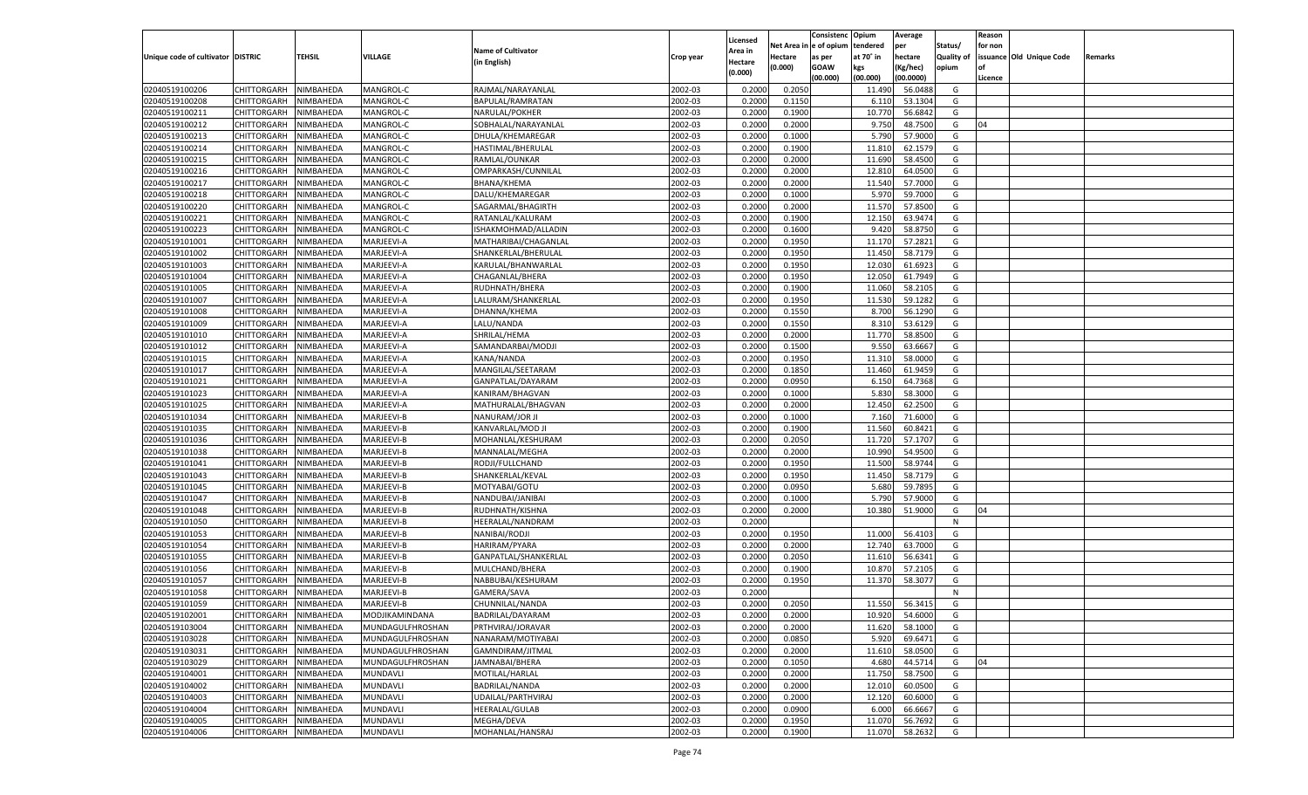|                                   |                       |           |                  |                           |           |                    |            | Consistenc Opium |           | Average   |                   | Reason  |                          |                |
|-----------------------------------|-----------------------|-----------|------------------|---------------------------|-----------|--------------------|------------|------------------|-----------|-----------|-------------------|---------|--------------------------|----------------|
|                                   |                       |           |                  | <b>Name of Cultivator</b> |           | Licensed           | Net Area i | n e of opium     | tendered  | per       | Status/           | for non |                          |                |
| Unique code of cultivator DISTRIC |                       | TEHSIL    | VILLAGE          |                           | Crop year | <b>Area in</b>     | Hectare    | as per           | at 70° in | hectare   | <b>Quality of</b> |         | issuance Old Unique Code | <b>Remarks</b> |
|                                   |                       |           |                  | (in English)              |           | Hectare<br>(0.000) | (0.000)    | <b>GOAW</b>      | kgs       | (Kg/hec)  | opium             |         |                          |                |
|                                   |                       |           |                  |                           |           |                    |            | (00.000)         | (00.000)  | (00.0000) |                   | Licence |                          |                |
| 02040519100206                    | CHITTORGARH           | NIMBAHEDA | MANGROL-C        | RAJMAL/NARAYANLAL         | 2002-03   | 0.200              | 0.2050     |                  | 11.490    | 56.0488   | G                 |         |                          |                |
| 02040519100208                    | CHITTORGARH           | NIMBAHEDA | MANGROL-C        | BAPULAL/RAMRATAN          | 2002-03   | 0.2000             | 0.1150     |                  | 6.11      | 53.1304   | G                 |         |                          |                |
| 02040519100211                    | CHITTORGARH           | NIMBAHEDA | MANGROL-C        | NARULAL/POKHER            | 2002-03   | 0.2000             | 0.1900     |                  | 10.770    | 56.6842   | G                 |         |                          |                |
| 02040519100212                    | CHITTORGARH           | NIMBAHEDA | MANGROL-C        | SOBHALAL/NARAYANLAL       | 2002-03   | 0.2000             | 0.2000     |                  | 9.750     | 48.7500   | G                 | 04      |                          |                |
| 02040519100213                    | CHITTORGARH           | NIMBAHEDA | MANGROL-C        | DHULA/KHEMAREGAR          | 2002-03   | 0.2000             | 0.1000     |                  | 5.790     | 57.9000   | G                 |         |                          |                |
| 02040519100214                    | CHITTORGARH           | NIMBAHEDA | MANGROL-C        | HASTIMAL/BHERULAL         | 2002-03   | 0.2000             | 0.1900     |                  | 11.81     | 62.1579   | G                 |         |                          |                |
| 02040519100215                    | CHITTORGARH           | NIMBAHEDA | MANGROL-C        | RAMLAL/OUNKAR             | 2002-03   | 0.2000             | 0.2000     |                  | 11.690    | 58.4500   | G                 |         |                          |                |
| 02040519100216                    | CHITTORGARH           | NIMBAHEDA | MANGROL-C        | OMPARKASH/CUNNILAL        | 2002-03   | 0.2000             | 0.2000     |                  | 12.810    | 64.0500   | G                 |         |                          |                |
| 02040519100217                    | CHITTORGARH           | NIMBAHEDA | MANGROL-C        | BHANA/KHEMA               | 2002-03   | 0.2000             | 0.2000     |                  | 11.540    | 57.7000   | G                 |         |                          |                |
| 02040519100218                    | CHITTORGARH           | NIMBAHEDA | MANGROL-C        | DALU/KHEMAREGAR           | 2002-03   | 0.2000             | 0.1000     |                  | 5.97      | 59.7000   | G                 |         |                          |                |
| 02040519100220                    | CHITTORGARH           | NIMBAHEDA | MANGROL-C        | SAGARMAL/BHAGIRTH         | 2002-03   | 0.2000             | 0.2000     |                  | 11.570    | 57.8500   | G                 |         |                          |                |
|                                   |                       |           |                  |                           |           |                    | 0.1900     |                  |           |           |                   |         |                          |                |
| 02040519100221                    | CHITTORGARH           | NIMBAHEDA | MANGROL-C        | RATANLAL/KALURAM          | 2002-03   | 0.2000             |            |                  | 12.15     | 63.9474   | G                 |         |                          |                |
| 02040519100223                    | CHITTORGARH           | NIMBAHEDA | MANGROL-C        | ISHAKMOHMAD/ALLADIN       | 2002-03   | 0.2000             | 0.1600     |                  | 9.420     | 58.8750   | G                 |         |                          |                |
| 02040519101001                    | CHITTORGARH           | NIMBAHEDA | MARJEEVI-A       | MATHARIBAI/CHAGANLAL      | 2002-03   | 0.2000             | 0.1950     |                  | 11.170    | 57.2821   | G                 |         |                          |                |
| 02040519101002                    | CHITTORGARH           | NIMBAHEDA | MARJEEVI-A       | SHANKERLAL/BHERULAL       | 2002-03   | 0.2000             | 0.1950     |                  | 11.450    | 58.7179   | G                 |         |                          |                |
| 02040519101003                    | CHITTORGARH           | NIMBAHEDA | MARJEEVI-A       | KARULAL/BHANWARLAL        | 2002-03   | 0.2000             | 0.1950     |                  | 12.030    | 61.6923   | G                 |         |                          |                |
| 02040519101004                    | CHITTORGARH           | NIMBAHEDA | MARJEEVI-A       | CHAGANLAL/BHERA           | 2002-03   | 0.2000             | 0.1950     |                  | 12.050    | 61.7949   | G                 |         |                          |                |
| 02040519101005                    | CHITTORGARH           | NIMBAHEDA | MARJEEVI-A       | RUDHNATH/BHERA            | 2002-03   | 0.2000             | 0.1900     |                  | 11.060    | 58.2105   | G                 |         |                          |                |
| 02040519101007                    | CHITTORGARH           | NIMBAHEDA | MARJEEVI-A       | LALURAM/SHANKERLAL        | 2002-03   | 0.2000             | 0.1950     |                  | 11.530    | 59.1282   | G                 |         |                          |                |
| 02040519101008                    | CHITTORGARH           | NIMBAHEDA | MARJEEVI-A       | DHANNA/KHEMA              | 2002-03   | 0.2000             | 0.1550     |                  | 8.700     | 56.1290   | G                 |         |                          |                |
| 02040519101009                    | CHITTORGARH           | NIMBAHEDA | MARJEEVI-A       | LALU/NANDA                | 2002-03   | 0.2000             | 0.1550     |                  | 8.31      | 53.6129   | G                 |         |                          |                |
| 02040519101010                    | CHITTORGARH           | NIMBAHEDA | MARJEEVI-A       | SHRILAL/HEMA              | 2002-03   | 0.2000             | 0.2000     |                  | 11.770    | 58.8500   | G                 |         |                          |                |
| 02040519101012                    | CHITTORGARH           | NIMBAHEDA | MARJEEVI-A       | SAMANDARBAI/MODJI         | 2002-03   | 0.2000             | 0.1500     |                  | 9.550     | 63.6667   | G                 |         |                          |                |
| 02040519101015                    | CHITTORGARH           | NIMBAHEDA | MARJEEVI-A       | KANA/NANDA                | 2002-03   | 0.2000             | 0.1950     |                  | 11.31     | 58.0000   | G                 |         |                          |                |
| 02040519101017                    | CHITTORGARH           | NIMBAHEDA | MARJEEVI-A       | MANGILAL/SEETARAM         | 2002-03   | 0.2000             | 0.1850     |                  | 11.460    | 61.9459   | G                 |         |                          |                |
| 02040519101021                    | CHITTORGARH           | NIMBAHEDA | MARJEEVI-A       | GANPATLAL/DAYARAM         | 2002-03   | 0.2000             | 0.0950     |                  | 6.15      | 64.7368   | G                 |         |                          |                |
| 02040519101023                    | CHITTORGARH           | NIMBAHEDA | MARJEEVI-A       | KANIRAM/BHAGVAN           | 2002-03   | 0.2000             | 0.1000     |                  | 5.830     | 58.3000   | G                 |         |                          |                |
| 02040519101025                    | CHITTORGARH           | NIMBAHEDA | MARJEEVI-A       | MATHURALAL/BHAGVAN        | 2002-03   | 0.2000             | 0.2000     |                  | 12.450    | 62.2500   | G                 |         |                          |                |
| 02040519101034                    | CHITTORGARH           | NIMBAHEDA | MARJEEVI-B       | NANURAM/JOR JI            | 2002-03   | 0.2000             | 0.1000     |                  | 7.160     | 71.6000   | G                 |         |                          |                |
| 02040519101035                    | CHITTORGARH           | NIMBAHEDA | MARJEEVI-B       | KANVARLAL/MOD JI          | 2002-03   | 0.2000             | 0.1900     |                  | 11.560    | 60.8421   | G                 |         |                          |                |
|                                   | CHITTORGARH           | NIMBAHEDA | MARJEEVI-B       | MOHANLAL/KESHURAM         | 2002-03   | 0.2000             | 0.2050     |                  | 11.720    | 57.1707   | G                 |         |                          |                |
| 02040519101036                    |                       |           |                  |                           |           |                    |            |                  |           |           |                   |         |                          |                |
| 02040519101038                    | CHITTORGARH           | NIMBAHEDA | MARJEEVI-B       | MANNALAL/MEGHA            | 2002-03   | 0.2000             | 0.2000     |                  | 10.990    | 54.9500   | G                 |         |                          |                |
| 02040519101041                    | CHITTORGARH           | NIMBAHEDA | MARJEEVI-B       | RODJI/FULLCHAND           | 2002-03   | 0.2000             | 0.1950     |                  | 11.500    | 58.9744   | G                 |         |                          |                |
| 02040519101043                    | CHITTORGARH           | NIMBAHEDA | MARJEEVI-B       | SHANKERLAL/KEVAL          | 2002-03   | 0.2000             | 0.1950     |                  | 11.450    | 58.7179   | G                 |         |                          |                |
| 02040519101045                    | CHITTORGARH           | NIMBAHEDA | MARJEEVI-B       | MOTYABAI/GOTU             | 2002-03   | 0.2000             | 0.0950     |                  | 5.680     | 59.7895   | G                 |         |                          |                |
| 02040519101047                    | CHITTORGARH           | NIMBAHEDA | MARJEEVI-B       | NANDUBAI/JANIBAI          | 2002-03   | 0.2000             | 0.1000     |                  | 5.790     | 57.9000   | G                 |         |                          |                |
| 02040519101048                    | CHITTORGARH           | NIMBAHEDA | MARJEEVI-B       | RUDHNATH/KISHNA           | 2002-03   | 0.2000             | 0.2000     |                  | 10.380    | 51.9000   | G                 | 04      |                          |                |
| 02040519101050                    | CHITTORGARH           | NIMBAHEDA | MARJEEVI-B       | HEERALAL/NANDRAM          | 2002-03   | 0.2000             |            |                  |           |           | N                 |         |                          |                |
| 02040519101053                    | CHITTORGARH           | NIMBAHEDA | MARJEEVI-B       | NANIBAI/RODJI             | 2002-03   | 0.2000             | 0.1950     |                  | 11.000    | 56.4103   | G                 |         |                          |                |
| 02040519101054                    | CHITTORGARH           | NIMBAHEDA | MARJEEVI-B       | HARIRAM/PYARA             | 2002-03   | 0.2000             | 0.2000     |                  | 12.740    | 63.7000   | G                 |         |                          |                |
| 02040519101055                    | CHITTORGARH           | NIMBAHEDA | MARJEEVI-B       | GANPATLAL/SHANKERLAL      | 2002-03   | 0.2000             | 0.2050     |                  | 11.610    | 56.6341   | G                 |         |                          |                |
| 02040519101056                    | CHITTORGARH           | NIMBAHEDA | MARJEEVI-B       | MULCHAND/BHERA            | 2002-03   | 0.2000             | 0.1900     |                  | 10.87     | 57.2105   | G                 |         |                          |                |
| 02040519101057                    | CHITTORGARH           | NIMBAHEDA | MARJEEVI-B       | NABBUBAI/KESHURAM         | 2002-03   | 0.2000             | 0.1950     |                  | 11.370    | 58.3077   | G                 |         |                          |                |
| 02040519101058                    | CHITTORGARH           | NIMBAHEDA | MARJEEVI-B       | GAMERA/SAVA               | 2002-03   | 0.2000             |            |                  |           |           | N                 |         |                          |                |
| 02040519101059                    | CHITTORGARH           | NIMBAHEDA | MARJEEVI-B       | CHUNNILAL/NANDA           | 2002-03   | 0.2000             | 0.2050     |                  | 11.550    | 56.3415   | G                 |         |                          |                |
| 02040519102001                    | CHITTORGARH NIMBAHEDA |           | MODJIKAMINDANA   | BADRILAL/DAYARAM          | 2002-03   | 0.2000             | 0.2000     |                  | 10.920    | 54.6000   | G                 |         |                          |                |
| 02040519103004                    | CHITTORGARH           | NIMBAHEDA | MUNDAGULFHROSHAN | PRTHVIRAJ/JORAVAR         | 2002-03   | 0.2000             | 0.2000     |                  | 11.620    | 58.1000   | G                 |         |                          |                |
| 02040519103028                    | CHITTORGARH           | NIMBAHEDA | MUNDAGULFHROSHAN | NANARAM/MOTIYABAI         | 2002-03   | 0.2000             | 0.0850     |                  | 5.920     | 69.6471   | G                 |         |                          |                |
| 02040519103031                    | <b>CHITTORGARH</b>    | NIMBAHEDA | MUNDAGULFHROSHAN | GAMNDIRAM/JITMAL          | 2002-03   | 0.2000             | 0.2000     |                  | 11.610    | 58.0500   | G                 |         |                          |                |
| 02040519103029                    |                       |           |                  |                           | 2002-03   |                    |            |                  | 4.680     | 44.5714   | G                 | 04      |                          |                |
|                                   | <b>CHITTORGARH</b>    | NIMBAHEDA | MUNDAGULFHROSHAN | JAMNABAI/BHERA            |           | 0.2000             | 0.1050     |                  |           |           |                   |         |                          |                |
| 02040519104001                    | <b>CHITTORGARH</b>    | NIMBAHEDA | MUNDAVLI         | MOTILAL/HARLAL            | 2002-03   | 0.2000             | 0.2000     |                  | 11.750    | 58.7500   | G                 |         |                          |                |
| 02040519104002                    | CHITTORGARH           | NIMBAHEDA | MUNDAVLI         | BADRILAL/NANDA            | 2002-03   | 0.2000             | 0.2000     |                  | 12.010    | 60.0500   | G                 |         |                          |                |
| 02040519104003                    | <b>CHITTORGARH</b>    | NIMBAHEDA | MUNDAVLI         | UDAILAL/PARTHVIRAJ        | 2002-03   | 0.2000             | 0.2000     |                  | 12.120    | 60.6000   | G                 |         |                          |                |
| 02040519104004                    | <b>CHITTORGARH</b>    | NIMBAHEDA | MUNDAVLI         | HEERALAL/GULAB            | 2002-03   | 0.2000             | 0.0900     |                  | 6.000     | 66.6667   | G                 |         |                          |                |
| 02040519104005                    | CHITTORGARH           | NIMBAHEDA | <b>MUNDAVLI</b>  | MEGHA/DEVA                | 2002-03   | 0.2000             | 0.1950     |                  | 11.070    | 56.7692   | G                 |         |                          |                |
| 02040519104006                    | CHITTORGARH           | NIMBAHEDA | <b>MUNDAVLI</b>  | MOHANLAL/HANSRAJ          | 2002-03   | 0.2000             | 0.1900     |                  | 11.070    | 58.2632   | G                 |         |                          |                |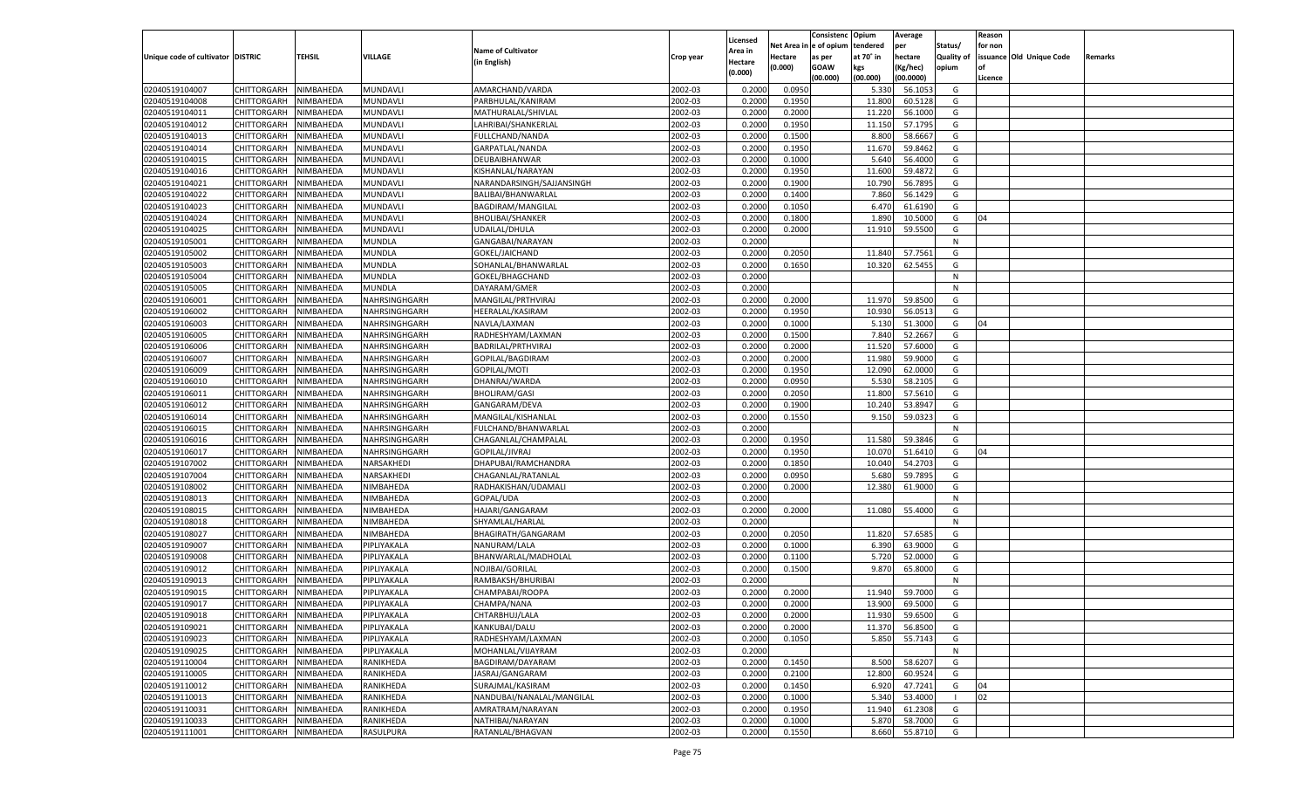|                                   |                       |               |               |                           |           |                           |                  | Consistenc  | Opium     | Average   |                   | Reason  |                          |         |
|-----------------------------------|-----------------------|---------------|---------------|---------------------------|-----------|---------------------------|------------------|-------------|-----------|-----------|-------------------|---------|--------------------------|---------|
|                                   |                       |               |               | <b>Name of Cultivator</b> |           | Licensed                  | Net Area         | e of opium  | tendered  | per       | Status/           | for non |                          |         |
| Unique code of cultivator DISTRIC |                       | <b>TEHSIL</b> | VILLAGE       | (in English)              | Crop year | <b>Area in</b><br>Hectare | Hectare          | as per      | at 70° in | hectare   | <b>Quality of</b> |         | issuance Old Unique Code | Remarks |
|                                   |                       |               |               |                           |           | (0.000)                   | (0.000)          | <b>GOAW</b> | kgs       | (Kg/hec)  | opium             |         |                          |         |
|                                   |                       |               |               |                           |           |                           |                  | (00.000)    | (00.000)  | (00.0000) |                   | Licence |                          |         |
| 02040519104007                    | CHITTORGARH           | NIMBAHEDA     | MUNDAVLI      | AMARCHAND/VARDA           | 2002-03   | 0.2000                    | 0.0950           |             | 5.330     | 56.105    | G                 |         |                          |         |
| 02040519104008                    | CHITTORGARH           | NIMBAHEDA     | MUNDAVLI      | PARBHULAL/KANIRAM         | 2002-03   | 0.2000                    | 0.1950           |             | 11.800    | 60.5128   | G                 |         |                          |         |
| 02040519104011                    | CHITTORGARH           | NIMBAHEDA     | MUNDAVLI      | MATHURALAL/SHIVLAL        | 2002-03   | 0.2000                    | 0.2000           |             | 11.220    | 56.1000   | G                 |         |                          |         |
| 02040519104012                    | CHITTORGARH           | NIMBAHEDA     | MUNDAVLI      | LAHRIBAI/SHANKERLAL       | 2002-03   | 0.2000                    | 0.1950           |             | 11.150    | 57.1795   | G                 |         |                          |         |
| 02040519104013                    | CHITTORGARH           | NIMBAHEDA     | MUNDAVLI      | FULLCHAND/NANDA           | 2002-03   | 0.2000                    | 0.1500           |             | 8.800     | 58.6667   | G                 |         |                          |         |
| 02040519104014                    | CHITTORGARH           | NIMBAHEDA     | MUNDAVLI      | GARPATLAL/NANDA           | 2002-03   | 0.2000                    | 0.1950           |             | 11.670    | 59.8462   | G                 |         |                          |         |
| 02040519104015                    | CHITTORGARH           | NIMBAHEDA     | MUNDAVLI      | DEUBAIBHANWAR             | 2002-03   | 0.2000                    | 0.1000           |             | 5.640     | 56.4000   | G                 |         |                          |         |
| 02040519104016                    | CHITTORGARH           | NIMBAHEDA     | MUNDAVLI      | KISHANLAL/NARAYAN         | 2002-03   | 0.2000                    | 0.1950           |             | 11.600    | 59.4872   | G                 |         |                          |         |
| 02040519104021                    | CHITTORGARH           | NIMBAHEDA     | MUNDAVLI      | NARANDARSINGH/SAJJANSINGH | 2002-03   | 0.2000                    | 0.1900           |             | 10.790    | 56.7895   | G                 |         |                          |         |
| 02040519104022                    | CHITTORGARH           | NIMBAHEDA     | MUNDAVLI      | BALIBAI/BHANWARLAL        | 2002-03   | 0.2000                    | 0.1400           |             | 7.860     | 56.1429   | G                 |         |                          |         |
| 02040519104023                    | CHITTORGARH           | NIMBAHEDA     | MUNDAVLI      | BAGDIRAM/MANGILAL         | 2002-03   | 0.2000                    | 0.1050           |             | 6.470     | 61.6190   | G                 |         |                          |         |
| 02040519104024                    | CHITTORGARH           | NIMBAHEDA     | MUNDAVLI      | <b>BHOLIBAI/SHANKER</b>   | 2002-03   | 0.2000                    | 0.1800           |             | 1.890     | 10.5000   | G                 | 04      |                          |         |
| 02040519104025                    | CHITTORGARH           | NIMBAHEDA     | MUNDAVLI      | UDAILAL/DHULA             | 2002-03   | 0.2000                    | 0.2000           |             | 11.910    | 59.5500   | G                 |         |                          |         |
| 02040519105001                    | CHITTORGARH           | NIMBAHEDA     | MUNDLA        | GANGABAI/NARAYAN          | 2002-03   | 0.2000                    |                  |             |           |           | N                 |         |                          |         |
| 02040519105002                    | CHITTORGARH           | NIMBAHEDA     | MUNDLA        | GOKEL/JAICHAND            | 2002-03   | 0.2000                    | 0.2050           |             | 11.840    | 57.7561   | G                 |         |                          |         |
| 02040519105003                    | CHITTORGARH           | NIMBAHEDA     | MUNDLA        | SOHANLAL/BHANWARLAL       | 2002-03   | 0.2000                    | 0.1650           |             | 10.320    | 62.5455   | G                 |         |                          |         |
| 02040519105004                    | CHITTORGARH           | NIMBAHEDA     | MUNDLA        | GOKEL/BHAGCHAND           | 2002-03   | 0.2000                    |                  |             |           |           | N                 |         |                          |         |
| 02040519105005                    | CHITTORGARH           | NIMBAHEDA     | MUNDLA        | DAYARAM/GMER              | 2002-03   | 0.2000                    |                  |             |           |           | N                 |         |                          |         |
| 02040519106001                    | CHITTORGARH           | NIMBAHEDA     | NAHRSINGHGARH | MANGILAL/PRTHVIRAJ        | 2002-03   | 0.2000                    | 0.2000           |             | 11.970    | 59.8500   | G                 |         |                          |         |
| 02040519106002                    | CHITTORGARH           | NIMBAHEDA     | NAHRSINGHGARH | HEERALAL/KASIRAM          | 2002-03   | 0.2000                    | 0.1950           |             | 10.930    | 56.0513   | G                 |         |                          |         |
| 02040519106003                    | CHITTORGARH           | NIMBAHEDA     | NAHRSINGHGARH | NAVLA/LAXMAN              | 2002-03   | 0.2000                    | 0.1000           |             | 5.130     | 51.3000   | G                 | 04      |                          |         |
| 02040519106005                    | CHITTORGARH           | NIMBAHEDA     | NAHRSINGHGARH | RADHESHYAM/LAXMAN         | 2002-03   | 0.2000                    | 0.1500           |             | 7.840     | 52.2667   | G                 |         |                          |         |
| 02040519106006                    | CHITTORGARH           | NIMBAHEDA     | NAHRSINGHGARH | BADRILAL/PRTHVIRAJ        | 2002-03   | 0.2000                    | 0.2000           |             | 11.520    | 57.6000   | G                 |         |                          |         |
| 02040519106007                    | CHITTORGARH           | NIMBAHEDA     | NAHRSINGHGARH | GOPILAL/BAGDIRAM          | 2002-03   | 0.2000                    | 0.2000           |             | 11.980    | 59.9000   | G                 |         |                          |         |
| 02040519106009                    | CHITTORGARH           | NIMBAHEDA     | NAHRSINGHGARH | GOPILAL/MOTI              | 2002-03   | 0.2000                    | 0.1950           |             | 12.090    | 62.0000   | G                 |         |                          |         |
| 02040519106010                    | CHITTORGARH           | NIMBAHEDA     | NAHRSINGHGARH | DHANRAJ/WARDA             | 2002-03   | 0.2000                    | 0.0950           |             | 5.530     | 58.2105   | G                 |         |                          |         |
| 02040519106011                    | CHITTORGARH           | NIMBAHEDA     | NAHRSINGHGARH | <b>BHOLIRAM/GASI</b>      | 2002-03   | 0.2000                    | 0.2050           |             | 11.800    | 57.5610   | G                 |         |                          |         |
| 02040519106012                    | CHITTORGARH           | NIMBAHEDA     | NAHRSINGHGARH | GANGARAM/DEVA             | 2002-03   | 0.2000                    | 0.1900           |             | 10.24     | 53.8947   | G                 |         |                          |         |
| 02040519106014                    | CHITTORGARH           | NIMBAHEDA     | NAHRSINGHGARH | MANGILAL/KISHANLAL        | 2002-03   | 0.2000                    | 0.1550           |             | 9.150     | 59.032    | G                 |         |                          |         |
| 02040519106015                    | CHITTORGARH           | NIMBAHEDA     | NAHRSINGHGARH | FULCHAND/BHANWARLAL       | 2002-03   | 0.2000                    |                  |             |           |           | N                 |         |                          |         |
| 02040519106016                    | CHITTORGARH           | NIMBAHEDA     | NAHRSINGHGARH | CHAGANLAL/CHAMPALAL       | 2002-03   | 0.2000                    | 0.1950           |             | 11.580    | 59.3846   | G                 |         |                          |         |
| 02040519106017                    | CHITTORGARH           | NIMBAHEDA     | NAHRSINGHGARH | GOPILAL/JIVRAJ            | 2002-03   | 0.2000                    | 0.1950           |             | 10.070    | 51.6410   | G                 | 04      |                          |         |
| 02040519107002                    | CHITTORGARH           | NIMBAHEDA     | NARSAKHEDI    | DHAPUBAI/RAMCHANDRA       | 2002-03   | 0.2000                    | 0.1850           |             | 10.04     | 54.2703   | G                 |         |                          |         |
| 02040519107004                    |                       |               | NARSAKHEDI    |                           | 2002-03   | 0.2000                    |                  |             | 5.680     |           | G                 |         |                          |         |
|                                   | CHITTORGARH           | NIMBAHEDA     |               | CHAGANLAL/RATANLAL        |           |                           | 0.0950<br>0.2000 |             |           | 59.7895   |                   |         |                          |         |
| 02040519108002                    | <b>CHITTORGARH</b>    | NIMBAHEDA     | NIMBAHEDA     | RADHAKISHAN/UDAMALI       | 2002-03   | 0.2000                    |                  |             | 12.380    | 61.9000   | G                 |         |                          |         |
| 02040519108013                    | CHITTORGARH           | NIMBAHEDA     | NIMBAHEDA     | GOPAL/UDA                 | 2002-03   | 0.2000                    |                  |             |           |           | N                 |         |                          |         |
| 02040519108015                    | CHITTORGARH           | NIMBAHEDA     | NIMBAHEDA     | HAJARI/GANGARAM           | 2002-03   | 0.2000                    | 0.2000           |             | 11.080    | 55.4000   | G                 |         |                          |         |
| 02040519108018                    | CHITTORGARH           | NIMBAHEDA     | NIMBAHEDA     | SHYAMLAL/HARLAL           | 2002-03   | 0.2000                    |                  |             |           |           | N                 |         |                          |         |
| 02040519108027                    | CHITTORGARH           | NIMBAHEDA     | NIMBAHEDA     | BHAGIRATH/GANGARAM        | 2002-03   | 0.2000                    | 0.2050           |             | 11.820    | 57.6585   | G                 |         |                          |         |
| 02040519109007                    | CHITTORGARH           | NIMBAHEDA     | PIPLIYAKALA   | NANURAM/LALA              | 2002-03   | 0.2000                    | 0.1000           |             | 6.390     | 63.9000   | G                 |         |                          |         |
| 02040519109008                    | CHITTORGARH           | NIMBAHEDA     | PIPLIYAKALA   | BHANWARLAL/MADHOLAL       | 2002-03   | 0.2000                    | 0.1100           |             | 5.720     | 52.0000   | G                 |         |                          |         |
| 02040519109012                    | CHITTORGARH           | NIMBAHEDA     | PIPLIYAKALA   | NOJIBAI/GORILAL           | 2002-03   | 0.2000                    | 0.1500           |             | 9.870     | 65.8000   | G                 |         |                          |         |
| 02040519109013                    | CHITTORGARH           | NIMBAHEDA     | PIPLIYAKALA   | RAMBAKSH/BHURIBAI         | 2002-03   | 0.2000                    |                  |             |           |           | N                 |         |                          |         |
| 02040519109015                    | CHITTORGARH           | NIMBAHEDA     | PIPLIYAKALA   | CHAMPABAI/ROOPA           | 2002-03   | 0.2000                    | 0.2000           |             | 11.940    | 59.7000   | G                 |         |                          |         |
| 02040519109017                    | CHITTORGARH           | NIMBAHEDA     | PIPLIYAKALA   | CHAMPA/NANA               | 2002-03   | 0.2000                    | 0.2000           |             | 13.900    | 69.5000   | G                 |         |                          |         |
| 02040519109018                    | CHITTORGARH NIMBAHEDA |               | PIPLIYAKALA   | CHTARBHUJ/LALA            | 2002-03   | 0.2000                    | 0.2000           |             | 11.930    | 59.6500   | G                 |         |                          |         |
| 02040519109021                    | <b>CHITTORGARH</b>    | NIMBAHEDA     | PIPLIYAKALA   | KANKUBAI/DALU             | 2002-03   | 0.2000                    | 0.2000           |             | 11.370    | 56.8500   | G                 |         |                          |         |
| 02040519109023                    | CHITTORGARH           | NIMBAHEDA     | PIPLIYAKALA   | RADHESHYAM/LAXMAN         | 2002-03   | 0.2000                    | 0.1050           |             | 5.850     | 55.7143   | G                 |         |                          |         |
| 02040519109025                    | <b>CHITTORGARH</b>    | NIMBAHEDA     | PIPLIYAKALA   | MOHANLAL/VIJAYRAM         | 2002-03   | 0.2000                    |                  |             |           |           | N                 |         |                          |         |
| 02040519110004                    | <b>CHITTORGARH</b>    | NIMBAHEDA     | RANIKHEDA     | BAGDIRAM/DAYARAM          | 2002-03   | 0.2000                    | 0.1450           |             | 8.500     | 58.6207   | G                 |         |                          |         |
| 02040519110005                    | <b>CHITTORGARH</b>    | NIMBAHEDA     | RANIKHEDA     | JASRAJ/GANGARAM           | 2002-03   | 0.2000                    | 0.2100           |             | 12.800    | 60.9524   | G                 |         |                          |         |
| 02040519110012                    | <b>CHITTORGARH</b>    | NIMBAHEDA     | RANIKHEDA     | SURAJMAL/KASIRAM          | 2002-03   | 0.2000                    | 0.1450           |             | 6.920     | 47.7241   | G                 | 04      |                          |         |
| 02040519110013                    | <b>CHITTORGARH</b>    | NIMBAHEDA     | RANIKHEDA     | NANDUBAI/NANALAL/MANGILAL | 2002-03   | 0.2000                    | 0.1000           |             | 5.340     | 53.4000   |                   | 02      |                          |         |
| 02040519110031                    | <b>CHITTORGARH</b>    | NIMBAHEDA     | RANIKHEDA     | AMRATRAM/NARAYAN          | 2002-03   | 0.2000                    | 0.1950           |             | 11.940    | 61.2308   | G                 |         |                          |         |
| 02040519110033                    | <b>CHITTORGARH</b>    | NIMBAHEDA     | RANIKHEDA     | NATHIBAI/NARAYAN          | 2002-03   | 0.2000                    | 0.1000           |             | 5.870     | 58.7000   | G                 |         |                          |         |
| 02040519111001                    | <b>CHITTORGARH</b>    | NIMBAHEDA     | RASULPURA     | RATANLAL/BHAGVAN          | 2002-03   | 0.2000                    | 0.1550           |             | 8.660     | 55.8710   | G                 |         |                          |         |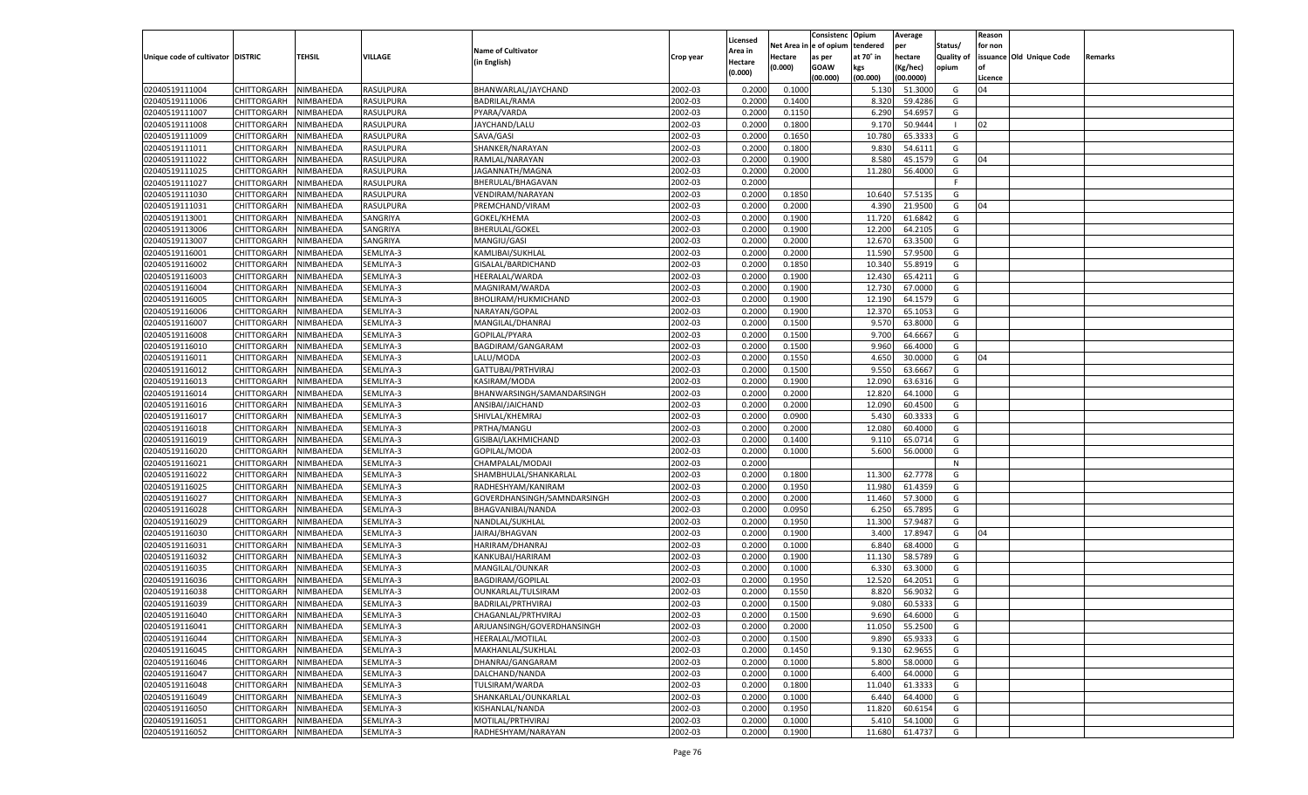|                                   |                       |               |           |                             |           |                           |          | Consistenc  | Opium     | Average   |                   | Reason  |                          |         |
|-----------------------------------|-----------------------|---------------|-----------|-----------------------------|-----------|---------------------------|----------|-------------|-----------|-----------|-------------------|---------|--------------------------|---------|
|                                   |                       |               |           | <b>Name of Cultivator</b>   |           | Licensed                  | Net Area | e of opium  | tendered  | per       | Status/           | for non |                          |         |
| Unique code of cultivator DISTRIC |                       | <b>TEHSIL</b> | VILLAGE   | (in English)                | Crop year | <b>Area in</b><br>Hectare | Hectare  | as per      | at 70° in | hectare   | <b>Quality of</b> |         | issuance Old Unique Code | Remarks |
|                                   |                       |               |           |                             |           | (0.000)                   | (0.000)  | <b>GOAW</b> | kgs       | (Kg/hec)  | opium             |         |                          |         |
|                                   |                       |               |           |                             |           |                           |          | (00.000)    | (00.000)  | (00.0000) |                   | Licence |                          |         |
| 02040519111004                    | CHITTORGARH           | NIMBAHEDA     | RASULPURA | BHANWARLAL/JAYCHAND         | 2002-03   | 0.2000                    | 0.1000   |             | 5.130     | 51.3000   | G                 | 04      |                          |         |
| 02040519111006                    | CHITTORGARH           | NIMBAHEDA     | RASULPURA | <b>BADRILAL/RAMA</b>        | 2002-03   | 0.2000                    | 0.1400   |             | 8.320     | 59.4286   | G                 |         |                          |         |
| 02040519111007                    | CHITTORGARH           | NIMBAHEDA     | RASULPURA | PYARA/VARDA                 | 2002-03   | 0.2000                    | 0.1150   |             | 6.290     | 54.695    | G                 |         |                          |         |
| 02040519111008                    | CHITTORGARH           | NIMBAHEDA     | RASULPURA | JAYCHAND/LALU               | 2002-03   | 0.2000                    | 0.1800   |             | 9.170     | 50.9444   |                   | 02      |                          |         |
| 02040519111009                    | CHITTORGARH           | NIMBAHEDA     | RASULPURA | SAVA/GASI                   | 2002-03   | 0.2000                    | 0.1650   |             | 10.780    | 65.333    | G                 |         |                          |         |
| 02040519111011                    | CHITTORGARH           | NIMBAHEDA     | RASULPURA | SHANKER/NARAYAN             | 2002-03   | 0.2000                    | 0.1800   |             | 9.830     | 54.6111   | G                 |         |                          |         |
| 02040519111022                    | CHITTORGARH           | NIMBAHEDA     | RASULPURA | RAMLAL/NARAYAN              | 2002-03   | 0.2000                    | 0.1900   |             | 8.580     | 45.1579   | G                 | 04      |                          |         |
| 02040519111025                    | CHITTORGARH           | NIMBAHEDA     | RASULPURA | JAGANNATH/MAGNA             | 2002-03   | 0.2000                    | 0.2000   |             | 11.280    | 56.4000   | G                 |         |                          |         |
| 02040519111027                    | CHITTORGARH           | NIMBAHEDA     | RASULPURA | BHERULAL/BHAGAVAN           | 2002-03   | 0.2000                    |          |             |           |           | F.                |         |                          |         |
| 02040519111030                    | CHITTORGARH           | NIMBAHEDA     | RASULPURA | VENDIRAM/NARAYAN            | 2002-03   | 0.2000                    | 0.1850   |             | 10.640    | 57.5135   | G                 |         |                          |         |
| 02040519111031                    | CHITTORGARH           | NIMBAHEDA     | RASULPURA | PREMCHAND/VIRAM             | 2002-03   | 0.2000                    | 0.2000   |             | 4.39      | 21.9500   | G                 | 04      |                          |         |
| 02040519113001                    | CHITTORGARH           | NIMBAHEDA     | SANGRIYA  | GOKEL/KHEMA                 | 2002-03   | 0.2000                    | 0.1900   |             | 11.720    | 61.6842   | G                 |         |                          |         |
| 02040519113006                    | CHITTORGARH           | NIMBAHEDA     | SANGRIYA  | <b>BHERULAL/GOKEL</b>       | 2002-03   | 0.2000                    | 0.1900   |             | 12.200    | 64.2105   | G                 |         |                          |         |
| 02040519113007                    | CHITTORGARH           | NIMBAHEDA     | SANGRIYA  | MANGIU/GASI                 | 2002-03   | 0.2000                    | 0.2000   |             | 12.670    | 63.3500   | G                 |         |                          |         |
| 02040519116001                    | CHITTORGARH           | NIMBAHEDA     | SEMLIYA-3 | KAMLIBAI/SUKHLAL            | 2002-03   | 0.2000                    | 0.2000   |             | 11.590    | 57.9500   | G                 |         |                          |         |
| 02040519116002                    | CHITTORGARH           | NIMBAHEDA     | SEMLIYA-3 | GISALAL/BARDICHAND          | 2002-03   | 0.2000                    | 0.1850   |             | 10.340    | 55.8919   | G                 |         |                          |         |
| 02040519116003                    | CHITTORGARH           | NIMBAHEDA     | SEMLIYA-3 | HEERALAL/WARDA              | 2002-03   | 0.2000                    | 0.1900   |             | 12.430    | 65.4211   | G                 |         |                          |         |
| 02040519116004                    | CHITTORGARH           | NIMBAHEDA     | SEMLIYA-3 | MAGNIRAM/WARDA              | 2002-03   | 0.2000                    | 0.1900   |             | 12.730    | 67.0000   | G                 |         |                          |         |
| 02040519116005                    | CHITTORGARH           | NIMBAHEDA     | SEMLIYA-3 | BHOLIRAM/HUKMICHAND         | 2002-03   | 0.2000                    | 0.1900   |             | 12.190    | 64.1579   | G                 |         |                          |         |
| 02040519116006                    | CHITTORGARH           | NIMBAHEDA     | SEMLIYA-3 | NARAYAN/GOPAL               | 2002-03   | 0.2000                    | 0.1900   |             | 12.370    | 65.1053   | G                 |         |                          |         |
| 02040519116007                    | CHITTORGARH           | NIMBAHEDA     | SEMLIYA-3 | MANGILAL/DHANRAJ            | 2002-03   | 0.2000                    | 0.1500   |             | 9.570     | 63.8000   | G                 |         |                          |         |
| 02040519116008                    | CHITTORGARH           | NIMBAHEDA     | SEMLIYA-3 | GOPILAL/PYARA               | 2002-03   | 0.2000                    | 0.1500   |             | 9.700     | 64.6667   | G                 |         |                          |         |
| 02040519116010                    | CHITTORGARH           | NIMBAHEDA     | SEMLIYA-3 | BAGDIRAM/GANGARAM           | 2002-03   | 0.2000                    | 0.1500   |             | 9.960     | 66.4000   | G                 |         |                          |         |
| 02040519116011                    | CHITTORGARH           | NIMBAHEDA     | SEMLIYA-3 | LALU/MODA                   | 2002-03   | 0.2000                    | 0.1550   |             | 4.650     | 30.0000   | G                 | 04      |                          |         |
| 02040519116012                    | CHITTORGARH           | NIMBAHEDA     | SEMLIYA-3 | GATTUBAI/PRTHVIRAJ          | 2002-03   | 0.2000                    | 0.1500   |             | 9.550     | 63.6667   | G                 |         |                          |         |
| 02040519116013                    | CHITTORGARH           | NIMBAHEDA     | SEMLIYA-3 | KASIRAM/MODA                | 2002-03   | 0.2000                    | 0.1900   |             | 12.090    | 63.6316   | G                 |         |                          |         |
| 02040519116014                    | CHITTORGARH           | NIMBAHEDA     | SEMLIYA-3 | BHANWARSINGH/SAMANDARSINGH  | 2002-03   | 0.2000                    | 0.2000   |             | 12.820    | 64.1000   | G                 |         |                          |         |
| 02040519116016                    | CHITTORGARH           | NIMBAHEDA     | SEMLIYA-3 | ANSIBAI/JAICHAND            | 2002-03   | 0.2000                    | 0.2000   |             | 12.090    | 60.4500   | G                 |         |                          |         |
| 02040519116017                    | CHITTORGARH           | NIMBAHEDA     | SEMLIYA-3 | SHIVLAL/KHEMRAJ             | 2002-03   | 0.2000                    | 0.0900   |             | 5.430     | 60.3333   | G                 |         |                          |         |
| 02040519116018                    | CHITTORGARH           | NIMBAHEDA     | SEMLIYA-3 | PRTHA/MANGU                 | 2002-03   | 0.2000                    | 0.2000   |             | 12.080    | 60.4000   | G                 |         |                          |         |
| 02040519116019                    | CHITTORGARH           | NIMBAHEDA     | SEMLIYA-3 | GISIBAI/LAKHMICHAND         | 2002-03   | 0.2000                    | 0.1400   |             | 9.110     | 65.0714   | G                 |         |                          |         |
| 02040519116020                    | CHITTORGARH           | NIMBAHEDA     | SEMLIYA-3 | GOPILAL/MODA                | 2002-03   | 0.2000                    | 0.1000   |             | 5.600     | 56.0000   | G                 |         |                          |         |
| 02040519116021                    | CHITTORGARH           | NIMBAHEDA     | SEMLIYA-3 | CHAMPALAL/MODAJI            | 2002-03   | 0.2000                    |          |             |           |           | N                 |         |                          |         |
| 02040519116022                    | CHITTORGARH           | NIMBAHEDA     | SEMLIYA-3 | SHAMBHULAL/SHANKARLAL       | 2002-03   | 0.2000                    | 0.1800   |             | 11.300    | 62.7778   | G                 |         |                          |         |
| 02040519116025                    | CHITTORGARH           | NIMBAHEDA     | SEMLIYA-3 | RADHESHYAM/KANIRAM          | 2002-03   | 0.2000                    | 0.1950   |             | 11.980    | 61.4359   | G                 |         |                          |         |
| 02040519116027                    | CHITTORGARH           | NIMBAHEDA     | SEMLIYA-3 | GOVERDHANSINGH/SAMNDARSINGH | 2002-03   | 0.2000                    | 0.2000   |             | 11.460    | 57.3000   | G                 |         |                          |         |
| 02040519116028                    | CHITTORGARH           | NIMBAHEDA     | SEMLIYA-3 | BHAGVANIBAI/NANDA           | 2002-03   | 0.2000                    | 0.0950   |             | 6.250     | 65.7895   | G                 |         |                          |         |
| 02040519116029                    | CHITTORGARH           | NIMBAHEDA     | SEMLIYA-3 | NANDLAL/SUKHLAL             | 2002-03   | 0.2000                    | 0.1950   |             | 11.300    | 57.9487   | G                 |         |                          |         |
| 02040519116030                    | CHITTORGARH           | NIMBAHEDA     | SEMLIYA-3 | JAIRAJ/BHAGVAN              | 2002-03   | 0.2000                    | 0.1900   |             | 3.400     | 17.8947   | G                 | 04      |                          |         |
| 02040519116031                    | CHITTORGARH           | NIMBAHEDA     | SEMLIYA-3 | HARIRAM/DHANRAJ             | 2002-03   | 0.2000                    | 0.1000   |             | 6.84      | 68.4000   | G                 |         |                          |         |
| 02040519116032                    | CHITTORGARH           | NIMBAHEDA     | SEMLIYA-3 | KANKUBAI/HARIRAM            | 2002-03   | 0.2000                    | 0.1900   |             | 11.130    | 58.5789   | G                 |         |                          |         |
| 02040519116035                    | CHITTORGARH           | NIMBAHEDA     | SEMLIYA-3 | MANGILAL/OUNKAR             | 2002-03   | 0.2000                    | 0.1000   |             | 6.330     | 63.3000   | G                 |         |                          |         |
| 02040519116036                    | CHITTORGARH           | NIMBAHEDA     | SEMLIYA-3 | <b>BAGDIRAM/GOPILAL</b>     | 2002-03   | 0.2000                    | 0.1950   |             | 12.520    | 64.2051   | G                 |         |                          |         |
| 02040519116038                    | CHITTORGARH           | NIMBAHEDA     | SEMLIYA-3 | OUNKARLAL/TULSIRAM          | 2002-03   | 0.2000                    | 0.1550   |             | 8.820     | 56.9032   | G                 |         |                          |         |
| 02040519116039                    | CHITTORGARH           | NIMBAHEDA     | SEMLIYA-3 | BADRILAL/PRTHVIRAJ          | 2002-03   | 0.2000                    | 0.1500   |             | 9.080     | 60.5333   | G                 |         |                          |         |
| 02040519116040                    | CHITTORGARH NIMBAHEDA |               | SEMLIYA-3 | CHAGANLAL/PRTHVIRAJ         | 2002-03   | 0.2000                    | 0.1500   |             | 9.690     | 64.6000   | G                 |         |                          |         |
| 02040519116041                    | <b>CHITTORGARH</b>    | NIMBAHEDA     | SEMLIYA-3 | ARJUANSINGH/GOVERDHANSINGH  | 2002-03   | 0.2000                    | 0.2000   |             | 11.050    | 55.2500   | G                 |         |                          |         |
| 02040519116044                    | CHITTORGARH           | NIMBAHEDA     | SEMLIYA-3 | HEERALAL/MOTILAL            | 2002-03   | 0.2000                    | 0.1500   |             | 9.890     | 65.9333   | G                 |         |                          |         |
| 02040519116045                    | <b>CHITTORGARH</b>    | NIMBAHEDA     | SEMLIYA-3 | MAKHANLAL/SUKHLAL           | 2002-03   | 0.2000                    | 0.1450   |             | 9.130     | 62.9655   | G                 |         |                          |         |
| 02040519116046                    | <b>CHITTORGARH</b>    | NIMBAHEDA     | SEMLIYA-3 | DHANRAJ/GANGARAM            | 2002-03   | 0.2000                    | 0.1000   |             | 5.800     | 58.0000   | G                 |         |                          |         |
| 02040519116047                    | <b>CHITTORGARH</b>    | NIMBAHEDA     | SEMLIYA-3 | DALCHAND/NANDA              | 2002-03   | 0.2000                    | 0.1000   |             | 6.400     | 64.0000   | G                 |         |                          |         |
| 02040519116048                    | <b>CHITTORGARH</b>    | NIMBAHEDA     | SEMLIYA-3 | TULSIRAM/WARDA              | 2002-03   | 0.2000                    | 0.1800   |             | 11.040    | 61.3333   | G                 |         |                          |         |
| 02040519116049                    | <b>CHITTORGARH</b>    | NIMBAHEDA     | SEMLIYA-3 | SHANKARLAL/OUNKARLAL        | 2002-03   | 0.2000                    | 0.1000   |             | 6.440     | 64.4000   | G                 |         |                          |         |
| 02040519116050                    | <b>CHITTORGARH</b>    | NIMBAHEDA     | SEMLIYA-3 | KISHANLAL/NANDA             | 2002-03   | 0.2000                    | 0.1950   |             | 11.820    | 60.6154   | G                 |         |                          |         |
| 02040519116051                    | <b>CHITTORGARH</b>    | NIMBAHEDA     | SEMLIYA-3 | MOTILAL/PRTHVIRAJ           | 2002-03   | 0.2000                    | 0.1000   |             | 5.410     | 54.1000   | G                 |         |                          |         |
| 02040519116052                    | <b>CHITTORGARH</b>    | NIMBAHEDA     | SEMLIYA-3 | RADHESHYAM/NARAYAN          | 2002-03   | 0.2000                    | 0.1900   |             | 11.680    | 61.4737   | G                 |         |                          |         |
|                                   |                       |               |           |                             |           |                           |          |             |           |           |                   |         |                          |         |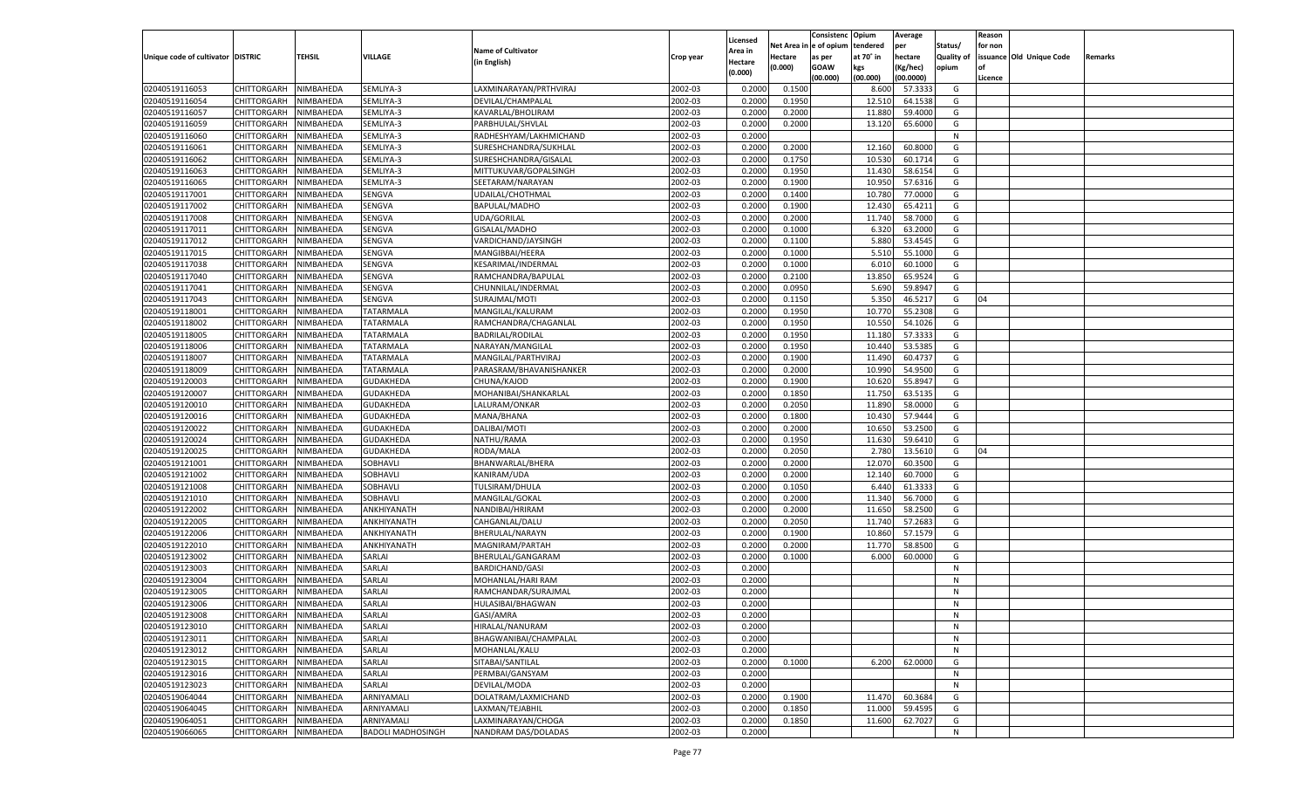|                                   |                       |               |                            |                                    |                    | Licensed         |                  | Consistenc Opium |           | Average            |                   | Reason  |                          |                |
|-----------------------------------|-----------------------|---------------|----------------------------|------------------------------------|--------------------|------------------|------------------|------------------|-----------|--------------------|-------------------|---------|--------------------------|----------------|
|                                   |                       |               |                            | <b>Name of Cultivator</b>          |                    | \rea in          | Net Area i       | n  e of opium    | tendered  | per                | Status/           | for non |                          |                |
| Unique code of cultivator DISTRIC |                       | <b>TEHSIL</b> | VILLAGE                    | (in English)                       | Crop year          | Hectare          | Hectare          | as per           | at 70° in | hectare            | <b>Quality of</b> |         | issuance Old Unique Code | <b>Remarks</b> |
|                                   |                       |               |                            |                                    |                    | (0.000)          | (0.000)          | <b>GOAW</b>      | kgs       | (Kg/hec)           | opium             |         |                          |                |
|                                   |                       |               |                            |                                    |                    |                  |                  | (00.000)         | (00.000)  | (00.0000)          |                   | Licence |                          |                |
| 02040519116053                    | CHITTORGARH           | NIMBAHEDA     | SEMLIYA-3                  | LAXMINARAYAN/PRTHVIRAJ             | 2002-03            | 0.2000           | 0.1500           |                  | 8.600     | 57.3333            | G                 |         |                          |                |
| 02040519116054                    | CHITTORGARH           | NIMBAHEDA     | SEMLIYA-3                  | DEVILAL/CHAMPALAL                  | 2002-03            | 0.2000           | 0.1950           |                  | 12.51     | 64.1538            | G                 |         |                          |                |
| 02040519116057                    | CHITTORGARH           | NIMBAHEDA     | SEMLIYA-3                  | KAVARLAL/BHOLIRAM                  | 2002-03            | 0.2000           | 0.2000           |                  | 11.880    | 59.4000            | G                 |         |                          |                |
| 02040519116059                    | CHITTORGARH           | NIMBAHEDA     | SEMLIYA-3                  | PARBHULAL/SHVLAL                   | 2002-03            | 0.2000           | 0.2000           |                  | 13.12     | 65.6000            | G                 |         |                          |                |
| 02040519116060                    | CHITTORGARH           | NIMBAHEDA     | SEMLIYA-3                  | RADHESHYAM/LAKHMICHAND             | 2002-03            | 0.2000           |                  |                  |           |                    | N                 |         |                          |                |
| 02040519116061                    | CHITTORGARH           | NIMBAHEDA     | SEMLIYA-3                  | SURESHCHANDRA/SUKHLAL              | 2002-03            | 0.2000           | 0.2000           |                  | 12.160    | 60.8000            | G                 |         |                          |                |
| 02040519116062                    | CHITTORGARH           | NIMBAHEDA     | SEMLIYA-3                  | SURESHCHANDRA/GISALAL              | 2002-03            | 0.2000           | 0.1750           |                  | 10.530    | 60.1714            | G                 |         |                          |                |
| 02040519116063                    | CHITTORGARH           | NIMBAHEDA     | SEMLIYA-3                  | MITTUKUVAR/GOPALSINGH              | 2002-03            | 0.2000           | 0.1950           |                  | 11.430    | 58.6154            | G                 |         |                          |                |
| 02040519116065                    | CHITTORGARH           | NIMBAHEDA     | SEMLIYA-3                  | SEETARAM/NARAYAN                   | 2002-03            | 0.2000           | 0.1900           |                  | 10.95     | 57.6316            | G                 |         |                          |                |
| 02040519117001                    | CHITTORGARH           | NIMBAHEDA     | SENGVA                     | UDAILAL/CHOTHMAL                   | 2002-03            | 0.2000           | 0.1400           |                  | 10.78     | 77.0000            | G                 |         |                          |                |
| 02040519117002                    | CHITTORGARH           | NIMBAHEDA     | SENGVA                     | BAPULAL/MADHO                      | 2002-03            | 0.2000           | 0.1900           |                  | 12.430    | 65.4211            | G                 |         |                          |                |
| 02040519117008                    | CHITTORGARH           | NIMBAHEDA     | SENGVA                     | UDA/GORILAL                        | 2002-03            | 0.2000           | 0.2000           |                  | 11.740    | 58.7000            | G                 |         |                          |                |
| 02040519117011                    | CHITTORGARH           | NIMBAHEDA     | SENGVA                     | GISALAL/MADHO                      | 2002-03            | 0.2000           | 0.1000           |                  | 6.320     | 63.2000            | G                 |         |                          |                |
| 02040519117012                    | CHITTORGARH           | NIMBAHEDA     | SENGVA                     | VARDICHAND/JAYSINGH                | 2002-03            | 0.2000           | 0.1100           |                  | 5.880     | 53.4545            | G                 |         |                          |                |
| 02040519117015                    | CHITTORGARH           | NIMBAHEDA     | SENGVA                     | MANGIBBAI/HEERA                    | 2002-03            | 0.2000           | 0.1000           |                  | 5.510     | 55.1000            | G                 |         |                          |                |
| 02040519117038                    | CHITTORGARH           | NIMBAHEDA     | SENGVA                     | KESARIMAL/INDERMAL                 | 2002-03            | 0.2000           | 0.1000           |                  | 6.010     | 60.1000            | G                 |         |                          |                |
| 02040519117040                    | CHITTORGARH           | NIMBAHEDA     | SENGVA                     | RAMCHANDRA/BAPULAL                 | 2002-03            | 0.2000           | 0.2100           |                  | 13.850    | 65.9524            | G                 |         |                          |                |
| 02040519117041                    | CHITTORGARH           | NIMBAHEDA     | SENGVA                     | CHUNNILAL/INDERMAL                 | 2002-03            | 0.2000           | 0.0950           |                  | 5.690     | 59.8947            | G                 |         |                          |                |
| 02040519117043                    | CHITTORGARH           | NIMBAHEDA     | SENGVA                     | SURAJMAL/MOTI                      | 2002-03            | 0.2000           | 0.1150           |                  | 5.350     | 46.5217            | G                 | 04      |                          |                |
| 02040519118001                    | CHITTORGARH           | NIMBAHEDA     | TATARMALA                  | MANGILAL/KALURAM                   | 2002-03            | 0.2000           | 0.1950           |                  | 10.77     | 55.2308            | G                 |         |                          |                |
| 02040519118002                    | CHITTORGARH           | NIMBAHEDA     | <b>TATARMALA</b>           | RAMCHANDRA/CHAGANLAL               | 2002-03            | 0.2000           | 0.1950           |                  | 10.550    | 54.1026            | G                 |         |                          |                |
| 02040519118005                    | CHITTORGARH           | NIMBAHEDA     | TATARMALA                  | <b>BADRILAL/RODILAL</b>            | 2002-03            | 0.2000           | 0.1950           |                  | 11.180    | 57.3333            | G                 |         |                          |                |
| 02040519118006                    | CHITTORGARH           | NIMBAHEDA     | TATARMALA                  | NARAYAN/MANGILAL                   | 2002-03            | 0.2000           | 0.1950           |                  | 10.440    | 53.5385            | G                 |         |                          |                |
| 02040519118007                    | CHITTORGARH           | NIMBAHEDA     | TATARMALA                  | MANGILAL/PARTHVIRAJ                | 2002-03            | 0.2000           | 0.1900           |                  | 11.490    | 60.4737            | G                 |         |                          |                |
| 02040519118009                    | CHITTORGARH           | NIMBAHEDA     | TATARMALA                  | PARASRAM/BHAVANISHANKER            | 2002-03            | 0.2000           | 0.2000           |                  | 10.990    | 54.9500            | G                 |         |                          |                |
| 02040519120003                    | CHITTORGARH           | NIMBAHEDA     | GUDAKHEDA                  | CHUNA/KAJOD                        | 2002-03            | 0.2000           | 0.1900           |                  | 10.620    | 55.8947            | G                 |         |                          |                |
| 02040519120007                    | CHITTORGARH           | NIMBAHEDA     | GUDAKHEDA                  | MOHANIBAI/SHANKARLAL               | 2002-03            | 0.2000           | 0.1850           |                  | 11.750    | 63.5135            | G                 |         |                          |                |
| 02040519120010                    | CHITTORGARH           | NIMBAHEDA     | GUDAKHEDA                  | LALURAM/ONKAR                      | 2002-03            | 0.2000           | 0.2050           |                  | 11.890    | 58.0000            | G                 |         |                          |                |
| 02040519120016                    | CHITTORGARH           | NIMBAHEDA     | GUDAKHEDA                  | MANA/BHANA                         | 2002-03            | 0.2000           | 0.1800           |                  | 10.430    | 57.9444            | G                 |         |                          |                |
| 02040519120022                    | CHITTORGARH           | NIMBAHEDA     | GUDAKHEDA                  | DALIBAI/MOTI                       | 2002-03            | 0.2000           | 0.2000           |                  | 10.650    | 53.2500            | G                 |         |                          |                |
| 02040519120024                    | CHITTORGARH           | NIMBAHEDA     | GUDAKHEDA                  | NATHU/RAMA                         | 2002-03            | 0.2000           | 0.1950           |                  | 11.630    | 59.6410            | G                 |         |                          |                |
| 02040519120025                    | CHITTORGARH           | NIMBAHEDA     | GUDAKHEDA                  | RODA/MALA                          | 2002-03            | 0.2000           | 0.2050           |                  | 2.780     | 13.5610            | G                 | 04      |                          |                |
| 02040519121001                    | CHITTORGARH           | NIMBAHEDA     | SOBHAVLI                   | BHANWARLAL/BHERA                   | 2002-03            | 0.2000           | 0.2000           |                  | 12.07     | 60.3500            | G                 |         |                          |                |
| 02040519121002                    | CHITTORGARH           | NIMBAHEDA     | SOBHAVLI                   | KANIRAM/UDA                        | 2002-03            | 0.2000           | 0.2000           |                  | 12.140    | 60.7000            | G                 |         |                          |                |
| 02040519121008                    | CHITTORGARH           | NIMBAHEDA     | SOBHAVLI                   | TULSIRAM/DHULA                     | 2002-03            | 0.2000           | 0.1050           |                  | 6.440     | 61.3333            | G                 |         |                          |                |
| 02040519121010                    | CHITTORGARH           | NIMBAHEDA     | SOBHAVLI                   | MANGILAL/GOKAL                     | 2002-03            | 0.2000           | 0.2000           |                  | 11.340    | 56.7000            | G                 |         |                          |                |
| 02040519122002                    | CHITTORGARH           | NIMBAHEDA     | ANKHIYANATH                | NANDIBAI/HRIRAM                    | 2002-03            | 0.2000           | 0.2000           |                  | 11.650    | 58.2500            | G                 |         |                          |                |
| 02040519122005                    | CHITTORGARH           | NIMBAHEDA     | ANKHIYANATH                | CAHGANLAL/DALU                     | 2002-03            | 0.2000           | 0.2050           |                  | 11.740    | 57.2683            | G                 |         |                          |                |
| 02040519122006                    | CHITTORGARH           |               |                            |                                    | 2002-03            |                  |                  |                  |           |                    | G                 |         |                          |                |
|                                   |                       | NIMBAHEDA     | ANKHIYANATH<br>ANKHIYANATH | BHERULAL/NARAYN<br>MAGNIRAM/PARTAH |                    | 0.2000           | 0.1900           |                  | 10.860    | 57.1579            |                   |         |                          |                |
| 02040519122010                    | CHITTORGARH           | NIMBAHEDA     | SARLAI                     |                                    | 2002-03<br>2002-03 | 0.2000<br>0.2000 | 0.2000<br>0.1000 |                  | 11.77     | 58.8500<br>60.0000 | G<br>G            |         |                          |                |
| 02040519123002                    | CHITTORGARH           | NIMBAHEDA     |                            | BHERULAL/GANGARAM                  |                    |                  |                  |                  | 6.000     |                    |                   |         |                          |                |
| 02040519123003                    | CHITTORGARH           | NIMBAHEDA     | SARLAI                     | <b>BARDICHAND/GASI</b>             | 2002-03            | 0.2000           |                  |                  |           |                    | N                 |         |                          |                |
| 02040519123004                    | CHITTORGARH           | NIMBAHEDA     | SARLAI                     | MOHANLAL/HARI RAM                  | 2002-03            | 0.2000           |                  |                  |           |                    | N                 |         |                          |                |
| 02040519123005                    | CHITTORGARH           | NIMBAHEDA     | SARLAI                     | RAMCHANDAR/SURAJMAL                | 2002-03            | 0.2000           |                  |                  |           |                    | N                 |         |                          |                |
| 02040519123006                    | CHITTORGARH           | NIMBAHEDA     | SARLAI                     | HULASIBAI/BHAGWAN                  | 2002-03            | 0.2000           |                  |                  |           |                    | N                 |         |                          |                |
| 02040519123008                    | CHITTORGARH NIMBAHEDA |               | SARLAI                     | GASI/AMRA                          | 2002-03            | 0.2000           |                  |                  |           |                    | N                 |         |                          |                |
| 02040519123010                    | CHITTORGARH           | NIMBAHEDA     | SARLAI                     | HIRALAL/NANURAM                    | 2002-03            | 0.2000           |                  |                  |           |                    | N                 |         |                          |                |
| 02040519123011                    | CHITTORGARH           | NIMBAHEDA     | SARLAI                     | BHAGWANIBAI/CHAMPALAL              | 2002-03            | 0.2000           |                  |                  |           |                    | N                 |         |                          |                |
| 02040519123012                    | <b>CHITTORGARH</b>    | NIMBAHEDA     | SARLAI                     | MOHANLAL/KALU                      | 2002-03            | 0.2000           |                  |                  |           |                    | N                 |         |                          |                |
| 02040519123015                    | <b>CHITTORGARH</b>    | NIMBAHEDA     | SARLAI                     | SITABAI/SANTILAL                   | 2002-03            | 0.2000           | 0.1000           |                  | 6.200     | 62.0000            | G                 |         |                          |                |
| 02040519123016                    | <b>CHITTORGARH</b>    | NIMBAHEDA     | SARLAI                     | PERMBAI/GANSYAM                    | 2002-03            | 0.2000           |                  |                  |           |                    | N                 |         |                          |                |
| 02040519123023                    | CHITTORGARH           | NIMBAHEDA     | SARLAI                     | DEVILAL/MODA                       | 2002-03            | 0.2000           |                  |                  |           |                    | N                 |         |                          |                |
| 02040519064044                    | <b>CHITTORGARH</b>    | NIMBAHEDA     | ARNIYAMALI                 | DOLATRAM/LAXMICHAND                | 2002-03            | 0.2000           | 0.1900           |                  | 11.470    | 60.3684            | G                 |         |                          |                |
| 02040519064045                    | CHITTORGARH           | NIMBAHEDA     | ARNIYAMALI                 | LAXMAN/TEJABHIL                    | 2002-03            | 0.2000           | 0.1850           |                  | 11.000    | 59.4595            | G                 |         |                          |                |
| 02040519064051                    | CHITTORGARH           | NIMBAHEDA     | ARNIYAMALI                 | LAXMINARAYAN/CHOGA                 | 2002-03            | 0.2000           | 0.1850           |                  | 11.600    | 62.7027            | G                 |         |                          |                |
| 02040519066065                    | CHITTORGARH           | NIMBAHEDA     | <b>BADOLI MADHOSINGH</b>   | NANDRAM DAS/DOLADAS                | 2002-03            | 0.2000           |                  |                  |           |                    | N                 |         |                          |                |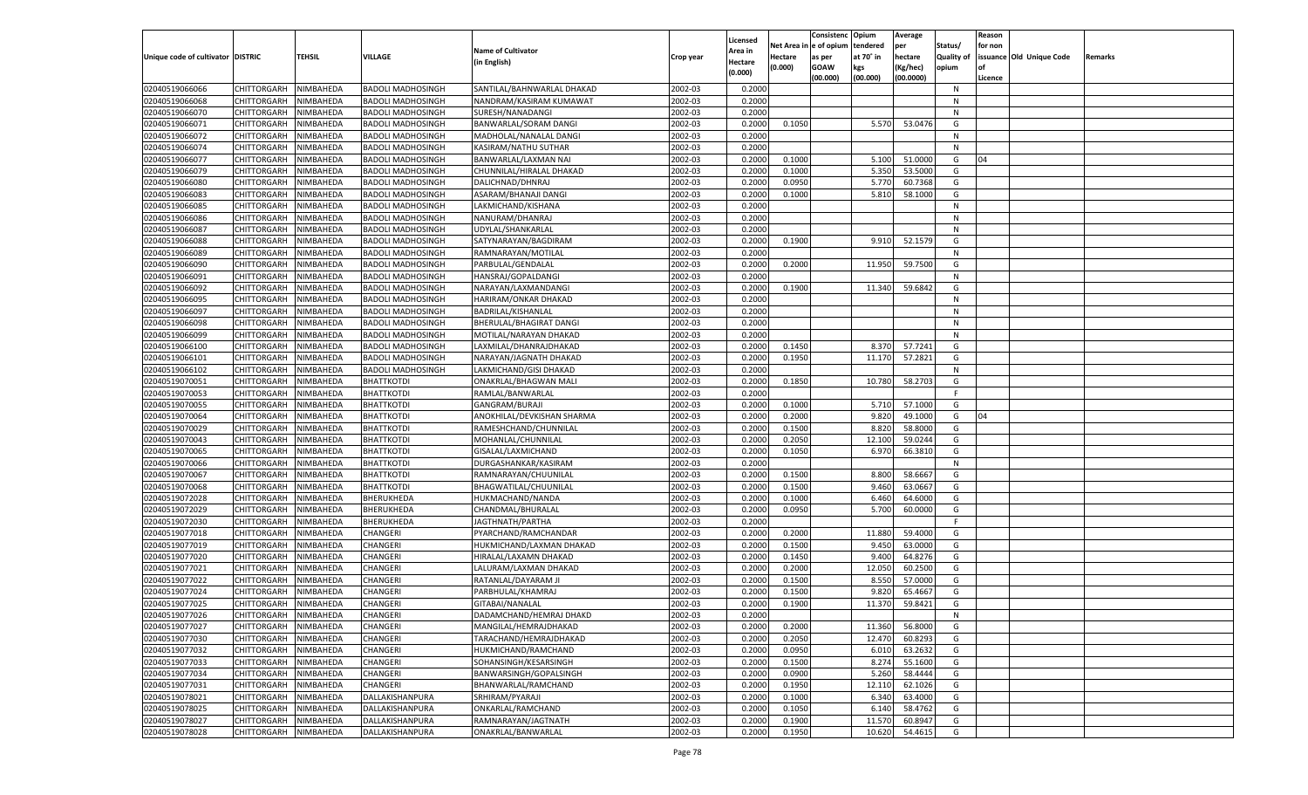|                                   |                    |           |                          |                            |           |                    |         | Consistenc Opium       |           | Average   |                   | Reason  |                          |                |
|-----------------------------------|--------------------|-----------|--------------------------|----------------------------|-----------|--------------------|---------|------------------------|-----------|-----------|-------------------|---------|--------------------------|----------------|
|                                   |                    |           |                          | <b>Name of Cultivator</b>  |           | Licensed           |         | Net Area in e of opium | tendered  | per       | Status/           | for non |                          |                |
| Unique code of cultivator DISTRIC |                    | TEHSIL    | <b>VILLAGE</b>           |                            | Crop year | Area in            | Hectare | as per                 | at 70° in | hectare   | <b>Quality of</b> |         | issuance Old Unique Code | <b>Remarks</b> |
|                                   |                    |           |                          | (in English)               |           | Hectare<br>(0.000) | (0.000) | <b>GOAW</b>            | kgs       | (Kg/hec)  | opium             |         |                          |                |
|                                   |                    |           |                          |                            |           |                    |         | (00.000)               | (00.000)  | (00.0000) |                   | Licence |                          |                |
| 02040519066066                    | CHITTORGARH        | NIMBAHEDA | <b>BADOLI MADHOSINGH</b> | SANTILAL/BAHNWARLAL DHAKAD | 2002-03   | 0.2000             |         |                        |           |           | N                 |         |                          |                |
| 02040519066068                    | CHITTORGARH        | NIMBAHEDA | <b>BADOLI MADHOSINGH</b> | NANDRAM/KASIRAM KUMAWAT    | 2002-03   | 0.2000             |         |                        |           |           | N                 |         |                          |                |
| 02040519066070                    | CHITTORGARH        | NIMBAHEDA | <b>BADOLI MADHOSINGH</b> | SURESH/NANADANGI           | 2002-03   | 0.2000             |         |                        |           |           | N                 |         |                          |                |
| 02040519066071                    | CHITTORGARH        | NIMBAHEDA | <b>BADOLI MADHOSINGH</b> | BANWARLAL/SORAM DANGI      | 2002-03   | 0.2000             | 0.1050  |                        | 5.570     | 53.0476   | G                 |         |                          |                |
| 02040519066072                    | CHITTORGARH        | NIMBAHEDA | <b>BADOLI MADHOSINGH</b> | MADHOLAL/NANALAL DANGI     | 2002-03   | 0.2000             |         |                        |           |           | N                 |         |                          |                |
| 02040519066074                    | CHITTORGARH        | NIMBAHEDA | <b>BADOLI MADHOSINGH</b> | KASIRAM/NATHU SUTHAR       | 2002-03   | 0.2000             |         |                        |           |           | N                 |         |                          |                |
| 02040519066077                    | CHITTORGARH        | NIMBAHEDA | <b>BADOLI MADHOSINGH</b> | BANWARLAL/LAXMAN NAI       | 2002-03   | 0.2000             | 0.1000  |                        | 5.100     | 51.0000   | G                 | 04      |                          |                |
| 02040519066079                    | CHITTORGARH        | NIMBAHEDA | <b>BADOLI MADHOSINGH</b> | CHUNNILAL/HIRALAL DHAKAD   | 2002-03   | 0.2000             | 0.1000  |                        | 5.350     | 53.5000   | G                 |         |                          |                |
| 02040519066080                    | CHITTORGARH        | NIMBAHEDA | <b>BADOLI MADHOSINGH</b> | DALICHNAD/DHNRAJ           | 2002-03   | 0.2000             | 0.0950  |                        | 5.770     | 60.7368   | G                 |         |                          |                |
| 02040519066083                    | CHITTORGARH        | NIMBAHEDA | <b>BADOLI MADHOSINGH</b> | ASARAM/BHANAJI DANGI       | 2002-03   | 0.2000             | 0.1000  |                        | 5.810     | 58.1000   | G                 |         |                          |                |
| 02040519066085                    | CHITTORGARH        | NIMBAHEDA | <b>BADOLI MADHOSINGH</b> | LAKMICHAND/KISHANA         | 2002-03   | 0.2000             |         |                        |           |           | N                 |         |                          |                |
| 02040519066086                    | CHITTORGARH        | NIMBAHEDA | <b>BADOLI MADHOSINGH</b> |                            | 2002-03   | 0.2000             |         |                        |           |           | N                 |         |                          |                |
|                                   |                    |           |                          | NANURAM/DHANRAJ            |           |                    |         |                        |           |           |                   |         |                          |                |
| 02040519066087                    | CHITTORGARH        | NIMBAHEDA | <b>BADOLI MADHOSINGH</b> | UDYLAL/SHANKARLAL          | 2002-03   | 0.2000             |         |                        |           |           | N                 |         |                          |                |
| 02040519066088                    | CHITTORGARH        | NIMBAHEDA | BADOLI MADHOSINGH        | SATYNARAYAN/BAGDIRAM       | 2002-03   | 0.2000             | 0.1900  |                        | 9.910     | 52.1579   | G                 |         |                          |                |
| 02040519066089                    | CHITTORGARH        | NIMBAHEDA | <b>BADOLI MADHOSINGH</b> | RAMNARAYAN/MOTILAL         | 2002-03   | 0.2000             |         |                        |           |           | N                 |         |                          |                |
| 02040519066090                    | CHITTORGARH        | NIMBAHEDA | <b>BADOLI MADHOSINGH</b> | PARBULAL/GENDALAL          | 2002-03   | 0.2000             | 0.2000  |                        | 11.950    | 59.7500   | G                 |         |                          |                |
| 02040519066091                    | CHITTORGARH        | NIMBAHEDA | <b>BADOLI MADHOSINGH</b> | HANSRAJ/GOPALDANGI         | 2002-03   | 0.2000             |         |                        |           |           | N                 |         |                          |                |
| 02040519066092                    | CHITTORGARH        | NIMBAHEDA | BADOLI MADHOSINGH        | NARAYAN/LAXMANDANGI        | 2002-03   | 0.2000             | 0.1900  |                        | 11.340    | 59.6842   | G                 |         |                          |                |
| 02040519066095                    | CHITTORGARH        | NIMBAHEDA | <b>BADOLI MADHOSINGH</b> | HARIRAM/ONKAR DHAKAD       | 2002-03   | 0.2000             |         |                        |           |           | N                 |         |                          |                |
| 02040519066097                    | CHITTORGARH        | NIMBAHEDA | <b>BADOLI MADHOSINGH</b> | BADRILAL/KISHANLAL         | 2002-03   | 0.2000             |         |                        |           |           | N                 |         |                          |                |
| 02040519066098                    | CHITTORGARH        | NIMBAHEDA | <b>BADOLI MADHOSINGH</b> | BHERULAL/BHAGIRAT DANGI    | 2002-03   | 0.2000             |         |                        |           |           | N                 |         |                          |                |
| 02040519066099                    | CHITTORGARH        | NIMBAHEDA | BADOLI MADHOSINGH        | MOTILAL/NARAYAN DHAKAD     | 2002-03   | 0.2000             |         |                        |           |           | N                 |         |                          |                |
| 02040519066100                    | CHITTORGARH        | NIMBAHEDA | <b>BADOLI MADHOSINGH</b> | LAXMILAL/DHANRAJDHAKAD     | 2002-03   | 0.2000             | 0.1450  |                        | 8.370     | 57.7241   | G                 |         |                          |                |
| 02040519066101                    | CHITTORGARH        | NIMBAHEDA | <b>BADOLI MADHOSINGH</b> | NARAYAN/JAGNATH DHAKAD     | 2002-03   | 0.2000             | 0.1950  |                        | 11.170    | 57.2821   | G                 |         |                          |                |
| 02040519066102                    | CHITTORGARH        | NIMBAHEDA | <b>BADOLI MADHOSINGH</b> | LAKMICHAND/GISI DHAKAD     | 2002-03   | 0.2000             |         |                        |           |           | N                 |         |                          |                |
| 02040519070051                    | CHITTORGARH        | NIMBAHEDA | BHATTKOTDI               | ONAKRLAL/BHAGWAN MALI      | 2002-03   | 0.2000             | 0.1850  |                        | 10.780    | 58.2703   | G                 |         |                          |                |
|                                   |                    |           |                          |                            |           |                    |         |                        |           |           | F.                |         |                          |                |
| 02040519070053                    | CHITTORGARH        | NIMBAHEDA | <b>BHATTKOTDI</b>        | RAMLAL/BANWARLAL           | 2002-03   | 0.2000             |         |                        |           |           |                   |         |                          |                |
| 02040519070055                    | CHITTORGARH        | NIMBAHEDA | <b>BHATTKOTDI</b>        | GANGRAM/BURAJI             | 2002-03   | 0.2000             | 0.1000  |                        | 5.710     | 57.1000   | G                 |         |                          |                |
| 02040519070064                    | CHITTORGARH        | NIMBAHEDA | <b>BHATTKOTDI</b>        | ANOKHILAL/DEVKISHAN SHARMA | 2002-03   | 0.2000             | 0.2000  |                        | 9.820     | 49.1000   | G                 | 04      |                          |                |
| 02040519070029                    | CHITTORGARH        | NIMBAHEDA | <b>BHATTKOTDI</b>        | RAMESHCHAND/CHUNNILAL      | 2002-03   | 0.2000             | 0.1500  |                        | 8.820     | 58.8000   | G                 |         |                          |                |
| 02040519070043                    | CHITTORGARH        | NIMBAHEDA | BHATTKOTDI               | MOHANLAL/CHUNNILAL         | 2002-03   | 0.2000             | 0.2050  |                        | 12.100    | 59.0244   | G                 |         |                          |                |
| 02040519070065                    | CHITTORGARH        | NIMBAHEDA | BHATTKOTDI               | GISALAL/LAXMICHAND         | 2002-03   | 0.2000             | 0.1050  |                        | 6.970     | 66.3810   | G                 |         |                          |                |
| 02040519070066                    | CHITTORGARH        | NIMBAHEDA | BHATTKOTDI               | DURGASHANKAR/KASIRAM       | 2002-03   | 0.2000             |         |                        |           |           | N                 |         |                          |                |
| 02040519070067                    | CHITTORGARH        | NIMBAHEDA | <b>BHATTKOTDI</b>        | RAMNARAYAN/CHUUNILAL       | 2002-03   | 0.2000             | 0.1500  |                        | 8.800     | 58.6667   | G                 |         |                          |                |
| 02040519070068                    | CHITTORGARH        | NIMBAHEDA | BHATTKOTDI               | BHAGWATILAL/CHUUNILAL      | 2002-03   | 0.2000             | 0.1500  |                        | 9.460     | 63.0667   | G                 |         |                          |                |
| 02040519072028                    | CHITTORGARH        | NIMBAHEDA | BHERUKHEDA               | HUKMACHAND/NANDA           | 2002-03   | 0.2000             | 0.1000  |                        | 6.460     | 64.6000   | G                 |         |                          |                |
| 02040519072029                    | CHITTORGARH        | NIMBAHEDA | BHERUKHEDA               | CHANDMAL/BHURALAL          | 2002-03   | 0.2000             | 0.0950  |                        | 5.700     | 60.0000   | G                 |         |                          |                |
| 02040519072030                    | CHITTORGARH        | NIMBAHEDA | BHERUKHEDA               | JAGTHNATH/PARTHA           | 2002-03   | 0.2000             |         |                        |           |           | F.                |         |                          |                |
| 02040519077018                    | CHITTORGARH        | NIMBAHEDA | CHANGERI                 | PYARCHAND/RAMCHANDAR       | 2002-03   | 0.2000             | 0.2000  |                        | 11.880    | 59.4000   | G                 |         |                          |                |
| 02040519077019                    | CHITTORGARH        | NIMBAHEDA | CHANGERI                 | HUKMICHAND/LAXMAN DHAKAD   | 2002-03   | 0.2000             | 0.1500  |                        | 9.450     | 63.0000   | G                 |         |                          |                |
| 02040519077020                    | CHITTORGARH        | NIMBAHEDA | CHANGERI                 | HIRALAL/LAXAMN DHAKAD      | 2002-03   | 0.2000             | 0.1450  |                        | 9.400     | 64.8276   | G                 |         |                          |                |
| 02040519077021                    | CHITTORGARH        | NIMBAHEDA | CHANGERI                 | LALURAM/LAXMAN DHAKAD      | 2002-03   | 0.2000             | 0.2000  |                        | 12.050    | 60.2500   | G                 |         |                          |                |
| 02040519077022                    | CHITTORGARH        | NIMBAHEDA | CHANGERI                 | RATANLAL/DAYARAM JI        | 2002-03   | 0.2000             | 0.1500  |                        | 8.550     | 57.0000   | G                 |         |                          |                |
| 02040519077024                    | CHITTORGARH        | NIMBAHEDA | CHANGERI                 | PARBHULAL/KHAMRAJ          | 2002-03   | 0.2000             | 0.1500  |                        | 9.820     | 65.4667   |                   |         |                          |                |
|                                   |                    |           |                          |                            |           |                    |         |                        |           |           | G                 |         |                          |                |
| 02040519077025                    | CHITTORGARH        | NIMBAHEDA | CHANGERI                 | GITABAI/NANALAL            | 2002-03   | 0.2000             | 0.1900  |                        | 11.370    | 59.8421   | G                 |         |                          |                |
| 02040519077026                    | CHITTORGARH        | NIMBAHEDA | <b>CHANGERI</b>          | DADAMCHAND/HEMRAJ DHAKD    | 2002-03   | 0.2000             |         |                        |           |           | N                 |         |                          |                |
| 02040519077027                    | <b>CHITTORGARH</b> | NIMBAHEDA | <b>CHANGERI</b>          | MANGILAL/HEMRAJDHAKAD      | 2002-03   | 0.2000             | 0.2000  |                        | 11.360    | 56.8000   | G                 |         |                          |                |
| 02040519077030                    | CHITTORGARH        | NIMBAHEDA | CHANGERI                 | TARACHAND/HEMRAJDHAKAD     | 2002-03   | 0.2000             | 0.2050  |                        | 12.470    | 60.8293   | G                 |         |                          |                |
| 02040519077032                    | <b>CHITTORGARH</b> | NIMBAHEDA | CHANGERI                 | HUKMICHAND/RAMCHAND        | 2002-03   | 0.2000             | 0.0950  |                        | 6.010     | 63.2632   | G                 |         |                          |                |
| 02040519077033                    | <b>CHITTORGARH</b> | NIMBAHEDA | CHANGERI                 | SOHANSINGH/KESARSINGH      | 2002-03   | 0.2000             | 0.1500  |                        | 8.274     | 55.1600   | G                 |         |                          |                |
| 02040519077034                    | <b>CHITTORGARH</b> | NIMBAHEDA | CHANGERI                 | BANWARSINGH/GOPALSINGH     | 2002-03   | 0.2000             | 0.0900  |                        | 5.260     | 58.4444   | G                 |         |                          |                |
| 02040519077031                    | CHITTORGARH        | NIMBAHEDA | <b>CHANGERI</b>          | BHANWARLAL/RAMCHAND        | 2002-03   | 0.2000             | 0.1950  |                        | 12.110    | 62.1026   | G                 |         |                          |                |
| 02040519078021                    | <b>CHITTORGARH</b> | NIMBAHEDA | DALLAKISHANPURA          | SRHIRAM/PYARAJI            | 2002-03   | 0.2000             | 0.1000  |                        | 6.340     | 63.4000   | G                 |         |                          |                |
| 02040519078025                    | <b>CHITTORGARH</b> | NIMBAHEDA | DALLAKISHANPURA          | ONKARLAL/RAMCHAND          | 2002-03   | 0.2000             | 0.1050  |                        | 6.140     | 58.4762   | G                 |         |                          |                |
| 02040519078027                    | <b>CHITTORGARH</b> | NIMBAHEDA | DALLAKISHANPURA          | RAMNARAYAN/JAGTNATH        | 2002-03   | 0.2000             | 0.1900  |                        | 11.570    | 60.8947   | G                 |         |                          |                |
| 02040519078028                    | <b>CHITTORGARH</b> | NIMBAHEDA | DALLAKISHANPURA          | ONAKRLAL/BANWARLAL         | 2002-03   | 0.2000             | 0.1950  |                        | 10.620    | 54.4615   | G                 |         |                          |                |
|                                   |                    |           |                          |                            |           |                    |         |                        |           |           |                   |         |                          |                |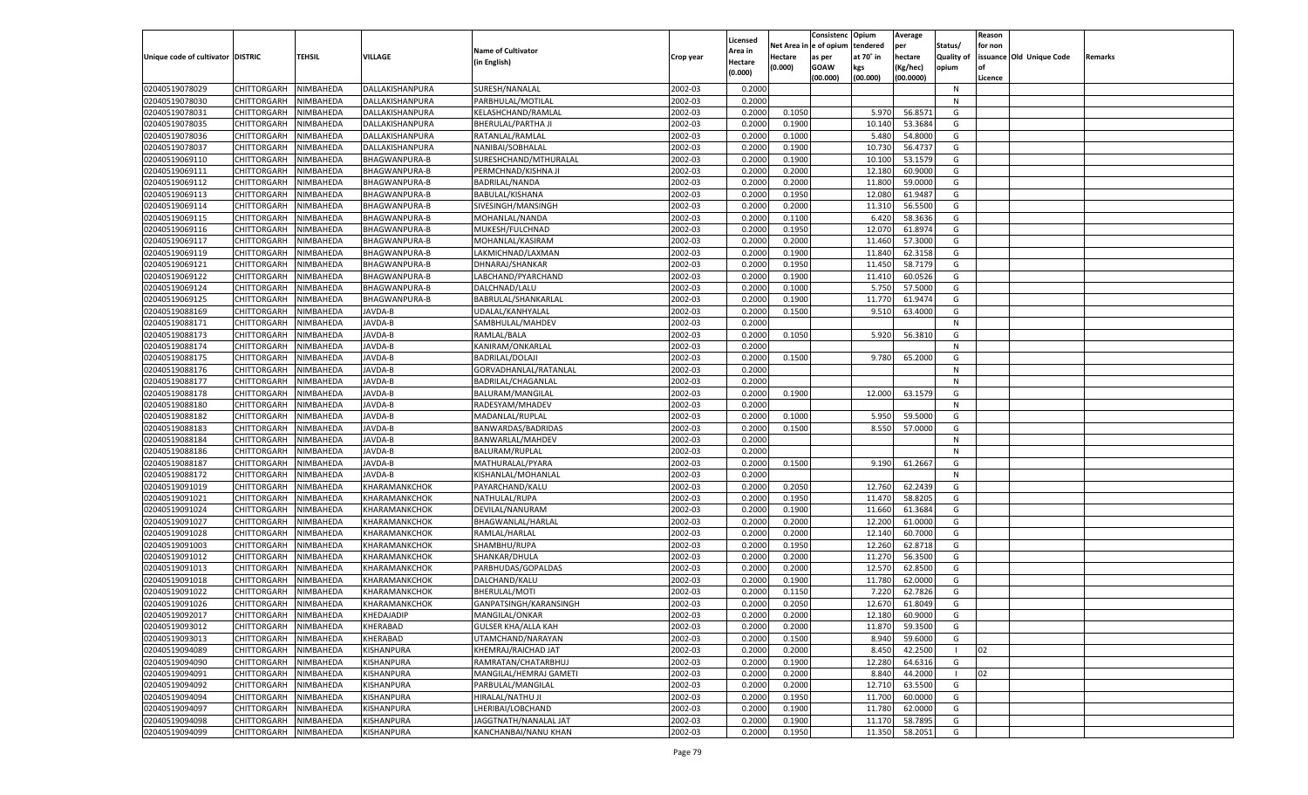|                                   |                    |           |                      |                            |           |                    |         | Consistenc Opium       |           | Average   |                   | Reason  |                          |                |
|-----------------------------------|--------------------|-----------|----------------------|----------------------------|-----------|--------------------|---------|------------------------|-----------|-----------|-------------------|---------|--------------------------|----------------|
|                                   |                    |           |                      | <b>Name of Cultivator</b>  |           | Licensed           |         | Net Area in e of opium | tendered  | per       | Status/           | for non |                          |                |
| Unique code of cultivator DISTRIC |                    | TEHSIL    | <b>VILLAGE</b>       |                            | Crop year | Area in            | Hectare | as per                 | at 70° in | hectare   | <b>Quality of</b> |         | issuance Old Unique Code | <b>Remarks</b> |
|                                   |                    |           |                      | (in English)               |           | Hectare<br>(0.000) | (0.000) | <b>GOAW</b>            | kgs       | (Kg/hec)  | opium             |         |                          |                |
|                                   |                    |           |                      |                            |           |                    |         | (00.000)               | (00.000)  | (00.0000) |                   | Licence |                          |                |
| 02040519078029                    | CHITTORGARH        | NIMBAHEDA | DALLAKISHANPURA      | SURESH/NANALAL             | 2002-03   | 0.2000             |         |                        |           |           | N                 |         |                          |                |
| 02040519078030                    | CHITTORGARH        | NIMBAHEDA | DALLAKISHANPURA      | PARBHULAL/MOTILAL          | 2002-03   | 0.2000             |         |                        |           |           | N                 |         |                          |                |
| 02040519078031                    | CHITTORGARH        | NIMBAHEDA | DALLAKISHANPURA      | KELASHCHAND/RAMLAL         | 2002-03   | 0.2000             | 0.1050  |                        | 5.970     | 56.8571   | G                 |         |                          |                |
| 02040519078035                    | CHITTORGARH        | NIMBAHEDA | DALLAKISHANPURA      | BHERULAL/PARTHA JI         | 2002-03   | 0.2000             | 0.1900  |                        | 10.140    | 53.3684   | G                 |         |                          |                |
| 02040519078036                    | CHITTORGARH        | NIMBAHEDA | DALLAKISHANPURA      | RATANLAL/RAMLAL            | 2002-03   | 0.2000             | 0.1000  |                        | 5.480     | 54.8000   | G                 |         |                          |                |
| 02040519078037                    | CHITTORGARH        | NIMBAHEDA | DALLAKISHANPURA      | NANIBAI/SOBHALAL           | 2002-03   | 0.2000             | 0.1900  |                        | 10.73     | 56.4737   | G                 |         |                          |                |
| 02040519069110                    | CHITTORGARH        | NIMBAHEDA | BHAGWANPURA-B        | SURESHCHAND/MTHURALAL      | 2002-03   | 0.2000             | 0.1900  |                        | 10.100    | 53.1579   | G                 |         |                          |                |
| 02040519069111                    | CHITTORGARH        | NIMBAHEDA | <b>BHAGWANPURA-B</b> | PERMCHNAD/KISHNA JI        | 2002-03   | 0.2000             | 0.2000  |                        | 12.180    | 60.9000   | G                 |         |                          |                |
| 02040519069112                    | CHITTORGARH        | NIMBAHEDA | <b>BHAGWANPURA-B</b> | BADRILAL/NANDA             | 2002-03   | 0.2000             | 0.2000  |                        | 11.800    | 59.0000   | G                 |         |                          |                |
| 02040519069113                    | CHITTORGARH        | NIMBAHEDA | <b>BHAGWANPURA-B</b> | BABULAL/KISHANA            | 2002-03   | 0.2000             | 0.1950  |                        | 12.080    | 61.9487   | G                 |         |                          |                |
| 02040519069114                    | CHITTORGARH        | NIMBAHEDA | <b>BHAGWANPURA-B</b> | SIVESINGH/MANSINGH         | 2002-03   | 0.2000             | 0.2000  |                        | 11.310    | 56.5500   | G                 |         |                          |                |
| 02040519069115                    | CHITTORGARH        | NIMBAHEDA | <b>BHAGWANPURA-B</b> | MOHANLAL/NANDA             | 2002-03   | 0.2000             | 0.1100  |                        | 6.420     | 58.3636   | G                 |         |                          |                |
| 02040519069116                    | CHITTORGARH        | NIMBAHEDA | BHAGWANPURA-B        | MUKESH/FULCHNAD            | 2002-03   | 0.2000             | 0.1950  |                        | 12.070    | 61.8974   | G                 |         |                          |                |
| 02040519069117                    | CHITTORGARH        | NIMBAHEDA | BHAGWANPURA-B        | MOHANLAL/KASIRAM           | 2002-03   | 0.2000             | 0.2000  |                        | 11.460    | 57.3000   | G                 |         |                          |                |
| 02040519069119                    | CHITTORGARH        | NIMBAHEDA | BHAGWANPURA-B        | LAKMICHNAD/LAXMAN          | 2002-03   | 0.2000             | 0.1900  |                        | 11.840    | 62.3158   | G                 |         |                          |                |
| 02040519069121                    | CHITTORGARH        | NIMBAHEDA | BHAGWANPURA-B        | DHNARAJ/SHANKAR            | 2002-03   | 0.2000             | 0.1950  |                        | 11.450    | 58.7179   | G                 |         |                          |                |
| 02040519069122                    | CHITTORGARH        | NIMBAHEDA | BHAGWANPURA-B        | LABCHAND/PYARCHAND         | 2002-03   | 0.2000             | 0.1900  |                        | 11.410    | 60.0526   | G                 |         |                          |                |
| 02040519069124                    | CHITTORGARH        | NIMBAHEDA | BHAGWANPURA-B        | DALCHNAD/LALU              | 2002-03   | 0.2000             | 0.1000  |                        | 5.750     | 57.5000   | G                 |         |                          |                |
| 02040519069125                    | CHITTORGARH        | NIMBAHEDA | BHAGWANPURA-B        | BABRULAL/SHANKARLAL        | 2002-03   | 0.2000             | 0.1900  |                        | 11.770    | 61.9474   | G                 |         |                          |                |
| 02040519088169                    | CHITTORGARH        | NIMBAHEDA | JAVDA-B              | UDALAL/KANHYALAL           | 2002-03   | 0.2000             | 0.1500  |                        | 9.510     | 63.4000   | G                 |         |                          |                |
| 02040519088171                    | CHITTORGARH        | NIMBAHEDA | JAVDA-B              | SAMBHULAL/MAHDEV           | 2002-03   | 0.2000             |         |                        |           |           | N                 |         |                          |                |
| 02040519088173                    | CHITTORGARH        | NIMBAHEDA | JAVDA-B              | RAMLAL/BALA                | 2002-03   | 0.2000             | 0.1050  |                        | 5.920     | 56.3810   | G                 |         |                          |                |
| 02040519088174                    | CHITTORGARH        | NIMBAHEDA | JAVDA-B              | KANIRAM/ONKARLAL           | 2002-03   | 0.2000             |         |                        |           |           | N                 |         |                          |                |
| 02040519088175                    | CHITTORGARH        | NIMBAHEDA | JAVDA-B              | <b>BADRILAL/DOLAJI</b>     | 2002-03   | 0.2000             | 0.1500  |                        | 9.780     | 65.2000   | G                 |         |                          |                |
| 02040519088176                    | CHITTORGARH        | NIMBAHEDA | JAVDA-B              | GORVADHANLAL/RATANLAL      | 2002-03   | 0.2000             |         |                        |           |           | N                 |         |                          |                |
| 02040519088177                    | CHITTORGARH        | NIMBAHEDA | JAVDA-B              | BADRILAL/CHAGANLAL         | 2002-03   | 0.2000             |         |                        |           |           | N                 |         |                          |                |
| 02040519088178                    | CHITTORGARH        | NIMBAHEDA | JAVDA-B              | BALURAM/MANGILAL           | 2002-03   | 0.2000             | 0.1900  |                        | 12.000    | 63.1579   | G                 |         |                          |                |
| 02040519088180                    | CHITTORGARH        | NIMBAHEDA | JAVDA-B              | RADESYAM/MHADEV            | 2002-03   | 0.2000             |         |                        |           |           | N                 |         |                          |                |
| 02040519088182                    | CHITTORGARH        | NIMBAHEDA | JAVDA-B              | MADANLAL/RUPLAL            | 2002-03   | 0.2000             | 0.1000  |                        | 5.950     | 59.5000   | G                 |         |                          |                |
| 02040519088183                    | CHITTORGARH        | NIMBAHEDA | JAVDA-B              | BANWARDAS/BADRIDAS         | 2002-03   | 0.2000             | 0.1500  |                        | 8.550     | 57.0000   | G                 |         |                          |                |
|                                   |                    |           |                      |                            | 2002-03   |                    |         |                        |           |           | N                 |         |                          |                |
| 02040519088184                    | CHITTORGARH        | NIMBAHEDA | JAVDA-B              | BANWARLAL/MAHDEV           |           | 0.2000<br>0.2000   |         |                        |           |           | N                 |         |                          |                |
| 02040519088186                    | CHITTORGARH        | NIMBAHEDA | JAVDA-B              | BALURAM/RUPLAL             | 2002-03   |                    |         |                        |           |           | G                 |         |                          |                |
| 02040519088187                    | CHITTORGARH        | NIMBAHEDA | JAVDA-B              | MATHURALAL/PYARA           | 2002-03   | 0.2000             | 0.1500  |                        | 9.190     | 61.2667   |                   |         |                          |                |
| 02040519088172                    | CHITTORGARH        | NIMBAHEDA | JAVDA-B              | KISHANLAL/MOHANLAL         | 2002-03   | 0.2000             |         |                        |           |           | N                 |         |                          |                |
| 02040519091019                    | CHITTORGARH        | NIMBAHEDA | KHARAMANKCHOK        | PAYARCHAND/KALU            | 2002-03   | 0.2000             | 0.2050  |                        | 12.760    | 62.2439   | G                 |         |                          |                |
| 02040519091021                    | CHITTORGARH        | NIMBAHEDA | KHARAMANKCHOK        | NATHULAL/RUPA              | 2002-03   | 0.2000             | 0.1950  |                        | 11.470    | 58.8205   | G                 |         |                          |                |
| 02040519091024                    | CHITTORGARH        | NIMBAHEDA | KHARAMANKCHOK        | DEVILAL/NANURAM            | 2002-03   | 0.2000             | 0.1900  |                        | 11.660    | 61.3684   | G                 |         |                          |                |
| 02040519091027                    | CHITTORGARH        | NIMBAHEDA | KHARAMANKCHOK        | BHAGWANLAL/HARLAL          | 2002-03   | 0.2000             | 0.2000  |                        | 12.200    | 61.0000   | G                 |         |                          |                |
| 02040519091028                    | CHITTORGARH        | NIMBAHEDA | KHARAMANKCHOK        | RAMLAL/HARLAL              | 2002-03   | 0.2000             | 0.2000  |                        | 12.140    | 60.7000   | G                 |         |                          |                |
| 02040519091003                    | CHITTORGARH        | NIMBAHEDA | KHARAMANKCHOK        | SHAMBHU/RUPA               | 2002-03   | 0.2000             | 0.1950  |                        | 12.260    | 62.8718   | G                 |         |                          |                |
| 02040519091012                    | CHITTORGARH        | NIMBAHEDA | KHARAMANKCHOK        | SHANKAR/DHULA              | 2002-03   | 0.2000             | 0.2000  |                        | 11.270    | 56.3500   | G                 |         |                          |                |
| 02040519091013                    | CHITTORGARH        | NIMBAHEDA | KHARAMANKCHOK        | PARBHUDAS/GOPALDAS         | 2002-03   | 0.2000             | 0.2000  |                        | 12.570    | 62.8500   | G                 |         |                          |                |
| 02040519091018                    | CHITTORGARH        | NIMBAHEDA | KHARAMANKCHOK        | DALCHAND/KALU              | 2002-03   | 0.2000             | 0.1900  |                        | 11.780    | 62.0000   | G                 |         |                          |                |
| 02040519091022                    | CHITTORGARH        | NIMBAHEDA | KHARAMANKCHOK        | BHERULAL/MOTI              | 2002-03   | 0.2000             | 0.1150  |                        | 7.220     | 62.7826   | G                 |         |                          |                |
| 02040519091026                    | CHITTORGARH        | NIMBAHEDA | KHARAMANKCHOK        | GANPATSINGH/KARANSINGH     | 2002-03   | 0.2000             | 0.2050  |                        | 12.670    | 61.8049   | G                 |         |                          |                |
| 02040519092017                    | CHITTORGARH        | NIMBAHEDA | <b>KHEDAJADIP</b>    | MANGILAL/ONKAR             | 2002-03   | 0.2000             | 0.2000  |                        | 12.180    | 60.9000   | G                 |         |                          |                |
| 02040519093012                    | <b>CHITTORGARH</b> | NIMBAHEDA | KHERABAD             | <b>GULSER KHA/ALLA KAH</b> | 2002-03   | 0.2000             | 0.2000  |                        | 11.870    | 59.3500   | G                 |         |                          |                |
| 02040519093013                    | <b>CHITTORGARH</b> | NIMBAHEDA | KHERABAD             | UTAMCHAND/NARAYAN          | 2002-03   | 0.2000             | 0.1500  |                        | 8.940     | 59.6000   | G                 |         |                          |                |
| 02040519094089                    | <b>CHITTORGARH</b> | NIMBAHEDA | KISHANPURA           | KHEMRAJ/RAICHAD JAT        | 2002-03   | 0.2000             | 0.2000  |                        | 8.450     | 42.2500   |                   | 02      |                          |                |
| 02040519094090                    | <b>CHITTORGARH</b> | NIMBAHEDA | KISHANPURA           | RAMRATAN/CHATARBHUJ        | 2002-03   | 0.2000             | 0.1900  |                        | 12.280    | 64.6316   | G                 |         |                          |                |
| 02040519094091                    | <b>CHITTORGARH</b> | NIMBAHEDA | KISHANPURA           | MANGILAL/HEMRAJ GAMETI     | 2002-03   | 0.2000             | 0.2000  |                        | 8.840     | 44.2000   | - 1               | 02      |                          |                |
| 02040519094092                    | CHITTORGARH        | NIMBAHEDA | KISHANPURA           | PARBULAL/MANGILAL          | 2002-03   | 0.2000             | 0.2000  |                        | 12.710    | 63.5500   | G                 |         |                          |                |
| 02040519094094                    | <b>CHITTORGARH</b> | NIMBAHEDA | KISHANPURA           | HIRALAL/NATHU JI           | 2002-03   | 0.2000             | 0.1950  |                        | 11.700    | 60.0000   | G                 |         |                          |                |
| 02040519094097                    | <b>CHITTORGARH</b> | NIMBAHEDA | KISHANPURA           | LHERIBAI/LOBCHAND          | 2002-03   | 0.2000             | 0.1900  |                        | 11.780    | 62.0000   | G                 |         |                          |                |
| 02040519094098                    | <b>CHITTORGARH</b> | NIMBAHEDA | KISHANPURA           | JAGGTNATH/NANALAL JAT      | 2002-03   | 0.2000             | 0.1900  |                        | 11.170    | 58.7895   | G                 |         |                          |                |
| 02040519094099                    | <b>CHITTORGARH</b> | NIMBAHEDA | KISHANPURA           | KANCHANBAI/NANU KHAN       | 2002-03   | 0.2000             | 0.1950  |                        | 11.350    | 58.2051   | G                 |         |                          |                |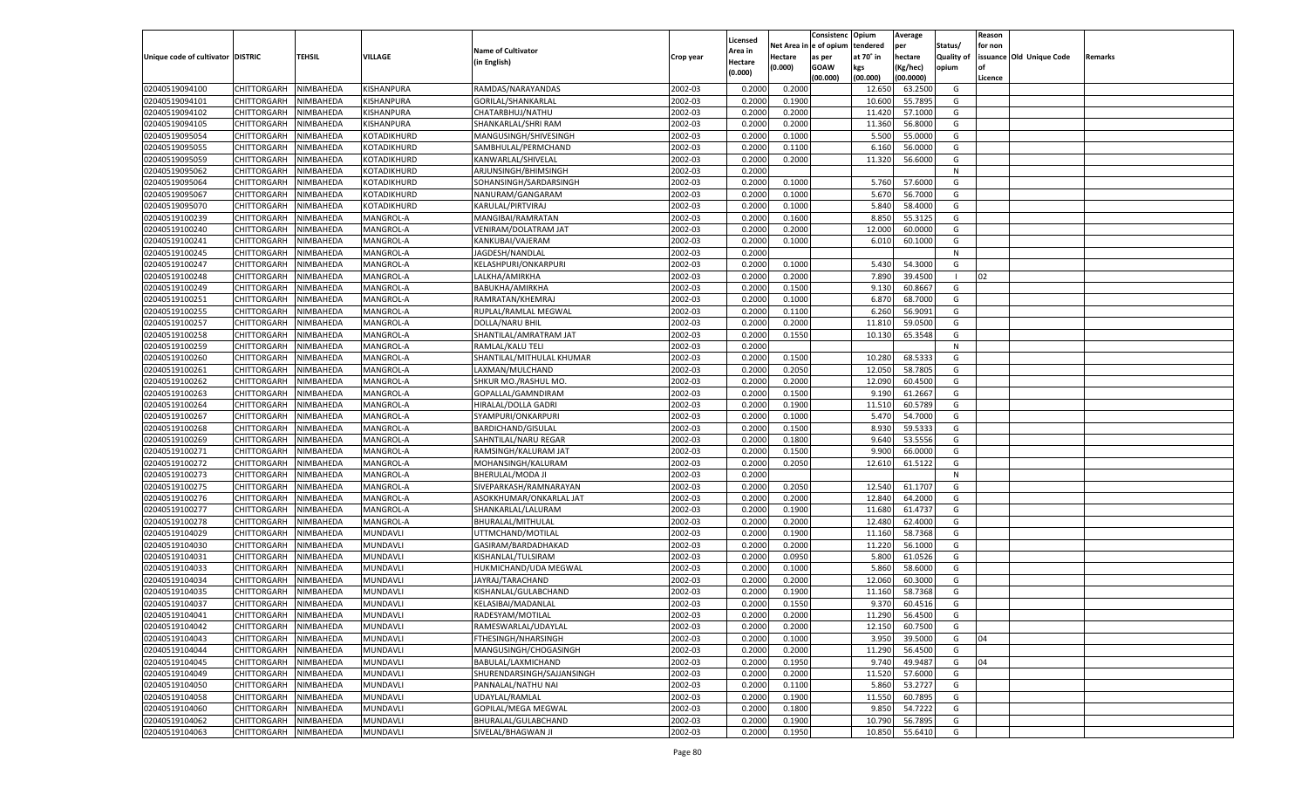|                                   |                       |                  |                 |                                       |           |                    |                  | Consistenc   | Opium     | Average   |                   | Reason  |                          |         |
|-----------------------------------|-----------------------|------------------|-----------------|---------------------------------------|-----------|--------------------|------------------|--------------|-----------|-----------|-------------------|---------|--------------------------|---------|
|                                   |                       |                  |                 | <b>Name of Cultivator</b>             |           | Licensed           | Net Area i       | n e of opium | tendered  | per       | Status/           | for non |                          |         |
| Unique code of cultivator DISTRIC |                       | TEHSIL           | VILLAGE         | (in English)                          | Crop year | Area in<br>Hectare | Hectare          | as per       | at 70° in | hectare   | <b>Quality of</b> |         | issuance Old Unique Code | Remarks |
|                                   |                       |                  |                 |                                       |           | (0.000)            | (0.000)          | <b>GOAW</b>  | kgs       | (Kg/hec)  | opium             |         |                          |         |
|                                   |                       |                  |                 |                                       |           |                    |                  | (00.000)     | (00.000)  | (00.0000) |                   | Licence |                          |         |
| 02040519094100                    | CHITTORGARH           | NIMBAHEDA        | KISHANPURA      | RAMDAS/NARAYANDAS                     | 2002-03   | 0.2000             | 0.2000           |              | 12.650    | 63.2500   | G                 |         |                          |         |
| 02040519094101                    | CHITTORGARH           | NIMBAHEDA        | KISHANPURA      | GORILAL/SHANKARLAL                    | 2002-03   | 0.2000             | 0.1900           |              | 10.600    | 55.7895   | G                 |         |                          |         |
| 02040519094102                    | CHITTORGARH           | NIMBAHEDA        | KISHANPURA      | CHATARBHUJ/NATHU                      | 2002-03   | 0.2000             | 0.2000           |              | 11.420    | 57.1000   | G                 |         |                          |         |
| 02040519094105                    | CHITTORGARH           | NIMBAHEDA        | KISHANPURA      | SHANKARLAL/SHRI RAM                   | 2002-03   | 0.2000             | 0.2000           |              | 11.360    | 56.8000   | G                 |         |                          |         |
| 02040519095054                    | CHITTORGARH           | NIMBAHEDA        | KOTADIKHURD     | MANGUSINGH/SHIVESINGH                 | 2002-03   | 0.2000             | 0.1000           |              | 5.500     | 55.0000   | G                 |         |                          |         |
| 02040519095055                    | CHITTORGARH           | NIMBAHEDA        | KOTADIKHURD     | SAMBHULAL/PERMCHAND                   | 2002-03   | 0.2000             | 0.1100           |              | 6.160     | 56.0000   | G                 |         |                          |         |
| 02040519095059                    | CHITTORGARH           | NIMBAHEDA        | KOTADIKHURD     | KANWARLAL/SHIVELAL                    | 2002-03   | 0.2000             | 0.2000           |              | 11.320    | 56.6000   | G                 |         |                          |         |
| 02040519095062                    | CHITTORGARH           | NIMBAHEDA        | KOTADIKHURD     | ARJUNSINGH/BHIMSINGH                  | 2002-03   | 0.2000             |                  |              |           |           | N                 |         |                          |         |
| 02040519095064                    | CHITTORGARH           | NIMBAHEDA        | KOTADIKHURD     | SOHANSINGH/SARDARSINGH                | 2002-03   | 0.2000             | 0.1000           |              | 5.760     | 57.6000   | G                 |         |                          |         |
| 02040519095067                    | CHITTORGARH           | NIMBAHEDA        | KOTADIKHURD     | NANURAM/GANGARAM                      | 2002-03   | 0.2000             | 0.1000           |              | 5.670     | 56.7000   | G                 |         |                          |         |
| 02040519095070                    | CHITTORGARH           | NIMBAHEDA        | KOTADIKHURD     | KARULAL/PIRTVIRAJ                     | 2002-03   | 0.2000             | 0.1000           |              | 5.840     | 58.4000   | G                 |         |                          |         |
| 02040519100239                    | CHITTORGARH           | NIMBAHEDA        | MANGROL-A       | MANGIBAI/RAMRATAN                     | 2002-03   | 0.2000             | 0.1600           |              | 8.850     | 55.3125   | G                 |         |                          |         |
| 02040519100240                    | CHITTORGARH           | NIMBAHEDA        | MANGROL-A       | VENIRAM/DOLATRAM JAT                  | 2002-03   | 0.2000             | 0.2000           |              | 12.000    | 60.0000   | G                 |         |                          |         |
| 02040519100241                    | CHITTORGARH           | NIMBAHEDA        | MANGROL-A       | KANKUBAI/VAJERAM                      | 2002-03   | 0.2000             | 0.1000           |              | 6.010     | 60.1000   | G                 |         |                          |         |
| 02040519100245                    | CHITTORGARH           | NIMBAHEDA        | MANGROL-A       | JAGDESH/NANDLAL                       | 2002-03   | 0.2000             |                  |              |           |           | N                 |         |                          |         |
| 02040519100247                    | CHITTORGARH           | NIMBAHEDA        | MANGROL-A       | KELASHPURI/ONKARPURI                  | 2002-03   | 0.2000             | 0.1000           |              | 5.430     | 54.3000   | G                 |         |                          |         |
| 02040519100248                    | CHITTORGARH           | NIMBAHEDA        | MANGROL-A       | LALKHA/AMIRKHA                        | 2002-03   | 0.2000             | 0.2000           |              | 7.890     | 39.4500   | $\blacksquare$    | 02      |                          |         |
| 02040519100249                    | CHITTORGARH           | NIMBAHEDA        | MANGROL-A       | BABUKHA/AMIRKHA                       | 2002-03   | 0.2000             | 0.1500           |              | 9.130     | 60.8667   | G                 |         |                          |         |
| 02040519100251                    | CHITTORGARH           | NIMBAHEDA        | MANGROL-A       | RAMRATAN/KHEMRAJ                      | 2002-03   | 0.2000             | 0.1000           |              | 6.870     | 68.7000   | G                 |         |                          |         |
| 02040519100255                    | CHITTORGARH           | NIMBAHEDA        | MANGROL-A       | RUPLAL/RAMLAL MEGWAL                  | 2002-03   | 0.2000             | 0.1100           |              | 6.260     | 56.9091   | G                 |         |                          |         |
| 02040519100257                    | CHITTORGARH           | NIMBAHEDA        | MANGROL-A       | <b>DOLLA/NARU BHIL</b>                | 2002-03   | 0.2000             | 0.2000           |              | 11.810    | 59.0500   | G                 |         |                          |         |
| 02040519100258                    | CHITTORGARH           | NIMBAHEDA        | MANGROL-A       | SHANTILAL/AMRATRAM JAT                | 2002-03   | 0.2000             | 0.1550           |              | 10.130    | 65.3548   | G                 |         |                          |         |
| 02040519100259                    | CHITTORGARH           | NIMBAHEDA        | MANGROL-A       | RAMLAL/KALU TELI                      | 2002-03   | 0.2000             |                  |              |           |           | N                 |         |                          |         |
| 02040519100260                    | CHITTORGARH           | NIMBAHEDA        | MANGROL-A       | SHANTILAL/MITHULAL KHUMAR             | 2002-03   | 0.2000             | 0.1500           |              | 10.280    | 68.5333   | G                 |         |                          |         |
| 02040519100261                    | CHITTORGARH           | NIMBAHEDA        | MANGROL-A       | LAXMAN/MULCHAND                       | 2002-03   | 0.2000             | 0.2050           |              | 12.050    | 58.7805   | G                 |         |                          |         |
| 02040519100262                    | CHITTORGARH           | NIMBAHEDA        | MANGROL-A       | SHKUR MO./RASHUL MO.                  | 2002-03   | 0.2000             | 0.2000           |              | 12.090    | 60.4500   | G                 |         |                          |         |
| 02040519100263                    | CHITTORGARH           | NIMBAHEDA        | MANGROL-A       | GOPALLAL/GAMNDIRAM                    | 2002-03   | 0.2000             | 0.1500           |              | 9.190     | 61.2667   | G                 |         |                          |         |
| 02040519100264                    | CHITTORGARH           | NIMBAHEDA        | MANGROL-A       | HIRALAL/DOLLA GADRI                   | 2002-03   | 0.2000             | 0.1900           |              | 11.510    | 60.5789   | G                 |         |                          |         |
| 02040519100267                    | CHITTORGARH           | NIMBAHEDA        | MANGROL-A       | SYAMPURI/ONKARPURI                    | 2002-03   | 0.2000             | 0.1000           |              | 5.470     | 54.7000   | G                 |         |                          |         |
| 02040519100268                    | CHITTORGARH           | NIMBAHEDA        | MANGROL-A       | <b>BARDICHAND/GISULAL</b>             | 2002-03   | 0.2000             | 0.1500           |              | 8.930     | 59.5333   | G                 |         |                          |         |
| 02040519100269                    | CHITTORGARH           | NIMBAHEDA        | MANGROL-A       | SAHNTILAL/NARU REGAR                  | 2002-03   | 0.2000             | 0.1800           |              | 9.640     | 53.5556   | G                 |         |                          |         |
| 02040519100271                    | CHITTORGARH           | NIMBAHEDA        | MANGROL-A       | RAMSINGH/KALURAM JAT                  | 2002-03   | 0.2000             | 0.1500           |              | 9.900     | 66.0000   | G                 |         |                          |         |
| 02040519100272                    | CHITTORGARH           | NIMBAHEDA        | MANGROL-A       | MOHANSINGH/KALURAM                    | 2002-03   | 0.2000             | 0.2050           |              | 12.610    | 61.5122   | G                 |         |                          |         |
| 02040519100273                    | CHITTORGARH           | NIMBAHEDA        | MANGROL-A       | BHERULAL/MODA JI                      | 2002-03   | 0.2000             |                  |              |           |           | N                 |         |                          |         |
| 02040519100275                    | CHITTORGARH           | NIMBAHEDA        | MANGROL-A       | SIVEPARKASH/RAMNARAYAN                | 2002-03   | 0.2000             | 0.2050           |              | 12.540    | 61.1707   | G                 |         |                          |         |
| 02040519100276                    | CHITTORGARH           | NIMBAHEDA        | MANGROL-A       | ASOKKHUMAR/ONKARLAL JAT               | 2002-03   | 0.2000             | 0.2000           |              | 12.840    | 64.2000   | G                 |         |                          |         |
| 02040519100277                    | CHITTORGARH           | NIMBAHEDA        | MANGROL-A       | SHANKARLAL/LALURAM                    | 2002-03   | 0.2000             | 0.1900           |              | 11.680    | 61.4737   | G                 |         |                          |         |
| 02040519100278                    | CHITTORGARH           | NIMBAHEDA        | MANGROL-A       | BHURALAL/MITHULAL                     | 2002-03   | 0.2000             | 0.2000           |              | 12.480    | 62.4000   | G                 |         |                          |         |
| 02040519104029                    | CHITTORGARH           | NIMBAHEDA        | MUNDAVLI        | UTTMCHAND/MOTILAL                     | 2002-03   | 0.2000             | 0.1900           |              | 11.160    | 58.7368   | G                 |         |                          |         |
| 02040519104030                    | CHITTORGARH           | NIMBAHEDA        | MUNDAVLI        | GASIRAM/BARDADHAKAD                   | 2002-03   | 0.2000             | 0.2000           |              | 11.220    | 56.1000   | G                 |         |                          |         |
| 02040519104031                    | CHITTORGARH           | NIMBAHEDA        | MUNDAVLI        | KISHANLAL/TULSIRAM                    | 2002-03   | 0.2000             | 0.0950           |              | 5.800     | 61.0526   | G                 |         |                          |         |
| 02040519104033                    | CHITTORGARH           | NIMBAHEDA        | MUNDAVLI        | HUKMICHAND/UDA MEGWAL                 | 2002-03   | 0.2000             | 0.1000           |              | 5.860     | 58.6000   | G                 |         |                          |         |
| 02040519104034                    | CHITTORGARH           | NIMBAHEDA        | MUNDAVLI        | JAYRAJ/TARACHAND                      | 2002-03   | 0.2000             | 0.2000           |              | 12.060    | 60.3000   | G                 |         |                          |         |
| 02040519104035                    | CHITTORGARH           | NIMBAHEDA        | MUNDAVLI        | KISHANLAL/GULABCHAND                  | 2002-03   | 0.2000             | 0.1900           |              | 11.160    | 58.7368   | G                 |         |                          |         |
| 02040519104037                    | CHITTORGARH           | NIMBAHEDA        | MUNDAVLI        | KELASIBAI/MADANLAI                    | 2002-03   | 0.2000             | 0.1550           |              | 9.370     | 60.4516   | G                 |         |                          |         |
| 02040519104041                    | CHITTORGARH NIMBAHEDA |                  | MUNDAVLI        | RADESYAM/MOTILAL                      | 2002-03   | 0.2000             | 0.2000           |              | 11.290    | 56.4500   | G                 |         |                          |         |
| 02040519104042                    | <b>CHITTORGARH</b>    | <b>NIMBAHEDA</b> | <b>MUNDAVLI</b> | RAMESWARLAL/UDAYLAL                   | 2002-03   | 0.2000             | 0.2000           |              | 12.150    | 60.7500   | G                 |         |                          |         |
| 02040519104043                    | CHITTORGARH           | NIMBAHEDA        | MUNDAVLI        | FTHESINGH/NHARSINGH                   | 2002-03   | 0.2000             | 0.1000           |              | 3.950     | 39.5000   | G                 | 04      |                          |         |
| 02040519104044                    | CHITTORGARH           | NIMBAHEDA        | MUNDAVLI        | MANGUSINGH/CHOGASINGH                 | 2002-03   | 0.2000             | 0.2000           |              | 11.290    | 56.4500   | G                 |         |                          |         |
| 02040519104045                    | CHITTORGARH           | NIMBAHEDA        | MUNDAVLI        | BABULAL/LAXMICHAND                    | 2002-03   | 0.2000             | 0.1950           |              | 9.740     | 49.9487   | G                 | 04      |                          |         |
| 02040519104049                    | CHITTORGARH           | NIMBAHEDA        | <b>MUNDAVLI</b> | SHURENDARSINGH/SAJJANSINGH            | 2002-03   | 0.2000             | 0.2000           |              | 11.520    | 57.6000   | G                 |         |                          |         |
| 02040519104050                    | <b>CHITTORGARH</b>    | NIMBAHEDA        |                 | PANNALAL/NATHU NAI                    | 2002-03   |                    |                  |              | 5.860     | 53.2727   | G                 |         |                          |         |
|                                   | <b>CHITTORGARH</b>    |                  | <b>MUNDAVLI</b> |                                       | 2002-03   | 0.2000<br>0.2000   | 0.1100<br>0.1900 |              |           |           |                   |         |                          |         |
| 02040519104058<br>02040519104060  |                       | NIMBAHEDA        | MUNDAVLI        | UDAYLAL/RAMLAL<br>GOPILAL/MEGA MEGWAL |           |                    |                  |              | 11.550    | 60.7895   | G                 |         |                          |         |
|                                   | CHITTORGARH           | NIMBAHEDA        | MUNDAVLI        |                                       | 2002-03   | 0.2000             | 0.1800           |              | 9.850     | 54.7222   | G                 |         |                          |         |
| 02040519104062                    | <b>CHITTORGARH</b>    | NIMBAHEDA        | <b>MUNDAVLI</b> | BHURALAL/GULABCHAND                   | 2002-03   | 0.2000             | 0.1900           |              | 10.790    | 56.7895   | G                 |         |                          |         |
| 02040519104063                    | <b>CHITTORGARH</b>    | NIMBAHEDA        | MUNDAVLI        | SIVELAL/BHAGWAN JI                    | 2002-03   | 0.2000             | 0.1950           |              | 10.850    | 55.6410   | G                 |         |                          |         |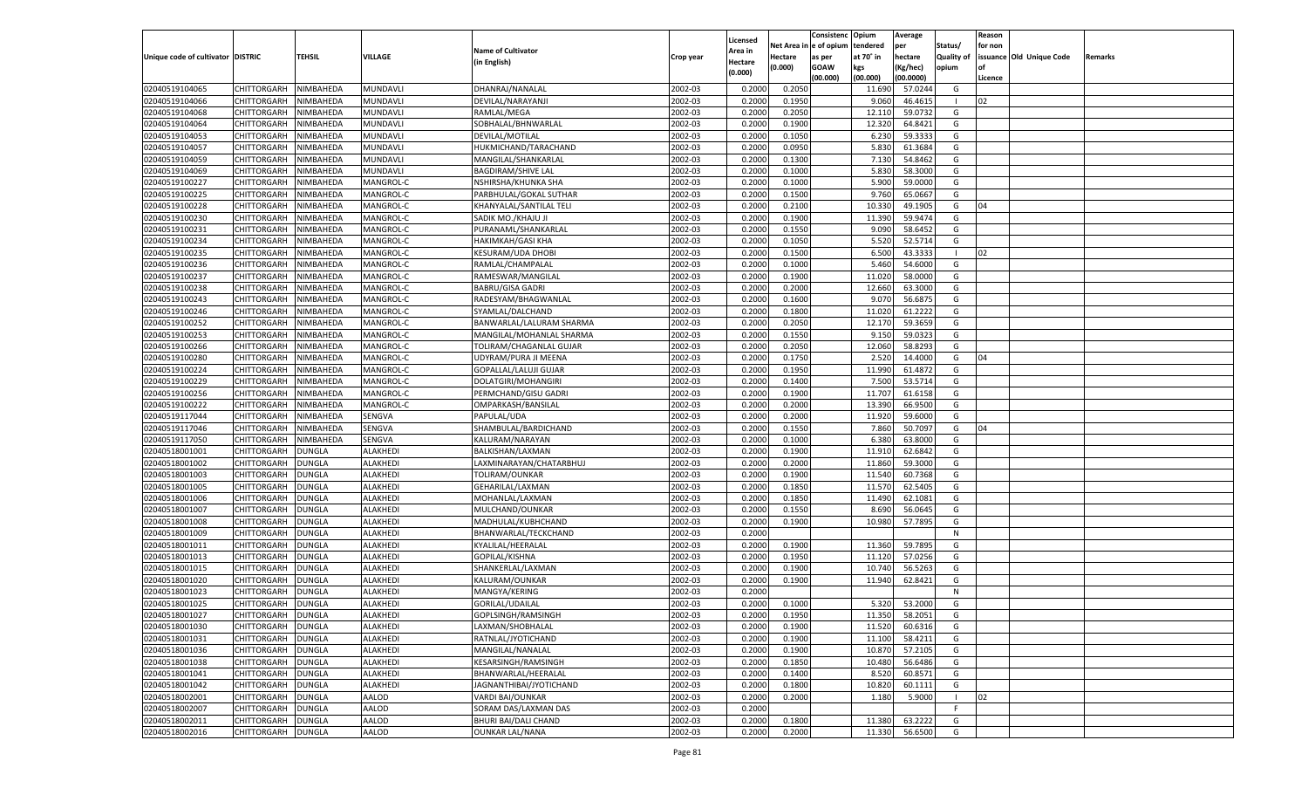|                                   |                    |               |                 |                           |           |                           |          | Consistenc  | Opium     | Average   |                   | Reason  |                          |         |
|-----------------------------------|--------------------|---------------|-----------------|---------------------------|-----------|---------------------------|----------|-------------|-----------|-----------|-------------------|---------|--------------------------|---------|
|                                   |                    |               |                 | <b>Name of Cultivator</b> |           | Licensed                  | Net Area | e of opium  | tendered  | per       | Status/           | for non |                          |         |
| Unique code of cultivator DISTRIC |                    | <b>TEHSIL</b> | VILLAGE         | (in English)              | Crop year | <b>Area in</b><br>Hectare | Hectare  | as per      | at 70° in | hectare   | <b>Quality of</b> |         | issuance Old Unique Code | Remarks |
|                                   |                    |               |                 |                           |           | (0.000)                   | (0.000)  | <b>GOAW</b> | kgs       | (Kg/hec)  | opium             |         |                          |         |
|                                   |                    |               |                 |                           |           |                           |          | (00.000)    | (00.000)  | (00.0000) |                   | Licence |                          |         |
| 02040519104065                    | CHITTORGARH        | NIMBAHEDA     | MUNDAVLI        | DHANRAJ/NANALAL           | 2002-03   | 0.2000                    | 0.2050   |             | 11.690    | 57.0244   | G                 |         |                          |         |
| 02040519104066                    | CHITTORGARH        | NIMBAHEDA     | MUNDAVLI        | DEVILAL/NARAYANJI         | 2002-03   | 0.2000                    | 0.1950   |             | 9.060     | 46.461    | - 1               | 02      |                          |         |
| 02040519104068                    | CHITTORGARH        | NIMBAHEDA     | MUNDAVLI        | RAMLAL/MEGA               | 2002-03   | 0.2000                    | 0.2050   |             | 12.110    | 59.0732   | G                 |         |                          |         |
| 02040519104064                    | CHITTORGARH        | NIMBAHEDA     | MUNDAVLI        | SOBHALAL/BHNWARLAL        | 2002-03   | 0.2000                    | 0.1900   |             | 12.320    | 64.8421   | G                 |         |                          |         |
| 02040519104053                    | CHITTORGARH        | NIMBAHEDA     | MUNDAVLI        | DEVILAL/MOTILAL           | 2002-03   | 0.2000                    | 0.1050   |             | 6.23      | 59.3333   | G                 |         |                          |         |
| 02040519104057                    | CHITTORGARH        | NIMBAHEDA     | MUNDAVLI        | HUKMICHAND/TARACHAND      | 2002-03   | 0.2000                    | 0.0950   |             | 5.830     | 61.3684   | G                 |         |                          |         |
| 02040519104059                    | CHITTORGARH        | NIMBAHEDA     | MUNDAVLI        | MANGILAL/SHANKARLAL       | 2002-03   | 0.2000                    | 0.1300   |             | 7.13(     | 54.8462   | G                 |         |                          |         |
| 02040519104069                    | CHITTORGARH        | NIMBAHEDA     | MUNDAVLI        | <b>BAGDIRAM/SHIVE LAL</b> | 2002-03   | 0.2000                    | 0.1000   |             | 5.830     | 58.3000   | G                 |         |                          |         |
| 02040519100227                    | CHITTORGARH        | NIMBAHEDA     | MANGROL-C       | NSHIRSHA/KHUNKA SHA       | 2002-03   | 0.2000                    | 0.1000   |             | 5.900     | 59.0000   | G                 |         |                          |         |
| 02040519100225                    | CHITTORGARH        | NIMBAHEDA     | MANGROL-C       | PARBHULAL/GOKAL SUTHAR    | 2002-03   | 0.2000                    | 0.1500   |             | 9.760     | 65.0667   | G                 |         |                          |         |
| 02040519100228                    | CHITTORGARH        | NIMBAHEDA     | MANGROL-C       | KHANYALAL/SANTILAL TELI   | 2002-03   | 0.2000                    | 0.2100   |             | 10.33     | 49.1905   | G                 | 04      |                          |         |
| 02040519100230                    | CHITTORGARH        | NIMBAHEDA     | MANGROL-C       | SADIK MO./KHAJU JI        | 2002-03   | 0.2000                    | 0.1900   |             | 11.390    | 59.9474   | G                 |         |                          |         |
| 02040519100231                    | CHITTORGARH        | NIMBAHEDA     | MANGROL-C       | PURANAML/SHANKARLAL       | 2002-03   | 0.2000                    | 0.1550   |             | 9.090     | 58.6452   | G                 |         |                          |         |
| 02040519100234                    | CHITTORGARH        | NIMBAHEDA     | MANGROL-C       | HAKIMKAH/GASI KHA         | 2002-03   | 0.2000                    | 0.1050   |             | 5.520     | 52.5714   | G                 |         |                          |         |
| 02040519100235                    | CHITTORGARH        | NIMBAHEDA     | MANGROL-C       | <b>KESURAM/UDA DHOBI</b>  | 2002-03   | 0.2000                    | 0.1500   |             | 6.500     | 43.3333   | - 1               | 02      |                          |         |
| 02040519100236                    | CHITTORGARH        | NIMBAHEDA     | MANGROL-C       | RAMLAL/CHAMPALAL          | 2002-03   | 0.2000                    | 0.1000   |             | 5.460     | 54.6000   | G                 |         |                          |         |
| 02040519100237                    | CHITTORGARH        | NIMBAHEDA     | MANGROL-C       | RAMESWAR/MANGILAL         | 2002-03   | 0.2000                    | 0.1900   |             | 11.020    | 58.0000   | G                 |         |                          |         |
| 02040519100238                    | CHITTORGARH        | NIMBAHEDA     | MANGROL-C       | <b>BABRU/GISA GADRI</b>   | 2002-03   | 0.2000                    | 0.2000   |             | 12.660    | 63.3000   | G                 |         |                          |         |
| 02040519100243                    | CHITTORGARH        | NIMBAHEDA     | MANGROL-C       | RADESYAM/BHAGWANLAL       | 2002-03   | 0.2000                    | 0.1600   |             | 9.070     | 56.687    | G                 |         |                          |         |
| 02040519100246                    | CHITTORGARH        | NIMBAHEDA     | MANGROL-C       | SYAMLAL/DALCHAND          | 2002-03   | 0.2000                    | 0.1800   |             | 11.020    | 61.2222   | G                 |         |                          |         |
| 02040519100252                    | CHITTORGARH        | NIMBAHEDA     | MANGROL-C       | BANWARLAL/LALURAM SHARMA  | 2002-03   | 0.2000                    | 0.2050   |             | 12.170    | 59.3659   | G                 |         |                          |         |
| 02040519100253                    | CHITTORGARH        | NIMBAHEDA     | MANGROL-C       | MANGILAL/MOHANLAL SHARMA  | 2002-03   | 0.2000                    | 0.1550   |             | 9.150     | 59.0323   | G                 |         |                          |         |
| 02040519100266                    | CHITTORGARH        | NIMBAHEDA     | MANGROL-C       | TOLIRAM/CHAGANLAL GUJAR   | 2002-03   | 0.2000                    | 0.2050   |             | 12.060    | 58.829    | G                 |         |                          |         |
| 02040519100280                    | CHITTORGARH        | NIMBAHEDA     | MANGROL-C       | UDYRAM/PURA JI MEENA      | 2002-03   | 0.2000                    | 0.1750   |             | 2.520     | 14.4000   | G                 | 04      |                          |         |
| 02040519100224                    | CHITTORGARH        | NIMBAHEDA     | MANGROL-C       | GOPALLAL/LALUJI GUJAR     | 2002-03   | 0.2000                    | 0.1950   |             | 11.990    | 61.4872   | G                 |         |                          |         |
| 02040519100229                    | CHITTORGARH        | NIMBAHEDA     | MANGROL-C       | DOLATGIRI/MOHANGIRI       | 2002-03   | 0.2000                    | 0.1400   |             | 7.500     | 53.5714   | G                 |         |                          |         |
| 02040519100256                    | CHITTORGARH        | NIMBAHEDA     | MANGROL-C       | PERMCHAND/GISU GADRI      | 2002-03   | 0.2000                    | 0.1900   |             | 11.707    | 61.6158   | G                 |         |                          |         |
| 02040519100222                    | CHITTORGARH        | NIMBAHEDA     | MANGROL-C       | OMPARKASH/BANSILAL        | 2002-03   | 0.2000                    | 0.2000   |             | 13.390    | 66.9500   | G                 |         |                          |         |
| 02040519117044                    | CHITTORGARH        | NIMBAHEDA     | SENGVA          | PAPULAL/UDA               | 2002-03   | 0.2000                    | 0.2000   |             | 11.920    | 59.6000   | G                 |         |                          |         |
| 02040519117046                    | CHITTORGARH        | NIMBAHEDA     | SENGVA          | SHAMBULAL/BARDICHAND      | 2002-03   | 0.2000                    | 0.1550   |             | 7.860     | 50.7097   | G                 | 04      |                          |         |
| 02040519117050                    | CHITTORGARH        | NIMBAHEDA     | SENGVA          | KALURAM/NARAYAN           | 2002-03   | 0.2000                    | 0.1000   |             | 6.380     | 63.8000   | G                 |         |                          |         |
| 02040518001001                    | CHITTORGARH        | DUNGLA        | ALAKHEDI        | BALKISHAN/LAXMAN          | 2002-03   | 0.2000                    | 0.1900   |             | 11.910    | 62.6842   | G                 |         |                          |         |
| 02040518001002                    | CHITTORGARH        | <b>DUNGLA</b> | ALAKHEDI        | LAXMINARAYAN/CHATARBHUJ   | 2002-03   | 0.2000                    | 0.2000   |             | 11.860    | 59.3000   | G                 |         |                          |         |
| 02040518001003                    | CHITTORGARH        | DUNGLA        | ALAKHEDI        | TOLIRAM/OUNKAR            | 2002-03   | 0.2000                    | 0.1900   |             | 11.540    | 60.7368   | G                 |         |                          |         |
| 02040518001005                    | <b>CHITTORGARH</b> | <b>DUNGLA</b> | ALAKHEDI        | GEHARILAL/LAXMAN          | 2002-03   | 0.2000                    | 0.1850   |             | 11.57     | 62.5405   | G                 |         |                          |         |
| 02040518001006                    | CHITTORGARH        | <b>DUNGLA</b> | ALAKHEDI        | MOHANLAL/LAXMAN           | 2002-03   | 0.2000                    | 0.1850   |             | 11.490    | 62.1081   | G                 |         |                          |         |
| 02040518001007                    |                    | <b>DUNGLA</b> | ALAKHEDI        |                           | 2002-03   | 0.2000                    | 0.1550   |             |           | 56.0645   | G                 |         |                          |         |
|                                   | CHITTORGARH        |               |                 | MULCHAND/OUNKAR           |           |                           |          |             | 8.69      |           |                   |         |                          |         |
| 02040518001008                    | CHITTORGARH        | DUNGLA        | ALAKHEDI        | MADHULAL/KUBHCHAND        | 2002-03   | 0.2000                    | 0.1900   |             | 10.980    | 57.7895   | G                 |         |                          |         |
| 02040518001009                    | <b>CHITTORGARH</b> | <b>DUNGLA</b> | ALAKHEDI        | BHANWARLAL/TECKCHAND      | 2002-03   | 0.2000                    |          |             |           |           | N                 |         |                          |         |
| 02040518001011<br>02040518001013  | CHITTORGARH        | DUNGLA        | ALAKHEDI        | KYALILAL/HEERALAL         | 2002-03   | 0.2000                    | 0.1900   |             | 11.360    | 59.7895   | G                 |         |                          |         |
|                                   | <b>CHITTORGARH</b> | <b>DUNGLA</b> | ALAKHEDI        | GOPILAL/KISHNA            | 2002-03   | 0.2000                    | 0.1950   |             | 11.12     | 57.0256   | G                 |         |                          |         |
| 02040518001015                    | CHITTORGARH        | DUNGLA        | ALAKHEDI        | SHANKERLAL/LAXMAN         | 2002-03   | 0.2000                    | 0.1900   |             | 10.74     | 56.5263   | G                 |         |                          |         |
| 02040518001020                    | CHITTORGARH        | <b>DUNGLA</b> | ALAKHEDI        | KALURAM/OUNKAR            | 2002-03   | 0.2000                    | 0.1900   |             | 11.940    | 62.8421   | G                 |         |                          |         |
| 02040518001023                    | CHITTORGARH        | DUNGLA        | ALAKHEDI        | MANGYA/KERING             | 2002-03   | 0.2000                    |          |             |           |           | N                 |         |                          |         |
| 02040518001025                    | CHITTORGARH        | <b>DUNGLA</b> | ALAKHEDI        | GORILAL/UDAILAL           | 2002-03   | 0.2000                    | 0.1000   |             | 5.320     | 53.2000   | G                 |         |                          |         |
| 02040518001027                    | CHITTORGARH DUNGLA |               | <b>ALAKHEDI</b> | GOPLSINGH/RAMSINGH        | 2002-03   | 0.2000                    | 0.1950   |             | 11.350    | 58.2051   | G                 |         |                          |         |
| 02040518001030                    | <b>CHITTORGARH</b> | <b>DUNGLA</b> | ALAKHEDI        | LAXMAN/SHOBHALAL          | 2002-03   | 0.2000                    | 0.1900   |             | 11.520    | 60.6316   | G                 |         |                          |         |
| 02040518001031                    | <b>CHITTORGARH</b> | <b>DUNGLA</b> | ALAKHEDI        | RATNLAL/JYOTICHAND        | 2002-03   | 0.2000                    | 0.1900   |             | 11.100    | 58.4211   | G                 |         |                          |         |
| 02040518001036                    | <b>CHITTORGARH</b> | <b>DUNGLA</b> | ALAKHEDI        | MANGILAL/NANALAL          | 2002-03   | 0.2000                    | 0.1900   |             | 10.870    | 57.2105   | G                 |         |                          |         |
| 02040518001038                    | <b>CHITTORGARH</b> | <b>DUNGLA</b> | ALAKHEDI        | KESARSINGH/RAMSINGH       | 2002-03   | 0.2000                    | 0.1850   |             | 10.480    | 56.6486   | G                 |         |                          |         |
| 02040518001041                    | <b>CHITTORGARH</b> | <b>DUNGLA</b> | ALAKHEDI        | BHANWARLAL/HEERALAL       | 2002-03   | 0.2000                    | 0.1400   |             | 8.520     | 60.8571   | G                 |         |                          |         |
| 02040518001042                    | <b>CHITTORGARH</b> | <b>DUNGLA</b> | ALAKHEDI        | JAGNANTHIBAI/JYOTICHAND   | 2002-03   | 0.2000                    | 0.1800   |             | 10.820    | 60.1111   | G                 |         |                          |         |
| 02040518002001                    | <b>CHITTORGARH</b> | <b>DUNGLA</b> | AALOD           | <b>VARDI BAI/OUNKAR</b>   | 2002-03   | 0.2000                    | 0.2000   |             | 1.180     | 5.9000    | $\blacksquare$    | 02      |                          |         |
| 02040518002007                    | <b>CHITTORGARH</b> | <b>DUNGLA</b> | AALOD           | SORAM DAS/LAXMAN DAS      | 2002-03   | 0.2000                    |          |             |           |           | F.                |         |                          |         |
| 02040518002011                    | <b>CHITTORGARH</b> | <b>DUNGLA</b> | AALOD           | BHURI BAI/DALI CHAND      | 2002-03   | 0.2000                    | 0.1800   |             | 11.380    | 63.2222   | G                 |         |                          |         |
| 02040518002016                    | CHITTORGARH        | <b>DUNGLA</b> | AALOD           | <b>OUNKAR LAL/NANA</b>    | 2002-03   | 0.2000                    | 0.2000   |             | 11.330    | 56.6500   | G                 |         |                          |         |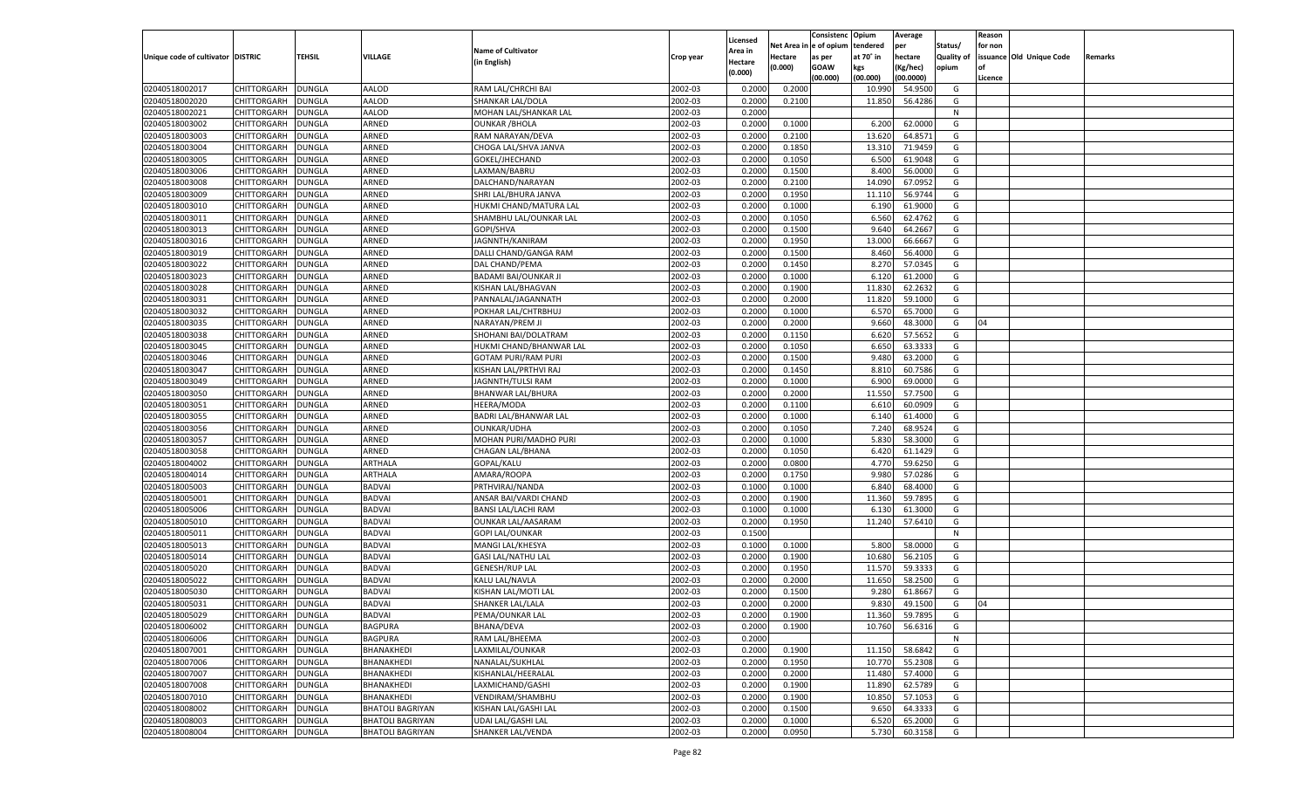|                                   |                    |               |                         |                            |           | Licensed       |            | Consistenc Opium |           | Average   |                   | Reason  |                          |                |
|-----------------------------------|--------------------|---------------|-------------------------|----------------------------|-----------|----------------|------------|------------------|-----------|-----------|-------------------|---------|--------------------------|----------------|
|                                   |                    |               |                         | <b>Name of Cultivator</b>  |           | <b>Area in</b> | Net Area i | n  e of opium    | tendered  | per       | Status/           | for non |                          |                |
| Unique code of cultivator DISTRIC |                    | <b>TEHSIL</b> | VILLAGE                 | (in English)               | Crop year | Hectare        | Hectare    | as per           | at 70° in | hectare   | <b>Quality of</b> |         | issuance Old Unique Code | <b>Remarks</b> |
|                                   |                    |               |                         |                            |           | (0.000)        | (0.000)    | <b>GOAW</b>      | kgs       | (Kg/hec)  | opium             |         |                          |                |
|                                   |                    |               |                         |                            |           |                |            | (00.000)         | (00.000)  | (00.0000) |                   | Licence |                          |                |
| 02040518002017                    | CHITTORGARH        | <b>DUNGLA</b> | AALOD                   | RAM LAL/CHRCHI BAI         | 2002-03   | 0.2000         | 0.2000     |                  | 10.99     | 54.9500   | G                 |         |                          |                |
| 02040518002020                    | CHITTORGARH        | DUNGLA        | AALOD                   | SHANKAR LAL/DOLA           | 2002-03   | 0.2000         | 0.2100     |                  | 11.850    | 56.4286   | G                 |         |                          |                |
| 02040518002021                    | CHITTORGARH        | DUNGLA        | AALOD                   | MOHAN LAL/SHANKAR LAL      | 2002-03   | 0.2000         |            |                  |           |           | N                 |         |                          |                |
| 02040518003002                    | CHITTORGARH        | DUNGLA        | ARNED                   | <b>OUNKAR / BHOLA</b>      | 2002-03   | 0.2000         | 0.1000     |                  | 6.200     | 62.0000   | G                 |         |                          |                |
| 02040518003003                    | CHITTORGARH        | <b>DUNGLA</b> | ARNED                   | RAM NARAYAN/DEVA           | 2002-03   | 0.2000         | 0.2100     |                  | 13.62     | 64.8571   | G                 |         |                          |                |
| 02040518003004                    | CHITTORGARH        | DUNGLA        | ARNED                   | CHOGA LAL/SHVA JANVA       | 2002-03   | 0.2000         | 0.1850     |                  | 13.310    | 71.9459   | G                 |         |                          |                |
| 02040518003005                    | CHITTORGARH        | DUNGLA        | ARNED                   | GOKEL/JHECHAND             | 2002-03   | 0.2000         | 0.1050     |                  | 6.500     | 61.9048   | G                 |         |                          |                |
| 02040518003006                    | CHITTORGARH        | DUNGLA        | ARNED                   | LAXMAN/BABRU               | 2002-03   | 0.2000         | 0.1500     |                  | 8.400     | 56.0000   | G                 |         |                          |                |
| 02040518003008                    | CHITTORGARH        | <b>DUNGLA</b> | ARNED                   | DALCHAND/NARAYAN           | 2002-03   | 0.2000         | 0.2100     |                  | 14.09     | 67.0952   | G                 |         |                          |                |
| 02040518003009                    | CHITTORGARH        | DUNGLA        | ARNED                   | SHRI LAL/BHURA JANVA       | 2002-03   | 0.2000         | 0.1950     |                  | 11.11     | 56.9744   | G                 |         |                          |                |
| 02040518003010                    | CHITTORGARH        | DUNGLA        | ARNED                   | HUKMI CHAND/MATURA LAL     | 2002-03   | 0.2000         | 0.1000     |                  | 6.190     | 61.9000   | G                 |         |                          |                |
| 02040518003011                    | CHITTORGARH        | DUNGLA        | ARNED                   | SHAMBHU LAL/OUNKAR LAL     | 2002-03   | 0.2000         | 0.1050     |                  | 6.560     | 62.4762   | G                 |         |                          |                |
| 02040518003013                    | CHITTORGARH        | DUNGLA        | ARNED                   | GOPI/SHVA                  | 2002-03   | 0.2000         | 0.1500     |                  | 9.640     | 64.2667   | G                 |         |                          |                |
| 02040518003016                    | CHITTORGARH        | DUNGLA        | ARNED                   | JAGNNTH/KANIRAM            | 2002-03   | 0.2000         | 0.1950     |                  | 13.000    | 66.6667   | G                 |         |                          |                |
| 02040518003019                    | CHITTORGARH        | DUNGLA        | ARNED                   | DALLI CHAND/GANGA RAM      | 2002-03   | 0.2000         | 0.1500     |                  | 8.460     | 56.4000   | G                 |         |                          |                |
| 02040518003022                    | CHITTORGARH        | DUNGLA        | ARNED                   | DAL CHAND/PEMA             | 2002-03   | 0.2000         | 0.1450     |                  | 8.27      | 57.0345   | G                 |         |                          |                |
| 02040518003023                    | CHITTORGARH        | DUNGLA        | ARNED                   | BADAMI BAI/OUNKAR JI       | 2002-03   | 0.2000         | 0.1000     |                  | 6.120     | 61.2000   | G                 |         |                          |                |
| 02040518003028                    | CHITTORGARH        | DUNGLA        | ARNED                   | KISHAN LAL/BHAGVAN         | 2002-03   | 0.2000         | 0.1900     |                  | 11.830    | 62.2632   | G                 |         |                          |                |
| 02040518003031                    | CHITTORGARH        | DUNGLA        | ARNED                   | PANNALAL/JAGANNATH         | 2002-03   | 0.2000         | 0.2000     |                  | 11.820    | 59.1000   | G                 |         |                          |                |
| 02040518003032                    | CHITTORGARH        | DUNGLA        | ARNED                   | POKHAR LAL/CHTRBHUJ        | 2002-03   | 0.2000         | 0.1000     |                  | 6.570     | 65.7000   | G                 |         |                          |                |
| 02040518003035                    | CHITTORGARH        | DUNGLA        | ARNED                   | NARAYAN/PREM JI            | 2002-03   | 0.2000         | 0.2000     |                  | 9.660     | 48.3000   | G                 | 04      |                          |                |
| 02040518003038                    | CHITTORGARH        | DUNGLA        | ARNED                   | SHOHANI BAI/DOLATRAM       | 2002-03   | 0.2000         | 0.1150     |                  | 6.620     | 57.5652   | G                 |         |                          |                |
| 02040518003045                    | CHITTORGARH        | DUNGLA        | ARNED                   | HUKMI CHAND/BHANWAR LAL    | 2002-03   | 0.2000         | 0.1050     |                  | 6.650     | 63.3333   | G                 |         |                          |                |
| 02040518003046                    | CHITTORGARH        | DUNGLA        | ARNED                   | <b>GOTAM PURI/RAM PURI</b> | 2002-03   | 0.2000         | 0.1500     |                  | 9.480     | 63.2000   | G                 |         |                          |                |
| 02040518003047                    | CHITTORGARH        | DUNGLA        | ARNED                   | KISHAN LAL/PRTHVI RAJ      | 2002-03   | 0.2000         | 0.1450     |                  | 8.810     | 60.7586   | G                 |         |                          |                |
| 02040518003049                    | CHITTORGARH        | DUNGLA        | ARNED                   | JAGNNTH/TULSI RAM          | 2002-03   | 0.2000         | 0.1000     |                  | 6.900     | 69.0000   | G                 |         |                          |                |
| 02040518003050                    | CHITTORGARH        | DUNGLA        | ARNED                   | <b>BHANWAR LAL/BHURA</b>   | 2002-03   | 0.2000         | 0.2000     |                  | 11.550    | 57.7500   | G                 |         |                          |                |
| 02040518003051                    | CHITTORGARH        | DUNGLA        | ARNED                   | <b>HEERA/MODA</b>          | 2002-03   | 0.2000         | 0.1100     |                  | 6.610     | 60.0909   | G                 |         |                          |                |
| 02040518003055                    | CHITTORGARH        | DUNGLA        | ARNED                   | BADRI LAL/BHANWAR LAL      | 2002-03   | 0.2000         | 0.1000     |                  | 6.140     | 61.4000   | G                 |         |                          |                |
| 02040518003056                    | CHITTORGARH        | DUNGLA        | ARNED                   | OUNKAR/UDHA                | 2002-03   | 0.2000         | 0.1050     |                  | 7.240     | 68.9524   | G                 |         |                          |                |
| 02040518003057                    | CHITTORGARH        | DUNGLA        | ARNED                   | MOHAN PURI/MADHO PURI      | 2002-03   | 0.2000         | 0.1000     |                  | 5.830     | 58.3000   | G                 |         |                          |                |
| 02040518003058                    | CHITTORGARH        | DUNGLA        | ARNED                   | CHAGAN LAL/BHANA           | 2002-03   | 0.2000         | 0.1050     |                  | 6.420     | 61.1429   | G                 |         |                          |                |
| 02040518004002                    | CHITTORGARH        | DUNGLA        | ARTHALA                 | GOPAL/KALU                 | 2002-03   | 0.2000         | 0.0800     |                  | 4.770     | 59.6250   | G                 |         |                          |                |
|                                   |                    |               |                         |                            | 2002-03   |                |            |                  | 9.980     |           | G                 |         |                          |                |
| 02040518004014                    | CHITTORGARH        | DUNGLA        | ARTHALA                 | AMARA/ROOPA                |           | 0.2000         | 0.1750     |                  |           | 57.0286   |                   |         |                          |                |
| 02040518005003                    | CHITTORGARH        | DUNGLA        | <b>BADVAI</b>           | PRTHVIRAJ/NANDA            | 2002-03   | 0.1000         | 0.1000     |                  | 6.840     | 68.4000   | G                 |         |                          |                |
| 02040518005001                    | CHITTORGARH        | DUNGLA        | <b>BADVAI</b>           | ANSAR BAI/VARDI CHAND      | 2002-03   | 0.2000         | 0.1900     |                  | 11.360    | 59.7895   | G                 |         |                          |                |
| 02040518005006                    | CHITTORGARH        | DUNGLA        | <b>BADVAI</b>           | <b>BANSI LAL/LACHI RAM</b> | 2002-03   | 0.1000         | 0.1000     |                  | 6.13      | 61.3000   | G                 |         |                          |                |
| 02040518005010                    | CHITTORGARH        | DUNGLA        | <b>BADVAI</b>           | OUNKAR LAL/AASARAM         | 2002-03   | 0.2000         | 0.1950     |                  | 11.240    | 57.6410   | G                 |         |                          |                |
| 02040518005011                    | CHITTORGARH        | DUNGLA        | <b>BADVAI</b>           | GOPI LAL/OUNKAR            | 2002-03   | 0.1500         |            |                  |           |           | N                 |         |                          |                |
| 02040518005013                    | CHITTORGARH        | DUNGLA        | <b>BADVAI</b>           | MANGI LAL/KHESYA           | 2002-03   | 0.1000         | 0.1000     |                  | 5.800     | 58.0000   | G                 |         |                          |                |
| 02040518005014                    | CHITTORGARH        | DUNGLA        | <b>BADVAI</b>           | <b>GASI LAL/NATHU LAL</b>  | 2002-03   | 0.2000         | 0.1900     |                  | 10.680    | 56.2105   | G                 |         |                          |                |
| 02040518005020                    | CHITTORGARH        | DUNGLA        | <b>BADVAI</b>           | <b>GENESH/RUP LAL</b>      | 2002-03   | 0.2000         | 0.1950     |                  | 11.570    | 59.3333   | G                 |         |                          |                |
| 02040518005022                    | CHITTORGARH        | DUNGLA        | <b>BADVAI</b>           | KALU LAL/NAVLA             | 2002-03   | 0.2000         | 0.2000     |                  | 11.650    | 58.2500   | G                 |         |                          |                |
| 02040518005030                    | CHITTORGARH        | DUNGLA        | <b>BADVAI</b>           | KISHAN LAL/MOTI LAL        | 2002-03   | 0.2000         | 0.1500     |                  | 9.280     | 61.8667   | G                 |         |                          |                |
| 02040518005031                    | CHITTORGARH        | DUNGLA        | <b>BADVAI</b>           | SHANKER LAL/LALA           | 2002-03   | 0.2000         | 0.2000     |                  | 9.830     | 49.1500   | G                 | 04      |                          |                |
| 02040518005029                    | CHITTORGARH        | <b>DUNGLA</b> | <b>BADVAI</b>           | PEMA/OUNKAR LAL            | 2002-03   | 0.2000         | 0.1900     |                  | 11.360    | 59.7895   | G                 |         |                          |                |
| 02040518006002                    | CHITTORGARH        | <b>DUNGLA</b> | <b>BAGPURA</b>          | BHANA/DEVA                 | 2002-03   | 0.2000         | 0.1900     |                  | 10.760    | 56.6316   | G                 |         |                          |                |
| 02040518006006                    | CHITTORGARH        | <b>DUNGLA</b> | <b>BAGPURA</b>          | RAM LAL/BHEEMA             | 2002-03   | 0.2000         |            |                  |           |           | N                 |         |                          |                |
| 02040518007001                    | <b>CHITTORGARH</b> | <b>DUNGLA</b> | BHANAKHEDI              | LAXMILAL/OUNKAR            | 2002-03   | 0.2000         | 0.1900     |                  | 11.150    | 58.6842   | G                 |         |                          |                |
| 02040518007006                    | <b>CHITTORGARH</b> | <b>DUNGLA</b> | BHANAKHEDI              | NANALAL/SUKHLAL            | 2002-03   | 0.2000         | 0.1950     |                  | 10.770    | 55.2308   | G                 |         |                          |                |
| 02040518007007                    | CHITTORGARH        | <b>DUNGLA</b> | BHANAKHEDI              | KISHANLAL/HEERALAL         | 2002-03   | 0.2000         | 0.2000     |                  | 11.480    | 57.4000   | G                 |         |                          |                |
| 02040518007008                    | CHITTORGARH        | <b>DUNGLA</b> | BHANAKHEDI              | LAXMICHAND/GASHI           | 2002-03   | 0.2000         | 0.1900     |                  | 11.890    | 62.5789   | G                 |         |                          |                |
| 02040518007010                    | <b>CHITTORGARH</b> | <b>DUNGLA</b> | BHANAKHEDI              | VENDIRAM/SHAMBHU           | 2002-03   | 0.2000         | 0.1900     |                  | 10.850    | 57.1053   | G                 |         |                          |                |
| 02040518008002                    | <b>CHITTORGARH</b> | DUNGLA        | <b>BHATOLI BAGRIYAN</b> | KISHAN LAL/GASHI LAL       | 2002-03   | 0.2000         | 0.1500     |                  | 9.650     | 64.3333   | G                 |         |                          |                |
| 02040518008003                    | CHITTORGARH        | <b>DUNGLA</b> | <b>BHATOLI BAGRIYAN</b> | UDAI LAL/GASHI LAL         | 2002-03   | 0.2000         | 0.1000     |                  | 6.520     | 65.2000   | G                 |         |                          |                |
| 02040518008004                    | CHITTORGARH        | <b>DUNGLA</b> | <b>BHATOLI BAGRIYAN</b> | SHANKER LAL/VENDA          | 2002-03   | 0.2000         | 0.0950     |                  | 5.730     | 60.3158   | G                 |         |                          |                |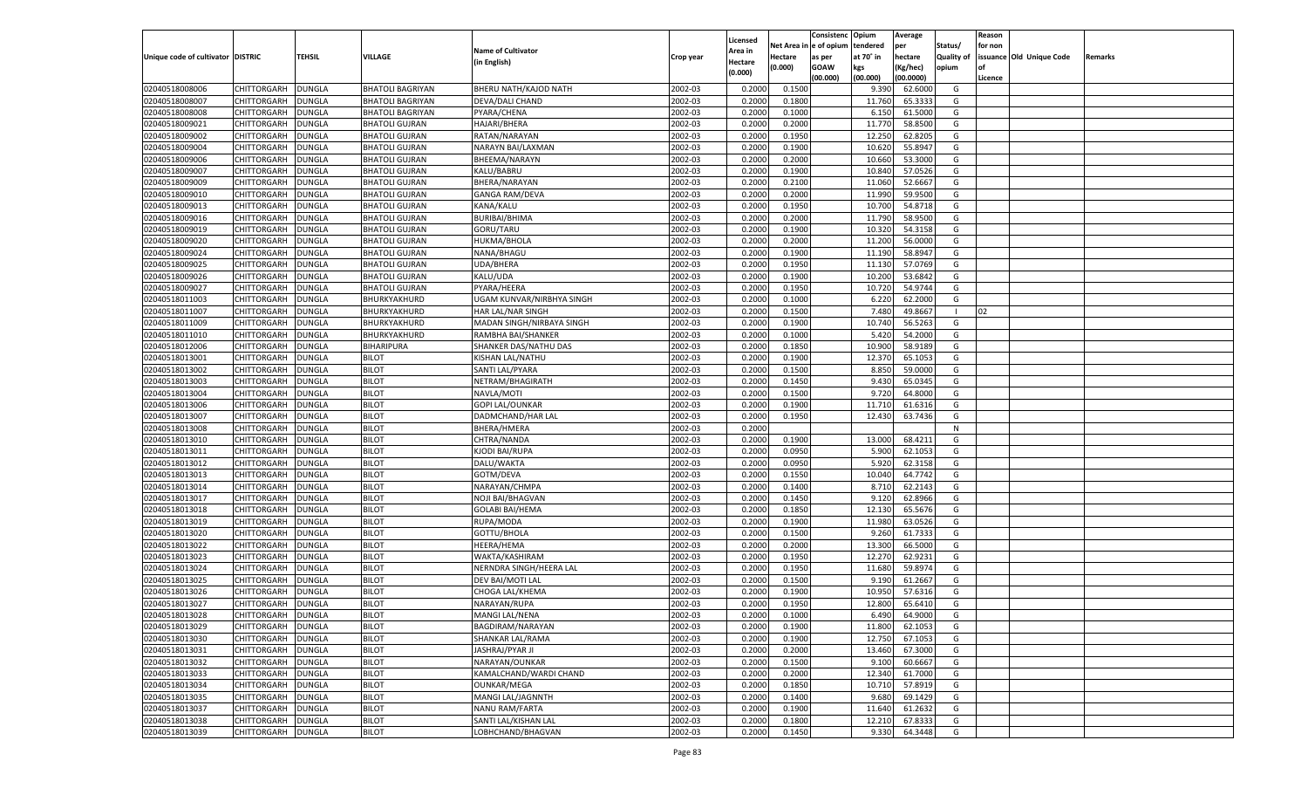|                                   |                    |               |                         |                                  |           |                    |                  | Consistenc   | Opium     | Average   |                   | Reason  |                          |         |
|-----------------------------------|--------------------|---------------|-------------------------|----------------------------------|-----------|--------------------|------------------|--------------|-----------|-----------|-------------------|---------|--------------------------|---------|
|                                   |                    |               |                         |                                  |           | Licensed           | Net Area iı      | n e of opium | tendered  | per       | Status/           | for non |                          |         |
| Unique code of cultivator DISTRIC |                    | TEHSIL        | <b>VILLAGE</b>          | <b>Name of Cultivator</b>        | Crop year | Area in            | Hectare          | as per       | at 70° in | hectare   | <b>Quality of</b> |         | issuance Old Unique Code | Remarks |
|                                   |                    |               |                         | (in English)                     |           | Hectare<br>(0.000) | (0.000)          | <b>GOAW</b>  | kgs       | (Kg/hec)  | opium             |         |                          |         |
|                                   |                    |               |                         |                                  |           |                    |                  | (00.000)     | (00.000)  | (00.0000) |                   | Licence |                          |         |
| 02040518008006                    | CHITTORGARH        | <b>DUNGLA</b> | <b>BHATOLI BAGRIYAN</b> | BHERU NATH/KAJOD NATH            | 2002-03   | 0.2000             | 0.1500           |              | 9.390     | 62.6000   | G                 |         |                          |         |
| 02040518008007                    | CHITTORGARH        | DUNGLA        | <b>BHATOLI BAGRIYAN</b> | DEVA/DALI CHAND                  | 2002-03   | 0.2000             | 0.1800           |              | 11.760    | 65.3333   | G                 |         |                          |         |
| 02040518008008                    | CHITTORGARH        | DUNGLA        | <b>BHATOLI BAGRIYAN</b> | PYARA/CHENA                      | 2002-03   | 0.2000             | 0.1000           |              | 6.150     | 61.5000   | G                 |         |                          |         |
| 02040518009021                    | CHITTORGARH        | DUNGLA        | <b>BHATOLI GUJRAN</b>   | <b>HAJARI/BHERA</b>              | 2002-03   | 0.2000             | 0.2000           |              | 11.770    | 58.8500   | G                 |         |                          |         |
| 02040518009002                    | CHITTORGARH        | DUNGLA        | <b>BHATOLI GUJRAN</b>   | RATAN/NARAYAN                    | 2002-03   | 0.2000             | 0.1950           |              | 12.250    | 62.8205   | G                 |         |                          |         |
| 02040518009004                    | CHITTORGARH        | DUNGLA        | <b>BHATOLI GUJRAN</b>   | NARAYN BAI/LAXMAN                | 2002-03   | 0.2000             | 0.1900           |              | 10.620    | 55.8947   | G                 |         |                          |         |
| 02040518009006                    | CHITTORGARH        | DUNGLA        | <b>BHATOLI GUJRAN</b>   | BHEEMA/NARAYN                    | 2002-03   | 0.2000             | 0.2000           |              | 10.660    | 53.3000   | G                 |         |                          |         |
| 02040518009007                    | CHITTORGARH        | DUNGLA        | <b>BHATOLI GUJRAN</b>   | KALU/BABRU                       | 2002-03   | 0.2000             | 0.1900           |              | 10.840    | 57.0526   | G                 |         |                          |         |
| 02040518009009                    | CHITTORGARH        | DUNGLA        | <b>BHATOLI GUJRAN</b>   | BHERA/NARAYAN                    | 2002-03   | 0.2000             | 0.2100           |              | 11.060    | 52.6667   | G                 |         |                          |         |
| 02040518009010                    | CHITTORGARH        | DUNGLA        | <b>BHATOLI GUJRAN</b>   | <b>GANGA RAM/DEVA</b>            | 2002-03   | 0.2000             | 0.2000           |              | 11.990    | 59.9500   | G                 |         |                          |         |
| 02040518009013                    | CHITTORGARH        | DUNGLA        | <b>BHATOLI GUJRAN</b>   | KANA/KALU                        | 2002-03   | 0.2000             | 0.1950           |              | 10.700    | 54.8718   | G                 |         |                          |         |
| 02040518009016                    | CHITTORGARH        | DUNGLA        | <b>BHATOLI GUJRAN</b>   | <b>BURIBAI/BHIMA</b>             | 2002-03   | 0.2000             | 0.2000           |              | 11.790    | 58.9500   | G                 |         |                          |         |
| 02040518009019                    | CHITTORGARH        | DUNGLA        | <b>BHATOLI GUJRAN</b>   | GORU/TARU                        | 2002-03   | 0.2000             | 0.1900           |              | 10.320    | 54.3158   | G                 |         |                          |         |
| 02040518009020                    | CHITTORGARH        | DUNGLA        | <b>BHATOLI GUJRAN</b>   | HUKMA/BHOLA                      | 2002-03   | 0.2000             | 0.2000           |              | 11.200    | 56.0000   | G                 |         |                          |         |
| 02040518009024                    | CHITTORGARH        | DUNGLA        | <b>BHATOLI GUJRAN</b>   | NANA/BHAGU                       | 2002-03   | 0.2000             | 0.1900           |              | 11.190    | 58.8947   | G                 |         |                          |         |
| 02040518009025                    | CHITTORGARH        | DUNGLA        | <b>BHATOLI GUJRAN</b>   | UDA/BHERA                        | 2002-03   | 0.2000             | 0.1950           |              | 11.130    | 57.0769   | G                 |         |                          |         |
| 02040518009026                    | CHITTORGARH        | DUNGLA        | <b>BHATOLI GUJRAN</b>   | KALU/UDA                         | 2002-03   | 0.2000             | 0.1900           |              | 10.200    | 53.6842   | G                 |         |                          |         |
| 02040518009027                    | CHITTORGARH        | DUNGLA        | <b>BHATOLI GUJRAN</b>   | PYARA/HEERA                      | 2002-03   | 0.2000             | 0.1950           |              | 10.720    | 54.9744   | G                 |         |                          |         |
| 02040518011003                    | CHITTORGARH        | DUNGLA        | BHURKYAKHURD            | <b>UGAM KUNVAR/NIRBHYA SINGH</b> | 2002-03   | 0.2000             | 0.1000           |              | 6.220     | 62.2000   | G                 |         |                          |         |
| 02040518011007                    | CHITTORGARH        | DUNGLA        | BHURKYAKHURD            | HAR LAL/NAR SINGH                | 2002-03   | 0.2000             | 0.1500           |              | 7.480     | 49.8667   | - 1               | 02      |                          |         |
| 02040518011009                    | CHITTORGARH        | DUNGLA        | BHURKYAKHURD            | MADAN SINGH/NIRBAYA SINGH        | 2002-03   | 0.2000             | 0.1900           |              | 10.740    | 56.5263   | G                 |         |                          |         |
| 02040518011010                    | CHITTORGARH        | DUNGLA        | BHURKYAKHURD            | RAMBHA BAI/SHANKER               | 2002-03   | 0.2000             | 0.1000           |              | 5.420     | 54.2000   | G                 |         |                          |         |
| 02040518012006                    | CHITTORGARH        | DUNGLA        | BIHARIPURA              | SHANKER DAS/NATHU DAS            | 2002-03   | 0.2000             | 0.1850           |              | 10.900    | 58.9189   | G                 |         |                          |         |
| 02040518013001                    | CHITTORGARH        | DUNGLA        | <b>BILOT</b>            | KISHAN LAL/NATHU                 | 2002-03   | 0.2000             | 0.1900           |              | 12.370    | 65.1053   | G                 |         |                          |         |
| 02040518013002                    | CHITTORGARH        | DUNGLA        | <b>BILOT</b>            | SANTI LAL/PYARA                  | 2002-03   | 0.2000             | 0.1500           |              | 8.850     | 59.0000   | G                 |         |                          |         |
| 02040518013003                    | CHITTORGARH        | DUNGLA        | <b>BILOT</b>            | NETRAM/BHAGIRATH                 | 2002-03   | 0.2000             | 0.1450           |              | 9.430     | 65.0345   | G                 |         |                          |         |
| 02040518013004                    | CHITTORGARH        | DUNGLA        | <b>BILOT</b>            | NAVLA/MOTI                       | 2002-03   | 0.2000             | 0.1500           |              | 9.720     | 64.8000   | G                 |         |                          |         |
| 02040518013006                    | CHITTORGARH        | DUNGLA        | <b>BILOT</b>            | <b>GOPI LAL/OUNKAR</b>           | 2002-03   | 0.2000             | 0.1900           |              | 11.710    | 61.6316   | G                 |         |                          |         |
| 02040518013007                    | CHITTORGARH        | DUNGLA        | <b>BILOT</b>            | DADMCHAND/HAR LAL                | 2002-03   | 0.2000             | 0.1950           |              | 12.430    | 63.7436   | G                 |         |                          |         |
| 02040518013008                    | CHITTORGARH        | DUNGLA        | <b>BILOT</b>            | BHERA/HMERA                      | 2002-03   | 0.2000             |                  |              |           |           | N                 |         |                          |         |
| 02040518013010                    | CHITTORGARH        | DUNGLA        | <b>BILOT</b>            | CHTRA/NANDA                      | 2002-03   | 0.2000             | 0.1900           |              | 13.000    | 68.4211   | G                 |         |                          |         |
| 02040518013011                    | CHITTORGARH        | DUNGLA        | <b>BILOT</b>            | KJODI BAI/RUPA                   | 2002-03   | 0.2000             | 0.0950           |              | 5.900     | 62.1053   | G                 |         |                          |         |
| 02040518013012                    | CHITTORGARH        | <b>DUNGLA</b> | <b>BILOT</b>            | DALU/WAKTA                       | 2002-03   | 0.2000             | 0.0950           |              | 5.920     | 62.3158   | G                 |         |                          |         |
| 02040518013013                    | CHITTORGARH        | DUNGLA        | <b>BILOT</b>            | GOTM/DEVA                        | 2002-03   | 0.2000             | 0.1550           |              | 10.040    | 64.7742   | G                 |         |                          |         |
| 02040518013014                    | CHITTORGARH        | DUNGLA        | <b>BILOT</b>            | NARAYAN/CHMPA                    | 2002-03   | 0.2000             | 0.1400           |              | 8.710     | 62.2143   | G                 |         |                          |         |
| 02040518013017                    | CHITTORGARH        | DUNGLA        | <b>BILOT</b>            | NOJI BAI/BHAGVAN                 | 2002-03   | 0.2000             | 0.1450           |              | 9.120     | 62.8966   | G                 |         |                          |         |
| 02040518013018                    | CHITTORGARH        | <b>DUNGLA</b> | <b>BILOT</b>            | <b>GOLABI BAI/HEMA</b>           | 2002-03   | 0.2000             | 0.1850           |              | 12.130    | 65.5676   | G                 |         |                          |         |
| 02040518013019                    | CHITTORGARH        | DUNGLA        | <b>BILOT</b>            | RUPA/MODA                        | 2002-03   | 0.2000             | 0.1900           |              | 11.980    | 63.0526   | G                 |         |                          |         |
| 02040518013020                    | CHITTORGARH        | DUNGLA        | <b>BILOT</b>            | GOTTU/BHOLA                      | 2002-03   | 0.2000             | 0.1500           |              | 9.260     | 61.7333   | G                 |         |                          |         |
| 02040518013022                    | CHITTORGARH        | DUNGLA        | <b>BILOT</b>            | HEERA/HEMA                       | 2002-03   | 0.2000             | 0.2000           |              | 13.300    | 66.5000   | G                 |         |                          |         |
| 02040518013023                    | CHITTORGARH        | <b>DUNGLA</b> | <b>BILOT</b>            | WAKTA/KASHIRAM                   | 2002-03   | 0.2000             | 0.1950           |              | 12.270    | 62.9231   | G                 |         |                          |         |
| 02040518013024                    | CHITTORGARH        | DUNGLA        | <b>BILOT</b>            | NERNDRA SINGH/HEERA LAL          | 2002-03   | 0.2000             | 0.1950           |              | 11.680    | 59.8974   | G                 |         |                          |         |
| 02040518013025                    | CHITTORGARH        | DUNGLA        | <b>BILOT</b>            | DEV BAI/MOTI LAL                 | 2002-03   | 0.2000             | 0.1500           |              | 9.190     | 61.2667   | G                 |         |                          |         |
| 02040518013026                    |                    |               |                         |                                  | 2002-03   | 0.2000             |                  |              | 10.950    | 57.6316   | G                 |         |                          |         |
|                                   | CHITTORGARH        | DUNGLA        | <b>BILOT</b>            | CHOGA LAL/KHEMA                  |           | 0.2000             | 0.1900<br>0.1950 |              |           |           |                   |         |                          |         |
| 02040518013027                    | CHITTORGARH        | <b>DUNGLA</b> | <b>BILOT</b>            | NARAYAN/RUPA                     | 2002-03   |                    |                  |              | 12.800    | 65.6410   | G                 |         |                          |         |
| 02040518013028                    | CHITTORGARH DUNGLA |               | <b>BILOT</b>            | MANGI LAL/NENA                   | 2002-03   | 0.2000             | 0.1000           |              | 6.490     | 64.9000   | G                 |         |                          |         |
| 02040518013029                    | <b>CHITTORGARH</b> | <b>DUNGLA</b> | <b>BILOT</b>            | BAGDIRAM/NARAYAN                 | 2002-03   | 0.2000             | 0.1900           |              | 11.800    | 62.1053   | G                 |         |                          |         |
| 02040518013030                    | <b>CHITTORGARH</b> | <b>DUNGLA</b> | <b>BILOT</b>            | SHANKAR LAL/RAMA                 | 2002-03   | 0.2000             | 0.1900           |              | 12.750    | 67.1053   | G                 |         |                          |         |
| 02040518013031                    | CHITTORGARH        | <b>DUNGLA</b> | <b>BILOT</b>            | JASHRAJ/PYAR JI                  | 2002-03   | 0.2000             | 0.2000           |              | 13.460    | 67.3000   | G                 |         |                          |         |
| 02040518013032                    | <b>CHITTORGARH</b> | <b>DUNGLA</b> | <b>BILOT</b>            | NARAYAN/OUNKAR                   | 2002-03   | 0.2000             | 0.1500           |              | 9.100     | 60.6667   | G                 |         |                          |         |
| 02040518013033                    | CHITTORGARH        | <b>DUNGLA</b> | <b>BILOT</b>            | KAMALCHAND/WARDI CHAND           | 2002-03   | 0.2000             | 0.2000           |              | 12.340    | 61.7000   | G                 |         |                          |         |
| 02040518013034                    | <b>CHITTORGARH</b> | <b>DUNGLA</b> | <b>BILOT</b>            | OUNKAR/MEGA                      | 2002-03   | 0.2000             | 0.1850           |              | 10.710    | 57.8919   | G                 |         |                          |         |
| 02040518013035                    | CHITTORGARH        | <b>DUNGLA</b> | <b>BILOT</b>            | MANGI LAL/JAGNNTH                | 2002-03   | 0.2000             | 0.1400           |              | 9.680     | 69.1429   | G                 |         |                          |         |
| 02040518013037                    | <b>CHITTORGARH</b> | <b>DUNGLA</b> | <b>BILOT</b>            | NANU RAM/FARTA                   | 2002-03   | 0.2000             | 0.1900           |              | 11.640    | 61.2632   | G                 |         |                          |         |
| 02040518013038                    | <b>CHITTORGARH</b> | <b>DUNGLA</b> | <b>BILOT</b>            | SANTI LAL/KISHAN LAL             | 2002-03   | 0.2000             | 0.1800           |              | 12.210    | 67.8333   | G                 |         |                          |         |
| 02040518013039                    | <b>CHITTORGARH</b> | <b>DUNGLA</b> | <b>BILOT</b>            | LOBHCHAND/BHAGVAN                | 2002-03   | 0.2000             | 0.1450           |              | 9.330     | 64.3448   | G                 |         |                          |         |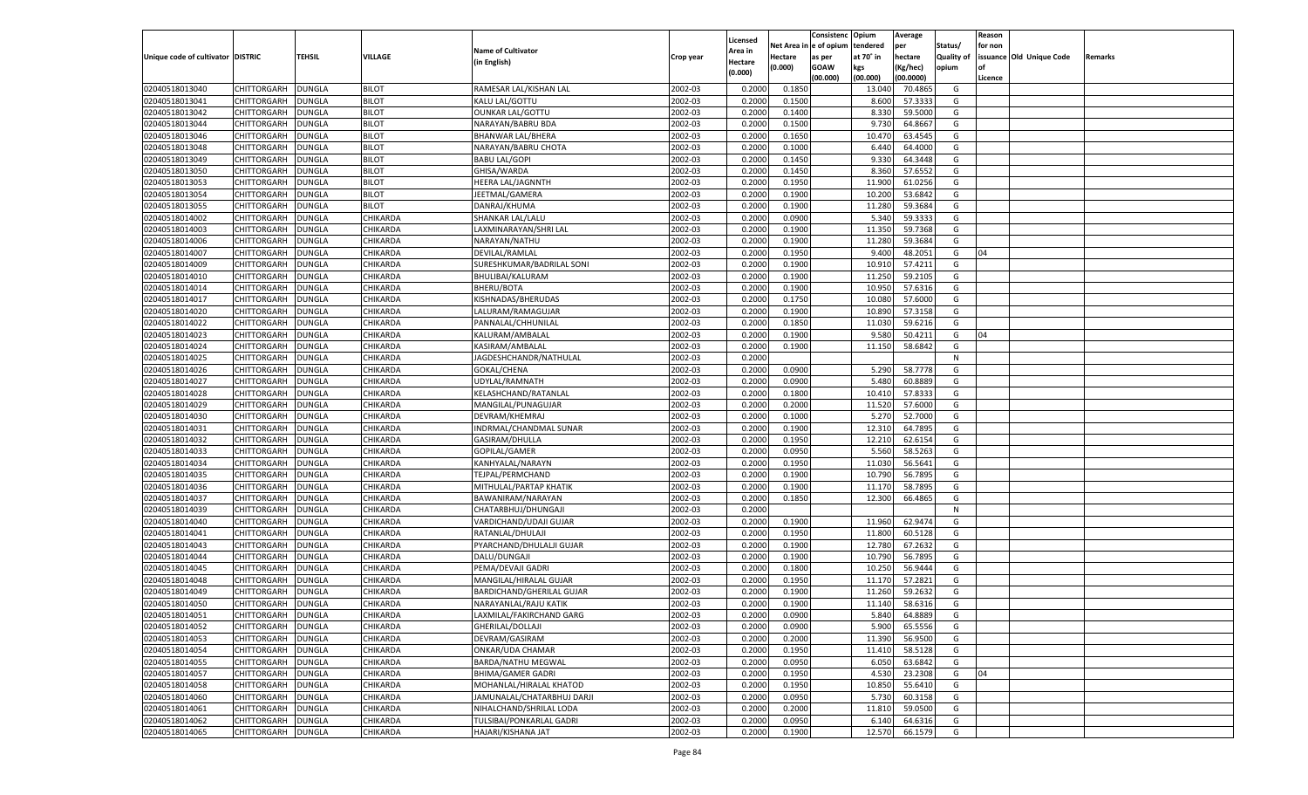|                                   |                    |                         |                      |                            |           |                     |             | Consistenc    | Opium            | Average   |                   | Reason  |                          |         |
|-----------------------------------|--------------------|-------------------------|----------------------|----------------------------|-----------|---------------------|-------------|---------------|------------------|-----------|-------------------|---------|--------------------------|---------|
|                                   |                    |                         |                      | <b>Name of Cultivator</b>  |           | Licensed<br>Area in | Net Area iı | n  e of opium | tendered         | per       | Status/           | for non |                          |         |
| Unique code of cultivator DISTRIC |                    | TEHSIL                  | VILLAGE              | (in English)               | Crop year | Hectare             | Hectare     | as per        | at 70° in        | hectare   | <b>Quality of</b> |         | issuance Old Unique Code | Remarks |
|                                   |                    |                         |                      |                            |           | (0.000)             | (0.000)     | <b>GOAW</b>   | kgs              | (Kg/hec)  | opium             |         |                          |         |
|                                   |                    |                         |                      |                            |           |                     |             | (00.000)      | (00.000)         | (00.0000) |                   | Licence |                          |         |
| 02040518013040                    | CHITTORGARH        | DUNGLA                  | <b>BILOT</b>         | RAMESAR LAL/KISHAN LAL     | 2002-03   | 0.2000              | 0.1850      |               | 13.040           | 70.4865   | G                 |         |                          |         |
| 02040518013041                    | CHITTORGARH        | DUNGLA                  | <b>BILOT</b>         | KALU LAL/GOTTU             | 2002-03   | 0.2000              | 0.1500      |               | 8.600            | 57.3333   | G                 |         |                          |         |
| 02040518013042                    | CHITTORGARH        | DUNGLA                  | <b>BILOT</b>         | <b>OUNKAR LAL/GOTTU</b>    | 2002-03   | 0.2000              | 0.1400      |               | 8.33             | 59.5000   | G                 |         |                          |         |
| 02040518013044                    | CHITTORGARH        | DUNGLA                  | <b>BILOT</b>         | NARAYAN/BABRU BDA          | 2002-03   | 0.2000              | 0.1500      |               | 9.730            | 64.8667   | G                 |         |                          |         |
| 02040518013046                    | CHITTORGARH        | DUNGLA                  | <b>BILOT</b>         | <b>BHANWAR LAL/BHERA</b>   | 2002-03   | 0.2000              | 0.1650      |               | 10.470           | 63.4545   | G                 |         |                          |         |
| 02040518013048                    | CHITTORGARH        | DUNGLA                  | <b>BILOT</b>         | NARAYAN/BABRU CHOTA        | 2002-03   | 0.2000              | 0.1000      |               | 6.440            | 64.4000   | G                 |         |                          |         |
| 02040518013049                    | CHITTORGARH        | DUNGLA                  | <b>BILOT</b>         | <b>BABU LAL/GOPI</b>       | 2002-03   | 0.2000              | 0.1450      |               | 9.330            | 64.3448   | G                 |         |                          |         |
| 02040518013050                    | CHITTORGARH        | DUNGLA                  | <b>BILOT</b>         | GHISA/WARDA                | 2002-03   | 0.2000              | 0.1450      |               | 8.360            | 57.6552   | G                 |         |                          |         |
| 02040518013053                    | CHITTORGARH        | DUNGLA                  | <b>BILOT</b>         | <b>HEERA LAL/JAGNNTH</b>   | 2002-03   | 0.2000              | 0.1950      |               | 11.900           | 61.0256   | G                 |         |                          |         |
| 02040518013054                    | CHITTORGARH        | DUNGLA                  | <b>BILOT</b>         | JEETMAL/GAMERA             | 2002-03   | 0.2000              | 0.1900      |               | 10.200           | 53.6842   | G                 |         |                          |         |
| 02040518013055                    | CHITTORGARH        | DUNGLA                  | <b>BILOT</b>         | DANRAJ/KHUMA               | 2002-03   | 0.2000              | 0.1900      |               | 11.280           | 59.3684   | G                 |         |                          |         |
| 02040518014002                    | CHITTORGARH        | DUNGLA                  | CHIKARDA             | SHANKAR LAL/LALU           | 2002-03   | 0.2000              | 0.0900      |               | 5.340            | 59.3333   | G                 |         |                          |         |
| 02040518014003                    | CHITTORGARH        | DUNGLA                  | CHIKARDA             | LAXMINARAYAN/SHRI LAL      | 2002-03   | 0.2000              | 0.1900      |               | 11.350           | 59.7368   | G                 |         |                          |         |
| 02040518014006                    | CHITTORGARH        | DUNGLA                  | CHIKARDA             | NARAYAN/NATHU              | 2002-03   | 0.2000              | 0.1900      |               | 11.280           | 59.3684   | G                 |         |                          |         |
| 02040518014007                    | CHITTORGARH        | DUNGLA                  | CHIKARDA             | DEVILAL/RAMLAL             | 2002-03   | 0.2000              | 0.1950      |               | 9.400            | 48.2051   | G                 | 04      |                          |         |
| 02040518014009                    | CHITTORGARH        | DUNGLA                  | CHIKARDA             | SURESHKUMAR/BADRILAL SONI  | 2002-03   | 0.2000              | 0.1900      |               | 10.910           | 57.4211   | G                 |         |                          |         |
| 02040518014010                    | CHITTORGARH        | DUNGLA                  | CHIKARDA             | BHULIBAI/KALURAM           | 2002-03   | 0.2000              | 0.1900      |               | 11.250           | 59.2105   | G                 |         |                          |         |
| 02040518014014                    | CHITTORGARH        | DUNGLA                  | CHIKARDA             | BHERU/BOTA                 | 2002-03   | 0.2000              | 0.1900      |               | 10.950           | 57.6316   | G                 |         |                          |         |
| 02040518014017                    | CHITTORGARH        | DUNGLA                  | CHIKARDA             | KISHNADAS/BHERUDAS         | 2002-03   | 0.2000              | 0.1750      |               | 10.080           | 57.6000   | G                 |         |                          |         |
| 02040518014020                    | CHITTORGARH        | DUNGLA                  | CHIKARDA             | LALURAM/RAMAGUJAR          | 2002-03   | 0.2000              | 0.1900      |               | 10.890           | 57.3158   | G                 |         |                          |         |
| 02040518014022                    | CHITTORGARH        | DUNGLA                  | CHIKARDA             | PANNALAL/CHHUNILAL         | 2002-03   | 0.2000              | 0.1850      |               | 11.030           | 59.6216   | G                 |         |                          |         |
| 02040518014023                    | CHITTORGARH        | DUNGLA                  | CHIKARDA             | KALURAM/AMBALAL            | 2002-03   | 0.2000              | 0.1900      |               | 9.580            | 50.4211   | G                 | 04      |                          |         |
| 02040518014024                    | CHITTORGARH        | DUNGLA                  | CHIKARDA             | KASIRAM/AMBALAL            | 2002-03   | 0.2000              | 0.1900      |               | 11.150           | 58.6842   | G                 |         |                          |         |
| 02040518014025                    | CHITTORGARH        | DUNGLA                  | CHIKARDA             | JAGDESHCHANDR/NATHULAL     | 2002-03   | 0.2000              |             |               |                  |           | N                 |         |                          |         |
| 02040518014026                    | CHITTORGARH        | DUNGLA                  | CHIKARDA             | GOKAL/CHENA                | 2002-03   | 0.2000              | 0.0900      |               | 5.290            | 58.7778   | G                 |         |                          |         |
| 02040518014027                    | CHITTORGARH        | DUNGLA                  | CHIKARDA             | UDYLAL/RAMNATH             | 2002-03   | 0.2000              | 0.0900      |               | 5.480            | 60.8889   | G                 |         |                          |         |
| 02040518014028                    | CHITTORGARH        | DUNGLA                  | CHIKARDA             | KELASHCHAND/RATANLAL       | 2002-03   | 0.2000              | 0.1800      |               | 10.410           | 57.8333   | G                 |         |                          |         |
| 02040518014029                    | CHITTORGARH        | DUNGLA                  | CHIKARDA             | MANGILAL/PUNAGUJAR         | 2002-03   | 0.2000              | 0.2000      |               | 11.520           | 57.6000   | G                 |         |                          |         |
| 02040518014030                    | CHITTORGARH        | DUNGLA                  | CHIKARDA             | DEVRAM/KHEMRAJ             | 2002-03   | 0.2000              | 0.1000      |               | 5.270            | 52.7000   | G                 |         |                          |         |
| 02040518014031                    | CHITTORGARH        | DUNGLA                  | CHIKARDA             | INDRMAL/CHANDMAL SUNAR     | 2002-03   | 0.2000              | 0.1900      |               | 12.310           | 64.7895   | G                 |         |                          |         |
| 02040518014032                    | CHITTORGARH        | DUNGLA                  | CHIKARDA             | GASIRAM/DHULLA             | 2002-03   | 0.2000              | 0.1950      |               | 12.210           | 62.6154   | G                 |         |                          |         |
| 02040518014033                    | CHITTORGARH        | DUNGLA                  | CHIKARDA             | GOPILAL/GAMER              | 2002-03   | 0.2000              | 0.0950      |               | 5.560            | 58.5263   | G                 |         |                          |         |
| 02040518014034                    | CHITTORGARH        | DUNGLA                  | CHIKARDA             | KANHYALAL/NARAYN           | 2002-03   | 0.2000              | 0.1950      |               | 11.030           | 56.5641   | G                 |         |                          |         |
| 02040518014035                    | CHITTORGARH        | DUNGLA                  | CHIKARDA             | TEJPAL/PERMCHAND           | 2002-03   | 0.2000              | 0.1900      |               | 10.790           | 56.7895   | G                 |         |                          |         |
| 02040518014036                    |                    |                         | CHIKARDA             |                            | 2002-03   | 0.2000              | 0.1900      |               |                  | 58.7895   | G                 |         |                          |         |
| 02040518014037                    | CHITTORGARH        | DUNGLA                  |                      | MITHULAL/PARTAP KHATIK     | 2002-03   |                     |             |               | 11.170<br>12.300 | 66.4865   | G                 |         |                          |         |
|                                   | CHITTORGARH        | DUNGLA<br><b>DUNGLA</b> | CHIKARDA<br>CHIKARDA | BAWANIRAM/NARAYAN          | 2002-03   | 0.2000<br>0.2000    | 0.1850      |               |                  |           |                   |         |                          |         |
| 02040518014039                    | CHITTORGARH        |                         |                      | CHATARBHUJ/DHUNGAJI        |           |                     |             |               |                  |           | N                 |         |                          |         |
| 02040518014040                    | CHITTORGARH        | DUNGLA                  | CHIKARDA             | VARDICHAND/UDAJI GUJAR     | 2002-03   | 0.2000              | 0.1900      |               | 11.960           | 62.9474   | G                 |         |                          |         |
| 02040518014041                    | CHITTORGARH        | DUNGLA                  | CHIKARDA             | RATANLAL/DHULAJI           | 2002-03   | 0.2000              | 0.1950      |               | 11.800           | 60.5128   | G                 |         |                          |         |
| 02040518014043                    | CHITTORGARH        | DUNGLA                  | CHIKARDA             | PYARCHAND/DHULALJI GUJAR   | 2002-03   | 0.2000              | 0.1900      |               | 12.780           | 67.2632   | G                 |         |                          |         |
| 02040518014044                    | CHITTORGARH        | <b>DUNGLA</b>           | CHIKARDA             | DALU/DUNGAJI               | 2002-03   | 0.2000              | 0.1900      |               | 10.790           | 56.7895   | G                 |         |                          |         |
| 02040518014045                    | CHITTORGARH        | DUNGLA                  | CHIKARDA             | PEMA/DEVAJI GADRI          | 2002-03   | 0.2000              | 0.1800      |               | 10.250           | 56.9444   | G                 |         |                          |         |
| 02040518014048                    | CHITTORGARH        | DUNGLA                  | CHIKARDA             | MANGILAL/HIRALAL GUJAR     | 2002-03   | 0.2000              | 0.1950      |               | 11.170           | 57.2821   | G                 |         |                          |         |
| 02040518014049                    | CHITTORGARH        | DUNGLA                  | CHIKARDA             | BARDICHAND/GHERILAL GUJAR  | 2002-03   | 0.2000              | 0.1900      |               | 11.260           | 59.2632   | G                 |         |                          |         |
| 02040518014050                    | CHITTORGARH        | <b>DUNGLA</b>           | CHIKARDA             | NARAYANLAL/RAJU KATIK      | 2002-03   | 0.2000              | 0.1900      |               | 11.140           | 58.6316   | G                 |         |                          |         |
| 02040518014051                    | CHITTORGARH        | <b>DUNGLA</b>           | <b>CHIKARDA</b>      | LAXMILAL/FAKIRCHAND GARG   | 2002-03   | 0.2000              | 0.0900      |               | 5.840            | 64.8889   | G                 |         |                          |         |
| 02040518014052                    | <b>CHITTORGARH</b> | <b>DUNGLA</b>           | <b>CHIKARDA</b>      | GHERILAL/DOLLAJI           | 2002-03   | 0.2000              | 0.0900      |               | 5.900            | 65.5556   | G                 |         |                          |         |
| 02040518014053                    | CHITTORGARH        | <b>DUNGLA</b>           | CHIKARDA             | DEVRAM/GASIRAM             | 2002-03   | 0.2000              | 0.2000      |               | 11.390           | 56.9500   | G                 |         |                          |         |
| 02040518014054                    | CHITTORGARH        | <b>DUNGLA</b>           | <b>CHIKARDA</b>      | ONKAR/UDA CHAMAR           | 2002-03   | 0.2000              | 0.1950      |               | 11.410           | 58.5128   | G                 |         |                          |         |
| 02040518014055                    | <b>CHITTORGARH</b> | <b>DUNGLA</b>           | CHIKARDA             | BARDA/NATHU MEGWAL         | 2002-03   | 0.2000              | 0.0950      |               | 6.050            | 63.6842   | G                 |         |                          |         |
| 02040518014057                    | <b>CHITTORGARH</b> | <b>DUNGLA</b>           | <b>CHIKARDA</b>      | <b>BHIMA/GAMER GADRI</b>   | 2002-03   | 0.2000              | 0.1950      |               | 4.530            | 23.2308   | G                 | 04      |                          |         |
| 02040518014058                    | CHITTORGARH        | <b>DUNGLA</b>           | CHIKARDA             | MOHANLAL/HIRALAL KHATOD    | 2002-03   | 0.2000              | 0.1950      |               | 10.850           | 55.6410   | G                 |         |                          |         |
| 02040518014060                    | CHITTORGARH        | <b>DUNGLA</b>           | <b>CHIKARDA</b>      | JAMUNALAL/CHATARBHUJ DARJI | 2002-03   | 0.2000              | 0.0950      |               | 5.730            | 60.3158   | G                 |         |                          |         |
| 02040518014061                    | <b>CHITTORGARH</b> | <b>DUNGLA</b>           | CHIKARDA             | NIHALCHAND/SHRILAL LODA    | 2002-03   | 0.2000              | 0.2000      |               | 11.810           | 59.0500   | G                 |         |                          |         |
| 02040518014062                    | <b>CHITTORGARH</b> | <b>DUNGLA</b>           | <b>CHIKARDA</b>      | TULSIBAI/PONKARLAL GADRI   | 2002-03   | 0.2000              | 0.0950      |               | 6.140            | 64.6316   | G                 |         |                          |         |
| 02040518014065                    | CHITTORGARH        | <b>DUNGLA</b>           | CHIKARDA             | HAJARI/KISHANA JAT         | 2002-03   | 0.2000              | 0.1900      |               | 12.570           | 66.1579   | G                 |         |                          |         |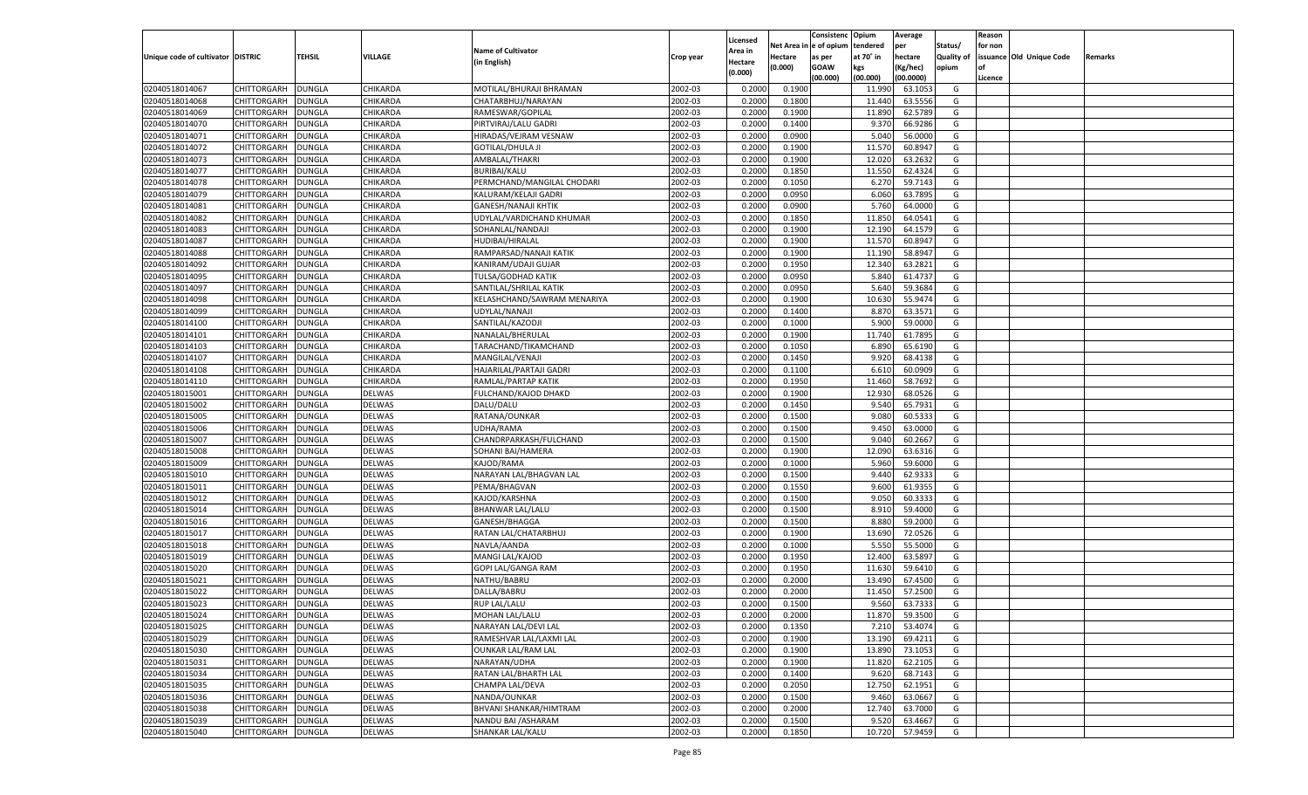|                                   |                            |               |                    |                             |                    |                    |                  | Consistenc    | Opium     | Average        |                   | Reason  |                          |         |
|-----------------------------------|----------------------------|---------------|--------------------|-----------------------------|--------------------|--------------------|------------------|---------------|-----------|----------------|-------------------|---------|--------------------------|---------|
|                                   |                            |               |                    |                             |                    | Licensed           | Net Area iı      | n  e of opium | tendered  | per            | Status/           | for non |                          |         |
| Unique code of cultivator DISTRIC |                            | TEHSIL        | VILLAGE            | <b>Name of Cultivator</b>   | Crop year          | Area in            | Hectare          | as per        | at 70° in | hectare        | <b>Quality of</b> |         | issuance Old Unique Code | Remarks |
|                                   |                            |               |                    | (in English)                |                    | Hectare<br>(0.000) | (0.000)          | <b>GOAW</b>   | kgs       | (Kg/hec)       | opium             |         |                          |         |
|                                   |                            |               |                    |                             |                    |                    |                  | (00.000)      | (00.000)  | (00.0000)      |                   | Licence |                          |         |
| 02040518014067                    | CHITTORGARH                | DUNGLA        | CHIKARDA           | MOTILAL/BHURAJI BHRAMAN     | 2002-03            | 0.2000             | 0.1900           |               | 11.990    | 63.105         | G                 |         |                          |         |
| 02040518014068                    | CHITTORGARH                | DUNGLA        | CHIKARDA           | CHATARBHUJ/NARAYAN          | 2002-03            | 0.2000             | 0.1800           |               | 11.440    | 63.5556        | G                 |         |                          |         |
| 02040518014069                    | CHITTORGARH                | DUNGLA        | CHIKARDA           | RAMESWAR/GOPILAL            | 2002-03            | 0.2000             | 0.1900           |               | 11.890    | 62.5789        | G                 |         |                          |         |
| 02040518014070                    | CHITTORGARH                | DUNGLA        | CHIKARDA           | PIRTVIRAJ/LALU GADRI        | 2002-03            | 0.2000             | 0.1400           |               | 9.370     | 66.9286        | G                 |         |                          |         |
| 02040518014071                    | CHITTORGARH                | DUNGLA        | CHIKARDA           | HIRADAS/VEJRAM VESNAW       | 2002-03            | 0.2000             | 0.0900           |               | 5.040     | 56.0000        | G                 |         |                          |         |
| 02040518014072                    | CHITTORGARH                | DUNGLA        | CHIKARDA           | <b>GOTILAL/DHULA JI</b>     | 2002-03            | 0.2000             | 0.1900           |               | 11.570    | 60.8947        | G                 |         |                          |         |
| 02040518014073                    | CHITTORGARH                | DUNGLA        | CHIKARDA           | AMBALAL/THAKRI              | 2002-03            | 0.2000             | 0.1900           |               | 12.020    | 63.2632        | G                 |         |                          |         |
| 02040518014077                    | CHITTORGARH                | DUNGLA        | CHIKARDA           | <b>BURIBAI/KALU</b>         | 2002-03            | 0.2000             | 0.1850           |               | 11.550    | 62.4324        | G                 |         |                          |         |
| 02040518014078                    | CHITTORGARH                | DUNGLA        | CHIKARDA           | PERMCHAND/MANGILAL CHODARI  | 2002-03            | 0.2000             | 0.1050           |               | 6.27      | 59.7143        | G                 |         |                          |         |
| 02040518014079                    | CHITTORGARH                | DUNGLA        | CHIKARDA           | KALURAM/KELAJI GADRI        | 2002-03            | 0.2000             | 0.0950           |               | 6.060     | 63.7895        | G                 |         |                          |         |
| 02040518014081                    | CHITTORGARH                | DUNGLA        | CHIKARDA           | <b>GANESH/NANAJI KHTIK</b>  | 2002-03            | 0.2000             | 0.0900           |               | 5.760     | 64.0000        | G                 |         |                          |         |
| 02040518014082                    | CHITTORGARH                | DUNGLA        | CHIKARDA           | UDYLAL/VARDICHAND KHUMAR    | 2002-03            | 0.2000             | 0.1850           |               | 11.850    | 64.0541        | G                 |         |                          |         |
| 02040518014083                    | CHITTORGARH                | DUNGLA        | CHIKARDA           | SOHANLAL/NANDAJI            | 2002-03            | 0.2000             | 0.1900           |               | 12.190    | 64.1579        | G                 |         |                          |         |
| 02040518014087                    | CHITTORGARH                | DUNGLA        | CHIKARDA           | HUDIBAI/HIRALAL             | 2002-03            | 0.2000             | 0.1900           |               | 11.570    | 60.8947        | G                 |         |                          |         |
| 02040518014088                    | CHITTORGARH                | DUNGLA        | CHIKARDA           | RAMPARSAD/NANAJI KATIK      | 2002-03            | 0.2000             | 0.1900           |               | 11.190    | 58.8947        | G                 |         |                          |         |
| 02040518014092                    | CHITTORGARH                | DUNGLA        | CHIKARDA           | KANIRAM/UDAJI GUJAR         | 2002-03            | 0.2000             | 0.1950           |               | 12.340    | 63.2821        | G                 |         |                          |         |
| 02040518014095                    | CHITTORGARH                | DUNGLA        | CHIKARDA           | TULSA/GODHAD KATIK          | 2002-03            | 0.2000             | 0.0950           |               | 5.840     | 61.4737        | G                 |         |                          |         |
| 02040518014097                    | CHITTORGARH                | DUNGLA        | CHIKARDA           | SANTILAL/SHRILAL KATIK      | 2002-03            | 0.2000             | 0.0950           |               | 5.640     | 59.3684        | G                 |         |                          |         |
| 02040518014098                    | CHITTORGARH                | DUNGLA        | CHIKARDA           | KELASHCHAND/SAWRAM MENARIYA | 2002-03            | 0.2000             | 0.1900           |               | 10.630    | 55.9474        | G                 |         |                          |         |
| 02040518014099                    | CHITTORGARH                | DUNGLA        | CHIKARDA           | UDYLAL/NANAJI               | 2002-03            | 0.2000             | 0.1400           |               | 8.870     | 63.3571        | G                 |         |                          |         |
| 02040518014100                    | CHITTORGARH                | DUNGLA        | CHIKARDA           | SANTILAL/KAZODJI            | 2002-03            | 0.2000             | 0.1000           |               | 5.900     | 59.0000        | G                 |         |                          |         |
| 02040518014101                    | CHITTORGARH                | DUNGLA        | CHIKARDA           | NANALAL/BHERULAL            | 2002-03            | 0.2000             | 0.1900           |               | 11.740    | 61.7895        | G                 |         |                          |         |
| 02040518014103                    | CHITTORGARH                | DUNGLA        | CHIKARDA           | TARACHAND/TIKAMCHAND        | 2002-03            | 0.2000             | 0.1050           |               | 6.890     | 65.6190        | G                 |         |                          |         |
| 02040518014107                    | CHITTORGARH                | DUNGLA        | CHIKARDA           | MANGILAL/VENAJI             | 2002-03            | 0.2000             | 0.1450           |               | 9.920     | 68.4138        | G                 |         |                          |         |
| 02040518014108                    | CHITTORGARH                | DUNGLA        | CHIKARDA           | HAJARILAL/PARTAJI GADRI     | 2002-03            | 0.2000             | 0.1100           |               | 6.610     | 60.0909        | G                 |         |                          |         |
| 02040518014110                    |                            |               |                    | RAMLAL/PARTAP KATIK         | 2002-03            | 0.2000             | 0.1950           |               | 11.460    | 58.7692        | G                 |         |                          |         |
| 02040518015001                    | CHITTORGARH                | DUNGLA        | CHIKARDA<br>DELWAS |                             | 2002-03            | 0.2000             | 0.1900           |               | 12.930    | 68.0526        | G                 |         |                          |         |
|                                   | CHITTORGARH                | DUNGLA        |                    | FULCHAND/KAJOD DHAKD        |                    |                    |                  |               | 9.540     | 65.7931        |                   |         |                          |         |
| 02040518015002                    | CHITTORGARH<br>CHITTORGARH | DUNGLA        | <b>DELWAS</b>      | DALU/DALU                   | 2002-03<br>2002-03 | 0.2000<br>0.2000   | 0.1450<br>0.1500 |               |           | 60.5333        | G<br>G            |         |                          |         |
| 02040518015005                    |                            | DUNGLA        | DELWAS             | RATANA/OUNKAR               |                    |                    |                  |               | 9.080     |                |                   |         |                          |         |
| 02040518015006                    | CHITTORGARH                | DUNGLA        | <b>DELWAS</b>      | UDHA/RAMA                   | 2002-03            | 0.2000             | 0.1500           |               | 9.450     | 63.0000        | G                 |         |                          |         |
| 02040518015007                    | CHITTORGARH                | DUNGLA        | DELWAS             | CHANDRPARKASH/FULCHAND      | 2002-03            | 0.2000             | 0.1500           |               | 9.040     | 60.2667        | G                 |         |                          |         |
| 02040518015008                    | CHITTORGARH                | DUNGLA        | <b>DELWAS</b>      | SOHANI BAI/HAMERA           | 2002-03            | 0.2000             | 0.1900           |               | 12.090    | 63.6316        | G                 |         |                          |         |
| 02040518015009                    | CHITTORGARH                | DUNGLA        | DELWAS             | KAJOD/RAMA                  | 2002-03            | 0.2000             | 0.1000           |               | 5.960     | 59.6000        | G                 |         |                          |         |
| 02040518015010                    | CHITTORGARH                | DUNGLA        | <b>DELWAS</b>      | NARAYAN LAL/BHAGVAN LAL     | 2002-03            | 0.2000             | 0.1500           |               | 9.440     | 62.9333        | G                 |         |                          |         |
| 02040518015011                    | CHITTORGARH                | DUNGLA        | DELWAS             | PEMA/BHAGVAN                | 2002-03            | 0.2000             | 0.1550           |               | 9.600     | 61.9355        | G                 |         |                          |         |
| 02040518015012                    | CHITTORGARH                | DUNGLA        | <b>DELWAS</b>      | KAJOD/KARSHNA               | 2002-03            | 0.2000             | 0.1500           |               | 9.050     | 60.3333        | G                 |         |                          |         |
| 02040518015014                    | CHITTORGARH                | <b>DUNGLA</b> | DELWAS             | <b>BHANWAR LAL/LALU</b>     | 2002-03            | 0.2000             | 0.1500           |               | 8.910     | 59.4000        | G                 |         |                          |         |
| 02040518015016                    | CHITTORGARH                | DUNGLA        | <b>DELWAS</b>      | GANESH/BHAGGA               | 2002-03            | 0.2000             | 0.1500           |               | 8.880     | 59.2000        | G                 |         |                          |         |
| 02040518015017                    | CHITTORGARH                | DUNGLA        | DELWAS             | RATAN LAL/CHATARBHUJ        | 2002-03            | 0.2000             | 0.1900           |               | 13.690    | 72.0526        | G                 |         |                          |         |
| 02040518015018                    | CHITTORGARH                | DUNGLA        | <b>DELWAS</b>      | NAVLA/AANDA                 | 2002-03            | 0.2000             | 0.1000           |               | 5.550     | 55.5000        | G                 |         |                          |         |
| 02040518015019                    | CHITTORGARH                | <b>DUNGLA</b> | DELWAS             | MANGI LAL/KAJOD             | 2002-03            | 0.2000             | 0.1950           |               | 12.400    | 63.5897        | G                 |         |                          |         |
| 02040518015020                    | CHITTORGARH                | DUNGLA        | <b>DELWAS</b>      | GOPI LAL/GANGA RAM          | 2002-03            | 0.2000             | 0.1950           |               | 11.630    | 59.6410        | G                 |         |                          |         |
| 02040518015021                    | CHITTORGARH                | DUNGLA        | <b>DELWAS</b>      | NATHU/BABRU                 | 2002-03            | 0.2000             | 0.2000           |               | 13.490    | 67.4500        | G                 |         |                          |         |
| 02040518015022                    | CHITTORGARH                | DUNGLA        | <b>DELWAS</b>      | DALLA/BABRU                 | 2002-03            | 0.2000             | 0.2000           |               | 11.450    | 57.2500        | G                 |         |                          |         |
| 02040518015023                    | CHITTORGARH                | <b>DUNGLA</b> | DELWAS             | <b>RUP LAL/LALU</b>         | 2002-03            | 0.2000             | 0.1500           |               | 9.560     | 63.7333        | G                 |         |                          |         |
| 02040518015024                    | CHITTORGARH DUNGLA         |               | <b>DELWAS</b>      | MOHAN LAL/LALU              | 2002-03            | 0.2000             | 0.2000           |               |           | 11.870 59.3500 | G                 |         |                          |         |
| 02040518015025                    | CHITTORGARH                | <b>DUNGLA</b> | <b>DELWAS</b>      | NARAYAN LAL/DEVI LAL        | 2002-03            | 0.2000             | 0.1350           |               | 7.210     | 53.4074        | G                 |         |                          |         |
| 02040518015029                    | CHITTORGARH                | <b>DUNGLA</b> | <b>DELWAS</b>      | RAMESHVAR LAL/LAXMI LAL     | 2002-03            | 0.2000             | 0.1900           |               | 13.190    | 69.4211        | G                 |         |                          |         |
| 02040518015030                    | CHITTORGARH                | <b>DUNGLA</b> | <b>DELWAS</b>      | <b>OUNKAR LAL/RAM LAL</b>   | 2002-03            | 0.2000             | 0.1900           |               | 13.890    | 73.1053        | G                 |         |                          |         |
| 02040518015031                    | CHITTORGARH                | <b>DUNGLA</b> | <b>DELWAS</b>      | NARAYAN/UDHA                | 2002-03            | 0.2000             | 0.1900           |               | 11.820    | 62.2105        | G                 |         |                          |         |
| 02040518015034                    | CHITTORGARH                | <b>DUNGLA</b> | <b>DELWAS</b>      | RATAN LAL/BHARTH LAL        | 2002-03            | 0.2000             | 0.1400           |               | 9.620     | 68.7143        | G                 |         |                          |         |
| 02040518015035                    | <b>CHITTORGARH</b>         | <b>DUNGLA</b> | <b>DELWAS</b>      | CHAMPA LAL/DEVA             | 2002-03            | 0.2000             | 0.2050           |               | 12.750    | 62.1951        | G                 |         |                          |         |
| 02040518015036                    | CHITTORGARH                | <b>DUNGLA</b> | <b>DELWAS</b>      | NANDA/OUNKAR                | 2002-03            | 0.2000             | 0.1500           |               | 9.460     | 63.0667        | G                 |         |                          |         |
| 02040518015038                    | CHITTORGARH                | <b>DUNGLA</b> | <b>DELWAS</b>      | BHVANI SHANKAR/HIMTRAM      | 2002-03            | 0.2000             | 0.2000           |               | 12.740    | 63.7000        | G                 |         |                          |         |
| 02040518015039                    | <b>CHITTORGARH</b>         | <b>DUNGLA</b> | <b>DELWAS</b>      | NANDU BAI / ASHARAM         | 2002-03            | 0.2000             | 0.1500           |               | 9.520     | 63.4667        | G                 |         |                          |         |
| 02040518015040                    | CHITTORGARH                | <b>DUNGLA</b> | <b>DELWAS</b>      | SHANKAR LAL/KALU            | 2002-03            | 0.2000             | 0.1850           |               | 10.720    | 57.9459        | G                 |         |                          |         |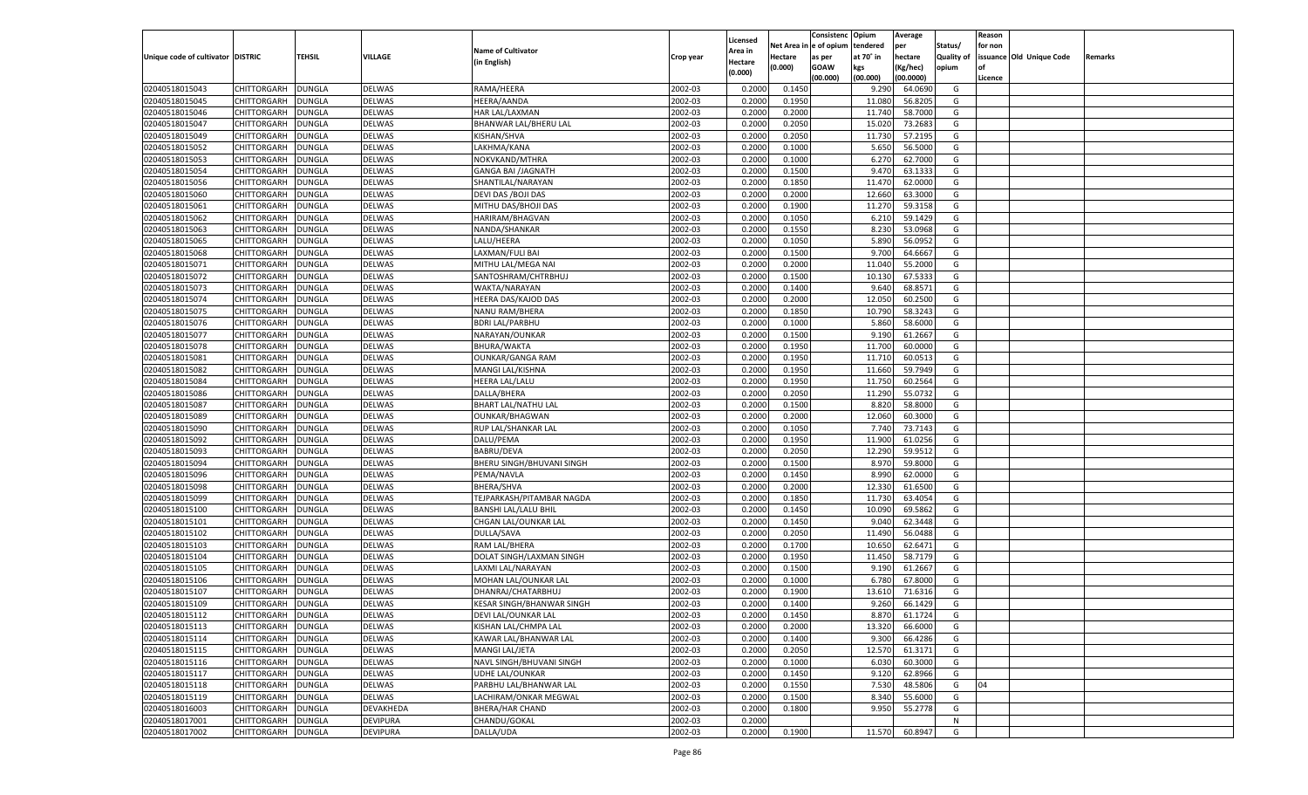|                                   |                    |               |                 |                                                        |           |                     |            | Consistenc Opium |           | Average       |                   | Reason  |                          |         |
|-----------------------------------|--------------------|---------------|-----------------|--------------------------------------------------------|-----------|---------------------|------------|------------------|-----------|---------------|-------------------|---------|--------------------------|---------|
|                                   |                    |               |                 | <b>Name of Cultivator</b>                              |           | Licensed<br>Area in | Net Area i | n e of opium     | tendered  | per           | Status/           | for non |                          |         |
| Unique code of cultivator DISTRIC |                    | TEHSIL        | VILLAGE         | (in English)                                           | Crop year | Hectare             | Hectare    | as per           | at 70° in | hectare       | <b>Quality of</b> |         | issuance Old Unique Code | Remarks |
|                                   |                    |               |                 |                                                        |           | (0.000)             | (0.000)    | <b>GOAW</b>      | kgs       | (Kg/hec)      | opium             |         |                          |         |
|                                   |                    |               |                 |                                                        |           |                     |            | (00.000)         | (00.000)  | (00.0000)     |                   | Licence |                          |         |
| 02040518015043                    | CHITTORGARH        | DUNGLA        | <b>DELWAS</b>   | RAMA/HEERA                                             | 2002-03   | 0.2000              | 0.1450     |                  | 9.290     | 64.0690       | G                 |         |                          |         |
| 02040518015045                    | CHITTORGARH        | DUNGLA        | <b>DELWAS</b>   | <b>HEERA/AANDA</b>                                     | 2002-03   | 0.2000              | 0.1950     |                  | 11.080    | 56.8205       | G                 |         |                          |         |
| 02040518015046                    | CHITTORGARH        | DUNGLA        | DELWAS          | HAR LAL/LAXMAN                                         | 2002-03   | 0.2000              | 0.2000     |                  | 11.74     | 58.7000       | G                 |         |                          |         |
| 02040518015047                    | CHITTORGARH        | DUNGLA        | <b>DELWAS</b>   | BHANWAR LAL/BHERU LAL                                  | 2002-03   | 0.2000              | 0.2050     |                  | 15.020    | 73.2683       | G                 |         |                          |         |
| 02040518015049                    | CHITTORGARH        | DUNGLA        | DELWAS          | KISHAN/SHVA                                            | 2002-03   | 0.2000              | 0.2050     |                  | 11.730    | 57.2195       | G                 |         |                          |         |
| 02040518015052                    | CHITTORGARH        | DUNGLA        | <b>DELWAS</b>   | LAKHMA/KANA                                            | 2002-03   | 0.2000              | 0.1000     |                  | 5.650     | 56.5000       | G                 |         |                          |         |
| 02040518015053                    | CHITTORGARH        | DUNGLA        | DELWAS          | NOKVKAND/MTHRA                                         | 2002-03   | 0.2000              | 0.1000     |                  | 6.27      | 62.7000       | G                 |         |                          |         |
| 02040518015054                    | CHITTORGARH        | DUNGLA        | <b>DELWAS</b>   | <b>GANGA BAI /JAGNATH</b>                              | 2002-03   | 0.2000              | 0.1500     |                  | 9.470     | 63.1333       | G                 |         |                          |         |
| 02040518015056                    | CHITTORGARH        | DUNGLA        | DELWAS          | SHANTILAL/NARAYAN                                      | 2002-03   | 0.2000              | 0.1850     |                  | 11.470    | 62.0000       | G                 |         |                          |         |
| 02040518015060                    | CHITTORGARH        | DUNGLA        | <b>DELWAS</b>   | DEVI DAS / BOJI DAS                                    | 2002-03   | 0.2000              | 0.2000     |                  | 12.660    | 63.3000       | G                 |         |                          |         |
| 02040518015061                    | CHITTORGARH        | DUNGLA        | DELWAS          | MITHU DAS/BHOJI DAS                                    | 2002-03   | 0.2000              | 0.1900     |                  | 11.270    | 59.3158       | G                 |         |                          |         |
| 02040518015062                    | CHITTORGARH        | DUNGLA        | <b>DELWAS</b>   | HARIRAM/BHAGVAN                                        | 2002-03   | 0.2000              | 0.1050     |                  | 6.21      | 59.1429       | G                 |         |                          |         |
| 02040518015063                    | CHITTORGARH        | DUNGLA        | DELWAS          | NANDA/SHANKAR                                          | 2002-03   | 0.2000              | 0.1550     |                  | 8.230     | 53.0968       | G                 |         |                          |         |
| 02040518015065                    | CHITTORGARH        | DUNGLA        | DELWAS          | LALU/HEERA                                             | 2002-03   | 0.2000              | 0.1050     |                  | 5.890     | 56.0952       | G                 |         |                          |         |
| 02040518015068                    | CHITTORGARH        | DUNGLA        | DELWAS          | LAXMAN/FULI BAI                                        | 2002-03   | 0.2000              | 0.1500     |                  | 9.700     | 64.6667       | G                 |         |                          |         |
| 02040518015071                    | CHITTORGARH        | DUNGLA        | DELWAS          | MITHU LAL/MEGA NAI                                     | 2002-03   | 0.2000              | 0.2000     |                  | 11.040    | 55.2000       | G                 |         |                          |         |
| 02040518015072                    | CHITTORGARH        | DUNGLA        | DELWAS          | SANTOSHRAM/CHTRBHUJ                                    | 2002-03   | 0.2000              | 0.1500     |                  | 10.130    | 67.5333       | G                 |         |                          |         |
| 02040518015073                    | CHITTORGARH        | DUNGLA        | DELWAS          | WAKTA/NARAYAN                                          | 2002-03   | 0.2000              | 0.1400     |                  | 9.640     | 68.8571       | G                 |         |                          |         |
| 02040518015074                    | CHITTORGARH        | DUNGLA        | DELWAS          | HEERA DAS/KAJOD DAS                                    | 2002-03   | 0.2000              | 0.2000     |                  | 12.050    | 60.2500       | G                 |         |                          |         |
| 02040518015075                    | CHITTORGARH        | DUNGLA        | DELWAS          | <b>NANU RAM/BHERA</b>                                  | 2002-03   | 0.2000              | 0.1850     |                  | 10.790    | 58.3243       | G                 |         |                          |         |
| 02040518015076                    | CHITTORGARH        | DUNGLA        | DELWAS          | <b>BDRI LAL/PARBHU</b>                                 | 2002-03   | 0.2000              | 0.1000     |                  | 5.860     | 58.6000       | G                 |         |                          |         |
| 02040518015077                    | CHITTORGARH        | DUNGLA        | DELWAS          | NARAYAN/OUNKAR                                         | 2002-03   | 0.2000              | 0.1500     |                  | 9.190     | 61.2667       | G                 |         |                          |         |
| 02040518015078                    | CHITTORGARH        | DUNGLA        | DELWAS          | <b>BHURA/WAKTA</b>                                     | 2002-03   | 0.2000              | 0.1950     |                  | 11.700    | 60.0000       | G                 |         |                          |         |
| 02040518015081                    | CHITTORGARH        | DUNGLA        | DELWAS          | <b>OUNKAR/GANGA RAM</b>                                | 2002-03   | 0.2000              | 0.1950     |                  | 11.710    | 60.0513       | G                 |         |                          |         |
| 02040518015082                    | CHITTORGARH        | DUNGLA        | DELWAS          | MANGI LAL/KISHNA                                       | 2002-03   | 0.2000              | 0.1950     |                  | 11.660    | 59.7949       | G                 |         |                          |         |
| 02040518015084                    | CHITTORGARH        | DUNGLA        | DELWAS          | <b>HEERA LAL/LALU</b>                                  | 2002-03   | 0.2000              | 0.1950     |                  | 11.750    | 60.2564       | G                 |         |                          |         |
| 02040518015086                    | CHITTORGARH        | DUNGLA        | DELWAS          | DALLA/BHERA                                            | 2002-03   | 0.2000              | 0.2050     |                  | 11.290    | 55.0732       | G                 |         |                          |         |
| 02040518015087                    | CHITTORGARH        | DUNGLA        | DELWAS          | <b>BHART LAL/NATHU LAL</b>                             | 2002-03   | 0.2000              | 0.1500     |                  | 8.820     | 58.8000       | G                 |         |                          |         |
| 02040518015089                    | CHITTORGARH        | DUNGLA        | DELWAS          | OUNKAR/BHAGWAN                                         | 2002-03   | 0.2000              | 0.2000     |                  | 12.060    | 60.3000       | G                 |         |                          |         |
| 02040518015090                    | CHITTORGARH        | DUNGLA        | DELWAS          | RUP LAL/SHANKAR LAL                                    | 2002-03   | 0.2000              | 0.1050     |                  | 7.740     | 73.7143       | G                 |         |                          |         |
| 02040518015092                    | CHITTORGARH        | DUNGLA        | DELWAS          | DALU/PEMA                                              | 2002-03   | 0.2000              | 0.1950     |                  | 11.900    | 61.0256       | G                 |         |                          |         |
| 02040518015093                    | CHITTORGARH        | DUNGLA        | DELWAS          | <b>BABRU/DEVA</b>                                      | 2002-03   | 0.2000              | 0.2050     |                  | 12.290    | 59.9512       | G                 |         |                          |         |
| 02040518015094                    | CHITTORGARH        | DUNGLA        | DELWAS          | BHERU SINGH/BHUVANI SINGH                              | 2002-03   | 0.2000              | 0.1500     |                  | 8.970     | 59.8000       | G                 |         |                          |         |
| 02040518015096                    | CHITTORGARH        | DUNGLA        | DELWAS          | PEMA/NAVLA                                             | 2002-03   | 0.2000              | 0.1450     |                  | 8.990     | 62.0000       | G                 |         |                          |         |
| 02040518015098                    | CHITTORGARH        | DUNGLA        | DELWAS          | <b>BHERA/SHVA</b>                                      | 2002-03   | 0.2000              | 0.2000     |                  | 12.330    | 61.6500       | G                 |         |                          |         |
| 02040518015099                    | CHITTORGARH        | DUNGLA        | DELWAS          | TEJPARKASH/PITAMBAR NAGDA                              | 2002-03   | 0.2000              | 0.1850     |                  | 11.730    | 63.4054       | G                 |         |                          |         |
| 02040518015100                    | CHITTORGARH        | DUNGLA        | DELWAS          | <b>BANSHI LAL/LALU BHIL</b>                            | 2002-03   | 0.2000              | 0.1450     |                  | 10.090    | 69.5862       | G                 |         |                          |         |
| 02040518015101                    | CHITTORGARH        | DUNGLA        | DELWAS          | CHGAN LAL/OUNKAR LAL                                   | 2002-03   | 0.2000              | 0.1450     |                  | 9.040     | 62.3448       | G                 |         |                          |         |
| 02040518015102                    | CHITTORGARH        | DUNGLA        | DELWAS          | DULLA/SAVA                                             | 2002-03   | 0.2000              | 0.2050     |                  | 11.490    | 56.0488       | G                 |         |                          |         |
| 02040518015103                    | CHITTORGARH        | DUNGLA        | <b>DELWAS</b>   | RAM LAL/BHERA                                          | 2002-03   | 0.2000              | 0.1700     |                  | 10.650    | 62.6471       | G                 |         |                          |         |
| 02040518015104                    | CHITTORGARH        | DUNGLA        | DELWAS          | DOLAT SINGH/LAXMAN SINGH                               | 2002-03   | 0.2000              | 0.1950     |                  | 11.450    | 58.7179       | G                 |         |                          |         |
| 02040518015105                    | CHITTORGARH        | DUNGLA        | <b>DELWAS</b>   | LAXMI LAL/NARAYAN                                      | 2002-03   | 0.2000              | 0.1500     |                  | 9.190     | 61.2667       | G                 |         |                          |         |
| 02040518015106                    | CHITTORGARH        | DUNGLA        | DELWAS          | MOHAN LAL/OUNKAR LAL                                   | 2002-03   | 0.2000              | 0.1000     |                  | 6.780     | 67.8000       | G                 |         |                          |         |
| 02040518015107                    |                    |               |                 |                                                        | 2002-03   | 0.2000              |            |                  | 13.61     |               | G                 |         |                          |         |
|                                   | CHITTORGARH        | DUNGLA        | <b>DELWAS</b>   | DHANRAJ/CHATARBHUJ<br><b>KESAR SINGH/BHANWAR SINGH</b> |           |                     | 0.1900     |                  |           | 71.6316       |                   |         |                          |         |
| 02040518015109                    | CHITTORGARH        | <b>DUNGLA</b> | DELWAS          |                                                        | 2002-03   | 0.2000              | 0.1400     |                  | 9.260     | 66.1429       | G                 |         |                          |         |
| 02040518015112                    | CHITTORGARH DUNGLA |               | <b>DELWAS</b>   | DEVI LAL/OUNKAR LAL                                    | 2002-03   | 0.2000              | 0.1450     |                  |           | 8.870 61.1724 | G                 |         |                          |         |
| 02040518015113                    | <b>CHITTORGARH</b> | <b>DUNGLA</b> | <b>DELWAS</b>   | KISHAN LAL/CHMPA LAL                                   | 2002-03   | 0.2000              | 0.2000     |                  | 13.320    | 66.6000       | G                 |         |                          |         |
| 02040518015114                    | CHITTORGARH        | <b>DUNGLA</b> | <b>DELWAS</b>   | KAWAR LAL/BHANWAR LAL                                  | 2002-03   | 0.2000              | 0.1400     |                  | 9.300     | 66.4286       | G                 |         |                          |         |
| 02040518015115                    | CHITTORGARH        | <b>DUNGLA</b> | <b>DELWAS</b>   | MANGI LAL/JETA                                         | 2002-03   | 0.2000              | 0.2050     |                  | 12.570    | 61.3171       | G                 |         |                          |         |
| 02040518015116                    | <b>CHITTORGARH</b> | <b>DUNGLA</b> | <b>DELWAS</b>   | NAVL SINGH/BHUVANI SINGH                               | 2002-03   | 0.2000              | 0.1000     |                  | 6.030     | 60.3000       | G                 |         |                          |         |
| 02040518015117                    | CHITTORGARH        | <b>DUNGLA</b> | <b>DELWAS</b>   | UDHE LAL/OUNKAR                                        | 2002-03   | 0.2000              | 0.1450     |                  | 9.120     | 62.8966       | G                 |         |                          |         |
| 02040518015118                    | CHITTORGARH        | <b>DUNGLA</b> | <b>DELWAS</b>   | PARBHU LAL/BHANWAR LAL                                 | 2002-03   | 0.2000              | 0.1550     |                  | 7.530     | 48.5806       | G                 | 04      |                          |         |
| 02040518015119                    | CHITTORGARH        | <b>DUNGLA</b> | DELWAS          | LACHIRAM/ONKAR MEGWAL                                  | 2002-03   | 0.2000              | 0.1500     |                  | 8.340     | 55.6000       | G                 |         |                          |         |
| 02040518016003                    | <b>CHITTORGARH</b> | <b>DUNGLA</b> | DEVAKHEDA       | <b>BHERA/HAR CHAND</b>                                 | 2002-03   | 0.2000              | 0.1800     |                  | 9.950     | 55.2778       | G                 |         |                          |         |
| 02040518017001                    | <b>CHITTORGARH</b> | <b>DUNGLA</b> | <b>DEVIPURA</b> | CHANDU/GOKAL                                           | 2002-03   | 0.2000              |            |                  |           |               | N                 |         |                          |         |
| 02040518017002                    | <b>CHITTORGARH</b> | <b>DUNGLA</b> | <b>DEVIPURA</b> | DALLA/UDA                                              | 2002-03   | 0.2000              | 0.1900     |                  | 11.570    | 60.8947       | G                 |         |                          |         |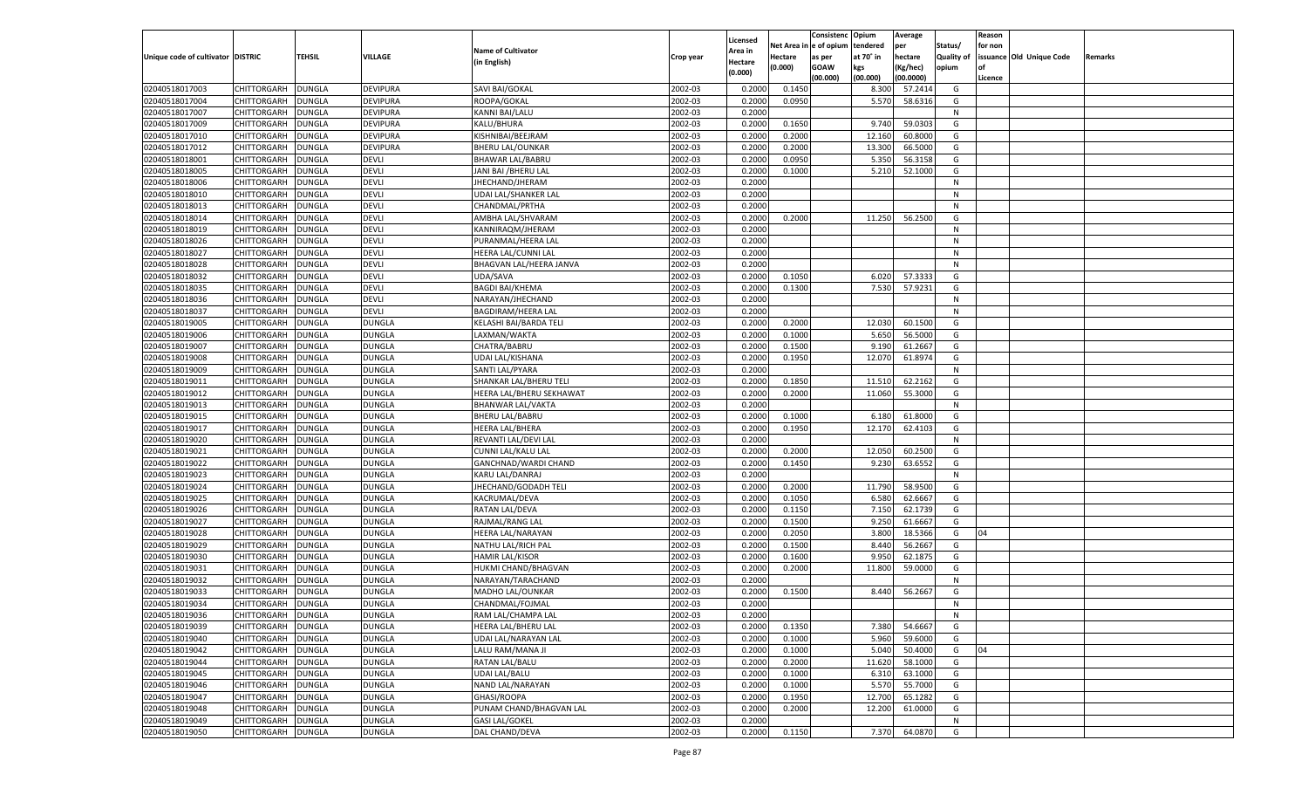|                                   |                    |               |                 |                           |           |                     |             | Consistenc   | Opium     | Average   |            | Reason  |                          |         |
|-----------------------------------|--------------------|---------------|-----------------|---------------------------|-----------|---------------------|-------------|--------------|-----------|-----------|------------|---------|--------------------------|---------|
|                                   |                    |               |                 | <b>Name of Cultivator</b> |           | Licensed<br>Area in | Net Area iı | n e of opium | tendered  | per       | Status/    | for non |                          |         |
| Unique code of cultivator DISTRIC |                    | TEHSIL        | VILLAGE         | (in English)              | Crop year | Hectare             | Hectare     | as per       | at 70° in | hectare   | Quality of |         | issuance Old Unique Code | Remarks |
|                                   |                    |               |                 |                           |           | (0.000)             | (0.000)     | <b>GOAW</b>  | kgs       | (Kg/hec)  | opium      |         |                          |         |
|                                   |                    |               |                 |                           |           |                     |             | (00.000)     | (00.000)  | (00.0000) |            | Licence |                          |         |
| 02040518017003                    | CHITTORGARH        | DUNGLA        | <b>DEVIPURA</b> | SAVI BAI/GOKAL            | 2002-03   | 0.2000              | 0.1450      |              | 8.300     | 57.2414   | G          |         |                          |         |
| 02040518017004                    | CHITTORGARH        | DUNGLA        | <b>DEVIPURA</b> | ROOPA/GOKAL               | 2002-03   | 0.2000              | 0.0950      |              | 5.570     | 58.6316   | G          |         |                          |         |
| 02040518017007                    | CHITTORGARH        | DUNGLA        | <b>DEVIPURA</b> | KANNI BAI/LALU            | 2002-03   | 0.2000              |             |              |           |           | N          |         |                          |         |
| 02040518017009                    | CHITTORGARH        | DUNGLA        | <b>DEVIPURA</b> | KALU/BHURA                | 2002-03   | 0.2000              | 0.1650      |              | 9.740     | 59.0303   | G          |         |                          |         |
| 02040518017010                    | CHITTORGARH        | DUNGLA        | <b>DEVIPURA</b> | KISHNIBAI/BEEJRAM         | 2002-03   | 0.2000              | 0.2000      |              | 12.160    | 60.8000   | G          |         |                          |         |
| 02040518017012                    | CHITTORGARH        | DUNGLA        | <b>DEVIPURA</b> | <b>BHERU LAL/OUNKAR</b>   | 2002-03   | 0.2000              | 0.2000      |              | 13.300    | 66.5000   | G          |         |                          |         |
| 02040518018001                    | CHITTORGARH        | DUNGLA        | DEVLI           | <b>BHAWAR LAL/BABRU</b>   | 2002-03   | 0.2000              | 0.0950      |              | 5.350     | 56.3158   | G          |         |                          |         |
| 02040518018005                    | CHITTORGARH        | DUNGLA        | DEVLI           | JANI BAI / BHERU LAL      | 2002-03   | 0.2000              | 0.1000      |              | 5.210     | 52.1000   | G          |         |                          |         |
| 02040518018006                    | CHITTORGARH        | DUNGLA        | <b>DEVLI</b>    | JHECHAND/JHERAM           | 2002-03   | 0.2000              |             |              |           |           | N          |         |                          |         |
| 02040518018010                    | CHITTORGARH        | DUNGLA        | DEVLI           | UDAI LAL/SHANKER LAL      | 2002-03   | 0.2000              |             |              |           |           | N          |         |                          |         |
| 02040518018013                    | CHITTORGARH        | DUNGLA        | <b>DEVLI</b>    | CHANDMAL/PRTHA            | 2002-03   | 0.2000              |             |              |           |           | N          |         |                          |         |
| 02040518018014                    | CHITTORGARH        | DUNGLA        | <b>DEVLI</b>    | AMBHA LAL/SHVARAM         | 2002-03   | 0.2000              | 0.2000      |              | 11.250    | 56.2500   | G          |         |                          |         |
| 02040518018019                    | CHITTORGARH        | DUNGLA        | <b>DEVLI</b>    | KANNIRAQM/JHERAM          | 2002-03   | 0.2000              |             |              |           |           | N          |         |                          |         |
| 02040518018026                    | CHITTORGARH        | DUNGLA        | <b>DEVLI</b>    | PURANMAL/HEERA LAL        | 2002-03   | 0.2000              |             |              |           |           | N          |         |                          |         |
| 02040518018027                    | CHITTORGARH        | DUNGLA        | <b>DEVLI</b>    | HEERA LAL/CUNNI LAL       | 2002-03   | 0.2000              |             |              |           |           | N          |         |                          |         |
| 02040518018028                    | CHITTORGARH        | DUNGLA        | <b>DEVLI</b>    | BHAGVAN LAL/HEERA JANVA   | 2002-03   | 0.2000              |             |              |           |           | N          |         |                          |         |
| 02040518018032                    | CHITTORGARH        | DUNGLA        | <b>DEVLI</b>    | UDA/SAVA                  | 2002-03   | 0.2000              | 0.1050      |              | 6.020     | 57.3333   | G          |         |                          |         |
| 02040518018035                    | CHITTORGARH        | DUNGLA        | <b>DEVLI</b>    | <b>BAGDI BAI/KHEMA</b>    | 2002-03   | 0.2000              | 0.1300      |              | 7.530     | 57.9231   | G          |         |                          |         |
| 02040518018036                    | CHITTORGARH        | DUNGLA        | <b>DEVLI</b>    | NARAYAN/JHECHAND          | 2002-03   | 0.2000              |             |              |           |           | N          |         |                          |         |
| 02040518018037                    | CHITTORGARH        | DUNGLA        | DEVLI           | <b>BAGDIRAM/HEERA LAL</b> | 2002-03   | 0.2000              |             |              |           |           | N          |         |                          |         |
| 02040518019005                    | CHITTORGARH        | DUNGLA        | <b>DUNGLA</b>   | KELASHI BAI/BARDA TELI    | 2002-03   | 0.2000              | 0.2000      |              | 12.030    | 60.1500   | G          |         |                          |         |
| 02040518019006                    | CHITTORGARH        | DUNGLA        | <b>DUNGLA</b>   | LAXMAN/WAKTA              | 2002-03   | 0.2000              | 0.1000      |              | 5.650     | 56.5000   | G          |         |                          |         |
| 02040518019007                    | CHITTORGARH        | DUNGLA        | <b>DUNGLA</b>   | CHATRA/BABRU              | 2002-03   | 0.2000              | 0.1500      |              | 9.190     | 61.2667   | G          |         |                          |         |
| 02040518019008                    | CHITTORGARH        | DUNGLA        | <b>DUNGLA</b>   | UDAI LAL/KISHANA          | 2002-03   | 0.2000              | 0.1950      |              | 12.070    | 61.8974   | G          |         |                          |         |
| 02040518019009                    | CHITTORGARH        | DUNGLA        | <b>DUNGLA</b>   | SANTI LAL/PYARA           | 2002-03   | 0.2000              |             |              |           |           | N          |         |                          |         |
| 02040518019011                    | CHITTORGARH        | DUNGLA        | <b>DUNGLA</b>   | SHANKAR LAL/BHERU TELI    | 2002-03   | 0.2000              | 0.1850      |              | 11.510    | 62.2162   | G          |         |                          |         |
| 02040518019012                    | CHITTORGARH        | DUNGLA        | <b>DUNGLA</b>   | HEERA LAL/BHERU SEKHAWAT  | 2002-03   | 0.2000              | 0.2000      |              | 11.060    | 55.3000   | G          |         |                          |         |
| 02040518019013                    | CHITTORGARH        | DUNGLA        | <b>DUNGLA</b>   | <b>BHANWAR LAL/VAKTA</b>  | 2002-03   | 0.2000              |             |              |           |           | N          |         |                          |         |
| 02040518019015                    | CHITTORGARH        | DUNGLA        | <b>DUNGLA</b>   | <b>BHERU LAL/BABRU</b>    | 2002-03   | 0.2000              | 0.1000      |              | 6.180     | 61.8000   | G          |         |                          |         |
| 02040518019017                    | CHITTORGARH        | DUNGLA        | <b>DUNGLA</b>   | <b>HEERA LAL/BHERA</b>    | 2002-03   | 0.2000              | 0.1950      |              | 12.170    | 62.4103   | G          |         |                          |         |
| 02040518019020                    | CHITTORGARH        | DUNGLA        | <b>DUNGLA</b>   | REVANTI LAL/DEVI LAL      | 2002-03   | 0.2000              |             |              |           |           | N          |         |                          |         |
| 02040518019021                    | CHITTORGARH        | DUNGLA        | <b>DUNGLA</b>   | CUNNI LAL/KALU LAL        | 2002-03   | 0.2000              | 0.2000      |              | 12.050    | 60.2500   | G          |         |                          |         |
| 02040518019022                    | CHITTORGARH        | <b>DUNGLA</b> | <b>DUNGLA</b>   | GANCHNAD/WARDI CHAND      | 2002-03   | 0.2000              | 0.1450      |              | 9.230     | 63.6552   | G          |         |                          |         |
| 02040518019023                    | CHITTORGARH        | DUNGLA        | <b>DUNGLA</b>   | KARU LAL/DANRAJ           | 2002-03   | 0.2000              |             |              |           |           | N          |         |                          |         |
| 02040518019024                    | CHITTORGARH        | DUNGLA        | <b>DUNGLA</b>   | JHECHAND/GODADH TELI      | 2002-03   | 0.2000              | 0.2000      |              | 11.790    | 58.9500   | G          |         |                          |         |
| 02040518019025                    | CHITTORGARH        | DUNGLA        | <b>DUNGLA</b>   | KACRUMAL/DEVA             | 2002-03   | 0.2000              | 0.1050      |              | 6.580     | 62.6667   | G          |         |                          |         |
| 02040518019026                    | CHITTORGARH        | <b>DUNGLA</b> | <b>DUNGLA</b>   | RATAN LAL/DEVA            | 2002-03   | 0.2000              | 0.1150      |              | 7.150     | 62.1739   | G          |         |                          |         |
| 02040518019027                    | CHITTORGARH        | DUNGLA        | <b>DUNGLA</b>   | RAJMAL/RANG LAL           | 2002-03   | 0.2000              | 0.1500      |              | 9.250     | 61.6667   | G          |         |                          |         |
| 02040518019028                    | CHITTORGARH        | DUNGLA        | <b>DUNGLA</b>   | <b>HEERA LAL/NARAYAN</b>  | 2002-03   | 0.2000              | 0.2050      |              | 3.800     | 18.5366   | G          | 04      |                          |         |
| 02040518019029                    | CHITTORGARH        | DUNGLA        | <b>DUNGLA</b>   | NATHU LAL/RICH PAL        | 2002-03   | 0.2000              | 0.1500      |              | 8.440     | 56.2667   | G          |         |                          |         |
| 02040518019030                    | CHITTORGARH        | <b>DUNGLA</b> | <b>DUNGLA</b>   | <b>HAMIR LAL/KISOR</b>    | 2002-03   | 0.2000              | 0.1600      |              | 9.950     | 62.1875   | G          |         |                          |         |
| 02040518019031                    | CHITTORGARH        | DUNGLA        | <b>DUNGLA</b>   | HUKMI CHAND/BHAGVAN       | 2002-03   | 0.2000              | 0.2000      |              | 11.800    | 59.0000   | G          |         |                          |         |
| 02040518019032                    | CHITTORGARH        | DUNGLA        | <b>DUNGLA</b>   | NARAYAN/TARACHAND         | 2002-03   | 0.2000              |             |              |           |           | N          |         |                          |         |
| 02040518019033                    |                    |               |                 |                           | 2002-03   | 0.2000              |             |              | 8.440     | 56.2667   | G          |         |                          |         |
|                                   | CHITTORGARH        | DUNGLA        | <b>DUNGLA</b>   | MADHO LAL/OUNKAR          | 2002-03   | 0.2000              | 0.1500      |              |           |           |            |         |                          |         |
| 02040518019034                    | CHITTORGARH        | <b>DUNGLA</b> | <b>DUNGLA</b>   | CHANDMAL/FOJMAL           |           |                     |             |              |           |           | N          |         |                          |         |
| 02040518019036                    | CHITTORGARH        | <b>DUNGLA</b> | <b>DUNGLA</b>   | RAM LAL/CHAMPA LAL        | 2002-03   | 0.2000              |             |              |           |           | N          |         |                          |         |
| 02040518019039                    | <b>CHITTORGARH</b> | <b>DUNGLA</b> | <b>DUNGLA</b>   | HEERA LAL/BHERU LAL       | 2002-03   | 0.2000              | 0.1350      |              | 7.380     | 54.6667   | G          |         |                          |         |
| 02040518019040                    | <b>CHITTORGARH</b> | <b>DUNGLA</b> | <b>DUNGLA</b>   | UDAI LAL/NARAYAN LAL      | 2002-03   | 0.2000              | 0.1000      |              | 5.960     | 59.6000   | G          |         |                          |         |
| 02040518019042                    | CHITTORGARH        | <b>DUNGLA</b> | <b>DUNGLA</b>   | LALU RAM/MANA JI          | 2002-03   | 0.2000              | 0.1000      |              | 5.040     | 50.4000   | G          | 04      |                          |         |
| 02040518019044                    | <b>CHITTORGARH</b> | <b>DUNGLA</b> | <b>DUNGLA</b>   | RATAN LAL/BALU            | 2002-03   | 0.2000              | 0.2000      |              | 11.620    | 58.1000   | G          |         |                          |         |
| 02040518019045                    | CHITTORGARH        | <b>DUNGLA</b> | <b>DUNGLA</b>   | UDAI LAL/BALU             | 2002-03   | 0.2000              | 0.1000      |              | 6.310     | 63.1000   | G          |         |                          |         |
| 02040518019046                    | <b>CHITTORGARH</b> | <b>DUNGLA</b> | <b>DUNGLA</b>   | NAND LAL/NARAYAN          | 2002-03   | 0.2000              | 0.1000      |              | 5.570     | 55.7000   | G          |         |                          |         |
| 02040518019047                    | CHITTORGARH        | <b>DUNGLA</b> | <b>DUNGLA</b>   | GHASI/ROOPA               | 2002-03   | 0.2000              | 0.1950      |              | 12.700    | 65.1282   | G          |         |                          |         |
| 02040518019048                    | <b>CHITTORGARH</b> | <b>DUNGLA</b> | <b>DUNGLA</b>   | PUNAM CHAND/BHAGVAN LAL   | 2002-03   | 0.2000              | 0.2000      |              | 12.200    | 61.0000   | G          |         |                          |         |
| 02040518019049                    | <b>CHITTORGARH</b> | <b>DUNGLA</b> | <b>DUNGLA</b>   | <b>GASI LAL/GOKEL</b>     | 2002-03   | 0.2000              |             |              |           |           | N          |         |                          |         |
| 02040518019050                    | <b>CHITTORGARH</b> | <b>DUNGLA</b> | <b>DUNGLA</b>   | DAL CHAND/DEVA            | 2002-03   | 0.2000              | 0.1150      |              | 7.370     | 64.0870   | G          |         |                          |         |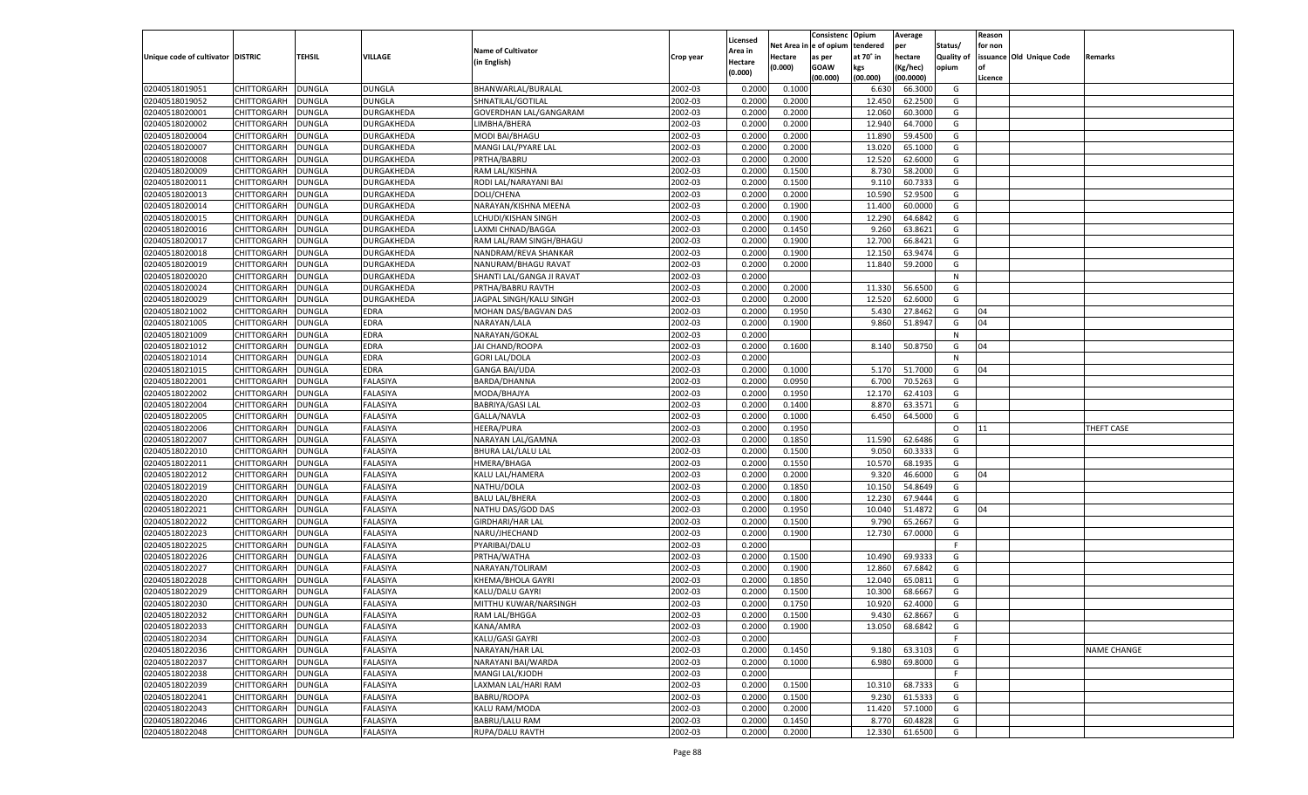|                                   |                    |               |                 |                           |           |                           |          | Consistenc  | Opium     | Average   |                   | Reason  |                          |                    |
|-----------------------------------|--------------------|---------------|-----------------|---------------------------|-----------|---------------------------|----------|-------------|-----------|-----------|-------------------|---------|--------------------------|--------------------|
|                                   |                    |               |                 | <b>Name of Cultivator</b> |           | Licensed                  | Net Area | le of opium | tendered  | per       | Status/           | for non |                          |                    |
| Unique code of cultivator DISTRIC |                    | <b>TEHSIL</b> | VILLAGE         | (in English)              | Crop year | <b>Area in</b><br>Hectare | Hectare  | as per      | at 70° in | hectare   | <b>Quality of</b> |         | issuance Old Unique Code | Remarks            |
|                                   |                    |               |                 |                           |           | (0.000)                   | (0.000)  | <b>GOAW</b> | kgs       | (Kg/hec)  | opium             |         |                          |                    |
|                                   |                    |               |                 |                           |           |                           |          | (00.000)    | (00.000)  | (00.0000) |                   | Licence |                          |                    |
| 02040518019051                    | CHITTORGARH        | <b>DUNGLA</b> | DUNGLA          | BHANWARLAL/BURALAL        | 2002-03   | 0.2000                    | 0.1000   |             | 6.630     | 66.3000   | G                 |         |                          |                    |
| 02040518019052                    | CHITTORGARH        | DUNGLA        | DUNGLA          | SHNATILAL/GOTILAL         | 2002-03   | 0.2000                    | 0.2000   |             | 12.450    | 62.2500   | G                 |         |                          |                    |
| 02040518020001                    | CHITTORGARH        | DUNGLA        | DURGAKHEDA      | GOVERDHAN LAL/GANGARAM    | 2002-03   | 0.2000                    | 0.2000   |             | 12.060    | 60.3000   | G                 |         |                          |                    |
| 02040518020002                    | CHITTORGARH        | DUNGLA        | DURGAKHEDA      | LIMBHA/BHERA              | 2002-03   | 0.2000                    | 0.2000   |             | 12.940    | 64.7000   | G                 |         |                          |                    |
| 02040518020004                    | CHITTORGARH        | DUNGLA        | DURGAKHEDA      | MODI BAI/BHAGU            | 2002-03   | 0.2000                    | 0.2000   |             | 11.890    | 59.4500   | G                 |         |                          |                    |
| 02040518020007                    | CHITTORGARH        | DUNGLA        | DURGAKHEDA      | MANGI LAL/PYARE LAL       | 2002-03   | 0.2000                    | 0.2000   |             | 13.02     | 65.1000   | G                 |         |                          |                    |
| 02040518020008                    | CHITTORGARH        | DUNGLA        | DURGAKHEDA      | PRTHA/BABRU               | 2002-03   | 0.2000                    | 0.2000   |             | 12.520    | 62.6000   | G                 |         |                          |                    |
| 02040518020009                    | CHITTORGARH        | DUNGLA        | DURGAKHEDA      | RAM LAL/KISHNA            | 2002-03   | 0.2000                    | 0.1500   |             | 8.730     | 58.2000   | G                 |         |                          |                    |
| 02040518020011                    | CHITTORGARH        | DUNGLA        | DURGAKHEDA      | RODI LAL/NARAYANI BAI     | 2002-03   | 0.2000                    | 0.1500   |             | 9.11      | 60.7333   | G                 |         |                          |                    |
| 02040518020013                    | CHITTORGARH        | DUNGLA        | DURGAKHEDA      | DOLI/CHENA                | 2002-03   | 0.2000                    | 0.2000   |             | 10.590    | 52.9500   | G                 |         |                          |                    |
| 02040518020014                    | CHITTORGARH        | DUNGLA        | DURGAKHEDA      | NARAYAN/KISHNA MEENA      | 2002-03   | 0.2000                    | 0.1900   |             | 11.400    | 60.0000   | G                 |         |                          |                    |
| 02040518020015                    | CHITTORGARH        | DUNGLA        | DURGAKHEDA      | LCHUDI/KISHAN SINGH       | 2002-03   | 0.2000                    | 0.1900   |             | 12.290    | 64.6842   | G                 |         |                          |                    |
| 02040518020016                    | CHITTORGARH        | DUNGLA        | DURGAKHEDA      | LAXMI CHNAD/BAGGA         | 2002-03   | 0.2000                    | 0.1450   |             | 9.260     | 63.8621   | G                 |         |                          |                    |
| 02040518020017                    | CHITTORGARH        | DUNGLA        | DURGAKHEDA      | RAM LAL/RAM SINGH/BHAGU   | 2002-03   | 0.2000                    | 0.1900   |             | 12.700    | 66.8421   | G                 |         |                          |                    |
| 02040518020018                    | CHITTORGARH        | DUNGLA        | DURGAKHEDA      | NANDRAM/REVA SHANKAR      | 2002-03   | 0.2000                    | 0.1900   |             | 12.150    | 63.9474   | G                 |         |                          |                    |
| 02040518020019                    | CHITTORGARH        | DUNGLA        | DURGAKHEDA      | NANURAM/BHAGU RAVAT       | 2002-03   | 0.2000                    | 0.2000   |             | 11.840    | 59.2000   | G                 |         |                          |                    |
| 02040518020020                    | CHITTORGARH        | DUNGLA        | DURGAKHEDA      | SHANTI LAL/GANGA JI RAVAT | 2002-03   | 0.2000                    |          |             |           |           | N                 |         |                          |                    |
| 02040518020024                    | CHITTORGARH        | DUNGLA        | DURGAKHEDA      | PRTHA/BABRU RAVTH         | 2002-03   | 0.2000                    | 0.2000   |             | 11.330    | 56.6500   | G                 |         |                          |                    |
| 02040518020029                    | CHITTORGARH        | DUNGLA        | DURGAKHEDA      | JAGPAL SINGH/KALU SINGH   | 2002-03   | 0.2000                    | 0.2000   |             | 12.520    | 62.6000   | G                 |         |                          |                    |
| 02040518021002                    | CHITTORGARH        | DUNGLA        | EDRA            | MOHAN DAS/BAGVAN DAS      | 2002-03   | 0.2000                    | 0.1950   |             | 5.430     | 27.8462   | G                 | 04      |                          |                    |
| 02040518021005                    | CHITTORGARH        | DUNGLA        | <b>EDRA</b>     | NARAYAN/LALA              | 2002-03   | 0.2000                    | 0.1900   |             | 9.860     | 51.8947   | G                 | 04      |                          |                    |
| 02040518021009                    | CHITTORGARH        | DUNGLA        | <b>EDRA</b>     | NARAYAN/GOKAL             | 2002-03   | 0.2000                    |          |             |           |           | N                 |         |                          |                    |
| 02040518021012                    | CHITTORGARH        | <b>DUNGLA</b> | <b>EDRA</b>     | JAI CHAND/ROOPA           | 2002-03   | 0.2000                    | 0.1600   |             | 8.140     | 50.8750   | G                 | 04      |                          |                    |
| 02040518021014                    | CHITTORGARH        | DUNGLA        | <b>EDRA</b>     | <b>GORI LAL/DOLA</b>      | 2002-03   | 0.2000                    |          |             |           |           | N                 |         |                          |                    |
| 02040518021015                    | CHITTORGARH        | DUNGLA        | EDRA            | <b>GANGA BAI/UDA</b>      | 2002-03   | 0.2000                    | 0.1000   |             | 5.170     | 51.7000   | G                 | 04      |                          |                    |
| 02040518022001                    | CHITTORGARH        | DUNGLA        | FALASIYA        | BARDA/DHANNA              | 2002-03   | 0.2000                    | 0.0950   |             | 6.700     | 70.5263   | G                 |         |                          |                    |
| 02040518022002                    | CHITTORGARH        | <b>DUNGLA</b> | FALASIYA        | MODA/BHAJYA               | 2002-03   | 0.2000                    | 0.1950   |             | 12.170    | 62.4103   | G                 |         |                          |                    |
| 02040518022004                    | CHITTORGARH        | DUNGLA        | FALASIYA        | <b>BABRIYA/GASI LAL</b>   | 2002-03   | 0.2000                    | 0.1400   |             | 8.870     | 63.3571   | G                 |         |                          |                    |
| 02040518022005                    | CHITTORGARH        | DUNGLA        | FALASIYA        | GALLA/NAVLA               | 2002-03   | 0.2000                    | 0.1000   |             | 6.450     | 64.5000   | G                 |         |                          |                    |
| 02040518022006                    | CHITTORGARH        | <b>DUNGLA</b> | FALASIYA        | <b>HEERA/PURA</b>         | 2002-03   | 0.2000                    | 0.1950   |             |           |           | $\circ$           | 11      |                          | THEFT CASE         |
| 02040518022007                    | CHITTORGARH        | <b>DUNGLA</b> | FALASIYA        | NARAYAN LAL/GAMNA         | 2002-03   | 0.2000                    | 0.1850   |             | 11.590    | 62.6486   | G                 |         |                          |                    |
| 02040518022010                    | CHITTORGARH        | <b>DUNGLA</b> | FALASIYA        | BHURA LAL/LALU LAL        | 2002-03   | 0.2000                    | 0.1500   |             | 9.050     | 60.3333   | G                 |         |                          |                    |
| 02040518022011                    | <b>CHITTORGARH</b> | <b>DUNGLA</b> | FALASIYA        | HMERA/BHAGA               | 2002-03   | 0.2000                    | 0.1550   |             | 10.57     | 68.1935   | G                 |         |                          |                    |
| 02040518022012                    | CHITTORGARH        | DUNGLA        | FALASIYA        | KALU LAL/HAMERA           | 2002-03   | 0.2000                    | 0.2000   |             | 9.320     | 46.6000   | G                 | 04      |                          |                    |
| 02040518022019                    | CHITTORGARH        | <b>DUNGLA</b> | FALASIYA        | NATHU/DOLA                | 2002-03   | 0.2000                    | 0.1850   |             | 10.15     | 54.8649   | G                 |         |                          |                    |
| 02040518022020                    | CHITTORGARH        | DUNGLA        | FALASIYA        | <b>BALU LAL/BHERA</b>     | 2002-03   | 0.2000                    | 0.1800   |             | 12.230    | 67.9444   | G                 |         |                          |                    |
| 02040518022021                    | CHITTORGARH        | <b>DUNGLA</b> | FALASIYA        | NATHU DAS/GOD DAS         | 2002-03   | 0.2000                    | 0.1950   |             | 10.04     | 51.4872   | G                 | 04      |                          |                    |
| 02040518022022                    | CHITTORGARH        | DUNGLA        | FALASIYA        | <b>GIRDHARI/HAR LAL</b>   | 2002-03   | 0.2000                    | 0.1500   |             | 9.790     | 65.2667   | G                 |         |                          |                    |
| 02040518022023                    |                    | <b>DUNGLA</b> | FALASIYA        |                           | 2002-03   | 0.2000                    | 0.1900   |             |           | 67.0000   | G                 |         |                          |                    |
| 02040518022025                    | CHITTORGARH        |               |                 | NARU/JHECHAND             | 2002-03   | 0.2000                    |          |             | 12.730    |           | F.                |         |                          |                    |
|                                   | CHITTORGARH        | DUNGLA        | FALASIYA        | PYARIBAI/DALU             |           |                           |          |             |           | 69.9333   |                   |         |                          |                    |
| 02040518022026                    | CHITTORGARH        | <b>DUNGLA</b> | FALASIYA        | PRTHA/WATHA               | 2002-03   | 0.2000                    | 0.1500   |             | 10.490    |           | G                 |         |                          |                    |
| 02040518022027                    | CHITTORGARH        | DUNGLA        | FALASIYA        | NARAYAN/TOLIRAM           | 2002-03   | 0.2000                    | 0.1900   |             | 12.860    | 67.6842   | G                 |         |                          |                    |
| 02040518022028                    | CHITTORGARH        | <b>DUNGLA</b> | <b>FALASIYA</b> | KHEMA/BHOLA GAYRI         | 2002-03   | 0.2000                    | 0.1850   |             | 12.04     | 65.0811   | G                 |         |                          |                    |
| 02040518022029                    | CHITTORGARH        | DUNGLA        | FALASIYA        | KALU/DALU GAYRI           | 2002-03   | 0.2000                    | 0.1500   |             | 10.30     | 68.666    | G                 |         |                          |                    |
| 02040518022030                    | CHITTORGARH        | <b>DUNGLA</b> | FALASIYA        | MITTHU KUWAR/NARSINGH     | 2002-03   | 0.2000                    | 0.1750   |             | 10.920    | 62.4000   | G                 |         |                          |                    |
| 02040518022032                    | CHITTORGARH        | <b>DUNGLA</b> | <b>FALASIYA</b> | RAM LAL/BHGGA             | 2002-03   | 0.2000                    | 0.1500   |             | 9.430     | 62.8667   | G                 |         |                          |                    |
| 02040518022033                    | <b>CHITTORGARH</b> | <b>DUNGLA</b> | <b>FALASIYA</b> | KANA/AMRA                 | 2002-03   | 0.2000                    | 0.1900   |             | 13.050    | 68.6842   | G                 |         |                          |                    |
| 02040518022034                    | CHITTORGARH        | <b>DUNGLA</b> | FALASIYA        | KALU/GASI GAYRI           | 2002-03   | 0.2000                    |          |             |           |           | F.                |         |                          |                    |
| 02040518022036                    | <b>CHITTORGARH</b> | <b>DUNGLA</b> | FALASIYA        | NARAYAN/HAR LAL           | 2002-03   | 0.2000                    | 0.1450   |             | 9.180     | 63.3103   | G                 |         |                          | <b>NAME CHANGE</b> |
| 02040518022037                    | <b>CHITTORGARH</b> | <b>DUNGLA</b> | FALASIYA        | NARAYANI BAI/WARDA        | 2002-03   | 0.2000                    | 0.1000   |             | 6.980     | 69.8000   | G                 |         |                          |                    |
| 02040518022038                    | <b>CHITTORGARH</b> | <b>DUNGLA</b> | <b>FALASIYA</b> | MANGI LAL/KJODH           | 2002-03   | 0.2000                    |          |             |           |           | F                 |         |                          |                    |
| 02040518022039                    | <b>CHITTORGARH</b> | <b>DUNGLA</b> | FALASIYA        | LAXMAN LAL/HARI RAM       | 2002-03   | 0.2000                    | 0.1500   |             | 10.310    | 68.7333   | G                 |         |                          |                    |
| 02040518022041                    | <b>CHITTORGARH</b> | <b>DUNGLA</b> | FALASIYA        | BABRU/ROOPA               | 2002-03   | 0.2000                    | 0.1500   |             | 9.230     | 61.5333   | G                 |         |                          |                    |
| 02040518022043                    | <b>CHITTORGARH</b> | <b>DUNGLA</b> | FALASIYA        | KALU RAM/MODA             | 2002-03   | 0.2000                    | 0.2000   |             | 11.420    | 57.1000   | G                 |         |                          |                    |
| 02040518022046                    | <b>CHITTORGARH</b> | <b>DUNGLA</b> | <b>FALASIYA</b> | BABRU/LALU RAM            | 2002-03   | 0.2000                    | 0.1450   |             | 8.770     | 60.4828   | G                 |         |                          |                    |
| 02040518022048                    | CHITTORGARH        | <b>DUNGLA</b> | FALASIYA        | RUPA/DALU RAVTH           | 2002-03   | 0.2000                    | 0.2000   |             | 12.330    | 61.6500   | G                 |         |                          |                    |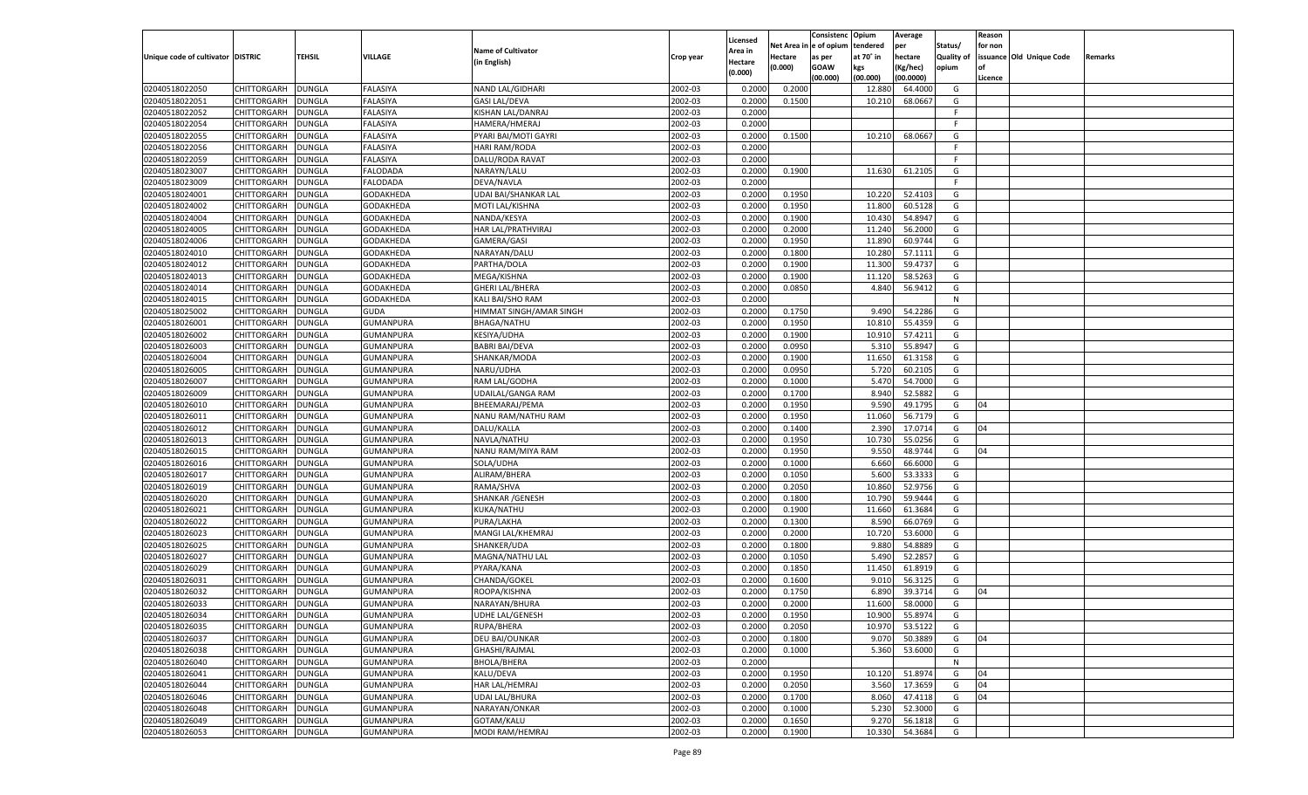|                                   |                    |               |                                      |                           |           |                           |          | Consistenc  | Opium     | Average   |                   | Reason  |                          |         |
|-----------------------------------|--------------------|---------------|--------------------------------------|---------------------------|-----------|---------------------------|----------|-------------|-----------|-----------|-------------------|---------|--------------------------|---------|
|                                   |                    |               |                                      | <b>Name of Cultivator</b> |           | Licensed                  | Net Area | e of opium  | tendered  | per       | Status/           | for non |                          |         |
| Unique code of cultivator DISTRIC |                    | <b>TEHSIL</b> | VILLAGE                              | (in English)              | Crop year | <b>Area in</b><br>Hectare | Hectare  | as per      | at 70° in | hectare   | <b>Quality of</b> |         | issuance Old Unique Code | Remarks |
|                                   |                    |               |                                      |                           |           | (0.000)                   | (0.000)  | <b>GOAW</b> | kgs       | (Kg/hec)  | opium             |         |                          |         |
|                                   |                    |               |                                      |                           |           |                           |          | (00.000)    | (00.000)  | (00.0000) |                   | Licence |                          |         |
| 02040518022050                    | CHITTORGARH        | <b>DUNGLA</b> | FALASIYA                             | NAND LAL/GIDHARI          | 2002-03   | 0.2000                    | 0.2000   |             | 12.88     | 64.4000   | G                 |         |                          |         |
| 02040518022051                    | CHITTORGARH        | DUNGLA        | FALASIYA                             | <b>GASI LAL/DEVA</b>      | 2002-03   | 0.2000                    | 0.1500   |             | 10.21     | 68.0667   | G                 |         |                          |         |
| 02040518022052                    | CHITTORGARH        | DUNGLA        | FALASIYA                             | KISHAN LAL/DANRAJ         | 2002-03   | 0.2000                    |          |             |           |           | F.                |         |                          |         |
| 02040518022054                    | CHITTORGARH        | DUNGLA        | FALASIYA                             | HAMERA/HMERAJ             | 2002-03   | 0.2000                    |          |             |           |           | F.                |         |                          |         |
| 02040518022055                    | CHITTORGARH        | DUNGLA        | FALASIYA                             | PYARI BAI/MOTI GAYRI      | 2002-03   | 0.2000                    | 0.1500   |             | 10.210    | 68.0667   | G                 |         |                          |         |
| 02040518022056                    | CHITTORGARH        | DUNGLA        | FALASIYA                             | HARI RAM/RODA             | 2002-03   | 0.2000                    |          |             |           |           | F.                |         |                          |         |
| 02040518022059                    | CHITTORGARH        | DUNGLA        | FALASIYA                             | DALU/RODA RAVAT           | 2002-03   | 0.2000                    |          |             |           |           | F.                |         |                          |         |
| 02040518023007                    | CHITTORGARH        | DUNGLA        | FALODADA                             | NARAYN/LALU               | 2002-03   | 0.2000                    | 0.1900   |             | 11.630    | 61.2105   | G                 |         |                          |         |
| 02040518023009                    | CHITTORGARH        | DUNGLA        | FALODADA                             | DEVA/NAVLA                | 2002-03   | 0.2000                    |          |             |           |           | F.                |         |                          |         |
| 02040518024001                    | CHITTORGARH        | DUNGLA        | GODAKHEDA                            | UDAI BAI/SHANKAR LAL      | 2002-03   | 0.2000                    | 0.1950   |             | 10.220    | 52.410    | G                 |         |                          |         |
| 02040518024002                    | CHITTORGARH        | DUNGLA        | GODAKHEDA                            | MOTI LAL/KISHNA           | 2002-03   | 0.2000                    | 0.1950   |             | 11.800    | 60.5128   | G                 |         |                          |         |
| 02040518024004                    | CHITTORGARH        | DUNGLA        | GODAKHEDA                            | NANDA/KESYA               | 2002-03   | 0.2000                    | 0.1900   |             | 10.430    | 54.8947   | G                 |         |                          |         |
| 02040518024005                    | CHITTORGARH        | DUNGLA        | GODAKHEDA                            | HAR LAL/PRATHVIRAJ        | 2002-03   | 0.2000                    | 0.2000   |             | 11.240    | 56.2000   | G                 |         |                          |         |
| 02040518024006                    | CHITTORGARH        | DUNGLA        | GODAKHEDA                            | GAMERA/GASI               | 2002-03   | 0.2000                    | 0.1950   |             | 11.890    | 60.9744   | G                 |         |                          |         |
| 02040518024010                    | CHITTORGARH        | <b>DUNGLA</b> | GODAKHEDA                            | NARAYAN/DALU              | 2002-03   | 0.2000                    | 0.1800   |             | 10.280    | 57.1111   | G                 |         |                          |         |
| 02040518024012                    | CHITTORGARH        | DUNGLA        | GODAKHEDA                            | PARTHA/DOLA               | 2002-03   | 0.2000                    | 0.1900   |             | 11.300    | 59.4737   | G                 |         |                          |         |
| 02040518024013                    | CHITTORGARH        | <b>DUNGLA</b> | GODAKHEDA                            | MEGA/KISHNA               | 2002-03   | 0.2000                    | 0.1900   |             | 11.120    | 58.5263   | G                 |         |                          |         |
| 02040518024014                    | CHITTORGARH        | DUNGLA        | GODAKHEDA                            | GHERI LAL/BHERA           | 2002-03   | 0.2000                    | 0.0850   |             | 4.840     | 56.9412   | G                 |         |                          |         |
| 02040518024015                    | CHITTORGARH        | <b>DUNGLA</b> | GODAKHEDA                            | KALI BAI/SHO RAM          | 2002-03   | 0.2000                    |          |             |           |           | N                 |         |                          |         |
| 02040518025002                    | CHITTORGARH        | DUNGLA        | GUDA                                 | HIMMAT SINGH/AMAR SINGH   | 2002-03   | 0.2000                    | 0.1750   |             | 9.490     | 54.2286   | G                 |         |                          |         |
| 02040518026001                    | CHITTORGARH        | DUNGLA        | GUMANPURA                            | BHAGA/NATHU               | 2002-03   | 0.2000                    | 0.1950   |             | 10.810    | 55.4359   | G                 |         |                          |         |
| 02040518026002                    | CHITTORGARH        | DUNGLA        | GUMANPURA                            | KESIYA/UDHA               | 2002-03   | 0.2000                    | 0.1900   |             | 10.910    | 57.4211   | G                 |         |                          |         |
| 02040518026003                    | CHITTORGARH        | <b>DUNGLA</b> | GUMANPURA                            | <b>BABRI BAI/DEVA</b>     | 2002-03   | 0.2000                    | 0.0950   |             | 5.310     | 55.8947   | G                 |         |                          |         |
| 02040518026004                    | CHITTORGARH        | DUNGLA        | GUMANPURA                            | SHANKAR/MODA              | 2002-03   | 0.2000                    | 0.1900   |             | 11.650    | 61.3158   | G                 |         |                          |         |
| 02040518026005                    | CHITTORGARH        | DUNGLA        | GUMANPURA                            | NARU/UDHA                 | 2002-03   | 0.2000                    | 0.0950   |             | 5.720     | 60.2105   | G                 |         |                          |         |
| 02040518026007                    | CHITTORGARH        | DUNGLA        | GUMANPURA                            | RAM LAL/GODHA             | 2002-03   | 0.2000                    | 0.1000   |             | 5.470     | 54.7000   | G                 |         |                          |         |
| 02040518026009                    | CHITTORGARH        | <b>DUNGLA</b> | GUMANPURA                            | UDAILAL/GANGA RAM         | 2002-03   | 0.2000                    | 0.1700   |             | 8.940     | 52.5882   | G                 |         |                          |         |
| 02040518026010                    | CHITTORGARH        | DUNGLA        | GUMANPURA                            | BHEEMARAJ/PEMA            | 2002-03   | 0.2000                    | 0.1950   |             | 9.590     | 49.1795   | G                 | 04      |                          |         |
| 02040518026011                    | CHITTORGARH        | DUNGLA        | GUMANPURA                            | NANU RAM/NATHU RAM        | 2002-03   | 0.2000                    | 0.1950   |             | 11.060    | 56.7179   | G                 |         |                          |         |
| 02040518026012                    | CHITTORGARH        | <b>DUNGLA</b> | GUMANPURA                            | DALU/KALLA                | 2002-03   | 0.2000                    | 0.1400   |             | 2.390     | 17.0714   | G                 | 04      |                          |         |
| 02040518026013                    | CHITTORGARH        | <b>DUNGLA</b> | GUMANPURA                            | NAVLA/NATHU               | 2002-03   | 0.2000                    | 0.1950   |             | 10.73     | 55.0256   | G                 |         |                          |         |
| 02040518026015                    | CHITTORGARH        | <b>DUNGLA</b> | GUMANPURA                            | NANU RAM/MIYA RAM         | 2002-03   | 0.2000                    | 0.1950   |             | 9.550     | 48.9744   | G                 | 04      |                          |         |
| 02040518026016                    | CHITTORGARH        | <b>DUNGLA</b> | GUMANPURA                            | SOLA/UDHA                 | 2002-03   | 0.2000                    | 0.1000   |             | 6.660     | 66.6000   | G                 |         |                          |         |
| 02040518026017                    | CHITTORGARH        | <b>DUNGLA</b> | GUMANPURA                            | ALIRAM/BHERA              | 2002-03   | 0.2000                    | 0.1050   |             | 5.600     | 53.3333   | G                 |         |                          |         |
| 02040518026019                    | <b>CHITTORGARH</b> | <b>DUNGLA</b> | GUMANPURA                            | RAMA/SHVA                 | 2002-03   | 0.2000                    | 0.2050   |             | 10.860    | 52.9756   | G                 |         |                          |         |
| 02040518026020                    | CHITTORGARH        | <b>DUNGLA</b> | GUMANPURA                            | SHANKAR / GENESH          | 2002-03   | 0.2000                    | 0.1800   |             | 10.79     | 59.9444   | G                 |         |                          |         |
| 02040518026021                    | CHITTORGARH        | <b>DUNGLA</b> | GUMANPURA                            | KUKA/NATHU                | 2002-03   | 0.2000                    | 0.1900   |             | 11.660    | 61.3684   | G                 |         |                          |         |
| 02040518026022                    | CHITTORGARH        | DUNGLA        | GUMANPURA                            | PURA/LAKHA                | 2002-03   | 0.2000                    | 0.1300   |             | 8.590     | 66.0769   | G                 |         |                          |         |
| 02040518026023                    | CHITTORGARH        | <b>DUNGLA</b> | GUMANPURA                            | MANGI LAL/KHEMRAJ         | 2002-03   | 0.2000                    | 0.2000   |             | 10.720    | 53.6000   | G                 |         |                          |         |
| 02040518026025                    | CHITTORGARH        | <b>DUNGLA</b> | GUMANPURA                            | SHANKER/UDA               | 2002-03   | 0.2000                    | 0.1800   |             | 9.880     | 54.8889   | G                 |         |                          |         |
| 02040518026027                    | CHITTORGARH        | <b>DUNGLA</b> | GUMANPURA                            | MAGNA/NATHU LAL           | 2002-03   | 0.2000                    | 0.1050   |             | 5.490     | 52.285    | G                 |         |                          |         |
| 02040518026029                    | CHITTORGARH        | DUNGLA        | GUMANPURA                            | PYARA/KANA                | 2002-03   | 0.2000                    | 0.1850   |             | 11.450    | 61.8919   | G                 |         |                          |         |
| 02040518026031                    | CHITTORGARH        | <b>DUNGLA</b> | GUMANPURA                            | CHANDA/GOKEL              | 2002-03   | 0.2000                    | 0.1600   |             | 9.01      | 56.3125   | G                 |         |                          |         |
| 02040518026032                    | CHITTORGARH        | DUNGLA        | GUMANPURA                            | ROOPA/KISHNA              | 2002-03   | 0.2000                    | 0.1750   |             | 6.89      | 39.3714   | G                 | 04      |                          |         |
| 02040518026033                    |                    | <b>DUNGLA</b> | GUMANPURA                            |                           | 2002-03   | 0.2000                    | 0.2000   |             |           | 58.0000   | G                 |         |                          |         |
| 02040518026034                    | CHITTORGARH        |               |                                      | NARAYAN/BHURA             |           |                           |          |             | 11.600    |           |                   |         |                          |         |
|                                   | CHITTORGARH        | <b>DUNGLA</b> | <b>GUMANPURA</b><br><b>GUMANPURA</b> | <b>UDHE LAL/GENESH</b>    | 2002-03   | 0.2000                    | 0.1950   |             | 10.900    | 55.8974   | G                 |         |                          |         |
| 02040518026035                    | <b>CHITTORGARH</b> | <b>DUNGLA</b> |                                      | RUPA/BHERA                | 2002-03   | 0.2000                    | 0.2050   |             | 10.970    | 53.5122   | G                 |         |                          |         |
| 02040518026037                    | CHITTORGARH        | <b>DUNGLA</b> | GUMANPURA                            | DEU BAI/OUNKAR            | 2002-03   | 0.2000                    | 0.1800   |             | 9.070     | 50.3889   | G                 | 04      |                          |         |
| 02040518026038                    | <b>CHITTORGARH</b> | <b>DUNGLA</b> | <b>GUMANPURA</b>                     | GHASHI/RAJMAL             | 2002-03   | 0.2000                    | 0.1000   |             | 5.360     | 53.6000   | G                 |         |                          |         |
| 02040518026040                    | <b>CHITTORGARH</b> | <b>DUNGLA</b> | GUMANPURA                            | BHOLA/BHERA               | 2002-03   | 0.2000                    |          |             |           |           | N                 |         |                          |         |
| 02040518026041                    | <b>CHITTORGARH</b> | <b>DUNGLA</b> | <b>GUMANPURA</b>                     | KALU/DEVA                 | 2002-03   | 0.2000                    | 0.1950   |             | 10.120    | 51.8974   | G                 | 04      |                          |         |
| 02040518026044                    | CHITTORGARH        | <b>DUNGLA</b> | GUMANPURA                            | HAR LAL/HEMRAJ            | 2002-03   | 0.2000                    | 0.2050   |             | 3.560     | 17.3659   | G                 | 04      |                          |         |
| 02040518026046                    | <b>CHITTORGARH</b> | <b>DUNGLA</b> | <b>GUMANPURA</b>                     | <b>UDAI LAL/BHURA</b>     | 2002-03   | 0.2000                    | 0.1700   |             | 8.060     | 47.4118   | G                 | 04      |                          |         |
| 02040518026048                    | CHITTORGARH        | <b>DUNGLA</b> | GUMANPURA                            | NARAYAN/ONKAR             | 2002-03   | 0.2000                    | 0.1000   |             | 5.230     | 52.3000   | G                 |         |                          |         |
| 02040518026049                    | CHITTORGARH        | <b>DUNGLA</b> | GUMANPURA                            | GOTAM/KALU                | 2002-03   | 0.2000                    | 0.1650   |             | 9.27      | 56.1818   | G                 |         |                          |         |
| 02040518026053                    | CHITTORGARH        | <b>DUNGLA</b> | GUMANPURA                            | MODI RAM/HEMRAJ           | 2002-03   | 0.2000                    | 0.1900   |             | 10.330    | 54.3684   | G                 |         |                          |         |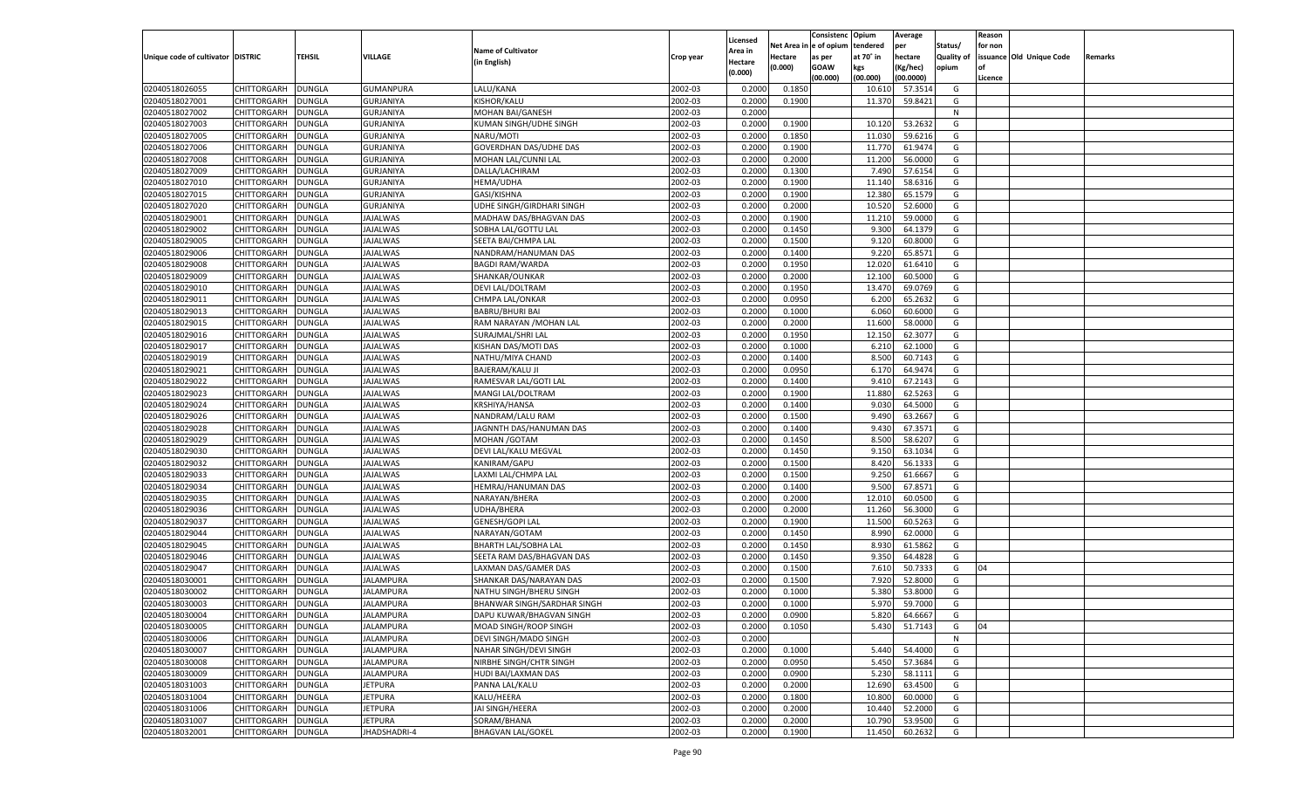|                                   |                    |               |                               |                             |           |                    |             | Consistenc Opium |           | Average   |            | Reason  |                          |         |
|-----------------------------------|--------------------|---------------|-------------------------------|-----------------------------|-----------|--------------------|-------------|------------------|-----------|-----------|------------|---------|--------------------------|---------|
|                                   |                    |               |                               | <b>Name of Cultivator</b>   |           | Licensed           | Net Area iı | n  e of opium    | tendered  | per       | Status/    | for non |                          |         |
| Unique code of cultivator DISTRIC |                    | TEHSIL        | VILLAGE                       | (in English)                | Crop year | Area in<br>Hectare | Hectare     | as per           | at 70° in | hectare   | Quality of |         | issuance Old Unique Code | Remarks |
|                                   |                    |               |                               |                             |           | (0.000)            | (0.000)     | <b>GOAW</b>      | kgs       | (Kg/hec)  | opium      |         |                          |         |
|                                   |                    |               |                               |                             |           |                    |             | (00.000)         | (00.000)  | (00.0000) |            | Licence |                          |         |
| 02040518026055                    | CHITTORGARH        | DUNGLA        | GUMANPURA                     | LALU/KANA                   | 2002-03   | 0.2000             | 0.1850      |                  | 10.610    | 57.3514   | G          |         |                          |         |
| 02040518027001                    | CHITTORGARH        | DUNGLA        | <b>GURJANIYA</b>              | KISHOR/KALU                 | 2002-03   | 0.2000             | 0.1900      |                  | 11.370    | 59.8421   | G          |         |                          |         |
| 02040518027002                    | CHITTORGARH        | DUNGLA        | <b>GURJANIYA</b>              | <b>MOHAN BAI/GANESH</b>     | 2002-03   | 0.2000             |             |                  |           |           | N          |         |                          |         |
| 02040518027003                    | CHITTORGARH        | DUNGLA        | <b>GURJANIYA</b>              | KUMAN SINGH/UDHE SINGH      | 2002-03   | 0.2000             | 0.1900      |                  | 10.120    | 53.2632   | G          |         |                          |         |
| 02040518027005                    | CHITTORGARH        | DUNGLA        | GURJANIYA                     | NARU/MOTI                   | 2002-03   | 0.2000             | 0.1850      |                  | 11.030    | 59.6216   | G          |         |                          |         |
| 02040518027006                    | CHITTORGARH        | DUNGLA        | <b>GURJANIYA</b>              | GOVERDHAN DAS/UDHE DAS      | 2002-03   | 0.2000             | 0.1900      |                  | 11.770    | 61.9474   | G          |         |                          |         |
| 02040518027008                    | CHITTORGARH        | DUNGLA        | <b>GURJANIYA</b>              | MOHAN LAL/CUNNI LAL         | 2002-03   | 0.2000             | 0.2000      |                  | 11.200    | 56.0000   | G          |         |                          |         |
| 02040518027009                    | CHITTORGARH        | DUNGLA        | <b>GURJANIYA</b>              | DALLA/LACHIRAM              | 2002-03   | 0.2000             | 0.1300      |                  | 7.490     | 57.6154   | G          |         |                          |         |
| 02040518027010                    | CHITTORGARH        | DUNGLA        | GURJANIYA                     | <b>HEMA/UDHA</b>            | 2002-03   | 0.2000             | 0.1900      |                  | 11.140    | 58.6316   | G          |         |                          |         |
| 02040518027015                    | CHITTORGARH        | DUNGLA        | <b>GURJANIYA</b>              | GASI/KISHNA                 | 2002-03   | 0.2000             | 0.1900      |                  | 12.380    | 65.1579   | G          |         |                          |         |
| 02040518027020                    | CHITTORGARH        | DUNGLA        | <b>GURJANIYA</b>              | UDHE SINGH/GIRDHARI SINGH   | 2002-03   | 0.2000             | 0.2000      |                  | 10.520    | 52.6000   | G          |         |                          |         |
| 02040518029001                    | CHITTORGARH        | DUNGLA        | JAJALWAS                      | MADHAW DAS/BHAGVAN DAS      | 2002-03   | 0.2000             | 0.1900      |                  | 11.210    | 59.0000   | G          |         |                          |         |
| 02040518029002                    | CHITTORGARH        | DUNGLA        | <b>JAJALWAS</b>               | SOBHA LAL/GOTTU LAL         | 2002-03   | 0.2000             | 0.1450      |                  | 9.300     | 64.1379   | G          |         |                          |         |
| 02040518029005                    | CHITTORGARH        | DUNGLA        | JAJALWAS                      | SEETA BAI/CHMPA LAL         | 2002-03   | 0.2000             | 0.1500      |                  | 9.120     | 60.8000   | G          |         |                          |         |
| 02040518029006                    | CHITTORGARH        | DUNGLA        | <b>AJALWAS</b>                | NANDRAM/HANUMAN DAS         | 2002-03   | 0.2000             | 0.1400      |                  | 9.220     | 65.8571   | G          |         |                          |         |
| 02040518029008                    | CHITTORGARH        | DUNGLA        | <b>IAJALWAS</b>               | <b>BAGDI RAM/WARDA</b>      | 2002-03   | 0.2000             | 0.1950      |                  | 12.020    | 61.6410   | G          |         |                          |         |
| 02040518029009                    | CHITTORGARH        | DUNGLA        | <b>AJALWAS</b>                | SHANKAR/OUNKAR              | 2002-03   | 0.2000             | 0.2000      |                  | 12.100    | 60.5000   | G          |         |                          |         |
| 02040518029010                    | CHITTORGARH        | DUNGLA        | JAJALWAS                      | DEVI LAL/DOLTRAM            | 2002-03   | 0.2000             | 0.1950      |                  | 13.470    | 69.0769   | G          |         |                          |         |
| 02040518029011                    | CHITTORGARH        | DUNGLA        | <b>AJALWAS</b>                | CHMPA LAL/ONKAR             | 2002-03   | 0.2000             | 0.0950      |                  | 6.200     | 65.2632   | G          |         |                          |         |
| 02040518029013                    | CHITTORGARH        | DUNGLA        | <b>IAJALWAS</b>               | <b>BABRU/BHURI BAI</b>      | 2002-03   | 0.2000             | 0.1000      |                  | 6.060     | 60.6000   | G          |         |                          |         |
| 02040518029015                    | CHITTORGARH        | DUNGLA        | <b>AJALWAS</b>                | RAM NARAYAN / MOHAN LAL     | 2002-03   | 0.2000             | 0.2000      |                  | 11.600    | 58.0000   | G          |         |                          |         |
| 02040518029016                    | CHITTORGARH        | DUNGLA        | JAJALWAS                      | SURAJMAL/SHRI LAL           | 2002-03   | 0.2000             | 0.1950      |                  | 12.150    | 62.3077   | G          |         |                          |         |
| 02040518029017                    | CHITTORGARH        | DUNGLA        | <b>AJALWAS</b>                | KISHAN DAS/MOTI DAS         | 2002-03   | 0.2000             | 0.1000      |                  | 6.210     | 62.1000   | G          |         |                          |         |
| 02040518029019                    | CHITTORGARH        | DUNGLA        | <b>IAJALWAS</b>               | NATHU/MIYA CHAND            | 2002-03   | 0.2000             | 0.1400      |                  | 8.500     | 60.7143   | G          |         |                          |         |
| 02040518029021                    | CHITTORGARH        | DUNGLA        | <b>AJALWAS</b>                | <b>BAJERAM/KALU JI</b>      | 2002-03   | 0.2000             | 0.0950      |                  | 6.170     | 64.9474   | G          |         |                          |         |
| 02040518029022                    | CHITTORGARH        | DUNGLA        | JAJALWAS                      | RAMESVAR LAL/GOTI LAL       | 2002-03   | 0.2000             | 0.1400      |                  | 9.410     | 67.2143   | G          |         |                          |         |
| 02040518029023                    | CHITTORGARH        | DUNGLA        | <b>AJALWAS</b>                | <b>MANGI LAL/DOLTRAM</b>    | 2002-03   | 0.2000             | 0.1900      |                  | 11.880    | 62.5263   | G          |         |                          |         |
| 02040518029024                    | CHITTORGARH        | DUNGLA        | <b>IAJALWAS</b>               | KRSHIYA/HANSA               | 2002-03   | 0.2000             | 0.1400      |                  | 9.030     | 64.5000   | G          |         |                          |         |
| 02040518029026                    | CHITTORGARH        | DUNGLA        | <b>AJALWAS</b>                | NANDRAM/LALU RAM            | 2002-03   | 0.2000             | 0.1500      |                  | 9.490     | 63.2667   | G          |         |                          |         |
| 02040518029028                    | CHITTORGARH        | DUNGLA        | JAJALWAS                      | JAGNNTH DAS/HANUMAN DAS     | 2002-03   | 0.2000             | 0.1400      |                  | 9.430     | 67.3571   | G          |         |                          |         |
| 02040518029029                    | CHITTORGARH        | DUNGLA        | <b>JAJALWAS</b>               | MOHAN / GOTAM               | 2002-03   | 0.2000             | 0.1450      |                  | 8.500     | 58.6207   | G          |         |                          |         |
| 02040518029030                    | CHITTORGARH        | DUNGLA        | JAJALWAS                      | DEVI LAL/KALU MEGVAL        | 2002-03   | 0.2000             | 0.1450      |                  | 9.15      | 63.1034   | G          |         |                          |         |
| 02040518029032                    | CHITTORGARH        | DUNGLA        | <b>JAJALWAS</b>               | KANIRAM/GAPU                | 2002-03   | 0.2000             | 0.1500      |                  | 8.420     | 56.1333   | G          |         |                          |         |
| 02040518029033                    | CHITTORGARH        | DUNGLA        | JAJALWAS                      | LAXMI LAL/CHMPA LAL         | 2002-03   | 0.2000             | 0.1500      |                  | 9.250     | 61.6667   | G          |         |                          |         |
| 02040518029034                    | CHITTORGARH        | DUNGLA        | <b>JAJALWAS</b>               | HEMRAJ/HANUMAN DAS          | 2002-03   | 0.2000             | 0.1400      |                  | 9.500     | 67.8571   | G          |         |                          |         |
| 02040518029035                    | CHITTORGARH        | DUNGLA        | JAJALWAS                      | NARAYAN/BHERA               | 2002-03   | 0.2000             | 0.2000      |                  | 12.010    | 60.0500   | G          |         |                          |         |
| 02040518029036                    | CHITTORGARH        | DUNGLA        | <b>JAJALWAS</b>               | UDHA/BHERA                  | 2002-03   | 0.2000             | 0.2000      |                  | 11.260    | 56.3000   | G          |         |                          |         |
| 02040518029037                    | CHITTORGARH        | DUNGLA        | JAJALWAS                      | <b>GENESH/GOPI LAL</b>      | 2002-03   | 0.2000             | 0.1900      |                  | 11.500    | 60.5263   | G          |         |                          |         |
| 02040518029044                    | CHITTORGARH        | DUNGLA        | <b>JAJALWAS</b>               | NARAYAN/GOTAM               | 2002-03   | 0.2000             | 0.1450      |                  | 8.990     | 62.0000   | G          |         |                          |         |
| 02040518029045                    | CHITTORGARH        | DUNGLA        | JAJALWAS                      | <b>BHARTH LAL/SOBHA LAL</b> | 2002-03   | 0.2000             | 0.1450      |                  | 8.930     | 61.5862   | G          |         |                          |         |
| 02040518029046                    | CHITTORGARH        | DUNGLA        | <b>JAJALWAS</b>               | SEETA RAM DAS/BHAGVAN DAS   | 2002-03   | 0.2000             | 0.1450      |                  | 9.350     | 64.4828   | G          |         |                          |         |
| 02040518029047                    | CHITTORGARH        | DUNGLA        | JAJALWAS                      | LAXMAN DAS/GAMER DAS        | 2002-03   | 0.2000             | 0.1500      |                  | 7.610     | 50.7333   | G          | 04      |                          |         |
| 02040518030001                    | CHITTORGARH        | DUNGLA        | <b>JALAMPURA</b>              | SHANKAR DAS/NARAYAN DAS     | 2002-03   | 0.2000             | 0.1500      |                  | 7.920     | 52.8000   | G          |         |                          |         |
| 02040518030002                    |                    |               |                               | NATHU SINGH/BHERU SINGH     | 2002-03   | 0.2000             |             |                  | 5.380     |           | G          |         |                          |         |
|                                   | CHITTORGARH        | DUNGLA        | JALAMPURA<br><b>JALAMPURA</b> |                             |           |                    | 0.1000      |                  | 5.970     | 53.8000   |            |         |                          |         |
| 02040518030003                    | CHITTORGARH        | <b>DUNGLA</b> |                               | BHANWAR SINGH/SARDHAR SINGH | 2002-03   | 0.2000             | 0.1000      |                  |           | 59.7000   | G          |         |                          |         |
| 02040518030004                    | CHITTORGARH        | <b>DUNGLA</b> | <b>JALAMPURA</b>              | DAPU KUWAR/BHAGVAN SINGH    | 2002-03   | 0.2000             | 0.0900      |                  | 5.820     | 64.6667   | G          |         |                          |         |
| 02040518030005                    | <b>CHITTORGARH</b> | <b>DUNGLA</b> | <b>JALAMPURA</b>              | MOAD SINGH/ROOP SINGH       | 2002-03   | 0.2000             | 0.1050      |                  | 5.430     | 51.7143   | G          | 04      |                          |         |
| 02040518030006                    | <b>CHITTORGARH</b> | <b>DUNGLA</b> | <b>JALAMPURA</b>              | DEVI SINGH/MADO SINGH       | 2002-03   | 0.2000             |             |                  |           |           | N          |         |                          |         |
| 02040518030007                    | CHITTORGARH        | <b>DUNGLA</b> | <b>JALAMPURA</b>              | NAHAR SINGH/DEVI SINGH      | 2002-03   | 0.2000             | 0.1000      |                  | 5.440     | 54.4000   | G          |         |                          |         |
| 02040518030008                    | CHITTORGARH        | <b>DUNGLA</b> | <b>JALAMPURA</b>              | NIRBHE SINGH/CHTR SINGH     | 2002-03   | 0.2000             | 0.0950      |                  | 5.450     | 57.3684   | G          |         |                          |         |
| 02040518030009                    | CHITTORGARH        | <b>DUNGLA</b> | <b>JALAMPURA</b>              | HUDI BAI/LAXMAN DAS         | 2002-03   | 0.2000             | 0.0900      |                  | 5.230     | 58.1111   | G          |         |                          |         |
| 02040518031003                    | CHITTORGARH        | <b>DUNGLA</b> | <b>JETPURA</b>                | PANNA LAL/KALU              | 2002-03   | 0.2000             | 0.2000      |                  | 12.690    | 63.4500   | G          |         |                          |         |
| 02040518031004                    | CHITTORGARH        | <b>DUNGLA</b> | <b>JETPURA</b>                | KALU/HEERA                  | 2002-03   | 0.2000             | 0.1800      |                  | 10.800    | 60.0000   | G          |         |                          |         |
| 02040518031006                    | CHITTORGARH        | <b>DUNGLA</b> | <b>JETPURA</b>                | JAI SINGH/HEERA             | 2002-03   | 0.2000             | 0.2000      |                  | 10.440    | 52.2000   | G          |         |                          |         |
| 02040518031007                    | <b>CHITTORGARH</b> | <b>DUNGLA</b> | <b>JETPURA</b>                | SORAM/BHANA                 | 2002-03   | 0.2000             | 0.2000      |                  | 10.790    | 53.9500   | G          |         |                          |         |
| 02040518032001                    | <b>CHITTORGARH</b> | <b>DUNGLA</b> | JHADSHADRI-4                  | <b>BHAGVAN LAL/GOKEL</b>    | 2002-03   | 0.2000             | 0.1900      |                  | 11.450    | 60.2632   | G          |         |                          |         |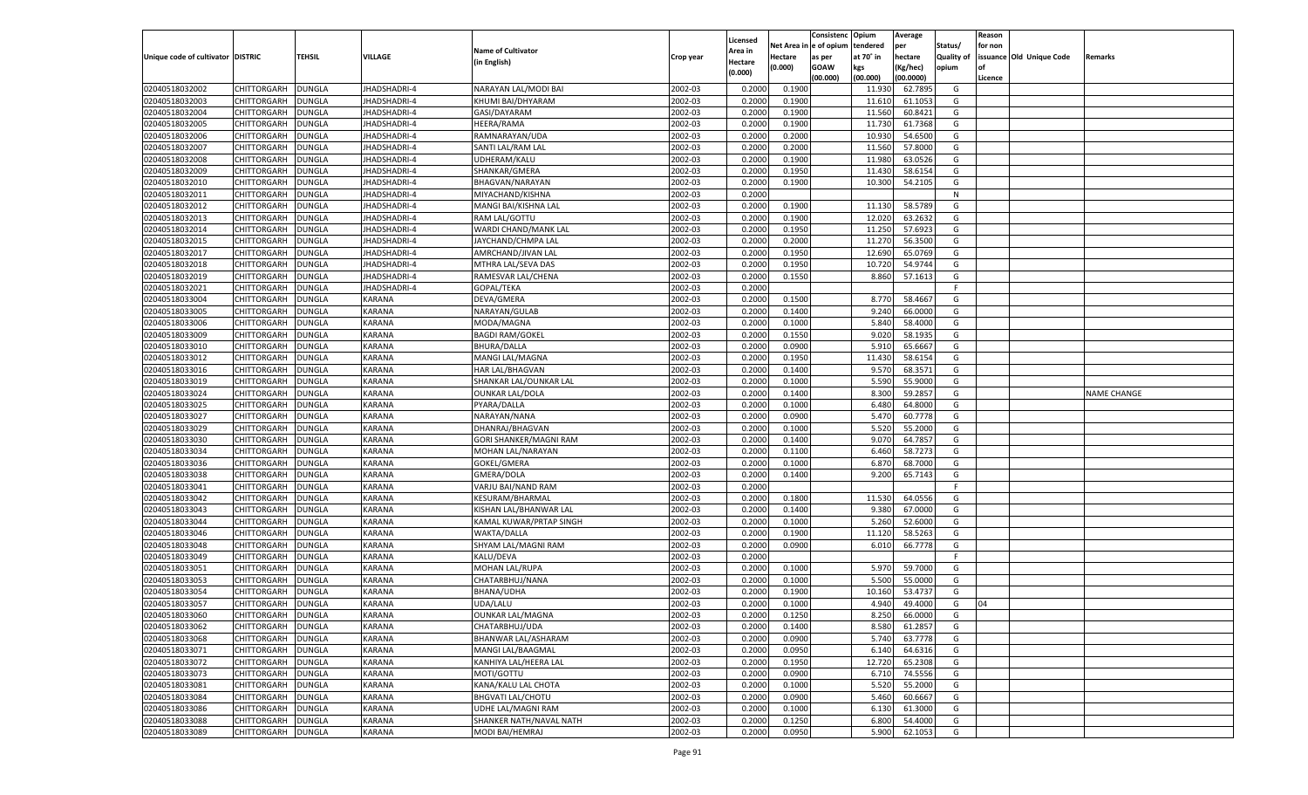|                                   |                    |               |                     |                           |           |                    |             | Consistenc   | Opium     | Average   |            | Reason  |                          |                    |
|-----------------------------------|--------------------|---------------|---------------------|---------------------------|-----------|--------------------|-------------|--------------|-----------|-----------|------------|---------|--------------------------|--------------------|
|                                   |                    |               |                     | <b>Name of Cultivator</b> |           | Licensed           | Net Area iı | n e of opium | tendered  | per       | Status/    | for non |                          |                    |
| Unique code of cultivator DISTRIC |                    | TEHSIL        | <b>VILLAGE</b>      |                           | Crop year | Area in            | Hectare     | as per       | at 70° in | hectare   | Quality of |         | issuance Old Unique Code | Remarks            |
|                                   |                    |               |                     | (in English)              |           | Hectare<br>(0.000) | (0.000)     | <b>GOAW</b>  | kgs       | (Kg/hec)  | opium      |         |                          |                    |
|                                   |                    |               |                     |                           |           |                    |             | (00.000)     | (00.000)  | (00.0000) |            | Licence |                          |                    |
| 02040518032002                    | CHITTORGARH        | DUNGLA        | JHADSHADRI-4        | NARAYAN LAL/MODI BAI      | 2002-03   | 0.2000             | 0.1900      |              | 11.930    | 62.7895   | G          |         |                          |                    |
| 02040518032003                    | CHITTORGARH        | DUNGLA        | <b>JHADSHADRI-4</b> | KHUMI BAI/DHYARAM         | 2002-03   | 0.2000             | 0.1900      |              | 11.610    | 61.1053   | G          |         |                          |                    |
| 02040518032004                    | CHITTORGARH        | DUNGLA        | JHADSHADRI-4        | GASI/DAYARAM              | 2002-03   | 0.2000             | 0.1900      |              | 11.560    | 60.8421   | G          |         |                          |                    |
| 02040518032005                    | CHITTORGARH        | DUNGLA        | JHADSHADRI-4        | HEERA/RAMA                | 2002-03   | 0.2000             | 0.1900      |              | 11.730    | 61.7368   | G          |         |                          |                    |
| 02040518032006                    | CHITTORGARH        | DUNGLA        | JHADSHADRI-4        | RAMNARAYAN/UDA            | 2002-03   | 0.2000             | 0.2000      |              | 10.930    | 54.6500   | G          |         |                          |                    |
| 02040518032007                    | CHITTORGARH        | DUNGLA        | JHADSHADRI-4        | SANTI LAL/RAM LAL         | 2002-03   | 0.2000             | 0.2000      |              | 11.560    | 57.8000   | G          |         |                          |                    |
| 02040518032008                    | CHITTORGARH        | DUNGLA        | JHADSHADRI-4        | UDHERAM/KALU              | 2002-03   | 0.2000             | 0.1900      |              | 11.980    | 63.0526   | G          |         |                          |                    |
| 02040518032009                    | CHITTORGARH        | DUNGLA        | JHADSHADRI-4        | SHANKAR/GMERA             | 2002-03   | 0.2000             | 0.1950      |              | 11.430    | 58.6154   | G          |         |                          |                    |
| 02040518032010                    | CHITTORGARH        | DUNGLA        | JHADSHADRI-4        | BHAGVAN/NARAYAN           | 2002-03   | 0.2000             | 0.1900      |              | 10.300    | 54.2105   | G          |         |                          |                    |
| 02040518032011                    | CHITTORGARH        | DUNGLA        | JHADSHADRI-4        | MIYACHAND/KISHNA          | 2002-03   | 0.2000             |             |              |           |           | N          |         |                          |                    |
| 02040518032012                    | CHITTORGARH        | DUNGLA        | JHADSHADRI-4        | MANGI BAI/KISHNA LAL      | 2002-03   | 0.2000             | 0.1900      |              | 11.13     | 58.5789   | G          |         |                          |                    |
| 02040518032013                    | CHITTORGARH        | DUNGLA        | JHADSHADRI-4        | RAM LAL/GOTTU             | 2002-03   | 0.2000             | 0.1900      |              | 12.020    | 63.2632   | G          |         |                          |                    |
| 02040518032014                    | CHITTORGARH        | DUNGLA        | JHADSHADRI-4        | WARDI CHAND/MANK LAL      | 2002-03   | 0.2000             | 0.1950      |              | 11.250    | 57.6923   | G          |         |                          |                    |
| 02040518032015                    | CHITTORGARH        | DUNGLA        | JHADSHADRI-4        | JAYCHAND/CHMPA LAL        | 2002-03   | 0.2000             | 0.2000      |              | 11.270    | 56.3500   | G          |         |                          |                    |
| 02040518032017                    | CHITTORGARH        | DUNGLA        | <b>HADSHADRI-4</b>  | AMRCHAND/JIVAN LAL        | 2002-03   | 0.2000             | 0.1950      |              | 12.690    | 65.0769   | G          |         |                          |                    |
| 02040518032018                    | CHITTORGARH        | DUNGLA        | <b>IHADSHADRI-4</b> | MTHRA LAL/SEVA DAS        | 2002-03   | 0.2000             | 0.1950      |              | 10.720    | 54.9744   | G          |         |                          |                    |
| 02040518032019                    | CHITTORGARH        | DUNGLA        | <b>HADSHADRI-4</b>  | RAMESVAR LAL/CHENA        | 2002-03   | 0.2000             | 0.1550      |              | 8.860     | 57.1613   | G          |         |                          |                    |
| 02040518032021                    | CHITTORGARH        | DUNGLA        | <b>JHADSHADRI-4</b> | GOPAL/TEKA                | 2002-03   | 0.2000             |             |              |           |           | F.         |         |                          |                    |
| 02040518033004                    | CHITTORGARH        | DUNGLA        | KARANA              | DEVA/GMERA                | 2002-03   | 0.2000             | 0.1500      |              | 8.770     | 58.4667   | G          |         |                          |                    |
| 02040518033005                    | CHITTORGARH        | DUNGLA        | KARANA              | NARAYAN/GULAB             | 2002-03   | 0.2000             | 0.1400      |              | 9.240     | 66.0000   | G          |         |                          |                    |
| 02040518033006                    | CHITTORGARH        | DUNGLA        | KARANA              | MODA/MAGNA                | 2002-03   | 0.2000             | 0.1000      |              | 5.840     | 58.4000   | G          |         |                          |                    |
| 02040518033009                    | CHITTORGARH        | DUNGLA        | KARANA              | <b>BAGDI RAM/GOKEL</b>    | 2002-03   | 0.2000             | 0.1550      |              | 9.020     | 58.1935   | G          |         |                          |                    |
| 02040518033010                    | CHITTORGARH        | DUNGLA        | KARANA              | <b>BHURA/DALLA</b>        | 2002-03   | 0.2000             | 0.0900      |              | 5.910     | 65.6667   | G          |         |                          |                    |
| 02040518033012                    | CHITTORGARH        | DUNGLA        | KARANA              | MANGI LAL/MAGNA           | 2002-03   | 0.2000             | 0.1950      |              | 11.430    | 58.6154   | G          |         |                          |                    |
| 02040518033016                    | CHITTORGARH        | DUNGLA        | KARANA              | <b>HAR LAL/BHAGVAN</b>    | 2002-03   | 0.2000             | 0.1400      |              | 9.570     | 68.3571   | G          |         |                          |                    |
| 02040518033019                    | CHITTORGARH        | DUNGLA        | KARANA              | SHANKAR LAL/OUNKAR LAL    | 2002-03   | 0.2000             | 0.1000      |              | 5.590     | 55.9000   | G          |         |                          |                    |
| 02040518033024                    | CHITTORGARH        | DUNGLA        | KARANA              | <b>OUNKAR LAL/DOLA</b>    | 2002-03   | 0.2000             | 0.1400      |              | 8.300     | 59.2857   | G          |         |                          | <b>NAME CHANGE</b> |
| 02040518033025                    | CHITTORGARH        | DUNGLA        | KARANA              | PYARA/DALLA               | 2002-03   | 0.2000             | 0.1000      |              | 6.480     | 64.8000   | G          |         |                          |                    |
| 02040518033027                    | CHITTORGARH        | DUNGLA        | KARANA              | NARAYAN/NANA              | 2002-03   | 0.2000             | 0.0900      |              | 5.470     | 60.7778   | G          |         |                          |                    |
| 02040518033029                    | CHITTORGARH        | DUNGLA        | KARANA              | DHANRAJ/BHAGVAN           | 2002-03   | 0.2000             | 0.1000      |              | 5.520     | 55.2000   | G          |         |                          |                    |
| 02040518033030                    | CHITTORGARH        | DUNGLA        | KARANA              | GORI SHANKER/MAGNI RAM    | 2002-03   | 0.2000             | 0.1400      |              | 9.070     | 64.785    | G          |         |                          |                    |
| 02040518033034                    | CHITTORGARH        | DUNGLA        | KARANA              | MOHAN LAL/NARAYAN         | 2002-03   | 0.2000             | 0.1100      |              | 6.460     | 58.7273   | G          |         |                          |                    |
| 02040518033036                    | CHITTORGARH        | DUNGLA        | KARANA              | GOKEL/GMERA               | 2002-03   | 0.2000             | 0.1000      |              | 6.870     | 68.7000   | G          |         |                          |                    |
| 02040518033038                    | CHITTORGARH        | DUNGLA        | KARANA              | GMERA/DOLA                | 2002-03   | 0.2000             | 0.1400      |              | 9.200     | 65.7143   | G          |         |                          |                    |
| 02040518033041                    | CHITTORGARH        | DUNGLA        | KARANA              | VARJU BAI/NAND RAM        | 2002-03   | 0.2000             |             |              |           |           | F.         |         |                          |                    |
| 02040518033042                    | CHITTORGARH        | DUNGLA        | <b>KARANA</b>       | KESURAM/BHARMAL           | 2002-03   | 0.2000             | 0.1800      |              | 11.530    | 64.0556   | G          |         |                          |                    |
| 02040518033043                    | CHITTORGARH        | <b>DUNGLA</b> | KARANA              | KISHAN LAL/BHANWAR LAL    | 2002-03   | 0.2000             | 0.1400      |              | 9.380     | 67.0000   | G          |         |                          |                    |
| 02040518033044                    | CHITTORGARH        | DUNGLA        | KARANA              | KAMAL KUWAR/PRTAP SINGH   | 2002-03   | 0.2000             | 0.1000      |              | 5.260     | 52.6000   | G          |         |                          |                    |
| 02040518033046                    | CHITTORGARH        | DUNGLA        | KARANA              | WAKTA/DALLA               | 2002-03   | 0.2000             | 0.1900      |              | 11.120    | 58.5263   | G          |         |                          |                    |
| 02040518033048                    | CHITTORGARH        | DUNGLA        | <b>KARANA</b>       | SHYAM LAL/MAGNI RAM       | 2002-03   | 0.2000             | 0.0900      |              | 6.010     | 66.7778   | G          |         |                          |                    |
| 02040518033049                    | CHITTORGARH        | <b>DUNGLA</b> | KARANA              | KALU/DEVA                 | 2002-03   | 0.2000             |             |              |           |           | F.         |         |                          |                    |
| 02040518033051                    | CHITTORGARH        | DUNGLA        | <b>KARANA</b>       | MOHAN LAL/RUPA            | 2002-03   | 0.2000             | 0.1000      |              | 5.970     | 59.7000   | G          |         |                          |                    |
| 02040518033053                    | CHITTORGARH        | DUNGLA        | KARANA              | CHATARBHUJ/NANA           | 2002-03   | 0.2000             | 0.1000      |              | 5.500     | 55.0000   | G          |         |                          |                    |
| 02040518033054                    | CHITTORGARH        | DUNGLA        | <b>KARANA</b>       | <b>BHANA/UDHA</b>         | 2002-03   | 0.2000             | 0.1900      |              | 10.160    | 53.4737   | G          |         |                          |                    |
| 02040518033057                    | CHITTORGARH        | <b>DUNGLA</b> | <b>KARANA</b>       | UDA/LALU                  | 2002-03   | 0.2000             | 0.1000      |              | 4.940     | 49.4000   | G          | 04      |                          |                    |
| 02040518033060                    | CHITTORGARH        | <b>DUNGLA</b> | <b>KARANA</b>       | <b>OUNKAR LAL/MAGNA</b>   | 2002-03   | 0.2000             | 0.1250      |              | 8.250     | 66.0000   | G          |         |                          |                    |
| 02040518033062                    | <b>CHITTORGARH</b> | <b>DUNGLA</b> | <b>KARANA</b>       | CHATARBHUJ/UDA            | 2002-03   | 0.2000             | 0.1400      |              | 8.580     | 61.2857   | G          |         |                          |                    |
| 02040518033068                    | CHITTORGARH        | <b>DUNGLA</b> | KARANA              | BHANWAR LAL/ASHARAM       | 2002-03   | 0.2000             | 0.0900      |              | 5.740     | 63.7778   | G          |         |                          |                    |
| 02040518033071                    | CHITTORGARH        | <b>DUNGLA</b> | KARANA              | MANGI LAL/BAAGMAL         | 2002-03   | 0.2000             | 0.0950      |              | 6.140     | 64.6316   | G          |         |                          |                    |
| 02040518033072                    | <b>CHITTORGARH</b> | <b>DUNGLA</b> | KARANA              | KANHIYA LAL/HEERA LAL     | 2002-03   | 0.2000             | 0.1950      |              | 12.720    | 65.2308   | G          |         |                          |                    |
| 02040518033073                    | CHITTORGARH        | <b>DUNGLA</b> | <b>KARANA</b>       | MOTI/GOTTU                | 2002-03   | 0.2000             | 0.0900      |              | 6.710     | 74.5556   | G          |         |                          |                    |
| 02040518033081                    | CHITTORGARH        | <b>DUNGLA</b> | KARANA              | KANA/KALU LAL CHOTA       | 2002-03   | 0.2000             | 0.1000      |              | 5.520     | 55.2000   | G          |         |                          |                    |
| 02040518033084                    | CHITTORGARH        | <b>DUNGLA</b> | <b>KARANA</b>       | <b>BHGVATI LAL/CHOTU</b>  | 2002-03   | 0.2000             | 0.0900      |              | 5.460     | 60.6667   | G          |         |                          |                    |
| 02040518033086                    | <b>CHITTORGARH</b> | <b>DUNGLA</b> | KARANA              | <b>UDHE LAL/MAGNI RAM</b> | 2002-03   | 0.2000             | 0.1000      |              | 6.130     | 61.3000   | G          |         |                          |                    |
| 02040518033088                    | <b>CHITTORGARH</b> | <b>DUNGLA</b> | <b>KARANA</b>       | SHANKER NATH/NAVAL NATH   | 2002-03   | 0.2000             | 0.1250      |              | 6.800     | 54.4000   | G          |         |                          |                    |
| 02040518033089                    |                    |               |                     | MODI BAI/HEMRAJ           | 2002-03   |                    |             |              | 5.900     | 62.1053   | G          |         |                          |                    |
|                                   | <b>CHITTORGARH</b> | <b>DUNGLA</b> | KARANA              |                           |           | 0.2000             | 0.0950      |              |           |           |            |         |                          |                    |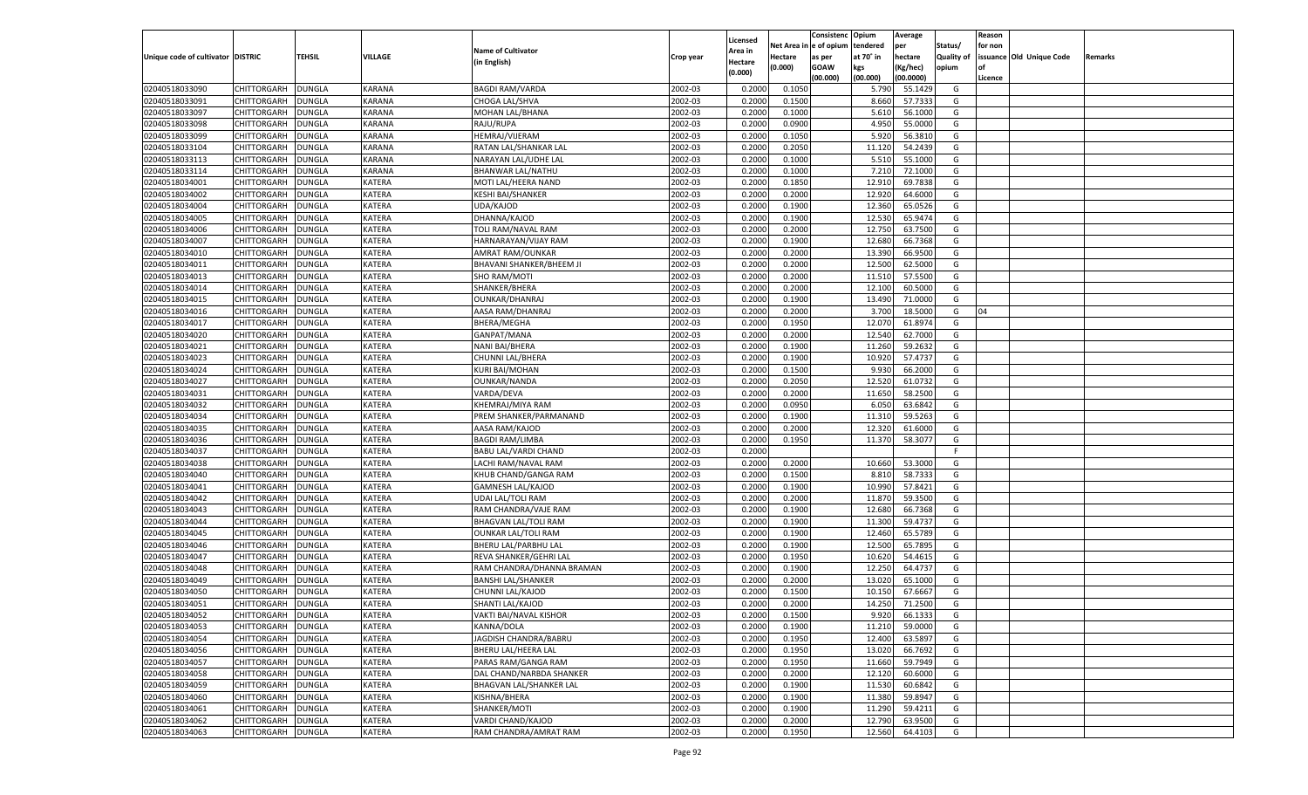|                                   |                    |               |               |                                |           |          |            | Consistenc   | Opium     | Average   |            | Reason  |                          |         |
|-----------------------------------|--------------------|---------------|---------------|--------------------------------|-----------|----------|------------|--------------|-----------|-----------|------------|---------|--------------------------|---------|
|                                   |                    |               |               |                                |           | Licensed | Net Area i | n e of opium | tendered  | per       | Status/    | for non |                          |         |
| Unique code of cultivator DISTRIC |                    | TEHSIL        | VILLAGE       | <b>Name of Cultivator</b>      | Crop year | Area in  | Hectare    | as per       | at 70° in | hectare   | Quality of |         | issuance Old Unique Code | Remarks |
|                                   |                    |               |               | (in English)                   |           | Hectare  | (0.000)    | <b>GOAW</b>  | kgs       | (Kg/hec)  | opium      |         |                          |         |
|                                   |                    |               |               |                                |           | (0.000)  |            | (00.000)     | (00.000)  | (00.0000) |            | Licence |                          |         |
| 02040518033090                    | CHITTORGARH        | DUNGLA        | <b>KARANA</b> | <b>BAGDI RAM/VARDA</b>         | 2002-03   | 0.2000   | 0.1050     |              | 5.790     | 55.1429   | G          |         |                          |         |
| 02040518033091                    | CHITTORGARH        | DUNGLA        | <b>KARANA</b> | CHOGA LAL/SHVA                 | 2002-03   | 0.2000   | 0.1500     |              | 8.660     | 57.7333   | G          |         |                          |         |
| 02040518033097                    | CHITTORGARH        | DUNGLA        | <b>KARANA</b> | MOHAN LAL/BHANA                | 2002-03   | 0.2000   | 0.1000     |              | 5.610     | 56.1000   | G          |         |                          |         |
| 02040518033098                    | CHITTORGARH        | DUNGLA        | <b>KARANA</b> | RAJU/RUPA                      | 2002-03   | 0.2000   | 0.0900     |              | 4.950     | 55.0000   | G          |         |                          |         |
| 02040518033099                    | CHITTORGARH        | DUNGLA        | KARANA        | HEMRAJ/VIJERAM                 | 2002-03   | 0.2000   | 0.1050     |              | 5.920     | 56.3810   | G          |         |                          |         |
| 02040518033104                    | CHITTORGARH        | DUNGLA        | <b>KARANA</b> | RATAN LAL/SHANKAR LAL          | 2002-03   | 0.2000   | 0.2050     |              | 11.120    | 54.2439   | G          |         |                          |         |
| 02040518033113                    | CHITTORGARH        | DUNGLA        | KARANA        | NARAYAN LAL/UDHE LAL           | 2002-03   | 0.2000   | 0.1000     |              | 5.510     | 55.1000   | G          |         |                          |         |
| 02040518033114                    | CHITTORGARH        | DUNGLA        | <b>KARANA</b> | BHANWAR LAL/NATHU              | 2002-03   | 0.2000   | 0.1000     |              | 7.210     | 72.1000   | G          |         |                          |         |
| 02040518034001                    | CHITTORGARH        | DUNGLA        | <b>KATERA</b> | MOTI LAL/HEERA NAND            | 2002-03   | 0.2000   | 0.1850     |              | 12.910    | 69.7838   | G          |         |                          |         |
| 02040518034002                    | CHITTORGARH        |               |               |                                | 2002-03   |          |            |              | 12.920    |           | G          |         |                          |         |
|                                   |                    | DUNGLA        | KATERA        | <b>KESHI BAI/SHANKER</b>       |           | 0.2000   | 0.2000     |              |           | 64.6000   |            |         |                          |         |
| 02040518034004                    | CHITTORGARH        | DUNGLA        | <b>KATERA</b> | UDA/KAJOD                      | 2002-03   | 0.2000   | 0.1900     |              | 12.360    | 65.0526   | G          |         |                          |         |
| 02040518034005                    | CHITTORGARH        | DUNGLA        | KATERA        | DHANNA/KAJOD                   | 2002-03   | 0.2000   | 0.1900     |              | 12.530    | 65.9474   | G          |         |                          |         |
| 02040518034006                    | CHITTORGARH        | DUNGLA        | <b>KATERA</b> | TOLI RAM/NAVAL RAM             | 2002-03   | 0.2000   | 0.2000     |              | 12.750    | 63.7500   | G          |         |                          |         |
| 02040518034007                    | CHITTORGARH        | DUNGLA        | <b>KATERA</b> | HARNARAYAN/VIJAY RAM           | 2002-03   | 0.2000   | 0.1900     |              | 12.680    | 66.7368   | G          |         |                          |         |
| 02040518034010                    | CHITTORGARH        | DUNGLA        | KATERA        | AMRAT RAM/OUNKAR               | 2002-03   | 0.2000   | 0.2000     |              | 13.390    | 66.9500   | G          |         |                          |         |
| 02040518034011                    | CHITTORGARH        | DUNGLA        | KATERA        | BHAVANI SHANKER/BHEEM JI       | 2002-03   | 0.2000   | 0.2000     |              | 12.500    | 62.5000   | G          |         |                          |         |
| 02040518034013                    | CHITTORGARH        | DUNGLA        | KATERA        | SHO RAM/MOTI                   | 2002-03   | 0.2000   | 0.2000     |              | 11.510    | 57.5500   | G          |         |                          |         |
| 02040518034014                    | CHITTORGARH        | DUNGLA        | KATERA        | SHANKER/BHERA                  | 2002-03   | 0.2000   | 0.2000     |              | 12.100    | 60.5000   | G          |         |                          |         |
| 02040518034015                    | CHITTORGARH        | DUNGLA        | KATERA        | <b>OUNKAR/DHANRAJ</b>          | 2002-03   | 0.2000   | 0.1900     |              | 13.490    | 71.0000   | G          |         |                          |         |
| 02040518034016                    | CHITTORGARH        | DUNGLA        | KATERA        | AASA RAM/DHANRAJ               | 2002-03   | 0.2000   | 0.2000     |              | 3.700     | 18.5000   | G          | 04      |                          |         |
| 02040518034017                    | CHITTORGARH        | DUNGLA        | KATERA        | BHERA/MEGHA                    | 2002-03   | 0.2000   | 0.1950     |              | 12.070    | 61.8974   | G          |         |                          |         |
| 02040518034020                    | CHITTORGARH        | DUNGLA        | KATERA        | GANPAT/MANA                    | 2002-03   | 0.2000   | 0.2000     |              | 12.540    | 62.7000   | G          |         |                          |         |
| 02040518034021                    | CHITTORGARH        | DUNGLA        | KATERA        | NANI BAI/BHERA                 | 2002-03   | 0.2000   | 0.1900     |              | 11.260    | 59.2632   | G          |         |                          |         |
| 02040518034023                    | CHITTORGARH        | DUNGLA        | KATERA        | CHUNNI LAL/BHERA               | 2002-03   | 0.2000   | 0.1900     |              | 10.920    | 57.4737   | G          |         |                          |         |
| 02040518034024                    | CHITTORGARH        | DUNGLA        | KATERA        | <b>KURI BAI/MOHAN</b>          | 2002-03   | 0.2000   | 0.1500     |              | 9.930     | 66.2000   | G          |         |                          |         |
| 02040518034027                    | CHITTORGARH        | DUNGLA        | KATERA        | <b>OUNKAR/NANDA</b>            | 2002-03   | 0.2000   | 0.2050     |              | 12.520    | 61.0732   | G          |         |                          |         |
| 02040518034031                    | CHITTORGARH        | DUNGLA        | KATERA        | VARDA/DEVA                     | 2002-03   | 0.2000   | 0.2000     |              | 11.650    | 58.2500   | G          |         |                          |         |
| 02040518034032                    | CHITTORGARH        | DUNGLA        | KATERA        | KHEMRAJ/MIYA RAM               | 2002-03   | 0.2000   | 0.0950     |              | 6.050     | 63.6842   | G          |         |                          |         |
| 02040518034034                    | CHITTORGARH        | DUNGLA        | KATERA        | PREM SHANKER/PARMANAND         | 2002-03   | 0.2000   | 0.1900     |              | 11.310    | 59.5263   | G          |         |                          |         |
| 02040518034035                    | CHITTORGARH        | DUNGLA        | <b>KATERA</b> | AASA RAM/KAJOD                 | 2002-03   | 0.2000   | 0.2000     |              | 12.320    | 61.6000   | G          |         |                          |         |
| 02040518034036                    | CHITTORGARH        | DUNGLA        | <b>KATERA</b> | <b>BAGDI RAM/LIMBA</b>         | 2002-03   | 0.2000   | 0.1950     |              | 11.370    | 58.3077   | G          |         |                          |         |
| 02040518034037                    | CHITTORGARH        | DUNGLA        | <b>KATERA</b> | BABU LAL/VARDI CHAND           | 2002-03   | 0.2000   |            |              |           |           | F          |         |                          |         |
|                                   |                    | <b>DUNGLA</b> |               |                                |           |          |            |              |           |           |            |         |                          |         |
| 02040518034038                    | CHITTORGARH        |               | <b>KATERA</b> | LACHI RAM/NAVAL RAM            | 2002-03   | 0.2000   | 0.2000     |              | 10.660    | 53.3000   | G          |         |                          |         |
| 02040518034040                    | CHITTORGARH        | DUNGLA        | <b>KATERA</b> | KHUB CHAND/GANGA RAM           | 2002-03   | 0.2000   | 0.1500     |              | 8.810     | 58.7333   | G          |         |                          |         |
| 02040518034041                    | CHITTORGARH        | DUNGLA        | <b>KATERA</b> | <b>GAMNESH LAL/KAJOD</b>       | 2002-03   | 0.2000   | 0.1900     |              | 10.990    | 57.8421   | G          |         |                          |         |
| 02040518034042                    | CHITTORGARH        | DUNGLA        | <b>KATERA</b> | <b>UDAI LAL/TOLI RAM</b>       | 2002-03   | 0.2000   | 0.2000     |              | 11.870    | 59.3500   | G          |         |                          |         |
| 02040518034043                    | CHITTORGARH        | <b>DUNGLA</b> | <b>KATERA</b> | RAM CHANDRA/VAJE RAM           | 2002-03   | 0.2000   | 0.1900     |              | 12.680    | 66.7368   | G          |         |                          |         |
| 02040518034044                    | CHITTORGARH        | DUNGLA        | <b>KATERA</b> | <b>BHAGVAN LAL/TOLI RAM</b>    | 2002-03   | 0.2000   | 0.1900     |              | 11.300    | 59.4737   | G          |         |                          |         |
| 02040518034045                    | CHITTORGARH        | DUNGLA        | <b>KATERA</b> | <b>OUNKAR LAL/TOLI RAM</b>     | 2002-03   | 0.2000   | 0.1900     |              | 12.460    | 65.5789   | G          |         |                          |         |
| 02040518034046                    | CHITTORGARH        | DUNGLA        | <b>KATERA</b> | BHERU LAL/PARBHU LAL           | 2002-03   | 0.2000   | 0.1900     |              | 12.500    | 65.7895   | G          |         |                          |         |
| 02040518034047                    | CHITTORGARH        | <b>DUNGLA</b> | <b>KATERA</b> | REVA SHANKER/GEHRI LAL         | 2002-03   | 0.2000   | 0.1950     |              | 10.620    | 54.4615   | G          |         |                          |         |
| 02040518034048                    | CHITTORGARH        | DUNGLA        | <b>KATERA</b> | RAM CHANDRA/DHANNA BRAMAN      | 2002-03   | 0.2000   | 0.1900     |              | 12.250    | 64.4737   | G          |         |                          |         |
| 02040518034049                    | CHITTORGARH        | DUNGLA        | <b>KATERA</b> | <b>BANSHI LAL/SHANKER</b>      | 2002-03   | 0.2000   | 0.2000     |              | 13.020    | 65.1000   | G          |         |                          |         |
| 02040518034050                    | CHITTORGARH        | DUNGLA        | <b>KATERA</b> | CHUNNI LAL/KAJOD               | 2002-03   | 0.2000   | 0.1500     |              | 10.15     | 67.6667   | G          |         |                          |         |
| 02040518034051                    | CHITTORGARH        | <b>DUNGLA</b> | <b>KATERA</b> | SHANTI LAL/KAJOD               | 2002-03   | 0.2000   | 0.2000     |              | 14.250    | 71.2500   | G          |         |                          |         |
| 02040518034052                    | CHITTORGARH        | <b>DUNGLA</b> | KATERA        | VAKTI BAI/NAVAL KISHOR         | 2002-03   | 0.2000   | 0.1500     |              | 9.920     | 66.1333   | G          |         |                          |         |
| 02040518034053                    | <b>CHITTORGARH</b> | <b>DUNGLA</b> | <b>KATERA</b> | KANNA/DOLA                     | 2002-03   | 0.2000   | 0.1900     |              | 11.210    | 59.0000   | G          |         |                          |         |
| 02040518034054                    | CHITTORGARH        | <b>DUNGLA</b> | KATERA        | JAGDISH CHANDRA/BABRU          | 2002-03   | 0.2000   | 0.1950     |              | 12.400    | 63.5897   | G          |         |                          |         |
| 02040518034056                    | <b>CHITTORGARH</b> | <b>DUNGLA</b> | KATERA        | BHERU LAL/HEERA LAL            | 2002-03   | 0.2000   | 0.1950     |              | 13.020    | 66.7692   | G          |         |                          |         |
| 02040518034057                    | <b>CHITTORGARH</b> | <b>DUNGLA</b> | <b>KATERA</b> | PARAS RAM/GANGA RAM            | 2002-03   | 0.2000   | 0.1950     |              | 11.660    | 59.7949   | G          |         |                          |         |
| 02040518034058                    | <b>CHITTORGARH</b> | <b>DUNGLA</b> | KATERA        | DAL CHAND/NARBDA SHANKER       | 2002-03   | 0.2000   | 0.2000     |              | 12.120    | 60.6000   | G          |         |                          |         |
| 02040518034059                    | CHITTORGARH        | <b>DUNGLA</b> | KATERA        | <b>BHAGVAN LAL/SHANKER LAL</b> | 2002-03   | 0.2000   | 0.1900     |              | 11.530    | 60.6842   | G          |         |                          |         |
| 02040518034060                    | CHITTORGARH        | <b>DUNGLA</b> | KATERA        | KISHNA/BHERA                   | 2002-03   | 0.2000   | 0.1900     |              | 11.380    | 59.8947   | G          |         |                          |         |
| 02040518034061                    | <b>CHITTORGARH</b> | <b>DUNGLA</b> | <b>KATERA</b> | SHANKER/MOTI                   | 2002-03   | 0.2000   | 0.1900     |              | 11.290    | 59.4211   | G          |         |                          |         |
| 02040518034062                    | <b>CHITTORGARH</b> | <b>DUNGLA</b> | KATERA        | VARDI CHAND/KAJOD              | 2002-03   | 0.2000   | 0.2000     |              | 12.790    | 63.9500   | G          |         |                          |         |
| 02040518034063                    | <b>CHITTORGARH</b> |               | KATERA        | RAM CHANDRA/AMRAT RAM          | 2002-03   |          | 0.1950     |              | 12.560    | 64.4103   | G          |         |                          |         |
|                                   |                    | <b>DUNGLA</b> |               |                                |           | 0.2000   |            |              |           |           |            |         |                          |         |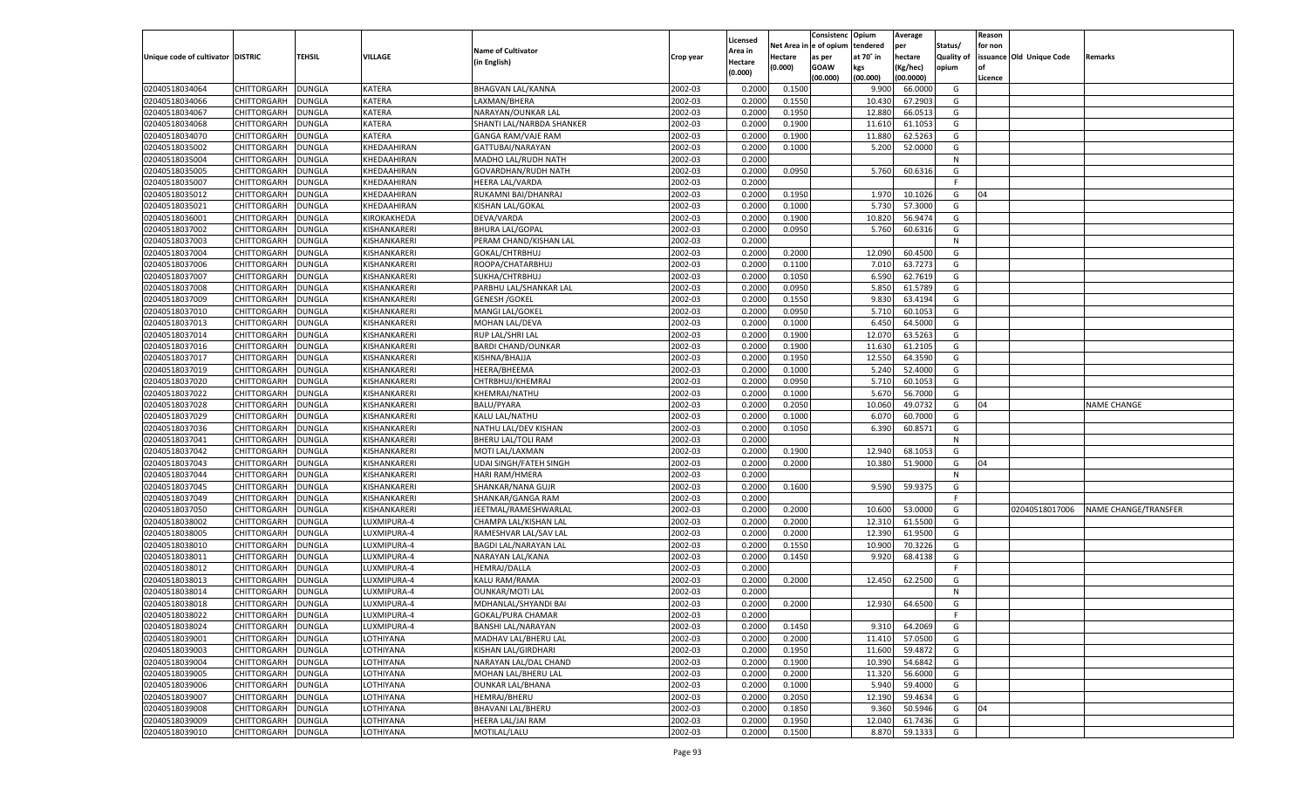|                                   |                    |               |                |                                                |                    | Licensed |         | Consistenc Opium       |           | Average   |            | Reason  |                          |                             |
|-----------------------------------|--------------------|---------------|----------------|------------------------------------------------|--------------------|----------|---------|------------------------|-----------|-----------|------------|---------|--------------------------|-----------------------------|
|                                   |                    |               |                | <b>Name of Cultivator</b>                      |                    | Area in  |         | Net Area in e of opium | tendered  | per       | Status/    | for non |                          |                             |
| Unique code of cultivator DISTRIC |                    | TEHSIL        | <b>VILLAGE</b> | (in English)                                   | Crop year          | Hectare  | Hectare | as per                 | at 70° in | hectare   | Quality of |         | issuance Old Unique Code | <b>Remarks</b>              |
|                                   |                    |               |                |                                                |                    | (0.000)  | (0.000) | <b>GOAW</b>            | kgs       | (Kg/hec)  | opium      |         |                          |                             |
|                                   |                    |               |                |                                                |                    |          |         | (00.000)               | (00.000)  | (00.0000) |            | Licence |                          |                             |
| 02040518034064                    | CHITTORGARH        | <b>DUNGLA</b> | KATERA         | BHAGVAN LAL/KANNA                              | 2002-03            | 0.2000   | 0.1500  |                        | 9.900     | 66.0000   | G          |         |                          |                             |
| 02040518034066                    | CHITTORGARH        | DUNGLA        | KATERA         | LAXMAN/BHERA                                   | 2002-03            | 0.2000   | 0.1550  |                        | 10.430    | 67.2903   | G          |         |                          |                             |
| 02040518034067                    | CHITTORGARH        | DUNGLA        | <b>KATERA</b>  | NARAYAN/OUNKAR LAL                             | 2002-03            | 0.2000   | 0.1950  |                        | 12.880    | 66.0513   | G          |         |                          |                             |
| 02040518034068                    | CHITTORGARH        | DUNGLA        | KATERA         | SHANTI LAL/NARBDA SHANKER                      | 2002-03            | 0.2000   | 0.1900  |                        | 11.610    | 61.1053   | G          |         |                          |                             |
| 02040518034070                    | CHITTORGARH        | <b>DUNGLA</b> | <b>KATERA</b>  | <b>GANGA RAM/VAJE RAM</b>                      | 2002-03            | 0.2000   | 0.1900  |                        | 11.880    | 62.5263   | G          |         |                          |                             |
| 02040518035002                    | CHITTORGARH        | DUNGLA        | KHEDAAHIRAN    | GATTUBAI/NARAYAN                               | 2002-03            | 0.2000   | 0.1000  |                        | 5.200     | 52.0000   | G          |         |                          |                             |
| 02040518035004                    | CHITTORGARH        | DUNGLA        | KHEDAAHIRAN    | MADHO LAL/RUDH NATH                            | 2002-03            | 0.2000   |         |                        |           |           | N          |         |                          |                             |
| 02040518035005                    | CHITTORGARH        | DUNGLA        | KHEDAAHIRAN    | GOVARDHAN/RUDH NATH                            | 2002-03            | 0.2000   | 0.0950  |                        | 5.760     | 60.6316   | G          |         |                          |                             |
| 02040518035007                    | CHITTORGARH        | DUNGLA        | KHEDAAHIRAN    | <b>HEERA LAL/VARDA</b>                         | 2002-03            | 0.2000   |         |                        |           |           | F.         |         |                          |                             |
| 02040518035012                    | CHITTORGARH        | DUNGLA        | KHEDAAHIRAN    | RUKAMNI BAI/DHANRAJ                            | 2002-03            | 0.2000   | 0.1950  |                        | 1.970     | 10.1026   | G          | 04      |                          |                             |
| 02040518035021                    | CHITTORGARH        | <b>DUNGLA</b> | KHEDAAHIRAN    | <b>KISHAN LAL/GOKAL</b>                        | 2002-03            | 0.2000   | 0.1000  |                        | 5.730     | 57.3000   | G          |         |                          |                             |
| 02040518036001                    | CHITTORGARH        | DUNGLA        | KIROKAKHEDA    | DEVA/VARDA                                     | 2002-03            | 0.2000   | 0.1900  |                        | 10.820    | 56.9474   | G          |         |                          |                             |
| 02040518037002                    | CHITTORGARH        | DUNGLA        | KISHANKARERI   | <b>BHURA LAL/GOPAL</b>                         | 2002-03            | 0.2000   | 0.0950  |                        | 5.760     | 60.6316   | G          |         |                          |                             |
| 02040518037003                    | CHITTORGARH        | DUNGLA        | KISHANKARERI   | PERAM CHAND/KISHAN LAL                         | 2002-03            | 0.2000   |         |                        |           |           | N          |         |                          |                             |
| 02040518037004                    | CHITTORGARH        | DUNGLA        | KISHANKARERI   | GOKAL/CHTRBHUJ                                 | 2002-03            | 0.2000   | 0.2000  |                        | 12.090    | 60.4500   | G          |         |                          |                             |
| 02040518037006                    | CHITTORGARH        | DUNGLA        | KISHANKARERI   | ROOPA/CHATARBHUJ                               | 2002-03            | 0.2000   | 0.1100  |                        | 7.010     | 63.7273   | G          |         |                          |                             |
| 02040518037007                    | CHITTORGARH        | DUNGLA        | KISHANKARERI   | SUKHA/CHTRBHUJ                                 | 2002-03            | 0.2000   | 0.1050  |                        | 6.590     | 62.7619   | G          |         |                          |                             |
| 02040518037008                    | CHITTORGARH        | DUNGLA        | KISHANKARERI   | PARBHU LAL/SHANKAR LAL                         | 2002-03            | 0.2000   | 0.0950  |                        | 5.850     | 61.5789   | G          |         |                          |                             |
| 02040518037009                    | CHITTORGARH        | DUNGLA        | KISHANKARERI   | <b>GENESH / GOKEL</b>                          | 2002-03            | 0.2000   | 0.1550  |                        | 9.830     | 63.4194   | G          |         |                          |                             |
| 02040518037010                    | CHITTORGARH        | DUNGLA        | KISHANKARERI   | MANGI LAL/GOKEL                                | 2002-03            | 0.2000   | 0.0950  |                        | 5.710     | 60.1053   | G          |         |                          |                             |
| 02040518037013                    | CHITTORGARH        | DUNGLA        | KISHANKARERI   | MOHAN LAL/DEVA                                 | 2002-03            | 0.2000   | 0.1000  |                        | 6.450     | 64.5000   | G          |         |                          |                             |
| 02040518037014                    | CHITTORGARH        | DUNGLA        | KISHANKARERI   | RUP LAL/SHRI LAL                               | 2002-03            | 0.2000   | 0.1900  |                        | 12.070    | 63.5263   | G          |         |                          |                             |
| 02040518037016                    | CHITTORGARH        | DUNGLA        | KISHANKARERI   | <b>BARDI CHAND/OUNKAR</b>                      | 2002-03            | 0.2000   | 0.1900  |                        | 11.630    | 61.2105   | G          |         |                          |                             |
| 02040518037017                    | CHITTORGARH        | DUNGLA        | KISHANKARERI   | KISHNA/BHAJJA                                  | 2002-03            | 0.2000   | 0.1950  |                        | 12.550    | 64.3590   | G          |         |                          |                             |
| 02040518037019                    | CHITTORGARH        | DUNGLA        | KISHANKARERI   | HEERA/BHEEMA                                   | 2002-03            | 0.2000   | 0.1000  |                        | 5.240     | 52.4000   | G          |         |                          |                             |
| 02040518037020                    | CHITTORGARH        | DUNGLA        | KISHANKARERI   | CHTRBHUJ/KHEMRAJ                               | 2002-03            | 0.2000   | 0.0950  |                        | 5.710     | 60.1053   | G          |         |                          |                             |
| 02040518037022                    | CHITTORGARH        | DUNGLA        | KISHANKARERI   | KHEMRAJ/NATHU                                  | 2002-03            | 0.2000   | 0.1000  |                        | 5.670     | 56.7000   | G          |         |                          |                             |
| 02040518037028                    | CHITTORGARH        | DUNGLA        | KISHANKARERI   | <b>BALU/PYARA</b>                              | 2002-03            | 0.2000   | 0.2050  |                        | 10.060    | 49.0732   | G          | 04      |                          | <b>NAME CHANGE</b>          |
| 02040518037029                    | CHITTORGARH        | DUNGLA        | KISHANKARERI   | KALU LAL/NATHU                                 | 2002-03            | 0.2000   | 0.1000  |                        | 6.070     | 60.7000   | G          |         |                          |                             |
| 02040518037036                    | CHITTORGARH        | DUNGLA        | KISHANKARERI   | NATHU LAL/DEV KISHAN                           | 2002-03            | 0.2000   | 0.1050  |                        | 6.390     | 60.8571   | G          |         |                          |                             |
| 02040518037041                    | CHITTORGARH        | DUNGLA        | KISHANKARERI   | BHERU LAL/TOLI RAM                             | 2002-03            | 0.2000   |         |                        |           |           | N          |         |                          |                             |
| 02040518037042                    | CHITTORGARH        | DUNGLA        | KISHANKARERI   | MOTI LAL/LAXMAN                                | 2002-03            | 0.2000   | 0.1900  |                        | 12.940    | 68.1053   | G          |         |                          |                             |
| 02040518037043                    | CHITTORGARH        | DUNGLA        | KISHANKARERI   | <b>UDAI SINGH/FATEH SINGH</b>                  | 2002-03            | 0.2000   | 0.2000  |                        | 10.380    | 51.9000   | G          | 04      |                          |                             |
| 02040518037044                    | CHITTORGARH        | DUNGLA        | KISHANKARERI   | HARI RAM/HMERA                                 | 2002-03            | 0.2000   |         |                        |           |           | N          |         |                          |                             |
| 02040518037045                    | CHITTORGARH        | DUNGLA        | KISHANKARERI   | SHANKAR/NANA GUJR                              | 2002-03            | 0.2000   | 0.1600  |                        | 9.590     | 59.9375   | G          |         |                          |                             |
| 02040518037049                    | CHITTORGARH        | DUNGLA        | KISHANKARERI   | SHANKAR/GANGA RAM                              | 2002-03            | 0.2000   |         |                        |           |           | F.         |         |                          |                             |
| 02040518037050                    | CHITTORGARH        | DUNGLA        | KISHANKARERI   | JEETMAL/RAMESHWARLAL                           | 2002-03            | 0.2000   | 0.2000  |                        | 10.600    | 53.0000   | G          |         | 02040518017006           | <b>NAME CHANGE/TRANSFER</b> |
| 02040518038002                    | CHITTORGARH        | DUNGLA        | LUXMIPURA-4    | CHAMPA LAL/KISHAN LAL                          | 2002-03            | 0.2000   | 0.2000  |                        | 12.310    | 61.5500   | G          |         |                          |                             |
| 02040518038005                    | CHITTORGARH        | DUNGLA        | LUXMIPURA-4    | RAMESHVAR LAL/SAV LAL                          | 2002-03            | 0.2000   | 0.2000  |                        | 12.390    | 61.9500   | G          |         |                          |                             |
| 02040518038010                    | CHITTORGARH        | DUNGLA        | LUXMIPURA-4    | BAGDI LAL/NARAYAN LAL                          | 2002-03            | 0.2000   | 0.1550  |                        | 10.900    | 70.3226   | G          |         |                          |                             |
| 02040518038011                    | CHITTORGARH        | DUNGLA        | LUXMIPURA-4    | NARAYAN LAL/KANA                               | 2002-03            | 0.2000   | 0.1450  |                        | 9.920     | 68.4138   | G          |         |                          |                             |
| 02040518038012                    | CHITTORGARH        | DUNGLA        | LUXMIPURA-4    | <b>HEMRAJ/DALLA</b>                            | 2002-03            | 0.2000   |         |                        |           |           | F.         |         |                          |                             |
| 02040518038013                    | CHITTORGARH        | DUNGLA        | LUXMIPURA-4    | KALU RAM/RAMA                                  | 2002-03            | 0.2000   | 0.2000  |                        | 12.450    | 62.2500   | G          |         |                          |                             |
| 02040518038014                    | CHITTORGARH        | DUNGLA        | LUXMIPURA-4    |                                                | 2002-03            | 0.2000   |         |                        |           |           | N          |         |                          |                             |
| 02040518038018                    | CHITTORGARH        | DUNGLA        | LUXMIPURA-4    | <b>OUNKAR/MOTI LAL</b><br>MDHANLAL/SHYANDI BAI | 2002-03            | 0.2000   | 0.2000  |                        | 12.930    | 64.6500   | G          |         |                          |                             |
|                                   |                    |               |                |                                                |                    |          |         |                        |           |           |            |         |                          |                             |
| 02040518038022<br>02040518038024  | CHITTORGARH        | <b>DUNGLA</b> | LUXMIPURA-4    | GOKAL/PURA CHAMAR                              | 2002-03<br>2002-03 | 0.2000   |         |                        |           |           |            |         |                          |                             |
|                                   | <b>CHITTORGARH</b> | <b>DUNGLA</b> | LUXMIPURA-4    | BANSHI LAL/NARAYAN                             |                    | 0.2000   | 0.1450  |                        | 9.310     | 64.2069   | G          |         |                          |                             |
| 02040518039001                    | <b>CHITTORGARH</b> | <b>DUNGLA</b> | LOTHIYANA      | MADHAV LAL/BHERU LAL                           | 2002-03            | 0.2000   | 0.2000  |                        | 11.410    | 57.0500   | G          |         |                          |                             |
| 02040518039003                    | <b>CHITTORGARH</b> | <b>DUNGLA</b> | LOTHIYANA      | KISHAN LAL/GIRDHARI                            | 2002-03            | 0.2000   | 0.1950  |                        | 11.600    | 59.4872   | G          |         |                          |                             |
| 02040518039004                    | <b>CHITTORGARH</b> | <b>DUNGLA</b> | LOTHIYANA      | NARAYAN LAL/DAL CHAND                          | 2002-03            | 0.2000   | 0.1900  |                        | 10.390    | 54.6842   | G          |         |                          |                             |
| 02040518039005                    | <b>CHITTORGARH</b> | <b>DUNGLA</b> | LOTHIYANA      | MOHAN LAL/BHERU LAL                            | 2002-03            | 0.2000   | 0.2000  |                        | 11.320    | 56.6000   | G          |         |                          |                             |
| 02040518039006                    | <b>CHITTORGARH</b> | DUNGLA        | LOTHIYANA      | <b>OUNKAR LAL/BHANA</b>                        | 2002-03            | 0.2000   | 0.1000  |                        | 5.940     | 59.4000   | G          |         |                          |                             |
| 02040518039007                    | <b>CHITTORGARH</b> | <b>DUNGLA</b> | LOTHIYANA      | <b>HEMRAJ/BHERU</b>                            | 2002-03            | 0.2000   | 0.2050  |                        | 12.190    | 59.4634   | G          |         |                          |                             |
| 02040518039008                    | <b>CHITTORGARH</b> | <b>DUNGLA</b> | LOTHIYANA      | BHAVANI LAL/BHERU                              | 2002-03            | 0.2000   | 0.1850  |                        | 9.360     | 50.5946   | G          | 04      |                          |                             |
| 02040518039009                    | <b>CHITTORGARH</b> | <b>DUNGLA</b> | LOTHIYANA      | HEERA LAL/JAI RAM                              | 2002-03            | 0.2000   | 0.1950  |                        | 12.040    | 61.7436   | G          |         |                          |                             |
| 02040518039010                    | <b>CHITTORGARH</b> | <b>DUNGLA</b> | LOTHIYANA      | MOTILAL/LALU                                   | 2002-03            | 0.2000   | 0.1500  |                        | 8.870     | 59.1333   | G          |         |                          |                             |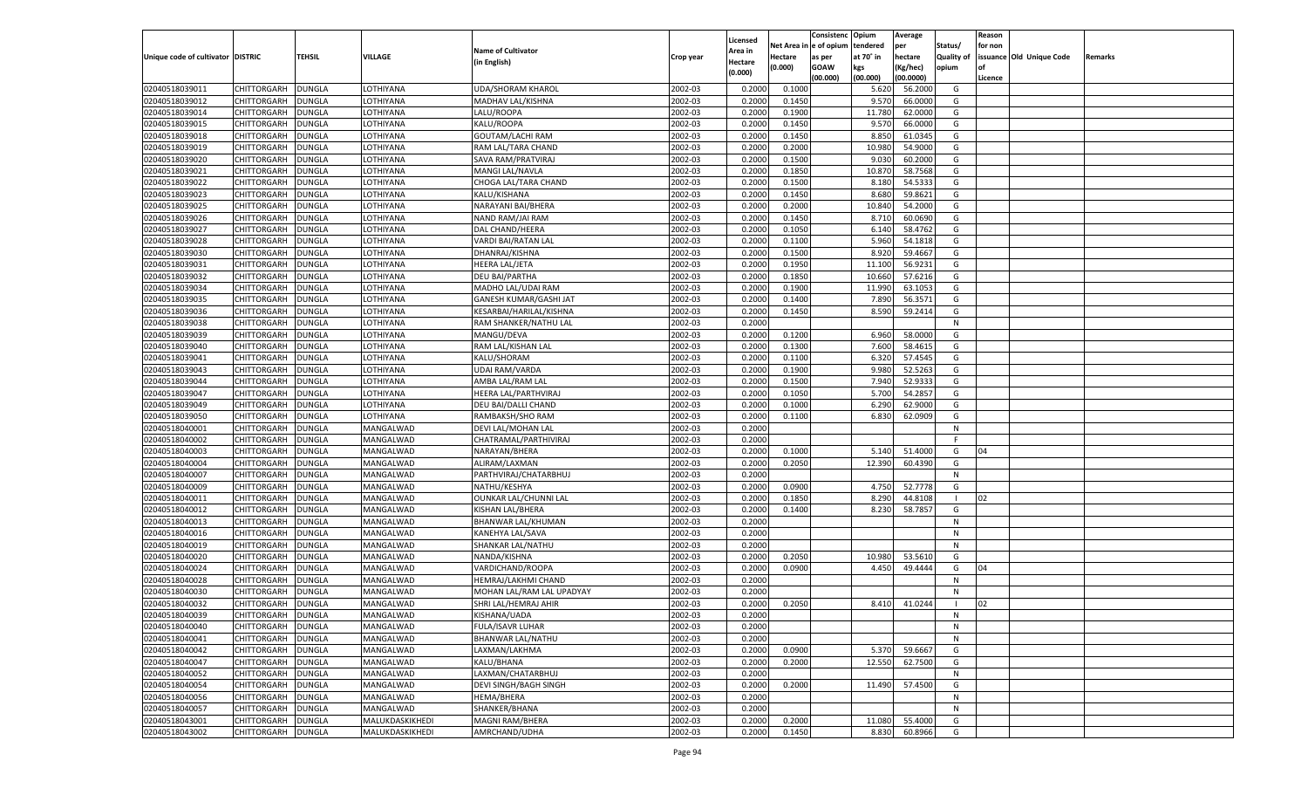| e of opium<br>Net Area<br>tendered<br>Status/<br>for non<br>per<br><b>Name of Cultivator</b><br><b>Area in</b><br><b>TEHSIL</b><br>VILLAGE<br>Unique code of cultivator DISTRIC<br>at 70° in<br>hectare<br><b>Quality of</b><br>issuance Old Unique Code<br>Hectare<br>Crop year<br>as per<br>Remarks<br>(in English)<br>Hectare<br>(0.000)<br><b>GOAW</b><br>kgs<br>(Kg/hec)<br>opium<br>(0.000)<br>(00.000)<br>(00.000)<br>(00.0000)<br>Licence<br>02040518039011<br>CHITTORGARH<br><b>DUNGLA</b><br><b>UDA/SHORAM KHAROL</b><br>2002-03<br>0.2000<br>LOTHIYANA<br>0.1000<br>5.620<br>56.2000<br>G<br>02040518039012<br>2002-03<br>CHITTORGARH<br>DUNGLA<br>LOTHIYANA<br>MADHAV LAL/KISHNA<br>0.2000<br>0.1450<br>9.570<br>66.0000<br>G<br>2002-03<br>02040518039014<br>CHITTORGARH<br>DUNGLA<br>LOTHIYANA<br>LALU/ROOPA<br>0.2000<br>0.1900<br>11.780<br>62.0000<br>G<br>02040518039015<br>2002-03<br>9.570<br>CHITTORGARH<br>DUNGLA<br>LOTHIYANA<br>KALU/ROOPA<br>0.2000<br>0.1450<br>66.0000<br>G<br>2002-03<br>0.2000<br>8.850<br>61.0345<br>G<br>02040518039018<br>CHITTORGARH<br>DUNGLA<br>LOTHIYANA<br>GOUTAM/LACHI RAM<br>0.1450<br>02040518039019<br>2002-03<br>CHITTORGARH<br>DUNGLA<br>LOTHIYANA<br>RAM LAL/TARA CHAND<br>0.2000<br>0.2000<br>10.98<br>54.9000<br>G<br>2002-03<br>02040518039020<br>CHITTORGARH<br>DUNGLA<br>LOTHIYANA<br>SAVA RAM/PRATVIRAJ<br>0.2000<br>0.1500<br>9.030<br>60.2000<br>G<br>02040518039021<br>2002-03<br>10.87<br>CHITTORGARH<br>DUNGLA<br>LOTHIYANA<br>MANGI LAL/NAVLA<br>0.2000<br>0.1850<br>58.7568<br>G<br>02040518039022<br>2002-03<br>0.2000<br>54.5333<br>G<br>CHITTORGARH<br>DUNGLA<br>LOTHIYANA<br>CHOGA LAL/TARA CHAND<br>0.1500<br>8.180<br>02040518039023<br>2002-03<br>CHITTORGARH<br>DUNGLA<br>LOTHIYANA<br>KALU/KISHANA<br>0.2000<br>0.1450<br>8.680<br>59.8621<br>G<br>2002-03<br>0.2000<br>10.84<br>02040518039025<br>CHITTORGARH<br>DUNGLA<br>LOTHIYANA<br>NARAYANI BAI/BHERA<br>0.2000<br>54.2000<br>G<br>02040518039026<br>2002-03<br>60.0690<br>CHITTORGARH<br>DUNGLA<br>LOTHIYANA<br>NAND RAM/JAI RAM<br>0.2000<br>0.1450<br>8.710<br>G<br>02040518039027<br>2002-03<br>0.2000<br>58.4762<br>G<br>CHITTORGARH<br>DUNGLA<br>LOTHIYANA<br>DAL CHAND/HEERA<br>0.1050<br>6.140<br>02040518039028<br>2002-03<br>0.2000<br>5.960<br>CHITTORGARH<br>DUNGLA<br>LOTHIYANA<br>VARDI BAI/RATAN LAL<br>0.1100<br>54.1818<br>G<br>02040518039030<br>CHITTORGARH<br>LOTHIYANA<br>DHANRAJ/KISHNA<br>2002-03<br>0.2000<br>0.1500<br>8.920<br>59.4667<br><b>DUNGLA</b><br>G<br>02040518039031<br>CHITTORGARH<br>2002-03<br>11.100<br>56.9231<br>DUNGLA<br>LOTHIYANA<br>HEERA LAL/JETA<br>0.2000<br>0.1950<br>G<br>02040518039032<br><b>DUNGLA</b><br><b>OTHIYANA</b><br><b>DEU BAI/PARTHA</b><br>2002-03<br>0.2000<br>0.1850<br>10.660<br>57.6216<br>G<br>CHITTORGARH<br>02040518039034<br>2002-03<br>11.990<br>CHITTORGARH<br>DUNGLA<br>LOTHIYANA<br>MADHO LAL/UDAI RAM<br>0.2000<br>0.1900<br>63.1053<br>G<br>02040518039035<br>LOTHIYANA<br>2002-03<br>0.2000<br>7.890<br>56.3571<br>CHITTORGARH<br><b>DUNGLA</b><br>GANESH KUMAR/GASHI JAT<br>0.1400<br>G<br>02040518039036<br>CHITTORGARH<br>2002-03<br>0.2000<br>8.590<br>DUNGLA<br>LOTHIYANA<br>KESARBAI/HARILAL/KISHNA<br>0.1450<br>59.2414<br>G<br>02040518039038<br>DUNGLA<br><b>OTHIYANA</b><br>RAM SHANKER/NATHU LAL<br>2002-03<br>0.2000<br>N<br>CHITTORGARH<br>02040518039039<br>2002-03<br>0.1200<br>6.960<br>58.0000<br>CHITTORGARH<br>DUNGLA<br>LOTHIYANA<br>MANGU/DEVA<br>0.2000<br>G<br>02040518039040<br>LOTHIYANA<br>2002-03<br>0.2000<br>7.600<br>58.4615<br>CHITTORGARH<br><b>DUNGLA</b><br>RAM LAL/KISHAN LAL<br>0.1300<br>G<br>02040518039041<br>CHITTORGARH<br>KALU/SHORAM<br>2002-03<br>6.320<br>57.4545<br>DUNGLA<br>LOTHIYANA<br>0.2000<br>0.1100<br>G<br>02040518039043<br>DUNGLA<br><b>OTHIYANA</b><br><b>UDAI RAM/VARDA</b><br>2002-03<br>0.2000<br>0.1900<br>9.980<br>52.5263<br>G<br>CHITTORGARH<br>02040518039044<br>2002-03<br>7.940<br>52.9333<br>CHITTORGARH<br>DUNGLA<br>LOTHIYANA<br>AMBA LAL/RAM LAL<br>0.2000<br>0.1500<br>G<br>02040518039047<br>LOTHIYANA<br>2002-03<br>0.2000<br>5.700<br>54.2857<br>CHITTORGARH<br><b>DUNGLA</b><br>HEERA LAL/PARTHVIRAJ<br>0.1050<br>G<br>02040518039049<br>CHITTORGARH<br>2002-03<br>6.290<br>62.9000<br>DUNGLA<br>LOTHIYANA<br>DEU BAI/DALLI CHAND<br>0.2000<br>0.1000<br>G<br>02040518039050<br>CHITTORGARH<br>DUNGLA<br><b>OTHIYANA</b><br>RAMBAKSH/SHO RAM<br>2002-03<br>0.2000<br>62.0909<br>G<br>0.1100<br>6.830<br>02040518040001<br>2002-03<br>CHITTORGARH<br><b>DUNGLA</b><br>MANGALWAD<br>DEVI LAL/MOHAN LAL<br>0.2000<br>N<br>02040518040002<br><b>DUNGLA</b><br>MANGALWAD<br>2002-03<br>0.2000<br>CHITTORGARH<br>CHATRAMAL/PARTHIVIRAJ<br>F.<br>02040518040003<br>MANGALWAD<br>2002-03<br>0.2000<br>5.140<br>51.4000<br>CHITTORGARH<br><b>DUNGLA</b><br>NARAYAN/BHERA<br>0.1000<br>G<br>04<br>02040518040004<br><b>DUNGLA</b><br>MANGALWAD<br>ALIRAM/LAXMAN<br>2002-03<br>0.2000<br>60.4390<br><b>CHITTORGARH</b><br>0.2050<br>12.390<br>G<br>02040518040007<br>MANGALWAD<br>2002-03<br>0.2000<br>CHITTORGARH<br><b>DUNGLA</b><br>PARTHVIRAJ/CHATARBHUJ<br>N<br>02040518040009<br><b>DUNGLA</b><br>MANGALWAD<br>2002-03<br>0.2000<br>0.0900<br>52.7778<br>CHITTORGARH<br>NATHU/KESHYA<br>4.750<br>G<br>02040518040011<br>MANGALWAD<br>2002-03<br>8.290<br>44.8108<br>CHITTORGARH<br><b>DUNGLA</b><br>OUNKAR LAL/CHUNNI LAL<br>0.2000<br>0.1850<br>02<br>$\blacksquare$<br>02040518040012<br>CHITTORGARH<br><b>DUNGLA</b><br>MANGALWAD<br>KISHAN LAL/BHERA<br>2002-03<br>0.2000<br>58.785<br>0.1400<br>8.230<br>G<br>02040518040013<br>MANGALWAD<br>2002-03<br>CHITTORGARH<br><b>DUNGLA</b><br>BHANWAR LAL/KHUMAN<br>0.2000<br>N<br>02040518040016<br><b>DUNGLA</b><br>MANGALWAD<br>KANEHYA LAL/SAVA<br>2002-03<br>0.2000<br><b>CHITTORGARH</b><br>N<br>02040518040019<br>MANGALWAD<br>2002-03<br>CHITTORGARH<br><b>DUNGLA</b><br>SHANKAR LAL/NATHU<br>0.2000<br>N<br>02040518040020<br>CHITTORGARH<br><b>DUNGLA</b><br>MANGALWAD<br>2002-03<br>0.2000<br>53.5610<br>NANDA/KISHNA<br>0.2050<br>10.980<br>G<br>02040518040024<br>2002-03<br>0.2000<br>49.4444<br>CHITTORGARH<br>DUNGLA<br>MANGALWAD<br>VARDICHAND/ROOPA<br>0.0900<br>4.450<br>G<br>04<br>02040518040028<br>MANGALWAD<br>2002-03<br>0.2000<br>CHITTORGARH<br><b>DUNGLA</b><br>HEMRAJ/LAKHMI CHAND<br>N<br>02040518040030<br>2002-03<br>CHITTORGARH<br>DUNGLA<br>MANGALWAD<br>MOHAN LAL/RAM LAL UPADYAY<br>0.2000<br>N<br>02040518040032<br><b>DUNGLA</b><br>MANGALWAD<br>SHRI LAL/HEMRAJ AHIR<br>2002-03<br>0.2000<br>0.2050<br>41.0244<br>CHITTORGARH<br>8.410<br>02<br>02040518040039<br>CHITTORGARH DUNGLA<br>MANGALWAD<br>KISHANA/UADA<br>2002-03<br>0.2000<br>N<br>2002-03<br>02040518040040<br><b>DUNGLA</b><br>MANGALWAD<br>FULA/ISAVR LUHAR<br>0.2000<br><b>CHITTORGARH</b><br>N<br>02040518040041<br><b>DUNGLA</b><br>MANGALWAD<br><b>BHANWAR LAL/NATHU</b><br>2002-03<br>0.2000<br>CHITTORGARH<br>N<br>2002-03<br>0.0900<br>02040518040042<br><b>CHITTORGARH</b><br><b>DUNGLA</b><br>MANGALWAD<br>LAXMAN/LAKHMA<br>0.2000<br>5.370<br>59.6667<br>G<br>02040518040047<br><b>DUNGLA</b><br>MANGALWAD<br>KALU/BHANA<br>2002-03<br>0.2000<br>0.2000<br>12.550<br>62.7500<br><b>CHITTORGARH</b><br>G<br>02040518040052<br><b>DUNGLA</b><br>MANGALWAD<br>LAXMAN/CHATARBHUJ<br>2002-03<br>0.2000<br>N<br><b>CHITTORGARH</b><br>02040518040054<br><b>DUNGLA</b><br>MANGALWAD<br>DEVI SINGH/BAGH SINGH<br>2002-03<br>0.2000<br>0.2000<br>57.4500<br><b>CHITTORGARH</b><br>11.490<br>G<br>2002-03<br>02040518040056<br><b>CHITTORGARH</b><br><b>DUNGLA</b><br>MANGALWAD<br>HEMA/BHERA<br>0.2000<br>N<br>02040518040057<br><b>DUNGLA</b><br>MANGALWAD<br>SHANKER/BHANA<br>2002-03<br>0.2000<br><b>CHITTORGARH</b><br>N<br>02040518043001<br><b>DUNGLA</b><br>MALUKDASKIKHEDI<br>MAGNI RAM/BHERA<br>2002-03<br>0.2000<br>0.2000<br>55.4000<br>G<br><b>CHITTORGARH</b><br>11.080<br>02040518043002<br><b>DUNGLA</b><br>MALUKDASKIKHEDI<br>AMRCHAND/UDHA<br>2002-03<br>0.2000<br>8.830<br>60.8966<br>CHITTORGARH<br>0.1450<br>G |  |  |  |          | Consistenc | Opium | Average | Reason |  |
|-----------------------------------------------------------------------------------------------------------------------------------------------------------------------------------------------------------------------------------------------------------------------------------------------------------------------------------------------------------------------------------------------------------------------------------------------------------------------------------------------------------------------------------------------------------------------------------------------------------------------------------------------------------------------------------------------------------------------------------------------------------------------------------------------------------------------------------------------------------------------------------------------------------------------------------------------------------------------------------------------------------------------------------------------------------------------------------------------------------------------------------------------------------------------------------------------------------------------------------------------------------------------------------------------------------------------------------------------------------------------------------------------------------------------------------------------------------------------------------------------------------------------------------------------------------------------------------------------------------------------------------------------------------------------------------------------------------------------------------------------------------------------------------------------------------------------------------------------------------------------------------------------------------------------------------------------------------------------------------------------------------------------------------------------------------------------------------------------------------------------------------------------------------------------------------------------------------------------------------------------------------------------------------------------------------------------------------------------------------------------------------------------------------------------------------------------------------------------------------------------------------------------------------------------------------------------------------------------------------------------------------------------------------------------------------------------------------------------------------------------------------------------------------------------------------------------------------------------------------------------------------------------------------------------------------------------------------------------------------------------------------------------------------------------------------------------------------------------------------------------------------------------------------------------------------------------------------------------------------------------------------------------------------------------------------------------------------------------------------------------------------------------------------------------------------------------------------------------------------------------------------------------------------------------------------------------------------------------------------------------------------------------------------------------------------------------------------------------------------------------------------------------------------------------------------------------------------------------------------------------------------------------------------------------------------------------------------------------------------------------------------------------------------------------------------------------------------------------------------------------------------------------------------------------------------------------------------------------------------------------------------------------------------------------------------------------------------------------------------------------------------------------------------------------------------------------------------------------------------------------------------------------------------------------------------------------------------------------------------------------------------------------------------------------------------------------------------------------------------------------------------------------------------------------------------------------------------------------------------------------------------------------------------------------------------------------------------------------------------------------------------------------------------------------------------------------------------------------------------------------------------------------------------------------------------------------------------------------------------------------------------------------------------------------------------------------------------------------------------------------------------------------------------------------------------------------------------------------------------------------------------------------------------------------------------------------------------------------------------------------------------------------------------------------------------------------------------------------------------------------------------------------------------------------------------------------------------------------------------------------------------------------------------------------------------------------------------------------------------------------------------------------------------------------------------------------------------------------------------------------------------------------------------------------------------------------------------------------------------------------------------------------------------------------------------------------------------------------------------------------------------------------------------------------------------------------------------------------------------------------------------------------------------------------------------------------------------------------------------------------------------------------------------------------------------------------------------------------------------------------------------------------------------------------------------------------------------------------------------------------------------------------------------------------------------------------------------------------------------------------------------------------------------------------------------------------------------------------------------------------------------------------------------------------------------------------------------------------------------------------------------------------------------------------------------------------------------------------------------------------------------------------------------------------------------------------------------------------------------------------------------------------------------------------------------------------------------------------------------------------------------------------------------------------------------------------------------------------------------------------------------------------------------------------------------------------------------------------------------------------------------------------------------------------------------------------------------------------------------------------------------------------------------------------------------------------------------------|--|--|--|----------|------------|-------|---------|--------|--|
|                                                                                                                                                                                                                                                                                                                                                                                                                                                                                                                                                                                                                                                                                                                                                                                                                                                                                                                                                                                                                                                                                                                                                                                                                                                                                                                                                                                                                                                                                                                                                                                                                                                                                                                                                                                                                                                                                                                                                                                                                                                                                                                                                                                                                                                                                                                                                                                                                                                                                                                                                                                                                                                                                                                                                                                                                                                                                                                                                                                                                                                                                                                                                                                                                                                                                                                                                                                                                                                                                                                                                                                                                                                                                                                                                                                                                                                                                                                                                                                                                                                                                                                                                                                                                                                                                                                                                                                                                                                                                                                                                                                                                                                                                                                                                                                                                                                                                                                                                                                                                                                                                                                                                                                                                                                                                                                                                                                                                                                                                                                                                                                                                                                                                                                                                                                                                                                                                                                                                                                                                                                                                                                                                                                                                                                                                                                                                                                                                                                                                                                                                                                                                                                                                                                                                                                                                                                                                                                                                                                                                                                                                                                                                                                                                                                                                                                                                                                                                                                                                                                                                                                                                                                                                                                                                                                                                                                                                                                                                                                                                                                                                         |  |  |  | Licensed |            |       |         |        |  |
|                                                                                                                                                                                                                                                                                                                                                                                                                                                                                                                                                                                                                                                                                                                                                                                                                                                                                                                                                                                                                                                                                                                                                                                                                                                                                                                                                                                                                                                                                                                                                                                                                                                                                                                                                                                                                                                                                                                                                                                                                                                                                                                                                                                                                                                                                                                                                                                                                                                                                                                                                                                                                                                                                                                                                                                                                                                                                                                                                                                                                                                                                                                                                                                                                                                                                                                                                                                                                                                                                                                                                                                                                                                                                                                                                                                                                                                                                                                                                                                                                                                                                                                                                                                                                                                                                                                                                                                                                                                                                                                                                                                                                                                                                                                                                                                                                                                                                                                                                                                                                                                                                                                                                                                                                                                                                                                                                                                                                                                                                                                                                                                                                                                                                                                                                                                                                                                                                                                                                                                                                                                                                                                                                                                                                                                                                                                                                                                                                                                                                                                                                                                                                                                                                                                                                                                                                                                                                                                                                                                                                                                                                                                                                                                                                                                                                                                                                                                                                                                                                                                                                                                                                                                                                                                                                                                                                                                                                                                                                                                                                                                                                         |  |  |  |          |            |       |         |        |  |
|                                                                                                                                                                                                                                                                                                                                                                                                                                                                                                                                                                                                                                                                                                                                                                                                                                                                                                                                                                                                                                                                                                                                                                                                                                                                                                                                                                                                                                                                                                                                                                                                                                                                                                                                                                                                                                                                                                                                                                                                                                                                                                                                                                                                                                                                                                                                                                                                                                                                                                                                                                                                                                                                                                                                                                                                                                                                                                                                                                                                                                                                                                                                                                                                                                                                                                                                                                                                                                                                                                                                                                                                                                                                                                                                                                                                                                                                                                                                                                                                                                                                                                                                                                                                                                                                                                                                                                                                                                                                                                                                                                                                                                                                                                                                                                                                                                                                                                                                                                                                                                                                                                                                                                                                                                                                                                                                                                                                                                                                                                                                                                                                                                                                                                                                                                                                                                                                                                                                                                                                                                                                                                                                                                                                                                                                                                                                                                                                                                                                                                                                                                                                                                                                                                                                                                                                                                                                                                                                                                                                                                                                                                                                                                                                                                                                                                                                                                                                                                                                                                                                                                                                                                                                                                                                                                                                                                                                                                                                                                                                                                                                                         |  |  |  |          |            |       |         |        |  |
|                                                                                                                                                                                                                                                                                                                                                                                                                                                                                                                                                                                                                                                                                                                                                                                                                                                                                                                                                                                                                                                                                                                                                                                                                                                                                                                                                                                                                                                                                                                                                                                                                                                                                                                                                                                                                                                                                                                                                                                                                                                                                                                                                                                                                                                                                                                                                                                                                                                                                                                                                                                                                                                                                                                                                                                                                                                                                                                                                                                                                                                                                                                                                                                                                                                                                                                                                                                                                                                                                                                                                                                                                                                                                                                                                                                                                                                                                                                                                                                                                                                                                                                                                                                                                                                                                                                                                                                                                                                                                                                                                                                                                                                                                                                                                                                                                                                                                                                                                                                                                                                                                                                                                                                                                                                                                                                                                                                                                                                                                                                                                                                                                                                                                                                                                                                                                                                                                                                                                                                                                                                                                                                                                                                                                                                                                                                                                                                                                                                                                                                                                                                                                                                                                                                                                                                                                                                                                                                                                                                                                                                                                                                                                                                                                                                                                                                                                                                                                                                                                                                                                                                                                                                                                                                                                                                                                                                                                                                                                                                                                                                                                         |  |  |  |          |            |       |         |        |  |
|                                                                                                                                                                                                                                                                                                                                                                                                                                                                                                                                                                                                                                                                                                                                                                                                                                                                                                                                                                                                                                                                                                                                                                                                                                                                                                                                                                                                                                                                                                                                                                                                                                                                                                                                                                                                                                                                                                                                                                                                                                                                                                                                                                                                                                                                                                                                                                                                                                                                                                                                                                                                                                                                                                                                                                                                                                                                                                                                                                                                                                                                                                                                                                                                                                                                                                                                                                                                                                                                                                                                                                                                                                                                                                                                                                                                                                                                                                                                                                                                                                                                                                                                                                                                                                                                                                                                                                                                                                                                                                                                                                                                                                                                                                                                                                                                                                                                                                                                                                                                                                                                                                                                                                                                                                                                                                                                                                                                                                                                                                                                                                                                                                                                                                                                                                                                                                                                                                                                                                                                                                                                                                                                                                                                                                                                                                                                                                                                                                                                                                                                                                                                                                                                                                                                                                                                                                                                                                                                                                                                                                                                                                                                                                                                                                                                                                                                                                                                                                                                                                                                                                                                                                                                                                                                                                                                                                                                                                                                                                                                                                                                                         |  |  |  |          |            |       |         |        |  |
|                                                                                                                                                                                                                                                                                                                                                                                                                                                                                                                                                                                                                                                                                                                                                                                                                                                                                                                                                                                                                                                                                                                                                                                                                                                                                                                                                                                                                                                                                                                                                                                                                                                                                                                                                                                                                                                                                                                                                                                                                                                                                                                                                                                                                                                                                                                                                                                                                                                                                                                                                                                                                                                                                                                                                                                                                                                                                                                                                                                                                                                                                                                                                                                                                                                                                                                                                                                                                                                                                                                                                                                                                                                                                                                                                                                                                                                                                                                                                                                                                                                                                                                                                                                                                                                                                                                                                                                                                                                                                                                                                                                                                                                                                                                                                                                                                                                                                                                                                                                                                                                                                                                                                                                                                                                                                                                                                                                                                                                                                                                                                                                                                                                                                                                                                                                                                                                                                                                                                                                                                                                                                                                                                                                                                                                                                                                                                                                                                                                                                                                                                                                                                                                                                                                                                                                                                                                                                                                                                                                                                                                                                                                                                                                                                                                                                                                                                                                                                                                                                                                                                                                                                                                                                                                                                                                                                                                                                                                                                                                                                                                                                         |  |  |  |          |            |       |         |        |  |
|                                                                                                                                                                                                                                                                                                                                                                                                                                                                                                                                                                                                                                                                                                                                                                                                                                                                                                                                                                                                                                                                                                                                                                                                                                                                                                                                                                                                                                                                                                                                                                                                                                                                                                                                                                                                                                                                                                                                                                                                                                                                                                                                                                                                                                                                                                                                                                                                                                                                                                                                                                                                                                                                                                                                                                                                                                                                                                                                                                                                                                                                                                                                                                                                                                                                                                                                                                                                                                                                                                                                                                                                                                                                                                                                                                                                                                                                                                                                                                                                                                                                                                                                                                                                                                                                                                                                                                                                                                                                                                                                                                                                                                                                                                                                                                                                                                                                                                                                                                                                                                                                                                                                                                                                                                                                                                                                                                                                                                                                                                                                                                                                                                                                                                                                                                                                                                                                                                                                                                                                                                                                                                                                                                                                                                                                                                                                                                                                                                                                                                                                                                                                                                                                                                                                                                                                                                                                                                                                                                                                                                                                                                                                                                                                                                                                                                                                                                                                                                                                                                                                                                                                                                                                                                                                                                                                                                                                                                                                                                                                                                                                                         |  |  |  |          |            |       |         |        |  |
|                                                                                                                                                                                                                                                                                                                                                                                                                                                                                                                                                                                                                                                                                                                                                                                                                                                                                                                                                                                                                                                                                                                                                                                                                                                                                                                                                                                                                                                                                                                                                                                                                                                                                                                                                                                                                                                                                                                                                                                                                                                                                                                                                                                                                                                                                                                                                                                                                                                                                                                                                                                                                                                                                                                                                                                                                                                                                                                                                                                                                                                                                                                                                                                                                                                                                                                                                                                                                                                                                                                                                                                                                                                                                                                                                                                                                                                                                                                                                                                                                                                                                                                                                                                                                                                                                                                                                                                                                                                                                                                                                                                                                                                                                                                                                                                                                                                                                                                                                                                                                                                                                                                                                                                                                                                                                                                                                                                                                                                                                                                                                                                                                                                                                                                                                                                                                                                                                                                                                                                                                                                                                                                                                                                                                                                                                                                                                                                                                                                                                                                                                                                                                                                                                                                                                                                                                                                                                                                                                                                                                                                                                                                                                                                                                                                                                                                                                                                                                                                                                                                                                                                                                                                                                                                                                                                                                                                                                                                                                                                                                                                                                         |  |  |  |          |            |       |         |        |  |
|                                                                                                                                                                                                                                                                                                                                                                                                                                                                                                                                                                                                                                                                                                                                                                                                                                                                                                                                                                                                                                                                                                                                                                                                                                                                                                                                                                                                                                                                                                                                                                                                                                                                                                                                                                                                                                                                                                                                                                                                                                                                                                                                                                                                                                                                                                                                                                                                                                                                                                                                                                                                                                                                                                                                                                                                                                                                                                                                                                                                                                                                                                                                                                                                                                                                                                                                                                                                                                                                                                                                                                                                                                                                                                                                                                                                                                                                                                                                                                                                                                                                                                                                                                                                                                                                                                                                                                                                                                                                                                                                                                                                                                                                                                                                                                                                                                                                                                                                                                                                                                                                                                                                                                                                                                                                                                                                                                                                                                                                                                                                                                                                                                                                                                                                                                                                                                                                                                                                                                                                                                                                                                                                                                                                                                                                                                                                                                                                                                                                                                                                                                                                                                                                                                                                                                                                                                                                                                                                                                                                                                                                                                                                                                                                                                                                                                                                                                                                                                                                                                                                                                                                                                                                                                                                                                                                                                                                                                                                                                                                                                                                                         |  |  |  |          |            |       |         |        |  |
|                                                                                                                                                                                                                                                                                                                                                                                                                                                                                                                                                                                                                                                                                                                                                                                                                                                                                                                                                                                                                                                                                                                                                                                                                                                                                                                                                                                                                                                                                                                                                                                                                                                                                                                                                                                                                                                                                                                                                                                                                                                                                                                                                                                                                                                                                                                                                                                                                                                                                                                                                                                                                                                                                                                                                                                                                                                                                                                                                                                                                                                                                                                                                                                                                                                                                                                                                                                                                                                                                                                                                                                                                                                                                                                                                                                                                                                                                                                                                                                                                                                                                                                                                                                                                                                                                                                                                                                                                                                                                                                                                                                                                                                                                                                                                                                                                                                                                                                                                                                                                                                                                                                                                                                                                                                                                                                                                                                                                                                                                                                                                                                                                                                                                                                                                                                                                                                                                                                                                                                                                                                                                                                                                                                                                                                                                                                                                                                                                                                                                                                                                                                                                                                                                                                                                                                                                                                                                                                                                                                                                                                                                                                                                                                                                                                                                                                                                                                                                                                                                                                                                                                                                                                                                                                                                                                                                                                                                                                                                                                                                                                                                         |  |  |  |          |            |       |         |        |  |
|                                                                                                                                                                                                                                                                                                                                                                                                                                                                                                                                                                                                                                                                                                                                                                                                                                                                                                                                                                                                                                                                                                                                                                                                                                                                                                                                                                                                                                                                                                                                                                                                                                                                                                                                                                                                                                                                                                                                                                                                                                                                                                                                                                                                                                                                                                                                                                                                                                                                                                                                                                                                                                                                                                                                                                                                                                                                                                                                                                                                                                                                                                                                                                                                                                                                                                                                                                                                                                                                                                                                                                                                                                                                                                                                                                                                                                                                                                                                                                                                                                                                                                                                                                                                                                                                                                                                                                                                                                                                                                                                                                                                                                                                                                                                                                                                                                                                                                                                                                                                                                                                                                                                                                                                                                                                                                                                                                                                                                                                                                                                                                                                                                                                                                                                                                                                                                                                                                                                                                                                                                                                                                                                                                                                                                                                                                                                                                                                                                                                                                                                                                                                                                                                                                                                                                                                                                                                                                                                                                                                                                                                                                                                                                                                                                                                                                                                                                                                                                                                                                                                                                                                                                                                                                                                                                                                                                                                                                                                                                                                                                                                                         |  |  |  |          |            |       |         |        |  |
|                                                                                                                                                                                                                                                                                                                                                                                                                                                                                                                                                                                                                                                                                                                                                                                                                                                                                                                                                                                                                                                                                                                                                                                                                                                                                                                                                                                                                                                                                                                                                                                                                                                                                                                                                                                                                                                                                                                                                                                                                                                                                                                                                                                                                                                                                                                                                                                                                                                                                                                                                                                                                                                                                                                                                                                                                                                                                                                                                                                                                                                                                                                                                                                                                                                                                                                                                                                                                                                                                                                                                                                                                                                                                                                                                                                                                                                                                                                                                                                                                                                                                                                                                                                                                                                                                                                                                                                                                                                                                                                                                                                                                                                                                                                                                                                                                                                                                                                                                                                                                                                                                                                                                                                                                                                                                                                                                                                                                                                                                                                                                                                                                                                                                                                                                                                                                                                                                                                                                                                                                                                                                                                                                                                                                                                                                                                                                                                                                                                                                                                                                                                                                                                                                                                                                                                                                                                                                                                                                                                                                                                                                                                                                                                                                                                                                                                                                                                                                                                                                                                                                                                                                                                                                                                                                                                                                                                                                                                                                                                                                                                                                         |  |  |  |          |            |       |         |        |  |
|                                                                                                                                                                                                                                                                                                                                                                                                                                                                                                                                                                                                                                                                                                                                                                                                                                                                                                                                                                                                                                                                                                                                                                                                                                                                                                                                                                                                                                                                                                                                                                                                                                                                                                                                                                                                                                                                                                                                                                                                                                                                                                                                                                                                                                                                                                                                                                                                                                                                                                                                                                                                                                                                                                                                                                                                                                                                                                                                                                                                                                                                                                                                                                                                                                                                                                                                                                                                                                                                                                                                                                                                                                                                                                                                                                                                                                                                                                                                                                                                                                                                                                                                                                                                                                                                                                                                                                                                                                                                                                                                                                                                                                                                                                                                                                                                                                                                                                                                                                                                                                                                                                                                                                                                                                                                                                                                                                                                                                                                                                                                                                                                                                                                                                                                                                                                                                                                                                                                                                                                                                                                                                                                                                                                                                                                                                                                                                                                                                                                                                                                                                                                                                                                                                                                                                                                                                                                                                                                                                                                                                                                                                                                                                                                                                                                                                                                                                                                                                                                                                                                                                                                                                                                                                                                                                                                                                                                                                                                                                                                                                                                                         |  |  |  |          |            |       |         |        |  |
|                                                                                                                                                                                                                                                                                                                                                                                                                                                                                                                                                                                                                                                                                                                                                                                                                                                                                                                                                                                                                                                                                                                                                                                                                                                                                                                                                                                                                                                                                                                                                                                                                                                                                                                                                                                                                                                                                                                                                                                                                                                                                                                                                                                                                                                                                                                                                                                                                                                                                                                                                                                                                                                                                                                                                                                                                                                                                                                                                                                                                                                                                                                                                                                                                                                                                                                                                                                                                                                                                                                                                                                                                                                                                                                                                                                                                                                                                                                                                                                                                                                                                                                                                                                                                                                                                                                                                                                                                                                                                                                                                                                                                                                                                                                                                                                                                                                                                                                                                                                                                                                                                                                                                                                                                                                                                                                                                                                                                                                                                                                                                                                                                                                                                                                                                                                                                                                                                                                                                                                                                                                                                                                                                                                                                                                                                                                                                                                                                                                                                                                                                                                                                                                                                                                                                                                                                                                                                                                                                                                                                                                                                                                                                                                                                                                                                                                                                                                                                                                                                                                                                                                                                                                                                                                                                                                                                                                                                                                                                                                                                                                                                         |  |  |  |          |            |       |         |        |  |
|                                                                                                                                                                                                                                                                                                                                                                                                                                                                                                                                                                                                                                                                                                                                                                                                                                                                                                                                                                                                                                                                                                                                                                                                                                                                                                                                                                                                                                                                                                                                                                                                                                                                                                                                                                                                                                                                                                                                                                                                                                                                                                                                                                                                                                                                                                                                                                                                                                                                                                                                                                                                                                                                                                                                                                                                                                                                                                                                                                                                                                                                                                                                                                                                                                                                                                                                                                                                                                                                                                                                                                                                                                                                                                                                                                                                                                                                                                                                                                                                                                                                                                                                                                                                                                                                                                                                                                                                                                                                                                                                                                                                                                                                                                                                                                                                                                                                                                                                                                                                                                                                                                                                                                                                                                                                                                                                                                                                                                                                                                                                                                                                                                                                                                                                                                                                                                                                                                                                                                                                                                                                                                                                                                                                                                                                                                                                                                                                                                                                                                                                                                                                                                                                                                                                                                                                                                                                                                                                                                                                                                                                                                                                                                                                                                                                                                                                                                                                                                                                                                                                                                                                                                                                                                                                                                                                                                                                                                                                                                                                                                                                                         |  |  |  |          |            |       |         |        |  |
|                                                                                                                                                                                                                                                                                                                                                                                                                                                                                                                                                                                                                                                                                                                                                                                                                                                                                                                                                                                                                                                                                                                                                                                                                                                                                                                                                                                                                                                                                                                                                                                                                                                                                                                                                                                                                                                                                                                                                                                                                                                                                                                                                                                                                                                                                                                                                                                                                                                                                                                                                                                                                                                                                                                                                                                                                                                                                                                                                                                                                                                                                                                                                                                                                                                                                                                                                                                                                                                                                                                                                                                                                                                                                                                                                                                                                                                                                                                                                                                                                                                                                                                                                                                                                                                                                                                                                                                                                                                                                                                                                                                                                                                                                                                                                                                                                                                                                                                                                                                                                                                                                                                                                                                                                                                                                                                                                                                                                                                                                                                                                                                                                                                                                                                                                                                                                                                                                                                                                                                                                                                                                                                                                                                                                                                                                                                                                                                                                                                                                                                                                                                                                                                                                                                                                                                                                                                                                                                                                                                                                                                                                                                                                                                                                                                                                                                                                                                                                                                                                                                                                                                                                                                                                                                                                                                                                                                                                                                                                                                                                                                                                         |  |  |  |          |            |       |         |        |  |
|                                                                                                                                                                                                                                                                                                                                                                                                                                                                                                                                                                                                                                                                                                                                                                                                                                                                                                                                                                                                                                                                                                                                                                                                                                                                                                                                                                                                                                                                                                                                                                                                                                                                                                                                                                                                                                                                                                                                                                                                                                                                                                                                                                                                                                                                                                                                                                                                                                                                                                                                                                                                                                                                                                                                                                                                                                                                                                                                                                                                                                                                                                                                                                                                                                                                                                                                                                                                                                                                                                                                                                                                                                                                                                                                                                                                                                                                                                                                                                                                                                                                                                                                                                                                                                                                                                                                                                                                                                                                                                                                                                                                                                                                                                                                                                                                                                                                                                                                                                                                                                                                                                                                                                                                                                                                                                                                                                                                                                                                                                                                                                                                                                                                                                                                                                                                                                                                                                                                                                                                                                                                                                                                                                                                                                                                                                                                                                                                                                                                                                                                                                                                                                                                                                                                                                                                                                                                                                                                                                                                                                                                                                                                                                                                                                                                                                                                                                                                                                                                                                                                                                                                                                                                                                                                                                                                                                                                                                                                                                                                                                                                                         |  |  |  |          |            |       |         |        |  |
|                                                                                                                                                                                                                                                                                                                                                                                                                                                                                                                                                                                                                                                                                                                                                                                                                                                                                                                                                                                                                                                                                                                                                                                                                                                                                                                                                                                                                                                                                                                                                                                                                                                                                                                                                                                                                                                                                                                                                                                                                                                                                                                                                                                                                                                                                                                                                                                                                                                                                                                                                                                                                                                                                                                                                                                                                                                                                                                                                                                                                                                                                                                                                                                                                                                                                                                                                                                                                                                                                                                                                                                                                                                                                                                                                                                                                                                                                                                                                                                                                                                                                                                                                                                                                                                                                                                                                                                                                                                                                                                                                                                                                                                                                                                                                                                                                                                                                                                                                                                                                                                                                                                                                                                                                                                                                                                                                                                                                                                                                                                                                                                                                                                                                                                                                                                                                                                                                                                                                                                                                                                                                                                                                                                                                                                                                                                                                                                                                                                                                                                                                                                                                                                                                                                                                                                                                                                                                                                                                                                                                                                                                                                                                                                                                                                                                                                                                                                                                                                                                                                                                                                                                                                                                                                                                                                                                                                                                                                                                                                                                                                                                         |  |  |  |          |            |       |         |        |  |
|                                                                                                                                                                                                                                                                                                                                                                                                                                                                                                                                                                                                                                                                                                                                                                                                                                                                                                                                                                                                                                                                                                                                                                                                                                                                                                                                                                                                                                                                                                                                                                                                                                                                                                                                                                                                                                                                                                                                                                                                                                                                                                                                                                                                                                                                                                                                                                                                                                                                                                                                                                                                                                                                                                                                                                                                                                                                                                                                                                                                                                                                                                                                                                                                                                                                                                                                                                                                                                                                                                                                                                                                                                                                                                                                                                                                                                                                                                                                                                                                                                                                                                                                                                                                                                                                                                                                                                                                                                                                                                                                                                                                                                                                                                                                                                                                                                                                                                                                                                                                                                                                                                                                                                                                                                                                                                                                                                                                                                                                                                                                                                                                                                                                                                                                                                                                                                                                                                                                                                                                                                                                                                                                                                                                                                                                                                                                                                                                                                                                                                                                                                                                                                                                                                                                                                                                                                                                                                                                                                                                                                                                                                                                                                                                                                                                                                                                                                                                                                                                                                                                                                                                                                                                                                                                                                                                                                                                                                                                                                                                                                                                                         |  |  |  |          |            |       |         |        |  |
|                                                                                                                                                                                                                                                                                                                                                                                                                                                                                                                                                                                                                                                                                                                                                                                                                                                                                                                                                                                                                                                                                                                                                                                                                                                                                                                                                                                                                                                                                                                                                                                                                                                                                                                                                                                                                                                                                                                                                                                                                                                                                                                                                                                                                                                                                                                                                                                                                                                                                                                                                                                                                                                                                                                                                                                                                                                                                                                                                                                                                                                                                                                                                                                                                                                                                                                                                                                                                                                                                                                                                                                                                                                                                                                                                                                                                                                                                                                                                                                                                                                                                                                                                                                                                                                                                                                                                                                                                                                                                                                                                                                                                                                                                                                                                                                                                                                                                                                                                                                                                                                                                                                                                                                                                                                                                                                                                                                                                                                                                                                                                                                                                                                                                                                                                                                                                                                                                                                                                                                                                                                                                                                                                                                                                                                                                                                                                                                                                                                                                                                                                                                                                                                                                                                                                                                                                                                                                                                                                                                                                                                                                                                                                                                                                                                                                                                                                                                                                                                                                                                                                                                                                                                                                                                                                                                                                                                                                                                                                                                                                                                                                         |  |  |  |          |            |       |         |        |  |
|                                                                                                                                                                                                                                                                                                                                                                                                                                                                                                                                                                                                                                                                                                                                                                                                                                                                                                                                                                                                                                                                                                                                                                                                                                                                                                                                                                                                                                                                                                                                                                                                                                                                                                                                                                                                                                                                                                                                                                                                                                                                                                                                                                                                                                                                                                                                                                                                                                                                                                                                                                                                                                                                                                                                                                                                                                                                                                                                                                                                                                                                                                                                                                                                                                                                                                                                                                                                                                                                                                                                                                                                                                                                                                                                                                                                                                                                                                                                                                                                                                                                                                                                                                                                                                                                                                                                                                                                                                                                                                                                                                                                                                                                                                                                                                                                                                                                                                                                                                                                                                                                                                                                                                                                                                                                                                                                                                                                                                                                                                                                                                                                                                                                                                                                                                                                                                                                                                                                                                                                                                                                                                                                                                                                                                                                                                                                                                                                                                                                                                                                                                                                                                                                                                                                                                                                                                                                                                                                                                                                                                                                                                                                                                                                                                                                                                                                                                                                                                                                                                                                                                                                                                                                                                                                                                                                                                                                                                                                                                                                                                                                                         |  |  |  |          |            |       |         |        |  |
|                                                                                                                                                                                                                                                                                                                                                                                                                                                                                                                                                                                                                                                                                                                                                                                                                                                                                                                                                                                                                                                                                                                                                                                                                                                                                                                                                                                                                                                                                                                                                                                                                                                                                                                                                                                                                                                                                                                                                                                                                                                                                                                                                                                                                                                                                                                                                                                                                                                                                                                                                                                                                                                                                                                                                                                                                                                                                                                                                                                                                                                                                                                                                                                                                                                                                                                                                                                                                                                                                                                                                                                                                                                                                                                                                                                                                                                                                                                                                                                                                                                                                                                                                                                                                                                                                                                                                                                                                                                                                                                                                                                                                                                                                                                                                                                                                                                                                                                                                                                                                                                                                                                                                                                                                                                                                                                                                                                                                                                                                                                                                                                                                                                                                                                                                                                                                                                                                                                                                                                                                                                                                                                                                                                                                                                                                                                                                                                                                                                                                                                                                                                                                                                                                                                                                                                                                                                                                                                                                                                                                                                                                                                                                                                                                                                                                                                                                                                                                                                                                                                                                                                                                                                                                                                                                                                                                                                                                                                                                                                                                                                                                         |  |  |  |          |            |       |         |        |  |
|                                                                                                                                                                                                                                                                                                                                                                                                                                                                                                                                                                                                                                                                                                                                                                                                                                                                                                                                                                                                                                                                                                                                                                                                                                                                                                                                                                                                                                                                                                                                                                                                                                                                                                                                                                                                                                                                                                                                                                                                                                                                                                                                                                                                                                                                                                                                                                                                                                                                                                                                                                                                                                                                                                                                                                                                                                                                                                                                                                                                                                                                                                                                                                                                                                                                                                                                                                                                                                                                                                                                                                                                                                                                                                                                                                                                                                                                                                                                                                                                                                                                                                                                                                                                                                                                                                                                                                                                                                                                                                                                                                                                                                                                                                                                                                                                                                                                                                                                                                                                                                                                                                                                                                                                                                                                                                                                                                                                                                                                                                                                                                                                                                                                                                                                                                                                                                                                                                                                                                                                                                                                                                                                                                                                                                                                                                                                                                                                                                                                                                                                                                                                                                                                                                                                                                                                                                                                                                                                                                                                                                                                                                                                                                                                                                                                                                                                                                                                                                                                                                                                                                                                                                                                                                                                                                                                                                                                                                                                                                                                                                                                                         |  |  |  |          |            |       |         |        |  |
|                                                                                                                                                                                                                                                                                                                                                                                                                                                                                                                                                                                                                                                                                                                                                                                                                                                                                                                                                                                                                                                                                                                                                                                                                                                                                                                                                                                                                                                                                                                                                                                                                                                                                                                                                                                                                                                                                                                                                                                                                                                                                                                                                                                                                                                                                                                                                                                                                                                                                                                                                                                                                                                                                                                                                                                                                                                                                                                                                                                                                                                                                                                                                                                                                                                                                                                                                                                                                                                                                                                                                                                                                                                                                                                                                                                                                                                                                                                                                                                                                                                                                                                                                                                                                                                                                                                                                                                                                                                                                                                                                                                                                                                                                                                                                                                                                                                                                                                                                                                                                                                                                                                                                                                                                                                                                                                                                                                                                                                                                                                                                                                                                                                                                                                                                                                                                                                                                                                                                                                                                                                                                                                                                                                                                                                                                                                                                                                                                                                                                                                                                                                                                                                                                                                                                                                                                                                                                                                                                                                                                                                                                                                                                                                                                                                                                                                                                                                                                                                                                                                                                                                                                                                                                                                                                                                                                                                                                                                                                                                                                                                                                         |  |  |  |          |            |       |         |        |  |
|                                                                                                                                                                                                                                                                                                                                                                                                                                                                                                                                                                                                                                                                                                                                                                                                                                                                                                                                                                                                                                                                                                                                                                                                                                                                                                                                                                                                                                                                                                                                                                                                                                                                                                                                                                                                                                                                                                                                                                                                                                                                                                                                                                                                                                                                                                                                                                                                                                                                                                                                                                                                                                                                                                                                                                                                                                                                                                                                                                                                                                                                                                                                                                                                                                                                                                                                                                                                                                                                                                                                                                                                                                                                                                                                                                                                                                                                                                                                                                                                                                                                                                                                                                                                                                                                                                                                                                                                                                                                                                                                                                                                                                                                                                                                                                                                                                                                                                                                                                                                                                                                                                                                                                                                                                                                                                                                                                                                                                                                                                                                                                                                                                                                                                                                                                                                                                                                                                                                                                                                                                                                                                                                                                                                                                                                                                                                                                                                                                                                                                                                                                                                                                                                                                                                                                                                                                                                                                                                                                                                                                                                                                                                                                                                                                                                                                                                                                                                                                                                                                                                                                                                                                                                                                                                                                                                                                                                                                                                                                                                                                                                                         |  |  |  |          |            |       |         |        |  |
|                                                                                                                                                                                                                                                                                                                                                                                                                                                                                                                                                                                                                                                                                                                                                                                                                                                                                                                                                                                                                                                                                                                                                                                                                                                                                                                                                                                                                                                                                                                                                                                                                                                                                                                                                                                                                                                                                                                                                                                                                                                                                                                                                                                                                                                                                                                                                                                                                                                                                                                                                                                                                                                                                                                                                                                                                                                                                                                                                                                                                                                                                                                                                                                                                                                                                                                                                                                                                                                                                                                                                                                                                                                                                                                                                                                                                                                                                                                                                                                                                                                                                                                                                                                                                                                                                                                                                                                                                                                                                                                                                                                                                                                                                                                                                                                                                                                                                                                                                                                                                                                                                                                                                                                                                                                                                                                                                                                                                                                                                                                                                                                                                                                                                                                                                                                                                                                                                                                                                                                                                                                                                                                                                                                                                                                                                                                                                                                                                                                                                                                                                                                                                                                                                                                                                                                                                                                                                                                                                                                                                                                                                                                                                                                                                                                                                                                                                                                                                                                                                                                                                                                                                                                                                                                                                                                                                                                                                                                                                                                                                                                                                         |  |  |  |          |            |       |         |        |  |
|                                                                                                                                                                                                                                                                                                                                                                                                                                                                                                                                                                                                                                                                                                                                                                                                                                                                                                                                                                                                                                                                                                                                                                                                                                                                                                                                                                                                                                                                                                                                                                                                                                                                                                                                                                                                                                                                                                                                                                                                                                                                                                                                                                                                                                                                                                                                                                                                                                                                                                                                                                                                                                                                                                                                                                                                                                                                                                                                                                                                                                                                                                                                                                                                                                                                                                                                                                                                                                                                                                                                                                                                                                                                                                                                                                                                                                                                                                                                                                                                                                                                                                                                                                                                                                                                                                                                                                                                                                                                                                                                                                                                                                                                                                                                                                                                                                                                                                                                                                                                                                                                                                                                                                                                                                                                                                                                                                                                                                                                                                                                                                                                                                                                                                                                                                                                                                                                                                                                                                                                                                                                                                                                                                                                                                                                                                                                                                                                                                                                                                                                                                                                                                                                                                                                                                                                                                                                                                                                                                                                                                                                                                                                                                                                                                                                                                                                                                                                                                                                                                                                                                                                                                                                                                                                                                                                                                                                                                                                                                                                                                                                                         |  |  |  |          |            |       |         |        |  |
|                                                                                                                                                                                                                                                                                                                                                                                                                                                                                                                                                                                                                                                                                                                                                                                                                                                                                                                                                                                                                                                                                                                                                                                                                                                                                                                                                                                                                                                                                                                                                                                                                                                                                                                                                                                                                                                                                                                                                                                                                                                                                                                                                                                                                                                                                                                                                                                                                                                                                                                                                                                                                                                                                                                                                                                                                                                                                                                                                                                                                                                                                                                                                                                                                                                                                                                                                                                                                                                                                                                                                                                                                                                                                                                                                                                                                                                                                                                                                                                                                                                                                                                                                                                                                                                                                                                                                                                                                                                                                                                                                                                                                                                                                                                                                                                                                                                                                                                                                                                                                                                                                                                                                                                                                                                                                                                                                                                                                                                                                                                                                                                                                                                                                                                                                                                                                                                                                                                                                                                                                                                                                                                                                                                                                                                                                                                                                                                                                                                                                                                                                                                                                                                                                                                                                                                                                                                                                                                                                                                                                                                                                                                                                                                                                                                                                                                                                                                                                                                                                                                                                                                                                                                                                                                                                                                                                                                                                                                                                                                                                                                                                         |  |  |  |          |            |       |         |        |  |
|                                                                                                                                                                                                                                                                                                                                                                                                                                                                                                                                                                                                                                                                                                                                                                                                                                                                                                                                                                                                                                                                                                                                                                                                                                                                                                                                                                                                                                                                                                                                                                                                                                                                                                                                                                                                                                                                                                                                                                                                                                                                                                                                                                                                                                                                                                                                                                                                                                                                                                                                                                                                                                                                                                                                                                                                                                                                                                                                                                                                                                                                                                                                                                                                                                                                                                                                                                                                                                                                                                                                                                                                                                                                                                                                                                                                                                                                                                                                                                                                                                                                                                                                                                                                                                                                                                                                                                                                                                                                                                                                                                                                                                                                                                                                                                                                                                                                                                                                                                                                                                                                                                                                                                                                                                                                                                                                                                                                                                                                                                                                                                                                                                                                                                                                                                                                                                                                                                                                                                                                                                                                                                                                                                                                                                                                                                                                                                                                                                                                                                                                                                                                                                                                                                                                                                                                                                                                                                                                                                                                                                                                                                                                                                                                                                                                                                                                                                                                                                                                                                                                                                                                                                                                                                                                                                                                                                                                                                                                                                                                                                                                                         |  |  |  |          |            |       |         |        |  |
|                                                                                                                                                                                                                                                                                                                                                                                                                                                                                                                                                                                                                                                                                                                                                                                                                                                                                                                                                                                                                                                                                                                                                                                                                                                                                                                                                                                                                                                                                                                                                                                                                                                                                                                                                                                                                                                                                                                                                                                                                                                                                                                                                                                                                                                                                                                                                                                                                                                                                                                                                                                                                                                                                                                                                                                                                                                                                                                                                                                                                                                                                                                                                                                                                                                                                                                                                                                                                                                                                                                                                                                                                                                                                                                                                                                                                                                                                                                                                                                                                                                                                                                                                                                                                                                                                                                                                                                                                                                                                                                                                                                                                                                                                                                                                                                                                                                                                                                                                                                                                                                                                                                                                                                                                                                                                                                                                                                                                                                                                                                                                                                                                                                                                                                                                                                                                                                                                                                                                                                                                                                                                                                                                                                                                                                                                                                                                                                                                                                                                                                                                                                                                                                                                                                                                                                                                                                                                                                                                                                                                                                                                                                                                                                                                                                                                                                                                                                                                                                                                                                                                                                                                                                                                                                                                                                                                                                                                                                                                                                                                                                                                         |  |  |  |          |            |       |         |        |  |
|                                                                                                                                                                                                                                                                                                                                                                                                                                                                                                                                                                                                                                                                                                                                                                                                                                                                                                                                                                                                                                                                                                                                                                                                                                                                                                                                                                                                                                                                                                                                                                                                                                                                                                                                                                                                                                                                                                                                                                                                                                                                                                                                                                                                                                                                                                                                                                                                                                                                                                                                                                                                                                                                                                                                                                                                                                                                                                                                                                                                                                                                                                                                                                                                                                                                                                                                                                                                                                                                                                                                                                                                                                                                                                                                                                                                                                                                                                                                                                                                                                                                                                                                                                                                                                                                                                                                                                                                                                                                                                                                                                                                                                                                                                                                                                                                                                                                                                                                                                                                                                                                                                                                                                                                                                                                                                                                                                                                                                                                                                                                                                                                                                                                                                                                                                                                                                                                                                                                                                                                                                                                                                                                                                                                                                                                                                                                                                                                                                                                                                                                                                                                                                                                                                                                                                                                                                                                                                                                                                                                                                                                                                                                                                                                                                                                                                                                                                                                                                                                                                                                                                                                                                                                                                                                                                                                                                                                                                                                                                                                                                                                                         |  |  |  |          |            |       |         |        |  |
|                                                                                                                                                                                                                                                                                                                                                                                                                                                                                                                                                                                                                                                                                                                                                                                                                                                                                                                                                                                                                                                                                                                                                                                                                                                                                                                                                                                                                                                                                                                                                                                                                                                                                                                                                                                                                                                                                                                                                                                                                                                                                                                                                                                                                                                                                                                                                                                                                                                                                                                                                                                                                                                                                                                                                                                                                                                                                                                                                                                                                                                                                                                                                                                                                                                                                                                                                                                                                                                                                                                                                                                                                                                                                                                                                                                                                                                                                                                                                                                                                                                                                                                                                                                                                                                                                                                                                                                                                                                                                                                                                                                                                                                                                                                                                                                                                                                                                                                                                                                                                                                                                                                                                                                                                                                                                                                                                                                                                                                                                                                                                                                                                                                                                                                                                                                                                                                                                                                                                                                                                                                                                                                                                                                                                                                                                                                                                                                                                                                                                                                                                                                                                                                                                                                                                                                                                                                                                                                                                                                                                                                                                                                                                                                                                                                                                                                                                                                                                                                                                                                                                                                                                                                                                                                                                                                                                                                                                                                                                                                                                                                                                         |  |  |  |          |            |       |         |        |  |
|                                                                                                                                                                                                                                                                                                                                                                                                                                                                                                                                                                                                                                                                                                                                                                                                                                                                                                                                                                                                                                                                                                                                                                                                                                                                                                                                                                                                                                                                                                                                                                                                                                                                                                                                                                                                                                                                                                                                                                                                                                                                                                                                                                                                                                                                                                                                                                                                                                                                                                                                                                                                                                                                                                                                                                                                                                                                                                                                                                                                                                                                                                                                                                                                                                                                                                                                                                                                                                                                                                                                                                                                                                                                                                                                                                                                                                                                                                                                                                                                                                                                                                                                                                                                                                                                                                                                                                                                                                                                                                                                                                                                                                                                                                                                                                                                                                                                                                                                                                                                                                                                                                                                                                                                                                                                                                                                                                                                                                                                                                                                                                                                                                                                                                                                                                                                                                                                                                                                                                                                                                                                                                                                                                                                                                                                                                                                                                                                                                                                                                                                                                                                                                                                                                                                                                                                                                                                                                                                                                                                                                                                                                                                                                                                                                                                                                                                                                                                                                                                                                                                                                                                                                                                                                                                                                                                                                                                                                                                                                                                                                                                                         |  |  |  |          |            |       |         |        |  |
|                                                                                                                                                                                                                                                                                                                                                                                                                                                                                                                                                                                                                                                                                                                                                                                                                                                                                                                                                                                                                                                                                                                                                                                                                                                                                                                                                                                                                                                                                                                                                                                                                                                                                                                                                                                                                                                                                                                                                                                                                                                                                                                                                                                                                                                                                                                                                                                                                                                                                                                                                                                                                                                                                                                                                                                                                                                                                                                                                                                                                                                                                                                                                                                                                                                                                                                                                                                                                                                                                                                                                                                                                                                                                                                                                                                                                                                                                                                                                                                                                                                                                                                                                                                                                                                                                                                                                                                                                                                                                                                                                                                                                                                                                                                                                                                                                                                                                                                                                                                                                                                                                                                                                                                                                                                                                                                                                                                                                                                                                                                                                                                                                                                                                                                                                                                                                                                                                                                                                                                                                                                                                                                                                                                                                                                                                                                                                                                                                                                                                                                                                                                                                                                                                                                                                                                                                                                                                                                                                                                                                                                                                                                                                                                                                                                                                                                                                                                                                                                                                                                                                                                                                                                                                                                                                                                                                                                                                                                                                                                                                                                                                         |  |  |  |          |            |       |         |        |  |
|                                                                                                                                                                                                                                                                                                                                                                                                                                                                                                                                                                                                                                                                                                                                                                                                                                                                                                                                                                                                                                                                                                                                                                                                                                                                                                                                                                                                                                                                                                                                                                                                                                                                                                                                                                                                                                                                                                                                                                                                                                                                                                                                                                                                                                                                                                                                                                                                                                                                                                                                                                                                                                                                                                                                                                                                                                                                                                                                                                                                                                                                                                                                                                                                                                                                                                                                                                                                                                                                                                                                                                                                                                                                                                                                                                                                                                                                                                                                                                                                                                                                                                                                                                                                                                                                                                                                                                                                                                                                                                                                                                                                                                                                                                                                                                                                                                                                                                                                                                                                                                                                                                                                                                                                                                                                                                                                                                                                                                                                                                                                                                                                                                                                                                                                                                                                                                                                                                                                                                                                                                                                                                                                                                                                                                                                                                                                                                                                                                                                                                                                                                                                                                                                                                                                                                                                                                                                                                                                                                                                                                                                                                                                                                                                                                                                                                                                                                                                                                                                                                                                                                                                                                                                                                                                                                                                                                                                                                                                                                                                                                                                                         |  |  |  |          |            |       |         |        |  |
|                                                                                                                                                                                                                                                                                                                                                                                                                                                                                                                                                                                                                                                                                                                                                                                                                                                                                                                                                                                                                                                                                                                                                                                                                                                                                                                                                                                                                                                                                                                                                                                                                                                                                                                                                                                                                                                                                                                                                                                                                                                                                                                                                                                                                                                                                                                                                                                                                                                                                                                                                                                                                                                                                                                                                                                                                                                                                                                                                                                                                                                                                                                                                                                                                                                                                                                                                                                                                                                                                                                                                                                                                                                                                                                                                                                                                                                                                                                                                                                                                                                                                                                                                                                                                                                                                                                                                                                                                                                                                                                                                                                                                                                                                                                                                                                                                                                                                                                                                                                                                                                                                                                                                                                                                                                                                                                                                                                                                                                                                                                                                                                                                                                                                                                                                                                                                                                                                                                                                                                                                                                                                                                                                                                                                                                                                                                                                                                                                                                                                                                                                                                                                                                                                                                                                                                                                                                                                                                                                                                                                                                                                                                                                                                                                                                                                                                                                                                                                                                                                                                                                                                                                                                                                                                                                                                                                                                                                                                                                                                                                                                                                         |  |  |  |          |            |       |         |        |  |
|                                                                                                                                                                                                                                                                                                                                                                                                                                                                                                                                                                                                                                                                                                                                                                                                                                                                                                                                                                                                                                                                                                                                                                                                                                                                                                                                                                                                                                                                                                                                                                                                                                                                                                                                                                                                                                                                                                                                                                                                                                                                                                                                                                                                                                                                                                                                                                                                                                                                                                                                                                                                                                                                                                                                                                                                                                                                                                                                                                                                                                                                                                                                                                                                                                                                                                                                                                                                                                                                                                                                                                                                                                                                                                                                                                                                                                                                                                                                                                                                                                                                                                                                                                                                                                                                                                                                                                                                                                                                                                                                                                                                                                                                                                                                                                                                                                                                                                                                                                                                                                                                                                                                                                                                                                                                                                                                                                                                                                                                                                                                                                                                                                                                                                                                                                                                                                                                                                                                                                                                                                                                                                                                                                                                                                                                                                                                                                                                                                                                                                                                                                                                                                                                                                                                                                                                                                                                                                                                                                                                                                                                                                                                                                                                                                                                                                                                                                                                                                                                                                                                                                                                                                                                                                                                                                                                                                                                                                                                                                                                                                                                                         |  |  |  |          |            |       |         |        |  |
|                                                                                                                                                                                                                                                                                                                                                                                                                                                                                                                                                                                                                                                                                                                                                                                                                                                                                                                                                                                                                                                                                                                                                                                                                                                                                                                                                                                                                                                                                                                                                                                                                                                                                                                                                                                                                                                                                                                                                                                                                                                                                                                                                                                                                                                                                                                                                                                                                                                                                                                                                                                                                                                                                                                                                                                                                                                                                                                                                                                                                                                                                                                                                                                                                                                                                                                                                                                                                                                                                                                                                                                                                                                                                                                                                                                                                                                                                                                                                                                                                                                                                                                                                                                                                                                                                                                                                                                                                                                                                                                                                                                                                                                                                                                                                                                                                                                                                                                                                                                                                                                                                                                                                                                                                                                                                                                                                                                                                                                                                                                                                                                                                                                                                                                                                                                                                                                                                                                                                                                                                                                                                                                                                                                                                                                                                                                                                                                                                                                                                                                                                                                                                                                                                                                                                                                                                                                                                                                                                                                                                                                                                                                                                                                                                                                                                                                                                                                                                                                                                                                                                                                                                                                                                                                                                                                                                                                                                                                                                                                                                                                                                         |  |  |  |          |            |       |         |        |  |
|                                                                                                                                                                                                                                                                                                                                                                                                                                                                                                                                                                                                                                                                                                                                                                                                                                                                                                                                                                                                                                                                                                                                                                                                                                                                                                                                                                                                                                                                                                                                                                                                                                                                                                                                                                                                                                                                                                                                                                                                                                                                                                                                                                                                                                                                                                                                                                                                                                                                                                                                                                                                                                                                                                                                                                                                                                                                                                                                                                                                                                                                                                                                                                                                                                                                                                                                                                                                                                                                                                                                                                                                                                                                                                                                                                                                                                                                                                                                                                                                                                                                                                                                                                                                                                                                                                                                                                                                                                                                                                                                                                                                                                                                                                                                                                                                                                                                                                                                                                                                                                                                                                                                                                                                                                                                                                                                                                                                                                                                                                                                                                                                                                                                                                                                                                                                                                                                                                                                                                                                                                                                                                                                                                                                                                                                                                                                                                                                                                                                                                                                                                                                                                                                                                                                                                                                                                                                                                                                                                                                                                                                                                                                                                                                                                                                                                                                                                                                                                                                                                                                                                                                                                                                                                                                                                                                                                                                                                                                                                                                                                                                                         |  |  |  |          |            |       |         |        |  |
|                                                                                                                                                                                                                                                                                                                                                                                                                                                                                                                                                                                                                                                                                                                                                                                                                                                                                                                                                                                                                                                                                                                                                                                                                                                                                                                                                                                                                                                                                                                                                                                                                                                                                                                                                                                                                                                                                                                                                                                                                                                                                                                                                                                                                                                                                                                                                                                                                                                                                                                                                                                                                                                                                                                                                                                                                                                                                                                                                                                                                                                                                                                                                                                                                                                                                                                                                                                                                                                                                                                                                                                                                                                                                                                                                                                                                                                                                                                                                                                                                                                                                                                                                                                                                                                                                                                                                                                                                                                                                                                                                                                                                                                                                                                                                                                                                                                                                                                                                                                                                                                                                                                                                                                                                                                                                                                                                                                                                                                                                                                                                                                                                                                                                                                                                                                                                                                                                                                                                                                                                                                                                                                                                                                                                                                                                                                                                                                                                                                                                                                                                                                                                                                                                                                                                                                                                                                                                                                                                                                                                                                                                                                                                                                                                                                                                                                                                                                                                                                                                                                                                                                                                                                                                                                                                                                                                                                                                                                                                                                                                                                                                         |  |  |  |          |            |       |         |        |  |
|                                                                                                                                                                                                                                                                                                                                                                                                                                                                                                                                                                                                                                                                                                                                                                                                                                                                                                                                                                                                                                                                                                                                                                                                                                                                                                                                                                                                                                                                                                                                                                                                                                                                                                                                                                                                                                                                                                                                                                                                                                                                                                                                                                                                                                                                                                                                                                                                                                                                                                                                                                                                                                                                                                                                                                                                                                                                                                                                                                                                                                                                                                                                                                                                                                                                                                                                                                                                                                                                                                                                                                                                                                                                                                                                                                                                                                                                                                                                                                                                                                                                                                                                                                                                                                                                                                                                                                                                                                                                                                                                                                                                                                                                                                                                                                                                                                                                                                                                                                                                                                                                                                                                                                                                                                                                                                                                                                                                                                                                                                                                                                                                                                                                                                                                                                                                                                                                                                                                                                                                                                                                                                                                                                                                                                                                                                                                                                                                                                                                                                                                                                                                                                                                                                                                                                                                                                                                                                                                                                                                                                                                                                                                                                                                                                                                                                                                                                                                                                                                                                                                                                                                                                                                                                                                                                                                                                                                                                                                                                                                                                                                                         |  |  |  |          |            |       |         |        |  |
|                                                                                                                                                                                                                                                                                                                                                                                                                                                                                                                                                                                                                                                                                                                                                                                                                                                                                                                                                                                                                                                                                                                                                                                                                                                                                                                                                                                                                                                                                                                                                                                                                                                                                                                                                                                                                                                                                                                                                                                                                                                                                                                                                                                                                                                                                                                                                                                                                                                                                                                                                                                                                                                                                                                                                                                                                                                                                                                                                                                                                                                                                                                                                                                                                                                                                                                                                                                                                                                                                                                                                                                                                                                                                                                                                                                                                                                                                                                                                                                                                                                                                                                                                                                                                                                                                                                                                                                                                                                                                                                                                                                                                                                                                                                                                                                                                                                                                                                                                                                                                                                                                                                                                                                                                                                                                                                                                                                                                                                                                                                                                                                                                                                                                                                                                                                                                                                                                                                                                                                                                                                                                                                                                                                                                                                                                                                                                                                                                                                                                                                                                                                                                                                                                                                                                                                                                                                                                                                                                                                                                                                                                                                                                                                                                                                                                                                                                                                                                                                                                                                                                                                                                                                                                                                                                                                                                                                                                                                                                                                                                                                                                         |  |  |  |          |            |       |         |        |  |
|                                                                                                                                                                                                                                                                                                                                                                                                                                                                                                                                                                                                                                                                                                                                                                                                                                                                                                                                                                                                                                                                                                                                                                                                                                                                                                                                                                                                                                                                                                                                                                                                                                                                                                                                                                                                                                                                                                                                                                                                                                                                                                                                                                                                                                                                                                                                                                                                                                                                                                                                                                                                                                                                                                                                                                                                                                                                                                                                                                                                                                                                                                                                                                                                                                                                                                                                                                                                                                                                                                                                                                                                                                                                                                                                                                                                                                                                                                                                                                                                                                                                                                                                                                                                                                                                                                                                                                                                                                                                                                                                                                                                                                                                                                                                                                                                                                                                                                                                                                                                                                                                                                                                                                                                                                                                                                                                                                                                                                                                                                                                                                                                                                                                                                                                                                                                                                                                                                                                                                                                                                                                                                                                                                                                                                                                                                                                                                                                                                                                                                                                                                                                                                                                                                                                                                                                                                                                                                                                                                                                                                                                                                                                                                                                                                                                                                                                                                                                                                                                                                                                                                                                                                                                                                                                                                                                                                                                                                                                                                                                                                                                                         |  |  |  |          |            |       |         |        |  |
|                                                                                                                                                                                                                                                                                                                                                                                                                                                                                                                                                                                                                                                                                                                                                                                                                                                                                                                                                                                                                                                                                                                                                                                                                                                                                                                                                                                                                                                                                                                                                                                                                                                                                                                                                                                                                                                                                                                                                                                                                                                                                                                                                                                                                                                                                                                                                                                                                                                                                                                                                                                                                                                                                                                                                                                                                                                                                                                                                                                                                                                                                                                                                                                                                                                                                                                                                                                                                                                                                                                                                                                                                                                                                                                                                                                                                                                                                                                                                                                                                                                                                                                                                                                                                                                                                                                                                                                                                                                                                                                                                                                                                                                                                                                                                                                                                                                                                                                                                                                                                                                                                                                                                                                                                                                                                                                                                                                                                                                                                                                                                                                                                                                                                                                                                                                                                                                                                                                                                                                                                                                                                                                                                                                                                                                                                                                                                                                                                                                                                                                                                                                                                                                                                                                                                                                                                                                                                                                                                                                                                                                                                                                                                                                                                                                                                                                                                                                                                                                                                                                                                                                                                                                                                                                                                                                                                                                                                                                                                                                                                                                                                         |  |  |  |          |            |       |         |        |  |
|                                                                                                                                                                                                                                                                                                                                                                                                                                                                                                                                                                                                                                                                                                                                                                                                                                                                                                                                                                                                                                                                                                                                                                                                                                                                                                                                                                                                                                                                                                                                                                                                                                                                                                                                                                                                                                                                                                                                                                                                                                                                                                                                                                                                                                                                                                                                                                                                                                                                                                                                                                                                                                                                                                                                                                                                                                                                                                                                                                                                                                                                                                                                                                                                                                                                                                                                                                                                                                                                                                                                                                                                                                                                                                                                                                                                                                                                                                                                                                                                                                                                                                                                                                                                                                                                                                                                                                                                                                                                                                                                                                                                                                                                                                                                                                                                                                                                                                                                                                                                                                                                                                                                                                                                                                                                                                                                                                                                                                                                                                                                                                                                                                                                                                                                                                                                                                                                                                                                                                                                                                                                                                                                                                                                                                                                                                                                                                                                                                                                                                                                                                                                                                                                                                                                                                                                                                                                                                                                                                                                                                                                                                                                                                                                                                                                                                                                                                                                                                                                                                                                                                                                                                                                                                                                                                                                                                                                                                                                                                                                                                                                                         |  |  |  |          |            |       |         |        |  |
|                                                                                                                                                                                                                                                                                                                                                                                                                                                                                                                                                                                                                                                                                                                                                                                                                                                                                                                                                                                                                                                                                                                                                                                                                                                                                                                                                                                                                                                                                                                                                                                                                                                                                                                                                                                                                                                                                                                                                                                                                                                                                                                                                                                                                                                                                                                                                                                                                                                                                                                                                                                                                                                                                                                                                                                                                                                                                                                                                                                                                                                                                                                                                                                                                                                                                                                                                                                                                                                                                                                                                                                                                                                                                                                                                                                                                                                                                                                                                                                                                                                                                                                                                                                                                                                                                                                                                                                                                                                                                                                                                                                                                                                                                                                                                                                                                                                                                                                                                                                                                                                                                                                                                                                                                                                                                                                                                                                                                                                                                                                                                                                                                                                                                                                                                                                                                                                                                                                                                                                                                                                                                                                                                                                                                                                                                                                                                                                                                                                                                                                                                                                                                                                                                                                                                                                                                                                                                                                                                                                                                                                                                                                                                                                                                                                                                                                                                                                                                                                                                                                                                                                                                                                                                                                                                                                                                                                                                                                                                                                                                                                                                         |  |  |  |          |            |       |         |        |  |
|                                                                                                                                                                                                                                                                                                                                                                                                                                                                                                                                                                                                                                                                                                                                                                                                                                                                                                                                                                                                                                                                                                                                                                                                                                                                                                                                                                                                                                                                                                                                                                                                                                                                                                                                                                                                                                                                                                                                                                                                                                                                                                                                                                                                                                                                                                                                                                                                                                                                                                                                                                                                                                                                                                                                                                                                                                                                                                                                                                                                                                                                                                                                                                                                                                                                                                                                                                                                                                                                                                                                                                                                                                                                                                                                                                                                                                                                                                                                                                                                                                                                                                                                                                                                                                                                                                                                                                                                                                                                                                                                                                                                                                                                                                                                                                                                                                                                                                                                                                                                                                                                                                                                                                                                                                                                                                                                                                                                                                                                                                                                                                                                                                                                                                                                                                                                                                                                                                                                                                                                                                                                                                                                                                                                                                                                                                                                                                                                                                                                                                                                                                                                                                                                                                                                                                                                                                                                                                                                                                                                                                                                                                                                                                                                                                                                                                                                                                                                                                                                                                                                                                                                                                                                                                                                                                                                                                                                                                                                                                                                                                                                                         |  |  |  |          |            |       |         |        |  |
|                                                                                                                                                                                                                                                                                                                                                                                                                                                                                                                                                                                                                                                                                                                                                                                                                                                                                                                                                                                                                                                                                                                                                                                                                                                                                                                                                                                                                                                                                                                                                                                                                                                                                                                                                                                                                                                                                                                                                                                                                                                                                                                                                                                                                                                                                                                                                                                                                                                                                                                                                                                                                                                                                                                                                                                                                                                                                                                                                                                                                                                                                                                                                                                                                                                                                                                                                                                                                                                                                                                                                                                                                                                                                                                                                                                                                                                                                                                                                                                                                                                                                                                                                                                                                                                                                                                                                                                                                                                                                                                                                                                                                                                                                                                                                                                                                                                                                                                                                                                                                                                                                                                                                                                                                                                                                                                                                                                                                                                                                                                                                                                                                                                                                                                                                                                                                                                                                                                                                                                                                                                                                                                                                                                                                                                                                                                                                                                                                                                                                                                                                                                                                                                                                                                                                                                                                                                                                                                                                                                                                                                                                                                                                                                                                                                                                                                                                                                                                                                                                                                                                                                                                                                                                                                                                                                                                                                                                                                                                                                                                                                                                         |  |  |  |          |            |       |         |        |  |
|                                                                                                                                                                                                                                                                                                                                                                                                                                                                                                                                                                                                                                                                                                                                                                                                                                                                                                                                                                                                                                                                                                                                                                                                                                                                                                                                                                                                                                                                                                                                                                                                                                                                                                                                                                                                                                                                                                                                                                                                                                                                                                                                                                                                                                                                                                                                                                                                                                                                                                                                                                                                                                                                                                                                                                                                                                                                                                                                                                                                                                                                                                                                                                                                                                                                                                                                                                                                                                                                                                                                                                                                                                                                                                                                                                                                                                                                                                                                                                                                                                                                                                                                                                                                                                                                                                                                                                                                                                                                                                                                                                                                                                                                                                                                                                                                                                                                                                                                                                                                                                                                                                                                                                                                                                                                                                                                                                                                                                                                                                                                                                                                                                                                                                                                                                                                                                                                                                                                                                                                                                                                                                                                                                                                                                                                                                                                                                                                                                                                                                                                                                                                                                                                                                                                                                                                                                                                                                                                                                                                                                                                                                                                                                                                                                                                                                                                                                                                                                                                                                                                                                                                                                                                                                                                                                                                                                                                                                                                                                                                                                                                                         |  |  |  |          |            |       |         |        |  |
|                                                                                                                                                                                                                                                                                                                                                                                                                                                                                                                                                                                                                                                                                                                                                                                                                                                                                                                                                                                                                                                                                                                                                                                                                                                                                                                                                                                                                                                                                                                                                                                                                                                                                                                                                                                                                                                                                                                                                                                                                                                                                                                                                                                                                                                                                                                                                                                                                                                                                                                                                                                                                                                                                                                                                                                                                                                                                                                                                                                                                                                                                                                                                                                                                                                                                                                                                                                                                                                                                                                                                                                                                                                                                                                                                                                                                                                                                                                                                                                                                                                                                                                                                                                                                                                                                                                                                                                                                                                                                                                                                                                                                                                                                                                                                                                                                                                                                                                                                                                                                                                                                                                                                                                                                                                                                                                                                                                                                                                                                                                                                                                                                                                                                                                                                                                                                                                                                                                                                                                                                                                                                                                                                                                                                                                                                                                                                                                                                                                                                                                                                                                                                                                                                                                                                                                                                                                                                                                                                                                                                                                                                                                                                                                                                                                                                                                                                                                                                                                                                                                                                                                                                                                                                                                                                                                                                                                                                                                                                                                                                                                                                         |  |  |  |          |            |       |         |        |  |
|                                                                                                                                                                                                                                                                                                                                                                                                                                                                                                                                                                                                                                                                                                                                                                                                                                                                                                                                                                                                                                                                                                                                                                                                                                                                                                                                                                                                                                                                                                                                                                                                                                                                                                                                                                                                                                                                                                                                                                                                                                                                                                                                                                                                                                                                                                                                                                                                                                                                                                                                                                                                                                                                                                                                                                                                                                                                                                                                                                                                                                                                                                                                                                                                                                                                                                                                                                                                                                                                                                                                                                                                                                                                                                                                                                                                                                                                                                                                                                                                                                                                                                                                                                                                                                                                                                                                                                                                                                                                                                                                                                                                                                                                                                                                                                                                                                                                                                                                                                                                                                                                                                                                                                                                                                                                                                                                                                                                                                                                                                                                                                                                                                                                                                                                                                                                                                                                                                                                                                                                                                                                                                                                                                                                                                                                                                                                                                                                                                                                                                                                                                                                                                                                                                                                                                                                                                                                                                                                                                                                                                                                                                                                                                                                                                                                                                                                                                                                                                                                                                                                                                                                                                                                                                                                                                                                                                                                                                                                                                                                                                                                                         |  |  |  |          |            |       |         |        |  |
|                                                                                                                                                                                                                                                                                                                                                                                                                                                                                                                                                                                                                                                                                                                                                                                                                                                                                                                                                                                                                                                                                                                                                                                                                                                                                                                                                                                                                                                                                                                                                                                                                                                                                                                                                                                                                                                                                                                                                                                                                                                                                                                                                                                                                                                                                                                                                                                                                                                                                                                                                                                                                                                                                                                                                                                                                                                                                                                                                                                                                                                                                                                                                                                                                                                                                                                                                                                                                                                                                                                                                                                                                                                                                                                                                                                                                                                                                                                                                                                                                                                                                                                                                                                                                                                                                                                                                                                                                                                                                                                                                                                                                                                                                                                                                                                                                                                                                                                                                                                                                                                                                                                                                                                                                                                                                                                                                                                                                                                                                                                                                                                                                                                                                                                                                                                                                                                                                                                                                                                                                                                                                                                                                                                                                                                                                                                                                                                                                                                                                                                                                                                                                                                                                                                                                                                                                                                                                                                                                                                                                                                                                                                                                                                                                                                                                                                                                                                                                                                                                                                                                                                                                                                                                                                                                                                                                                                                                                                                                                                                                                                                                         |  |  |  |          |            |       |         |        |  |
|                                                                                                                                                                                                                                                                                                                                                                                                                                                                                                                                                                                                                                                                                                                                                                                                                                                                                                                                                                                                                                                                                                                                                                                                                                                                                                                                                                                                                                                                                                                                                                                                                                                                                                                                                                                                                                                                                                                                                                                                                                                                                                                                                                                                                                                                                                                                                                                                                                                                                                                                                                                                                                                                                                                                                                                                                                                                                                                                                                                                                                                                                                                                                                                                                                                                                                                                                                                                                                                                                                                                                                                                                                                                                                                                                                                                                                                                                                                                                                                                                                                                                                                                                                                                                                                                                                                                                                                                                                                                                                                                                                                                                                                                                                                                                                                                                                                                                                                                                                                                                                                                                                                                                                                                                                                                                                                                                                                                                                                                                                                                                                                                                                                                                                                                                                                                                                                                                                                                                                                                                                                                                                                                                                                                                                                                                                                                                                                                                                                                                                                                                                                                                                                                                                                                                                                                                                                                                                                                                                                                                                                                                                                                                                                                                                                                                                                                                                                                                                                                                                                                                                                                                                                                                                                                                                                                                                                                                                                                                                                                                                                                                         |  |  |  |          |            |       |         |        |  |
|                                                                                                                                                                                                                                                                                                                                                                                                                                                                                                                                                                                                                                                                                                                                                                                                                                                                                                                                                                                                                                                                                                                                                                                                                                                                                                                                                                                                                                                                                                                                                                                                                                                                                                                                                                                                                                                                                                                                                                                                                                                                                                                                                                                                                                                                                                                                                                                                                                                                                                                                                                                                                                                                                                                                                                                                                                                                                                                                                                                                                                                                                                                                                                                                                                                                                                                                                                                                                                                                                                                                                                                                                                                                                                                                                                                                                                                                                                                                                                                                                                                                                                                                                                                                                                                                                                                                                                                                                                                                                                                                                                                                                                                                                                                                                                                                                                                                                                                                                                                                                                                                                                                                                                                                                                                                                                                                                                                                                                                                                                                                                                                                                                                                                                                                                                                                                                                                                                                                                                                                                                                                                                                                                                                                                                                                                                                                                                                                                                                                                                                                                                                                                                                                                                                                                                                                                                                                                                                                                                                                                                                                                                                                                                                                                                                                                                                                                                                                                                                                                                                                                                                                                                                                                                                                                                                                                                                                                                                                                                                                                                                                                         |  |  |  |          |            |       |         |        |  |
|                                                                                                                                                                                                                                                                                                                                                                                                                                                                                                                                                                                                                                                                                                                                                                                                                                                                                                                                                                                                                                                                                                                                                                                                                                                                                                                                                                                                                                                                                                                                                                                                                                                                                                                                                                                                                                                                                                                                                                                                                                                                                                                                                                                                                                                                                                                                                                                                                                                                                                                                                                                                                                                                                                                                                                                                                                                                                                                                                                                                                                                                                                                                                                                                                                                                                                                                                                                                                                                                                                                                                                                                                                                                                                                                                                                                                                                                                                                                                                                                                                                                                                                                                                                                                                                                                                                                                                                                                                                                                                                                                                                                                                                                                                                                                                                                                                                                                                                                                                                                                                                                                                                                                                                                                                                                                                                                                                                                                                                                                                                                                                                                                                                                                                                                                                                                                                                                                                                                                                                                                                                                                                                                                                                                                                                                                                                                                                                                                                                                                                                                                                                                                                                                                                                                                                                                                                                                                                                                                                                                                                                                                                                                                                                                                                                                                                                                                                                                                                                                                                                                                                                                                                                                                                                                                                                                                                                                                                                                                                                                                                                                                         |  |  |  |          |            |       |         |        |  |
|                                                                                                                                                                                                                                                                                                                                                                                                                                                                                                                                                                                                                                                                                                                                                                                                                                                                                                                                                                                                                                                                                                                                                                                                                                                                                                                                                                                                                                                                                                                                                                                                                                                                                                                                                                                                                                                                                                                                                                                                                                                                                                                                                                                                                                                                                                                                                                                                                                                                                                                                                                                                                                                                                                                                                                                                                                                                                                                                                                                                                                                                                                                                                                                                                                                                                                                                                                                                                                                                                                                                                                                                                                                                                                                                                                                                                                                                                                                                                                                                                                                                                                                                                                                                                                                                                                                                                                                                                                                                                                                                                                                                                                                                                                                                                                                                                                                                                                                                                                                                                                                                                                                                                                                                                                                                                                                                                                                                                                                                                                                                                                                                                                                                                                                                                                                                                                                                                                                                                                                                                                                                                                                                                                                                                                                                                                                                                                                                                                                                                                                                                                                                                                                                                                                                                                                                                                                                                                                                                                                                                                                                                                                                                                                                                                                                                                                                                                                                                                                                                                                                                                                                                                                                                                                                                                                                                                                                                                                                                                                                                                                                                         |  |  |  |          |            |       |         |        |  |
|                                                                                                                                                                                                                                                                                                                                                                                                                                                                                                                                                                                                                                                                                                                                                                                                                                                                                                                                                                                                                                                                                                                                                                                                                                                                                                                                                                                                                                                                                                                                                                                                                                                                                                                                                                                                                                                                                                                                                                                                                                                                                                                                                                                                                                                                                                                                                                                                                                                                                                                                                                                                                                                                                                                                                                                                                                                                                                                                                                                                                                                                                                                                                                                                                                                                                                                                                                                                                                                                                                                                                                                                                                                                                                                                                                                                                                                                                                                                                                                                                                                                                                                                                                                                                                                                                                                                                                                                                                                                                                                                                                                                                                                                                                                                                                                                                                                                                                                                                                                                                                                                                                                                                                                                                                                                                                                                                                                                                                                                                                                                                                                                                                                                                                                                                                                                                                                                                                                                                                                                                                                                                                                                                                                                                                                                                                                                                                                                                                                                                                                                                                                                                                                                                                                                                                                                                                                                                                                                                                                                                                                                                                                                                                                                                                                                                                                                                                                                                                                                                                                                                                                                                                                                                                                                                                                                                                                                                                                                                                                                                                                                                         |  |  |  |          |            |       |         |        |  |
|                                                                                                                                                                                                                                                                                                                                                                                                                                                                                                                                                                                                                                                                                                                                                                                                                                                                                                                                                                                                                                                                                                                                                                                                                                                                                                                                                                                                                                                                                                                                                                                                                                                                                                                                                                                                                                                                                                                                                                                                                                                                                                                                                                                                                                                                                                                                                                                                                                                                                                                                                                                                                                                                                                                                                                                                                                                                                                                                                                                                                                                                                                                                                                                                                                                                                                                                                                                                                                                                                                                                                                                                                                                                                                                                                                                                                                                                                                                                                                                                                                                                                                                                                                                                                                                                                                                                                                                                                                                                                                                                                                                                                                                                                                                                                                                                                                                                                                                                                                                                                                                                                                                                                                                                                                                                                                                                                                                                                                                                                                                                                                                                                                                                                                                                                                                                                                                                                                                                                                                                                                                                                                                                                                                                                                                                                                                                                                                                                                                                                                                                                                                                                                                                                                                                                                                                                                                                                                                                                                                                                                                                                                                                                                                                                                                                                                                                                                                                                                                                                                                                                                                                                                                                                                                                                                                                                                                                                                                                                                                                                                                                                         |  |  |  |          |            |       |         |        |  |
|                                                                                                                                                                                                                                                                                                                                                                                                                                                                                                                                                                                                                                                                                                                                                                                                                                                                                                                                                                                                                                                                                                                                                                                                                                                                                                                                                                                                                                                                                                                                                                                                                                                                                                                                                                                                                                                                                                                                                                                                                                                                                                                                                                                                                                                                                                                                                                                                                                                                                                                                                                                                                                                                                                                                                                                                                                                                                                                                                                                                                                                                                                                                                                                                                                                                                                                                                                                                                                                                                                                                                                                                                                                                                                                                                                                                                                                                                                                                                                                                                                                                                                                                                                                                                                                                                                                                                                                                                                                                                                                                                                                                                                                                                                                                                                                                                                                                                                                                                                                                                                                                                                                                                                                                                                                                                                                                                                                                                                                                                                                                                                                                                                                                                                                                                                                                                                                                                                                                                                                                                                                                                                                                                                                                                                                                                                                                                                                                                                                                                                                                                                                                                                                                                                                                                                                                                                                                                                                                                                                                                                                                                                                                                                                                                                                                                                                                                                                                                                                                                                                                                                                                                                                                                                                                                                                                                                                                                                                                                                                                                                                                                         |  |  |  |          |            |       |         |        |  |
|                                                                                                                                                                                                                                                                                                                                                                                                                                                                                                                                                                                                                                                                                                                                                                                                                                                                                                                                                                                                                                                                                                                                                                                                                                                                                                                                                                                                                                                                                                                                                                                                                                                                                                                                                                                                                                                                                                                                                                                                                                                                                                                                                                                                                                                                                                                                                                                                                                                                                                                                                                                                                                                                                                                                                                                                                                                                                                                                                                                                                                                                                                                                                                                                                                                                                                                                                                                                                                                                                                                                                                                                                                                                                                                                                                                                                                                                                                                                                                                                                                                                                                                                                                                                                                                                                                                                                                                                                                                                                                                                                                                                                                                                                                                                                                                                                                                                                                                                                                                                                                                                                                                                                                                                                                                                                                                                                                                                                                                                                                                                                                                                                                                                                                                                                                                                                                                                                                                                                                                                                                                                                                                                                                                                                                                                                                                                                                                                                                                                                                                                                                                                                                                                                                                                                                                                                                                                                                                                                                                                                                                                                                                                                                                                                                                                                                                                                                                                                                                                                                                                                                                                                                                                                                                                                                                                                                                                                                                                                                                                                                                                                         |  |  |  |          |            |       |         |        |  |
|                                                                                                                                                                                                                                                                                                                                                                                                                                                                                                                                                                                                                                                                                                                                                                                                                                                                                                                                                                                                                                                                                                                                                                                                                                                                                                                                                                                                                                                                                                                                                                                                                                                                                                                                                                                                                                                                                                                                                                                                                                                                                                                                                                                                                                                                                                                                                                                                                                                                                                                                                                                                                                                                                                                                                                                                                                                                                                                                                                                                                                                                                                                                                                                                                                                                                                                                                                                                                                                                                                                                                                                                                                                                                                                                                                                                                                                                                                                                                                                                                                                                                                                                                                                                                                                                                                                                                                                                                                                                                                                                                                                                                                                                                                                                                                                                                                                                                                                                                                                                                                                                                                                                                                                                                                                                                                                                                                                                                                                                                                                                                                                                                                                                                                                                                                                                                                                                                                                                                                                                                                                                                                                                                                                                                                                                                                                                                                                                                                                                                                                                                                                                                                                                                                                                                                                                                                                                                                                                                                                                                                                                                                                                                                                                                                                                                                                                                                                                                                                                                                                                                                                                                                                                                                                                                                                                                                                                                                                                                                                                                                                                                         |  |  |  |          |            |       |         |        |  |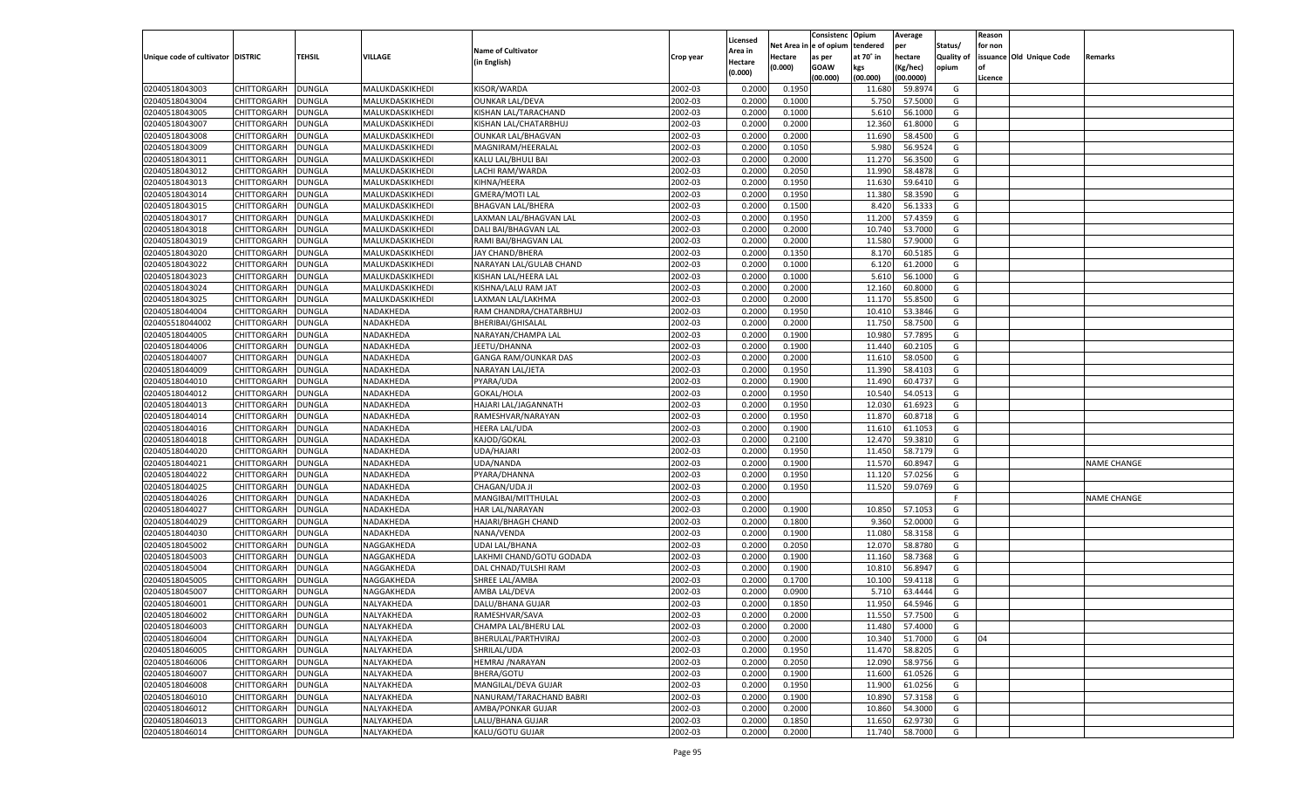|                                   |                    |               |                 |                           |           |                     |            | Consistenc    | Opium     | Average        |            | Reason  |                          |                    |
|-----------------------------------|--------------------|---------------|-----------------|---------------------------|-----------|---------------------|------------|---------------|-----------|----------------|------------|---------|--------------------------|--------------------|
|                                   |                    |               |                 | <b>Name of Cultivator</b> |           | Licensed<br>Area in | Net Area i | n  e of opium | tendered  | per            | Status/    | for non |                          |                    |
| Unique code of cultivator DISTRIC |                    | TEHSIL        | VILLAGE         | (in English)              | Crop year | Hectare             | Hectare    | as per        | at 70° in | hectare        | Quality of |         | issuance Old Unique Code | Remarks            |
|                                   |                    |               |                 |                           |           | (0.000)             | (0.000)    | <b>GOAW</b>   | kgs       | (Kg/hec)       | opium      |         |                          |                    |
|                                   |                    |               |                 |                           |           |                     |            | (00.000)      | (00.000)  | (00.0000)      |            | Licence |                          |                    |
| 02040518043003                    | CHITTORGARH        | DUNGLA        | MALUKDASKIKHEDI | KISOR/WARDA               | 2002-03   | 0.2000              | 0.1950     |               | 11.680    | 59.8974        | G          |         |                          |                    |
| 02040518043004                    | CHITTORGARH        | DUNGLA        | MALUKDASKIKHEDI | <b>OUNKAR LAL/DEVA</b>    | 2002-03   | 0.2000              | 0.1000     |               | 5.750     | 57.5000        | G          |         |                          |                    |
| 02040518043005                    | CHITTORGARH        | DUNGLA        | MALUKDASKIKHEDI | KISHAN LAL/TARACHAND      | 2002-03   | 0.2000              | 0.1000     |               | 5.610     | 56.1000        | G          |         |                          |                    |
| 02040518043007                    | CHITTORGARH        | DUNGLA        | MALUKDASKIKHEDI | KISHAN LAL/CHATARBHUJ     | 2002-03   | 0.2000              | 0.2000     |               | 12.360    | 61.8000        | G          |         |                          |                    |
| 02040518043008                    | CHITTORGARH        | DUNGLA        | MALUKDASKIKHEDI | <b>OUNKAR LAL/BHAGVAN</b> | 2002-03   | 0.2000              | 0.2000     |               | 11.690    | 58.4500        | G          |         |                          |                    |
| 02040518043009                    | CHITTORGARH        | DUNGLA        | MALUKDASKIKHEDI | MAGNIRAM/HEERALAL         | 2002-03   | 0.2000              | 0.1050     |               | 5.980     | 56.9524        | G          |         |                          |                    |
| 02040518043011                    | CHITTORGARH        | DUNGLA        | MALUKDASKIKHEDI | KALU LAL/BHULI BAI        | 2002-03   | 0.2000              | 0.2000     |               | 11.270    | 56.3500        | G          |         |                          |                    |
| 02040518043012                    | CHITTORGARH        | DUNGLA        | MALUKDASKIKHEDI | LACHI RAM/WARDA           | 2002-03   | 0.2000              | 0.2050     |               | 11.990    | 58.4878        | G          |         |                          |                    |
| 02040518043013                    | CHITTORGARH        | DUNGLA        | MALUKDASKIKHEDI | KIHNA/HEERA               | 2002-03   | 0.2000              | 0.1950     |               | 11.630    | 59.6410        | G          |         |                          |                    |
| 02040518043014                    | CHITTORGARH        | DUNGLA        | MALUKDASKIKHEDI | <b>GMERA/MOTI LAL</b>     | 2002-03   | 0.2000              | 0.1950     |               | 11.380    | 58.3590        | G          |         |                          |                    |
| 02040518043015                    | CHITTORGARH        | DUNGLA        | MALUKDASKIKHEDI | <b>BHAGVAN LAL/BHERA</b>  | 2002-03   | 0.2000              | 0.1500     |               | 8.420     | 56.1333        | G          |         |                          |                    |
| 02040518043017                    | CHITTORGARH        | DUNGLA        | MALUKDASKIKHEDI | LAXMAN LAL/BHAGVAN LAL    | 2002-03   | 0.2000              | 0.1950     |               | 11.200    | 57.4359        | G          |         |                          |                    |
| 02040518043018                    | CHITTORGARH        | DUNGLA        | MALUKDASKIKHEDI | DALI BAI/BHAGVAN LAL      | 2002-03   | 0.2000              | 0.2000     |               | 10.74     | 53.7000        | G          |         |                          |                    |
| 02040518043019                    | CHITTORGARH        | DUNGLA        | MALUKDASKIKHEDI | RAMI BAI/BHAGVAN LAL      | 2002-03   | 0.2000              | 0.2000     |               | 11.580    | 57.9000        | G          |         |                          |                    |
| 02040518043020                    | CHITTORGARH        | DUNGLA        | MALUKDASKIKHEDI | JAY CHAND/BHERA           | 2002-03   | 0.2000              | 0.1350     |               | 8.170     | 60.5185        | G          |         |                          |                    |
| 02040518043022                    | CHITTORGARH        | DUNGLA        | MALUKDASKIKHEDI | NARAYAN LAL/GULAB CHAND   | 2002-03   | 0.2000              | 0.1000     |               | 6.120     | 61.2000        | G          |         |                          |                    |
| 02040518043023                    | CHITTORGARH        | DUNGLA        | MALUKDASKIKHEDI | KISHAN LAL/HEERA LAL      | 2002-03   | 0.2000              | 0.1000     |               | 5.610     | 56.1000        | G          |         |                          |                    |
| 02040518043024                    | CHITTORGARH        | DUNGLA        | MALUKDASKIKHEDI | KISHNA/LALU RAM JAT       | 2002-03   | 0.2000              | 0.2000     |               | 12.160    | 60.8000        | G          |         |                          |                    |
| 02040518043025                    | CHITTORGARH        | DUNGLA        | MALUKDASKIKHEDI | LAXMAN LAL/LAKHMA         | 2002-03   | 0.2000              | 0.2000     |               | 11.170    | 55.8500        | G          |         |                          |                    |
| 02040518044004                    | CHITTORGARH        | DUNGLA        | NADAKHEDA       | RAM CHANDRA/CHATARBHUJ    | 2002-03   | 0.2000              | 0.1950     |               | 10.410    | 53.3846        | G          |         |                          |                    |
| 020405518044002                   | CHITTORGARH        | DUNGLA        | NADAKHEDA       | BHERIBAI/GHISALAL         | 2002-03   | 0.2000              | 0.2000     |               | 11.750    | 58.7500        | G          |         |                          |                    |
| 02040518044005                    | CHITTORGARH        | DUNGLA        | NADAKHEDA       | NARAYAN/CHAMPA LAL        | 2002-03   | 0.2000              | 0.1900     |               | 10.980    | 57.7895        | G          |         |                          |                    |
| 02040518044006                    | CHITTORGARH        | DUNGLA        | NADAKHEDA       | JEETU/DHANNA              | 2002-03   | 0.2000              | 0.1900     |               | 11.440    | 60.2105        | G          |         |                          |                    |
| 02040518044007                    | CHITTORGARH        | DUNGLA        | NADAKHEDA       | GANGA RAM/OUNKAR DAS      | 2002-03   | 0.2000              | 0.2000     |               | 11.610    | 58.0500        | G          |         |                          |                    |
| 02040518044009                    | CHITTORGARH        | DUNGLA        | NADAKHEDA       | NARAYAN LAL/JETA          | 2002-03   | 0.2000              | 0.1950     |               | 11.390    | 58.4103        | G          |         |                          |                    |
| 02040518044010                    | CHITTORGARH        | DUNGLA        | NADAKHEDA       | PYARA/UDA                 | 2002-03   | 0.2000              | 0.1900     |               | 11.490    | 60.4737        | G          |         |                          |                    |
| 02040518044012                    | CHITTORGARH        | DUNGLA        | NADAKHEDA       | GOKAL/HOLA                | 2002-03   | 0.2000              | 0.1950     |               | 10.540    | 54.0513        | G          |         |                          |                    |
| 02040518044013                    | CHITTORGARH        | DUNGLA        | NADAKHEDA       | HAJARI LAL/JAGANNATH      | 2002-03   | 0.2000              | 0.1950     |               | 12.030    | 61.6923        | G          |         |                          |                    |
| 02040518044014                    | CHITTORGARH        | DUNGLA        | NADAKHEDA       | RAMESHVAR/NARAYAN         | 2002-03   | 0.2000              | 0.1950     |               | 11.870    | 60.8718        | G          |         |                          |                    |
| 02040518044016                    | CHITTORGARH        | DUNGLA        | NADAKHEDA       | <b>HEERA LAL/UDA</b>      | 2002-03   | 0.2000              | 0.1900     |               | 11.610    | 61.1053        | G          |         |                          |                    |
| 02040518044018                    | CHITTORGARH        | DUNGLA        | NADAKHEDA       | KAJOD/GOKAL               | 2002-03   | 0.2000              | 0.2100     |               | 12.470    | 59.3810        | G          |         |                          |                    |
| 02040518044020                    | CHITTORGARH        | DUNGLA        | NADAKHEDA       | UDA/HAJARI                | 2002-03   | 0.2000              | 0.1950     |               | 11.450    | 58.7179        | G          |         |                          |                    |
| 02040518044021                    | CHITTORGARH        | DUNGLA        | NADAKHEDA       | UDA/NANDA                 | 2002-03   | 0.2000              | 0.1900     |               | 11.570    | 60.8947        | G          |         |                          | <b>NAME CHANGE</b> |
| 02040518044022                    | CHITTORGARH        | DUNGLA        | NADAKHEDA       | PYARA/DHANNA              | 2002-03   | 0.2000              | 0.1950     |               | 11.120    | 57.0256        | G          |         |                          |                    |
| 02040518044025                    | CHITTORGARH        | DUNGLA        | NADAKHEDA       | CHAGAN/UDA JI             | 2002-03   | 0.2000              | 0.1950     |               | 11.520    | 59.0769        | G          |         |                          |                    |
| 02040518044026                    | CHITTORGARH        | DUNGLA        | NADAKHEDA       | MANGIBAI/MITTHULAL        | 2002-03   | 0.2000              |            |               |           |                | F          |         |                          | <b>NAME CHANGE</b> |
| 02040518044027                    | CHITTORGARH        | DUNGLA        | NADAKHEDA       | HAR LAL/NARAYAN           | 2002-03   | 0.2000              | 0.1900     |               | 10.850    | 57.105         | G          |         |                          |                    |
| 02040518044029                    | CHITTORGARH        | DUNGLA        | NADAKHEDA       | <b>HAJARI/BHAGH CHAND</b> | 2002-03   | 0.2000              | 0.1800     |               | 9.360     | 52.0000        | G          |         |                          |                    |
| 02040518044030                    | CHITTORGARH        | DUNGLA        | NADAKHEDA       | NANA/VENDA                | 2002-03   | 0.2000              | 0.1900     |               | 11.080    | 58.3158        | G          |         |                          |                    |
| 02040518045002                    | CHITTORGARH        | DUNGLA        | NAGGAKHEDA      | <b>UDAI LAL/BHANA</b>     | 2002-03   | 0.2000              | 0.2050     |               | 12.070    | 58.8780        | G          |         |                          |                    |
| 02040518045003                    | CHITTORGARH        | DUNGLA        | NAGGAKHEDA      | LAKHMI CHAND/GOTU GODADA  | 2002-03   | 0.2000              | 0.1900     |               | 11.160    | 58.7368        | G          |         |                          |                    |
| 02040518045004                    | CHITTORGARH        | DUNGLA        | NAGGAKHEDA      | DAL CHNAD/TULSHI RAM      | 2002-03   | 0.2000              | 0.1900     |               | 10.810    | 56.8947        | G          |         |                          |                    |
| 02040518045005                    | CHITTORGARH        | DUNGLA        | NAGGAKHEDA      | SHREE LAL/AMBA            | 2002-03   | 0.2000              | 0.1700     |               | 10.100    | 59.4118        | G          |         |                          |                    |
| 02040518045007                    | CHITTORGARH        | DUNGLA        | NAGGAKHEDA      | AMBA LAL/DEVA             | 2002-03   | 0.2000              | 0.0900     |               | 5.710     | 63.4444        | G          |         |                          |                    |
| 02040518046001                    | CHITTORGARH        | <b>DUNGLA</b> | NALYAKHEDA      | DALU/BHANA GUJAR          | 2002-03   | 0.2000              | 0.1850     |               | 11.950    | 64.5946        | G          |         |                          |                    |
| 02040518046002                    | CHITTORGARH        | <b>DUNGLA</b> | NALYAKHEDA      | RAMESHVAR/SAVA            | 2002-03   | 0.2000              | 0.2000     |               |           | 11.550 57.7500 | G          |         |                          |                    |
| 02040518046003                    | <b>CHITTORGARH</b> | <b>DUNGLA</b> | NALYAKHEDA      | CHAMPA LAL/BHERU LAL      | 2002-03   | 0.2000              | 0.2000     |               | 11.480    | 57.4000        | G          |         |                          |                    |
| 02040518046004                    | <b>CHITTORGARH</b> | <b>DUNGLA</b> | NALYAKHEDA      | BHERULAL/PARTHVIRAJ       | 2002-03   | 0.2000              | 0.2000     |               | 10.340    | 51.7000        | G          | 04      |                          |                    |
| 02040518046005                    | CHITTORGARH        | <b>DUNGLA</b> | NALYAKHEDA      | SHRILAL/UDA               | 2002-03   | 0.2000              | 0.1950     |               | 11.470    | 58.8205        | G          |         |                          |                    |
| 02040518046006                    | <b>CHITTORGARH</b> | <b>DUNGLA</b> | NALYAKHEDA      | <b>HEMRAJ /NARAYAN</b>    | 2002-03   | 0.2000              | 0.2050     |               | 12.090    | 58.9756        | G          |         |                          |                    |
| 02040518046007                    | <b>CHITTORGARH</b> | <b>DUNGLA</b> | NALYAKHEDA      | BHERA/GOTU                | 2002-03   | 0.2000              | 0.1900     |               | 11.600    | 61.0526        | G          |         |                          |                    |
| 02040518046008                    | CHITTORGARH        | <b>DUNGLA</b> | NALYAKHEDA      | MANGILAL/DEVA GUJAR       | 2002-03   | 0.2000              | 0.1950     |               | 11.900    | 61.0256        | G          |         |                          |                    |
| 02040518046010                    | CHITTORGARH        | <b>DUNGLA</b> | NALYAKHEDA      | NANURAM/TARACHAND BABRI   | 2002-03   | 0.2000              | 0.1900     |               |           | 57.3158        | G          |         |                          |                    |
|                                   | CHITTORGARH        |               |                 |                           |           |                     |            |               | 10.890    |                |            |         |                          |                    |
| 02040518046012                    |                    | <b>DUNGLA</b> | NALYAKHEDA      | AMBA/PONKAR GUJAR         | 2002-03   | 0.2000              | 0.2000     |               | 10.860    | 54.3000        | G          |         |                          |                    |
| 02040518046013                    | <b>CHITTORGARH</b> | <b>DUNGLA</b> | NALYAKHEDA      | LALU/BHANA GUJAR          | 2002-03   | 0.2000              | 0.1850     |               | 11.650    | 62.9730        | G          |         |                          |                    |
| 02040518046014                    | <b>CHITTORGARH</b> | <b>DUNGLA</b> | NALYAKHEDA      | KALU/GOTU GUJAR           | 2002-03   | 0.2000              | 0.2000     |               | 11.740    | 58.7000        | G          |         |                          |                    |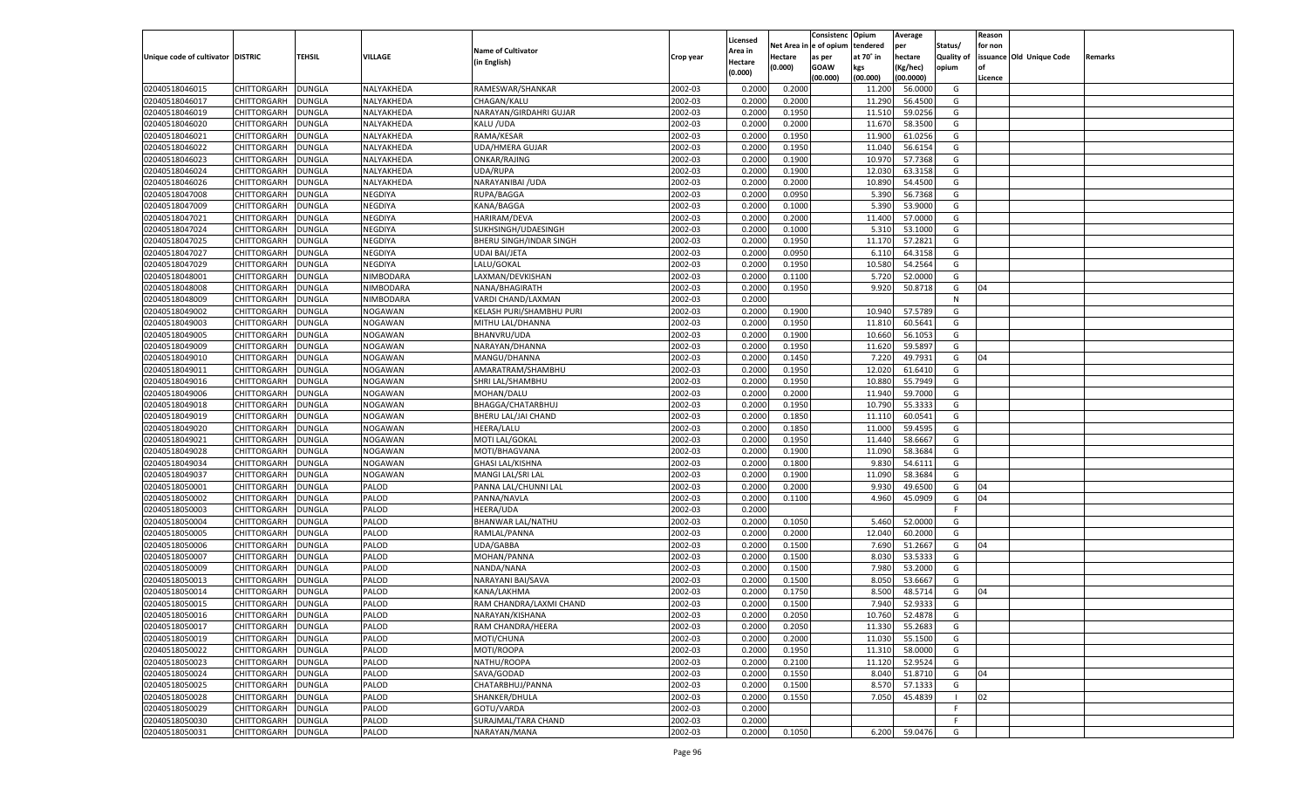|                                   |                                   |               |                |                                       |           |          |          | Consistenc Opium |           | Average       |                   | Reason    |                          |         |
|-----------------------------------|-----------------------------------|---------------|----------------|---------------------------------------|-----------|----------|----------|------------------|-----------|---------------|-------------------|-----------|--------------------------|---------|
|                                   |                                   |               |                |                                       |           | Licensed | Net Area | e of opium       | tendered  | per           | Status/           | for non   |                          |         |
| Unique code of cultivator DISTRIC |                                   | TEHSIL        | VILLAGE        | <b>Name of Cultivator</b>             | Crop year | Area in  | Hectare  | as per           | at 70° in | hectare       | <b>Quality of</b> |           | issuance Old Unique Code | Remarks |
|                                   |                                   |               |                | (in English)                          |           | Hectare  | (0.000)  | <b>GOAW</b>      | kgs       | (Kg/hec)      | opium             | <b>of</b> |                          |         |
|                                   |                                   |               |                |                                       |           | (0.000)  |          | (00.000)         | (00.000)  | (00.0000)     |                   | Licence   |                          |         |
| 02040518046015                    | CHITTORGARH                       | <b>DUNGLA</b> | NALYAKHEDA     | RAMESWAR/SHANKAR                      | 2002-03   | 0.2000   | 0.2000   |                  | 11.200    | 56.0000       | G                 |           |                          |         |
| 02040518046017                    | CHITTORGARH                       | <b>DUNGLA</b> | NALYAKHEDA     | CHAGAN/KALU                           | 2002-03   | 0.2000   | 0.2000   |                  | 11.290    | 56.4500       | G                 |           |                          |         |
| 02040518046019                    | <b>CHITTORGARH</b>                | <b>DUNGLA</b> | NALYAKHEDA     | NARAYAN/GIRDAHRI GUJAR                | 2002-03   | 0.2000   | 0.1950   |                  | 11.510    | 59.0256       | G                 |           |                          |         |
| 02040518046020                    | CHITTORGARH                       | DUNGLA        | NALYAKHEDA     | KALU / UDA                            | 2002-03   | 0.2000   | 0.2000   |                  | 11.670    | 58.3500       | G                 |           |                          |         |
| 02040518046021                    | CHITTORGARH                       | <b>DUNGLA</b> | NALYAKHEDA     | RAMA/KESAR                            | 2002-03   | 0.2000   | 0.1950   |                  | 11.900    | 61.0256       | G                 |           |                          |         |
| 02040518046022                    | CHITTORGARH                       | DUNGLA        | NALYAKHEDA     | <b>UDA/HMERA GUJAR</b>                | 2002-03   | 0.2000   | 0.1950   |                  | 11.04     | 56.6154       | G                 |           |                          |         |
| 02040518046023                    | CHITTORGARH                       | <b>DUNGLA</b> | NALYAKHEDA     | ONKAR/RAJING                          | 2002-03   | 0.2000   | 0.1900   |                  | 10.97     | 57.7368       | G                 |           |                          |         |
| 02040518046024                    | CHITTORGARH                       | DUNGLA        | NALYAKHEDA     | UDA/RUPA                              | 2002-03   | 0.2000   | 0.1900   |                  | 12.030    | 63.3158       | G                 |           |                          |         |
| 02040518046026                    | CHITTORGARH                       | <b>DUNGLA</b> | NALYAKHEDA     | NARAYANIBAI / UDA                     | 2002-03   | 0.2000   | 0.2000   |                  | 10.89     | 54.4500       | G                 |           |                          |         |
| 02040518047008                    | CHITTORGARH                       | <b>DUNGLA</b> | NEGDIYA        | RUPA/BAGGA                            | 2002-03   | 0.2000   | 0.0950   |                  | 5.390     | 56.7368       | G                 |           |                          |         |
| 02040518047009                    | CHITTORGARH                       | <b>DUNGLA</b> | NEGDIYA        | KANA/BAGGA                            | 2002-03   | 0.2000   | 0.1000   |                  | 5.390     | 53.9000       | G                 |           |                          |         |
| 02040518047021                    | CHITTORGARH                       | DUNGLA        | NEGDIYA        | HARIRAM/DEVA                          | 2002-03   | 0.2000   | 0.2000   |                  | 11.400    | 57.0000       | G                 |           |                          |         |
| 02040518047024                    | CHITTORGARH                       | <b>DUNGLA</b> | NEGDIYA        | SUKHSINGH/UDAESINGH                   | 2002-03   | 0.2000   | 0.1000   |                  | 5.31      | 53.1000       | G                 |           |                          |         |
| 02040518047025                    | CHITTORGARH                       | DUNGLA        | NEGDIYA        | BHERU SINGH/INDAR SINGH               | 2002-03   | 0.2000   | 0.1950   |                  | 11.170    | 57.2821       | G                 |           |                          |         |
| 02040518047027                    | <b>CHITTORGARH</b>                | <b>DUNGLA</b> | NEGDIYA        | <b>UDAI BAI/JETA</b>                  | 2002-03   | 0.2000   | 0.0950   |                  | 6.110     | 64.3158       | G                 |           |                          |         |
| 02040518047029                    | CHITTORGARH                       | <b>DUNGLA</b> | NEGDIYA        | LALU/GOKAL                            | 2002-03   | 0.2000   | 0.1950   |                  | 10.580    | 54.2564       | G                 |           |                          |         |
| 02040518048001                    | <b>CHITTORGARH</b>                | <b>DUNGLA</b> | NIMBODARA      | LAXMAN/DEVKISHAN                      | 2002-03   | 0.2000   | 0.1100   |                  | 5.720     | 52.0000       | G                 |           |                          |         |
| 02040518048008                    | CHITTORGARH                       | DUNGLA        | NIMBODARA      | NANA/BHAGIRATH                        | 2002-03   | 0.2000   | 0.1950   |                  | 9.920     | 50.8718       | G                 | 04        |                          |         |
| 02040518048009                    | <b>CHITTORGARH</b>                | <b>DUNGLA</b> | NIMBODARA      | VARDI CHAND/LAXMAN                    | 2002-03   | 0.2000   |          |                  |           |               | N                 |           |                          |         |
| 02040518049002                    | CHITTORGARH                       | <b>DUNGLA</b> | NOGAWAN        | KELASH PURI/SHAMBHU PURI              | 2002-03   | 0.2000   | 0.1900   |                  | 10.940    | 57.5789       | G                 |           |                          |         |
| 02040518049003                    | <b>CHITTORGARH</b>                | <b>DUNGLA</b> | NOGAWAN        | MITHU LAL/DHANNA                      | 2002-03   | 0.2000   | 0.1950   |                  | 11.810    | 60.5641       | G                 |           |                          |         |
| 02040518049005                    | CHITTORGARH                       | DUNGLA        | NOGAWAN        | <b>BHANVRU/UDA</b>                    | 2002-03   | 0.2000   | 0.1900   |                  | 10.660    | 56.1053       | G                 |           |                          |         |
| 02040518049009                    | <b>CHITTORGARH</b>                | <b>DUNGLA</b> | NOGAWAN        | NARAYAN/DHANNA                        | 2002-03   | 0.2000   | 0.1950   |                  | 11.620    | 59.5897       | G                 |           |                          |         |
| 02040518049010                    |                                   | <b>DUNGLA</b> | NOGAWAN        | MANGU/DHANNA                          | 2002-03   | 0.2000   | 0.1450   |                  | 7.220     | 49.7931       | G                 | 04        |                          |         |
|                                   | CHITTORGARH<br><b>CHITTORGARH</b> |               | NOGAWAN        |                                       | 2002-03   | 0.2000   | 0.1950   |                  | 12.020    | 61.6410       | G                 |           |                          |         |
| 02040518049011                    | CHITTORGARH                       | <b>DUNGLA</b> |                | AMARATRAM/SHAMBHU<br>SHRI LAL/SHAMBHU | 2002-03   |          |          |                  |           | 55.7949       | G                 |           |                          |         |
| 02040518049016                    |                                   | DUNGLA        | NOGAWAN        |                                       |           | 0.2000   | 0.1950   |                  | 10.880    |               |                   |           |                          |         |
| 02040518049006                    | <b>CHITTORGARH</b>                | <b>DUNGLA</b> | NOGAWAN        | MOHAN/DALU                            | 2002-03   | 0.2000   | 0.2000   |                  | 11.940    | 59.7000       | G                 |           |                          |         |
| 02040518049018                    | CHITTORGARH                       | <b>DUNGLA</b> | NOGAWAN        | BHAGGA/CHATARBHUJ                     | 2002-03   | 0.2000   | 0.1950   |                  | 10.790    | 55.3333       | G                 |           |                          |         |
| 02040518049019                    | <b>CHITTORGARH</b>                | <b>DUNGLA</b> | NOGAWAN        | BHERU LAL/JAI CHAND                   | 2002-03   | 0.2000   | 0.1850   |                  | 11.110    | 60.0541       | G                 |           |                          |         |
| 02040518049020                    | CHITTORGARH                       | DUNGLA        | NOGAWAN        | HEERA/LALU                            | 2002-03   | 0.2000   | 0.1850   |                  | 11.000    | 59.4595       | G                 |           |                          |         |
| 02040518049021                    | CHITTORGARH                       | DUNGLA        | <b>NOGAWAN</b> | MOTI LAL/GOKAL                        | 2002-03   | 0.2000   | 0.1950   |                  | 11.44     | 58.6667       | G                 |           |                          |         |
| 02040518049028                    | CHITTORGARH                       | DUNGLA        | <b>NOGAWAN</b> | MOTI/BHAGVANA                         | 2002-03   | 0.2000   | 0.1900   |                  | 11.09     | 58.3684       | G                 |           |                          |         |
| 02040518049034                    | CHITTORGARH                       | DUNGLA        | NOGAWAN        | <b>GHASI LAL/KISHNA</b>               | 2002-03   | 0.2000   | 0.1800   |                  | 9.83      | 54.6111       | G                 |           |                          |         |
| 02040518049037                    | CHITTORGARH                       | DUNGLA        | NOGAWAN        | MANGI LAL/SRI LAL                     | 2002-03   | 0.2000   | 0.1900   |                  | 11.09     | 58.3684       | G                 |           |                          |         |
| 02040518050001                    | CHITTORGARH                       | DUNGLA        | PALOD          | PANNA LAL/CHUNNI LAL                  | 2002-03   | 0.2000   | 0.2000   |                  | 9.93      | 49.6500       | G                 | 04        |                          |         |
| 02040518050002                    | CHITTORGARH                       | DUNGLA        | PALOD          | PANNA/NAVLA                           | 2002-03   | 0.2000   | 0.1100   |                  | 4.960     | 45.0909       | G                 | 04        |                          |         |
| 02040518050003                    | <b>CHITTORGARH</b>                | DUNGLA        | PALOD          | HEERA/UDA                             | 2002-03   | 0.2000   |          |                  |           |               | F                 |           |                          |         |
| 02040518050004                    | CHITTORGARH                       | DUNGLA        | PALOD          | BHANWAR LAL/NATHU                     | 2002-03   | 0.2000   | 0.1050   |                  | 5.460     | 52.0000       | G                 |           |                          |         |
| 02040518050005                    | CHITTORGARH                       | DUNGLA        | PALOD          | RAMLAL/PANNA                          | 2002-03   | 0.2000   | 0.2000   |                  | 12.040    | 60.2000       | G                 |           |                          |         |
| 02040518050006                    | CHITTORGARH                       | DUNGLA        | PALOD          | UDA/GABBA                             | 2002-03   | 0.2000   | 0.1500   |                  | 7.690     | 51.2667       | G                 | 04        |                          |         |
| 02040518050007                    | CHITTORGARH                       | DUNGLA        | PALOD          | MOHAN/PANNA                           | 2002-03   | 0.2000   | 0.1500   |                  | 8.03      | 53.5333       | G                 |           |                          |         |
| 02040518050009                    | CHITTORGARH                       | DUNGLA        | PALOD          | NANDA/NANA                            | 2002-03   | 0.2000   | 0.1500   |                  | 7.980     | 53.2000       | G                 |           |                          |         |
| 02040518050013                    | CHITTORGARH                       | DUNGLA        | PALOD          | NARAYANI BAI/SAVA                     | 2002-03   | 0.2000   | 0.1500   |                  | 8.050     | 53.6667       | G                 |           |                          |         |
| 02040518050014                    | CHITTORGARH                       | DUNGLA        | PALOD          | KANA/LAKHMA                           | 2002-03   | 0.2000   | 0.1750   |                  | 8.500     | 48.5714       | G                 | 04        |                          |         |
| 02040518050015                    | CHITTORGARH                       | <b>DUNGLA</b> | PALOD          | RAM CHANDRA/LAXMI CHAND               | 2002-03   | 0.2000   | 0.1500   |                  | 7.940     | 52.9333       | G                 |           |                          |         |
| 02040518050016                    | CHITTORGARH   DUNGLA              |               | PALOD          | NARAYAN/KISHANA                       | 2002-03   | 0.2000   | 0.2050   |                  | 10.760    | 52.4878       | G                 |           |                          |         |
| 02040518050017                    | <b>CHITTORGARH</b>                | <b>DUNGLA</b> | PALOD          | RAM CHANDRA/HEERA                     | 2002-03   | 0.2000   | 0.2050   |                  | 11.330    | 55.2683       | G                 |           |                          |         |
| 02040518050019                    | <b>CHITTORGARH</b>                | <b>DUNGLA</b> | PALOD          | MOTI/CHUNA                            | 2002-03   | 0.2000   | 0.2000   |                  | 11.030    | 55.1500       | G                 |           |                          |         |
| 02040518050022                    | <b>CHITTORGARH</b>                | <b>DUNGLA</b> | PALOD          | MOTI/ROOPA                            | 2002-03   | 0.2000   | 0.1950   |                  | 11.310    | 58.0000       | G                 |           |                          |         |
| 02040518050023                    | <b>CHITTORGARH</b>                | <b>DUNGLA</b> | PALOD          | NATHU/ROOPA                           | 2002-03   | 0.2000   | 0.2100   |                  | 11.120    | 52.9524       | G                 |           |                          |         |
| 02040518050024                    | <b>CHITTORGARH</b>                | <b>DUNGLA</b> | PALOD          | SAVA/GODAD                            | 2002-03   | 0.2000   | 0.1550   |                  | 8.040     | 51.8710       | G                 | 04        |                          |         |
| 02040518050025                    | <b>CHITTORGARH</b>                | <b>DUNGLA</b> | PALOD          | CHATARBHUJ/PANNA                      | 2002-03   | 0.2000   | 0.1500   |                  | 8.570     | 57.1333       | G                 |           |                          |         |
| 02040518050028                    | <b>CHITTORGARH</b>                | <b>DUNGLA</b> | PALOD          | SHANKER/DHULA                         | 2002-03   | 0.2000   | 0.1550   |                  | 7.050     | 45.4839       | $\blacksquare$    | 02        |                          |         |
| 02040518050029                    | <b>CHITTORGARH</b>                | <b>DUNGLA</b> | PALOD          | GOTU/VARDA                            | 2002-03   | 0.2000   |          |                  |           |               | F                 |           |                          |         |
| 02040518050030                    | <b>CHITTORGARH</b>                | <b>DUNGLA</b> | PALOD          | SURAJMAL/TARA CHAND                   | 2002-03   | 0.2000   |          |                  |           |               | F                 |           |                          |         |
| 02040518050031                    | <b>CHITTORGARH</b>                | <b>DUNGLA</b> | PALOD          | NARAYAN/MANA                          | 2002-03   | 0.2000   | 0.1050   |                  |           | 6.200 59.0476 | G                 |           |                          |         |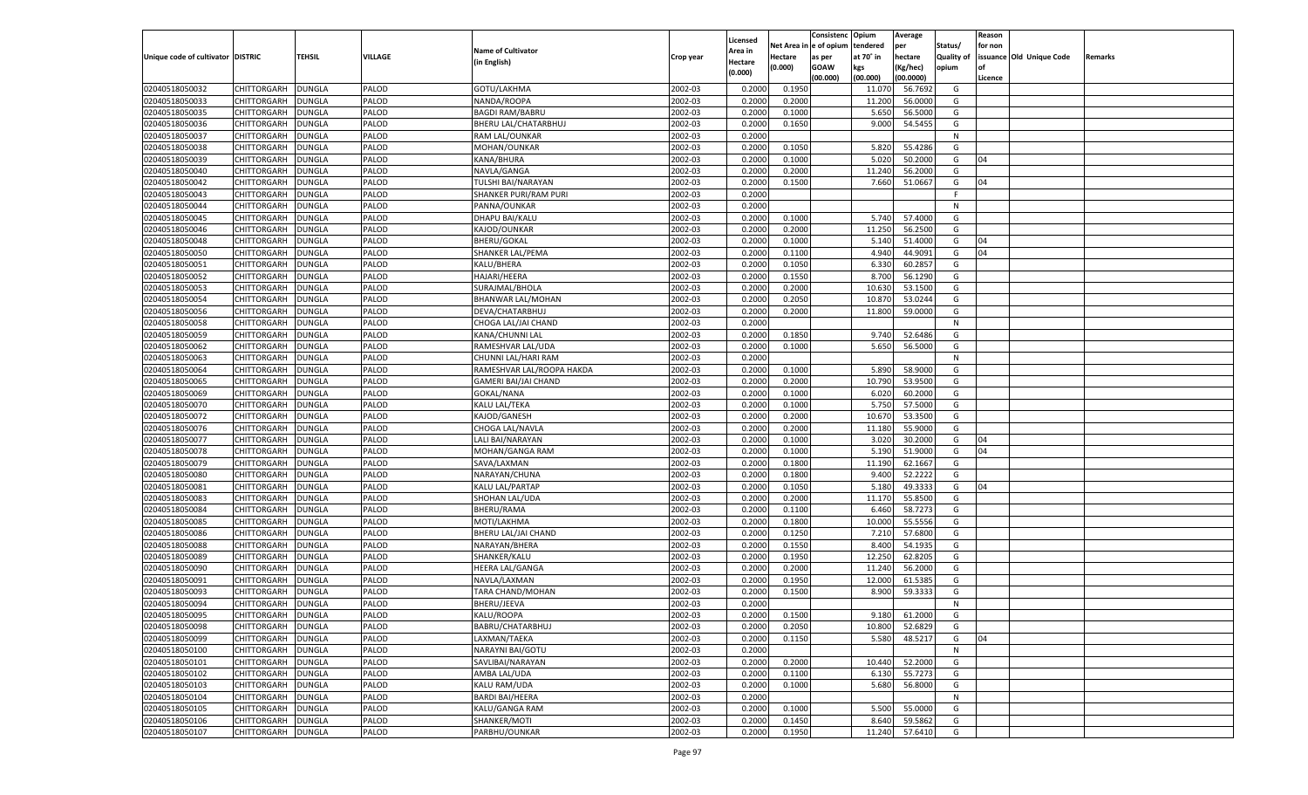|                                   |                      |               |         |                             |           |                           |          | Consistenc  | Opium     | Average   |                   | Reason  |                          |         |
|-----------------------------------|----------------------|---------------|---------|-----------------------------|-----------|---------------------------|----------|-------------|-----------|-----------|-------------------|---------|--------------------------|---------|
|                                   |                      |               |         | <b>Name of Cultivator</b>   |           | Licensed                  | Net Area | le of opium | tendered  | per       | Status/           | for non |                          |         |
| Unique code of cultivator DISTRIC |                      | <b>TEHSIL</b> | VILLAGE | (in English)                | Crop year | <b>Area in</b><br>Hectare | Hectare  | as per      | at 70° in | hectare   | <b>Quality of</b> |         | issuance Old Unique Code | Remarks |
|                                   |                      |               |         |                             |           | (0.000)                   | (0.000)  | <b>GOAW</b> | kgs       | (Kg/hec)  | opium             |         |                          |         |
|                                   |                      |               |         |                             |           |                           |          | (00.000)    | (00.000)  | (00.0000) |                   | Licence |                          |         |
| 02040518050032                    | CHITTORGARH          | <b>DUNGLA</b> | PALOD   | GOTU/LAKHMA                 | 2002-03   | 0.2000                    | 0.1950   |             | 11.07     | 56.7692   | G                 |         |                          |         |
| 02040518050033                    | CHITTORGARH          | DUNGLA        | PALOD   | NANDA/ROOPA                 | 2002-03   | 0.2000                    | 0.2000   |             | 11.200    | 56.0000   | G                 |         |                          |         |
| 02040518050035                    | CHITTORGARH          | DUNGLA        | PALOD   | <b>BAGDI RAM/BABRU</b>      | 2002-03   | 0.2000                    | 0.1000   |             | 5.650     | 56.5000   | G                 |         |                          |         |
| 02040518050036                    | CHITTORGARH          | DUNGLA        | PALOD   | BHERU LAL/CHATARBHUJ        | 2002-03   | 0.2000                    | 0.1650   |             | 9.000     | 54.5455   | G                 |         |                          |         |
| 02040518050037                    | CHITTORGARH          | DUNGLA        | PALOD   | RAM LAL/OUNKAR              | 2002-03   | 0.2000                    |          |             |           |           | N                 |         |                          |         |
| 02040518050038                    | CHITTORGARH          | DUNGLA        | PALOD   | MOHAN/OUNKAR                | 2002-03   | 0.2000                    | 0.1050   |             | 5.820     | 55.4286   | G                 |         |                          |         |
| 02040518050039                    | CHITTORGARH          | DUNGLA        | PALOD   | KANA/BHURA                  | 2002-03   | 0.2000                    | 0.1000   |             | 5.020     | 50.2000   | G                 | 04      |                          |         |
| 02040518050040                    | CHITTORGARH          | DUNGLA        | PALOD   | NAVLA/GANGA                 | 2002-03   | 0.2000                    | 0.2000   |             | 11.240    | 56.2000   | G                 |         |                          |         |
| 02040518050042                    | CHITTORGARH          | DUNGLA        | PALOD   | TULSHI BAI/NARAYAN          | 2002-03   | 0.2000                    | 0.1500   |             | 7.660     | 51.0667   | G                 | 04      |                          |         |
| 02040518050043                    | CHITTORGARH          | DUNGLA        | PALOD   | SHANKER PURI/RAM PURI       | 2002-03   | 0.2000                    |          |             |           |           | F.                |         |                          |         |
| 02040518050044                    | CHITTORGARH          | DUNGLA        | PALOD   | PANNA/OUNKAR                | 2002-03   | 0.2000                    |          |             |           |           | N                 |         |                          |         |
| 02040518050045                    | CHITTORGARH          | DUNGLA        | PALOD   | DHAPU BAI/KALU              | 2002-03   | 0.2000                    | 0.1000   |             | 5.740     | 57.4000   | G                 |         |                          |         |
| 02040518050046                    | CHITTORGARH          | DUNGLA        | PALOD   | KAJOD/OUNKAR                | 2002-03   | 0.2000                    | 0.2000   |             | 11.25     | 56.2500   | G                 |         |                          |         |
| 02040518050048                    | CHITTORGARH          | DUNGLA        | PALOD   | <b>BHERU/GOKAL</b>          | 2002-03   | 0.2000                    | 0.1000   |             | 5.140     | 51.4000   | G                 | 04      |                          |         |
| 02040518050050                    | CHITTORGARH          | DUNGLA        | PALOD   | SHANKER LAL/PEMA            | 2002-03   | 0.2000                    | 0.1100   |             | 4.940     | 44.9091   | G                 | 04      |                          |         |
| 02040518050051                    | CHITTORGARH          | DUNGLA        | PALOD   | KALU/BHERA                  | 2002-03   | 0.2000                    | 0.1050   |             | 6.330     | 60.2857   | G                 |         |                          |         |
| 02040518050052                    | CHITTORGARH          | <b>DUNGLA</b> | PALOD   | HAJARI/HEERA                | 2002-03   | 0.2000                    | 0.1550   |             | 8.700     | 56.1290   | G                 |         |                          |         |
| 02040518050053                    | CHITTORGARH          | DUNGLA        | PALOD   | SURAJMAL/BHOLA              | 2002-03   | 0.2000                    | 0.2000   |             | 10.630    | 53.1500   | G                 |         |                          |         |
| 02040518050054                    | CHITTORGARH          | <b>DUNGLA</b> | PALOD   | <b>BHANWAR LAL/MOHAN</b>    | 2002-03   | 0.2000                    | 0.2050   |             | 10.870    | 53.0244   | G                 |         |                          |         |
| 02040518050056                    | CHITTORGARH          | DUNGLA        | PALOD   | DEVA/CHATARBHUJ             | 2002-03   | 0.2000                    | 0.2000   |             | 11.800    | 59.0000   | G                 |         |                          |         |
| 02040518050058                    | CHITTORGARH          | DUNGLA        | PALOD   | CHOGA LAL/JAI CHAND         | 2002-03   | 0.2000                    |          |             |           |           | N                 |         |                          |         |
| 02040518050059                    | CHITTORGARH          | DUNGLA        | PALOD   | KANA/CHUNNI LAL             | 2002-03   | 0.2000                    | 0.1850   |             | 9.740     | 52.6486   | G                 |         |                          |         |
| 02040518050062                    | CHITTORGARH          | <b>DUNGLA</b> | PALOD   | RAMESHVAR LAL/UDA           | 2002-03   | 0.2000                    | 0.1000   |             | 5.650     | 56.5000   | G                 |         |                          |         |
| 02040518050063                    | CHITTORGARH          | DUNGLA        | PALOD   | CHUNNI LAL/HARI RAM         | 2002-03   | 0.2000                    |          |             |           |           | N                 |         |                          |         |
| 02040518050064                    | CHITTORGARH          | DUNGLA        | PALOD   | RAMESHVAR LAL/ROOPA HAKDA   | 2002-03   | 0.2000                    | 0.1000   |             | 5.890     | 58.9000   | G                 |         |                          |         |
| 02040518050065                    | CHITTORGARH          | DUNGLA        | PALOD   | <b>GAMERI BAI/JAI CHAND</b> | 2002-03   | 0.2000                    | 0.2000   |             | 10.790    | 53.9500   | G                 |         |                          |         |
| 02040518050069                    | CHITTORGARH          | <b>DUNGLA</b> | PALOD   | GOKAL/NANA                  | 2002-03   | 0.2000                    | 0.1000   |             | 6.020     | 60.2000   | G                 |         |                          |         |
| 02040518050070                    | CHITTORGARH          | DUNGLA        | PALOD   | KALU LAL/TEKA               | 2002-03   | 0.2000                    | 0.1000   |             | 5.750     | 57.5000   | G                 |         |                          |         |
| 02040518050072                    | CHITTORGARH          | DUNGLA        | PALOD   | KAJOD/GANESH                | 2002-03   | 0.2000                    | 0.2000   |             | 10.670    | 53.3500   | G                 |         |                          |         |
| 02040518050076                    | CHITTORGARH          | <b>DUNGLA</b> | PALOD   | CHOGA LAL/NAVLA             | 2002-03   | 0.2000                    | 0.2000   |             | 11.180    | 55.9000   | G                 |         |                          |         |
| 02040518050077                    | CHITTORGARH          | <b>DUNGLA</b> | PALOD   | LALI BAI/NARAYAN            | 2002-03   | 0.2000                    | 0.1000   |             | 3.020     | 30.2000   | G                 | 04      |                          |         |
| 02040518050078                    |                      |               | PALOD   |                             | 2002-03   | 0.2000                    | 0.1000   |             | 5.190     | 51.9000   | G                 | 04      |                          |         |
|                                   | CHITTORGARH          | DUNGLA        | PALOD   | MOHAN/GANGA RAM             |           | 0.2000                    |          |             |           | 62.1667   |                   |         |                          |         |
| 02040518050079                    | CHITTORGARH          | <b>DUNGLA</b> |         | SAVA/LAXMAN                 | 2002-03   |                           | 0.1800   |             | 11.190    |           | G                 |         |                          |         |
| 02040518050080                    | CHITTORGARH          | DUNGLA        | PALOD   | NARAYAN/CHUNA               | 2002-03   | 0.2000                    | 0.1800   |             | 9.400     | 52.2222   | G                 |         |                          |         |
| 02040518050081                    | CHITTORGARH          | <b>DUNGLA</b> | PALOD   | KALU LAL/PARTAP             | 2002-03   | 0.2000                    | 0.1050   |             | 5.180     | 49.3333   | G                 | 04      |                          |         |
| 02040518050083                    | CHITTORGARH          | DUNGLA        | PALOD   | SHOHAN LAL/UDA              | 2002-03   | 0.2000                    | 0.2000   |             | 11.170    | 55.8500   | G                 |         |                          |         |
| 02040518050084                    | CHITTORGARH          | <b>DUNGLA</b> | PALOD   | <b>BHERU/RAMA</b>           | 2002-03   | 0.2000                    | 0.1100   |             | 6.460     | 58.7273   | G                 |         |                          |         |
| 02040518050085                    | CHITTORGARH          | DUNGLA        | PALOD   | MOTI/LAKHMA                 | 2002-03   | 0.2000                    | 0.1800   |             | 10.000    | 55.5556   | G                 |         |                          |         |
| 02040518050086                    | CHITTORGARH          | <b>DUNGLA</b> | PALOD   | BHERU LAL/JAI CHAND         | 2002-03   | 0.2000                    | 0.1250   |             | 7.210     | 57.6800   | G                 |         |                          |         |
| 02040518050088                    | CHITTORGARH          | DUNGLA        | PALOD   | NARAYAN/BHERA               | 2002-03   | 0.2000                    | 0.1550   |             | 8.400     | 54.1935   | G                 |         |                          |         |
| 02040518050089                    | CHITTORGARH          | <b>DUNGLA</b> | PALOD   | SHANKER/KALU                | 2002-03   | 0.2000                    | 0.1950   |             | 12.25     | 62.8205   | G                 |         |                          |         |
| 02040518050090                    | CHITTORGARH          | DUNGLA        | PALOD   | <b>HEERA LAL/GANGA</b>      | 2002-03   | 0.2000                    | 0.2000   |             | 11.240    | 56.2000   | G                 |         |                          |         |
| 02040518050091                    | CHITTORGARH          | <b>DUNGLA</b> | PALOD   | NAVLA/LAXMAN                | 2002-03   | 0.2000                    | 0.1950   |             | 12.00     | 61.5385   | G                 |         |                          |         |
| 02040518050093                    | CHITTORGARH          | DUNGLA        | PALOD   | TARA CHAND/MOHAN            | 2002-03   | 0.2000                    | 0.1500   |             | 8.900     | 59.3333   | G                 |         |                          |         |
| 02040518050094                    | CHITTORGARH          | <b>DUNGLA</b> | PALOD   | BHERU/JEEVA                 | 2002-03   | 0.2000                    |          |             |           |           | N                 |         |                          |         |
| 02040518050095                    | CHITTORGARH   DUNGLA |               | PALOD   | KALU/ROOPA                  | 2002-03   | 0.2000                    | 0.1500   |             | 9.180     | 61.2000   | G                 |         |                          |         |
| 02040518050098                    | <b>CHITTORGARH</b>   | <b>DUNGLA</b> | PALOD   | BABRU/CHATARBHUJ            | 2002-03   | 0.2000                    | 0.2050   |             | 10.800    | 52.6829   | G                 |         |                          |         |
| 02040518050099                    | CHITTORGARH          | <b>DUNGLA</b> | PALOD   | LAXMAN/TAEKA                | 2002-03   | 0.2000                    | 0.1150   |             | 5.580     | 48.5217   | G                 | 04      |                          |         |
| 02040518050100                    | <b>CHITTORGARH</b>   | <b>DUNGLA</b> | PALOD   | NARAYNI BAI/GOTU            | 2002-03   | 0.2000                    |          |             |           |           | N                 |         |                          |         |
| 02040518050101                    | <b>CHITTORGARH</b>   | <b>DUNGLA</b> | PALOD   | SAVLIBAI/NARAYAN            | 2002-03   | 0.2000                    | 0.2000   |             | 10.440    | 52.2000   | G                 |         |                          |         |
| 02040518050102                    | <b>CHITTORGARH</b>   | <b>DUNGLA</b> | PALOD   | AMBA LAL/UDA                | 2002-03   | 0.2000                    | 0.1100   |             | 6.130     | 55.7273   | G                 |         |                          |         |
| 02040518050103                    | <b>CHITTORGARH</b>   | <b>DUNGLA</b> | PALOD   | <b>KALU RAM/UDA</b>         | 2002-03   | 0.2000                    | 0.1000   |             | 5.680     | 56.8000   | G                 |         |                          |         |
| 02040518050104                    | <b>CHITTORGARH</b>   | <b>DUNGLA</b> | PALOD   | <b>BARDI BAI/HEERA</b>      | 2002-03   | 0.2000                    |          |             |           |           | N                 |         |                          |         |
| 02040518050105                    | <b>CHITTORGARH</b>   | <b>DUNGLA</b> | PALOD   | KALU/GANGA RAM              | 2002-03   | 0.2000                    | 0.1000   |             | 5.500     | 55.0000   | G                 |         |                          |         |
| 02040518050106                    | <b>CHITTORGARH</b>   | <b>DUNGLA</b> | PALOD   | SHANKER/MOTI                | 2002-03   | 0.2000                    | 0.1450   |             | 8.640     | 59.5862   | G                 |         |                          |         |
| 02040518050107                    | CHITTORGARH          | <b>DUNGLA</b> | PALOD   | PARBHU/OUNKAR               | 2002-03   | 0.2000                    | 0.1950   |             | 11.240    | 57.6410   | G                 |         |                          |         |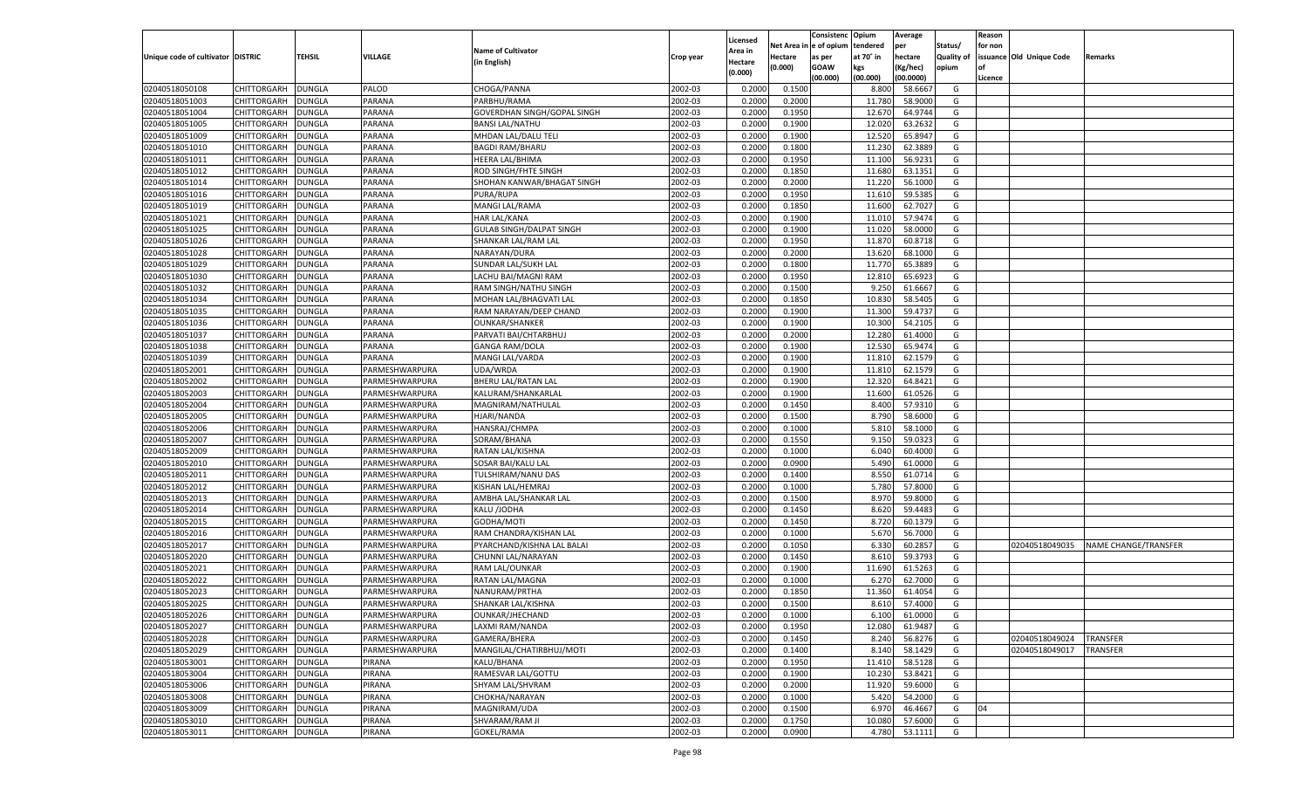|                                   |                    |               |                |                                 |           | Licensed       |            | Consistenc Opium |           | Average            |                   | Reason  |                          |                             |
|-----------------------------------|--------------------|---------------|----------------|---------------------------------|-----------|----------------|------------|------------------|-----------|--------------------|-------------------|---------|--------------------------|-----------------------------|
|                                   |                    |               |                | <b>Name of Cultivator</b>       |           | <b>Area in</b> | Net Area i | n  e of opium    | tendered  | per                | Status/           | for non |                          |                             |
| Unique code of cultivator DISTRIC |                    | <b>TEHSIL</b> | VILLAGE        | (in English)                    | Crop year | Hectare        | Hectare    | as per           | at 70° in | hectare            | <b>Quality of</b> |         | issuance Old Unique Code | <b>Remarks</b>              |
|                                   |                    |               |                |                                 |           | (0.000)        | (0.000)    | <b>GOAW</b>      | kgs       | (Kg/hec)           | opium             |         |                          |                             |
|                                   |                    |               |                |                                 |           |                |            | (00.000)         | (00.000)  | (00.0000)          |                   | Licence |                          |                             |
| 02040518050108                    | CHITTORGARH        | <b>DUNGLA</b> | PALOD          | CHOGA/PANNA                     | 2002-03   | 0.2000         | 0.1500     |                  | 8.800     | 58.6667            | G                 |         |                          |                             |
| 02040518051003                    | CHITTORGARH        | DUNGLA        | PARANA         | PARBHU/RAMA                     | 2002-03   | 0.2000         | 0.2000     |                  | 11.78     | 58.9000            | G                 |         |                          |                             |
| 02040518051004                    | CHITTORGARH        | DUNGLA        | PARANA         | GOVERDHAN SINGH/GOPAL SINGH     | 2002-03   | 0.2000         | 0.1950     |                  | 12.67     | 64.9744            | G                 |         |                          |                             |
| 02040518051005                    | CHITTORGARH        | DUNGLA        | PARANA         | <b>BANSI LAL/NATHU</b>          | 2002-03   | 0.2000         | 0.1900     |                  | 12.02     | 63.2632            | G                 |         |                          |                             |
| 02040518051009                    | CHITTORGARH        | <b>DUNGLA</b> | PARANA         | MHDAN LAL/DALU TELI             | 2002-03   | 0.2000         | 0.1900     |                  | 12.520    | 65.8947            | G                 |         |                          |                             |
| 02040518051010                    | CHITTORGARH        | DUNGLA        | PARANA         | <b>BAGDI RAM/BHARU</b>          | 2002-03   | 0.2000         | 0.1800     |                  | 11.23     | 62.3889            | G                 |         |                          |                             |
| 02040518051011                    | CHITTORGARH        | DUNGLA        | PARANA         | <b>HEERA LAL/BHIMA</b>          | 2002-03   | 0.2000         | 0.1950     |                  | 11.100    | 56.9231            | G                 |         |                          |                             |
| 02040518051012                    | CHITTORGARH        | DUNGLA        | PARANA         | ROD SINGH/FHTE SINGH            | 2002-03   | 0.2000         | 0.1850     |                  | 11.680    | 63.1351            | G                 |         |                          |                             |
| 02040518051014                    | CHITTORGARH        | DUNGLA        | PARANA         | SHOHAN KANWAR/BHAGAT SINGH      | 2002-03   | 0.2000         | 0.2000     |                  | 11.22     | 56.1000            | G                 |         |                          |                             |
| 02040518051016                    | CHITTORGARH        | DUNGLA        | PARANA         | PURA/RUPA                       | 2002-03   | 0.2000         | 0.1950     |                  | 11.61     | 59.5385            | G                 |         |                          |                             |
| 02040518051019                    | CHITTORGARH        | DUNGLA        | PARANA         | MANGI LAL/RAMA                  | 2002-03   | 0.2000         | 0.1850     |                  | 11.600    | 62.7027            | G                 |         |                          |                             |
| 02040518051021                    | CHITTORGARH        | DUNGLA        | PARANA         | <b>HAR LAL/KANA</b>             | 2002-03   | 0.2000         | 0.1900     |                  | 11.010    | 57.9474            | G                 |         |                          |                             |
| 02040518051025                    | CHITTORGARH        | DUNGLA        | PARANA         | <b>GULAB SINGH/DALPAT SINGH</b> | 2002-03   | 0.2000         | 0.1900     |                  | 11.02     | 58.0000            | G                 |         |                          |                             |
| 02040518051026                    | CHITTORGARH        | DUNGLA        | PARANA         | SHANKAR LAL/RAM LAL             | 2002-03   | 0.2000         | 0.1950     |                  | 11.87     | 60.8718            | G                 |         |                          |                             |
| 02040518051028                    | CHITTORGARH        | DUNGLA        | PARANA         | NARAYAN/DURA                    | 2002-03   | 0.2000         | 0.2000     |                  | 13.620    | 68.1000            | G                 |         |                          |                             |
| 02040518051029                    | CHITTORGARH        | DUNGLA        | PARANA         | SUNDAR LAL/SUKH LAL             | 2002-03   | 0.2000         | 0.1800     |                  | 11.770    | 65.3889            | G                 |         |                          |                             |
| 02040518051030                    | CHITTORGARH        | DUNGLA        | PARANA         | LACHU BAI/MAGNI RAM             | 2002-03   | 0.2000         | 0.1950     |                  | 12.810    | 65.6923            | G                 |         |                          |                             |
| 02040518051032                    | CHITTORGARH        | DUNGLA        | PARANA         | RAM SINGH/NATHU SINGH           | 2002-03   | 0.2000         | 0.1500     |                  | 9.250     | 61.6667            | G                 |         |                          |                             |
| 02040518051034                    | CHITTORGARH        | DUNGLA        | PARANA         | MOHAN LAL/BHAGVATI LAL          | 2002-03   | 0.2000         | 0.1850     |                  | 10.83     | 58.5405            | G                 |         |                          |                             |
| 02040518051035                    | CHITTORGARH        | DUNGLA        | PARANA         | RAM NARAYAN/DEEP CHAND          | 2002-03   | 0.2000         | 0.1900     |                  | 11.300    | 59.4737            | G                 |         |                          |                             |
| 02040518051036                    | CHITTORGARH        | DUNGLA        | PARANA         | <b>OUNKAR/SHANKER</b>           | 2002-03   | 0.2000         | 0.1900     |                  | 10.300    | 54.2105            | G                 |         |                          |                             |
| 02040518051037                    | CHITTORGARH        | DUNGLA        | PARANA         | PARVATI BAI/CHTARBHUJ           | 2002-03   | 0.2000         | 0.2000     |                  | 12.28     | 61.4000            | G                 |         |                          |                             |
| 02040518051038                    | CHITTORGARH        | DUNGLA        | PARANA         | <b>GANGA RAM/DOLA</b>           | 2002-03   | 0.2000         | 0.1900     |                  | 12.530    | 65.9474            | G                 |         |                          |                             |
| 02040518051039                    | CHITTORGARH        | DUNGLA        | PARANA         | MANGI LAL/VARDA                 | 2002-03   | 0.2000         | 0.1900     |                  | 11.810    | 62.1579            | G                 |         |                          |                             |
| 02040518052001                    | CHITTORGARH        | DUNGLA        | PARMESHWARPURA | UDA/WRDA                        | 2002-03   | 0.2000         | 0.1900     |                  | 11.810    | 62.1579            | G                 |         |                          |                             |
| 02040518052002                    | CHITTORGARH        | DUNGLA        | PARMESHWARPURA | BHERU LAL/RATAN LAL             | 2002-03   | 0.2000         | 0.1900     |                  | 12.320    | 64.8421            | G                 |         |                          |                             |
| 02040518052003                    | CHITTORGARH        | DUNGLA        | PARMESHWARPURA | KALURAM/SHANKARLAL              | 2002-03   | 0.2000         | 0.1900     |                  | 11.600    | 61.0526            | G                 |         |                          |                             |
| 02040518052004                    | CHITTORGARH        | DUNGLA        | PARMESHWARPURA | MAGNIRAM/NATHULAL               | 2002-03   | 0.2000         | 0.1450     |                  | 8.400     | 57.9310            | G                 |         |                          |                             |
| 02040518052005                    | CHITTORGARH        | DUNGLA        | PARMESHWARPURA | HJARI/NANDA                     | 2002-03   | 0.2000         | 0.1500     |                  | 8.790     | 58.6000            | G                 |         |                          |                             |
| 02040518052006                    | CHITTORGARH        | DUNGLA        | PARMESHWARPURA | HANSRAJ/CHMPA                   | 2002-03   | 0.2000         | 0.1000     |                  | 5.810     | 58.1000            | G                 |         |                          |                             |
| 02040518052007                    | CHITTORGARH        | DUNGLA        | PARMESHWARPURA | SORAM/BHANA                     | 2002-03   | 0.2000         | 0.1550     |                  | 9.150     | 59.0323            | G                 |         |                          |                             |
| 02040518052009                    | CHITTORGARH        | DUNGLA        | PARMESHWARPURA | RATAN LAL/KISHNA                | 2002-03   | 0.2000         | 0.1000     |                  | 6.040     | 60.4000            | G                 |         |                          |                             |
| 02040518052010                    | CHITTORGARH        | DUNGLA        | PARMESHWARPURA | SOSAR BAI/KALU LAL              | 2002-03   | 0.2000         | 0.0900     |                  | 5.490     | 61.0000            | G                 |         |                          |                             |
| 02040518052011                    | CHITTORGARH        | DUNGLA        | PARMESHWARPURA | TULSHIRAM/NANU DAS              | 2002-03   | 0.2000         | 0.1400     |                  | 8.550     | 61.0714            | G                 |         |                          |                             |
| 02040518052012                    | CHITTORGARH        | DUNGLA        | PARMESHWARPURA | KISHAN LAL/HEMRAJ               | 2002-03   | 0.2000         | 0.1000     |                  | 5.780     | 57.8000            | G                 |         |                          |                             |
|                                   |                    |               |                |                                 |           |                |            |                  |           |                    |                   |         |                          |                             |
| 02040518052013                    | CHITTORGARH        | DUNGLA        | PARMESHWARPURA | AMBHA LAL/SHANKAR LAL           | 2002-03   | 0.2000         | 0.1500     |                  | 8.970     | 59.8000<br>59.4483 | G<br>G            |         |                          |                             |
| 02040518052014                    | CHITTORGARH        | DUNGLA        | PARMESHWARPURA | KALU /JODHA                     | 2002-03   | 0.2000         | 0.1450     |                  | 8.620     |                    |                   |         |                          |                             |
| 02040518052015                    | CHITTORGARH        | DUNGLA        | PARMESHWARPURA | GODHA/MOTI                      | 2002-03   | 0.2000         | 0.1450     |                  | 8.720     | 60.1379            | G                 |         |                          |                             |
| 02040518052016                    | CHITTORGARH        | DUNGLA        | PARMESHWARPURA | RAM CHANDRA/KISHAN LAL          | 2002-03   | 0.2000         | 0.1000     |                  | 5.670     | 56.7000            | G                 |         |                          |                             |
| 02040518052017                    | CHITTORGARH        | DUNGLA        | PARMESHWARPURA | PYARCHAND/KISHNA LAL BALAI      | 2002-03   | 0.2000         | 0.1050     |                  | 6.330     | 60.2857            | G                 |         | 02040518049035           | <b>NAME CHANGE/TRANSFER</b> |
| 02040518052020                    | CHITTORGARH        | DUNGLA        | PARMESHWARPURA | CHUNNI LAL/NARAYAN              | 2002-03   | 0.2000         | 0.1450     |                  | 8.610     | 59.3793            | G                 |         |                          |                             |
| 02040518052021                    | CHITTORGARH        | DUNGLA        | PARMESHWARPURA | RAM LAL/OUNKAR                  | 2002-03   | 0.2000         | 0.1900     |                  | 11.690    | 61.5263            | G                 |         |                          |                             |
| 02040518052022                    | CHITTORGARH        | DUNGLA        | PARMESHWARPURA | RATAN LAL/MAGNA                 | 2002-03   | 0.2000         | 0.1000     |                  | 6.27      | 62.7000            | G                 |         |                          |                             |
| 02040518052023                    | CHITTORGARH        | DUNGLA        | PARMESHWARPURA | NANURAM/PRTHA                   | 2002-03   | 0.2000         | 0.1850     |                  | 11.360    | 61.4054            | G                 |         |                          |                             |
| 02040518052025                    | CHITTORGARH        | DUNGLA        | PARMESHWARPURA | SHANKAR LAL/KISHNA              | 2002-03   | 0.2000         | 0.1500     |                  | 8.610     | 57.4000            | G                 |         |                          |                             |
| 02040518052026                    | CHITTORGARH        | <b>DUNGLA</b> | PARMESHWARPURA | OUNKAR/JHECHAND                 | 2002-03   | 0.2000         | 0.1000     |                  | 6.100     | 61.0000            | G                 |         |                          |                             |
| 02040518052027                    | CHITTORGARH        | <b>DUNGLA</b> | PARMESHWARPURA | LAXMI RAM/NANDA                 | 2002-03   | 0.2000         | 0.1950     |                  | 12.080    | 61.9487            | G                 |         |                          |                             |
| 02040518052028                    | CHITTORGARH        | <b>DUNGLA</b> | PARMESHWARPURA | GAMERA/BHERA                    | 2002-03   | 0.2000         | 0.1450     |                  | 8.240     | 56.8276            | G                 |         | 02040518049024           | TRANSFER                    |
| 02040518052029                    | <b>CHITTORGARH</b> | <b>DUNGLA</b> | PARMESHWARPURA | MANGILAL/CHATIRBHUJ/MOTI        | 2002-03   | 0.2000         | 0.1400     |                  | 8.140     | 58.1429            | G                 |         | 02040518049017           | TRANSFER                    |
| 02040518053001                    | <b>CHITTORGARH</b> | DUNGLA        | PIRANA         | KALU/BHANA                      | 2002-03   | 0.2000         | 0.1950     |                  | 11.410    | 58.5128            | G                 |         |                          |                             |
| 02040518053004                    | <b>CHITTORGARH</b> | <b>DUNGLA</b> | PIRANA         | RAMESVAR LAL/GOTTU              | 2002-03   | 0.2000         | 0.1900     |                  | 10.230    | 53.8421            | G                 |         |                          |                             |
| 02040518053006                    | CHITTORGARH        | DUNGLA        | PIRANA         | SHYAM LAL/SHVRAM                | 2002-03   | 0.2000         | 0.2000     |                  | 11.920    | 59.6000            | G                 |         |                          |                             |
| 02040518053008                    | <b>CHITTORGARH</b> | DUNGLA        | PIRANA         | CHOKHA/NARAYAN                  | 2002-03   | 0.2000         | 0.1000     |                  | 5.420     | 54.2000            | G                 |         |                          |                             |
| 02040518053009                    | <b>CHITTORGARH</b> | DUNGLA        | PIRANA         | MAGNIRAM/UDA                    | 2002-03   | 0.2000         | 0.1500     |                  | 6.970     | 46.4667            | G                 | 04      |                          |                             |
| 02040518053010                    | CHITTORGARH        | <b>DUNGLA</b> | PIRANA         | SHVARAM/RAM JI                  | 2002-03   | 0.2000         | 0.1750     |                  | 10.080    | 57.6000            | G                 |         |                          |                             |
| 02040518053011                    | CHITTORGARH        | <b>DUNGLA</b> | PIRANA         | GOKEL/RAMA                      | 2002-03   | 0.2000         | 0.0900     |                  | 4.780     | 53.1111            | G                 |         |                          |                             |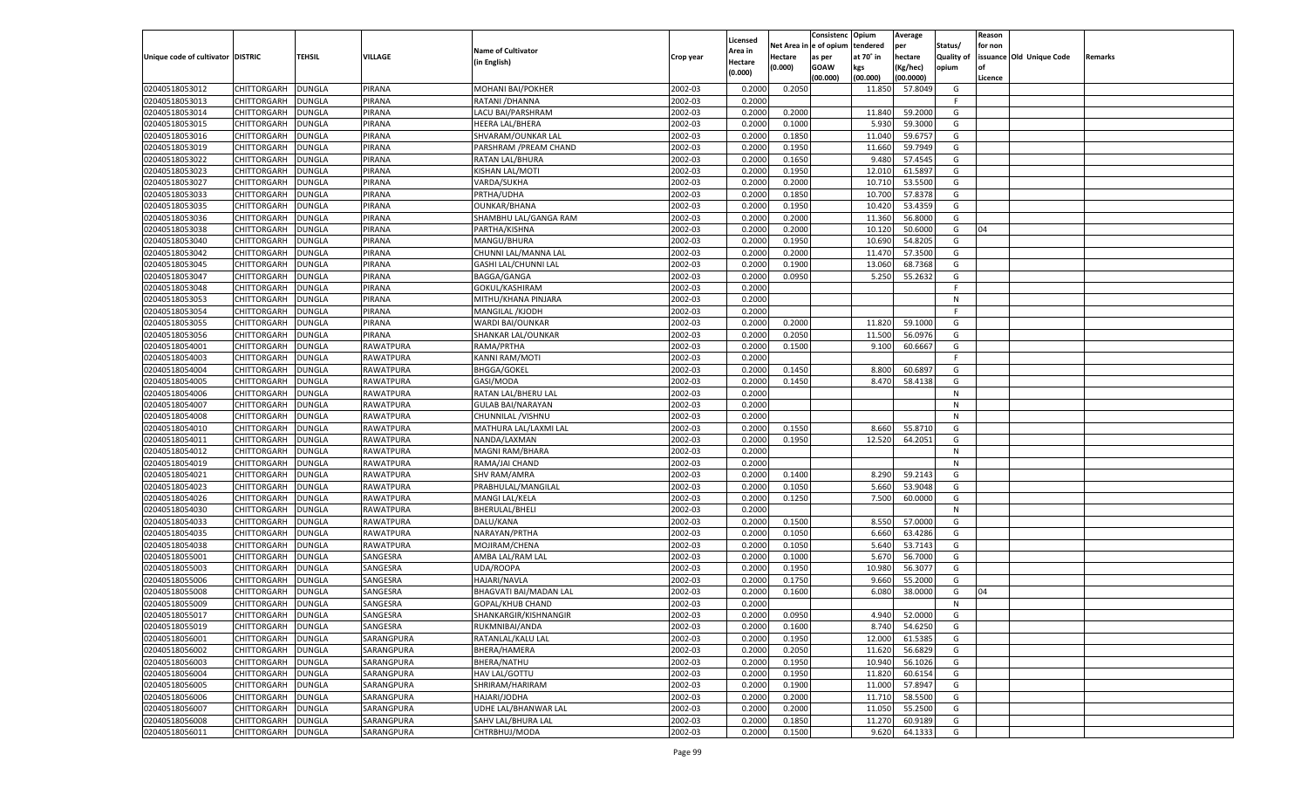|                                   |                    |               |            |                           |           |                     |             | Consistenc   | Opium     | Average   |            | Reason  |                          |         |
|-----------------------------------|--------------------|---------------|------------|---------------------------|-----------|---------------------|-------------|--------------|-----------|-----------|------------|---------|--------------------------|---------|
|                                   |                    |               |            | <b>Name of Cultivator</b> |           | Licensed<br>Area in | Net Area iı | n e of opium | tendered  | per       | Status/    | for non |                          |         |
| Unique code of cultivator DISTRIC |                    | TEHSIL        | VILLAGE    | (in English)              | Crop year | Hectare             | Hectare     | as per       | at 70° in | hectare   | Quality of |         | issuance Old Unique Code | Remarks |
|                                   |                    |               |            |                           |           | (0.000)             | (0.000)     | <b>GOAW</b>  | kgs       | (Kg/hec)  | opium      |         |                          |         |
|                                   |                    |               |            |                           |           |                     |             | (00.000)     | (00.000)  | (00.0000) |            | Licence |                          |         |
| 02040518053012                    | CHITTORGARH        | DUNGLA        | PIRANA     | MOHANI BAI/POKHER         | 2002-03   | 0.2000              | 0.2050      |              | 11.850    | 57.8049   | G          |         |                          |         |
| 02040518053013                    | CHITTORGARH        | DUNGLA        | PIRANA     | RATANI / DHANNA           | 2002-03   | 0.2000              |             |              |           |           | F.         |         |                          |         |
| 02040518053014                    | CHITTORGARH        | DUNGLA        | PIRANA     | LACU BAI/PARSHRAM         | 2002-03   | 0.2000              | 0.2000      |              | 11.84     | 59.2000   | G          |         |                          |         |
| 02040518053015                    | CHITTORGARH        | DUNGLA        | PIRANA     | <b>HEERA LAL/BHERA</b>    | 2002-03   | 0.2000              | 0.1000      |              | 5.930     | 59.3000   | G          |         |                          |         |
| 02040518053016                    | CHITTORGARH        | DUNGLA        | PIRANA     | SHVARAM/OUNKAR LAL        | 2002-03   | 0.2000              | 0.1850      |              | 11.040    | 59.6757   | G          |         |                          |         |
| 02040518053019                    | CHITTORGARH        | DUNGLA        | PIRANA     | PARSHRAM / PREAM CHAND    | 2002-03   | 0.2000              | 0.1950      |              | 11.660    | 59.7949   | G          |         |                          |         |
| 02040518053022                    | CHITTORGARH        | DUNGLA        | PIRANA     | RATAN LAL/BHURA           | 2002-03   | 0.2000              | 0.1650      |              | 9.480     | 57.4545   | G          |         |                          |         |
| 02040518053023                    | CHITTORGARH        | DUNGLA        | PIRANA     | KISHAN LAL/MOTI           | 2002-03   | 0.2000              | 0.1950      |              | 12.010    | 61.5897   | G          |         |                          |         |
| 02040518053027                    | CHITTORGARH        | DUNGLA        | PIRANA     | VARDA/SUKHA               | 2002-03   | 0.2000              | 0.2000      |              | 10.710    | 53.5500   | G          |         |                          |         |
| 02040518053033                    | CHITTORGARH        | DUNGLA        | PIRANA     | PRTHA/UDHA                | 2002-03   | 0.2000              | 0.1850      |              | 10.700    | 57.8378   | G          |         |                          |         |
| 02040518053035                    | CHITTORGARH        | DUNGLA        | PIRANA     | <b>OUNKAR/BHANA</b>       | 2002-03   | 0.2000              | 0.1950      |              | 10.420    | 53.4359   | G          |         |                          |         |
| 02040518053036                    | CHITTORGARH        | DUNGLA        | PIRANA     | SHAMBHU LAL/GANGA RAM     | 2002-03   | 0.2000              | 0.2000      |              | 11.360    | 56.8000   | G          |         |                          |         |
| 02040518053038                    | CHITTORGARH        | DUNGLA        | PIRANA     | PARTHA/KISHNA             | 2002-03   | 0.2000              | 0.2000      |              | 10.120    | 50.6000   | G          | 04      |                          |         |
| 02040518053040                    | CHITTORGARH        | DUNGLA        | PIRANA     | MANGU/BHURA               | 2002-03   | 0.2000              | 0.1950      |              | 10.690    | 54.8205   | G          |         |                          |         |
| 02040518053042                    | CHITTORGARH        | DUNGLA        | PIRANA     | CHUNNI LAL/MANNA LAL      | 2002-03   | 0.2000              | 0.2000      |              | 11.470    | 57.3500   | G          |         |                          |         |
| 02040518053045                    | CHITTORGARH        | DUNGLA        | PIRANA     | GASHI LAL/CHUNNI LAL      | 2002-03   | 0.2000              | 0.1900      |              | 13.060    | 68.7368   | G          |         |                          |         |
| 02040518053047                    | CHITTORGARH        | <b>DUNGLA</b> | PIRANA     | BAGGA/GANGA               | 2002-03   | 0.2000              | 0.0950      |              | 5.250     | 55.2632   | G          |         |                          |         |
| 02040518053048                    | CHITTORGARH        | DUNGLA        | PIRANA     | GOKUL/KASHIRAM            | 2002-03   | 0.2000              |             |              |           |           | F.         |         |                          |         |
| 02040518053053                    | CHITTORGARH        | DUNGLA        | PIRANA     | MITHU/KHANA PINJARA       | 2002-03   | 0.2000              |             |              |           |           | N          |         |                          |         |
| 02040518053054                    | CHITTORGARH        | DUNGLA        | PIRANA     | MANGILAL / KJODH          | 2002-03   | 0.2000              |             |              |           |           | F.         |         |                          |         |
| 02040518053055                    | CHITTORGARH        | DUNGLA        | PIRANA     | WARDI BAI/OUNKAR          | 2002-03   | 0.2000              | 0.2000      |              | 11.820    | 59.1000   | G          |         |                          |         |
| 02040518053056                    | CHITTORGARH        | DUNGLA        | PIRANA     | SHANKAR LAL/OUNKAR        | 2002-03   | 0.2000              | 0.2050      |              | 11.500    | 56.0976   | G          |         |                          |         |
| 02040518054001                    | CHITTORGARH        | DUNGLA        | RAWATPURA  | RAMA/PRTHA                | 2002-03   | 0.2000              | 0.1500      |              | 9.100     | 60.6667   | G          |         |                          |         |
| 02040518054003                    | CHITTORGARH        | DUNGLA        | RAWATPURA  | KANNI RAM/MOTI            | 2002-03   | 0.2000              |             |              |           |           | F.         |         |                          |         |
| 02040518054004                    | CHITTORGARH        | DUNGLA        | RAWATPURA  | <b>BHGGA/GOKEL</b>        | 2002-03   | 0.2000              | 0.1450      |              | 8.800     | 60.6897   | G          |         |                          |         |
| 02040518054005                    | CHITTORGARH        | DUNGLA        | RAWATPURA  | GASI/MODA                 | 2002-03   | 0.2000              | 0.1450      |              | 8.470     | 58.4138   | G          |         |                          |         |
| 02040518054006                    | CHITTORGARH        | DUNGLA        | RAWATPURA  | RATAN LAL/BHERU LAL       | 2002-03   | 0.2000              |             |              |           |           | N          |         |                          |         |
| 02040518054007                    | CHITTORGARH        | DUNGLA        | RAWATPURA  | <b>GULAB BAI/NARAYAN</b>  | 2002-03   | 0.2000              |             |              |           |           | N          |         |                          |         |
| 02040518054008                    | CHITTORGARH        | DUNGLA        | RAWATPURA  | CHUNNILAL /VISHNU         | 2002-03   | 0.2000              |             |              |           |           | N          |         |                          |         |
| 02040518054010                    | CHITTORGARH        | DUNGLA        | RAWATPURA  | MATHURA LAL/LAXMI LAL     | 2002-03   | 0.2000              | 0.1550      |              | 8.660     | 55.8710   | G          |         |                          |         |
| 02040518054011                    | CHITTORGARH        | DUNGLA        | RAWATPURA  | NANDA/LAXMAN              | 2002-03   | 0.2000              | 0.1950      |              | 12.520    | 64.2051   | G          |         |                          |         |
| 02040518054012                    | CHITTORGARH        | DUNGLA        | RAWATPURA  | MAGNI RAM/BHARA           | 2002-03   | 0.2000              |             |              |           |           | N          |         |                          |         |
| 02040518054019                    | CHITTORGARH        | <b>DUNGLA</b> | RAWATPURA  | RAMA/JAI CHAND            | 2002-03   | 0.2000              |             |              |           |           | N          |         |                          |         |
| 02040518054021                    | CHITTORGARH        | DUNGLA        | RAWATPURA  | <b>SHV RAM/AMRA</b>       | 2002-03   | 0.2000              | 0.1400      |              | 8.290     | 59.2143   | G          |         |                          |         |
| 02040518054023                    | CHITTORGARH        | DUNGLA        | RAWATPURA  | PRABHULAL/MANGILAL        | 2002-03   | 0.2000              | 0.1050      |              | 5.660     | 53.9048   | G          |         |                          |         |
| 02040518054026                    | CHITTORGARH        | DUNGLA        | RAWATPURA  | MANGI LAL/KELA            | 2002-03   | 0.2000              | 0.1250      |              | 7.500     | 60.0000   | G          |         |                          |         |
| 02040518054030                    | CHITTORGARH        | <b>DUNGLA</b> | RAWATPURA  | <b>BHERULAL/BHELI</b>     | 2002-03   | 0.2000              |             |              |           |           | N          |         |                          |         |
| 02040518054033                    | CHITTORGARH        | DUNGLA        | RAWATPURA  | DALU/KANA                 | 2002-03   | 0.2000              | 0.1500      |              | 8.550     | 57.0000   | G          |         |                          |         |
| 02040518054035                    | CHITTORGARH        | DUNGLA        | RAWATPURA  | NARAYAN/PRTHA             | 2002-03   | 0.2000              | 0.1050      |              | 6.660     | 63.4286   | G          |         |                          |         |
| 02040518054038                    | CHITTORGARH        | DUNGLA        | RAWATPURA  | MOJIRAM/CHENA             | 2002-03   | 0.2000              | 0.1050      |              | 5.640     | 53.7143   | G          |         |                          |         |
| 02040518055001                    | CHITTORGARH        | <b>DUNGLA</b> | SANGESRA   | AMBA LAL/RAM LAL          | 2002-03   | 0.2000              | 0.1000      |              | 5.670     | 56.7000   | G          |         |                          |         |
| 02040518055003                    | CHITTORGARH        | DUNGLA        | SANGESRA   | UDA/ROOPA                 | 2002-03   | 0.2000              | 0.1950      |              | 10.980    | 56.3077   | G          |         |                          |         |
| 02040518055006                    | CHITTORGARH        | DUNGLA        | SANGESRA   | <b>HAJARI/NAVLA</b>       | 2002-03   | 0.2000              | 0.1750      |              | 9.660     | 55.2000   | G          |         |                          |         |
| 02040518055008                    |                    |               |            |                           | 2002-03   | 0.2000              |             |              | 6.080     | 38.0000   | G          | 04      |                          |         |
|                                   | CHITTORGARH        | DUNGLA        | SANGESRA   | BHAGVATI BAI/MADAN LAL    | 2002-03   | 0.2000              | 0.1600      |              |           |           |            |         |                          |         |
| 02040518055009                    | CHITTORGARH        | <b>DUNGLA</b> | SANGESRA   | GOPAL/KHUB CHAND          |           |                     |             |              |           |           | N          |         |                          |         |
| 02040518055017                    | CHITTORGARH        | <b>DUNGLA</b> | SANGESRA   | SHANKARGIR/KISHNANGIR     | 2002-03   | 0.2000              | 0.0950      |              | 4.940     | 52.0000   | G          |         |                          |         |
| 02040518055019                    | <b>CHITTORGARH</b> | <b>DUNGLA</b> | SANGESRA   | RUKMNIBAI/ANDA            | 2002-03   | 0.2000              | 0.1600      |              | 8.740     | 54.6250   | G          |         |                          |         |
| 02040518056001                    | CHITTORGARH        | <b>DUNGLA</b> | SARANGPURA | RATANLAL/KALU LAL         | 2002-03   | 0.2000              | 0.1950      |              | 12.000    | 61.5385   | G          |         |                          |         |
| 02040518056002                    | <b>CHITTORGARH</b> | <b>DUNGLA</b> | SARANGPURA | BHERA/HAMERA              | 2002-03   | 0.2000              | 0.2050      |              | 11.620    | 56.6829   | G          |         |                          |         |
| 02040518056003                    | CHITTORGARH        | <b>DUNGLA</b> | SARANGPURA | BHERA/NATHU               | 2002-03   | 0.2000              | 0.1950      |              | 10.940    | 56.1026   | G          |         |                          |         |
| 02040518056004                    | CHITTORGARH        | <b>DUNGLA</b> | SARANGPURA | HAV LAL/GOTTU             | 2002-03   | 0.2000              | 0.1950      |              | 11.820    | 60.6154   | G          |         |                          |         |
| 02040518056005                    | CHITTORGARH        | <b>DUNGLA</b> | SARANGPURA | SHRIRAM/HARIRAM           | 2002-03   | 0.2000              | 0.1900      |              | 11.000    | 57.8947   | G          |         |                          |         |
| 02040518056006                    | CHITTORGARH        | <b>DUNGLA</b> | SARANGPURA | HAJARI/JODHA              | 2002-03   | 0.2000              | 0.2000      |              | 11.710    | 58.5500   | G          |         |                          |         |
| 02040518056007                    | CHITTORGARH        | <b>DUNGLA</b> | SARANGPURA | UDHE LAL/BHANWAR LAL      | 2002-03   | 0.2000              | 0.2000      |              | 11.050    | 55.2500   | G          |         |                          |         |
| 02040518056008                    | <b>CHITTORGARH</b> | <b>DUNGLA</b> | SARANGPURA | SAHV LAL/BHURA LAL        | 2002-03   | 0.2000              | 0.1850      |              | 11.270    | 60.9189   | G          |         |                          |         |
| 02040518056011                    | <b>CHITTORGARH</b> | <b>DUNGLA</b> | SARANGPURA | CHTRBHUJ/MODA             | 2002-03   | 0.2000              | 0.1500      |              | 9.620     | 64.1333   | G          |         |                          |         |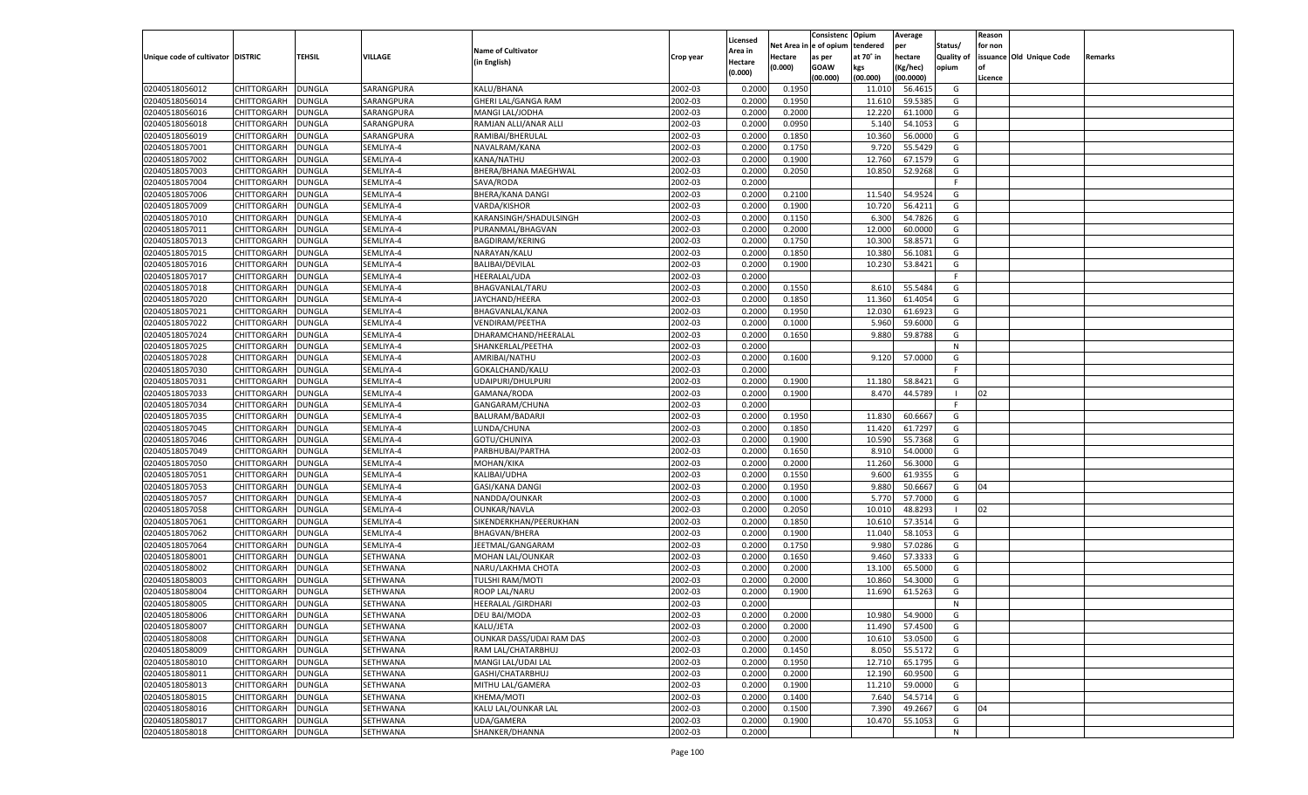|                                   |                    |               |                |                           |                    |                     |            | Consistenc   | Opium     | Average            |                | Reason  |                          |         |
|-----------------------------------|--------------------|---------------|----------------|---------------------------|--------------------|---------------------|------------|--------------|-----------|--------------------|----------------|---------|--------------------------|---------|
|                                   |                    |               |                | <b>Name of Cultivator</b> |                    | Licensed<br>Area in | Net Area i | n e of opium | tendered  | per                | Status/        | for non |                          |         |
| Unique code of cultivator DISTRIC |                    | TEHSIL        | <b>VILLAGE</b> | (in English)              | Crop year          | Hectare             | Hectare    | as per       | at 70° in | hectare            | Quality of     |         | issuance Old Unique Code | Remarks |
|                                   |                    |               |                |                           |                    | (0.000)             | (0.000)    | <b>GOAW</b>  | kgs       | (Kg/hec)           | opium          |         |                          |         |
|                                   |                    |               |                |                           |                    |                     |            | (00.000)     | (00.000)  | (00.0000)          |                | Licence |                          |         |
| 02040518056012                    | CHITTORGARH        | DUNGLA        | SARANGPURA     | KALU/BHANA                | 2002-03            | 0.2000              | 0.1950     |              | 11.010    | 56.4615            | G              |         |                          |         |
| 02040518056014                    | CHITTORGARH        | DUNGLA        | SARANGPURA     | GHERI LAL/GANGA RAM       | 2002-03            | 0.2000              | 0.1950     |              | 11.610    | 59.5385            | G              |         |                          |         |
| 02040518056016                    | CHITTORGARH        | DUNGLA        | SARANGPURA     | MANGI LAL/JODHA           | 2002-03            | 0.2000              | 0.2000     |              | 12.220    | 61.1000            | G              |         |                          |         |
| 02040518056018                    | CHITTORGARH        | DUNGLA        | SARANGPURA     | RAMJAN ALLI/ANAR ALLI     | 2002-03            | 0.2000              | 0.0950     |              | 5.140     | 54.1053            | G              |         |                          |         |
| 02040518056019                    | CHITTORGARH        | DUNGLA        | SARANGPURA     | RAMIBAI/BHERULAL          | 2002-03            | 0.2000              | 0.1850     |              | 10.360    | 56.0000            | G              |         |                          |         |
| 02040518057001                    | CHITTORGARH        | DUNGLA        | SEMLIYA-4      | NAVALRAM/KANA             | 2002-03            | 0.2000              | 0.1750     |              | 9.720     | 55.5429            | G              |         |                          |         |
| 02040518057002                    | CHITTORGARH        | DUNGLA        | SEMLIYA-4      | KANA/NATHU                | 2002-03            | 0.2000              | 0.1900     |              | 12.760    | 67.1579            | G              |         |                          |         |
| 02040518057003                    | CHITTORGARH        | DUNGLA        | SEMLIYA-4      | BHERA/BHANA MAEGHWAL      | 2002-03            | 0.2000              | 0.2050     |              | 10.850    | 52.9268            | G              |         |                          |         |
| 02040518057004                    | CHITTORGARH        | DUNGLA        | SEMLIYA-4      | SAVA/RODA                 | 2002-03            | 0.2000              |            |              |           |                    | F.             |         |                          |         |
| 02040518057006                    | CHITTORGARH        | DUNGLA        | SEMLIYA-4      | <b>BHERA/KANA DANGI</b>   | 2002-03            | 0.2000              | 0.2100     |              | 11.540    | 54.9524            | G              |         |                          |         |
| 02040518057009                    | CHITTORGARH        | DUNGLA        | SEMLIYA-4      | VARDA/KISHOR              | 2002-03            | 0.2000              | 0.1900     |              | 10.720    | 56.4211            | G              |         |                          |         |
| 02040518057010                    | CHITTORGARH        | DUNGLA        | SEMLIYA-4      | KARANSINGH/SHADULSINGH    | 2002-03            | 0.2000              | 0.1150     |              | 6.300     | 54.7826            | G              |         |                          |         |
| 02040518057011                    | CHITTORGARH        | DUNGLA        | SEMLIYA-4      | PURANMAL/BHAGVAN          | 2002-03            | 0.2000              | 0.2000     |              | 12.000    | 60.0000            | G              |         |                          |         |
| 02040518057013                    | CHITTORGARH        | DUNGLA        | SEMLIYA-4      | BAGDIRAM/KERING           | 2002-03            | 0.2000              | 0.1750     |              | 10.300    | 58.8571            | G              |         |                          |         |
| 02040518057015                    | CHITTORGARH        | DUNGLA        | SEMLIYA-4      | NARAYAN/KALU              | 2002-03            | 0.2000              | 0.1850     |              | 10.380    | 56.1081            | G              |         |                          |         |
| 02040518057016                    | CHITTORGARH        | DUNGLA        | SEMLIYA-4      | <b>BALIBAI/DEVILAL</b>    | 2002-03            | 0.2000              | 0.1900     |              | 10.230    | 53.8421            | G              |         |                          |         |
| 02040518057017                    | CHITTORGARH        | DUNGLA        | SEMLIYA-4      | HEERALAL/UDA              | 2002-03            | 0.2000              |            |              |           |                    | F              |         |                          |         |
| 02040518057018                    | CHITTORGARH        | DUNGLA        | SEMLIYA-4      | BHAGVANLAL/TARU           | 2002-03            | 0.2000              | 0.1550     |              | 8.610     | 55.5484            | G              |         |                          |         |
| 02040518057020                    | CHITTORGARH        | DUNGLA        | SEMLIYA-4      | JAYCHAND/HEERA            | 2002-03            | 0.2000              | 0.1850     |              | 11.360    | 61.4054            | G              |         |                          |         |
| 02040518057021                    | CHITTORGARH        | DUNGLA        | SEMLIYA-4      | BHAGVANLAL/KANA           | 2002-03            | 0.2000              | 0.1950     |              | 12.030    | 61.6923            | G              |         |                          |         |
| 02040518057022                    | CHITTORGARH        | DUNGLA        | SEMLIYA-4      | VENDIRAM/PEETHA           | 2002-03            | 0.2000              | 0.1000     |              | 5.960     | 59.6000            | G              |         |                          |         |
| 02040518057024                    | CHITTORGARH        | DUNGLA        | SEMLIYA-4      | DHARAMCHAND/HEERALAL      | 2002-03            | 0.2000              | 0.1650     |              | 9.880     | 59.8788            | G              |         |                          |         |
| 02040518057025                    | CHITTORGARH        | DUNGLA        | SEMLIYA-4      | SHANKERLAL/PEETHA         | 2002-03            | 0.2000              |            |              |           |                    | N              |         |                          |         |
| 02040518057028                    | CHITTORGARH        | DUNGLA        | SEMLIYA-4      | AMRIBAI/NATHU             | 2002-03            | 0.2000              | 0.1600     |              | 9.120     | 57.0000            | G              |         |                          |         |
| 02040518057030                    | CHITTORGARH        | DUNGLA        | SEMLIYA-4      | GOKALCHAND/KALU           | 2002-03            | 0.2000              |            |              |           |                    | F.             |         |                          |         |
| 02040518057031                    | CHITTORGARH        | DUNGLA        | SEMLIYA-4      | UDAIPURI/DHULPURI         | 2002-03            | 0.2000              | 0.1900     |              | 11.180    | 58.8421            | G              |         |                          |         |
| 02040518057033                    | CHITTORGARH        | DUNGLA        | SEMLIYA-4      | GAMANA/RODA               | 2002-03            | 0.2000              | 0.1900     |              | 8.470     | 44.5789            | $\blacksquare$ | 02      |                          |         |
| 02040518057034                    | CHITTORGARH        | DUNGLA        | SEMLIYA-4      | GANGARAM/CHUNA            | 2002-03            | 0.2000              |            |              |           |                    | F.             |         |                          |         |
| 02040518057035                    | CHITTORGARH        | DUNGLA        | SEMLIYA-4      | BALURAM/BADARJI           | 2002-03            | 0.2000              | 0.1950     |              | 11.830    | 60.6667            | G              |         |                          |         |
| 02040518057045                    | CHITTORGARH        | DUNGLA        | SEMLIYA-4      | LUNDA/CHUNA               | 2002-03            | 0.2000              | 0.1850     |              | 11.420    | 61.7297            | G              |         |                          |         |
| 02040518057046                    | CHITTORGARH        | DUNGLA        | SEMLIYA-4      | GOTU/CHUNIYA              | 2002-03            | 0.2000              | 0.1900     |              | 10.590    | 55.7368            | G              |         |                          |         |
| 02040518057049                    | CHITTORGARH        | DUNGLA        | SEMLIYA-4      | PARBHUBAI/PARTHA          | 2002-03            | 0.2000              | 0.1650     |              | 8.910     | 54.0000            | G              |         |                          |         |
| 02040518057050                    | CHITTORGARH        | DUNGLA        | SEMLIYA-4      | MOHAN/KIKA                | 2002-03            | 0.2000              | 0.2000     |              | 11.260    | 56.3000            | G              |         |                          |         |
| 02040518057051                    | CHITTORGARH        | DUNGLA        | SEMLIYA-4      | KALIBAI/UDHA              | 2002-03            | 0.2000              | 0.1550     |              | 9.600     | 61.9355            | G              |         |                          |         |
| 02040518057053                    | CHITTORGARH        | DUNGLA        | SEMLIYA-4      | GASI/KANA DANGI           | 2002-03            | 0.2000              | 0.1950     |              | 9.880     | 50.6667            | G              | 04      |                          |         |
| 02040518057057                    | CHITTORGARH        | DUNGLA        | SEMLIYA-4      | NANDDA/OUNKAR             | 2002-03            | 0.2000              | 0.1000     |              | 5.770     | 57.7000            | G              |         |                          |         |
| 02040518057058                    | CHITTORGARH        | DUNGLA        | SEMLIYA-4      | OUNKAR/NAVLA              | 2002-03            | 0.2000              | 0.2050     |              | 10.010    | 48.8293            | - 1            | 02      |                          |         |
| 02040518057061                    | CHITTORGARH        | DUNGLA        | SEMLIYA-4      | SIKENDERKHAN/PEERUKHAN    | 2002-03            | 0.2000              | 0.1850     |              | 10.610    | 57.3514            | G              |         |                          |         |
| 02040518057062                    | CHITTORGARH        | DUNGLA        | SEMLIYA-4      | <b>BHAGVAN/BHERA</b>      | 2002-03            | 0.2000              | 0.1900     |              | 11.040    | 58.1053            | G              |         |                          |         |
| 02040518057064                    | CHITTORGARH        | DUNGLA        | SEMLIYA-4      | JEETMAL/GANGARAM          | 2002-03            | 0.2000              | 0.1750     |              | 9.980     | 57.0286            | G              |         |                          |         |
| 02040518058001                    | CHITTORGARH        | DUNGLA        | SETHWANA       | MOHAN LAL/OUNKAR          | 2002-03            | 0.2000              | 0.1650     |              | 9.460     | 57.3333            | G              |         |                          |         |
| 02040518058002                    | CHITTORGARH        | DUNGLA        | SETHWANA       | NARU/LAKHMA CHOTA         | 2002-03            | 0.2000              | 0.2000     |              | 13.100    | 65.5000            | G              |         |                          |         |
| 02040518058003                    | CHITTORGARH        | DUNGLA        | SETHWANA       | <b>TULSHI RAM/MOTI</b>    | 2002-03            | 0.2000              | 0.2000     |              | 10.860    | 54.3000            | G              |         |                          |         |
| 02040518058004                    | CHITTORGARH        | DUNGLA        | SETHWANA       | ROOP LAL/NARU             | 2002-03            | 0.2000              | 0.1900     |              | 11.690    | 61.5263            | G              |         |                          |         |
| 02040518058005                    |                    | <b>DUNGLA</b> |                |                           | 2002-03            | 0.2000              |            |              |           |                    | N              |         |                          |         |
|                                   | CHITTORGARH        |               | SETHWANA       | <b>HEERALAL /GIRDHARI</b> |                    |                     |            |              |           |                    |                |         |                          |         |
| 02040518058006<br>02040518058007  | CHITTORGARH        | <b>DUNGLA</b> | SETHWANA       | DEU BAI/MODA              | 2002-03<br>2002-03 | 0.2000              | 0.2000     |              | 10.980    | 54.9000<br>57.4500 | G              |         |                          |         |
|                                   | <b>CHITTORGARH</b> | <b>DUNGLA</b> | SETHWANA       | KALU/JETA                 |                    | 0.2000              | 0.2000     |              | 11.490    |                    | G              |         |                          |         |
| 02040518058008                    | CHITTORGARH        | <b>DUNGLA</b> | SETHWANA       | OUNKAR DASS/UDAI RAM DAS  | 2002-03            | 0.2000              | 0.2000     |              | 10.610    | 53.0500            | G              |         |                          |         |
| 02040518058009                    | CHITTORGARH        | <b>DUNGLA</b> | SETHWANA       | RAM LAL/CHATARBHUJ        | 2002-03            | 0.2000              | 0.1450     |              | 8.050     | 55.5172            | G              |         |                          |         |
| 02040518058010                    | <b>CHITTORGARH</b> | <b>DUNGLA</b> | SETHWANA       | MANGI LAL/UDAI LAL        | 2002-03            | 0.2000              | 0.1950     |              | 12.710    | 65.1795            | G              |         |                          |         |
| 02040518058011                    | CHITTORGARH        | <b>DUNGLA</b> | SETHWANA       | GASHI/CHATARBHUJ          | 2002-03            | 0.2000              | 0.2000     |              | 12.190    | 60.9500            | G              |         |                          |         |
| 02040518058013                    | CHITTORGARH        | <b>DUNGLA</b> | SETHWANA       | MITHU LAL/GAMERA          | 2002-03            | 0.2000              | 0.1900     |              | 11.210    | 59.0000            | G              |         |                          |         |
| 02040518058015                    | CHITTORGARH        | <b>DUNGLA</b> | SETHWANA       | KHEMA/MOTI                | 2002-03            | 0.2000              | 0.1400     |              | 7.640     | 54.5714            | G              |         |                          |         |
| 02040518058016                    | CHITTORGARH        | <b>DUNGLA</b> | SETHWANA       | KALU LAL/OUNKAR LAL       | 2002-03            | 0.2000              | 0.1500     |              | 7.390     | 49.2667            | G              | 04      |                          |         |
| 02040518058017                    | <b>CHITTORGARH</b> | <b>DUNGLA</b> | SETHWANA       | UDA/GAMERA                | 2002-03            | 0.2000              | 0.1900     |              | 10.470    | 55.1053            | G              |         |                          |         |
| 02040518058018                    | <b>CHITTORGARH</b> | <b>DUNGLA</b> | SETHWANA       | SHANKER/DHANNA            | 2002-03            | 0.2000              |            |              |           |                    | N              |         |                          |         |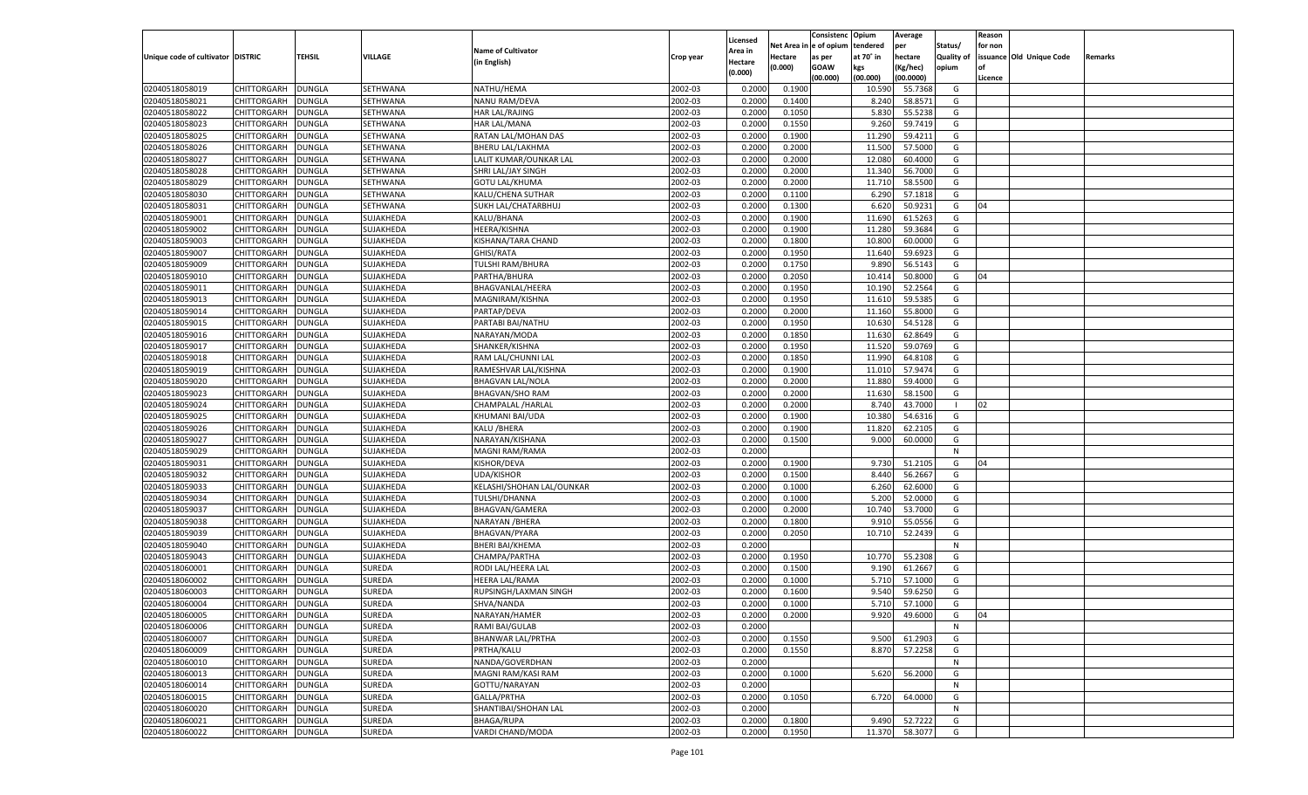|                                   |                      |               |               |                                            |           |                           |                  | Consistenc  | Opium          | Average   |                   | Reason  |                          |         |
|-----------------------------------|----------------------|---------------|---------------|--------------------------------------------|-----------|---------------------------|------------------|-------------|----------------|-----------|-------------------|---------|--------------------------|---------|
|                                   |                      |               |               | <b>Name of Cultivator</b>                  |           | Licensed                  | Net Area         | e of opium  | tendered       | per       | Status/           | for non |                          |         |
| Unique code of cultivator DISTRIC |                      | <b>TEHSIL</b> | VILLAGE       | (in English)                               | Crop year | <b>Area in</b><br>Hectare | Hectare          | as per      | at 70° in      | hectare   | <b>Quality of</b> |         | issuance Old Unique Code | Remarks |
|                                   |                      |               |               |                                            |           | (0.000)                   | (0.000)          | <b>GOAW</b> | kgs            | (Kg/hec)  | opium             |         |                          |         |
|                                   |                      |               |               |                                            |           |                           |                  | (00.000)    | (00.000)       | (00.0000) |                   | Licence |                          |         |
| 02040518058019                    | CHITTORGARH          | <b>DUNGLA</b> | SETHWANA      | NATHU/HEMA                                 | 2002-03   | 0.2000                    | 0.1900           |             | 10.590         | 55.7368   | G                 |         |                          |         |
| 02040518058021                    | CHITTORGARH          | DUNGLA        | SETHWANA      | NANU RAM/DEVA                              | 2002-03   | 0.2000                    | 0.1400           |             | 8.240          | 58.8571   | G                 |         |                          |         |
| 02040518058022                    | CHITTORGARH          | DUNGLA        | SETHWANA      | HAR LAL/RAJING                             | 2002-03   | 0.2000                    | 0.1050           |             | 5.830          | 55.5238   | G                 |         |                          |         |
| 02040518058023                    | CHITTORGARH          | DUNGLA        | SETHWANA      | <b>HAR LAL/MANA</b>                        | 2002-03   | 0.2000                    | 0.1550           |             | 9.260          | 59.7419   | G                 |         |                          |         |
| 02040518058025                    | CHITTORGARH          | DUNGLA        | SETHWANA      | RATAN LAL/MOHAN DAS                        | 2002-03   | 0.2000                    | 0.1900           |             | 11.290         | 59.4211   | G                 |         |                          |         |
| 02040518058026                    | CHITTORGARH          | DUNGLA        | SETHWANA      | BHERU LAL/LAKHMA                           | 2002-03   | 0.2000                    | 0.2000           |             | 11.500         | 57.5000   | G                 |         |                          |         |
| 02040518058027                    | CHITTORGARH          | DUNGLA        | SETHWANA      | LALIT KUMAR/OUNKAR LAL                     | 2002-03   | 0.2000                    | 0.2000           |             | 12.08          | 60.4000   | G                 |         |                          |         |
| 02040518058028                    | CHITTORGARH          | DUNGLA        | SETHWANA      | SHRI LAL/JAY SINGH                         | 2002-03   | 0.2000                    | 0.2000           |             | 11.340         | 56.7000   | G                 |         |                          |         |
| 02040518058029                    | CHITTORGARH          | DUNGLA        | SETHWANA      | <b>GOTU LAL/KHUMA</b>                      | 2002-03   | 0.2000                    | 0.2000           |             | 11.710         | 58.5500   | G                 |         |                          |         |
| 02040518058030                    | CHITTORGARH          | DUNGLA        | SETHWANA      | KALU/CHENA SUTHAR                          | 2002-03   | 0.2000                    | 0.1100           |             | 6.290          | 57.1818   | G                 |         |                          |         |
| 02040518058031                    | CHITTORGARH          | DUNGLA        | SETHWANA      | SUKH LAL/CHATARBHUJ                        | 2002-03   | 0.2000                    | 0.1300           |             | 6.620          | 50.9231   | G                 | 04      |                          |         |
| 02040518059001                    | CHITTORGARH          | DUNGLA        | SUJAKHEDA     | KALU/BHANA                                 | 2002-03   | 0.2000                    | 0.1900           |             | 11.690         | 61.5263   | G                 |         |                          |         |
| 02040518059002                    | CHITTORGARH          | DUNGLA        | SUJAKHEDA     | HEERA/KISHNA                               | 2002-03   | 0.2000                    | 0.1900           |             | 11.28          | 59.3684   | G                 |         |                          |         |
| 02040518059003                    | CHITTORGARH          | DUNGLA        | SUJAKHEDA     | KISHANA/TARA CHAND                         | 2002-03   | 0.2000                    | 0.1800           |             | 10.800         | 60.0000   | G                 |         |                          |         |
| 02040518059007                    | CHITTORGARH          | DUNGLA        | SUJAKHEDA     | GHISI/RATA                                 | 2002-03   | 0.2000                    | 0.1950           |             | 11.640         | 59.6923   | G                 |         |                          |         |
| 02040518059009                    | CHITTORGARH          | DUNGLA        | SUJAKHEDA     | <b>TULSHI RAM/BHURA</b>                    | 2002-03   | 0.2000                    | 0.1750           |             | 9.890          | 56.5143   | G                 |         |                          |         |
| 02040518059010                    | CHITTORGARH          | <b>DUNGLA</b> | SUJAKHEDA     | PARTHA/BHURA                               | 2002-03   | 0.2000                    | 0.2050           |             | 10.414         | 50.8000   | G                 | 04      |                          |         |
| 02040518059011                    | CHITTORGARH          | DUNGLA        | SUJAKHEDA     | BHAGVANLAL/HEERA                           | 2002-03   | 0.2000                    | 0.1950           |             | 10.190         | 52.2564   | G                 |         |                          |         |
| 02040518059013                    | CHITTORGARH          | <b>DUNGLA</b> | SUJAKHEDA     | MAGNIRAM/KISHNA                            | 2002-03   | 0.2000                    | 0.1950           |             | 11.610         | 59.5385   | G                 |         |                          |         |
| 02040518059014                    | CHITTORGARH          | DUNGLA        | SUJAKHEDA     | PARTAP/DEVA                                | 2002-03   | 0.2000                    | 0.2000           |             | 11.160         | 55.8000   | G                 |         |                          |         |
| 02040518059015                    | CHITTORGARH          | DUNGLA        | SUJAKHEDA     | PARTABI BAI/NATHU                          | 2002-03   | 0.2000                    | 0.1950           |             | 10.630         | 54.5128   | G                 |         |                          |         |
| 02040518059016                    | CHITTORGARH          | DUNGLA        | SUJAKHEDA     | NARAYAN/MODA                               | 2002-03   | 0.2000                    | 0.1850           |             | 11.630         | 62.8649   | G                 |         |                          |         |
| 02040518059017                    | CHITTORGARH          | <b>DUNGLA</b> | SUJAKHEDA     | SHANKER/KISHNA                             | 2002-03   | 0.2000                    | 0.1950           |             | 11.520         | 59.0769   | G                 |         |                          |         |
| 02040518059018                    | CHITTORGARH          | DUNGLA        | SUJAKHEDA     | RAM LAL/CHUNNI LAL                         | 2002-03   | 0.2000                    | 0.1850           |             | 11.990         | 64.8108   | G                 |         |                          |         |
| 02040518059019                    | CHITTORGARH          | DUNGLA        | SUJAKHEDA     | RAMESHVAR LAL/KISHNA                       | 2002-03   | 0.2000                    | 0.1900           |             | 11.010         | 57.9474   | G                 |         |                          |         |
| 02040518059020                    | CHITTORGARH          | DUNGLA        | SUJAKHEDA     | <b>BHAGVAN LAL/NOLA</b>                    | 2002-03   | 0.2000                    | 0.2000           |             | 11.880         | 59.4000   | G                 |         |                          |         |
| 02040518059023                    | CHITTORGARH          | <b>DUNGLA</b> | SUJAKHEDA     | <b>BHAGVAN/SHO RAM</b>                     | 2002-03   | 0.2000                    | 0.2000           |             | 11.630         | 58.1500   | G                 |         |                          |         |
| 02040518059024                    | CHITTORGARH          | DUNGLA        | SUJAKHEDA     | CHAMPALAL / HARLAL                         | 2002-03   | 0.2000                    | 0.2000           |             | 8.740          | 43.7000   | - 1               | 02      |                          |         |
| 02040518059025                    | CHITTORGARH          | DUNGLA        | SUJAKHEDA     | KHUMANI BAI/UDA                            | 2002-03   | 0.2000                    | 0.1900           |             | 10.380         | 54.6316   | G                 |         |                          |         |
| 02040518059026                    | CHITTORGARH          | <b>DUNGLA</b> | SUJAKHEDA     | KALU / BHERA                               | 2002-03   | 0.2000                    | 0.1900           |             | 11.820         | 62.2105   | G                 |         |                          |         |
| 02040518059027                    | CHITTORGARH          | <b>DUNGLA</b> | SUJAKHEDA     | NARAYAN/KISHANA                            | 2002-03   | 0.2000                    | 0.1500           |             | 9.000          | 60.0000   | G                 |         |                          |         |
| 02040518059029                    | CHITTORGARH          | <b>DUNGLA</b> | SUJAKHEDA     | MAGNI RAM/RAMA                             | 2002-03   | 0.2000                    |                  |             |                |           | N                 |         |                          |         |
| 02040518059031                    | CHITTORGARH          | <b>DUNGLA</b> | SUJAKHEDA     | KISHOR/DEVA                                | 2002-03   | 0.2000                    | 0.1900           |             | 9.730          | 51.2105   | G                 | 04      |                          |         |
| 02040518059032                    | CHITTORGARH          | DUNGLA        | SUJAKHEDA     | <b>UDA/KISHOR</b>                          | 2002-03   | 0.2000                    | 0.1500           |             | 8.44           | 56.2667   | G                 |         |                          |         |
| 02040518059033                    |                      | <b>DUNGLA</b> | SUJAKHEDA     |                                            | 2002-03   | 0.2000                    | 0.1000           |             |                | 62.6000   | G                 |         |                          |         |
| 02040518059034                    | CHITTORGARH          |               |               | KELASHI/SHOHAN LAL/OUNKAR<br>TULSHI/DHANNA | 2002-03   | 0.2000                    |                  |             | 6.260<br>5.200 | 52.0000   | G                 |         |                          |         |
|                                   | CHITTORGARH          | <b>DUNGLA</b> | SUJAKHEDA     |                                            |           | 0.2000                    | 0.1000<br>0.2000 |             |                | 53.7000   |                   |         |                          |         |
| 02040518059037                    | CHITTORGARH          | <b>DUNGLA</b> | SUJAKHEDA     | BHAGVAN/GAMERA                             | 2002-03   |                           |                  |             | 10.74          |           | G                 |         |                          |         |
| 02040518059038                    | CHITTORGARH          | DUNGLA        | SUJAKHEDA     | NARAYAN / BHERA                            | 2002-03   | 0.2000                    | 0.1800           |             | 9.910          | 55.0556   | G                 |         |                          |         |
| 02040518059039                    | CHITTORGARH          | <b>DUNGLA</b> | SUJAKHEDA     | BHAGVAN/PYARA                              | 2002-03   | 0.2000                    | 0.2050           |             | 10.710         | 52.2439   | G                 |         |                          |         |
| 02040518059040                    | CHITTORGARH          | <b>DUNGLA</b> | SUJAKHEDA     | <b>BHERI BAI/KHEMA</b>                     | 2002-03   | 0.2000                    |                  |             |                |           | N                 |         |                          |         |
| 02040518059043                    | <b>CHITTORGARH</b>   | <b>DUNGLA</b> | SUJAKHEDA     | CHAMPA/PARTHA                              | 2002-03   | 0.2000                    | 0.1950           |             | 10.770         | 55.2308   | G                 |         |                          |         |
| 02040518060001                    | CHITTORGARH          | DUNGLA        | SUREDA        | RODI LAL/HEERA LAL                         | 2002-03   | 0.2000                    | 0.1500           |             | 9.190          | 61.2667   | G                 |         |                          |         |
| 02040518060002                    | CHITTORGARH          | <b>DUNGLA</b> | SUREDA        | HEERA LAL/RAMA                             | 2002-03   | 0.2000                    | 0.1000           |             | 5.710          | 57.1000   | G                 |         |                          |         |
| 02040518060003                    | CHITTORGARH          | DUNGLA        | SUREDA        | RUPSINGH/LAXMAN SINGH                      | 2002-03   | 0.2000                    | 0.1600           |             | 9.540          | 59.6250   | G                 |         |                          |         |
| 02040518060004                    | CHITTORGARH          | <b>DUNGLA</b> | SUREDA        | SHVA/NANDA                                 | 2002-03   | 0.2000                    | 0.1000           |             | 5.710          | 57.1000   | G                 |         |                          |         |
| 02040518060005                    | CHITTORGARH   DUNGLA |               | <b>SUREDA</b> | NARAYAN/HAMER                              | 2002-03   | 0.2000                    | 0.2000           |             | 9.920          | 49.6000   | G                 | 04      |                          |         |
| 02040518060006                    | <b>CHITTORGARH</b>   | <b>DUNGLA</b> | SUREDA        | RAMI BAI/GULAB                             | 2002-03   | 0.2000                    |                  |             |                |           | N                 |         |                          |         |
| 02040518060007                    | CHITTORGARH          | <b>DUNGLA</b> | SUREDA        | <b>BHANWAR LAL/PRTHA</b>                   | 2002-03   | 0.2000                    | 0.1550           |             | 9.500          | 61.2903   | G                 |         |                          |         |
| 02040518060009                    | <b>CHITTORGARH</b>   | <b>DUNGLA</b> | <b>SUREDA</b> | PRTHA/KALU                                 | 2002-03   | 0.2000                    | 0.1550           |             | 8.870          | 57.2258   | G                 |         |                          |         |
| 02040518060010                    | <b>CHITTORGARH</b>   | <b>DUNGLA</b> | SUREDA        | NANDA/GOVERDHAN                            | 2002-03   | 0.2000                    |                  |             |                |           | N                 |         |                          |         |
| 02040518060013                    | <b>CHITTORGARH</b>   | <b>DUNGLA</b> | SUREDA        | MAGNI RAM/KASI RAM                         | 2002-03   | 0.2000                    | 0.1000           |             | 5.620          | 56.2000   | G                 |         |                          |         |
| 02040518060014                    | <b>CHITTORGARH</b>   | <b>DUNGLA</b> | SUREDA        | GOTTU/NARAYAN                              | 2002-03   | 0.2000                    |                  |             |                |           | N                 |         |                          |         |
| 02040518060015                    | <b>CHITTORGARH</b>   | <b>DUNGLA</b> | <b>SUREDA</b> | GALLA/PRTHA                                | 2002-03   | 0.2000                    | 0.1050           |             | 6.720          | 64.0000   | G                 |         |                          |         |
| 02040518060020                    | <b>CHITTORGARH</b>   | <b>DUNGLA</b> | SUREDA        | SHANTIBAI/SHOHAN LAL                       | 2002-03   | 0.2000                    |                  |             |                |           | N                 |         |                          |         |
| 02040518060021                    | <b>CHITTORGARH</b>   | <b>DUNGLA</b> | <b>SUREDA</b> | <b>BHAGA/RUPA</b>                          | 2002-03   | 0.2000                    | 0.1800           |             | 9.490          | 52.7222   | G                 |         |                          |         |
| 02040518060022                    | <b>CHITTORGARH</b>   | <b>DUNGLA</b> | SUREDA        | VARDI CHAND/MODA                           | 2002-03   | 0.2000                    | 0.1950           |             | 11.370         | 58.3077   | G                 |         |                          |         |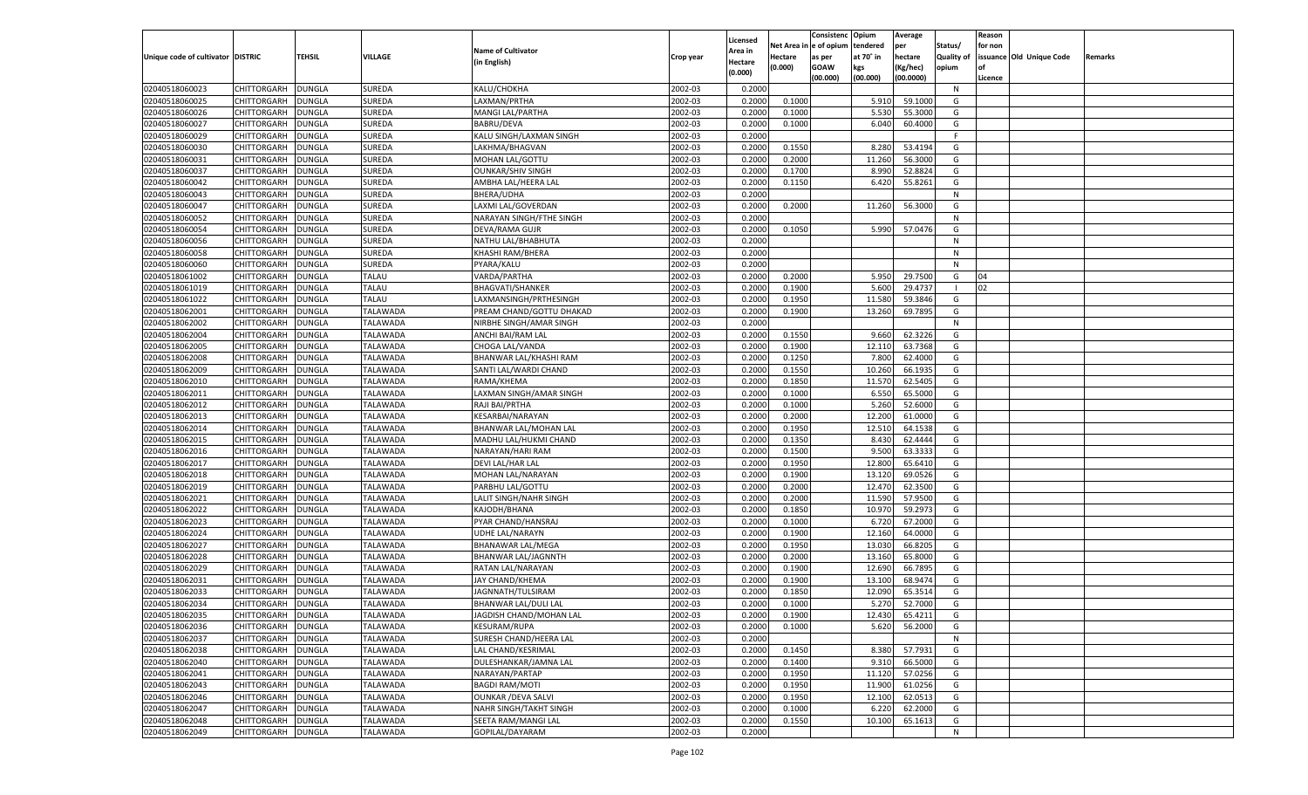|                                   |                    |               |                 |                            |           |          |         | Consistenc Opium       |           | Average   |            | Reason  |                          |                |
|-----------------------------------|--------------------|---------------|-----------------|----------------------------|-----------|----------|---------|------------------------|-----------|-----------|------------|---------|--------------------------|----------------|
|                                   |                    |               |                 | <b>Name of Cultivator</b>  |           | Licensed |         | Net Area in e of opium | tendered  | per       | Status/    | for non |                          |                |
| Unique code of cultivator DISTRIC |                    | TEHSIL        | VILLAGE         |                            | Crop year | Area in  | Hectare | as per                 | at 70° in | hectare   | Quality of |         | issuance Old Unique Code | <b>Remarks</b> |
|                                   |                    |               |                 | (in English)               |           | Hectare  | (0.000) | <b>GOAW</b>            | kgs       | (Kg/hec)  | opium      |         |                          |                |
|                                   |                    |               |                 |                            |           | (0.000)  |         | (00.000)               | (00.000)  | (00.0000) |            | Licence |                          |                |
| 02040518060023                    | CHITTORGARH        | <b>DUNGLA</b> | SUREDA          | KALU/CHOKHA                | 2002-03   | 0.2000   |         |                        |           |           | N          |         |                          |                |
| 02040518060025                    | CHITTORGARH        | DUNGLA        | SUREDA          | LAXMAN/PRTHA               | 2002-03   | 0.2000   | 0.1000  |                        | 5.910     | 59.1000   | G          |         |                          |                |
| 02040518060026                    | CHITTORGARH        | DUNGLA        | SUREDA          | <b>MANGI LAL/PARTHA</b>    | 2002-03   | 0.2000   | 0.1000  |                        | 5.530     | 55.3000   | G          |         |                          |                |
| 02040518060027                    | CHITTORGARH        | DUNGLA        | SUREDA          | BABRU/DEVA                 | 2002-03   | 0.2000   | 0.1000  |                        | 6.040     | 60.4000   | G          |         |                          |                |
| 02040518060029                    | CHITTORGARH        | <b>DUNGLA</b> | SUREDA          | KALU SINGH/LAXMAN SINGH    | 2002-03   | 0.2000   |         |                        |           |           | F.         |         |                          |                |
| 02040518060030                    | CHITTORGARH        | DUNGLA        | SUREDA          | LAKHMA/BHAGVAN             | 2002-03   | 0.2000   | 0.1550  |                        | 8.280     | 53.4194   | G          |         |                          |                |
| 02040518060031                    | CHITTORGARH        | <b>DUNGLA</b> | SUREDA          | <b>MOHAN LAL/GOTTU</b>     | 2002-03   | 0.2000   | 0.2000  |                        | 11.260    | 56.3000   | G          |         |                          |                |
| 02040518060037                    | CHITTORGARH        | DUNGLA        | SUREDA          | <b>OUNKAR/SHIV SINGH</b>   | 2002-03   | 0.2000   | 0.1700  |                        | 8.990     | 52.8824   | G          |         |                          |                |
|                                   |                    |               | SUREDA          | AMBHA LAL/HEERA LAL        | 2002-03   |          |         |                        |           |           | G          |         |                          |                |
| 02040518060042                    | CHITTORGARH        | <b>DUNGLA</b> |                 |                            |           | 0.2000   | 0.1150  |                        | 6.420     | 55.8261   |            |         |                          |                |
| 02040518060043                    | CHITTORGARH        | DUNGLA        | SUREDA          | BHERA/UDHA                 | 2002-03   | 0.2000   |         |                        |           |           | N          |         |                          |                |
| 02040518060047                    | CHITTORGARH        | <b>DUNGLA</b> | SUREDA          | LAXMI LAL/GOVERDAN         | 2002-03   | 0.2000   | 0.2000  |                        | 11.260    | 56.3000   | G          |         |                          |                |
| 02040518060052                    | CHITTORGARH        | DUNGLA        | SUREDA          | NARAYAN SINGH/FTHE SINGH   | 2002-03   | 0.2000   |         |                        |           |           | N          |         |                          |                |
| 02040518060054                    | CHITTORGARH        | DUNGLA        | SUREDA          | DEVA/RAMA GUJR             | 2002-03   | 0.2000   | 0.1050  |                        | 5.990     | 57.0476   | G          |         |                          |                |
| 02040518060056                    | CHITTORGARH        | DUNGLA        | SUREDA          | NATHU LAL/BHABHUTA         | 2002-03   | 0.2000   |         |                        |           |           | N          |         |                          |                |
| 02040518060058                    | CHITTORGARH        | DUNGLA        | SUREDA          | <b>KHASHI RAM/BHERA</b>    | 2002-03   | 0.2000   |         |                        |           |           | N          |         |                          |                |
| 02040518060060                    | CHITTORGARH        | DUNGLA        | <b>SUREDA</b>   | PYARA/KALU                 | 2002-03   | 0.2000   |         |                        |           |           | N          |         |                          |                |
| 02040518061002                    | CHITTORGARH        | DUNGLA        | <b>TALAU</b>    | VARDA/PARTHA               | 2002-03   | 0.2000   | 0.2000  |                        | 5.950     | 29.7500   | G          | 04      |                          |                |
| 02040518061019                    | CHITTORGARH        | DUNGLA        | <b>TALAU</b>    | <b>BHAGVATI/SHANKER</b>    | 2002-03   | 0.2000   | 0.1900  |                        | 5.600     | 29.4737   | - 1        | 02      |                          |                |
| 02040518061022                    | CHITTORGARH        | DUNGLA        | TALAU           | LAXMANSINGH/PRTHESINGH     | 2002-03   | 0.2000   | 0.1950  |                        | 11.580    | 59.3846   | G          |         |                          |                |
| 02040518062001                    | CHITTORGARH        | DUNGLA        | <b>TALAWADA</b> | PREAM CHAND/GOTTU DHAKAD   | 2002-03   | 0.2000   | 0.1900  |                        | 13.260    | 69.7895   | G          |         |                          |                |
| 02040518062002                    | CHITTORGARH        | DUNGLA        | TALAWADA        | NIRBHE SINGH/AMAR SINGH    | 2002-03   | 0.2000   |         |                        |           |           | N          |         |                          |                |
| 02040518062004                    | CHITTORGARH        | DUNGLA        | TALAWADA        | ANCHI BAI/RAM LAL          | 2002-03   | 0.2000   | 0.1550  |                        | 9.660     | 62.3226   | G          |         |                          |                |
| 02040518062005                    | CHITTORGARH        | DUNGLA        | TALAWADA        | CHOGA LAL/VANDA            | 2002-03   | 0.2000   | 0.1900  |                        | 12.110    | 63.7368   | G          |         |                          |                |
| 02040518062008                    | CHITTORGARH        | DUNGLA        | <b>TALAWADA</b> | BHANWAR LAL/KHASHI RAM     | 2002-03   | 0.2000   | 0.1250  |                        | 7.800     | 62.4000   | G          |         |                          |                |
| 02040518062009                    | CHITTORGARH        | DUNGLA        | TALAWADA        | SANTI LAL/WARDI CHAND      | 2002-03   | 0.2000   | 0.1550  |                        | 10.260    | 66.1935   | G          |         |                          |                |
| 02040518062010                    | CHITTORGARH        | DUNGLA        | TALAWADA        | RAMA/KHEMA                 | 2002-03   | 0.2000   | 0.1850  |                        | 11.570    | 62.5405   | G          |         |                          |                |
| 02040518062011                    | CHITTORGARH        | DUNGLA        | TALAWADA        | LAXMAN SINGH/AMAR SINGH    | 2002-03   | 0.2000   | 0.1000  |                        | 6.550     | 65.5000   | G          |         |                          |                |
| 02040518062012                    | CHITTORGARH        | DUNGLA        | TALAWADA        | RAJI BAI/PRTHA             | 2002-03   | 0.2000   | 0.1000  |                        | 5.260     | 52.6000   | G          |         |                          |                |
|                                   |                    |               |                 |                            | 2002-03   | 0.2000   |         |                        |           | 61.0000   | G          |         |                          |                |
| 02040518062013                    | CHITTORGARH        | DUNGLA        | TALAWADA        | KESARBAI/NARAYAN           |           |          | 0.2000  |                        | 12.200    |           |            |         |                          |                |
| 02040518062014                    | CHITTORGARH        | DUNGLA        | TALAWADA        | BHANWAR LAL/MOHAN LAL      | 2002-03   | 0.2000   | 0.1950  |                        | 12.510    | 64.1538   | G          |         |                          |                |
| 02040518062015                    | CHITTORGARH        | DUNGLA        | TALAWADA        | MADHU LAL/HUKMI CHAND      | 2002-03   | 0.2000   | 0.1350  |                        | 8.430     | 62.4444   | G          |         |                          |                |
| 02040518062016                    | CHITTORGARH        | DUNGLA        | TALAWADA        | NARAYAN/HARI RAM           | 2002-03   | 0.2000   | 0.1500  |                        | 9.500     | 63.3333   | G          |         |                          |                |
| 02040518062017                    | CHITTORGARH        | DUNGLA        | <b>TALAWADA</b> | DEVI LAL/HAR LAL           | 2002-03   | 0.2000   | 0.1950  |                        | 12.800    | 65.6410   | G          |         |                          |                |
| 02040518062018                    | CHITTORGARH        | DUNGLA        | TALAWADA        | MOHAN LAL/NARAYAN          | 2002-03   | 0.2000   | 0.1900  |                        | 13.120    | 69.0526   | G          |         |                          |                |
| 02040518062019                    | CHITTORGARH        | DUNGLA        | TALAWADA        | PARBHU LAL/GOTTU           | 2002-03   | 0.2000   | 0.2000  |                        | 12.470    | 62.3500   | G          |         |                          |                |
| 02040518062021                    | CHITTORGARH        | DUNGLA        | TALAWADA        | LALIT SINGH/NAHR SINGH     | 2002-03   | 0.2000   | 0.2000  |                        | 11.590    | 57.9500   | G          |         |                          |                |
| 02040518062022                    | CHITTORGARH        | DUNGLA        | TALAWADA        | KAJODH/BHANA               | 2002-03   | 0.2000   | 0.1850  |                        | 10.970    | 59.2973   | G          |         |                          |                |
| 02040518062023                    | CHITTORGARH        | DUNGLA        | TALAWADA        | PYAR CHAND/HANSRAJ         | 2002-03   | 0.2000   | 0.1000  |                        | 6.720     | 67.2000   | G          |         |                          |                |
| 02040518062024                    | CHITTORGARH        | DUNGLA        | TALAWADA        | <b>UDHE LAL/NARAYN</b>     | 2002-03   | 0.2000   | 0.1900  |                        | 12.160    | 64.0000   | G          |         |                          |                |
| 02040518062027                    | CHITTORGARH        | DUNGLA        | TALAWADA        | <b>BHANAWAR LAL/MEGA</b>   | 2002-03   | 0.2000   | 0.1950  |                        | 13.030    | 66.8205   | G          |         |                          |                |
| 02040518062028                    | CHITTORGARH        | DUNGLA        | TALAWADA        | BHANWAR LAL/JAGNNTH        | 2002-03   | 0.2000   | 0.2000  |                        | 13.160    | 65.8000   | G          |         |                          |                |
| 02040518062029                    | CHITTORGARH        | DUNGLA        | TALAWADA        | RATAN LAL/NARAYAN          | 2002-03   | 0.2000   | 0.1900  |                        | 12.690    | 66.7895   | G          |         |                          |                |
| 02040518062031                    | CHITTORGARH        | DUNGLA        | TALAWADA        | JAY CHAND/KHEMA            | 2002-03   | 0.2000   | 0.1900  |                        | 13.100    | 68.9474   | G          |         |                          |                |
| 02040518062033                    | CHITTORGARH        | DUNGLA        | TALAWADA        | JAGNNATH/TULSIRAM          | 2002-03   | 0.2000   | 0.1850  |                        | 12.090    | 65.3514   | G          |         |                          |                |
| 02040518062034                    | CHITTORGARH        | DUNGLA        | TALAWADA        | BHANWAR LAL/DULI LAL       | 2002-03   | 0.2000   | 0.1000  |                        | 5.270     | 52.7000   | G          |         |                          |                |
| 02040518062035                    | CHITTORGARH        | <b>DUNGLA</b> | <b>TALAWADA</b> | JAGDISH CHAND/MOHAN LAL    | 2002-03   | 0.2000   | 0.1900  |                        | 12.430    | 65.4211   | G          |         |                          |                |
| 02040518062036                    | CHITTORGARH        | <b>DUNGLA</b> | <b>TALAWADA</b> | KESURAM/RUPA               | 2002-03   | 0.2000   | 0.1000  |                        | 5.620     | 56.2000   | G          |         |                          |                |
| 02040518062037                    | <b>CHITTORGARH</b> | <b>DUNGLA</b> | <b>TALAWADA</b> | SURESH CHAND/HEERA LAL     | 2002-03   | 0.2000   |         |                        |           |           | N          |         |                          |                |
| 02040518062038                    | <b>CHITTORGARH</b> | <b>DUNGLA</b> | <b>TALAWADA</b> | LAL CHAND/KESRIMAL         | 2002-03   | 0.2000   | 0.1450  |                        | 8.380     | 57.7931   | G          |         |                          |                |
|                                   |                    |               |                 | DULESHANKAR/JAMNA LAL      |           |          |         |                        |           |           | G          |         |                          |                |
| 02040518062040                    | <b>CHITTORGARH</b> | <b>DUNGLA</b> | <b>TALAWADA</b> |                            | 2002-03   | 0.2000   | 0.1400  |                        | 9.310     | 66.5000   |            |         |                          |                |
| 02040518062041                    | <b>CHITTORGARH</b> | <b>DUNGLA</b> | <b>TALAWADA</b> | NARAYAN/PARTAP             | 2002-03   | 0.2000   | 0.1950  |                        | 11.120    | 57.0256   | G          |         |                          |                |
| 02040518062043                    | <b>CHITTORGARH</b> | <b>DUNGLA</b> | <b>TALAWADA</b> | <b>BAGDI RAM/MOTI</b>      | 2002-03   | 0.2000   | 0.1950  |                        | 11.900    | 61.0256   | G          |         |                          |                |
| 02040518062046                    | <b>CHITTORGARH</b> | <b>DUNGLA</b> | <b>TALAWADA</b> | <b>OUNKAR / DEVA SALVI</b> | 2002-03   | 0.2000   | 0.1950  |                        | 12.100    | 62.0513   | G          |         |                          |                |
| 02040518062047                    | <b>CHITTORGARH</b> | <b>DUNGLA</b> | <b>TALAWADA</b> | NAHR SINGH/TAKHT SINGH     | 2002-03   | 0.2000   | 0.1000  |                        | 6.220     | 62.2000   | G          |         |                          |                |
| 02040518062048                    | <b>CHITTORGARH</b> | <b>DUNGLA</b> | <b>TALAWADA</b> | SEETA RAM/MANGI LAL        | 2002-03   | 0.2000   | 0.1550  |                        | 10.100    | 65.1613   | G          |         |                          |                |
| 02040518062049                    | <b>CHITTORGARH</b> | <b>DUNGLA</b> | <b>TALAWADA</b> | GOPILAL/DAYARAM            | 2002-03   | 0.2000   |         |                        |           |           | N          |         |                          |                |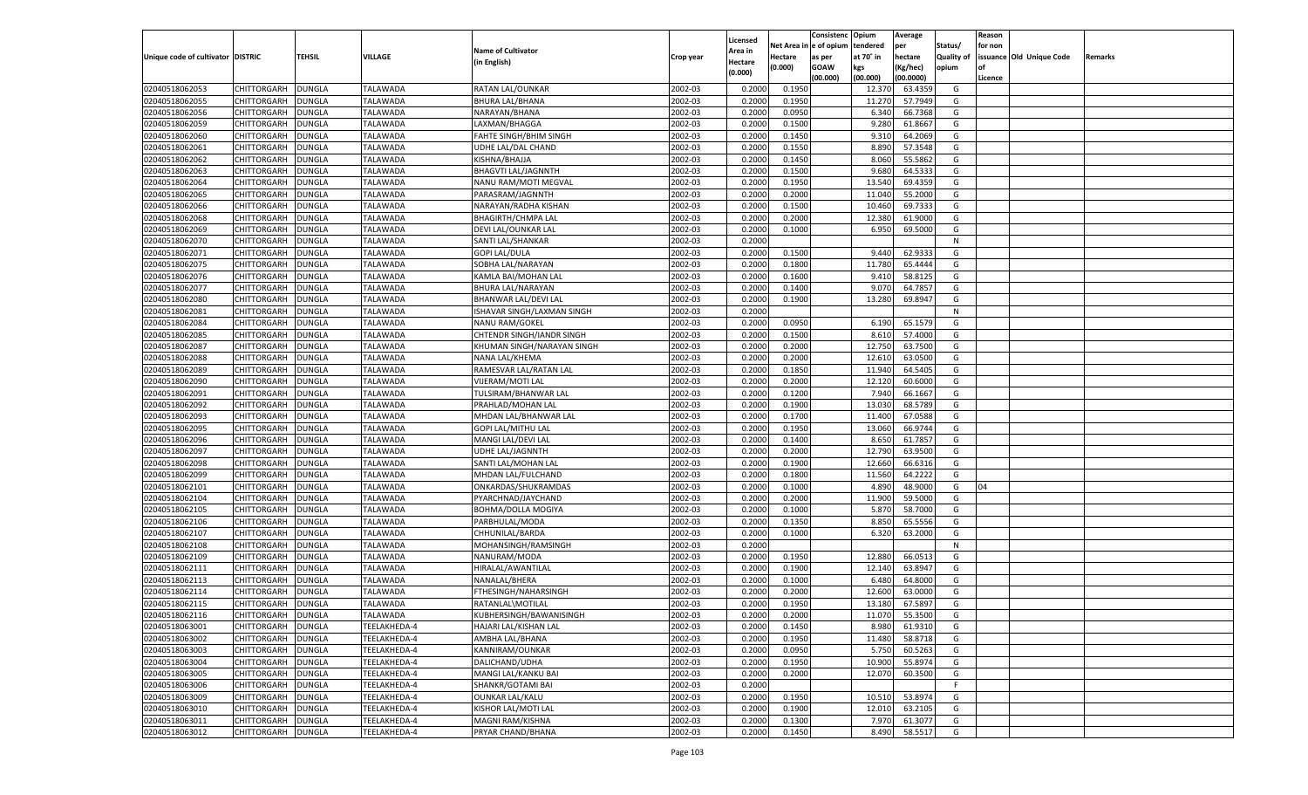|                                   |                    |               |                 |                            |           |                    |                  | Consistenc   | Opium     | Average   |                   | Reason  |                          |         |
|-----------------------------------|--------------------|---------------|-----------------|----------------------------|-----------|--------------------|------------------|--------------|-----------|-----------|-------------------|---------|--------------------------|---------|
|                                   |                    |               |                 |                            |           | Licensed           | Net Area i       | n e of opium | tendered  | per       | Status/           | for non |                          |         |
| Unique code of cultivator DISTRIC |                    | TEHSIL        | VILLAGE         | <b>Name of Cultivator</b>  | Crop year | Area in            | Hectare          | as per       | at 70° in | hectare   | <b>Quality of</b> |         | issuance Old Unique Code | Remarks |
|                                   |                    |               |                 | (in English)               |           | Hectare<br>(0.000) | (0.000)          | <b>GOAW</b>  | kgs       | (Kg/hec)  | opium             |         |                          |         |
|                                   |                    |               |                 |                            |           |                    |                  | (00.000)     | (00.000)  | (00.0000) |                   | Licence |                          |         |
| 02040518062053                    | CHITTORGARH        | DUNGLA        | <b>TALAWADA</b> | RATAN LAL/OUNKAR           | 2002-03   | 0.2000             | 0.1950           |              | 12.370    | 63.4359   | G                 |         |                          |         |
| 02040518062055                    | CHITTORGARH        | DUNGLA        | TALAWADA        | <b>BHURA LAL/BHANA</b>     | 2002-03   | 0.2000             | 0.1950           |              | 11.270    | 57.7949   | G                 |         |                          |         |
| 02040518062056                    | CHITTORGARH        | DUNGLA        | TALAWADA        | NARAYAN/BHANA              | 2002-03   | 0.2000             | 0.0950           |              | 6.340     | 66.7368   | G                 |         |                          |         |
| 02040518062059                    | CHITTORGARH        | DUNGLA        | TALAWADA        | LAXMAN/BHAGGA              | 2002-03   | 0.2000             | 0.1500           |              | 9.280     | 61.8667   | G                 |         |                          |         |
| 02040518062060                    | CHITTORGARH        | DUNGLA        | <b>TALAWADA</b> | FAHTE SINGH/BHIM SINGH     | 2002-03   | 0.2000             | 0.1450           |              | 9.310     | 64.2069   | G                 |         |                          |         |
| 02040518062061                    | CHITTORGARH        | DUNGLA        | TALAWADA        | UDHE LAL/DAL CHAND         | 2002-03   | 0.2000             | 0.1550           |              | 8.890     | 57.3548   | G                 |         |                          |         |
| 02040518062062                    | CHITTORGARH        | DUNGLA        | TALAWADA        | KISHNA/BHAJJA              | 2002-03   | 0.2000             | 0.1450           |              | 8.060     | 55.5862   | G                 |         |                          |         |
| 02040518062063                    | CHITTORGARH        | DUNGLA        | TALAWADA        | <b>BHAGVTI LAL/JAGNNTH</b> | 2002-03   | 0.2000             | 0.1500           |              | 9.680     | 64.5333   | G                 |         |                          |         |
| 02040518062064                    | CHITTORGARH        | DUNGLA        | <b>TALAWADA</b> | NANU RAM/MOTI MEGVAL       | 2002-03   | 0.2000             | 0.1950           |              | 13.540    | 69.4359   | G                 |         |                          |         |
| 02040518062065                    | CHITTORGARH        | DUNGLA        | TALAWADA        | PARASRAM/JAGNNTH           | 2002-03   | 0.2000             | 0.2000           |              | 11.040    | 55.2000   | G                 |         |                          |         |
| 02040518062066                    | CHITTORGARH        | DUNGLA        | TALAWADA        | NARAYAN/RADHA KISHAN       | 2002-03   | 0.2000             | 0.1500           |              | 10.460    | 69.7333   | G                 |         |                          |         |
| 02040518062068                    | CHITTORGARH        | DUNGLA        | TALAWADA        | <b>BHAGIRTH/CHMPA LAL</b>  | 2002-03   | 0.2000             | 0.2000           |              | 12.380    | 61.9000   | G                 |         |                          |         |
| 02040518062069                    | CHITTORGARH        | DUNGLA        | <b>TALAWADA</b> | DEVI LAL/OUNKAR LAL        | 2002-03   | 0.2000             | 0.1000           |              | 6.950     | 69.5000   | G                 |         |                          |         |
| 02040518062070                    | CHITTORGARH        | DUNGLA        | TALAWADA        | SANTI LAL/SHANKAR          | 2002-03   | 0.2000             |                  |              |           |           | N                 |         |                          |         |
| 02040518062071                    | CHITTORGARH        | DUNGLA        | <b>TALAWADA</b> | <b>GOPI LAL/DULA</b>       | 2002-03   | 0.2000             | 0.1500           |              | 9.440     | 62.9333   | G                 |         |                          |         |
| 02040518062075                    | CHITTORGARH        | DUNGLA        | TALAWADA        | SOBHA LAL/NARAYAN          | 2002-03   | 0.2000             | 0.1800           |              | 11.780    | 65.4444   | G                 |         |                          |         |
| 02040518062076                    | CHITTORGARH        | DUNGLA        | <b>TALAWADA</b> | KAMLA BAI/MOHAN LAL        | 2002-03   | 0.2000             | 0.1600           |              | 9.410     | 58.8125   | G                 |         |                          |         |
| 02040518062077                    | CHITTORGARH        | DUNGLA        | TALAWADA        | BHURA LAL/NARAYAN          | 2002-03   | 0.2000             | 0.1400           |              | 9.070     | 64.7857   | G                 |         |                          |         |
| 02040518062080                    | CHITTORGARH        | DUNGLA        | <b>TALAWADA</b> | BHANWAR LAL/DEVI LAL       | 2002-03   | 0.2000             | 0.1900           |              | 13.280    | 69.8947   | G                 |         |                          |         |
| 02040518062081                    | CHITTORGARH        | DUNGLA        | TALAWADA        | ISHAVAR SINGH/LAXMAN SINGH | 2002-03   | 0.2000             |                  |              |           |           | N                 |         |                          |         |
| 02040518062084                    | CHITTORGARH        | DUNGLA        | <b>TALAWADA</b> | <b>NANU RAM/GOKEL</b>      | 2002-03   | 0.2000             | 0.0950           |              | 6.190     | 65.1579   | G                 |         |                          |         |
| 02040518062085                    | CHITTORGARH        | DUNGLA        | TALAWADA        | CHTENDR SINGH/IANDR SINGH  | 2002-03   | 0.2000             | 0.1500           |              | 8.610     | 57.4000   | G                 |         |                          |         |
| 02040518062087                    | CHITTORGARH        | DUNGLA        | <b>TALAWADA</b> | KHUMAN SINGH/NARAYAN SINGH | 2002-03   | 0.2000             | 0.2000           |              | 12.750    | 63.7500   | G                 |         |                          |         |
| 02040518062088                    | CHITTORGARH        | DUNGLA        | TALAWADA        | NANA LAL/KHEMA             | 2002-03   | 0.2000             | 0.2000           |              | 12.610    | 63.0500   | G                 |         |                          |         |
| 02040518062089                    | CHITTORGARH        | DUNGLA        | <b>TALAWADA</b> | RAMESVAR LAL/RATAN LAL     | 2002-03   | 0.2000             | 0.1850           |              | 11.940    | 64.5405   | G                 |         |                          |         |
| 02040518062090                    | CHITTORGARH        | DUNGLA        | TALAWADA        | VIJERAM/MOTI LAL           | 2002-03   | 0.2000             | 0.2000           |              | 12.120    | 60.6000   | G                 |         |                          |         |
| 02040518062091                    | CHITTORGARH        | DUNGLA        | <b>TALAWADA</b> | TULSIRAM/BHANWAR LAL       | 2002-03   | 0.2000             | 0.1200           |              | 7.940     | 66.1667   | G                 |         |                          |         |
| 02040518062092                    | CHITTORGARH        | DUNGLA        | TALAWADA        | PRAHLAD/MOHAN LAL          | 2002-03   | 0.2000             | 0.1900           |              | 13.030    | 68.5789   | G                 |         |                          |         |
| 02040518062093                    | CHITTORGARH        | DUNGLA        | <b>TALAWADA</b> | MHDAN LAL/BHANWAR LAL      | 2002-03   | 0.2000             | 0.1700           |              | 11.400    | 67.0588   | G                 |         |                          |         |
| 02040518062095                    | CHITTORGARH        | DUNGLA        | <b>TALAWADA</b> | GOPI LAL/MITHU LAL         | 2002-03   | 0.2000             | 0.1950           |              | 13.060    | 66.9744   | G                 |         |                          |         |
| 02040518062096                    | CHITTORGARH        | DUNGLA        | <b>TALAWADA</b> | MANGI LAL/DEVI LAL         | 2002-03   | 0.2000             | 0.1400           |              | 8.650     | 61.785    | G                 |         |                          |         |
| 02040518062097                    | CHITTORGARH        | DUNGLA        | TALAWADA        | <b>UDHE LAL/JAGNNTH</b>    | 2002-03   | 0.2000             | 0.2000           |              | 12.790    | 63.9500   | G                 |         |                          |         |
| 02040518062098                    | CHITTORGARH        | DUNGLA        | <b>TALAWADA</b> | SANTI LAL/MOHAN LAL        | 2002-03   | 0.2000             | 0.1900           |              | 12.660    | 66.6316   | G                 |         |                          |         |
| 02040518062099                    | CHITTORGARH        | DUNGLA        | TALAWADA        | MHDAN LAL/FULCHAND         | 2002-03   | 0.2000             | 0.1800           |              | 11.560    | 64.2222   | G                 |         |                          |         |
| 02040518062101                    | CHITTORGARH        | DUNGLA        | <b>TALAWADA</b> | ONKARDAS/SHUKRAMDAS        | 2002-03   | 0.2000             | 0.1000           |              | 4.890     | 48.9000   | G                 | 04      |                          |         |
| 02040518062104                    | CHITTORGARH        | DUNGLA        | TALAWADA        | PYARCHNAD/JAYCHAND         | 2002-03   | 0.2000             | 0.2000           |              | 11.900    | 59.5000   | G                 |         |                          |         |
| 02040518062105                    | CHITTORGARH        | DUNGLA        | <b>TALAWADA</b> | <b>BOHMA/DOLLA MOGIYA</b>  | 2002-03   | 0.2000             | 0.1000           |              | 5.870     | 58.7000   | G                 |         |                          |         |
| 02040518062106                    | CHITTORGARH        | DUNGLA        | TALAWADA        | PARBHULAL/MODA             | 2002-03   | 0.2000             | 0.1350           |              | 8.850     | 65.5556   | G                 |         |                          |         |
| 02040518062107                    | CHITTORGARH        | DUNGLA        | <b>TALAWADA</b> | CHHUNILAL/BARDA            | 2002-03   | 0.2000             | 0.1000           |              | 6.320     | 63.2000   | G                 |         |                          |         |
| 02040518062108                    | CHITTORGARH        | DUNGLA        | TALAWADA        | MOHANSINGH/RAMSINGH        | 2002-03   | 0.2000             |                  |              |           |           | N                 |         |                          |         |
| 02040518062109                    | CHITTORGARH        | DUNGLA        | <b>TALAWADA</b> | NANURAM/MODA               | 2002-03   | 0.2000             | 0.1950           |              | 12.880    | 66.0513   | G                 |         |                          |         |
| 02040518062111                    | CHITTORGARH        | DUNGLA        | TALAWADA        | HIRALAL/AWANTILAL          | 2002-03   | 0.2000             | 0.1900           |              | 12.140    | 63.8947   | G                 |         |                          |         |
| 02040518062113                    | CHITTORGARH        | DUNGLA        | <b>TALAWADA</b> | NANALAL/BHERA              | 2002-03   | 0.2000             | 0.1000           |              | 6.480     | 64.8000   | G                 |         |                          |         |
| 02040518062114                    |                    |               |                 |                            | 2002-03   | 0.2000             |                  |              | 12.600    | 63.0000   | G                 |         |                          |         |
|                                   | CHITTORGARH        | DUNGLA        | TALAWADA        | FTHESINGH/NAHARSINGH       |           |                    | 0.2000<br>0.1950 |              |           | 67.5897   |                   |         |                          |         |
| 02040518062115                    | CHITTORGARH        | <b>DUNGLA</b> | TALAWADA        | RATANLAL\MOTILAL           | 2002-03   | 0.2000             |                  |              | 13.180    |           | G                 |         |                          |         |
| 02040518062116                    | CHITTORGARH        | <b>DUNGLA</b> | <b>TALAWADA</b> | KUBHERSINGH/BAWANISINGH    | 2002-03   | 0.2000             | 0.2000           |              | 11.070    | 55.3500   | G                 |         |                          |         |
| 02040518063001                    | <b>CHITTORGARH</b> | <b>DUNGLA</b> | TEELAKHEDA-4    | HAJARI LAL/KISHAN LAL      | 2002-03   | 0.2000             | 0.1450           |              | 8.980     | 61.9310   | G                 |         |                          |         |
| 02040518063002                    | CHITTORGARH        | <b>DUNGLA</b> | TEELAKHEDA-4    | AMBHA LAL/BHANA            | 2002-03   | 0.2000             | 0.1950           |              | 11.480    | 58.8718   | G                 |         |                          |         |
| 02040518063003                    | CHITTORGARH        | <b>DUNGLA</b> | TEELAKHEDA-4    | KANNIRAM/OUNKAR            | 2002-03   | 0.2000             | 0.0950           |              | 5.750     | 60.5263   | G                 |         |                          |         |
| 02040518063004                    | CHITTORGARH        | <b>DUNGLA</b> | TEELAKHEDA-4    | DALICHAND/UDHA             | 2002-03   | 0.2000             | 0.1950           |              | 10.900    | 55.8974   | G                 |         |                          |         |
| 02040518063005                    | CHITTORGARH        | <b>DUNGLA</b> | TEELAKHEDA-4    | MANGI LAL/KANKU BAI        | 2002-03   | 0.2000             | 0.2000           |              | 12.070    | 60.3500   | G                 |         |                          |         |
| 02040518063006                    | CHITTORGARH        | <b>DUNGLA</b> | TEELAKHEDA-4    | SHANKR/GOTAMI BAI          | 2002-03   | 0.2000             |                  |              |           |           | F                 |         |                          |         |
| 02040518063009                    | CHITTORGARH        | <b>DUNGLA</b> | TEELAKHEDA-4    | <b>OUNKAR LAL/KALU</b>     | 2002-03   | 0.2000             | 0.1950           |              | 10.510    | 53.8974   | G                 |         |                          |         |
| 02040518063010                    | CHITTORGARH        | <b>DUNGLA</b> | TEELAKHEDA-4    | KISHOR LAL/MOTI LAL        | 2002-03   | 0.2000             | 0.1900           |              | 12.010    | 63.2105   | G                 |         |                          |         |
| 02040518063011                    | CHITTORGARH        | <b>DUNGLA</b> | TEELAKHEDA-4    | MAGNI RAM/KISHNA           | 2002-03   | 0.2000             | 0.1300           |              | 7.970     | 61.3077   | G                 |         |                          |         |
| 02040518063012                    | <b>CHITTORGARH</b> | <b>DUNGLA</b> | TEELAKHEDA-4    | PRYAR CHAND/BHANA          | 2002-03   | 0.2000             | 0.1450           |              | 8.490     | 58.5517   | G                 |         |                          |         |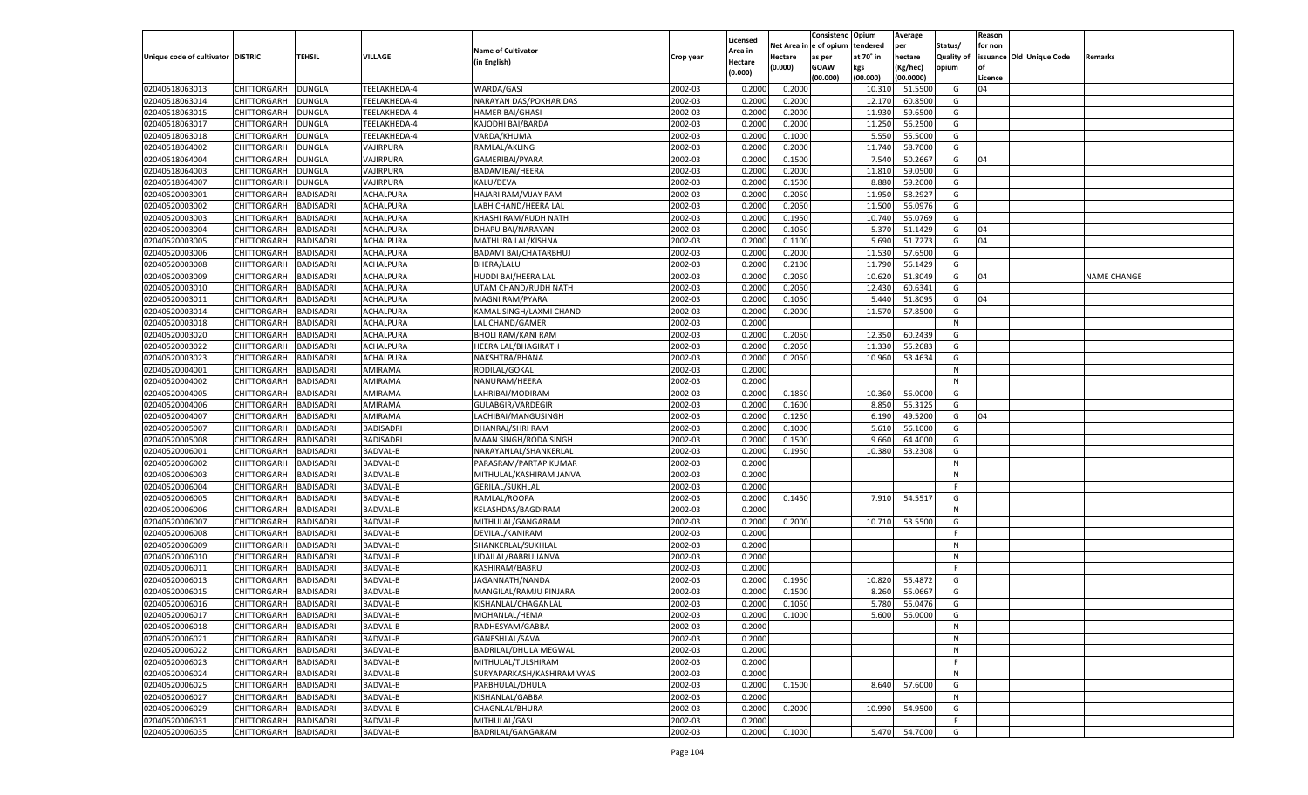| n e of opium<br>Net Area iı<br>tendered<br>per<br>Status/<br>for non<br><b>Name of Cultivator</b><br>Area in<br>Unique code of cultivator DISTRIC<br>TEHSIL<br><b>VILLAGE</b><br>at 70° in<br>hectare<br><b>Quality of</b><br>issuance Old Unique Code<br>Hectare<br>as per<br>Crop year<br>Remarks<br>(in English)<br>Hectare<br>(0.000)<br><b>GOAW</b><br>kgs<br>(Kg/hec)<br>opium<br>(0.000)<br>(00.000)<br>(00.000)<br>(00.0000)<br>Licence<br>CHITTORGARH<br>TEELAKHEDA-4<br>WARDA/GASI<br>2002-03<br>0.2000<br>51.5500<br>02040518063013<br><b>DUNGLA</b><br>0.2000<br>10.31<br>G<br>04<br>02040518063014<br>2002-03<br>CHITTORGARH<br>DUNGLA<br>TEELAKHEDA-4<br>NARAYAN DAS/POKHAR DAS<br>0.2000<br>0.2000<br>12.170<br>60.8500<br>G<br>2002-03<br>0.2000<br>02040518063015<br>CHITTORGARH<br>DUNGLA<br>TEELAKHEDA-4<br><b>HAMER BAI/GHASI</b><br>0.2000<br>11.930<br>59.6500<br>G<br>02040518063017<br>2002-03<br>0.2000<br>CHITTORGARH<br>DUNGLA<br>TEELAKHEDA-4<br>KAJODHI BAI/BARDA<br>0.2000<br>11.250<br>56.2500<br>G<br>02040518063018<br>2002-03<br>5.550<br>55.5000<br>CHITTORGARH<br>DUNGLA<br>TEELAKHEDA-4<br>VARDA/KHUMA<br>0.2000<br>0.1000<br>G<br>02040518064002<br>2002-03<br>CHITTORGARH<br>DUNGLA<br>VAJIRPURA<br>RAMLAL/AKLING<br>0.2000<br>0.2000<br>11.740<br>58.7000<br>G<br>2002-03<br>02040518064004<br>CHITTORGARH<br>DUNGLA<br>VAJIRPURA<br>GAMERIBAI/PYARA<br>0.2000<br>0.1500<br>7.540<br>50.2667<br>G<br>04<br>02040518064003<br>2002-03<br>11.810<br>59.0500<br>CHITTORGARH<br>DUNGLA<br>VAJIRPURA<br>BADAMIBAI/HEERA<br>0.2000<br>0.2000<br>G<br>02040518064007<br>KALU/DEVA<br>2002-03<br>0.1500<br>8.880<br>59.2000<br>G<br>CHITTORGARH<br>DUNGLA<br>VAJIRPURA<br>0.2000<br>02040520003001<br>2002-03<br>CHITTORGARH<br>BADISADRI<br>ACHALPURA<br>HAJARI RAM/VIJAY RAM<br>0.2000<br>0.2050<br>11.950<br>58.2927<br>G<br>2002-03<br>0.2050<br>02040520003002<br>CHITTORGARH<br>BADISADRI<br>ACHALPURA<br>LABH CHAND/HEERA LAL<br>0.2000<br>11.500<br>56.0976<br>G<br>02040520003003<br>2002-03<br>10.74<br>CHITTORGARH<br>BADISADRI<br>ACHALPURA<br>KHASHI RAM/RUDH NATH<br>0.2000<br>0.1950<br>55.0769<br>G<br>02040520003004<br>2002-03<br>0.2000<br>5.370<br>51.1429<br>CHITTORGARH<br><b>BADISADRI</b><br>ACHALPURA<br>DHAPU BAI/NARAYAN<br>0.1050<br>G<br>04<br>02040520003005<br>2002-03<br>0.2000<br>5.690<br>51.7273<br>04<br>CHITTORGARH<br>BADISADRI<br>ACHALPURA<br>MATHURA LAL/KISHNA<br>0.1100<br>G<br>02040520003006<br>CHITTORGARH<br><b>BADISADRI</b><br>ACHALPURA<br>2002-03<br>0.2000<br>0.2000<br>11.530<br>57.6500<br>BADAMI BAI/CHATARBHUJ<br>G<br>02040520003008<br>CHITTORGARH<br>2002-03<br>11.790<br>56.1429<br>BADISADRI<br>ACHALPURA<br>BHERA/LALU<br>0.2000<br>0.2100<br>G<br>02040520003009<br>CHITTORGARH<br><b>BADISADRI</b><br>ACHALPURA<br>2002-03<br>0.2000<br>0.2050<br>10.620<br>51.8049<br>G<br>HUDDI BAI/HEERA LAL<br>04<br><b>NAME CHANGE</b><br>02040520003010<br>2002-03<br>12.430<br>60.6341<br>CHITTORGARH<br>BADISADRI<br>ACHALPURA<br>UTAM CHAND/RUDH NATH<br>0.2000<br>0.2050<br>G<br>02040520003011<br>CHITTORGARH<br><b>BADISADRI</b><br>ACHALPURA<br>2002-03<br>0.2000<br>0.1050<br>5.440<br>51.8095<br>MAGNI RAM/PYARA<br>G<br>04<br>02040520003014<br>CHITTORGARH<br>2002-03<br>11.570<br>57.8500<br>BADISADRI<br>ACHALPURA<br>KAMAL SINGH/LAXMI CHAND<br>0.2000<br>0.2000<br>G<br>02040520003018<br>CHITTORGARH<br><b>BADISADRI</b><br>ACHALPURA<br>LAL CHAND/GAMER<br>2002-03<br>0.2000<br>N<br>02040520003020<br>2002-03<br>0.2050<br>12.350<br>60.2439<br>CHITTORGARH<br>BADISADRI<br>ACHALPURA<br><b>BHOLI RAM/KANI RAM</b><br>0.2000<br>G<br>02040520003022<br>CHITTORGARH<br><b>BADISADRI</b><br>ACHALPURA<br>2002-03<br>0.2000<br>0.2050<br>55.2683<br>HEERA LAL/BHAGIRATH<br>11.330<br>G<br>02040520003023<br>CHITTORGARH<br>NAKSHTRA/BHANA<br>2002-03<br>0.2000<br>10.960<br>BADISADRI<br>ACHALPURA<br>0.2050<br>53.4634<br>G<br>02040520004001<br>CHITTORGARH<br><b>BADISADRI</b><br>AMIRAMA<br>RODILAL/GOKAL<br>2002-03<br>0.2000<br>N<br>02040520004002<br>AMIRAMA<br>2002-03<br>CHITTORGARH<br>BADISADRI<br>NANURAM/HEERA<br>0.2000<br>N<br>02040520004005<br>CHITTORGARH<br><b>BADISADRI</b><br>AMIRAMA<br>2002-03<br>0.2000<br>0.1850<br>56.0000<br>LAHRIBAI/MODIRAM<br>10.360<br>G<br>02040520004006<br>CHITTORGARH<br>2002-03<br>8.850<br>BADISADRI<br>AMIRAMA<br><b>GULABGIR/VARDEGIR</b><br>0.2000<br>0.1600<br>55.3125<br>G<br>02040520004007<br>CHITTORGARH<br><b>BADISADRI</b><br>AMIRAMA<br>2002-03<br>0.2000<br>0.1250<br>49.5200<br>G<br>LACHIBAI/MANGUSINGH<br>6.190<br>04<br>02040520005007<br>2002-03<br>5.610<br>CHITTORGARH<br><b>BADISADRI</b><br><b>BADISADRI</b><br>DHANRAJ/SHRI RAM<br>0.2000<br>0.1000<br>56.1000<br>G<br>02040520005008<br><b>BADISADRI</b><br><b>BADISADRI</b><br>2002-03<br>0.2000<br>0.1500<br>9.660<br>64.4000<br>CHITTORGARH<br>MAAN SINGH/RODA SINGH<br>G<br>02040520006001<br>2002-03<br>10.380<br>53.2308<br>CHITTORGARH<br><b>BADISADRI</b><br><b>BADVAL-B</b><br>NARAYANLAL/SHANKERLAL<br>0.2000<br>0.1950<br>G<br>02040520006002<br><b>BADISADRI</b><br><b>BADVAL-B</b><br>2002-03<br>0.2000<br>CHITTORGARH<br>PARASRAM/PARTAP KUMAR<br>N<br>02040520006003<br>BADVAL-B<br>2002-03<br>CHITTORGARH<br><b>BADISADRI</b><br>MITHULAL/KASHIRAM JANVA<br>0.2000<br>N<br>02040520006004<br><b>BADISADRI</b><br><b>BADVAL-B</b><br><b>GERILAL/SUKHLAL</b><br>2002-03<br>CHITTORGARH<br>0.2000<br>E<br>02040520006005<br>RAMLAL/ROOPA<br>2002-03<br>7.910<br>54.5517<br>CHITTORGARH<br><b>BADISADRI</b><br><b>BADVAL-B</b><br>0.2000<br>0.1450<br>G<br>02040520006006<br><b>BADISADRI</b><br><b>BADVAL-B</b><br>2002-03<br>0.2000<br>CHITTORGARH<br>KELASHDAS/BAGDIRAM<br>N<br>02040520006007<br>2002-03<br>53.5500<br>CHITTORGARH<br><b>BADISADRI</b><br><b>BADVAL-B</b><br>MITHULAL/GANGARAM<br>0.2000<br>0.2000<br>10.710<br>G<br>02040520006008<br><b>BADISADRI</b><br><b>BADVAL-B</b><br>2002-03<br>0.2000<br>CHITTORGARH<br>DEVILAL/KANIRAM<br>F.<br>02040520006009<br>2002-03<br>CHITTORGARH<br><b>BADISADRI</b><br><b>BADVAL-B</b><br>SHANKERLAL/SUKHLAL<br>0.2000<br>N<br>02040520006010<br><b>BADISADRI</b><br><b>BADVAL-B</b><br>2002-03<br>CHITTORGARH<br>UDAILAL/BABRU JANVA<br>0.2000<br>N<br>02040520006011<br>2002-03<br>CHITTORGARH<br><b>BADISADRI</b><br><b>BADVAL-B</b><br>KASHIRAM/BABRU<br>0.2000<br>F<br>02040520006013<br><b>BADVAL-B</b><br>2002-03<br>CHITTORGARH<br>BADISADRI<br>JAGANNATH/NANDA<br>0.2000<br>0.1950<br>10.820<br>55.4872<br>G<br>02040520006015<br>2002-03<br>CHITTORGARH<br>BADISADRI<br><b>BADVAL-B</b><br>MANGILAL/RAMJU PINJARA<br>0.2000<br>0.1500<br>8.260<br>55.0667<br>G<br>02040520006016<br><b>BADISADRI</b><br>2002-03<br>55.0476<br>CHITTORGARH<br><b>BADVAL-B</b><br>KISHANLAL/CHAGANLAL<br>0.2000<br>0.1050<br>5.780<br>G<br>02040520006017<br>CHITTORGARH BADISADRI<br><b>BADVAL-B</b><br>MOHANLAL/HEMA<br>2002-03<br>0.2000<br>0.1000<br>5.600 56.0000<br>G<br>2002-03<br>02040520006018<br><b>BADISADRI</b><br><b>BADVAL-B</b><br>RADHESYAM/GABBA<br>0.2000<br><b>CHITTORGARH</b><br>N<br>02040520006021<br><b>CHITTORGARH</b><br><b>BADISADRI</b><br><b>BADVAL-B</b><br>GANESHLAL/SAVA<br>2002-03<br>0.2000<br>N<br>2002-03<br>02040520006022<br>CHITTORGARH<br><b>BADISADRI</b><br><b>BADVAL-B</b><br><b>BADRILAL/DHULA MEGWAL</b><br>0.2000<br>N<br>02040520006023<br><b>CHITTORGARH</b><br><b>BADISADRI</b><br><b>BADVAL-B</b><br>MITHULAL/TULSHIRAM<br>2002-03<br>0.2000<br>F.<br>2002-03<br>02040520006024<br>CHITTORGARH<br><b>BADISADRI</b><br><b>BADVAL-B</b><br>SURYAPARKASH/KASHIRAM VYAS<br>0.2000<br>N<br>02040520006025<br>CHITTORGARH<br><b>BADISADRI</b><br><b>BADVAL-B</b><br>2002-03<br>0.2000<br>0.1500<br>8.640<br>57.6000<br>PARBHULAL/DHULA<br>G<br>2002-03<br>02040520006027<br>CHITTORGARH<br><b>BADISADRI</b><br><b>BADVAL-B</b><br>KISHANLAL/GABBA<br>0.2000<br>N<br>02040520006029<br><b>CHITTORGARH</b><br><b>BADISADRI</b><br><b>BADVAL-B</b><br>CHAGNLAL/BHURA<br>2002-03<br>0.2000<br>0.2000<br>10.990<br>54.9500<br>G<br>02040520006031<br><b>CHITTORGARH</b><br><b>BADISADRI</b><br><b>BADVAL-B</b><br>MITHULAL/GASI<br>2002-03<br>0.2000<br>F.<br>02040520006035<br><b>CHITTORGARH</b><br><b>BADISADRI</b><br><b>BADVAL-B</b><br>BADRILAL/GANGARAM<br>2002-03<br>0.1000<br>5.470<br>54.7000<br>G<br>0.2000 |  |  |  |          | Consistenc | Opium | Average | Reason |  |
|-------------------------------------------------------------------------------------------------------------------------------------------------------------------------------------------------------------------------------------------------------------------------------------------------------------------------------------------------------------------------------------------------------------------------------------------------------------------------------------------------------------------------------------------------------------------------------------------------------------------------------------------------------------------------------------------------------------------------------------------------------------------------------------------------------------------------------------------------------------------------------------------------------------------------------------------------------------------------------------------------------------------------------------------------------------------------------------------------------------------------------------------------------------------------------------------------------------------------------------------------------------------------------------------------------------------------------------------------------------------------------------------------------------------------------------------------------------------------------------------------------------------------------------------------------------------------------------------------------------------------------------------------------------------------------------------------------------------------------------------------------------------------------------------------------------------------------------------------------------------------------------------------------------------------------------------------------------------------------------------------------------------------------------------------------------------------------------------------------------------------------------------------------------------------------------------------------------------------------------------------------------------------------------------------------------------------------------------------------------------------------------------------------------------------------------------------------------------------------------------------------------------------------------------------------------------------------------------------------------------------------------------------------------------------------------------------------------------------------------------------------------------------------------------------------------------------------------------------------------------------------------------------------------------------------------------------------------------------------------------------------------------------------------------------------------------------------------------------------------------------------------------------------------------------------------------------------------------------------------------------------------------------------------------------------------------------------------------------------------------------------------------------------------------------------------------------------------------------------------------------------------------------------------------------------------------------------------------------------------------------------------------------------------------------------------------------------------------------------------------------------------------------------------------------------------------------------------------------------------------------------------------------------------------------------------------------------------------------------------------------------------------------------------------------------------------------------------------------------------------------------------------------------------------------------------------------------------------------------------------------------------------------------------------------------------------------------------------------------------------------------------------------------------------------------------------------------------------------------------------------------------------------------------------------------------------------------------------------------------------------------------------------------------------------------------------------------------------------------------------------------------------------------------------------------------------------------------------------------------------------------------------------------------------------------------------------------------------------------------------------------------------------------------------------------------------------------------------------------------------------------------------------------------------------------------------------------------------------------------------------------------------------------------------------------------------------------------------------------------------------------------------------------------------------------------------------------------------------------------------------------------------------------------------------------------------------------------------------------------------------------------------------------------------------------------------------------------------------------------------------------------------------------------------------------------------------------------------------------------------------------------------------------------------------------------------------------------------------------------------------------------------------------------------------------------------------------------------------------------------------------------------------------------------------------------------------------------------------------------------------------------------------------------------------------------------------------------------------------------------------------------------------------------------------------------------------------------------------------------------------------------------------------------------------------------------------------------------------------------------------------------------------------------------------------------------------------------------------------------------------------------------------------------------------------------------------------------------------------------------------------------------------------------------------------------------------------------------------------------------------------------------------------------------------------------------------------------------------------------------------------------------------------------------------------------------------------------------------------------------------------------------------------------------------------------------------------------------------------------------------------------------------------------------------------------------------------------------------------------------------------------------------------------------------------------------------------------------------------------------------------------------------------------------------------------------------------------------------------------------------------------------------------------------------------------------------------------------------------------------------------------------------------------------------------------------------------------------------------------------------------------------------------------------------------------------------------------------------------------------------------------------------------------------------------------------------------------------------------------------------------------------------------------------------------------------------------------------------------------|--|--|--|----------|------------|-------|---------|--------|--|
|                                                                                                                                                                                                                                                                                                                                                                                                                                                                                                                                                                                                                                                                                                                                                                                                                                                                                                                                                                                                                                                                                                                                                                                                                                                                                                                                                                                                                                                                                                                                                                                                                                                                                                                                                                                                                                                                                                                                                                                                                                                                                                                                                                                                                                                                                                                                                                                                                                                                                                                                                                                                                                                                                                                                                                                                                                                                                                                                                                                                                                                                                                                                                                                                                                                                                                                                                                                                                                                                                                                                                                                                                                                                                                                                                                                                                                                                                                                                                                                                                                                                                                                                                                                                                                                                                                                                                                                                                                                                                                                                                                                                                                                                                                                                                                                                                                                                                                                                                                                                                                                                                                                                                                                                                                                                                                                                                                                                                                                                                                                                                                                                                                                                                                                                                                                                                                                                                                                                                                                                                                                                                                                                                                                                                                                                                                                                                                                                                                                                                                                                                                                                                                                                                                                                                                                                                                                                                                                                                                                                                                                                                                                                                                                                                                                                                                                                                                                                                                                                                                                                                                                                                                                                                                                                                                                                                                                                                                                                                                                                                                                                                                                                                                                                                                                                                                                                                             |  |  |  | Licensed |            |       |         |        |  |
|                                                                                                                                                                                                                                                                                                                                                                                                                                                                                                                                                                                                                                                                                                                                                                                                                                                                                                                                                                                                                                                                                                                                                                                                                                                                                                                                                                                                                                                                                                                                                                                                                                                                                                                                                                                                                                                                                                                                                                                                                                                                                                                                                                                                                                                                                                                                                                                                                                                                                                                                                                                                                                                                                                                                                                                                                                                                                                                                                                                                                                                                                                                                                                                                                                                                                                                                                                                                                                                                                                                                                                                                                                                                                                                                                                                                                                                                                                                                                                                                                                                                                                                                                                                                                                                                                                                                                                                                                                                                                                                                                                                                                                                                                                                                                                                                                                                                                                                                                                                                                                                                                                                                                                                                                                                                                                                                                                                                                                                                                                                                                                                                                                                                                                                                                                                                                                                                                                                                                                                                                                                                                                                                                                                                                                                                                                                                                                                                                                                                                                                                                                                                                                                                                                                                                                                                                                                                                                                                                                                                                                                                                                                                                                                                                                                                                                                                                                                                                                                                                                                                                                                                                                                                                                                                                                                                                                                                                                                                                                                                                                                                                                                                                                                                                                                                                                                                                             |  |  |  |          |            |       |         |        |  |
|                                                                                                                                                                                                                                                                                                                                                                                                                                                                                                                                                                                                                                                                                                                                                                                                                                                                                                                                                                                                                                                                                                                                                                                                                                                                                                                                                                                                                                                                                                                                                                                                                                                                                                                                                                                                                                                                                                                                                                                                                                                                                                                                                                                                                                                                                                                                                                                                                                                                                                                                                                                                                                                                                                                                                                                                                                                                                                                                                                                                                                                                                                                                                                                                                                                                                                                                                                                                                                                                                                                                                                                                                                                                                                                                                                                                                                                                                                                                                                                                                                                                                                                                                                                                                                                                                                                                                                                                                                                                                                                                                                                                                                                                                                                                                                                                                                                                                                                                                                                                                                                                                                                                                                                                                                                                                                                                                                                                                                                                                                                                                                                                                                                                                                                                                                                                                                                                                                                                                                                                                                                                                                                                                                                                                                                                                                                                                                                                                                                                                                                                                                                                                                                                                                                                                                                                                                                                                                                                                                                                                                                                                                                                                                                                                                                                                                                                                                                                                                                                                                                                                                                                                                                                                                                                                                                                                                                                                                                                                                                                                                                                                                                                                                                                                                                                                                                                                             |  |  |  |          |            |       |         |        |  |
|                                                                                                                                                                                                                                                                                                                                                                                                                                                                                                                                                                                                                                                                                                                                                                                                                                                                                                                                                                                                                                                                                                                                                                                                                                                                                                                                                                                                                                                                                                                                                                                                                                                                                                                                                                                                                                                                                                                                                                                                                                                                                                                                                                                                                                                                                                                                                                                                                                                                                                                                                                                                                                                                                                                                                                                                                                                                                                                                                                                                                                                                                                                                                                                                                                                                                                                                                                                                                                                                                                                                                                                                                                                                                                                                                                                                                                                                                                                                                                                                                                                                                                                                                                                                                                                                                                                                                                                                                                                                                                                                                                                                                                                                                                                                                                                                                                                                                                                                                                                                                                                                                                                                                                                                                                                                                                                                                                                                                                                                                                                                                                                                                                                                                                                                                                                                                                                                                                                                                                                                                                                                                                                                                                                                                                                                                                                                                                                                                                                                                                                                                                                                                                                                                                                                                                                                                                                                                                                                                                                                                                                                                                                                                                                                                                                                                                                                                                                                                                                                                                                                                                                                                                                                                                                                                                                                                                                                                                                                                                                                                                                                                                                                                                                                                                                                                                                                                             |  |  |  |          |            |       |         |        |  |
|                                                                                                                                                                                                                                                                                                                                                                                                                                                                                                                                                                                                                                                                                                                                                                                                                                                                                                                                                                                                                                                                                                                                                                                                                                                                                                                                                                                                                                                                                                                                                                                                                                                                                                                                                                                                                                                                                                                                                                                                                                                                                                                                                                                                                                                                                                                                                                                                                                                                                                                                                                                                                                                                                                                                                                                                                                                                                                                                                                                                                                                                                                                                                                                                                                                                                                                                                                                                                                                                                                                                                                                                                                                                                                                                                                                                                                                                                                                                                                                                                                                                                                                                                                                                                                                                                                                                                                                                                                                                                                                                                                                                                                                                                                                                                                                                                                                                                                                                                                                                                                                                                                                                                                                                                                                                                                                                                                                                                                                                                                                                                                                                                                                                                                                                                                                                                                                                                                                                                                                                                                                                                                                                                                                                                                                                                                                                                                                                                                                                                                                                                                                                                                                                                                                                                                                                                                                                                                                                                                                                                                                                                                                                                                                                                                                                                                                                                                                                                                                                                                                                                                                                                                                                                                                                                                                                                                                                                                                                                                                                                                                                                                                                                                                                                                                                                                                                                             |  |  |  |          |            |       |         |        |  |
|                                                                                                                                                                                                                                                                                                                                                                                                                                                                                                                                                                                                                                                                                                                                                                                                                                                                                                                                                                                                                                                                                                                                                                                                                                                                                                                                                                                                                                                                                                                                                                                                                                                                                                                                                                                                                                                                                                                                                                                                                                                                                                                                                                                                                                                                                                                                                                                                                                                                                                                                                                                                                                                                                                                                                                                                                                                                                                                                                                                                                                                                                                                                                                                                                                                                                                                                                                                                                                                                                                                                                                                                                                                                                                                                                                                                                                                                                                                                                                                                                                                                                                                                                                                                                                                                                                                                                                                                                                                                                                                                                                                                                                                                                                                                                                                                                                                                                                                                                                                                                                                                                                                                                                                                                                                                                                                                                                                                                                                                                                                                                                                                                                                                                                                                                                                                                                                                                                                                                                                                                                                                                                                                                                                                                                                                                                                                                                                                                                                                                                                                                                                                                                                                                                                                                                                                                                                                                                                                                                                                                                                                                                                                                                                                                                                                                                                                                                                                                                                                                                                                                                                                                                                                                                                                                                                                                                                                                                                                                                                                                                                                                                                                                                                                                                                                                                                                                             |  |  |  |          |            |       |         |        |  |
|                                                                                                                                                                                                                                                                                                                                                                                                                                                                                                                                                                                                                                                                                                                                                                                                                                                                                                                                                                                                                                                                                                                                                                                                                                                                                                                                                                                                                                                                                                                                                                                                                                                                                                                                                                                                                                                                                                                                                                                                                                                                                                                                                                                                                                                                                                                                                                                                                                                                                                                                                                                                                                                                                                                                                                                                                                                                                                                                                                                                                                                                                                                                                                                                                                                                                                                                                                                                                                                                                                                                                                                                                                                                                                                                                                                                                                                                                                                                                                                                                                                                                                                                                                                                                                                                                                                                                                                                                                                                                                                                                                                                                                                                                                                                                                                                                                                                                                                                                                                                                                                                                                                                                                                                                                                                                                                                                                                                                                                                                                                                                                                                                                                                                                                                                                                                                                                                                                                                                                                                                                                                                                                                                                                                                                                                                                                                                                                                                                                                                                                                                                                                                                                                                                                                                                                                                                                                                                                                                                                                                                                                                                                                                                                                                                                                                                                                                                                                                                                                                                                                                                                                                                                                                                                                                                                                                                                                                                                                                                                                                                                                                                                                                                                                                                                                                                                                                             |  |  |  |          |            |       |         |        |  |
|                                                                                                                                                                                                                                                                                                                                                                                                                                                                                                                                                                                                                                                                                                                                                                                                                                                                                                                                                                                                                                                                                                                                                                                                                                                                                                                                                                                                                                                                                                                                                                                                                                                                                                                                                                                                                                                                                                                                                                                                                                                                                                                                                                                                                                                                                                                                                                                                                                                                                                                                                                                                                                                                                                                                                                                                                                                                                                                                                                                                                                                                                                                                                                                                                                                                                                                                                                                                                                                                                                                                                                                                                                                                                                                                                                                                                                                                                                                                                                                                                                                                                                                                                                                                                                                                                                                                                                                                                                                                                                                                                                                                                                                                                                                                                                                                                                                                                                                                                                                                                                                                                                                                                                                                                                                                                                                                                                                                                                                                                                                                                                                                                                                                                                                                                                                                                                                                                                                                                                                                                                                                                                                                                                                                                                                                                                                                                                                                                                                                                                                                                                                                                                                                                                                                                                                                                                                                                                                                                                                                                                                                                                                                                                                                                                                                                                                                                                                                                                                                                                                                                                                                                                                                                                                                                                                                                                                                                                                                                                                                                                                                                                                                                                                                                                                                                                                                                             |  |  |  |          |            |       |         |        |  |
|                                                                                                                                                                                                                                                                                                                                                                                                                                                                                                                                                                                                                                                                                                                                                                                                                                                                                                                                                                                                                                                                                                                                                                                                                                                                                                                                                                                                                                                                                                                                                                                                                                                                                                                                                                                                                                                                                                                                                                                                                                                                                                                                                                                                                                                                                                                                                                                                                                                                                                                                                                                                                                                                                                                                                                                                                                                                                                                                                                                                                                                                                                                                                                                                                                                                                                                                                                                                                                                                                                                                                                                                                                                                                                                                                                                                                                                                                                                                                                                                                                                                                                                                                                                                                                                                                                                                                                                                                                                                                                                                                                                                                                                                                                                                                                                                                                                                                                                                                                                                                                                                                                                                                                                                                                                                                                                                                                                                                                                                                                                                                                                                                                                                                                                                                                                                                                                                                                                                                                                                                                                                                                                                                                                                                                                                                                                                                                                                                                                                                                                                                                                                                                                                                                                                                                                                                                                                                                                                                                                                                                                                                                                                                                                                                                                                                                                                                                                                                                                                                                                                                                                                                                                                                                                                                                                                                                                                                                                                                                                                                                                                                                                                                                                                                                                                                                                                                             |  |  |  |          |            |       |         |        |  |
|                                                                                                                                                                                                                                                                                                                                                                                                                                                                                                                                                                                                                                                                                                                                                                                                                                                                                                                                                                                                                                                                                                                                                                                                                                                                                                                                                                                                                                                                                                                                                                                                                                                                                                                                                                                                                                                                                                                                                                                                                                                                                                                                                                                                                                                                                                                                                                                                                                                                                                                                                                                                                                                                                                                                                                                                                                                                                                                                                                                                                                                                                                                                                                                                                                                                                                                                                                                                                                                                                                                                                                                                                                                                                                                                                                                                                                                                                                                                                                                                                                                                                                                                                                                                                                                                                                                                                                                                                                                                                                                                                                                                                                                                                                                                                                                                                                                                                                                                                                                                                                                                                                                                                                                                                                                                                                                                                                                                                                                                                                                                                                                                                                                                                                                                                                                                                                                                                                                                                                                                                                                                                                                                                                                                                                                                                                                                                                                                                                                                                                                                                                                                                                                                                                                                                                                                                                                                                                                                                                                                                                                                                                                                                                                                                                                                                                                                                                                                                                                                                                                                                                                                                                                                                                                                                                                                                                                                                                                                                                                                                                                                                                                                                                                                                                                                                                                                                             |  |  |  |          |            |       |         |        |  |
|                                                                                                                                                                                                                                                                                                                                                                                                                                                                                                                                                                                                                                                                                                                                                                                                                                                                                                                                                                                                                                                                                                                                                                                                                                                                                                                                                                                                                                                                                                                                                                                                                                                                                                                                                                                                                                                                                                                                                                                                                                                                                                                                                                                                                                                                                                                                                                                                                                                                                                                                                                                                                                                                                                                                                                                                                                                                                                                                                                                                                                                                                                                                                                                                                                                                                                                                                                                                                                                                                                                                                                                                                                                                                                                                                                                                                                                                                                                                                                                                                                                                                                                                                                                                                                                                                                                                                                                                                                                                                                                                                                                                                                                                                                                                                                                                                                                                                                                                                                                                                                                                                                                                                                                                                                                                                                                                                                                                                                                                                                                                                                                                                                                                                                                                                                                                                                                                                                                                                                                                                                                                                                                                                                                                                                                                                                                                                                                                                                                                                                                                                                                                                                                                                                                                                                                                                                                                                                                                                                                                                                                                                                                                                                                                                                                                                                                                                                                                                                                                                                                                                                                                                                                                                                                                                                                                                                                                                                                                                                                                                                                                                                                                                                                                                                                                                                                                                             |  |  |  |          |            |       |         |        |  |
|                                                                                                                                                                                                                                                                                                                                                                                                                                                                                                                                                                                                                                                                                                                                                                                                                                                                                                                                                                                                                                                                                                                                                                                                                                                                                                                                                                                                                                                                                                                                                                                                                                                                                                                                                                                                                                                                                                                                                                                                                                                                                                                                                                                                                                                                                                                                                                                                                                                                                                                                                                                                                                                                                                                                                                                                                                                                                                                                                                                                                                                                                                                                                                                                                                                                                                                                                                                                                                                                                                                                                                                                                                                                                                                                                                                                                                                                                                                                                                                                                                                                                                                                                                                                                                                                                                                                                                                                                                                                                                                                                                                                                                                                                                                                                                                                                                                                                                                                                                                                                                                                                                                                                                                                                                                                                                                                                                                                                                                                                                                                                                                                                                                                                                                                                                                                                                                                                                                                                                                                                                                                                                                                                                                                                                                                                                                                                                                                                                                                                                                                                                                                                                                                                                                                                                                                                                                                                                                                                                                                                                                                                                                                                                                                                                                                                                                                                                                                                                                                                                                                                                                                                                                                                                                                                                                                                                                                                                                                                                                                                                                                                                                                                                                                                                                                                                                                                             |  |  |  |          |            |       |         |        |  |
|                                                                                                                                                                                                                                                                                                                                                                                                                                                                                                                                                                                                                                                                                                                                                                                                                                                                                                                                                                                                                                                                                                                                                                                                                                                                                                                                                                                                                                                                                                                                                                                                                                                                                                                                                                                                                                                                                                                                                                                                                                                                                                                                                                                                                                                                                                                                                                                                                                                                                                                                                                                                                                                                                                                                                                                                                                                                                                                                                                                                                                                                                                                                                                                                                                                                                                                                                                                                                                                                                                                                                                                                                                                                                                                                                                                                                                                                                                                                                                                                                                                                                                                                                                                                                                                                                                                                                                                                                                                                                                                                                                                                                                                                                                                                                                                                                                                                                                                                                                                                                                                                                                                                                                                                                                                                                                                                                                                                                                                                                                                                                                                                                                                                                                                                                                                                                                                                                                                                                                                                                                                                                                                                                                                                                                                                                                                                                                                                                                                                                                                                                                                                                                                                                                                                                                                                                                                                                                                                                                                                                                                                                                                                                                                                                                                                                                                                                                                                                                                                                                                                                                                                                                                                                                                                                                                                                                                                                                                                                                                                                                                                                                                                                                                                                                                                                                                                                             |  |  |  |          |            |       |         |        |  |
|                                                                                                                                                                                                                                                                                                                                                                                                                                                                                                                                                                                                                                                                                                                                                                                                                                                                                                                                                                                                                                                                                                                                                                                                                                                                                                                                                                                                                                                                                                                                                                                                                                                                                                                                                                                                                                                                                                                                                                                                                                                                                                                                                                                                                                                                                                                                                                                                                                                                                                                                                                                                                                                                                                                                                                                                                                                                                                                                                                                                                                                                                                                                                                                                                                                                                                                                                                                                                                                                                                                                                                                                                                                                                                                                                                                                                                                                                                                                                                                                                                                                                                                                                                                                                                                                                                                                                                                                                                                                                                                                                                                                                                                                                                                                                                                                                                                                                                                                                                                                                                                                                                                                                                                                                                                                                                                                                                                                                                                                                                                                                                                                                                                                                                                                                                                                                                                                                                                                                                                                                                                                                                                                                                                                                                                                                                                                                                                                                                                                                                                                                                                                                                                                                                                                                                                                                                                                                                                                                                                                                                                                                                                                                                                                                                                                                                                                                                                                                                                                                                                                                                                                                                                                                                                                                                                                                                                                                                                                                                                                                                                                                                                                                                                                                                                                                                                                                             |  |  |  |          |            |       |         |        |  |
|                                                                                                                                                                                                                                                                                                                                                                                                                                                                                                                                                                                                                                                                                                                                                                                                                                                                                                                                                                                                                                                                                                                                                                                                                                                                                                                                                                                                                                                                                                                                                                                                                                                                                                                                                                                                                                                                                                                                                                                                                                                                                                                                                                                                                                                                                                                                                                                                                                                                                                                                                                                                                                                                                                                                                                                                                                                                                                                                                                                                                                                                                                                                                                                                                                                                                                                                                                                                                                                                                                                                                                                                                                                                                                                                                                                                                                                                                                                                                                                                                                                                                                                                                                                                                                                                                                                                                                                                                                                                                                                                                                                                                                                                                                                                                                                                                                                                                                                                                                                                                                                                                                                                                                                                                                                                                                                                                                                                                                                                                                                                                                                                                                                                                                                                                                                                                                                                                                                                                                                                                                                                                                                                                                                                                                                                                                                                                                                                                                                                                                                                                                                                                                                                                                                                                                                                                                                                                                                                                                                                                                                                                                                                                                                                                                                                                                                                                                                                                                                                                                                                                                                                                                                                                                                                                                                                                                                                                                                                                                                                                                                                                                                                                                                                                                                                                                                                                             |  |  |  |          |            |       |         |        |  |
|                                                                                                                                                                                                                                                                                                                                                                                                                                                                                                                                                                                                                                                                                                                                                                                                                                                                                                                                                                                                                                                                                                                                                                                                                                                                                                                                                                                                                                                                                                                                                                                                                                                                                                                                                                                                                                                                                                                                                                                                                                                                                                                                                                                                                                                                                                                                                                                                                                                                                                                                                                                                                                                                                                                                                                                                                                                                                                                                                                                                                                                                                                                                                                                                                                                                                                                                                                                                                                                                                                                                                                                                                                                                                                                                                                                                                                                                                                                                                                                                                                                                                                                                                                                                                                                                                                                                                                                                                                                                                                                                                                                                                                                                                                                                                                                                                                                                                                                                                                                                                                                                                                                                                                                                                                                                                                                                                                                                                                                                                                                                                                                                                                                                                                                                                                                                                                                                                                                                                                                                                                                                                                                                                                                                                                                                                                                                                                                                                                                                                                                                                                                                                                                                                                                                                                                                                                                                                                                                                                                                                                                                                                                                                                                                                                                                                                                                                                                                                                                                                                                                                                                                                                                                                                                                                                                                                                                                                                                                                                                                                                                                                                                                                                                                                                                                                                                                                             |  |  |  |          |            |       |         |        |  |
|                                                                                                                                                                                                                                                                                                                                                                                                                                                                                                                                                                                                                                                                                                                                                                                                                                                                                                                                                                                                                                                                                                                                                                                                                                                                                                                                                                                                                                                                                                                                                                                                                                                                                                                                                                                                                                                                                                                                                                                                                                                                                                                                                                                                                                                                                                                                                                                                                                                                                                                                                                                                                                                                                                                                                                                                                                                                                                                                                                                                                                                                                                                                                                                                                                                                                                                                                                                                                                                                                                                                                                                                                                                                                                                                                                                                                                                                                                                                                                                                                                                                                                                                                                                                                                                                                                                                                                                                                                                                                                                                                                                                                                                                                                                                                                                                                                                                                                                                                                                                                                                                                                                                                                                                                                                                                                                                                                                                                                                                                                                                                                                                                                                                                                                                                                                                                                                                                                                                                                                                                                                                                                                                                                                                                                                                                                                                                                                                                                                                                                                                                                                                                                                                                                                                                                                                                                                                                                                                                                                                                                                                                                                                                                                                                                                                                                                                                                                                                                                                                                                                                                                                                                                                                                                                                                                                                                                                                                                                                                                                                                                                                                                                                                                                                                                                                                                                                             |  |  |  |          |            |       |         |        |  |
|                                                                                                                                                                                                                                                                                                                                                                                                                                                                                                                                                                                                                                                                                                                                                                                                                                                                                                                                                                                                                                                                                                                                                                                                                                                                                                                                                                                                                                                                                                                                                                                                                                                                                                                                                                                                                                                                                                                                                                                                                                                                                                                                                                                                                                                                                                                                                                                                                                                                                                                                                                                                                                                                                                                                                                                                                                                                                                                                                                                                                                                                                                                                                                                                                                                                                                                                                                                                                                                                                                                                                                                                                                                                                                                                                                                                                                                                                                                                                                                                                                                                                                                                                                                                                                                                                                                                                                                                                                                                                                                                                                                                                                                                                                                                                                                                                                                                                                                                                                                                                                                                                                                                                                                                                                                                                                                                                                                                                                                                                                                                                                                                                                                                                                                                                                                                                                                                                                                                                                                                                                                                                                                                                                                                                                                                                                                                                                                                                                                                                                                                                                                                                                                                                                                                                                                                                                                                                                                                                                                                                                                                                                                                                                                                                                                                                                                                                                                                                                                                                                                                                                                                                                                                                                                                                                                                                                                                                                                                                                                                                                                                                                                                                                                                                                                                                                                                                             |  |  |  |          |            |       |         |        |  |
|                                                                                                                                                                                                                                                                                                                                                                                                                                                                                                                                                                                                                                                                                                                                                                                                                                                                                                                                                                                                                                                                                                                                                                                                                                                                                                                                                                                                                                                                                                                                                                                                                                                                                                                                                                                                                                                                                                                                                                                                                                                                                                                                                                                                                                                                                                                                                                                                                                                                                                                                                                                                                                                                                                                                                                                                                                                                                                                                                                                                                                                                                                                                                                                                                                                                                                                                                                                                                                                                                                                                                                                                                                                                                                                                                                                                                                                                                                                                                                                                                                                                                                                                                                                                                                                                                                                                                                                                                                                                                                                                                                                                                                                                                                                                                                                                                                                                                                                                                                                                                                                                                                                                                                                                                                                                                                                                                                                                                                                                                                                                                                                                                                                                                                                                                                                                                                                                                                                                                                                                                                                                                                                                                                                                                                                                                                                                                                                                                                                                                                                                                                                                                                                                                                                                                                                                                                                                                                                                                                                                                                                                                                                                                                                                                                                                                                                                                                                                                                                                                                                                                                                                                                                                                                                                                                                                                                                                                                                                                                                                                                                                                                                                                                                                                                                                                                                                                             |  |  |  |          |            |       |         |        |  |
|                                                                                                                                                                                                                                                                                                                                                                                                                                                                                                                                                                                                                                                                                                                                                                                                                                                                                                                                                                                                                                                                                                                                                                                                                                                                                                                                                                                                                                                                                                                                                                                                                                                                                                                                                                                                                                                                                                                                                                                                                                                                                                                                                                                                                                                                                                                                                                                                                                                                                                                                                                                                                                                                                                                                                                                                                                                                                                                                                                                                                                                                                                                                                                                                                                                                                                                                                                                                                                                                                                                                                                                                                                                                                                                                                                                                                                                                                                                                                                                                                                                                                                                                                                                                                                                                                                                                                                                                                                                                                                                                                                                                                                                                                                                                                                                                                                                                                                                                                                                                                                                                                                                                                                                                                                                                                                                                                                                                                                                                                                                                                                                                                                                                                                                                                                                                                                                                                                                                                                                                                                                                                                                                                                                                                                                                                                                                                                                                                                                                                                                                                                                                                                                                                                                                                                                                                                                                                                                                                                                                                                                                                                                                                                                                                                                                                                                                                                                                                                                                                                                                                                                                                                                                                                                                                                                                                                                                                                                                                                                                                                                                                                                                                                                                                                                                                                                                                             |  |  |  |          |            |       |         |        |  |
|                                                                                                                                                                                                                                                                                                                                                                                                                                                                                                                                                                                                                                                                                                                                                                                                                                                                                                                                                                                                                                                                                                                                                                                                                                                                                                                                                                                                                                                                                                                                                                                                                                                                                                                                                                                                                                                                                                                                                                                                                                                                                                                                                                                                                                                                                                                                                                                                                                                                                                                                                                                                                                                                                                                                                                                                                                                                                                                                                                                                                                                                                                                                                                                                                                                                                                                                                                                                                                                                                                                                                                                                                                                                                                                                                                                                                                                                                                                                                                                                                                                                                                                                                                                                                                                                                                                                                                                                                                                                                                                                                                                                                                                                                                                                                                                                                                                                                                                                                                                                                                                                                                                                                                                                                                                                                                                                                                                                                                                                                                                                                                                                                                                                                                                                                                                                                                                                                                                                                                                                                                                                                                                                                                                                                                                                                                                                                                                                                                                                                                                                                                                                                                                                                                                                                                                                                                                                                                                                                                                                                                                                                                                                                                                                                                                                                                                                                                                                                                                                                                                                                                                                                                                                                                                                                                                                                                                                                                                                                                                                                                                                                                                                                                                                                                                                                                                                                             |  |  |  |          |            |       |         |        |  |
|                                                                                                                                                                                                                                                                                                                                                                                                                                                                                                                                                                                                                                                                                                                                                                                                                                                                                                                                                                                                                                                                                                                                                                                                                                                                                                                                                                                                                                                                                                                                                                                                                                                                                                                                                                                                                                                                                                                                                                                                                                                                                                                                                                                                                                                                                                                                                                                                                                                                                                                                                                                                                                                                                                                                                                                                                                                                                                                                                                                                                                                                                                                                                                                                                                                                                                                                                                                                                                                                                                                                                                                                                                                                                                                                                                                                                                                                                                                                                                                                                                                                                                                                                                                                                                                                                                                                                                                                                                                                                                                                                                                                                                                                                                                                                                                                                                                                                                                                                                                                                                                                                                                                                                                                                                                                                                                                                                                                                                                                                                                                                                                                                                                                                                                                                                                                                                                                                                                                                                                                                                                                                                                                                                                                                                                                                                                                                                                                                                                                                                                                                                                                                                                                                                                                                                                                                                                                                                                                                                                                                                                                                                                                                                                                                                                                                                                                                                                                                                                                                                                                                                                                                                                                                                                                                                                                                                                                                                                                                                                                                                                                                                                                                                                                                                                                                                                                                             |  |  |  |          |            |       |         |        |  |
|                                                                                                                                                                                                                                                                                                                                                                                                                                                                                                                                                                                                                                                                                                                                                                                                                                                                                                                                                                                                                                                                                                                                                                                                                                                                                                                                                                                                                                                                                                                                                                                                                                                                                                                                                                                                                                                                                                                                                                                                                                                                                                                                                                                                                                                                                                                                                                                                                                                                                                                                                                                                                                                                                                                                                                                                                                                                                                                                                                                                                                                                                                                                                                                                                                                                                                                                                                                                                                                                                                                                                                                                                                                                                                                                                                                                                                                                                                                                                                                                                                                                                                                                                                                                                                                                                                                                                                                                                                                                                                                                                                                                                                                                                                                                                                                                                                                                                                                                                                                                                                                                                                                                                                                                                                                                                                                                                                                                                                                                                                                                                                                                                                                                                                                                                                                                                                                                                                                                                                                                                                                                                                                                                                                                                                                                                                                                                                                                                                                                                                                                                                                                                                                                                                                                                                                                                                                                                                                                                                                                                                                                                                                                                                                                                                                                                                                                                                                                                                                                                                                                                                                                                                                                                                                                                                                                                                                                                                                                                                                                                                                                                                                                                                                                                                                                                                                                                             |  |  |  |          |            |       |         |        |  |
|                                                                                                                                                                                                                                                                                                                                                                                                                                                                                                                                                                                                                                                                                                                                                                                                                                                                                                                                                                                                                                                                                                                                                                                                                                                                                                                                                                                                                                                                                                                                                                                                                                                                                                                                                                                                                                                                                                                                                                                                                                                                                                                                                                                                                                                                                                                                                                                                                                                                                                                                                                                                                                                                                                                                                                                                                                                                                                                                                                                                                                                                                                                                                                                                                                                                                                                                                                                                                                                                                                                                                                                                                                                                                                                                                                                                                                                                                                                                                                                                                                                                                                                                                                                                                                                                                                                                                                                                                                                                                                                                                                                                                                                                                                                                                                                                                                                                                                                                                                                                                                                                                                                                                                                                                                                                                                                                                                                                                                                                                                                                                                                                                                                                                                                                                                                                                                                                                                                                                                                                                                                                                                                                                                                                                                                                                                                                                                                                                                                                                                                                                                                                                                                                                                                                                                                                                                                                                                                                                                                                                                                                                                                                                                                                                                                                                                                                                                                                                                                                                                                                                                                                                                                                                                                                                                                                                                                                                                                                                                                                                                                                                                                                                                                                                                                                                                                                                             |  |  |  |          |            |       |         |        |  |
|                                                                                                                                                                                                                                                                                                                                                                                                                                                                                                                                                                                                                                                                                                                                                                                                                                                                                                                                                                                                                                                                                                                                                                                                                                                                                                                                                                                                                                                                                                                                                                                                                                                                                                                                                                                                                                                                                                                                                                                                                                                                                                                                                                                                                                                                                                                                                                                                                                                                                                                                                                                                                                                                                                                                                                                                                                                                                                                                                                                                                                                                                                                                                                                                                                                                                                                                                                                                                                                                                                                                                                                                                                                                                                                                                                                                                                                                                                                                                                                                                                                                                                                                                                                                                                                                                                                                                                                                                                                                                                                                                                                                                                                                                                                                                                                                                                                                                                                                                                                                                                                                                                                                                                                                                                                                                                                                                                                                                                                                                                                                                                                                                                                                                                                                                                                                                                                                                                                                                                                                                                                                                                                                                                                                                                                                                                                                                                                                                                                                                                                                                                                                                                                                                                                                                                                                                                                                                                                                                                                                                                                                                                                                                                                                                                                                                                                                                                                                                                                                                                                                                                                                                                                                                                                                                                                                                                                                                                                                                                                                                                                                                                                                                                                                                                                                                                                                                             |  |  |  |          |            |       |         |        |  |
|                                                                                                                                                                                                                                                                                                                                                                                                                                                                                                                                                                                                                                                                                                                                                                                                                                                                                                                                                                                                                                                                                                                                                                                                                                                                                                                                                                                                                                                                                                                                                                                                                                                                                                                                                                                                                                                                                                                                                                                                                                                                                                                                                                                                                                                                                                                                                                                                                                                                                                                                                                                                                                                                                                                                                                                                                                                                                                                                                                                                                                                                                                                                                                                                                                                                                                                                                                                                                                                                                                                                                                                                                                                                                                                                                                                                                                                                                                                                                                                                                                                                                                                                                                                                                                                                                                                                                                                                                                                                                                                                                                                                                                                                                                                                                                                                                                                                                                                                                                                                                                                                                                                                                                                                                                                                                                                                                                                                                                                                                                                                                                                                                                                                                                                                                                                                                                                                                                                                                                                                                                                                                                                                                                                                                                                                                                                                                                                                                                                                                                                                                                                                                                                                                                                                                                                                                                                                                                                                                                                                                                                                                                                                                                                                                                                                                                                                                                                                                                                                                                                                                                                                                                                                                                                                                                                                                                                                                                                                                                                                                                                                                                                                                                                                                                                                                                                                                             |  |  |  |          |            |       |         |        |  |
|                                                                                                                                                                                                                                                                                                                                                                                                                                                                                                                                                                                                                                                                                                                                                                                                                                                                                                                                                                                                                                                                                                                                                                                                                                                                                                                                                                                                                                                                                                                                                                                                                                                                                                                                                                                                                                                                                                                                                                                                                                                                                                                                                                                                                                                                                                                                                                                                                                                                                                                                                                                                                                                                                                                                                                                                                                                                                                                                                                                                                                                                                                                                                                                                                                                                                                                                                                                                                                                                                                                                                                                                                                                                                                                                                                                                                                                                                                                                                                                                                                                                                                                                                                                                                                                                                                                                                                                                                                                                                                                                                                                                                                                                                                                                                                                                                                                                                                                                                                                                                                                                                                                                                                                                                                                                                                                                                                                                                                                                                                                                                                                                                                                                                                                                                                                                                                                                                                                                                                                                                                                                                                                                                                                                                                                                                                                                                                                                                                                                                                                                                                                                                                                                                                                                                                                                                                                                                                                                                                                                                                                                                                                                                                                                                                                                                                                                                                                                                                                                                                                                                                                                                                                                                                                                                                                                                                                                                                                                                                                                                                                                                                                                                                                                                                                                                                                                                             |  |  |  |          |            |       |         |        |  |
|                                                                                                                                                                                                                                                                                                                                                                                                                                                                                                                                                                                                                                                                                                                                                                                                                                                                                                                                                                                                                                                                                                                                                                                                                                                                                                                                                                                                                                                                                                                                                                                                                                                                                                                                                                                                                                                                                                                                                                                                                                                                                                                                                                                                                                                                                                                                                                                                                                                                                                                                                                                                                                                                                                                                                                                                                                                                                                                                                                                                                                                                                                                                                                                                                                                                                                                                                                                                                                                                                                                                                                                                                                                                                                                                                                                                                                                                                                                                                                                                                                                                                                                                                                                                                                                                                                                                                                                                                                                                                                                                                                                                                                                                                                                                                                                                                                                                                                                                                                                                                                                                                                                                                                                                                                                                                                                                                                                                                                                                                                                                                                                                                                                                                                                                                                                                                                                                                                                                                                                                                                                                                                                                                                                                                                                                                                                                                                                                                                                                                                                                                                                                                                                                                                                                                                                                                                                                                                                                                                                                                                                                                                                                                                                                                                                                                                                                                                                                                                                                                                                                                                                                                                                                                                                                                                                                                                                                                                                                                                                                                                                                                                                                                                                                                                                                                                                                                             |  |  |  |          |            |       |         |        |  |
|                                                                                                                                                                                                                                                                                                                                                                                                                                                                                                                                                                                                                                                                                                                                                                                                                                                                                                                                                                                                                                                                                                                                                                                                                                                                                                                                                                                                                                                                                                                                                                                                                                                                                                                                                                                                                                                                                                                                                                                                                                                                                                                                                                                                                                                                                                                                                                                                                                                                                                                                                                                                                                                                                                                                                                                                                                                                                                                                                                                                                                                                                                                                                                                                                                                                                                                                                                                                                                                                                                                                                                                                                                                                                                                                                                                                                                                                                                                                                                                                                                                                                                                                                                                                                                                                                                                                                                                                                                                                                                                                                                                                                                                                                                                                                                                                                                                                                                                                                                                                                                                                                                                                                                                                                                                                                                                                                                                                                                                                                                                                                                                                                                                                                                                                                                                                                                                                                                                                                                                                                                                                                                                                                                                                                                                                                                                                                                                                                                                                                                                                                                                                                                                                                                                                                                                                                                                                                                                                                                                                                                                                                                                                                                                                                                                                                                                                                                                                                                                                                                                                                                                                                                                                                                                                                                                                                                                                                                                                                                                                                                                                                                                                                                                                                                                                                                                                                             |  |  |  |          |            |       |         |        |  |
|                                                                                                                                                                                                                                                                                                                                                                                                                                                                                                                                                                                                                                                                                                                                                                                                                                                                                                                                                                                                                                                                                                                                                                                                                                                                                                                                                                                                                                                                                                                                                                                                                                                                                                                                                                                                                                                                                                                                                                                                                                                                                                                                                                                                                                                                                                                                                                                                                                                                                                                                                                                                                                                                                                                                                                                                                                                                                                                                                                                                                                                                                                                                                                                                                                                                                                                                                                                                                                                                                                                                                                                                                                                                                                                                                                                                                                                                                                                                                                                                                                                                                                                                                                                                                                                                                                                                                                                                                                                                                                                                                                                                                                                                                                                                                                                                                                                                                                                                                                                                                                                                                                                                                                                                                                                                                                                                                                                                                                                                                                                                                                                                                                                                                                                                                                                                                                                                                                                                                                                                                                                                                                                                                                                                                                                                                                                                                                                                                                                                                                                                                                                                                                                                                                                                                                                                                                                                                                                                                                                                                                                                                                                                                                                                                                                                                                                                                                                                                                                                                                                                                                                                                                                                                                                                                                                                                                                                                                                                                                                                                                                                                                                                                                                                                                                                                                                                                             |  |  |  |          |            |       |         |        |  |
|                                                                                                                                                                                                                                                                                                                                                                                                                                                                                                                                                                                                                                                                                                                                                                                                                                                                                                                                                                                                                                                                                                                                                                                                                                                                                                                                                                                                                                                                                                                                                                                                                                                                                                                                                                                                                                                                                                                                                                                                                                                                                                                                                                                                                                                                                                                                                                                                                                                                                                                                                                                                                                                                                                                                                                                                                                                                                                                                                                                                                                                                                                                                                                                                                                                                                                                                                                                                                                                                                                                                                                                                                                                                                                                                                                                                                                                                                                                                                                                                                                                                                                                                                                                                                                                                                                                                                                                                                                                                                                                                                                                                                                                                                                                                                                                                                                                                                                                                                                                                                                                                                                                                                                                                                                                                                                                                                                                                                                                                                                                                                                                                                                                                                                                                                                                                                                                                                                                                                                                                                                                                                                                                                                                                                                                                                                                                                                                                                                                                                                                                                                                                                                                                                                                                                                                                                                                                                                                                                                                                                                                                                                                                                                                                                                                                                                                                                                                                                                                                                                                                                                                                                                                                                                                                                                                                                                                                                                                                                                                                                                                                                                                                                                                                                                                                                                                                                             |  |  |  |          |            |       |         |        |  |
|                                                                                                                                                                                                                                                                                                                                                                                                                                                                                                                                                                                                                                                                                                                                                                                                                                                                                                                                                                                                                                                                                                                                                                                                                                                                                                                                                                                                                                                                                                                                                                                                                                                                                                                                                                                                                                                                                                                                                                                                                                                                                                                                                                                                                                                                                                                                                                                                                                                                                                                                                                                                                                                                                                                                                                                                                                                                                                                                                                                                                                                                                                                                                                                                                                                                                                                                                                                                                                                                                                                                                                                                                                                                                                                                                                                                                                                                                                                                                                                                                                                                                                                                                                                                                                                                                                                                                                                                                                                                                                                                                                                                                                                                                                                                                                                                                                                                                                                                                                                                                                                                                                                                                                                                                                                                                                                                                                                                                                                                                                                                                                                                                                                                                                                                                                                                                                                                                                                                                                                                                                                                                                                                                                                                                                                                                                                                                                                                                                                                                                                                                                                                                                                                                                                                                                                                                                                                                                                                                                                                                                                                                                                                                                                                                                                                                                                                                                                                                                                                                                                                                                                                                                                                                                                                                                                                                                                                                                                                                                                                                                                                                                                                                                                                                                                                                                                                                             |  |  |  |          |            |       |         |        |  |
|                                                                                                                                                                                                                                                                                                                                                                                                                                                                                                                                                                                                                                                                                                                                                                                                                                                                                                                                                                                                                                                                                                                                                                                                                                                                                                                                                                                                                                                                                                                                                                                                                                                                                                                                                                                                                                                                                                                                                                                                                                                                                                                                                                                                                                                                                                                                                                                                                                                                                                                                                                                                                                                                                                                                                                                                                                                                                                                                                                                                                                                                                                                                                                                                                                                                                                                                                                                                                                                                                                                                                                                                                                                                                                                                                                                                                                                                                                                                                                                                                                                                                                                                                                                                                                                                                                                                                                                                                                                                                                                                                                                                                                                                                                                                                                                                                                                                                                                                                                                                                                                                                                                                                                                                                                                                                                                                                                                                                                                                                                                                                                                                                                                                                                                                                                                                                                                                                                                                                                                                                                                                                                                                                                                                                                                                                                                                                                                                                                                                                                                                                                                                                                                                                                                                                                                                                                                                                                                                                                                                                                                                                                                                                                                                                                                                                                                                                                                                                                                                                                                                                                                                                                                                                                                                                                                                                                                                                                                                                                                                                                                                                                                                                                                                                                                                                                                                                             |  |  |  |          |            |       |         |        |  |
|                                                                                                                                                                                                                                                                                                                                                                                                                                                                                                                                                                                                                                                                                                                                                                                                                                                                                                                                                                                                                                                                                                                                                                                                                                                                                                                                                                                                                                                                                                                                                                                                                                                                                                                                                                                                                                                                                                                                                                                                                                                                                                                                                                                                                                                                                                                                                                                                                                                                                                                                                                                                                                                                                                                                                                                                                                                                                                                                                                                                                                                                                                                                                                                                                                                                                                                                                                                                                                                                                                                                                                                                                                                                                                                                                                                                                                                                                                                                                                                                                                                                                                                                                                                                                                                                                                                                                                                                                                                                                                                                                                                                                                                                                                                                                                                                                                                                                                                                                                                                                                                                                                                                                                                                                                                                                                                                                                                                                                                                                                                                                                                                                                                                                                                                                                                                                                                                                                                                                                                                                                                                                                                                                                                                                                                                                                                                                                                                                                                                                                                                                                                                                                                                                                                                                                                                                                                                                                                                                                                                                                                                                                                                                                                                                                                                                                                                                                                                                                                                                                                                                                                                                                                                                                                                                                                                                                                                                                                                                                                                                                                                                                                                                                                                                                                                                                                                                             |  |  |  |          |            |       |         |        |  |
|                                                                                                                                                                                                                                                                                                                                                                                                                                                                                                                                                                                                                                                                                                                                                                                                                                                                                                                                                                                                                                                                                                                                                                                                                                                                                                                                                                                                                                                                                                                                                                                                                                                                                                                                                                                                                                                                                                                                                                                                                                                                                                                                                                                                                                                                                                                                                                                                                                                                                                                                                                                                                                                                                                                                                                                                                                                                                                                                                                                                                                                                                                                                                                                                                                                                                                                                                                                                                                                                                                                                                                                                                                                                                                                                                                                                                                                                                                                                                                                                                                                                                                                                                                                                                                                                                                                                                                                                                                                                                                                                                                                                                                                                                                                                                                                                                                                                                                                                                                                                                                                                                                                                                                                                                                                                                                                                                                                                                                                                                                                                                                                                                                                                                                                                                                                                                                                                                                                                                                                                                                                                                                                                                                                                                                                                                                                                                                                                                                                                                                                                                                                                                                                                                                                                                                                                                                                                                                                                                                                                                                                                                                                                                                                                                                                                                                                                                                                                                                                                                                                                                                                                                                                                                                                                                                                                                                                                                                                                                                                                                                                                                                                                                                                                                                                                                                                                                             |  |  |  |          |            |       |         |        |  |
|                                                                                                                                                                                                                                                                                                                                                                                                                                                                                                                                                                                                                                                                                                                                                                                                                                                                                                                                                                                                                                                                                                                                                                                                                                                                                                                                                                                                                                                                                                                                                                                                                                                                                                                                                                                                                                                                                                                                                                                                                                                                                                                                                                                                                                                                                                                                                                                                                                                                                                                                                                                                                                                                                                                                                                                                                                                                                                                                                                                                                                                                                                                                                                                                                                                                                                                                                                                                                                                                                                                                                                                                                                                                                                                                                                                                                                                                                                                                                                                                                                                                                                                                                                                                                                                                                                                                                                                                                                                                                                                                                                                                                                                                                                                                                                                                                                                                                                                                                                                                                                                                                                                                                                                                                                                                                                                                                                                                                                                                                                                                                                                                                                                                                                                                                                                                                                                                                                                                                                                                                                                                                                                                                                                                                                                                                                                                                                                                                                                                                                                                                                                                                                                                                                                                                                                                                                                                                                                                                                                                                                                                                                                                                                                                                                                                                                                                                                                                                                                                                                                                                                                                                                                                                                                                                                                                                                                                                                                                                                                                                                                                                                                                                                                                                                                                                                                                                             |  |  |  |          |            |       |         |        |  |
|                                                                                                                                                                                                                                                                                                                                                                                                                                                                                                                                                                                                                                                                                                                                                                                                                                                                                                                                                                                                                                                                                                                                                                                                                                                                                                                                                                                                                                                                                                                                                                                                                                                                                                                                                                                                                                                                                                                                                                                                                                                                                                                                                                                                                                                                                                                                                                                                                                                                                                                                                                                                                                                                                                                                                                                                                                                                                                                                                                                                                                                                                                                                                                                                                                                                                                                                                                                                                                                                                                                                                                                                                                                                                                                                                                                                                                                                                                                                                                                                                                                                                                                                                                                                                                                                                                                                                                                                                                                                                                                                                                                                                                                                                                                                                                                                                                                                                                                                                                                                                                                                                                                                                                                                                                                                                                                                                                                                                                                                                                                                                                                                                                                                                                                                                                                                                                                                                                                                                                                                                                                                                                                                                                                                                                                                                                                                                                                                                                                                                                                                                                                                                                                                                                                                                                                                                                                                                                                                                                                                                                                                                                                                                                                                                                                                                                                                                                                                                                                                                                                                                                                                                                                                                                                                                                                                                                                                                                                                                                                                                                                                                                                                                                                                                                                                                                                                                             |  |  |  |          |            |       |         |        |  |
|                                                                                                                                                                                                                                                                                                                                                                                                                                                                                                                                                                                                                                                                                                                                                                                                                                                                                                                                                                                                                                                                                                                                                                                                                                                                                                                                                                                                                                                                                                                                                                                                                                                                                                                                                                                                                                                                                                                                                                                                                                                                                                                                                                                                                                                                                                                                                                                                                                                                                                                                                                                                                                                                                                                                                                                                                                                                                                                                                                                                                                                                                                                                                                                                                                                                                                                                                                                                                                                                                                                                                                                                                                                                                                                                                                                                                                                                                                                                                                                                                                                                                                                                                                                                                                                                                                                                                                                                                                                                                                                                                                                                                                                                                                                                                                                                                                                                                                                                                                                                                                                                                                                                                                                                                                                                                                                                                                                                                                                                                                                                                                                                                                                                                                                                                                                                                                                                                                                                                                                                                                                                                                                                                                                                                                                                                                                                                                                                                                                                                                                                                                                                                                                                                                                                                                                                                                                                                                                                                                                                                                                                                                                                                                                                                                                                                                                                                                                                                                                                                                                                                                                                                                                                                                                                                                                                                                                                                                                                                                                                                                                                                                                                                                                                                                                                                                                                                             |  |  |  |          |            |       |         |        |  |
|                                                                                                                                                                                                                                                                                                                                                                                                                                                                                                                                                                                                                                                                                                                                                                                                                                                                                                                                                                                                                                                                                                                                                                                                                                                                                                                                                                                                                                                                                                                                                                                                                                                                                                                                                                                                                                                                                                                                                                                                                                                                                                                                                                                                                                                                                                                                                                                                                                                                                                                                                                                                                                                                                                                                                                                                                                                                                                                                                                                                                                                                                                                                                                                                                                                                                                                                                                                                                                                                                                                                                                                                                                                                                                                                                                                                                                                                                                                                                                                                                                                                                                                                                                                                                                                                                                                                                                                                                                                                                                                                                                                                                                                                                                                                                                                                                                                                                                                                                                                                                                                                                                                                                                                                                                                                                                                                                                                                                                                                                                                                                                                                                                                                                                                                                                                                                                                                                                                                                                                                                                                                                                                                                                                                                                                                                                                                                                                                                                                                                                                                                                                                                                                                                                                                                                                                                                                                                                                                                                                                                                                                                                                                                                                                                                                                                                                                                                                                                                                                                                                                                                                                                                                                                                                                                                                                                                                                                                                                                                                                                                                                                                                                                                                                                                                                                                                                                             |  |  |  |          |            |       |         |        |  |
|                                                                                                                                                                                                                                                                                                                                                                                                                                                                                                                                                                                                                                                                                                                                                                                                                                                                                                                                                                                                                                                                                                                                                                                                                                                                                                                                                                                                                                                                                                                                                                                                                                                                                                                                                                                                                                                                                                                                                                                                                                                                                                                                                                                                                                                                                                                                                                                                                                                                                                                                                                                                                                                                                                                                                                                                                                                                                                                                                                                                                                                                                                                                                                                                                                                                                                                                                                                                                                                                                                                                                                                                                                                                                                                                                                                                                                                                                                                                                                                                                                                                                                                                                                                                                                                                                                                                                                                                                                                                                                                                                                                                                                                                                                                                                                                                                                                                                                                                                                                                                                                                                                                                                                                                                                                                                                                                                                                                                                                                                                                                                                                                                                                                                                                                                                                                                                                                                                                                                                                                                                                                                                                                                                                                                                                                                                                                                                                                                                                                                                                                                                                                                                                                                                                                                                                                                                                                                                                                                                                                                                                                                                                                                                                                                                                                                                                                                                                                                                                                                                                                                                                                                                                                                                                                                                                                                                                                                                                                                                                                                                                                                                                                                                                                                                                                                                                                                             |  |  |  |          |            |       |         |        |  |
|                                                                                                                                                                                                                                                                                                                                                                                                                                                                                                                                                                                                                                                                                                                                                                                                                                                                                                                                                                                                                                                                                                                                                                                                                                                                                                                                                                                                                                                                                                                                                                                                                                                                                                                                                                                                                                                                                                                                                                                                                                                                                                                                                                                                                                                                                                                                                                                                                                                                                                                                                                                                                                                                                                                                                                                                                                                                                                                                                                                                                                                                                                                                                                                                                                                                                                                                                                                                                                                                                                                                                                                                                                                                                                                                                                                                                                                                                                                                                                                                                                                                                                                                                                                                                                                                                                                                                                                                                                                                                                                                                                                                                                                                                                                                                                                                                                                                                                                                                                                                                                                                                                                                                                                                                                                                                                                                                                                                                                                                                                                                                                                                                                                                                                                                                                                                                                                                                                                                                                                                                                                                                                                                                                                                                                                                                                                                                                                                                                                                                                                                                                                                                                                                                                                                                                                                                                                                                                                                                                                                                                                                                                                                                                                                                                                                                                                                                                                                                                                                                                                                                                                                                                                                                                                                                                                                                                                                                                                                                                                                                                                                                                                                                                                                                                                                                                                                                             |  |  |  |          |            |       |         |        |  |
|                                                                                                                                                                                                                                                                                                                                                                                                                                                                                                                                                                                                                                                                                                                                                                                                                                                                                                                                                                                                                                                                                                                                                                                                                                                                                                                                                                                                                                                                                                                                                                                                                                                                                                                                                                                                                                                                                                                                                                                                                                                                                                                                                                                                                                                                                                                                                                                                                                                                                                                                                                                                                                                                                                                                                                                                                                                                                                                                                                                                                                                                                                                                                                                                                                                                                                                                                                                                                                                                                                                                                                                                                                                                                                                                                                                                                                                                                                                                                                                                                                                                                                                                                                                                                                                                                                                                                                                                                                                                                                                                                                                                                                                                                                                                                                                                                                                                                                                                                                                                                                                                                                                                                                                                                                                                                                                                                                                                                                                                                                                                                                                                                                                                                                                                                                                                                                                                                                                                                                                                                                                                                                                                                                                                                                                                                                                                                                                                                                                                                                                                                                                                                                                                                                                                                                                                                                                                                                                                                                                                                                                                                                                                                                                                                                                                                                                                                                                                                                                                                                                                                                                                                                                                                                                                                                                                                                                                                                                                                                                                                                                                                                                                                                                                                                                                                                                                                             |  |  |  |          |            |       |         |        |  |
|                                                                                                                                                                                                                                                                                                                                                                                                                                                                                                                                                                                                                                                                                                                                                                                                                                                                                                                                                                                                                                                                                                                                                                                                                                                                                                                                                                                                                                                                                                                                                                                                                                                                                                                                                                                                                                                                                                                                                                                                                                                                                                                                                                                                                                                                                                                                                                                                                                                                                                                                                                                                                                                                                                                                                                                                                                                                                                                                                                                                                                                                                                                                                                                                                                                                                                                                                                                                                                                                                                                                                                                                                                                                                                                                                                                                                                                                                                                                                                                                                                                                                                                                                                                                                                                                                                                                                                                                                                                                                                                                                                                                                                                                                                                                                                                                                                                                                                                                                                                                                                                                                                                                                                                                                                                                                                                                                                                                                                                                                                                                                                                                                                                                                                                                                                                                                                                                                                                                                                                                                                                                                                                                                                                                                                                                                                                                                                                                                                                                                                                                                                                                                                                                                                                                                                                                                                                                                                                                                                                                                                                                                                                                                                                                                                                                                                                                                                                                                                                                                                                                                                                                                                                                                                                                                                                                                                                                                                                                                                                                                                                                                                                                                                                                                                                                                                                                                             |  |  |  |          |            |       |         |        |  |
|                                                                                                                                                                                                                                                                                                                                                                                                                                                                                                                                                                                                                                                                                                                                                                                                                                                                                                                                                                                                                                                                                                                                                                                                                                                                                                                                                                                                                                                                                                                                                                                                                                                                                                                                                                                                                                                                                                                                                                                                                                                                                                                                                                                                                                                                                                                                                                                                                                                                                                                                                                                                                                                                                                                                                                                                                                                                                                                                                                                                                                                                                                                                                                                                                                                                                                                                                                                                                                                                                                                                                                                                                                                                                                                                                                                                                                                                                                                                                                                                                                                                                                                                                                                                                                                                                                                                                                                                                                                                                                                                                                                                                                                                                                                                                                                                                                                                                                                                                                                                                                                                                                                                                                                                                                                                                                                                                                                                                                                                                                                                                                                                                                                                                                                                                                                                                                                                                                                                                                                                                                                                                                                                                                                                                                                                                                                                                                                                                                                                                                                                                                                                                                                                                                                                                                                                                                                                                                                                                                                                                                                                                                                                                                                                                                                                                                                                                                                                                                                                                                                                                                                                                                                                                                                                                                                                                                                                                                                                                                                                                                                                                                                                                                                                                                                                                                                                                             |  |  |  |          |            |       |         |        |  |
|                                                                                                                                                                                                                                                                                                                                                                                                                                                                                                                                                                                                                                                                                                                                                                                                                                                                                                                                                                                                                                                                                                                                                                                                                                                                                                                                                                                                                                                                                                                                                                                                                                                                                                                                                                                                                                                                                                                                                                                                                                                                                                                                                                                                                                                                                                                                                                                                                                                                                                                                                                                                                                                                                                                                                                                                                                                                                                                                                                                                                                                                                                                                                                                                                                                                                                                                                                                                                                                                                                                                                                                                                                                                                                                                                                                                                                                                                                                                                                                                                                                                                                                                                                                                                                                                                                                                                                                                                                                                                                                                                                                                                                                                                                                                                                                                                                                                                                                                                                                                                                                                                                                                                                                                                                                                                                                                                                                                                                                                                                                                                                                                                                                                                                                                                                                                                                                                                                                                                                                                                                                                                                                                                                                                                                                                                                                                                                                                                                                                                                                                                                                                                                                                                                                                                                                                                                                                                                                                                                                                                                                                                                                                                                                                                                                                                                                                                                                                                                                                                                                                                                                                                                                                                                                                                                                                                                                                                                                                                                                                                                                                                                                                                                                                                                                                                                                                                             |  |  |  |          |            |       |         |        |  |
|                                                                                                                                                                                                                                                                                                                                                                                                                                                                                                                                                                                                                                                                                                                                                                                                                                                                                                                                                                                                                                                                                                                                                                                                                                                                                                                                                                                                                                                                                                                                                                                                                                                                                                                                                                                                                                                                                                                                                                                                                                                                                                                                                                                                                                                                                                                                                                                                                                                                                                                                                                                                                                                                                                                                                                                                                                                                                                                                                                                                                                                                                                                                                                                                                                                                                                                                                                                                                                                                                                                                                                                                                                                                                                                                                                                                                                                                                                                                                                                                                                                                                                                                                                                                                                                                                                                                                                                                                                                                                                                                                                                                                                                                                                                                                                                                                                                                                                                                                                                                                                                                                                                                                                                                                                                                                                                                                                                                                                                                                                                                                                                                                                                                                                                                                                                                                                                                                                                                                                                                                                                                                                                                                                                                                                                                                                                                                                                                                                                                                                                                                                                                                                                                                                                                                                                                                                                                                                                                                                                                                                                                                                                                                                                                                                                                                                                                                                                                                                                                                                                                                                                                                                                                                                                                                                                                                                                                                                                                                                                                                                                                                                                                                                                                                                                                                                                                                             |  |  |  |          |            |       |         |        |  |
|                                                                                                                                                                                                                                                                                                                                                                                                                                                                                                                                                                                                                                                                                                                                                                                                                                                                                                                                                                                                                                                                                                                                                                                                                                                                                                                                                                                                                                                                                                                                                                                                                                                                                                                                                                                                                                                                                                                                                                                                                                                                                                                                                                                                                                                                                                                                                                                                                                                                                                                                                                                                                                                                                                                                                                                                                                                                                                                                                                                                                                                                                                                                                                                                                                                                                                                                                                                                                                                                                                                                                                                                                                                                                                                                                                                                                                                                                                                                                                                                                                                                                                                                                                                                                                                                                                                                                                                                                                                                                                                                                                                                                                                                                                                                                                                                                                                                                                                                                                                                                                                                                                                                                                                                                                                                                                                                                                                                                                                                                                                                                                                                                                                                                                                                                                                                                                                                                                                                                                                                                                                                                                                                                                                                                                                                                                                                                                                                                                                                                                                                                                                                                                                                                                                                                                                                                                                                                                                                                                                                                                                                                                                                                                                                                                                                                                                                                                                                                                                                                                                                                                                                                                                                                                                                                                                                                                                                                                                                                                                                                                                                                                                                                                                                                                                                                                                                                             |  |  |  |          |            |       |         |        |  |
|                                                                                                                                                                                                                                                                                                                                                                                                                                                                                                                                                                                                                                                                                                                                                                                                                                                                                                                                                                                                                                                                                                                                                                                                                                                                                                                                                                                                                                                                                                                                                                                                                                                                                                                                                                                                                                                                                                                                                                                                                                                                                                                                                                                                                                                                                                                                                                                                                                                                                                                                                                                                                                                                                                                                                                                                                                                                                                                                                                                                                                                                                                                                                                                                                                                                                                                                                                                                                                                                                                                                                                                                                                                                                                                                                                                                                                                                                                                                                                                                                                                                                                                                                                                                                                                                                                                                                                                                                                                                                                                                                                                                                                                                                                                                                                                                                                                                                                                                                                                                                                                                                                                                                                                                                                                                                                                                                                                                                                                                                                                                                                                                                                                                                                                                                                                                                                                                                                                                                                                                                                                                                                                                                                                                                                                                                                                                                                                                                                                                                                                                                                                                                                                                                                                                                                                                                                                                                                                                                                                                                                                                                                                                                                                                                                                                                                                                                                                                                                                                                                                                                                                                                                                                                                                                                                                                                                                                                                                                                                                                                                                                                                                                                                                                                                                                                                                                                             |  |  |  |          |            |       |         |        |  |
|                                                                                                                                                                                                                                                                                                                                                                                                                                                                                                                                                                                                                                                                                                                                                                                                                                                                                                                                                                                                                                                                                                                                                                                                                                                                                                                                                                                                                                                                                                                                                                                                                                                                                                                                                                                                                                                                                                                                                                                                                                                                                                                                                                                                                                                                                                                                                                                                                                                                                                                                                                                                                                                                                                                                                                                                                                                                                                                                                                                                                                                                                                                                                                                                                                                                                                                                                                                                                                                                                                                                                                                                                                                                                                                                                                                                                                                                                                                                                                                                                                                                                                                                                                                                                                                                                                                                                                                                                                                                                                                                                                                                                                                                                                                                                                                                                                                                                                                                                                                                                                                                                                                                                                                                                                                                                                                                                                                                                                                                                                                                                                                                                                                                                                                                                                                                                                                                                                                                                                                                                                                                                                                                                                                                                                                                                                                                                                                                                                                                                                                                                                                                                                                                                                                                                                                                                                                                                                                                                                                                                                                                                                                                                                                                                                                                                                                                                                                                                                                                                                                                                                                                                                                                                                                                                                                                                                                                                                                                                                                                                                                                                                                                                                                                                                                                                                                                                             |  |  |  |          |            |       |         |        |  |
|                                                                                                                                                                                                                                                                                                                                                                                                                                                                                                                                                                                                                                                                                                                                                                                                                                                                                                                                                                                                                                                                                                                                                                                                                                                                                                                                                                                                                                                                                                                                                                                                                                                                                                                                                                                                                                                                                                                                                                                                                                                                                                                                                                                                                                                                                                                                                                                                                                                                                                                                                                                                                                                                                                                                                                                                                                                                                                                                                                                                                                                                                                                                                                                                                                                                                                                                                                                                                                                                                                                                                                                                                                                                                                                                                                                                                                                                                                                                                                                                                                                                                                                                                                                                                                                                                                                                                                                                                                                                                                                                                                                                                                                                                                                                                                                                                                                                                                                                                                                                                                                                                                                                                                                                                                                                                                                                                                                                                                                                                                                                                                                                                                                                                                                                                                                                                                                                                                                                                                                                                                                                                                                                                                                                                                                                                                                                                                                                                                                                                                                                                                                                                                                                                                                                                                                                                                                                                                                                                                                                                                                                                                                                                                                                                                                                                                                                                                                                                                                                                                                                                                                                                                                                                                                                                                                                                                                                                                                                                                                                                                                                                                                                                                                                                                                                                                                                                             |  |  |  |          |            |       |         |        |  |
|                                                                                                                                                                                                                                                                                                                                                                                                                                                                                                                                                                                                                                                                                                                                                                                                                                                                                                                                                                                                                                                                                                                                                                                                                                                                                                                                                                                                                                                                                                                                                                                                                                                                                                                                                                                                                                                                                                                                                                                                                                                                                                                                                                                                                                                                                                                                                                                                                                                                                                                                                                                                                                                                                                                                                                                                                                                                                                                                                                                                                                                                                                                                                                                                                                                                                                                                                                                                                                                                                                                                                                                                                                                                                                                                                                                                                                                                                                                                                                                                                                                                                                                                                                                                                                                                                                                                                                                                                                                                                                                                                                                                                                                                                                                                                                                                                                                                                                                                                                                                                                                                                                                                                                                                                                                                                                                                                                                                                                                                                                                                                                                                                                                                                                                                                                                                                                                                                                                                                                                                                                                                                                                                                                                                                                                                                                                                                                                                                                                                                                                                                                                                                                                                                                                                                                                                                                                                                                                                                                                                                                                                                                                                                                                                                                                                                                                                                                                                                                                                                                                                                                                                                                                                                                                                                                                                                                                                                                                                                                                                                                                                                                                                                                                                                                                                                                                                                             |  |  |  |          |            |       |         |        |  |
|                                                                                                                                                                                                                                                                                                                                                                                                                                                                                                                                                                                                                                                                                                                                                                                                                                                                                                                                                                                                                                                                                                                                                                                                                                                                                                                                                                                                                                                                                                                                                                                                                                                                                                                                                                                                                                                                                                                                                                                                                                                                                                                                                                                                                                                                                                                                                                                                                                                                                                                                                                                                                                                                                                                                                                                                                                                                                                                                                                                                                                                                                                                                                                                                                                                                                                                                                                                                                                                                                                                                                                                                                                                                                                                                                                                                                                                                                                                                                                                                                                                                                                                                                                                                                                                                                                                                                                                                                                                                                                                                                                                                                                                                                                                                                                                                                                                                                                                                                                                                                                                                                                                                                                                                                                                                                                                                                                                                                                                                                                                                                                                                                                                                                                                                                                                                                                                                                                                                                                                                                                                                                                                                                                                                                                                                                                                                                                                                                                                                                                                                                                                                                                                                                                                                                                                                                                                                                                                                                                                                                                                                                                                                                                                                                                                                                                                                                                                                                                                                                                                                                                                                                                                                                                                                                                                                                                                                                                                                                                                                                                                                                                                                                                                                                                                                                                                                                             |  |  |  |          |            |       |         |        |  |
|                                                                                                                                                                                                                                                                                                                                                                                                                                                                                                                                                                                                                                                                                                                                                                                                                                                                                                                                                                                                                                                                                                                                                                                                                                                                                                                                                                                                                                                                                                                                                                                                                                                                                                                                                                                                                                                                                                                                                                                                                                                                                                                                                                                                                                                                                                                                                                                                                                                                                                                                                                                                                                                                                                                                                                                                                                                                                                                                                                                                                                                                                                                                                                                                                                                                                                                                                                                                                                                                                                                                                                                                                                                                                                                                                                                                                                                                                                                                                                                                                                                                                                                                                                                                                                                                                                                                                                                                                                                                                                                                                                                                                                                                                                                                                                                                                                                                                                                                                                                                                                                                                                                                                                                                                                                                                                                                                                                                                                                                                                                                                                                                                                                                                                                                                                                                                                                                                                                                                                                                                                                                                                                                                                                                                                                                                                                                                                                                                                                                                                                                                                                                                                                                                                                                                                                                                                                                                                                                                                                                                                                                                                                                                                                                                                                                                                                                                                                                                                                                                                                                                                                                                                                                                                                                                                                                                                                                                                                                                                                                                                                                                                                                                                                                                                                                                                                                                             |  |  |  |          |            |       |         |        |  |
|                                                                                                                                                                                                                                                                                                                                                                                                                                                                                                                                                                                                                                                                                                                                                                                                                                                                                                                                                                                                                                                                                                                                                                                                                                                                                                                                                                                                                                                                                                                                                                                                                                                                                                                                                                                                                                                                                                                                                                                                                                                                                                                                                                                                                                                                                                                                                                                                                                                                                                                                                                                                                                                                                                                                                                                                                                                                                                                                                                                                                                                                                                                                                                                                                                                                                                                                                                                                                                                                                                                                                                                                                                                                                                                                                                                                                                                                                                                                                                                                                                                                                                                                                                                                                                                                                                                                                                                                                                                                                                                                                                                                                                                                                                                                                                                                                                                                                                                                                                                                                                                                                                                                                                                                                                                                                                                                                                                                                                                                                                                                                                                                                                                                                                                                                                                                                                                                                                                                                                                                                                                                                                                                                                                                                                                                                                                                                                                                                                                                                                                                                                                                                                                                                                                                                                                                                                                                                                                                                                                                                                                                                                                                                                                                                                                                                                                                                                                                                                                                                                                                                                                                                                                                                                                                                                                                                                                                                                                                                                                                                                                                                                                                                                                                                                                                                                                                                             |  |  |  |          |            |       |         |        |  |
|                                                                                                                                                                                                                                                                                                                                                                                                                                                                                                                                                                                                                                                                                                                                                                                                                                                                                                                                                                                                                                                                                                                                                                                                                                                                                                                                                                                                                                                                                                                                                                                                                                                                                                                                                                                                                                                                                                                                                                                                                                                                                                                                                                                                                                                                                                                                                                                                                                                                                                                                                                                                                                                                                                                                                                                                                                                                                                                                                                                                                                                                                                                                                                                                                                                                                                                                                                                                                                                                                                                                                                                                                                                                                                                                                                                                                                                                                                                                                                                                                                                                                                                                                                                                                                                                                                                                                                                                                                                                                                                                                                                                                                                                                                                                                                                                                                                                                                                                                                                                                                                                                                                                                                                                                                                                                                                                                                                                                                                                                                                                                                                                                                                                                                                                                                                                                                                                                                                                                                                                                                                                                                                                                                                                                                                                                                                                                                                                                                                                                                                                                                                                                                                                                                                                                                                                                                                                                                                                                                                                                                                                                                                                                                                                                                                                                                                                                                                                                                                                                                                                                                                                                                                                                                                                                                                                                                                                                                                                                                                                                                                                                                                                                                                                                                                                                                                                                             |  |  |  |          |            |       |         |        |  |
|                                                                                                                                                                                                                                                                                                                                                                                                                                                                                                                                                                                                                                                                                                                                                                                                                                                                                                                                                                                                                                                                                                                                                                                                                                                                                                                                                                                                                                                                                                                                                                                                                                                                                                                                                                                                                                                                                                                                                                                                                                                                                                                                                                                                                                                                                                                                                                                                                                                                                                                                                                                                                                                                                                                                                                                                                                                                                                                                                                                                                                                                                                                                                                                                                                                                                                                                                                                                                                                                                                                                                                                                                                                                                                                                                                                                                                                                                                                                                                                                                                                                                                                                                                                                                                                                                                                                                                                                                                                                                                                                                                                                                                                                                                                                                                                                                                                                                                                                                                                                                                                                                                                                                                                                                                                                                                                                                                                                                                                                                                                                                                                                                                                                                                                                                                                                                                                                                                                                                                                                                                                                                                                                                                                                                                                                                                                                                                                                                                                                                                                                                                                                                                                                                                                                                                                                                                                                                                                                                                                                                                                                                                                                                                                                                                                                                                                                                                                                                                                                                                                                                                                                                                                                                                                                                                                                                                                                                                                                                                                                                                                                                                                                                                                                                                                                                                                                                             |  |  |  |          |            |       |         |        |  |
|                                                                                                                                                                                                                                                                                                                                                                                                                                                                                                                                                                                                                                                                                                                                                                                                                                                                                                                                                                                                                                                                                                                                                                                                                                                                                                                                                                                                                                                                                                                                                                                                                                                                                                                                                                                                                                                                                                                                                                                                                                                                                                                                                                                                                                                                                                                                                                                                                                                                                                                                                                                                                                                                                                                                                                                                                                                                                                                                                                                                                                                                                                                                                                                                                                                                                                                                                                                                                                                                                                                                                                                                                                                                                                                                                                                                                                                                                                                                                                                                                                                                                                                                                                                                                                                                                                                                                                                                                                                                                                                                                                                                                                                                                                                                                                                                                                                                                                                                                                                                                                                                                                                                                                                                                                                                                                                                                                                                                                                                                                                                                                                                                                                                                                                                                                                                                                                                                                                                                                                                                                                                                                                                                                                                                                                                                                                                                                                                                                                                                                                                                                                                                                                                                                                                                                                                                                                                                                                                                                                                                                                                                                                                                                                                                                                                                                                                                                                                                                                                                                                                                                                                                                                                                                                                                                                                                                                                                                                                                                                                                                                                                                                                                                                                                                                                                                                                                             |  |  |  |          |            |       |         |        |  |
|                                                                                                                                                                                                                                                                                                                                                                                                                                                                                                                                                                                                                                                                                                                                                                                                                                                                                                                                                                                                                                                                                                                                                                                                                                                                                                                                                                                                                                                                                                                                                                                                                                                                                                                                                                                                                                                                                                                                                                                                                                                                                                                                                                                                                                                                                                                                                                                                                                                                                                                                                                                                                                                                                                                                                                                                                                                                                                                                                                                                                                                                                                                                                                                                                                                                                                                                                                                                                                                                                                                                                                                                                                                                                                                                                                                                                                                                                                                                                                                                                                                                                                                                                                                                                                                                                                                                                                                                                                                                                                                                                                                                                                                                                                                                                                                                                                                                                                                                                                                                                                                                                                                                                                                                                                                                                                                                                                                                                                                                                                                                                                                                                                                                                                                                                                                                                                                                                                                                                                                                                                                                                                                                                                                                                                                                                                                                                                                                                                                                                                                                                                                                                                                                                                                                                                                                                                                                                                                                                                                                                                                                                                                                                                                                                                                                                                                                                                                                                                                                                                                                                                                                                                                                                                                                                                                                                                                                                                                                                                                                                                                                                                                                                                                                                                                                                                                                                             |  |  |  |          |            |       |         |        |  |
|                                                                                                                                                                                                                                                                                                                                                                                                                                                                                                                                                                                                                                                                                                                                                                                                                                                                                                                                                                                                                                                                                                                                                                                                                                                                                                                                                                                                                                                                                                                                                                                                                                                                                                                                                                                                                                                                                                                                                                                                                                                                                                                                                                                                                                                                                                                                                                                                                                                                                                                                                                                                                                                                                                                                                                                                                                                                                                                                                                                                                                                                                                                                                                                                                                                                                                                                                                                                                                                                                                                                                                                                                                                                                                                                                                                                                                                                                                                                                                                                                                                                                                                                                                                                                                                                                                                                                                                                                                                                                                                                                                                                                                                                                                                                                                                                                                                                                                                                                                                                                                                                                                                                                                                                                                                                                                                                                                                                                                                                                                                                                                                                                                                                                                                                                                                                                                                                                                                                                                                                                                                                                                                                                                                                                                                                                                                                                                                                                                                                                                                                                                                                                                                                                                                                                                                                                                                                                                                                                                                                                                                                                                                                                                                                                                                                                                                                                                                                                                                                                                                                                                                                                                                                                                                                                                                                                                                                                                                                                                                                                                                                                                                                                                                                                                                                                                                                                             |  |  |  |          |            |       |         |        |  |
|                                                                                                                                                                                                                                                                                                                                                                                                                                                                                                                                                                                                                                                                                                                                                                                                                                                                                                                                                                                                                                                                                                                                                                                                                                                                                                                                                                                                                                                                                                                                                                                                                                                                                                                                                                                                                                                                                                                                                                                                                                                                                                                                                                                                                                                                                                                                                                                                                                                                                                                                                                                                                                                                                                                                                                                                                                                                                                                                                                                                                                                                                                                                                                                                                                                                                                                                                                                                                                                                                                                                                                                                                                                                                                                                                                                                                                                                                                                                                                                                                                                                                                                                                                                                                                                                                                                                                                                                                                                                                                                                                                                                                                                                                                                                                                                                                                                                                                                                                                                                                                                                                                                                                                                                                                                                                                                                                                                                                                                                                                                                                                                                                                                                                                                                                                                                                                                                                                                                                                                                                                                                                                                                                                                                                                                                                                                                                                                                                                                                                                                                                                                                                                                                                                                                                                                                                                                                                                                                                                                                                                                                                                                                                                                                                                                                                                                                                                                                                                                                                                                                                                                                                                                                                                                                                                                                                                                                                                                                                                                                                                                                                                                                                                                                                                                                                                                                                             |  |  |  |          |            |       |         |        |  |
|                                                                                                                                                                                                                                                                                                                                                                                                                                                                                                                                                                                                                                                                                                                                                                                                                                                                                                                                                                                                                                                                                                                                                                                                                                                                                                                                                                                                                                                                                                                                                                                                                                                                                                                                                                                                                                                                                                                                                                                                                                                                                                                                                                                                                                                                                                                                                                                                                                                                                                                                                                                                                                                                                                                                                                                                                                                                                                                                                                                                                                                                                                                                                                                                                                                                                                                                                                                                                                                                                                                                                                                                                                                                                                                                                                                                                                                                                                                                                                                                                                                                                                                                                                                                                                                                                                                                                                                                                                                                                                                                                                                                                                                                                                                                                                                                                                                                                                                                                                                                                                                                                                                                                                                                                                                                                                                                                                                                                                                                                                                                                                                                                                                                                                                                                                                                                                                                                                                                                                                                                                                                                                                                                                                                                                                                                                                                                                                                                                                                                                                                                                                                                                                                                                                                                                                                                                                                                                                                                                                                                                                                                                                                                                                                                                                                                                                                                                                                                                                                                                                                                                                                                                                                                                                                                                                                                                                                                                                                                                                                                                                                                                                                                                                                                                                                                                                                                             |  |  |  |          |            |       |         |        |  |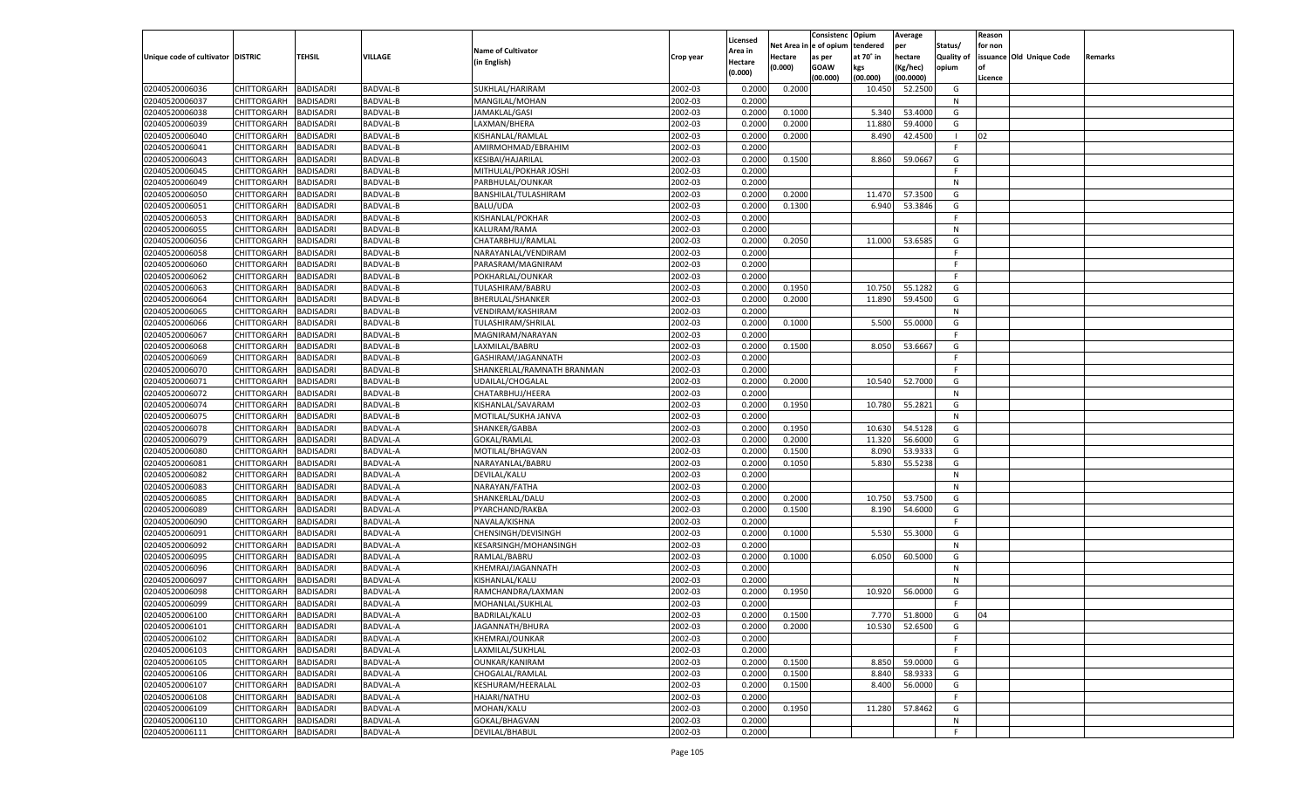|                                   |                       |                  |                 |                            |           |                     |             | Consistenc    | Opium     | Average       |                   | Reason  |                          |         |
|-----------------------------------|-----------------------|------------------|-----------------|----------------------------|-----------|---------------------|-------------|---------------|-----------|---------------|-------------------|---------|--------------------------|---------|
|                                   |                       |                  |                 | <b>Name of Cultivator</b>  |           | Licensed<br>Area in | Net Area iı | n  e of opium | tendered  | per           | Status/           | for non |                          |         |
| Unique code of cultivator DISTRIC |                       | TEHSIL           | VILLAGE         | (in English)               | Crop year | Hectare             | Hectare     | as per        | at 70° in | hectare       | <b>Quality of</b> |         | issuance Old Unique Code | Remarks |
|                                   |                       |                  |                 |                            |           | (0.000)             | (0.000)     | <b>GOAW</b>   | kgs       | (Kg/hec)      | opium             |         |                          |         |
|                                   |                       |                  |                 |                            |           |                     |             | (00.000)      | (00.000)  | (00.0000)     |                   | Licence |                          |         |
| 02040520006036                    | CHITTORGARH           | <b>BADISADRI</b> | <b>BADVAL-B</b> | SUKHLAL/HARIRAM            | 2002-03   | 0.2000              | 0.2000      |               | 10.450    | 52.2500       | G                 |         |                          |         |
| 02040520006037                    | CHITTORGARH           | BADISADRI        | BADVAL-B        | MANGILAL/MOHAN             | 2002-03   | 0.2000              |             |               |           |               | N                 |         |                          |         |
| 02040520006038                    | CHITTORGARH           | BADISADRI        | BADVAL-B        | JAMAKLAL/GASI              | 2002-03   | 0.2000              | 0.1000      |               | 5.340     | 53.4000       | G                 |         |                          |         |
| 02040520006039                    | CHITTORGARH           | BADISADRI        | BADVAL-B        | LAXMAN/BHERA               | 2002-03   | 0.2000              | 0.2000      |               | 11.880    | 59.4000       | G                 |         |                          |         |
| 02040520006040                    | CHITTORGARH           | BADISADRI        | BADVAL-B        | KISHANLAL/RAMLAL           | 2002-03   | 0.2000              | 0.2000      |               | 8.490     | 42.4500       | - 1               | 02      |                          |         |
| 02040520006041                    | CHITTORGARH           | BADISADRI        | BADVAL-B        | AMIRMOHMAD/EBRAHIM         | 2002-03   | 0.2000              |             |               |           |               | F.                |         |                          |         |
| 02040520006043                    | CHITTORGARH           | BADISADRI        | BADVAL-B        | <b>KESIBAI/HAJARILAL</b>   | 2002-03   | 0.2000              | 0.1500      |               | 8.860     | 59.0667       | G                 |         |                          |         |
| 02040520006045                    | CHITTORGARH           | BADISADRI        | BADVAL-B        | MITHULAL/POKHAR JOSHI      | 2002-03   | 0.2000              |             |               |           |               | E                 |         |                          |         |
| 02040520006049                    | CHITTORGARH           | BADISADRI        | BADVAL-B        | PARBHULAL/OUNKAR           | 2002-03   | 0.2000              |             |               |           |               | N                 |         |                          |         |
| 02040520006050                    | CHITTORGARH           | BADISADRI        | BADVAL-B        | BANSHILAL/TULASHIRAM       | 2002-03   | 0.2000              | 0.2000      |               | 11.470    | 57.3500       | G                 |         |                          |         |
| 02040520006051                    | CHITTORGARH           | BADISADRI        | BADVAL-B        | <b>BALU/UDA</b>            | 2002-03   | 0.2000              | 0.1300      |               | 6.940     | 53.3846       | G                 |         |                          |         |
| 02040520006053                    | CHITTORGARH           | BADISADRI        | <b>BADVAL-B</b> | KISHANLAL/POKHAR           | 2002-03   | 0.2000              |             |               |           |               | F.                |         |                          |         |
| 02040520006055                    | CHITTORGARH           | BADISADRI        | <b>BADVAL-B</b> | KALURAM/RAMA               | 2002-03   | 0.2000              |             |               |           |               | N                 |         |                          |         |
| 02040520006056                    | CHITTORGARH           | BADISADRI        | BADVAL-B        | CHATARBHUJ/RAMLAL          | 2002-03   | 0.2000              | 0.2050      |               | 11.000    | 53.6585       | G                 |         |                          |         |
| 02040520006058                    | CHITTORGARH           | <b>BADISADRI</b> | <b>BADVAL-B</b> | NARAYANLAL/VENDIRAM        | 2002-03   | 0.2000              |             |               |           |               | F.                |         |                          |         |
| 02040520006060                    | CHITTORGARH           | BADISADRI        | BADVAL-B        | PARASRAM/MAGNIRAM          | 2002-03   | 0.2000              |             |               |           |               | F.                |         |                          |         |
| 02040520006062                    | CHITTORGARH           | <b>BADISADRI</b> | <b>BADVAL-B</b> | POKHARLAL/OUNKAR           | 2002-03   | 0.2000              |             |               |           |               | F.                |         |                          |         |
| 02040520006063                    | CHITTORGARH           | BADISADRI        | BADVAL-B        | TULASHIRAM/BABRU           | 2002-03   | 0.2000              | 0.1950      |               | 10.750    | 55.1282       | G                 |         |                          |         |
| 02040520006064                    | CHITTORGARH           | <b>BADISADRI</b> | <b>BADVAL-B</b> | BHERULAL/SHANKER           | 2002-03   | 0.2000              | 0.2000      |               | 11.890    | 59.4500       | G                 |         |                          |         |
| 02040520006065                    | CHITTORGARH           | BADISADRI        | BADVAL-B        | VENDIRAM/KASHIRAM          | 2002-03   | 0.2000              |             |               |           |               | N                 |         |                          |         |
| 02040520006066                    | CHITTORGARH           | <b>BADISADRI</b> | <b>BADVAL-B</b> | TULASHIRAM/SHRILAL         | 2002-03   | 0.2000              | 0.1000      |               | 5.500     | 55.0000       | G                 |         |                          |         |
| 02040520006067                    | CHITTORGARH           | BADISADRI        | <b>BADVAL-B</b> | MAGNIRAM/NARAYAN           | 2002-03   | 0.2000              |             |               |           |               | F.                |         |                          |         |
| 02040520006068                    | CHITTORGARH           | <b>BADISADRI</b> | <b>BADVAL-B</b> | LAXMILAL/BABRU             | 2002-03   | 0.2000              | 0.1500      |               | 8.050     | 53.6667       | G                 |         |                          |         |
| 02040520006069                    | CHITTORGARH           | BADISADRI        | BADVAL-B        | GASHIRAM/JAGANNATH         | 2002-03   | 0.2000              |             |               |           |               | F.                |         |                          |         |
| 02040520006070                    | CHITTORGARH           | <b>BADISADRI</b> | <b>BADVAL-B</b> | SHANKERLAL/RAMNATH BRANMAN | 2002-03   | 0.2000              |             |               |           |               | F.                |         |                          |         |
| 02040520006071                    | CHITTORGARH           | BADISADRI        | BADVAL-B        | <b>UDAILAL/CHOGALAL</b>    | 2002-03   | 0.2000              | 0.2000      |               | 10.540    | 52.7000       | G                 |         |                          |         |
| 02040520006072                    | CHITTORGARH           | <b>BADISADRI</b> | <b>BADVAL-B</b> | CHATARBHUJ/HEERA           | 2002-03   | 0.2000              |             |               |           |               | N                 |         |                          |         |
| 02040520006074                    | CHITTORGARH           | BADISADRI        | <b>BADVAL-B</b> | KISHANLAL/SAVARAM          | 2002-03   | 0.2000              | 0.1950      |               | 10.780    | 55.2821       | G                 |         |                          |         |
| 02040520006075                    | CHITTORGARH           | <b>BADISADRI</b> | <b>BADVAL-B</b> | MOTILAL/SUKHA JANVA        | 2002-03   | 0.2000              |             |               |           |               | N                 |         |                          |         |
| 02040520006078                    | CHITTORGARH           | BADISADRI        | BADVAL-A        | SHANKER/GABBA              | 2002-03   | 0.2000              | 0.1950      |               | 10.630    | 54.5128       | G                 |         |                          |         |
| 02040520006079                    | CHITTORGARH           | <b>BADISADRI</b> | <b>BADVAL-A</b> | GOKAL/RAMLAL               | 2002-03   | 0.2000              | 0.2000      |               | 11.320    | 56.6000       | G                 |         |                          |         |
| 02040520006080                    | CHITTORGARH           | <b>BADISADRI</b> | BADVAL-A        | MOTILAL/BHAGVAN            | 2002-03   | 0.2000              | 0.1500      |               | 8.090     | 53.9333       | G                 |         |                          |         |
| 02040520006081                    | CHITTORGARH           | <b>BADISADRI</b> | <b>BADVAL-A</b> | NARAYANLAL/BABRU           | 2002-03   | 0.2000              | 0.1050      |               | 5.830     | 55.5238       | G                 |         |                          |         |
| 02040520006082                    | CHITTORGARH           | BADISADRI        | BADVAL-A        | DEVILAL/KALU               | 2002-03   | 0.2000              |             |               |           |               | N                 |         |                          |         |
| 02040520006083                    | CHITTORGARH           | <b>BADISADRI</b> | <b>BADVAL-A</b> | NARAYAN/FATHA              | 2002-03   | 0.2000              |             |               |           |               | N                 |         |                          |         |
| 02040520006085                    | CHITTORGARH           | <b>BADISADRI</b> | BADVAL-A        | SHANKERLAL/DALU            | 2002-03   | 0.2000              | 0.2000      |               | 10.750    | 53.7500       | G                 |         |                          |         |
| 02040520006089                    | CHITTORGARH           | <b>BADISADRI</b> | <b>BADVAL-A</b> | PYARCHAND/RAKBA            | 2002-03   | 0.2000              | 0.1500      |               | 8.190     | 54.6000       | G                 |         |                          |         |
| 02040520006090                    | CHITTORGARH           | BADISADRI        | BADVAL-A        | NAVALA/KISHNA              | 2002-03   | 0.2000              |             |               |           |               | F.                |         |                          |         |
| 02040520006091                    |                       | <b>BADISADRI</b> | <b>BADVAL-A</b> |                            | 2002-03   | 0.2000              | 0.1000      |               |           |               | G                 |         |                          |         |
|                                   | CHITTORGARH           |                  |                 | CHENSINGH/DEVISINGH        |           |                     |             |               | 5.530     | 55.3000       |                   |         |                          |         |
| 02040520006092                    | CHITTORGARH           | <b>BADISADRI</b> | BADVAL-A        | KESARSINGH/MOHANSINGH      | 2002-03   | 0.2000              |             |               |           |               | N                 |         |                          |         |
| 02040520006095                    | CHITTORGARH           | <b>BADISADRI</b> | BADVAL-A        | RAMLAL/BABRU               | 2002-03   | 0.2000              | 0.1000      |               | 6.050     | 60.5000       | G                 |         |                          |         |
| 02040520006096                    | CHITTORGARH           | BADISADRI        | BADVAL-A        | KHEMRAJ/JAGANNATH          | 2002-03   | 0.2000              |             |               |           |               | N                 |         |                          |         |
| 02040520006097                    | CHITTORGARH           | BADISADRI        | <b>BADVAL-A</b> | KISHANLAL/KALU             | 2002-03   | 0.2000              |             |               |           |               | N                 |         |                          |         |
| 02040520006098                    | CHITTORGARH           | BADISADRI        | BADVAL-A        | RAMCHANDRA/LAXMAN          | 2002-03   | 0.2000              | 0.1950      |               | 10.920    | 56.0000       | G                 |         |                          |         |
| 02040520006099                    | CHITTORGARH           | <b>BADISADRI</b> | BADVAL-A        | MOHANLAL/SUKHLAL           | 2002-03   | 0.2000              |             |               |           |               | F.                |         |                          |         |
| 02040520006100                    | CHITTORGARH BADISADRI |                  | <b>BADVAL-A</b> | BADRILAL/KALU              | 2002-03   | 0.2000              | 0.1500      |               |           | 7.770 51.8000 | G                 | 04      |                          |         |
| 02040520006101                    | <b>CHITTORGARH</b>    | <b>BADISADRI</b> | <b>BADVAL-A</b> | JAGANNATH/BHURA            | 2002-03   | 0.2000              | 0.2000      |               | 10.530    | 52.6500       | G                 |         |                          |         |
| 02040520006102                    | <b>CHITTORGARH</b>    | <b>BADISADRI</b> | <b>BADVAL-A</b> | KHEMRAJ/OUNKAR             | 2002-03   | 0.2000              |             |               |           |               | F.                |         |                          |         |
| 02040520006103                    | CHITTORGARH           | <b>BADISADRI</b> | BADVAL-A        | LAXMILAL/SUKHLAL           | 2002-03   | 0.2000              |             |               |           |               | F.                |         |                          |         |
| 02040520006105                    | <b>CHITTORGARH</b>    | <b>BADISADRI</b> | <b>BADVAL-A</b> | OUNKAR/KANIRAM             | 2002-03   | 0.2000              | 0.1500      |               | 8.850     | 59.0000       | G                 |         |                          |         |
| 02040520006106                    | <b>CHITTORGARH</b>    | <b>BADISADRI</b> | <b>BADVAL-A</b> | CHOGALAL/RAMLAL            | 2002-03   | 0.2000              | 0.1500      |               | 8.840     | 58.9333       | G                 |         |                          |         |
| 02040520006107                    | <b>CHITTORGARH</b>    | <b>BADISADRI</b> | <b>BADVAL-A</b> | KESHURAM/HEERALAL          | 2002-03   | 0.2000              | 0.1500      |               | 8.400     | 56.0000       | G                 |         |                          |         |
| 02040520006108                    | CHITTORGARH           | <b>BADISADRI</b> | <b>BADVAL-A</b> | HAJARI/NATHU               | 2002-03   | 0.2000              |             |               |           |               | F.                |         |                          |         |
| 02040520006109                    | <b>CHITTORGARH</b>    | <b>BADISADRI</b> | <b>BADVAL-A</b> | MOHAN/KALU                 | 2002-03   | 0.2000              | 0.1950      |               | 11.280    | 57.8462       | G                 |         |                          |         |
| 02040520006110                    | CHITTORGARH           | <b>BADISADRI</b> | BADVAL-A        | GOKAL/BHAGVAN              | 2002-03   | 0.2000              |             |               |           |               | N                 |         |                          |         |
| 02040520006111                    | <b>CHITTORGARH</b>    | <b>BADISADRI</b> | <b>BADVAL-A</b> | DEVILAL/BHABUL             | 2002-03   | 0.2000              |             |               |           |               | F.                |         |                          |         |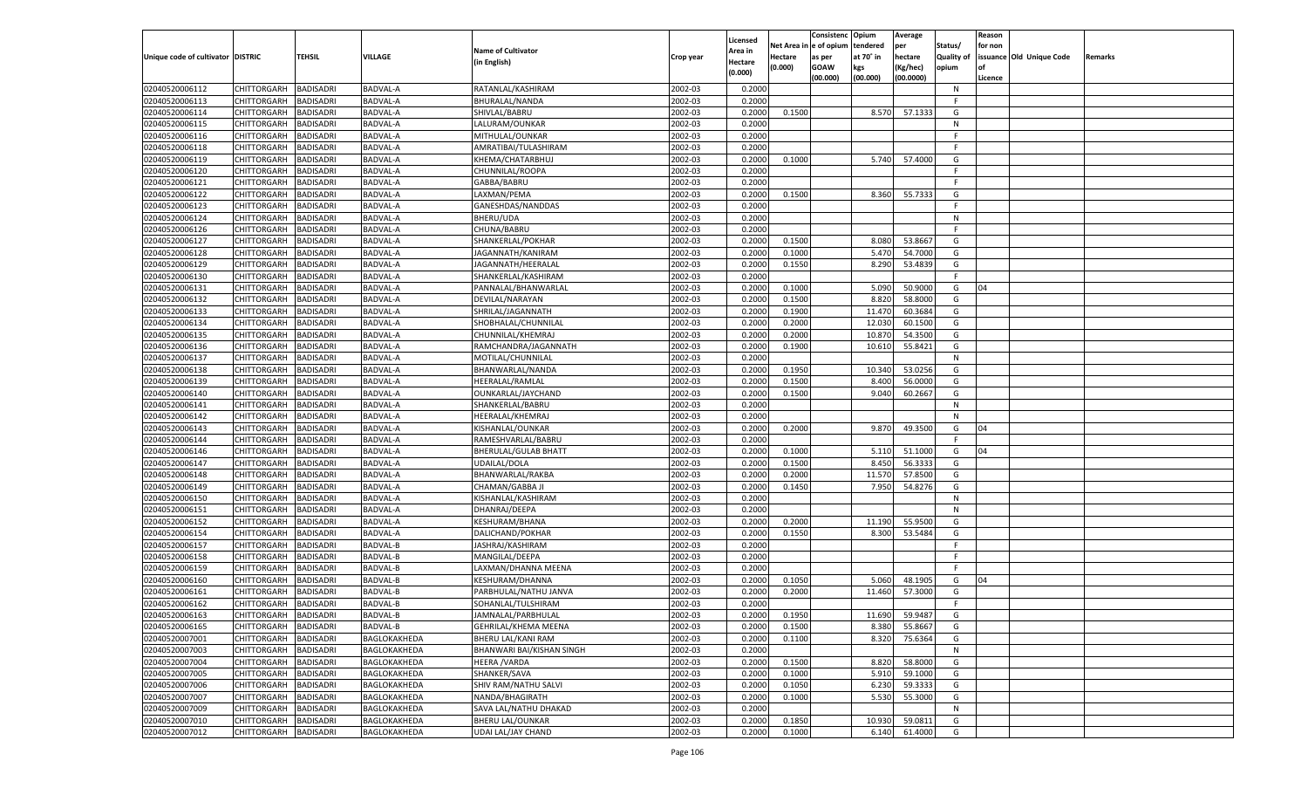|                                   |                    |                  |                 |                           |           |                    |         | Consistenc Opium       |           | Average   |                   | Reason  |                          |                |
|-----------------------------------|--------------------|------------------|-----------------|---------------------------|-----------|--------------------|---------|------------------------|-----------|-----------|-------------------|---------|--------------------------|----------------|
|                                   |                    |                  |                 | <b>Name of Cultivator</b> |           | Licensed           |         | Net Area in e of opium | tendered  | per       | Status/           | for non |                          |                |
| Unique code of cultivator DISTRIC |                    | TEHSIL           | <b>VILLAGE</b>  |                           | Crop year | Area in            | Hectare | as per                 | at 70° in | hectare   | <b>Quality of</b> |         | issuance Old Unique Code | <b>Remarks</b> |
|                                   |                    |                  |                 | (in English)              |           | Hectare<br>(0.000) | (0.000) | <b>GOAW</b>            | kgs       | (Kg/hec)  | opium             |         |                          |                |
|                                   |                    |                  |                 |                           |           |                    |         | (00.000)               | (00.000)  | (00.0000) |                   | Licence |                          |                |
| 02040520006112                    | CHITTORGARH        | <b>BADISADRI</b> | <b>BADVAL-A</b> | RATANLAL/KASHIRAM         | 2002-03   | 0.2000             |         |                        |           |           | N                 |         |                          |                |
| 02040520006113                    | CHITTORGARH        | <b>BADISADRI</b> | <b>BADVAL-A</b> | BHURALAL/NANDA            | 2002-03   | 0.2000             |         |                        |           |           | F.                |         |                          |                |
| 02040520006114                    | CHITTORGARH        | <b>BADISADRI</b> | <b>BADVAL-A</b> | SHIVLAL/BABRU             | 2002-03   | 0.2000             | 0.1500  |                        | 8.570     | 57.1333   | G                 |         |                          |                |
| 02040520006115                    | CHITTORGARH        | <b>BADISADRI</b> | BADVAL-A        | LALURAM/OUNKAR            | 2002-03   | 0.2000             |         |                        |           |           | N                 |         |                          |                |
| 02040520006116                    | CHITTORGARH        | <b>BADISADRI</b> | <b>BADVAL-A</b> | MITHULAL/OUNKAR           | 2002-03   | 0.2000             |         |                        |           |           | F.                |         |                          |                |
| 02040520006118                    | CHITTORGARH        | <b>BADISADRI</b> | BADVAL-A        | AMRATIBAI/TULASHIRAM      | 2002-03   | 0.2000             |         |                        |           |           | -F                |         |                          |                |
| 02040520006119                    | CHITTORGARH        | <b>BADISADRI</b> | BADVAL-A        | KHEMA/CHATARBHUJ          | 2002-03   | 0.2000             | 0.1000  |                        | 5.740     | 57.4000   | G                 |         |                          |                |
| 02040520006120                    | CHITTORGARH        | <b>BADISADRI</b> | BADVAL-A        | CHUNNILAL/ROOPA           | 2002-03   | 0.2000             |         |                        |           |           | F.                |         |                          |                |
| 02040520006121                    | CHITTORGARH        | <b>BADISADRI</b> | <b>BADVAL-A</b> | GABBA/BABRU               | 2002-03   | 0.2000             |         |                        |           |           | F.                |         |                          |                |
| 02040520006122                    | CHITTORGARH        | <b>BADISADRI</b> | BADVAL-A        | LAXMAN/PEMA               | 2002-03   | 0.2000             | 0.1500  |                        | 8.360     | 55.7333   | G                 |         |                          |                |
| 02040520006123                    | CHITTORGARH        | <b>BADISADRI</b> | <b>BADVAL-A</b> | GANESHDAS/NANDDAS         | 2002-03   | 0.2000             |         |                        |           |           | F.                |         |                          |                |
| 02040520006124                    | CHITTORGARH        | <b>BADISADRI</b> | BADVAL-A        | <b>BHERU/UDA</b>          | 2002-03   | 0.2000             |         |                        |           |           | N                 |         |                          |                |
| 02040520006126                    | CHITTORGARH        | BADISADRI        | <b>BADVAL-A</b> | CHUNA/BABRU               | 2002-03   | 0.2000             |         |                        |           |           | F.                |         |                          |                |
| 02040520006127                    | CHITTORGARH        | BADISADRI        | BADVAL-A        | SHANKERLAL/POKHAR         | 2002-03   | 0.2000             | 0.1500  |                        | 8.080     | 53.8667   | G                 |         |                          |                |
| 02040520006128                    | CHITTORGARH        | BADISADRI        | BADVAL-A        | JAGANNATH/KANIRAM         | 2002-03   | 0.2000             | 0.1000  |                        | 5.470     | 54.7000   | G                 |         |                          |                |
| 02040520006129                    | CHITTORGARH        | BADISADRI        | BADVAL-A        | JAGANNATH/HEERALAL        | 2002-03   | 0.2000             | 0.1550  |                        | 8.290     | 53.4839   | G                 |         |                          |                |
| 02040520006130                    | CHITTORGARH        | BADISADRI        | BADVAL-A        | SHANKERLAL/KASHIRAM       | 2002-03   | 0.2000             |         |                        |           |           | F.                |         |                          |                |
| 02040520006131                    | CHITTORGARH        | BADISADRI        | BADVAL-A        | PANNALAL/BHANWARLAL       | 2002-03   | 0.2000             | 0.1000  |                        | 5.090     | 50.9000   | G                 | 04      |                          |                |
| 02040520006132                    | CHITTORGARH        | BADISADRI        | BADVAL-A        | DEVILAL/NARAYAN           | 2002-03   | 0.2000             | 0.1500  |                        | 8.820     | 58.8000   | G                 |         |                          |                |
| 02040520006133                    | CHITTORGARH        | BADISADRI        | BADVAL-A        | SHRILAL/JAGANNATH         | 2002-03   | 0.2000             | 0.1900  |                        | 11.470    | 60.3684   | G                 |         |                          |                |
| 02040520006134                    | CHITTORGARH        | BADISADRI        | BADVAL-A        | SHOBHALAL/CHUNNILAI       | 2002-03   | 0.2000             | 0.2000  |                        | 12.030    | 60.1500   | G                 |         |                          |                |
| 02040520006135                    | CHITTORGARH        | BADISADRI        | BADVAL-A        | CHUNNILAL/KHEMRAJ         | 2002-03   | 0.2000             | 0.2000  |                        | 10.87     | 54.3500   | G                 |         |                          |                |
| 02040520006136                    | CHITTORGARH        | BADISADRI        | BADVAL-A        | RAMCHANDRA/JAGANNATH      | 2002-03   | 0.2000             | 0.1900  |                        | 10.610    | 55.8421   | G                 |         |                          |                |
| 02040520006137                    | CHITTORGARH        | BADISADRI        | BADVAL-A        | MOTILAL/CHUNNILAL         | 2002-03   | 0.2000             |         |                        |           |           | N                 |         |                          |                |
| 02040520006138                    | CHITTORGARH        | BADISADRI        | BADVAL-A        | BHANWARLAL/NANDA          | 2002-03   | 0.2000             | 0.1950  |                        | 10.340    | 53.0256   | G                 |         |                          |                |
| 02040520006139                    | CHITTORGARH        | BADISADRI        | BADVAL-A        | HEERALAL/RAMLAL           | 2002-03   | 0.2000             | 0.1500  |                        | 8.400     | 56.0000   | G                 |         |                          |                |
| 02040520006140                    | CHITTORGARH        | BADISADRI        | BADVAL-A        | OUNKARLAL/JAYCHAND        | 2002-03   | 0.2000             | 0.1500  |                        | 9.040     | 60.2667   | G                 |         |                          |                |
| 02040520006141                    | CHITTORGARH        | BADISADRI        | BADVAL-A        | SHANKERLAL/BABRU          | 2002-03   | 0.2000             |         |                        |           |           | N                 |         |                          |                |
| 02040520006142                    | CHITTORGARH        | <b>BADISADRI</b> | <b>BADVAL-A</b> | HEERALAL/KHEMRAJ          | 2002-03   | 0.2000             |         |                        |           |           | N                 |         |                          |                |
| 02040520006143                    | CHITTORGARH        | BADISADRI        | BADVAL-A        | KISHANLAL/OUNKAR          | 2002-03   | 0.2000             | 0.2000  |                        | 9.870     | 49.3500   | G                 | 04      |                          |                |
| 02040520006144                    |                    |                  |                 |                           | 2002-03   |                    |         |                        |           |           | F.                |         |                          |                |
|                                   | CHITTORGARH        | BADISADRI        | BADVAL-A        | RAMESHVARLAL/BABRU        | 2002-03   | 0.2000             |         |                        |           |           |                   |         |                          |                |
| 02040520006146                    | CHITTORGARH        | BADISADRI        | BADVAL-A        | BHERULAL/GULAB BHATT      |           | 0.2000<br>0.2000   | 0.1000  |                        | 5.110     | 51.1000   | G<br>G            | 04      |                          |                |
| 02040520006147                    | CHITTORGARH        | BADISADRI        | BADVAL-A        | UDAILAL/DOLA              | 2002-03   |                    | 0.1500  |                        | 8.450     | 56.3333   |                   |         |                          |                |
| 02040520006148                    | CHITTORGARH        | BADISADRI        | BADVAL-A        | BHANWARLAL/RAKBA          | 2002-03   | 0.2000             | 0.2000  |                        | 11.570    | 57.8500   | G                 |         |                          |                |
| 02040520006149                    | CHITTORGARH        | BADISADRI        | BADVAL-A        | CHAMAN/GABBA JI           | 2002-03   | 0.2000             | 0.1450  |                        | 7.950     | 54.8276   | G                 |         |                          |                |
| 02040520006150                    | CHITTORGARH        | BADISADRI        | BADVAL-A        | KISHANLAL/KASHIRAM        | 2002-03   | 0.2000             |         |                        |           |           | N                 |         |                          |                |
| 02040520006151                    | CHITTORGARH        | BADISADRI        | BADVAL-A        | DHANRAJ/DEEPA             | 2002-03   | 0.2000             |         |                        |           |           | N                 |         |                          |                |
| 02040520006152                    | CHITTORGARH        | BADISADRI        | BADVAL-A        | KESHURAM/BHANA            | 2002-03   | 0.2000             | 0.2000  |                        | 11.190    | 55.9500   | G                 |         |                          |                |
| 02040520006154                    | CHITTORGARH        | BADISADRI        | BADVAL-A        | DALICHAND/POKHAR          | 2002-03   | 0.2000             | 0.1550  |                        | 8.300     | 53.5484   | G                 |         |                          |                |
| 02040520006157                    | CHITTORGARH        | BADISADRI        | <b>BADVAL-B</b> | JASHRAJ/KASHIRAM          | 2002-03   | 0.2000             |         |                        |           |           | F.                |         |                          |                |
| 02040520006158                    | CHITTORGARH        | BADISADRI        | <b>BADVAL-B</b> | MANGILAL/DEEPA            | 2002-03   | 0.2000             |         |                        |           |           | F.                |         |                          |                |
| 02040520006159                    | CHITTORGARH        | BADISADRI        | <b>BADVAL-B</b> | LAXMAN/DHANNA MEENA       | 2002-03   | 0.2000             |         |                        |           |           | E                 |         |                          |                |
| 02040520006160                    | CHITTORGARH        | BADISADRI        | <b>BADVAL-B</b> | KESHURAM/DHANNA           | 2002-03   | 0.2000             | 0.1050  |                        | 5.060     | 48.1905   | G                 | 04      |                          |                |
| 02040520006161                    | CHITTORGARH        | BADISADRI        | <b>BADVAL-B</b> | PARBHULAL/NATHU JANVA     | 2002-03   | 0.2000             | 0.2000  |                        | 11.460    | 57.3000   | G                 |         |                          |                |
| 02040520006162                    | CHITTORGARH        | BADISADRI        | BADVAL-B        | SOHANLAL/TULSHIRAM        | 2002-03   | 0.2000             |         |                        |           |           | F.                |         |                          |                |
| 02040520006163                    | CHITTORGARH        | <b>BADISADRI</b> | <b>BADVAL-B</b> | JAMNALAL/PARBHULAL        | 2002-03   | 0.2000             | 0.1950  |                        | 11.690    | 59.9487   | G                 |         |                          |                |
| 02040520006165                    | CHITTORGARH        | <b>BADISADRI</b> | BADVAL-B        | GEHRILAL/KHEMA MEENA      | 2002-03   | 0.2000             | 0.1500  |                        | 8.380     | 55.8667   | G                 |         |                          |                |
| 02040520007001                    | <b>CHITTORGARH</b> | <b>BADISADRI</b> | BAGLOKAKHEDA    | BHERU LAL/KANI RAM        | 2002-03   | 0.2000             | 0.1100  |                        | 8.320     | 75.6364   | G                 |         |                          |                |
| 02040520007003                    | <b>CHITTORGARH</b> | <b>BADISADRI</b> | BAGLOKAKHEDA    | BHANWARI BAI/KISHAN SINGH | 2002-03   | 0.2000             |         |                        |           |           | N                 |         |                          |                |
| 02040520007004                    | <b>CHITTORGARH</b> | <b>BADISADRI</b> | BAGLOKAKHEDA    | <b>HEERA / VARDA</b>      | 2002-03   | 0.2000             | 0.1500  |                        | 8.820     | 58.8000   | G                 |         |                          |                |
| 02040520007005                    | <b>CHITTORGARH</b> | <b>BADISADRI</b> | BAGLOKAKHEDA    | SHANKER/SAVA              | 2002-03   | 0.2000             | 0.1000  |                        | 5.910     | 59.1000   | G                 |         |                          |                |
| 02040520007006                    | <b>CHITTORGARH</b> | <b>BADISADRI</b> | BAGLOKAKHEDA    | SHIV RAM/NATHU SALVI      | 2002-03   | 0.2000             | 0.1050  |                        | 6.230     | 59.3333   | G                 |         |                          |                |
| 02040520007007                    | <b>CHITTORGARH</b> | <b>BADISADRI</b> | BAGLOKAKHEDA    | NANDA/BHAGIRATH           | 2002-03   | 0.2000             | 0.1000  |                        | 5.530     | 55.3000   | G                 |         |                          |                |
| 02040520007009                    | <b>CHITTORGARH</b> | <b>BADISADRI</b> | BAGLOKAKHEDA    | SAVA LAL/NATHU DHAKAD     | 2002-03   | 0.2000             |         |                        |           |           | N                 |         |                          |                |
| 02040520007010                    | <b>CHITTORGARH</b> | <b>BADISADRI</b> | BAGLOKAKHEDA    | <b>BHERU LAL/OUNKAR</b>   | 2002-03   | 0.2000             | 0.1850  |                        | 10.930    | 59.0811   | G                 |         |                          |                |
| 02040520007012                    | <b>CHITTORGARH</b> | <b>BADISADRI</b> | BAGLOKAKHEDA    | UDAI LAL/JAY CHAND        | 2002-03   | 0.2000             | 0.1000  |                        | 6.140     | 61.4000   | G                 |         |                          |                |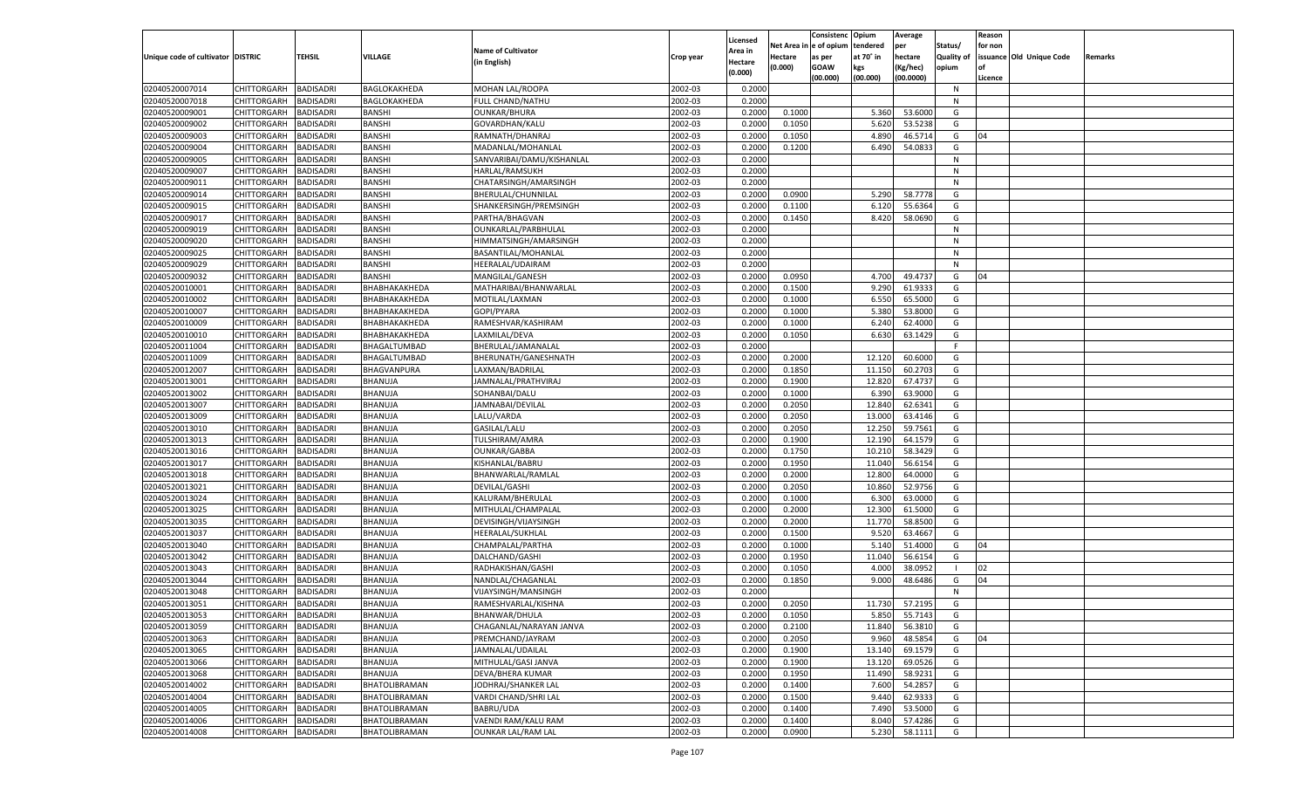|                                   |                       |                  |                |                           |           |          |            | Consistenc   | Opium     | Average   |            | Reason  |                          |         |
|-----------------------------------|-----------------------|------------------|----------------|---------------------------|-----------|----------|------------|--------------|-----------|-----------|------------|---------|--------------------------|---------|
|                                   |                       |                  |                |                           |           | Licensed | Net Area i | n e of opium | tendered  | per       | Status/    | for non |                          |         |
| Unique code of cultivator DISTRIC |                       | TEHSIL           | <b>VILLAGE</b> | <b>Name of Cultivator</b> | Crop year | Area in  | Hectare    | as per       | at 70° in | hectare   | Quality of |         | issuance Old Unique Code | Remarks |
|                                   |                       |                  |                | (in English)              |           | Hectare  | (0.000)    | <b>GOAW</b>  | kgs       | (Kg/hec)  | opium      |         |                          |         |
|                                   |                       |                  |                |                           |           | (0.000)  |            | (00.000)     | (00.000)  | (00.0000) |            | Licence |                          |         |
| 02040520007014                    | CHITTORGARH           | <b>BADISADRI</b> | BAGLOKAKHEDA   | MOHAN LAL/ROOPA           | 2002-03   | 0.2000   |            |              |           |           | N          |         |                          |         |
| 02040520007018                    | CHITTORGARH           | BADISADRI        | BAGLOKAKHEDA   | FULL CHAND/NATHU          | 2002-03   | 0.2000   |            |              |           |           | N          |         |                          |         |
| 02040520009001                    | CHITTORGARH           | BADISADRI        | <b>BANSHI</b>  | <b>OUNKAR/BHURA</b>       | 2002-03   | 0.2000   | 0.1000     |              | 5.360     | 53.6000   | G          |         |                          |         |
| 02040520009002                    | CHITTORGARH           | BADISADRI        | <b>BANSHI</b>  | GOVARDHAN/KALU            | 2002-03   | 0.2000   | 0.1050     |              | 5.620     | 53.5238   | G          |         |                          |         |
| 02040520009003                    | CHITTORGARH           | BADISADRI        | <b>BANSHI</b>  | RAMNATH/DHANRAJ           | 2002-03   | 0.2000   | 0.1050     |              | 4.890     | 46.5714   | G          | 04      |                          |         |
| 02040520009004                    | CHITTORGARH           | BADISADRI        | <b>BANSHI</b>  | MADANLAL/MOHANLAL         | 2002-03   | 0.2000   | 0.1200     |              | 6.490     | 54.0833   | G          |         |                          |         |
| 02040520009005                    | CHITTORGARH           | BADISADRI        | <b>BANSHI</b>  | SANVARIBAI/DAMU/KISHANLAL | 2002-03   | 0.2000   |            |              |           |           | N          |         |                          |         |
| 02040520009007                    | CHITTORGARH           | BADISADRI        | <b>BANSHI</b>  | <b>HARLAL/RAMSUKH</b>     | 2002-03   | 0.2000   |            |              |           |           | N          |         |                          |         |
| 02040520009011                    | CHITTORGARH           | BADISADRI        | <b>BANSHI</b>  | CHATARSINGH/AMARSINGH     | 2002-03   | 0.2000   |            |              |           |           | N          |         |                          |         |
| 02040520009014                    |                       |                  |                |                           | 2002-03   |          |            |              |           |           | G          |         |                          |         |
|                                   | CHITTORGARH           | BADISADRI        | <b>BANSHI</b>  | BHERULAL/CHUNNILAL        |           | 0.2000   | 0.0900     |              | 5.290     | 58.7778   |            |         |                          |         |
| 02040520009015                    | CHITTORGARH           | BADISADRI        | <b>BANSHI</b>  | SHANKERSINGH/PREMSINGH    | 2002-03   | 0.2000   | 0.1100     |              | 6.120     | 55.6364   | G          |         |                          |         |
| 02040520009017                    | CHITTORGARH           | BADISADRI        | <b>BANSHI</b>  | PARTHA/BHAGVAN            | 2002-03   | 0.2000   | 0.1450     |              | 8.420     | 58.0690   | G          |         |                          |         |
| 02040520009019                    | CHITTORGARH           | BADISADRI        | <b>BANSHI</b>  | OUNKARLAL/PARBHULAL       | 2002-03   | 0.2000   |            |              |           |           | N          |         |                          |         |
| 02040520009020                    | CHITTORGARH           | BADISADRI        | <b>BANSHI</b>  | HIMMATSINGH/AMARSINGH     | 2002-03   | 0.2000   |            |              |           |           | N          |         |                          |         |
| 02040520009025                    | CHITTORGARH           | <b>BADISADRI</b> | <b>BANSHI</b>  | BASANTILAL/MOHANLAL       | 2002-03   | 0.2000   |            |              |           |           | N          |         |                          |         |
| 02040520009029                    | CHITTORGARH           | BADISADRI        | <b>BANSHI</b>  | HEERALAL/UDAIRAM          | 2002-03   | 0.2000   |            |              |           |           | N          |         |                          |         |
| 02040520009032                    | CHITTORGARH           | <b>BADISADRI</b> | BANSHI         | MANGILAL/GANESH           | 2002-03   | 0.2000   | 0.0950     |              | 4.700     | 49.4737   | G          | 04      |                          |         |
| 02040520010001                    | CHITTORGARH           | BADISADRI        | ВНАВНАКАКНЕ DA | MATHARIBAI/BHANWARLAL     | 2002-03   | 0.2000   | 0.1500     |              | 9.290     | 61.9333   | G          |         |                          |         |
| 02040520010002                    | CHITTORGARH           | <b>BADISADRI</b> | ВНАВНАКАКНЕ ДА | MOTILAL/LAXMAN            | 2002-03   | 0.2000   | 0.1000     |              | 6.550     | 65.5000   | G          |         |                          |         |
| 02040520010007                    | CHITTORGARH           | BADISADRI        | ВНАВНАКАКНЕDА  | GOPI/PYARA                | 2002-03   | 0.2000   | 0.1000     |              | 5.380     | 53.8000   | G          |         |                          |         |
| 02040520010009                    | CHITTORGARH           | <b>BADISADRI</b> | ВНАВНАКАКНЕ DA | RAMESHVAR/KASHIRAM        | 2002-03   | 0.2000   | 0.1000     |              | 6.240     | 62.4000   | G          |         |                          |         |
| 02040520010010                    | CHITTORGARH           | BADISADRI        | ВНАВНАКАКНЕ DA | LAXMILAL/DEVA             | 2002-03   | 0.2000   | 0.1050     |              | 6.630     | 63.1429   | G          |         |                          |         |
| 02040520011004                    | CHITTORGARH           | <b>BADISADRI</b> | BHAGALTUMBAD   | BHERULAL/JAMANALAL        | 2002-03   | 0.2000   |            |              |           |           | F.         |         |                          |         |
| 02040520011009                    | CHITTORGARH           | BADISADRI        | BHAGALTUMBAD   | BHERUNATH/GANESHNATH      | 2002-03   | 0.2000   | 0.2000     |              | 12.120    | 60.6000   | G          |         |                          |         |
| 02040520012007                    | CHITTORGARH           | <b>BADISADRI</b> | BHAGVANPURA    | LAXMAN/BADRILAL           | 2002-03   | 0.2000   | 0.1850     |              | 11.150    | 60.2703   | G          |         |                          |         |
| 02040520013001                    | CHITTORGARH           | BADISADRI        | BHANUJA        | JAMNALAL/PRATHVIRAJ       | 2002-03   | 0.2000   | 0.1900     |              | 12.820    | 67.4737   | G          |         |                          |         |
| 02040520013002                    | CHITTORGARH           | <b>BADISADRI</b> | BHANUJA        | SOHANBAI/DALU             | 2002-03   | 0.2000   | 0.1000     |              | 6.390     | 63.9000   | G          |         |                          |         |
| 02040520013007                    | CHITTORGARH           | BADISADRI        | BHANUJA        | JAMNABAI/DEVILAL          | 2002-03   | 0.2000   | 0.2050     |              | 12.840    | 62.6341   | G          |         |                          |         |
| 02040520013009                    | CHITTORGARH           | <b>BADISADRI</b> | BHANUJA        | LALU/VARDA                | 2002-03   | 0.2000   | 0.2050     |              | 13.000    | 63.4146   | G          |         |                          |         |
| 02040520013010                    | CHITTORGARH           | BADISADRI        | BHANUJA        | GASILAL/LALU              | 2002-03   | 0.2000   | 0.2050     |              | 12.250    | 59.7561   | G          |         |                          |         |
| 02040520013013                    | CHITTORGARH           | <b>BADISADRI</b> | BHANUJA        | TULSHIRAM/AMRA            | 2002-03   | 0.2000   | 0.1900     |              | 12.190    | 64.1579   | G          |         |                          |         |
|                                   |                       |                  |                |                           |           |          |            |              | 10.210    | 58.3429   |            |         |                          |         |
| 02040520013016                    | CHITTORGARH           | <b>BADISADRI</b> | BHANUJA        | <b>OUNKAR/GABBA</b>       | 2002-03   | 0.2000   | 0.1750     |              |           |           | G          |         |                          |         |
| 02040520013017                    | CHITTORGARH           | <b>BADISADRI</b> | BHANUJA        | KISHANLAL/BABRU           | 2002-03   | 0.2000   | 0.1950     |              | 11.040    | 56.615    | G          |         |                          |         |
| 02040520013018                    | CHITTORGARH           | BADISADRI        | BHANUJA        | BHANWARLAL/RAMLAL         | 2002-03   | 0.2000   | 0.2000     |              | 12.800    | 64.0000   | G          |         |                          |         |
| 02040520013021                    | CHITTORGARH           | <b>BADISADRI</b> | BHANUJA        | DEVILAL/GASHI             | 2002-03   | 0.2000   | 0.2050     |              | 10.860    | 52.9756   | G          |         |                          |         |
| 02040520013024                    | CHITTORGARH           | <b>BADISADRI</b> | BHANUJA        | KALURAM/BHERULAL          | 2002-03   | 0.2000   | 0.1000     |              | 6.300     | 63.0000   | G          |         |                          |         |
| 02040520013025                    | CHITTORGARH           | <b>BADISADRI</b> | BHANUJA        | MITHULAL/CHAMPALAL        | 2002-03   | 0.2000   | 0.2000     |              | 12.300    | 61.5000   | G          |         |                          |         |
| 02040520013035                    | CHITTORGARH           | BADISADRI        | BHANUJA        | DEVISINGH/VIJAYSINGH      | 2002-03   | 0.2000   | 0.2000     |              | 11.770    | 58.8500   | G          |         |                          |         |
| 02040520013037                    | CHITTORGARH           | <b>BADISADRI</b> | BHANUJA        | HEERALAL/SUKHLAL          | 2002-03   | 0.2000   | 0.1500     |              | 9.520     | 63.4667   | G          |         |                          |         |
| 02040520013040                    | CHITTORGARH           | <b>BADISADRI</b> | BHANUJA        | CHAMPALAL/PARTHA          | 2002-03   | 0.2000   | 0.1000     |              | 5.140     | 51.4000   | G          | 04      |                          |         |
| 02040520013042                    | CHITTORGARH           | <b>BADISADRI</b> | BHANUJA        | DALCHAND/GASHI            | 2002-03   | 0.2000   | 0.1950     |              | 11.040    | 56.6154   | G          |         |                          |         |
| 02040520013043                    | CHITTORGARH           | BADISADRI        | BHANUJA        | RADHAKISHAN/GASHI         | 2002-03   | 0.2000   | 0.1050     |              | 4.000     | 38.0952   | - 1        | 02      |                          |         |
| 02040520013044                    | CHITTORGARH           | BADISADRI        | BHANUJA        | NANDLAL/CHAGANLAL         | 2002-03   | 0.2000   | 0.1850     |              | 9.000     | 48.6486   | G          | 04      |                          |         |
| 02040520013048                    | CHITTORGARH           | BADISADRI        | BHANUJA        | VIJAYSINGH/MANSINGH       | 2002-03   | 0.2000   |            |              |           |           | N          |         |                          |         |
| 02040520013051                    | CHITTORGARH           | <b>BADISADRI</b> | BHANUJA        | RAMESHVARLAL/KISHNA       | 2002-03   | 0.2000   | 0.2050     |              | 11.730    | 57.2195   | G          |         |                          |         |
| 02040520013053                    | CHITTORGARH BADISADRI |                  | BHANUJA        | BHANWAR/DHULA             | 2002-03   | 0.2000   | 0.1050     |              | 5.850     | 55.7143   | G          |         |                          |         |
| 02040520013059                    | <b>CHITTORGARH</b>    | <b>BADISADRI</b> | BHANUJA        | CHAGANLAL/NARAYAN JANVA   | 2002-03   | 0.2000   | 0.2100     |              | 11.840    | 56.3810   | G          |         |                          |         |
| 02040520013063                    | <b>CHITTORGARH</b>    | <b>BADISADRI</b> | BHANUJA        | PREMCHAND/JAYRAM          | 2002-03   | 0.2000   | 0.2050     |              | 9.960     | 48.5854   | G          | 04      |                          |         |
| 02040520013065                    | CHITTORGARH           | <b>BADISADRI</b> | BHANUJA        | JAMNALAL/UDAILAL          | 2002-03   | 0.2000   | 0.1900     |              | 13.140    | 69.1579   | G          |         |                          |         |
| 02040520013066                    | <b>CHITTORGARH</b>    | <b>BADISADRI</b> | BHANUJA        | MITHULAL/GASI JANVA       | 2002-03   | 0.2000   | 0.1900     |              | 13.120    | 69.0526   | G          |         |                          |         |
| 02040520013068                    | <b>CHITTORGARH</b>    | <b>BADISADRI</b> | BHANUJA        | DEVA/BHERA KUMAR          | 2002-03   | 0.2000   | 0.1950     |              | 11.490    | 58.9231   | G          |         |                          |         |
| 02040520014002                    | CHITTORGARH           | <b>BADISADRI</b> | BHATOLIBRAMAN  | JODHRAJ/SHANKER LAL       | 2002-03   | 0.2000   | 0.1400     |              | 7.600     | 54.2857   | G          |         |                          |         |
| 02040520014004                    | CHITTORGARH           | <b>BADISADRI</b> | BHATOLIBRAMAN  | VARDI CHAND/SHRI LAL      | 2002-03   | 0.2000   | 0.1500     |              | 9.440     | 62.9333   | G          |         |                          |         |
| 02040520014005                    | CHITTORGARH           | <b>BADISADRI</b> | BHATOLIBRAMAN  | BABRU/UDA                 | 2002-03   | 0.2000   | 0.1400     |              | 7.490     | 53.5000   | G          |         |                          |         |
|                                   |                       |                  |                |                           |           |          |            |              |           |           |            |         |                          |         |
| 02040520014006                    | <b>CHITTORGARH</b>    | <b>BADISADRI</b> | BHATOLIBRAMAN  | VAENDI RAM/KALU RAM       | 2002-03   | 0.2000   | 0.1400     |              | 8.040     | 57.4286   | G          |         |                          |         |
| 02040520014008                    | <b>CHITTORGARH</b>    | <b>BADISADRI</b> | BHATOLIBRAMAN  | <b>OUNKAR LAL/RAM LAL</b> | 2002-03   | 0.2000   | 0.0900     |              | 5.230     | 58.1111   | G          |         |                          |         |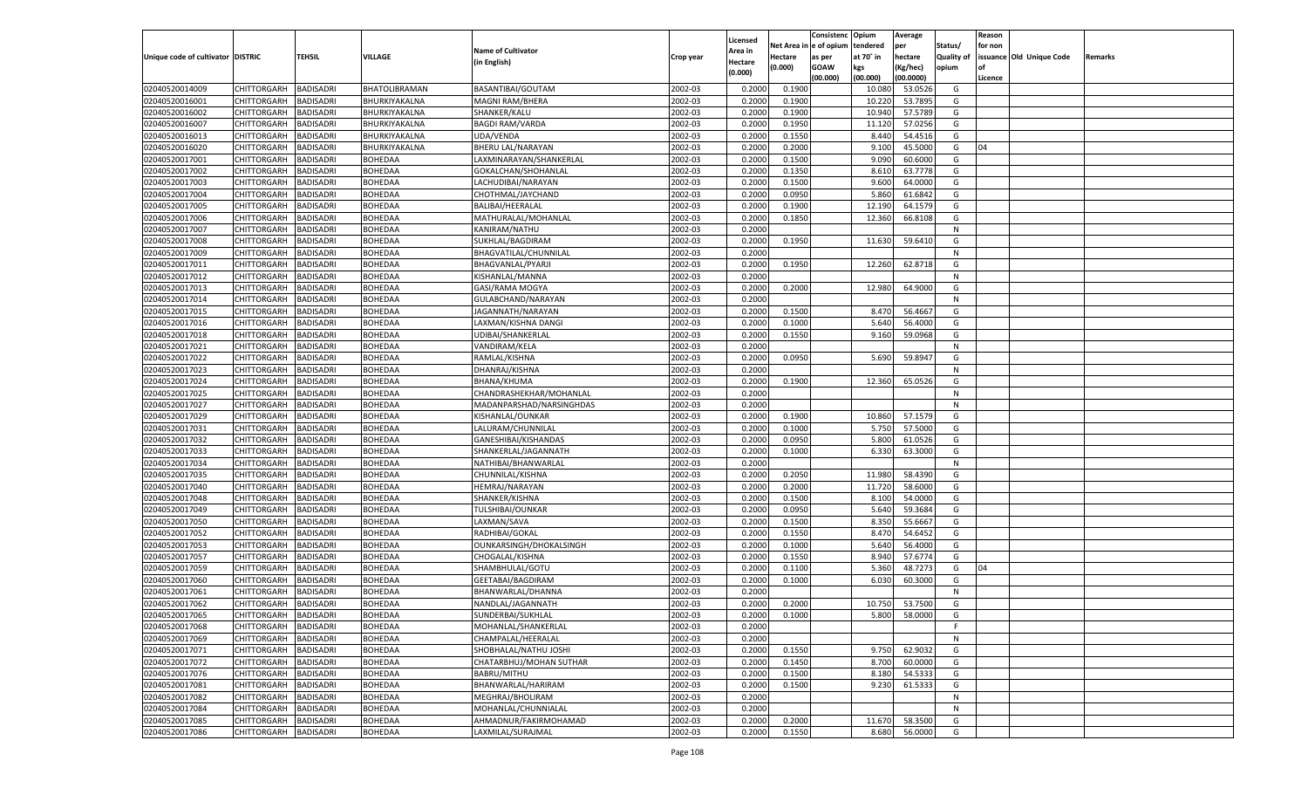|                                   |                       |                  |                |                           |           |                    |             | Consistenc    | Opium     | Average       |                   | Reason  |                          |         |
|-----------------------------------|-----------------------|------------------|----------------|---------------------------|-----------|--------------------|-------------|---------------|-----------|---------------|-------------------|---------|--------------------------|---------|
|                                   |                       |                  |                |                           |           | Licensed           | Net Area iı | n  e of opium | tendered  | per           | Status/           | for non |                          |         |
| Unique code of cultivator DISTRIC |                       | TEHSIL           | <b>VILLAGE</b> | <b>Name of Cultivator</b> | Crop year | Area in            | Hectare     | as per        | at 70° in | hectare       | <b>Quality of</b> |         | issuance Old Unique Code | Remarks |
|                                   |                       |                  |                | (in English)              |           | Hectare<br>(0.000) | (0.000)     | <b>GOAW</b>   | kgs       | (Kg/hec)      | opium             |         |                          |         |
|                                   |                       |                  |                |                           |           |                    |             | (00.000)      | (00.000)  | (00.0000)     |                   | Licence |                          |         |
| 02040520014009                    | CHITTORGARH           | <b>BADISADRI</b> | BHATOLIBRAMAN  | BASANTIBAI/GOUTAM         | 2002-03   | 0.2000             | 0.1900      |               | 10.08     | 53.0526       | G                 |         |                          |         |
| 02040520016001                    | CHITTORGARH           | BADISADRI        | BHURKIYAKALNA  | <b>MAGNI RAM/BHERA</b>    | 2002-03   | 0.2000             | 0.1900      |               | 10.22     | 53.7895       | G                 |         |                          |         |
| 02040520016002                    | CHITTORGARH           | BADISADRI        | BHURKIYAKALNA  | SHANKER/KALU              | 2002-03   | 0.2000             | 0.1900      |               | 10.94     | 57.5789       | G                 |         |                          |         |
| 02040520016007                    | CHITTORGARH           | BADISADRI        | BHURKIYAKALNA  | <b>BAGDI RAM/VARDA</b>    | 2002-03   | 0.2000             | 0.1950      |               | 11.120    | 57.0256       | G                 |         |                          |         |
| 02040520016013                    | CHITTORGARH           | BADISADRI        | BHURKIYAKALNA  | UDA/VENDA                 | 2002-03   | 0.2000             | 0.1550      |               | 8.440     | 54.4516       | G                 |         |                          |         |
| 02040520016020                    | CHITTORGARH           | BADISADRI        | BHURKIYAKALNA  | BHERU LAL/NARAYAN         | 2002-03   | 0.2000             | 0.2000      |               | 9.100     | 45.5000       | G                 | 04      |                          |         |
| 02040520017001                    | CHITTORGARH           | BADISADRI        | <b>BOHEDAA</b> | LAXMINARAYAN/SHANKERLAL   | 2002-03   | 0.2000             | 0.1500      |               | 9.090     | 60.6000       | G                 |         |                          |         |
| 02040520017002                    | CHITTORGARH           | BADISADRI        | <b>BOHEDAA</b> | GOKALCHAN/SHOHANLAI       | 2002-03   | 0.2000             | 0.1350      |               | 8.610     | 63.7778       | G                 |         |                          |         |
| 02040520017003                    | CHITTORGARH           | BADISADRI        | BOHEDAA        | LACHUDIBAI/NARAYAN        | 2002-03   | 0.2000             | 0.1500      |               | 9.600     | 64.0000       | G                 |         |                          |         |
| 02040520017004                    | CHITTORGARH           | BADISADRI        | BOHEDAA        | CHOTHMAL/JAYCHAND         | 2002-03   | 0.2000             | 0.0950      |               | 5.860     | 61.6842       | G                 |         |                          |         |
| 02040520017005                    | CHITTORGARH           | BADISADRI        | <b>BOHEDAA</b> | BALIBAI/HEERALAL          | 2002-03   | 0.2000             | 0.1900      |               | 12.190    | 64.1579       | G                 |         |                          |         |
| 02040520017006                    | CHITTORGARH           | BADISADRI        | <b>BOHEDAA</b> | MATHURALAL/MOHANLAL       | 2002-03   | 0.2000             | 0.1850      |               | 12.360    | 66.8108       | G                 |         |                          |         |
| 02040520017007                    | CHITTORGARH           | BADISADRI        | BOHEDAA        | KANIRAM/NATHU             | 2002-03   | 0.2000             |             |               |           |               | N                 |         |                          |         |
| 02040520017008                    | CHITTORGARH           | BADISADRI        | <b>BOHEDAA</b> | SUKHLAL/BAGDIRAM          | 2002-03   | 0.2000             | 0.1950      |               | 11.630    | 59.6410       | G                 |         |                          |         |
| 02040520017009                    | CHITTORGARH           | <b>BADISADRI</b> | BOHEDAA        | BHAGVATILAL/CHUNNILAL     | 2002-03   | 0.2000             |             |               |           |               | N                 |         |                          |         |
|                                   | CHITTORGARH           |                  |                |                           |           |                    |             |               |           |               | G                 |         |                          |         |
| 02040520017011                    |                       | BADISADRI        | <b>BOHEDAA</b> | BHAGVANLAL/PYARJI         | 2002-03   | 0.2000             | 0.1950      |               | 12.260    | 62.8718       |                   |         |                          |         |
| 02040520017012                    | CHITTORGARH           | <b>BADISADRI</b> | <b>BOHEDAA</b> | KISHANLAL/MANNA           | 2002-03   | 0.2000             |             |               |           |               | N                 |         |                          |         |
| 02040520017013                    | CHITTORGARH           | BADISADRI        | BOHEDAA        | GASI/RAMA MOGYA           | 2002-03   | 0.2000             | 0.2000      |               | 12.980    | 64.9000       | G                 |         |                          |         |
| 02040520017014                    | CHITTORGARH           | <b>BADISADRI</b> | BOHEDAA        | GULABCHAND/NARAYAN        | 2002-03   | 0.2000             |             |               |           |               | N                 |         |                          |         |
| 02040520017015                    | CHITTORGARH           | BADISADRI        | <b>BOHEDAA</b> | JAGANNATH/NARAYAN         | 2002-03   | 0.2000             | 0.1500      |               | 8.470     | 56.4667       | G                 |         |                          |         |
| 02040520017016                    | CHITTORGARH           | <b>BADISADRI</b> | <b>BOHEDAA</b> | LAXMAN/KISHNA DANGI       | 2002-03   | 0.2000             | 0.1000      |               | 5.640     | 56.4000       | G                 |         |                          |         |
| 02040520017018                    | CHITTORGARH           | BADISADRI        | BOHEDAA        | UDIBAI/SHANKERLAL         | 2002-03   | 0.2000             | 0.1550      |               | 9.160     | 59.0968       | G                 |         |                          |         |
| 02040520017021                    | CHITTORGARH           | <b>BADISADRI</b> | BOHEDAA        | VANDIRAM/KELA             | 2002-03   | 0.2000             |             |               |           |               | N                 |         |                          |         |
| 02040520017022                    | CHITTORGARH           | BADISADRI        | <b>BOHEDAA</b> | RAMLAL/KISHNA             | 2002-03   | 0.2000             | 0.0950      |               | 5.690     | 59.8947       | G                 |         |                          |         |
| 02040520017023                    | CHITTORGARH           | <b>BADISADRI</b> | <b>BOHEDAA</b> | DHANRAJ/KISHNA            | 2002-03   | 0.2000             |             |               |           |               | N                 |         |                          |         |
| 02040520017024                    | CHITTORGARH           | BADISADRI        | BOHEDAA        | <b>BHANA/KHUMA</b>        | 2002-03   | 0.2000             | 0.1900      |               | 12.360    | 65.0526       | G                 |         |                          |         |
| 02040520017025                    | CHITTORGARH           | <b>BADISADRI</b> | BOHEDAA        | CHANDRASHEKHAR/MOHANLAL   | 2002-03   | 0.2000             |             |               |           |               | N                 |         |                          |         |
| 02040520017027                    | CHITTORGARH           | BADISADRI        | <b>BOHEDAA</b> | MADANPARSHAD/NARSINGHDAS  | 2002-03   | 0.2000             |             |               |           |               | N                 |         |                          |         |
| 02040520017029                    | CHITTORGARH           | <b>BADISADRI</b> | BOHEDAA        | KISHANLAL/OUNKAR          | 2002-03   | 0.2000             | 0.1900      |               | 10.860    | 57.1579       | G                 |         |                          |         |
| 02040520017031                    | CHITTORGARH           | BADISADRI        | BOHEDAA        | LALURAM/CHUNNILAL         | 2002-03   | 0.2000             | 0.1000      |               | 5.750     | 57.5000       | G                 |         |                          |         |
| 02040520017032                    | CHITTORGARH           | <b>BADISADRI</b> | <b>BOHEDAA</b> | GANESHIBAI/KISHANDAS      | 2002-03   | 0.2000             | 0.0950      |               | 5.800     | 61.0526       | G                 |         |                          |         |
| 02040520017033                    | CHITTORGARH           | <b>BADISADRI</b> | <b>BOHEDAA</b> | SHANKERLAL/JAGANNATH      | 2002-03   | 0.2000             | 0.1000      |               | 6.330     | 63.3000       | G                 |         |                          |         |
| 02040520017034                    | CHITTORGARH           | <b>BADISADRI</b> | <b>BOHEDAA</b> | NATHIBAI/BHANWARLAL       | 2002-03   | 0.2000             |             |               |           |               | N                 |         |                          |         |
| 02040520017035                    | CHITTORGARH           | BADISADRI        | BOHEDAA        | CHUNNILAL/KISHNA          | 2002-03   | 0.2000             | 0.2050      |               | 11.980    | 58.4390       | G                 |         |                          |         |
| 02040520017040                    | CHITTORGARH           | <b>BADISADRI</b> | <b>BOHEDAA</b> | <b>HEMRAJ/NARAYAN</b>     | 2002-03   | 0.2000             | 0.2000      |               | 11.720    | 58.6000       | G                 |         |                          |         |
| 02040520017048                    | CHITTORGARH           | <b>BADISADRI</b> | <b>BOHEDAA</b> | SHANKER/KISHNA            | 2002-03   | 0.2000             | 0.1500      |               | 8.100     | 54.0000       | G                 |         |                          |         |
| 02040520017049                    | CHITTORGARH           | <b>BADISADRI</b> | <b>BOHEDAA</b> | TULSHIBAI/OUNKAR          | 2002-03   | 0.2000             | 0.0950      |               | 5.640     | 59.3684       | G                 |         |                          |         |
| 02040520017050                    | CHITTORGARH           | BADISADRI        | BOHEDAA        | LAXMAN/SAVA               | 2002-03   | 0.2000             | 0.1500      |               | 8.350     | 55.6667       | G                 |         |                          |         |
| 02040520017052                    | CHITTORGARH           | <b>BADISADRI</b> | <b>BOHEDAA</b> | RADHIBAI/GOKAL            | 2002-03   | 0.2000             | 0.1550      |               | 8.470     | 54.6452       | G                 |         |                          |         |
| 02040520017053                    | CHITTORGARH           | <b>BADISADRI</b> | <b>BOHEDAA</b> | OUNKARSINGH/DHOKALSINGH   | 2002-03   | 0.2000             | 0.1000      |               | 5.640     | 56.4000       | G                 |         |                          |         |
|                                   |                       | <b>BADISADRI</b> | <b>BOHEDAA</b> |                           |           | 0.2000             | 0.1550      |               |           | 57.6774       |                   |         |                          |         |
| 02040520017057                    | CHITTORGARH           |                  |                | CHOGALAL/KISHNA           | 2002-03   |                    |             |               | 8.940     |               | G                 |         |                          |         |
| 02040520017059                    | CHITTORGARH           | BADISADRI        | BOHEDAA        | SHAMBHULAL/GOTU           | 2002-03   | 0.2000             | 0.1100      |               | 5.360     | 48.7273       | G                 | 04      |                          |         |
| 02040520017060                    | CHITTORGARH           | BADISADRI        | <b>BOHEDAA</b> | GEETABAI/BAGDIRAM         | 2002-03   | 0.2000             | 0.1000      |               | 6.030     | 60.3000       | G                 |         |                          |         |
| 02040520017061                    | CHITTORGARH           | BADISADRI        | <b>BOHEDAA</b> | BHANWARLAL/DHANNA         | 2002-03   | 0.2000             |             |               |           |               | N                 |         |                          |         |
| 02040520017062                    | CHITTORGARH           | <b>BADISADRI</b> | BOHEDAA        | NANDLAL/JAGANNATH         | 2002-03   | 0.2000             | 0.2000      |               | 10.750    | 53.7500       | G                 |         |                          |         |
| 02040520017065                    | CHITTORGARH BADISADRI |                  | <b>BOHEDAA</b> | SUNDERBAI/SUKHLAL         | 2002-03   | 0.2000             | 0.1000      |               |           | 5.800 58.0000 | G                 |         |                          |         |
| 02040520017068                    | <b>CHITTORGARH</b>    | <b>BADISADRI</b> | <b>BOHEDAA</b> | MOHANLAL/SHANKERLAL       | 2002-03   | 0.2000             |             |               |           |               | F.                |         |                          |         |
| 02040520017069                    | <b>CHITTORGARH</b>    | <b>BADISADRI</b> | <b>BOHEDAA</b> | CHAMPALAL/HEERALAL        | 2002-03   | 0.2000             |             |               |           |               | N                 |         |                          |         |
| 02040520017071                    | CHITTORGARH           | <b>BADISADRI</b> | <b>BOHEDAA</b> | SHOBHALAL/NATHU JOSHI     | 2002-03   | 0.2000             | 0.1550      |               | 9.750     | 62.9032       | G                 |         |                          |         |
| 02040520017072                    | CHITTORGARH           | <b>BADISADRI</b> | <b>BOHEDAA</b> | CHATARBHUJ/MOHAN SUTHAR   | 2002-03   | 0.2000             | 0.1450      |               | 8.700     | 60.0000       | G                 |         |                          |         |
| 02040520017076                    | CHITTORGARH           | <b>BADISADRI</b> | <b>BOHEDAA</b> | BABRU/MITHU               | 2002-03   | 0.2000             | 0.1500      |               | 8.180     | 54.5333       | G                 |         |                          |         |
| 02040520017081                    | <b>CHITTORGARH</b>    | <b>BADISADRI</b> | <b>BOHEDAA</b> | BHANWARLAL/HARIRAM        | 2002-03   | 0.2000             | 0.1500      |               | 9.230     | 61.5333       | G                 |         |                          |         |
| 02040520017082                    | <b>CHITTORGARH</b>    | <b>BADISADRI</b> | <b>BOHEDAA</b> | MEGHRAJ/BHOLIRAM          | 2002-03   | 0.2000             |             |               |           |               | N                 |         |                          |         |
| 02040520017084                    | CHITTORGARH           | <b>BADISADRI</b> | <b>BOHEDAA</b> | MOHANLAL/CHUNNIALAL       | 2002-03   | 0.2000             |             |               |           |               | N                 |         |                          |         |
| 02040520017085                    | <b>CHITTORGARH</b>    | <b>BADISADRI</b> | <b>BOHEDAA</b> | AHMADNUR/FAKIRMOHAMAD     | 2002-03   | 0.2000             | 0.2000      |               | 11.670    | 58.3500       | G                 |         |                          |         |
| 02040520017086                    | CHITTORGARH           | <b>BADISADRI</b> | <b>BOHEDAA</b> | LAXMILAL/SURAJMAL         | 2002-03   | 0.2000             | 0.1550      |               | 8.680     | 56.0000       | G                 |         |                          |         |
|                                   |                       |                  |                |                           |           |                    |             |               |           |               |                   |         |                          |         |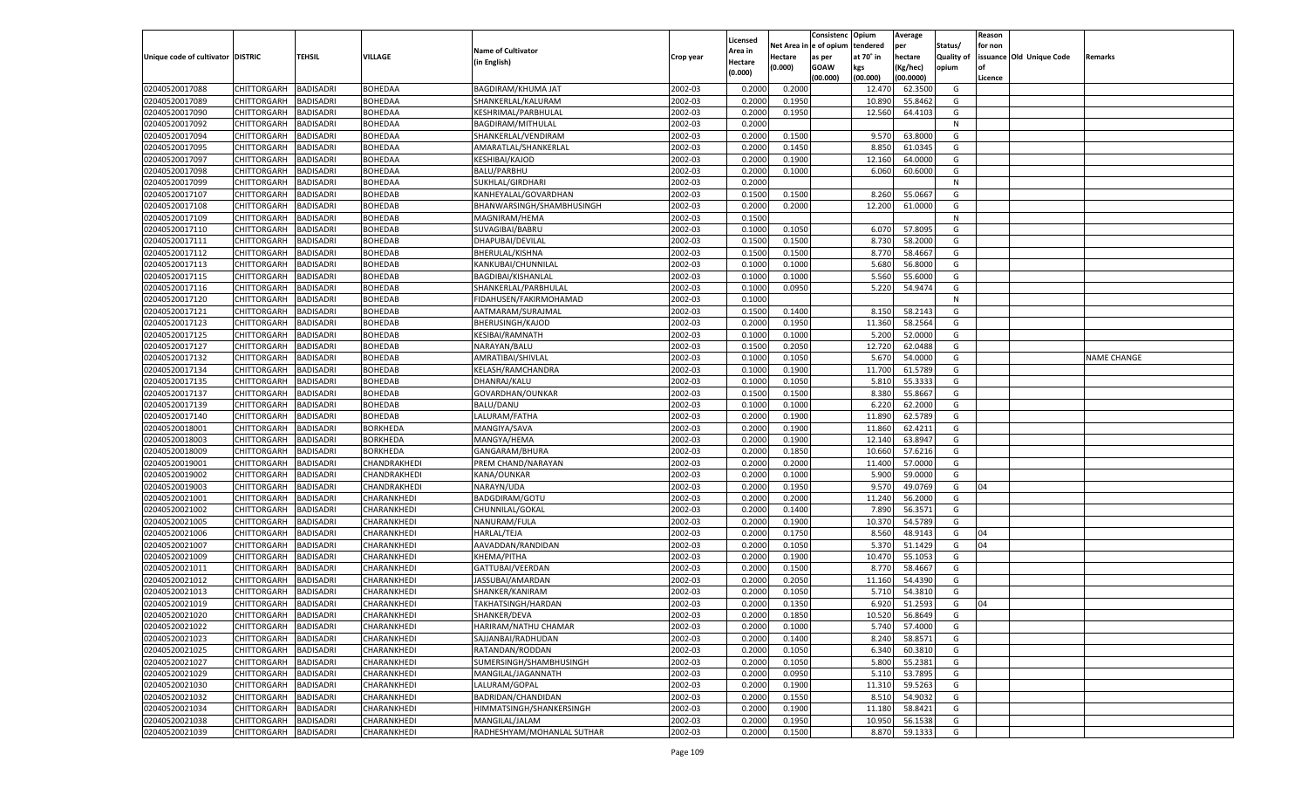|                                   |                       |                  |                            |                                               |                    |                    |            | Consistenc    | Opium     | Average   |                   | Reason  |                          |                    |
|-----------------------------------|-----------------------|------------------|----------------------------|-----------------------------------------------|--------------------|--------------------|------------|---------------|-----------|-----------|-------------------|---------|--------------------------|--------------------|
|                                   |                       |                  |                            |                                               |                    | Licensed           | Net Area i | n le of opium | tendered  | per       | Status/           | for non |                          |                    |
| Unique code of cultivator DISTRIC |                       | TEHSIL           | VILLAGE                    | <b>Name of Cultivator</b>                     | Crop year          | Area in            | Hectare    | as per        | at 70° in | hectare   | <b>Quality of</b> |         | issuance Old Unique Code | Remarks            |
|                                   |                       |                  |                            | (in English)                                  |                    | Hectare<br>(0.000) | (0.000)    | <b>GOAW</b>   | kgs       | (Kg/hec)  | opium             |         |                          |                    |
|                                   |                       |                  |                            |                                               |                    |                    |            | (00.000)      | (00.000)  | (00.0000) |                   | Licence |                          |                    |
| 02040520017088                    | CHITTORGARH           | BADISADRI        | BOHEDAA                    | <b>BAGDIRAM/KHUMA JAT</b>                     | 2002-03            | 0.2000             | 0.2000     |               | 12.470    | 62.3500   | G                 |         |                          |                    |
| 02040520017089                    | CHITTORGARH           | BADISADRI        | <b>BOHEDAA</b>             | SHANKERLAL/KALURAM                            | 2002-03            | 0.2000             | 0.1950     |               | 10.890    | 55.8462   | G                 |         |                          |                    |
| 02040520017090                    | CHITTORGARH           | BADISADRI        | <b>BOHEDAA</b>             | KESHRIMAL/PARBHULAL                           | 2002-03            | 0.2000             | 0.1950     |               | 12.560    | 64.4103   | G                 |         |                          |                    |
| 02040520017092                    | CHITTORGARH           | BADISADRI        | <b>BOHEDAA</b>             | BAGDIRAM/MITHULAL                             | 2002-03            | 0.2000             |            |               |           |           | N                 |         |                          |                    |
| 02040520017094                    | CHITTORGARH           | BADISADRI        | BOHEDAA                    | SHANKERLAL/VENDIRAM                           | 2002-03            | 0.2000             | 0.1500     |               | 9.570     | 63.8000   | G                 |         |                          |                    |
| 02040520017095                    | CHITTORGARH           | BADISADRI        | BOHEDAA                    | AMARATLAL/SHANKERLAL                          | 2002-03            | 0.2000             | 0.1450     |               | 8.850     | 61.0345   | G                 |         |                          |                    |
| 02040520017097                    | CHITTORGARH           | BADISADRI        | <b>BOHEDAA</b>             | KESHIBAI/KAJOD                                | 2002-03            | 0.2000             | 0.1900     |               | 12.160    | 64.0000   | G                 |         |                          |                    |
| 02040520017098                    | CHITTORGARH           | BADISADRI        | <b>BOHEDAA</b>             | <b>BALU/PARBHU</b>                            | 2002-03            | 0.2000             | 0.1000     |               | 6.060     | 60.6000   | G                 |         |                          |                    |
| 02040520017099                    | CHITTORGARH           | BADISADRI        | BOHEDAA                    | SUKHLAL/GIRDHARI                              | 2002-03            | 0.2000             |            |               |           |           | N                 |         |                          |                    |
| 02040520017107                    | CHITTORGARH           | BADISADRI        | BOHEDAB                    | KANHEYALAL/GOVARDHAN                          | 2002-03            | 0.1500             | 0.1500     |               | 8.260     | 55.0667   | G                 |         |                          |                    |
| 02040520017108                    | CHITTORGARH           | BADISADRI        | <b>BOHEDAB</b>             | BHANWARSINGH/SHAMBHUSINGH                     | 2002-03            | 0.2000             | 0.2000     |               | 12.200    | 61.0000   | G                 |         |                          |                    |
| 02040520017109                    | CHITTORGARH           | BADISADRI        | <b>BOHEDAB</b>             | MAGNIRAM/HEMA                                 | 2002-03            | 0.1500             |            |               |           |           | N                 |         |                          |                    |
| 02040520017110                    | CHITTORGARH           | BADISADRI        | BOHEDAB                    | SUVAGIBAI/BABRU                               | 2002-03            | 0.1000             | 0.1050     |               | 6.070     | 57.8095   | G                 |         |                          |                    |
| 02040520017111                    | CHITTORGARH           | <b>BADISADRI</b> | BOHEDAB                    | DHAPUBAI/DEVILAL                              | 2002-03            | 0.1500             | 0.1500     |               | 8.730     | 58.2000   | G                 |         |                          |                    |
| 02040520017112                    | CHITTORGARH           | <b>BADISADRI</b> | BOHEDAB                    | BHERULAL/KISHNA                               | 2002-03            | 0.1500             | 0.1500     |               | 8.770     | 58.4667   | G                 |         |                          |                    |
| 02040520017113                    | CHITTORGARH           | BADISADRI        | BOHEDAB                    | KANKUBAI/CHUNNILAL                            | 2002-03            | 0.1000             | 0.1000     |               | 5.680     | 56.8000   | G                 |         |                          |                    |
| 02040520017115                    | CHITTORGARH           | <b>BADISADRI</b> | <b>BOHEDAB</b>             | BAGDIBAI/KISHANLAL                            | 2002-03            | 0.1000             | 0.1000     |               | 5.560     | 55.6000   | G                 |         |                          |                    |
| 02040520017116                    | CHITTORGARH           | BADISADRI        | BOHEDAB                    | SHANKERLAL/PARBHULAL                          | 2002-03            | 0.1000             | 0.0950     |               | 5.220     | 54.9474   | G                 |         |                          |                    |
| 02040520017120                    | CHITTORGARH           | <b>BADISADRI</b> | BOHEDAB                    | FIDAHUSEN/FAKIRMOHAMAD                        | 2002-03            | 0.1000             |            |               |           |           | N                 |         |                          |                    |
| 02040520017121                    | CHITTORGARH           | BADISADRI        | BOHEDAB                    | AATMARAM/SURAJMAL                             | 2002-03            | 0.1500             | 0.1400     |               | 8.150     | 58.2143   | G                 |         |                          |                    |
| 02040520017123                    | CHITTORGARH           | <b>BADISADRI</b> | <b>BOHEDAB</b>             | BHERUSINGH/KAJOD                              | 2002-03            | 0.2000             | 0.1950     |               | 11.360    | 58.2564   | G                 |         |                          |                    |
| 02040520017125                    | CHITTORGARH           | BADISADRI        | BOHEDAB                    | KESIBAI/RAMNATH                               | 2002-03            | 0.1000             | 0.1000     |               | 5.200     | 52.0000   | G                 |         |                          |                    |
| 02040520017127                    | CHITTORGARH           | <b>BADISADRI</b> | BOHEDAB                    | NARAYAN/BALU                                  | 2002-03            | 0.1500             | 0.2050     |               | 12.720    | 62.0488   | G                 |         |                          |                    |
| 02040520017132                    | CHITTORGARH           | BADISADRI        | BOHEDAB                    | AMRATIBAI/SHIVLAL                             | 2002-03            | 0.1000             | 0.1050     |               | 5.670     | 54.0000   | G                 |         |                          | <b>NAME CHANGE</b> |
| 02040520017134                    | CHITTORGARH           | <b>BADISADRI</b> | <b>BOHEDAB</b>             | KELASH/RAMCHANDRA                             | 2002-03            | 0.1000             | 0.1900     |               | 11.700    | 61.5789   | G                 |         |                          |                    |
| 02040520017135                    | CHITTORGARH           | BADISADRI        | BOHEDAB                    | DHANRAJ/KALU                                  | 2002-03            | 0.1000             | 0.1050     |               | 5.810     | 55.3333   | G                 |         |                          |                    |
| 02040520017137                    | CHITTORGARH           | <b>BADISADRI</b> | BOHEDAB                    | GOVARDHAN/OUNKAR                              | 2002-03            | 0.1500             | 0.1500     |               | 8.380     | 55.8667   | G                 |         |                          |                    |
| 02040520017139                    | CHITTORGARH           | BADISADRI        | BOHEDAB                    | BALU/DANU                                     | 2002-03            | 0.1000             | 0.1000     |               | 6.220     | 62.2000   | G                 |         |                          |                    |
| 02040520017140                    | CHITTORGARH           | <b>BADISADRI</b> | BOHEDAB                    | LALURAM/FATHA                                 | 2002-03            | 0.2000             | 0.1900     |               | 11.890    | 62.5789   | G                 |         |                          |                    |
| 02040520018001                    | CHITTORGARH           | BADISADRI        | <b>BORKHEDA</b>            | MANGIYA/SAVA                                  | 2002-03            | 0.2000             | 0.1900     |               | 11.860    | 62.4211   | G                 |         |                          |                    |
| 02040520018003                    | CHITTORGARH           | <b>BADISADRI</b> | <b>BORKHEDA</b>            | MANGYA/HEMA                                   | 2002-03            | 0.2000             | 0.1900     |               | 12.140    | 63.8947   | G                 |         |                          |                    |
| 02040520018009                    | CHITTORGARH           | <b>BADISADRI</b> | <b>BORKHEDA</b>            | GANGARAM/BHURA                                | 2002-03            | 0.2000             | 0.1850     |               | 10.660    | 57.6216   | G                 |         |                          |                    |
| 02040520019001                    | CHITTORGARH           | <b>BADISADRI</b> | CHANDRAKHEDI               | PREM CHAND/NARAYAN                            | 2002-03            | 0.2000             | 0.2000     |               | 11.400    | 57.0000   | G                 |         |                          |                    |
| 02040520019002                    | CHITTORGARH           | BADISADRI        | CHANDRAKHEDI               | KANA/OUNKAR                                   | 2002-03            | 0.2000             | 0.1000     |               | 5.900     | 59.0000   | G                 |         |                          |                    |
| 02040520019003                    | CHITTORGARH           | <b>BADISADRI</b> | CHANDRAKHEDI               | NARAYN/UDA                                    | 2002-03            | 0.2000             | 0.1950     |               | 9.570     | 49.0769   | G                 | 04      |                          |                    |
| 02040520021001                    | CHITTORGARH           | <b>BADISADRI</b> | CHARANKHEDI                | <b>BADGDIRAM/GOTU</b>                         | 2002-03            | 0.2000             | 0.2000     |               | 11.240    | 56.2000   | G                 |         |                          |                    |
| 02040520021002                    | CHITTORGARH           | <b>BADISADRI</b> | CHARANKHEDI                | CHUNNILAL/GOKAL                               | 2002-03            | 0.2000             | 0.1400     |               | 7.890     | 56.3571   | G                 |         |                          |                    |
| 02040520021005                    | CHITTORGARH           | BADISADRI        | CHARANKHEDI                | NANURAM/FULA                                  | 2002-03            | 0.2000             | 0.1900     |               | 10.370    | 54.5789   | G                 |         |                          |                    |
| 02040520021006                    | CHITTORGARH           | <b>BADISADRI</b> | CHARANKHEDI                | HARLAL/TEJA                                   | 2002-03            | 0.2000             | 0.1750     |               | 8.560     | 48.9143   | G                 | 04      |                          |                    |
| 02040520021007                    | CHITTORGARH           | <b>BADISADRI</b> | CHARANKHEDI                | AAVADDAN/RANDIDAN                             | 2002-03            | 0.2000             | 0.1050     |               | 5.370     | 51.1429   | G                 | 04      |                          |                    |
| 02040520021009                    | CHITTORGARH           | <b>BADISADRI</b> | CHARANKHEDI                | KHEMA/PITHA                                   | 2002-03            | 0.2000             | 0.1900     |               | 10.470    | 55.1053   | G                 |         |                          |                    |
| 02040520021011                    | CHITTORGARH           | BADISADRI        | CHARANKHEDI                | GATTUBAI/VEERDAN                              | 2002-03            | 0.2000             | 0.1500     |               | 8.770     | 58.4667   | G                 |         |                          |                    |
| 02040520021012                    | CHITTORGARH           | BADISADRI        | CHARANKHEDI                | JASSUBAI/AMARDAN                              | 2002-03            | 0.2000             | 0.2050     |               | 11.160    | 54.4390   | G                 |         |                          |                    |
| 02040520021013                    | CHITTORGARH           | BADISADRI        | CHARANKHEDI                | SHANKER/KANIRAM                               | 2002-03            | 0.2000             | 0.1050     |               | 5.710     | 54.3810   | G                 |         |                          |                    |
| 02040520021019                    | CHITTORGARH           | <b>BADISADRI</b> | CHARANKHEDI                | TAKHATSINGH/HARDAN                            | 2002-03            | 0.2000             | 0.1350     |               | 6.920     | 51.2593   | G                 | 04      |                          |                    |
|                                   | CHITTORGARH BADISADRI |                  | CHARANKHEDI                | SHANKER/DEVA                                  |                    | 0.2000             | 0.1850     |               | 10.520    | 56.8649   | G                 |         |                          |                    |
| 02040520021020<br>02040520021022  |                       | <b>BADISADRI</b> | CHARANKHEDI                | HARIRAM/NATHU CHAMAR                          | 2002-03<br>2002-03 | 0.2000             | 0.1000     |               | 5.740     |           | G                 |         |                          |                    |
|                                   | <b>CHITTORGARH</b>    |                  |                            |                                               |                    |                    |            |               |           | 57.4000   |                   |         |                          |                    |
| 02040520021023                    | <b>CHITTORGARH</b>    | <b>BADISADRI</b> | CHARANKHEDI<br>CHARANKHEDI | SAJJANBAI/RADHUDAN                            | 2002-03<br>2002-03 | 0.2000             | 0.1400     |               | 8.240     | 58.8571   | G                 |         |                          |                    |
| 02040520021025<br>02040520021027  | CHITTORGARH           | <b>BADISADRI</b> |                            | RATANDAN/RODDAN                               |                    | 0.2000             | 0.1050     |               | 6.340     | 60.3810   | G                 |         |                          |                    |
| 02040520021029                    | CHITTORGARH           | <b>BADISADRI</b> | CHARANKHEDI                | SUMERSINGH/SHAMBHUSINGH<br>MANGILAL/JAGANNATH | 2002-03            | 0.2000             | 0.1050     |               | 5.800     | 55.2381   | G                 |         |                          |                    |
|                                   | CHITTORGARH           | <b>BADISADRI</b> | CHARANKHEDI                |                                               | 2002-03            | 0.2000             | 0.0950     |               | 5.110     | 53.7895   | G                 |         |                          |                    |
| 02040520021030                    | CHITTORGARH           | <b>BADISADRI</b> | CHARANKHEDI                | LALURAM/GOPAL                                 | 2002-03            | 0.2000             | 0.1900     |               | 11.310    | 59.5263   | G                 |         |                          |                    |
| 02040520021032                    | CHITTORGARH           | <b>BADISADRI</b> | CHARANKHEDI                | BADRIDAN/CHANDIDAN                            | 2002-03            | 0.2000             | 0.1550     |               | 8.510     | 54.9032   | G                 |         |                          |                    |
| 02040520021034                    | CHITTORGARH           | <b>BADISADRI</b> | CHARANKHEDI                | HIMMATSINGH/SHANKERSINGH                      | 2002-03            | 0.2000             | 0.1900     |               | 11.180    | 58.8421   | G                 |         |                          |                    |
| 02040520021038                    | <b>CHITTORGARH</b>    | <b>BADISADRI</b> | CHARANKHEDI                | MANGILAL/JALAM                                | 2002-03            | 0.2000             | 0.1950     |               | 10.950    | 56.1538   | G                 |         |                          |                    |
| 02040520021039                    | <b>CHITTORGARH</b>    | <b>BADISADRI</b> | CHARANKHEDI                | RADHESHYAM/MOHANLAL SUTHAR                    | 2002-03            | 0.2000             | 0.1500     |               | 8.870     | 59.1333   | G                 |         |                          |                    |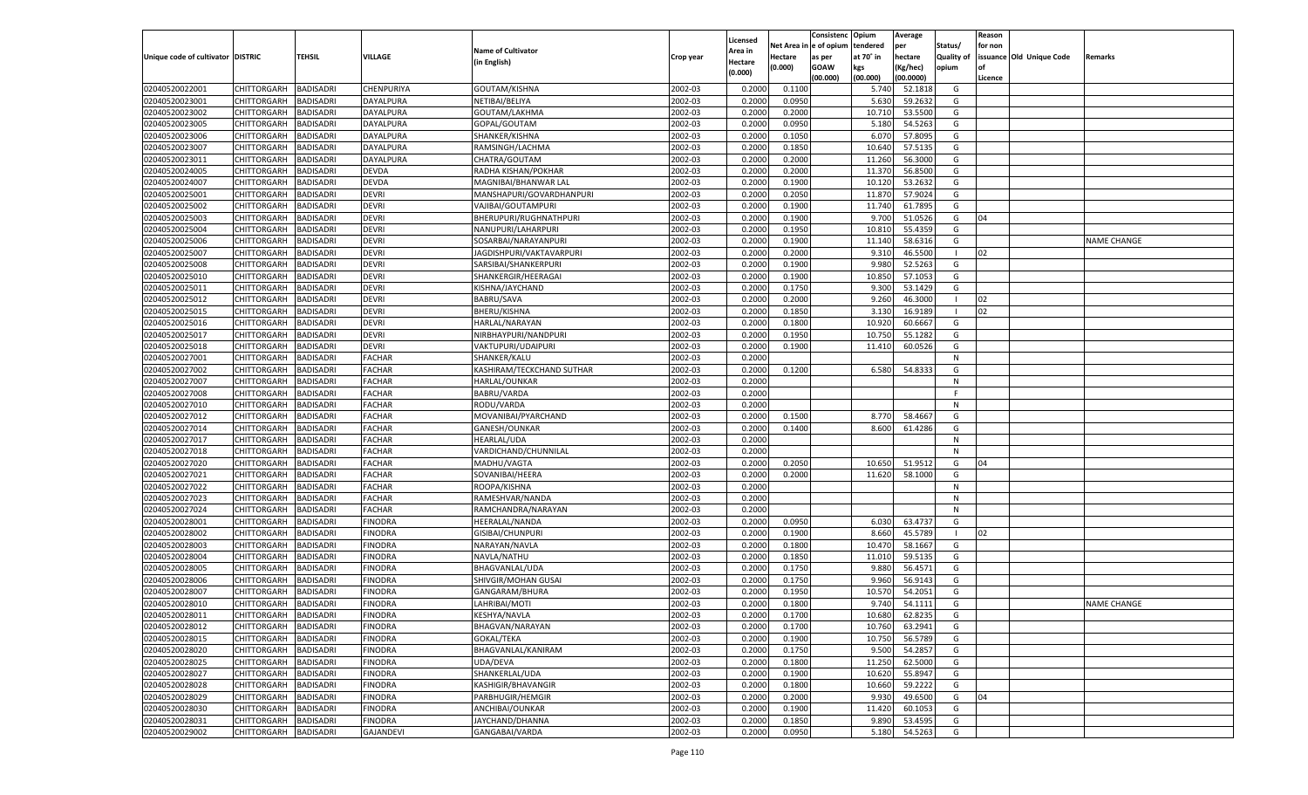|                                   |                    |                  |                  |                                 |                    | Licensed |         | Consistenc Opium       |           | Average   |                   | Reason  |                          |                    |
|-----------------------------------|--------------------|------------------|------------------|---------------------------------|--------------------|----------|---------|------------------------|-----------|-----------|-------------------|---------|--------------------------|--------------------|
|                                   |                    |                  |                  | <b>Name of Cultivator</b>       |                    | Area in  |         | Net Area in e of opium | tendered  | per       | Status/           | for non |                          |                    |
| Unique code of cultivator DISTRIC |                    | <b>TEHSIL</b>    | <b>VILLAGE</b>   | (in English)                    | Crop year          | Hectare  | Hectare | as per                 | at 70° in | hectare   | <b>Quality of</b> |         | issuance Old Unique Code | <b>Remarks</b>     |
|                                   |                    |                  |                  |                                 |                    | (0.000)  | (0.000) | <b>GOAW</b>            | kgs       | (Kg/hec)  | opium             |         |                          |                    |
|                                   |                    |                  |                  |                                 |                    |          |         | (00.000)               | (00.000)  | (00.0000) |                   | Licence |                          |                    |
| 02040520022001                    | CHITTORGARH        | <b>BADISADRI</b> | CHENPURIYA       | GOUTAM/KISHNA                   | 2002-03            | 0.2000   | 0.1100  |                        | 5.740     | 52.1818   | G                 |         |                          |                    |
| 02040520023001                    | CHITTORGARH        | <b>BADISADRI</b> | DAYALPURA        | NETIBAI/BELIYA                  | 2002-03            | 0.2000   | 0.0950  |                        | 5.630     | 59.2632   | G                 |         |                          |                    |
| 02040520023002                    | CHITTORGARH        | <b>BADISADRI</b> | DAYALPURA        | GOUTAM/LAKHMA                   | 2002-03            | 0.2000   | 0.2000  |                        | 10.710    | 53.5500   | G                 |         |                          |                    |
| 02040520023005                    | CHITTORGARH        | <b>BADISADRI</b> | DAYALPURA        | GOPAL/GOUTAM                    | 2002-03            | 0.2000   | 0.0950  |                        | 5.180     | 54.5263   | G                 |         |                          |                    |
| 02040520023006                    | CHITTORGARH        | <b>BADISADRI</b> | DAYALPURA        | SHANKER/KISHNA                  | 2002-03            | 0.2000   | 0.1050  |                        | 6.07      | 57.8095   | G                 |         |                          |                    |
| 02040520023007                    | CHITTORGARH        | <b>BADISADRI</b> | DAYALPURA        | RAMSINGH/LACHMA                 | 2002-03            | 0.2000   | 0.1850  |                        | 10.640    | 57.5135   | G                 |         |                          |                    |
| 02040520023011                    | CHITTORGARH        | <b>BADISADRI</b> | DAYALPURA        | CHATRA/GOUTAM                   | 2002-03            | 0.2000   | 0.2000  |                        | 11.260    | 56.3000   | G                 |         |                          |                    |
| 02040520024005                    | CHITTORGARH        | <b>BADISADRI</b> | <b>DEVDA</b>     | RADHA KISHAN/POKHAR             | 2002-03            | 0.2000   | 0.2000  |                        | 11.370    | 56.8500   | G                 |         |                          |                    |
| 02040520024007                    | CHITTORGARH        | <b>BADISADRI</b> | <b>DEVDA</b>     | MAGNIBAI/BHANWAR LAL            | 2002-03            | 0.2000   | 0.1900  |                        | 10.12     | 53.2632   | G                 |         |                          |                    |
| 02040520025001                    | CHITTORGARH        | <b>BADISADRI</b> | <b>DEVRI</b>     | MANSHAPURI/GOVARDHANPURI        | 2002-03            | 0.2000   | 0.2050  |                        | 11.870    | 57.9024   | G                 |         |                          |                    |
| 02040520025002                    | CHITTORGARH        | <b>BADISADRI</b> | <b>DEVRI</b>     | VAJIBAI/GOUTAMPURI              | 2002-03            | 0.2000   | 0.1900  |                        | 11.740    | 61.7895   | G                 |         |                          |                    |
| 02040520025003                    | CHITTORGARH        | <b>BADISADRI</b> | <b>DEVRI</b>     | BHERUPURI/RUGHNATHPURI          | 2002-03            | 0.2000   | 0.1900  |                        | 9.700     | 51.0526   | G                 | 04      |                          |                    |
| 02040520025004                    | CHITTORGARH        | BADISADRI        | <b>DEVRI</b>     | NANUPURI/LAHARPURI              | 2002-03            | 0.2000   | 0.1950  |                        | 10.81     | 55.4359   | G                 |         |                          |                    |
| 02040520025006                    | CHITTORGARH        | BADISADRI        | <b>DEVRI</b>     | SOSARBAI/NARAYANPURI            | 2002-03            | 0.2000   | 0.1900  |                        | 11.140    | 58.6316   | G                 |         |                          | <b>NAME CHANGE</b> |
| 02040520025007                    | CHITTORGARH        | BADISADRI        | <b>DEVRI</b>     | JAGDISHPURI/VAKTAVARPURI        | 2002-03            | 0.2000   | 0.2000  |                        | 9.310     | 46.5500   | - 1               | 02      |                          |                    |
| 02040520025008                    | CHITTORGARH        | BADISADRI        | <b>DEVRI</b>     | SARSIBAI/SHANKERPURI            | 2002-03            | 0.2000   | 0.1900  |                        | 9.980     | 52.5263   | G                 |         |                          |                    |
| 02040520025010                    | CHITTORGARH        | BADISADRI        | <b>DEVRI</b>     | SHANKERGIR/HEERAGAI             | 2002-03            | 0.2000   | 0.1900  |                        | 10.850    | 57.1053   | G                 |         |                          |                    |
| 02040520025011                    | CHITTORGARH        | BADISADRI        | <b>DEVRI</b>     | KISHNA/JAYCHAND                 | 2002-03            | 0.2000   | 0.1750  |                        | 9.300     | 53.1429   | G                 |         |                          |                    |
| 02040520025012                    | CHITTORGARH        | BADISADRI        | <b>DEVRI</b>     | <b>BABRU/SAVA</b>               | 2002-03            | 0.2000   | 0.2000  |                        | 9.260     | 46.3000   | - 1               | 02      |                          |                    |
| 02040520025015                    | CHITTORGARH        | BADISADRI        | <b>DEVRI</b>     | BHERU/KISHNA                    | 2002-03            | 0.2000   | 0.1850  |                        | 3.130     | 16.9189   | - 1               | 02      |                          |                    |
| 02040520025016                    | CHITTORGARH        | BADISADRI        | <b>DEVRI</b>     | <b>HARLAL/NARAYAN</b>           | 2002-03            | 0.2000   | 0.1800  |                        | 10.920    | 60.6667   | G                 |         |                          |                    |
| 02040520025017                    | CHITTORGARH        | BADISADRI        | <b>DEVRI</b>     | NIRBHAYPURI/NANDPURI            | 2002-03            | 0.2000   | 0.1950  |                        | 10.750    | 55.1282   | G                 |         |                          |                    |
| 02040520025018                    | CHITTORGARH        | BADISADRI        | <b>DEVRI</b>     | VAKTUPURI/UDAIPURI              | 2002-03            | 0.2000   | 0.1900  |                        | 11.410    | 60.0526   | G                 |         |                          |                    |
| 02040520027001                    | CHITTORGARH        | BADISADRI        | <b>FACHAR</b>    | SHANKER/KALU                    | 2002-03            | 0.2000   |         |                        |           |           | N                 |         |                          |                    |
| 02040520027002                    | CHITTORGARH        | BADISADRI        | <b>FACHAR</b>    | KASHIRAM/TECKCHAND SUTHAR       | 2002-03            | 0.2000   | 0.1200  |                        | 6.580     | 54.8333   | G                 |         |                          |                    |
| 02040520027007                    | CHITTORGARH        | BADISADRI        | FACHAR           | HARLAL/OUNKAR                   | 2002-03            | 0.2000   |         |                        |           |           | N                 |         |                          |                    |
| 02040520027008                    | CHITTORGARH        | BADISADRI        | <b>FACHAR</b>    | <b>BABRU/VARDA</b>              | 2002-03            | 0.2000   |         |                        |           |           | F.                |         |                          |                    |
| 02040520027010                    | CHITTORGARH        | BADISADRI        | <b>FACHAR</b>    | RODU/VARDA                      | 2002-03            | 0.2000   |         |                        |           |           | N                 |         |                          |                    |
| 02040520027012                    | CHITTORGARH        | <b>BADISADRI</b> | FACHAR           | MOVANIBAI/PYARCHAND             | 2002-03            | 0.2000   | 0.1500  |                        | 8.770     | 58.4667   | G                 |         |                          |                    |
| 02040520027014                    | CHITTORGARH        | BADISADRI        | FACHAR           | GANESH/OUNKAR                   | 2002-03            | 0.2000   | 0.1400  |                        | 8.600     | 61.4286   | G                 |         |                          |                    |
| 02040520027017                    | CHITTORGARH        | BADISADRI        | <b>FACHAR</b>    | <b>HEARLAL/UDA</b>              | 2002-03            | 0.2000   |         |                        |           |           | N                 |         |                          |                    |
| 02040520027018                    | CHITTORGARH        | BADISADRI        | <b>FACHAR</b>    | VARDICHAND/CHUNNILAL            | 2002-03            | 0.2000   |         |                        |           |           | N                 |         |                          |                    |
| 02040520027020                    | CHITTORGARH        | BADISADRI        | <b>FACHAR</b>    | MADHU/VAGTA                     | 2002-03            | 0.2000   | 0.2050  |                        | 10.650    | 51.9512   | G                 | 04      |                          |                    |
| 02040520027021                    | CHITTORGARH        | BADISADRI        | <b>FACHAR</b>    | SOVANIBAI/HEERA                 | 2002-03            | 0.2000   | 0.2000  |                        | 11.620    | 58.1000   | G                 |         |                          |                    |
| 02040520027022                    | CHITTORGARH        | BADISADRI        | <b>FACHAR</b>    | ROOPA/KISHNA                    | 2002-03            | 0.2000   |         |                        |           |           | N                 |         |                          |                    |
| 02040520027023                    | CHITTORGARH        | BADISADRI        | <b>FACHAR</b>    | RAMESHVAR/NANDA                 | 2002-03            | 0.2000   |         |                        |           |           | N                 |         |                          |                    |
| 02040520027024                    | CHITTORGARH        | BADISADRI        | FACHAR           | RAMCHANDRA/NARAYAN              | 2002-03            | 0.2000   |         |                        |           |           | N                 |         |                          |                    |
| 02040520028001                    | CHITTORGARH        | BADISADRI        | FINODRA          | <b>HEERALAL/NANDA</b>           | 2002-03            | 0.2000   | 0.0950  |                        | 6.030     | 63.4737   | G                 |         |                          |                    |
| 02040520028002                    | CHITTORGARH        | BADISADRI        | FINODRA          | GISIBAI/CHUNPURI                | 2002-03            | 0.2000   | 0.1900  |                        | 8.660     | 45.5789   | - 1               | 02      |                          |                    |
| 02040520028003                    | CHITTORGARH        | BADISADRI        | FINODRA          | NARAYAN/NAVLA                   | 2002-03            | 0.2000   | 0.1800  |                        | 10.470    | 58.1667   | G                 |         |                          |                    |
| 02040520028004                    | CHITTORGARH        | BADISADRI        | FINODRA          | NAVLA/NATHU                     | 2002-03            | 0.2000   | 0.1850  |                        | 11.010    | 59.5135   | G                 |         |                          |                    |
| 02040520028005                    |                    |                  |                  |                                 | 2002-03            |          |         |                        |           |           | G                 |         |                          |                    |
|                                   | CHITTORGARH        | BADISADRI        | FINODRA          | BHAGVANLAL/UDA                  | 2002-03            | 0.2000   | 0.1750  |                        | 9.880     | 56.4571   | G                 |         |                          |                    |
| 02040520028006                    | CHITTORGARH        | BADISADRI        | FINODRA          | SHIVGIR/MOHAN GUSAI             |                    | 0.2000   | 0.1750  |                        | 9.960     | 56.9143   |                   |         |                          |                    |
| 02040520028007                    | CHITTORGARH        | BADISADRI        | FINODRA          | GANGARAM/BHURA<br>LAHRIBAI/MOTI | 2002-03<br>2002-03 | 0.2000   | 0.1950  |                        | 10.570    | 54.2051   | G<br>G            |         |                          |                    |
| 02040520028010                    | CHITTORGARH        | BADISADRI        | FINODRA          |                                 |                    | 0.2000   | 0.1800  |                        | 9.740     | 54.1111   |                   |         |                          | <b>NAME CHANGE</b> |
| 02040520028011                    | CHITTORGARH        | <b>BADISADRI</b> | <b>FINODRA</b>   | KESHYA/NAVLA                    | 2002-03            | 0.2000   | 0.1700  |                        | 10.680    | 62.8235   | G                 |         |                          |                    |
| 02040520028012                    | <b>CHITTORGARH</b> | <b>BADISADRI</b> | <b>FINODRA</b>   | BHAGVAN/NARAYAN                 | 2002-03            | 0.2000   | 0.1700  |                        | 10.760    | 63.2941   | G                 |         |                          |                    |
| 02040520028015                    | <b>CHITTORGARH</b> | <b>BADISADRI</b> | <b>FINODRA</b>   | <b>GOKAL/TEKA</b>               | 2002-03            | 0.2000   | 0.1900  |                        | 10.750    | 56.5789   | G                 |         |                          |                    |
| 02040520028020                    | <b>CHITTORGARH</b> | <b>BADISADRI</b> | <b>FINODRA</b>   | BHAGVANLAL/KANIRAM              | 2002-03            | 0.2000   | 0.1750  |                        | 9.500     | 54.2857   | G                 |         |                          |                    |
| 02040520028025                    | <b>CHITTORGARH</b> | <b>BADISADRI</b> | <b>FINODRA</b>   | UDA/DEVA                        | 2002-03            | 0.2000   | 0.1800  |                        | 11.250    | 62.5000   | G                 |         |                          |                    |
| 02040520028027                    | <b>CHITTORGARH</b> | <b>BADISADRI</b> | <b>FINODRA</b>   | SHANKERLAL/UDA                  | 2002-03            | 0.2000   | 0.1900  |                        | 10.620    | 55.8947   | G                 |         |                          |                    |
| 02040520028028                    | <b>CHITTORGARH</b> | <b>BADISADRI</b> | <b>FINODRA</b>   | KASHIGIR/BHAVANGIR              | 2002-03            | 0.2000   | 0.1800  |                        | 10.660    | 59.2222   | G                 |         |                          |                    |
| 02040520028029                    | <b>CHITTORGARH</b> | <b>BADISADRI</b> | <b>FINODRA</b>   | PARBHUGIR/HEMGIR                | 2002-03            | 0.2000   | 0.2000  |                        | 9.930     | 49.6500   | G                 | 04      |                          |                    |
| 02040520028030                    | <b>CHITTORGARH</b> | <b>BADISADRI</b> | <b>FINODRA</b>   | ANCHIBAI/OUNKAR                 | 2002-03            | 0.2000   | 0.1900  |                        | 11.420    | 60.1053   | G                 |         |                          |                    |
| 02040520028031                    | <b>CHITTORGARH</b> | <b>BADISADRI</b> | <b>FINODRA</b>   | JAYCHAND/DHANNA                 | 2002-03            | 0.2000   | 0.1850  |                        | 9.890     | 53.4595   | G                 |         |                          |                    |
| 02040520029002                    | <b>CHITTORGARH</b> | <b>BADISADRI</b> | <b>GAJANDEVI</b> | GANGABAI/VARDA                  | 2002-03            | 0.2000   | 0.0950  |                        | 5.180     | 54.5263   | G                 |         |                          |                    |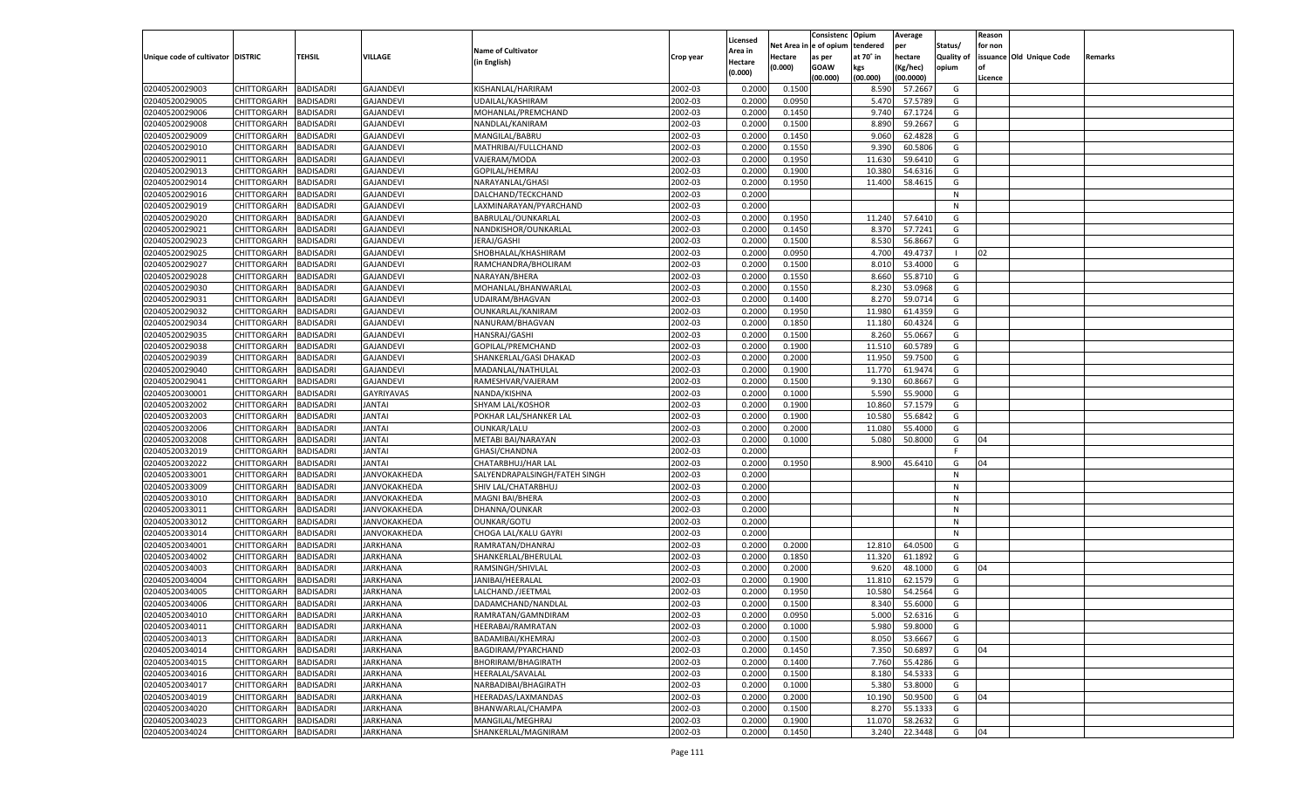|                                   |                    |                  |                  |                               |                    | Licensed |         | Consistenc Opium       |           | Average            |                   | Reason  |                          |                |
|-----------------------------------|--------------------|------------------|------------------|-------------------------------|--------------------|----------|---------|------------------------|-----------|--------------------|-------------------|---------|--------------------------|----------------|
|                                   |                    |                  |                  | <b>Name of Cultivator</b>     |                    | Area in  |         | Net Area in e of opium | tendered  | per                | Status/           | for non |                          |                |
| Unique code of cultivator DISTRIC |                    | TEHSIL           | VILLAGE          | (in English)                  | Crop year          | Hectare  | Hectare | as per                 | at 70° in | hectare            | <b>Quality of</b> |         | issuance Old Unique Code | <b>Remarks</b> |
|                                   |                    |                  |                  |                               |                    | (0.000)  | (0.000) | <b>GOAW</b>            | kgs       | (Kg/hec)           | opium             |         |                          |                |
|                                   |                    |                  |                  |                               |                    |          |         | (00.000)               | (00.000)  | (00.0000)          |                   | Licence |                          |                |
| 02040520029003                    | CHITTORGARH        | <b>BADISADRI</b> | <b>GAJANDEVI</b> | KISHANLAL/HARIRAM             | 2002-03            | 0.2000   | 0.1500  |                        | 8.590     | 57.2667            | G                 |         |                          |                |
| 02040520029005                    | CHITTORGARH        | <b>BADISADRI</b> | <b>GAJANDEVI</b> | UDAILAL/KASHIRAM              | 2002-03            | 0.2000   | 0.0950  |                        | 5.47      | 57.5789            | G                 |         |                          |                |
| 02040520029006                    | CHITTORGARH        | <b>BADISADRI</b> | <b>GAJANDEVI</b> | MOHANLAL/PREMCHAND            | 2002-03            | 0.2000   | 0.1450  |                        | 9.740     | 67.1724            | G                 |         |                          |                |
| 02040520029008                    | CHITTORGARH        | <b>BADISADRI</b> | <b>GAJANDEVI</b> | NANDLAL/KANIRAM               | 2002-03            | 0.2000   | 0.1500  |                        | 8.890     | 59.2667            | G                 |         |                          |                |
| 02040520029009                    | CHITTORGARH        | <b>BADISADRI</b> | <b>GAJANDEVI</b> | MANGILAL/BABRU                | 2002-03            | 0.2000   | 0.1450  |                        | 9.060     | 62.4828            | G                 |         |                          |                |
| 02040520029010                    | CHITTORGARH        | <b>BADISADRI</b> | <b>GAJANDEVI</b> | MATHRIBAI/FULLCHAND           | 2002-03            | 0.2000   | 0.1550  |                        | 9.390     | 60.5806            | G                 |         |                          |                |
| 02040520029011                    | CHITTORGARH        | <b>BADISADRI</b> | <b>GAJANDEVI</b> | VAJERAM/MODA                  | 2002-03            | 0.2000   | 0.1950  |                        | 11.630    | 59.6410            | G                 |         |                          |                |
| 02040520029013                    | CHITTORGARH        | <b>BADISADRI</b> | <b>GAJANDEVI</b> | GOPILAL/HEMRAJ                | 2002-03            | 0.2000   | 0.1900  |                        | 10.380    | 54.6316            | G                 |         |                          |                |
| 02040520029014                    | CHITTORGARH        | <b>BADISADRI</b> | <b>GAJANDEVI</b> | NARAYANLAL/GHASI              | 2002-03            | 0.2000   | 0.1950  |                        | 11.400    | 58.4615            | G                 |         |                          |                |
| 02040520029016                    | CHITTORGARH        | <b>BADISADRI</b> | <b>GAJANDEVI</b> | DALCHAND/TECKCHAND            | 2002-03            | 0.2000   |         |                        |           |                    | N                 |         |                          |                |
| 02040520029019                    | CHITTORGARH        | <b>BADISADRI</b> | <b>GAJANDEVI</b> | LAXMINARAYAN/PYARCHAND        | 2002-03            | 0.2000   |         |                        |           |                    | N                 |         |                          |                |
| 02040520029020                    | CHITTORGARH        | <b>BADISADRI</b> | <b>GAJANDEVI</b> | BABRULAL/OUNKARLAL            | 2002-03            | 0.2000   | 0.1950  |                        | 11.240    | 57.6410            | G                 |         |                          |                |
| 02040520029021                    | CHITTORGARH        | BADISADRI        | <b>GAJANDEVI</b> | NANDKISHOR/OUNKARLAL          | 2002-03            | 0.2000   | 0.1450  |                        | 8.370     | 57.7241            | G                 |         |                          |                |
| 02040520029023                    | CHITTORGARH        | BADISADRI        | <b>GAJANDEVI</b> | JERAJ/GASHI                   | 2002-03            | 0.2000   | 0.1500  |                        | 8.530     | 56.8667            | G                 |         |                          |                |
| 02040520029025                    | CHITTORGARH        | BADISADRI        | <b>GAJANDEVI</b> | SHOBHALAL/KHASHIRAM           | 2002-03            | 0.2000   | 0.0950  |                        | 4.700     | 49.4737            | - 1               | 02      |                          |                |
| 02040520029027                    | CHITTORGARH        | BADISADRI        | <b>GAJANDEVI</b> | RAMCHANDRA/BHOLIRAM           | 2002-03            | 0.2000   | 0.1500  |                        | 8.010     | 53.4000            | G                 |         |                          |                |
| 02040520029028                    | CHITTORGARH        | BADISADRI        | <b>GAJANDEVI</b> | NARAYAN/BHERA                 | 2002-03            | 0.2000   | 0.1550  |                        | 8.660     | 55.8710            | G                 |         |                          |                |
| 02040520029030                    | CHITTORGARH        | BADISADRI        | <b>GAJANDEVI</b> | MOHANLAL/BHANWARLAL           | 2002-03            | 0.2000   | 0.1550  |                        | 8.230     | 53.0968            | G                 |         |                          |                |
| 02040520029031                    | CHITTORGARH        | BADISADRI        | <b>GAJANDEVI</b> | UDAIRAM/BHAGVAN               | 2002-03            | 0.2000   | 0.1400  |                        | 8.27      | 59.0714            | G                 |         |                          |                |
| 02040520029032                    | CHITTORGARH        | BADISADRI        | <b>GAJANDEVI</b> | OUNKARLAL/KANIRAM             | 2002-03            | 0.2000   | 0.1950  |                        | 11.980    | 61.4359            | G                 |         |                          |                |
| 02040520029034                    | CHITTORGARH        | BADISADRI        | <b>GAJANDEVI</b> | NANURAM/BHAGVAN               | 2002-03            | 0.2000   | 0.1850  |                        | 11.180    | 60.4324            | G                 |         |                          |                |
| 02040520029035                    | CHITTORGARH        | BADISADRI        | <b>GAJANDEVI</b> | HANSRAJ/GASHI                 | 2002-03            | 0.2000   | 0.1500  |                        | 8.260     | 55.0667            | G                 |         |                          |                |
| 02040520029038                    | CHITTORGARH        | BADISADRI        | <b>GAJANDEVI</b> | GOPILAL/PREMCHAND             | 2002-03            | 0.2000   | 0.1900  |                        | 11.510    | 60.5789            | G                 |         |                          |                |
| 02040520029039                    | CHITTORGARH        | BADISADRI        | <b>GAJANDEVI</b> | SHANKERLAL/GASI DHAKAD        | 2002-03            | 0.2000   | 0.2000  |                        | 11.950    | 59.7500            | G                 |         |                          |                |
| 02040520029040                    | CHITTORGARH        | BADISADRI        | <b>GAJANDEVI</b> | MADANLAL/NATHULAL             | 2002-03            | 0.2000   | 0.1900  |                        | 11.770    | 61.9474            | G                 |         |                          |                |
| 02040520029041                    | CHITTORGARH        | BADISADRI        | <b>GAJANDEVI</b> | RAMESHVAR/VAJERAM             | 2002-03            | 0.2000   | 0.1500  |                        | 9.130     | 60.8667            | G                 |         |                          |                |
| 02040520030001                    | CHITTORGARH        | BADISADRI        | GAYRIYAVAS       | NANDA/KISHNA                  | 2002-03            | 0.2000   | 0.1000  |                        | 5.590     | 55.9000            | G                 |         |                          |                |
| 02040520032002                    | CHITTORGARH        | BADISADRI        | <b>JANTAI</b>    | <b>SHYAM LAL/KOSHOR</b>       | 2002-03            | 0.2000   | 0.1900  |                        | 10.860    | 57.1579            | G                 |         |                          |                |
| 02040520032003                    | CHITTORGARH        | <b>BADISADRI</b> | <b>JANTAI</b>    | POKHAR LAL/SHANKER LAL        | 2002-03            | 0.2000   | 0.1900  |                        | 10.580    | 55.6842            | G                 |         |                          |                |
| 02040520032006                    | CHITTORGARH        | BADISADRI        | <b>JANTAI</b>    | OUNKAR/LALU                   | 2002-03            | 0.2000   | 0.2000  |                        | 11.080    | 55.4000            | G                 |         |                          |                |
| 02040520032008                    | CHITTORGARH        | BADISADRI        | <b>JANTAI</b>    | METABI BAI/NARAYAN            | 2002-03            | 0.2000   | 0.1000  |                        | 5.080     | 50.8000            | G                 | 04      |                          |                |
| 02040520032019                    | CHITTORGARH        | BADISADRI        | <b>JANTAI</b>    | GHASI/CHANDNA                 | 2002-03            | 0.2000   |         |                        |           |                    | F.                |         |                          |                |
| 02040520032022                    | CHITTORGARH        | BADISADRI        | <b>JANTAI</b>    | CHATARBHUJ/HAR LAL            | 2002-03            | 0.2000   | 0.1950  |                        | 8.900     | 45.6410            | G                 | 04      |                          |                |
| 02040520033001                    | CHITTORGARH        | BADISADRI        | JANVOKAKHEDA     | SALYENDRAPALSINGH/FATEH SINGH | 2002-03            | 0.2000   |         |                        |           |                    | N                 |         |                          |                |
| 02040520033009                    | CHITTORGARH        | BADISADRI        | JANVOKAKHEDA     | SHIV LAL/CHATARBHUJ           | 2002-03            | 0.2000   |         |                        |           |                    | N                 |         |                          |                |
| 02040520033010                    | CHITTORGARH        | BADISADRI        | JANVOKAKHEDA     | MAGNI BAI/BHERA               | 2002-03            | 0.2000   |         |                        |           |                    | N                 |         |                          |                |
| 02040520033011                    | CHITTORGARH        | BADISADRI        | JANVOKAKHEDA     | DHANNA/OUNKAR                 | 2002-03            | 0.2000   |         |                        |           |                    | N                 |         |                          |                |
| 02040520033012                    | CHITTORGARH        | BADISADRI        | JANVOKAKHEDA     | OUNKAR/GOTU                   | 2002-03            | 0.2000   |         |                        |           |                    | N                 |         |                          |                |
| 02040520033014                    | CHITTORGARH        | BADISADRI        | JANVOKAKHEDA     | CHOGA LAL/KALU GAYRI          | 2002-03            | 0.2000   |         |                        |           |                    | N                 |         |                          |                |
| 02040520034001                    | CHITTORGARH        | BADISADRI        | JARKHANA         | RAMRATAN/DHANRAJ              | 2002-03            | 0.2000   | 0.2000  |                        | 12.810    | 64.0500            | G                 |         |                          |                |
| 02040520034002                    | CHITTORGARH        | BADISADRI        | JARKHANA         | SHANKERLAL/BHERULAL           | 2002-03            | 0.2000   | 0.1850  |                        | 11.320    | 61.1892            | G                 |         |                          |                |
| 02040520034003                    | CHITTORGARH        | BADISADRI        | JARKHANA         | RAMSINGH/SHIVLAL              | 2002-03            | 0.2000   | 0.2000  |                        | 9.620     | 48.1000            | G                 | 04      |                          |                |
| 02040520034004                    | CHITTORGARH        | BADISADRI        | JARKHANA         | JANIBAI/HEERALAL              | 2002-03            | 0.2000   | 0.1900  |                        | 11.810    | 62.1579            | G                 |         |                          |                |
|                                   | CHITTORGARH        |                  |                  |                               |                    | 0.2000   |         |                        |           |                    |                   |         |                          |                |
| 02040520034005<br>02040520034006  | CHITTORGARH        | BADISADRI        | JARKHANA         | LALCHAND./JEETMAL             | 2002-03<br>2002-03 |          | 0.1950  |                        | 10.580    | 54.2564<br>55.6000 | G<br>G            |         |                          |                |
|                                   |                    | BADISADRI        | JARKHANA         | DADAMCHAND/NANDLAL            |                    | 0.2000   | 0.1500  |                        | 8.340     |                    |                   |         |                          |                |
| 02040520034010                    | CHITTORGARH        | <b>BADISADRI</b> | <b>JARKHANA</b>  | RAMRATAN/GAMNDIRAM            | 2002-03            | 0.2000   | 0.0950  |                        | 5.000     | 52.6316            | G                 |         |                          |                |
| 02040520034011                    | CHITTORGARH        | <b>BADISADRI</b> | <b>JARKHANA</b>  | HEERABAI/RAMRATAN             | 2002-03            | 0.2000   | 0.1000  |                        | 5.980     | 59.8000            | G                 |         |                          |                |
| 02040520034013                    | CHITTORGARH        | <b>BADISADRI</b> | <b>JARKHANA</b>  | BADAMIBAI/KHEMRAJ             | 2002-03            | 0.2000   | 0.1500  |                        | 8.050     | 53.6667            | G                 |         |                          |                |
| 02040520034014                    | <b>CHITTORGARH</b> | <b>BADISADRI</b> | <b>JARKHANA</b>  | BAGDIRAM/PYARCHAND            | 2002-03            | 0.2000   | 0.1450  |                        | 7.350     | 50.6897            | G                 | 04      |                          |                |
| 02040520034015                    | <b>CHITTORGARH</b> | <b>BADISADRI</b> | <b>JARKHANA</b>  | BHORIRAM/BHAGIRATH            | 2002-03            | 0.2000   | 0.1400  |                        | 7.760     | 55.4286            | G                 |         |                          |                |
| 02040520034016                    | CHITTORGARH        | <b>BADISADRI</b> | <b>JARKHANA</b>  | HEERALAL/SAVALAL              | 2002-03            | 0.2000   | 0.1500  |                        | 8.180     | 54.5333            | G                 |         |                          |                |
| 02040520034017                    | CHITTORGARH        | <b>BADISADRI</b> | <b>JARKHANA</b>  | NARBADIBAI/BHAGIRATH          | 2002-03            | 0.2000   | 0.1000  |                        | 5.380     | 53.8000            | G                 |         |                          |                |
| 02040520034019                    | <b>CHITTORGARH</b> | <b>BADISADRI</b> | <b>JARKHANA</b>  | HEERADAS/LAXMANDAS            | 2002-03            | 0.2000   | 0.2000  |                        | 10.190    | 50.9500            | G                 | 04      |                          |                |
| 02040520034020                    | <b>CHITTORGARH</b> | <b>BADISADRI</b> | <b>JARKHANA</b>  | BHANWARLAL/CHAMPA             | 2002-03            | 0.2000   | 0.1500  |                        | 8.270     | 55.1333            | G                 |         |                          |                |
| 02040520034023                    | <b>CHITTORGARH</b> | <b>BADISADRI</b> | <b>JARKHANA</b>  | MANGILAL/MEGHRAJ              | 2002-03            | 0.2000   | 0.1900  |                        | 11.070    | 58.2632            | G                 |         |                          |                |
| 02040520034024                    | <b>CHITTORGARH</b> | <b>BADISADRI</b> | <b>JARKHANA</b>  | SHANKERLAL/MAGNIRAM           | 2002-03            | 0.2000   | 0.1450  |                        | 3.240     | 22.3448            | G                 | 04      |                          |                |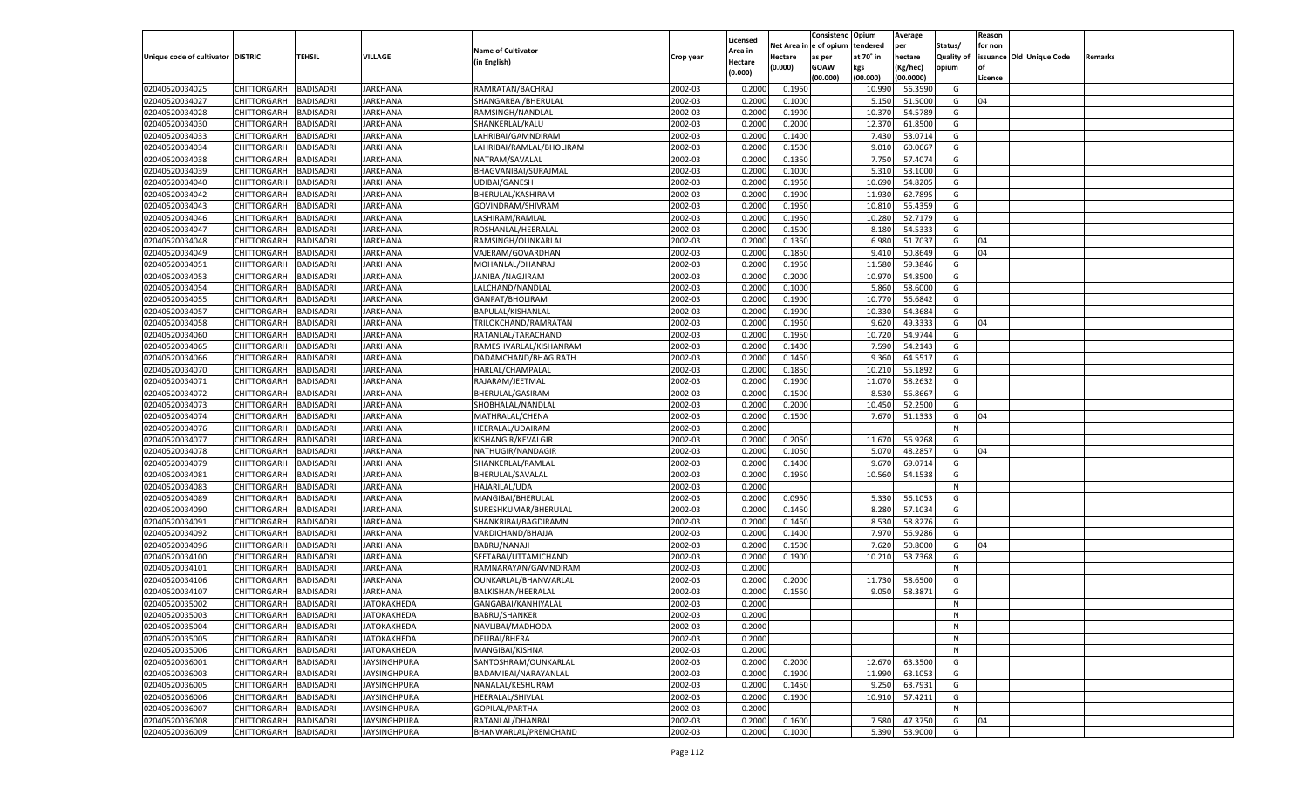|                                   |                       |                  |                     |                           |           |                    |            | Consistenc    | Opium     | Average   |                   | Reason  |                          |         |
|-----------------------------------|-----------------------|------------------|---------------------|---------------------------|-----------|--------------------|------------|---------------|-----------|-----------|-------------------|---------|--------------------------|---------|
|                                   |                       |                  |                     |                           |           | Licensed           | Net Area i | n  e of opium | tendered  | per       | Status/           | for non |                          |         |
| Unique code of cultivator DISTRIC |                       | TEHSIL           | VILLAGE             | <b>Name of Cultivator</b> | Crop year | Area in            | Hectare    | as per        | at 70° in | hectare   | <b>Quality of</b> |         | issuance Old Unique Code | Remarks |
|                                   |                       |                  |                     | (in English)              |           | Hectare<br>(0.000) | (0.000)    | <b>GOAW</b>   | kgs       | (Kg/hec)  | opium             |         |                          |         |
|                                   |                       |                  |                     |                           |           |                    |            | (00.000)      | (00.000)  | (00.0000) |                   | Licence |                          |         |
| 02040520034025                    | CHITTORGARH           | BADISADRI        | <b>JARKHANA</b>     | RAMRATAN/BACHRAJ          | 2002-03   | 0.2000             | 0.1950     |               | 10.990    | 56.3590   | G                 |         |                          |         |
| 02040520034027                    | CHITTORGARH           | BADISADRI        | JARKHANA            | SHANGARBAI/BHERULAI       | 2002-03   | 0.2000             | 0.1000     |               | 5.150     | 51.5000   | G                 | 04      |                          |         |
| 02040520034028                    | CHITTORGARH           | BADISADRI        | JARKHANA            | RAMSINGH/NANDLAL          | 2002-03   | 0.2000             | 0.1900     |               | 10.37     | 54.5789   | G                 |         |                          |         |
| 02040520034030                    | CHITTORGARH           | BADISADRI        | JARKHANA            | SHANKERLAL/KALU           | 2002-03   | 0.2000             | 0.2000     |               | 12.370    | 61.8500   | G                 |         |                          |         |
| 02040520034033                    | CHITTORGARH           | BADISADRI        | JARKHANA            | LAHRIBAI/GAMNDIRAM        | 2002-03   | 0.2000             | 0.1400     |               | 7.430     | 53.0714   | G                 |         |                          |         |
| 02040520034034                    | CHITTORGARH           | BADISADRI        | JARKHANA            | LAHRIBAI/RAMLAL/BHOLIRAM  | 2002-03   | 0.2000             | 0.1500     |               | 9.010     | 60.0667   | G                 |         |                          |         |
| 02040520034038                    | CHITTORGARH           | BADISADRI        | JARKHANA            | NATRAM/SAVALAL            | 2002-03   | 0.2000             | 0.1350     |               | 7.750     | 57.4074   | G                 |         |                          |         |
| 02040520034039                    | CHITTORGARH           | BADISADRI        | JARKHANA            | BHAGVANIBAI/SURAJMAL      | 2002-03   | 0.2000             | 0.1000     |               | 5.31      | 53.1000   | G                 |         |                          |         |
| 02040520034040                    | CHITTORGARH           | BADISADRI        | JARKHANA            | UDIBAI/GANESH             | 2002-03   | 0.2000             | 0.1950     |               | 10.690    | 54.8205   | G                 |         |                          |         |
| 02040520034042                    | CHITTORGARH           | BADISADRI        | JARKHANA            | BHERULAL/KASHIRAM         | 2002-03   | 0.2000             | 0.1900     |               | 11.930    | 62.7895   | G                 |         |                          |         |
| 02040520034043                    | CHITTORGARH           | BADISADRI        | JARKHANA            | GOVINDRAM/SHIVRAM         | 2002-03   | 0.2000             | 0.1950     |               | 10.81     | 55.4359   | G                 |         |                          |         |
| 02040520034046                    | CHITTORGARH           | BADISADRI        | JARKHANA            | LASHIRAM/RAMLAL           | 2002-03   | 0.2000             | 0.1950     |               | 10.280    | 52.7179   | G                 |         |                          |         |
| 02040520034047                    | CHITTORGARH           | BADISADRI        | JARKHANA            | ROSHANLAL/HEERALAL        | 2002-03   | 0.2000             | 0.1500     |               | 8.180     | 54.5333   | G                 |         |                          |         |
| 02040520034048                    | CHITTORGARH           | BADISADRI        | JARKHANA            | RAMSINGH/OUNKARLAI        | 2002-03   | 0.2000             | 0.1350     |               | 6.980     | 51.7037   | G                 | 04      |                          |         |
| 02040520034049                    | CHITTORGARH           | BADISADRI        | <b>JARKHANA</b>     | VAJERAM/GOVARDHAN         | 2002-03   | 0.2000             | 0.1850     |               | 9.410     | 50.8649   | G                 | 04      |                          |         |
|                                   |                       |                  |                     |                           |           |                    |            |               |           |           |                   |         |                          |         |
| 02040520034051                    | CHITTORGARH           | BADISADRI        | JARKHANA            | MOHANLAL/DHANRAJ          | 2002-03   | 0.2000             | 0.1950     |               | 11.580    | 59.3846   | G                 |         |                          |         |
| 02040520034053                    | CHITTORGARH           | <b>BADISADRI</b> | <b>IARKHANA</b>     | JANIBAI/NAGJIRAM          | 2002-03   | 0.2000             | 0.2000     |               | 10.970    | 54.8500   | G                 |         |                          |         |
| 02040520034054                    | CHITTORGARH           | BADISADRI        | JARKHANA            | LALCHAND/NANDLAL          | 2002-03   | 0.2000             | 0.1000     |               | 5.860     | 58.6000   | G                 |         |                          |         |
| 02040520034055                    | CHITTORGARH           | BADISADRI        | JARKHANA            | GANPAT/BHOLIRAM           | 2002-03   | 0.2000             | 0.1900     |               | 10.770    | 56.6842   | G                 |         |                          |         |
| 02040520034057                    | CHITTORGARH           | BADISADRI        | JARKHANA            | BAPULAL/KISHANLAL         | 2002-03   | 0.2000             | 0.1900     |               | 10.330    | 54.3684   | G                 |         |                          |         |
| 02040520034058                    | CHITTORGARH           | <b>BADISADRI</b> | <b>IARKHANA</b>     | TRILOKCHAND/RAMRATAN      | 2002-03   | 0.2000             | 0.1950     |               | 9.620     | 49.3333   | G                 | 04      |                          |         |
| 02040520034060                    | CHITTORGARH           | BADISADRI        | JARKHANA            | RATANLAL/TARACHAND        | 2002-03   | 0.2000             | 0.1950     |               | 10.720    | 54.9744   | G                 |         |                          |         |
| 02040520034065                    | CHITTORGARH           | BADISADRI        | JARKHANA            | RAMESHVARLAL/KISHANRAM    | 2002-03   | 0.2000             | 0.1400     |               | 7.590     | 54.2143   | G                 |         |                          |         |
| 02040520034066                    | CHITTORGARH           | BADISADRI        | JARKHANA            | DADAMCHAND/BHAGIRATH      | 2002-03   | 0.2000             | 0.1450     |               | 9.360     | 64.5517   | G                 |         |                          |         |
| 02040520034070                    | CHITTORGARH           | <b>BADISADRI</b> | <b>IARKHANA</b>     | HARLAL/CHAMPALAL          | 2002-03   | 0.2000             | 0.1850     |               | 10.210    | 55.1892   | G                 |         |                          |         |
| 02040520034071                    | CHITTORGARH           | BADISADRI        | JARKHANA            | RAJARAM/JEETMAL           | 2002-03   | 0.2000             | 0.1900     |               | 11.070    | 58.2632   | G                 |         |                          |         |
| 02040520034072                    | CHITTORGARH           | BADISADRI        | JARKHANA            | BHERULAL/GASIRAM          | 2002-03   | 0.2000             | 0.1500     |               | 8.530     | 56.8667   | G                 |         |                          |         |
| 02040520034073                    | CHITTORGARH           | BADISADRI        | JARKHANA            | SHOBHALAL/NANDLAL         | 2002-03   | 0.2000             | 0.2000     |               | 10.450    | 52.2500   | G                 |         |                          |         |
| 02040520034074                    | CHITTORGARH           | <b>BADISADRI</b> | <b>IARKHANA</b>     | MATHRALAL/CHENA           | 2002-03   | 0.2000             | 0.1500     |               | 7.670     | 51.1333   | G                 | 04      |                          |         |
| 02040520034076                    | CHITTORGARH           | BADISADRI        | JARKHANA            | HEERALAL/UDAIRAM          | 2002-03   | 0.2000             |            |               |           |           | N                 |         |                          |         |
| 02040520034077                    | CHITTORGARH           | <b>BADISADRI</b> | <b>JARKHANA</b>     | KISHANGIR/KEVALGIR        | 2002-03   | 0.2000             | 0.2050     |               | 11.670    | 56.9268   | G                 |         |                          |         |
| 02040520034078                    | CHITTORGARH           | <b>BADISADRI</b> | <b>JARKHANA</b>     | NATHUGIR/NANDAGIR         | 2002-03   | 0.2000             | 0.1050     |               | 5.070     | 48.2857   | G                 | 04      |                          |         |
| 02040520034079                    | CHITTORGARH           | <b>BADISADRI</b> | <b>JARKHANA</b>     | SHANKERLAL/RAMLAL         | 2002-03   | 0.2000             | 0.1400     |               | 9.670     | 69.0714   | G                 |         |                          |         |
| 02040520034081                    | CHITTORGARH           | BADISADRI        | JARKHANA            | BHERULAL/SAVALAL          | 2002-03   | 0.2000             | 0.1950     |               | 10.560    | 54.1538   | G                 |         |                          |         |
| 02040520034083                    | CHITTORGARH           | <b>BADISADRI</b> | <b>JARKHANA</b>     | HAJARILAL/UDA             | 2002-03   | 0.2000             |            |               |           |           | N                 |         |                          |         |
| 02040520034089                    | CHITTORGARH           | <b>BADISADRI</b> | <b>JARKHANA</b>     | MANGIBAI/BHERULAL         | 2002-03   | 0.2000             | 0.0950     |               | 5.330     | 56.105    | G                 |         |                          |         |
| 02040520034090                    | CHITTORGARH           | <b>BADISADRI</b> | <b>JARKHANA</b>     | SURESHKUMAR/BHERULAI      | 2002-03   | 0.2000             | 0.1450     |               | 8.280     | 57.1034   | G                 |         |                          |         |
| 02040520034091                    | CHITTORGARH           | BADISADRI        | JARKHANA            | SHANKRIBAI/BAGDIRAMN      | 2002-03   | 0.2000             | 0.1450     |               | 8.530     | 58.8276   | G                 |         |                          |         |
| 02040520034092                    |                       | <b>BADISADRI</b> | <b>JARKHANA</b>     |                           | 2002-03   | 0.2000             | 0.1400     |               | 7.970     | 56.9286   | G                 |         |                          |         |
|                                   | CHITTORGARH           |                  |                     | VARDICHAND/BHAJJA         |           |                    |            |               | 7.620     |           |                   |         |                          |         |
| 02040520034096                    | CHITTORGARH           | <b>BADISADRI</b> | <b>JARKHANA</b>     | <b>BABRU/NANAJI</b>       | 2002-03   | 0.2000             | 0.1500     |               |           | 50.8000   | G                 | 04      |                          |         |
| 02040520034100                    | CHITTORGARH           | <b>BADISADRI</b> | <b>JARKHANA</b>     | SEETABAI/UTTAMICHAND      | 2002-03   | 0.2000             | 0.1900     |               | 10.210    | 53.7368   | G                 |         |                          |         |
| 02040520034101                    | CHITTORGARH           | BADISADRI        | JARKHANA            | RAMNARAYAN/GAMNDIRAM      | 2002-03   | 0.2000             |            |               |           |           | N                 |         |                          |         |
| 02040520034106                    | CHITTORGARH           | BADISADRI        | <b>JARKHANA</b>     | OUNKARLAL/BHANWARLAL      | 2002-03   | 0.2000             | 0.2000     |               | 11.730    | 58.6500   | G                 |         |                          |         |
| 02040520034107                    | CHITTORGARH           | BADISADRI        | <b>JARKHANA</b>     | BALKISHAN/HEERALAL        | 2002-03   | 0.2000             | 0.1550     |               | 9.050     | 58.3871   | G                 |         |                          |         |
| 02040520035002                    | CHITTORGARH           | <b>BADISADRI</b> | <b>JATOKAKHEDA</b>  | GANGABAI/KANHIYALAL       | 2002-03   | 0.2000             |            |               |           |           | N                 |         |                          |         |
| 02040520035003                    | CHITTORGARH BADISADRI |                  | <b>ЈАТОКАКНЕDA</b>  | <b>BABRU/SHANKER</b>      | 2002-03   | 0.2000             |            |               |           |           | N                 |         |                          |         |
| 02040520035004                    | <b>CHITTORGARH</b>    | <b>BADISADRI</b> | JATOKAKHEDA         | NAVLIBAI/MADHODA          | 2002-03   | 0.2000             |            |               |           |           | N                 |         |                          |         |
| 02040520035005                    | CHITTORGARH           | <b>BADISADRI</b> | JATOKAKHEDA         | DEUBAI/BHERA              | 2002-03   | 0.2000             |            |               |           |           | N                 |         |                          |         |
| 02040520035006                    | <b>CHITTORGARH</b>    | <b>BADISADRI</b> | JATOKAKHEDA         | MANGIBAI/KISHNA           | 2002-03   | 0.2000             |            |               |           |           | N                 |         |                          |         |
| 02040520036001                    | <b>CHITTORGARH</b>    | <b>BADISADRI</b> | <b>JAYSINGHPURA</b> | SANTOSHRAM/OUNKARLAL      | 2002-03   | 0.2000             | 0.2000     |               | 12.670    | 63.3500   | G                 |         |                          |         |
| 02040520036003                    | CHITTORGARH           | <b>BADISADRI</b> | <b>JAYSINGHPURA</b> | BADAMIBAI/NARAYANLAL      | 2002-03   | 0.2000             | 0.1900     |               | 11.990    | 63.1053   | G                 |         |                          |         |
| 02040520036005                    | CHITTORGARH           | <b>BADISADRI</b> | JAYSINGHPURA        | NANALAL/KESHURAM          | 2002-03   | 0.2000             | 0.1450     |               | 9.250     | 63.7931   | G                 |         |                          |         |
| 02040520036006                    | CHITTORGARH           | <b>BADISADRI</b> | <b>JAYSINGHPURA</b> | HEERALAL/SHIVLAL          | 2002-03   | 0.2000             | 0.1900     |               | 10.910    | 57.4211   | G                 |         |                          |         |
| 02040520036007                    | CHITTORGARH           | <b>BADISADRI</b> | <b>JAYSINGHPURA</b> | GOPILAL/PARTHA            | 2002-03   | 0.2000             |            |               |           |           | N                 |         |                          |         |
| 02040520036008                    | CHITTORGARH           | <b>BADISADRI</b> | <b>JAYSINGHPURA</b> | RATANLAL/DHANRAJ          | 2002-03   | 0.2000             | 0.1600     |               | 7.580     | 47.3750   | G                 | 04      |                          |         |
| 02040520036009                    | CHITTORGARH           | <b>BADISADRI</b> | <b>JAYSINGHPURA</b> | BHANWARLAL/PREMCHAND      | 2002-03   | 0.2000             | 0.1000     |               | 5.390     | 53.9000   | G                 |         |                          |         |
|                                   |                       |                  |                     |                           |           |                    |            |               |           |           |                   |         |                          |         |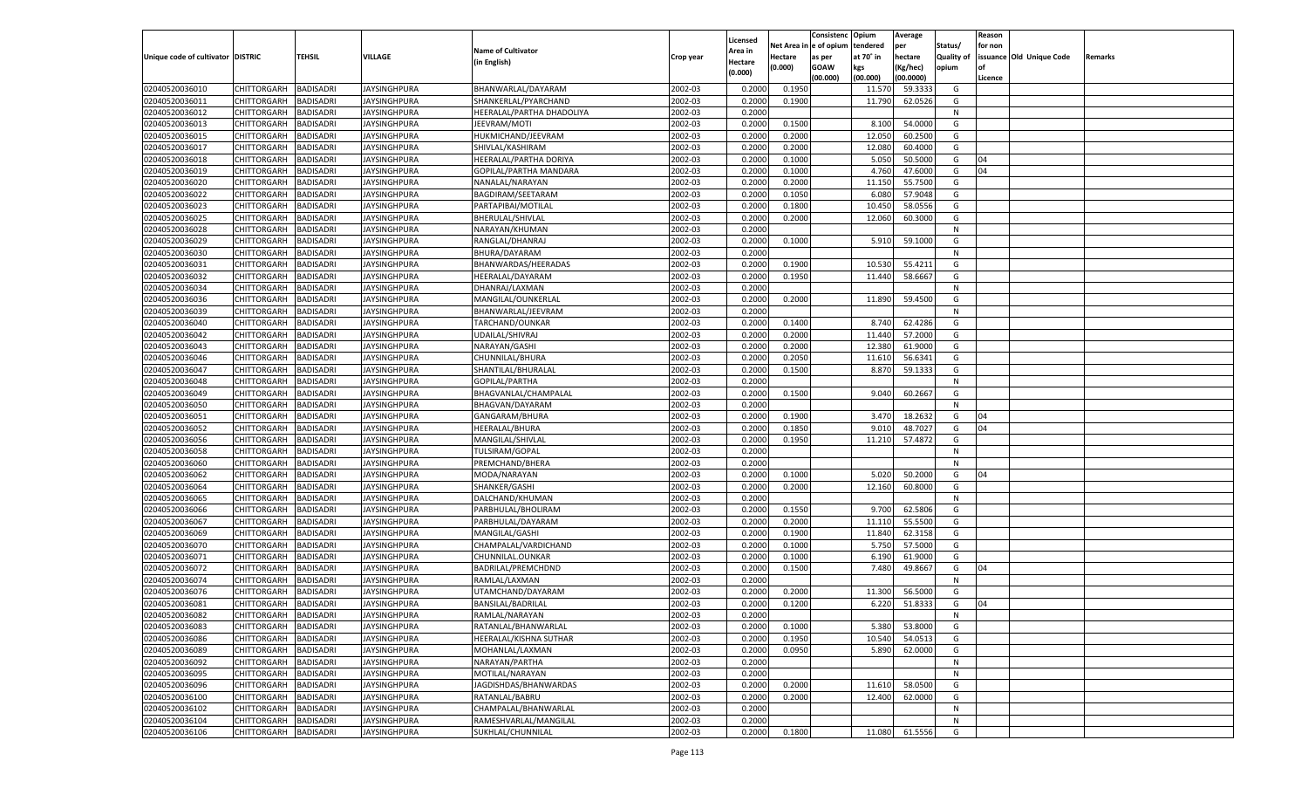|                                   |                       |                  |                     |                           |           |                     |             | Consistenc   | Opium     | Average   |            | Reason  |                          |         |
|-----------------------------------|-----------------------|------------------|---------------------|---------------------------|-----------|---------------------|-------------|--------------|-----------|-----------|------------|---------|--------------------------|---------|
|                                   |                       |                  |                     | <b>Name of Cultivator</b> |           | Licensed<br>Area in | Net Area iı | n e of opium | tendered  | per       | Status/    | for non |                          |         |
| Unique code of cultivator DISTRIC |                       | TEHSIL           | <b>VILLAGE</b>      | (in English)              | Crop year | Hectare             | Hectare     | as per       | at 70° in | hectare   | Quality of |         | issuance Old Unique Code | Remarks |
|                                   |                       |                  |                     |                           |           | (0.000)             | (0.000)     | <b>GOAW</b>  | kgs       | (Kg/hec)  | opium      |         |                          |         |
|                                   |                       |                  |                     |                           |           |                     |             | (00.000)     | (00.000)  | (00.0000) |            | Licence |                          |         |
| 02040520036010                    | CHITTORGARH           | <b>BADISADRI</b> | <b>JAYSINGHPURA</b> | BHANWARLAL/DAYARAM        | 2002-03   | 0.2000              | 0.1950      |              | 11.570    | 59.3333   | G          |         |                          |         |
| 02040520036011                    | CHITTORGARH           | BADISADRI        | JAYSINGHPURA        | SHANKERLAL/PYARCHAND      | 2002-03   | 0.2000              | 0.1900      |              | 11.790    | 62.0526   | G          |         |                          |         |
| 02040520036012                    | CHITTORGARH           | BADISADRI        | <b>JAYSINGHPURA</b> | HEERALAL/PARTHA DHADOLIYA | 2002-03   | 0.2000              |             |              |           |           | N          |         |                          |         |
| 02040520036013                    | CHITTORGARH           | BADISADRI        | JAYSINGHPURA        | JEEVRAM/MOTI              | 2002-03   | 0.2000              | 0.1500      |              | 8.100     | 54.0000   | G          |         |                          |         |
| 02040520036015                    | CHITTORGARH           | BADISADRI        | JAYSINGHPURA        | HUKMICHAND/JEEVRAM        | 2002-03   | 0.2000              | 0.2000      |              | 12.050    | 60.2500   | G          |         |                          |         |
| 02040520036017                    | CHITTORGARH           | BADISADRI        | JAYSINGHPURA        | SHIVLAL/KASHIRAM          | 2002-03   | 0.2000              | 0.2000      |              | 12.080    | 60.4000   | G          |         |                          |         |
| 02040520036018                    | CHITTORGARH           | BADISADRI        | JAYSINGHPURA        | HEERALAL/PARTHA DORIYA    | 2002-03   | 0.2000              | 0.1000      |              | 5.050     | 50.5000   | G          | 04      |                          |         |
| 02040520036019                    | CHITTORGARH           | BADISADRI        | <b>JAYSINGHPURA</b> | GOPILAL/PARTHA MANDARA    | 2002-03   | 0.2000              | 0.1000      |              | 4.760     | 47.6000   | G          | 04      |                          |         |
| 02040520036020                    | CHITTORGARH           | BADISADRI        | JAYSINGHPURA        | NANALAL/NARAYAN           | 2002-03   | 0.2000              | 0.2000      |              | 11.150    | 55.7500   | G          |         |                          |         |
| 02040520036022                    | CHITTORGARH           | BADISADRI        | <b>JAYSINGHPURA</b> | BAGDIRAM/SEETARAM         | 2002-03   | 0.2000              | 0.1050      |              | 6.080     | 57.9048   | G          |         |                          |         |
| 02040520036023                    | CHITTORGARH           | BADISADRI        | <b>JAYSINGHPURA</b> | PARTAPIBAI/MOTILAL        | 2002-03   | 0.2000              | 0.1800      |              | 10.450    | 58.0556   | G          |         |                          |         |
| 02040520036025                    | CHITTORGARH           | BADISADRI        | JAYSINGHPURA        | BHERULAL/SHIVLAL          | 2002-03   | 0.2000              | 0.2000      |              | 12.060    | 60.3000   | G          |         |                          |         |
| 02040520036028                    | CHITTORGARH           | <b>BADISADRI</b> | JAYSINGHPURA        | NARAYAN/KHUMAN            | 2002-03   | 0.2000              |             |              |           |           | N          |         |                          |         |
| 02040520036029                    | CHITTORGARH           | BADISADRI        | JAYSINGHPURA        | RANGLAL/DHANRAJ           | 2002-03   | 0.2000              | 0.1000      |              | 5.910     | 59.1000   | G          |         |                          |         |
| 02040520036030                    | CHITTORGARH           | <b>BADISADRI</b> | JAYSINGHPURA        | BHURA/DAYARAM             | 2002-03   | 0.2000              |             |              |           |           | N          |         |                          |         |
| 02040520036031                    | CHITTORGARH           | BADISADRI        | JAYSINGHPURA        | BHANWARDAS/HEERADAS       | 2002-03   | 0.2000              | 0.1900      |              | 10.530    | 55.4211   | G          |         |                          |         |
| 02040520036032                    | CHITTORGARH           | <b>BADISADRI</b> | IAYSINGHPURA        | HEERALAL/DAYARAM          | 2002-03   | 0.2000              | 0.1950      |              | 11.440    | 58.6667   | G          |         |                          |         |
| 02040520036034                    | CHITTORGARH           | BADISADRI        | JAYSINGHPURA        | DHANRAJ/LAXMAN            | 2002-03   | 0.2000              |             |              |           |           | N          |         |                          |         |
| 02040520036036                    | CHITTORGARH           | <b>BADISADRI</b> | JAYSINGHPURA        | MANGILAL/OUNKERLAL        | 2002-03   | 0.2000              | 0.2000      |              | 11.890    | 59.4500   | G          |         |                          |         |
| 02040520036039                    | CHITTORGARH           | BADISADRI        | JAYSINGHPURA        | BHANWARLAL/JEEVRAM        | 2002-03   | 0.2000              |             |              |           |           | N          |         |                          |         |
| 02040520036040                    | CHITTORGARH           | <b>BADISADRI</b> | IAYSINGHPURA        | TARCHAND/OUNKAR           | 2002-03   | 0.2000              | 0.1400      |              | 8.740     | 62.4286   | G          |         |                          |         |
| 02040520036042                    | CHITTORGARH           | BADISADRI        | JAYSINGHPURA        | UDAILAL/SHIVRAJ           | 2002-03   | 0.2000              | 0.2000      |              | 11.440    | 57.2000   | G          |         |                          |         |
| 02040520036043                    | CHITTORGARH           | <b>BADISADRI</b> | JAYSINGHPURA        | NARAYAN/GASHI             | 2002-03   | 0.2000              | 0.2000      |              | 12.380    | 61.9000   | G          |         |                          |         |
| 02040520036046                    | CHITTORGARH           | BADISADRI        | JAYSINGHPURA        | CHUNNILAL/BHURA           | 2002-03   | 0.2000              | 0.2050      |              | 11.610    | 56.6341   | G          |         |                          |         |
| 02040520036047                    | CHITTORGARH           | <b>BADISADRI</b> | IAYSINGHPURA        | SHANTILAL/BHURALAL        | 2002-03   | 0.2000              | 0.1500      |              | 8.870     | 59.1333   | G          |         |                          |         |
| 02040520036048                    | CHITTORGARH           | BADISADRI        | JAYSINGHPURA        | GOPILAL/PARTHA            | 2002-03   | 0.2000              |             |              |           |           | N          |         |                          |         |
| 02040520036049                    | CHITTORGARH           | <b>BADISADRI</b> | JAYSINGHPURA        | BHAGVANLAL/CHAMPALAL      | 2002-03   | 0.2000              | 0.1500      |              | 9.040     | 60.2667   | G          |         |                          |         |
| 02040520036050                    | CHITTORGARH           | BADISADRI        | JAYSINGHPURA        | BHAGVAN/DAYARAM           | 2002-03   | 0.2000              |             |              |           |           | N          |         |                          |         |
| 02040520036051                    | CHITTORGARH           | <b>BADISADRI</b> | IAYSINGHPURA        | GANGARAM/BHURA            | 2002-03   | 0.2000              | 0.1900      |              | 3.470     | 18.2632   | G          | 04      |                          |         |
| 02040520036052                    | CHITTORGARH           | <b>BADISADRI</b> | JAYSINGHPURA        | <b>HEERALAL/BHURA</b>     | 2002-03   | 0.2000              | 0.1850      |              | 9.010     | 48.7027   | G          | 04      |                          |         |
| 02040520036056                    | CHITTORGARH           | <b>BADISADRI</b> | JAYSINGHPURA        | MANGILAL/SHIVLAL          | 2002-03   | 0.2000              | 0.1950      |              | 11.210    | 57.4872   | G          |         |                          |         |
| 02040520036058                    | CHITTORGARH           | <b>BADISADRI</b> | JAYSINGHPURA        | TULSIRAM/GOPAL            | 2002-03   | 0.2000              |             |              |           |           | N          |         |                          |         |
| 02040520036060                    | CHITTORGARH           | <b>BADISADRI</b> | JAYSINGHPURA        | PREMCHAND/BHERA           | 2002-03   | 0.2000              |             |              |           |           | N          |         |                          |         |
| 02040520036062                    | CHITTORGARH           | <b>BADISADRI</b> | JAYSINGHPURA        | MODA/NARAYAN              | 2002-03   | 0.2000              | 0.1000      |              | 5.020     | 50.2000   | G          | 04      |                          |         |
| 02040520036064                    | CHITTORGARH           | <b>BADISADRI</b> | JAYSINGHPURA        | SHANKER/GASHI             | 2002-03   | 0.2000              | 0.2000      |              | 12.160    | 60.8000   | G          |         |                          |         |
| 02040520036065                    | CHITTORGARH           | <b>BADISADRI</b> | JAYSINGHPURA        | DALCHAND/KHUMAN           | 2002-03   | 0.2000              |             |              |           |           | N          |         |                          |         |
| 02040520036066                    | CHITTORGARH           | <b>BADISADRI</b> | JAYSINGHPURA        | PARBHULAL/BHOLIRAM        | 2002-03   | 0.2000              | 0.1550      |              | 9.700     | 62.5806   | G          |         |                          |         |
| 02040520036067                    | CHITTORGARH           | <b>BADISADRI</b> | JAYSINGHPURA        | PARBHULAL/DAYARAM         | 2002-03   | 0.2000              | 0.2000      |              | 11.110    | 55.5500   | G          |         |                          |         |
| 02040520036069                    | CHITTORGARH           | <b>BADISADRI</b> | JAYSINGHPURA        | MANGILAL/GASHI            | 2002-03   | 0.2000              | 0.1900      |              | 11.840    | 62.3158   | G          |         |                          |         |
| 02040520036070                    | CHITTORGARH           | <b>BADISADRI</b> | JAYSINGHPURA        | CHAMPALAL/VARDICHAND      | 2002-03   | 0.2000              | 0.1000      |              | 5.750     | 57.5000   | G          |         |                          |         |
| 02040520036071                    | CHITTORGARH           | <b>BADISADRI</b> | JAYSINGHPURA        | CHUNNILAL.OUNKAR          | 2002-03   | 0.2000              | 0.1000      |              | 6.190     | 61.9000   | G          |         |                          |         |
| 02040520036072                    | CHITTORGARH           | <b>BADISADRI</b> | <b>JAYSINGHPURA</b> | BADRILAL/PREMCHDND        | 2002-03   | 0.2000              | 0.1500      |              | 7.480     | 49.8667   | G          | 04      |                          |         |
| 02040520036074                    | CHITTORGARH           | BADISADRI        | JAYSINGHPURA        | RAMLAL/LAXMAN             | 2002-03   | 0.2000              |             |              |           |           | N          |         |                          |         |
| 02040520036076                    |                       |                  |                     |                           | 2002-03   | 0.2000              | 0.2000      |              | 11.300    | 56.5000   | G          |         |                          |         |
| 02040520036081                    | CHITTORGARH           | BADISADRI        | JAYSINGHPURA        | UTAMCHAND/DAYARAM         |           |                     |             |              |           | 51.8333   |            |         |                          |         |
|                                   | CHITTORGARH           | <b>BADISADRI</b> | JAYSINGHPURA        | BANSILAL/BADRILAL         | 2002-03   | 0.2000              | 0.1200      |              | 6.220     |           | G          | 04      |                          |         |
| 02040520036082                    | CHITTORGARH BADISADRI |                  | <b>JAYSINGHPURA</b> | RAMLAL/NARAYAN            | 2002-03   | 0.2000              |             |              |           |           | N          |         |                          |         |
| 02040520036083                    | <b>CHITTORGARH</b>    | <b>BADISADRI</b> | <b>JAYSINGHPURA</b> | RATANLAL/BHANWARLAL       | 2002-03   | 0.2000              | 0.1000      |              | 5.380     | 53.8000   | G          |         |                          |         |
| 02040520036086                    | CHITTORGARH           | <b>BADISADRI</b> | <b>JAYSINGHPURA</b> | HEERALAL/KISHNA SUTHAR    | 2002-03   | 0.2000              | 0.1950      |              | 10.540    | 54.0513   | G          |         |                          |         |
| 02040520036089                    | CHITTORGARH           | <b>BADISADRI</b> | <b>JAYSINGHPURA</b> | MOHANLAL/LAXMAN           | 2002-03   | 0.2000              | 0.0950      |              | 5.890     | 62.0000   | G          |         |                          |         |
| 02040520036092                    | CHITTORGARH           | <b>BADISADRI</b> | <b>JAYSINGHPURA</b> | NARAYAN/PARTHA            | 2002-03   | 0.2000              |             |              |           |           | N          |         |                          |         |
| 02040520036095                    | CHITTORGARH           | <b>BADISADRI</b> | <b>JAYSINGHPURA</b> | MOTILAL/NARAYAN           | 2002-03   | 0.2000              |             |              |           |           | N          |         |                          |         |
| 02040520036096                    | CHITTORGARH           | <b>BADISADRI</b> | <b>JAYSINGHPURA</b> | JAGDISHDAS/BHANWARDAS     | 2002-03   | 0.2000              | 0.2000      |              | 11.610    | 58.0500   | G          |         |                          |         |
| 02040520036100                    | <b>CHITTORGARH</b>    | <b>BADISADRI</b> | <b>JAYSINGHPURA</b> | RATANLAL/BABRU            | 2002-03   | 0.2000              | 0.2000      |              | 12.400    | 62.0000   | G          |         |                          |         |
| 02040520036102                    | CHITTORGARH           | <b>BADISADRI</b> | <b>JAYSINGHPURA</b> | CHAMPALAL/BHANWARLAL      | 2002-03   | 0.2000              |             |              |           |           | N          |         |                          |         |
| 02040520036104                    | CHITTORGARH           | <b>BADISADRI</b> | <b>JAYSINGHPURA</b> | RAMESHVARLAL/MANGILAL     | 2002-03   | 0.2000              |             |              |           |           | N          |         |                          |         |
| 02040520036106                    | CHITTORGARH           | <b>BADISADRI</b> | <b>JAYSINGHPURA</b> | SUKHLAL/CHUNNILAL         | 2002-03   | 0.2000              | 0.1800      |              | 11.080    | 61.5556   | G          |         |                          |         |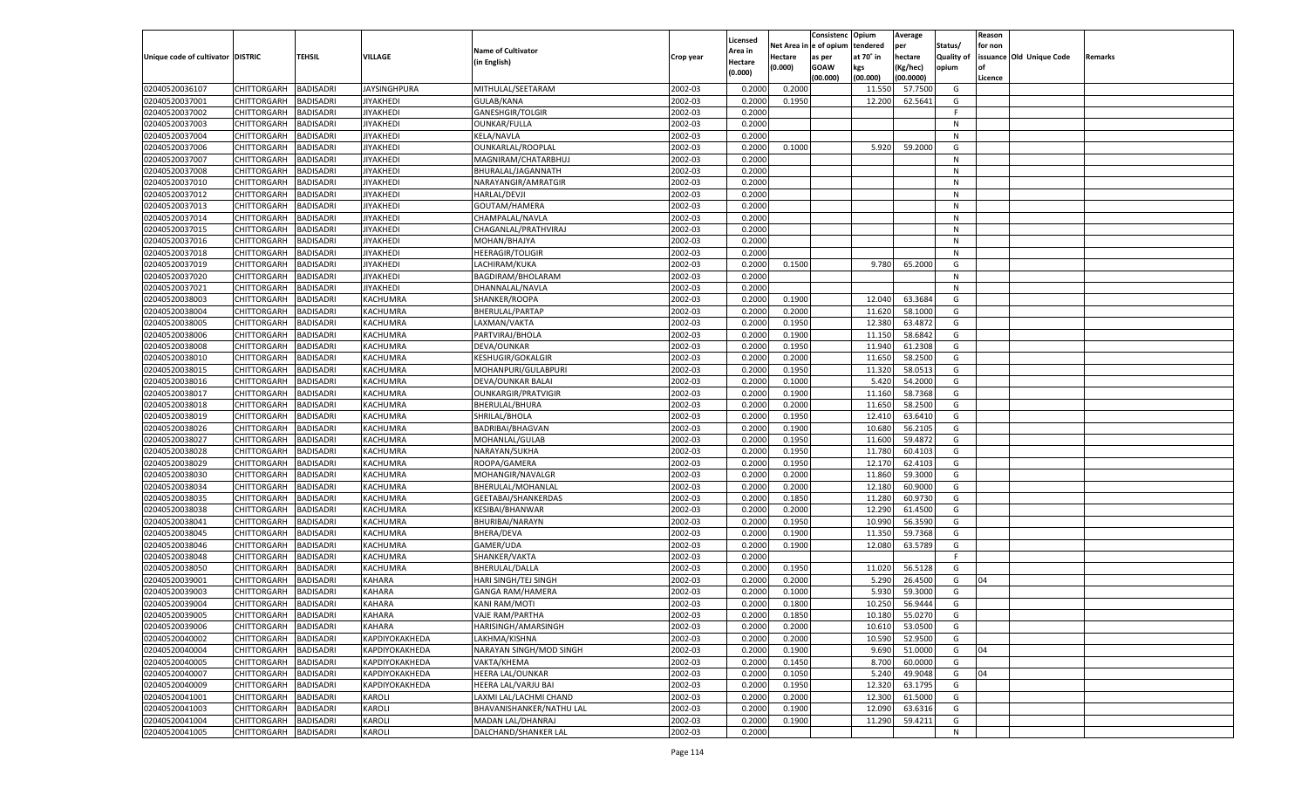|                                   |                            |                               |                       |                            |           |                    |             | Consistenc   | Opium     | Average   |            | Reason  |                          |         |
|-----------------------------------|----------------------------|-------------------------------|-----------------------|----------------------------|-----------|--------------------|-------------|--------------|-----------|-----------|------------|---------|--------------------------|---------|
|                                   |                            |                               |                       |                            |           | Licensed           | Net Area iı | n e of opium | tendered  | per       | Status/    | for non |                          |         |
| Unique code of cultivator DISTRIC |                            | TEHSIL                        | <b>VILLAGE</b>        | <b>Name of Cultivator</b>  | Crop year | Area in            | Hectare     | as per       | at 70° in | hectare   | Quality of |         | issuance Old Unique Code | Remarks |
|                                   |                            |                               |                       | (in English)               |           | Hectare<br>(0.000) | (0.000)     | <b>GOAW</b>  | kgs       | (Kg/hec)  | opium      |         |                          |         |
|                                   |                            |                               |                       |                            |           |                    |             | (00.000)     | (00.000)  | (00.0000) |            | Licence |                          |         |
| 02040520036107                    | CHITTORGARH                | <b>BADISADRI</b>              | <b>JAYSINGHPURA</b>   | MITHULAL/SEETARAM          | 2002-03   | 0.2000             | 0.2000      |              | 11.550    | 57.7500   | G          |         |                          |         |
| 02040520037001                    | CHITTORGARH                | BADISADRI                     | JIYAKHEDI             | GULAB/KANA                 | 2002-03   | 0.2000             | 0.1950      |              | 12.200    | 62.5641   | G          |         |                          |         |
| 02040520037002                    | CHITTORGARH                | BADISADRI                     | JIYAKHEDI             | GANESHGIR/TOLGIR           | 2002-03   | 0.2000             |             |              |           |           | F.         |         |                          |         |
| 02040520037003                    | CHITTORGARH                | BADISADRI                     | <b>JIYAKHEDI</b>      | OUNKAR/FULLA               | 2002-03   | 0.2000             |             |              |           |           | N          |         |                          |         |
| 02040520037004                    | CHITTORGARH                | BADISADRI                     | JIYAKHEDI             | KELA/NAVLA                 | 2002-03   | 0.2000             |             |              |           |           | N          |         |                          |         |
| 02040520037006                    | CHITTORGARH                | BADISADRI                     | JIYAKHEDI             | OUNKARLAL/ROOPLAL          | 2002-03   | 0.2000             | 0.1000      |              | 5.920     | 59.2000   | G          |         |                          |         |
| 02040520037007                    | CHITTORGARH                | BADISADRI                     | JIYAKHEDI             | MAGNIRAM/CHATARBHUJ        | 2002-03   | 0.2000             |             |              |           |           | N          |         |                          |         |
| 02040520037008                    | CHITTORGARH                | BADISADRI                     | JIYAKHEDI             | BHURALAL/JAGANNATH         | 2002-03   | 0.2000             |             |              |           |           | N          |         |                          |         |
| 02040520037010                    | CHITTORGARH                | BADISADRI                     | JIYAKHEDI             | NARAYANGIR/AMRATGIR        | 2002-03   | 0.2000             |             |              |           |           | N          |         |                          |         |
| 02040520037012                    | CHITTORGARH                | BADISADRI                     | JIYAKHEDI             | <b>HARLAL/DEVJI</b>        | 2002-03   | 0.2000             |             |              |           |           | N          |         |                          |         |
| 02040520037013                    | CHITTORGARH                | BADISADRI                     | JIYAKHEDI             | GOUTAM/HAMERA              | 2002-03   | 0.2000             |             |              |           |           | N          |         |                          |         |
| 02040520037014                    | CHITTORGARH                | BADISADRI                     | JIYAKHEDI             | CHAMPALAL/NAVLA            | 2002-03   | 0.2000             |             |              |           |           | N          |         |                          |         |
| 02040520037015                    | CHITTORGARH                | <b>BADISADRI</b>              | JIYAKHEDI             | CHAGANLAL/PRATHVIRAJ       | 2002-03   | 0.2000             |             |              |           |           | N          |         |                          |         |
| 02040520037016                    | CHITTORGARH                | BADISADRI                     | JIYAKHEDI             | MOHAN/BHAJYA               | 2002-03   | 0.2000             |             |              |           |           | N          |         |                          |         |
| 02040520037018                    | CHITTORGARH                | <b>BADISADRI</b>              | <b>JIYAKHEDI</b>      | <b>HEERAGIR/TOLIGIR</b>    | 2002-03   | 0.2000             |             |              |           |           | N          |         |                          |         |
| 02040520037019                    | CHITTORGARH                | BADISADRI                     | JIYAKHEDI             | LACHIRAM/KUKA              | 2002-03   | 0.2000             | 0.1500      |              | 9.780     | 65.2000   | G          |         |                          |         |
| 02040520037020                    | CHITTORGARH                | <b>BADISADRI</b>              | <b>JIYAKHEDI</b>      | BAGDIRAM/BHOLARAM          | 2002-03   | 0.2000             |             |              |           |           | N          |         |                          |         |
| 02040520037021                    | CHITTORGARH                | BADISADRI                     | JIYAKHEDI             | DHANNALAL/NAVLA            | 2002-03   | 0.2000             |             |              |           |           | N          |         |                          |         |
| 02040520038003                    | CHITTORGARH                | <b>BADISADRI</b>              | KACHUMRA              | SHANKER/ROOPA              | 2002-03   | 0.2000             | 0.1900      |              | 12.040    | 63.3684   | G          |         |                          |         |
| 02040520038004                    | CHITTORGARH                | BADISADRI                     | KACHUMRA              | <b>BHERULAL/PARTAP</b>     | 2002-03   | 0.2000             | 0.2000      |              | 11.620    | 58.1000   | G          |         |                          |         |
| 02040520038005                    | CHITTORGARH                | <b>BADISADRI</b>              | KACHUMRA              | LAXMAN/VAKTA               | 2002-03   | 0.2000             | 0.1950      |              | 12.380    | 63.4872   | G          |         |                          |         |
| 02040520038006                    | CHITTORGARH                | BADISADRI                     | KACHUMRA              | PARTVIRAJ/BHOLA            | 2002-03   | 0.2000             | 0.1900      |              | 11.150    | 58.6842   | G          |         |                          |         |
| 02040520038008                    | CHITTORGARH                | <b>BADISADRI</b>              | KACHUMRA              | DEVA/OUNKAR                | 2002-03   | 0.2000             | 0.1950      |              | 11.940    | 61.2308   | G          |         |                          |         |
| 02040520038010                    | CHITTORGARH                | BADISADRI                     | KACHUMRA              | <b>KESHUGIR/GOKALGIR</b>   | 2002-03   | 0.2000             | 0.2000      |              | 11.650    | 58.2500   | G          |         |                          |         |
| 02040520038015                    | CHITTORGARH                | <b>BADISADRI</b>              | KACHUMRA              | MOHANPURI/GULABPURI        | 2002-03   | 0.2000             | 0.1950      |              | 11.320    | 58.0513   | G          |         |                          |         |
| 02040520038016                    |                            |                               |                       |                            | 2002-03   | 0.2000             | 0.1000      |              | 5.420     | 54.2000   | G          |         |                          |         |
|                                   | CHITTORGARH<br>CHITTORGARH | BADISADRI<br><b>BADISADRI</b> | KACHUMRA              | DEVA/OUNKAR BALAI          | 2002-03   | 0.2000             | 0.1900      |              |           | 58.7368   |            |         |                          |         |
| 02040520038017                    |                            |                               | KACHUMRA              | <b>OUNKARGIR/PRATVIGIR</b> |           |                    |             |              | 11.160    |           | G          |         |                          |         |
| 02040520038018                    | CHITTORGARH                | BADISADRI                     | KACHUMRA              | BHERULAL/BHURA             | 2002-03   | 0.2000             | 0.2000      |              | 11.650    | 58.2500   | G          |         |                          |         |
| 02040520038019                    | CHITTORGARH                | <b>BADISADRI</b>              | KACHUMRA              | SHRILAL/BHOLA              | 2002-03   | 0.2000             | 0.1950      |              | 12.410    | 63.6410   | G          |         |                          |         |
| 02040520038026                    | CHITTORGARH                | <b>BADISADRI</b>              | KACHUMRA              | <b>BADRIBAI/BHAGVAN</b>    | 2002-03   | 0.2000             | 0.1900      |              | 10.680    | 56.2105   | G          |         |                          |         |
| 02040520038027                    | CHITTORGARH                | <b>BADISADRI</b>              | KACHUMRA              | MOHANLAL/GULAB             | 2002-03   | 0.2000             | 0.1950      |              | 11.600    | 59.4872   | G          |         |                          |         |
| 02040520038028                    | CHITTORGARH                | <b>BADISADRI</b>              | KACHUMRA              | NARAYAN/SUKHA              | 2002-03   | 0.2000             | 0.1950      |              | 11.780    | 60.4103   | G          |         |                          |         |
| 02040520038029                    | CHITTORGARH                | <b>BADISADRI</b>              | KACHUMRA              | ROOPA/GAMERA               | 2002-03   | 0.2000             | 0.1950      |              | 12.170    | 62.4103   | G          |         |                          |         |
| 02040520038030                    | CHITTORGARH                | BADISADRI                     | KACHUMRA              | MOHANGIR/NAVALGR           | 2002-03   | 0.2000             | 0.2000      |              | 11.860    | 59.3000   | G          |         |                          |         |
| 02040520038034                    | CHITTORGARH                | <b>BADISADRI</b>              | KACHUMRA              | BHERULAL/MOHANLAL          | 2002-03   | 0.2000             | 0.2000      |              | 12.180    | 60.9000   | G          |         |                          |         |
| 02040520038035                    | CHITTORGARH                | <b>BADISADRI</b>              | KACHUMRA              | GEETABAI/SHANKERDAS        | 2002-03   | 0.2000             | 0.1850      |              | 11.280    | 60.9730   | G          |         |                          |         |
| 02040520038038                    | CHITTORGARH                | <b>BADISADRI</b>              | KACHUMRA              | KESIBAI/BHANWAR            | 2002-03   | 0.2000             | 0.2000      |              | 12.290    | 61.4500   | G          |         |                          |         |
| 02040520038041                    | CHITTORGARH                | <b>BADISADRI</b>              | KACHUMRA              | BHURIBAI/NARAYN            | 2002-03   | 0.2000             | 0.1950      |              | 10.990    | 56.3590   | G          |         |                          |         |
| 02040520038045                    | CHITTORGARH                | <b>BADISADRI</b>              | KACHUMRA              | <b>BHERA/DEVA</b>          | 2002-03   | 0.2000             | 0.1900      |              | 11.350    | 59.7368   | G          |         |                          |         |
| 02040520038046                    | CHITTORGARH                | <b>BADISADRI</b>              | KACHUMRA              | GAMER/UDA                  | 2002-03   | 0.2000             | 0.1900      |              | 12.080    | 63.5789   | G          |         |                          |         |
| 02040520038048                    | CHITTORGARH                | <b>BADISADRI</b>              | KACHUMRA              | SHANKER/VAKTA              | 2002-03   | 0.2000             |             |              |           |           | F.         |         |                          |         |
| 02040520038050                    | CHITTORGARH                | <b>BADISADRI</b>              | KACHUMRA              | BHERULAL/DALLA             | 2002-03   | 0.2000             | 0.1950      |              | 11.020    | 56.5128   | G          |         |                          |         |
| 02040520039001                    | CHITTORGARH                | BADISADRI                     | <b>KAHARA</b>         | HARI SINGH/TEJ SINGH       | 2002-03   | 0.2000             | 0.2000      |              | 5.290     | 26.4500   | G          | 04      |                          |         |
| 02040520039003                    | CHITTORGARH                | BADISADRI                     | <b>KAHARA</b>         | <b>GANGA RAM/HAMERA</b>    | 2002-03   | 0.2000             | 0.1000      |              | 5.930     | 59.3000   | G          |         |                          |         |
| 02040520039004                    | CHITTORGARH                | <b>BADISADRI</b>              | <b>KAHARA</b>         | KANI RAM/MOTI              | 2002-03   | 0.2000             | 0.1800      |              | 10.250    | 56.9444   | G          |         |                          |         |
| 02040520039005                    | CHITTORGARH BADISADRI      |                               | <b>KAHARA</b>         | VAJE RAM/PARTHA            | 2002-03   | 0.2000             | 0.1850      |              | 10.180    | 55.0270   | G          |         |                          |         |
| 02040520039006                    | <b>CHITTORGARH</b>         | <b>BADISADRI</b>              | KAHARA                | HARISINGH/AMARSINGH        | 2002-03   | 0.2000             | 0.2000      |              | 10.610    | 53.0500   | G          |         |                          |         |
| 02040520040002                    | <b>CHITTORGARH</b>         | <b>BADISADRI</b>              | <b>КАРDIYOКАКНЕDА</b> | LAKHMA/KISHNA              | 2002-03   | 0.2000             | 0.2000      |              | 10.590    | 52.9500   | G          |         |                          |         |
| 02040520040004                    | <b>CHITTORGARH</b>         | <b>BADISADRI</b>              | <b>КАРDIYOКАКНЕDА</b> | NARAYAN SINGH/MOD SINGH    | 2002-03   | 0.2000             | 0.1900      |              | 9.690     | 51.0000   | G          | 04      |                          |         |
| 02040520040005                    | <b>CHITTORGARH</b>         | <b>BADISADRI</b>              | <b>КАРDIYOКАКНЕDА</b> | VAKTA/KHEMA                | 2002-03   | 0.2000             | 0.1450      |              | 8.700     | 60.0000   | G          |         |                          |         |
| 02040520040007                    | CHITTORGARH                | <b>BADISADRI</b>              | <b>КАРDIYOКАКНЕDА</b> | <b>HEERA LAL/OUNKAR</b>    | 2002-03   | 0.2000             | 0.1050      |              | 5.240     | 49.9048   | G          | 04      |                          |         |
| 02040520040009                    | CHITTORGARH                | <b>BADISADRI</b>              | KAPDIYOKAKHEDA        | HEERA LAL/VARJU BAI        | 2002-03   | 0.2000             | 0.1950      |              | 12.320    | 63.1795   | G          |         |                          |         |
| 02040520041001                    | CHITTORGARH                | <b>BADISADRI</b>              | KAROLI                | LAXMI LAL/LACHMI CHAND     | 2002-03   | 0.2000             | 0.2000      |              | 12.300    | 61.5000   | G          |         |                          |         |
| 02040520041003                    | <b>CHITTORGARH</b>         | <b>BADISADRI</b>              | KAROLI                | BHAVANISHANKER/NATHU LAL   | 2002-03   | 0.2000             | 0.1900      |              | 12.090    | 63.6316   | G          |         |                          |         |
| 02040520041004                    | <b>CHITTORGARH</b>         | <b>BADISADRI</b>              | KAROLI                | MADAN LAL/DHANRAJ          | 2002-03   | 0.2000             | 0.1900      |              | 11.290    | 59.4211   | G          |         |                          |         |
| 02040520041005                    | <b>CHITTORGARH</b>         | <b>BADISADRI</b>              | <b>KAROLI</b>         | DALCHAND/SHANKER LAL       | 2002-03   | 0.2000             |             |              |           |           | N          |         |                          |         |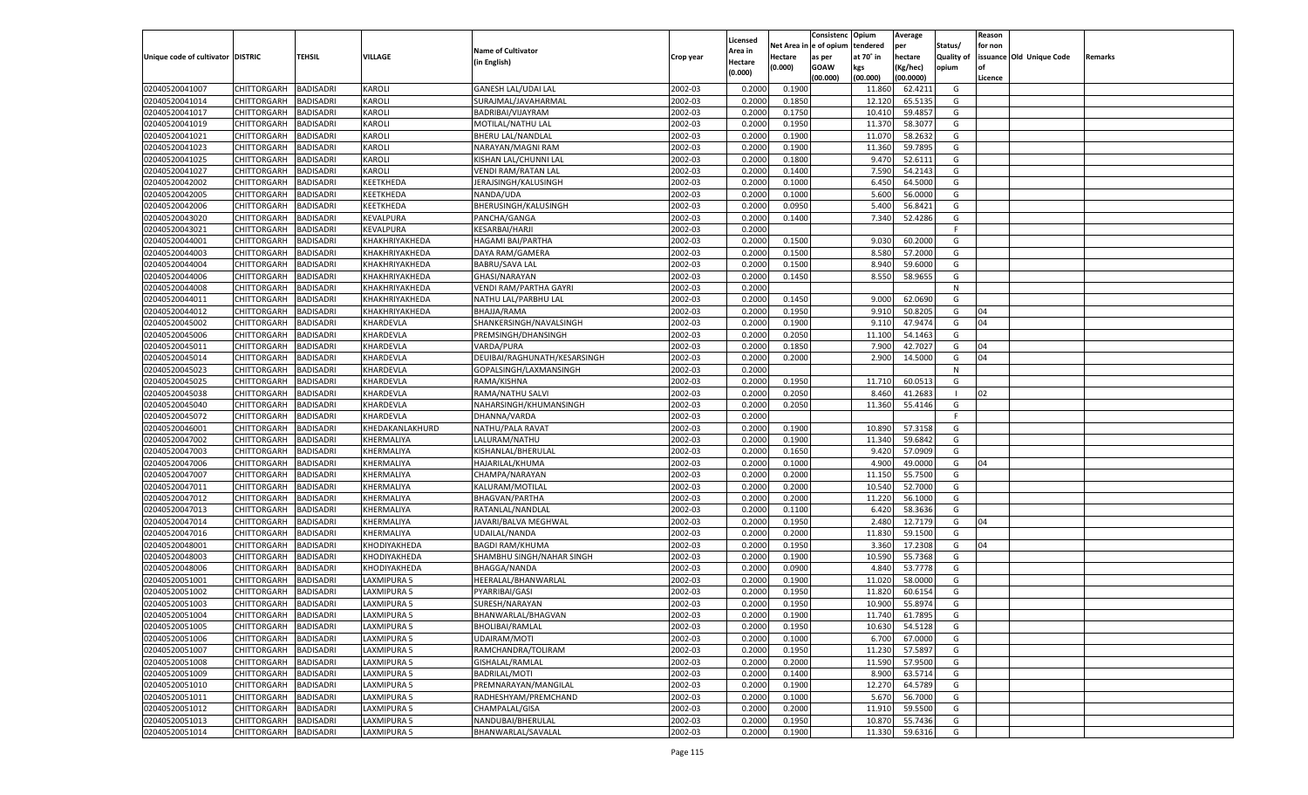|                                   |                    |                  |                 |                                         |           | Licensed           |         | Consistenc Opium       |           | Average   |            | Reason  |                          |                |
|-----------------------------------|--------------------|------------------|-----------------|-----------------------------------------|-----------|--------------------|---------|------------------------|-----------|-----------|------------|---------|--------------------------|----------------|
|                                   |                    |                  |                 | <b>Name of Cultivator</b>               |           |                    |         | Net Area in e of opium | tendered  | per       | Status/    | for non |                          |                |
| Unique code of cultivator DISTRIC |                    | TEHSIL           | VILLAGE         |                                         | Crop year | Area in            | Hectare | as per                 | at 70° in | hectare   | Quality of |         | issuance Old Unique Code | <b>Remarks</b> |
|                                   |                    |                  |                 | (in English)                            |           | Hectare<br>(0.000) | (0.000) | <b>GOAW</b>            | kgs       | (Kg/hec)  | opium      |         |                          |                |
|                                   |                    |                  |                 |                                         |           |                    |         | (00.000)               | (00.000)  | (00.0000) |            | Licence |                          |                |
| 02040520041007                    | CHITTORGARH        | <b>BADISADRI</b> | KAROLI          | <b>GANESH LAL/UDAI LAL</b>              | 2002-03   | 0.2000             | 0.1900  |                        | 11.860    | 62.4211   | G          |         |                          |                |
| 02040520041014                    | CHITTORGARH        | <b>BADISADRI</b> | KAROLI          | SURAJMAL/JAVAHARMAL                     | 2002-03   | 0.2000             | 0.1850  |                        | 12.12     | 65.5135   | G          |         |                          |                |
| 02040520041017                    | CHITTORGARH        | <b>BADISADRI</b> | <b>KAROLI</b>   | BADRIBAI/VIJAYRAM                       | 2002-03   | 0.2000             | 0.1750  |                        | 10.410    | 59.4857   | G          |         |                          |                |
| 02040520041019                    | CHITTORGARH        | <b>BADISADRI</b> | KAROLI          | MOTILAL/NATHU LAL                       | 2002-03   | 0.2000             | 0.1950  |                        | 11.370    | 58.3077   | G          |         |                          |                |
| 02040520041021                    | CHITTORGARH        | <b>BADISADRI</b> | <b>KAROLI</b>   | BHERU LAL/NANDLAL                       | 2002-03   | 0.2000             | 0.1900  |                        | 11.070    | 58.2632   | G          |         |                          |                |
| 02040520041023                    | CHITTORGARH        | <b>BADISADRI</b> | KAROLI          | NARAYAN/MAGNI RAM                       | 2002-03   | 0.2000             | 0.1900  |                        | 11.360    | 59.7895   | G          |         |                          |                |
| 02040520041025                    | CHITTORGARH        | <b>BADISADRI</b> | <b>KAROLI</b>   | KISHAN LAL/CHUNNI LAL                   | 2002-03   | 0.2000             | 0.1800  |                        | 9.470     | 52.6111   | G          |         |                          |                |
| 02040520041027                    | CHITTORGARH        | <b>BADISADRI</b> | KAROLI          | VENDI RAM/RATAN LAL                     | 2002-03   | 0.2000             | 0.1400  |                        | 7.590     | 54.2143   | G          |         |                          |                |
| 02040520042002                    | CHITTORGARH        | <b>BADISADRI</b> | KEETKHEDA       | JERAJSINGH/KALUSINGH                    | 2002-03   | 0.2000             | 0.1000  |                        | 6.450     | 64.5000   | G          |         |                          |                |
| 02040520042005                    | CHITTORGARH        | <b>BADISADRI</b> | KEETKHEDA       | NANDA/UDA                               | 2002-03   | 0.2000             | 0.1000  |                        | 5.600     | 56.0000   | G          |         |                          |                |
| 02040520042006                    | CHITTORGARH        | <b>BADISADRI</b> | KEETKHEDA       | BHERUSINGH/KALUSINGH                    | 2002-03   | 0.2000             | 0.0950  |                        | 5.400     | 56.8421   | G          |         |                          |                |
| 02040520043020                    | CHITTORGARH        | <b>BADISADRI</b> | KEVALPURA       | PANCHA/GANGA                            | 2002-03   | 0.2000             | 0.1400  |                        | 7.340     | 52.4286   | G          |         |                          |                |
| 02040520043021                    | CHITTORGARH        | BADISADRI        | KEVALPURA       | <b>KESARBAI/HARJI</b>                   | 2002-03   | 0.2000             |         |                        |           |           | F          |         |                          |                |
| 02040520044001                    | CHITTORGARH        | BADISADRI        | KHAKHRIYAKHEDA  | <b>HAGAMI BAI/PARTHA</b>                | 2002-03   | 0.2000             | 0.1500  |                        | 9.030     | 60.2000   | G          |         |                          |                |
| 02040520044003                    | CHITTORGARH        | BADISADRI        | KHAKHRIYAKHEDA  | DAYA RAM/GAMERA                         | 2002-03   | 0.2000             | 0.1500  |                        | 8.580     | 57.2000   | G          |         |                          |                |
| 02040520044004                    | CHITTORGARH        | BADISADRI        | KHAKHRIYAKHEDA  | <b>BABRU/SAVA LAL</b>                   | 2002-03   | 0.2000             | 0.1500  |                        | 8.940     | 59.6000   | G          |         |                          |                |
| 02040520044006                    | CHITTORGARH        | BADISADRI        | KHAKHRIYAKHEDA  | GHASI/NARAYAN                           | 2002-03   | 0.2000             | 0.1450  |                        | 8.550     | 58.9655   | G          |         |                          |                |
|                                   |                    |                  |                 |                                         | 2002-03   | 0.2000             |         |                        |           |           | N          |         |                          |                |
| 02040520044008                    | CHITTORGARH        | BADISADRI        | KHAKHRIYAKHEDA  | VENDI RAM/PARTHA GAYRI                  |           |                    |         |                        |           |           |            |         |                          |                |
| 02040520044011                    | CHITTORGARH        | BADISADRI        | KHAKHRIYAKHEDA  | NATHU LAL/PARBHU LAL                    | 2002-03   | 0.2000             | 0.1450  |                        | 9.000     | 62.0690   | G          |         |                          |                |
| 02040520044012                    | CHITTORGARH        | BADISADRI        | KHAKHRIYAKHEDA  | BHAJJA/RAMA                             | 2002-03   | 0.2000             | 0.1950  |                        | 9.910     | 50.8205   | G          | 04      |                          |                |
| 02040520045002                    | CHITTORGARH        | BADISADRI        | KHARDEVLA       | SHANKERSINGH/NAVALSINGH                 | 2002-03   | 0.2000             | 0.1900  |                        | 9.110     | 47.9474   | G          | 04      |                          |                |
| 02040520045006                    | CHITTORGARH        | BADISADRI        | KHARDEVLA       | PREMSINGH/DHANSINGH                     | 2002-03   | 0.2000             | 0.2050  |                        | 11.100    | 54.1463   | G          |         |                          |                |
| 02040520045011                    | CHITTORGARH        | BADISADRI        | KHARDEVLA       | VARDA/PURA                              | 2002-03   | 0.2000             | 0.1850  |                        | 7.900     | 42.7027   | G          | 04      |                          |                |
| 02040520045014                    | CHITTORGARH        | BADISADRI        | KHARDEVLA       | DEUIBAI/RAGHUNATH/KESARSINGH            | 2002-03   | 0.2000             | 0.2000  |                        | 2.900     | 14.5000   | G          | 04      |                          |                |
| 02040520045023                    | CHITTORGARH        | BADISADRI        | KHARDEVLA       | GOPALSINGH/LAXMANSINGH                  | 2002-03   | 0.2000             |         |                        |           |           | N          |         |                          |                |
| 02040520045025                    | CHITTORGARH        | BADISADRI        | KHARDEVLA       | RAMA/KISHNA                             | 2002-03   | 0.2000             | 0.1950  |                        | 11.710    | 60.0513   | G          |         |                          |                |
| 02040520045038                    | CHITTORGARH        | BADISADRI        | KHARDEVLA       | RAMA/NATHU SALVI                        | 2002-03   | 0.2000             | 0.2050  |                        | 8.460     | 41.2683   | - 1        | 02      |                          |                |
| 02040520045040                    | CHITTORGARH        | BADISADRI        | KHARDEVLA       | NAHARSINGH/KHUMANSINGH                  | 2002-03   | 0.2000             | 0.2050  |                        | 11.360    | 55.4146   | G          |         |                          |                |
| 02040520045072                    | CHITTORGARH        | <b>BADISADRI</b> | KHARDEVLA       | DHANNA/VARDA                            | 2002-03   | 0.2000             |         |                        |           |           | F.         |         |                          |                |
| 02040520046001                    | CHITTORGARH        | BADISADRI        | KHEDAKANLAKHURD | NATHU/PALA RAVAT                        | 2002-03   | 0.2000             | 0.1900  |                        | 10.890    | 57.3158   | G          |         |                          |                |
| 02040520047002                    | CHITTORGARH        | BADISADRI        | KHERMALIYA      | LALURAM/NATHU                           | 2002-03   | 0.2000             | 0.1900  |                        | 11.340    | 59.6842   | G          |         |                          |                |
| 02040520047003                    | CHITTORGARH        | BADISADRI        | KHERMALIYA      | KISHANLAL/BHERULAL                      | 2002-03   | 0.2000             | 0.1650  |                        | 9.420     | 57.0909   | G          |         |                          |                |
| 02040520047006                    | CHITTORGARH        | BADISADRI        | KHERMALIYA      | HAJARILAL/KHUMA                         | 2002-03   | 0.2000             | 0.1000  |                        | 4.900     | 49.0000   | G          | 04      |                          |                |
| 02040520047007                    | CHITTORGARH        | BADISADRI        | KHERMALIYA      | CHAMPA/NARAYAN                          | 2002-03   | 0.2000             | 0.2000  |                        | 11.150    | 55.7500   | G          |         |                          |                |
| 02040520047011                    | CHITTORGARH        | BADISADRI        | KHERMALIYA      | KALURAM/MOTILAL                         | 2002-03   | 0.2000             | 0.2000  |                        | 10.540    | 52.7000   | G          |         |                          |                |
| 02040520047012                    | CHITTORGARH        | BADISADRI        | KHERMALIYA      | <b>BHAGVAN/PARTHA</b>                   | 2002-03   | 0.2000             | 0.2000  |                        | 11.220    | 56.1000   | G          |         |                          |                |
| 02040520047013                    | CHITTORGARH        | BADISADRI        | KHERMALIYA      | RATANLAL/NANDLAL                        | 2002-03   | 0.2000             | 0.1100  |                        | 6.420     | 58.3636   | G          |         |                          |                |
| 02040520047014                    | CHITTORGARH        | BADISADRI        | KHERMALIYA      | JAVARI/BALVA MEGHWAL                    | 2002-03   | 0.2000             | 0.1950  |                        | 2.480     | 12.7179   | G          | 04      |                          |                |
| 02040520047016                    | CHITTORGARH        | BADISADRI        | KHERMALIYA      | UDAILAL/NANDA                           | 2002-03   | 0.2000             | 0.2000  |                        | 11.830    | 59.1500   | G          |         |                          |                |
| 02040520048001                    | CHITTORGARH        | BADISADRI        | KHODIYAKHEDA    | <b>BAGDI RAM/KHUMA</b>                  | 2002-03   | 0.2000             | 0.1950  |                        | 3.360     | 17.2308   | G          | 04      |                          |                |
| 02040520048003                    | CHITTORGARH        | BADISADRI        | KHODIYAKHEDA    | SHAMBHU SINGH/NAHAR SINGH               | 2002-03   | 0.2000             | 0.1900  |                        | 10.590    | 55.7368   | G          |         |                          |                |
| 02040520048006                    | CHITTORGARH        | BADISADRI        | KHODIYAKHEDA    | <b>BHAGGA/NANDA</b>                     | 2002-03   | 0.2000             | 0.0900  |                        | 4.840     | 53.7778   | G          |         |                          |                |
| 02040520051001                    | CHITTORGARH        | BADISADRI        | AXMIPURA 5      | HEERALAL/BHANWARLAL                     | 2002-03   | 0.2000             | 0.1900  |                        | 11.020    | 58.0000   | G          |         |                          |                |
| 02040520051002                    | CHITTORGARH        | BADISADRI        | LAXMIPURA 5     | PYARRIBAI/GASI                          | 2002-03   | 0.2000             | 0.1950  |                        | 11.820    | 60.6154   | G          |         |                          |                |
| 02040520051003                    | CHITTORGARH        | BADISADRI        | LAXMIPURA 5     | SURESH/NARAYAN                          | 2002-03   | 0.2000             | 0.1950  |                        | 10.900    | 55.8974   | G          |         |                          |                |
| 02040520051004                    | CHITTORGARH        | <b>BADISADRI</b> | LAXMIPURA 5     | BHANWARLAL/BHAGVAN                      | 2002-03   | 0.2000             | 0.1900  |                        | 11.740    | 61.7895   | G          |         |                          |                |
| 02040520051005                    | CHITTORGARH        | <b>BADISADRI</b> | LAXMIPURA 5     | BHOLIBAI/RAMLAL                         | 2002-03   | 0.2000             | 0.1950  |                        | 10.630    | 54.5128   | G          |         |                          |                |
| 02040520051006                    | <b>CHITTORGARH</b> | <b>BADISADRI</b> | LAXMIPURA 5     | UDAIRAM/MOTI                            | 2002-03   | 0.2000             | 0.1000  |                        | 6.700     | 67.0000   | G          |         |                          |                |
| 02040520051007                    | <b>CHITTORGARH</b> | <b>BADISADRI</b> | LAXMIPURA 5     | RAMCHANDRA/TOLIRAM                      | 2002-03   | 0.2000             | 0.1950  |                        | 11.230    | 57.5897   | G          |         |                          |                |
|                                   |                    |                  |                 |                                         |           |                    |         |                        |           |           |            |         |                          |                |
| 02040520051008<br>02040520051009  | <b>CHITTORGARH</b> | <b>BADISADRI</b> | LAXMIPURA 5     | GISHALAL/RAMLAL<br><b>BADRILAL/MOTI</b> | 2002-03   | 0.2000             | 0.2000  |                        | 11.590    | 57.9500   | G          |         |                          |                |
|                                   | <b>CHITTORGARH</b> | <b>BADISADRI</b> | LAXMIPURA 5     |                                         | 2002-03   | 0.2000             | 0.1400  |                        | 8.900     | 63.5714   | G          |         |                          |                |
| 02040520051010                    | <b>CHITTORGARH</b> | <b>BADISADRI</b> | LAXMIPURA 5     | PREMNARAYAN/MANGILAL                    | 2002-03   | 0.2000             | 0.1900  |                        | 12.270    | 64.5789   | G          |         |                          |                |
| 02040520051011                    | <b>CHITTORGARH</b> | <b>BADISADRI</b> | LAXMIPURA 5     | RADHESHYAM/PREMCHAND                    | 2002-03   | 0.2000             | 0.1000  |                        | 5.670     | 56.7000   | G          |         |                          |                |
| 02040520051012                    | CHITTORGARH        | <b>BADISADRI</b> | LAXMIPURA 5     | CHAMPALAL/GISA                          | 2002-03   | 0.2000             | 0.2000  |                        | 11.910    | 59.5500   | G          |         |                          |                |
| 02040520051013                    | CHITTORGARH        | <b>BADISADRI</b> | LAXMIPURA 5     | NANDUBAI/BHERULAL                       | 2002-03   | 0.2000             | 0.1950  |                        | 10.870    | 55.7436   | G          |         |                          |                |
| 02040520051014                    | <b>CHITTORGARH</b> | <b>BADISADRI</b> | LAXMIPURA 5     | BHANWARLAL/SAVALAL                      | 2002-03   | 0.2000             | 0.1900  |                        | 11.330    | 59.6316   | G          |         |                          |                |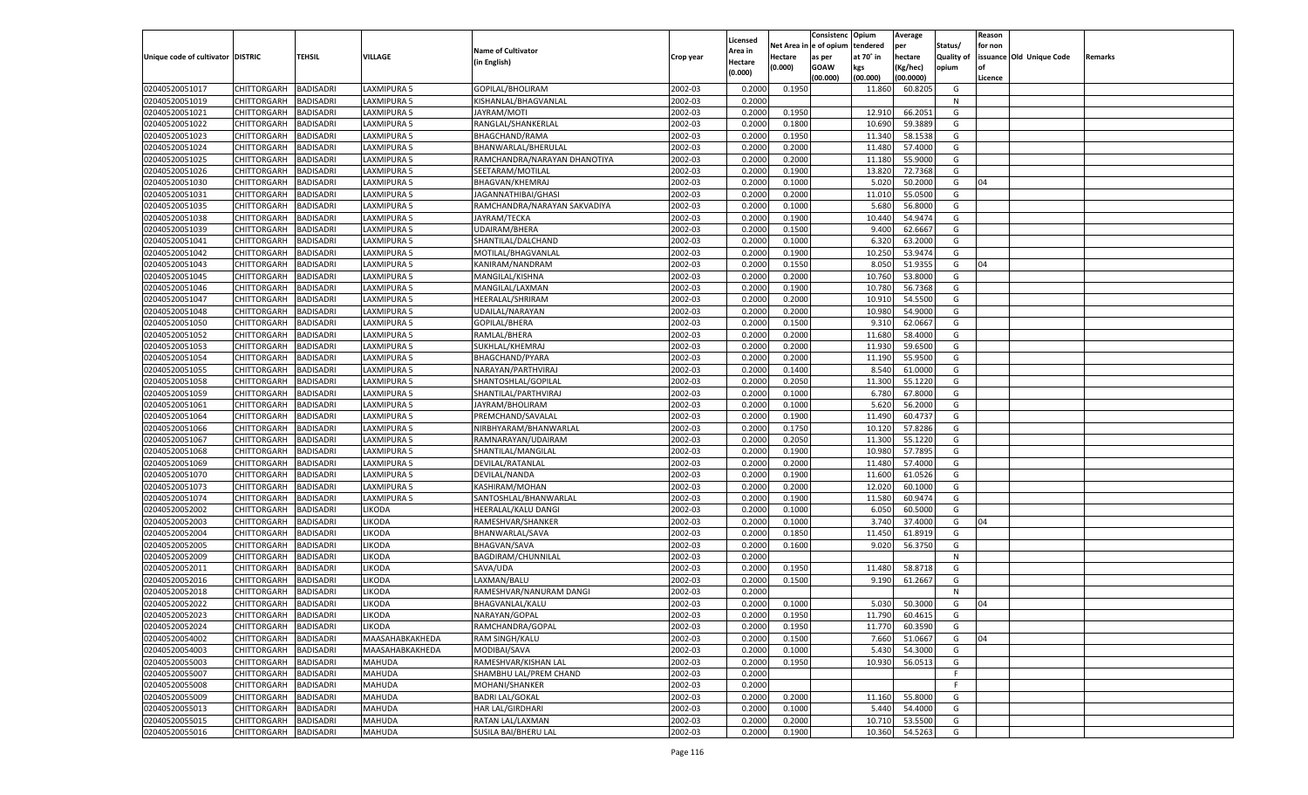| Net Area i<br>n  e of opium<br>tendered<br>per<br>Status/<br>for non<br><b>Name of Cultivator</b><br>Area in<br>Unique code of cultivator DISTRIC<br>TEHSIL<br><b>VILLAGE</b><br>at 70° in<br>hectare<br>Quality of<br>issuance Old Unique Code<br>Hectare<br>Crop year<br>as per<br>Remarks<br>(in English)<br>Hectare<br>(0.000)<br><b>GOAW</b><br>kgs<br>(Kg/hec)<br>opium<br>(0.000)<br>(00.000)<br>(00.000)<br>(00.0000)<br>Licence<br>CHITTORGARH<br>LAXMIPURA 5<br>GOPILAL/BHOLIRAM<br>2002-03<br>0.1950<br>60.8205<br>02040520051017<br><b>BADISADRI</b><br>0.2000<br>11.860<br>G<br>02040520051019<br>2002-03<br>CHITTORGARH<br>BADISADRI<br>LAXMIPURA 5<br>KISHANLAL/BHAGVANLAL<br>0.2000<br>N<br>2002-03<br>0.1950<br>66.2051<br>02040520051021<br>CHITTORGARH<br>BADISADRI<br>LAXMIPURA 5<br>JAYRAM/MOTI<br>0.2000<br>12.910<br>G<br>02040520051022<br>2002-03<br>10.690<br>CHITTORGARH<br>BADISADRI<br>LAXMIPURA 5<br>RANGLAL/SHANKERLAL<br>0.2000<br>0.1800<br>59.3889<br>G<br>02040520051023<br>BHAGCHAND/RAMA<br>2002-03<br>58.1538<br>CHITTORGARH<br>BADISADRI<br>AXMIPURA 5<br>0.2000<br>0.1950<br>11.340<br>G<br>02040520051024<br>2002-03<br>CHITTORGARH<br>BADISADRI<br>LAXMIPURA 5<br>BHANWARLAL/BHERULAL<br>0.2000<br>0.2000<br>11.480<br>57.4000<br>G<br>02040520051025<br>2002-03<br>0.2000<br>CHITTORGARH<br>BADISADRI<br>LAXMIPURA 5<br>RAMCHANDRA/NARAYAN DHANOTIYA<br>0.2000<br>11.18<br>55.9000<br>G<br>02040520051026<br>2002-03<br>0.1900<br>13.820<br>72.7368<br>CHITTORGARH<br>BADISADRI<br>LAXMIPURA 5<br>SEETARAM/MOTILAL<br>0.2000<br>G<br>02040520051030<br>2002-03<br>5.020<br>50.2000<br>CHITTORGARH<br>BADISADRI<br>AXMIPURA 5<br><b>BHAGVAN/KHEMRAJ</b><br>0.2000<br>0.1000<br>G<br>04<br>02040520051031<br>2002-03<br>CHITTORGARH<br>BADISADRI<br>LAXMIPURA 5<br>JAGANNATHIBAI/GHASI<br>0.2000<br>0.2000<br>11.010<br>55.0500<br>G<br>02040520051035<br>2002-03<br>CHITTORGARH<br>BADISADRI<br>LAXMIPURA 5<br>RAMCHANDRA/NARAYAN SAKVADIYA<br>0.2000<br>0.1000<br>5.680<br>56.8000<br>G<br>02040520051038<br>2002-03<br>10.440<br>CHITTORGARH<br>BADISADRI<br>LAXMIPURA 5<br>JAYRAM/TECKA<br>0.2000<br>0.1900<br>54.9474<br>G<br>62.6667<br>02040520051039<br>BADISADRI<br>2002-03<br>9.400<br>G<br>CHITTORGARH<br>AXMIPURA 5<br>UDAIRAM/BHERA<br>0.2000<br>0.1500<br>02040520051041<br>2002-03<br>0.2000<br>6.320<br>63.2000<br>CHITTORGARH<br>BADISADRI<br>LAXMIPURA 5<br>SHANTILAL/DALCHAND<br>0.1000<br>G<br>02040520051042<br>CHITTORGARH<br><b>BADISADRI</b><br>LAXMIPURA 5<br>2002-03<br>0.2000<br>0.1900<br>10.250<br>53.9474<br>MOTILAL/BHAGVANLAL<br>G<br>02040520051043<br>CHITTORGARH<br>LAXMIPURA 5<br>2002-03<br>8.050<br>51.9355<br>BADISADRI<br>KANIRAM/NANDRAM<br>0.2000<br>0.1550<br>G<br>04<br>02040520051045<br>CHITTORGARH<br><b>BADISADRI</b><br>AXMIPURA 5<br>MANGILAL/KISHNA<br>2002-03<br>0.2000<br>0.2000<br>10.760<br>53.8000<br>G<br>02040520051046<br>LAXMIPURA 5<br>2002-03<br>10.780<br>56.7368<br>CHITTORGARH<br>BADISADRI<br>MANGILAL/LAXMAN<br>0.2000<br>0.1900<br>G<br>02040520051047<br>CHITTORGARH<br><b>BADISADRI</b><br>2002-03<br>0.2000<br>0.2000<br>54.5500<br>LAXMIPURA 5<br>HEERALAL/SHRIRAM<br>10.910<br>G<br>02040520051048<br>CHITTORGARH<br>LAXMIPURA 5<br>2002-03<br>10.980<br>54.9000<br>BADISADRI<br>UDAILAL/NARAYAN<br>0.2000<br>0.2000<br>G<br>02040520051050<br>CHITTORGARH<br><b>BADISADRI</b><br>AXMIPURA 5<br>GOPILAL/BHERA<br>2002-03<br>0.2000<br>0.1500<br>9.310<br>62.0667<br>G<br>02040520051052<br>LAXMIPURA 5<br>2002-03<br>11.680<br>58.4000<br>CHITTORGARH<br>BADISADRI<br>RAMLAL/BHERA<br>0.2000<br>0.2000<br>G<br>02040520051053<br>CHITTORGARH<br><b>BADISADRI</b><br>2002-03<br>0.2000<br>0.2000<br>11.930<br>59.6500<br>LAXMIPURA 5<br>SUKHLAL/KHEMRAJ<br>G<br>02040520051054<br>CHITTORGARH<br>2002-03<br>11.190<br>55.9500<br>BADISADRI<br>LAXMIPURA 5<br><b>BHAGCHAND/PYARA</b><br>0.2000<br>0.2000<br>G<br>02040520051055<br>CHITTORGARH<br><b>BADISADRI</b><br>AXMIPURA 5<br>2002-03<br>0.2000<br>0.1400<br>8.540<br>61.0000<br>G<br>NARAYAN/PARTHVIRAJ<br>02040520051058<br>LAXMIPURA 5<br>2002-03<br>11.300<br>55.1220<br>CHITTORGARH<br>BADISADRI<br>SHANTOSHLAL/GOPILAL<br>0.2000<br>0.2050<br>G<br>02040520051059<br><b>BADISADRI</b><br>2002-03<br>0.2000<br>0.1000<br>67.8000<br>CHITTORGARH<br>LAXMIPURA 5<br>SHANTILAL/PARTHVIRAJ<br>6.780<br>G<br>02040520051061<br>CHITTORGARH<br>2002-03<br>5.620<br>56.2000<br>BADISADRI<br>LAXMIPURA 5<br>JAYRAM/BHOLIRAM<br>0.2000<br>0.1000<br>G<br>02040520051064<br>CHITTORGARH<br><b>BADISADRI</b><br>AXMIPURA 5<br>2002-03<br>0.2000<br>0.1900<br>11.490<br>60.4737<br>G<br>PREMCHAND/SAVALAI<br>02040520051066<br>LAXMIPURA 5<br>2002-03<br>10.120<br>57.8286<br>CHITTORGARH<br>BADISADRI<br>NIRBHYARAM/BHANWARLAL<br>0.2000<br>0.1750<br>G<br>02040520051067<br><b>BADISADRI</b><br>LAXMIPURA 5<br>2002-03<br>0.2000<br>0.2050<br>55.1220<br>CHITTORGARH<br>RAMNARAYAN/UDAIRAM<br>11.300<br>G<br>02040520051068<br>LAXMIPURA 5<br>2002-03<br>10.980<br>57.7895<br>CHITTORGARH<br><b>BADISADRI</b><br>SHANTILAL/MANGILAL<br>0.2000<br>0.1900<br>G<br>02040520051069<br><b>BADISADRI</b><br>LAXMIPURA 5<br>DEVILAL/RATANLAL<br>2002-03<br>0.2000<br>0.2000<br>57.4000<br>CHITTORGARH<br>11.480<br>G<br>02040520051070<br>LAXMIPURA 5<br>2002-03<br>0.2000<br>11.600<br>61.0526<br>CHITTORGARH<br>BADISADRI<br>DEVILAL/NANDA<br>0.1900<br>G<br>02040520051073<br><b>BADISADRI</b><br>LAXMIPURA 5<br>2002-03<br>0.2000<br>0.2000<br>12.020<br>60.1000<br>CHITTORGARH<br>KASHIRAM/MOHAN<br>G<br>02040520051074<br>LAXMIPURA 5<br>2002-03<br>11.580<br>60.9474<br>CHITTORGARH<br><b>BADISADRI</b><br>SANTOSHLAL/BHANWARLAL<br>0.2000<br>0.1900<br>G<br>02040520052002<br><b>BADISADRI</b><br><b>IKODA</b><br><b>HEERALAL/KALU DANGI</b><br>2002-03<br>0.2000<br>60.5000<br>CHITTORGARH<br>0.1000<br>6.050<br>G<br>02040520052003<br><b>IKODA</b><br>2002-03<br>3.740<br>37.4000<br>CHITTORGARH<br>BADISADRI<br>RAMESHVAR/SHANKER<br>0.2000<br>0.1000<br>G<br>04<br>02040520052004<br><b>BADISADRI</b><br><b>IKODA</b><br>2002-03<br>0.2000<br>0.1850<br>11.450<br>61.8919<br>CHITTORGARH<br>BHANWARLAL/SAVA<br>G<br>02040520052005<br><b>BHAGVAN/SAVA</b><br>2002-03<br>9.020<br>56.3750<br>CHITTORGARH<br><b>BADISADRI</b><br><b>IKODA</b><br>0.2000<br>0.1600<br>G<br>02040520052009<br><b>BADISADRI</b><br><b>IKODA</b><br>2002-03<br>0.2000<br>CHITTORGARH<br>BAGDIRAM/CHUNNILAL<br>N<br>02040520052011<br>2002-03<br>11.480<br>58.8718<br>CHITTORGARH<br>BADISADRI<br><b>IKODA</b><br>SAVA/UDA<br>0.2000<br>0.1950<br>G<br>02040520052016<br><b>IKODA</b><br>2002-03<br>CHITTORGARH<br>BADISADRI<br>LAXMAN/BALU<br>0.2000<br>0.1500<br>9.190<br>61.2667<br>G<br>02040520052018<br>2002-03<br>CHITTORGARH<br>BADISADRI<br><b>IKODA</b><br>RAMESHVAR/NANURAM DANGI<br>0.2000<br>N<br>02040520052022<br><b>BADISADRI</b><br><b>IKODA</b><br>2002-03<br>50.3000<br>CHITTORGARH<br>BHAGVANLAL/KALU<br>0.2000<br>0.1000<br>5.030<br>G<br>04<br>CHITTORGARH BADISADRI<br><b>LIKODA</b><br>NARAYAN/GOPAL<br>2002-03<br>0.2000<br>0.1950<br>11.790<br>60.4615<br>G<br>2002-03<br><b>BADISADRI</b><br>LIKODA<br>RAMCHANDRA/GOPAL<br>0.2000<br>0.1950<br><b>CHITTORGARH</b><br>11.770<br>60.3590<br>G<br><b>BADISADRI</b><br>MAASAHABKAKHEDA<br>RAM SINGH/KALU<br>2002-03<br>0.2000<br>0.1500<br>7.660<br>51.0667<br><b>CHITTORGARH</b><br>G<br>04<br>2002-03<br>CHITTORGARH<br><b>BADISADRI</b><br>MAASAHABKAKHEDA<br>MODIBAI/SAVA<br>0.2000<br>0.1000<br>5.430<br>54.3000<br>G<br><b>CHITTORGARH</b><br><b>BADISADRI</b><br>RAMESHVAR/KISHAN LAL<br>2002-03<br>0.1950<br>10.930<br>MAHUDA<br>0.2000<br>56.0513<br>G<br>02040520055007<br><b>CHITTORGARH</b><br><b>BADISADRI</b><br><b>MAHUDA</b><br>SHAMBHU LAL/PREM CHAND<br>2002-03<br>0.2000<br>F<br>MOHANI/SHANKER<br>2002-03<br><b>CHITTORGARH</b><br><b>BADISADRI</b><br><b>MAHUDA</b><br>0.2000<br>F.<br>2002-03<br>02040520055009<br>CHITTORGARH<br><b>BADISADRI</b><br><b>MAHUDA</b><br><b>BADRI LAL/GOKAL</b><br>0.2000<br>0.2000<br>55.8000<br>11.160<br>G<br>HAR LAL/GIRDHARI<br>2002-03<br>5.440<br>54.4000<br><b>CHITTORGARH</b><br><b>BADISADRI</b><br>MAHUDA<br>0.2000<br>0.1000<br>G<br>02040520055015<br><b>BADISADRI</b><br><b>MAHUDA</b><br>RATAN LAL/LAXMAN<br>2002-03<br>0.2000<br>0.2000<br>53.5500<br>G<br><b>CHITTORGARH</b><br>10.710<br>02040520055016<br>SUSILA BAI/BHERU LAL<br>2002-03<br>0.1900<br>10.360<br>54.5263<br>G<br><b>CHITTORGARH</b><br><b>BADISADRI</b><br><b>MAHUDA</b><br>0.2000 |                |  |  |          | Consistenc | Opium | Average | Reason |  |
|--------------------------------------------------------------------------------------------------------------------------------------------------------------------------------------------------------------------------------------------------------------------------------------------------------------------------------------------------------------------------------------------------------------------------------------------------------------------------------------------------------------------------------------------------------------------------------------------------------------------------------------------------------------------------------------------------------------------------------------------------------------------------------------------------------------------------------------------------------------------------------------------------------------------------------------------------------------------------------------------------------------------------------------------------------------------------------------------------------------------------------------------------------------------------------------------------------------------------------------------------------------------------------------------------------------------------------------------------------------------------------------------------------------------------------------------------------------------------------------------------------------------------------------------------------------------------------------------------------------------------------------------------------------------------------------------------------------------------------------------------------------------------------------------------------------------------------------------------------------------------------------------------------------------------------------------------------------------------------------------------------------------------------------------------------------------------------------------------------------------------------------------------------------------------------------------------------------------------------------------------------------------------------------------------------------------------------------------------------------------------------------------------------------------------------------------------------------------------------------------------------------------------------------------------------------------------------------------------------------------------------------------------------------------------------------------------------------------------------------------------------------------------------------------------------------------------------------------------------------------------------------------------------------------------------------------------------------------------------------------------------------------------------------------------------------------------------------------------------------------------------------------------------------------------------------------------------------------------------------------------------------------------------------------------------------------------------------------------------------------------------------------------------------------------------------------------------------------------------------------------------------------------------------------------------------------------------------------------------------------------------------------------------------------------------------------------------------------------------------------------------------------------------------------------------------------------------------------------------------------------------------------------------------------------------------------------------------------------------------------------------------------------------------------------------------------------------------------------------------------------------------------------------------------------------------------------------------------------------------------------------------------------------------------------------------------------------------------------------------------------------------------------------------------------------------------------------------------------------------------------------------------------------------------------------------------------------------------------------------------------------------------------------------------------------------------------------------------------------------------------------------------------------------------------------------------------------------------------------------------------------------------------------------------------------------------------------------------------------------------------------------------------------------------------------------------------------------------------------------------------------------------------------------------------------------------------------------------------------------------------------------------------------------------------------------------------------------------------------------------------------------------------------------------------------------------------------------------------------------------------------------------------------------------------------------------------------------------------------------------------------------------------------------------------------------------------------------------------------------------------------------------------------------------------------------------------------------------------------------------------------------------------------------------------------------------------------------------------------------------------------------------------------------------------------------------------------------------------------------------------------------------------------------------------------------------------------------------------------------------------------------------------------------------------------------------------------------------------------------------------------------------------------------------------------------------------------------------------------------------------------------------------------------------------------------------------------------------------------------------------------------------------------------------------------------------------------------------------------------------------------------------------------------------------------------------------------------------------------------------------------------------------------------------------------------------------------------------------------------------------------------------------------------------------------------------------------------------------------------------------------------------------------------------------------------------------------------------------------------------------------------------------------------------------------------------------------------------------------------------------------------------------------------------------------------------------------------------------------------------------------------------------------------------------------------------------------------------------------------------------------------------------------------------------------------------------------------------------------------------------------------------------------------------------------------------------------------------------------------------------------------------------------------------------------------------------------------------------------------------------------------------------------------------------------------------------------------------------------------------------------------------------------------------------------------------------------------------------------------------------------------------------------------------------------------------------------------------------------------------------------------------------------------------------------------------------------------------------------------------------------------------------------------------------|----------------|--|--|----------|------------|-------|---------|--------|--|
|                                                                                                                                                                                                                                                                                                                                                                                                                                                                                                                                                                                                                                                                                                                                                                                                                                                                                                                                                                                                                                                                                                                                                                                                                                                                                                                                                                                                                                                                                                                                                                                                                                                                                                                                                                                                                                                                                                                                                                                                                                                                                                                                                                                                                                                                                                                                                                                                                                                                                                                                                                                                                                                                                                                                                                                                                                                                                                                                                                                                                                                                                                                                                                                                                                                                                                                                                                                                                                                                                                                                                                                                                                                                                                                                                                                                                                                                                                                                                                                                                                                                                                                                                                                                                                                                                                                                                                                                                                                                                                                                                                                                                                                                                                                                                                                                                                                                                                                                                                                                                                                                                                                                                                                                                                                                                                                                                                                                                                                                                                                                                                                                                                                                                                                                                                                                                                                                                                                                                                                                                                                                                                                                                                                                                                                                                                                                                                                                                                                                                                                                                                                                                                                                                                                                                                                                                                                                                                                                                                                                                                                                                                                                                                                                                                                                                                                                                                                                                                                                                                                                                                                                                                                                                                                                                                                                                                                                                                                                                                                                                                                                                                                                                                                                                                                                                                                                                                                                                                                                                                                                                  |                |  |  | Licensed |            |       |         |        |  |
|                                                                                                                                                                                                                                                                                                                                                                                                                                                                                                                                                                                                                                                                                                                                                                                                                                                                                                                                                                                                                                                                                                                                                                                                                                                                                                                                                                                                                                                                                                                                                                                                                                                                                                                                                                                                                                                                                                                                                                                                                                                                                                                                                                                                                                                                                                                                                                                                                                                                                                                                                                                                                                                                                                                                                                                                                                                                                                                                                                                                                                                                                                                                                                                                                                                                                                                                                                                                                                                                                                                                                                                                                                                                                                                                                                                                                                                                                                                                                                                                                                                                                                                                                                                                                                                                                                                                                                                                                                                                                                                                                                                                                                                                                                                                                                                                                                                                                                                                                                                                                                                                                                                                                                                                                                                                                                                                                                                                                                                                                                                                                                                                                                                                                                                                                                                                                                                                                                                                                                                                                                                                                                                                                                                                                                                                                                                                                                                                                                                                                                                                                                                                                                                                                                                                                                                                                                                                                                                                                                                                                                                                                                                                                                                                                                                                                                                                                                                                                                                                                                                                                                                                                                                                                                                                                                                                                                                                                                                                                                                                                                                                                                                                                                                                                                                                                                                                                                                                                                                                                                                                                  |                |  |  |          |            |       |         |        |  |
|                                                                                                                                                                                                                                                                                                                                                                                                                                                                                                                                                                                                                                                                                                                                                                                                                                                                                                                                                                                                                                                                                                                                                                                                                                                                                                                                                                                                                                                                                                                                                                                                                                                                                                                                                                                                                                                                                                                                                                                                                                                                                                                                                                                                                                                                                                                                                                                                                                                                                                                                                                                                                                                                                                                                                                                                                                                                                                                                                                                                                                                                                                                                                                                                                                                                                                                                                                                                                                                                                                                                                                                                                                                                                                                                                                                                                                                                                                                                                                                                                                                                                                                                                                                                                                                                                                                                                                                                                                                                                                                                                                                                                                                                                                                                                                                                                                                                                                                                                                                                                                                                                                                                                                                                                                                                                                                                                                                                                                                                                                                                                                                                                                                                                                                                                                                                                                                                                                                                                                                                                                                                                                                                                                                                                                                                                                                                                                                                                                                                                                                                                                                                                                                                                                                                                                                                                                                                                                                                                                                                                                                                                                                                                                                                                                                                                                                                                                                                                                                                                                                                                                                                                                                                                                                                                                                                                                                                                                                                                                                                                                                                                                                                                                                                                                                                                                                                                                                                                                                                                                                                                  |                |  |  |          |            |       |         |        |  |
|                                                                                                                                                                                                                                                                                                                                                                                                                                                                                                                                                                                                                                                                                                                                                                                                                                                                                                                                                                                                                                                                                                                                                                                                                                                                                                                                                                                                                                                                                                                                                                                                                                                                                                                                                                                                                                                                                                                                                                                                                                                                                                                                                                                                                                                                                                                                                                                                                                                                                                                                                                                                                                                                                                                                                                                                                                                                                                                                                                                                                                                                                                                                                                                                                                                                                                                                                                                                                                                                                                                                                                                                                                                                                                                                                                                                                                                                                                                                                                                                                                                                                                                                                                                                                                                                                                                                                                                                                                                                                                                                                                                                                                                                                                                                                                                                                                                                                                                                                                                                                                                                                                                                                                                                                                                                                                                                                                                                                                                                                                                                                                                                                                                                                                                                                                                                                                                                                                                                                                                                                                                                                                                                                                                                                                                                                                                                                                                                                                                                                                                                                                                                                                                                                                                                                                                                                                                                                                                                                                                                                                                                                                                                                                                                                                                                                                                                                                                                                                                                                                                                                                                                                                                                                                                                                                                                                                                                                                                                                                                                                                                                                                                                                                                                                                                                                                                                                                                                                                                                                                                                                  |                |  |  |          |            |       |         |        |  |
|                                                                                                                                                                                                                                                                                                                                                                                                                                                                                                                                                                                                                                                                                                                                                                                                                                                                                                                                                                                                                                                                                                                                                                                                                                                                                                                                                                                                                                                                                                                                                                                                                                                                                                                                                                                                                                                                                                                                                                                                                                                                                                                                                                                                                                                                                                                                                                                                                                                                                                                                                                                                                                                                                                                                                                                                                                                                                                                                                                                                                                                                                                                                                                                                                                                                                                                                                                                                                                                                                                                                                                                                                                                                                                                                                                                                                                                                                                                                                                                                                                                                                                                                                                                                                                                                                                                                                                                                                                                                                                                                                                                                                                                                                                                                                                                                                                                                                                                                                                                                                                                                                                                                                                                                                                                                                                                                                                                                                                                                                                                                                                                                                                                                                                                                                                                                                                                                                                                                                                                                                                                                                                                                                                                                                                                                                                                                                                                                                                                                                                                                                                                                                                                                                                                                                                                                                                                                                                                                                                                                                                                                                                                                                                                                                                                                                                                                                                                                                                                                                                                                                                                                                                                                                                                                                                                                                                                                                                                                                                                                                                                                                                                                                                                                                                                                                                                                                                                                                                                                                                                                                  |                |  |  |          |            |       |         |        |  |
|                                                                                                                                                                                                                                                                                                                                                                                                                                                                                                                                                                                                                                                                                                                                                                                                                                                                                                                                                                                                                                                                                                                                                                                                                                                                                                                                                                                                                                                                                                                                                                                                                                                                                                                                                                                                                                                                                                                                                                                                                                                                                                                                                                                                                                                                                                                                                                                                                                                                                                                                                                                                                                                                                                                                                                                                                                                                                                                                                                                                                                                                                                                                                                                                                                                                                                                                                                                                                                                                                                                                                                                                                                                                                                                                                                                                                                                                                                                                                                                                                                                                                                                                                                                                                                                                                                                                                                                                                                                                                                                                                                                                                                                                                                                                                                                                                                                                                                                                                                                                                                                                                                                                                                                                                                                                                                                                                                                                                                                                                                                                                                                                                                                                                                                                                                                                                                                                                                                                                                                                                                                                                                                                                                                                                                                                                                                                                                                                                                                                                                                                                                                                                                                                                                                                                                                                                                                                                                                                                                                                                                                                                                                                                                                                                                                                                                                                                                                                                                                                                                                                                                                                                                                                                                                                                                                                                                                                                                                                                                                                                                                                                                                                                                                                                                                                                                                                                                                                                                                                                                                                                  |                |  |  |          |            |       |         |        |  |
|                                                                                                                                                                                                                                                                                                                                                                                                                                                                                                                                                                                                                                                                                                                                                                                                                                                                                                                                                                                                                                                                                                                                                                                                                                                                                                                                                                                                                                                                                                                                                                                                                                                                                                                                                                                                                                                                                                                                                                                                                                                                                                                                                                                                                                                                                                                                                                                                                                                                                                                                                                                                                                                                                                                                                                                                                                                                                                                                                                                                                                                                                                                                                                                                                                                                                                                                                                                                                                                                                                                                                                                                                                                                                                                                                                                                                                                                                                                                                                                                                                                                                                                                                                                                                                                                                                                                                                                                                                                                                                                                                                                                                                                                                                                                                                                                                                                                                                                                                                                                                                                                                                                                                                                                                                                                                                                                                                                                                                                                                                                                                                                                                                                                                                                                                                                                                                                                                                                                                                                                                                                                                                                                                                                                                                                                                                                                                                                                                                                                                                                                                                                                                                                                                                                                                                                                                                                                                                                                                                                                                                                                                                                                                                                                                                                                                                                                                                                                                                                                                                                                                                                                                                                                                                                                                                                                                                                                                                                                                                                                                                                                                                                                                                                                                                                                                                                                                                                                                                                                                                                                                  |                |  |  |          |            |       |         |        |  |
|                                                                                                                                                                                                                                                                                                                                                                                                                                                                                                                                                                                                                                                                                                                                                                                                                                                                                                                                                                                                                                                                                                                                                                                                                                                                                                                                                                                                                                                                                                                                                                                                                                                                                                                                                                                                                                                                                                                                                                                                                                                                                                                                                                                                                                                                                                                                                                                                                                                                                                                                                                                                                                                                                                                                                                                                                                                                                                                                                                                                                                                                                                                                                                                                                                                                                                                                                                                                                                                                                                                                                                                                                                                                                                                                                                                                                                                                                                                                                                                                                                                                                                                                                                                                                                                                                                                                                                                                                                                                                                                                                                                                                                                                                                                                                                                                                                                                                                                                                                                                                                                                                                                                                                                                                                                                                                                                                                                                                                                                                                                                                                                                                                                                                                                                                                                                                                                                                                                                                                                                                                                                                                                                                                                                                                                                                                                                                                                                                                                                                                                                                                                                                                                                                                                                                                                                                                                                                                                                                                                                                                                                                                                                                                                                                                                                                                                                                                                                                                                                                                                                                                                                                                                                                                                                                                                                                                                                                                                                                                                                                                                                                                                                                                                                                                                                                                                                                                                                                                                                                                                                                  |                |  |  |          |            |       |         |        |  |
|                                                                                                                                                                                                                                                                                                                                                                                                                                                                                                                                                                                                                                                                                                                                                                                                                                                                                                                                                                                                                                                                                                                                                                                                                                                                                                                                                                                                                                                                                                                                                                                                                                                                                                                                                                                                                                                                                                                                                                                                                                                                                                                                                                                                                                                                                                                                                                                                                                                                                                                                                                                                                                                                                                                                                                                                                                                                                                                                                                                                                                                                                                                                                                                                                                                                                                                                                                                                                                                                                                                                                                                                                                                                                                                                                                                                                                                                                                                                                                                                                                                                                                                                                                                                                                                                                                                                                                                                                                                                                                                                                                                                                                                                                                                                                                                                                                                                                                                                                                                                                                                                                                                                                                                                                                                                                                                                                                                                                                                                                                                                                                                                                                                                                                                                                                                                                                                                                                                                                                                                                                                                                                                                                                                                                                                                                                                                                                                                                                                                                                                                                                                                                                                                                                                                                                                                                                                                                                                                                                                                                                                                                                                                                                                                                                                                                                                                                                                                                                                                                                                                                                                                                                                                                                                                                                                                                                                                                                                                                                                                                                                                                                                                                                                                                                                                                                                                                                                                                                                                                                                                                  |                |  |  |          |            |       |         |        |  |
|                                                                                                                                                                                                                                                                                                                                                                                                                                                                                                                                                                                                                                                                                                                                                                                                                                                                                                                                                                                                                                                                                                                                                                                                                                                                                                                                                                                                                                                                                                                                                                                                                                                                                                                                                                                                                                                                                                                                                                                                                                                                                                                                                                                                                                                                                                                                                                                                                                                                                                                                                                                                                                                                                                                                                                                                                                                                                                                                                                                                                                                                                                                                                                                                                                                                                                                                                                                                                                                                                                                                                                                                                                                                                                                                                                                                                                                                                                                                                                                                                                                                                                                                                                                                                                                                                                                                                                                                                                                                                                                                                                                                                                                                                                                                                                                                                                                                                                                                                                                                                                                                                                                                                                                                                                                                                                                                                                                                                                                                                                                                                                                                                                                                                                                                                                                                                                                                                                                                                                                                                                                                                                                                                                                                                                                                                                                                                                                                                                                                                                                                                                                                                                                                                                                                                                                                                                                                                                                                                                                                                                                                                                                                                                                                                                                                                                                                                                                                                                                                                                                                                                                                                                                                                                                                                                                                                                                                                                                                                                                                                                                                                                                                                                                                                                                                                                                                                                                                                                                                                                                                                  |                |  |  |          |            |       |         |        |  |
|                                                                                                                                                                                                                                                                                                                                                                                                                                                                                                                                                                                                                                                                                                                                                                                                                                                                                                                                                                                                                                                                                                                                                                                                                                                                                                                                                                                                                                                                                                                                                                                                                                                                                                                                                                                                                                                                                                                                                                                                                                                                                                                                                                                                                                                                                                                                                                                                                                                                                                                                                                                                                                                                                                                                                                                                                                                                                                                                                                                                                                                                                                                                                                                                                                                                                                                                                                                                                                                                                                                                                                                                                                                                                                                                                                                                                                                                                                                                                                                                                                                                                                                                                                                                                                                                                                                                                                                                                                                                                                                                                                                                                                                                                                                                                                                                                                                                                                                                                                                                                                                                                                                                                                                                                                                                                                                                                                                                                                                                                                                                                                                                                                                                                                                                                                                                                                                                                                                                                                                                                                                                                                                                                                                                                                                                                                                                                                                                                                                                                                                                                                                                                                                                                                                                                                                                                                                                                                                                                                                                                                                                                                                                                                                                                                                                                                                                                                                                                                                                                                                                                                                                                                                                                                                                                                                                                                                                                                                                                                                                                                                                                                                                                                                                                                                                                                                                                                                                                                                                                                                                                  |                |  |  |          |            |       |         |        |  |
|                                                                                                                                                                                                                                                                                                                                                                                                                                                                                                                                                                                                                                                                                                                                                                                                                                                                                                                                                                                                                                                                                                                                                                                                                                                                                                                                                                                                                                                                                                                                                                                                                                                                                                                                                                                                                                                                                                                                                                                                                                                                                                                                                                                                                                                                                                                                                                                                                                                                                                                                                                                                                                                                                                                                                                                                                                                                                                                                                                                                                                                                                                                                                                                                                                                                                                                                                                                                                                                                                                                                                                                                                                                                                                                                                                                                                                                                                                                                                                                                                                                                                                                                                                                                                                                                                                                                                                                                                                                                                                                                                                                                                                                                                                                                                                                                                                                                                                                                                                                                                                                                                                                                                                                                                                                                                                                                                                                                                                                                                                                                                                                                                                                                                                                                                                                                                                                                                                                                                                                                                                                                                                                                                                                                                                                                                                                                                                                                                                                                                                                                                                                                                                                                                                                                                                                                                                                                                                                                                                                                                                                                                                                                                                                                                                                                                                                                                                                                                                                                                                                                                                                                                                                                                                                                                                                                                                                                                                                                                                                                                                                                                                                                                                                                                                                                                                                                                                                                                                                                                                                                                  |                |  |  |          |            |       |         |        |  |
|                                                                                                                                                                                                                                                                                                                                                                                                                                                                                                                                                                                                                                                                                                                                                                                                                                                                                                                                                                                                                                                                                                                                                                                                                                                                                                                                                                                                                                                                                                                                                                                                                                                                                                                                                                                                                                                                                                                                                                                                                                                                                                                                                                                                                                                                                                                                                                                                                                                                                                                                                                                                                                                                                                                                                                                                                                                                                                                                                                                                                                                                                                                                                                                                                                                                                                                                                                                                                                                                                                                                                                                                                                                                                                                                                                                                                                                                                                                                                                                                                                                                                                                                                                                                                                                                                                                                                                                                                                                                                                                                                                                                                                                                                                                                                                                                                                                                                                                                                                                                                                                                                                                                                                                                                                                                                                                                                                                                                                                                                                                                                                                                                                                                                                                                                                                                                                                                                                                                                                                                                                                                                                                                                                                                                                                                                                                                                                                                                                                                                                                                                                                                                                                                                                                                                                                                                                                                                                                                                                                                                                                                                                                                                                                                                                                                                                                                                                                                                                                                                                                                                                                                                                                                                                                                                                                                                                                                                                                                                                                                                                                                                                                                                                                                                                                                                                                                                                                                                                                                                                                                                  |                |  |  |          |            |       |         |        |  |
|                                                                                                                                                                                                                                                                                                                                                                                                                                                                                                                                                                                                                                                                                                                                                                                                                                                                                                                                                                                                                                                                                                                                                                                                                                                                                                                                                                                                                                                                                                                                                                                                                                                                                                                                                                                                                                                                                                                                                                                                                                                                                                                                                                                                                                                                                                                                                                                                                                                                                                                                                                                                                                                                                                                                                                                                                                                                                                                                                                                                                                                                                                                                                                                                                                                                                                                                                                                                                                                                                                                                                                                                                                                                                                                                                                                                                                                                                                                                                                                                                                                                                                                                                                                                                                                                                                                                                                                                                                                                                                                                                                                                                                                                                                                                                                                                                                                                                                                                                                                                                                                                                                                                                                                                                                                                                                                                                                                                                                                                                                                                                                                                                                                                                                                                                                                                                                                                                                                                                                                                                                                                                                                                                                                                                                                                                                                                                                                                                                                                                                                                                                                                                                                                                                                                                                                                                                                                                                                                                                                                                                                                                                                                                                                                                                                                                                                                                                                                                                                                                                                                                                                                                                                                                                                                                                                                                                                                                                                                                                                                                                                                                                                                                                                                                                                                                                                                                                                                                                                                                                                                                  |                |  |  |          |            |       |         |        |  |
|                                                                                                                                                                                                                                                                                                                                                                                                                                                                                                                                                                                                                                                                                                                                                                                                                                                                                                                                                                                                                                                                                                                                                                                                                                                                                                                                                                                                                                                                                                                                                                                                                                                                                                                                                                                                                                                                                                                                                                                                                                                                                                                                                                                                                                                                                                                                                                                                                                                                                                                                                                                                                                                                                                                                                                                                                                                                                                                                                                                                                                                                                                                                                                                                                                                                                                                                                                                                                                                                                                                                                                                                                                                                                                                                                                                                                                                                                                                                                                                                                                                                                                                                                                                                                                                                                                                                                                                                                                                                                                                                                                                                                                                                                                                                                                                                                                                                                                                                                                                                                                                                                                                                                                                                                                                                                                                                                                                                                                                                                                                                                                                                                                                                                                                                                                                                                                                                                                                                                                                                                                                                                                                                                                                                                                                                                                                                                                                                                                                                                                                                                                                                                                                                                                                                                                                                                                                                                                                                                                                                                                                                                                                                                                                                                                                                                                                                                                                                                                                                                                                                                                                                                                                                                                                                                                                                                                                                                                                                                                                                                                                                                                                                                                                                                                                                                                                                                                                                                                                                                                                                                  |                |  |  |          |            |       |         |        |  |
|                                                                                                                                                                                                                                                                                                                                                                                                                                                                                                                                                                                                                                                                                                                                                                                                                                                                                                                                                                                                                                                                                                                                                                                                                                                                                                                                                                                                                                                                                                                                                                                                                                                                                                                                                                                                                                                                                                                                                                                                                                                                                                                                                                                                                                                                                                                                                                                                                                                                                                                                                                                                                                                                                                                                                                                                                                                                                                                                                                                                                                                                                                                                                                                                                                                                                                                                                                                                                                                                                                                                                                                                                                                                                                                                                                                                                                                                                                                                                                                                                                                                                                                                                                                                                                                                                                                                                                                                                                                                                                                                                                                                                                                                                                                                                                                                                                                                                                                                                                                                                                                                                                                                                                                                                                                                                                                                                                                                                                                                                                                                                                                                                                                                                                                                                                                                                                                                                                                                                                                                                                                                                                                                                                                                                                                                                                                                                                                                                                                                                                                                                                                                                                                                                                                                                                                                                                                                                                                                                                                                                                                                                                                                                                                                                                                                                                                                                                                                                                                                                                                                                                                                                                                                                                                                                                                                                                                                                                                                                                                                                                                                                                                                                                                                                                                                                                                                                                                                                                                                                                                                                  |                |  |  |          |            |       |         |        |  |
|                                                                                                                                                                                                                                                                                                                                                                                                                                                                                                                                                                                                                                                                                                                                                                                                                                                                                                                                                                                                                                                                                                                                                                                                                                                                                                                                                                                                                                                                                                                                                                                                                                                                                                                                                                                                                                                                                                                                                                                                                                                                                                                                                                                                                                                                                                                                                                                                                                                                                                                                                                                                                                                                                                                                                                                                                                                                                                                                                                                                                                                                                                                                                                                                                                                                                                                                                                                                                                                                                                                                                                                                                                                                                                                                                                                                                                                                                                                                                                                                                                                                                                                                                                                                                                                                                                                                                                                                                                                                                                                                                                                                                                                                                                                                                                                                                                                                                                                                                                                                                                                                                                                                                                                                                                                                                                                                                                                                                                                                                                                                                                                                                                                                                                                                                                                                                                                                                                                                                                                                                                                                                                                                                                                                                                                                                                                                                                                                                                                                                                                                                                                                                                                                                                                                                                                                                                                                                                                                                                                                                                                                                                                                                                                                                                                                                                                                                                                                                                                                                                                                                                                                                                                                                                                                                                                                                                                                                                                                                                                                                                                                                                                                                                                                                                                                                                                                                                                                                                                                                                                                                  |                |  |  |          |            |       |         |        |  |
|                                                                                                                                                                                                                                                                                                                                                                                                                                                                                                                                                                                                                                                                                                                                                                                                                                                                                                                                                                                                                                                                                                                                                                                                                                                                                                                                                                                                                                                                                                                                                                                                                                                                                                                                                                                                                                                                                                                                                                                                                                                                                                                                                                                                                                                                                                                                                                                                                                                                                                                                                                                                                                                                                                                                                                                                                                                                                                                                                                                                                                                                                                                                                                                                                                                                                                                                                                                                                                                                                                                                                                                                                                                                                                                                                                                                                                                                                                                                                                                                                                                                                                                                                                                                                                                                                                                                                                                                                                                                                                                                                                                                                                                                                                                                                                                                                                                                                                                                                                                                                                                                                                                                                                                                                                                                                                                                                                                                                                                                                                                                                                                                                                                                                                                                                                                                                                                                                                                                                                                                                                                                                                                                                                                                                                                                                                                                                                                                                                                                                                                                                                                                                                                                                                                                                                                                                                                                                                                                                                                                                                                                                                                                                                                                                                                                                                                                                                                                                                                                                                                                                                                                                                                                                                                                                                                                                                                                                                                                                                                                                                                                                                                                                                                                                                                                                                                                                                                                                                                                                                                                                  |                |  |  |          |            |       |         |        |  |
|                                                                                                                                                                                                                                                                                                                                                                                                                                                                                                                                                                                                                                                                                                                                                                                                                                                                                                                                                                                                                                                                                                                                                                                                                                                                                                                                                                                                                                                                                                                                                                                                                                                                                                                                                                                                                                                                                                                                                                                                                                                                                                                                                                                                                                                                                                                                                                                                                                                                                                                                                                                                                                                                                                                                                                                                                                                                                                                                                                                                                                                                                                                                                                                                                                                                                                                                                                                                                                                                                                                                                                                                                                                                                                                                                                                                                                                                                                                                                                                                                                                                                                                                                                                                                                                                                                                                                                                                                                                                                                                                                                                                                                                                                                                                                                                                                                                                                                                                                                                                                                                                                                                                                                                                                                                                                                                                                                                                                                                                                                                                                                                                                                                                                                                                                                                                                                                                                                                                                                                                                                                                                                                                                                                                                                                                                                                                                                                                                                                                                                                                                                                                                                                                                                                                                                                                                                                                                                                                                                                                                                                                                                                                                                                                                                                                                                                                                                                                                                                                                                                                                                                                                                                                                                                                                                                                                                                                                                                                                                                                                                                                                                                                                                                                                                                                                                                                                                                                                                                                                                                                                  |                |  |  |          |            |       |         |        |  |
|                                                                                                                                                                                                                                                                                                                                                                                                                                                                                                                                                                                                                                                                                                                                                                                                                                                                                                                                                                                                                                                                                                                                                                                                                                                                                                                                                                                                                                                                                                                                                                                                                                                                                                                                                                                                                                                                                                                                                                                                                                                                                                                                                                                                                                                                                                                                                                                                                                                                                                                                                                                                                                                                                                                                                                                                                                                                                                                                                                                                                                                                                                                                                                                                                                                                                                                                                                                                                                                                                                                                                                                                                                                                                                                                                                                                                                                                                                                                                                                                                                                                                                                                                                                                                                                                                                                                                                                                                                                                                                                                                                                                                                                                                                                                                                                                                                                                                                                                                                                                                                                                                                                                                                                                                                                                                                                                                                                                                                                                                                                                                                                                                                                                                                                                                                                                                                                                                                                                                                                                                                                                                                                                                                                                                                                                                                                                                                                                                                                                                                                                                                                                                                                                                                                                                                                                                                                                                                                                                                                                                                                                                                                                                                                                                                                                                                                                                                                                                                                                                                                                                                                                                                                                                                                                                                                                                                                                                                                                                                                                                                                                                                                                                                                                                                                                                                                                                                                                                                                                                                                                                  |                |  |  |          |            |       |         |        |  |
|                                                                                                                                                                                                                                                                                                                                                                                                                                                                                                                                                                                                                                                                                                                                                                                                                                                                                                                                                                                                                                                                                                                                                                                                                                                                                                                                                                                                                                                                                                                                                                                                                                                                                                                                                                                                                                                                                                                                                                                                                                                                                                                                                                                                                                                                                                                                                                                                                                                                                                                                                                                                                                                                                                                                                                                                                                                                                                                                                                                                                                                                                                                                                                                                                                                                                                                                                                                                                                                                                                                                                                                                                                                                                                                                                                                                                                                                                                                                                                                                                                                                                                                                                                                                                                                                                                                                                                                                                                                                                                                                                                                                                                                                                                                                                                                                                                                                                                                                                                                                                                                                                                                                                                                                                                                                                                                                                                                                                                                                                                                                                                                                                                                                                                                                                                                                                                                                                                                                                                                                                                                                                                                                                                                                                                                                                                                                                                                                                                                                                                                                                                                                                                                                                                                                                                                                                                                                                                                                                                                                                                                                                                                                                                                                                                                                                                                                                                                                                                                                                                                                                                                                                                                                                                                                                                                                                                                                                                                                                                                                                                                                                                                                                                                                                                                                                                                                                                                                                                                                                                                                                  |                |  |  |          |            |       |         |        |  |
|                                                                                                                                                                                                                                                                                                                                                                                                                                                                                                                                                                                                                                                                                                                                                                                                                                                                                                                                                                                                                                                                                                                                                                                                                                                                                                                                                                                                                                                                                                                                                                                                                                                                                                                                                                                                                                                                                                                                                                                                                                                                                                                                                                                                                                                                                                                                                                                                                                                                                                                                                                                                                                                                                                                                                                                                                                                                                                                                                                                                                                                                                                                                                                                                                                                                                                                                                                                                                                                                                                                                                                                                                                                                                                                                                                                                                                                                                                                                                                                                                                                                                                                                                                                                                                                                                                                                                                                                                                                                                                                                                                                                                                                                                                                                                                                                                                                                                                                                                                                                                                                                                                                                                                                                                                                                                                                                                                                                                                                                                                                                                                                                                                                                                                                                                                                                                                                                                                                                                                                                                                                                                                                                                                                                                                                                                                                                                                                                                                                                                                                                                                                                                                                                                                                                                                                                                                                                                                                                                                                                                                                                                                                                                                                                                                                                                                                                                                                                                                                                                                                                                                                                                                                                                                                                                                                                                                                                                                                                                                                                                                                                                                                                                                                                                                                                                                                                                                                                                                                                                                                                                  |                |  |  |          |            |       |         |        |  |
|                                                                                                                                                                                                                                                                                                                                                                                                                                                                                                                                                                                                                                                                                                                                                                                                                                                                                                                                                                                                                                                                                                                                                                                                                                                                                                                                                                                                                                                                                                                                                                                                                                                                                                                                                                                                                                                                                                                                                                                                                                                                                                                                                                                                                                                                                                                                                                                                                                                                                                                                                                                                                                                                                                                                                                                                                                                                                                                                                                                                                                                                                                                                                                                                                                                                                                                                                                                                                                                                                                                                                                                                                                                                                                                                                                                                                                                                                                                                                                                                                                                                                                                                                                                                                                                                                                                                                                                                                                                                                                                                                                                                                                                                                                                                                                                                                                                                                                                                                                                                                                                                                                                                                                                                                                                                                                                                                                                                                                                                                                                                                                                                                                                                                                                                                                                                                                                                                                                                                                                                                                                                                                                                                                                                                                                                                                                                                                                                                                                                                                                                                                                                                                                                                                                                                                                                                                                                                                                                                                                                                                                                                                                                                                                                                                                                                                                                                                                                                                                                                                                                                                                                                                                                                                                                                                                                                                                                                                                                                                                                                                                                                                                                                                                                                                                                                                                                                                                                                                                                                                                                                  |                |  |  |          |            |       |         |        |  |
|                                                                                                                                                                                                                                                                                                                                                                                                                                                                                                                                                                                                                                                                                                                                                                                                                                                                                                                                                                                                                                                                                                                                                                                                                                                                                                                                                                                                                                                                                                                                                                                                                                                                                                                                                                                                                                                                                                                                                                                                                                                                                                                                                                                                                                                                                                                                                                                                                                                                                                                                                                                                                                                                                                                                                                                                                                                                                                                                                                                                                                                                                                                                                                                                                                                                                                                                                                                                                                                                                                                                                                                                                                                                                                                                                                                                                                                                                                                                                                                                                                                                                                                                                                                                                                                                                                                                                                                                                                                                                                                                                                                                                                                                                                                                                                                                                                                                                                                                                                                                                                                                                                                                                                                                                                                                                                                                                                                                                                                                                                                                                                                                                                                                                                                                                                                                                                                                                                                                                                                                                                                                                                                                                                                                                                                                                                                                                                                                                                                                                                                                                                                                                                                                                                                                                                                                                                                                                                                                                                                                                                                                                                                                                                                                                                                                                                                                                                                                                                                                                                                                                                                                                                                                                                                                                                                                                                                                                                                                                                                                                                                                                                                                                                                                                                                                                                                                                                                                                                                                                                                                                  |                |  |  |          |            |       |         |        |  |
|                                                                                                                                                                                                                                                                                                                                                                                                                                                                                                                                                                                                                                                                                                                                                                                                                                                                                                                                                                                                                                                                                                                                                                                                                                                                                                                                                                                                                                                                                                                                                                                                                                                                                                                                                                                                                                                                                                                                                                                                                                                                                                                                                                                                                                                                                                                                                                                                                                                                                                                                                                                                                                                                                                                                                                                                                                                                                                                                                                                                                                                                                                                                                                                                                                                                                                                                                                                                                                                                                                                                                                                                                                                                                                                                                                                                                                                                                                                                                                                                                                                                                                                                                                                                                                                                                                                                                                                                                                                                                                                                                                                                                                                                                                                                                                                                                                                                                                                                                                                                                                                                                                                                                                                                                                                                                                                                                                                                                                                                                                                                                                                                                                                                                                                                                                                                                                                                                                                                                                                                                                                                                                                                                                                                                                                                                                                                                                                                                                                                                                                                                                                                                                                                                                                                                                                                                                                                                                                                                                                                                                                                                                                                                                                                                                                                                                                                                                                                                                                                                                                                                                                                                                                                                                                                                                                                                                                                                                                                                                                                                                                                                                                                                                                                                                                                                                                                                                                                                                                                                                                                                  |                |  |  |          |            |       |         |        |  |
|                                                                                                                                                                                                                                                                                                                                                                                                                                                                                                                                                                                                                                                                                                                                                                                                                                                                                                                                                                                                                                                                                                                                                                                                                                                                                                                                                                                                                                                                                                                                                                                                                                                                                                                                                                                                                                                                                                                                                                                                                                                                                                                                                                                                                                                                                                                                                                                                                                                                                                                                                                                                                                                                                                                                                                                                                                                                                                                                                                                                                                                                                                                                                                                                                                                                                                                                                                                                                                                                                                                                                                                                                                                                                                                                                                                                                                                                                                                                                                                                                                                                                                                                                                                                                                                                                                                                                                                                                                                                                                                                                                                                                                                                                                                                                                                                                                                                                                                                                                                                                                                                                                                                                                                                                                                                                                                                                                                                                                                                                                                                                                                                                                                                                                                                                                                                                                                                                                                                                                                                                                                                                                                                                                                                                                                                                                                                                                                                                                                                                                                                                                                                                                                                                                                                                                                                                                                                                                                                                                                                                                                                                                                                                                                                                                                                                                                                                                                                                                                                                                                                                                                                                                                                                                                                                                                                                                                                                                                                                                                                                                                                                                                                                                                                                                                                                                                                                                                                                                                                                                                                                  |                |  |  |          |            |       |         |        |  |
|                                                                                                                                                                                                                                                                                                                                                                                                                                                                                                                                                                                                                                                                                                                                                                                                                                                                                                                                                                                                                                                                                                                                                                                                                                                                                                                                                                                                                                                                                                                                                                                                                                                                                                                                                                                                                                                                                                                                                                                                                                                                                                                                                                                                                                                                                                                                                                                                                                                                                                                                                                                                                                                                                                                                                                                                                                                                                                                                                                                                                                                                                                                                                                                                                                                                                                                                                                                                                                                                                                                                                                                                                                                                                                                                                                                                                                                                                                                                                                                                                                                                                                                                                                                                                                                                                                                                                                                                                                                                                                                                                                                                                                                                                                                                                                                                                                                                                                                                                                                                                                                                                                                                                                                                                                                                                                                                                                                                                                                                                                                                                                                                                                                                                                                                                                                                                                                                                                                                                                                                                                                                                                                                                                                                                                                                                                                                                                                                                                                                                                                                                                                                                                                                                                                                                                                                                                                                                                                                                                                                                                                                                                                                                                                                                                                                                                                                                                                                                                                                                                                                                                                                                                                                                                                                                                                                                                                                                                                                                                                                                                                                                                                                                                                                                                                                                                                                                                                                                                                                                                                                                  |                |  |  |          |            |       |         |        |  |
|                                                                                                                                                                                                                                                                                                                                                                                                                                                                                                                                                                                                                                                                                                                                                                                                                                                                                                                                                                                                                                                                                                                                                                                                                                                                                                                                                                                                                                                                                                                                                                                                                                                                                                                                                                                                                                                                                                                                                                                                                                                                                                                                                                                                                                                                                                                                                                                                                                                                                                                                                                                                                                                                                                                                                                                                                                                                                                                                                                                                                                                                                                                                                                                                                                                                                                                                                                                                                                                                                                                                                                                                                                                                                                                                                                                                                                                                                                                                                                                                                                                                                                                                                                                                                                                                                                                                                                                                                                                                                                                                                                                                                                                                                                                                                                                                                                                                                                                                                                                                                                                                                                                                                                                                                                                                                                                                                                                                                                                                                                                                                                                                                                                                                                                                                                                                                                                                                                                                                                                                                                                                                                                                                                                                                                                                                                                                                                                                                                                                                                                                                                                                                                                                                                                                                                                                                                                                                                                                                                                                                                                                                                                                                                                                                                                                                                                                                                                                                                                                                                                                                                                                                                                                                                                                                                                                                                                                                                                                                                                                                                                                                                                                                                                                                                                                                                                                                                                                                                                                                                                                                  |                |  |  |          |            |       |         |        |  |
|                                                                                                                                                                                                                                                                                                                                                                                                                                                                                                                                                                                                                                                                                                                                                                                                                                                                                                                                                                                                                                                                                                                                                                                                                                                                                                                                                                                                                                                                                                                                                                                                                                                                                                                                                                                                                                                                                                                                                                                                                                                                                                                                                                                                                                                                                                                                                                                                                                                                                                                                                                                                                                                                                                                                                                                                                                                                                                                                                                                                                                                                                                                                                                                                                                                                                                                                                                                                                                                                                                                                                                                                                                                                                                                                                                                                                                                                                                                                                                                                                                                                                                                                                                                                                                                                                                                                                                                                                                                                                                                                                                                                                                                                                                                                                                                                                                                                                                                                                                                                                                                                                                                                                                                                                                                                                                                                                                                                                                                                                                                                                                                                                                                                                                                                                                                                                                                                                                                                                                                                                                                                                                                                                                                                                                                                                                                                                                                                                                                                                                                                                                                                                                                                                                                                                                                                                                                                                                                                                                                                                                                                                                                                                                                                                                                                                                                                                                                                                                                                                                                                                                                                                                                                                                                                                                                                                                                                                                                                                                                                                                                                                                                                                                                                                                                                                                                                                                                                                                                                                                                                                  |                |  |  |          |            |       |         |        |  |
|                                                                                                                                                                                                                                                                                                                                                                                                                                                                                                                                                                                                                                                                                                                                                                                                                                                                                                                                                                                                                                                                                                                                                                                                                                                                                                                                                                                                                                                                                                                                                                                                                                                                                                                                                                                                                                                                                                                                                                                                                                                                                                                                                                                                                                                                                                                                                                                                                                                                                                                                                                                                                                                                                                                                                                                                                                                                                                                                                                                                                                                                                                                                                                                                                                                                                                                                                                                                                                                                                                                                                                                                                                                                                                                                                                                                                                                                                                                                                                                                                                                                                                                                                                                                                                                                                                                                                                                                                                                                                                                                                                                                                                                                                                                                                                                                                                                                                                                                                                                                                                                                                                                                                                                                                                                                                                                                                                                                                                                                                                                                                                                                                                                                                                                                                                                                                                                                                                                                                                                                                                                                                                                                                                                                                                                                                                                                                                                                                                                                                                                                                                                                                                                                                                                                                                                                                                                                                                                                                                                                                                                                                                                                                                                                                                                                                                                                                                                                                                                                                                                                                                                                                                                                                                                                                                                                                                                                                                                                                                                                                                                                                                                                                                                                                                                                                                                                                                                                                                                                                                                                                  |                |  |  |          |            |       |         |        |  |
|                                                                                                                                                                                                                                                                                                                                                                                                                                                                                                                                                                                                                                                                                                                                                                                                                                                                                                                                                                                                                                                                                                                                                                                                                                                                                                                                                                                                                                                                                                                                                                                                                                                                                                                                                                                                                                                                                                                                                                                                                                                                                                                                                                                                                                                                                                                                                                                                                                                                                                                                                                                                                                                                                                                                                                                                                                                                                                                                                                                                                                                                                                                                                                                                                                                                                                                                                                                                                                                                                                                                                                                                                                                                                                                                                                                                                                                                                                                                                                                                                                                                                                                                                                                                                                                                                                                                                                                                                                                                                                                                                                                                                                                                                                                                                                                                                                                                                                                                                                                                                                                                                                                                                                                                                                                                                                                                                                                                                                                                                                                                                                                                                                                                                                                                                                                                                                                                                                                                                                                                                                                                                                                                                                                                                                                                                                                                                                                                                                                                                                                                                                                                                                                                                                                                                                                                                                                                                                                                                                                                                                                                                                                                                                                                                                                                                                                                                                                                                                                                                                                                                                                                                                                                                                                                                                                                                                                                                                                                                                                                                                                                                                                                                                                                                                                                                                                                                                                                                                                                                                                                                  |                |  |  |          |            |       |         |        |  |
|                                                                                                                                                                                                                                                                                                                                                                                                                                                                                                                                                                                                                                                                                                                                                                                                                                                                                                                                                                                                                                                                                                                                                                                                                                                                                                                                                                                                                                                                                                                                                                                                                                                                                                                                                                                                                                                                                                                                                                                                                                                                                                                                                                                                                                                                                                                                                                                                                                                                                                                                                                                                                                                                                                                                                                                                                                                                                                                                                                                                                                                                                                                                                                                                                                                                                                                                                                                                                                                                                                                                                                                                                                                                                                                                                                                                                                                                                                                                                                                                                                                                                                                                                                                                                                                                                                                                                                                                                                                                                                                                                                                                                                                                                                                                                                                                                                                                                                                                                                                                                                                                                                                                                                                                                                                                                                                                                                                                                                                                                                                                                                                                                                                                                                                                                                                                                                                                                                                                                                                                                                                                                                                                                                                                                                                                                                                                                                                                                                                                                                                                                                                                                                                                                                                                                                                                                                                                                                                                                                                                                                                                                                                                                                                                                                                                                                                                                                                                                                                                                                                                                                                                                                                                                                                                                                                                                                                                                                                                                                                                                                                                                                                                                                                                                                                                                                                                                                                                                                                                                                                                                  |                |  |  |          |            |       |         |        |  |
|                                                                                                                                                                                                                                                                                                                                                                                                                                                                                                                                                                                                                                                                                                                                                                                                                                                                                                                                                                                                                                                                                                                                                                                                                                                                                                                                                                                                                                                                                                                                                                                                                                                                                                                                                                                                                                                                                                                                                                                                                                                                                                                                                                                                                                                                                                                                                                                                                                                                                                                                                                                                                                                                                                                                                                                                                                                                                                                                                                                                                                                                                                                                                                                                                                                                                                                                                                                                                                                                                                                                                                                                                                                                                                                                                                                                                                                                                                                                                                                                                                                                                                                                                                                                                                                                                                                                                                                                                                                                                                                                                                                                                                                                                                                                                                                                                                                                                                                                                                                                                                                                                                                                                                                                                                                                                                                                                                                                                                                                                                                                                                                                                                                                                                                                                                                                                                                                                                                                                                                                                                                                                                                                                                                                                                                                                                                                                                                                                                                                                                                                                                                                                                                                                                                                                                                                                                                                                                                                                                                                                                                                                                                                                                                                                                                                                                                                                                                                                                                                                                                                                                                                                                                                                                                                                                                                                                                                                                                                                                                                                                                                                                                                                                                                                                                                                                                                                                                                                                                                                                                                                  |                |  |  |          |            |       |         |        |  |
|                                                                                                                                                                                                                                                                                                                                                                                                                                                                                                                                                                                                                                                                                                                                                                                                                                                                                                                                                                                                                                                                                                                                                                                                                                                                                                                                                                                                                                                                                                                                                                                                                                                                                                                                                                                                                                                                                                                                                                                                                                                                                                                                                                                                                                                                                                                                                                                                                                                                                                                                                                                                                                                                                                                                                                                                                                                                                                                                                                                                                                                                                                                                                                                                                                                                                                                                                                                                                                                                                                                                                                                                                                                                                                                                                                                                                                                                                                                                                                                                                                                                                                                                                                                                                                                                                                                                                                                                                                                                                                                                                                                                                                                                                                                                                                                                                                                                                                                                                                                                                                                                                                                                                                                                                                                                                                                                                                                                                                                                                                                                                                                                                                                                                                                                                                                                                                                                                                                                                                                                                                                                                                                                                                                                                                                                                                                                                                                                                                                                                                                                                                                                                                                                                                                                                                                                                                                                                                                                                                                                                                                                                                                                                                                                                                                                                                                                                                                                                                                                                                                                                                                                                                                                                                                                                                                                                                                                                                                                                                                                                                                                                                                                                                                                                                                                                                                                                                                                                                                                                                                                                  |                |  |  |          |            |       |         |        |  |
|                                                                                                                                                                                                                                                                                                                                                                                                                                                                                                                                                                                                                                                                                                                                                                                                                                                                                                                                                                                                                                                                                                                                                                                                                                                                                                                                                                                                                                                                                                                                                                                                                                                                                                                                                                                                                                                                                                                                                                                                                                                                                                                                                                                                                                                                                                                                                                                                                                                                                                                                                                                                                                                                                                                                                                                                                                                                                                                                                                                                                                                                                                                                                                                                                                                                                                                                                                                                                                                                                                                                                                                                                                                                                                                                                                                                                                                                                                                                                                                                                                                                                                                                                                                                                                                                                                                                                                                                                                                                                                                                                                                                                                                                                                                                                                                                                                                                                                                                                                                                                                                                                                                                                                                                                                                                                                                                                                                                                                                                                                                                                                                                                                                                                                                                                                                                                                                                                                                                                                                                                                                                                                                                                                                                                                                                                                                                                                                                                                                                                                                                                                                                                                                                                                                                                                                                                                                                                                                                                                                                                                                                                                                                                                                                                                                                                                                                                                                                                                                                                                                                                                                                                                                                                                                                                                                                                                                                                                                                                                                                                                                                                                                                                                                                                                                                                                                                                                                                                                                                                                                                                  |                |  |  |          |            |       |         |        |  |
|                                                                                                                                                                                                                                                                                                                                                                                                                                                                                                                                                                                                                                                                                                                                                                                                                                                                                                                                                                                                                                                                                                                                                                                                                                                                                                                                                                                                                                                                                                                                                                                                                                                                                                                                                                                                                                                                                                                                                                                                                                                                                                                                                                                                                                                                                                                                                                                                                                                                                                                                                                                                                                                                                                                                                                                                                                                                                                                                                                                                                                                                                                                                                                                                                                                                                                                                                                                                                                                                                                                                                                                                                                                                                                                                                                                                                                                                                                                                                                                                                                                                                                                                                                                                                                                                                                                                                                                                                                                                                                                                                                                                                                                                                                                                                                                                                                                                                                                                                                                                                                                                                                                                                                                                                                                                                                                                                                                                                                                                                                                                                                                                                                                                                                                                                                                                                                                                                                                                                                                                                                                                                                                                                                                                                                                                                                                                                                                                                                                                                                                                                                                                                                                                                                                                                                                                                                                                                                                                                                                                                                                                                                                                                                                                                                                                                                                                                                                                                                                                                                                                                                                                                                                                                                                                                                                                                                                                                                                                                                                                                                                                                                                                                                                                                                                                                                                                                                                                                                                                                                                                                  |                |  |  |          |            |       |         |        |  |
|                                                                                                                                                                                                                                                                                                                                                                                                                                                                                                                                                                                                                                                                                                                                                                                                                                                                                                                                                                                                                                                                                                                                                                                                                                                                                                                                                                                                                                                                                                                                                                                                                                                                                                                                                                                                                                                                                                                                                                                                                                                                                                                                                                                                                                                                                                                                                                                                                                                                                                                                                                                                                                                                                                                                                                                                                                                                                                                                                                                                                                                                                                                                                                                                                                                                                                                                                                                                                                                                                                                                                                                                                                                                                                                                                                                                                                                                                                                                                                                                                                                                                                                                                                                                                                                                                                                                                                                                                                                                                                                                                                                                                                                                                                                                                                                                                                                                                                                                                                                                                                                                                                                                                                                                                                                                                                                                                                                                                                                                                                                                                                                                                                                                                                                                                                                                                                                                                                                                                                                                                                                                                                                                                                                                                                                                                                                                                                                                                                                                                                                                                                                                                                                                                                                                                                                                                                                                                                                                                                                                                                                                                                                                                                                                                                                                                                                                                                                                                                                                                                                                                                                                                                                                                                                                                                                                                                                                                                                                                                                                                                                                                                                                                                                                                                                                                                                                                                                                                                                                                                                                                  |                |  |  |          |            |       |         |        |  |
|                                                                                                                                                                                                                                                                                                                                                                                                                                                                                                                                                                                                                                                                                                                                                                                                                                                                                                                                                                                                                                                                                                                                                                                                                                                                                                                                                                                                                                                                                                                                                                                                                                                                                                                                                                                                                                                                                                                                                                                                                                                                                                                                                                                                                                                                                                                                                                                                                                                                                                                                                                                                                                                                                                                                                                                                                                                                                                                                                                                                                                                                                                                                                                                                                                                                                                                                                                                                                                                                                                                                                                                                                                                                                                                                                                                                                                                                                                                                                                                                                                                                                                                                                                                                                                                                                                                                                                                                                                                                                                                                                                                                                                                                                                                                                                                                                                                                                                                                                                                                                                                                                                                                                                                                                                                                                                                                                                                                                                                                                                                                                                                                                                                                                                                                                                                                                                                                                                                                                                                                                                                                                                                                                                                                                                                                                                                                                                                                                                                                                                                                                                                                                                                                                                                                                                                                                                                                                                                                                                                                                                                                                                                                                                                                                                                                                                                                                                                                                                                                                                                                                                                                                                                                                                                                                                                                                                                                                                                                                                                                                                                                                                                                                                                                                                                                                                                                                                                                                                                                                                                                                  |                |  |  |          |            |       |         |        |  |
|                                                                                                                                                                                                                                                                                                                                                                                                                                                                                                                                                                                                                                                                                                                                                                                                                                                                                                                                                                                                                                                                                                                                                                                                                                                                                                                                                                                                                                                                                                                                                                                                                                                                                                                                                                                                                                                                                                                                                                                                                                                                                                                                                                                                                                                                                                                                                                                                                                                                                                                                                                                                                                                                                                                                                                                                                                                                                                                                                                                                                                                                                                                                                                                                                                                                                                                                                                                                                                                                                                                                                                                                                                                                                                                                                                                                                                                                                                                                                                                                                                                                                                                                                                                                                                                                                                                                                                                                                                                                                                                                                                                                                                                                                                                                                                                                                                                                                                                                                                                                                                                                                                                                                                                                                                                                                                                                                                                                                                                                                                                                                                                                                                                                                                                                                                                                                                                                                                                                                                                                                                                                                                                                                                                                                                                                                                                                                                                                                                                                                                                                                                                                                                                                                                                                                                                                                                                                                                                                                                                                                                                                                                                                                                                                                                                                                                                                                                                                                                                                                                                                                                                                                                                                                                                                                                                                                                                                                                                                                                                                                                                                                                                                                                                                                                                                                                                                                                                                                                                                                                                                                  |                |  |  |          |            |       |         |        |  |
|                                                                                                                                                                                                                                                                                                                                                                                                                                                                                                                                                                                                                                                                                                                                                                                                                                                                                                                                                                                                                                                                                                                                                                                                                                                                                                                                                                                                                                                                                                                                                                                                                                                                                                                                                                                                                                                                                                                                                                                                                                                                                                                                                                                                                                                                                                                                                                                                                                                                                                                                                                                                                                                                                                                                                                                                                                                                                                                                                                                                                                                                                                                                                                                                                                                                                                                                                                                                                                                                                                                                                                                                                                                                                                                                                                                                                                                                                                                                                                                                                                                                                                                                                                                                                                                                                                                                                                                                                                                                                                                                                                                                                                                                                                                                                                                                                                                                                                                                                                                                                                                                                                                                                                                                                                                                                                                                                                                                                                                                                                                                                                                                                                                                                                                                                                                                                                                                                                                                                                                                                                                                                                                                                                                                                                                                                                                                                                                                                                                                                                                                                                                                                                                                                                                                                                                                                                                                                                                                                                                                                                                                                                                                                                                                                                                                                                                                                                                                                                                                                                                                                                                                                                                                                                                                                                                                                                                                                                                                                                                                                                                                                                                                                                                                                                                                                                                                                                                                                                                                                                                                                  |                |  |  |          |            |       |         |        |  |
|                                                                                                                                                                                                                                                                                                                                                                                                                                                                                                                                                                                                                                                                                                                                                                                                                                                                                                                                                                                                                                                                                                                                                                                                                                                                                                                                                                                                                                                                                                                                                                                                                                                                                                                                                                                                                                                                                                                                                                                                                                                                                                                                                                                                                                                                                                                                                                                                                                                                                                                                                                                                                                                                                                                                                                                                                                                                                                                                                                                                                                                                                                                                                                                                                                                                                                                                                                                                                                                                                                                                                                                                                                                                                                                                                                                                                                                                                                                                                                                                                                                                                                                                                                                                                                                                                                                                                                                                                                                                                                                                                                                                                                                                                                                                                                                                                                                                                                                                                                                                                                                                                                                                                                                                                                                                                                                                                                                                                                                                                                                                                                                                                                                                                                                                                                                                                                                                                                                                                                                                                                                                                                                                                                                                                                                                                                                                                                                                                                                                                                                                                                                                                                                                                                                                                                                                                                                                                                                                                                                                                                                                                                                                                                                                                                                                                                                                                                                                                                                                                                                                                                                                                                                                                                                                                                                                                                                                                                                                                                                                                                                                                                                                                                                                                                                                                                                                                                                                                                                                                                                                                  |                |  |  |          |            |       |         |        |  |
|                                                                                                                                                                                                                                                                                                                                                                                                                                                                                                                                                                                                                                                                                                                                                                                                                                                                                                                                                                                                                                                                                                                                                                                                                                                                                                                                                                                                                                                                                                                                                                                                                                                                                                                                                                                                                                                                                                                                                                                                                                                                                                                                                                                                                                                                                                                                                                                                                                                                                                                                                                                                                                                                                                                                                                                                                                                                                                                                                                                                                                                                                                                                                                                                                                                                                                                                                                                                                                                                                                                                                                                                                                                                                                                                                                                                                                                                                                                                                                                                                                                                                                                                                                                                                                                                                                                                                                                                                                                                                                                                                                                                                                                                                                                                                                                                                                                                                                                                                                                                                                                                                                                                                                                                                                                                                                                                                                                                                                                                                                                                                                                                                                                                                                                                                                                                                                                                                                                                                                                                                                                                                                                                                                                                                                                                                                                                                                                                                                                                                                                                                                                                                                                                                                                                                                                                                                                                                                                                                                                                                                                                                                                                                                                                                                                                                                                                                                                                                                                                                                                                                                                                                                                                                                                                                                                                                                                                                                                                                                                                                                                                                                                                                                                                                                                                                                                                                                                                                                                                                                                                                  |                |  |  |          |            |       |         |        |  |
|                                                                                                                                                                                                                                                                                                                                                                                                                                                                                                                                                                                                                                                                                                                                                                                                                                                                                                                                                                                                                                                                                                                                                                                                                                                                                                                                                                                                                                                                                                                                                                                                                                                                                                                                                                                                                                                                                                                                                                                                                                                                                                                                                                                                                                                                                                                                                                                                                                                                                                                                                                                                                                                                                                                                                                                                                                                                                                                                                                                                                                                                                                                                                                                                                                                                                                                                                                                                                                                                                                                                                                                                                                                                                                                                                                                                                                                                                                                                                                                                                                                                                                                                                                                                                                                                                                                                                                                                                                                                                                                                                                                                                                                                                                                                                                                                                                                                                                                                                                                                                                                                                                                                                                                                                                                                                                                                                                                                                                                                                                                                                                                                                                                                                                                                                                                                                                                                                                                                                                                                                                                                                                                                                                                                                                                                                                                                                                                                                                                                                                                                                                                                                                                                                                                                                                                                                                                                                                                                                                                                                                                                                                                                                                                                                                                                                                                                                                                                                                                                                                                                                                                                                                                                                                                                                                                                                                                                                                                                                                                                                                                                                                                                                                                                                                                                                                                                                                                                                                                                                                                                                  |                |  |  |          |            |       |         |        |  |
|                                                                                                                                                                                                                                                                                                                                                                                                                                                                                                                                                                                                                                                                                                                                                                                                                                                                                                                                                                                                                                                                                                                                                                                                                                                                                                                                                                                                                                                                                                                                                                                                                                                                                                                                                                                                                                                                                                                                                                                                                                                                                                                                                                                                                                                                                                                                                                                                                                                                                                                                                                                                                                                                                                                                                                                                                                                                                                                                                                                                                                                                                                                                                                                                                                                                                                                                                                                                                                                                                                                                                                                                                                                                                                                                                                                                                                                                                                                                                                                                                                                                                                                                                                                                                                                                                                                                                                                                                                                                                                                                                                                                                                                                                                                                                                                                                                                                                                                                                                                                                                                                                                                                                                                                                                                                                                                                                                                                                                                                                                                                                                                                                                                                                                                                                                                                                                                                                                                                                                                                                                                                                                                                                                                                                                                                                                                                                                                                                                                                                                                                                                                                                                                                                                                                                                                                                                                                                                                                                                                                                                                                                                                                                                                                                                                                                                                                                                                                                                                                                                                                                                                                                                                                                                                                                                                                                                                                                                                                                                                                                                                                                                                                                                                                                                                                                                                                                                                                                                                                                                                                                  |                |  |  |          |            |       |         |        |  |
|                                                                                                                                                                                                                                                                                                                                                                                                                                                                                                                                                                                                                                                                                                                                                                                                                                                                                                                                                                                                                                                                                                                                                                                                                                                                                                                                                                                                                                                                                                                                                                                                                                                                                                                                                                                                                                                                                                                                                                                                                                                                                                                                                                                                                                                                                                                                                                                                                                                                                                                                                                                                                                                                                                                                                                                                                                                                                                                                                                                                                                                                                                                                                                                                                                                                                                                                                                                                                                                                                                                                                                                                                                                                                                                                                                                                                                                                                                                                                                                                                                                                                                                                                                                                                                                                                                                                                                                                                                                                                                                                                                                                                                                                                                                                                                                                                                                                                                                                                                                                                                                                                                                                                                                                                                                                                                                                                                                                                                                                                                                                                                                                                                                                                                                                                                                                                                                                                                                                                                                                                                                                                                                                                                                                                                                                                                                                                                                                                                                                                                                                                                                                                                                                                                                                                                                                                                                                                                                                                                                                                                                                                                                                                                                                                                                                                                                                                                                                                                                                                                                                                                                                                                                                                                                                                                                                                                                                                                                                                                                                                                                                                                                                                                                                                                                                                                                                                                                                                                                                                                                                                  |                |  |  |          |            |       |         |        |  |
|                                                                                                                                                                                                                                                                                                                                                                                                                                                                                                                                                                                                                                                                                                                                                                                                                                                                                                                                                                                                                                                                                                                                                                                                                                                                                                                                                                                                                                                                                                                                                                                                                                                                                                                                                                                                                                                                                                                                                                                                                                                                                                                                                                                                                                                                                                                                                                                                                                                                                                                                                                                                                                                                                                                                                                                                                                                                                                                                                                                                                                                                                                                                                                                                                                                                                                                                                                                                                                                                                                                                                                                                                                                                                                                                                                                                                                                                                                                                                                                                                                                                                                                                                                                                                                                                                                                                                                                                                                                                                                                                                                                                                                                                                                                                                                                                                                                                                                                                                                                                                                                                                                                                                                                                                                                                                                                                                                                                                                                                                                                                                                                                                                                                                                                                                                                                                                                                                                                                                                                                                                                                                                                                                                                                                                                                                                                                                                                                                                                                                                                                                                                                                                                                                                                                                                                                                                                                                                                                                                                                                                                                                                                                                                                                                                                                                                                                                                                                                                                                                                                                                                                                                                                                                                                                                                                                                                                                                                                                                                                                                                                                                                                                                                                                                                                                                                                                                                                                                                                                                                                                                  |                |  |  |          |            |       |         |        |  |
|                                                                                                                                                                                                                                                                                                                                                                                                                                                                                                                                                                                                                                                                                                                                                                                                                                                                                                                                                                                                                                                                                                                                                                                                                                                                                                                                                                                                                                                                                                                                                                                                                                                                                                                                                                                                                                                                                                                                                                                                                                                                                                                                                                                                                                                                                                                                                                                                                                                                                                                                                                                                                                                                                                                                                                                                                                                                                                                                                                                                                                                                                                                                                                                                                                                                                                                                                                                                                                                                                                                                                                                                                                                                                                                                                                                                                                                                                                                                                                                                                                                                                                                                                                                                                                                                                                                                                                                                                                                                                                                                                                                                                                                                                                                                                                                                                                                                                                                                                                                                                                                                                                                                                                                                                                                                                                                                                                                                                                                                                                                                                                                                                                                                                                                                                                                                                                                                                                                                                                                                                                                                                                                                                                                                                                                                                                                                                                                                                                                                                                                                                                                                                                                                                                                                                                                                                                                                                                                                                                                                                                                                                                                                                                                                                                                                                                                                                                                                                                                                                                                                                                                                                                                                                                                                                                                                                                                                                                                                                                                                                                                                                                                                                                                                                                                                                                                                                                                                                                                                                                                                                  |                |  |  |          |            |       |         |        |  |
|                                                                                                                                                                                                                                                                                                                                                                                                                                                                                                                                                                                                                                                                                                                                                                                                                                                                                                                                                                                                                                                                                                                                                                                                                                                                                                                                                                                                                                                                                                                                                                                                                                                                                                                                                                                                                                                                                                                                                                                                                                                                                                                                                                                                                                                                                                                                                                                                                                                                                                                                                                                                                                                                                                                                                                                                                                                                                                                                                                                                                                                                                                                                                                                                                                                                                                                                                                                                                                                                                                                                                                                                                                                                                                                                                                                                                                                                                                                                                                                                                                                                                                                                                                                                                                                                                                                                                                                                                                                                                                                                                                                                                                                                                                                                                                                                                                                                                                                                                                                                                                                                                                                                                                                                                                                                                                                                                                                                                                                                                                                                                                                                                                                                                                                                                                                                                                                                                                                                                                                                                                                                                                                                                                                                                                                                                                                                                                                                                                                                                                                                                                                                                                                                                                                                                                                                                                                                                                                                                                                                                                                                                                                                                                                                                                                                                                                                                                                                                                                                                                                                                                                                                                                                                                                                                                                                                                                                                                                                                                                                                                                                                                                                                                                                                                                                                                                                                                                                                                                                                                                                                  |                |  |  |          |            |       |         |        |  |
|                                                                                                                                                                                                                                                                                                                                                                                                                                                                                                                                                                                                                                                                                                                                                                                                                                                                                                                                                                                                                                                                                                                                                                                                                                                                                                                                                                                                                                                                                                                                                                                                                                                                                                                                                                                                                                                                                                                                                                                                                                                                                                                                                                                                                                                                                                                                                                                                                                                                                                                                                                                                                                                                                                                                                                                                                                                                                                                                                                                                                                                                                                                                                                                                                                                                                                                                                                                                                                                                                                                                                                                                                                                                                                                                                                                                                                                                                                                                                                                                                                                                                                                                                                                                                                                                                                                                                                                                                                                                                                                                                                                                                                                                                                                                                                                                                                                                                                                                                                                                                                                                                                                                                                                                                                                                                                                                                                                                                                                                                                                                                                                                                                                                                                                                                                                                                                                                                                                                                                                                                                                                                                                                                                                                                                                                                                                                                                                                                                                                                                                                                                                                                                                                                                                                                                                                                                                                                                                                                                                                                                                                                                                                                                                                                                                                                                                                                                                                                                                                                                                                                                                                                                                                                                                                                                                                                                                                                                                                                                                                                                                                                                                                                                                                                                                                                                                                                                                                                                                                                                                                                  |                |  |  |          |            |       |         |        |  |
|                                                                                                                                                                                                                                                                                                                                                                                                                                                                                                                                                                                                                                                                                                                                                                                                                                                                                                                                                                                                                                                                                                                                                                                                                                                                                                                                                                                                                                                                                                                                                                                                                                                                                                                                                                                                                                                                                                                                                                                                                                                                                                                                                                                                                                                                                                                                                                                                                                                                                                                                                                                                                                                                                                                                                                                                                                                                                                                                                                                                                                                                                                                                                                                                                                                                                                                                                                                                                                                                                                                                                                                                                                                                                                                                                                                                                                                                                                                                                                                                                                                                                                                                                                                                                                                                                                                                                                                                                                                                                                                                                                                                                                                                                                                                                                                                                                                                                                                                                                                                                                                                                                                                                                                                                                                                                                                                                                                                                                                                                                                                                                                                                                                                                                                                                                                                                                                                                                                                                                                                                                                                                                                                                                                                                                                                                                                                                                                                                                                                                                                                                                                                                                                                                                                                                                                                                                                                                                                                                                                                                                                                                                                                                                                                                                                                                                                                                                                                                                                                                                                                                                                                                                                                                                                                                                                                                                                                                                                                                                                                                                                                                                                                                                                                                                                                                                                                                                                                                                                                                                                                                  |                |  |  |          |            |       |         |        |  |
|                                                                                                                                                                                                                                                                                                                                                                                                                                                                                                                                                                                                                                                                                                                                                                                                                                                                                                                                                                                                                                                                                                                                                                                                                                                                                                                                                                                                                                                                                                                                                                                                                                                                                                                                                                                                                                                                                                                                                                                                                                                                                                                                                                                                                                                                                                                                                                                                                                                                                                                                                                                                                                                                                                                                                                                                                                                                                                                                                                                                                                                                                                                                                                                                                                                                                                                                                                                                                                                                                                                                                                                                                                                                                                                                                                                                                                                                                                                                                                                                                                                                                                                                                                                                                                                                                                                                                                                                                                                                                                                                                                                                                                                                                                                                                                                                                                                                                                                                                                                                                                                                                                                                                                                                                                                                                                                                                                                                                                                                                                                                                                                                                                                                                                                                                                                                                                                                                                                                                                                                                                                                                                                                                                                                                                                                                                                                                                                                                                                                                                                                                                                                                                                                                                                                                                                                                                                                                                                                                                                                                                                                                                                                                                                                                                                                                                                                                                                                                                                                                                                                                                                                                                                                                                                                                                                                                                                                                                                                                                                                                                                                                                                                                                                                                                                                                                                                                                                                                                                                                                                                                  | 02040520052023 |  |  |          |            |       |         |        |  |
|                                                                                                                                                                                                                                                                                                                                                                                                                                                                                                                                                                                                                                                                                                                                                                                                                                                                                                                                                                                                                                                                                                                                                                                                                                                                                                                                                                                                                                                                                                                                                                                                                                                                                                                                                                                                                                                                                                                                                                                                                                                                                                                                                                                                                                                                                                                                                                                                                                                                                                                                                                                                                                                                                                                                                                                                                                                                                                                                                                                                                                                                                                                                                                                                                                                                                                                                                                                                                                                                                                                                                                                                                                                                                                                                                                                                                                                                                                                                                                                                                                                                                                                                                                                                                                                                                                                                                                                                                                                                                                                                                                                                                                                                                                                                                                                                                                                                                                                                                                                                                                                                                                                                                                                                                                                                                                                                                                                                                                                                                                                                                                                                                                                                                                                                                                                                                                                                                                                                                                                                                                                                                                                                                                                                                                                                                                                                                                                                                                                                                                                                                                                                                                                                                                                                                                                                                                                                                                                                                                                                                                                                                                                                                                                                                                                                                                                                                                                                                                                                                                                                                                                                                                                                                                                                                                                                                                                                                                                                                                                                                                                                                                                                                                                                                                                                                                                                                                                                                                                                                                                                                  | 02040520052024 |  |  |          |            |       |         |        |  |
|                                                                                                                                                                                                                                                                                                                                                                                                                                                                                                                                                                                                                                                                                                                                                                                                                                                                                                                                                                                                                                                                                                                                                                                                                                                                                                                                                                                                                                                                                                                                                                                                                                                                                                                                                                                                                                                                                                                                                                                                                                                                                                                                                                                                                                                                                                                                                                                                                                                                                                                                                                                                                                                                                                                                                                                                                                                                                                                                                                                                                                                                                                                                                                                                                                                                                                                                                                                                                                                                                                                                                                                                                                                                                                                                                                                                                                                                                                                                                                                                                                                                                                                                                                                                                                                                                                                                                                                                                                                                                                                                                                                                                                                                                                                                                                                                                                                                                                                                                                                                                                                                                                                                                                                                                                                                                                                                                                                                                                                                                                                                                                                                                                                                                                                                                                                                                                                                                                                                                                                                                                                                                                                                                                                                                                                                                                                                                                                                                                                                                                                                                                                                                                                                                                                                                                                                                                                                                                                                                                                                                                                                                                                                                                                                                                                                                                                                                                                                                                                                                                                                                                                                                                                                                                                                                                                                                                                                                                                                                                                                                                                                                                                                                                                                                                                                                                                                                                                                                                                                                                                                                  | 02040520054002 |  |  |          |            |       |         |        |  |
|                                                                                                                                                                                                                                                                                                                                                                                                                                                                                                                                                                                                                                                                                                                                                                                                                                                                                                                                                                                                                                                                                                                                                                                                                                                                                                                                                                                                                                                                                                                                                                                                                                                                                                                                                                                                                                                                                                                                                                                                                                                                                                                                                                                                                                                                                                                                                                                                                                                                                                                                                                                                                                                                                                                                                                                                                                                                                                                                                                                                                                                                                                                                                                                                                                                                                                                                                                                                                                                                                                                                                                                                                                                                                                                                                                                                                                                                                                                                                                                                                                                                                                                                                                                                                                                                                                                                                                                                                                                                                                                                                                                                                                                                                                                                                                                                                                                                                                                                                                                                                                                                                                                                                                                                                                                                                                                                                                                                                                                                                                                                                                                                                                                                                                                                                                                                                                                                                                                                                                                                                                                                                                                                                                                                                                                                                                                                                                                                                                                                                                                                                                                                                                                                                                                                                                                                                                                                                                                                                                                                                                                                                                                                                                                                                                                                                                                                                                                                                                                                                                                                                                                                                                                                                                                                                                                                                                                                                                                                                                                                                                                                                                                                                                                                                                                                                                                                                                                                                                                                                                                                                  | 02040520054003 |  |  |          |            |       |         |        |  |
|                                                                                                                                                                                                                                                                                                                                                                                                                                                                                                                                                                                                                                                                                                                                                                                                                                                                                                                                                                                                                                                                                                                                                                                                                                                                                                                                                                                                                                                                                                                                                                                                                                                                                                                                                                                                                                                                                                                                                                                                                                                                                                                                                                                                                                                                                                                                                                                                                                                                                                                                                                                                                                                                                                                                                                                                                                                                                                                                                                                                                                                                                                                                                                                                                                                                                                                                                                                                                                                                                                                                                                                                                                                                                                                                                                                                                                                                                                                                                                                                                                                                                                                                                                                                                                                                                                                                                                                                                                                                                                                                                                                                                                                                                                                                                                                                                                                                                                                                                                                                                                                                                                                                                                                                                                                                                                                                                                                                                                                                                                                                                                                                                                                                                                                                                                                                                                                                                                                                                                                                                                                                                                                                                                                                                                                                                                                                                                                                                                                                                                                                                                                                                                                                                                                                                                                                                                                                                                                                                                                                                                                                                                                                                                                                                                                                                                                                                                                                                                                                                                                                                                                                                                                                                                                                                                                                                                                                                                                                                                                                                                                                                                                                                                                                                                                                                                                                                                                                                                                                                                                                                  | 02040520055003 |  |  |          |            |       |         |        |  |
|                                                                                                                                                                                                                                                                                                                                                                                                                                                                                                                                                                                                                                                                                                                                                                                                                                                                                                                                                                                                                                                                                                                                                                                                                                                                                                                                                                                                                                                                                                                                                                                                                                                                                                                                                                                                                                                                                                                                                                                                                                                                                                                                                                                                                                                                                                                                                                                                                                                                                                                                                                                                                                                                                                                                                                                                                                                                                                                                                                                                                                                                                                                                                                                                                                                                                                                                                                                                                                                                                                                                                                                                                                                                                                                                                                                                                                                                                                                                                                                                                                                                                                                                                                                                                                                                                                                                                                                                                                                                                                                                                                                                                                                                                                                                                                                                                                                                                                                                                                                                                                                                                                                                                                                                                                                                                                                                                                                                                                                                                                                                                                                                                                                                                                                                                                                                                                                                                                                                                                                                                                                                                                                                                                                                                                                                                                                                                                                                                                                                                                                                                                                                                                                                                                                                                                                                                                                                                                                                                                                                                                                                                                                                                                                                                                                                                                                                                                                                                                                                                                                                                                                                                                                                                                                                                                                                                                                                                                                                                                                                                                                                                                                                                                                                                                                                                                                                                                                                                                                                                                                                                  |                |  |  |          |            |       |         |        |  |
|                                                                                                                                                                                                                                                                                                                                                                                                                                                                                                                                                                                                                                                                                                                                                                                                                                                                                                                                                                                                                                                                                                                                                                                                                                                                                                                                                                                                                                                                                                                                                                                                                                                                                                                                                                                                                                                                                                                                                                                                                                                                                                                                                                                                                                                                                                                                                                                                                                                                                                                                                                                                                                                                                                                                                                                                                                                                                                                                                                                                                                                                                                                                                                                                                                                                                                                                                                                                                                                                                                                                                                                                                                                                                                                                                                                                                                                                                                                                                                                                                                                                                                                                                                                                                                                                                                                                                                                                                                                                                                                                                                                                                                                                                                                                                                                                                                                                                                                                                                                                                                                                                                                                                                                                                                                                                                                                                                                                                                                                                                                                                                                                                                                                                                                                                                                                                                                                                                                                                                                                                                                                                                                                                                                                                                                                                                                                                                                                                                                                                                                                                                                                                                                                                                                                                                                                                                                                                                                                                                                                                                                                                                                                                                                                                                                                                                                                                                                                                                                                                                                                                                                                                                                                                                                                                                                                                                                                                                                                                                                                                                                                                                                                                                                                                                                                                                                                                                                                                                                                                                                                                  | 02040520055008 |  |  |          |            |       |         |        |  |
|                                                                                                                                                                                                                                                                                                                                                                                                                                                                                                                                                                                                                                                                                                                                                                                                                                                                                                                                                                                                                                                                                                                                                                                                                                                                                                                                                                                                                                                                                                                                                                                                                                                                                                                                                                                                                                                                                                                                                                                                                                                                                                                                                                                                                                                                                                                                                                                                                                                                                                                                                                                                                                                                                                                                                                                                                                                                                                                                                                                                                                                                                                                                                                                                                                                                                                                                                                                                                                                                                                                                                                                                                                                                                                                                                                                                                                                                                                                                                                                                                                                                                                                                                                                                                                                                                                                                                                                                                                                                                                                                                                                                                                                                                                                                                                                                                                                                                                                                                                                                                                                                                                                                                                                                                                                                                                                                                                                                                                                                                                                                                                                                                                                                                                                                                                                                                                                                                                                                                                                                                                                                                                                                                                                                                                                                                                                                                                                                                                                                                                                                                                                                                                                                                                                                                                                                                                                                                                                                                                                                                                                                                                                                                                                                                                                                                                                                                                                                                                                                                                                                                                                                                                                                                                                                                                                                                                                                                                                                                                                                                                                                                                                                                                                                                                                                                                                                                                                                                                                                                                                                                  |                |  |  |          |            |       |         |        |  |
|                                                                                                                                                                                                                                                                                                                                                                                                                                                                                                                                                                                                                                                                                                                                                                                                                                                                                                                                                                                                                                                                                                                                                                                                                                                                                                                                                                                                                                                                                                                                                                                                                                                                                                                                                                                                                                                                                                                                                                                                                                                                                                                                                                                                                                                                                                                                                                                                                                                                                                                                                                                                                                                                                                                                                                                                                                                                                                                                                                                                                                                                                                                                                                                                                                                                                                                                                                                                                                                                                                                                                                                                                                                                                                                                                                                                                                                                                                                                                                                                                                                                                                                                                                                                                                                                                                                                                                                                                                                                                                                                                                                                                                                                                                                                                                                                                                                                                                                                                                                                                                                                                                                                                                                                                                                                                                                                                                                                                                                                                                                                                                                                                                                                                                                                                                                                                                                                                                                                                                                                                                                                                                                                                                                                                                                                                                                                                                                                                                                                                                                                                                                                                                                                                                                                                                                                                                                                                                                                                                                                                                                                                                                                                                                                                                                                                                                                                                                                                                                                                                                                                                                                                                                                                                                                                                                                                                                                                                                                                                                                                                                                                                                                                                                                                                                                                                                                                                                                                                                                                                                                                  | 02040520055013 |  |  |          |            |       |         |        |  |
|                                                                                                                                                                                                                                                                                                                                                                                                                                                                                                                                                                                                                                                                                                                                                                                                                                                                                                                                                                                                                                                                                                                                                                                                                                                                                                                                                                                                                                                                                                                                                                                                                                                                                                                                                                                                                                                                                                                                                                                                                                                                                                                                                                                                                                                                                                                                                                                                                                                                                                                                                                                                                                                                                                                                                                                                                                                                                                                                                                                                                                                                                                                                                                                                                                                                                                                                                                                                                                                                                                                                                                                                                                                                                                                                                                                                                                                                                                                                                                                                                                                                                                                                                                                                                                                                                                                                                                                                                                                                                                                                                                                                                                                                                                                                                                                                                                                                                                                                                                                                                                                                                                                                                                                                                                                                                                                                                                                                                                                                                                                                                                                                                                                                                                                                                                                                                                                                                                                                                                                                                                                                                                                                                                                                                                                                                                                                                                                                                                                                                                                                                                                                                                                                                                                                                                                                                                                                                                                                                                                                                                                                                                                                                                                                                                                                                                                                                                                                                                                                                                                                                                                                                                                                                                                                                                                                                                                                                                                                                                                                                                                                                                                                                                                                                                                                                                                                                                                                                                                                                                                                                  |                |  |  |          |            |       |         |        |  |
|                                                                                                                                                                                                                                                                                                                                                                                                                                                                                                                                                                                                                                                                                                                                                                                                                                                                                                                                                                                                                                                                                                                                                                                                                                                                                                                                                                                                                                                                                                                                                                                                                                                                                                                                                                                                                                                                                                                                                                                                                                                                                                                                                                                                                                                                                                                                                                                                                                                                                                                                                                                                                                                                                                                                                                                                                                                                                                                                                                                                                                                                                                                                                                                                                                                                                                                                                                                                                                                                                                                                                                                                                                                                                                                                                                                                                                                                                                                                                                                                                                                                                                                                                                                                                                                                                                                                                                                                                                                                                                                                                                                                                                                                                                                                                                                                                                                                                                                                                                                                                                                                                                                                                                                                                                                                                                                                                                                                                                                                                                                                                                                                                                                                                                                                                                                                                                                                                                                                                                                                                                                                                                                                                                                                                                                                                                                                                                                                                                                                                                                                                                                                                                                                                                                                                                                                                                                                                                                                                                                                                                                                                                                                                                                                                                                                                                                                                                                                                                                                                                                                                                                                                                                                                                                                                                                                                                                                                                                                                                                                                                                                                                                                                                                                                                                                                                                                                                                                                                                                                                                                                  |                |  |  |          |            |       |         |        |  |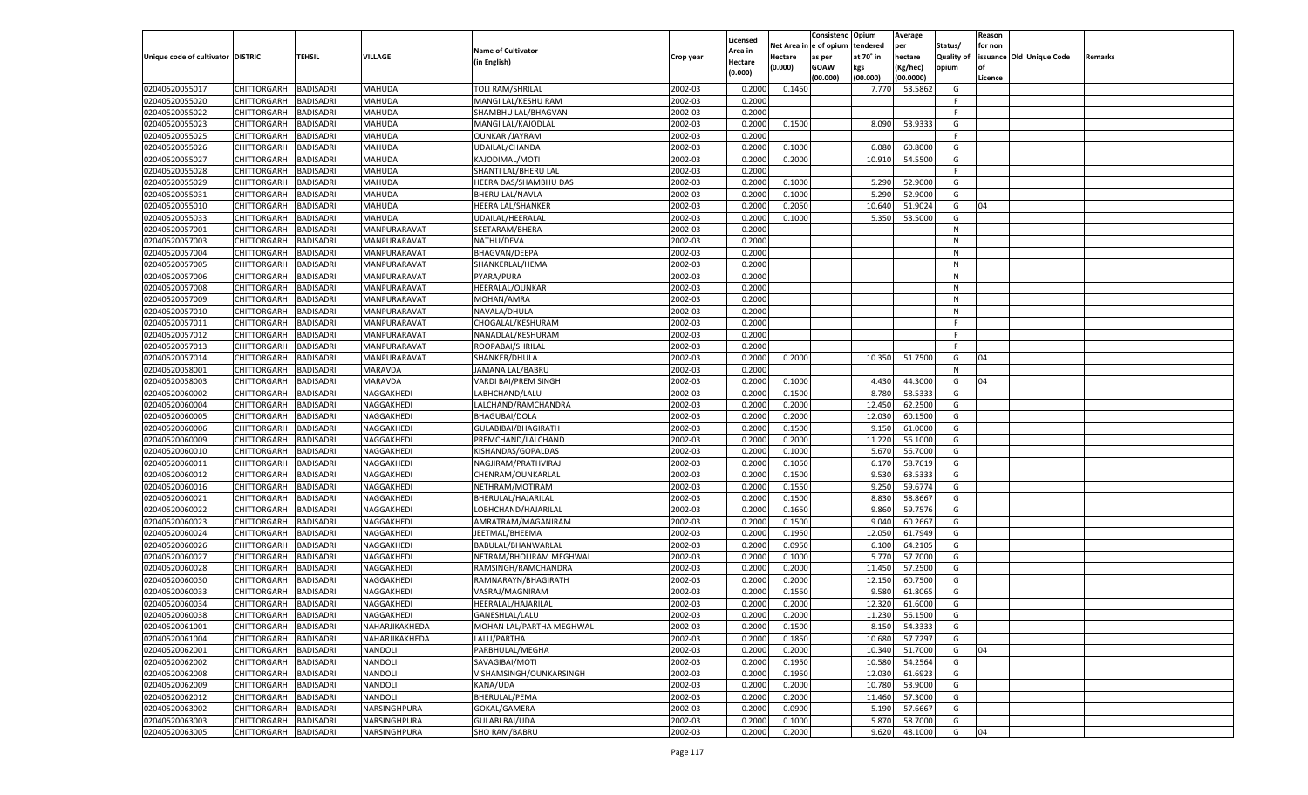|                                   |                    |                  |                |                            |           | Licensed |         | Consistenc Opium       |           | Average   |            | Reason  |                          |                |
|-----------------------------------|--------------------|------------------|----------------|----------------------------|-----------|----------|---------|------------------------|-----------|-----------|------------|---------|--------------------------|----------------|
|                                   |                    |                  |                | <b>Name of Cultivator</b>  |           | Area in  |         | Net Area in e of opium | tendered  | per       | Status/    | for non |                          |                |
| Unique code of cultivator DISTRIC |                    | TEHSIL           | VILLAGE        | (in English)               | Crop year | Hectare  | Hectare | as per                 | at 70° in | hectare   | Quality of |         | issuance Old Unique Code | <b>Remarks</b> |
|                                   |                    |                  |                |                            |           | (0.000)  | (0.000) | <b>GOAW</b>            | kgs       | (Kg/hec)  | opium      |         |                          |                |
|                                   |                    |                  |                |                            |           |          |         | (00.000)               | (00.000)  | (00.0000) |            | Licence |                          |                |
| 02040520055017                    | CHITTORGARH        | <b>BADISADRI</b> | MAHUDA         | <b>TOLI RAM/SHRILAL</b>    | 2002-03   | 0.2000   | 0.1450  |                        | 7.770     | 53.5862   | G          |         |                          |                |
| 02040520055020                    | CHITTORGARH        | <b>BADISADRI</b> | MAHUDA         | <b>MANGI LAL/KESHU RAM</b> | 2002-03   | 0.2000   |         |                        |           |           | F.         |         |                          |                |
| 02040520055022                    | CHITTORGARH        | <b>BADISADRI</b> | MAHUDA         | SHAMBHU LAL/BHAGVAN        | 2002-03   | 0.2000   |         |                        |           |           | F.         |         |                          |                |
| 02040520055023                    | CHITTORGARH        | <b>BADISADRI</b> | MAHUDA         | MANGI LAL/KAJODLAL         | 2002-03   | 0.2000   | 0.1500  |                        | 8.090     | 53.9333   | G          |         |                          |                |
| 02040520055025                    | CHITTORGARH        | <b>BADISADRI</b> | MAHUDA         | <b>OUNKAR /JAYRAM</b>      | 2002-03   | 0.2000   |         |                        |           |           | F          |         |                          |                |
| 02040520055026                    | CHITTORGARH        | <b>BADISADRI</b> | <b>MAHUDA</b>  | UDAILAL/CHANDA             | 2002-03   | 0.2000   | 0.1000  |                        | 6.080     | 60.8000   | G          |         |                          |                |
| 02040520055027                    | CHITTORGARH        | <b>BADISADRI</b> | MAHUDA         | KAJODIMAL/MOTI             | 2002-03   | 0.2000   | 0.2000  |                        | 10.910    | 54.5500   | G          |         |                          |                |
| 02040520055028                    | CHITTORGARH        | <b>BADISADRI</b> | MAHUDA         | SHANTI LAL/BHERU LAL       | 2002-03   | 0.2000   |         |                        |           |           | F.         |         |                          |                |
| 02040520055029                    | CHITTORGARH        | <b>BADISADRI</b> | MAHUDA         | HEERA DAS/SHAMBHU DAS      | 2002-03   | 0.2000   | 0.1000  |                        | 5.290     | 52.9000   | G          |         |                          |                |
| 02040520055031                    | CHITTORGARH        | <b>BADISADRI</b> | <b>MAHUDA</b>  | <b>BHERU LAL/NAVLA</b>     | 2002-03   | 0.2000   | 0.1000  |                        | 5.290     | 52.9000   | G          |         |                          |                |
| 02040520055010                    | CHITTORGARH        | <b>BADISADRI</b> | MAHUDA         | <b>HEERA LAL/SHANKER</b>   | 2002-03   | 0.2000   | 0.2050  |                        | 10.640    | 51.9024   | G          | 04      |                          |                |
| 02040520055033                    | CHITTORGARH        | <b>BADISADRI</b> | MAHUDA         | UDAILAL/HEERALAL           | 2002-03   | 0.2000   | 0.1000  |                        | 5.350     | 53.5000   | G          |         |                          |                |
| 02040520057001                    | CHITTORGARH        | BADISADRI        | MANPURARAVAT   | SEETARAM/BHERA             | 2002-03   | 0.2000   |         |                        |           |           | N          |         |                          |                |
| 02040520057003                    | CHITTORGARH        | BADISADRI        | MANPURARAVAT   | NATHU/DEVA                 | 2002-03   | 0.2000   |         |                        |           |           | N          |         |                          |                |
| 02040520057004                    | CHITTORGARH        | BADISADRI        | MANPURARAVAT   | <b>BHAGVAN/DEEPA</b>       | 2002-03   | 0.2000   |         |                        |           |           | N          |         |                          |                |
| 02040520057005                    | CHITTORGARH        | BADISADRI        | MANPURARAVAT   | SHANKERLAL/HEMA            | 2002-03   | 0.2000   |         |                        |           |           | N          |         |                          |                |
| 02040520057006                    | CHITTORGARH        | BADISADRI        | MANPURARAVAT   | PYARA/PURA                 | 2002-03   | 0.2000   |         |                        |           |           | N          |         |                          |                |
| 02040520057008                    | CHITTORGARH        | BADISADRI        | MANPURARAVAT   | HEERALAL/OUNKAR            | 2002-03   | 0.2000   |         |                        |           |           | N          |         |                          |                |
| 02040520057009                    | CHITTORGARH        | BADISADRI        | MANPURARAVAT   | MOHAN/AMRA                 | 2002-03   | 0.2000   |         |                        |           |           | N          |         |                          |                |
| 02040520057010                    | CHITTORGARH        | BADISADRI        | MANPURARAVAT   | NAVALA/DHULA               | 2002-03   | 0.2000   |         |                        |           |           | N          |         |                          |                |
| 02040520057011                    | CHITTORGARH        | BADISADRI        | MANPURARAVAT   | CHOGALAL/KESHURAM          | 2002-03   | 0.2000   |         |                        |           |           | F.         |         |                          |                |
| 02040520057012                    | CHITTORGARH        | BADISADRI        | MANPURARAVAT   | NANADLAL/KESHURAM          | 2002-03   | 0.2000   |         |                        |           |           | E          |         |                          |                |
| 02040520057013                    | CHITTORGARH        | BADISADRI        | MANPURARAVAT   | ROOPABAI/SHRILAI           | 2002-03   | 0.2000   |         |                        |           |           | F.         |         |                          |                |
| 02040520057014                    | CHITTORGARH        | BADISADRI        | MANPURARAVAT   | SHANKER/DHULA              | 2002-03   | 0.2000   | 0.2000  |                        | 10.350    | 51.7500   | G          | 04      |                          |                |
| 02040520058001                    | CHITTORGARH        | BADISADRI        | MARAVDA        | JAMANA LAL/BABRU           | 2002-03   | 0.2000   |         |                        |           |           | N          |         |                          |                |
| 02040520058003                    | CHITTORGARH        | BADISADRI        | MARAVDA        | VARDI BAI/PREM SINGH       | 2002-03   | 0.2000   | 0.1000  |                        | 4.430     | 44.3000   | G          | 04      |                          |                |
| 02040520060002                    | CHITTORGARH        | BADISADRI        | NAGGAKHEDI     | LABHCHAND/LALU             | 2002-03   | 0.2000   | 0.1500  |                        | 8.780     | 58.5333   | G          |         |                          |                |
| 02040520060004                    | CHITTORGARH        | BADISADRI        | NAGGAKHEDI     | LALCHAND/RAMCHANDRA        | 2002-03   | 0.2000   | 0.2000  |                        | 12.450    | 62.2500   | G          |         |                          |                |
| 02040520060005                    | CHITTORGARH        | <b>BADISADRI</b> | NAGGAKHEDI     | <b>BHAGUBAI/DOLA</b>       | 2002-03   | 0.2000   | 0.2000  |                        | 12.030    | 60.1500   | G          |         |                          |                |
| 02040520060006                    | CHITTORGARH        | BADISADRI        | NAGGAKHEDI     | GULABIBAI/BHAGIRATH        | 2002-03   | 0.2000   | 0.1500  |                        | 9.150     | 61.0000   | G          |         |                          |                |
|                                   |                    |                  |                |                            | 2002-03   |          |         |                        |           |           | G          |         |                          |                |
| 02040520060009                    | CHITTORGARH        | BADISADRI        | NAGGAKHEDI     | PREMCHAND/LALCHAND         | 2002-03   | 0.2000   | 0.2000  |                        | 11.220    | 56.1000   | G          |         |                          |                |
| 02040520060010                    | CHITTORGARH        | BADISADRI        | NAGGAKHEDI     | KISHANDAS/GOPALDAS         |           | 0.2000   | 0.1000  |                        | 5.670     | 56.7000   | G          |         |                          |                |
| 02040520060011                    | CHITTORGARH        | BADISADRI        | NAGGAKHEDI     | NAGJIRAM/PRATHVIRAJ        | 2002-03   | 0.2000   | 0.1050  |                        | 6.170     | 58.7619   |            |         |                          |                |
| 02040520060012                    | CHITTORGARH        | BADISADRI        | NAGGAKHEDI     | CHENRAM/OUNKARLAL          | 2002-03   | 0.2000   | 0.1500  |                        | 9.530     | 63.5333   | G          |         |                          |                |
| 02040520060016                    | CHITTORGARH        | BADISADRI        | NAGGAKHEDI     | NETHRAM/MOTIRAM            | 2002-03   | 0.2000   | 0.1550  |                        | 9.250     | 59.6774   | G          |         |                          |                |
| 02040520060021                    | CHITTORGARH        | BADISADRI        | NAGGAKHEDI     | BHERULAL/HAJARILAL         | 2002-03   | 0.2000   | 0.1500  |                        | 8.830     | 58.8667   | G          |         |                          |                |
| 02040520060022                    | CHITTORGARH        | BADISADRI        | NAGGAKHEDI     | LOBHCHAND/HAJARILAL        | 2002-03   | 0.2000   | 0.1650  |                        | 9.860     | 59.7576   | G          |         |                          |                |
| 02040520060023                    | CHITTORGARH        | BADISADRI        | NAGGAKHEDI     | AMRATRAM/MAGANIRAM         | 2002-03   | 0.2000   | 0.1500  |                        | 9.040     | 60.2667   | G          |         |                          |                |
| 02040520060024                    | CHITTORGARH        | BADISADRI        | NAGGAKHEDI     | JEETMAL/BHEEMA             | 2002-03   | 0.2000   | 0.1950  |                        | 12.050    | 61.7949   | G          |         |                          |                |
| 02040520060026                    | CHITTORGARH        | BADISADRI        | NAGGAKHEDI     | BABULAL/BHANWARLAL         | 2002-03   | 0.2000   | 0.0950  |                        | 6.100     | 64.2105   | G          |         |                          |                |
| 02040520060027                    | CHITTORGARH        | BADISADRI        | NAGGAKHEDI     | NETRAM/BHOLIRAM MEGHWAL    | 2002-03   | 0.2000   | 0.1000  |                        | 5.770     | 57.7000   | G          |         |                          |                |
| 02040520060028                    | CHITTORGARH        | BADISADRI        | NAGGAKHEDI     | RAMSINGH/RAMCHANDRA        | 2002-03   | 0.2000   | 0.2000  |                        | 11.450    | 57.2500   | G          |         |                          |                |
| 02040520060030                    | CHITTORGARH        | BADISADRI        | NAGGAKHEDI     | RAMNARAYN/BHAGIRATH        | 2002-03   | 0.2000   | 0.2000  |                        | 12.150    | 60.7500   | G          |         |                          |                |
| 02040520060033                    | CHITTORGARH        | BADISADRI        | NAGGAKHEDI     | VASRAJ/MAGNIRAM            | 2002-03   | 0.2000   | 0.1550  |                        | 9.580     | 61.8065   | G          |         |                          |                |
| 02040520060034                    | CHITTORGARH        | BADISADRI        | NAGGAKHEDI     | HEERALAL/HAJARILAL         | 2002-03   | 0.2000   | 0.2000  |                        | 12.320    | 61.6000   | G          |         |                          |                |
| 02040520060038                    | CHITTORGARH        | <b>BADISADRI</b> | NAGGAKHEDI     | GANESHLAL/LALU             | 2002-03   | 0.2000   | 0.2000  |                        | 11.230    | 56.1500   | G          |         |                          |                |
| 02040520061001                    | <b>CHITTORGARH</b> | <b>BADISADRI</b> | NAHARJIKAKHEDA | MOHAN LAL/PARTHA MEGHWAL   | 2002-03   | 0.2000   | 0.1500  |                        | 8.150     | 54.3333   | G          |         |                          |                |
| 02040520061004                    | <b>CHITTORGARH</b> | <b>BADISADRI</b> | NAHARJIKAKHEDA | LALU/PARTHA                | 2002-03   | 0.2000   | 0.1850  |                        | 10.680    | 57.7297   | G          |         |                          |                |
| 02040520062001                    | <b>CHITTORGARH</b> | <b>BADISADRI</b> | NANDOLI        | PARBHULAL/MEGHA            | 2002-03   | 0.2000   | 0.2000  |                        | 10.340    | 51.7000   | G          | 04      |                          |                |
| 02040520062002                    | <b>CHITTORGARH</b> | <b>BADISADRI</b> | NANDOLI        | SAVAGIBAI/MOTI             | 2002-03   | 0.2000   | 0.1950  |                        | 10.580    | 54.2564   | G          |         |                          |                |
| 02040520062008                    | <b>CHITTORGARH</b> | <b>BADISADRI</b> | NANDOLI        | VISHAMSINGH/OUNKARSINGH    | 2002-03   | 0.2000   | 0.1950  |                        | 12.030    | 61.6923   | G          |         |                          |                |
| 02040520062009                    | <b>CHITTORGARH</b> | <b>BADISADRI</b> | NANDOLI        | KANA/UDA                   | 2002-03   | 0.2000   | 0.2000  |                        | 10.780    | 53.9000   | G          |         |                          |                |
| 02040520062012                    | <b>CHITTORGARH</b> | <b>BADISADRI</b> | NANDOLI        | <b>BHERULAL/PEMA</b>       | 2002-03   | 0.2000   | 0.2000  |                        | 11.460    | 57.3000   | G          |         |                          |                |
| 02040520063002                    | <b>CHITTORGARH</b> | <b>BADISADRI</b> | NARSINGHPURA   | GOKAL/GAMERA               | 2002-03   | 0.2000   | 0.0900  |                        | 5.190     | 57.6667   | G          |         |                          |                |
| 02040520063003                    | <b>CHITTORGARH</b> | <b>BADISADRI</b> | NARSINGHPURA   | <b>GULABI BAI/UDA</b>      | 2002-03   | 0.2000   | 0.1000  |                        | 5.870     | 58.7000   | G          |         |                          |                |
| 02040520063005                    | <b>CHITTORGARH</b> | <b>BADISADRI</b> | NARSINGHPURA   | SHO RAM/BABRU              | 2002-03   | 0.2000   | 0.2000  |                        | 9.620     | 48.1000   | G          | 04      |                          |                |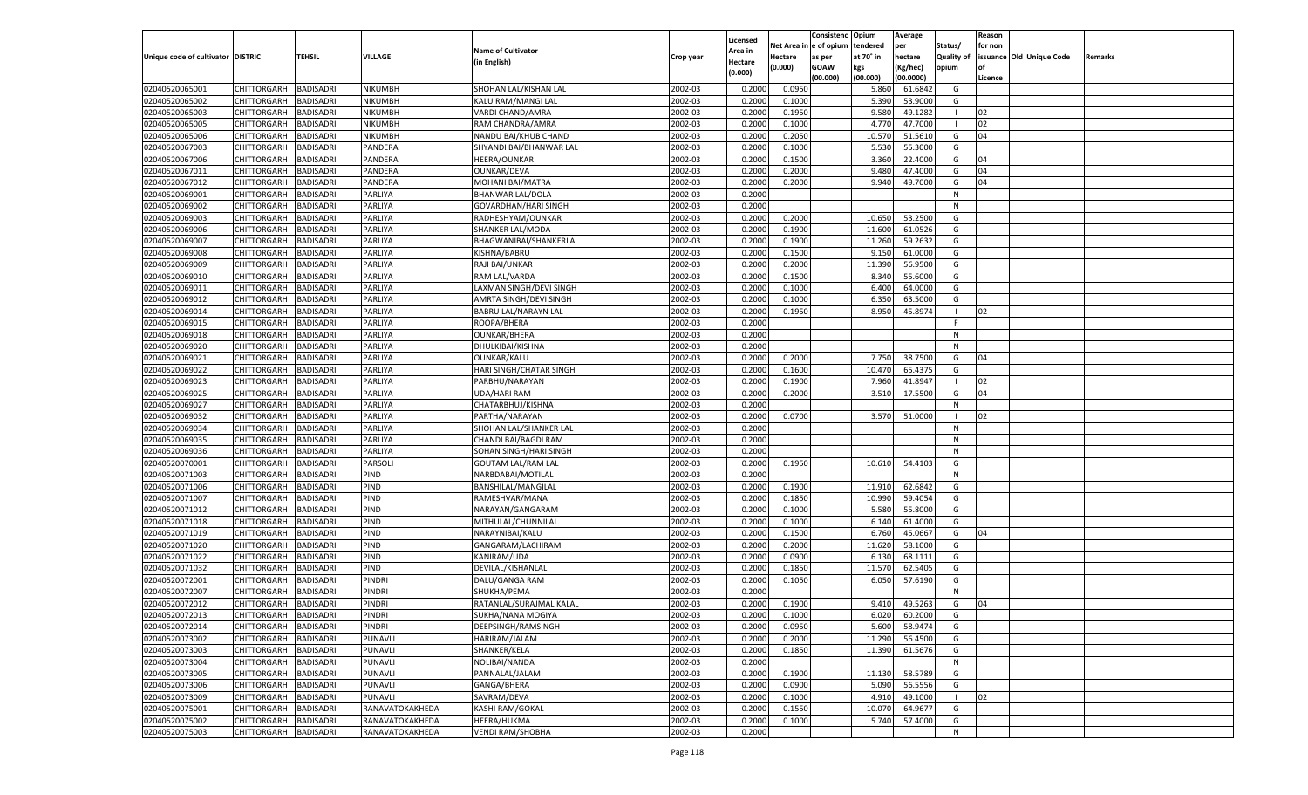|                                   |                       |                  |                    |                           |           |                    |             | Consistenc    | Opium     | Average   |                | Reason  |                          |         |
|-----------------------------------|-----------------------|------------------|--------------------|---------------------------|-----------|--------------------|-------------|---------------|-----------|-----------|----------------|---------|--------------------------|---------|
|                                   |                       |                  |                    |                           |           | Licensed           | Net Area iı | n  e of opium | tendered  | per       | Status/        | for non |                          |         |
| Unique code of cultivator DISTRIC |                       | TEHSIL           | VILLAGE            | <b>Name of Cultivator</b> | Crop year | Area in            | Hectare     | as per        | at 70° in | hectare   | Quality of     |         | issuance Old Unique Code | Remarks |
|                                   |                       |                  |                    | (in English)              |           | Hectare<br>(0.000) | (0.000)     | <b>GOAW</b>   | kgs       | (Kg/hec)  | opium          |         |                          |         |
|                                   |                       |                  |                    |                           |           |                    |             | (00.000)      | (00.000)  | (00.0000) |                | Licence |                          |         |
| 02040520065001                    | CHITTORGARH           | <b>BADISADRI</b> | NIKUMBH            | SHOHAN LAL/KISHAN LAL     | 2002-03   | 0.2000             | 0.0950      |               | 5.860     | 61.6842   | G              |         |                          |         |
| 02040520065002                    | CHITTORGARH           | BADISADRI        | NIKUMBH            | KALU RAM/MANGI LAL        | 2002-03   | 0.2000             | 0.1000      |               | 5.390     | 53.9000   | G              |         |                          |         |
| 02040520065003                    | CHITTORGARH           | BADISADRI        | NIKUMBH            | VARDI CHAND/AMRA          | 2002-03   | 0.2000             | 0.1950      |               | 9.580     | 49.1282   |                | 02      |                          |         |
| 02040520065005                    | CHITTORGARH           | BADISADRI        | NIKUMBH            | RAM CHANDRA/AMRA          | 2002-03   | 0.2000             | 0.1000      |               | 4.770     | 47.7000   | - 1            | 02      |                          |         |
| 02040520065006                    | CHITTORGARH           | BADISADRI        | NIKUMBH            | NANDU BAI/KHUB CHAND      | 2002-03   | 0.2000             | 0.2050      |               | 10.570    | 51.5610   | G              | 04      |                          |         |
| 02040520067003                    | CHITTORGARH           | BADISADRI        | PANDERA            | SHYANDI BAI/BHANWAR LAL   | 2002-03   | 0.2000             | 0.1000      |               | 5.530     | 55.3000   | G              |         |                          |         |
| 02040520067006                    | CHITTORGARH           | BADISADRI        | PANDERA            | HEERA/OUNKAR              | 2002-03   | 0.2000             | 0.1500      |               | 3.360     | 22.4000   | G              | 04      |                          |         |
| 02040520067011                    | CHITTORGARH           | BADISADRI        | PANDERA            | <b>OUNKAR/DEVA</b>        | 2002-03   | 0.2000             | 0.2000      |               | 9.480     | 47.4000   | G              | 04      |                          |         |
| 02040520067012                    | CHITTORGARH           | BADISADRI        | PANDERA            | MOHANI BAI/MATRA          | 2002-03   | 0.2000             | 0.2000      |               | 9.940     | 49.7000   | G              | 04      |                          |         |
| 02040520069001                    | CHITTORGARH           | BADISADRI        | PARLIYA            | <b>BHANWAR LAL/DOLA</b>   | 2002-03   | 0.2000             |             |               |           |           | N              |         |                          |         |
| 02040520069002                    | CHITTORGARH           | BADISADRI        | PARLIYA            | GOVARDHAN/HARI SINGH      | 2002-03   | 0.2000             |             |               |           |           | N              |         |                          |         |
| 02040520069003                    | CHITTORGARH           | BADISADRI        | PARLIYA            | RADHESHYAM/OUNKAR         | 2002-03   | 0.2000             | 0.2000      |               | 10.650    | 53.2500   | G              |         |                          |         |
| 02040520069006                    | CHITTORGARH           | BADISADRI        | PARLIYA            | SHANKER LAL/MODA          | 2002-03   | 0.2000             | 0.1900      |               | 11.600    | 61.0526   | G              |         |                          |         |
| 02040520069007                    | CHITTORGARH           | BADISADRI        | PARLIYA            | BHAGWANIBAI/SHANKERLAL    | 2002-03   | 0.2000             | 0.1900      |               | 11.260    | 59.2632   | G              |         |                          |         |
| 02040520069008                    | CHITTORGARH           | BADISADRI        | PARLIYA            | KISHNA/BABRU              | 2002-03   | 0.2000             | 0.1500      |               | 9.150     | 61.0000   | G              |         |                          |         |
| 02040520069009                    | CHITTORGARH           | BADISADRI        | PARLIYA            | RAJI BAI/UNKAR            | 2002-03   | 0.2000             | 0.2000      |               | 11.390    | 56.9500   | G              |         |                          |         |
| 02040520069010                    | CHITTORGARH           | <b>BADISADRI</b> | PARLIYA            | RAM LAL/VARDA             | 2002-03   | 0.2000             | 0.1500      |               | 8.340     | 55.6000   | G              |         |                          |         |
| 02040520069011                    | CHITTORGARH           | BADISADRI        | PARLIYA            | LAXMAN SINGH/DEVI SINGH   | 2002-03   | 0.2000             | 0.1000      |               | 6.400     | 64.0000   | G              |         |                          |         |
| 02040520069012                    | CHITTORGARH           | BADISADRI        | PARLIYA            | AMRTA SINGH/DEVI SINGH    | 2002-03   | 0.2000             | 0.1000      |               | 6.350     | 63.5000   | G              |         |                          |         |
| 02040520069014                    | CHITTORGARH           | BADISADRI        | PARLIYA            | BABRU LAL/NARAYN LAL      | 2002-03   | 0.2000             | 0.1950      |               | 8.950     | 45.8974   | - 1            | 02      |                          |         |
| 02040520069015                    | CHITTORGARH           | <b>BADISADRI</b> | PARLIYA            | ROOPA/BHERA               | 2002-03   | 0.2000             |             |               |           |           | F              |         |                          |         |
| 02040520069018                    | CHITTORGARH           | BADISADRI        | PARLIYA            | <b>OUNKAR/BHERA</b>       | 2002-03   | 0.2000             |             |               |           |           | N              |         |                          |         |
| 02040520069020                    | CHITTORGARH           | BADISADRI        | PARLIYA            | DHULKIBAI/KISHNA          | 2002-03   | 0.2000             |             |               |           |           | N              |         |                          |         |
| 02040520069021                    | CHITTORGARH           | BADISADRI        | PARLIYA            | OUNKAR/KALU               | 2002-03   | 0.2000             | 0.2000      |               | 7.750     | 38.7500   | G              | 04      |                          |         |
| 02040520069022                    | CHITTORGARH           | <b>BADISADRI</b> | PARLIYA            |                           | 2002-03   | 0.2000             | 0.1600      |               | 10.470    | 65.4375   | G              |         |                          |         |
| 02040520069023                    |                       | BADISADRI        |                    | HARI SINGH/CHATAR SINGH   | 2002-03   | 0.2000             | 0.1900      |               | 7.960     | 41.8947   | $\blacksquare$ | 02      |                          |         |
|                                   | CHITTORGARH           | <b>BADISADRI</b> | PARLIYA<br>PARLIYA | PARBHU/NARAYAN            | 2002-03   | 0.2000             | 0.2000      |               |           | 17.5500   |                | 04      |                          |         |
| 02040520069025<br>02040520069027  | CHITTORGARH           |                  |                    | UDA/HARI RAM              |           |                    |             |               | 3.510     |           | G              |         |                          |         |
|                                   | CHITTORGARH           | BADISADRI        | PARLIYA            | CHATARBHUJ/KISHNA         | 2002-03   | 0.2000             |             |               |           |           | N              |         |                          |         |
| 02040520069032                    | CHITTORGARH           | <b>BADISADRI</b> | PARLIYA            | PARTHA/NARAYAN            | 2002-03   | 0.2000             | 0.0700      |               | 3.570     | 51.0000   |                | 02      |                          |         |
| 02040520069034                    | CHITTORGARH           | BADISADRI        | PARLIYA            | SHOHAN LAL/SHANKER LAL    | 2002-03   | 0.2000             |             |               |           |           | N              |         |                          |         |
| 02040520069035                    | CHITTORGARH           | <b>BADISADRI</b> | PARLIYA            | CHANDI BAI/BAGDI RAM      | 2002-03   | 0.2000             |             |               |           |           | N              |         |                          |         |
| 02040520069036                    | CHITTORGARH           | <b>BADISADRI</b> | PARLIYA            | SOHAN SINGH/HARI SINGH    | 2002-03   | 0.2000             |             |               |           |           | N              |         |                          |         |
| 02040520070001                    | CHITTORGARH           | <b>BADISADRI</b> | PARSOLI            | <b>GOUTAM LAL/RAM LAL</b> | 2002-03   | 0.2000             | 0.1950      |               | 10.610    | 54.4103   | G              |         |                          |         |
| 02040520071003                    | CHITTORGARH           | BADISADRI        | PIND               | NARBDABAI/MOTILAL         | 2002-03   | 0.2000             |             |               |           |           | N              |         |                          |         |
| 02040520071006                    | CHITTORGARH           | BADISADRI        | PIND               | BANSHILAL/MANGILAL        | 2002-03   | 0.2000             | 0.1900      |               | 11.910    | 62.6842   | G              |         |                          |         |
| 02040520071007                    | CHITTORGARH           | <b>BADISADRI</b> | PIND               | RAMESHVAR/MANA            | 2002-03   | 0.2000             | 0.1850      |               | 10.990    | 59.4054   | G              |         |                          |         |
| 02040520071012                    | CHITTORGARH           | <b>BADISADRI</b> | PIND               | NARAYAN/GANGARAM          | 2002-03   | 0.2000             | 0.1000      |               | 5.580     | 55.8000   | G              |         |                          |         |
| 02040520071018                    | CHITTORGARH           | BADISADRI        | PIND               | MITHULAL/CHUNNILAL        | 2002-03   | 0.2000             | 0.1000      |               | 6.140     | 61.4000   | G              |         |                          |         |
| 02040520071019                    | CHITTORGARH           | BADISADRI        | PIND               | NARAYNIBAI/KALU           | 2002-03   | 0.2000             | 0.1500      |               | 6.760     | 45.0667   | G              | 04      |                          |         |
| 02040520071020                    | CHITTORGARH           | <b>BADISADRI</b> | PIND               | GANGARAM/LACHIRAM         | 2002-03   | 0.2000             | 0.2000      |               | 11.620    | 58.1000   | G              |         |                          |         |
| 02040520071022                    | CHITTORGARH           | <b>BADISADRI</b> | PIND               | KANIRAM/UDA               | 2002-03   | 0.2000             | 0.0900      |               | 6.130     | 68.1111   | G              |         |                          |         |
| 02040520071032                    | CHITTORGARH           | BADISADRI        | PIND               | DEVILAL/KISHANLAL         | 2002-03   | 0.2000             | 0.1850      |               | 11.570    | 62.5405   | G              |         |                          |         |
| 02040520072001                    | CHITTORGARH           | BADISADRI        | PINDRI             | DALU/GANGA RAM            | 2002-03   | 0.2000             | 0.1050      |               | 6.050     | 57.6190   | G              |         |                          |         |
| 02040520072007                    | CHITTORGARH           | BADISADRI        | PINDRI             | SHUKHA/PEMA               | 2002-03   | 0.2000             |             |               |           |           | N              |         |                          |         |
| 02040520072012                    | CHITTORGARH           | <b>BADISADRI</b> | PINDRI             | RATANLAL/SURAJMAL KALAL   | 2002-03   | 0.2000             | 0.1900      |               | 9.410     | 49.5263   | G              | 04      |                          |         |
| 02040520072013                    | CHITTORGARH BADISADRI |                  | <b>PINDRI</b>      | SUKHA/NANA MOGIYA         | 2002-03   | 0.2000             | 0.1000      |               | 6.020     | 60.2000   | G              |         |                          |         |
| 02040520072014                    | <b>CHITTORGARH</b>    | <b>BADISADRI</b> | PINDRI             | DEEPSINGH/RAMSINGH        | 2002-03   | 0.2000             | 0.0950      |               | 5.600     | 58.9474   | G              |         |                          |         |
| 02040520073002                    | <b>CHITTORGARH</b>    | <b>BADISADRI</b> | PUNAVLI            | HARIRAM/JALAM             | 2002-03   | 0.2000             | 0.2000      |               | 11.290    | 56.4500   | G              |         |                          |         |
| 02040520073003                    | CHITTORGARH           | <b>BADISADRI</b> | PUNAVLI            | SHANKER/KELA              | 2002-03   | 0.2000             | 0.1850      |               | 11.390    | 61.5676   | G              |         |                          |         |
| 02040520073004                    | <b>CHITTORGARH</b>    | <b>BADISADRI</b> | PUNAVLI            | NOLIBAI/NANDA             | 2002-03   | 0.2000             |             |               |           |           | N              |         |                          |         |
| 02040520073005                    | <b>CHITTORGARH</b>    | <b>BADISADRI</b> | PUNAVLI            | PANNALAL/JALAM            | 2002-03   | 0.2000             | 0.1900      |               | 11.130    | 58.5789   | G              |         |                          |         |
| 02040520073006                    | <b>CHITTORGARH</b>    | <b>BADISADRI</b> | PUNAVLI            | GANGA/BHERA               | 2002-03   | 0.2000             | 0.0900      |               | 5.090     | 56.5556   | G              |         |                          |         |
| 02040520073009                    | CHITTORGARH           | <b>BADISADRI</b> | PUNAVLI            | SAVRAM/DEVA               | 2002-03   | 0.2000             | 0.1000      |               | 4.910     | 49.1000   | $\blacksquare$ | 02      |                          |         |
| 02040520075001                    | CHITTORGARH           | <b>BADISADRI</b> | RANAVATOKAKHEDA    | KASHI RAM/GOKAL           | 2002-03   | 0.2000             | 0.1550      |               | 10.070    | 64.9677   | G              |         |                          |         |
| 02040520075002                    | CHITTORGARH           | <b>BADISADRI</b> | RANAVATOKAKHEDA    | HEERA/HUKMA               | 2002-03   | 0.2000             | 0.1000      |               | 5.740     | 57.4000   | G              |         |                          |         |
| 02040520075003                    | <b>CHITTORGARH</b>    | <b>BADISADRI</b> | RANAVATOKAKHEDA    | <b>VENDI RAM/SHOBHA</b>   | 2002-03   | 0.2000             |             |               |           |           | N              |         |                          |         |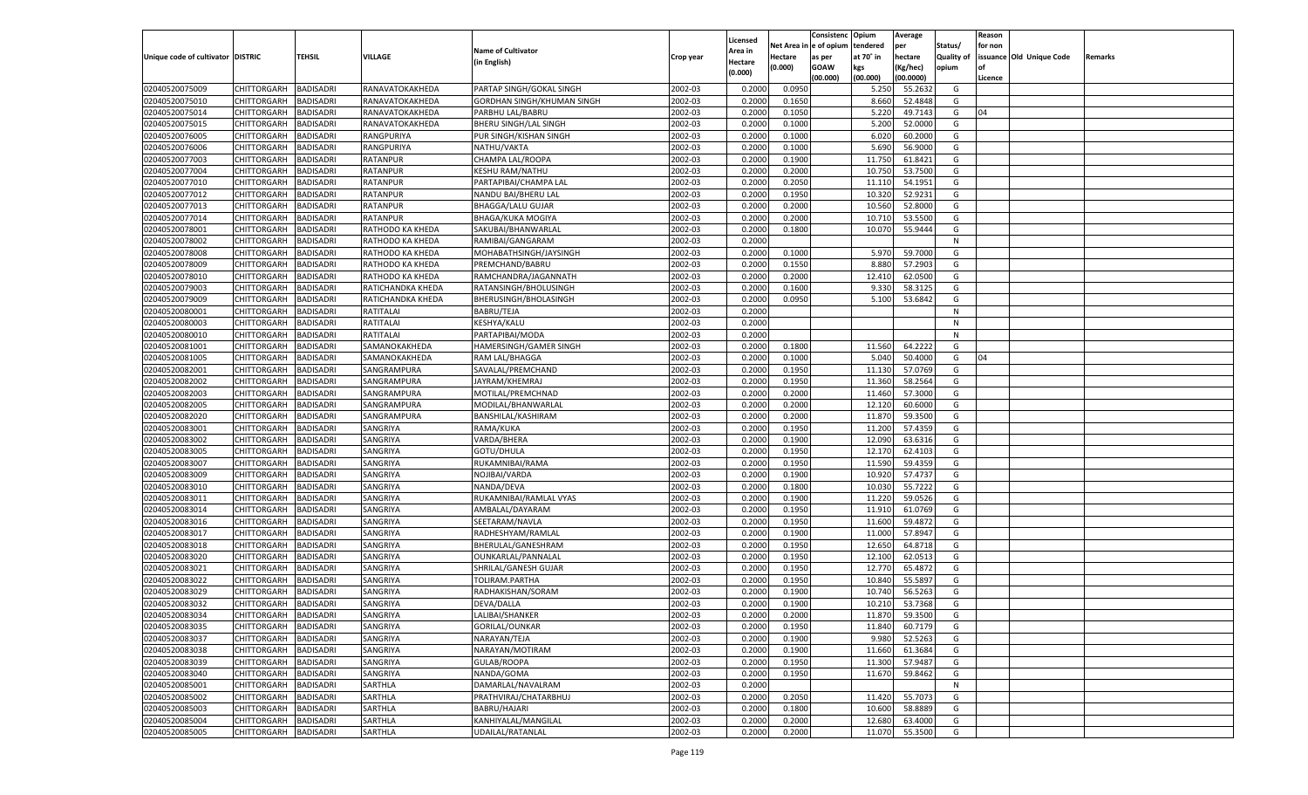|                                   |                       |                  |                   |                              |           |                     |             | Consistenc   | Opium     | Average   |            | Reason  |                          |         |
|-----------------------------------|-----------------------|------------------|-------------------|------------------------------|-----------|---------------------|-------------|--------------|-----------|-----------|------------|---------|--------------------------|---------|
|                                   |                       |                  |                   | <b>Name of Cultivator</b>    |           | Licensed<br>Area in | Net Area iı | n e of opium | tendered  | per       | Status/    | for non |                          |         |
| Unique code of cultivator DISTRIC |                       | TEHSIL           | <b>VILLAGE</b>    | (in English)                 | Crop year | Hectare             | Hectare     | as per       | at 70° in | hectare   | Quality of |         | issuance Old Unique Code | Remarks |
|                                   |                       |                  |                   |                              |           | (0.000)             | (0.000)     | <b>GOAW</b>  | kgs       | (Kg/hec)  | opium      |         |                          |         |
|                                   |                       |                  |                   |                              |           |                     |             | (00.000)     | (00.000)  | (00.0000) |            | Licence |                          |         |
| 02040520075009                    | CHITTORGARH           | <b>BADISADRI</b> | RANAVATOKAKHEDA   | PARTAP SINGH/GOKAL SINGH     | 2002-03   | 0.2000              | 0.0950      |              | 5.250     | 55.2632   | G          |         |                          |         |
| 02040520075010                    | CHITTORGARH           | BADISADRI        | RANAVATOKAKHEDA   | GORDHAN SINGH/KHUMAN SINGH   | 2002-03   | 0.2000              | 0.1650      |              | 8.660     | 52.4848   | G          |         |                          |         |
| 02040520075014                    | CHITTORGARH           | BADISADRI        | RANAVATOKAKHEDA   | PARBHU LAL/BABRU             | 2002-03   | 0.2000              | 0.1050      |              | 5.220     | 49.7143   | G          | 04      |                          |         |
| 02040520075015                    | CHITTORGARH           | BADISADRI        | RANAVATOKAKHEDA   | <b>BHERU SINGH/LAL SINGH</b> | 2002-03   | 0.2000              | 0.1000      |              | 5.200     | 52.0000   | G          |         |                          |         |
| 02040520076005                    | CHITTORGARH           | BADISADRI        | RANGPURIYA        | PUR SINGH/KISHAN SINGH       | 2002-03   | 0.2000              | 0.1000      |              | 6.020     | 60.2000   | G          |         |                          |         |
| 02040520076006                    | CHITTORGARH           | BADISADRI        | RANGPURIYA        | NATHU/VAKTA                  | 2002-03   | 0.2000              | 0.1000      |              | 5.690     | 56.9000   | G          |         |                          |         |
| 02040520077003                    | CHITTORGARH           | BADISADRI        | RATANPUR          | CHAMPA LAL/ROOPA             | 2002-03   | 0.2000              | 0.1900      |              | 11.750    | 61.8421   | G          |         |                          |         |
| 02040520077004                    | CHITTORGARH           | BADISADRI        | RATANPUR          | <b>KESHU RAM/NATHU</b>       | 2002-03   | 0.2000              | 0.2000      |              | 10.750    | 53.7500   | G          |         |                          |         |
| 02040520077010                    | CHITTORGARH           | BADISADRI        | RATANPUR          | PARTAPIBAI/CHAMPA LAL        | 2002-03   | 0.2000              | 0.2050      |              | 11.110    | 54.1951   | G          |         |                          |         |
| 02040520077012                    | CHITTORGARH           | BADISADRI        | RATANPUR          | NANDU BAI/BHERU LAL          | 2002-03   | 0.2000              | 0.1950      |              | 10.320    | 52.9231   | G          |         |                          |         |
| 02040520077013                    | CHITTORGARH           | BADISADRI        | RATANPUR          | <b>BHAGGA/LALU GUJAR</b>     | 2002-03   | 0.2000              | 0.2000      |              | 10.560    | 52.8000   | G          |         |                          |         |
| 02040520077014                    | CHITTORGARH           | BADISADRI        | RATANPUR          | BHAGA/KUKA MOGIYA            | 2002-03   | 0.2000              | 0.2000      |              | 10.71     | 53.5500   | G          |         |                          |         |
| 02040520078001                    | CHITTORGARH           | <b>BADISADRI</b> | RATHODO KA KHEDA  | SAKUBAI/BHANWARLAL           | 2002-03   | 0.2000              | 0.1800      |              | 10.070    | 55.9444   | G          |         |                          |         |
| 02040520078002                    | CHITTORGARH           | BADISADRI        | RATHODO KA KHEDA  | RAMIBAI/GANGARAM             | 2002-03   | 0.2000              |             |              |           |           | N          |         |                          |         |
| 02040520078008                    | CHITTORGARH           | <b>BADISADRI</b> | RATHODO KA KHEDA  | MOHABATHSINGH/JAYSINGH       | 2002-03   | 0.2000              | 0.1000      |              | 5.970     | 59.7000   | G          |         |                          |         |
| 02040520078009                    | CHITTORGARH           | BADISADRI        | RATHODO KA KHEDA  | PREMCHAND/BABRU              | 2002-03   | 0.2000              | 0.1550      |              | 8.880     | 57.2903   | G          |         |                          |         |
| 02040520078010                    | CHITTORGARH           | <b>BADISADRI</b> | RATHODO KA KHEDA  | RAMCHANDRA/JAGANNATH         | 2002-03   | 0.2000              | 0.2000      |              | 12.410    | 62.0500   | G          |         |                          |         |
| 02040520079003                    | CHITTORGARH           | BADISADRI        | RATICHANDKA KHEDA | RATANSINGH/BHOLUSINGH        | 2002-03   | 0.2000              | 0.1600      |              | 9.330     | 58.3125   | G          |         |                          |         |
| 02040520079009                    | CHITTORGARH           | <b>BADISADRI</b> | RATICHANDKA KHEDA | BHERUSINGH/BHOLASINGH        | 2002-03   | 0.2000              | 0.0950      |              | 5.100     | 53.6842   | G          |         |                          |         |
| 02040520080001                    | CHITTORGARH           | BADISADRI        | RATITALAI         | <b>BABRU/TEJA</b>            | 2002-03   | 0.2000              |             |              |           |           | N          |         |                          |         |
| 02040520080003                    | CHITTORGARH           | <b>BADISADRI</b> | RATITALAI         | <b>KESHYA/KALU</b>           | 2002-03   | 0.2000              |             |              |           |           | N          |         |                          |         |
| 02040520080010                    | CHITTORGARH           | BADISADRI        | RATITALAI         | PARTAPIBAI/MODA              | 2002-03   | 0.2000              |             |              |           |           | N          |         |                          |         |
| 02040520081001                    | CHITTORGARH           | <b>BADISADRI</b> | SAMANOKAKHEDA     | HAMERSINGH/GAMER SINGH       | 2002-03   | 0.2000              | 0.1800      |              | 11.560    | 64.2222   | G          |         |                          |         |
| 02040520081005                    | CHITTORGARH           | BADISADRI        | SAMANOKAKHEDA     | RAM LAL/BHAGGA               | 2002-03   | 0.2000              | 0.1000      |              | 5.040     | 50.4000   | G          | 04      |                          |         |
| 02040520082001                    | CHITTORGARH           | <b>BADISADRI</b> | SANGRAMPURA       | SAVALAL/PREMCHAND            | 2002-03   | 0.2000              | 0.1950      |              | 11.130    | 57.0769   | G          |         |                          |         |
| 02040520082002                    | CHITTORGARH           | BADISADRI        | SANGRAMPURA       | JAYRAM/KHEMRAJ               | 2002-03   | 0.2000              | 0.1950      |              | 11.360    | 58.2564   | G          |         |                          |         |
| 02040520082003                    | CHITTORGARH           | <b>BADISADRI</b> | SANGRAMPURA       | MOTILAL/PREMCHNAD            | 2002-03   | 0.2000              | 0.2000      |              | 11.460    | 57.3000   | G          |         |                          |         |
| 02040520082005                    | CHITTORGARH           | BADISADRI        | SANGRAMPURA       | MODILAL/BHANWARLAL           | 2002-03   | 0.2000              | 0.2000      |              | 12.120    | 60.6000   | G          |         |                          |         |
| 02040520082020                    | CHITTORGARH           | <b>BADISADRI</b> | SANGRAMPURA       | BANSHILAL/KASHIRAM           | 2002-03   | 0.2000              | 0.2000      |              | 11.870    | 59.3500   | G          |         |                          |         |
| 02040520083001                    | CHITTORGARH           | <b>BADISADRI</b> | SANGRIYA          | RAMA/KUKA                    | 2002-03   | 0.2000              | 0.1950      |              | 11.200    | 57.4359   | G          |         |                          |         |
| 02040520083002                    | CHITTORGARH           | <b>BADISADRI</b> | SANGRIYA          | VARDA/BHERA                  | 2002-03   | 0.2000              | 0.1900      |              | 12.090    | 63.6316   | G          |         |                          |         |
| 02040520083005                    | CHITTORGARH           | <b>BADISADRI</b> | SANGRIYA          | GOTU/DHULA                   | 2002-03   | 0.2000              | 0.1950      |              | 12.170    | 62.4103   | G          |         |                          |         |
| 02040520083007                    | CHITTORGARH           | <b>BADISADRI</b> | SANGRIYA          | RUKAMNIBAI/RAMA              | 2002-03   | 0.2000              | 0.1950      |              | 11.590    | 59.4359   | G          |         |                          |         |
| 02040520083009                    | CHITTORGARH           | BADISADRI        | SANGRIYA          | NOJIBAI/VARDA                | 2002-03   | 0.2000              | 0.1900      |              | 10.920    | 57.4737   | G          |         |                          |         |
| 02040520083010                    | CHITTORGARH           | <b>BADISADRI</b> | SANGRIYA          | NANDA/DEVA                   | 2002-03   | 0.2000              | 0.1800      |              | 10.030    | 55.7222   | G          |         |                          |         |
| 02040520083011                    | CHITTORGARH           | <b>BADISADRI</b> | SANGRIYA          | RUKAMNIBAI/RAMLAL VYAS       | 2002-03   | 0.2000              | 0.1900      |              | 11.220    | 59.0526   | G          |         |                          |         |
| 02040520083014                    | CHITTORGARH           | <b>BADISADRI</b> | SANGRIYA          | AMBALAL/DAYARAM              | 2002-03   | 0.2000              | 0.1950      |              | 11.910    | 61.0769   | G          |         |                          |         |
| 02040520083016                    | CHITTORGARH           | <b>BADISADRI</b> | SANGRIYA          | SEETARAM/NAVLA               | 2002-03   | 0.2000              | 0.1950      |              | 11.600    | 59.4872   | G          |         |                          |         |
| 02040520083017                    | CHITTORGARH           | <b>BADISADRI</b> | SANGRIYA          | RADHESHYAM/RAMLAL            | 2002-03   | 0.2000              | 0.1900      |              | 11.000    | 57.8947   | G          |         |                          |         |
| 02040520083018                    | CHITTORGARH           | <b>BADISADRI</b> | SANGRIYA          | BHERULAL/GANESHRAM           | 2002-03   | 0.2000              | 0.1950      |              | 12.650    | 64.8718   | G          |         |                          |         |
| 02040520083020                    | CHITTORGARH           | <b>BADISADRI</b> | SANGRIYA          | OUNKARLAL/PANNALAL           | 2002-03   | 0.2000              | 0.1950      |              | 12.100    | 62.0513   | G          |         |                          |         |
| 02040520083021                    | CHITTORGARH           | <b>BADISADRI</b> | SANGRIYA          | SHRILAL/GANESH GUJAR         | 2002-03   | 0.2000              | 0.1950      |              | 12.770    | 65.4872   | G          |         |                          |         |
| 02040520083022                    | CHITTORGARH           | BADISADRI        | SANGRIYA          |                              | 2002-03   | 0.2000              | 0.1950      |              | 10.84     | 55.589    | G          |         |                          |         |
|                                   |                       |                  |                   | TOLIRAM.PARTHA               |           |                     |             |              |           | 56.5263   |            |         |                          |         |
| 02040520083029                    | CHITTORGARH           | BADISADRI        | SANGRIYA          | RADHAKISHAN/SORAM            | 2002-03   | 0.2000              | 0.1900      |              | 10.74     |           | G          |         |                          |         |
| 02040520083032                    | CHITTORGARH           | <b>BADISADRI</b> | SANGRIYA          | DEVA/DALLA                   | 2002-03   | 0.2000              | 0.1900      |              | 10.210    | 53.7368   | G          |         |                          |         |
| 02040520083034                    | CHITTORGARH BADISADRI |                  | SANGRIYA          | LALIBAI/SHANKER              | 2002-03   | 0.2000              | 0.2000      |              | 11.870    | 59.3500   | G          |         |                          |         |
| 02040520083035                    | <b>CHITTORGARH</b>    | <b>BADISADRI</b> | SANGRIYA          | <b>GORILAL/OUNKAR</b>        | 2002-03   | 0.2000              | 0.1950      |              | 11.840    | 60.7179   | G          |         |                          |         |
| 02040520083037                    | <b>CHITTORGARH</b>    | <b>BADISADRI</b> | SANGRIYA          | NARAYAN/TEJA                 | 2002-03   | 0.2000              | 0.1900      |              | 9.980     | 52.5263   | G          |         |                          |         |
| 02040520083038                    | CHITTORGARH           | <b>BADISADRI</b> | SANGRIYA          | NARAYAN/MOTIRAM              | 2002-03   | 0.2000              | 0.1900      |              | 11.660    | 61.3684   | G          |         |                          |         |
| 02040520083039                    | <b>CHITTORGARH</b>    | <b>BADISADRI</b> | SANGRIYA          | <b>GULAB/ROOPA</b>           | 2002-03   | 0.2000              | 0.1950      |              | 11.300    | 57.9487   | G          |         |                          |         |
| 02040520083040                    | CHITTORGARH           | <b>BADISADRI</b> | SANGRIYA          | NANDA/GOMA                   | 2002-03   | 0.2000              | 0.1950      |              | 11.670    | 59.8462   | G          |         |                          |         |
| 02040520085001                    | CHITTORGARH           | <b>BADISADRI</b> | SARTHLA           | DAMARLAL/NAVALRAM            | 2002-03   | 0.2000              |             |              |           |           | N          |         |                          |         |
| 02040520085002                    | CHITTORGARH           | <b>BADISADRI</b> | SARTHLA           | PRATHVIRAJ/CHATARBHUJ        | 2002-03   | 0.2000              | 0.2050      |              | 11.420    | 55.7073   | G          |         |                          |         |
| 02040520085003                    | CHITTORGARH           | <b>BADISADRI</b> | SARTHLA           | BABRU/HAJARI                 | 2002-03   | 0.2000              | 0.1800      |              | 10.600    | 58.8889   | G          |         |                          |         |
| 02040520085004                    | <b>CHITTORGARH</b>    | <b>BADISADRI</b> | SARTHLA           | KANHIYALAL/MANGILAL          | 2002-03   | 0.2000              | 0.2000      |              | 12.680    | 63.4000   | G          |         |                          |         |
| 02040520085005                    | <b>CHITTORGARH</b>    | <b>BADISADRI</b> | SARTHLA           | UDAILAL/RATANLAL             | 2002-03   | 0.2000              | 0.2000      |              | 11.070    | 55.3500   | G          |         |                          |         |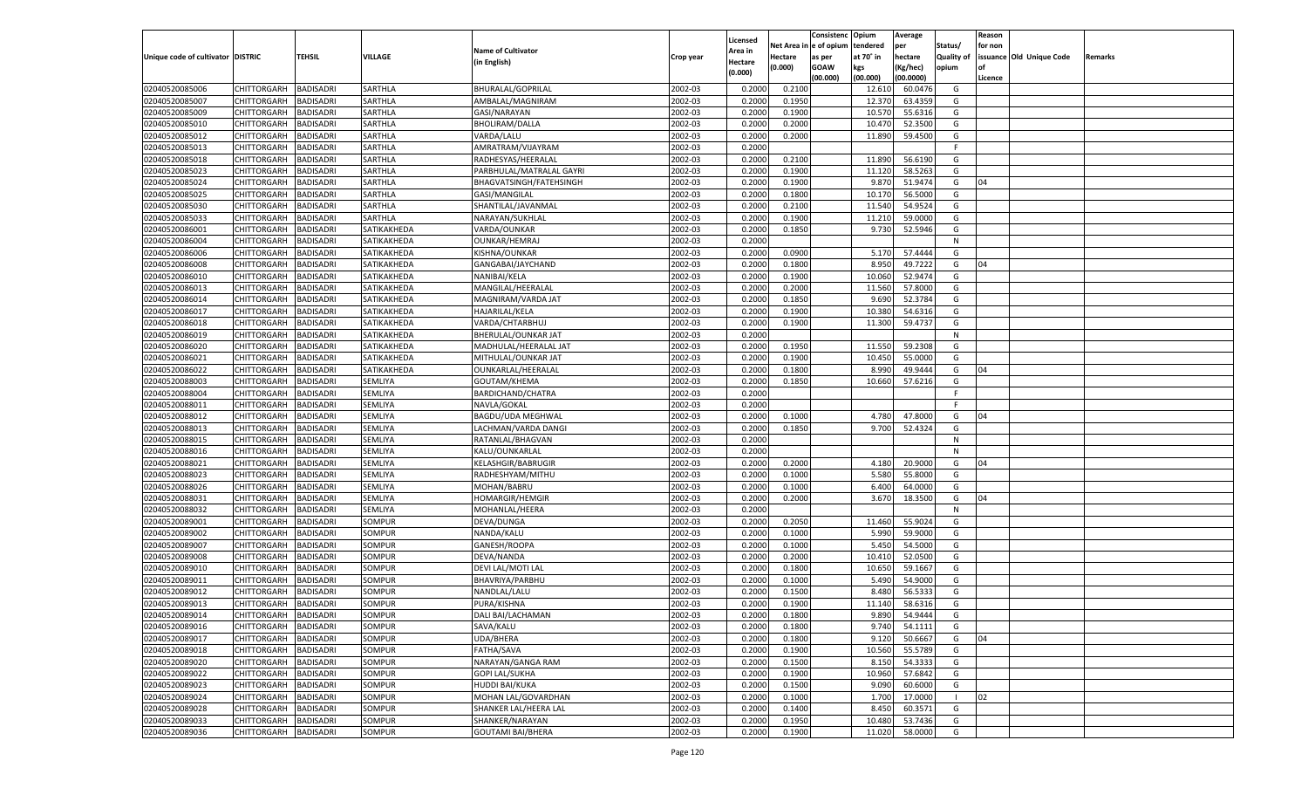|                                   |                       |                               |                         |                           |                    |                     |                  | Consistenc    | Opium     | Average            |                   | Reason  |                          |         |
|-----------------------------------|-----------------------|-------------------------------|-------------------------|---------------------------|--------------------|---------------------|------------------|---------------|-----------|--------------------|-------------------|---------|--------------------------|---------|
|                                   |                       |                               |                         | <b>Name of Cultivator</b> |                    | Licensed<br>Area in | Net Area iı      | n  e of opium | tendered  | per                | Status/           | for non |                          |         |
| Unique code of cultivator DISTRIC |                       | TEHSIL                        | VILLAGE                 | (in English)              | Crop year          | Hectare             | Hectare          | as per        | at 70° in | hectare            | <b>Quality of</b> |         | issuance Old Unique Code | Remarks |
|                                   |                       |                               |                         |                           |                    | (0.000)             | (0.000)          | <b>GOAW</b>   | kgs       | (Kg/hec)           | opium             |         |                          |         |
|                                   |                       |                               |                         |                           |                    |                     |                  | (00.000)      | (00.000)  | (00.0000)          |                   | Licence |                          |         |
| 02040520085006                    | CHITTORGARH           | <b>BADISADRI</b>              | SARTHLA                 | BHURALAL/GOPRILAL         | 2002-03            | 0.2000              | 0.2100           |               | 12.610    | 60.0476            | G                 |         |                          |         |
| 02040520085007                    | CHITTORGARH           | BADISADRI                     | SARTHLA                 | AMBALAL/MAGNIRAM          | 2002-03            | 0.2000              | 0.1950           |               | 12.370    | 63.4359            | G                 |         |                          |         |
| 02040520085009                    | CHITTORGARH           | BADISADRI                     | SARTHLA                 | GASI/NARAYAN              | 2002-03            | 0.2000              | 0.1900           |               | 10.570    | 55.6316            | G                 |         |                          |         |
| 02040520085010                    | CHITTORGARH           | BADISADRI                     | SARTHLA                 | <b>BHOLIRAM/DALLA</b>     | 2002-03            | 0.2000              | 0.2000           |               | 10.470    | 52.3500            | G                 |         |                          |         |
| 02040520085012                    | CHITTORGARH           | BADISADRI                     | SARTHLA                 | VARDA/LALU                | 2002-03            | 0.2000              | 0.2000           |               | 11.890    | 59.4500            | G                 |         |                          |         |
| 02040520085013                    | CHITTORGARH           | BADISADRI                     | SARTHLA                 | AMRATRAM/VIJAYRAM         | 2002-03            | 0.2000              |                  |               |           |                    | F.                |         |                          |         |
| 02040520085018                    | CHITTORGARH           | BADISADRI                     | SARTHLA                 | RADHESYAS/HEERALAL        | 2002-03            | 0.2000              | 0.2100           |               | 11.890    | 56.6190            | G                 |         |                          |         |
| 02040520085023                    | CHITTORGARH           | BADISADRI                     | SARTHLA                 | PARBHULAL/MATRALAL GAYRI  | 2002-03            | 0.2000              | 0.1900           |               | 11.120    | 58.5263            | G                 |         |                          |         |
| 02040520085024                    | CHITTORGARH           | BADISADRI                     | SARTHLA                 | BHAGVATSINGH/FATEHSINGH   | 2002-03            | 0.2000              | 0.1900           |               | 9.870     | 51.9474            | G                 | 04      |                          |         |
| 02040520085025                    | CHITTORGARH           | BADISADRI                     | SARTHLA                 | GASI/MANGILAL             | 2002-03            | 0.2000              | 0.1800           |               | 10.170    | 56.5000            | G                 |         |                          |         |
| 02040520085030                    | CHITTORGARH           | BADISADRI                     | SARTHLA                 | SHANTILAL/JAVANMAL        | 2002-03            | 0.2000              | 0.2100           |               | 11.540    | 54.9524            | G                 |         |                          |         |
| 02040520085033                    | CHITTORGARH           | BADISADRI                     | SARTHLA                 | NARAYAN/SUKHLAL           | 2002-03            | 0.2000              | 0.1900           |               | 11.210    | 59.0000            | G                 |         |                          |         |
| 02040520086001                    | CHITTORGARH           | <b>BADISADRI</b>              | SATIKAKHEDA             | VARDA/OUNKAR              | 2002-03            | 0.2000              | 0.1850           |               | 9.730     | 52.5946            | G                 |         |                          |         |
| 02040520086004                    | CHITTORGARH           | BADISADRI                     | SATIKAKHEDA             | OUNKAR/HEMRAJ             | 2002-03            | 0.2000              |                  |               |           |                    | N                 |         |                          |         |
| 02040520086006                    | CHITTORGARH           | <b>BADISADRI</b>              | SATIKAKHEDA             | KISHNA/OUNKAR             | 2002-03            | 0.2000              | 0.0900           |               | 5.170     | 57.4444            | G                 |         |                          |         |
| 02040520086008                    | CHITTORGARH           | BADISADRI                     | SATIKAKHEDA             | GANGABAI/JAYCHAND         | 2002-03            | 0.2000              | 0.1800           |               | 8.950     | 49.7222            | G                 | 04      |                          |         |
| 02040520086010                    | CHITTORGARH           | <b>BADISADRI</b>              | SATIKAKHEDA             | NANIBAI/KELA              | 2002-03            | 0.2000              | 0.1900           |               | 10.060    | 52.9474            | G                 |         |                          |         |
| 02040520086013                    | CHITTORGARH           | BADISADRI                     | SATIKAKHEDA             | MANGILAL/HEERALAL         | 2002-03            | 0.2000              | 0.2000           |               | 11.560    | 57.8000            | G                 |         |                          |         |
| 02040520086014                    | CHITTORGARH           | <b>BADISADRI</b>              | SATIKAKHEDA             | MAGNIRAM/VARDA JAT        | 2002-03            | 0.2000              | 0.1850           |               | 9.690     | 52.3784            | G                 |         |                          |         |
| 02040520086017                    | CHITTORGARH           | BADISADRI                     | SATIKAKHEDA             | <b>HAJARILAL/KELA</b>     | 2002-03            | 0.2000              | 0.1900           |               | 10.380    | 54.6316            | G                 |         |                          |         |
| 02040520086018                    | CHITTORGARH           | <b>BADISADRI</b>              | SATIKAKHEDA             | VARDA/CHTARBHUJ           | 2002-03            | 0.2000              | 0.1900           |               | 11.300    | 59.4737            | G                 |         |                          |         |
| 02040520086019                    | CHITTORGARH           | BADISADRI                     | SATIKAKHEDA             | BHERULAL/OUNKAR JAT       | 2002-03            | 0.2000              |                  |               |           |                    | N                 |         |                          |         |
| 02040520086020                    | CHITTORGARH           | <b>BADISADRI</b>              | SATIKAKHEDA             | MADHULAL/HEERALAL JAT     | 2002-03            | 0.2000              | 0.1950           |               | 11.550    | 59.2308            | G                 |         |                          |         |
| 02040520086021                    | CHITTORGARH           | BADISADRI                     | SATIKAKHEDA             | MITHULAL/OUNKAR JAT       | 2002-03            | 0.2000              | 0.1900           |               | 10.450    | 55.0000            | G                 |         |                          |         |
| 02040520086022                    | CHITTORGARH           | <b>BADISADRI</b>              | SATIKAKHEDA             | OUNKARLAL/HEERALAL        | 2002-03            | 0.2000              | 0.1800           |               | 8.990     | 49.9444            | G                 | 04      |                          |         |
| 02040520088003                    | CHITTORGARH           | BADISADRI                     | SEMLIYA                 | GOUTAM/KHEMA              | 2002-03            | 0.2000              | 0.1850           |               | 10.660    | 57.6216            | G                 |         |                          |         |
| 02040520088004                    | CHITTORGARH           | <b>BADISADRI</b>              | SEMLIYA                 | BARDICHAND/CHATRA         | 2002-03            | 0.2000              |                  |               |           |                    | F.                |         |                          |         |
| 02040520088011                    | CHITTORGARH           | BADISADRI                     | SEMLIYA                 | NAVLA/GOKAL               | 2002-03            | 0.2000              |                  |               |           |                    | F.                |         |                          |         |
| 02040520088012                    | CHITTORGARH           | <b>BADISADRI</b>              | SEMLIYA                 | BAGDU/UDA MEGHWAL         | 2002-03            | 0.2000              | 0.1000           |               | 4.780     | 47.8000            | G                 | 04      |                          |         |
| 02040520088013                    | CHITTORGARH           | <b>BADISADRI</b>              | SEMLIYA                 | LACHMAN/VARDA DANGI       | 2002-03            | 0.2000              | 0.1850           |               | 9.700     | 52.4324            | G                 |         |                          |         |
| 02040520088015                    | CHITTORGARH           | <b>BADISADRI</b>              | SEMLIYA                 | RATANLAL/BHAGVAN          | 2002-03            | 0.2000              |                  |               |           |                    | N                 |         |                          |         |
| 02040520088016                    | CHITTORGARH           | <b>BADISADRI</b>              | SEMLIYA                 | KALU/OUNKARLAL            | 2002-03            | 0.2000              |                  |               |           |                    | N                 |         |                          |         |
| 02040520088021                    | CHITTORGARH           | <b>BADISADRI</b>              | SEMLIYA                 | <b>KELASHGIR/BABRUGIR</b> | 2002-03            | 0.2000              | 0.2000           |               | 4.180     | 20.9000            | G                 | 04      |                          |         |
| 02040520088023                    | CHITTORGARH           | BADISADRI                     | SEMLIYA                 | RADHESHYAM/MITHU          | 2002-03            | 0.2000              | 0.1000           |               | 5.580     | 55.8000            | G                 |         |                          |         |
| 02040520088026                    | CHITTORGARH           | <b>BADISADRI</b>              | SEMLIYA                 | MOHAN/BABRU               | 2002-03            | 0.2000              | 0.1000           |               | 6.400     | 64.0000            | G                 |         |                          |         |
| 02040520088031                    | CHITTORGARH           | <b>BADISADRI</b>              | SEMLIYA                 | <b>HOMARGIR/HEMGIR</b>    | 2002-03            | 0.2000              | 0.2000           |               | 3.670     | 18.3500            | G                 | 04      |                          |         |
| 02040520088032                    | CHITTORGARH           | <b>BADISADRI</b>              | SEMLIYA                 | MOHANLAL/HEERA            | 2002-03            | 0.2000              |                  |               |           |                    | N                 |         |                          |         |
| 02040520089001                    | CHITTORGARH           | BADISADRI                     | SOMPUR                  | DEVA/DUNGA                | 2002-03            | 0.2000              | 0.2050           |               | 11.460    | 55.9024            | G                 |         |                          |         |
| 02040520089002                    | CHITTORGARH           | <b>BADISADRI</b>              | <b>SOMPUR</b>           | NANDA/KALU                | 2002-03            | 0.2000              | 0.1000           |               | 5.990     | 59.9000            | G                 |         |                          |         |
| 02040520089007                    | CHITTORGARH           | <b>BADISADRI</b>              | SOMPUR                  | GANESH/ROOPA              | 2002-03            | 0.2000              | 0.1000           |               | 5.450     | 54.5000            | G                 |         |                          |         |
| 02040520089008                    | CHITTORGARH           | <b>BADISADRI</b>              | <b>SOMPUR</b>           | DEVA/NANDA                | 2002-03            | 0.2000              | 0.2000           |               | 10.410    | 52.0500            | G                 |         |                          |         |
| 02040520089010                    |                       |                               |                         |                           | 2002-03            |                     |                  |               | 10.650    |                    | G                 |         |                          |         |
|                                   | CHITTORGARH           | BADISADRI                     | SOMPUR<br><b>SOMPUR</b> | DEVI LAL/MOTI LAL         | 2002-03            | 0.2000              | 0.1800           |               |           | 59.1667<br>54.9000 |                   |         |                          |         |
| 02040520089011<br>02040520089012  | CHITTORGARH           | BADISADRI                     |                         | BHAVRIYA/PARBHU           |                    | 0.2000              | 0.1000           |               | 5.490     | 56.5333            | G                 |         |                          |         |
|                                   | CHITTORGARH           | BADISADRI<br><b>BADISADRI</b> | SOMPUR                  | NANDLAL/LALU              | 2002-03<br>2002-03 | 0.2000              | 0.1500<br>0.1900 |               | 8.480     |                    | G                 |         |                          |         |
| 02040520089013                    | CHITTORGARH           |                               | SOMPUR                  | PURA/KISHNA               |                    | 0.2000              |                  |               | 11.140    | 58.6316            | G                 |         |                          |         |
| 02040520089014                    | CHITTORGARH BADISADRI |                               | SOMPUR                  | DALI BAI/LACHAMAN         | 2002-03            | 0.2000              | 0.1800           |               |           | 9.890 54.9444      | G                 |         |                          |         |
| 02040520089016                    | <b>CHITTORGARH</b>    | <b>BADISADRI</b>              | SOMPUR                  | SAVA/KALU                 | 2002-03            | 0.2000              | 0.1800           |               | 9.740     | 54.1111            | G                 |         |                          |         |
| 02040520089017                    | <b>CHITTORGARH</b>    | <b>BADISADRI</b>              | SOMPUR                  | UDA/BHERA                 | 2002-03            | 0.2000              | 0.1800           |               | 9.120     | 50.6667            | G                 | 04      |                          |         |
| 02040520089018                    | CHITTORGARH           | <b>BADISADRI</b>              | SOMPUR                  | FATHA/SAVA                | 2002-03            | 0.2000              | 0.1900           |               | 10.560    | 55.5789            | G                 |         |                          |         |
| 02040520089020                    | <b>CHITTORGARH</b>    | <b>BADISADRI</b>              | SOMPUR                  | NARAYAN/GANGA RAM         | 2002-03            | 0.2000              | 0.1500           |               | 8.150     | 54.3333            | G                 |         |                          |         |
| 02040520089022                    | CHITTORGARH           | <b>BADISADRI</b>              | SOMPUR                  | <b>GOPI LAL/SUKHA</b>     | 2002-03            | 0.2000              | 0.1900           |               | 10.960    | 57.6842            | G                 |         |                          |         |
| 02040520089023                    | CHITTORGARH           | <b>BADISADRI</b>              | SOMPUR                  | <b>HUDDI BAI/KUKA</b>     | 2002-03            | 0.2000              | 0.1500           |               | 9.090     | 60.6000            | G                 |         |                          |         |
| 02040520089024                    | <b>CHITTORGARH</b>    | <b>BADISADRI</b>              | SOMPUR                  | MOHAN LAL/GOVARDHAN       | 2002-03            | 0.2000              | 0.1000           |               | 1.700     | 17.0000            | - 1               | 02      |                          |         |
| 02040520089028                    | CHITTORGARH           | <b>BADISADRI</b>              | SOMPUR                  | SHANKER LAL/HEERA LAL     | 2002-03            | 0.2000              | 0.1400           |               | 8.450     | 60.3571            | G                 |         |                          |         |
| 02040520089033                    | <b>CHITTORGARH</b>    | <b>BADISADRI</b>              | <b>SOMPUR</b>           | SHANKER/NARAYAN           | 2002-03            | 0.2000              | 0.1950           |               | 10.480    | 53.7436            | G                 |         |                          |         |
| 02040520089036                    | <b>CHITTORGARH</b>    | <b>BADISADRI</b>              | SOMPUR                  | <b>GOUTAMI BAI/BHERA</b>  | 2002-03            | 0.2000              | 0.1900           |               | 11.020    | 58.0000            | G                 |         |                          |         |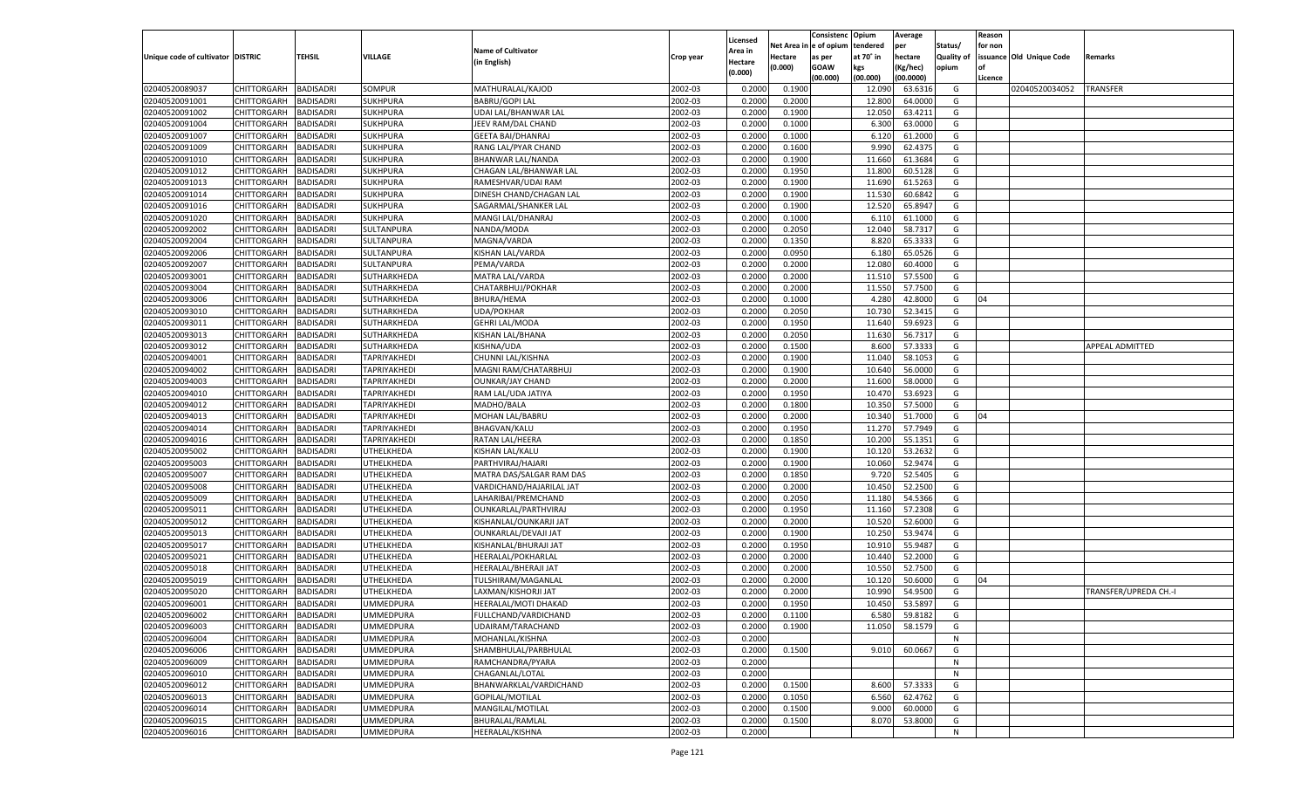|                                   |                                      |                  |                                      |                           |                    |                     |            | Consistenc   | Opium     | Average       |                   | Reason  |                          |                       |
|-----------------------------------|--------------------------------------|------------------|--------------------------------------|---------------------------|--------------------|---------------------|------------|--------------|-----------|---------------|-------------------|---------|--------------------------|-----------------------|
|                                   |                                      |                  |                                      | <b>Name of Cultivator</b> |                    | Licensed<br>Area in | Net Area i | n e of opium | tendered  | per           | Status/           | for non |                          |                       |
| Unique code of cultivator DISTRIC |                                      | TEHSIL           | <b>VILLAGE</b>                       | (in English)              | Crop year          | Hectare             | Hectare    | as per       | at 70° in | hectare       | <b>Quality of</b> |         | issuance Old Unique Code | Remarks               |
|                                   |                                      |                  |                                      |                           |                    | (0.000)             | (0.000)    | <b>GOAW</b>  | kgs       | (Kg/hec)      | opium             |         |                          |                       |
|                                   |                                      |                  |                                      |                           |                    |                     |            | (00.000)     | (00.000)  | (00.0000)     |                   | Licence |                          |                       |
| 02040520089037                    | CHITTORGARH                          | <b>BADISADRI</b> | SOMPUR                               | MATHURALAL/KAJOD          | 2002-03            | 0.2000              | 0.1900     |              | 12.090    | 63.6316       | G                 |         | 02040520034052           | <b>TRANSFER</b>       |
| 02040520091001                    | CHITTORGARH                          | BADISADRI        | <b>SUKHPURA</b>                      | <b>BABRU/GOPI LAL</b>     | 2002-03            | 0.2000              | 0.2000     |              | 12.800    | 64.0000       | G                 |         |                          |                       |
| 02040520091002                    | CHITTORGARH                          | BADISADRI        | <b>SUKHPURA</b>                      | UDAI LAL/BHANWAR LAL      | 2002-03            | 0.2000              | 0.1900     |              | 12.050    | 63.4211       | G                 |         |                          |                       |
| 02040520091004                    | CHITTORGARH                          | BADISADRI        | <b>SUKHPURA</b>                      | JEEV RAM/DAL CHAND        | 2002-03            | 0.2000              | 0.1000     |              | 6.300     | 63.0000       | G                 |         |                          |                       |
| 02040520091007                    | CHITTORGARH                          | BADISADRI        | SUKHPURA                             | <b>GEETA BAI/DHANRAJ</b>  | 2002-03            | 0.2000              | 0.1000     |              | 6.120     | 61.2000       | G                 |         |                          |                       |
| 02040520091009                    | CHITTORGARH                          | BADISADRI        | SUKHPURA                             | RANG LAL/PYAR CHAND       | 2002-03            | 0.2000              | 0.1600     |              | 9.990     | 62.4375       | G                 |         |                          |                       |
| 02040520091010                    | CHITTORGARH                          | BADISADRI        | <b>SUKHPURA</b>                      | BHANWAR LAL/NANDA         | 2002-03            | 0.2000              | 0.1900     |              | 11.660    | 61.3684       | G                 |         |                          |                       |
| 02040520091012                    | CHITTORGARH                          | BADISADRI        | <b>SUKHPURA</b>                      | CHAGAN LAL/BHANWAR LAL    | 2002-03            | 0.2000              | 0.1950     |              | 11.800    | 60.5128       | G                 |         |                          |                       |
| 02040520091013                    | CHITTORGARH                          | BADISADRI        | SUKHPURA                             | RAMESHVAR/UDAI RAM        | 2002-03            | 0.2000              | 0.1900     |              | 11.690    | 61.5263       | G                 |         |                          |                       |
| 02040520091014                    | CHITTORGARH                          | BADISADRI        | SUKHPURA                             | DINESH CHAND/CHAGAN LAL   | 2002-03            | 0.2000              | 0.1900     |              | 11.530    | 60.6842       | G                 |         |                          |                       |
| 02040520091016                    | CHITTORGARH                          | BADISADRI        | <b>SUKHPURA</b>                      | SAGARMAL/SHANKER LAL      | 2002-03            | 0.2000              | 0.1900     |              | 12.520    | 65.8947       | G                 |         |                          |                       |
| 02040520091020                    | CHITTORGARH                          | BADISADRI        | <b>SUKHPURA</b>                      | MANGI LAL/DHANRAJ         | 2002-03            | 0.2000              | 0.1000     |              | 6.11      | 61.1000       | G                 |         |                          |                       |
| 02040520092002                    | CHITTORGARH                          | <b>BADISADRI</b> | SULTANPURA                           | NANDA/MODA                | 2002-03            | 0.2000              | 0.2050     |              | 12.040    | 58.7317       | G                 |         |                          |                       |
| 02040520092004                    | CHITTORGARH                          | <b>BADISADRI</b> | SULTANPURA                           | MAGNA/VARDA               | 2002-03            | 0.2000              | 0.1350     |              | 8.820     | 65.3333       | G                 |         |                          |                       |
| 02040520092006                    | CHITTORGARH                          | <b>BADISADRI</b> | SULTANPURA                           | KISHAN LAL/VARDA          | 2002-03            | 0.2000              | 0.0950     |              | 6.180     | 65.0526       | G                 |         |                          |                       |
| 02040520092007                    | CHITTORGARH                          | BADISADRI        | SULTANPURA                           | PEMA/VARDA                | 2002-03            | 0.2000              | 0.2000     |              | 12.080    | 60.4000       | G                 |         |                          |                       |
| 02040520093001                    | CHITTORGARH                          | <b>BADISADRI</b> | SUTHARKHEDA                          | MATRA LAL/VARDA           | 2002-03            | 0.2000              | 0.2000     |              | 11.510    | 57.5500       | G                 |         |                          |                       |
| 02040520093004                    | CHITTORGARH                          | <b>BADISADRI</b> | SUTHARKHEDA                          | CHATARBHUJ/POKHAR         | 2002-03            | 0.2000              | 0.2000     |              | 11.550    | 57.7500       | G                 |         |                          |                       |
| 02040520093006                    | CHITTORGARH                          | <b>BADISADRI</b> | SUTHARKHEDA                          | <b>BHURA/HEMA</b>         | 2002-03            | 0.2000              | 0.1000     |              | 4.280     | 42.8000       | G                 | 04      |                          |                       |
| 02040520093010                    | CHITTORGARH                          | BADISADRI        | SUTHARKHEDA                          | <b>UDA/POKHAR</b>         | 2002-03            | 0.2000              | 0.2050     |              | 10.730    | 52.3415       | G                 |         |                          |                       |
| 02040520093011                    | CHITTORGARH                          | <b>BADISADRI</b> | SUTHARKHEDA                          | <b>GEHRI LAL/MODA</b>     | 2002-03            | 0.2000              | 0.1950     |              | 11.640    | 59.6923       | G                 |         |                          |                       |
| 02040520093013                    | CHITTORGARH                          | <b>BADISADRI</b> | SUTHARKHEDA                          | KISHAN LAL/BHANA          | 2002-03            | 0.2000              | 0.2050     |              | 11.630    | 56.7317       | G                 |         |                          |                       |
| 02040520093012                    | CHITTORGARH                          | <b>BADISADRI</b> | SUTHARKHEDA                          | KISHNA/UDA                | 2002-03            | 0.2000              | 0.1500     |              | 8.600     | 57.3333       | G                 |         |                          | APPEAL ADMITTED       |
| 02040520094001                    | CHITTORGARH                          | BADISADRI        | TAPRIYAKHEDI                         | CHUNNI LAL/KISHNA         | 2002-03            | 0.2000              | 0.1900     |              | 11.040    | 58.1053       | G                 |         |                          |                       |
| 02040520094002                    | CHITTORGARH                          | <b>BADISADRI</b> | TAPRIYAKHEDI                         | MAGNI RAM/CHATARBHUJ      | 2002-03            | 0.2000              | 0.1900     |              | 10.640    | 56.0000       | G                 |         |                          |                       |
| 02040520094003                    | CHITTORGARH                          | <b>BADISADRI</b> | TAPRIYAKHEDI                         | <b>OUNKAR/JAY CHAND</b>   | 2002-03            | 0.2000              | 0.2000     |              | 11.600    | 58.0000       | G                 |         |                          |                       |
| 02040520094010                    | CHITTORGARH                          | <b>BADISADRI</b> | <b>TAPRIYAKHEDI</b>                  | RAM LAL/UDA JATIYA        | 2002-03            | 0.2000              | 0.1950     |              | 10.470    | 53.6923       | G                 |         |                          |                       |
| 02040520094012                    | CHITTORGARH                          | BADISADRI        | TAPRIYAKHEDI                         | MADHO/BALA                | 2002-03            | 0.2000              | 0.1800     |              | 10.350    | 57.5000       | G                 |         |                          |                       |
| 02040520094013                    | CHITTORGARH                          | <b>BADISADRI</b> | TAPRIYAKHEDI                         | MOHAN LAL/BABRU           | 2002-03            | 0.2000              | 0.2000     |              | 10.340    | 51.7000       | G                 | 04      |                          |                       |
| 02040520094014                    | CHITTORGARH                          | <b>BADISADRI</b> | TAPRIYAKHEDI                         | <b>BHAGVAN/KALU</b>       | 2002-03            | 0.2000              | 0.1950     |              | 11.270    | 57.7949       | G                 |         |                          |                       |
| 02040520094016                    | CHITTORGARH                          | <b>BADISADRI</b> | TAPRIYAKHEDI                         | RATAN LAL/HEERA           | 2002-03            | 0.2000              | 0.1850     |              | 10.200    | 55.1351       | G                 |         |                          |                       |
| 02040520095002                    | CHITTORGARH                          | <b>BADISADRI</b> | UTHELKHEDA                           | KISHAN LAL/KALU           | 2002-03            | 0.2000              | 0.1900     |              | 10.120    | 53.2632       | G                 |         |                          |                       |
| 02040520095003                    | CHITTORGARH                          | <b>BADISADRI</b> | UTHELKHEDA                           | PARTHVIRAJ/HAJARI         | 2002-03            | 0.2000              | 0.1900     |              | 10.060    | 52.9474       | G                 |         |                          |                       |
| 02040520095007                    | CHITTORGARH                          | <b>BADISADRI</b> | UTHELKHEDA                           | MATRA DAS/SALGAR RAM DAS  | 2002-03            | 0.2000              | 0.1850     |              | 9.720     | 52.5405       | G                 |         |                          |                       |
| 02040520095008                    | CHITTORGARH                          | <b>BADISADRI</b> | UTHELKHEDA                           | VARDICHAND/HAJARILAL JAT  | 2002-03            | 0.2000              | 0.2000     |              | 10.450    | 52.2500       | G                 |         |                          |                       |
| 02040520095009                    | CHITTORGARH                          | <b>BADISADRI</b> | UTHELKHEDA                           | LAHARIBAI/PREMCHAND       | 2002-03            | 0.2000              | 0.2050     |              | 11.180    | 54.5366       | G                 |         |                          |                       |
| 02040520095011                    | CHITTORGARH                          | <b>BADISADRI</b> | UTHELKHEDA                           | OUNKARLAL/PARTHVIRAJ      | 2002-03            | 0.2000              | 0.1950     |              | 11.160    | 57.2308       | G                 |         |                          |                       |
| 02040520095012                    | CHITTORGARH                          | <b>BADISADRI</b> | UTHELKHEDA                           | KISHANLAL/OUNKARJI JAT    | 2002-03            | 0.2000              | 0.2000     |              | 10.520    | 52.6000       | G                 |         |                          |                       |
| 02040520095013                    | CHITTORGARH                          | <b>BADISADRI</b> | UTHELKHEDA                           | OUNKARLAL/DEVAJI JAT      | 2002-03            | 0.2000              | 0.1900     |              | 10.250    | 53.9474       | G                 |         |                          |                       |
| 02040520095017                    | CHITTORGARH                          | <b>BADISADRI</b> | UTHELKHEDA                           | KISHANLAL/BHURAJI JAT     | 2002-03            | 0.2000              | 0.1950     |              | 10.910    | 55.9487       | G                 |         |                          |                       |
| 02040520095021                    | CHITTORGARH                          | <b>BADISADRI</b> | UTHELKHEDA                           | HEERALAL/POKHARLAI        | 2002-03            | 0.2000              | 0.2000     |              | 10.440    | 52.2000       | G                 |         |                          |                       |
| 02040520095018                    | CHITTORGARH                          | <b>BADISADRI</b> | UTHELKHEDA                           | HEERALAL/BHERAJI JAT      | 2002-03            | 0.2000              | 0.2000     |              | 10.550    | 52.7500       | G                 |         |                          |                       |
| 02040520095019                    | CHITTORGARH                          | <b>BADISADRI</b> | UTHELKHEDA                           | TULSHIRAM/MAGANLAI        | 2002-03            | 0.2000              | 0.2000     |              | 10.120    | 50.6000       | G                 | 04      |                          |                       |
| 02040520095020                    | CHITTORGARH                          | BADISADRI        | UTHELKHEDA                           | LAXMAN/KISHORJI JAT       | 2002-03            | 0.2000              | 0.2000     |              | 10.990    | 54.9500       | G                 |         |                          | TRANSFER/UPREDA CH.-I |
| 02040520096001                    |                                      | <b>BADISADRI</b> |                                      |                           | 2002-03            | 0.2000              | 0.1950     |              | 10.450    | 53.5897       | G                 |         |                          |                       |
|                                   | CHITTORGARH<br>CHITTORGARH BADISADRI |                  | <b>UMMEDPURA</b><br><b>UMMEDPURA</b> | HEERALAL/MOTI DHAKAD      |                    |                     |            |              |           |               |                   |         |                          |                       |
| 02040520096002                    |                                      |                  |                                      | FULLCHAND/VARDICHAND      | 2002-03<br>2002-03 | 0.2000              | 0.1100     |              |           | 6.580 59.8182 | G                 |         |                          |                       |
| 02040520096003                    | <b>CHITTORGARH</b>                   | <b>BADISADRI</b> | <b>UMMEDPURA</b>                     | UDAIRAM/TARACHAND         |                    | 0.2000              | 0.1900     |              | 11.050    | 58.1579       | G                 |         |                          |                       |
| 02040520096004                    | <b>CHITTORGARH</b>                   | <b>BADISADRI</b> | <b>UMMEDPURA</b>                     | MOHANLAL/KISHNA           | 2002-03            | 0.2000              |            |              |           |               | N                 |         |                          |                       |
| 02040520096006                    | CHITTORGARH                          | <b>BADISADRI</b> | <b>UMMEDPURA</b>                     | SHAMBHULAL/PARBHULAL      | 2002-03            | 0.2000              | 0.1500     |              | 9.010     | 60.0667       | G                 |         |                          |                       |
| 02040520096009                    | <b>CHITTORGARH</b>                   | <b>BADISADRI</b> | <b>UMMEDPURA</b>                     | RAMCHANDRA/PYARA          | 2002-03            | 0.2000              |            |              |           |               | N                 |         |                          |                       |
| 02040520096010                    | CHITTORGARH                          | <b>BADISADRI</b> | <b>UMMEDPURA</b>                     | CHAGANLAL/LOTAL           | 2002-03            | 0.2000              |            |              |           |               | N                 |         |                          |                       |
| 02040520096012                    | CHITTORGARH                          | <b>BADISADRI</b> | <b>UMMEDPURA</b>                     | BHANWARKLAL/VARDICHAND    | 2002-03            | 0.2000              | 0.1500     |              | 8.600     | 57.3333       | G                 |         |                          |                       |
| 02040520096013                    | <b>CHITTORGARH</b>                   | <b>BADISADRI</b> | <b>UMMEDPURA</b>                     | GOPILAL/MOTILAL           | 2002-03            | 0.2000              | 0.1050     |              | 6.560     | 62.4762       | G                 |         |                          |                       |
| 02040520096014                    | CHITTORGARH                          | <b>BADISADRI</b> | <b>UMMEDPURA</b>                     | MANGILAL/MOTILAL          | 2002-03            | 0.2000              | 0.1500     |              | 9.000     | 60.0000       | G                 |         |                          |                       |
| 02040520096015                    | CHITTORGARH                          | <b>BADISADRI</b> | <b>UMMEDPURA</b>                     | BHURALAL/RAMLAL           | 2002-03            | 0.2000              | 0.1500     |              | 8.070     | 53.8000       | G                 |         |                          |                       |
| 02040520096016                    | <b>CHITTORGARH</b>                   | <b>BADISADRI</b> | <b>UMMEDPURA</b>                     | HEERALAL/KISHNA           | 2002-03            | 0.2000              |            |              |           |               | N                 |         |                          |                       |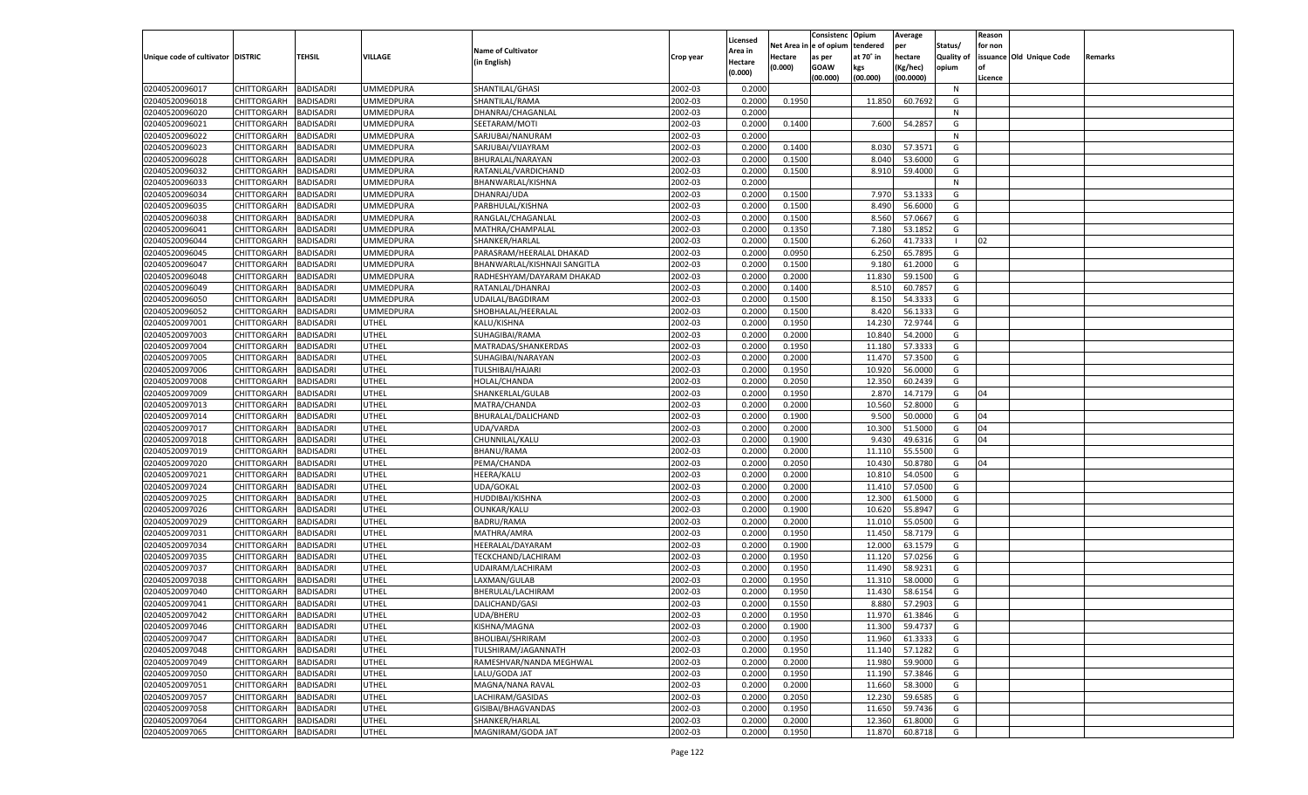|                                   |                    |                  |                  |                              |                    | Licensed |                  | Consistenc Opium       |           | Average            |                   | Reason  |                          |                |
|-----------------------------------|--------------------|------------------|------------------|------------------------------|--------------------|----------|------------------|------------------------|-----------|--------------------|-------------------|---------|--------------------------|----------------|
|                                   |                    |                  |                  | <b>Name of Cultivator</b>    |                    | Area in  |                  | Net Area in e of opium | tendered  | per                | Status/           | for non |                          |                |
| Unique code of cultivator DISTRIC |                    | TEHSIL           | <b>VILLAGE</b>   | (in English)                 | Crop year          | Hectare  | Hectare          | as per                 | at 70° in | hectare            | <b>Quality of</b> |         | issuance Old Unique Code | <b>Remarks</b> |
|                                   |                    |                  |                  |                              |                    | (0.000)  | (0.000)          | <b>GOAW</b>            | kgs       | (Kg/hec)           | opium             |         |                          |                |
|                                   |                    |                  |                  |                              |                    |          |                  | (00.000)               | (00.000)  | (00.0000)          |                   | Licence |                          |                |
| 02040520096017                    | CHITTORGARH        | <b>BADISADRI</b> | <b>UMMEDPURA</b> | SHANTILAL/GHASI              | 2002-03            | 0.2000   |                  |                        |           |                    | N                 |         |                          |                |
| 02040520096018                    | CHITTORGARH        | <b>BADISADRI</b> | UMMEDPURA        | SHANTILAL/RAMA               | 2002-03            | 0.2000   | 0.1950           |                        | 11.850    | 60.7692            | G                 |         |                          |                |
| 02040520096020                    | CHITTORGARH        | <b>BADISADRI</b> | UMMEDPURA        | DHANRAJ/CHAGANLAL            | 2002-03            | 0.2000   |                  |                        |           |                    | N                 |         |                          |                |
| 02040520096021                    | CHITTORGARH        | <b>BADISADRI</b> | <b>UMMEDPURA</b> | SEETARAM/MOTI                | 2002-03            | 0.2000   | 0.1400           |                        | 7.600     | 54.2857            | G                 |         |                          |                |
| 02040520096022                    | CHITTORGARH        | <b>BADISADRI</b> | UMMEDPURA        | SARJUBAI/NANURAM             | 2002-03            | 0.2000   |                  |                        |           |                    | N                 |         |                          |                |
| 02040520096023                    | CHITTORGARH        | <b>BADISADRI</b> | UMMEDPURA        | SARJUBAI/VIJAYRAM            | 2002-03            | 0.2000   | 0.1400           |                        | 8.030     | 57.3571            | G                 |         |                          |                |
| 02040520096028                    | CHITTORGARH        | <b>BADISADRI</b> | UMMEDPURA        | BHURALAL/NARAYAN             | 2002-03            | 0.2000   | 0.1500           |                        | 8.040     | 53.6000            | G                 |         |                          |                |
| 02040520096032                    | CHITTORGARH        | <b>BADISADRI</b> | UMMEDPURA        | RATANLAL/VARDICHAND          | 2002-03            | 0.2000   | 0.1500           |                        | 8.910     | 59.4000            | G                 |         |                          |                |
| 02040520096033                    | CHITTORGARH        | <b>BADISADRI</b> | UMMEDPURA        | BHANWARLAL/KISHNA            | 2002-03            | 0.2000   |                  |                        |           |                    | N                 |         |                          |                |
| 02040520096034                    | CHITTORGARH        | <b>BADISADRI</b> | UMMEDPURA        | DHANRAJ/UDA                  | 2002-03            | 0.2000   | 0.1500           |                        | 7.970     | 53.1333            | G                 |         |                          |                |
| 02040520096035                    | CHITTORGARH        | <b>BADISADRI</b> | UMMEDPURA        | PARBHULAL/KISHNA             | 2002-03            | 0.2000   | 0.1500           |                        | 8.490     | 56.6000            | G                 |         |                          |                |
| 02040520096038                    | CHITTORGARH        | <b>BADISADRI</b> | UMMEDPURA        | RANGLAL/CHAGANLAL            | 2002-03            | 0.2000   | 0.1500           |                        | 8.560     | 57.0667            | G                 |         |                          |                |
| 02040520096041                    | CHITTORGARH        | BADISADRI        | UMMEDPURA        | MATHRA/CHAMPALAL             | 2002-03            | 0.2000   | 0.1350           |                        | 7.180     | 53.1852            | G                 |         |                          |                |
| 02040520096044                    | CHITTORGARH        | BADISADRI        | UMMEDPURA        | SHANKER/HARLAL               | 2002-03            | 0.2000   | 0.1500           |                        | 6.260     | 41.7333            | - 1               | 02      |                          |                |
| 02040520096045                    | CHITTORGARH        | BADISADRI        | JMMEDPURA        | PARASRAM/HEERALAL DHAKAD     | 2002-03            | 0.2000   | 0.0950           |                        | 6.250     | 65.7895            | G                 |         |                          |                |
| 02040520096047                    | CHITTORGARH        | BADISADRI        | UMMEDPURA        | BHANWARLAL/KISHNAJI SANGITLA | 2002-03            | 0.2000   | 0.1500           |                        | 9.180     | 61.2000            | G                 |         |                          |                |
| 02040520096048                    | CHITTORGARH        | BADISADRI        | UMMEDPURA        | RADHESHYAM/DAYARAM DHAKAD    | 2002-03            | 0.2000   | 0.2000           |                        | 11.830    | 59.1500            | G                 |         |                          |                |
| 02040520096049                    | CHITTORGARH        | BADISADRI        | UMMEDPURA        | RATANLAL/DHANRAJ             | 2002-03            | 0.2000   | 0.1400           |                        | 8.510     | 60.7857            | G                 |         |                          |                |
| 02040520096050                    | CHITTORGARH        | BADISADRI        | JMMEDPURA        | UDAILAL/BAGDIRAM             | 2002-03            | 0.2000   | 0.1500           |                        | 8.150     | 54.3333            | G                 |         |                          |                |
| 02040520096052                    | CHITTORGARH        | BADISADRI        | UMMEDPURA        | SHOBHALAL/HEERALAL           | 2002-03            | 0.2000   | 0.1500           |                        | 8.420     | 56.1333            | G                 |         |                          |                |
| 02040520097001                    | CHITTORGARH        | BADISADRI        | UTHEL            | KALU/KISHNA                  | 2002-03            | 0.2000   | 0.1950           |                        | 14.230    | 72.9744            | G                 |         |                          |                |
| 02040520097003                    | CHITTORGARH        | BADISADRI        | JTHEL            | SUHAGIBAI/RAMA               | 2002-03            | 0.2000   | 0.2000           |                        | 10.840    | 54.2000            | G                 |         |                          |                |
| 02040520097004                    | CHITTORGARH        | BADISADRI        | JTHEL            | MATRADAS/SHANKERDAS          | 2002-03            | 0.2000   | 0.1950           |                        | 11.180    | 57.3333            | G                 |         |                          |                |
| 02040520097005                    | CHITTORGARH        | BADISADRI        | UTHEL            | SUHAGIBAI/NARAYAN            | 2002-03            | 0.2000   | 0.2000           |                        | 11.470    | 57.3500            | G                 |         |                          |                |
| 02040520097006                    | CHITTORGARH        | BADISADRI        | UTHEL            | <b>TULSHIBAI/HAJARI</b>      | 2002-03            | 0.2000   | 0.1950           |                        | 10.920    | 56.0000            | G                 |         |                          |                |
| 02040520097008                    | CHITTORGARH        | BADISADRI        | UTHEL            | HOLAL/CHANDA                 | 2002-03            | 0.2000   | 0.2050           |                        | 12.350    | 60.2439            | G                 |         |                          |                |
| 02040520097009                    | CHITTORGARH        | BADISADRI        | JTHEL            | SHANKERLAL/GULAB             | 2002-03            | 0.2000   | 0.1950           |                        | 2.870     | 14.7179            | G                 | 04      |                          |                |
| 02040520097013                    | CHITTORGARH        | BADISADRI        | UTHEL            | MATRA/CHANDA                 | 2002-03            | 0.2000   | 0.2000           |                        | 10.560    | 52.8000            | G                 |         |                          |                |
| 02040520097014                    | CHITTORGARH        | <b>BADISADRI</b> | UTHEL            | BHURALAL/DALICHAND           | 2002-03            | 0.2000   | 0.1900           |                        | 9.500     | 50.0000            | G                 | 04      |                          |                |
| 02040520097017                    | CHITTORGARH        | BADISADRI        | UTHEL            | UDA/VARDA                    | 2002-03            | 0.2000   | 0.2000           |                        | 10.300    | 51.5000            | G                 | 04      |                          |                |
| 02040520097018                    | CHITTORGARH        | BADISADRI        | UTHEL            | CHUNNILAL/KALU               | 2002-03            | 0.2000   | 0.1900           |                        | 9.430     | 49.6316            | G                 | 04      |                          |                |
| 02040520097019                    | CHITTORGARH        | BADISADRI        | UTHEL            | <b>BHANU/RAMA</b>            | 2002-03            | 0.2000   | 0.2000           |                        | 11.110    | 55.5500            | G                 |         |                          |                |
| 02040520097020                    | CHITTORGARH        | BADISADRI        | UTHEL            | PEMA/CHANDA                  | 2002-03            | 0.2000   | 0.2050           |                        | 10.430    | 50.8780            | G                 | 04      |                          |                |
| 02040520097021                    | CHITTORGARH        | BADISADRI        | UTHEL            | <b>HEERA/KALU</b>            | 2002-03            | 0.2000   | 0.2000           |                        | 10.810    | 54.0500            | G                 |         |                          |                |
| 02040520097024                    | CHITTORGARH        | BADISADRI        | UTHEL            | UDA/GOKAL                    | 2002-03            | 0.2000   | 0.2000           |                        | 11.410    | 57.0500            | G                 |         |                          |                |
| 02040520097025                    | CHITTORGARH        | BADISADRI        | UTHEL            | HUDDIBAI/KISHNA              | 2002-03            | 0.2000   | 0.2000           |                        | 12.300    | 61.5000            | G                 |         |                          |                |
| 02040520097026                    | CHITTORGARH        | BADISADRI        | UTHEL            | OUNKAR/KALU                  | 2002-03            | 0.2000   | 0.1900           |                        | 10.620    | 55.8947            | G                 |         |                          |                |
| 02040520097029                    | CHITTORGARH        | BADISADRI        | UTHEL            | <b>BADRU/RAMA</b>            | 2002-03            | 0.2000   | 0.2000           |                        | 11.010    | 55.0500            | G                 |         |                          |                |
| 02040520097031                    | CHITTORGARH        | BADISADRI        | UTHEL            | MATHRA/AMRA                  | 2002-03            | 0.2000   | 0.1950           |                        | 11.450    | 58.7179            | G                 |         |                          |                |
| 02040520097034                    | CHITTORGARH        | BADISADRI        | UTHEL            | HEERALAL/DAYARAM             | 2002-03            | 0.2000   | 0.1900           |                        | 12.000    | 63.1579            | G                 |         |                          |                |
| 02040520097035                    | CHITTORGARH        | BADISADRI        | UTHEL            | TECKCHAND/LACHIRAM           | 2002-03            | 0.2000   | 0.1950           |                        | 11.120    | 57.0256            | G                 |         |                          |                |
| 02040520097037                    | CHITTORGARH        | BADISADRI        | UTHEL            | UDAIRAM/LACHIRAM             | 2002-03            | 0.2000   | 0.1950           |                        | 11.490    | 58.9231            | G                 |         |                          |                |
| 02040520097038                    | CHITTORGARH        | BADISADRI        | UTHEL            | LAXMAN/GULAB                 | 2002-03            | 0.2000   | 0.1950           |                        | 11.310    | 58.0000            | G                 |         |                          |                |
|                                   | CHITTORGARH        |                  |                  |                              |                    | 0.2000   |                  |                        |           |                    |                   |         |                          |                |
| 02040520097040                    | CHITTORGARH        | BADISADRI        | UTHEL            | BHERULAL/LACHIRAM            | 2002-03<br>2002-03 |          | 0.1950<br>0.1550 |                        | 11.430    | 58.6154<br>57.2903 | G<br>G            |         |                          |                |
| 02040520097041                    |                    | BADISADRI        | UTHEL            | DALICHAND/GASI               |                    | 0.2000   |                  |                        | 8.880     |                    |                   |         |                          |                |
| 02040520097042                    | CHITTORGARH        | <b>BADISADRI</b> | UTHEL            | UDA/BHERU                    | 2002-03            | 0.2000   | 0.1950           |                        | 11.970    | 61.3846            | G                 |         |                          |                |
| 02040520097046                    | CHITTORGARH        | <b>BADISADRI</b> | UTHEL            | KISHNA/MAGNA                 | 2002-03            | 0.2000   | 0.1900           |                        | 11.300    | 59.4737            | G                 |         |                          |                |
| 02040520097047                    | <b>CHITTORGARH</b> | <b>BADISADRI</b> | UTHEL            | BHOLIBAI/SHRIRAM             | 2002-03            | 0.2000   | 0.1950           |                        | 11.960    | 61.3333            | G                 |         |                          |                |
| 02040520097048                    | <b>CHITTORGARH</b> | <b>BADISADRI</b> | UTHEL            | TULSHIRAM/JAGANNATH          | 2002-03            | 0.2000   | 0.1950           |                        | 11.140    | 57.1282            | G                 |         |                          |                |
| 02040520097049                    | <b>CHITTORGARH</b> | <b>BADISADRI</b> | UTHEL            | RAMESHVAR/NANDA MEGHWAL      | 2002-03            | 0.2000   | 0.2000           |                        | 11.980    | 59.9000            | G                 |         |                          |                |
| 02040520097050                    | <b>CHITTORGARH</b> | <b>BADISADRI</b> | UTHEL            | LALU/GODA JAT                | 2002-03            | 0.2000   | 0.1950           |                        | 11.190    | 57.3846            | G                 |         |                          |                |
| 02040520097051                    | <b>CHITTORGARH</b> | <b>BADISADRI</b> | UTHEL            | MAGNA/NANA RAVAL             | 2002-03            | 0.2000   | 0.2000           |                        | 11.660    | 58.3000            | G                 |         |                          |                |
| 02040520097057                    | <b>CHITTORGARH</b> | <b>BADISADRI</b> | UTHEL            | LACHIRAM/GASIDAS             | 2002-03            | 0.2000   | 0.2050           |                        | 12.230    | 59.6585            | G                 |         |                          |                |
| 02040520097058                    | <b>CHITTORGARH</b> | <b>BADISADRI</b> | UTHEL            | GISIBAI/BHAGVANDAS           | 2002-03            | 0.2000   | 0.1950           |                        | 11.650    | 59.7436            | G                 |         |                          |                |
| 02040520097064                    | <b>CHITTORGARH</b> | <b>BADISADRI</b> | UTHEL            | SHANKER/HARLAL               | 2002-03            | 0.2000   | 0.2000           |                        | 12.360    | 61.8000            | G                 |         |                          |                |
| 02040520097065                    | <b>CHITTORGARH</b> | <b>BADISADRI</b> | UTHEL            | MAGNIRAM/GODA JAT            | 2002-03            | 0.2000   | 0.1950           |                        | 11.870    | 60.8718            | G                 |         |                          |                |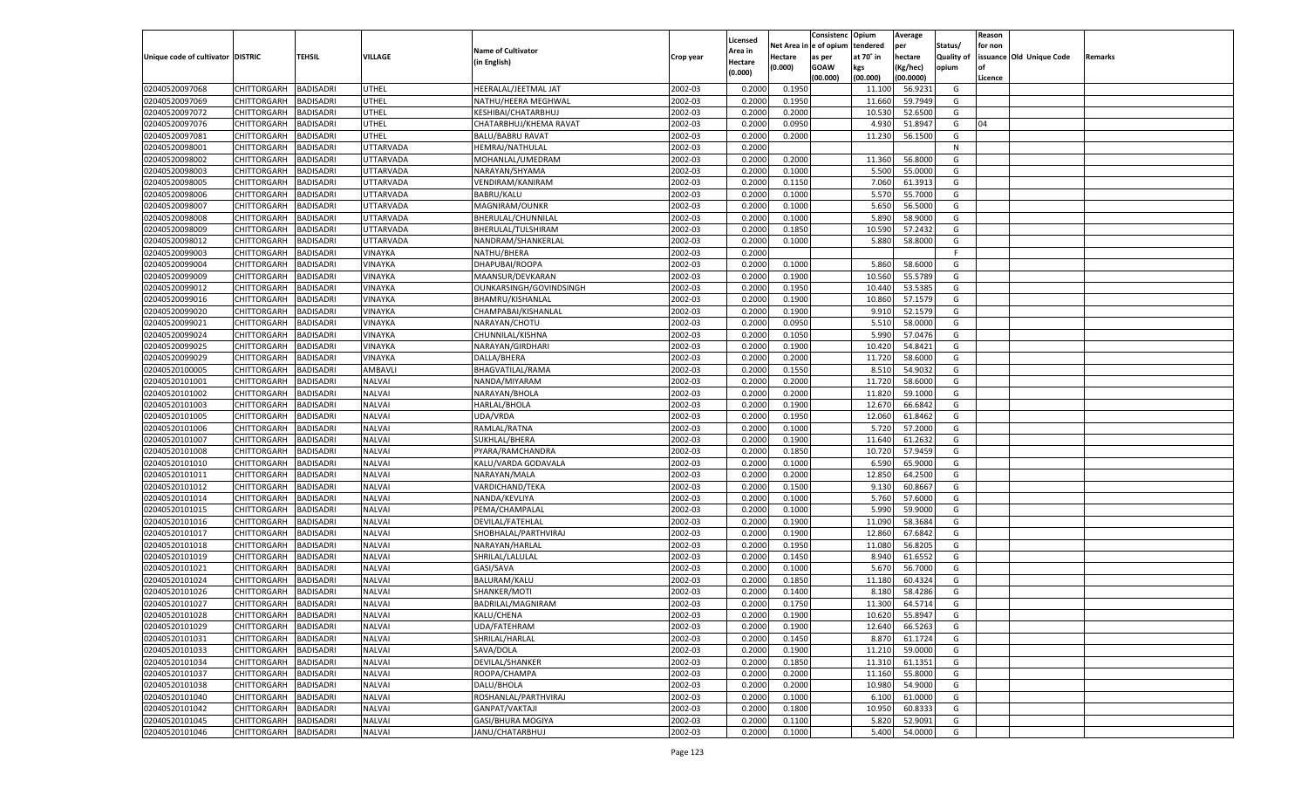|                                   |                       |                  |                  |                                        |           |                    |                  | Consistenc Opium       |           | Average   |                   | Reason  |                          |                |
|-----------------------------------|-----------------------|------------------|------------------|----------------------------------------|-----------|--------------------|------------------|------------------------|-----------|-----------|-------------------|---------|--------------------------|----------------|
|                                   |                       |                  |                  | <b>Name of Cultivator</b>              |           | Licensed           |                  | Net Area in e of opium | tendered  | per       | Status/           | for non |                          |                |
| Unique code of cultivator DISTRIC |                       | TEHSIL           | VILLAGE          |                                        | Crop year | Area in            | Hectare          | as per                 | at 70° in | hectare   | <b>Quality of</b> |         | issuance Old Unique Code | <b>Remarks</b> |
|                                   |                       |                  |                  | (in English)                           |           | Hectare<br>(0.000) | (0.000)          | <b>GOAW</b>            | kgs       | (Kg/hec)  | opium             |         |                          |                |
|                                   |                       |                  |                  |                                        |           |                    |                  | (00.000)               | (00.000)  | (00.0000) |                   | Licence |                          |                |
| 02040520097068                    | CHITTORGARH           | <b>BADISADRI</b> | UTHEL            | HEERALAL/JEETMAL JAT                   | 2002-03   | 0.2000             | 0.1950           |                        | 11.100    | 56.9231   | G                 |         |                          |                |
| 02040520097069                    | CHITTORGARH           | <b>BADISADRI</b> | UTHEL            | NATHU/HEERA MEGHWAL                    | 2002-03   | 0.2000             | 0.1950           |                        | 11.660    | 59.7949   | G                 |         |                          |                |
| 02040520097072                    | CHITTORGARH           | <b>BADISADRI</b> | UTHEL            | <b>KESHIBAI/CHATARBHUJ</b>             | 2002-03   | 0.2000             | 0.2000           |                        | 10.530    | 52.6500   | G                 |         |                          |                |
| 02040520097076                    | CHITTORGARH           | <b>BADISADRI</b> | UTHEL            | CHATARBHUJ/KHEMA RAVAT                 | 2002-03   | 0.2000             | 0.0950           |                        | 4.930     | 51.8947   | G                 | 04      |                          |                |
| 02040520097081                    | CHITTORGARH           | <b>BADISADRI</b> | UTHEL            | <b>BALU/BABRU RAVAT</b>                | 2002-03   | 0.2000             | 0.2000           |                        | 11.230    | 56.1500   | G                 |         |                          |                |
| 02040520098001                    | CHITTORGARH           | <b>BADISADRI</b> | UTTARVADA        | HEMRAJ/NATHULAL                        | 2002-03   | 0.2000             |                  |                        |           |           | N                 |         |                          |                |
| 02040520098002                    | CHITTORGARH           | <b>BADISADRI</b> | UTTARVADA        | MOHANLAL/UMEDRAM                       | 2002-03   | 0.2000             | 0.2000           |                        | 11.360    | 56.8000   | G                 |         |                          |                |
| 02040520098003                    | CHITTORGARH           | <b>BADISADRI</b> | UTTARVADA        | NARAYAN/SHYAMA                         | 2002-03   | 0.2000             | 0.1000           |                        | 5.500     | 55.0000   | G                 |         |                          |                |
| 02040520098005                    | CHITTORGARH           | <b>BADISADRI</b> | UTTARVADA        | VENDIRAM/KANIRAM                       | 2002-03   | 0.2000             | 0.1150           |                        | 7.060     | 61.3913   | G                 |         |                          |                |
| 02040520098006                    | CHITTORGARH           | <b>BADISADRI</b> | UTTARVADA        | <b>BABRU/KALU</b>                      | 2002-03   | 0.2000             | 0.1000           |                        | 5.570     | 55.7000   | G                 |         |                          |                |
| 02040520098007                    | CHITTORGARH           | <b>BADISADRI</b> | UTTARVADA        | MAGNIRAM/OUNKR                         | 2002-03   | 0.2000             | 0.1000           |                        | 5.650     | 56.5000   | G                 |         |                          |                |
| 02040520098008                    | CHITTORGARH           | <b>BADISADRI</b> | UTTARVADA        | BHERULAL/CHUNNILAL                     | 2002-03   | 0.2000             | 0.1000           |                        | 5.890     | 58.9000   | G                 |         |                          |                |
| 02040520098009                    | CHITTORGARH           | BADISADRI        | UTTARVADA        | BHERULAL/TULSHIRAM                     | 2002-03   | 0.2000             | 0.1850           |                        | 10.590    | 57.2432   | G                 |         |                          |                |
| 02040520098012                    | CHITTORGARH           | BADISADRI        | <b>JTTARVADA</b> | NANDRAM/SHANKERLAL                     | 2002-03   | 0.2000             | 0.1000           |                        | 5.880     | 58.8000   | G                 |         |                          |                |
| 02040520099003                    | CHITTORGARH           | BADISADRI        | VINAYKA          | NATHU/BHERA                            | 2002-03   | 0.2000             |                  |                        |           |           | F.                |         |                          |                |
| 02040520099004                    | CHITTORGARH           | BADISADRI        | VINAYKA          | DHAPUBAI/ROOPA                         | 2002-03   | 0.2000             | 0.1000           |                        | 5.860     | 58.6000   | G                 |         |                          |                |
| 02040520099009                    | CHITTORGARH           | BADISADRI        | VINAYKA          | MAANSUR/DEVKARAN                       | 2002-03   | 0.2000             | 0.1900           |                        | 10.560    | 55.5789   | G                 |         |                          |                |
| 02040520099012                    | CHITTORGARH           | BADISADRI        | VINAYKA          | OUNKARSINGH/GOVINDSINGH                | 2002-03   | 0.2000             | 0.1950           |                        | 10.440    | 53.5385   | G                 |         |                          |                |
| 02040520099016                    | CHITTORGARH           | BADISADRI        | VINAYKA          | BHAMRU/KISHANLAL                       | 2002-03   | 0.2000             | 0.1900           |                        | 10.860    | 57.1579   | G                 |         |                          |                |
| 02040520099020                    | CHITTORGARH           | BADISADRI        | VINAYKA          | CHAMPABAI/KISHANLAL                    | 2002-03   | 0.2000             | 0.1900           |                        | 9.910     | 52.1579   | G                 |         |                          |                |
| 02040520099021                    | CHITTORGARH           | BADISADRI        | VINAYKA          | NARAYAN/CHOTU                          | 2002-03   | 0.2000             | 0.0950           |                        | 5.510     | 58.0000   | G                 |         |                          |                |
| 02040520099024                    | CHITTORGARH           | BADISADRI        | VINAYKA          | CHUNNILAL/KISHNA                       | 2002-03   | 0.2000             | 0.1050           |                        | 5.990     | 57.0476   | G                 |         |                          |                |
| 02040520099025                    | CHITTORGARH           | BADISADRI        | VINAYKA          | NARAYAN/GIRDHARI                       | 2002-03   | 0.2000             | 0.1900           |                        | 10.420    | 54.8421   | G                 |         |                          |                |
|                                   |                       |                  |                  |                                        |           | 0.2000             | 0.2000           |                        |           | 58.6000   | G                 |         |                          |                |
| 02040520099029                    | CHITTORGARH           | BADISADRI        | VINAYKA          | DALLA/BHERA<br><b>BHAGVATILAL/RAMA</b> | 2002-03   |                    |                  |                        | 11.720    |           |                   |         |                          |                |
| 02040520100005                    | CHITTORGARH           | BADISADRI        | AMBAVLI          |                                        | 2002-03   | 0.2000             | 0.1550           |                        | 8.510     | 54.9032   | G                 |         |                          |                |
| 02040520101001                    | CHITTORGARH           | BADISADRI        | NALVAI           | NANDA/MIYARAM                          | 2002-03   | 0.2000             | 0.2000<br>0.2000 |                        | 11.720    | 58.6000   | G                 |         |                          |                |
| 02040520101002                    | CHITTORGARH           | BADISADRI        | NALVAI           | NARAYAN/BHOLA                          | 2002-03   | 0.2000             |                  |                        | 11.820    | 59.1000   | G                 |         |                          |                |
| 02040520101003                    | CHITTORGARH           | BADISADRI        | <b>NALVAI</b>    | HARLAL/BHOLA                           | 2002-03   | 0.2000             | 0.1900           |                        | 12.670    | 66.6842   | G                 |         |                          |                |
| 02040520101005                    | CHITTORGARH           | <b>BADISADRI</b> | <b>NALVAI</b>    | UDA/VRDA                               | 2002-03   | 0.2000             | 0.1950           |                        | 12.060    | 61.8462   | G                 |         |                          |                |
| 02040520101006                    | CHITTORGARH           | BADISADRI        | <b>NALVAI</b>    | RAMLAL/RATNA                           | 2002-03   | 0.2000             | 0.1000           |                        | 5.720     | 57.2000   | G                 |         |                          |                |
| 02040520101007                    | CHITTORGARH           | BADISADRI        | <b>NALVAI</b>    | SUKHLAL/BHERA                          | 2002-03   | 0.2000             | 0.1900           |                        | 11.640    | 61.2632   | G                 |         |                          |                |
| 02040520101008                    | CHITTORGARH           | BADISADRI        | <b>NALVAI</b>    | PYARA/RAMCHANDRA                       | 2002-03   | 0.2000             | 0.1850           |                        | 10.720    | 57.9459   | G                 |         |                          |                |
| 02040520101010                    | CHITTORGARH           | BADISADRI        | <b>NALVAI</b>    | KALU/VARDA GODAVALA                    | 2002-03   | 0.2000             | 0.1000           |                        | 6.590     | 65.9000   | G                 |         |                          |                |
| 02040520101011                    | CHITTORGARH           | BADISADRI        | <b>NALVAI</b>    | NARAYAN/MALA                           | 2002-03   | 0.2000             | 0.2000           |                        | 12.850    | 64.2500   | G                 |         |                          |                |
| 02040520101012                    | CHITTORGARH           | BADISADRI        | <b>NALVAI</b>    | VARDICHAND/TEKA                        | 2002-03   | 0.2000             | 0.1500           |                        | 9.130     | 60.8667   | G                 |         |                          |                |
| 02040520101014                    | CHITTORGARH           | BADISADRI        | <b>NALVAI</b>    | NANDA/KEVLIYA                          | 2002-03   | 0.2000             | 0.1000           |                        | 5.760     | 57.6000   | G                 |         |                          |                |
| 02040520101015                    | CHITTORGARH           | BADISADRI        | <b>NALVAI</b>    | PEMA/CHAMPALAL                         | 2002-03   | 0.2000             | 0.1000           |                        | 5.990     | 59.9000   | G                 |         |                          |                |
| 02040520101016                    | CHITTORGARH           | BADISADRI        | <b>NALVAI</b>    | DEVILAL/FATEHLAL                       | 2002-03   | 0.2000             | 0.1900           |                        | 11.090    | 58.3684   | G                 |         |                          |                |
| 02040520101017                    | CHITTORGARH           | BADISADRI        | <b>NALVAI</b>    | SHOBHALAL/PARTHVIRAJ                   | 2002-03   | 0.2000             | 0.1900           |                        | 12.860    | 67.6842   | G                 |         |                          |                |
| 02040520101018                    | CHITTORGARH           | BADISADRI        | <b>NALVAI</b>    | NARAYAN/HARLAL                         | 2002-03   | 0.2000             | 0.1950           |                        | 11.080    | 56.8205   | G                 |         |                          |                |
| 02040520101019                    | CHITTORGARH           | BADISADRI        | <b>NALVAI</b>    | SHRILAL/LALULAL                        | 2002-03   | 0.2000             | 0.1450           |                        | 8.940     | 61.6552   | G                 |         |                          |                |
| 02040520101021                    | CHITTORGARH           | BADISADRI        | <b>NALVAI</b>    | GASI/SAVA                              | 2002-03   | 0.2000             | 0.1000           |                        | 5.670     | 56.7000   | G                 |         |                          |                |
| 02040520101024                    | CHITTORGARH           | BADISADRI        | <b>NALVAI</b>    | BALURAM/KALU                           | 2002-03   | 0.2000             | 0.1850           |                        | 11.180    | 60.4324   | G                 |         |                          |                |
| 02040520101026                    | CHITTORGARH           | BADISADRI        | <b>NALVAI</b>    | SHANKER/MOTI                           | 2002-03   | 0.2000             | 0.1400           |                        | 8.180     | 58.4286   | G                 |         |                          |                |
| 02040520101027                    | CHITTORGARH           | BADISADRI        | <b>NALVAI</b>    | BADRILAL/MAGNIRAM                      | 2002-03   | 0.2000             | 0.1750           |                        | 11.300    | 64.5714   | G                 |         |                          |                |
| 02040520101028                    | CHITTORGARH BADISADRI |                  | <b>NALVAI</b>    | KALU/CHENA                             | 2002-03   | 0.2000             | 0.1900           |                        | 10.620    | 55.8947   | G                 |         |                          |                |
| 02040520101029                    | CHITTORGARH           | <b>BADISADRI</b> | <b>NALVAI</b>    | UDA/FATEHRAM                           | 2002-03   | 0.2000             | 0.1900           |                        | 12.640    | 66.5263   | G                 |         |                          |                |
| 02040520101031                    | <b>CHITTORGARH</b>    | <b>BADISADRI</b> | <b>NALVAI</b>    | SHRILAL/HARLAL                         | 2002-03   | 0.2000             | 0.1450           |                        | 8.870     | 61.1724   | G                 |         |                          |                |
| 02040520101033                    | <b>CHITTORGARH</b>    | <b>BADISADRI</b> | <b>NALVAI</b>    | SAVA/DOLA                              | 2002-03   | 0.2000             | 0.1900           |                        | 11.210    | 59.0000   | G                 |         |                          |                |
| 02040520101034                    | <b>CHITTORGARH</b>    | <b>BADISADRI</b> | <b>NALVAI</b>    | DEVILAL/SHANKER                        | 2002-03   | 0.2000             | 0.1850           |                        | 11.310    | 61.1351   | G                 |         |                          |                |
| 02040520101037                    | CHITTORGARH           | <b>BADISADRI</b> | <b>NALVAI</b>    | ROOPA/CHAMPA                           | 2002-03   | 0.2000             | 0.2000           |                        | 11.160    | 55.8000   | G                 |         |                          |                |
| 02040520101038                    | <b>CHITTORGARH</b>    | <b>BADISADRI</b> | <b>NALVAI</b>    | DALU/BHOLA                             | 2002-03   | 0.2000             | 0.2000           |                        | 10.980    | 54.9000   | G                 |         |                          |                |
| 02040520101040                    | <b>CHITTORGARH</b>    | <b>BADISADRI</b> | <b>NALVAI</b>    | ROSHANLAL/PARTHVIRAJ                   | 2002-03   | 0.2000             | 0.1000           |                        | 6.100     | 61.0000   | G                 |         |                          |                |
| 02040520101042                    | <b>CHITTORGARH</b>    | <b>BADISADRI</b> | <b>NALVAI</b>    | GANPAT/VAKTAJI                         | 2002-03   | 0.2000             | 0.1800           |                        | 10.950    | 60.8333   | G                 |         |                          |                |
| 02040520101045                    | <b>CHITTORGARH</b>    | <b>BADISADRI</b> | NALVAI           | GASI/BHURA MOGIYA                      | 2002-03   | 0.2000             | 0.1100           |                        | 5.820     | 52.9091   | G                 |         |                          |                |
| 02040520101046                    | <b>CHITTORGARH</b>    | <b>BADISADRI</b> | <b>NALVAI</b>    | JANU/CHATARBHUJ                        | 2002-03   | 0.2000             | 0.1000           |                        | 5.400     | 54.0000   | G                 |         |                          |                |
|                                   |                       |                  |                  |                                        |           |                    |                  |                        |           |           |                   |         |                          |                |